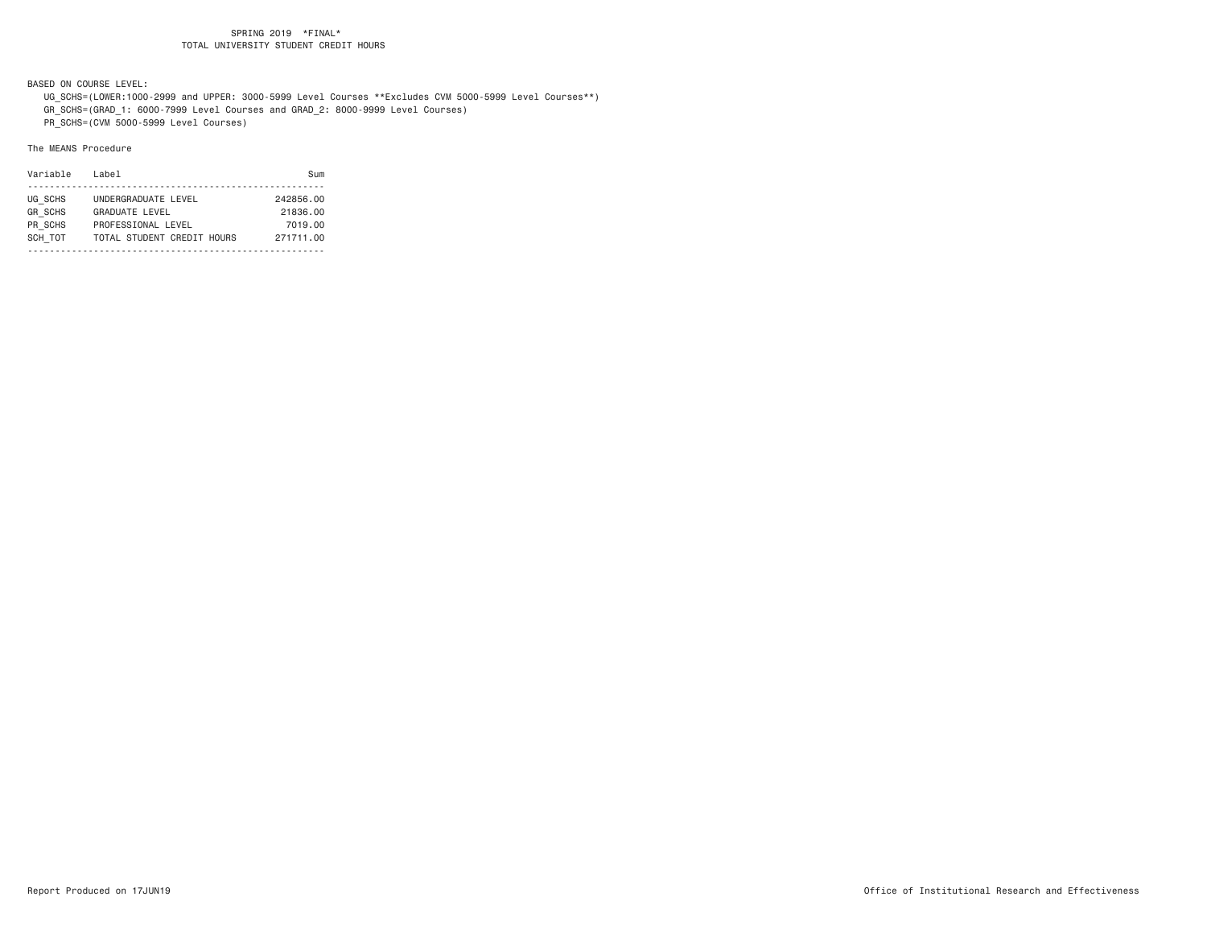BASED ON COURSE LEVEL:

UG\_SCHS=(LOWER:1000-2999 and UPPER: 3000-5999 Level Courses \*\*Excludes CVM 5000-5999 Level Courses\*\*)

GR\_SCHS=(GRAD\_1: 6000-7999 Level Courses and GRAD\_2: 8000-9999 Level Courses)

PR\_SCHS=(CVM 5000-5999 Level Courses)

| Variable       | Label                      | Sum       |
|----------------|----------------------------|-----------|
|                |                            |           |
| UG SCHS        | UNDERGRADUATE LEVEL        | 242856.00 |
| <b>GR SCHS</b> | <b>GRADUATE LEVEL</b>      | 21836.00  |
| PR SCHS        | PROFESSIONAL LEVEL         | 7019.00   |
| SCH TOT        | TOTAL STUDENT CREDIT HOURS | 271711.00 |
|                |                            |           |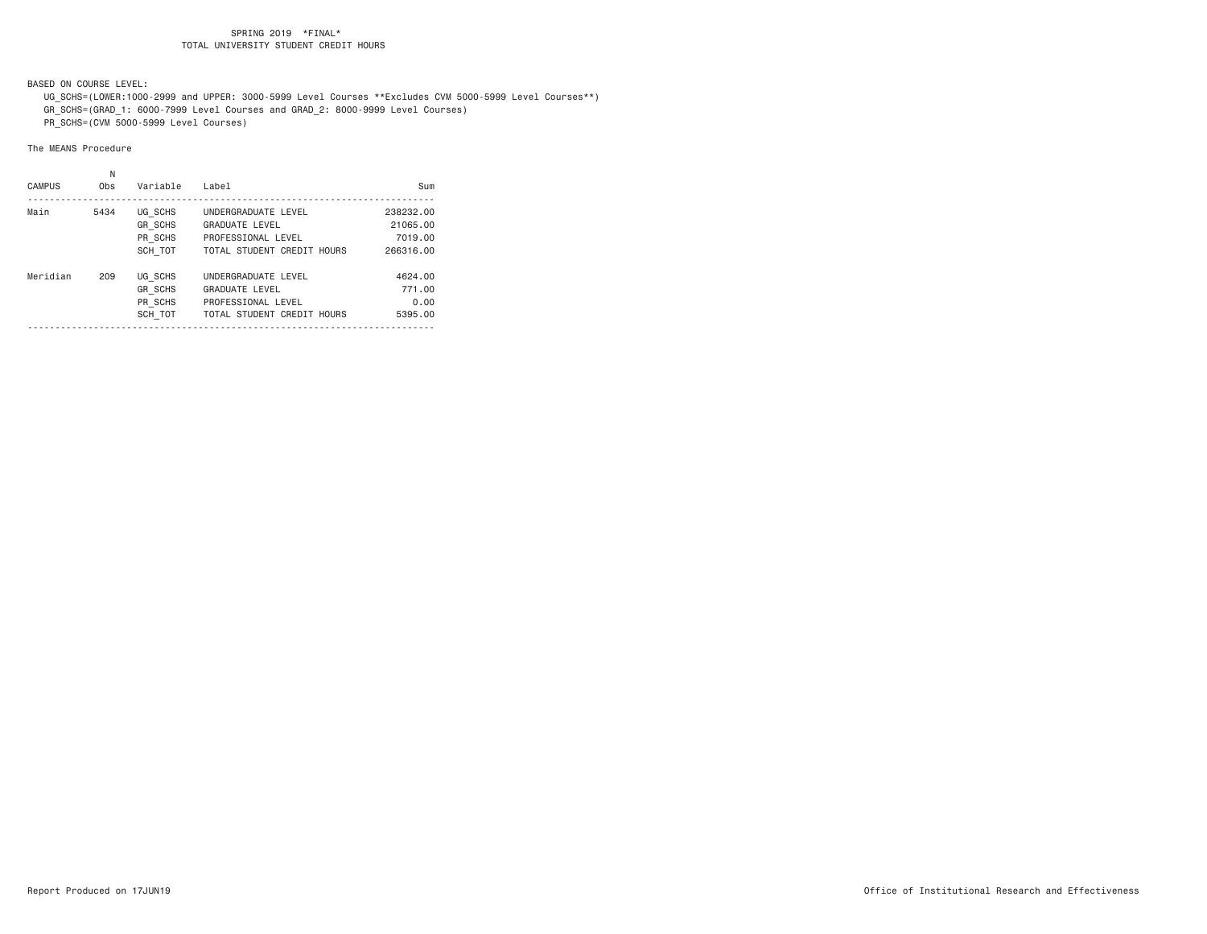BASED ON COURSE LEVEL:

UG\_SCHS=(LOWER:1000-2999 and UPPER: 3000-5999 Level Courses \*\*Excludes CVM 5000-5999 Level Courses\*\*)

GR\_SCHS=(GRAD\_1: 6000-7999 Level Courses and GRAD\_2: 8000-9999 Level Courses)

PR\_SCHS=(CVM 5000-5999 Level Courses)

| <b>CAMPUS</b> | Ν<br>0 <sub>bs</sub> | Variable                                        | Label                                                                                            | Sum                                  |
|---------------|----------------------|-------------------------------------------------|--------------------------------------------------------------------------------------------------|--------------------------------------|
| Main          | 5434                 | UG SCHS<br>GR SCHS<br>PR SCHS                   | UNDERGRADUATE LEVEL<br>GRADUATE LEVEL<br>PROFESSIONAL LEVEL                                      | 238232.00<br>21065.00<br>7019.00     |
|               |                      | SCH TOT                                         | TOTAL STUDENT CREDIT HOURS                                                                       | 266316.00                            |
| Meridian      | 209                  | UG SCHS<br><b>GR SCHS</b><br>PR SCHS<br>SCH TOT | UNDERGRADUATE LEVEL<br><b>GRADUATE LEVEL</b><br>PROFESSIONAL LEVEL<br>TOTAL STUDENT CREDIT HOURS | 4624.00<br>771.00<br>0.00<br>5395.00 |
|               |                      |                                                 |                                                                                                  |                                      |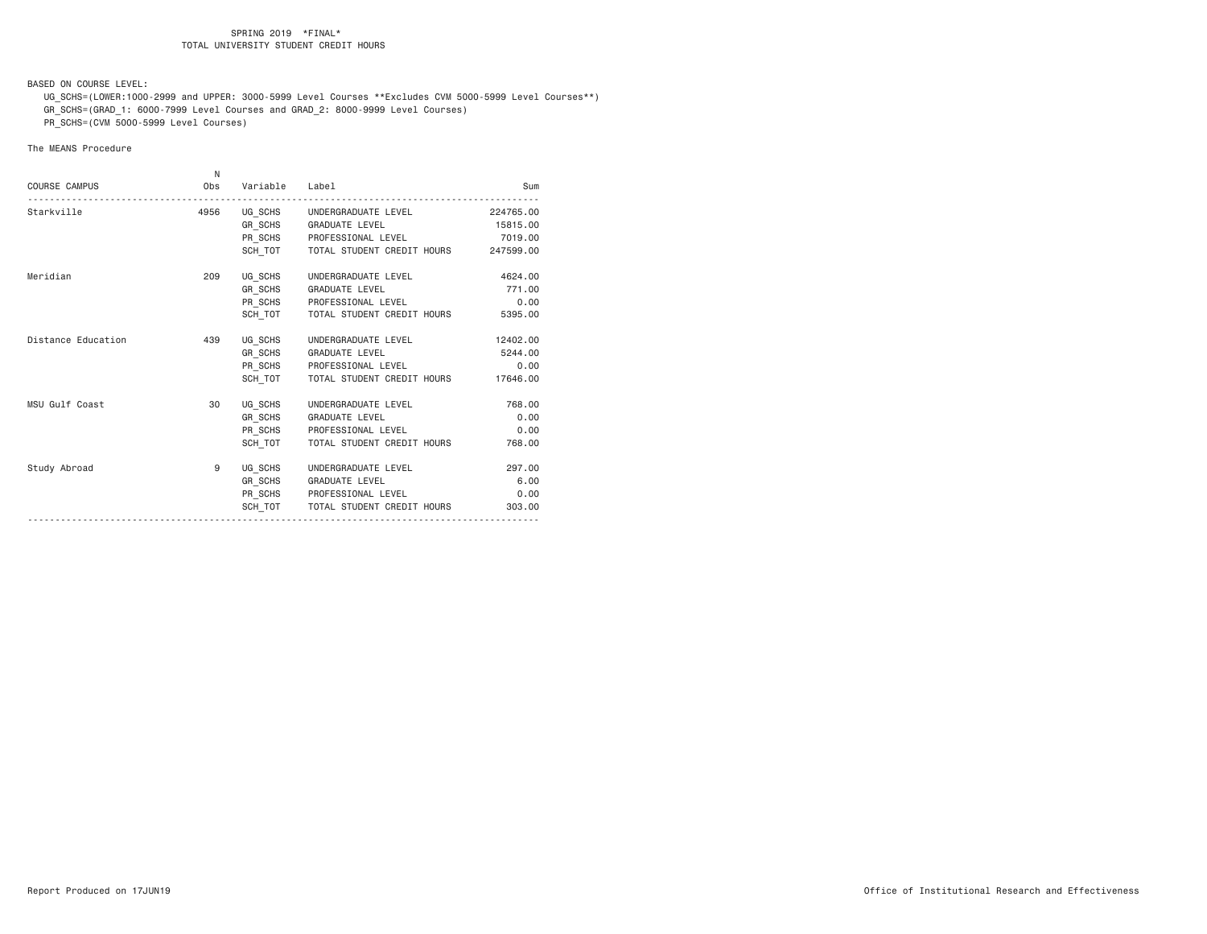BASED ON COURSE LEVEL:

 UG\_SCHS=(LOWER:1000-2999 and UPPER: 3000-5999 Level Courses \*\*Excludes CVM 5000-5999 Level Courses\*\*) GR\_SCHS=(GRAD\_1: 6000-7999 Level Courses and GRAD\_2: 8000-9999 Level Courses)

PR\_SCHS=(CVM 5000-5999 Level Courses)

|                      | N    |                |                                              |           |
|----------------------|------|----------------|----------------------------------------------|-----------|
| <b>COURSE CAMPUS</b> | Obs  | Variable Label |                                              | Sum       |
| Starkville           | 4956 |                | UG_SCHS UNDERGRADUATE LEVEL                  | 224765.00 |
|                      |      |                | GR_SCHS GRADUATE LEVEL                       | 15815.00  |
|                      |      |                | PR SCHS PROFESSIONAL LEVEL                   | 7019.00   |
|                      |      |                | SCH TOT TOTAL STUDENT CREDIT HOURS 247599.00 |           |
| Meridian             | 209  |                | UG_SCHS UNDERGRADUATE LEVEL                  | 4624,00   |
|                      |      |                | GR SCHS GRADUATE LEVEL                       | 771.00    |
|                      |      |                | PR SCHS PROFESSIONAL LEVEL                   | 0.00      |
|                      |      |                | SCH TOT   TOTAL STUDENT CREDIT HOURS         | 5395.00   |
| Distance Education   | 439  |                | UG SCHS UNDERGRADUATE LEVEL                  | 12402.00  |
|                      |      |                | GR SCHS GRADUATE LEVEL                       | 5244.00   |
|                      |      |                | PR_SCHS PROFESSIONAL LEVEL                   | 0.00      |
|                      |      |                | SCH TOT TOTAL STUDENT CREDIT HOURS           | 17646.00  |
| MSU Gulf Coast       | 30   |                | UG_SCHS UNDERGRADUATE LEVEL                  | 768,00    |
|                      |      |                | GR_SCHS GRADUATE LEVEL                       | 0.00      |
|                      |      |                | PR SCHS PROFESSIONAL LEVEL                   | 0.00      |
|                      |      |                | SCH TOT TOTAL STUDENT CREDIT HOURS           | 768.00    |
| Study Abroad         | 9    |                | UG_SCHS UNDERGRADUATE LEVEL                  | 297.00    |
|                      |      |                | GR SCHS GRADUATE LEVEL                       | 6.00      |
|                      |      |                | PR_SCHS PROFESSIONAL LEVEL                   | 0.00      |
|                      |      | SCH TOT        | TOTAL STUDENT CREDIT HOURS                   | 303,00    |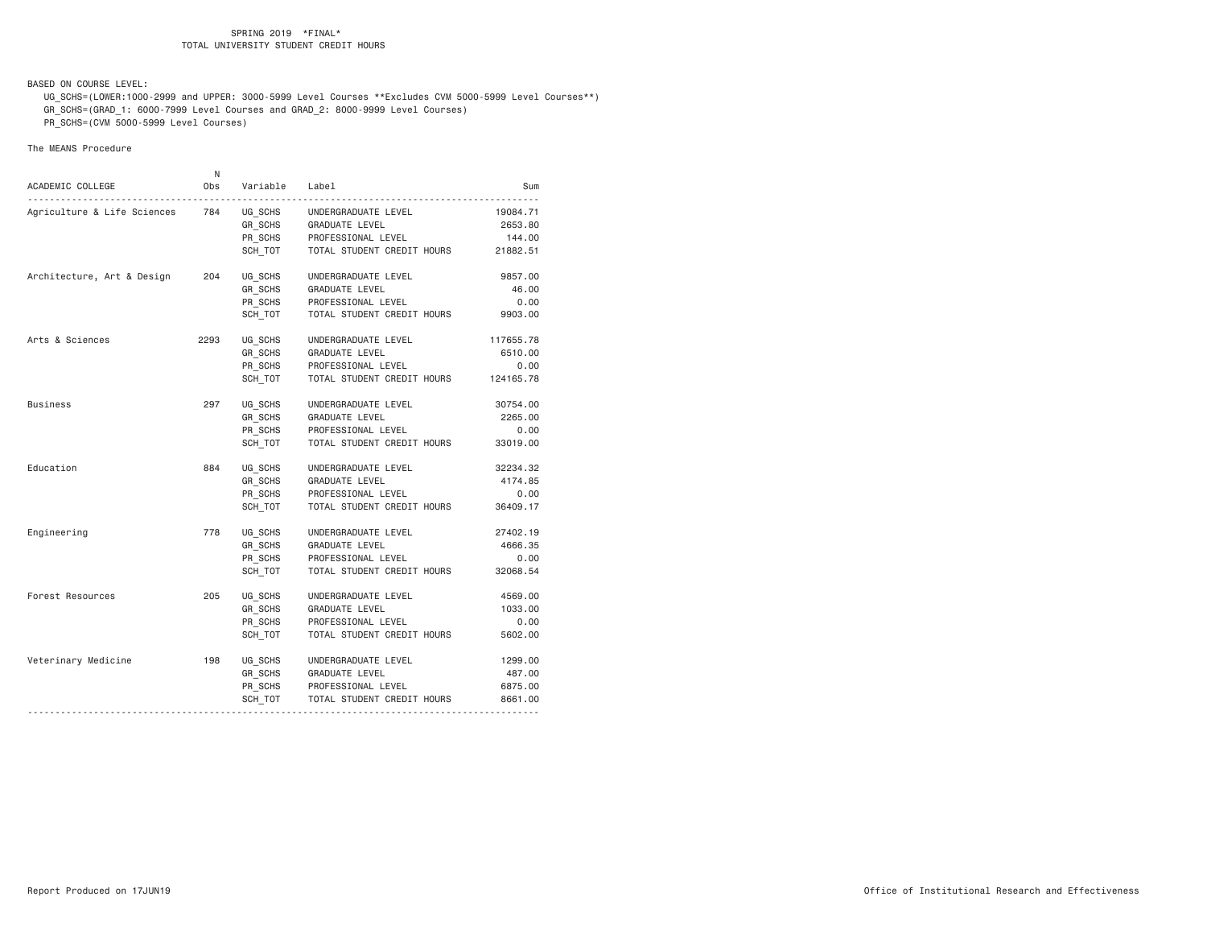BASED ON COURSE LEVEL:

 UG\_SCHS=(LOWER:1000-2999 and UPPER: 3000-5999 Level Courses \*\*Excludes CVM 5000-5999 Level Courses\*\*) GR\_SCHS=(GRAD\_1: 6000-7999 Level Courses and GRAD\_2: 8000-9999 Level Courses)

PR\_SCHS=(CVM 5000-5999 Level Courses)

| ACADEMIC COLLEGE            | N<br>Obs | Variable           | Label                      | Sum       |
|-----------------------------|----------|--------------------|----------------------------|-----------|
|                             |          |                    |                            |           |
| Agriculture & Life Sciences | 784      | UG SCHS            | UNDERGRADUATE LEVEL        | 19084.71  |
|                             |          | GR SCHS            | GRADUATE LEVEL             | 2653.80   |
|                             |          | PR_SCHS            | PROFESSIONAL LEVEL         | 144.00    |
|                             |          | SCH_TOT            | TOTAL STUDENT CREDIT HOURS | 21882.51  |
| Architecture, Art & Design  | 204      | UG_SCHS            | UNDERGRADUATE LEVEL        | 9857.00   |
|                             |          | GR_SCHS            | GRADUATE LEVEL             | 46.00     |
|                             |          | PR_SCHS            | PROFESSIONAL LEVEL         | 0.00      |
|                             |          | SCH TOT            | TOTAL STUDENT CREDIT HOURS | 9903.00   |
| Arts & Sciences             | 2293     | UG SCHS            | UNDERGRADUATE LEVEL        | 117655.78 |
|                             |          | GR_SCHS<br>PR_SCHS | GRADUATE LEVEL             | 6510.00   |
|                             |          |                    | PROFESSIONAL LEVEL         | 0.00      |
|                             |          | SCH TOT            | TOTAL STUDENT CREDIT HOURS | 124165.78 |
| Business                    | 297      | UG SCHS            | UNDERGRADUATE LEVEL        | 30754.00  |
|                             |          | GR SCHS            | GRADUATE LEVEL             | 2265.00   |
|                             |          | PR_SCHS            | PROFESSIONAL LEVEL         | 0.00      |
|                             |          | SCH_TOT            | TOTAL STUDENT CREDIT HOURS | 33019.00  |
| Education                   | 884      | UG_SCHS            | UNDERGRADUATE LEVEL        | 32234.32  |
|                             |          | GR_SCHS            | <b>GRADUATE LEVEL</b>      | 4174.85   |
|                             |          | PR_SCHS            | PROFESSIONAL LEVEL         | 0.00      |
|                             |          | SCH TOT            | TOTAL STUDENT CREDIT HOURS | 36409.17  |
| Engineering                 | 778      | UG SCHS            | UNDERGRADUATE LEVEL        | 27402.19  |
|                             |          | GR_SCHS            | GRADUATE LEVEL             | 4666.35   |
|                             |          | PR_SCHS            | PROFESSIONAL LEVEL         | 0.00      |
|                             |          | SCH TOT            | TOTAL STUDENT CREDIT HOURS | 32068.54  |
| Forest Resources            | 205      | UG SCHS            | UNDERGRADUATE LEVEL        | 4569.00   |
|                             |          | GR_SCHS            | GRADUATE LEVEL             | 1033.00   |
|                             |          | PR_SCHS            | PROFESSIONAL LEVEL         | 0.00      |
|                             |          | SCH TOT            | TOTAL STUDENT CREDIT HOURS | 5602.00   |
| Veterinary Medicine         | 198      | UG SCHS            | UNDERGRADUATE LEVEL        | 1299.00   |
|                             |          | GR_SCHS            | GRADUATE LEVEL             | 487.00    |
|                             |          | PR_SCHS            | PROFESSIONAL LEVEL         | 6875.00   |
|                             |          | SCH TOT            | TOTAL STUDENT CREDIT HOURS | 8661.00   |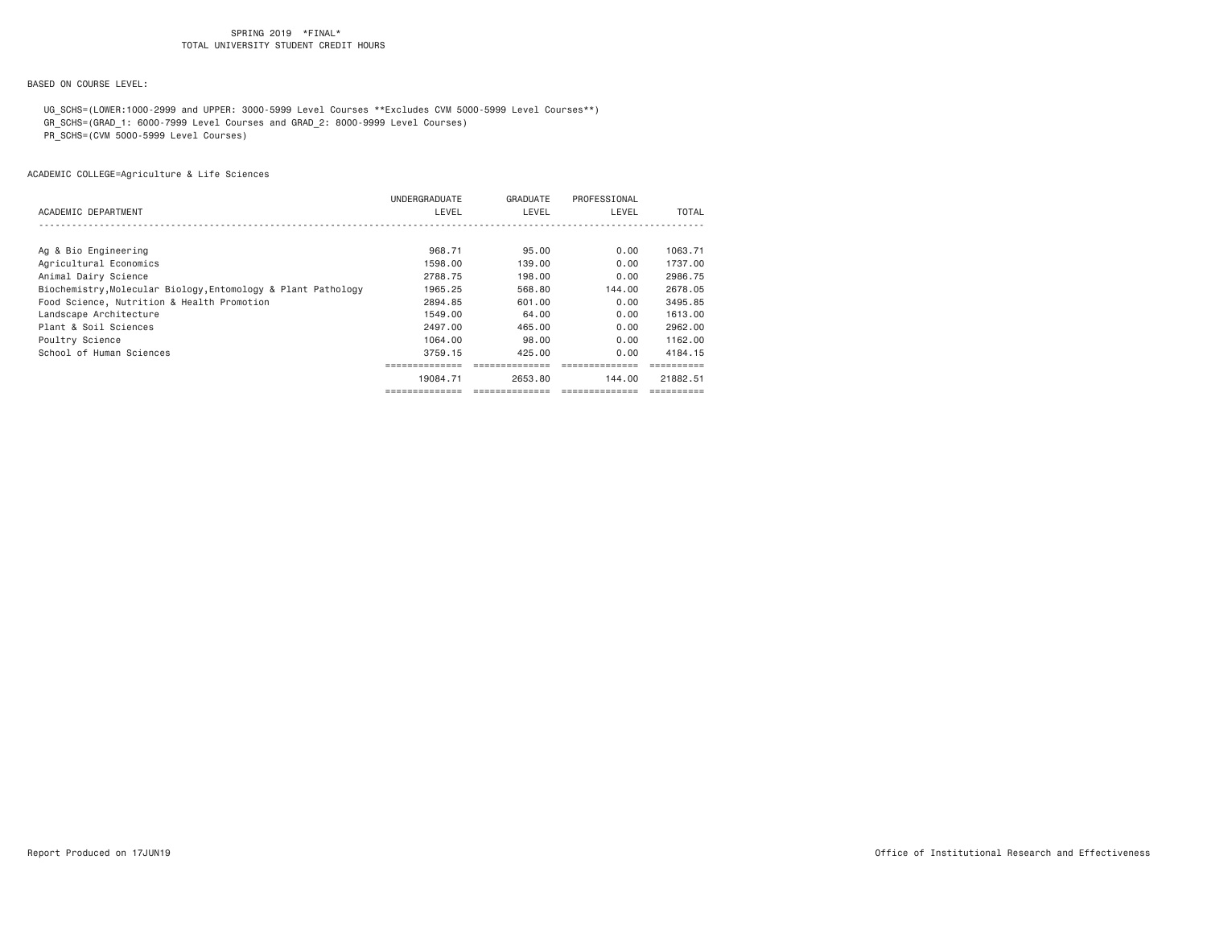## BASED ON COURSE LEVEL:

 UG\_SCHS=(LOWER:1000-2999 and UPPER: 3000-5999 Level Courses \*\*Excludes CVM 5000-5999 Level Courses\*\*) GR\_SCHS=(GRAD\_1: 6000-7999 Level Courses and GRAD\_2: 8000-9999 Level Courses)

PR\_SCHS=(CVM 5000-5999 Level Courses)

|                                                               | UNDERGRADUATE | GRADUATE | PROFESSIONAL |          |
|---------------------------------------------------------------|---------------|----------|--------------|----------|
| ACADEMIC DEPARTMENT                                           | LEVEL         | LEVEL    | LEVEL        | TOTAL    |
|                                                               |               |          |              |          |
| Ag & Bio Engineering                                          | 968,71        | 95,00    | 0.00         | 1063.71  |
| Agricultural Economics                                        | 1598.00       | 139,00   | 0.00         | 1737.00  |
| Animal Dairy Science                                          | 2788.75       | 198,00   | 0.00         | 2986.75  |
| Biochemistry, Molecular Biology, Entomology & Plant Pathology | 1965.25       | 568,80   | 144.00       | 2678.05  |
| Food Science, Nutrition & Health Promotion                    | 2894.85       | 601.00   | 0.00         | 3495.85  |
| Landscape Architecture                                        | 1549.00       | 64.00    | 0.00         | 1613.00  |
| Plant & Soil Sciences                                         | 2497.00       | 465,00   | 0.00         | 2962.00  |
| Poultry Science                                               | 1064.00       | 98,00    | 0.00         | 1162.00  |
| School of Human Sciences                                      | 3759.15       | 425.00   | 0.00         | 4184.15  |
|                                                               |               |          |              |          |
|                                                               | 19084.71      | 2653.80  | 144.00       | 21882.51 |
|                                                               |               |          |              |          |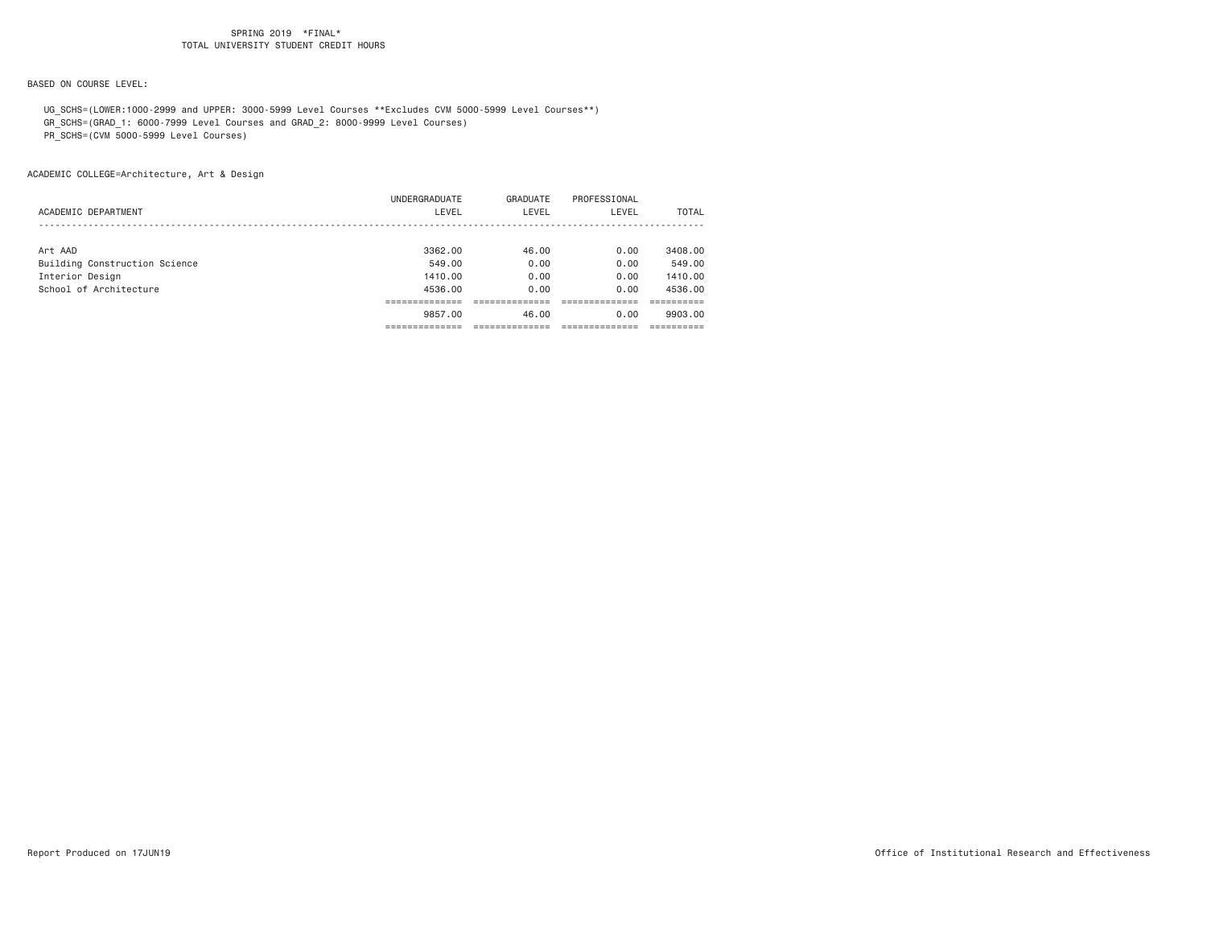## BASED ON COURSE LEVEL:

UG\_SCHS=(LOWER:1000-2999 and UPPER: 3000-5999 Level Courses \*\*Excludes CVM 5000-5999 Level Courses\*\*)

GR\_SCHS=(GRAD\_1: 6000-7999 Level Courses and GRAD\_2: 8000-9999 Level Courses)

PR\_SCHS=(CVM 5000-5999 Level Courses)

ACADEMIC COLLEGE=Architecture, Art & Design

|                               | 9857.00       | 46.00    | 0.00         | 9903.00      |
|-------------------------------|---------------|----------|--------------|--------------|
|                               |               |          |              |              |
| School of Architecture        | 4536.00       | 0.00     | 0.00         | 4536.00      |
| Interior Design               | 1410.00       | 0.00     | 0.00         | 1410.00      |
| Building Construction Science | 549.00        | 0.00     | 0.00         | 549.00       |
| Art AAD                       | 3362.00       | 46.00    | 0.00         | 3408,00      |
|                               |               |          |              |              |
| ACADEMIC DEPARTMENT           | LEVEL         | LEVEL    | LEVEL        | <b>TOTAL</b> |
|                               | UNDERGRADUATE | GRADUATE | PROFESSIONAL |              |
|                               |               |          |              |              |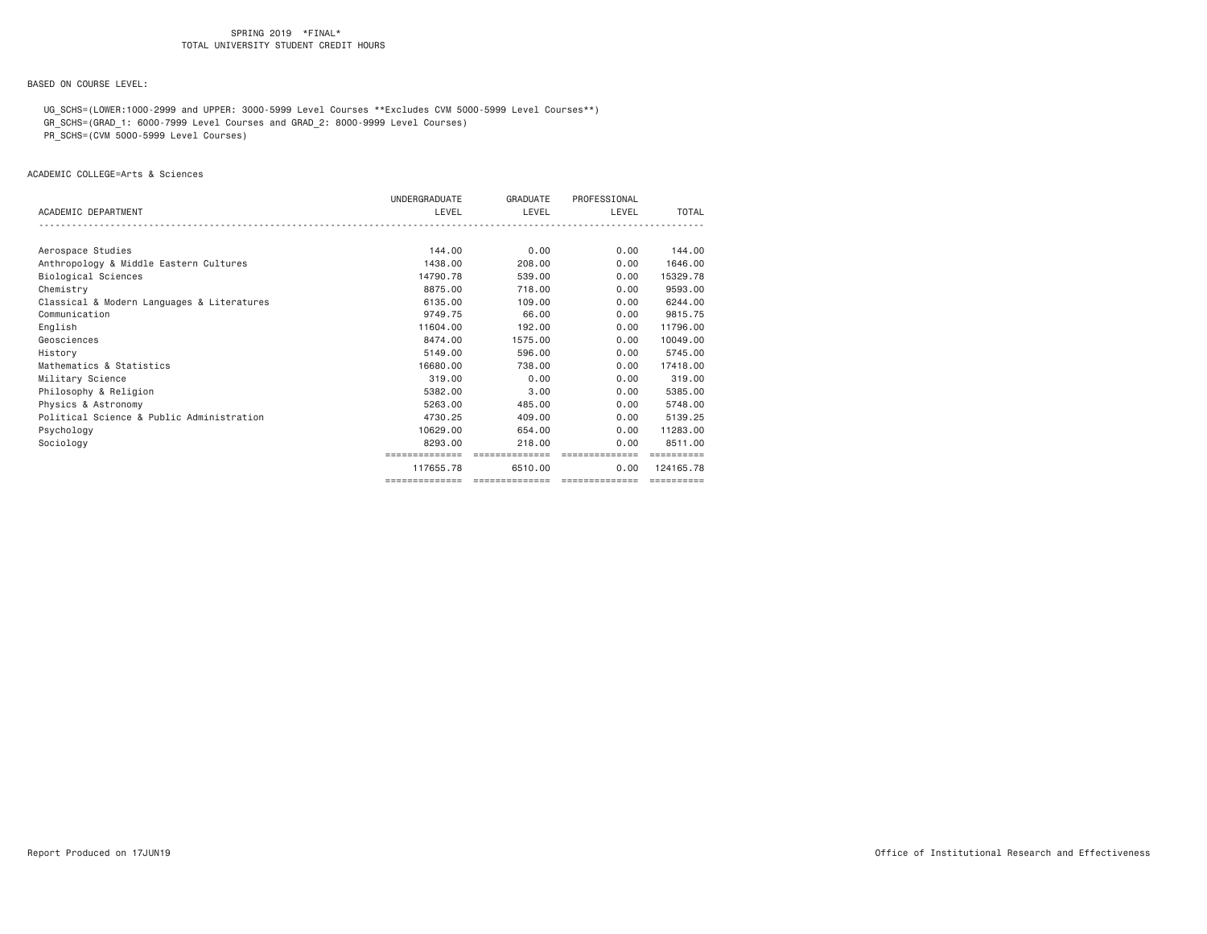## BASED ON COURSE LEVEL:

 UG\_SCHS=(LOWER:1000-2999 and UPPER: 3000-5999 Level Courses \*\*Excludes CVM 5000-5999 Level Courses\*\*) GR\_SCHS=(GRAD\_1: 6000-7999 Level Courses and GRAD\_2: 8000-9999 Level Courses)

PR\_SCHS=(CVM 5000-5999 Level Courses)

#### ACADEMIC COLLEGE=Arts & Sciences

|                                            | UNDERGRADUATE  | GRADUATE        | PROFESSIONAL    |            |
|--------------------------------------------|----------------|-----------------|-----------------|------------|
| ACADEMIC DEPARTMENT                        | LEVEL          | LEVEL           | LEVEL           | TOTAL      |
|                                            |                |                 |                 |            |
| Aerospace Studies                          | 144.00         | 0.00            | 0.00            | 144,00     |
| Anthropology & Middle Eastern Cultures     | 1438.00        | 208,00          | 0.00            | 1646.00    |
| Biological Sciences                        | 14790.78       | 539,00          | 0.00            | 15329.78   |
| Chemistry                                  | 8875.00        | 718,00          | 0.00            | 9593.00    |
| Classical & Modern Languages & Literatures | 6135,00        | 109.00          | 0.00            | 6244.00    |
| Communication                              | 9749.75        | 66.00           | 0.00            | 9815.75    |
| English                                    | 11604.00       | 192,00          | 0.00            | 11796.00   |
| Geosciences                                | 8474.00        | 1575.00         | 0.00            | 10049.00   |
| History                                    | 5149.00        | 596.00          | 0.00            | 5745.00    |
| Mathematics & Statistics                   | 16680,00       | 738,00          | 0.00            | 17418.00   |
| Military Science                           | 319,00         | 0.00            | 0.00            | 319,00     |
| Philosophy & Religion                      | 5382.00        | 3.00            | 0.00            | 5385.00    |
| Physics & Astronomy                        | 5263.00        | 485,00          | 0.00            | 5748.00    |
| Political Science & Public Administration  | 4730.25        | 409,00          | 0.00            | 5139.25    |
| Psychology                                 | 10629.00       | 654.00          | 0.00            | 11283.00   |
| Sociology                                  | 8293.00        | 218,00          | 0.00            | 8511.00    |
|                                            | ============== | ==============  | ==============  | ========== |
|                                            | 117655.78      | 6510.00         | 0.00            | 124165.78  |
|                                            | ============== | =============== | --------------- | ========== |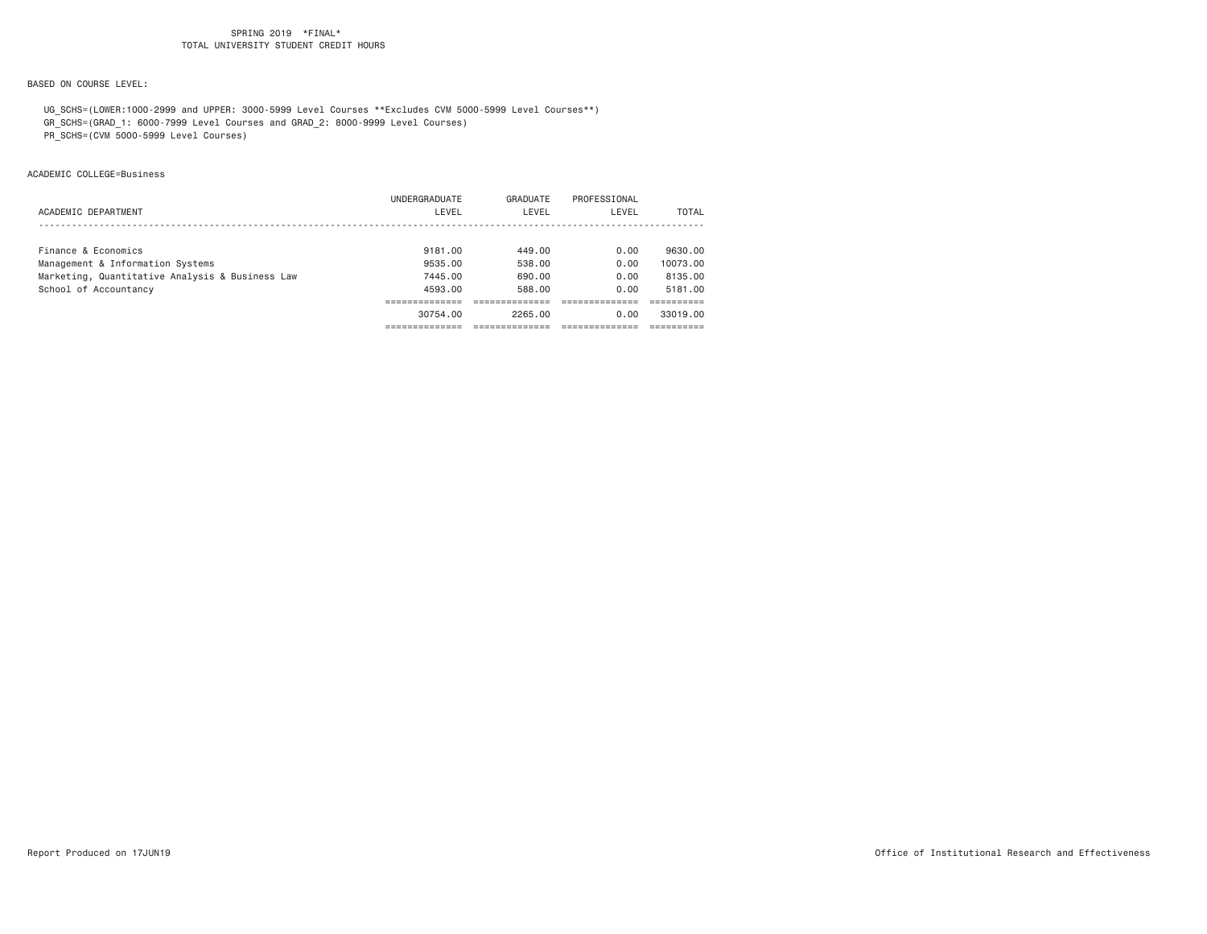## BASED ON COURSE LEVEL:

 UG\_SCHS=(LOWER:1000-2999 and UPPER: 3000-5999 Level Courses \*\*Excludes CVM 5000-5999 Level Courses\*\*) GR\_SCHS=(GRAD\_1: 6000-7999 Level Courses and GRAD\_2: 8000-9999 Level Courses)

PR\_SCHS=(CVM 5000-5999 Level Courses)

ACADEMIC COLLEGE=Business

|                                                 | 30754.00             | 2265.00  | 0.00         | 33019.00 |
|-------------------------------------------------|----------------------|----------|--------------|----------|
|                                                 |                      |          |              |          |
| School of Accountancy                           | 4593.00              | 588.00   | 0.00         | 5181.00  |
| Marketing, Quantitative Analysis & Business Law | 7445.00              | 690,00   | 0.00         | 8135,00  |
| Management & Information Systems                | 9535.00              | 538,00   | 0.00         | 10073.00 |
| Finance & Economics                             | 9181.00              | 449.00   | 0.00         | 9630.00  |
|                                                 |                      |          |              |          |
| ACADEMIC DEPARTMENT                             | LEVEL                | LEVEL    | LEVEL        | TOTAL    |
|                                                 | <b>UNDERGRADUATE</b> | GRADUATE | PROFESSIONAL |          |
|                                                 |                      |          |              |          |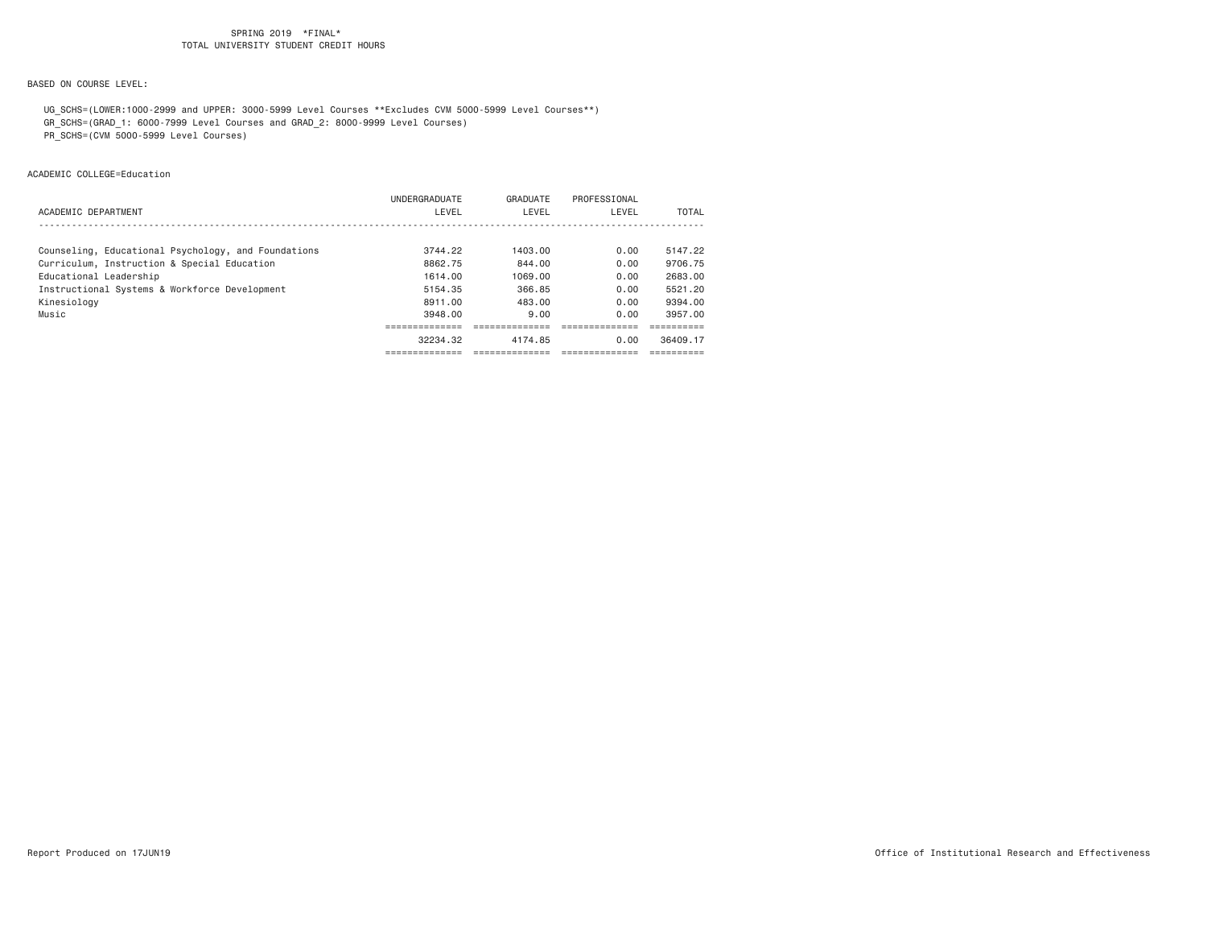## BASED ON COURSE LEVEL:

 UG\_SCHS=(LOWER:1000-2999 and UPPER: 3000-5999 Level Courses \*\*Excludes CVM 5000-5999 Level Courses\*\*) GR\_SCHS=(GRAD\_1: 6000-7999 Level Courses and GRAD\_2: 8000-9999 Level Courses)

PR\_SCHS=(CVM 5000-5999 Level Courses)

ACADEMIC COLLEGE=Education

|                                                     | UNDERGRADUATE | GRADUATE | PROFESSIONAL |              |
|-----------------------------------------------------|---------------|----------|--------------|--------------|
| ACADEMIC DEPARTMENT                                 | LEVEL         | LEVEL    | LEVEL        | <b>TOTAL</b> |
|                                                     |               |          |              |              |
| Counseling, Educational Psychology, and Foundations | 3744.22       | 1403.00  | 0.00         | 5147.22      |
| Curriculum, Instruction & Special Education         | 8862.75       | 844.00   | 0.00         | 9706.75      |
| Educational Leadership                              | 1614.00       | 1069.00  | 0.00         | 2683.00      |
| Instructional Systems & Workforce Development       | 5154.35       | 366.85   | 0.00         | 5521.20      |
| Kinesiology                                         | 8911.00       | 483.00   | 0.00         | 9394.00      |
| Music                                               | 3948.00       | 9.00     | 0.00         | 3957.00      |
|                                                     |               |          |              |              |
|                                                     | 32234.32      | 4174.85  | 0.00         | 36409.17     |
|                                                     |               |          |              |              |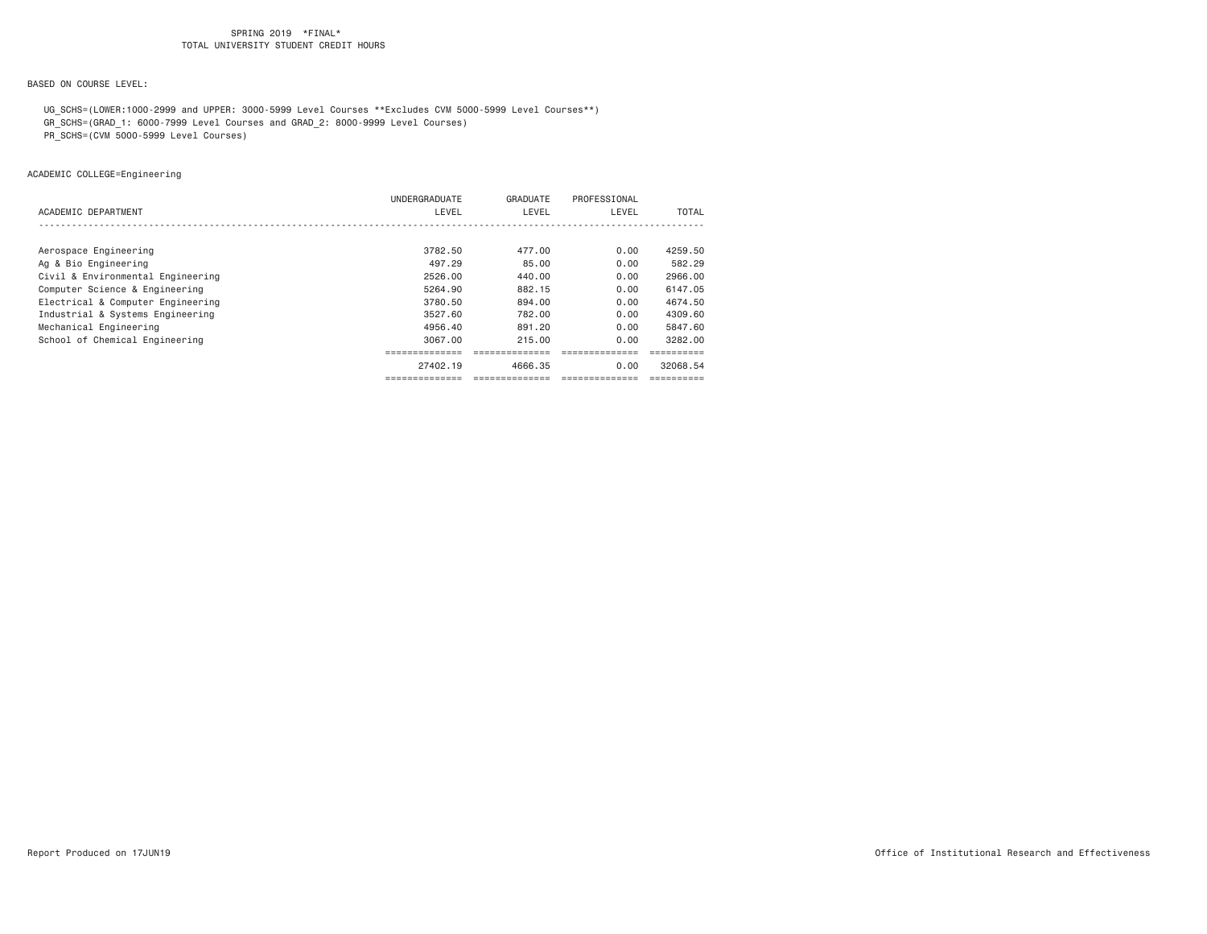## BASED ON COURSE LEVEL:

 UG\_SCHS=(LOWER:1000-2999 and UPPER: 3000-5999 Level Courses \*\*Excludes CVM 5000-5999 Level Courses\*\*) GR\_SCHS=(GRAD\_1: 6000-7999 Level Courses and GRAD\_2: 8000-9999 Level Courses)

PR\_SCHS=(CVM 5000-5999 Level Courses)

# ACADEMIC COLLEGE=Engineering

| ACADEMIC DEPARTMENT               | UNDERGRADUATE<br>LEVEL            | GRADUATE<br>LEVEL | PROFESSIONAL<br>LEVEL | TOTAL    |
|-----------------------------------|-----------------------------------|-------------------|-----------------------|----------|
|                                   |                                   |                   |                       |          |
| Aerospace Engineering             | 3782.50                           | 477.00            | 0.00                  | 4259.50  |
| Ag & Bio Engineering              | 497.29                            | 85.00             | 0.00                  | 582.29   |
| Civil & Environmental Engineering | 2526.00                           | 440.00            | 0.00                  | 2966.00  |
| Computer Science & Engineering    | 5264.90                           | 882.15            | 0.00                  | 6147.05  |
| Electrical & Computer Engineering | 3780.50                           | 894.00            | 0.00                  | 4674.50  |
| Industrial & Systems Engineering  | 3527.60                           | 782.00            | 0.00                  | 4309.60  |
| Mechanical Engineering            | 4956.40                           | 891.20            | 0.00                  | 5847.60  |
| School of Chemical Engineering    | 3067.00                           | 215,00            | 0.00                  | 3282.00  |
|                                   | . _ _ _ _ _ _ _ _ _ _ _ _ _ _<br> | --------------    |                       |          |
|                                   | 27402.19                          | 4666.35           | 0.00                  | 32068.54 |
|                                   |                                   | --------------    |                       |          |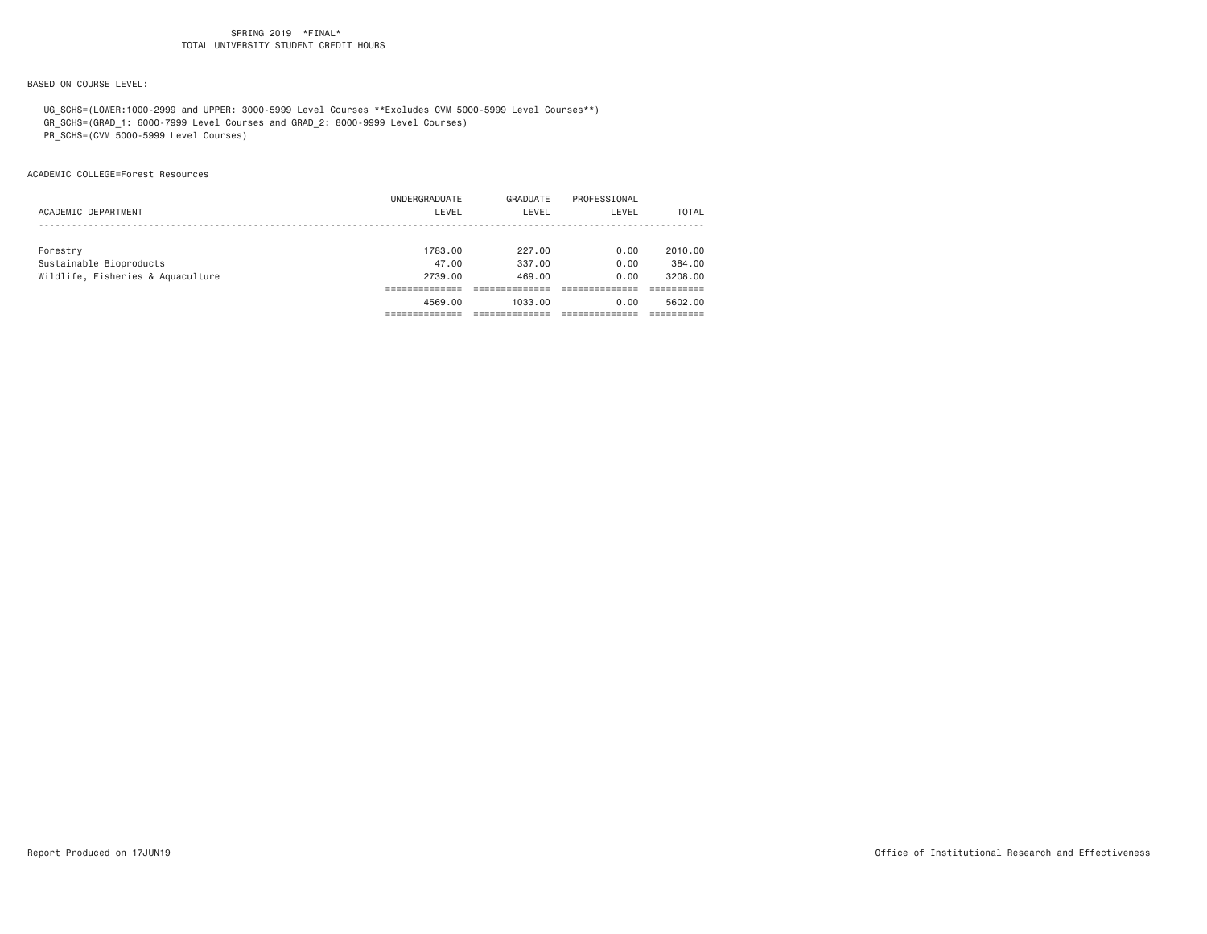## BASED ON COURSE LEVEL:

 UG\_SCHS=(LOWER:1000-2999 and UPPER: 3000-5999 Level Courses \*\*Excludes CVM 5000-5999 Level Courses\*\*) GR\_SCHS=(GRAD\_1: 6000-7999 Level Courses and GRAD\_2: 8000-9999 Level Courses)

PR\_SCHS=(CVM 5000-5999 Level Courses)

ACADEMIC COLLEGE=Forest Resources

|                                   | UNDERGRADUATE | GRADUATE | PROFESSIONAL |         |
|-----------------------------------|---------------|----------|--------------|---------|
| ACADEMIC DEPARTMENT               | LEVEL         | LEVEL    | LEVEL        | TOTAL   |
|                                   |               |          |              |         |
| Forestry                          | 1783.00       | 227,00   | 0.00         | 2010.00 |
| Sustainable Bioproducts           | 47.00         | 337,00   | 0.00         | 384,00  |
| Wildlife, Fisheries & Aquaculture | 2739.00       | 469,00   | 0.00         | 3208,00 |
|                                   |               |          |              |         |
|                                   | 4569.00       | 1033.00  | 0.00         | 5602.00 |
|                                   |               |          |              |         |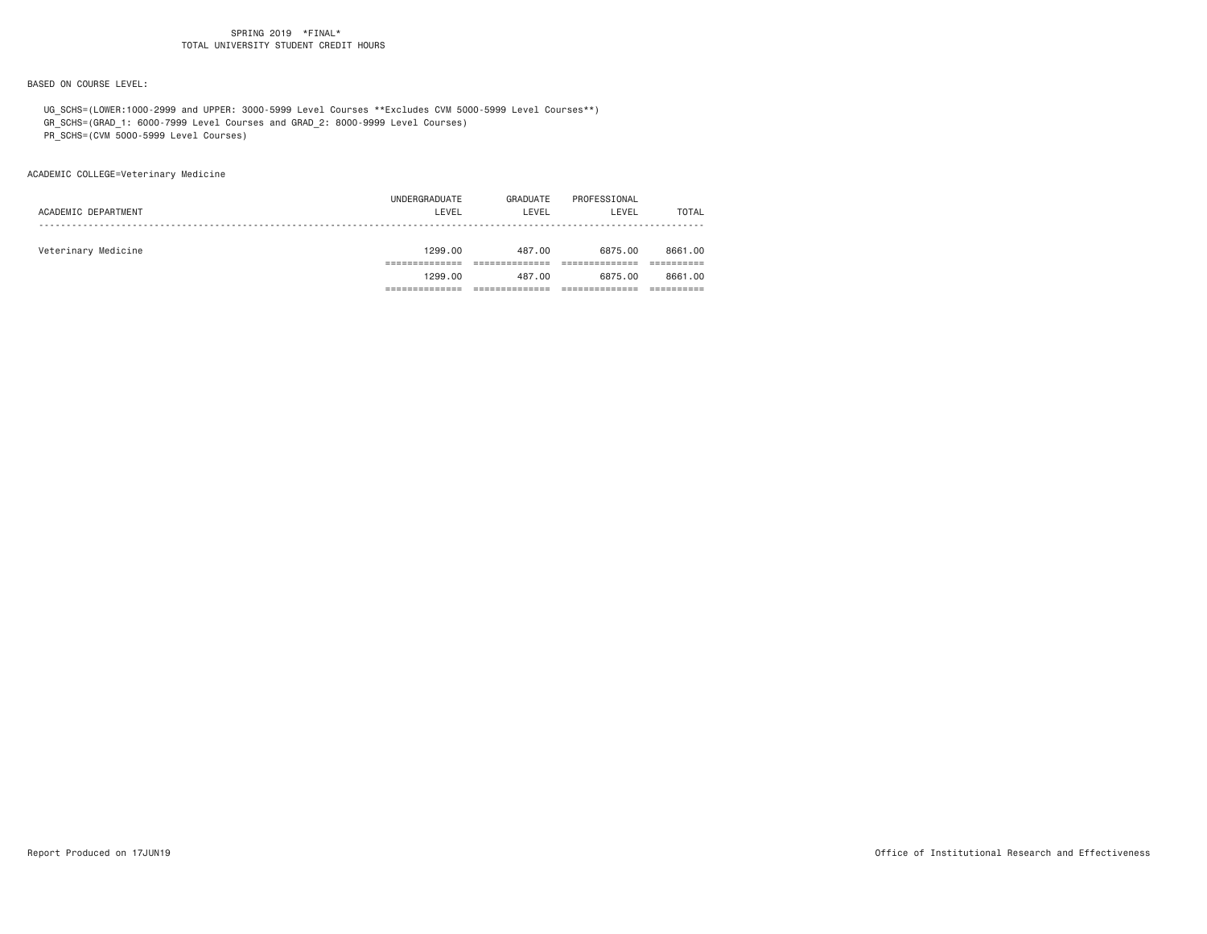BASED ON COURSE LEVEL:

 UG\_SCHS=(LOWER:1000-2999 and UPPER: 3000-5999 Level Courses \*\*Excludes CVM 5000-5999 Level Courses\*\*) GR\_SCHS=(GRAD\_1: 6000-7999 Level Courses and GRAD\_2: 8000-9999 Level Courses)

PR\_SCHS=(CVM 5000-5999 Level Courses)

ACADEMIC COLLEGE=Veterinary Medicine

| ACADEMIC DEPARTMENT | UNDERGRADUATE<br>LEVEL | GRADUATE<br>LEVEL | PROFESSIONAL<br>LEVEL | TOTAL   |
|---------------------|------------------------|-------------------|-----------------------|---------|
| Veterinary Medicine | 1299.00                | 487.00            | 6875.00               | 8661.00 |
|                     | 1299.00                | 487.00            | 6875.00               | 8661.00 |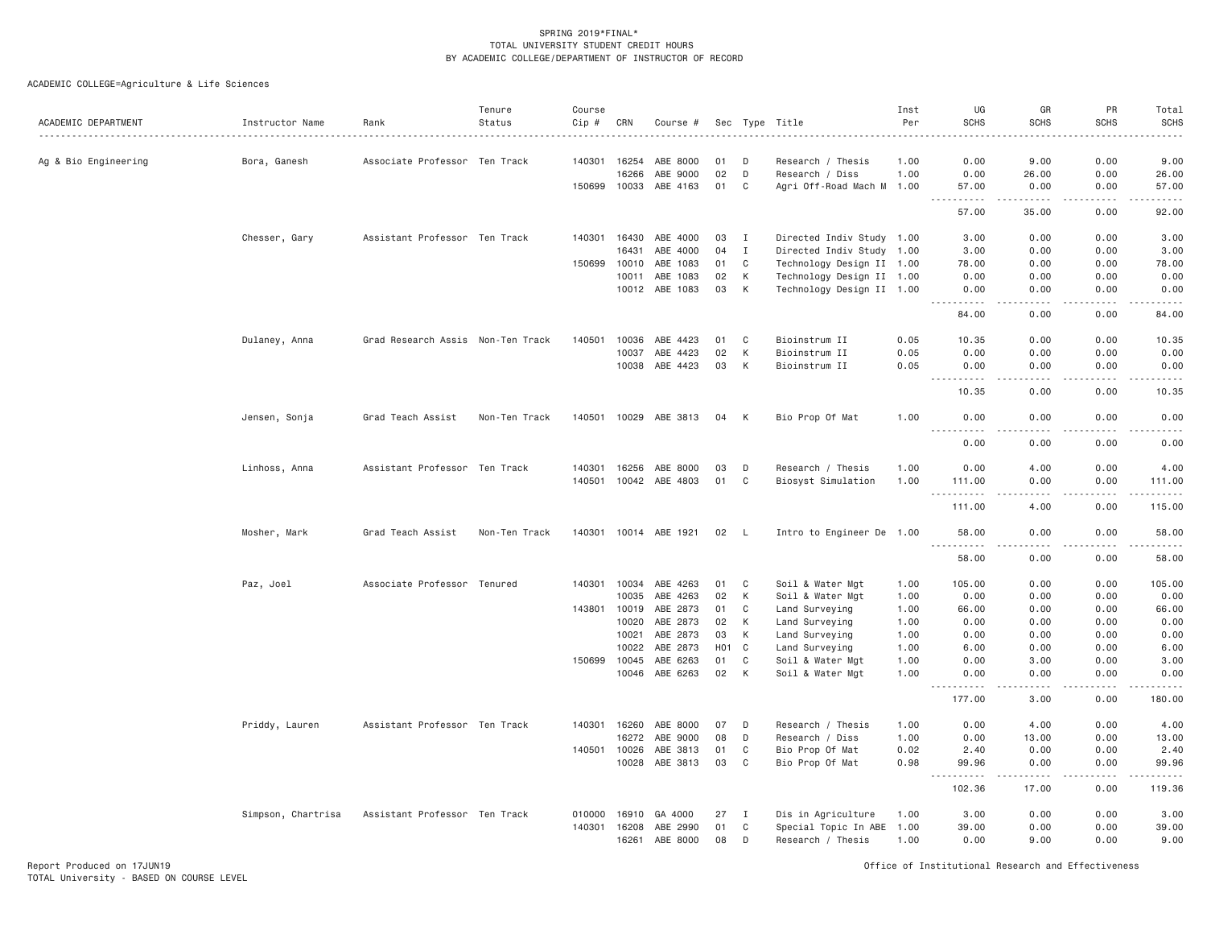ACADEMIC COLLEGE=Agriculture & Life Sciences

| ACADEMIC DEPARTMENT  | Instructor Name    | Rank                              | Tenure<br>Status | Course<br>$Cip \#$ | CRN          | Course #              |                  |              | Sec Type Title            | Inst<br>Per | UG<br><b>SCHS</b>                             | GR<br><b>SCHS</b>                           | PR<br><b>SCHS</b>   | Total<br><b>SCHS</b><br>.                                                                                                                                      |
|----------------------|--------------------|-----------------------------------|------------------|--------------------|--------------|-----------------------|------------------|--------------|---------------------------|-------------|-----------------------------------------------|---------------------------------------------|---------------------|----------------------------------------------------------------------------------------------------------------------------------------------------------------|
| Ag & Bio Engineering | Bora, Ganesh       | Associate Professor Ten Track     |                  |                    | 140301 16254 | ABE 8000              | 01               | D            | Research / Thesis         | 1.00        | 0.00                                          | 9.00                                        | 0.00                | 9.00                                                                                                                                                           |
|                      |                    |                                   |                  |                    | 16266        | ABE 9000              | 02               | D            | Research / Diss           | 1.00        | 0.00                                          | 26.00                                       | 0.00                | 26.00                                                                                                                                                          |
|                      |                    |                                   |                  |                    | 150699 10033 | ABE 4163              | 01               | C            | Agri Off-Road Mach M 1.00 |             | 57.00<br>.                                    | 0.00<br>$- - - - -$                         | 0.00<br>$- - - - -$ | 57.00<br>.                                                                                                                                                     |
|                      |                    |                                   |                  |                    |              |                       |                  |              |                           |             | 57.00                                         | 35.00                                       | 0.00                | 92.00                                                                                                                                                          |
|                      | Chesser, Gary      | Assistant Professor Ten Track     |                  | 140301             | 16430        | ABE 4000              | 03               | $\mathbf{I}$ | Directed Indiv Study 1.00 |             | 3.00                                          | 0.00                                        | 0.00                | 3.00                                                                                                                                                           |
|                      |                    |                                   |                  |                    | 16431        | ABE 4000              | 04               | $\mathbf{I}$ | Directed Indiv Study 1.00 |             | 3.00                                          | 0.00                                        | 0.00                | 3.00                                                                                                                                                           |
|                      |                    |                                   |                  | 150699             | 10010        | ABE 1083              | 01               | C            | Technology Design II 1.00 |             | 78.00                                         | 0.00                                        | 0.00                | 78.00                                                                                                                                                          |
|                      |                    |                                   |                  |                    | 10011        | ABE 1083              | 02               | К            | Technology Design II 1.00 |             | 0.00                                          | 0.00                                        | 0.00                | 0.00                                                                                                                                                           |
|                      |                    |                                   |                  |                    | 10012        | ABE 1083              | 03               | К            | Technology Design II 1.00 |             | 0.00<br>.                                     | 0.00<br>$\frac{1}{2}$                       | 0.00<br>.           | 0.00<br>.                                                                                                                                                      |
|                      |                    |                                   |                  |                    |              |                       |                  |              |                           |             | 84.00                                         | 0.00                                        | 0.00                | 84.00                                                                                                                                                          |
|                      | Dulaney, Anna      | Grad Research Assis Non-Ten Track |                  | 140501             | 10036        | ABE 4423              | 01               | C            | Bioinstrum II             | 0.05        | 10.35                                         | 0.00                                        | 0.00                | 10.35                                                                                                                                                          |
|                      |                    |                                   |                  |                    | 10037        | ABE 4423              | 02               | К            | Bioinstrum II             | 0.05        | 0.00                                          | 0.00                                        | 0.00                | 0.00                                                                                                                                                           |
|                      |                    |                                   |                  |                    |              | 10038 ABE 4423        | 03               | К            | Bioinstrum II             | 0.05        | 0.00<br>$  -$<br>$- - - - - -$                | 0.00<br>$- - - -$                           | 0.00<br>.           | 0.00<br>.                                                                                                                                                      |
|                      |                    |                                   |                  |                    |              |                       |                  |              |                           |             | 10.35                                         | 0.00                                        | 0.00                | 10.35                                                                                                                                                          |
|                      | Jensen, Sonja      | Grad Teach Assist                 | Non-Ten Track    | 140501             | 10029        | ABE 3813              | 04               | К            | Bio Prop Of Mat           | 1.00        | 0.00                                          | 0.00<br>$\omega$ $\omega$ $\omega$ $\omega$ | 0.00                | 0.00<br>$\sim$ $\sim$ $\sim$                                                                                                                                   |
|                      |                    |                                   |                  |                    |              |                       |                  |              |                           |             | 0.00                                          | 0.00                                        | 0.00                | 0.00                                                                                                                                                           |
|                      | Linhoss, Anna      | Assistant Professor Ten Track     |                  | 140301             | 16256        | ABE 8000              | 03               | D            | Research / Thesis         | 1.00        | 0.00                                          | 4.00                                        | 0.00                | 4.00                                                                                                                                                           |
|                      |                    |                                   |                  | 140501             | 10042        | ABE 4803              | 01               | C            | Biosyst Simulation        | 1.00        | 111.00<br>1.1.1.1.1.1<br>$\sim$ $\sim$ $\sim$ | 0.00                                        | 0.00                | 111.00<br>$\frac{1}{2} \left( \frac{1}{2} \right) \left( \frac{1}{2} \right) \left( \frac{1}{2} \right) \left( \frac{1}{2} \right) \left( \frac{1}{2} \right)$ |
|                      |                    |                                   |                  |                    |              |                       |                  |              |                           |             | 111.00                                        | 4.00                                        | 0.00                | 115.00                                                                                                                                                         |
|                      | Mosher, Mark       | Grad Teach Assist                 | Non-Ten Track    |                    |              | 140301 10014 ABE 1921 | 02               | - L          | Intro to Engineer De 1.00 |             | 58.00                                         | 0.00                                        | 0.00                | 58.00<br>.                                                                                                                                                     |
|                      |                    |                                   |                  |                    |              |                       |                  |              |                           |             | 58.00                                         | 0.00                                        | 0.00                | 58.00                                                                                                                                                          |
|                      | Paz, Joel          | Associate Professor Tenured       |                  | 140301             | 10034        | ABE 4263              | 01               | C            | Soil & Water Mgt          | 1.00        | 105.00                                        | 0.00                                        | 0.00                | 105.00                                                                                                                                                         |
|                      |                    |                                   |                  |                    | 10035        | ABE 4263              | 02               | К            | Soil & Water Mgt          | 1.00        | 0.00                                          | 0.00                                        | 0.00                | 0.00                                                                                                                                                           |
|                      |                    |                                   |                  | 143801             | 10019        | ABE 2873              | 01               | C            | Land Surveying            | 1.00        | 66.00                                         | 0.00                                        | 0.00                | 66.00                                                                                                                                                          |
|                      |                    |                                   |                  |                    | 10020        | ABE 2873              | 02               | K            | Land Surveying            | 1.00        | 0.00                                          | 0.00                                        | 0.00                | 0.00                                                                                                                                                           |
|                      |                    |                                   |                  |                    | 10021        | ABE 2873              | 03               | К            | Land Surveying            | 1.00        | 0.00                                          | 0.00                                        | 0.00                | 0.00                                                                                                                                                           |
|                      |                    |                                   |                  |                    | 10022        | ABE 2873              | H <sub>0</sub> 1 | C            | Land Surveying            | 1.00        | 6.00                                          | 0.00                                        | 0.00                | 6.00                                                                                                                                                           |
|                      |                    |                                   |                  | 150699             | 10045        | ABE 6263              | 01               | $\mathbb C$  | Soil & Water Mgt          | 1.00        | 0.00                                          | 3.00                                        | 0.00                | 3.00                                                                                                                                                           |
|                      |                    |                                   |                  |                    | 10046        | ABE 6263              | 02               | К            | Soil & Water Mgt          | 1.00        | 0.00                                          | 0.00<br>.                                   | 0.00                | 0.00                                                                                                                                                           |
|                      |                    |                                   |                  |                    |              |                       |                  |              |                           |             | 177.00                                        | 3.00                                        | 0.00                | 180.00                                                                                                                                                         |
|                      | Priddy, Lauren     | Assistant Professor Ten Track     |                  | 140301             | 16260        | ABE 8000              | 07               | D            | Research / Thesis         | 1.00        | 0.00                                          | 4.00                                        | 0.00                | 4.00                                                                                                                                                           |
|                      |                    |                                   |                  |                    | 16272        | ABE 9000              | 08               | D            | Research / Diss           | 1.00        | 0.00                                          | 13.00                                       | 0.00                | 13.00                                                                                                                                                          |
|                      |                    |                                   |                  | 140501             | 10026        | ABE 3813              | 01               | C            | Bio Prop Of Mat           | 0.02        | 2.40                                          | 0.00                                        | 0.00                | 2.40                                                                                                                                                           |
|                      |                    |                                   |                  |                    | 10028        | ABE 3813              | 03               | C            | Bio Prop Of Mat           | 0.98        | 99.96<br>$\sim$ $\sim$<br>.                   | 0.00<br>$\frac{1}{2}$                       | 0.00                | 99.96                                                                                                                                                          |
|                      |                    |                                   |                  |                    |              |                       |                  |              |                           |             | 102.36                                        | 17.00                                       | 0.00                | 119.36                                                                                                                                                         |
|                      | Simpson, Chartrisa | Assistant Professor Ten Track     |                  | 010000             | 16910        | GA 4000               | 27               | $\mathbf{I}$ | Dis in Agriculture        | 1.00        | 3.00                                          | 0.00                                        | 0.00                | 3.00                                                                                                                                                           |
|                      |                    |                                   |                  | 140301             | 16208        | ABE 2990              | 01               | C            | Special Topic In ABE 1.00 |             | 39.00                                         | 0.00                                        | 0.00                | 39.00                                                                                                                                                          |
|                      |                    |                                   |                  |                    | 16261        | ABE 8000              | 08               | D            | Research / Thesis         | 1.00        | 0.00                                          | 9.00                                        | 0.00                | 9.00                                                                                                                                                           |

Report Produced on 17JUN19 Office of Institutional Research and Effectiveness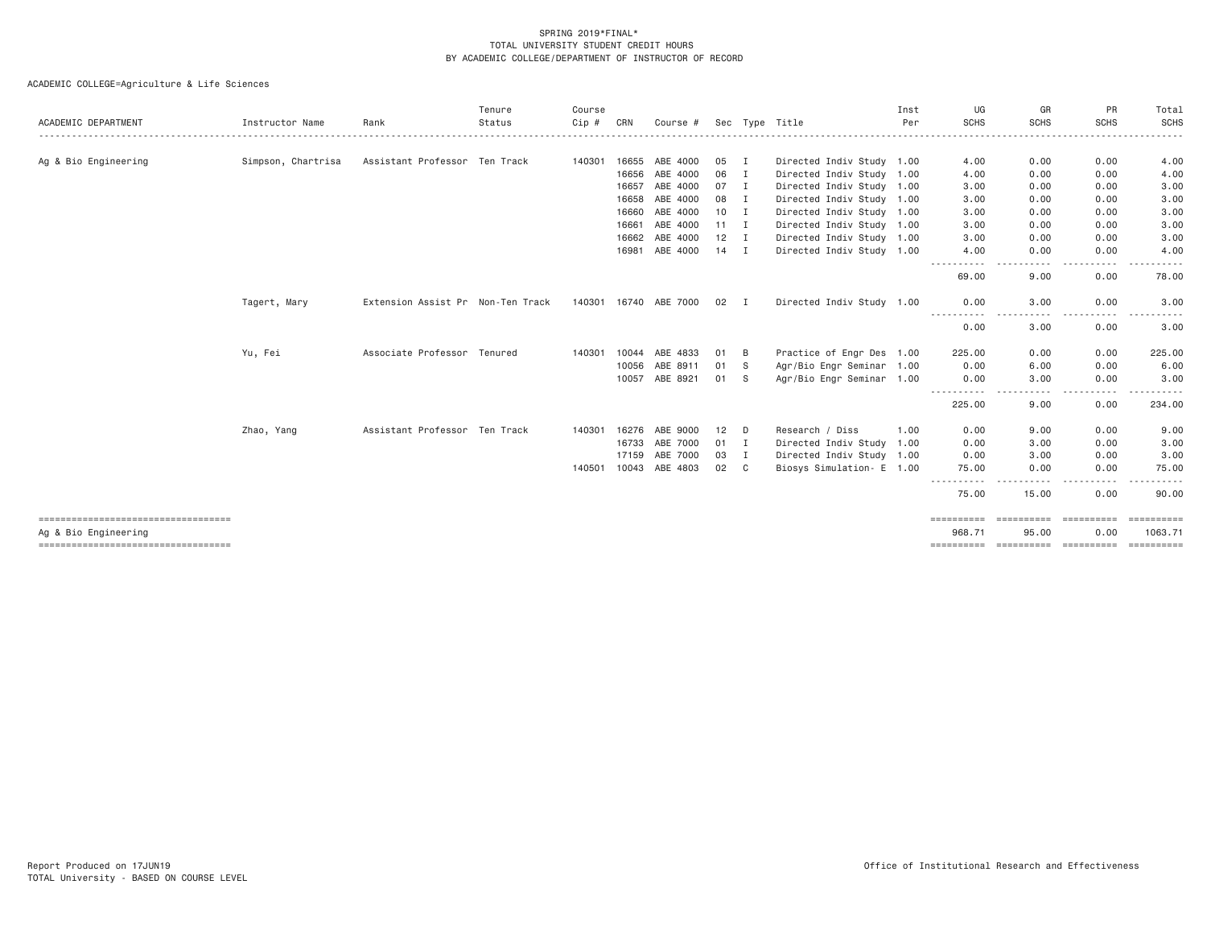| ACADEMIC DEPARTMENT                                          | Instructor Name    | Rank                              | Tenure<br>Status | Course<br>Cip# | CRN   | Course #              |                 |              | Sec Type Title            | Inst<br>Per | UG<br><b>SCHS</b>     | GR<br><b>SCHS</b>   | PR<br><b>SCHS</b>                                                                                                                 | Total<br><b>SCHS</b>             |
|--------------------------------------------------------------|--------------------|-----------------------------------|------------------|----------------|-------|-----------------------|-----------------|--------------|---------------------------|-------------|-----------------------|---------------------|-----------------------------------------------------------------------------------------------------------------------------------|----------------------------------|
|                                                              |                    |                                   |                  |                |       |                       |                 |              |                           |             |                       |                     |                                                                                                                                   |                                  |
| Ag & Bio Engineering                                         | Simpson, Chartrisa | Assistant Professor Ten Track     |                  | 140301         | 16655 | ABE 4000              | 05              | <b>I</b>     | Directed Indiv Study 1.00 |             | 4.00                  | 0.00                | 0.00                                                                                                                              | 4.00                             |
|                                                              |                    |                                   |                  |                | 16656 | ABE 4000              | 06              | <b>I</b>     | Directed Indiv Study 1.00 |             | 4.00                  | 0.00                | 0.00                                                                                                                              | 4.00                             |
|                                                              |                    |                                   |                  |                | 16657 | ABE 4000              | 07              | <b>I</b>     | Directed Indiv Study 1.00 |             | 3.00                  | 0.00                | 0.00                                                                                                                              | 3.00                             |
|                                                              |                    |                                   |                  |                | 16658 | ABE 4000              | 08              | I            | Directed Indiv Study 1.00 |             | 3.00                  | 0.00                | 0.00                                                                                                                              | 3.00                             |
|                                                              |                    |                                   |                  |                | 16660 | ABE 4000              | 10              | I            | Directed Indiv Study 1.00 |             | 3.00                  | 0.00                | 0.00                                                                                                                              | 3.00                             |
|                                                              |                    |                                   |                  |                | 16661 | ABE 4000              | 11              | I            | Directed Indiv Study 1.00 |             | 3.00                  | 0.00                | 0.00                                                                                                                              | 3.00                             |
|                                                              |                    |                                   |                  |                | 16662 | ABE 4000              | 12              | Ι.           | Directed Indiv Study 1.00 |             | 3.00                  | 0.00                | 0.00                                                                                                                              | 3.00                             |
|                                                              |                    |                                   |                  |                | 16981 | ABE 4000              | $14$ I          |              | Directed Indiv Study 1.00 |             | 4.00                  | 0.00                | 0.00                                                                                                                              | 4.00                             |
|                                                              |                    |                                   |                  |                |       |                       |                 |              |                           |             | 69.00                 | 9.00                | 0.00                                                                                                                              | 78.00                            |
|                                                              | Tagert, Mary       | Extension Assist Pr Non-Ten Track |                  |                |       | 140301 16740 ABE 7000 | 02              | $\mathbf{I}$ | Directed Indiv Study 1.00 |             | 0.00                  | 3.00                | 0.00                                                                                                                              | 3.00                             |
|                                                              |                    |                                   |                  |                |       |                       |                 |              |                           |             | 0.00                  | 3,00                | 0.00                                                                                                                              | 3.00                             |
|                                                              | Yu, Fei            | Associate Professor Tenured       |                  | 140301         | 10044 | ABE 4833              | 01              | - B          | Practice of Engr Des 1.00 |             | 225.00                | 0.00                | 0.00                                                                                                                              | 225.00                           |
|                                                              |                    |                                   |                  |                | 10056 | ABE 8911              | 01              | - S          | Agr/Bio Engr Seminar 1.00 |             | 0.00                  | 6.00                | 0.00                                                                                                                              | 6.00                             |
|                                                              |                    |                                   |                  |                | 10057 | ABE 8921              | 01              | - S          | Agr/Bio Engr Seminar 1.00 |             | 0.00                  | 3.00                | 0.00                                                                                                                              | 3.00                             |
|                                                              |                    |                                   |                  |                |       |                       |                 |              |                           |             | -----------<br>225.00 | 9.00                | 0.00                                                                                                                              | 234.00                           |
|                                                              | Zhao, Yang         | Assistant Professor Ten Track     |                  | 140301         | 16276 | ABE 9000              | 12 <sup>°</sup> | D            | Research / Diss           | 1.00        | 0.00                  | 9,00                | 0.00                                                                                                                              | 9.00                             |
|                                                              |                    |                                   |                  |                | 16733 | ABE 7000              | 01              | $\mathbf{I}$ | Directed Indiv Study 1.00 |             | 0.00                  | 3,00                | 0.00                                                                                                                              | 3.00                             |
|                                                              |                    |                                   |                  |                | 17159 | ABE 7000              | 03              | Ι.           | Directed Indiv Study 1.00 |             | 0.00                  | 3,00                | 0.00                                                                                                                              | 3.00                             |
|                                                              |                    |                                   |                  | 140501         | 10043 | ABE 4803              | 02              | C            | Biosys Simulation- E 1.00 |             | 75.00                 | 0.00                | 0.00                                                                                                                              | 75.00                            |
|                                                              |                    |                                   |                  |                |       |                       |                 |              |                           |             | -----------<br>75.00  | 15.00               | $\frac{1}{2} \left( \frac{1}{2} \right) \left( \frac{1}{2} \right) \left( \frac{1}{2} \right) \left( \frac{1}{2} \right)$<br>0.00 | 90.00                            |
| -------------------------------------                        |                    |                                   |                  |                |       |                       |                 |              |                           |             | eessessess            | essessesse          | ==========                                                                                                                        | $=$ = = = = = = = = =            |
| Ag & Bio Engineering<br>==================================== |                    |                                   |                  |                |       |                       |                 |              |                           |             | 968.71<br>==========  | 95.00<br>========== | 0.00<br>==========                                                                                                                | 1063.71<br>$=$ = = = = = = = = = |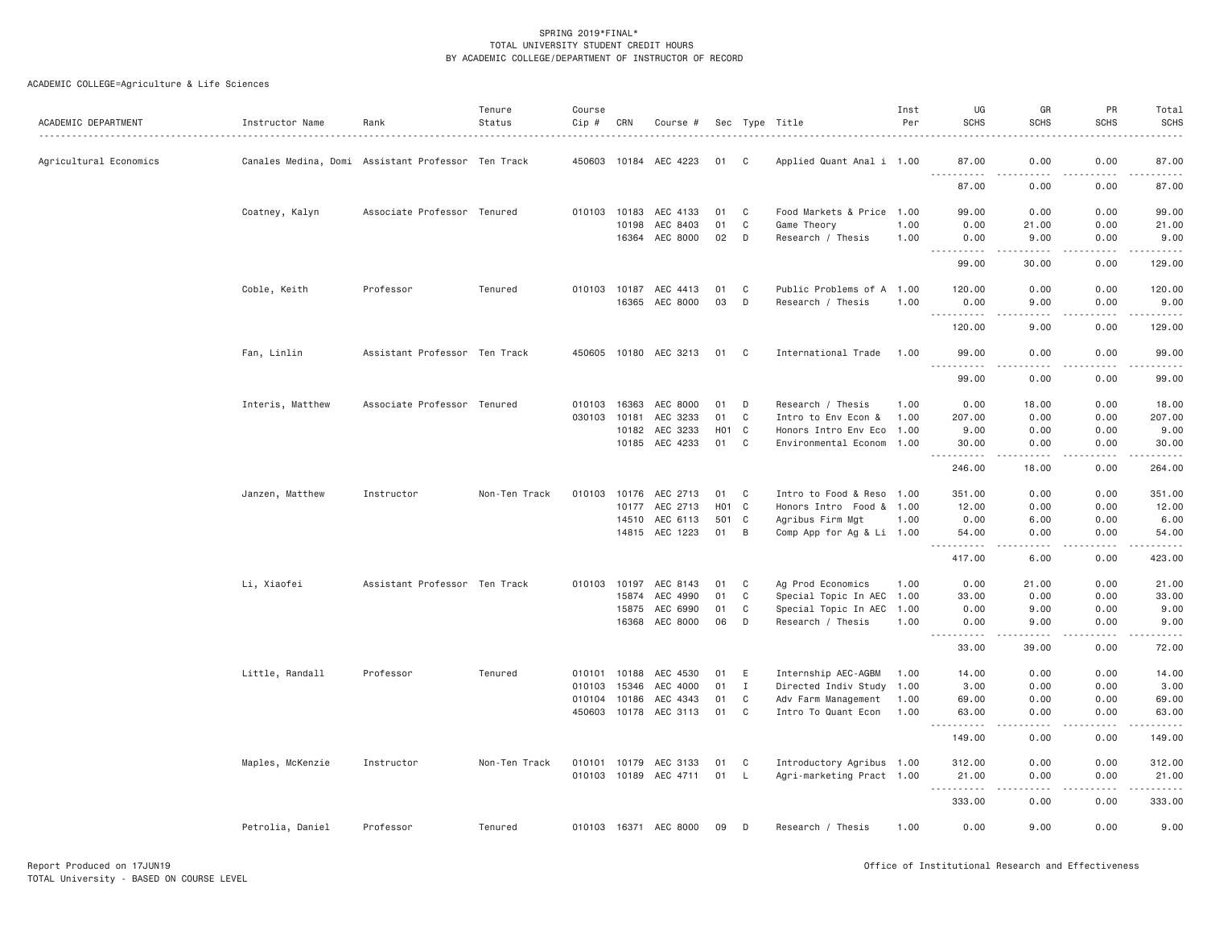| ACADEMIC DEPARTMENT    | Instructor Name                                    | Rank                          | Tenure<br>Status | Course<br>$Cip \#$ | CRN            | Course #                         |                          |              | Sec Type Title                                         | Inst<br>Per  | UG<br><b>SCHS</b>                                                                                                                                             | GR<br><b>SCHS</b>                    | PR<br><b>SCHS</b>                                                                                                                      | Total<br><b>SCHS</b>           |
|------------------------|----------------------------------------------------|-------------------------------|------------------|--------------------|----------------|----------------------------------|--------------------------|--------------|--------------------------------------------------------|--------------|---------------------------------------------------------------------------------------------------------------------------------------------------------------|--------------------------------------|----------------------------------------------------------------------------------------------------------------------------------------|--------------------------------|
| Agricultural Economics | Canales Medina, Domi Assistant Professor Ten Track |                               |                  |                    |                | 450603 10184 AEC 4223            | 01                       | C            | Applied Quant Anal i 1.00                              |              | 87.00                                                                                                                                                         | 0.00                                 | 0.00                                                                                                                                   | 87.00                          |
|                        |                                                    |                               |                  |                    |                |                                  |                          |              |                                                        |              | .<br>87.00                                                                                                                                                    | 22222<br>0.00                        | .<br>0.00                                                                                                                              | .<br>87.00                     |
|                        | Coatney, Kalyn                                     | Associate Professor Tenured   |                  |                    | 010103 10183   | AEC 4133                         | 01                       | C            | Food Markets & Price 1.00                              |              | 99.00                                                                                                                                                         | 0.00                                 | 0.00                                                                                                                                   | 99.00                          |
|                        |                                                    |                               |                  |                    | 10198          | AEC 8403<br>16364 AEC 8000       | 01<br>02                 | C<br>D       | Game Theory<br>Research / Thesis                       | 1.00<br>1.00 | 0.00<br>0.00<br>.                                                                                                                                             | 21.00<br>9.00<br>. <u>.</u> .        | 0.00<br>0.00<br>.                                                                                                                      | 21.00<br>9.00<br>$- - - - - -$ |
|                        |                                                    |                               |                  |                    |                |                                  |                          |              |                                                        |              | 99.00                                                                                                                                                         | 30.00                                | 0.00                                                                                                                                   | 129.00                         |
|                        | Coble, Keith                                       | Professor                     | Tenured          |                    |                | 010103 10187 AEC 4413            | 01                       | C            | Public Problems of A 1.00                              |              | 120.00                                                                                                                                                        | 0.00                                 | 0.00                                                                                                                                   | 120.00                         |
|                        |                                                    |                               |                  |                    |                | 16365 AEC 8000                   | 03                       | D            | Research / Thesis                                      | 1.00         | 0.00<br>.                                                                                                                                                     | 9.00<br>.                            | 0.00<br>.                                                                                                                              | 9.00<br>$- - - - - -$          |
|                        |                                                    |                               |                  |                    |                |                                  |                          |              |                                                        |              | 120.00                                                                                                                                                        | 9.00                                 | 0.00                                                                                                                                   | 129.00                         |
|                        | Fan, Linlin                                        | Assistant Professor Ten Track |                  |                    |                | 450605 10180 AEC 3213            | 01                       | C            | International Trade                                    | 1.00         | 99.00<br><u>.</u>                                                                                                                                             | 0.00<br>د د د د                      | 0.00<br>.                                                                                                                              | 99.00<br>.                     |
|                        |                                                    |                               |                  |                    |                |                                  |                          |              |                                                        |              | 99.00                                                                                                                                                         | 0.00                                 | 0.00                                                                                                                                   | 99.00                          |
|                        | Interis, Matthew                                   | Associate Professor Tenured   |                  | 010103<br>030103   | 16363<br>10181 | AEC 8000<br>AEC 3233             | 01<br>01                 | D<br>C       | Research / Thesis<br>Intro to Env Econ &               | 1.00<br>1.00 | 0.00<br>207.00                                                                                                                                                | 18.00<br>0.00                        | 0.00<br>0.00                                                                                                                           | 18.00<br>207.00                |
|                        |                                                    |                               |                  |                    |                |                                  |                          |              |                                                        |              |                                                                                                                                                               |                                      |                                                                                                                                        |                                |
|                        |                                                    |                               |                  |                    |                | 10182 AEC 3233<br>10185 AEC 4233 | H <sub>0</sub> 1 C<br>01 | $\mathbf C$  | Honors Intro Env Eco 1.00<br>Environmental Econom 1.00 |              | 9.00<br>30.00                                                                                                                                                 | 0.00<br>0.00                         | 0.00<br>0.00                                                                                                                           | 9.00<br>30.00                  |
|                        |                                                    |                               |                  |                    |                |                                  |                          |              |                                                        |              | .<br>246.00                                                                                                                                                   | $\sim$ $\sim$ $\sim$ $\sim$<br>18,00 | .<br>0.00                                                                                                                              | .<br>264.00                    |
|                        | Janzen, Matthew                                    | Instructor                    | Non-Ten Track    | 010103             |                | 10176 AEC 2713                   | 01                       | C            | Intro to Food & Reso 1.00                              |              | 351.00                                                                                                                                                        | 0.00                                 | 0.00                                                                                                                                   | 351.00                         |
|                        |                                                    |                               |                  |                    | 10177          | AEC 2713                         | H <sub>0</sub> 1 C       |              | Honors Intro Food & 1.00                               |              | 12.00                                                                                                                                                         | 0.00                                 | 0.00                                                                                                                                   | 12.00                          |
|                        |                                                    |                               |                  |                    | 14510          | AEC 6113                         | 501 C                    |              | Agribus Firm Mgt                                       | 1.00         | 0.00                                                                                                                                                          | 6.00                                 | 0.00                                                                                                                                   | 6.00                           |
|                        |                                                    |                               |                  |                    |                | 14815 AEC 1223                   | 01                       | B            | Comp App for Ag & Li 1.00                              |              | 54,00<br>$\frac{1}{2} \left( \frac{1}{2} \right) \left( \frac{1}{2} \right) \left( \frac{1}{2} \right) \left( \frac{1}{2} \right) \left( \frac{1}{2} \right)$ | 0.00                                 | 0.00                                                                                                                                   | 54.00                          |
|                        |                                                    |                               |                  |                    |                |                                  |                          |              |                                                        |              | 417.00                                                                                                                                                        | 6.00                                 | 0.00                                                                                                                                   | 423.00                         |
|                        | Li, Xiaofei                                        | Assistant Professor Ten Track |                  |                    |                | 010103 10197 AEC 8143            | 01                       | C            | Ag Prod Economics                                      | 1.00         | 0.00                                                                                                                                                          | 21.00                                | 0.00                                                                                                                                   | 21.00                          |
|                        |                                                    |                               |                  |                    | 15874          | AEC 4990                         | 01                       | $\mathbf{C}$ | Special Topic In AEC 1.00                              |              | 33.00                                                                                                                                                         | 0.00                                 | 0.00                                                                                                                                   | 33.00                          |
|                        |                                                    |                               |                  |                    | 15875          | AEC 6990                         | 01                       | C            | Special Topic In AEC 1.00                              |              | 0.00                                                                                                                                                          | 9.00                                 | 0.00                                                                                                                                   | 9.00                           |
|                        |                                                    |                               |                  |                    |                | 16368 AEC 8000                   | 06                       | D            | Research / Thesis                                      | 1.00         | 0.00<br>.<br>$\sim$ $\sim$ $\sim$                                                                                                                             | 9.00<br>.                            | 0.00<br>.                                                                                                                              | 9.00<br>.                      |
|                        |                                                    |                               |                  |                    |                |                                  |                          |              |                                                        |              | 33.00                                                                                                                                                         | 39.00                                | 0.00                                                                                                                                   | 72.00                          |
|                        | Little, Randall                                    | Professor                     | Tenured          | 010101 10188       |                | AEC 4530                         | 01                       | E            | Internship AEC-AGBM                                    | 1.00         | 14.00                                                                                                                                                         | 0.00                                 | 0.00                                                                                                                                   | 14.00                          |
|                        |                                                    |                               |                  | 010103 15346       |                | AEC 4000                         | 01                       | $\mathbf{I}$ | Directed Indiv Study 1.00                              |              | 3.00                                                                                                                                                          | 0.00                                 | 0.00                                                                                                                                   | 3.00                           |
|                        |                                                    |                               |                  | 010104 10186       |                | AEC 4343                         | 01                       | $\mathbf C$  | Adv Farm Management                                    | 1.00         | 69.00                                                                                                                                                         | 0.00                                 | 0.00                                                                                                                                   | 69.00                          |
|                        |                                                    |                               |                  |                    |                | 450603 10178 AEC 3113            | 01                       | C            | Intro To Quant Econ                                    | 1.00         | 63.00<br>.                                                                                                                                                    | 0.00<br>.                            | 0.00<br>.                                                                                                                              | 63.00<br>.                     |
|                        |                                                    |                               |                  |                    |                |                                  |                          |              |                                                        |              | 149.00                                                                                                                                                        | 0.00                                 | 0.00                                                                                                                                   | 149.00                         |
|                        | Maples, McKenzie                                   | Instructor                    | Non-Ten Track    |                    |                | 010101 10179 AEC 3133            | 01                       | C            | Introductory Agribus 1.00                              |              | 312.00                                                                                                                                                        | 0.00                                 | 0.00                                                                                                                                   | 312.00                         |
|                        |                                                    |                               |                  |                    |                | 010103 10189 AEC 4711            | 01                       | $\mathsf{L}$ | Agri-marketing Pract 1.00                              |              | 21.00                                                                                                                                                         | 0.00                                 | 0.00                                                                                                                                   | 21.00                          |
|                        |                                                    |                               |                  |                    |                |                                  |                          |              |                                                        |              | .<br>$\sim$ $\sim$ $\sim$<br>333.00                                                                                                                           | .<br>0.00                            | .<br>$\frac{1}{2} \left( \frac{1}{2} \right) \left( \frac{1}{2} \right) \left( \frac{1}{2} \right) \left( \frac{1}{2} \right)$<br>0.00 | .<br>333.00                    |
|                        | Petrolia, Daniel                                   | Professor                     | Tenured          |                    |                | 010103 16371 AEC 8000            | 09                       | D            | Research / Thesis                                      | 1.00         | 0.00                                                                                                                                                          | 9.00                                 | 0.00                                                                                                                                   | 9.00                           |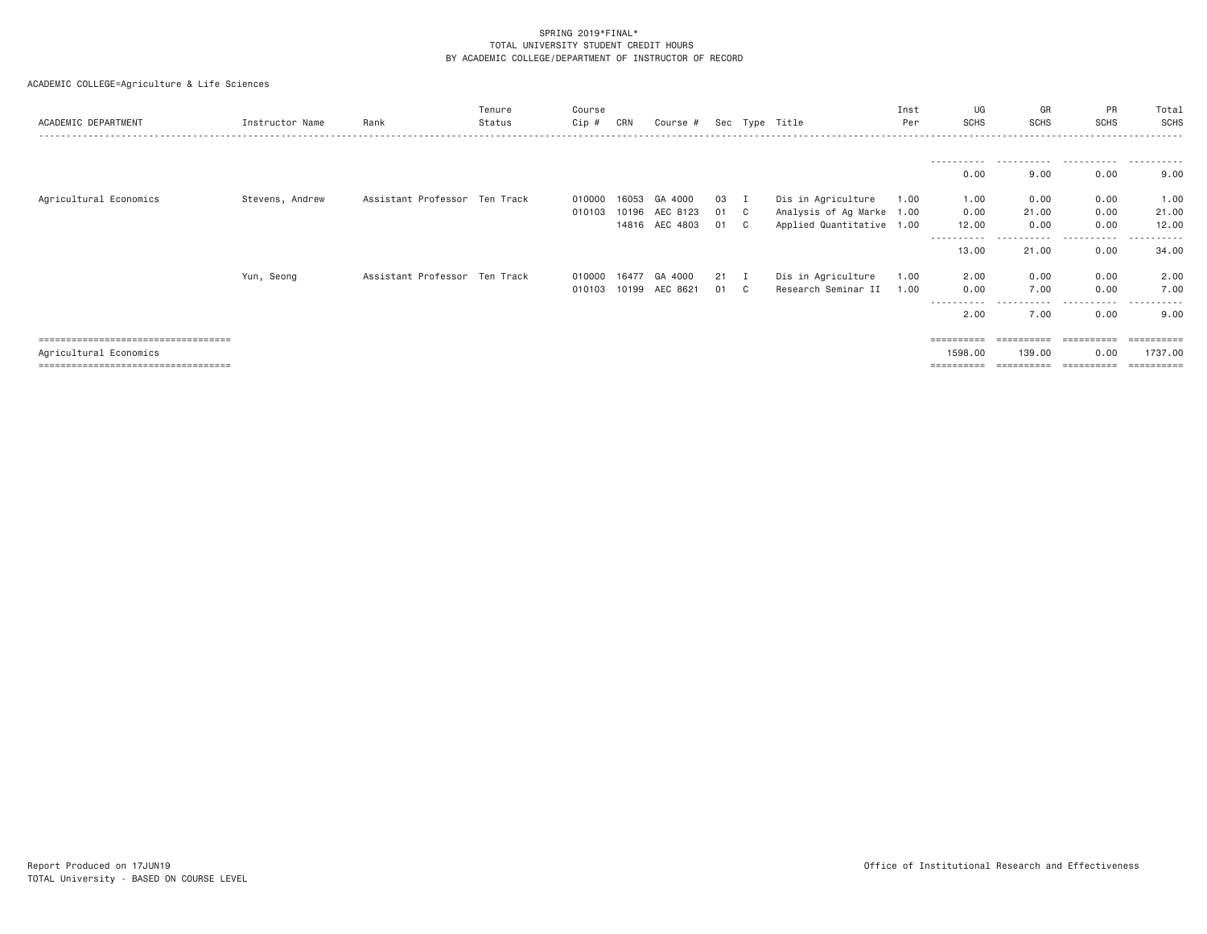| ACADEMIC DEPARTMENT                  | Instructor Name | Rank                          | Tenure<br>Status | Course<br>Cip # | CRN   | Course #              |      |             | Sec Type Title            | Inst<br>Per | UG<br><b>SCHS</b> | GR<br><b>SCHS</b> | <b>PR</b><br><b>SCHS</b> | Total<br>SCHS         |
|--------------------------------------|-----------------|-------------------------------|------------------|-----------------|-------|-----------------------|------|-------------|---------------------------|-------------|-------------------|-------------------|--------------------------|-----------------------|
|                                      |                 |                               |                  |                 |       |                       |      |             |                           |             |                   |                   |                          | .                     |
|                                      |                 |                               |                  |                 |       |                       |      |             |                           |             | 0.00              | 9.00              | 0.00                     | 9.00                  |
| Agricultural Economics               | Stevens, Andrew | Assistant Professor Ten Track |                  | 010000          | 16053 | GA 4000               | 03   | $\mathbf I$ | Dis in Agriculture        | 1.00        | 1.00              | 0.00              | 0.00                     | 1.00                  |
|                                      |                 |                               |                  | 010103          |       | 10196 AEC 8123        | 01 C |             | Analysis of Ag Marke 1.00 |             | 0.00              | 21.00             | 0.00                     | 21.00                 |
|                                      |                 |                               |                  |                 |       | 14816 AEC 4803        | 01   | C.          | Applied Quantitative 1.00 |             | 12.00             | 0.00              | 0.00                     | 12.00                 |
|                                      |                 |                               |                  |                 |       |                       |      |             |                           |             | 13,00             | 21.00             | 0.00                     | 34.00                 |
|                                      | Yun, Seong      | Assistant Professor Ten Track |                  | 010000 16477    |       | GA 4000               | 21   | - 1         | Dis in Agriculture        | 1.00        | 2.00              | 0.00              | 0.00                     | 2.00                  |
|                                      |                 |                               |                  |                 |       | 010103 10199 AEC 8621 | 01   | C.          | Research Seminar II       | 1.00        | 0.00              | 7.00              | 0.00                     | 7.00                  |
|                                      |                 |                               |                  |                 |       |                       |      |             |                           |             | $\cdots$<br>2,00  | 7.00              | 0.00                     | 9.00                  |
| ==================================== |                 |                               |                  |                 |       |                       |      |             |                           |             | ==========        | ==========        | ==========               | =========             |
| Agricultural Economics               |                 |                               |                  |                 |       |                       |      |             |                           |             | 1598,00           | 139.00            | 0.00                     | 1737.00               |
| ==================================== |                 |                               |                  |                 |       |                       |      |             |                           |             | ==========        | ==========        | ==========               | $=$ = = = = = = = = = |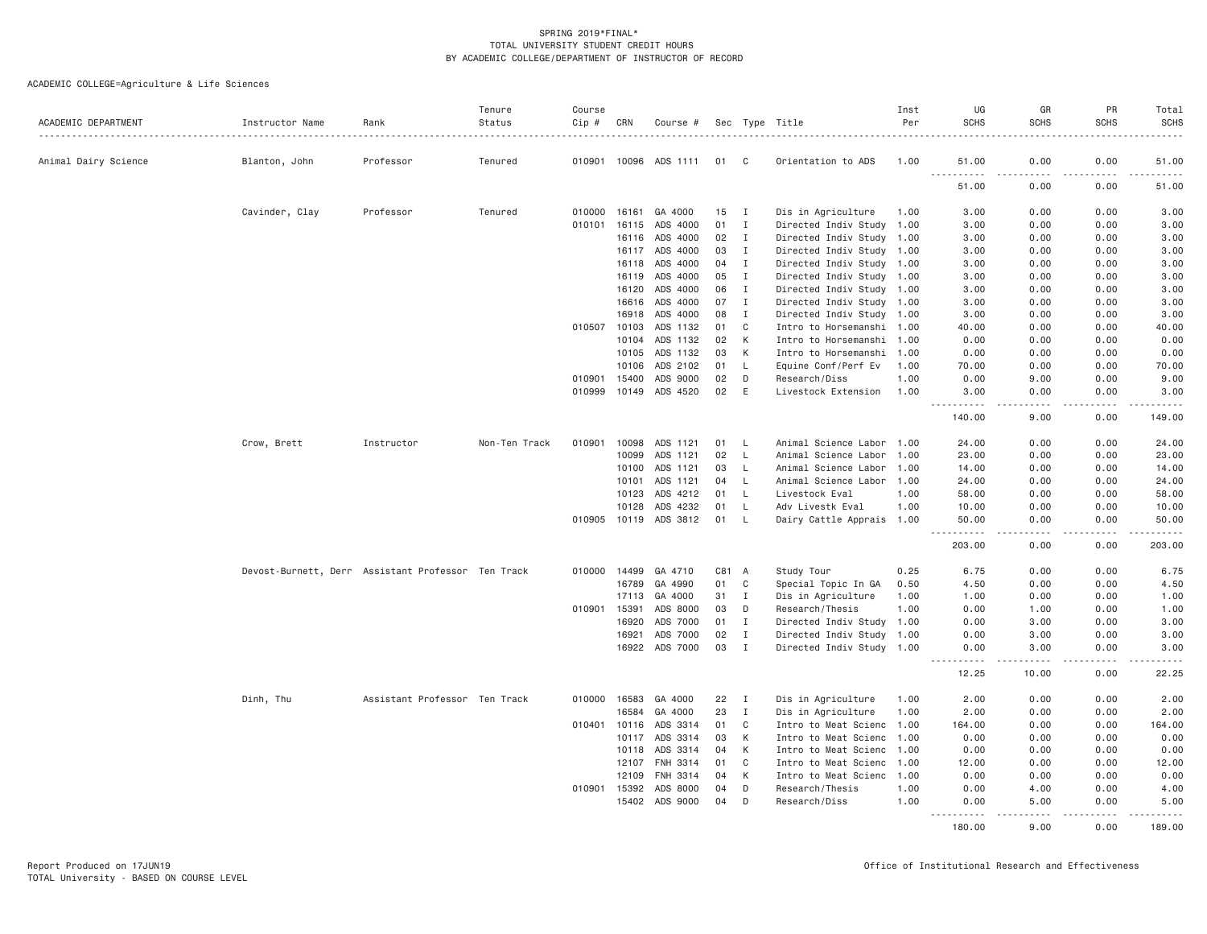| ACADEMIC DEPARTMENT  | Instructor Name                                    | Rank                          | Tenure<br>Status | Course<br>Cip # | CRN          | Course #              |       |              | Sec Type Title            | Inst<br>Per | UG<br><b>SCHS</b>                                                                                                                                             | GR<br><b>SCHS</b>                   | PR<br><b>SCHS</b> | Total<br><b>SCHS</b> |
|----------------------|----------------------------------------------------|-------------------------------|------------------|-----------------|--------------|-----------------------|-------|--------------|---------------------------|-------------|---------------------------------------------------------------------------------------------------------------------------------------------------------------|-------------------------------------|-------------------|----------------------|
| Animal Dairy Science | Blanton, John                                      | Professor                     | Tenured          |                 |              | 010901 10096 ADS 1111 | 01    | C            | Orientation to ADS        | 1.00        | 51.00                                                                                                                                                         | 0.00                                | 0.00              | .<br>51.00           |
|                      |                                                    |                               |                  |                 |              |                       |       |              |                           |             | $\frac{1}{2} \left( \frac{1}{2} \right) \left( \frac{1}{2} \right) \left( \frac{1}{2} \right) \left( \frac{1}{2} \right) \left( \frac{1}{2} \right)$<br>51.00 | .<br>0.00                           | 0.00              | 51.00                |
|                      | Cavinder, Clay                                     | Professor                     | Tenured          | 010000          | 16161        | GA 4000               | 15    | $\mathbf{I}$ | Dis in Agriculture        | 1.00        | 3.00                                                                                                                                                          | 0.00                                | 0.00              | 3.00                 |
|                      |                                                    |                               |                  | 010101          | 16115        | ADS 4000              | 01    | $\mathbf{I}$ | Directed Indiv Study 1.00 |             | 3.00                                                                                                                                                          | 0.00                                | 0.00              | 3.00                 |
|                      |                                                    |                               |                  |                 |              | 16116 ADS 4000        | 02    | $\mathbf{I}$ | Directed Indiv Study 1.00 |             | 3.00                                                                                                                                                          | 0.00                                | 0.00              | 3.00                 |
|                      |                                                    |                               |                  |                 | 16117        | ADS 4000              | 03    | $\mathbf{I}$ | Directed Indiv Study 1.00 |             | 3.00                                                                                                                                                          | 0.00                                | 0.00              | 3.00                 |
|                      |                                                    |                               |                  |                 | 16118        | ADS 4000              | 04    | $\mathbf{I}$ | Directed Indiv Study 1.00 |             | 3.00                                                                                                                                                          | 0.00                                | 0.00              | 3.00                 |
|                      |                                                    |                               |                  |                 | 16119        | ADS 4000              | 05    | $\mathbf{I}$ | Directed Indiv Study 1.00 |             | 3,00                                                                                                                                                          | 0.00                                | 0.00              | 3.00                 |
|                      |                                                    |                               |                  |                 | 16120        | ADS 4000              | 06    | $\mathbf{I}$ | Directed Indiv Study 1.00 |             | 3.00                                                                                                                                                          | 0.00                                | 0.00              | 3.00                 |
|                      |                                                    |                               |                  |                 | 16616        | ADS 4000              | 07    | $\mathbf{I}$ | Directed Indiv Study 1.00 |             | 3.00                                                                                                                                                          | 0.00                                | 0.00              | 3.00                 |
|                      |                                                    |                               |                  |                 | 16918        | ADS 4000              | 08    | Ι.           | Directed Indiv Study 1.00 |             | 3.00                                                                                                                                                          | 0.00                                | 0.00              | 3.00                 |
|                      |                                                    |                               |                  | 010507          | 10103        | ADS 1132              | 01    | C            | Intro to Horsemanshi 1.00 |             | 40.00                                                                                                                                                         | 0.00                                | 0.00              | 40.00                |
|                      |                                                    |                               |                  |                 | 10104        | ADS 1132              | 02    | K            | Intro to Horsemanshi 1.00 |             | 0.00                                                                                                                                                          | 0.00                                | 0.00              | 0.00                 |
|                      |                                                    |                               |                  |                 | 10105        | ADS 1132              | 03    | К            | Intro to Horsemanshi 1.00 |             | 0.00                                                                                                                                                          | 0.00                                | 0.00              | 0.00                 |
|                      |                                                    |                               |                  |                 | 10106        | ADS 2102              | 01    | L            | Equine Conf/Perf Ev       | 1.00        | 70.00                                                                                                                                                         | 0.00                                | 0.00              | 70.00                |
|                      |                                                    |                               |                  | 010901          | 15400        | ADS 9000              | 02    | D            | Research/Diss             | 1.00        | 0.00                                                                                                                                                          | 9.00                                | 0.00              | 9.00                 |
|                      |                                                    |                               |                  | 010999          | 10149        | ADS 4520              | 02    | E            | Livestock Extension       | 1.00        | 3.00<br>$- - - - - -$                                                                                                                                         | 0.00<br>$- - - -$                   | 0.00<br>.         | 3.00<br><u>.</u>     |
|                      |                                                    |                               |                  |                 |              |                       |       |              |                           |             | 140.00                                                                                                                                                        | 9.00                                | 0.00              | 149.00               |
|                      | Crow, Brett                                        | Instructor                    | Non-Ten Track    | 010901          | 10098        | ADS 1121              | 01    | <b>L</b>     | Animal Science Labor 1.00 |             | 24.00                                                                                                                                                         | 0.00                                | 0.00              | 24.00                |
|                      |                                                    |                               |                  |                 | 10099        | ADS 1121              | 02    | L.           | Animal Science Labor 1.00 |             | 23.00                                                                                                                                                         | 0.00                                | 0.00              | 23.00                |
|                      |                                                    |                               |                  |                 | 10100        | ADS 1121              | 03    | $\mathsf{L}$ | Animal Science Labor 1.00 |             | 14.00                                                                                                                                                         | 0.00                                | 0.00              | 14.00                |
|                      |                                                    |                               |                  |                 | 10101        | ADS 1121              | 04    | L.           | Animal Science Labor 1.00 |             | 24.00                                                                                                                                                         | 0.00                                | 0.00              | 24.00                |
|                      |                                                    |                               |                  |                 | 10123        | ADS 4212              | 01    | $\mathsf{L}$ | Livestock Eval            | 1.00        | 58.00                                                                                                                                                         | 0.00                                | 0.00              | 58.00                |
|                      |                                                    |                               |                  |                 | 10128        | ADS 4232              | 01    | L.           | Adv Livestk Eval          | 1.00        | 10.00                                                                                                                                                         | 0.00                                | 0.00              | 10.00                |
|                      |                                                    |                               |                  |                 |              | 010905 10119 ADS 3812 | 01    | L.           | Dairy Cattle Apprais 1.00 |             | 50.00<br>.<br>$\frac{1}{2}$                                                                                                                                   | 0.00<br>$\sim$ $\sim$ $\sim$ $\sim$ | 0.00<br>-----     | 50.00<br>.           |
|                      |                                                    |                               |                  |                 |              |                       |       |              |                           |             | 203.00                                                                                                                                                        | 0.00                                | 0.00              | 203.00               |
|                      | Devost-Burnett, Derr Assistant Professor Ten Track |                               |                  |                 | 010000 14499 | GA 4710               | C81 A |              | Study Tour                | 0.25        | 6.75                                                                                                                                                          | 0.00                                | 0.00              | 6.75                 |
|                      |                                                    |                               |                  |                 | 16789        | GA 4990               | 01    | $\mathbf C$  | Special Topic In GA       | 0.50        | 4.50                                                                                                                                                          | 0.00                                | 0.00              | 4.50                 |
|                      |                                                    |                               |                  |                 | 17113        | GA 4000               | 31    | $\mathbf{I}$ | Dis in Agriculture        | 1.00        | 1.00                                                                                                                                                          | 0.00                                | 0.00              | 1.00                 |
|                      |                                                    |                               |                  | 010901          | 15391        | ADS 8000              | 03    | D            | Research/Thesis           | 1.00        | 0.00                                                                                                                                                          | 1.00                                | 0.00              | 1.00                 |
|                      |                                                    |                               |                  |                 | 16920        | ADS 7000              | 01    | $\mathbf{I}$ | Directed Indiv Study 1.00 |             | 0.00                                                                                                                                                          | 3.00                                | 0.00              | 3.00                 |
|                      |                                                    |                               |                  |                 | 16921        | ADS 7000              | 02    | I            | Directed Indiv Study 1.00 |             | 0.00                                                                                                                                                          | 3.00                                | 0.00              | 3.00                 |
|                      |                                                    |                               |                  |                 |              | 16922 ADS 7000        | 03    | I            | Directed Indiv Study 1.00 |             | 0.00<br>.<br>$\sim$ $\sim$ $\sim$                                                                                                                             | 3.00<br>-----                       | 0.00<br>-----     | 3.00<br>.            |
|                      |                                                    |                               |                  |                 |              |                       |       |              |                           |             | 12.25                                                                                                                                                         | 10.00                               | 0.00              | 22.25                |
|                      | Dinh, Thu                                          | Assistant Professor Ten Track |                  |                 | 010000 16583 | GA 4000               | 22    | $\mathbf{I}$ | Dis in Agriculture        | 1.00        | 2.00                                                                                                                                                          | 0.00                                | 0.00              | 2.00                 |
|                      |                                                    |                               |                  |                 | 16584        | GA 4000               | 23    | $\mathbf{I}$ | Dis in Agriculture        | 1.00        | 2.00                                                                                                                                                          | 0.00                                | 0.00              | 2.00                 |
|                      |                                                    |                               |                  | 010401          | 10116        | ADS 3314              | 01    | C            | Intro to Meat Scienc      | 1.00        | 164.00                                                                                                                                                        | 0.00                                | 0.00              | 164.00               |
|                      |                                                    |                               |                  |                 | 10117        | ADS 3314              | 03    | K            | Intro to Meat Scienc 1.00 |             | 0.00                                                                                                                                                          | 0.00                                | 0.00              | 0.00                 |
|                      |                                                    |                               |                  |                 | 10118        | ADS 3314              | 04    | K            | Intro to Meat Scienc 1.00 |             | 0.00                                                                                                                                                          | 0.00                                | 0.00              | 0.00                 |
|                      |                                                    |                               |                  |                 | 12107        | FNH 3314              | 01    | C            | Intro to Meat Scienc      | 1.00        | 12.00                                                                                                                                                         | 0.00                                | 0.00              | 12.00                |
|                      |                                                    |                               |                  |                 | 12109        | FNH 3314              | 04    | К            | Intro to Meat Scienc 1.00 |             | 0.00                                                                                                                                                          | 0.00                                | 0.00              | 0.00                 |
|                      |                                                    |                               |                  | 010901 15392    |              | ADS 8000              | 04    | D            | Research/Thesis           | 1,00        | 0.00                                                                                                                                                          | 4.00                                | 0.00              | 4.00                 |
|                      |                                                    |                               |                  |                 | 15402        | ADS 9000              | 04    | D            | Research/Diss             | 1.00        | 0.00<br>.                                                                                                                                                     | 5.00<br>.                           | 0.00<br>.         | 5.00<br>.            |
|                      |                                                    |                               |                  |                 |              |                       |       |              |                           |             | 180,00                                                                                                                                                        | 9.00                                | 0.00              | 189,00               |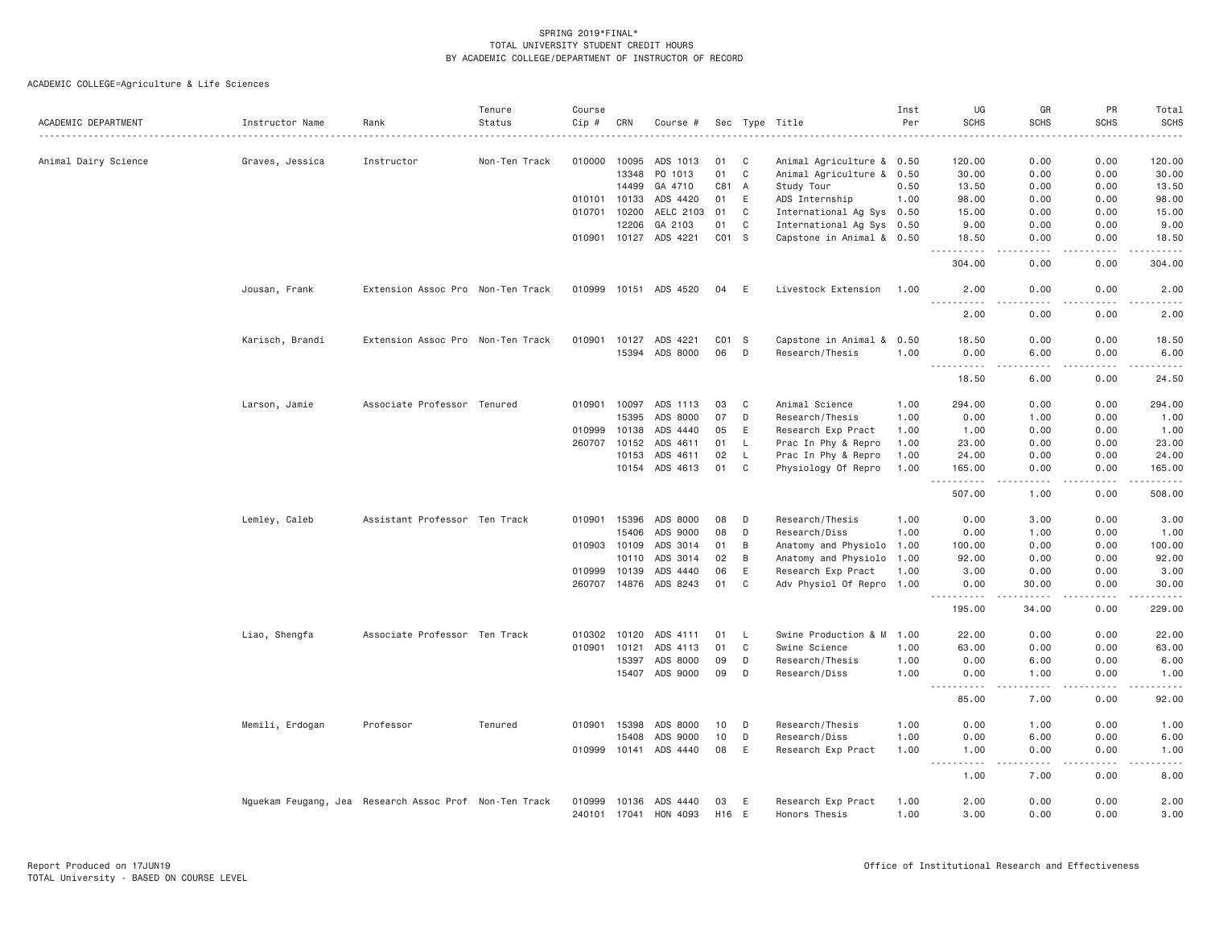| ACADEMIC DEPARTMENT  | Instructor Name                                        | Rank                              | Tenure<br>Status | Course<br>Cip # | CRN          | Course #              |                 |             | Sec Type Title            | Inst<br>Per | UG<br><b>SCHS</b>                           | GR<br><b>SCHS</b>                   | PR<br><b>SCHS</b>            | Total<br><b>SCHS</b><br>. |
|----------------------|--------------------------------------------------------|-----------------------------------|------------------|-----------------|--------------|-----------------------|-----------------|-------------|---------------------------|-------------|---------------------------------------------|-------------------------------------|------------------------------|---------------------------|
|                      |                                                        |                                   |                  |                 |              |                       |                 |             |                           |             |                                             |                                     |                              |                           |
| Animal Dairy Science | Graves, Jessica                                        | Instructor                        | Non-Ten Track    | 010000          | 10095        | ADS 1013              | 01              | C           | Animal Agriculture & 0.50 |             | 120.00                                      | 0.00                                | 0.00                         | 120.00                    |
|                      |                                                        |                                   |                  |                 | 13348        | PO 1013               | 01              | $\mathbf C$ | Animal Agriculture & 0.50 |             | 30.00                                       | 0.00                                | 0.00                         | 30.00                     |
|                      |                                                        |                                   |                  |                 | 14499        | GA 4710               | C81             | A           | Study Tour                | 0.50        | 13.50                                       | 0.00                                | 0.00                         | 13.50                     |
|                      |                                                        |                                   |                  |                 | 010101 10133 | ADS 4420              | 01              | E           | ADS Internship            | 1.00        | 98.00                                       | 0.00                                | 0.00                         | 98.00                     |
|                      |                                                        |                                   |                  |                 | 010701 10200 | AELC 2103             | 01              | C           | International Ag Sys 0.50 |             | 15.00                                       | 0.00                                | 0.00                         | 15.00                     |
|                      |                                                        |                                   |                  |                 | 12206        | GA 2103               | 01              | C           | International Ag Sys 0.50 |             | 9.00                                        | 0.00                                | 0.00                         | 9.00                      |
|                      |                                                        |                                   |                  |                 |              | 010901 10127 ADS 4221 | CO1 S           |             | Capstone in Animal & 0.50 |             | 18.50<br>.                                  | 0.00<br>$\sim$ $\sim$ $\sim$ $\sim$ | 0.00<br>.                    | 18.50<br>.                |
|                      |                                                        |                                   |                  |                 |              |                       |                 |             |                           |             | 304.00                                      | 0.00                                | 0.00                         | 304.00                    |
|                      | Jousan, Frank                                          | Extension Assoc Pro Non-Ten Track |                  |                 |              | 010999 10151 ADS 4520 | 04              | E           | Livestock Extension       | 1.00        | 2.00<br>.                                   | 0.00<br>$\sim$ $\sim$ $\sim$ $\sim$ | 0.00<br>.                    | 2.00<br>$\frac{1}{2}$     |
|                      |                                                        |                                   |                  |                 |              |                       |                 |             |                           |             | 2.00                                        | 0.00                                | 0.00                         | 2.00                      |
|                      | Karisch, Brandi                                        | Extension Assoc Pro Non-Ten Track |                  | 010901          | 10127        | ADS 4221              | CO1 S           |             | Capstone in Animal & 0.50 |             | 18.50                                       | 0.00                                | 0.00                         | 18.50                     |
|                      |                                                        |                                   |                  |                 | 15394        | ADS 8000              | 06              | D           | Research/Thesis           | 1.00        | 0.00<br><u>.</u>                            | 6.00                                | 0.00                         | 6.00                      |
|                      |                                                        |                                   |                  |                 |              |                       |                 |             |                           |             | 18.50                                       | 6.00                                | 0.00                         | 24.50                     |
|                      | Larson, Jamie                                          | Associate Professor Tenured       |                  |                 | 010901 10097 | ADS 1113              | 03              | C           | Animal Science            | 1.00        | 294.00                                      | 0.00                                | 0.00                         | 294.00                    |
|                      |                                                        |                                   |                  |                 | 15395        | ADS 8000              | 07              | D           | Research/Thesis           | 1.00        | 0.00                                        | 1.00                                | 0.00                         | 1.00                      |
|                      |                                                        |                                   |                  | 010999          | 10138        | ADS 4440              | 05              | E           | Research Exp Pract        | 1.00        | 1.00                                        | 0.00                                | 0.00                         | 1.00                      |
|                      |                                                        |                                   |                  | 260707          | 10152        | ADS 4611              | 01              | L.          | Prac In Phy & Repro       | 1.00        | 23.00                                       | 0.00                                | 0.00                         | 23.00                     |
|                      |                                                        |                                   |                  |                 | 10153        | ADS 4611              | 02              | L.          | Prac In Phy & Repro       | 1.00        | 24.00                                       | 0.00                                | 0.00                         | 24.00                     |
|                      |                                                        |                                   |                  |                 | 10154        | ADS 4613              | 01              | C           | Physiology Of Repro       | 1.00        | 165.00<br>$- - - -$<br>$\sim$ $\sim$ $\sim$ | 0.00                                | 0.00                         | 165.00<br><u>.</u>        |
|                      |                                                        |                                   |                  |                 |              |                       |                 |             |                           |             | 507.00                                      | 1.00                                | 0.00                         | 508.00                    |
|                      | Lemley, Caleb                                          | Assistant Professor Ten Track     |                  |                 | 010901 15396 | ADS 8000              | 08              | D           | Research/Thesis           | 1.00        | 0.00                                        | 3.00                                | 0.00                         | 3.00                      |
|                      |                                                        |                                   |                  |                 | 15406        | ADS 9000              | 08              | D           | Research/Diss             | 1.00        | 0.00                                        | 1.00                                | 0.00                         | 1.00                      |
|                      |                                                        |                                   |                  | 010903 10109    |              | ADS 3014              | 01              | B           | Anatomy and Physiolo 1.00 |             | 100.00                                      | 0.00                                | 0.00                         | 100.00                    |
|                      |                                                        |                                   |                  |                 | 10110        | ADS 3014              | 02              | B           | Anatomy and Physiolo 1.00 |             | 92.00                                       | 0.00                                | 0.00                         | 92.00                     |
|                      |                                                        |                                   |                  | 010999          | 10139        | ADS 4440              | 06              | E           | Research Exp Pract        | 1.00        | 3,00                                        | 0.00                                | 0.00                         | 3.00                      |
|                      |                                                        |                                   |                  |                 | 260707 14876 | ADS 8243              | 01              | C           | Adv Physiol Of Repro 1.00 |             | 0.00<br>$  -$                               | 30.00                               | 0.00                         | 30.00<br>.                |
|                      |                                                        |                                   |                  |                 |              |                       |                 |             |                           |             | 195.00                                      | 34.00                               | 0.00                         | 229.00                    |
|                      | Liao, Shengfa                                          | Associate Professor Ten Track     |                  | 010302 10120    |              | ADS 4111              | 01              | L.          | Swine Production & M      | 1.00        | 22.00                                       | 0.00                                | 0.00                         | 22.00                     |
|                      |                                                        |                                   |                  | 010901          | 10121        | ADS 4113              | 01              | C           | Swine Science             | 1.00        | 63,00                                       | 0.00                                | 0.00                         | 63.00                     |
|                      |                                                        |                                   |                  |                 | 15397        | ADS 8000              | 09              | D           | Research/Thesis           | 1.00        | 0.00                                        | 6.00                                | 0.00                         | 6.00                      |
|                      |                                                        |                                   |                  |                 |              | 15407 ADS 9000        | 09              | D           | Research/Diss             | 1.00        | 0.00                                        | 1.00                                | 0.00<br>$\sim$ $\sim$ $\sim$ | 1.00                      |
|                      |                                                        |                                   |                  |                 |              |                       |                 |             |                           |             | 85.00                                       | 7.00                                | 0.00                         | 92.00                     |
|                      | Memili, Erdogan                                        | Professor                         | Tenured          |                 | 010901 15398 | ADS 8000              | 10              | D           | Research/Thesis           | 1.00        | 0.00                                        | 1.00                                | 0.00                         | 1.00                      |
|                      |                                                        |                                   |                  |                 | 15408        | ADS 9000              | 10              | D           | Research/Diss             | 1.00        | 0.00                                        | 6.00                                | 0.00                         | 6.00                      |
|                      |                                                        |                                   |                  |                 |              | 010999 10141 ADS 4440 | 08              | E           | Research Exp Pract        | 1.00        | 1.00<br>$\sim$ $\sim$<br>.                  | 0.00<br>$- - - -$                   | 0.00<br>.                    | 1.00<br>----              |
|                      |                                                        |                                   |                  |                 |              |                       |                 |             |                           |             | 1.00                                        | 7.00                                | 0.00                         | 8.00                      |
|                      | Nguekam Feugang, Jea Research Assoc Prof Non-Ten Track |                                   |                  | 010999          | 10136        | ADS 4440              | 03              | E           | Research Exp Pract        | 1.00        | 2.00                                        | 0.00                                | 0.00                         | 2.00                      |
|                      |                                                        |                                   |                  |                 | 240101 17041 | HON 4093              | H <sub>16</sub> | E           | Honors Thesis             | 1.00        | 3.00                                        | 0.00                                | 0.00                         | 3.00                      |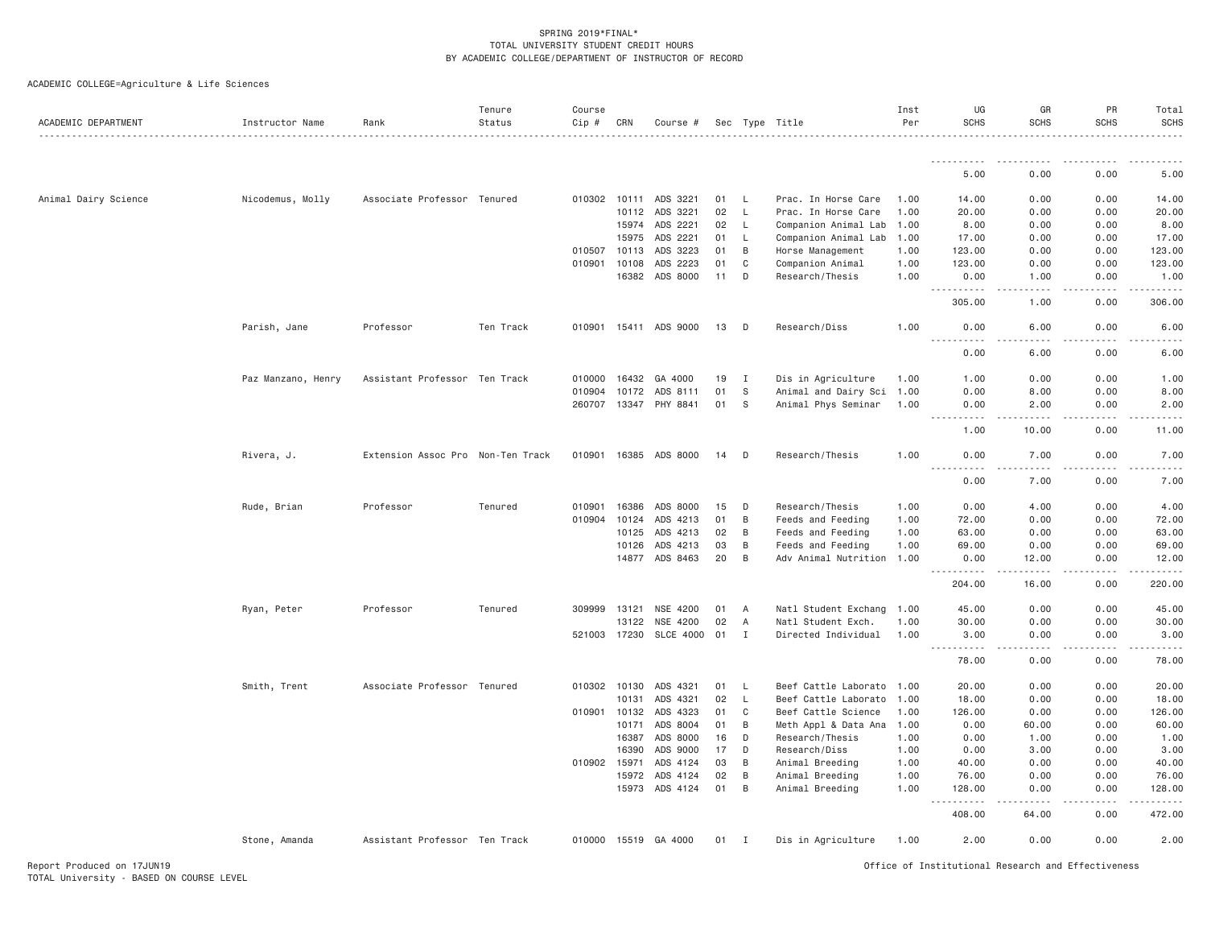| ACADEMIC DEPARTMENT  | Instructor Name    | Rank                              | Tenure<br>Status | Course<br>Cip # | CRN          | Course #              |        |                | Sec Type Title            | Inst<br>Per | UG<br><b>SCHS</b>   | GR<br><b>SCHS</b>    | PR<br><b>SCHS</b>                                                                                                                 | Total<br><b>SCHS</b> |
|----------------------|--------------------|-----------------------------------|------------------|-----------------|--------------|-----------------------|--------|----------------|---------------------------|-------------|---------------------|----------------------|-----------------------------------------------------------------------------------------------------------------------------------|----------------------|
|                      |                    |                                   |                  |                 |              |                       |        |                |                           |             | .                   |                      |                                                                                                                                   |                      |
|                      |                    |                                   |                  |                 |              |                       |        |                |                           |             | 5.00                | 0.00                 | 0.00                                                                                                                              | 5.00                 |
| Animal Dairy Science | Nicodemus, Molly   | Associate Professor Tenured       |                  |                 | 010302 10111 | ADS 3221              | 01     | <b>L</b>       | Prac. In Horse Care       | 1.00        | 14.00               | 0.00                 | 0.00                                                                                                                              | 14.00                |
|                      |                    |                                   |                  |                 | 10112        | ADS 3221              | 02     | <b>L</b>       | Prac. In Horse Care       | 1.00        | 20.00               | 0.00                 | 0.00                                                                                                                              | 20.00                |
|                      |                    |                                   |                  |                 | 15974        | ADS 2221              | 02     | L              | Companion Animal Lab      | 1.00        | 8.00                | 0.00                 | 0.00                                                                                                                              | 8.00                 |
|                      |                    |                                   |                  |                 | 15975        | ADS 2221              | 01     | L              | Companion Animal Lab      | 1.00        | 17.00               | 0.00                 | 0.00                                                                                                                              | 17.00                |
|                      |                    |                                   |                  |                 | 010507 10113 | ADS 3223              | 01     | B              | Horse Management          | 1.00        | 123.00              | 0.00                 | 0.00                                                                                                                              | 123.00               |
|                      |                    |                                   |                  | 010901          | 10108        | ADS 2223              | 01     | C              | Companion Animal          | 1.00        | 123.00              | 0.00                 | 0.00                                                                                                                              | 123.00               |
|                      |                    |                                   |                  |                 | 16382        | ADS 8000              | 11     | D              | Research/Thesis           | 1.00        | 0.00                | 1.00                 | 0.00                                                                                                                              | 1.00                 |
|                      |                    |                                   |                  |                 |              |                       |        |                |                           |             | <u>.</u><br>305.00  | .<br>1.00            | .<br>0.00                                                                                                                         | .<br>306.00          |
|                      | Parish, Jane       | Professor                         | Ten Track        | 010901          |              | 15411 ADS 9000        | 13     | D              | Research/Diss             | 1.00        | 0.00<br>$- - - - -$ | 6.00                 | 0.00                                                                                                                              | 6.00                 |
|                      |                    |                                   |                  |                 |              |                       |        |                |                           |             | 0.00                | 6.00                 | 0.00                                                                                                                              | 6.00                 |
|                      | Paz Manzano, Henry | Assistant Professor Ten Track     |                  | 010000          | 16432        | GA 4000               | 19     | $\mathbf{I}$   | Dis in Agriculture        | 1.00        | 1.00                | 0.00                 | 0.00                                                                                                                              | 1.00                 |
|                      |                    |                                   |                  | 010904          | 10172        | ADS 8111              | 01     | -S             | Animal and Dairy Sci      | 1.00        | 0.00                | 8.00                 | 0.00                                                                                                                              | 8.00                 |
|                      |                    |                                   |                  |                 |              | 260707 13347 PHY 8841 | 01     | S              | Animal Phys Seminar       | 1.00        | 0.00                | 2.00                 | 0.00                                                                                                                              | 2.00                 |
|                      |                    |                                   |                  |                 |              |                       |        |                |                           |             | .                   | .                    |                                                                                                                                   |                      |
|                      |                    |                                   |                  |                 |              |                       |        |                |                           |             | 1.00                | 10.00                | 0.00                                                                                                                              | 11.00                |
|                      | Rivera, J.         | Extension Assoc Pro Non-Ten Track |                  |                 |              | 010901 16385 ADS 8000 | 14     | D              | Research/Thesis           | 1.00        | 0.00                | 7.00                 | 0.00                                                                                                                              | 7.00                 |
|                      |                    |                                   |                  |                 |              |                       |        |                |                           |             | 0.00                | 7.00                 | 0.00                                                                                                                              | 7.00                 |
|                      | Rude, Brian        | Professor                         | Tenured          | 010901          | 16386        | ADS 8000              | 15     | D              | Research/Thesis           | 1.00        | 0.00                | 4.00                 | 0.00                                                                                                                              | 4.00                 |
|                      |                    |                                   |                  | 010904          | 10124        | ADS 4213              | 01     | B              | Feeds and Feeding         | 1.00        | 72.00               | 0.00                 | 0.00                                                                                                                              | 72.00                |
|                      |                    |                                   |                  |                 | 10125        | ADS 4213              | 02     | B              | Feeds and Feeding         | 1.00        | 63.00               | 0.00                 | 0.00                                                                                                                              | 63.00                |
|                      |                    |                                   |                  |                 | 10126        | ADS 4213              | 03     | B              | Feeds and Feeding         | 1.00        | 69.00               | 0.00                 | 0.00                                                                                                                              | 69.00                |
|                      |                    |                                   |                  |                 | 14877        | ADS 8463              | 20     | B              | Adv Animal Nutrition 1.00 |             | 0.00<br>$- - - - -$ | 12.00<br>$- - - - -$ | 0.00<br>.                                                                                                                         | 12.00                |
|                      |                    |                                   |                  |                 |              |                       |        |                |                           |             | 204.00              | 16.00                | 0.00                                                                                                                              | 220.00               |
|                      | Ryan, Peter        | Professor                         | Tenured          | 309999          | 13121        | NSE 4200              | 01     | A              | Natl Student Exchang      | 1.00        | 45.00               | 0.00                 | 0.00                                                                                                                              | 45.00                |
|                      |                    |                                   |                  |                 | 13122        | NSE 4200              | 02     | $\overline{A}$ | Natl Student Exch.        | 1.00        | 30.00               | 0.00                 | 0.00                                                                                                                              | 30.00                |
|                      |                    |                                   |                  |                 | 521003 17230 | SLCE 4000 01          |        | $\mathbf{I}$   | Directed Individual       | 1.00        | 3.00<br><u>.</u>    | 0.00<br>.            | 0.00<br>$\frac{1}{2} \left( \frac{1}{2} \right) \left( \frac{1}{2} \right) \left( \frac{1}{2} \right) \left( \frac{1}{2} \right)$ | 3.00                 |
|                      |                    |                                   |                  |                 |              |                       |        |                |                           |             | 78.00               | 0.00                 | 0.00                                                                                                                              | 78.00                |
|                      | Smith, Trent       | Associate Professor Tenured       |                  |                 | 010302 10130 | ADS 4321              | 01     | L              | Beef Cattle Laborato      | 1.00        | 20.00               | 0.00                 | 0.00                                                                                                                              | 20.00                |
|                      |                    |                                   |                  |                 | 10131        | ADS 4321              | 02     | $\mathsf{L}$   | Beef Cattle Laborato      | 1.00        | 18.00               | 0.00                 | 0.00                                                                                                                              | 18.00                |
|                      |                    |                                   |                  | 010901          | 10132        | ADS 4323              | 01     | C              | Beef Cattle Science       | 1.00        | 126.00              | 0.00                 | 0.00                                                                                                                              | 126.00               |
|                      |                    |                                   |                  |                 | 10171        | ADS 8004              | 01     | B              | Meth Appl & Data Ana      | 1.00        | 0.00                | 60.00                | 0.00                                                                                                                              | 60.00                |
|                      |                    |                                   |                  |                 | 16387        | ADS 8000              | 16     | D              | Research/Thesis           | 1.00        | 0.00                | 1.00                 | 0.00                                                                                                                              | 1.00                 |
|                      |                    |                                   |                  |                 | 16390        | ADS 9000              | 17     | D              | Research/Diss             | 1.00        | 0.00                | 3.00                 | 0.00                                                                                                                              | 3.00                 |
|                      |                    |                                   |                  | 010902 15971    |              | ADS 4124              | 03     | B              | Animal Breeding           | 1.00        | 40.00               | 0.00                 | 0.00                                                                                                                              | 40.00                |
|                      |                    |                                   |                  |                 | 15972        | ADS 4124              | 02     | B              | Animal Breeding           | 1.00        | 76.00               | 0.00                 | 0.00                                                                                                                              | 76.00                |
|                      |                    |                                   |                  |                 |              | 15973 ADS 4124        | 01     | B              | Animal Breeding           | 1.00        | 128.00<br>.         | 0.00                 | 0.00                                                                                                                              | 128.00               |
|                      |                    |                                   |                  |                 |              |                       |        |                |                           |             | 408.00              | 64.00                | 0.00                                                                                                                              | 472.00               |
|                      | Stone, Amanda      | Assistant Professor Ten Track     |                  |                 |              | 010000 15519 GA 4000  | $01$ I |                | Dis in Agriculture        | 1.00        | 2.00                | 0.00                 | 0.00                                                                                                                              | 2.00                 |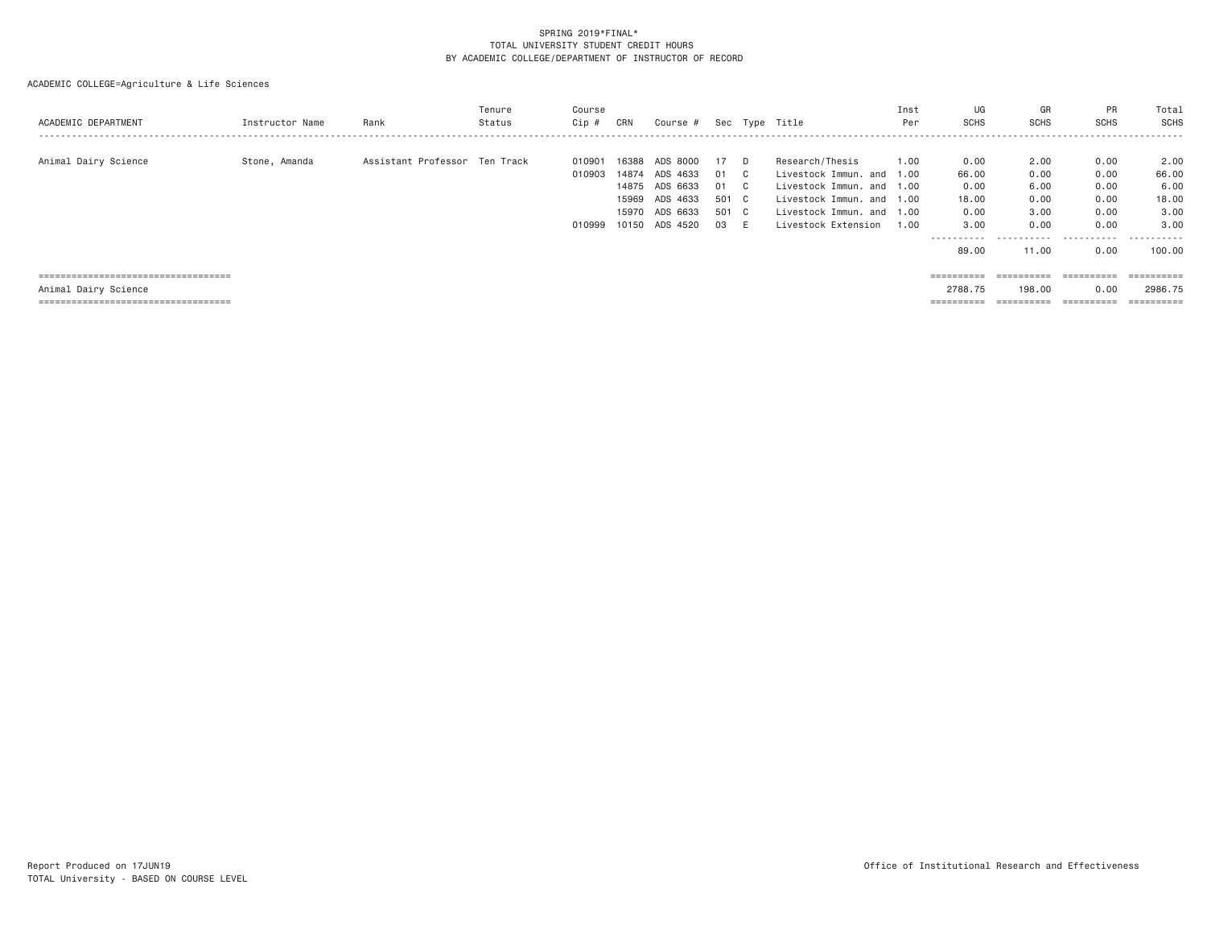| ACADEMIC DEPARTMENT                   | Instructor Name | Rank                          | Tenure<br>Status | Course<br>Cip # | CRN   | Course # |       |              | Sec Type Title            | Inst<br>Per | UG<br><b>SCHS</b> | GR<br><b>SCHS</b> | PR<br><b>SCHS</b>       | Total<br>SCHS         |
|---------------------------------------|-----------------|-------------------------------|------------------|-----------------|-------|----------|-------|--------------|---------------------------|-------------|-------------------|-------------------|-------------------------|-----------------------|
| Animal Dairy Science                  | Stone, Amanda   | Assistant Professor Ten Track |                  | 010901          | 16388 | ADS 8000 | 17    | D.           | Research/Thesis           | 1.00        | 0.00              | 2.00              | 0.00                    | 2.00                  |
|                                       |                 |                               |                  | 010903          | 14874 | ADS 4633 | 01    | C.           | Livestock Immun. and 1.00 |             | 66.00             | 0.00              | 0.00                    | 66.00                 |
|                                       |                 |                               |                  |                 | 14875 | ADS 6633 | 01    | $\mathbf{C}$ | Livestock Immun. and 1.00 |             | 0.00              | 6,00              | 0.00                    | 6.00                  |
|                                       |                 |                               |                  |                 | 15969 | ADS 4633 | 501 C |              | Livestock Immun, and 1.00 |             | 18,00             | 0.00              | 0.00                    | 18.00                 |
|                                       |                 |                               |                  |                 | 15970 | ADS 6633 | 501 C |              | Livestock Immun, and 1.00 |             | 0.00              | 3.00              | 0.00                    | 3.00                  |
|                                       |                 |                               |                  | 010999          | 10150 | ADS 4520 | 03    | E            | Livestock Extension       | 1.00        | 3,00              | 0.00              | 0.00                    | 3.00                  |
|                                       |                 |                               |                  |                 |       |          |       |              |                           |             | -----------       | .                 | .                       | .                     |
|                                       |                 |                               |                  |                 |       |          |       |              |                           |             | 89,00             | 11.00             | 0.00                    | 100,00                |
|                                       |                 |                               |                  |                 |       |          |       |              |                           |             |                   |                   |                         |                       |
| ===================================== |                 |                               |                  |                 |       |          |       |              |                           |             | ==========        | ==========        | $=$ = = = = = = = = = = | $=$ = = = = = = = = = |
| Animal Dairy Science                  |                 |                               |                  |                 |       |          |       |              |                           |             | 2788.75           | 198.00            | 0.00                    | 2986.75               |
| ===================================== |                 |                               |                  |                 |       |          |       |              |                           |             | ==========        | ==========        | =========               | $=$ = = = = = = = = = |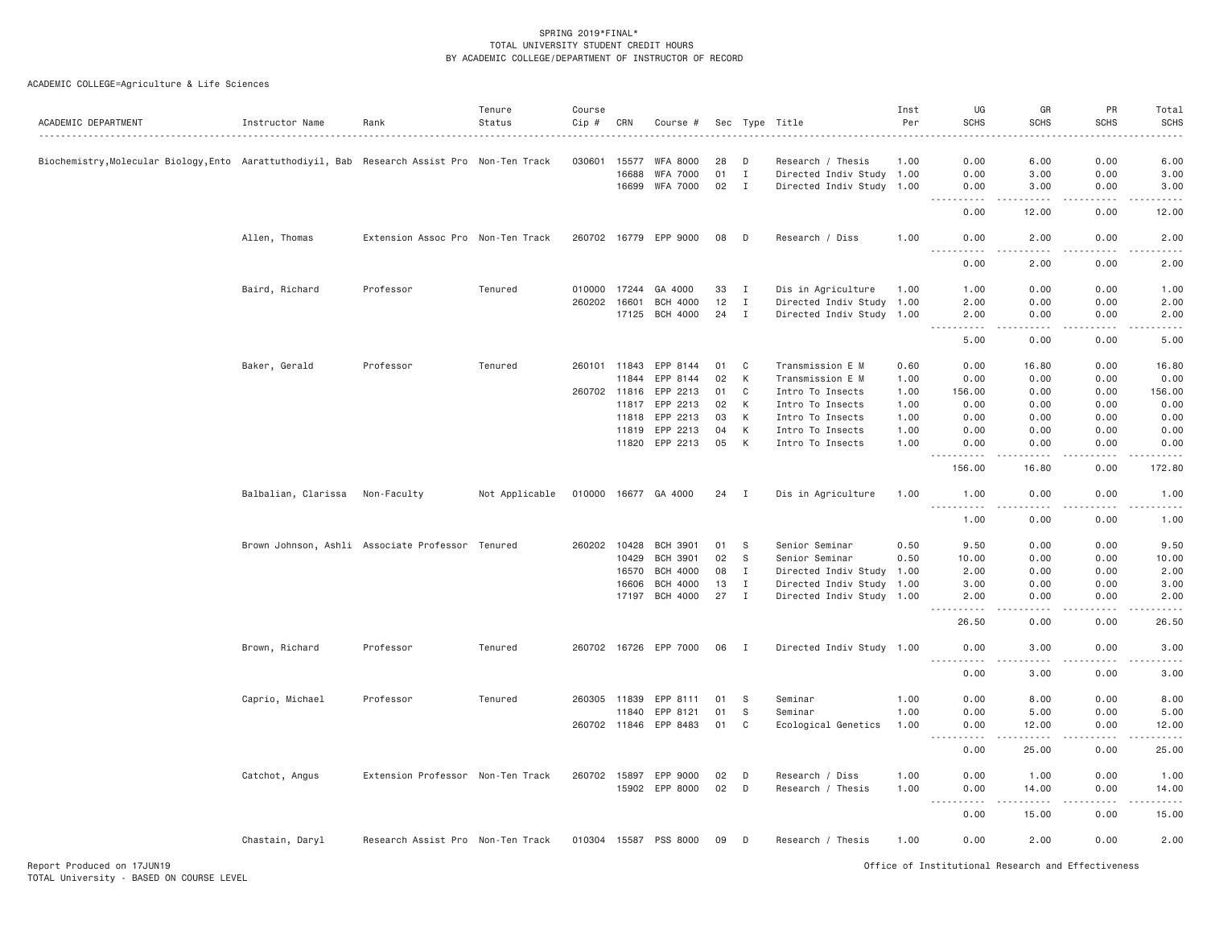| ACADEMIC DEPARTMENT                                                                          | Instructor Name                 | Rank                                             | Tenure<br>Status<br>. | Course<br>Cip #<br>. | CRN   | Course #              |    |                | Sec Type Title            | Inst<br>Per | UG<br><b>SCHS</b>                                                                                                                                            | GR<br><b>SCHS</b>    | <b>PR</b><br><b>SCHS</b><br>$- - - - -$ | Total<br><b>SCHS</b><br>$\frac{1}{2}$ |
|----------------------------------------------------------------------------------------------|---------------------------------|--------------------------------------------------|-----------------------|----------------------|-------|-----------------------|----|----------------|---------------------------|-------------|--------------------------------------------------------------------------------------------------------------------------------------------------------------|----------------------|-----------------------------------------|---------------------------------------|
| Biochemistry, Molecular Biology, Ento Aarattuthodiyil, Bab Research Assist Pro Non-Ten Track |                                 |                                                  |                       | 030601               | 15577 | <b>WFA 8000</b>       | 28 | D              | Research / Thesis         | 1.00        | 0.00                                                                                                                                                         | 6.00                 | 0.00                                    | 6.00                                  |
|                                                                                              |                                 |                                                  |                       |                      | 16688 | WFA 7000              | 01 | $\mathbf{I}$   | Directed Indiv Study 1.00 |             | 0.00                                                                                                                                                         | 3.00                 | 0.00                                    | 3.00                                  |
|                                                                                              |                                 |                                                  |                       |                      |       | 16699 WFA 7000        | 02 | $\mathbf I$    | Directed Indiv Study 1.00 |             | 0.00                                                                                                                                                         | 3.00                 | 0.00                                    | 3.00                                  |
|                                                                                              |                                 |                                                  |                       |                      |       |                       |    |                |                           |             | $\frac{1}{2} \left( \frac{1}{2} \right) \left( \frac{1}{2} \right) \left( \frac{1}{2} \right) \left( \frac{1}{2} \right)$<br>0.00                            | $- - - - -$<br>12.00 | .<br>0.00                               | الداعات الما<br>12.00                 |
|                                                                                              | Allen, Thomas                   | Extension Assoc Pro Non-Ten Track                |                       |                      |       | 260702 16779 EPP 9000 | 08 | D              | Research / Diss           | 1.00        | 0.00                                                                                                                                                         | 2.00<br>والمحامر     | 0.00<br>.                               | 2.00<br>$\sim 100$ and $\sim 100$     |
|                                                                                              |                                 |                                                  |                       |                      |       |                       |    |                |                           |             | 0.00                                                                                                                                                         | 2.00                 | 0.00                                    | 2.00                                  |
|                                                                                              | Baird, Richard                  | Professor                                        | Tenured               | 010000               | 17244 | GA 4000               | 33 | I              | Dis in Agriculture        | 1.00        | 1.00                                                                                                                                                         | 0.00                 | 0.00                                    | 1.00                                  |
|                                                                                              |                                 |                                                  |                       | 260202 16601         |       | <b>BCH 4000</b>       | 12 | I              | Directed Indiv Study 1.00 |             | 2.00                                                                                                                                                         | 0.00                 | 0.00                                    | 2.00                                  |
|                                                                                              |                                 |                                                  |                       |                      | 17125 | <b>BCH 4000</b>       | 24 | $\mathbf{I}$   | Directed Indiv Study 1.00 |             | 2.00<br>$\frac{1}{2}$                                                                                                                                        | 0.00<br>.            | 0.00<br>$- - - -$                       | 2.00<br>$- - - - -$                   |
|                                                                                              |                                 |                                                  |                       |                      |       |                       |    |                |                           |             | 5.00                                                                                                                                                         | 0.00                 | 0.00                                    | 5.00                                  |
|                                                                                              | Baker, Gerald                   | Professor                                        | Tenured               | 260101 11843         |       | EPP 8144              | 01 | C              | Transmission E M          | 0.60        | 0.00                                                                                                                                                         | 16.80                | 0.00                                    | 16.80                                 |
|                                                                                              |                                 |                                                  |                       |                      | 11844 | EPP 8144              | 02 | К              | Transmission E M          | 1.00        | 0.00                                                                                                                                                         | 0.00                 | 0.00                                    | 0.00                                  |
|                                                                                              |                                 |                                                  |                       | 260702               | 11816 | EPP 2213              | 01 | C              | Intro To Insects          | 1.00        | 156.00                                                                                                                                                       | 0.00                 | 0.00                                    | 156.00                                |
|                                                                                              |                                 |                                                  |                       |                      | 11817 | EPP 2213              | 02 | К              | Intro To Insects          | 1.00        | 0.00                                                                                                                                                         | 0.00                 | 0.00                                    | 0.00                                  |
|                                                                                              |                                 |                                                  |                       |                      | 11818 | EPP 2213              | 03 | K              | Intro To Insects          | 1.00        | 0.00                                                                                                                                                         | 0.00                 | 0.00                                    | 0.00                                  |
|                                                                                              |                                 |                                                  |                       |                      | 11819 | EPP 2213              | 04 | К              | Intro To Insects          | 1.00        | 0.00                                                                                                                                                         | 0.00                 | 0.00                                    | 0.00                                  |
|                                                                                              |                                 |                                                  |                       |                      | 11820 | EPP 2213              | 05 | К              | Intro To Insects          | 1.00        | 0.00<br>$- - - - -$                                                                                                                                          | 0.00                 | 0.00                                    | 0.00<br>.                             |
|                                                                                              |                                 |                                                  |                       |                      |       |                       |    |                |                           |             | 156.00                                                                                                                                                       | 16.80                | 0.00                                    | 172.80                                |
|                                                                                              | Balbalian, Clarissa Non-Faculty |                                                  | Not Applicable        |                      |       | 010000 16677 GA 4000  | 24 | $\blacksquare$ | Dis in Agriculture        | 1.00        | 1.00<br>.<br>$- - - - -$                                                                                                                                     | 0.00                 | 0.00                                    | 1.00<br>.                             |
|                                                                                              |                                 |                                                  |                       |                      |       |                       |    |                |                           |             | 1.00                                                                                                                                                         | 0.00                 | 0.00                                    | 1.00                                  |
|                                                                                              |                                 | Brown Johnson, Ashli Associate Professor Tenured |                       | 260202 10428         |       | <b>BCH 3901</b>       | 01 | -S             | Senior Seminar            | 0.50        | 9.50                                                                                                                                                         | 0.00                 | 0.00                                    | 9.50                                  |
|                                                                                              |                                 |                                                  |                       |                      | 10429 | <b>BCH 3901</b>       | 02 | -S             | Senior Seminar            | 0.50        | 10.00                                                                                                                                                        | 0.00                 | 0.00                                    | 10.00                                 |
|                                                                                              |                                 |                                                  |                       |                      | 16570 | BCH 4000              | 08 | I              | Directed Indiv Study      | 1.00        | 2.00                                                                                                                                                         | 0.00                 | 0.00                                    | 2.00                                  |
|                                                                                              |                                 |                                                  |                       |                      | 16606 | <b>BCH 4000</b>       | 13 | $\mathbf{I}$   | Directed Indiv Study      | 1.00        | 3.00                                                                                                                                                         | 0.00                 | 0.00                                    | 3.00                                  |
|                                                                                              |                                 |                                                  |                       |                      |       | 17197 BCH 4000        | 27 | $\blacksquare$ | Directed Indiv Study 1.00 |             | 2.00<br>$\frac{1}{2} \left( \frac{1}{2} \right) \left( \frac{1}{2} \right) \left( \frac{1}{2} \right) \left( \frac{1}{2} \right) \left( \frac{1}{2} \right)$ | 0.00<br>.            | 0.00<br>.                               | 2.00<br>.                             |
|                                                                                              |                                 |                                                  |                       |                      |       |                       |    |                |                           |             | 26.50                                                                                                                                                        | 0.00                 | 0.00                                    | 26.50                                 |
|                                                                                              | Brown, Richard                  | Professor                                        | Tenured               |                      |       | 260702 16726 EPP 7000 | 06 | - I            | Directed Indiv Study 1.00 |             | 0.00<br>.                                                                                                                                                    | 3.00<br>.            | 0.00<br>.                               | 3.00<br>$    -$                       |
|                                                                                              |                                 |                                                  |                       |                      |       |                       |    |                |                           |             | 0.00                                                                                                                                                         | 3.00                 | 0.00                                    | 3.00                                  |
|                                                                                              | Caprio, Michael                 | Professor                                        | Tenured               | 260305 11839         |       | EPP 8111              | 01 | -S             | Seminar                   | 1.00        | 0.00                                                                                                                                                         | 8.00                 | 0.00                                    | 8.00                                  |
|                                                                                              |                                 |                                                  |                       |                      | 11840 | EPP 8121              | 01 | S              | Seminar                   | 1.00        | 0.00                                                                                                                                                         | 5.00                 | 0.00                                    | 5.00                                  |
|                                                                                              |                                 |                                                  |                       | 260702 11846         |       | EPP 8483              | 01 | C              | Ecological Genetics       | 1.00        | 0.00                                                                                                                                                         | 12.00                | 0.00                                    | 12.00<br>وعاعات                       |
|                                                                                              |                                 |                                                  |                       |                      |       |                       |    |                |                           |             | 0.00                                                                                                                                                         | 25.00                | 0.00                                    | 25.00                                 |
|                                                                                              | Catchot, Angus                  | Extension Professor Non-Ten Track                |                       |                      |       | 260702 15897 EPP 9000 | 02 | D              | Research / Diss           | 1.00        | 0.00                                                                                                                                                         | 1.00                 | 0.00                                    | 1.00                                  |
|                                                                                              |                                 |                                                  |                       |                      |       | 15902 EPP 8000        | 02 | D              | Research / Thesis         | 1.00        | 0.00                                                                                                                                                         | 14.00                | 0.00                                    | 14.00                                 |
|                                                                                              |                                 |                                                  |                       |                      |       |                       |    |                |                           |             | .<br>$  -$<br>0.00                                                                                                                                           | $- - - - -$<br>15.00 | .<br>0.00                               | .<br>15.00                            |
|                                                                                              | Chastain, Daryl                 | Research Assist Pro Non-Ten Track                |                       | 010304 15587         |       | PSS 8000              | 09 | D              | Research / Thesis         | 1.00        | 0.00                                                                                                                                                         | 2.00                 | 0.00                                    | 2.00                                  |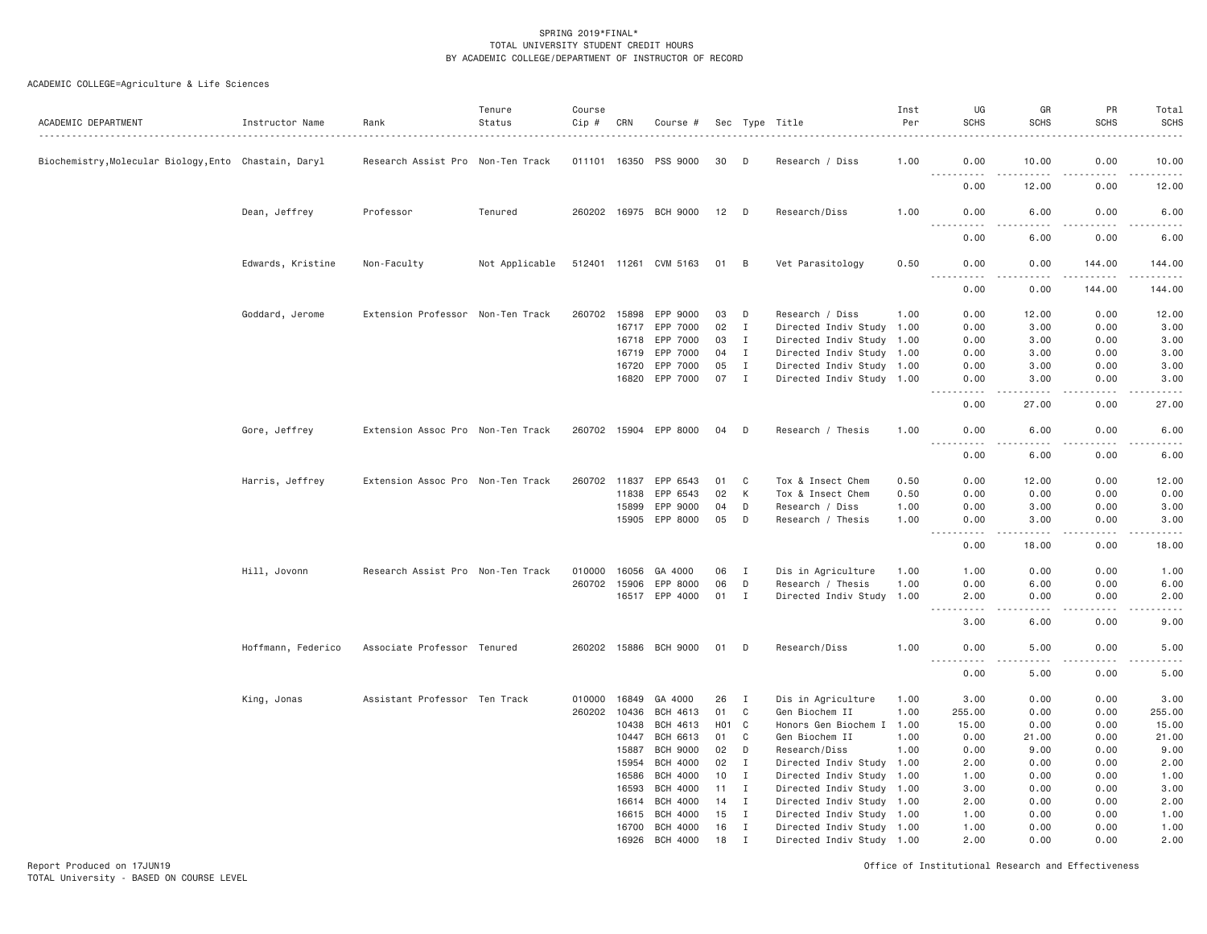ACADEMIC COLLEGE=Agriculture & Life Sciences

| ACADEMIC DEPARTMENT                                   | Instructor Name    | Rank                              | Tenure<br>Status | Course<br>Cip # | CRN          | Course #              |                 |              | Sec Type Title            | Inst<br>Per | UG<br><b>SCHS</b>              | GR<br><b>SCHS</b> | PR<br><b>SCHS</b> | Total<br><b>SCHS</b>                                                                                                                                         |
|-------------------------------------------------------|--------------------|-----------------------------------|------------------|-----------------|--------------|-----------------------|-----------------|--------------|---------------------------|-------------|--------------------------------|-------------------|-------------------|--------------------------------------------------------------------------------------------------------------------------------------------------------------|
| Biochemistry, Molecular Biology, Ento Chastain, Daryl |                    | Research Assist Pro Non-Ten Track |                  |                 | 011101 16350 | PSS 9000              | 30              | D            | Research / Diss           | 1.00        | 0.00                           | 10.00             | 0.00              | 10.00                                                                                                                                                        |
|                                                       |                    |                                   |                  |                 |              |                       |                 |              |                           |             | .<br>0.00                      | 12.00             | 0.00              | .<br>12.00                                                                                                                                                   |
|                                                       | Dean, Jeffrey      | Professor                         | Tenured          |                 |              | 260202 16975 BCH 9000 | 12              | D            | Research/Diss             | 1.00        | 0.00<br>$- - - -$              | 6.00<br>$- - -$   | 0.00<br>.         | 6.00<br>$- - - - -$                                                                                                                                          |
|                                                       |                    |                                   |                  |                 |              |                       |                 |              |                           |             | 0.00                           | 6.00              | 0.00              | 6.00                                                                                                                                                         |
|                                                       | Edwards, Kristine  | Non-Faculty                       | Not Applicable   |                 |              | 512401 11261 CVM 5163 | 01 B            |              | Vet Parasitology          | 0.50        | 0.00<br>.                      | 0.00<br>.         | 144.00<br>.       | 144.00<br>$\mathcal{L}^{\mathcal{A}}\mathcal{L}^{\mathcal{A}}\mathcal{L}^{\mathcal{A}}\mathcal{L}^{\mathcal{A}}\mathcal{L}^{\mathcal{A}}$                    |
|                                                       |                    |                                   |                  |                 |              |                       |                 |              |                           |             | 0.00                           | 0.00              | 144.00            | 144.00                                                                                                                                                       |
|                                                       | Goddard, Jerome    | Extension Professor Non-Ten Track |                  |                 |              | 260702 15898 EPP 9000 | 03              | D            | Research / Diss           | 1.00        | 0.00                           | 12.00             | 0.00              | 12.00                                                                                                                                                        |
|                                                       |                    |                                   |                  |                 | 16717        | EPP 7000              | 02              | $\mathbf{I}$ | Directed Indiv Study      | 1.00        | 0.00                           | 3.00              | 0.00              | 3.00                                                                                                                                                         |
|                                                       |                    |                                   |                  |                 | 16718        | EPP 7000              | 03              | $\mathbf{I}$ | Directed Indiv Study 1.00 |             | 0.00                           | 3.00              | 0.00              | 3.00                                                                                                                                                         |
|                                                       |                    |                                   |                  |                 | 16719        | EPP 7000              | 04              | $\mathbf{I}$ | Directed Indiv Study 1.00 |             | 0.00                           | 3.00              | 0.00              | 3.00                                                                                                                                                         |
|                                                       |                    |                                   |                  |                 | 16720        | EPP 7000              | 05              | $\mathbf{I}$ | Directed Indiv Study 1.00 |             | 0.00                           | 3.00              | 0.00              | 3.00                                                                                                                                                         |
|                                                       |                    |                                   |                  |                 |              | 16820 EPP 7000        | 07              | $\mathbf{I}$ | Directed Indiv Study 1.00 |             | 0.00                           | 3.00<br>$- - -$   | 0.00              | 3.00<br>$\frac{1}{2} \left( \frac{1}{2} \right) \left( \frac{1}{2} \right) \left( \frac{1}{2} \right) \left( \frac{1}{2} \right)$                            |
|                                                       |                    |                                   |                  |                 |              |                       |                 |              |                           |             | 0.00                           | 27.00             | 0.00              | 27.00                                                                                                                                                        |
|                                                       | Gore, Jeffrey      | Extension Assoc Pro Non-Ten Track |                  |                 |              | 260702 15904 EPP 8000 | 04              | D            | Research / Thesis         | 1.00        | 0.00<br>$- - - -$<br>$- - - -$ | 6.00              | 0.00              | 6.00<br>.                                                                                                                                                    |
|                                                       |                    |                                   |                  |                 |              |                       |                 |              |                           |             | 0.00                           | 6.00              | 0.00              | 6.00                                                                                                                                                         |
|                                                       | Harris, Jeffrey    | Extension Assoc Pro Non-Ten Track |                  |                 | 260702 11837 | EPP 6543              | 01              | C            | Tox & Insect Chem         | 0.50        | 0.00                           | 12.00             | 0.00              | 12.00                                                                                                                                                        |
|                                                       |                    |                                   |                  |                 | 11838        | EPP 6543              | 02              | K            | Tox & Insect Chem         | 0.50        | 0.00                           | 0.00              | 0.00              | 0.00                                                                                                                                                         |
|                                                       |                    |                                   |                  |                 | 15899        | EPP 9000              | 04              | D            | Research / Diss           | 1.00        | 0.00                           | 3.00              | 0.00              | 3.00                                                                                                                                                         |
|                                                       |                    |                                   |                  |                 |              |                       |                 |              |                           |             |                                |                   |                   |                                                                                                                                                              |
|                                                       |                    |                                   |                  |                 | 15905        | EPP 8000              | 05              | D            | Research / Thesis         | 1.00        | 0.00<br>$ -$<br>$- - - -$      | 3.00              | 0.00              | 3.00                                                                                                                                                         |
|                                                       |                    |                                   |                  |                 |              |                       |                 |              |                           |             | 0.00                           | 18.00             | 0.00              | 18.00                                                                                                                                                        |
|                                                       | Hill, Jovonn       | Research Assist Pro Non-Ten Track |                  | 010000          | 16056        | GA 4000               | 06              | $\mathbf{I}$ | Dis in Agriculture        | 1.00        | 1.00                           | 0.00              | 0.00              | 1.00                                                                                                                                                         |
|                                                       |                    |                                   |                  |                 | 260702 15906 | EPP 8000              | 06              | D            | Research / Thesis         | 1.00        | 0.00                           | 6.00              | 0.00              | 6.00                                                                                                                                                         |
|                                                       |                    |                                   |                  |                 |              | 16517 EPP 4000        | 01              | $\mathbf{I}$ | Directed Indiv Study 1.00 |             | 2.00<br>$- - -$                | 0.00<br>د د د د   | 0.00<br>.         | 2.00                                                                                                                                                         |
|                                                       |                    |                                   |                  |                 |              |                       |                 |              |                           |             | .<br>3.00                      | 6.00              | 0.00              | $\frac{1}{2} \left( \frac{1}{2} \right) \left( \frac{1}{2} \right) \left( \frac{1}{2} \right) \left( \frac{1}{2} \right) \left( \frac{1}{2} \right)$<br>9.00 |
|                                                       | Hoffmann, Federico | Associate Professor Tenured       |                  |                 |              | 260202 15886 BCH 9000 | 01              | D            | Research/Diss             | 1.00        | 0.00                           | 5.00              | 0.00              | 5.00                                                                                                                                                         |
|                                                       |                    |                                   |                  |                 |              |                       |                 |              |                           |             | 0.00                           | 5.00              | 0.00              | 5.00                                                                                                                                                         |
|                                                       | King, Jonas        | Assistant Professor Ten Track     |                  | 010000          | 16849        | GA 4000               | 26              | $\mathbf{I}$ | Dis in Agriculture        | 1.00        | 3.00                           | 0.00              | 0.00              | 3.00                                                                                                                                                         |
|                                                       |                    |                                   |                  |                 | 260202 10436 | BCH 4613              | 01              | $\mathbf C$  | Gen Biochem II            | 1.00        | 255.00                         | 0.00              | 0.00              | 255.00                                                                                                                                                       |
|                                                       |                    |                                   |                  |                 | 10438        | BCH 4613              | HO <sub>1</sub> | $\mathbf{C}$ | Honors Gen Biochem I 1.00 |             | 15.00                          | 0.00              | 0.00              | 15.00                                                                                                                                                        |
|                                                       |                    |                                   |                  |                 | 10447        | BCH 6613              | 01              | C            | Gen Biochem II            | 1.00        | 0.00                           | 21.00             | 0.00              | 21.00                                                                                                                                                        |
|                                                       |                    |                                   |                  |                 | 15887        | <b>BCH 9000</b>       | 02              | D            | Research/Diss             | 1.00        | 0.00                           | 9.00              | 0.00              | 9.00                                                                                                                                                         |
|                                                       |                    |                                   |                  |                 | 15954        | <b>BCH 4000</b>       | 02              | $\mathbf{I}$ | Directed Indiv Study 1.00 |             | 2.00                           | 0.00              | 0.00              | 2.00                                                                                                                                                         |
|                                                       |                    |                                   |                  |                 | 16586        | <b>BCH 4000</b>       | 10              | $\mathbf{I}$ | Directed Indiv Study      | 1.00        | 1.00                           | 0.00              | 0.00              | 1.00                                                                                                                                                         |
|                                                       |                    |                                   |                  |                 | 16593        | <b>BCH 4000</b>       | 11              | $\mathbf{I}$ | Directed Indiv Study 1.00 |             | 3.00                           | 0.00              | 0.00              | 3.00                                                                                                                                                         |
|                                                       |                    |                                   |                  |                 | 16614        | <b>BCH 4000</b>       | 14              | $\mathbf{I}$ | Directed Indiv Study 1.00 |             | 2.00                           | 0.00              | 0.00              | 2.00                                                                                                                                                         |
|                                                       |                    |                                   |                  |                 | 16615        | <b>BCH 4000</b>       | 15              | $\mathbf{I}$ | Directed Indiv Study 1.00 |             | 1.00                           | 0.00              | 0.00              | 1.00                                                                                                                                                         |
|                                                       |                    |                                   |                  |                 | 16700        | <b>BCH 4000</b>       | 16              | $\mathbf{I}$ | Directed Indiv Study 1.00 |             | 1.00                           | 0.00              | 0.00              | 1.00                                                                                                                                                         |
|                                                       |                    |                                   |                  |                 | 16926        | <b>BCH 4000</b>       | 18              | $\mathbf I$  | Directed Indiv Study 1.00 |             | 2.00                           | 0.00              | 0.00              | 2.00                                                                                                                                                         |
|                                                       |                    |                                   |                  |                 |              |                       |                 |              |                           |             |                                |                   |                   |                                                                                                                                                              |

Report Produced on 17JUN19 Office of Institutional Research and Effectiveness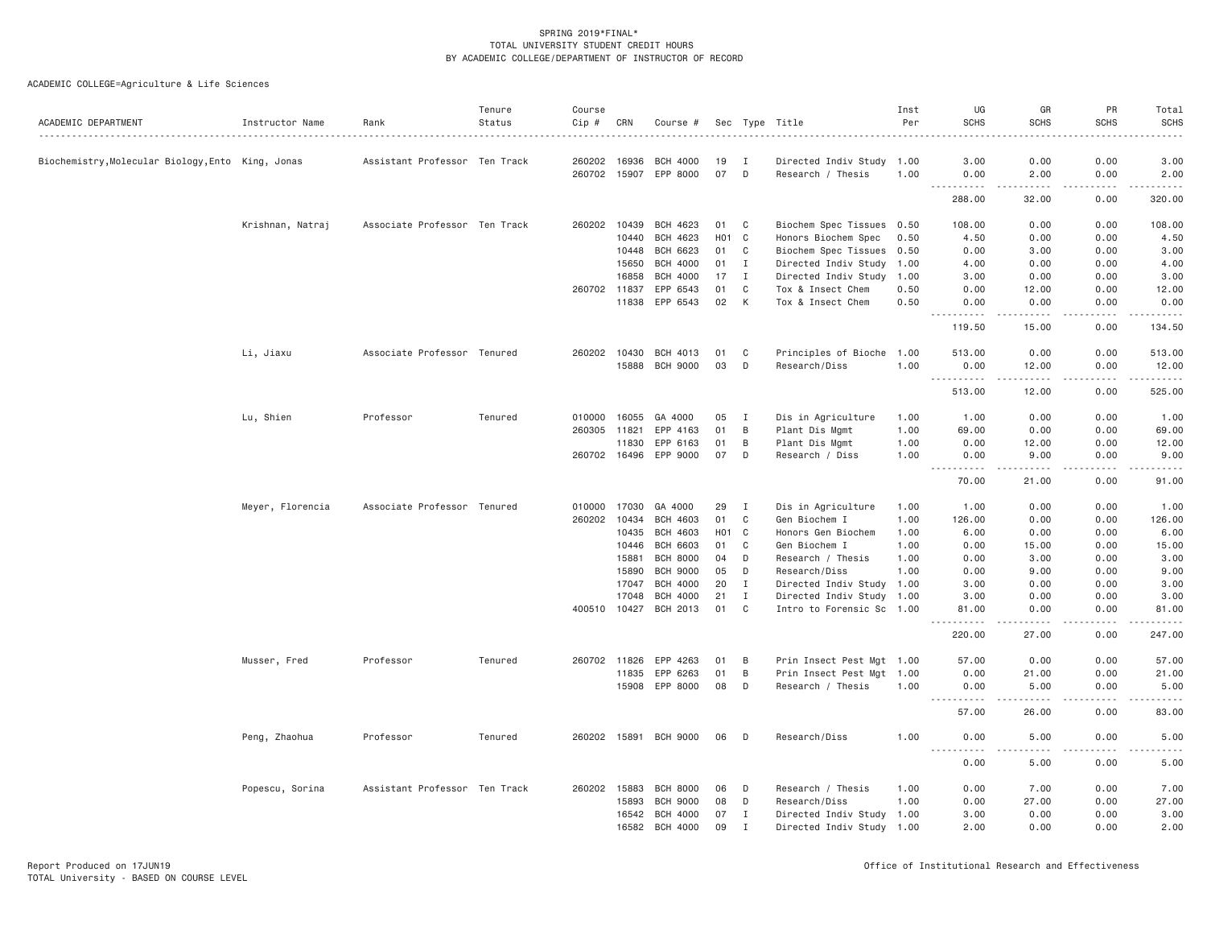| ACADEMIC DEPARTMENT                               | Instructor Name  | Rank                          | Tenure<br>Status | Course<br>Cip # | CRN   | Course #              |                  |              | Sec Type Title            | Inst<br>Per | UG<br><b>SCHS</b>                                                                                                                                                    | GR<br><b>SCHS</b>                                                                                                                                             | PR<br><b>SCHS</b> | Total<br><b>SCHS</b> |
|---------------------------------------------------|------------------|-------------------------------|------------------|-----------------|-------|-----------------------|------------------|--------------|---------------------------|-------------|----------------------------------------------------------------------------------------------------------------------------------------------------------------------|---------------------------------------------------------------------------------------------------------------------------------------------------------------|-------------------|----------------------|
| Biochemistry, Molecular Biology, Ento King, Jonas |                  | Assistant Professor Ten Track |                  | 260202          | 16936 | <b>BCH 4000</b>       | 19               | I            | Directed Indiv Study 1.00 |             | 3.00                                                                                                                                                                 | 0.00                                                                                                                                                          | 0.00              | 3.00                 |
|                                                   |                  |                               |                  |                 |       | 260702 15907 EPP 8000 | 07               | D            | Research / Thesis         | 1.00        | 0.00                                                                                                                                                                 | 2.00                                                                                                                                                          | 0.00              | 2.00                 |
|                                                   |                  |                               |                  |                 |       |                       |                  |              |                           |             | .<br>288.00                                                                                                                                                          | -----<br>32.00                                                                                                                                                | <u>.</u><br>0.00  | .<br>320.00          |
|                                                   | Krishnan, Natraj | Associate Professor Ten Track |                  | 260202          | 10439 | BCH 4623              | 01               | C            | Biochem Spec Tissues 0.50 |             | 108.00                                                                                                                                                               | 0.00                                                                                                                                                          | 0.00              | 108.00               |
|                                                   |                  |                               |                  |                 | 10440 | BCH 4623              | H <sub>0</sub> 1 | $\mathbf{C}$ | Honors Biochem Spec       | 0.50        | 4.50                                                                                                                                                                 | 0.00                                                                                                                                                          | 0.00              | 4.50                 |
|                                                   |                  |                               |                  |                 | 10448 | BCH 6623              | 01               | C            | Biochem Spec Tissues 0.50 |             | 0.00                                                                                                                                                                 | 3.00                                                                                                                                                          | 0.00              | 3.00                 |
|                                                   |                  |                               |                  |                 | 15650 | <b>BCH 4000</b>       | 01               | $\mathbf I$  | Directed Indiv Study      | 1.00        | 4.00                                                                                                                                                                 | 0.00                                                                                                                                                          | 0.00              | 4.00                 |
|                                                   |                  |                               |                  |                 | 16858 | BCH 4000              | 17               | Ι.           | Directed Indiv Study      | 1.00        | 3.00                                                                                                                                                                 | 0.00                                                                                                                                                          | 0.00              | 3.00                 |
|                                                   |                  |                               |                  | 260702 11837    |       | EPP 6543              | 01               | C            | Tox & Insect Chem         | 0.50        | 0.00                                                                                                                                                                 | 12.00                                                                                                                                                         | 0.00              | 12.00                |
|                                                   |                  |                               |                  |                 | 11838 | EPP 6543              | 02               | K            | Tox & Insect Chem         | 0.50        | 0.00                                                                                                                                                                 | 0.00                                                                                                                                                          | 0.00              | 0.00                 |
|                                                   |                  |                               |                  |                 |       |                       |                  |              |                           |             | .<br>119.50                                                                                                                                                          | .<br>15.00                                                                                                                                                    | .<br>0.00         | .<br>134.50          |
|                                                   | Li, Jiaxu        | Associate Professor Tenured   |                  | 260202 10430    |       | BCH 4013              | 01               | C            | Principles of Bioche      | 1.00        | 513.00                                                                                                                                                               | 0.00                                                                                                                                                          | 0.00              | 513.00               |
|                                                   |                  |                               |                  |                 | 15888 | <b>BCH 9000</b>       | 03               | D            | Research/Diss             | 1.00        | 0.00<br>$\mathcal{L}^{\mathcal{A}}\left( \mathcal{A}^{\mathcal{A}}\right) =\mathcal{L}^{\mathcal{A}}\left( \mathcal{A}^{\mathcal{A}}\right)$<br>$\sim$ $\sim$ $\sim$ | 12.00<br>$\frac{1}{2} \left( \frac{1}{2} \right) \left( \frac{1}{2} \right) \left( \frac{1}{2} \right) \left( \frac{1}{2} \right) \left( \frac{1}{2} \right)$ | 0.00<br>-----     | 12.00<br>.           |
|                                                   |                  |                               |                  |                 |       |                       |                  |              |                           |             | 513.00                                                                                                                                                               | 12.00                                                                                                                                                         | 0.00              | 525.00               |
|                                                   | Lu, Shien        | Professor                     | Tenured          | 010000          | 16055 | GA 4000               | 05               | I            | Dis in Agriculture        | 1.00        | 1.00                                                                                                                                                                 | 0.00                                                                                                                                                          | 0.00              | 1.00                 |
|                                                   |                  |                               |                  | 260305 11821    |       | EPP 4163              | 01               | B            | Plant Dis Mgmt            | 1.00        | 69.00                                                                                                                                                                | 0.00                                                                                                                                                          | 0.00              | 69.00                |
|                                                   |                  |                               |                  |                 | 11830 | EPP 6163              | 01               | B            | Plant Dis Mgmt            | 1.00        | 0.00                                                                                                                                                                 | 12.00                                                                                                                                                         | 0.00              | 12.00                |
|                                                   |                  |                               |                  | 260702 16496    |       | EPP 9000              | 07               | D            | Research / Diss           | 1.00        | 0.00                                                                                                                                                                 | 9.00                                                                                                                                                          | 0.00              | 9.00                 |
|                                                   |                  |                               |                  |                 |       |                       |                  |              |                           |             | $\sim$ $\sim$ $\sim$<br>.<br>70.00                                                                                                                                   | $- - - - -$<br>21.00                                                                                                                                          | .<br>0.00         | .<br>91.00           |
|                                                   | Meyer, Florencia | Associate Professor Tenured   |                  | 010000          | 17030 | GA 4000               | 29               | I            | Dis in Agriculture        | 1.00        | 1.00                                                                                                                                                                 | 0.00                                                                                                                                                          | 0.00              | 1.00                 |
|                                                   |                  |                               |                  | 260202          | 10434 | <b>BCH 4603</b>       | 01               | $\mathbf C$  | Gen Biochem I             | 1.00        | 126.00                                                                                                                                                               | 0.00                                                                                                                                                          | 0.00              | 126.00               |
|                                                   |                  |                               |                  |                 | 10435 | BCH 4603              | H <sub>0</sub> 1 | $\mathbf{C}$ | Honors Gen Biochem        | 1.00        | 6.00                                                                                                                                                                 | 0.00                                                                                                                                                          | 0.00              | 6.00                 |
|                                                   |                  |                               |                  |                 | 10446 | <b>BCH 6603</b>       | 01               | $\mathbf C$  | Gen Biochem I             | 1.00        | 0.00                                                                                                                                                                 | 15.00                                                                                                                                                         | 0.00              | 15.00                |
|                                                   |                  |                               |                  |                 | 15881 | <b>BCH 8000</b>       | 04               | D            | Research / Thesis         | 1.00        | 0.00                                                                                                                                                                 | 3.00                                                                                                                                                          | 0.00              | 3.00                 |
|                                                   |                  |                               |                  |                 | 15890 | <b>BCH 9000</b>       | 05               | D            | Research/Diss             | 1.00        | 0.00                                                                                                                                                                 | 9.00                                                                                                                                                          | 0.00              | 9.00                 |
|                                                   |                  |                               |                  |                 | 17047 | <b>BCH 4000</b>       | 20               | $\mathbf{I}$ | Directed Indiv Study 1.00 |             | 3.00                                                                                                                                                                 | 0.00                                                                                                                                                          | 0.00              | 3.00                 |
|                                                   |                  |                               |                  |                 | 17048 | <b>BCH 4000</b>       | 21               | $\mathbf I$  | Directed Indiv Study 1.00 |             | 3.00                                                                                                                                                                 | 0.00                                                                                                                                                          | 0.00              | 3.00                 |
|                                                   |                  |                               |                  | 400510          | 10427 | BCH 2013              | 01               | $\mathbf{C}$ | Intro to Forensic Sc 1.00 |             | 81.00                                                                                                                                                                | 0.00                                                                                                                                                          | 0.00              | 81.00                |
|                                                   |                  |                               |                  |                 |       |                       |                  |              |                           |             | 220.00                                                                                                                                                               | 27.00                                                                                                                                                         | 0.00              | 247.00               |
|                                                   | Musser, Fred     | Professor                     | Tenured          | 260702 11826    |       | EPP 4263              | 01               | B            | Prin Insect Pest Mgt 1.00 |             | 57.00                                                                                                                                                                | 0.00                                                                                                                                                          | 0.00              | 57.00                |
|                                                   |                  |                               |                  |                 | 11835 | EPP 6263              | 01               | B            | Prin Insect Pest Mgt 1.00 |             | 0.00                                                                                                                                                                 | 21.00                                                                                                                                                         | 0.00              | 21.00                |
|                                                   |                  |                               |                  |                 | 15908 | EPP 8000              | 08               | D            | Research / Thesis         | 1.00        | 0.00<br><u>.</u>                                                                                                                                                     | 5.00<br>-----                                                                                                                                                 | 0.00<br>.         | 5.00<br>.            |
|                                                   |                  |                               |                  |                 |       |                       |                  |              |                           |             | 57.00                                                                                                                                                                | 26.00                                                                                                                                                         | 0.00              | 83.00                |
|                                                   | Peng, Zhaohua    | Professor                     | Tenured          |                 |       | 260202 15891 BCH 9000 | 06               | D            | Research/Diss             | 1.00        | 0.00<br>----<br>$\frac{1}{2}$                                                                                                                                        | 5,00<br>.                                                                                                                                                     | 0.00              | 5.00                 |
|                                                   |                  |                               |                  |                 |       |                       |                  |              |                           |             | 0.00                                                                                                                                                                 | 5.00                                                                                                                                                          | 0.00              | 5.00                 |
|                                                   | Popescu, Sorina  | Assistant Professor Ten Track |                  | 260202 15883    |       | <b>BCH 8000</b>       | 06               | D            | Research / Thesis         | 1.00        | 0.00                                                                                                                                                                 | 7.00                                                                                                                                                          | 0.00              | 7.00                 |
|                                                   |                  |                               |                  |                 | 15893 | <b>BCH 9000</b>       | 08               | D            | Research/Diss             | 1.00        | 0.00                                                                                                                                                                 | 27.00                                                                                                                                                         | 0.00              | 27.00                |
|                                                   |                  |                               |                  |                 | 16542 | <b>BCH 4000</b>       | 07               | $\mathbf{I}$ | Directed Indiv Study 1.00 |             | 3.00                                                                                                                                                                 | 0.00                                                                                                                                                          | 0.00              | 3.00                 |
|                                                   |                  |                               |                  |                 | 16582 | <b>BCH 4000</b>       | 09               | $\mathbf I$  | Directed Indiv Study 1.00 |             | 2.00                                                                                                                                                                 | 0.00                                                                                                                                                          | 0.00              | 2.00                 |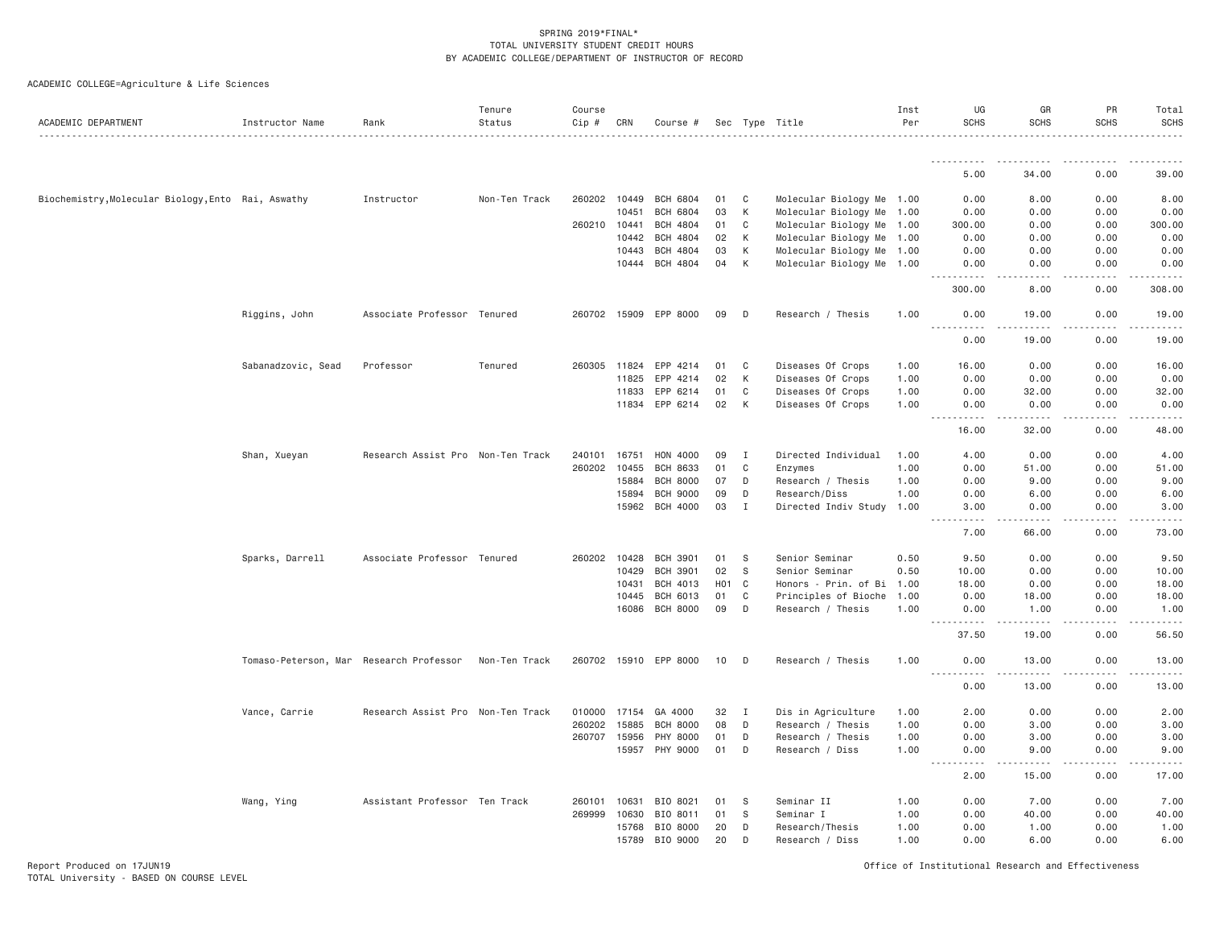| ACADEMIC DEPARTMENT                                | Instructor Name                         | Rank                              | Tenure<br>Status | Course<br>Cip # | CRN   | Course #              |                   |              | Sec Type Title            | Inst<br>Per | UG<br><b>SCHS</b>                                                                      | GR<br><b>SCHS</b>   | PR<br><b>SCHS</b> | Total<br>SCHS                                                                                                                                                                            |
|----------------------------------------------------|-----------------------------------------|-----------------------------------|------------------|-----------------|-------|-----------------------|-------------------|--------------|---------------------------|-------------|----------------------------------------------------------------------------------------|---------------------|-------------------|------------------------------------------------------------------------------------------------------------------------------------------------------------------------------------------|
|                                                    |                                         |                                   |                  |                 |       |                       |                   |              |                           |             |                                                                                        |                     |                   |                                                                                                                                                                                          |
|                                                    |                                         |                                   |                  |                 |       |                       |                   |              |                           |             | .<br>5.00                                                                              | 34.00               | 0.00              | 39.00                                                                                                                                                                                    |
| Biochemistry, Molecular Biology, Ento Rai, Aswathy |                                         | Instructor                        | Non-Ten Track    | 260202 10449    |       | <b>BCH 6804</b>       | 01                | C            | Molecular Biology Me 1.00 |             | 0.00                                                                                   | 8.00                | 0.00              | 8.00                                                                                                                                                                                     |
|                                                    |                                         |                                   |                  |                 | 10451 | <b>BCH 6804</b>       | 03                | К            | Molecular Biology Me 1.00 |             | 0.00                                                                                   | 0.00                | 0.00              | 0.00                                                                                                                                                                                     |
|                                                    |                                         |                                   |                  | 260210 10441    |       | <b>BCH 4804</b>       | 01                | C            | Molecular Biology Me 1.00 |             | 300.00                                                                                 | 0.00                | 0.00              | 300.00                                                                                                                                                                                   |
|                                                    |                                         |                                   |                  |                 | 10442 | <b>BCH 4804</b>       | 02                | K            | Molecular Biology Me 1.00 |             | 0.00                                                                                   | 0.00                | 0.00              | 0.00                                                                                                                                                                                     |
|                                                    |                                         |                                   |                  |                 | 10443 | <b>BCH 4804</b>       | 03                | К            | Molecular Biology Me 1.00 |             | 0.00                                                                                   | 0.00                | 0.00              | 0.00                                                                                                                                                                                     |
|                                                    |                                         |                                   |                  |                 | 10444 | <b>BCH 4804</b>       | 04                | K            | Molecular Biology Me 1.00 |             | 0.00<br>.                                                                              | 0.00<br>.           | 0.00<br>.         | 0.00<br>.                                                                                                                                                                                |
|                                                    |                                         |                                   |                  |                 |       |                       |                   |              |                           |             | 300.00                                                                                 | 8.00                | 0.00              | 308.00                                                                                                                                                                                   |
|                                                    | Riggins, John                           | Associate Professor Tenured       |                  |                 |       | 260702 15909 EPP 8000 | 09                | D            | Research / Thesis         | 1.00        | 0.00<br><u>.</u>                                                                       | 19.00<br>.          | 0.00<br>-----     | 19.00<br>$\frac{1}{2} \left( \frac{1}{2} \right) \left( \frac{1}{2} \right) \left( \frac{1}{2} \right) \left( \frac{1}{2} \right) \left( \frac{1}{2} \right) \left( \frac{1}{2} \right)$ |
|                                                    |                                         |                                   |                  |                 |       |                       |                   |              |                           |             | 0.00                                                                                   | 19.00               | 0.00              | 19.00                                                                                                                                                                                    |
|                                                    | Sabanadzovic, Sead                      | Professor                         | Tenured          | 260305          | 11824 | EPP 4214              | 01                | C            | Diseases Of Crops         | 1.00        | 16.00                                                                                  | 0.00                | 0.00              | 16.00                                                                                                                                                                                    |
|                                                    |                                         |                                   |                  |                 | 11825 | EPP 4214              | 02                | К            | Diseases Of Crops         | 1.00        | 0.00                                                                                   | 0.00                | 0.00              | 0.00                                                                                                                                                                                     |
|                                                    |                                         |                                   |                  |                 | 11833 | EPP 6214              | 01                | C            | Diseases Of Crops         | 1.00        | 0.00                                                                                   | 32.00               | 0.00              | 32.00                                                                                                                                                                                    |
|                                                    |                                         |                                   |                  |                 | 11834 | EPP 6214              | 02                | К            | Diseases Of Crops         | 1.00        | 0.00<br>.<br>$\frac{1}{2} \frac{1}{2} \frac{1}{2} \frac{1}{2} \frac{1}{2} \frac{1}{2}$ | 0.00<br>$- - - - -$ | 0.00<br>.         | 0.00<br>.                                                                                                                                                                                |
|                                                    |                                         |                                   |                  |                 |       |                       |                   |              |                           |             | 16.00                                                                                  | 32.00               | 0.00              | 48.00                                                                                                                                                                                    |
|                                                    | Shan, Xueyan                            | Research Assist Pro Non-Ten Track |                  | 240101          | 16751 | <b>HON 4000</b>       | 09                | $\mathbf{I}$ | Directed Individual       | 1.00        | 4.00                                                                                   | 0.00                | 0.00              | 4.00                                                                                                                                                                                     |
|                                                    |                                         |                                   |                  | 260202          | 10455 | <b>BCH 8633</b>       | 01                | C            | Enzymes                   | 1.00        | 0.00                                                                                   | 51.00               | 0.00              | 51.00                                                                                                                                                                                    |
|                                                    |                                         |                                   |                  |                 | 15884 | <b>BCH 8000</b>       | 07                | D            | Research / Thesis         | 1.00        | 0.00                                                                                   | 9.00                | 0.00              | 9.00                                                                                                                                                                                     |
|                                                    |                                         |                                   |                  |                 | 15894 | <b>BCH 9000</b>       | 09                | D            | Research/Diss             | 1.00        | 0.00                                                                                   | 6.00                | 0.00              | 6.00                                                                                                                                                                                     |
|                                                    |                                         |                                   |                  |                 | 15962 | <b>BCH 4000</b>       | 03                | $\mathbf I$  | Directed Indiv Study      | 1.00        | 3.00<br>.<br>$- - - - -$                                                               | 0.00<br>.           | 0.00<br>.         | 3.00<br>.                                                                                                                                                                                |
|                                                    |                                         |                                   |                  |                 |       |                       |                   |              |                           |             | 7.00                                                                                   | 66.00               | 0.00              | 73.00                                                                                                                                                                                    |
|                                                    | Sparks, Darrell                         | Associate Professor Tenured       |                  | 260202          | 10428 | <b>BCH 3901</b>       | 01                | S            | Senior Seminar            | 0.50        | 9.50                                                                                   | 0.00                | 0.00              | 9.50                                                                                                                                                                                     |
|                                                    |                                         |                                   |                  |                 | 10429 | <b>BCH 3901</b>       | 02                | - S          | Senior Seminar            | 0.50        | 10.00                                                                                  | 0.00                | 0.00              | 10.00                                                                                                                                                                                    |
|                                                    |                                         |                                   |                  |                 | 10431 | BCH 4013              | H <sub>01</sub> C |              | Honors - Prin. of Bi 1.00 |             | 18.00                                                                                  | 0.00                | 0.00              | 18.00                                                                                                                                                                                    |
|                                                    |                                         |                                   |                  |                 | 10445 | BCH 6013              | 01                | C            | Principles of Bioche      | 1.00        | 0.00                                                                                   | 18.00               | 0.00              | 18.00                                                                                                                                                                                    |
|                                                    |                                         |                                   |                  |                 | 16086 | <b>BCH 8000</b>       | 09                | D            | Research / Thesis         | 1.00        | 0.00<br>.<br>$- - -$                                                                   | 1.00<br><u>.</u>    | 0.00<br><u>.</u>  | 1.00<br>.                                                                                                                                                                                |
|                                                    |                                         |                                   |                  |                 |       |                       |                   |              |                           |             | 37.50                                                                                  | 19.00               | 0.00              | 56.50                                                                                                                                                                                    |
|                                                    | Tomaso-Peterson, Mar Research Professor |                                   | Non-Ten Track    |                 |       | 260702 15910 EPP 8000 | 10                | D            | Research / Thesis         | 1.00        | 0.00<br><u>.</u>                                                                       | 13.00               | 0.00              | 13.00                                                                                                                                                                                    |
|                                                    |                                         |                                   |                  |                 |       |                       |                   |              |                           |             | 0.00                                                                                   | 13.00               | 0.00              | 13.00                                                                                                                                                                                    |
|                                                    | Vance, Carrie                           | Research Assist Pro Non-Ten Track |                  | 010000          | 17154 | GA 4000               | 32                | $\mathbf{I}$ | Dis in Agriculture        | 1.00        | 2.00                                                                                   | 0.00                | 0.00              | 2.00                                                                                                                                                                                     |
|                                                    |                                         |                                   |                  | 260202          | 15885 | <b>BCH 8000</b>       | 08                | D            | Research / Thesis         | 1.00        | 0.00                                                                                   | 3.00                | 0.00              | 3.00                                                                                                                                                                                     |
|                                                    |                                         |                                   |                  | 260707          | 15956 | PHY 8000              | 01                | D            | Research / Thesis         | 1.00        | 0.00                                                                                   | 3.00                | 0.00              | 3.00                                                                                                                                                                                     |
|                                                    |                                         |                                   |                  |                 | 15957 | PHY 9000              | 01                | D            | Research / Diss           | 1.00        | 0.00<br>$\frac{1}{2}$                                                                  | 9.00                | 0.00              | 9.00                                                                                                                                                                                     |
|                                                    |                                         |                                   |                  |                 |       |                       |                   |              |                           |             | 2.00                                                                                   | 15.00               | 0.00              | 17.00                                                                                                                                                                                    |
|                                                    | Wang, Ying                              | Assistant Professor Ten Track     |                  | 260101          | 10631 | BIO 8021              | 01                | S            | Seminar II                | 1.00        | 0.00                                                                                   | 7.00                | 0.00              | 7.00                                                                                                                                                                                     |
|                                                    |                                         |                                   |                  | 269999          | 10630 | BIO 8011              | 01                | S            | Seminar I                 | 1.00        | 0.00                                                                                   | 40.00               | 0.00              | 40.00                                                                                                                                                                                    |
|                                                    |                                         |                                   |                  |                 | 15768 | BIO 8000              | 20                | D            | Research/Thesis           | 1.00        | 0.00                                                                                   | 1.00                | 0.00              | 1.00                                                                                                                                                                                     |
|                                                    |                                         |                                   |                  |                 | 15789 | BIO 9000              | 20                | D            | Research / Diss           | 1.00        | 0.00                                                                                   | 6.00                | 0.00              | 6.00                                                                                                                                                                                     |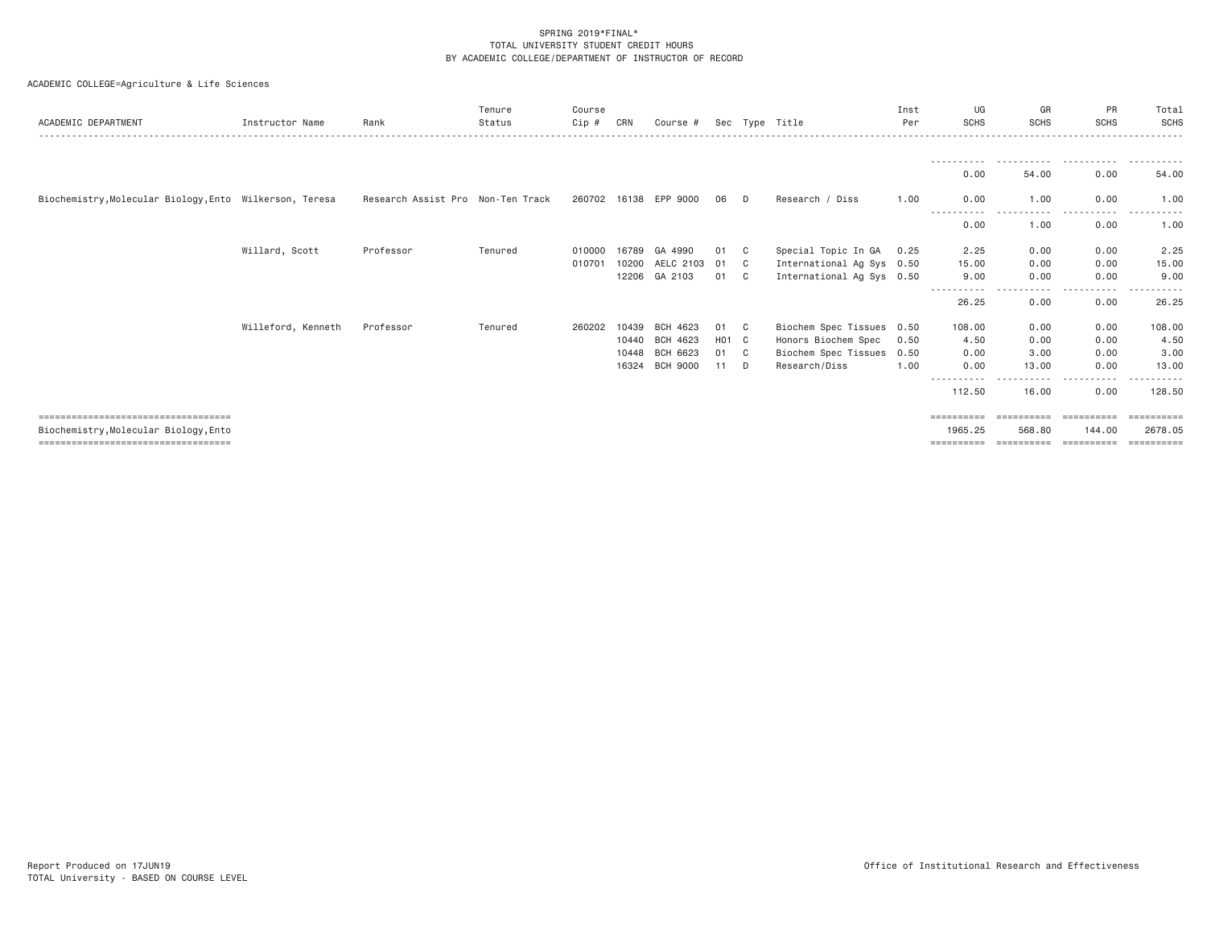|  |  | ACADEMIC COLLEGE=Agriculture & Life Sciences |  |  |  |
|--|--|----------------------------------------------|--|--|--|
|--|--|----------------------------------------------|--|--|--|

| ACADEMIC DEPARTMENT                                     | Instructor Name    | Rank                              | Tenure<br>Status | Course<br>Cip # | CRN   | Course #        |       |                | Sec Type Title            | Inst<br>Per | UG<br><b>SCHS</b>        | GR<br><b>SCHS</b> | PR<br><b>SCHS</b> | Total<br><b>SCHS</b> |
|---------------------------------------------------------|--------------------|-----------------------------------|------------------|-----------------|-------|-----------------|-------|----------------|---------------------------|-------------|--------------------------|-------------------|-------------------|----------------------|
|                                                         |                    |                                   |                  |                 |       |                 |       |                |                           |             |                          |                   |                   |                      |
|                                                         |                    |                                   |                  |                 |       |                 |       |                |                           |             | 0.00                     | 54.00             | 0.00              | 54.00                |
| Biochemistry, Molecular Biology, Ento Wilkerson, Teresa |                    | Research Assist Pro Non-Ten Track |                  | 260702 16138    |       | EPP 9000        |       | D              | Research / Diss           | 1.00        | 0.00                     | 1.00              | 0.00              | 1.00                 |
|                                                         |                    |                                   |                  |                 |       |                 |       |                |                           |             | 0.00                     | 1.00              | 0.00              | 1.00                 |
|                                                         | Willard, Scott     | Professor                         | Tenured          | 010000          | 16789 | GA 4990         | 01    | C              | Special Topic In GA       | 0.25        | 2.25                     | 0.00              | 0.00              | 2.25                 |
|                                                         |                    |                                   |                  | 010701          | 10200 | AELC 2103       | 01    | C              | International Ag Sys 0.50 |             | 15,00                    | 0.00              | 0.00              | 15.00                |
|                                                         |                    |                                   |                  |                 | 12206 | GA 2103         | 01    | C.             | International Ag Sys 0.50 |             | 9.00                     | 0.00              | 0.00              | 9.00                 |
|                                                         |                    |                                   |                  |                 |       |                 |       |                |                           |             | -----<br>------<br>26.25 | ----<br>0.00      | .<br>0.00         | 26.25                |
|                                                         | Willeford, Kenneth | Professor                         | Tenured          | 260202          | 10439 | BCH 4623        | 01    | C <sub>c</sub> | Biochem Spec Tissues 0.50 |             | 108.00                   | 0.00              | 0.00              | 108.00               |
|                                                         |                    |                                   |                  |                 | 10440 | BCH 4623        | H01 C |                | Honors Biochem Spec       | 0.50        | 4.50                     | 0.00              | 0.00              | 4.50                 |
|                                                         |                    |                                   |                  |                 | 10448 | BCH 6623        | 01    | C.             | Biochem Spec Tissues 0.50 |             | 0.00                     | 3.00              | 0.00              | 3.00                 |
|                                                         |                    |                                   |                  |                 | 16324 | <b>BCH 9000</b> | 11    | D              | Research/Diss             | 1.00        | 0.00                     | 13.00             | 0.00              | 13.00                |
|                                                         |                    |                                   |                  |                 |       |                 |       |                |                           |             | 112.50                   | 16.00             | 0.00              | 128.50               |
| ====================================                    |                    |                                   |                  |                 |       |                 |       |                |                           |             | ==========               | ==========        | -----------       |                      |
| Biochemistry, Molecular Biology, Ento                   |                    |                                   |                  |                 |       |                 |       |                |                           |             | 1965.25                  | 568.80            | 144.00            | 2678.05              |
| ======================================                  |                    |                                   |                  |                 |       |                 |       |                |                           |             | ==========               | ==========        | -----------       | ==========           |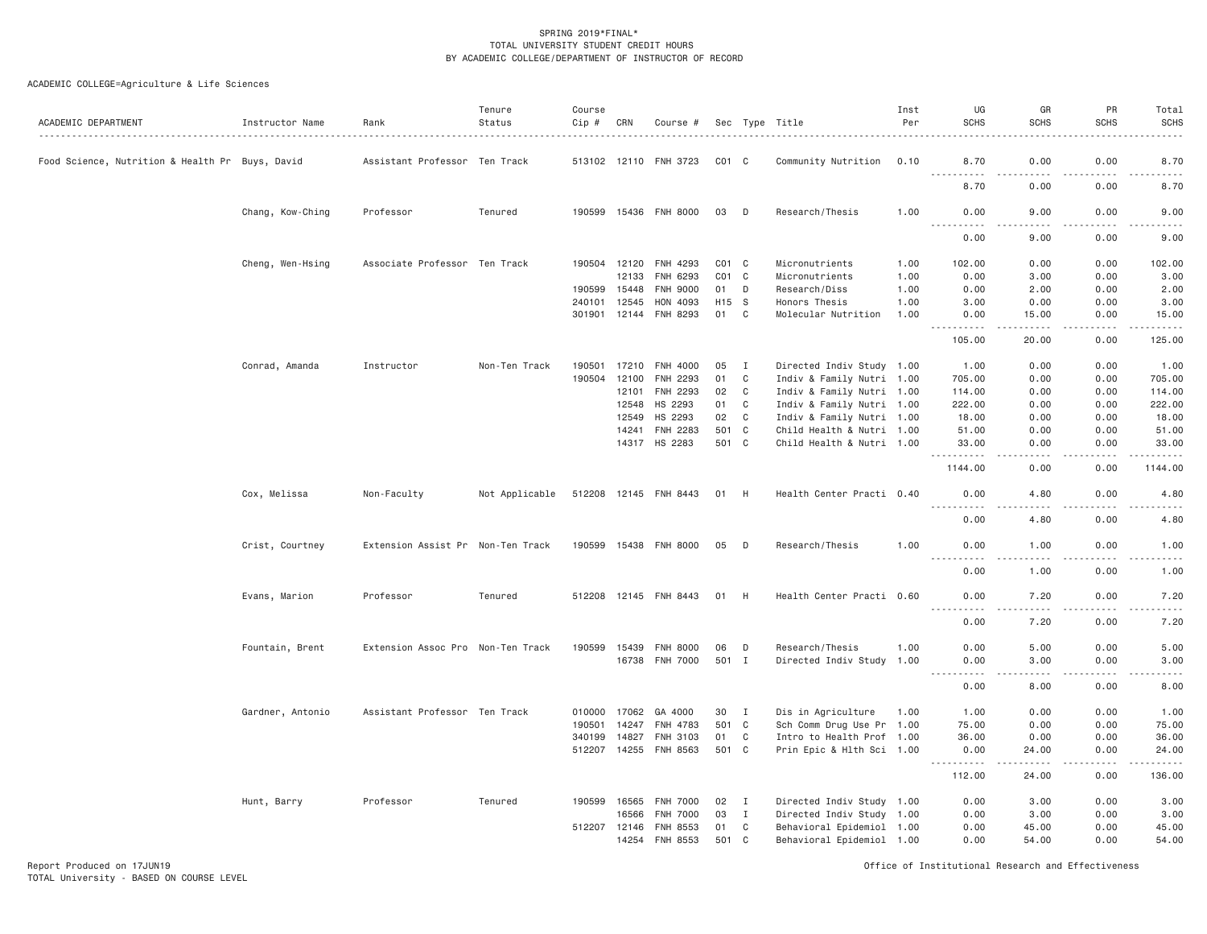| Food Science, Nutrition & Health Pr Buys, David<br>Assistant Professor Ten Track<br>513102 12110 FNH 3723<br>$CO1$ $C$<br>Community Nutrition<br>0.10<br>8.70<br>0.00<br>0.00<br>.<br>.<br>0.00<br>0.00<br>8.70<br>190599 15436 FNH 8000<br>9.00<br>0.00<br>Chang, Kow-Ching<br>Professor<br>Tenured<br>03<br>D<br>Research/Thesis<br>1.00<br>0.00<br>-----<br>.<br>.<br>.<br>$\cdots$<br>0.00<br>9.00<br>0.00<br>Cheng, Wen-Hsing<br>Associate Professor Ten Track<br>190504 12120<br>FNH 4293<br>$CO1$ $C$<br>Micronutrients<br>1.00<br>102.00<br>0.00<br>0.00<br>12133<br>FNH 6293<br>$CO1$ $C$<br>Micronutrients<br>1.00<br>0.00<br>3,00<br>0.00<br>15448<br><b>FNH 9000</b><br>D<br>Research/Diss<br>1.00<br>0.00<br>2.00<br>0.00<br>190599<br>01<br>240101<br>12545<br>HON 4093<br>H15 S<br>Honors Thesis<br>1.00<br>3.00<br>0.00<br>0.00<br>301901 12144 FNH 8293<br>01<br>$\mathbf{C}$<br>Molecular Nutrition<br>0.00<br>1.00<br>0.00<br>15.00<br>.<br>.<br>.<br>$- - - - - -$<br>105.00<br>0.00<br>20.00<br>Conrad, Amanda<br>Instructor<br>Non-Ten Track<br>190501<br>17210<br>FNH 4000<br>05<br>$\mathbf{I}$<br>Directed Indiv Study 1.00<br>1.00<br>0.00<br>0.00<br>190504<br>12100<br>FNH 2293<br>01<br>$\mathbf{C}$<br>Indiv & Family Nutri 1.00<br>705.00<br>0.00<br>0.00<br>12101<br><b>FNH 2293</b><br>02<br>$\mathbf{C}$<br>Indiv & Family Nutri 1.00<br>114.00<br>0.00<br>0.00<br>HS 2293<br>12548<br>01<br>$\mathbf{C}$<br>Indiv & Family Nutri 1.00<br>222.00<br>0.00<br>0.00<br>HS 2293<br>02<br>$\mathbf C$<br>Indiv & Family Nutri 1.00<br>0.00<br>0.00<br>12549<br>18.00<br>FNH 2283<br>501<br>$\mathbf{C}$<br>Child Health & Nutri 1.00<br>0.00<br>0.00<br>14241<br>51.00<br>14317 HS 2283<br>501 C<br>Child Health & Nutri 1.00<br>0.00<br>0.00<br>33.00<br>.<br>1144.00<br>0.00<br>0.00<br>0.00<br>Cox, Melissa<br>Non-Faculty<br>Not Applicable<br>512208 12145 FNH 8443<br>01 H<br>Health Center Practi 0.40<br>0.00<br>4.80<br>.<br>.<br>.<br>$\frac{1}{2}$<br>0.00<br>0.00<br>4.80<br>Research/Thesis<br>1.00<br>Crist, Courtney<br>Extension Assist Pr Non-Ten Track<br>190599 15438 FNH 8000<br>05<br>D<br>0.00<br>1.00<br>0.00<br>.<br>د د د د<br>.<br>.<br>0.00<br>1.00<br>0.00<br>Evans, Marion<br>Professor<br>Tenured<br>512208 12145 FNH 8443<br>01<br>H<br>Health Center Practi 0.60<br>0.00<br>7.20<br>0.00<br><u>.</u><br>.<br>.<br>$\frac{1}{2}$<br>0.00<br>0.00<br>7.20<br>190599<br><b>FNH 8000</b><br>Research/Thesis<br>5.00<br>0.00<br>Fountain, Brent<br>Extension Assoc Pro Non-Ten Track<br>15439<br>06<br>D<br>1.00<br>0.00<br>5.00<br>501 I<br>3.00<br>0.00<br>16738 FNH 7000<br>Directed Indiv Study 1.00<br>0.00<br>-----<br>0.00<br>8.00<br>0.00<br>Assistant Professor Ten Track<br>0.00<br>0.00<br>Gardner, Antonio<br>010000<br>17062<br>GA 4000<br>30<br>$\mathbf{I}$<br>Dis in Agriculture<br>1.00<br>1.00<br>501<br>$\mathbf{C}$<br>Sch Comm Drug Use Pr 1.00<br>0.00<br>0.00<br>190501<br>14247<br>FNH 4783<br>75.00<br>340199<br>14827<br>FNH 3103<br>01<br>$\mathbf{C}$<br>Intro to Health Prof 1.00<br>36.00<br>0.00<br>0.00<br>512207 14255 FNH 8563<br>501 C<br>0.00<br>Prin Epic & Hlth Sci 1.00<br>0.00<br>24.00<br>.<br>.<br>.<br>112.00<br>0.00<br>24.00<br>Professor<br>Tenured<br>Hunt, Barry<br>190599<br>16565<br><b>FNH 7000</b><br>02<br>I<br>Directed Indiv Study 1.00<br>0.00<br>3.00<br>0.00<br><b>FNH 7000</b><br>03<br>$\mathbf I$<br>Directed Indiv Study 1.00<br>0.00<br>3.00<br>0.00<br>16566<br>FNH 8553<br>0.00<br>45.00<br>0.00<br>512207 12146<br>01<br>C<br>Behavioral Epidemiol 1.00<br>14254 FNH 8553<br>501<br>C<br>0.00<br>54.00<br>0.00<br>Behavioral Epidemiol 1.00 | ACADEMIC DEPARTMENT | Instructor Name | Rank | Tenure<br>Status | Course<br>Cip # | CRN | Course # |  | Sec Type Title | Inst<br>Per | UG<br><b>SCHS</b> | GR<br><b>SCHS</b> | PR<br><b>SCHS</b> | Total<br><b>SCHS</b> |
|-----------------------------------------------------------------------------------------------------------------------------------------------------------------------------------------------------------------------------------------------------------------------------------------------------------------------------------------------------------------------------------------------------------------------------------------------------------------------------------------------------------------------------------------------------------------------------------------------------------------------------------------------------------------------------------------------------------------------------------------------------------------------------------------------------------------------------------------------------------------------------------------------------------------------------------------------------------------------------------------------------------------------------------------------------------------------------------------------------------------------------------------------------------------------------------------------------------------------------------------------------------------------------------------------------------------------------------------------------------------------------------------------------------------------------------------------------------------------------------------------------------------------------------------------------------------------------------------------------------------------------------------------------------------------------------------------------------------------------------------------------------------------------------------------------------------------------------------------------------------------------------------------------------------------------------------------------------------------------------------------------------------------------------------------------------------------------------------------------------------------------------------------------------------------------------------------------------------------------------------------------------------------------------------------------------------------------------------------------------------------------------------------------------------------------------------------------------------------------------------------------------------------------------------------------------------------------------------------------------------------------------------------------------------------------------------------------------------------------------------------------------------------------------------------------------------------------------------------------------------------------------------------------------------------------------------------------------------------------------------------------------------------------------------------------------------------------------------------------------------------------------------------------------------------------------------------------------------------------------------------------------------------------------------------------------------------------------------------------------------------------------------------------------------------------------------------------------------------------------------------------------------------------------------------------------------------------------------------------------------------------------------------------------------------|---------------------|-----------------|------|------------------|-----------------|-----|----------|--|----------------|-------------|-------------------|-------------------|-------------------|----------------------|
|                                                                                                                                                                                                                                                                                                                                                                                                                                                                                                                                                                                                                                                                                                                                                                                                                                                                                                                                                                                                                                                                                                                                                                                                                                                                                                                                                                                                                                                                                                                                                                                                                                                                                                                                                                                                                                                                                                                                                                                                                                                                                                                                                                                                                                                                                                                                                                                                                                                                                                                                                                                                                                                                                                                                                                                                                                                                                                                                                                                                                                                                                                                                                                                                                                                                                                                                                                                                                                                                                                                                                                                                                                                                       |                     |                 |      |                  |                 |     |          |  |                |             |                   |                   |                   | 8.70                 |
|                                                                                                                                                                                                                                                                                                                                                                                                                                                                                                                                                                                                                                                                                                                                                                                                                                                                                                                                                                                                                                                                                                                                                                                                                                                                                                                                                                                                                                                                                                                                                                                                                                                                                                                                                                                                                                                                                                                                                                                                                                                                                                                                                                                                                                                                                                                                                                                                                                                                                                                                                                                                                                                                                                                                                                                                                                                                                                                                                                                                                                                                                                                                                                                                                                                                                                                                                                                                                                                                                                                                                                                                                                                                       |                     |                 |      |                  |                 |     |          |  |                |             |                   |                   |                   | 8.70                 |
|                                                                                                                                                                                                                                                                                                                                                                                                                                                                                                                                                                                                                                                                                                                                                                                                                                                                                                                                                                                                                                                                                                                                                                                                                                                                                                                                                                                                                                                                                                                                                                                                                                                                                                                                                                                                                                                                                                                                                                                                                                                                                                                                                                                                                                                                                                                                                                                                                                                                                                                                                                                                                                                                                                                                                                                                                                                                                                                                                                                                                                                                                                                                                                                                                                                                                                                                                                                                                                                                                                                                                                                                                                                                       |                     |                 |      |                  |                 |     |          |  |                |             |                   |                   |                   | 9.00                 |
|                                                                                                                                                                                                                                                                                                                                                                                                                                                                                                                                                                                                                                                                                                                                                                                                                                                                                                                                                                                                                                                                                                                                                                                                                                                                                                                                                                                                                                                                                                                                                                                                                                                                                                                                                                                                                                                                                                                                                                                                                                                                                                                                                                                                                                                                                                                                                                                                                                                                                                                                                                                                                                                                                                                                                                                                                                                                                                                                                                                                                                                                                                                                                                                                                                                                                                                                                                                                                                                                                                                                                                                                                                                                       |                     |                 |      |                  |                 |     |          |  |                |             |                   |                   |                   | 9.00                 |
|                                                                                                                                                                                                                                                                                                                                                                                                                                                                                                                                                                                                                                                                                                                                                                                                                                                                                                                                                                                                                                                                                                                                                                                                                                                                                                                                                                                                                                                                                                                                                                                                                                                                                                                                                                                                                                                                                                                                                                                                                                                                                                                                                                                                                                                                                                                                                                                                                                                                                                                                                                                                                                                                                                                                                                                                                                                                                                                                                                                                                                                                                                                                                                                                                                                                                                                                                                                                                                                                                                                                                                                                                                                                       |                     |                 |      |                  |                 |     |          |  |                |             |                   |                   |                   | 102.00               |
|                                                                                                                                                                                                                                                                                                                                                                                                                                                                                                                                                                                                                                                                                                                                                                                                                                                                                                                                                                                                                                                                                                                                                                                                                                                                                                                                                                                                                                                                                                                                                                                                                                                                                                                                                                                                                                                                                                                                                                                                                                                                                                                                                                                                                                                                                                                                                                                                                                                                                                                                                                                                                                                                                                                                                                                                                                                                                                                                                                                                                                                                                                                                                                                                                                                                                                                                                                                                                                                                                                                                                                                                                                                                       |                     |                 |      |                  |                 |     |          |  |                |             |                   |                   |                   | 3.00                 |
|                                                                                                                                                                                                                                                                                                                                                                                                                                                                                                                                                                                                                                                                                                                                                                                                                                                                                                                                                                                                                                                                                                                                                                                                                                                                                                                                                                                                                                                                                                                                                                                                                                                                                                                                                                                                                                                                                                                                                                                                                                                                                                                                                                                                                                                                                                                                                                                                                                                                                                                                                                                                                                                                                                                                                                                                                                                                                                                                                                                                                                                                                                                                                                                                                                                                                                                                                                                                                                                                                                                                                                                                                                                                       |                     |                 |      |                  |                 |     |          |  |                |             |                   |                   |                   | 2.00                 |
|                                                                                                                                                                                                                                                                                                                                                                                                                                                                                                                                                                                                                                                                                                                                                                                                                                                                                                                                                                                                                                                                                                                                                                                                                                                                                                                                                                                                                                                                                                                                                                                                                                                                                                                                                                                                                                                                                                                                                                                                                                                                                                                                                                                                                                                                                                                                                                                                                                                                                                                                                                                                                                                                                                                                                                                                                                                                                                                                                                                                                                                                                                                                                                                                                                                                                                                                                                                                                                                                                                                                                                                                                                                                       |                     |                 |      |                  |                 |     |          |  |                |             |                   |                   |                   | 3.00                 |
|                                                                                                                                                                                                                                                                                                                                                                                                                                                                                                                                                                                                                                                                                                                                                                                                                                                                                                                                                                                                                                                                                                                                                                                                                                                                                                                                                                                                                                                                                                                                                                                                                                                                                                                                                                                                                                                                                                                                                                                                                                                                                                                                                                                                                                                                                                                                                                                                                                                                                                                                                                                                                                                                                                                                                                                                                                                                                                                                                                                                                                                                                                                                                                                                                                                                                                                                                                                                                                                                                                                                                                                                                                                                       |                     |                 |      |                  |                 |     |          |  |                |             |                   |                   |                   | 15.00                |
|                                                                                                                                                                                                                                                                                                                                                                                                                                                                                                                                                                                                                                                                                                                                                                                                                                                                                                                                                                                                                                                                                                                                                                                                                                                                                                                                                                                                                                                                                                                                                                                                                                                                                                                                                                                                                                                                                                                                                                                                                                                                                                                                                                                                                                                                                                                                                                                                                                                                                                                                                                                                                                                                                                                                                                                                                                                                                                                                                                                                                                                                                                                                                                                                                                                                                                                                                                                                                                                                                                                                                                                                                                                                       |                     |                 |      |                  |                 |     |          |  |                |             |                   |                   |                   | 125.00               |
|                                                                                                                                                                                                                                                                                                                                                                                                                                                                                                                                                                                                                                                                                                                                                                                                                                                                                                                                                                                                                                                                                                                                                                                                                                                                                                                                                                                                                                                                                                                                                                                                                                                                                                                                                                                                                                                                                                                                                                                                                                                                                                                                                                                                                                                                                                                                                                                                                                                                                                                                                                                                                                                                                                                                                                                                                                                                                                                                                                                                                                                                                                                                                                                                                                                                                                                                                                                                                                                                                                                                                                                                                                                                       |                     |                 |      |                  |                 |     |          |  |                |             |                   |                   |                   | 1.00                 |
|                                                                                                                                                                                                                                                                                                                                                                                                                                                                                                                                                                                                                                                                                                                                                                                                                                                                                                                                                                                                                                                                                                                                                                                                                                                                                                                                                                                                                                                                                                                                                                                                                                                                                                                                                                                                                                                                                                                                                                                                                                                                                                                                                                                                                                                                                                                                                                                                                                                                                                                                                                                                                                                                                                                                                                                                                                                                                                                                                                                                                                                                                                                                                                                                                                                                                                                                                                                                                                                                                                                                                                                                                                                                       |                     |                 |      |                  |                 |     |          |  |                |             |                   |                   |                   | 705.00               |
|                                                                                                                                                                                                                                                                                                                                                                                                                                                                                                                                                                                                                                                                                                                                                                                                                                                                                                                                                                                                                                                                                                                                                                                                                                                                                                                                                                                                                                                                                                                                                                                                                                                                                                                                                                                                                                                                                                                                                                                                                                                                                                                                                                                                                                                                                                                                                                                                                                                                                                                                                                                                                                                                                                                                                                                                                                                                                                                                                                                                                                                                                                                                                                                                                                                                                                                                                                                                                                                                                                                                                                                                                                                                       |                     |                 |      |                  |                 |     |          |  |                |             |                   |                   |                   | 114.00               |
|                                                                                                                                                                                                                                                                                                                                                                                                                                                                                                                                                                                                                                                                                                                                                                                                                                                                                                                                                                                                                                                                                                                                                                                                                                                                                                                                                                                                                                                                                                                                                                                                                                                                                                                                                                                                                                                                                                                                                                                                                                                                                                                                                                                                                                                                                                                                                                                                                                                                                                                                                                                                                                                                                                                                                                                                                                                                                                                                                                                                                                                                                                                                                                                                                                                                                                                                                                                                                                                                                                                                                                                                                                                                       |                     |                 |      |                  |                 |     |          |  |                |             |                   |                   |                   | 222.00               |
|                                                                                                                                                                                                                                                                                                                                                                                                                                                                                                                                                                                                                                                                                                                                                                                                                                                                                                                                                                                                                                                                                                                                                                                                                                                                                                                                                                                                                                                                                                                                                                                                                                                                                                                                                                                                                                                                                                                                                                                                                                                                                                                                                                                                                                                                                                                                                                                                                                                                                                                                                                                                                                                                                                                                                                                                                                                                                                                                                                                                                                                                                                                                                                                                                                                                                                                                                                                                                                                                                                                                                                                                                                                                       |                     |                 |      |                  |                 |     |          |  |                |             |                   |                   |                   | 18.00                |
|                                                                                                                                                                                                                                                                                                                                                                                                                                                                                                                                                                                                                                                                                                                                                                                                                                                                                                                                                                                                                                                                                                                                                                                                                                                                                                                                                                                                                                                                                                                                                                                                                                                                                                                                                                                                                                                                                                                                                                                                                                                                                                                                                                                                                                                                                                                                                                                                                                                                                                                                                                                                                                                                                                                                                                                                                                                                                                                                                                                                                                                                                                                                                                                                                                                                                                                                                                                                                                                                                                                                                                                                                                                                       |                     |                 |      |                  |                 |     |          |  |                |             |                   |                   |                   | 51.00                |
|                                                                                                                                                                                                                                                                                                                                                                                                                                                                                                                                                                                                                                                                                                                                                                                                                                                                                                                                                                                                                                                                                                                                                                                                                                                                                                                                                                                                                                                                                                                                                                                                                                                                                                                                                                                                                                                                                                                                                                                                                                                                                                                                                                                                                                                                                                                                                                                                                                                                                                                                                                                                                                                                                                                                                                                                                                                                                                                                                                                                                                                                                                                                                                                                                                                                                                                                                                                                                                                                                                                                                                                                                                                                       |                     |                 |      |                  |                 |     |          |  |                |             |                   |                   |                   | 33.00                |
|                                                                                                                                                                                                                                                                                                                                                                                                                                                                                                                                                                                                                                                                                                                                                                                                                                                                                                                                                                                                                                                                                                                                                                                                                                                                                                                                                                                                                                                                                                                                                                                                                                                                                                                                                                                                                                                                                                                                                                                                                                                                                                                                                                                                                                                                                                                                                                                                                                                                                                                                                                                                                                                                                                                                                                                                                                                                                                                                                                                                                                                                                                                                                                                                                                                                                                                                                                                                                                                                                                                                                                                                                                                                       |                     |                 |      |                  |                 |     |          |  |                |             |                   |                   |                   | 1144.00              |
|                                                                                                                                                                                                                                                                                                                                                                                                                                                                                                                                                                                                                                                                                                                                                                                                                                                                                                                                                                                                                                                                                                                                                                                                                                                                                                                                                                                                                                                                                                                                                                                                                                                                                                                                                                                                                                                                                                                                                                                                                                                                                                                                                                                                                                                                                                                                                                                                                                                                                                                                                                                                                                                                                                                                                                                                                                                                                                                                                                                                                                                                                                                                                                                                                                                                                                                                                                                                                                                                                                                                                                                                                                                                       |                     |                 |      |                  |                 |     |          |  |                |             |                   |                   |                   | 4.80                 |
|                                                                                                                                                                                                                                                                                                                                                                                                                                                                                                                                                                                                                                                                                                                                                                                                                                                                                                                                                                                                                                                                                                                                                                                                                                                                                                                                                                                                                                                                                                                                                                                                                                                                                                                                                                                                                                                                                                                                                                                                                                                                                                                                                                                                                                                                                                                                                                                                                                                                                                                                                                                                                                                                                                                                                                                                                                                                                                                                                                                                                                                                                                                                                                                                                                                                                                                                                                                                                                                                                                                                                                                                                                                                       |                     |                 |      |                  |                 |     |          |  |                |             |                   |                   |                   | 4.80                 |
|                                                                                                                                                                                                                                                                                                                                                                                                                                                                                                                                                                                                                                                                                                                                                                                                                                                                                                                                                                                                                                                                                                                                                                                                                                                                                                                                                                                                                                                                                                                                                                                                                                                                                                                                                                                                                                                                                                                                                                                                                                                                                                                                                                                                                                                                                                                                                                                                                                                                                                                                                                                                                                                                                                                                                                                                                                                                                                                                                                                                                                                                                                                                                                                                                                                                                                                                                                                                                                                                                                                                                                                                                                                                       |                     |                 |      |                  |                 |     |          |  |                |             |                   |                   |                   | 1.00                 |
|                                                                                                                                                                                                                                                                                                                                                                                                                                                                                                                                                                                                                                                                                                                                                                                                                                                                                                                                                                                                                                                                                                                                                                                                                                                                                                                                                                                                                                                                                                                                                                                                                                                                                                                                                                                                                                                                                                                                                                                                                                                                                                                                                                                                                                                                                                                                                                                                                                                                                                                                                                                                                                                                                                                                                                                                                                                                                                                                                                                                                                                                                                                                                                                                                                                                                                                                                                                                                                                                                                                                                                                                                                                                       |                     |                 |      |                  |                 |     |          |  |                |             |                   |                   |                   | 1.00                 |
|                                                                                                                                                                                                                                                                                                                                                                                                                                                                                                                                                                                                                                                                                                                                                                                                                                                                                                                                                                                                                                                                                                                                                                                                                                                                                                                                                                                                                                                                                                                                                                                                                                                                                                                                                                                                                                                                                                                                                                                                                                                                                                                                                                                                                                                                                                                                                                                                                                                                                                                                                                                                                                                                                                                                                                                                                                                                                                                                                                                                                                                                                                                                                                                                                                                                                                                                                                                                                                                                                                                                                                                                                                                                       |                     |                 |      |                  |                 |     |          |  |                |             |                   |                   |                   | 7.20                 |
|                                                                                                                                                                                                                                                                                                                                                                                                                                                                                                                                                                                                                                                                                                                                                                                                                                                                                                                                                                                                                                                                                                                                                                                                                                                                                                                                                                                                                                                                                                                                                                                                                                                                                                                                                                                                                                                                                                                                                                                                                                                                                                                                                                                                                                                                                                                                                                                                                                                                                                                                                                                                                                                                                                                                                                                                                                                                                                                                                                                                                                                                                                                                                                                                                                                                                                                                                                                                                                                                                                                                                                                                                                                                       |                     |                 |      |                  |                 |     |          |  |                |             |                   |                   |                   | 7.20                 |
|                                                                                                                                                                                                                                                                                                                                                                                                                                                                                                                                                                                                                                                                                                                                                                                                                                                                                                                                                                                                                                                                                                                                                                                                                                                                                                                                                                                                                                                                                                                                                                                                                                                                                                                                                                                                                                                                                                                                                                                                                                                                                                                                                                                                                                                                                                                                                                                                                                                                                                                                                                                                                                                                                                                                                                                                                                                                                                                                                                                                                                                                                                                                                                                                                                                                                                                                                                                                                                                                                                                                                                                                                                                                       |                     |                 |      |                  |                 |     |          |  |                |             |                   |                   |                   |                      |
|                                                                                                                                                                                                                                                                                                                                                                                                                                                                                                                                                                                                                                                                                                                                                                                                                                                                                                                                                                                                                                                                                                                                                                                                                                                                                                                                                                                                                                                                                                                                                                                                                                                                                                                                                                                                                                                                                                                                                                                                                                                                                                                                                                                                                                                                                                                                                                                                                                                                                                                                                                                                                                                                                                                                                                                                                                                                                                                                                                                                                                                                                                                                                                                                                                                                                                                                                                                                                                                                                                                                                                                                                                                                       |                     |                 |      |                  |                 |     |          |  |                |             |                   |                   |                   | 3.00                 |
|                                                                                                                                                                                                                                                                                                                                                                                                                                                                                                                                                                                                                                                                                                                                                                                                                                                                                                                                                                                                                                                                                                                                                                                                                                                                                                                                                                                                                                                                                                                                                                                                                                                                                                                                                                                                                                                                                                                                                                                                                                                                                                                                                                                                                                                                                                                                                                                                                                                                                                                                                                                                                                                                                                                                                                                                                                                                                                                                                                                                                                                                                                                                                                                                                                                                                                                                                                                                                                                                                                                                                                                                                                                                       |                     |                 |      |                  |                 |     |          |  |                |             |                   |                   |                   | 8.00                 |
|                                                                                                                                                                                                                                                                                                                                                                                                                                                                                                                                                                                                                                                                                                                                                                                                                                                                                                                                                                                                                                                                                                                                                                                                                                                                                                                                                                                                                                                                                                                                                                                                                                                                                                                                                                                                                                                                                                                                                                                                                                                                                                                                                                                                                                                                                                                                                                                                                                                                                                                                                                                                                                                                                                                                                                                                                                                                                                                                                                                                                                                                                                                                                                                                                                                                                                                                                                                                                                                                                                                                                                                                                                                                       |                     |                 |      |                  |                 |     |          |  |                |             |                   |                   |                   | 1.00                 |
|                                                                                                                                                                                                                                                                                                                                                                                                                                                                                                                                                                                                                                                                                                                                                                                                                                                                                                                                                                                                                                                                                                                                                                                                                                                                                                                                                                                                                                                                                                                                                                                                                                                                                                                                                                                                                                                                                                                                                                                                                                                                                                                                                                                                                                                                                                                                                                                                                                                                                                                                                                                                                                                                                                                                                                                                                                                                                                                                                                                                                                                                                                                                                                                                                                                                                                                                                                                                                                                                                                                                                                                                                                                                       |                     |                 |      |                  |                 |     |          |  |                |             |                   |                   |                   | 75.00                |
|                                                                                                                                                                                                                                                                                                                                                                                                                                                                                                                                                                                                                                                                                                                                                                                                                                                                                                                                                                                                                                                                                                                                                                                                                                                                                                                                                                                                                                                                                                                                                                                                                                                                                                                                                                                                                                                                                                                                                                                                                                                                                                                                                                                                                                                                                                                                                                                                                                                                                                                                                                                                                                                                                                                                                                                                                                                                                                                                                                                                                                                                                                                                                                                                                                                                                                                                                                                                                                                                                                                                                                                                                                                                       |                     |                 |      |                  |                 |     |          |  |                |             |                   |                   |                   | 36.00                |
|                                                                                                                                                                                                                                                                                                                                                                                                                                                                                                                                                                                                                                                                                                                                                                                                                                                                                                                                                                                                                                                                                                                                                                                                                                                                                                                                                                                                                                                                                                                                                                                                                                                                                                                                                                                                                                                                                                                                                                                                                                                                                                                                                                                                                                                                                                                                                                                                                                                                                                                                                                                                                                                                                                                                                                                                                                                                                                                                                                                                                                                                                                                                                                                                                                                                                                                                                                                                                                                                                                                                                                                                                                                                       |                     |                 |      |                  |                 |     |          |  |                |             |                   |                   |                   | 24.00                |
|                                                                                                                                                                                                                                                                                                                                                                                                                                                                                                                                                                                                                                                                                                                                                                                                                                                                                                                                                                                                                                                                                                                                                                                                                                                                                                                                                                                                                                                                                                                                                                                                                                                                                                                                                                                                                                                                                                                                                                                                                                                                                                                                                                                                                                                                                                                                                                                                                                                                                                                                                                                                                                                                                                                                                                                                                                                                                                                                                                                                                                                                                                                                                                                                                                                                                                                                                                                                                                                                                                                                                                                                                                                                       |                     |                 |      |                  |                 |     |          |  |                |             |                   |                   |                   | 136.00               |
|                                                                                                                                                                                                                                                                                                                                                                                                                                                                                                                                                                                                                                                                                                                                                                                                                                                                                                                                                                                                                                                                                                                                                                                                                                                                                                                                                                                                                                                                                                                                                                                                                                                                                                                                                                                                                                                                                                                                                                                                                                                                                                                                                                                                                                                                                                                                                                                                                                                                                                                                                                                                                                                                                                                                                                                                                                                                                                                                                                                                                                                                                                                                                                                                                                                                                                                                                                                                                                                                                                                                                                                                                                                                       |                     |                 |      |                  |                 |     |          |  |                |             |                   |                   |                   | 3.00                 |
|                                                                                                                                                                                                                                                                                                                                                                                                                                                                                                                                                                                                                                                                                                                                                                                                                                                                                                                                                                                                                                                                                                                                                                                                                                                                                                                                                                                                                                                                                                                                                                                                                                                                                                                                                                                                                                                                                                                                                                                                                                                                                                                                                                                                                                                                                                                                                                                                                                                                                                                                                                                                                                                                                                                                                                                                                                                                                                                                                                                                                                                                                                                                                                                                                                                                                                                                                                                                                                                                                                                                                                                                                                                                       |                     |                 |      |                  |                 |     |          |  |                |             |                   |                   |                   | 3.00                 |
|                                                                                                                                                                                                                                                                                                                                                                                                                                                                                                                                                                                                                                                                                                                                                                                                                                                                                                                                                                                                                                                                                                                                                                                                                                                                                                                                                                                                                                                                                                                                                                                                                                                                                                                                                                                                                                                                                                                                                                                                                                                                                                                                                                                                                                                                                                                                                                                                                                                                                                                                                                                                                                                                                                                                                                                                                                                                                                                                                                                                                                                                                                                                                                                                                                                                                                                                                                                                                                                                                                                                                                                                                                                                       |                     |                 |      |                  |                 |     |          |  |                |             |                   |                   |                   | 45.00                |
|                                                                                                                                                                                                                                                                                                                                                                                                                                                                                                                                                                                                                                                                                                                                                                                                                                                                                                                                                                                                                                                                                                                                                                                                                                                                                                                                                                                                                                                                                                                                                                                                                                                                                                                                                                                                                                                                                                                                                                                                                                                                                                                                                                                                                                                                                                                                                                                                                                                                                                                                                                                                                                                                                                                                                                                                                                                                                                                                                                                                                                                                                                                                                                                                                                                                                                                                                                                                                                                                                                                                                                                                                                                                       |                     |                 |      |                  |                 |     |          |  |                |             |                   |                   |                   | 54.00                |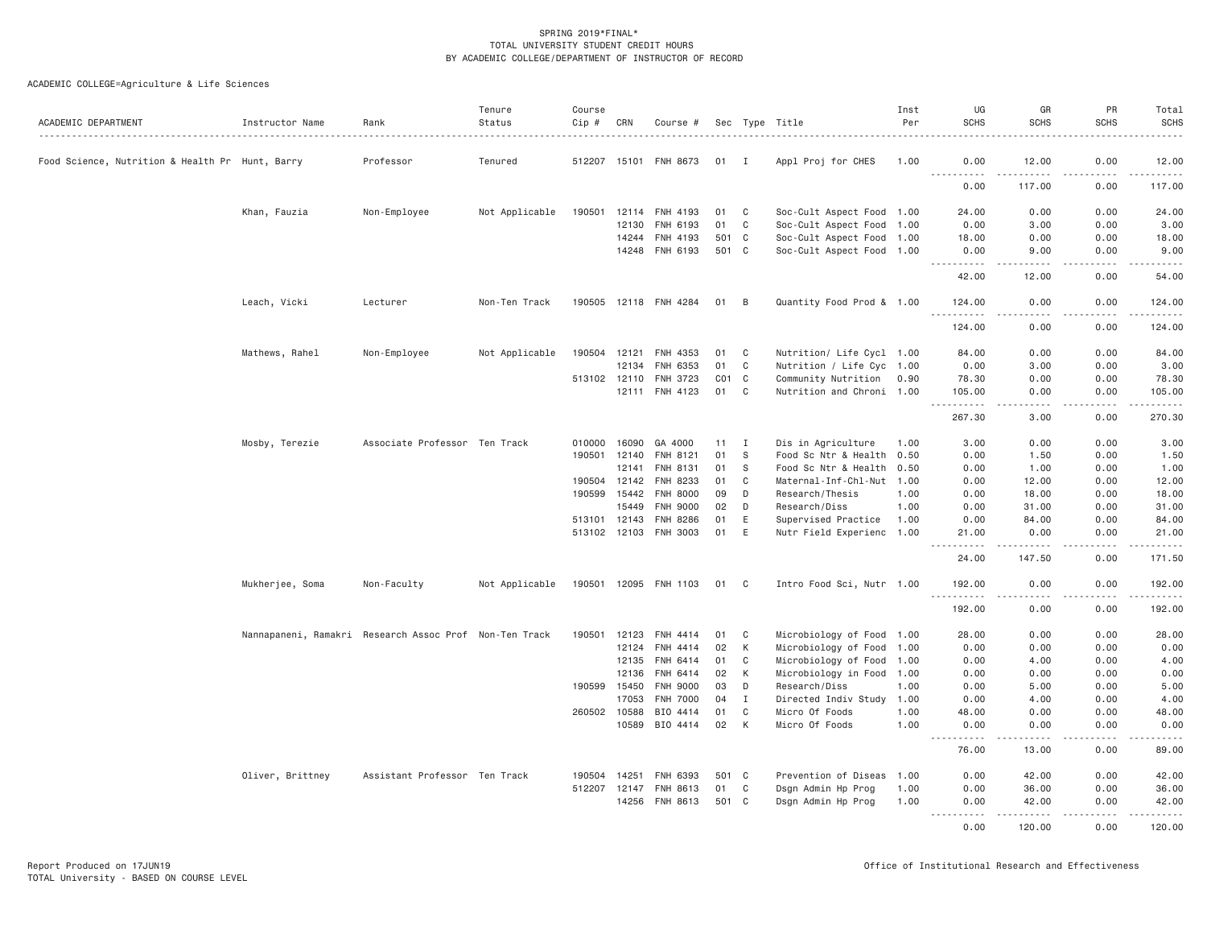| ACADEMIC DEPARTMENT                             | Instructor Name  | Rank                                                   | Tenure<br>Status | Course<br>Cip # | CRN          | Course #              |                 |              | Sec Type Title            | Inst<br>Per | UG<br><b>SCHS</b>                                                                                                                                            | GR<br><b>SCHS</b>                   | PR<br><b>SCHS</b> | Total<br><b>SCHS</b><br>$\frac{1}{2} \left( \frac{1}{2} \right) \left( \frac{1}{2} \right) \left( \frac{1}{2} \right) \left( \frac{1}{2} \right)$ |
|-------------------------------------------------|------------------|--------------------------------------------------------|------------------|-----------------|--------------|-----------------------|-----------------|--------------|---------------------------|-------------|--------------------------------------------------------------------------------------------------------------------------------------------------------------|-------------------------------------|-------------------|---------------------------------------------------------------------------------------------------------------------------------------------------|
| Food Science, Nutrition & Health Pr Hunt, Barry |                  | Professor                                              | Tenured          |                 |              | 512207 15101 FNH 8673 | $01$ I          |              | Appl Proj for CHES        | 1.00        | 0.00                                                                                                                                                         | 12.00                               | 0.00              | 12.00                                                                                                                                             |
|                                                 |                  |                                                        |                  |                 |              |                       |                 |              |                           |             | <u>.</u><br>0.00                                                                                                                                             | $\frac{1}{2}$<br>117.00             | .<br>0.00         | <u>.</u><br>117.00                                                                                                                                |
|                                                 | Khan, Fauzia     | Non-Employee                                           | Not Applicable   | 190501          |              | 12114 FNH 4193        | 01              | C            | Soc-Cult Aspect Food 1.00 |             | 24.00                                                                                                                                                        | 0.00                                | 0.00              | 24.00                                                                                                                                             |
|                                                 |                  |                                                        |                  |                 | 12130        | FNH 6193              | 01              | $\mathbf C$  | Soc-Cult Aspect Food 1.00 |             | 0.00                                                                                                                                                         | 3.00                                | 0.00              | 3.00                                                                                                                                              |
|                                                 |                  |                                                        |                  |                 | 14244        | FNH 4193              | 501 C           |              | Soc-Cult Aspect Food 1.00 |             | 18.00                                                                                                                                                        | 0.00                                | 0.00              | 18.00                                                                                                                                             |
|                                                 |                  |                                                        |                  |                 |              | 14248 FNH 6193        | 501 C           |              | Soc-Cult Aspect Food 1.00 |             | 0.00<br>$\frac{1}{2} \left( \frac{1}{2} \right) \left( \frac{1}{2} \right) \left( \frac{1}{2} \right) \left( \frac{1}{2} \right) \left( \frac{1}{2} \right)$ | 9.00<br>والمستناء                   | 0.00<br>.         | 9.00<br>.                                                                                                                                         |
|                                                 |                  |                                                        |                  |                 |              |                       |                 |              |                           |             | 42.00                                                                                                                                                        | 12.00                               | 0.00              | 54.00                                                                                                                                             |
|                                                 | Leach, Vicki     | Lecturer                                               | Non-Ten Track    |                 |              | 190505 12118 FNH 4284 | 01              | B            | Quantity Food Prod & 1.00 |             | 124.00<br>$\sim$ $\sim$ $\sim$<br>.                                                                                                                          | 0.00<br>.                           | 0.00<br>.         | 124.00<br>.                                                                                                                                       |
|                                                 |                  |                                                        |                  |                 |              |                       |                 |              |                           |             | 124.00                                                                                                                                                       | 0.00                                | 0.00              | 124.00                                                                                                                                            |
|                                                 | Mathews, Rahel   | Non-Employee                                           | Not Applicable   | 190504          | 12121        | FNH 4353              | 01              | C            | Nutrition/ Life Cycl 1.00 |             | 84.00                                                                                                                                                        | 0.00                                | 0.00              | 84.00                                                                                                                                             |
|                                                 |                  |                                                        |                  |                 | 12134        | FNH 6353              | 01              | C            | Nutrition / Life Cyc 1.00 |             | 0.00                                                                                                                                                         | 3.00                                | 0.00              | 3.00                                                                                                                                              |
|                                                 |                  |                                                        |                  | 513102 12110    |              | FNH 3723              | CO <sub>1</sub> | $\mathbf{C}$ | Community Nutrition 0.90  |             | 78.30                                                                                                                                                        | 0.00                                | 0.00              | 78.30                                                                                                                                             |
|                                                 |                  |                                                        |                  |                 | 12111        | FNH 4123              | 01              | C            | Nutrition and Chroni 1.00 |             | 105.00                                                                                                                                                       | 0.00                                | 0.00              | 105.00                                                                                                                                            |
|                                                 |                  |                                                        |                  |                 |              |                       |                 |              |                           |             | 267.30                                                                                                                                                       | 3.00                                | 0.00              | 270.30                                                                                                                                            |
|                                                 | Mosby, Terezie   | Associate Professor Ten Track                          |                  | 010000          | 16090        | GA 4000               | 11              | I            | Dis in Agriculture        | 1.00        | 3.00                                                                                                                                                         | 0.00                                | 0.00              | 3.00                                                                                                                                              |
|                                                 |                  |                                                        |                  | 190501 12140    |              | FNH 8121              | 01              | - S          | Food Sc Ntr & Health 0.50 |             | 0.00                                                                                                                                                         | 1.50                                | 0.00              | 1.50                                                                                                                                              |
|                                                 |                  |                                                        |                  |                 | 12141        | FNH 8131              | 01              | S.           | Food Sc Ntr & Health      | 0.50        | 0.00                                                                                                                                                         | 1.00                                | 0.00              | 1.00                                                                                                                                              |
|                                                 |                  |                                                        |                  | 190504          | 12142        | FNH 8233              | 01              | C            | Maternal-Inf-Chl-Nut 1.00 |             | 0.00                                                                                                                                                         | 12.00                               | 0.00              | 12.00                                                                                                                                             |
|                                                 |                  |                                                        |                  | 190599          | 15442        | <b>FNH 8000</b>       | 09              | D            | Research/Thesis           | 1.00        | 0.00                                                                                                                                                         | 18.00                               | 0.00              | 18.00                                                                                                                                             |
|                                                 |                  |                                                        |                  |                 | 15449        | <b>FNH 9000</b>       | 02              | D            | Research/Diss             | 1.00        | 0.00                                                                                                                                                         | 31.00                               | 0.00              | 31.00                                                                                                                                             |
|                                                 |                  |                                                        |                  |                 | 513101 12143 | FNH 8286              | 01              | E            | Supervised Practice       | 1.00        | 0.00                                                                                                                                                         | 84.00                               | 0.00              | 84.00                                                                                                                                             |
|                                                 |                  |                                                        |                  |                 |              | 513102 12103 FNH 3003 | 01              | E            | Nutr Field Experienc 1.00 |             | 21.00<br>. <b>.</b><br>$\sim$ $\sim$ $\sim$                                                                                                                  | 0.00<br>. <u>.</u> .                | 0.00<br>.         | 21.00<br>.                                                                                                                                        |
|                                                 |                  |                                                        |                  |                 |              |                       |                 |              |                           |             | 24.00                                                                                                                                                        | 147.50                              | 0.00              | 171.50                                                                                                                                            |
|                                                 | Mukherjee, Soma  | Non-Faculty                                            | Not Applicable   |                 |              | 190501 12095 FNH 1103 | 01              | - C          | Intro Food Sci, Nutr 1.00 |             | 192.00<br>.                                                                                                                                                  | 0.00<br>$\sim$ $\sim$ $\sim$ $\sim$ | 0.00<br>.         | 192.00<br>$\alpha$ is a set of $\alpha$                                                                                                           |
|                                                 |                  |                                                        |                  |                 |              |                       |                 |              |                           |             | 192.00                                                                                                                                                       | 0.00                                | 0.00              | 192.00                                                                                                                                            |
|                                                 |                  | Nannapaneni, Ramakri Research Assoc Prof Non-Ten Track |                  | 190501          | 12123        | FNH 4414              | 01              | C            | Microbiology of Food 1.00 |             | 28.00                                                                                                                                                        | 0.00                                | 0.00              | 28.00                                                                                                                                             |
|                                                 |                  |                                                        |                  |                 | 12124        | FNH 4414              | 02              | K            | Microbiology of Food 1.00 |             | 0.00                                                                                                                                                         | 0.00                                | 0.00              | 0.00                                                                                                                                              |
|                                                 |                  |                                                        |                  |                 | 12135        | FNH 6414              | 01              | $\mathbf C$  | Microbiology of Food 1.00 |             | 0.00                                                                                                                                                         | 4.00                                | 0.00              | 4.00                                                                                                                                              |
|                                                 |                  |                                                        |                  |                 | 12136        | FNH 6414              | 02              | K            | Microbiology in Food 1.00 |             | 0.00                                                                                                                                                         | 0.00                                | 0.00              | 0.00                                                                                                                                              |
|                                                 |                  |                                                        |                  | 190599          | 15450        | <b>FNH 9000</b>       | 03              | D            | Research/Diss             | 1.00        | 0.00                                                                                                                                                         | 5.00                                | 0.00              | 5.00                                                                                                                                              |
|                                                 |                  |                                                        |                  |                 | 17053        | FNH 7000              | 04              | $\mathbf{I}$ | Directed Indiv Study 1.00 |             | 0.00                                                                                                                                                         | 4.00                                | 0.00              | 4.00                                                                                                                                              |
|                                                 |                  |                                                        |                  | 260502 10588    |              | BIO 4414              | 01              | C            | Micro Of Foods            | 1.00        | 48.00                                                                                                                                                        | 0.00                                | 0.00              | 48.00                                                                                                                                             |
|                                                 |                  |                                                        |                  |                 | 10589        | BIO 4414              | 02              | К            | Micro Of Foods            | 1.00        | 0.00<br>$  -$<br>.                                                                                                                                           | 0.00                                | 0.00              | 0.00                                                                                                                                              |
|                                                 |                  |                                                        |                  |                 |              |                       |                 |              |                           |             | 76.00                                                                                                                                                        | 13.00                               | 0.00              | 89.00                                                                                                                                             |
|                                                 | Oliver, Brittney | Assistant Professor Ten Track                          |                  | 190504 14251    |              | FNH 6393              | 501 C           |              | Prevention of Diseas      | 1.00        | 0.00                                                                                                                                                         | 42.00                               | 0.00              | 42.00                                                                                                                                             |
|                                                 |                  |                                                        |                  | 512207          | 12147        | FNH 8613              | 01              | C            | Dsgn Admin Hp Prog        | 1.00        | 0.00                                                                                                                                                         | 36.00                               | 0.00              | 36.00                                                                                                                                             |
|                                                 |                  |                                                        |                  |                 |              | 14256 FNH 8613        | 501 C           |              | Dsgn Admin Hp Prog        | 1.00        | 0.00<br>.                                                                                                                                                    | 42.00<br>.                          | 0.00              | 42.00<br>.                                                                                                                                        |
|                                                 |                  |                                                        |                  |                 |              |                       |                 |              |                           |             | 0.00                                                                                                                                                         | 120.00                              | 0.00              | 120.00                                                                                                                                            |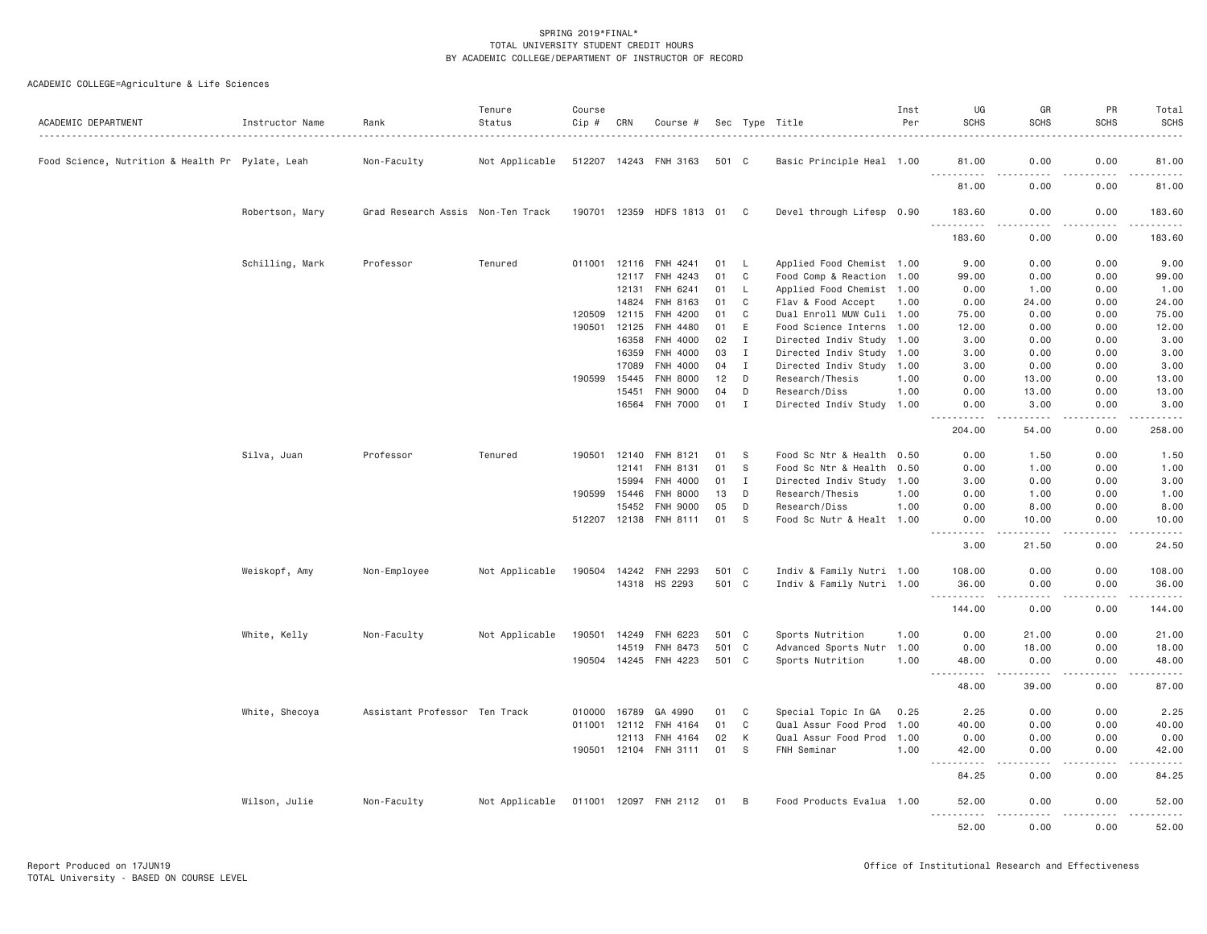| ACADEMIC DEPARTMENT                              | Instructor Name | Rank                              | Tenure<br>Status | Course<br>Cip # | CRN            | Course #                    |          |              | Sec Type Title                               | Inst<br>Per  | UG<br><b>SCHS</b>                                                                                                                                             | GR<br><b>SCHS</b>      | PR<br><b>SCHS</b>          | Total<br><b>SCHS</b> |
|--------------------------------------------------|-----------------|-----------------------------------|------------------|-----------------|----------------|-----------------------------|----------|--------------|----------------------------------------------|--------------|---------------------------------------------------------------------------------------------------------------------------------------------------------------|------------------------|----------------------------|----------------------|
| Food Science, Nutrition & Health Pr Pylate, Leah |                 | Non-Faculty                       | Not Applicable   |                 |                | 512207 14243 FNH 3163       | 501 C    |              | Basic Principle Heal 1.00                    |              | 81.00                                                                                                                                                         | 0.00                   | 0.00                       | 81.00                |
|                                                  |                 |                                   |                  |                 |                |                             |          |              |                                              |              | .<br>81.00                                                                                                                                                    | ----<br>.<br>0.00      | .<br>$\frac{1}{2}$<br>0.00 | .<br>81.00           |
|                                                  | Robertson, Mary | Grad Research Assis Non-Ten Track |                  |                 |                | 190701 12359 HDFS 1813 01 C |          |              | Devel through Lifesp 0.90                    |              | 183,60                                                                                                                                                        | 0.00                   | 0.00                       | 183,60               |
|                                                  |                 |                                   |                  |                 |                |                             |          |              |                                              |              | .<br>183.60                                                                                                                                                   | 0.00                   | .<br>0.00                  | .<br>183.60          |
|                                                  | Schilling, Mark | Professor                         | Tenured          |                 | 011001 12116   | FNH 4241                    | 01       | L.           | Applied Food Chemist 1.00                    |              | 9.00                                                                                                                                                          | 0.00                   | 0.00                       | 9.00                 |
|                                                  |                 |                                   |                  |                 | 12117          | FNH 4243                    | 01       | C            | Food Comp & Reaction 1.00                    |              | 99.00                                                                                                                                                         | 0.00                   | 0.00                       | 99.00                |
|                                                  |                 |                                   |                  |                 | 12131          | FNH 6241                    | 01       | L.           | Applied Food Chemist 1.00                    |              | 0.00                                                                                                                                                          | 1.00                   | 0.00                       | 1.00                 |
|                                                  |                 |                                   |                  |                 | 14824          | FNH 8163                    | 01       | C            | Flav & Food Accept                           | 1.00         | 0.00                                                                                                                                                          | 24.00                  | 0.00                       | 24.00                |
|                                                  |                 |                                   |                  | 120509          | 12115          | FNH 4200                    | 01       | C            | Dual Enroll MUW Culi 1.00                    |              | 75.00                                                                                                                                                         | 0.00                   | 0.00                       | 75.00                |
|                                                  |                 |                                   |                  | 190501          | 12125          | <b>FNH 4480</b>             | 01       | E            | Food Science Interns 1.00                    |              | 12.00                                                                                                                                                         | 0.00                   | 0.00                       | 12.00                |
|                                                  |                 |                                   |                  |                 | 16358          | FNH 4000                    | 02       | $\mathbf{I}$ | Directed Indiv Study 1.00                    |              | 3.00                                                                                                                                                          | 0.00                   | 0.00                       | 3.00                 |
|                                                  |                 |                                   |                  |                 | 16359          | FNH 4000                    | 03       | $\mathbf{I}$ | Directed Indiv Study                         | 1.00         | 3.00                                                                                                                                                          | 0.00                   | 0.00                       | 3.00                 |
|                                                  |                 |                                   |                  |                 | 17089          | FNH 4000                    | 04       | I            | Directed Indiv Study 1.00                    |              | 3.00                                                                                                                                                          | 0.00                   | 0.00                       | 3.00                 |
|                                                  |                 |                                   |                  | 190599          | 15445          | <b>FNH 8000</b>             | 12       | D            | Research/Thesis                              | 1.00         | 0.00                                                                                                                                                          | 13.00                  | 0.00                       | 13.00                |
|                                                  |                 |                                   |                  |                 | 15451          | FNH 9000                    | 04       | D            | Research/Diss                                | 1.00         | 0.00                                                                                                                                                          | 13.00                  | 0.00                       | 13.00                |
|                                                  |                 |                                   |                  |                 | 16564          | FNH 7000                    | 01       | I            | Directed Indiv Study 1.00                    |              | 0.00<br>.                                                                                                                                                     | 3.00<br>. <u>.</u> .   | 0.00<br>.                  | 3.00<br>.            |
|                                                  |                 |                                   |                  |                 |                |                             |          |              |                                              |              | 204.00                                                                                                                                                        | 54.00                  | 0.00                       | 258.00               |
|                                                  | Silva, Juan     | Professor                         | Tenured          | 190501          | 12140          | FNH 8121                    | 01       | - S          | Food Sc Ntr & Health                         | 0.50         | 0.00                                                                                                                                                          | 1.50                   | 0.00                       | 1.50                 |
|                                                  |                 |                                   |                  |                 | 12141          | <b>FNH 8131</b>             | 01       | S            | Food Sc Ntr & Health                         | 0.50         | 0.00                                                                                                                                                          | 1.00                   | 0.00                       | 1.00                 |
|                                                  |                 |                                   |                  |                 | 15994          | FNH 4000                    | 01       | Ι.           | Directed Indiv Study                         | 1.00         | 3.00                                                                                                                                                          | 0.00                   | 0.00                       | 3.00                 |
|                                                  |                 |                                   |                  | 190599          | 15446          | FNH 8000                    | 13       | D            | Research/Thesis                              | 1.00         | 0.00                                                                                                                                                          | 1.00                   | 0.00                       | 1.00                 |
|                                                  |                 |                                   |                  |                 | 15452          | <b>FNH 9000</b>             | 05       | D            | Research/Diss                                | 1.00         | 0.00                                                                                                                                                          | 8.00                   | 0.00                       | 8.00                 |
|                                                  |                 |                                   |                  |                 |                | 512207 12138 FNH 8111       | 01       | - S          | Food Sc Nutr & Healt 1.00                    |              | 0.00                                                                                                                                                          | 10.00                  | 0.00                       | 10.00<br>.           |
|                                                  |                 |                                   |                  |                 |                |                             |          |              |                                              |              | 3.00                                                                                                                                                          | 21.50                  | 0.00                       | 24.50                |
|                                                  | Weiskopf, Amy   | Non-Employee                      | Not Applicable   | 190504          | 14242          | FNH 2293                    | 501 C    |              | Indiv & Family Nutri 1.00                    |              | 108.00                                                                                                                                                        | 0.00                   | 0.00                       | 108.00               |
|                                                  |                 |                                   |                  |                 |                | 14318 HS 2293               | 501 C    |              | Indiv & Family Nutri 1.00                    |              | 36.00                                                                                                                                                         | 0.00                   | 0.00                       | 36,00                |
|                                                  |                 |                                   |                  |                 |                |                             |          |              |                                              |              | .<br>144.00                                                                                                                                                   | .<br>0.00              | .<br>0.00                  | .<br>144.00          |
|                                                  | White, Kelly    | Non-Faculty                       | Not Applicable   | 190501          | 14249          | FNH 6223                    | 501 C    |              | Sports Nutrition                             | 1.00         | 0.00                                                                                                                                                          | 21.00                  | 0.00                       | 21.00                |
|                                                  |                 |                                   |                  |                 | 14519          | FNH 8473                    | 501 C    |              | Advanced Sports Nutr 1.00                    |              | 0.00                                                                                                                                                          | 18.00                  | 0.00                       | 18.00                |
|                                                  |                 |                                   |                  |                 |                | 190504 14245 FNH 4223       | 501 C    |              | Sports Nutrition                             | 1.00         | 48.00                                                                                                                                                         | 0.00                   | 0.00                       | 48.00                |
|                                                  |                 |                                   |                  |                 |                |                             |          |              |                                              |              | $\frac{1}{2} \left( \frac{1}{2} \right) \left( \frac{1}{2} \right) \left( \frac{1}{2} \right) \left( \frac{1}{2} \right) \left( \frac{1}{2} \right)$<br>48.00 | $\frac{1}{2}$<br>39.00 | .<br>0.00                  | .<br>87.00           |
|                                                  |                 |                                   |                  |                 |                |                             |          |              |                                              |              |                                                                                                                                                               |                        |                            |                      |
|                                                  | White, Shecoya  | Assistant Professor Ten Track     |                  | 010000          | 16789          | GA 4990                     | 01       | C            | Special Topic In GA                          | 0.25         | 2.25                                                                                                                                                          | 0.00                   | 0.00                       | 2.25                 |
|                                                  |                 |                                   |                  | 011001          | 12112<br>12113 | FNH 4164<br><b>FNH 4164</b> | 01<br>02 | C<br>К       | Qual Assur Food Prod<br>Qual Assur Food Prod | 1.00<br>1.00 | 40.00<br>0.00                                                                                                                                                 | 0.00<br>0.00           | 0.00<br>0.00               | 40.00<br>0.00        |
|                                                  |                 |                                   |                  |                 |                | 190501 12104 FNH 3111       | 01       | - S          | FNH Seminar                                  | 1.00         | 42.00                                                                                                                                                         | 0.00                   | 0.00                       | 42.00                |
|                                                  |                 |                                   |                  |                 |                |                             |          |              |                                              |              | $- - - - -$<br>84.25                                                                                                                                          | .<br>0.00              | .<br>0.00                  | .<br>84.25           |
|                                                  |                 |                                   |                  |                 |                |                             |          |              | Food Products Evalua 1.00                    |              |                                                                                                                                                               | 0.00                   | 0.00                       |                      |
|                                                  | Wilson, Julie   | Non-Faculty                       | Not Applicable   |                 |                | 011001 12097 FNH 2112       | 01       | B            |                                              |              | 52.00<br>.                                                                                                                                                    | .                      | .                          | 52.00<br>.           |
|                                                  |                 |                                   |                  |                 |                |                             |          |              |                                              |              | 52.00                                                                                                                                                         | 0.00                   | 0.00                       | 52.00                |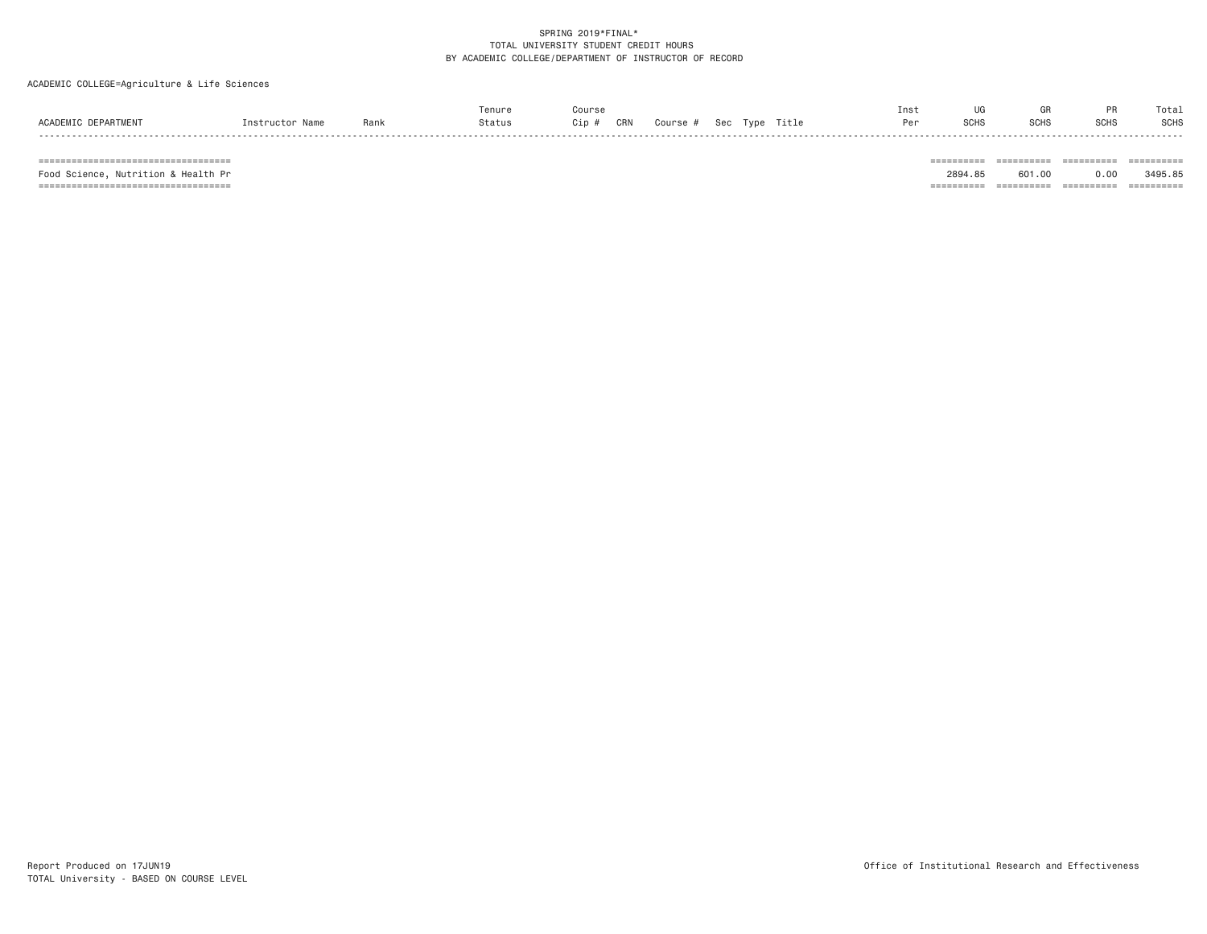ACADEMIC COLLEGE=Agriculture & Life Sciences

|                                           |                 |      | enur   | Course       |          |                    |       | Ins. | $\overline{110}$ |      |             | Tota: |
|-------------------------------------------|-----------------|------|--------|--------------|----------|--------------------|-------|------|------------------|------|-------------|-------|
| ACADEMI <sup>r</sup><br><b>DEPARTMENT</b> | nstructor Name. | Rank | Status | CRN<br>Cip # | Course # | Tyne<br><b>Sec</b> | Title | Per  | SCHS             | ווטכ | <b>SCHS</b> | SCHS  |
|                                           |                 |      |        |              |          |                    |       |      |                  |      |             |       |

=================================== ========== ========== ========== ==========

=================================== ========== ========== ========== ==========

Food Science, Nutrition & Health Pr 2894.85 601.00 0.00 3495.85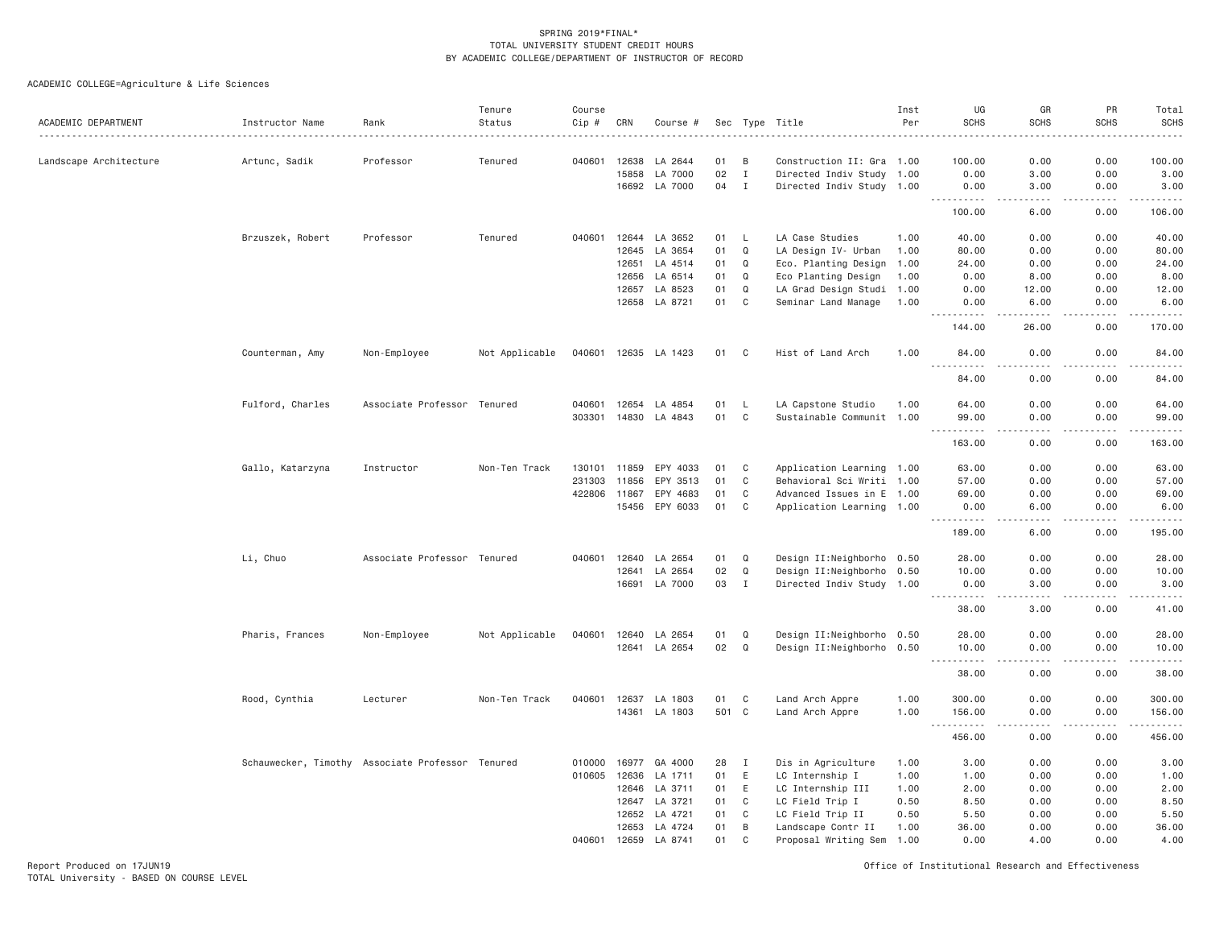ACADEMIC COLLEGE=Agriculture & Life Sciences

| ACADEMIC DEPARTMENT    | Instructor Name                                  | Rank                        | Tenure<br>Status | Course<br>Cip # | CRN   | Course #             | Sec   | Type         | Title                     | Inst<br>Per | UG<br><b>SCHS</b>                                                                                                                                           | GR<br><b>SCHS</b>                           | PR<br><b>SCHS</b> | Total<br><b>SCHS</b>                                                                                                                                                                      |
|------------------------|--------------------------------------------------|-----------------------------|------------------|-----------------|-------|----------------------|-------|--------------|---------------------------|-------------|-------------------------------------------------------------------------------------------------------------------------------------------------------------|---------------------------------------------|-------------------|-------------------------------------------------------------------------------------------------------------------------------------------------------------------------------------------|
| Landscape Architecture | Artunc, Sadik                                    | Professor                   | Tenured          | 040601          | 12638 | LA 2644              | 01    | B            | Construction II: Gra 1.00 |             | 100.00                                                                                                                                                      | 0.00                                        | 0.00              | 100.00                                                                                                                                                                                    |
|                        |                                                  |                             |                  |                 | 15858 | LA 7000              | 02    | $\mathbf{I}$ | Directed Indiv Study 1.00 |             | 0.00                                                                                                                                                        | 3.00                                        | 0.00              | 3.00                                                                                                                                                                                      |
|                        |                                                  |                             |                  |                 |       | 16692 LA 7000        | 04    | $\mathbf{I}$ | Directed Indiv Study 1.00 |             | 0.00                                                                                                                                                        | 3.00                                        | 0.00              | 3.00                                                                                                                                                                                      |
|                        |                                                  |                             |                  |                 |       |                      |       |              |                           |             | . <u>.</u><br>100.00                                                                                                                                        | .<br>6.00                                   | .<br>0.00         | .<br>106.00                                                                                                                                                                               |
|                        | Brzuszek, Robert                                 | Professor                   | Tenured          | 040601          |       | 12644 LA 3652        | 01    | L.           | LA Case Studies           | 1.00        | 40.00                                                                                                                                                       | 0.00                                        | 0.00              | 40.00                                                                                                                                                                                     |
|                        |                                                  |                             |                  |                 | 12645 | LA 3654              | 01    | Q            | LA Design IV- Urban       | 1.00        | 80.00                                                                                                                                                       | 0.00                                        | 0.00              | 80.00                                                                                                                                                                                     |
|                        |                                                  |                             |                  |                 | 12651 | LA 4514              | 01    | Q            | Eco. Planting Design      | 1.00        | 24.00                                                                                                                                                       | 0.00                                        | 0.00              | 24.00                                                                                                                                                                                     |
|                        |                                                  |                             |                  |                 | 12656 | LA 6514              | 01    | Q            | Eco Planting Design       | 1.00        | 0.00                                                                                                                                                        | 8.00                                        | 0.00              | 8.00                                                                                                                                                                                      |
|                        |                                                  |                             |                  |                 | 12657 | LA 8523              | 01    | Q            | LA Grad Design Studi 1.00 |             | 0.00                                                                                                                                                        | 12.00                                       | 0.00              | 12.00                                                                                                                                                                                     |
|                        |                                                  |                             |                  |                 | 12658 | LA 8721              | 01    | $\mathbf C$  | Seminar Land Manage       | 1.00        | 0.00                                                                                                                                                        | 6.00                                        | 0.00              | 6.00                                                                                                                                                                                      |
|                        |                                                  |                             |                  |                 |       |                      |       |              |                           |             | $  -$<br>144.00                                                                                                                                             | 26.00                                       | 0.00              | $\frac{1}{2} \left( \frac{1}{2} \right) \left( \frac{1}{2} \right) \left( \frac{1}{2} \right) \left( \frac{1}{2} \right)$<br>170.00                                                       |
|                        | Counterman, Amy                                  | Non-Employee                | Not Applicable   |                 |       | 040601 12635 LA 1423 | 01    | C            | Hist of Land Arch         | 1.00        | 84.00                                                                                                                                                       | 0.00                                        | 0.00              | 84.00                                                                                                                                                                                     |
|                        |                                                  |                             |                  |                 |       |                      |       |              |                           |             | 84.00                                                                                                                                                       | 0.00                                        | 0.00              | 84.00                                                                                                                                                                                     |
|                        | Fulford, Charles                                 | Associate Professor Tenured |                  | 040601          | 12654 | LA 4854              | 01    | L            | LA Capstone Studio        | 1.00        | 64.00                                                                                                                                                       | 0.00                                        | 0.00              | 64.00                                                                                                                                                                                     |
|                        |                                                  |                             |                  | 303301          | 14830 | LA 4843              | 01    | $\mathbb C$  | Sustainable Communit 1.00 |             | 99.00                                                                                                                                                       | 0.00                                        | 0.00              | 99.00                                                                                                                                                                                     |
|                        |                                                  |                             |                  |                 |       |                      |       |              |                           |             | .<br>163.00                                                                                                                                                 | $\sim$ $\sim$ $\sim$ $\sim$<br>0.00         | .<br>0.00         | .<br>163.00                                                                                                                                                                               |
|                        | Gallo, Katarzyna                                 | Instructor                  | Non-Ten Track    | 130101          | 11859 | EPY 4033             | 01    | C            | Application Learning 1.00 |             | 63.00                                                                                                                                                       | 0.00                                        | 0.00              | 63.00                                                                                                                                                                                     |
|                        |                                                  |                             |                  | 231303          | 11856 | EPY 3513             | 01    | $\mathbf C$  | Behavioral Sci Writi 1.00 |             | 57.00                                                                                                                                                       | 0.00                                        | 0.00              | 57.00                                                                                                                                                                                     |
|                        |                                                  |                             |                  | 422806 11867    |       | EPY 4683             | 01    | C            | Advanced Issues in E 1.00 |             | 69.00                                                                                                                                                       | 0.00                                        | 0.00              | 69.00                                                                                                                                                                                     |
|                        |                                                  |                             |                  |                 |       | 15456 EPY 6033       | 01    | $\mathsf{C}$ | Application Learning 1.00 |             | 0.00                                                                                                                                                        | 6.00                                        | 0.00              | 6.00                                                                                                                                                                                      |
|                        |                                                  |                             |                  |                 |       |                      |       |              |                           |             | .<br>189.00                                                                                                                                                 | $\frac{1}{2}$<br>6.00                       | .<br>0.00         | .<br>195.00                                                                                                                                                                               |
|                        | Li, Chuo                                         | Associate Professor Tenured |                  | 040601          | 12640 | LA 2654              | 01    | Q            | Design II:Neighborho 0.50 |             | 28.00                                                                                                                                                       | 0.00                                        | 0.00              | 28.00                                                                                                                                                                                     |
|                        |                                                  |                             |                  |                 | 12641 | LA 2654              | 02    | Q            | Design II:Neighborho 0.50 |             | 10.00                                                                                                                                                       | 0.00                                        | 0.00              | 10.00                                                                                                                                                                                     |
|                        |                                                  |                             |                  |                 |       | 16691 LA 7000        | 03    | $\mathbf{I}$ | Directed Indiv Study 1.00 |             | 0.00                                                                                                                                                        | 3.00                                        | 0.00              | 3.00                                                                                                                                                                                      |
|                        |                                                  |                             |                  |                 |       |                      |       |              |                           |             | $\sim$ $\sim$<br>.<br>38.00                                                                                                                                 | د د د د<br>3.00                             | .<br>0.00         | .<br>41.00                                                                                                                                                                                |
|                        | Pharis, Frances                                  | Non-Employee                | Not Applicable   | 040601          |       | 12640 LA 2654        | 01    | Q            | Design II:Neighborho 0.50 |             | 28.00                                                                                                                                                       | 0.00                                        | 0.00              | 28.00                                                                                                                                                                                     |
|                        |                                                  |                             |                  |                 |       | 12641 LA 2654        | 02    | $\Omega$     | Design II:Neighborho 0.50 |             | 10.00                                                                                                                                                       | 0.00                                        | 0.00              | 10.00                                                                                                                                                                                     |
|                        |                                                  |                             |                  |                 |       |                      |       |              |                           |             | .<br>$\sim$ $\sim$ .<br>38.00                                                                                                                               | $\omega$ $\omega$ $\omega$ $\omega$<br>0.00 | .<br>0.00         | .<br>38.00                                                                                                                                                                                |
|                        | Rood, Cynthia                                    | Lecturer                    | Non-Ten Track    | 040601          | 12637 | LA 1803              | 01    | C            | Land Arch Appre           | 1.00        | 300.00                                                                                                                                                      | 0.00                                        | 0.00              | 300.00                                                                                                                                                                                    |
|                        |                                                  |                             |                  |                 |       | 14361 LA 1803        | 501 C |              | Land Arch Appre           | 1.00        | 156.00                                                                                                                                                      | 0.00                                        | 0.00              | 156.00                                                                                                                                                                                    |
|                        |                                                  |                             |                  |                 |       |                      |       |              |                           |             | $\sim$ $\sim$ $\sim$<br>$\frac{1}{2} \left( \frac{1}{2} \right) \left( \frac{1}{2} \right) \left( \frac{1}{2} \right) \left( \frac{1}{2} \right)$<br>456.00 | .<br>0.00                                   | .<br>0.00         | $\frac{1}{2} \left( \frac{1}{2} \right) \left( \frac{1}{2} \right) \left( \frac{1}{2} \right) \left( \frac{1}{2} \right) \left( \frac{1}{2} \right) \left( \frac{1}{2} \right)$<br>456.00 |
|                        | Schauwecker, Timothy Associate Professor Tenured |                             |                  | 010000          | 16977 | GA 4000              | 28    | $\mathbf I$  | Dis in Agriculture        | 1.00        | 3.00                                                                                                                                                        | 0.00                                        | 0.00              | 3.00                                                                                                                                                                                      |
|                        |                                                  |                             |                  | 010605 12636    |       | LA 1711              | 01    | E            | LC Internship I           | 1.00        | 1.00                                                                                                                                                        | 0.00                                        | 0.00              | 1.00                                                                                                                                                                                      |
|                        |                                                  |                             |                  |                 | 12646 | LA 3711              | 01    | E            | LC Internship III         | 1.00        | 2.00                                                                                                                                                        | 0.00                                        | 0.00              | 2.00                                                                                                                                                                                      |
|                        |                                                  |                             |                  |                 | 12647 | LA 3721              | 01    | $\mathbf C$  | LC Field Trip I           | 0.50        | 8.50                                                                                                                                                        | 0.00                                        | 0.00              | 8.50                                                                                                                                                                                      |
|                        |                                                  |                             |                  |                 | 12652 | LA 4721              | 01    | C            | LC Field Trip II          | 0.50        | 5.50                                                                                                                                                        | 0.00                                        | 0.00              | 5.50                                                                                                                                                                                      |
|                        |                                                  |                             |                  |                 | 12653 | LA 4724              | 01    | B            | Landscape Contr II        | 1.00        | 36.00                                                                                                                                                       | 0.00                                        | 0.00              | 36.00                                                                                                                                                                                     |
|                        |                                                  |                             |                  | 040601          | 12659 | LA 8741              | 01    | C            | Proposal Writing Sem      | 1.00        | 0.00                                                                                                                                                        | 4.00                                        | 0.00              | 4.00                                                                                                                                                                                      |

Report Produced on 17JUN19 Office of Institutional Research and Effectiveness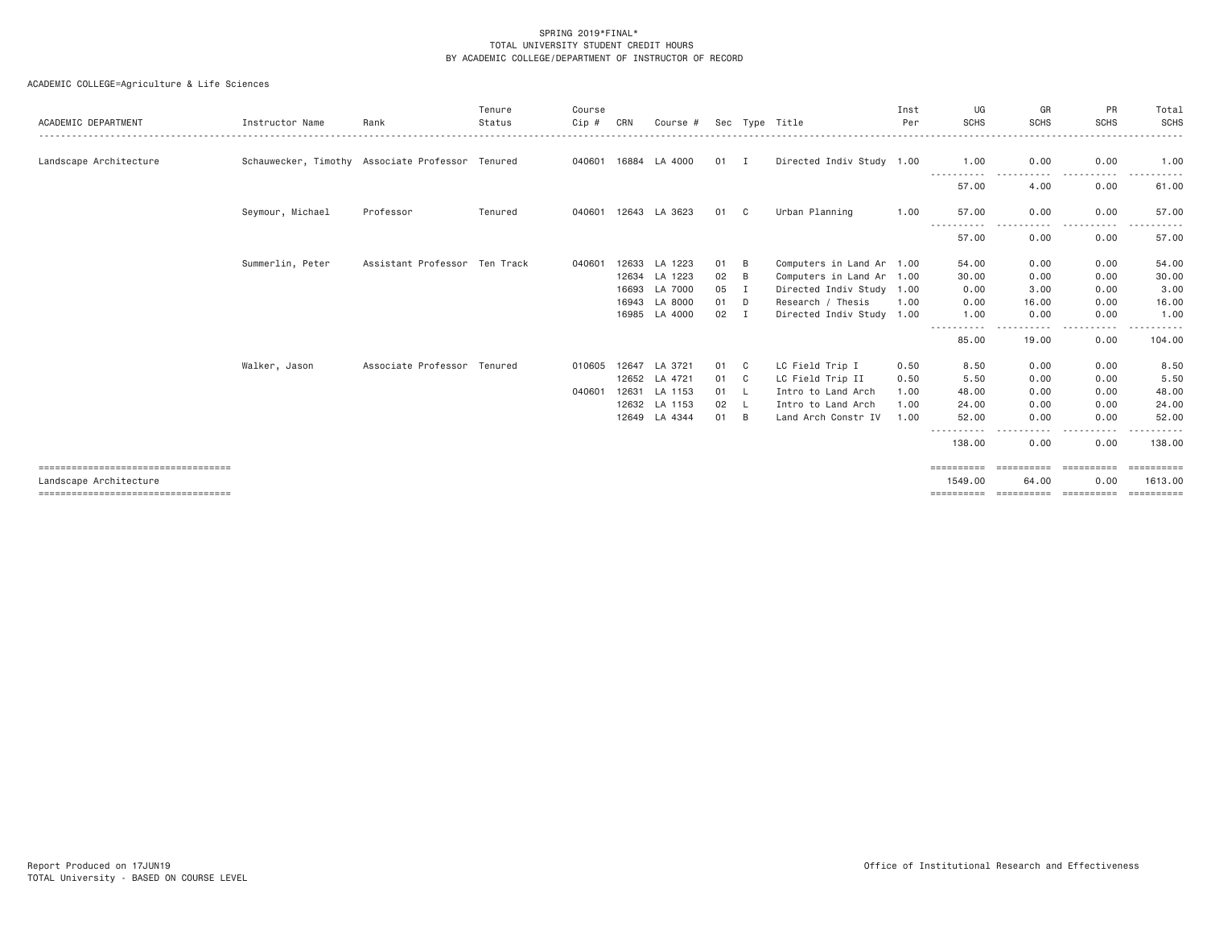| ACADEMIC DEPARTMENT                   | Instructor Name                                  | Rank                          | Tenure<br>Status | Course<br>$Cip$ # | CRN   | Course #      |      |          | Sec Type Title            | Inst<br>Per | UG<br><b>SCHS</b>              | GR<br><b>SCHS</b>                                                                                                                 | PR<br><b>SCHS</b>                                                                                                                                                                                  | Total<br>SCHS        |
|---------------------------------------|--------------------------------------------------|-------------------------------|------------------|-------------------|-------|---------------|------|----------|---------------------------|-------------|--------------------------------|-----------------------------------------------------------------------------------------------------------------------------------|----------------------------------------------------------------------------------------------------------------------------------------------------------------------------------------------------|----------------------|
| Landscape Architecture                | Schauwecker, Timothy Associate Professor Tenured |                               |                  | 040601            | 16884 | LA 4000       | 01 I |          | Directed Indiv Study 1.00 |             | 1.00                           | 0.00                                                                                                                              | 0.00                                                                                                                                                                                               | 1.00                 |
|                                       |                                                  |                               |                  |                   |       |               |      |          |                           |             | - - - - - - - - - - -<br>57.00 | .<br>4.00                                                                                                                         | -----<br>0.00                                                                                                                                                                                      | 61.00                |
|                                       | Seymour, Michael                                 | Professor                     | Tenured          | 040601            |       | 12643 LA 3623 | 01   | C.       | Urban Planning            | 1.00        | 57.00                          | 0.00<br>.<br>$\frac{1}{2}$                                                                                                        | 0.00<br>$\frac{1}{2} \left( \frac{1}{2} \right) \left( \frac{1}{2} \right) \left( \frac{1}{2} \right) \left( \frac{1}{2} \right) \left( \frac{1}{2} \right) \left( \frac{1}{2} \right)$<br>$- - -$ | 57.00                |
|                                       |                                                  |                               |                  |                   |       |               |      |          |                           |             | -----------<br>57.00           | 0.00                                                                                                                              | 0.00                                                                                                                                                                                               | 57.00                |
|                                       | Summerlin, Peter                                 | Assistant Professor Ten Track |                  | 040601            | 12633 | LA 1223       | 01   | B        | Computers in Land Ar 1.00 |             | 54.00                          | 0.00                                                                                                                              | 0.00                                                                                                                                                                                               | 54.00                |
|                                       |                                                  |                               |                  |                   |       | 12634 LA 1223 | 02   | B        | Computers in Land Ar 1.00 |             | 30.00                          | 0.00                                                                                                                              | 0.00                                                                                                                                                                                               | 30.00                |
|                                       |                                                  |                               |                  |                   | 16693 | LA 7000       | 05   | I        | Directed Indiv Study 1.00 |             | 0.00                           | 3.00                                                                                                                              | 0.00                                                                                                                                                                                               | 3.00                 |
|                                       |                                                  |                               |                  |                   | 16943 | LA 8000       | 01   | D        | Research / Thesis         | 1,00        | 0.00                           | 16.00                                                                                                                             | 0.00                                                                                                                                                                                               | 16.00                |
|                                       |                                                  |                               |                  |                   | 16985 | LA 4000       | 02   | I        | Directed Indiv Study 1.00 |             | 1.00<br>.                      | 0.00<br>$\frac{1}{2} \left( \frac{1}{2} \right) \left( \frac{1}{2} \right) \left( \frac{1}{2} \right) \left( \frac{1}{2} \right)$ | 0.00<br>.                                                                                                                                                                                          | 1.00<br>. <b>.</b> . |
|                                       |                                                  |                               |                  |                   |       |               |      |          |                           |             | 85.00                          | 19.00                                                                                                                             | 0.00                                                                                                                                                                                               | 104.00               |
|                                       | Walker, Jason                                    | Associate Professor Tenured   |                  | 010605            | 12647 | LA 3721       | 01   | - C      | LC Field Trip I           | 0.50        | 8.50                           | 0.00                                                                                                                              | 0.00                                                                                                                                                                                               | 8.50                 |
|                                       |                                                  |                               |                  |                   | 12652 | LA 4721       | 01   | C        | LC Field Trip II          | 0.50        | 5.50                           | 0.00                                                                                                                              | 0.00                                                                                                                                                                                               | 5.50                 |
|                                       |                                                  |                               |                  | 040601            | 12631 | LA 1153       | 01   | - L      | Intro to Land Arch        | 1,00        | 48.00                          | 0.00                                                                                                                              | 0.00                                                                                                                                                                                               | 48.00                |
|                                       |                                                  |                               |                  |                   | 12632 | LA 1153       | 02   | <b>L</b> | Intro to Land Arch        | 1,00        | 24,00                          | 0.00                                                                                                                              | 0.00                                                                                                                                                                                               | 24.00                |
|                                       |                                                  |                               |                  |                   |       | 12649 LA 4344 | 01   | B        | Land Arch Constr IV       | 1.00        | 52.00                          | 0.00                                                                                                                              | 0.00                                                                                                                                                                                               | 52.00                |
|                                       |                                                  |                               |                  |                   |       |               |      |          |                           |             | -----------<br>138.00          | $\frac{1}{2} \left( \frac{1}{2} \right) \left( \frac{1}{2} \right) \left( \frac{1}{2} \right) \left( \frac{1}{2} \right)$<br>0.00 | 0.00                                                                                                                                                                                               | 138.00               |
| ====================================  |                                                  |                               |                  |                   |       |               |      |          |                           |             | ==========                     | ==========                                                                                                                        | -----------                                                                                                                                                                                        | EEEEEEEEE            |
| Landscape Architecture                |                                                  |                               |                  |                   |       |               |      |          |                           |             | 1549.00                        | 64.00                                                                                                                             | 0.00                                                                                                                                                                                               | 1613,00              |
| ===================================== |                                                  |                               |                  |                   |       |               |      |          |                           |             | ==========                     | ==========                                                                                                                        | -----------                                                                                                                                                                                        | ==========           |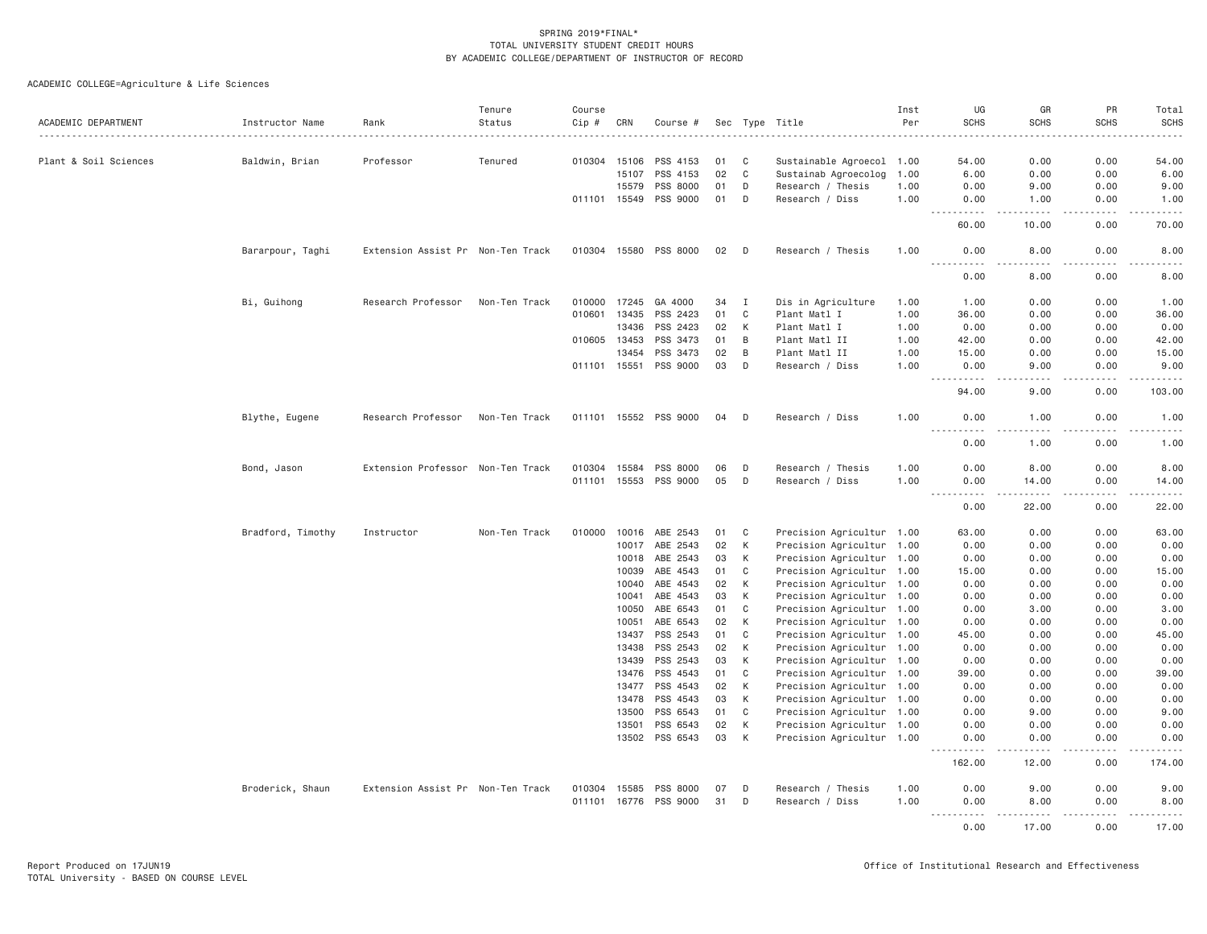| ACADEMIC DEPARTMENT   | Instructor Name   | Rank                              | Tenure<br>Status | Course<br>Cip # | CRN            | Course #              |          |              | Sec Type Title                                         | Inst<br>Per | UG<br><b>SCHS</b>                   | GR<br><b>SCHS</b>                                                                                                                                            | PR<br><b>SCHS</b>                                                                                                                                            | Total<br><b>SCHS</b> |
|-----------------------|-------------------|-----------------------------------|------------------|-----------------|----------------|-----------------------|----------|--------------|--------------------------------------------------------|-------------|-------------------------------------|--------------------------------------------------------------------------------------------------------------------------------------------------------------|--------------------------------------------------------------------------------------------------------------------------------------------------------------|----------------------|
|                       |                   |                                   | .                | .               |                |                       |          |              |                                                        |             |                                     | -----                                                                                                                                                        |                                                                                                                                                              | $\frac{1}{2}$        |
| Plant & Soil Sciences | Baldwin, Brian    | Professor                         | Tenured          |                 | 010304 15106   | PSS 4153              | 01       | C            | Sustainable Agroecol 1.00                              |             | 54.00                               | 0.00                                                                                                                                                         | 0.00                                                                                                                                                         | 54.00                |
|                       |                   |                                   |                  |                 | 15107          | PSS 4153              | 02       | $\mathbf{C}$ | Sustainab Agroecolog                                   | 1.00        | 6.00                                | 0.00                                                                                                                                                         | 0.00                                                                                                                                                         | 6.00                 |
|                       |                   |                                   |                  |                 | 15579          | PSS 8000              | 01       | D            | Research / Thesis                                      | 1.00        | 0.00                                | 9.00                                                                                                                                                         | 0.00                                                                                                                                                         | 9.00                 |
|                       |                   |                                   |                  |                 | 011101 15549   | PSS 9000              | 01       | D            | Research / Diss                                        | 1.00        | 0.00                                | 1.00<br>$\frac{1}{2} \left( \frac{1}{2} \right) \left( \frac{1}{2} \right) \left( \frac{1}{2} \right) \left( \frac{1}{2} \right) \left( \frac{1}{2} \right)$ | 0.00<br>$\frac{1}{2} \left( \frac{1}{2} \right) \left( \frac{1}{2} \right) \left( \frac{1}{2} \right) \left( \frac{1}{2} \right) \left( \frac{1}{2} \right)$ | 1.00                 |
|                       |                   |                                   |                  |                 |                |                       |          |              |                                                        |             | .<br>60.00                          | 10.00                                                                                                                                                        | 0.00                                                                                                                                                         | .<br>70.00           |
|                       | Bararpour, Taghi  | Extension Assist Pr Non-Ten Track |                  |                 |                | 010304 15580 PSS 8000 | 02       | D            | Research / Thesis                                      | 1.00        | 0.00                                | 8.00                                                                                                                                                         | 0.00                                                                                                                                                         | 8.00                 |
|                       |                   |                                   |                  |                 |                |                       |          |              |                                                        |             | 0.00                                | 8.00                                                                                                                                                         | 0.00                                                                                                                                                         | 8.00                 |
|                       | Bi, Guihong       | Research Professor                | Non-Ten Track    | 010000          | 17245          | GA 4000               | 34       | Ι.           | Dis in Agriculture                                     | 1.00        | 1.00                                | 0.00                                                                                                                                                         | 0.00                                                                                                                                                         | 1.00                 |
|                       |                   |                                   |                  | 010601          | 13435          | PSS 2423              | 01       | C            | Plant Matl I                                           | 1.00        | 36.00                               | 0.00                                                                                                                                                         | 0.00                                                                                                                                                         | 36.00                |
|                       |                   |                                   |                  |                 | 13436          | PSS 2423              | 02       | K            | Plant Matl I                                           | 1.00        | 0.00                                | 0.00                                                                                                                                                         | 0.00                                                                                                                                                         | 0.00                 |
|                       |                   |                                   |                  | 010605 13453    |                | PSS 3473              | 01       | B            | Plant Matl II                                          | 1.00        | 42.00                               | 0.00                                                                                                                                                         | 0.00                                                                                                                                                         | 42.00                |
|                       |                   |                                   |                  |                 | 13454          | PSS 3473              | 02       | B            | Plant Matl II                                          | 1.00        | 15.00                               | 0.00                                                                                                                                                         | 0.00                                                                                                                                                         | 15.00                |
|                       |                   |                                   |                  |                 |                | 011101 15551 PSS 9000 | 03       | D            | Research / Diss                                        | 1.00        | 0.00<br>. <b>.</b><br>$- - -$       | 9.00<br>.                                                                                                                                                    | 0.00<br>.                                                                                                                                                    | 9.00<br>.            |
|                       |                   |                                   |                  |                 |                |                       |          |              |                                                        |             | 94.00                               | 9.00                                                                                                                                                         | 0.00                                                                                                                                                         | 103.00               |
|                       | Blythe, Eugene    | Research Professor                | Non-Ten Track    |                 |                | 011101 15552 PSS 9000 | 04       | D            | Research / Diss                                        | 1.00        | 0.00<br>$\frac{1}{2}$<br>.          | 1.00<br>.                                                                                                                                                    | 0.00<br>.                                                                                                                                                    | 1.00<br>.            |
|                       |                   |                                   |                  |                 |                |                       |          |              |                                                        |             | 0.00                                | 1.00                                                                                                                                                         | 0.00                                                                                                                                                         | 1.00                 |
|                       | Bond, Jason       | Extension Professor Non-Ten Track |                  | 010304 15584    |                | PSS 8000              | 06       | D            | Research / Thesis                                      | 1.00        | 0.00                                | 8.00                                                                                                                                                         | 0.00                                                                                                                                                         | 8.00                 |
|                       |                   |                                   |                  |                 |                | 011101 15553 PSS 9000 | 05       | D            | Research / Diss                                        | 1.00        | 0.00                                | 14.00                                                                                                                                                        | 0.00                                                                                                                                                         | 14.00                |
|                       |                   |                                   |                  |                 |                |                       |          |              |                                                        |             | $- - - -$<br>0.00                   | <u>.</u><br>22.00                                                                                                                                            | .<br>0.00                                                                                                                                                    | .<br>22.00           |
|                       | Bradford, Timothy | Instructor                        | Non-Ten Track    | 010000          | 10016          | ABE 2543              | 01       | C            | Precision Agricultur 1.00                              |             | 63.00                               | 0.00                                                                                                                                                         | 0.00                                                                                                                                                         | 63.00                |
|                       |                   |                                   |                  |                 | 10017          | ABE 2543              | 02       | K            | Precision Agricultur 1.00                              |             | 0.00                                | 0.00                                                                                                                                                         | 0.00                                                                                                                                                         | 0.00                 |
|                       |                   |                                   |                  |                 | 10018          | ABE 2543              | 03       | К            | Precision Agricultur 1.00                              |             | 0.00                                | 0.00                                                                                                                                                         | 0.00                                                                                                                                                         | 0.00                 |
|                       |                   |                                   |                  |                 | 10039          | ABE 4543              | 01       | C            | Precision Agricultur 1.00                              |             | 15.00                               | 0.00                                                                                                                                                         | 0.00                                                                                                                                                         | 15.00                |
|                       |                   |                                   |                  |                 | 10040          | ABE 4543              | 02       | К            | Precision Agricultur 1.00                              |             | 0.00                                | 0.00                                                                                                                                                         | 0.00                                                                                                                                                         | 0.00                 |
|                       |                   |                                   |                  |                 | 10041          | ABE 4543              | 03       | К            | Precision Agricultur 1.00                              |             | 0.00                                | 0.00                                                                                                                                                         | 0.00                                                                                                                                                         | 0.00                 |
|                       |                   |                                   |                  |                 | 10050          | ABE 6543              | 01       | C            | Precision Agricultur 1.00                              |             | 0.00                                | 3.00                                                                                                                                                         | 0.00                                                                                                                                                         | 3.00                 |
|                       |                   |                                   |                  |                 | 10051          | ABE 6543              | 02       | К            | Precision Agricultur 1.00                              |             | 0.00                                | 0.00                                                                                                                                                         | 0.00                                                                                                                                                         | 0.00                 |
|                       |                   |                                   |                  |                 | 13437          | PSS 2543              | 01       | $\mathbf C$  | Precision Agricultur 1.00                              |             | 45.00                               | 0.00                                                                                                                                                         | 0.00                                                                                                                                                         | 45.00                |
|                       |                   |                                   |                  |                 | 13438          | PSS 2543              | 02       | K            | Precision Agricultur 1.00                              |             | 0.00                                | 0.00                                                                                                                                                         | 0.00                                                                                                                                                         | 0.00                 |
|                       |                   |                                   |                  |                 | 13439          | PSS 2543              | 03       | К            | Precision Agricultur 1.00                              |             | 0.00                                | 0.00                                                                                                                                                         | 0.00                                                                                                                                                         | 0.00                 |
|                       |                   |                                   |                  |                 | 13476          | PSS 4543              | 01       | C            | Precision Agricultur 1.00                              |             | 39.00                               | 0.00                                                                                                                                                         | 0.00                                                                                                                                                         | 39.00                |
|                       |                   |                                   |                  |                 | 13477<br>13478 | PSS 4543<br>PSS 4543  | 02<br>03 | К<br>К       | Precision Agricultur 1.00                              |             | 0.00<br>0.00                        | 0.00<br>0.00                                                                                                                                                 | 0.00<br>0.00                                                                                                                                                 | 0.00<br>0.00         |
|                       |                   |                                   |                  |                 | 13500          | PSS 6543              | 01       | C            | Precision Agricultur 1.00                              |             | 0.00                                | 9.00                                                                                                                                                         | 0.00                                                                                                                                                         |                      |
|                       |                   |                                   |                  |                 | 13501          | PSS 6543              | 02       | К            | Precision Agricultur 1.00<br>Precision Agricultur 1.00 |             | 0.00                                | 0.00                                                                                                                                                         | 0.00                                                                                                                                                         | 9.00<br>0.00         |
|                       |                   |                                   |                  |                 |                | 13502 PSS 6543        | 03       | К            | Precision Agricultur 1.00                              |             | 0.00                                | 0.00                                                                                                                                                         | 0.00                                                                                                                                                         | 0.00                 |
|                       |                   |                                   |                  |                 |                |                       |          |              |                                                        |             | $\sim$ $\sim$ $\sim$<br>.<br>162.00 | والمستناء<br>12.00                                                                                                                                           | .<br>0.00                                                                                                                                                    | .<br>174.00          |
|                       | Broderick, Shaun  | Extension Assist Pr Non-Ten Track |                  | 010304          | 15585          | PSS 8000              | 07       | D            | Research / Thesis                                      | 1.00        | 0.00                                | 9.00                                                                                                                                                         | 0.00                                                                                                                                                         | 9.00                 |
|                       |                   |                                   |                  | 011101          | 16776          | PSS 9000              | 31       | D            | Research / Diss                                        | 1.00        | 0.00                                | 8.00                                                                                                                                                         | 0.00                                                                                                                                                         | 8.00                 |
|                       |                   |                                   |                  |                 |                |                       |          |              |                                                        |             | 0.00                                | 17.00                                                                                                                                                        | 0.00                                                                                                                                                         | 17.00                |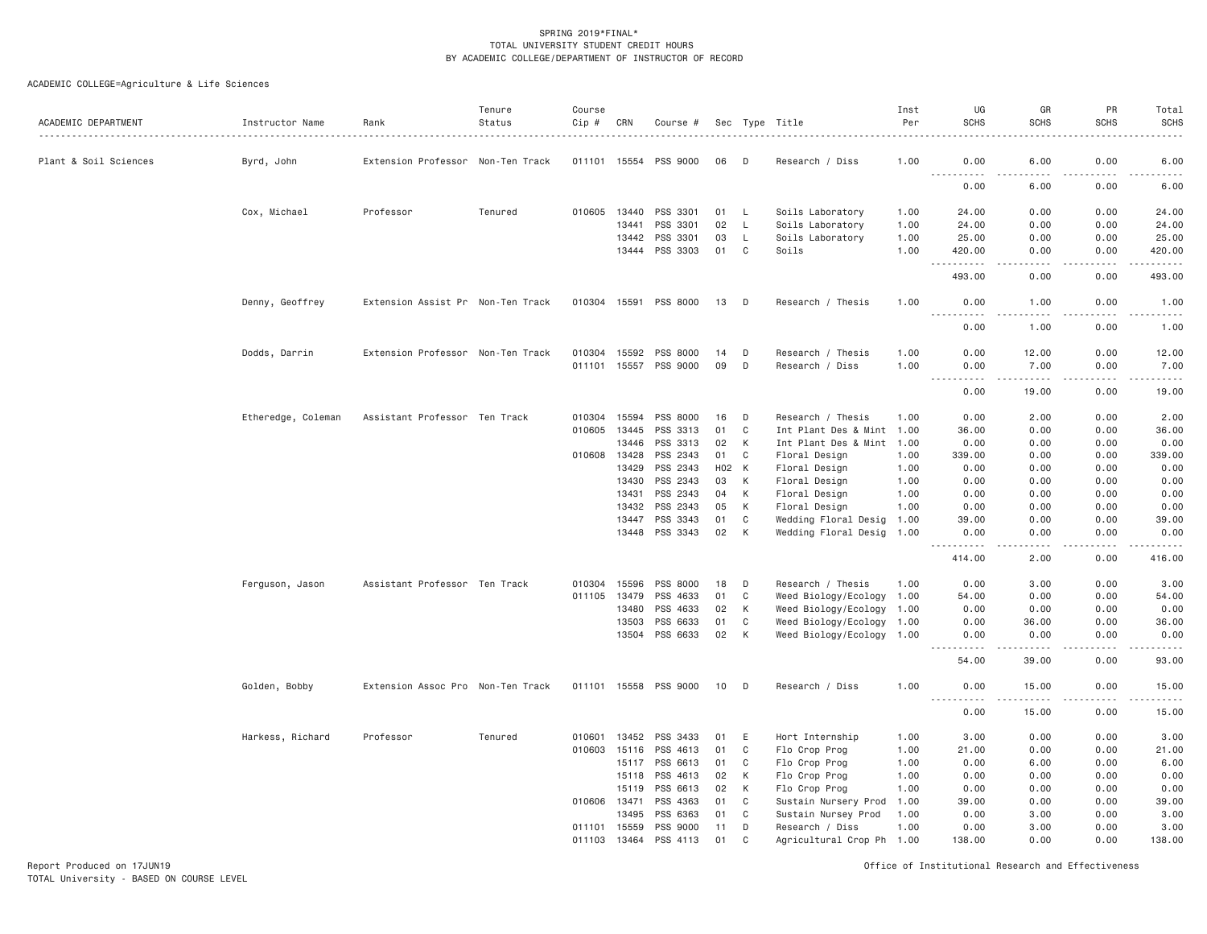# ACADEMIC COLLEGE=Agriculture & Life Sciences

| ACADEMIC DEPARTMENT   | Instructor Name    | Rank                              | Tenure<br>Status | Course<br>Cip #  | CRN            | Course #              |          |              | Sec Type Title                               | Inst<br>Per<br>. | UG<br><b>SCHS</b>  | GR<br><b>SCHS</b>            | PR<br><b>SCHS</b>                   | Total<br><b>SCHS</b><br>.                                                                                                                                    |
|-----------------------|--------------------|-----------------------------------|------------------|------------------|----------------|-----------------------|----------|--------------|----------------------------------------------|------------------|--------------------|------------------------------|-------------------------------------|--------------------------------------------------------------------------------------------------------------------------------------------------------------|
| Plant & Soil Sciences | Byrd, John         | Extension Professor Non-Ten Track |                  | 011101           | 15554          | PSS 9000              | 06       | D            | Research / Diss                              | 1.00             | 0.00               | 6.00<br>.                    | 0.00                                | 6.00                                                                                                                                                         |
|                       |                    |                                   |                  |                  |                |                       |          |              |                                              |                  | . <b>.</b><br>0.00 | 6.00                         | 0.00                                | $\frac{1}{2} \left( \frac{1}{2} \right) \left( \frac{1}{2} \right) \left( \frac{1}{2} \right) \left( \frac{1}{2} \right) \left( \frac{1}{2} \right)$<br>6.00 |
|                       | Cox, Michael       | Professor                         | Tenured          | 010605           | 13440          | PSS 3301              | 01       | L            | Soils Laboratory                             | 1.00             | 24.00              | 0.00                         | 0.00                                | 24.00                                                                                                                                                        |
|                       |                    |                                   |                  |                  | 13441          | PSS 3301              | 02       | $\mathsf{L}$ | Soils Laboratory                             | 1.00             | 24.00              | 0.00                         | 0.00                                | 24.00                                                                                                                                                        |
|                       |                    |                                   |                  |                  | 13442          | PSS 3301              | 03       | L            | Soils Laboratory                             | 1.00             | 25.00              | 0.00                         | 0.00                                | 25.00                                                                                                                                                        |
|                       |                    |                                   |                  |                  |                | 13444 PSS 3303        | 01       | C            | Soils                                        | 1.00             | 420.00<br><u>.</u> | 0.00<br>.                    | 0.00<br>.                           | 420.00<br>.                                                                                                                                                  |
|                       |                    |                                   |                  |                  |                |                       |          |              |                                              |                  | 493.00             | 0.00                         | 0.00                                | 493.00                                                                                                                                                       |
|                       | Denny, Geoffrey    | Extension Assist Pr Non-Ten Track |                  |                  |                | 010304 15591 PSS 8000 | 13       | D            | Research / Thesis                            | 1.00             | 0.00<br>.          | 1.00<br>.                    | 0.00<br>.                           | 1.00<br>.                                                                                                                                                    |
|                       |                    |                                   |                  |                  |                |                       |          |              |                                              |                  | 0.00               | 1.00                         | 0.00                                | 1.00                                                                                                                                                         |
|                       | Dodds, Darrin      | Extension Professor Non-Ten Track |                  | 010304           | 15592          | PSS 8000              | 14       | D            | Research / Thesis                            | 1.00             | 0.00               | 12.00                        | 0.00                                | 12.00                                                                                                                                                        |
|                       |                    |                                   |                  | 011101           | 15557          | PSS 9000              | 09       | D            | Research / Diss                              | 1,00             | 0.00<br>.          | 7.00<br>$\omega$ is a set of | 0.00<br>.                           | 7.00<br>.                                                                                                                                                    |
|                       |                    |                                   |                  |                  |                |                       |          |              |                                              |                  | 0.00               | 19.00                        | 0.00                                | 19.00                                                                                                                                                        |
|                       | Etheredge, Coleman | Assistant Professor Ten Track     |                  | 010304           | 15594          | PSS 8000              | 16       | D            | Research / Thesis                            | 1.00             | 0.00               | 2.00                         | 0.00                                | 2.00                                                                                                                                                         |
|                       |                    |                                   |                  | 010605           | 13445          | PSS 3313              | 01       | $\mathsf{C}$ | Int Plant Des & Mint 1.00                    |                  | 36,00              | 0.00                         | 0.00                                | 36.00                                                                                                                                                        |
|                       |                    |                                   |                  |                  | 13446          | PSS 3313              | 02       | К            | Int Plant Des & Mint 1.00                    |                  | 0.00               | 0.00                         | 0.00                                | 0.00                                                                                                                                                         |
|                       |                    |                                   |                  | 010608           | 13428          | PSS 2343              | 01       | C            | Floral Design                                | 1.00             | 339.00             | 0.00                         | 0.00                                | 339.00                                                                                                                                                       |
|                       |                    |                                   |                  |                  | 13429          | PSS 2343              | H02      | K            | Floral Design                                | 1.00             | 0.00               | 0.00                         | 0.00                                | 0.00                                                                                                                                                         |
|                       |                    |                                   |                  |                  | 13430          | PSS 2343              | 03       | К            | Floral Design                                | 1.00             | 0.00               | 0.00                         | 0.00                                | 0.00                                                                                                                                                         |
|                       |                    |                                   |                  |                  | 13431          | PSS 2343              | 04       | К            | Floral Design                                | 1.00             | 0.00               | 0.00                         | 0.00                                | 0.00                                                                                                                                                         |
|                       |                    |                                   |                  |                  | 13432          | PSS 2343              | 05       | К            | Floral Design                                | 1.00             | 0.00               | 0.00                         | 0.00                                | 0.00                                                                                                                                                         |
|                       |                    |                                   |                  |                  | 13447          | PSS 3343              | 01       | $\mathbb C$  | Wedding Floral Desig                         | 1.00             | 39.00              | 0.00                         | 0.00                                | 39.00                                                                                                                                                        |
|                       |                    |                                   |                  |                  |                | 13448 PSS 3343        | 02       | К            | Wedding Floral Desig                         | 1.00             | 0.00<br>- - - - -  | 0.00                         | 0.00<br>$\sim$ $\sim$ $\sim$ $\sim$ | 0.00<br>ه د د د د                                                                                                                                            |
|                       |                    |                                   |                  |                  |                |                       |          |              |                                              |                  | 414.00             | 2.00                         | 0.00                                | 416.00                                                                                                                                                       |
|                       | Ferguson, Jason    | Assistant Professor Ten Track     |                  | 010304           | 15596          | PSS 8000              | 18       | D            | Research / Thesis                            | 1.00             | 0.00               | 3.00                         | 0.00                                | 3.00                                                                                                                                                         |
|                       |                    |                                   |                  | 011105           | 13479          | PSS 4633              | 01       | C            | Weed Biology/Ecology                         | 1.00             | 54.00              | 0.00                         | 0.00                                | 54.00                                                                                                                                                        |
|                       |                    |                                   |                  |                  | 13480          | PSS 4633              | 02       | К            | Weed Biology/Ecology 1.00                    |                  | 0.00               | 0.00                         | 0.00                                | 0.00                                                                                                                                                         |
|                       |                    |                                   |                  |                  | 13503          | PSS 6633              | 01       | $\mathbb C$  | Weed Biology/Ecology 1.00                    |                  | 0.00               | 36.00                        | 0.00                                | 36.00                                                                                                                                                        |
|                       |                    |                                   |                  |                  | 13504          | PSS 6633              | 02       | К            | Weed Biology/Ecology 1.00                    |                  | 0.00<br>.          | 0.00<br>.                    | 0.00<br>.                           | 0.00<br>.                                                                                                                                                    |
|                       |                    |                                   |                  |                  |                |                       |          |              |                                              |                  | 54.00              | 39.00                        | 0.00                                | 93.00                                                                                                                                                        |
|                       | Golden, Bobby      | Extension Assoc Pro Non-Ten Track |                  | 011101           | 15558          | PSS 9000              | 10       | - D          | Research / Diss                              | 1.00             | 0.00<br>.          | 15.00                        | 0.00<br>.                           | 15.00<br>.                                                                                                                                                   |
|                       |                    |                                   |                  |                  |                |                       |          |              |                                              |                  | 0.00               | 15.00                        | 0.00                                | 15.00                                                                                                                                                        |
|                       | Harkess, Richard   | Professor                         | Tenured          | 010601           | 13452          | PSS 3433              | 01       | E            | Hort Internship                              | 1.00             | 3.00               | 0.00                         | 0.00                                | 3.00                                                                                                                                                         |
|                       |                    |                                   |                  | 010603           | 15116          | PSS 4613              | 01       | C            | Flo Crop Prog                                | 1.00             | 21.00              | 0.00                         | 0.00                                | 21.00                                                                                                                                                        |
|                       |                    |                                   |                  |                  | 15117          | PSS 6613              | 01       | C            | Flo Crop Prog                                | 1.00             | 0.00               | 6.00                         | 0.00                                | 6.00                                                                                                                                                         |
|                       |                    |                                   |                  |                  | 15118          | PSS 4613              | 02       | К            | Flo Crop Prog                                | 1.00             | 0.00               | 0.00                         | 0.00                                | 0.00                                                                                                                                                         |
|                       |                    |                                   |                  |                  | 15119          | PSS 6613              | 02       | К            | Flo Crop Prog                                | 1.00             | 0.00               | 0.00                         | 0.00                                | 0.00                                                                                                                                                         |
|                       |                    |                                   |                  | 010606           | 13471          | PSS 4363              | 01       | C            | Sustain Nursery Prod                         | 1.00             | 39.00              | 0.00                         | 0.00                                | 39.00                                                                                                                                                        |
|                       |                    |                                   |                  |                  | 13495<br>15559 | PSS 6363<br>PSS 9000  | 01<br>11 | C<br>D       | Sustain Nursey Prod                          | 1.00<br>1.00     | 0.00<br>0.00       | 3,00<br>3,00                 | 0.00<br>0.00                        | 3.00<br>3.00                                                                                                                                                 |
|                       |                    |                                   |                  | 011101<br>011103 | 13464          | PSS 4113              | 01       | $\mathsf{C}$ | Research / Diss<br>Agricultural Crop Ph 1.00 |                  | 138,00             | 0.00                         | 0.00                                | 138.00                                                                                                                                                       |
|                       |                    |                                   |                  |                  |                |                       |          |              |                                              |                  |                    |                              |                                     |                                                                                                                                                              |

Report Produced on 17JUN19 Office of Institutional Research and Effectiveness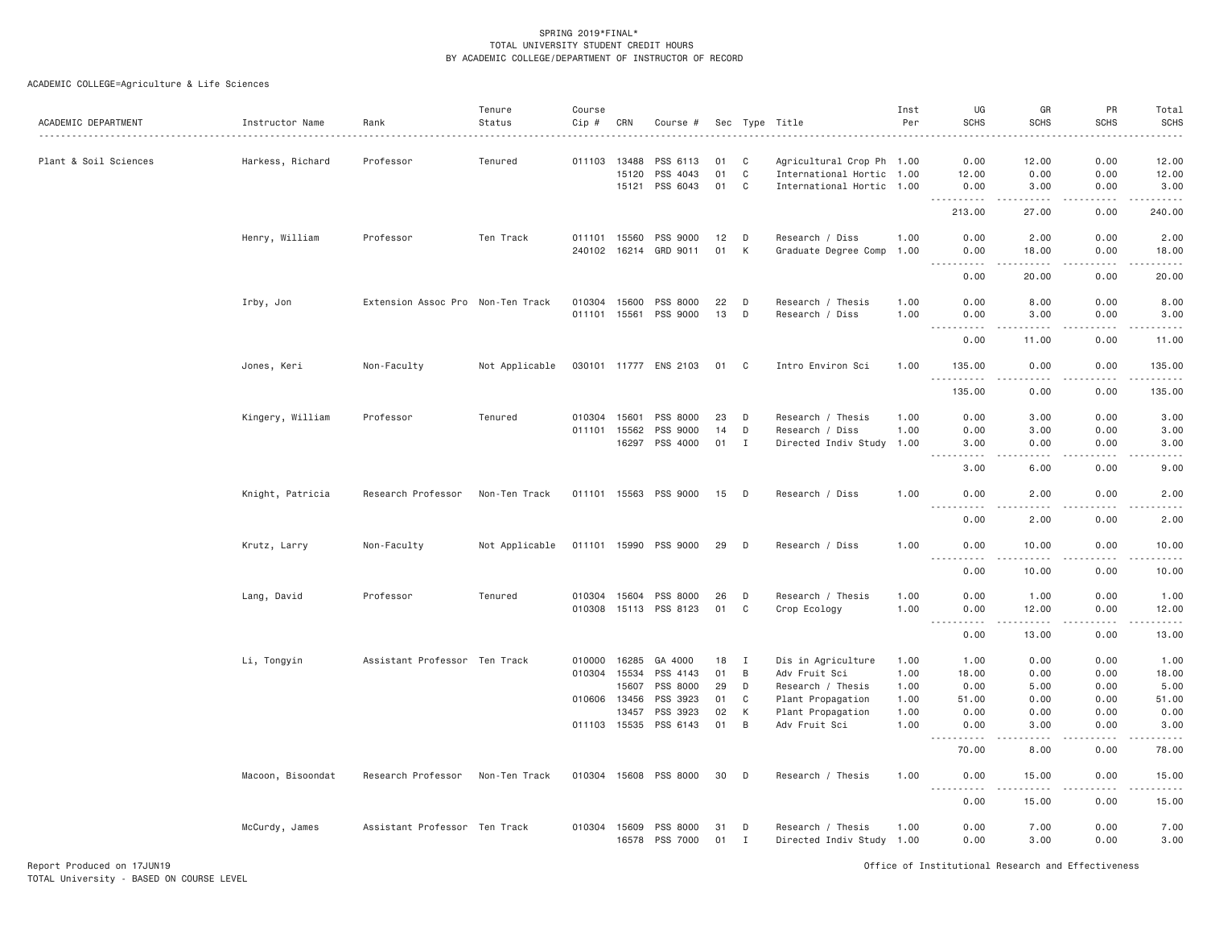| ACADEMIC DEPARTMENT   | Instructor Name   | Rank                              | Tenure<br>Status | Course<br>Cip # | CRN          | Course #                   | Sec      |                   | Type Title                                     | Inst<br>Per  | UG<br><b>SCHS</b>                                                                                                                                 | GR<br><b>SCHS</b>                                                                                                                                             | PR<br><b>SCHS</b>   | Total<br><b>SCHS</b> |
|-----------------------|-------------------|-----------------------------------|------------------|-----------------|--------------|----------------------------|----------|-------------------|------------------------------------------------|--------------|---------------------------------------------------------------------------------------------------------------------------------------------------|---------------------------------------------------------------------------------------------------------------------------------------------------------------|---------------------|----------------------|
| Plant & Soil Sciences | Harkess, Richard  | Professor                         | Tenured          |                 | 011103 13488 | PSS 6113                   | 01       | C                 | Agricultural Crop Ph 1.00                      |              | 0.00                                                                                                                                              | 12.00                                                                                                                                                         | 0.00                | 12.00                |
|                       |                   |                                   |                  |                 | 15120        | PSS 4043                   | 01       | C                 | International Hortic 1.00                      |              | 12.00                                                                                                                                             | 0.00                                                                                                                                                          | 0.00                | 12.00                |
|                       |                   |                                   |                  |                 |              | 15121 PSS 6043             | 01       | C <sub>1</sub>    | International Hortic 1.00                      |              | 0.00                                                                                                                                              | 3.00                                                                                                                                                          | 0.00                | 3.00                 |
|                       |                   |                                   |                  |                 |              |                            |          |                   |                                                |              | $- - - - - - -$<br>213.00                                                                                                                         | $- - - - -$<br>27.00                                                                                                                                          | .<br>0.00           | .<br>240.00          |
|                       |                   |                                   |                  |                 |              |                            |          |                   |                                                |              |                                                                                                                                                   |                                                                                                                                                               |                     |                      |
|                       | Henry, William    | Professor                         | Ten Track        |                 | 011101 15560 | PSS 9000                   | 12<br>01 | D<br>K            | Research / Diss                                | 1.00<br>1.00 | 0.00<br>0.00                                                                                                                                      | 2.00                                                                                                                                                          | 0.00                | 2.00                 |
|                       |                   |                                   |                  |                 | 240102 16214 | GRD 9011                   |          |                   | Graduate Degree Comp                           |              | $\sim$ $\sim$ $\sim$<br>$\frac{1}{2} \left( \frac{1}{2} \right) \left( \frac{1}{2} \right) \left( \frac{1}{2} \right) \left( \frac{1}{2} \right)$ | 18.00<br>.                                                                                                                                                    | 0.00<br><u>.</u>    | 18.00<br>. <u>.</u>  |
|                       |                   |                                   |                  |                 |              |                            |          |                   |                                                |              | 0.00                                                                                                                                              | 20.00                                                                                                                                                         | 0.00                | 20.00                |
|                       | Irby, Jon         | Extension Assoc Pro Non-Ten Track |                  | 010304 15600    |              | PSS 8000                   | 22       | D                 | Research / Thesis                              | 1.00         | 0.00                                                                                                                                              | 8.00                                                                                                                                                          | 0.00                | 8.00                 |
|                       |                   |                                   |                  |                 | 011101 15561 | PSS 9000                   | 13       | D                 | Research / Diss                                | 1.00         | 0.00                                                                                                                                              | 3.00                                                                                                                                                          | 0.00                | 3.00                 |
|                       |                   |                                   |                  |                 |              |                            |          |                   |                                                |              | $\sim$ $\sim$ .<br>.<br>0.00                                                                                                                      | $\sim 100$ km s $^{-1}$<br>11.00                                                                                                                              | .<br>0.00           | .<br>11.00           |
|                       | Jones, Keri       | Non-Faculty                       | Not Applicable   |                 |              | 030101 11777 ENS 2103      | 01 C     |                   | Intro Environ Sci                              | 1.00         | 135.00                                                                                                                                            | 0.00                                                                                                                                                          | 0.00                | 135.00               |
|                       |                   |                                   |                  |                 |              |                            |          |                   |                                                |              | $ -$<br>.                                                                                                                                         | .                                                                                                                                                             | -----               | $- - - - - -$        |
|                       |                   |                                   |                  |                 |              |                            |          |                   |                                                |              | 135.00                                                                                                                                            | 0.00                                                                                                                                                          | 0.00                | 135.00               |
|                       | Kingery, William  | Professor                         | Tenured          | 010304 15601    |              | PSS 8000                   | 23       | D                 | Research / Thesis                              | 1.00         | 0.00                                                                                                                                              | 3.00                                                                                                                                                          | 0.00                | 3.00                 |
|                       |                   |                                   |                  |                 | 011101 15562 | PSS 9000                   | 14       | D                 | Research / Diss                                | 1.00         | 0.00                                                                                                                                              | 3.00                                                                                                                                                          | 0.00                | 3.00                 |
|                       |                   |                                   |                  |                 |              | 16297 PSS 4000             | 01       | $\mathbf I$       | Directed Indiv Study                           | 1.00         | 3.00                                                                                                                                              | 0.00                                                                                                                                                          | 0.00                | 3.00                 |
|                       |                   |                                   |                  |                 |              |                            |          |                   |                                                |              | $\sim 100$<br>.<br>3.00                                                                                                                           | .<br>6.00                                                                                                                                                     | .<br>0.00           | -----<br>9.00        |
|                       | Knight, Patricia  | Research Professor                | Non-Ten Track    |                 |              | 011101 15563 PSS 9000      | 15       | D                 | Research / Diss                                | 1.00         | 0.00                                                                                                                                              | 2.00                                                                                                                                                          | 0.00                | 2.00                 |
|                       |                   |                                   |                  |                 |              |                            |          |                   |                                                |              | 0.00                                                                                                                                              | 2.00                                                                                                                                                          | 0.00                | 2.00                 |
|                       | Krutz, Larry      | Non-Faculty                       | Not Applicable   |                 |              | 011101 15990 PSS 9000      | 29       | D                 | Research / Diss                                | 1.00         | 0.00                                                                                                                                              | 10.00                                                                                                                                                         | 0.00                | 10.00                |
|                       |                   |                                   |                  |                 |              |                            |          |                   |                                                |              | .<br>0.00                                                                                                                                         | . <u>.</u> .<br>10.00                                                                                                                                         | $- - - - -$<br>0.00 | .<br>10.00           |
|                       |                   |                                   |                  |                 |              |                            |          |                   |                                                |              |                                                                                                                                                   |                                                                                                                                                               |                     |                      |
|                       | Lang, David       | Professor                         | Tenured          |                 | 010304 15604 | PSS 8000                   | 26       | D                 | Research / Thesis                              | 1.00         | 0.00                                                                                                                                              | 1.00                                                                                                                                                          | 0.00                | 1.00                 |
|                       |                   |                                   |                  |                 |              | 010308 15113 PSS 8123      | 01       | C                 | Crop Ecology                                   | 1.00         | 0.00<br>$\frac{1}{2}$<br>.                                                                                                                        | 12.00<br>-----                                                                                                                                                | 0.00<br>.           | 12.00<br>.           |
|                       |                   |                                   |                  |                 |              |                            |          |                   |                                                |              | 0.00                                                                                                                                              | 13.00                                                                                                                                                         | 0.00                | 13.00                |
|                       | Li, Tongyin       | Assistant Professor Ten Track     |                  | 010000          | 16285        | GA 4000                    | 18       | <b>I</b>          | Dis in Agriculture                             | 1.00         | 1.00                                                                                                                                              | 0.00                                                                                                                                                          | 0.00                | 1.00                 |
|                       |                   |                                   |                  |                 | 010304 15534 | PSS 4143                   | 01       | B                 | Adv Fruit Sci                                  | 1.00         | 18.00                                                                                                                                             | 0.00                                                                                                                                                          | 0.00                | 18.00                |
|                       |                   |                                   |                  |                 | 15607        | PSS 8000                   | 29       | D                 | Research / Thesis                              | 1.00         | 0.00                                                                                                                                              | 5.00                                                                                                                                                          | 0.00                | 5.00                 |
|                       |                   |                                   |                  | 010606          | 13456        | PSS 3923                   | 01       | C                 | Plant Propagation                              | 1.00         | 51.00                                                                                                                                             | 0.00                                                                                                                                                          | 0.00                | 51.00                |
|                       |                   |                                   |                  |                 | 13457        | PSS 3923                   | 02       | K                 | Plant Propagation                              | 1.00         | 0.00                                                                                                                                              | 0.00                                                                                                                                                          | 0.00                | 0.00                 |
|                       |                   |                                   |                  |                 |              | 011103 15535 PSS 6143      | 01       | B                 | Adv Fruit Sci                                  | 1.00         | 0.00                                                                                                                                              | 3.00                                                                                                                                                          | 0.00                | 3.00                 |
|                       |                   |                                   |                  |                 |              |                            |          |                   |                                                |              | $\sim$ $\sim$ $\sim$<br><u>.</u><br>70.00                                                                                                         | د د د د<br>8.00                                                                                                                                               | -----<br>0.00       | .<br>78.00           |
|                       | Macoon, Bisoondat | Research Professor                | Non-Ten Track    |                 |              | 010304 15608 PSS 8000      | 30       | D                 | Research / Thesis                              | 1.00         | 0.00                                                                                                                                              | 15.00                                                                                                                                                         | 0.00                | 15.00                |
|                       |                   |                                   |                  |                 |              |                            |          |                   |                                                |              | $\omega$ is a set of<br>0.00                                                                                                                      | $\frac{1}{2} \left( \frac{1}{2} \right) \left( \frac{1}{2} \right) \left( \frac{1}{2} \right) \left( \frac{1}{2} \right) \left( \frac{1}{2} \right)$<br>15.00 | .<br>0.00           | .<br>15.00           |
|                       |                   |                                   |                  |                 |              |                            |          |                   |                                                |              |                                                                                                                                                   |                                                                                                                                                               |                     |                      |
|                       | McCurdy, James    | Assistant Professor Ten Track     |                  | 010304 15609    |              | PSS 8000<br>16578 PSS 7000 | 31<br>01 | D<br>$\mathbf{I}$ | Research / Thesis<br>Directed Indiv Study 1.00 | 1.00         | 0.00<br>0.00                                                                                                                                      | 7.00<br>3.00                                                                                                                                                  | 0.00<br>0.00        | 7.00<br>3.00         |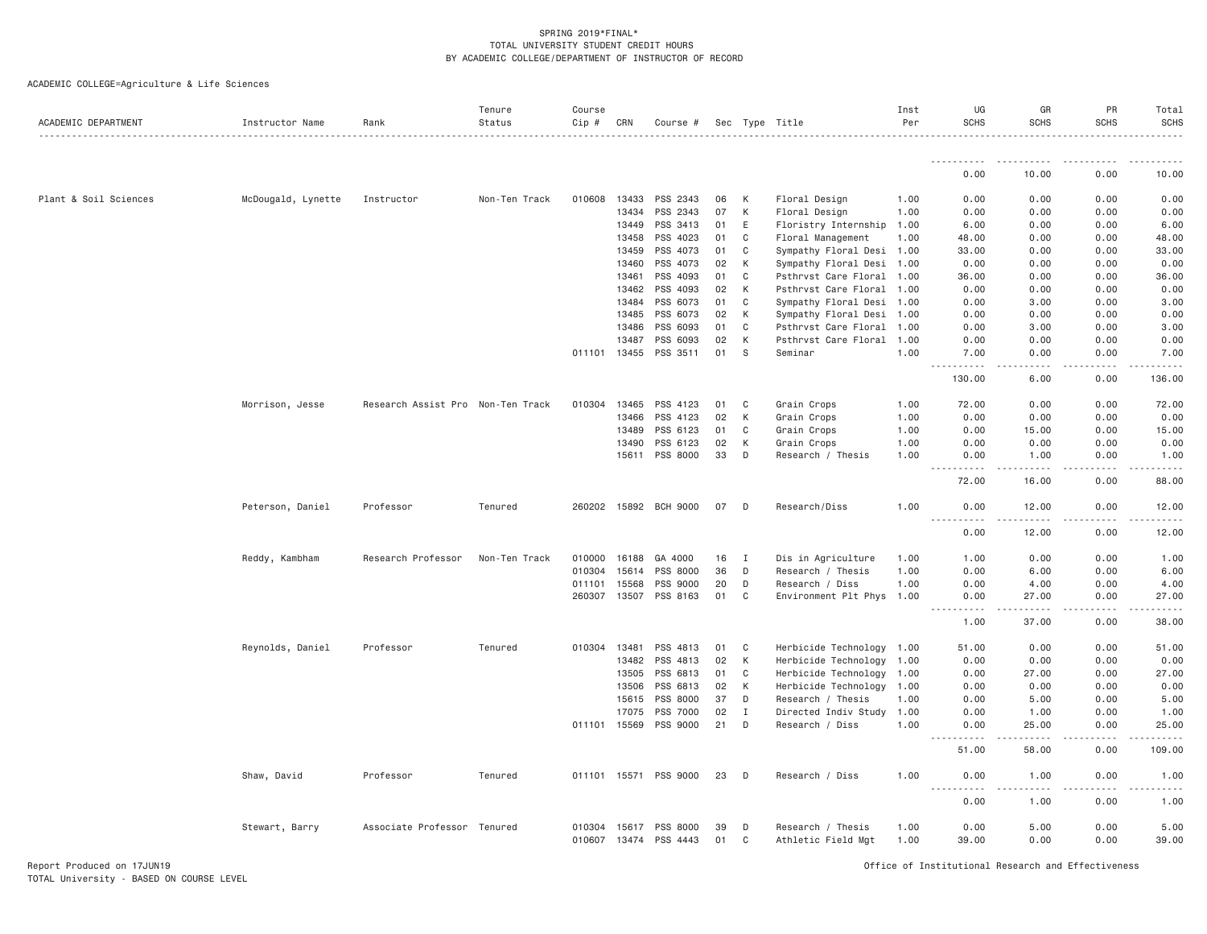| ACADEMIC DEPARTMENT   | Instructor Name    | Rank                              | Tenure<br>Status | Course<br>Cip # | CRN   | Course #                          |          |              | Sec Type Title                          | Inst<br>Per  | UG<br><b>SCHS</b>                                                                                           | GR<br><b>SCHS</b>   | PR<br><b>SCHS</b>                                                                                                                                            | Total<br><b>SCHS</b> |
|-----------------------|--------------------|-----------------------------------|------------------|-----------------|-------|-----------------------------------|----------|--------------|-----------------------------------------|--------------|-------------------------------------------------------------------------------------------------------------|---------------------|--------------------------------------------------------------------------------------------------------------------------------------------------------------|----------------------|
|                       |                    |                                   |                  |                 |       |                                   |          |              |                                         |              | <u>.</u>                                                                                                    |                     |                                                                                                                                                              |                      |
|                       |                    |                                   |                  |                 |       |                                   |          |              |                                         |              | 0.00                                                                                                        | 10.00               | 0.00                                                                                                                                                         | 10.00                |
| Plant & Soil Sciences | McDougald, Lynette | Instructor                        | Non-Ten Track    | 010608          | 13433 | PSS 2343                          | 06       | К            | Floral Design                           | 1.00         | 0.00                                                                                                        | 0.00                | 0.00                                                                                                                                                         | 0.00                 |
|                       |                    |                                   |                  |                 | 13434 | PSS 2343                          | 07       | К            | Floral Design                           | 1.00         | 0.00                                                                                                        | 0.00                | 0.00                                                                                                                                                         | 0.00                 |
|                       |                    |                                   |                  |                 | 13449 | PSS 3413                          | 01       | Ε            | Floristry Internship                    | 1.00         | 6.00                                                                                                        | 0.00                | 0.00                                                                                                                                                         | 6.00                 |
|                       |                    |                                   |                  |                 | 13458 | PSS 4023                          | 01       | C            | Floral Management                       | 1.00         | 48.00                                                                                                       | 0.00                | 0.00                                                                                                                                                         | 48.00                |
|                       |                    |                                   |                  |                 | 13459 | PSS 4073                          | 01       | C            | Sympathy Floral Desi                    | 1.00         | 33.00                                                                                                       | 0.00                | 0.00                                                                                                                                                         | 33.00                |
|                       |                    |                                   |                  |                 | 13460 | PSS 4073                          | 02       | К            | Sympathy Floral Desi                    | 1.00         | 0.00                                                                                                        | 0.00                | 0.00                                                                                                                                                         | 0.00                 |
|                       |                    |                                   |                  |                 | 13461 | PSS 4093                          | 01       | C            | Psthrvst Care Floral                    | 1.00         | 36.00                                                                                                       | 0.00                | 0.00                                                                                                                                                         | 36.00                |
|                       |                    |                                   |                  |                 | 13462 | PSS 4093                          | 02       | K            | Psthrvst Care Floral                    | 1.00         | 0.00                                                                                                        | 0.00                | 0.00                                                                                                                                                         | 0.00                 |
|                       |                    |                                   |                  |                 | 13484 | PSS 6073                          | 01       | C            | Sympathy Floral Desi                    | 1.00         | 0.00                                                                                                        | 3.00                | 0.00                                                                                                                                                         | 3.00                 |
|                       |                    |                                   |                  |                 | 13485 | PSS 6073                          | 02       | К            | Sympathy Floral Desi                    | 1.00         | 0.00                                                                                                        | 0.00                | 0.00                                                                                                                                                         | 0.00                 |
|                       |                    |                                   |                  |                 | 13486 | PSS 6093                          | 01       | C            | Psthrvst Care Floral                    | 1.00         | 0.00                                                                                                        | 3.00                | 0.00                                                                                                                                                         | 3.00                 |
|                       |                    |                                   |                  |                 | 13487 | PSS 6093                          | 02       | K            | Psthrvst Care Floral                    | 1.00         | 0.00                                                                                                        | 0.00                | 0.00                                                                                                                                                         | 0.00                 |
|                       |                    |                                   |                  | 011101 13455    |       | PSS 3511                          | 01       | S            | Seminar                                 | 1.00         | 7.00                                                                                                        | 0.00                | 0.00                                                                                                                                                         | 7.00                 |
|                       |                    |                                   |                  |                 |       |                                   |          |              |                                         |              | $\sim 100$<br>130.00                                                                                        | 6.00                | 0.00                                                                                                                                                         | 136.00               |
|                       | Morrison, Jesse    | Research Assist Pro Non-Ten Track |                  | 010304 13465    |       | PSS 4123                          | 01       | C            | Grain Crops                             | 1.00         | 72.00                                                                                                       | 0.00                | 0.00                                                                                                                                                         | 72.00                |
|                       |                    |                                   |                  |                 | 13466 | PSS 4123                          | 02       | К            | Grain Crops                             | 1.00         | 0.00                                                                                                        | 0.00                | 0.00                                                                                                                                                         | 0.00                 |
|                       |                    |                                   |                  |                 | 13489 | PSS 6123                          | 01       | C            | Grain Crops                             | 1.00         | 0.00                                                                                                        | 15.00               | 0.00                                                                                                                                                         | 15.00                |
|                       |                    |                                   |                  |                 | 13490 | PSS 6123                          | 02       | К            | Grain Crops                             | 1.00         | 0.00                                                                                                        | 0.00                | 0.00                                                                                                                                                         | 0.00                 |
|                       |                    |                                   |                  |                 | 15611 | PSS 8000                          | 33       | D            | Research / Thesis                       | 1.00         | 0.00<br>$\sim$ $\sim$ $\sim$                                                                                | 1.00<br>22222       | 0.00<br>$\frac{1}{2} \left( \frac{1}{2} \right) \left( \frac{1}{2} \right) \left( \frac{1}{2} \right) \left( \frac{1}{2} \right) \left( \frac{1}{2} \right)$ | 1.00<br>.            |
|                       |                    |                                   |                  |                 |       |                                   |          |              |                                         |              | .<br>72.00                                                                                                  | 16.00               | 0.00                                                                                                                                                         | 88.00                |
|                       | Peterson, Daniel   | Professor                         | Tenured          | 260202          |       | 15892 BCH 9000                    | 07       | D            | Research/Diss                           | 1.00         | 0.00<br>.                                                                                                   | 12.00<br>. <u>.</u> | 0.00<br>.                                                                                                                                                    | 12.00                |
|                       |                    |                                   |                  |                 |       |                                   |          |              |                                         |              | 0.00                                                                                                        | 12.00               | 0.00                                                                                                                                                         | 12.00                |
|                       | Reddy, Kambham     | Research Professor                | Non-Ten Track    | 010000          | 16188 | GA 4000                           | 16       | $\mathbf{I}$ | Dis in Agriculture                      | 1.00         | 1.00                                                                                                        | 0.00                | 0.00                                                                                                                                                         | 1.00                 |
|                       |                    |                                   |                  | 010304          | 15614 | PSS 8000                          | 36       | D            | Research / Thesis                       | 1.00         | 0.00                                                                                                        | 6.00                | 0.00                                                                                                                                                         | 6.00                 |
|                       |                    |                                   |                  | 011101          | 15568 | PSS 9000                          | 20       | D            | Research / Diss                         | 1,00         | 0.00                                                                                                        | 4.00                | 0.00                                                                                                                                                         | 4.00                 |
|                       |                    |                                   |                  | 260307 13507    |       | PSS 8163                          | 01       | C            | Environment Plt Phys 1.00               |              | 0.00<br>.<br>$\sim$ $\sim$ $\sim$ $\sim$                                                                    | 27.00<br>.          | 0.00<br>.                                                                                                                                                    | 27.00<br>.           |
|                       |                    |                                   |                  |                 |       |                                   |          |              |                                         |              | 1.00                                                                                                        | 37.00               | 0.00                                                                                                                                                         | 38.00                |
|                       | Reynolds, Daniel   | Professor                         | Tenured          | 010304          | 13481 | PSS 4813                          | 01       | C            | Herbicide Technology                    | 1.00         | 51.00                                                                                                       | 0.00                | 0.00                                                                                                                                                         | 51.00                |
|                       |                    |                                   |                  |                 | 13482 | PSS 4813                          | 02       | K            | Herbicide Technology                    | 1.00         | 0.00                                                                                                        | 0.00                | 0.00                                                                                                                                                         | 0.00                 |
|                       |                    |                                   |                  |                 | 13505 | PSS 6813                          | 01       | C            | Herbicide Technology                    | 1.00         | 0.00                                                                                                        | 27.00               | 0.00                                                                                                                                                         | 27.00                |
|                       |                    |                                   |                  |                 | 13506 | PSS 6813                          | 02       | К            | Herbicide Technology                    | 1.00         | 0.00                                                                                                        | 0.00                | 0.00                                                                                                                                                         | 0.00                 |
|                       |                    |                                   |                  |                 | 15615 | PSS 8000                          | 37       | D            | Research / Thesis                       | 1.00         | 0.00                                                                                                        | 5.00                | 0.00                                                                                                                                                         | 5.00                 |
|                       |                    |                                   |                  |                 | 17075 | PSS 7000                          | 02       | I            | Directed Indiv Study                    | 1.00         | 0.00                                                                                                        | 1.00                | 0.00                                                                                                                                                         | 1.00                 |
|                       |                    |                                   |                  | 011101 15569    |       | PSS 9000                          | 21       | D            | Research / Diss                         | 1.00         | 0.00<br>$\frac{1}{2} \left( \frac{1}{2} \right) \left( \frac{1}{2} \right) \left( \frac{1}{2} \right)$<br>. | 25.00<br>-----      | 0.00                                                                                                                                                         | 25.00                |
|                       |                    |                                   |                  |                 |       |                                   |          |              |                                         |              | 51.00                                                                                                       | 58.00               | 0.00                                                                                                                                                         | 109.00               |
|                       | Shaw, David        | Professor                         | Tenured          | 011101          | 15571 | PSS 9000                          | 23       | D            | Research / Diss                         | 1.00         | 0.00<br>.                                                                                                   | 1.00<br>.           | 0.00                                                                                                                                                         | 1.00<br><u>.</u>     |
|                       |                    |                                   |                  |                 |       |                                   |          |              |                                         |              | 0.00                                                                                                        | 1.00                | 0.00                                                                                                                                                         | 1.00                 |
|                       | Stewart, Barry     | Associate Professor               | Tenured          | 010304 15617    |       | PSS 8000<br>010607 13474 PSS 4443 | 39<br>01 | D<br>C       | Research / Thesis<br>Athletic Field Mgt | 1.00<br>1.00 | 0.00<br>39.00                                                                                               | 5.00<br>0.00        | 0.00<br>0.00                                                                                                                                                 | 5.00<br>39.00        |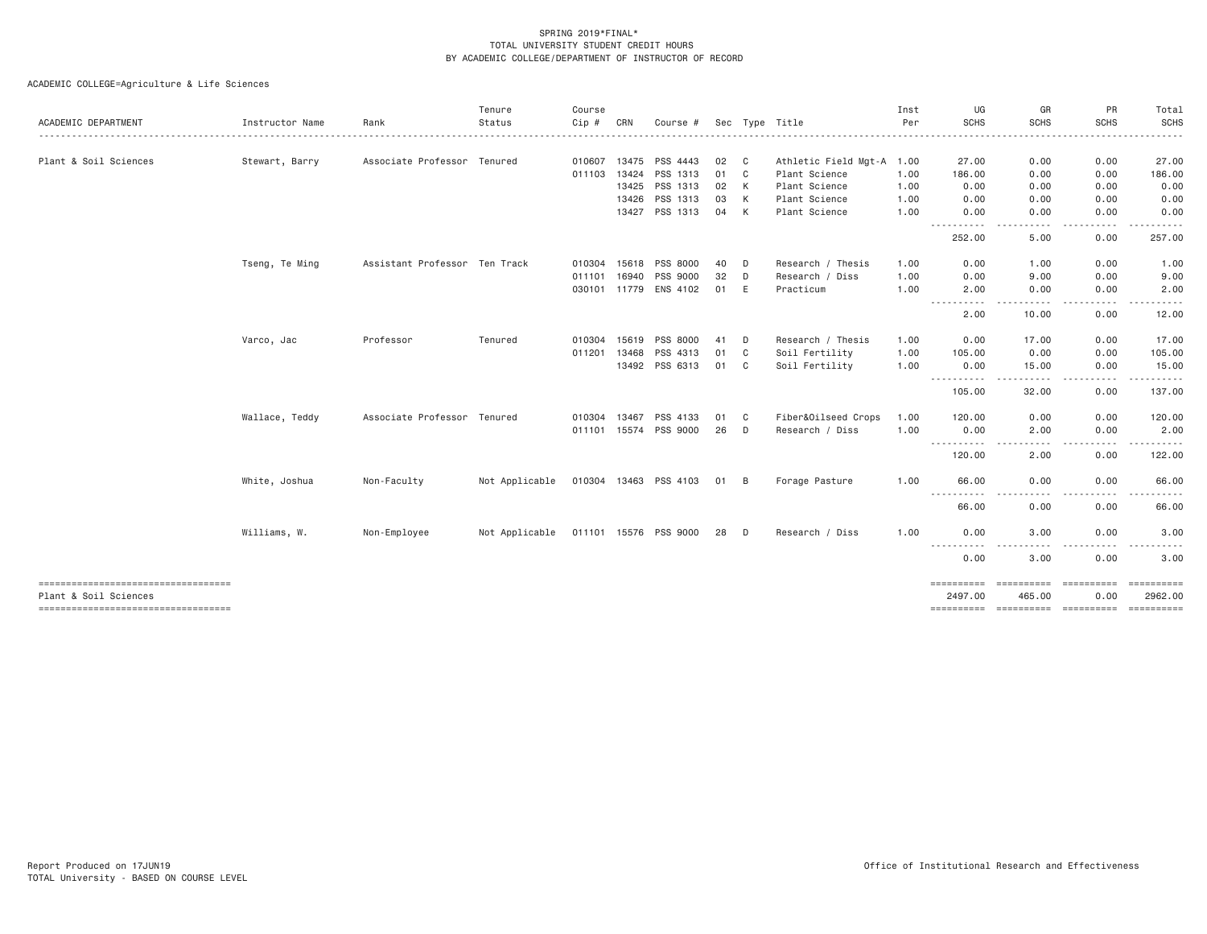| ACADEMIC DEPARTMENT                 | Instructor Name | Rank                          | Tenure<br>Status                         | Course<br>$Cip$ # | CRN          | Course #              |      |    | Sec Type Title            | Inst<br>Per | UG<br><b>SCHS</b>   | GR<br><b>SCHS</b> | <b>PR</b><br><b>SCHS</b> | Total<br><b>SCHS</b><br>.       |
|-------------------------------------|-----------------|-------------------------------|------------------------------------------|-------------------|--------------|-----------------------|------|----|---------------------------|-------------|---------------------|-------------------|--------------------------|---------------------------------|
| Plant & Soil Sciences               | Stewart, Barry  | Associate Professor Tenured   |                                          | 010607            |              | 13475 PSS 4443        | 02   | C  | Athletic Field Mgt-A 1.00 |             | 27.00               | 0.00              | 0.00                     | 27.00                           |
|                                     |                 |                               |                                          | 011103            | 13424        | PSS 1313              | 01   | C  | Plant Science             | 1.00        | 186.00              | 0.00              | 0.00                     | 186.00                          |
|                                     |                 |                               |                                          |                   |              | 13425 PSS 1313        | 02   | K  | Plant Science             | 1.00        | 0.00                | 0.00              | 0.00                     | 0.00                            |
|                                     |                 |                               |                                          |                   | 13426        | PSS 1313              | 03   | K  | Plant Science             | 1.00        | 0.00                | 0.00              | 0.00                     | 0.00                            |
|                                     |                 |                               |                                          |                   |              | 13427 PSS 1313        | 04   | K  | Plant Science             | 1.00        | 0.00<br>.           | 0.00<br>- - - -   | 0.00<br>.                | 0.00                            |
|                                     |                 |                               |                                          |                   |              |                       |      |    |                           |             | 252.00              | 5.00              | 0.00                     | 257.00                          |
|                                     | Tseng, Te Ming  | Assistant Professor Ten Track |                                          |                   | 010304 15618 | PSS 8000              | 40   | D  | Research / Thesis         | 1.00        | 0.00                | 1.00              | 0.00                     | 1.00                            |
|                                     |                 |                               |                                          | 011101            | 16940        | <b>PSS 9000</b>       | 32   | D  | Research / Diss           | 1.00        | 0.00                | 9.00              | 0.00                     | 9.00                            |
|                                     |                 |                               |                                          |                   |              | 030101 11779 ENS 4102 | 01   | E  | Practicum                 | 1.00        | 2,00<br>----------- | 0.00<br>.         | 0.00<br>.                | 2.00<br>.                       |
|                                     |                 |                               |                                          |                   |              |                       |      |    |                           |             | 2.00                | 10.00             | 0.00                     | 12.00                           |
|                                     | Varco, Jac      | Professor                     | Tenured                                  | 010304            | 15619        | PSS 8000              | 41   | D  | Research / Thesis         | 1.00        | 0.00                | 17.00             | 0.00                     | 17.00                           |
|                                     |                 |                               |                                          | 011201            | 13468        | PSS 4313              | 01   | C  | Soil Fertility            | 1.00        | 105.00              | 0.00              | 0.00                     | 105.00                          |
|                                     |                 |                               |                                          |                   |              | 13492 PSS 6313        | 01 C |    | Soil Fertility            | 1.00        | 0.00<br>.           | 15.00<br>.        | 0.00<br>.                | 15.00<br>$\cdots \cdots \cdots$ |
|                                     |                 |                               |                                          |                   |              |                       |      |    |                           |             | 105.00              | 32.00             | 0.00                     | 137.00                          |
|                                     | Wallace, Teddy  | Associate Professor Tenured   |                                          | 010304            | 13467        | PSS 4133              | 01   | C. | Fiber&Oilseed Crops       | 1.00        | 120.00              | 0.00              | 0.00                     | 120.00                          |
|                                     |                 |                               |                                          |                   |              | 011101 15574 PSS 9000 | 26   | D  | Research / Diss           | 1.00        | 0.00                | 2.00              | 0.00                     | 2.00                            |
|                                     |                 |                               |                                          |                   |              |                       |      |    |                           |             | .<br>120.00         | 2.00              | 0.00                     | 122.00                          |
|                                     | White, Joshua   | Non-Faculty                   | Not Applicable                           |                   |              | 010304 13463 PSS 4103 | 01   | B  | Forage Pasture            | 1.00        | 66.00               | 0.00              | 0.00                     | 66.00                           |
|                                     |                 |                               |                                          |                   |              |                       |      |    |                           |             | ----------<br>66.00 | 0.00              | 0.00                     | 66.00                           |
|                                     | Williams, W.    | Non-Employee                  | Not Applicable  011101  15576  PSS  9000 |                   |              |                       | 28 D |    | Research / Diss           | 1.00        | 0.00                | 3.00              | 0.00                     | 3.00                            |
|                                     |                 |                               |                                          |                   |              |                       |      |    |                           |             | 0.00                | 3.00              | 0.00                     | 3.00                            |
| ----------------------------------- |                 |                               |                                          |                   |              |                       |      |    |                           |             |                     | ==========        |                          | ==========                      |
| Plant & Soil Sciences               |                 |                               |                                          |                   |              |                       |      |    |                           |             | 2497.00             | 465.00            | 0.00                     | 2962.00                         |
| ----------------------------------- |                 |                               |                                          |                   |              |                       |      |    |                           |             |                     |                   |                          |                                 |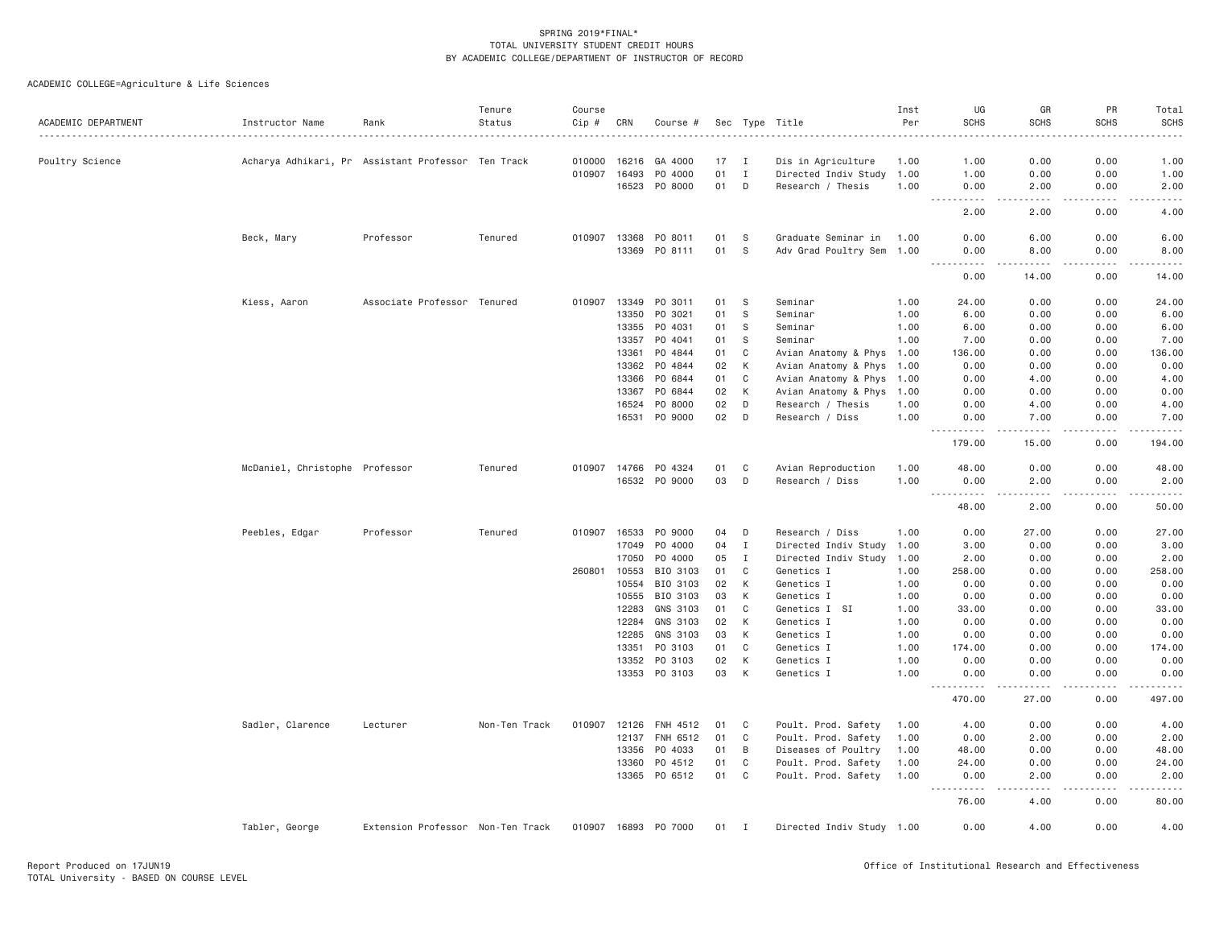| ACADEMIC DEPARTMENT | Instructor Name                                    | Rank                              | Tenure<br>Status | Course<br>Cip # | CRN          | Course #             |    |                | Sec Type Title            | Inst<br>Per | UG<br><b>SCHS</b>                 | GR<br><b>SCHS</b>                                                                                                                                            | PR<br><b>SCHS</b>                                                                                                                                                                    | Total<br><b>SCHS</b>                                                                                                                                         |
|---------------------|----------------------------------------------------|-----------------------------------|------------------|-----------------|--------------|----------------------|----|----------------|---------------------------|-------------|-----------------------------------|--------------------------------------------------------------------------------------------------------------------------------------------------------------|--------------------------------------------------------------------------------------------------------------------------------------------------------------------------------------|--------------------------------------------------------------------------------------------------------------------------------------------------------------|
| Poultry Science     | Acharya Adhikari, Pra Ssistant Professor Ten Track |                                   |                  | 010000          | 16216        | GA 4000              | 17 | $\blacksquare$ | Dis in Agriculture        | 1.00        | 1.00                              | 0.00                                                                                                                                                         | 0.00                                                                                                                                                                                 | 1.00                                                                                                                                                         |
|                     |                                                    |                                   |                  | 010907          | 16493        | P0 4000              | 01 | $\mathbf{I}$   | Directed Indiv Study      | 1.00        | 1.00                              | 0.00                                                                                                                                                         | 0.00                                                                                                                                                                                 | 1.00                                                                                                                                                         |
|                     |                                                    |                                   |                  |                 |              | 16523 PO 8000        | 01 | D              | Research / Thesis         | 1.00        | 0.00                              | 2.00                                                                                                                                                         | 0.00                                                                                                                                                                                 | 2.00                                                                                                                                                         |
|                     |                                                    |                                   |                  |                 |              |                      |    |                |                           |             | 2.00                              | .<br>2.00                                                                                                                                                    | $\sim$ $\sim$ $\sim$ $\sim$<br>0.00                                                                                                                                                  | المستما<br>4.00                                                                                                                                              |
|                     | Beck, Mary                                         | Professor                         | Tenured          | 010907          | 13368        | PO 8011              | 01 | - S            | Graduate Seminar in       | 1.00        | 0.00                              | 6.00                                                                                                                                                         | 0.00                                                                                                                                                                                 | 6.00                                                                                                                                                         |
|                     |                                                    |                                   |                  |                 |              | 13369 PO 8111        | 01 | <sub>S</sub>   | Adv Grad Poultry Sem 1.00 |             | 0.00                              | 8.00                                                                                                                                                         | 0.00                                                                                                                                                                                 | 8.00                                                                                                                                                         |
|                     |                                                    |                                   |                  |                 |              |                      |    |                |                           |             | ----------<br>0.00                | $\sim$ $\sim$ $\sim$ $\sim$ $\sim$<br>14.00                                                                                                                  | المتمالين<br>0.00                                                                                                                                                                    | .<br>14.00                                                                                                                                                   |
|                     | Kiess, Aaron                                       | Associate Professor Tenured       |                  | 010907          |              | 13349 PO 3011        | 01 | S              | Seminar                   | 1.00        | 24.00                             | 0.00                                                                                                                                                         | 0.00                                                                                                                                                                                 | 24.00                                                                                                                                                        |
|                     |                                                    |                                   |                  |                 | 13350        | PO 3021              | 01 | S              | Seminar                   | 1.00        | 6.00                              | 0.00                                                                                                                                                         | 0.00                                                                                                                                                                                 | 6.00                                                                                                                                                         |
|                     |                                                    |                                   |                  |                 | 13355        | PO 4031              | 01 | - S            | Seminar                   | 1.00        | 6.00                              | 0.00                                                                                                                                                         | 0.00                                                                                                                                                                                 | 6.00                                                                                                                                                         |
|                     |                                                    |                                   |                  |                 | 13357        | PO 4041              | 01 | S              | Seminar                   | 1.00        | 7.00                              | 0.00                                                                                                                                                         | 0.00                                                                                                                                                                                 | 7.00                                                                                                                                                         |
|                     |                                                    |                                   |                  |                 | 13361        | PO 4844              | 01 | C              | Avian Anatomy & Phys 1.00 |             | 136.00                            | 0.00                                                                                                                                                         | 0.00                                                                                                                                                                                 | 136.00                                                                                                                                                       |
|                     |                                                    |                                   |                  |                 | 13362        | PO 4844              | 02 | K              | Avian Anatomy & Phys 1.00 |             | 0.00                              | 0.00                                                                                                                                                         | 0.00                                                                                                                                                                                 | 0.00                                                                                                                                                         |
|                     |                                                    |                                   |                  |                 | 13366        | PO 6844              | 01 | C              | Avian Anatomy & Phys 1.00 |             | 0.00                              | 4.00                                                                                                                                                         | 0.00                                                                                                                                                                                 | 4.00                                                                                                                                                         |
|                     |                                                    |                                   |                  |                 | 13367        | PO 6844              | 02 | K              | Avian Anatomy & Phys 1.00 |             | 0.00                              | 0.00                                                                                                                                                         | 0.00                                                                                                                                                                                 | 0.00                                                                                                                                                         |
|                     |                                                    |                                   |                  |                 | 16524        | PO 8000              | 02 | D              | Research / Thesis         | 1.00        | 0.00                              | 4.00                                                                                                                                                         | 0.00                                                                                                                                                                                 | 4.00                                                                                                                                                         |
|                     |                                                    |                                   |                  |                 | 16531        | PO 9000              | 02 | D              | Research / Diss           | 1.00        | 0.00<br><u>.</u>                  | 7.00<br>$\frac{1}{2} \left( \frac{1}{2} \right) \left( \frac{1}{2} \right) \left( \frac{1}{2} \right) \left( \frac{1}{2} \right) \left( \frac{1}{2} \right)$ | 0.00<br>$\frac{1}{2} \left( \frac{1}{2} \right) \left( \frac{1}{2} \right) \left( \frac{1}{2} \right) \left( \frac{1}{2} \right) \left( \frac{1}{2} \right)$                         | 7.00<br>$\frac{1}{2} \left( \frac{1}{2} \right) \left( \frac{1}{2} \right) \left( \frac{1}{2} \right) \left( \frac{1}{2} \right) \left( \frac{1}{2} \right)$ |
|                     |                                                    |                                   |                  |                 |              |                      |    |                |                           |             | 179.00                            | 15.00                                                                                                                                                        | 0.00                                                                                                                                                                                 | 194.00                                                                                                                                                       |
|                     | McDaniel, Christophe Professor                     |                                   | Tenured          |                 |              | 010907 14766 PO 4324 | 01 | C              | Avian Reproduction        | 1.00        | 48.00                             | 0.00                                                                                                                                                         | 0.00                                                                                                                                                                                 | 48.00                                                                                                                                                        |
|                     |                                                    |                                   |                  |                 |              | 16532 PO 9000        | 03 | D              | Research / Diss           | 1.00        | 0.00                              | 2.00                                                                                                                                                         | 0.00                                                                                                                                                                                 | 2.00                                                                                                                                                         |
|                     |                                                    |                                   |                  |                 |              |                      |    |                |                           |             | 48.00                             | $\frac{1}{2} \left( \frac{1}{2} \right) \left( \frac{1}{2} \right) \left( \frac{1}{2} \right) \left( \frac{1}{2} \right) \left( \frac{1}{2} \right)$<br>2.00 | .<br>0.00                                                                                                                                                                            | .<br>50.00                                                                                                                                                   |
|                     | Peebles, Edgar                                     | Professor                         | Tenured          | 010907 16533    |              | PO 9000              | 04 | D              | Research / Diss           | 1.00        | 0.00                              | 27.00                                                                                                                                                        | 0.00                                                                                                                                                                                 | 27.00                                                                                                                                                        |
|                     |                                                    |                                   |                  |                 | 17049        | P0 4000              | 04 | $\mathbf{I}$   | Directed Indiv Study 1.00 |             | 3.00                              | 0.00                                                                                                                                                         | 0.00                                                                                                                                                                                 | 3.00                                                                                                                                                         |
|                     |                                                    |                                   |                  |                 | 17050        | P0 4000              | 05 | I              | Directed Indiv Study 1.00 |             | 2.00                              | 0.00                                                                                                                                                         | 0.00                                                                                                                                                                                 | 2.00                                                                                                                                                         |
|                     |                                                    |                                   |                  |                 | 260801 10553 | BIO 3103             | 01 | C              | Genetics I                | 1.00        | 258.00                            | 0.00                                                                                                                                                         | 0.00                                                                                                                                                                                 | 258.00                                                                                                                                                       |
|                     |                                                    |                                   |                  |                 | 10554        | BIO 3103             | 02 | K              | Genetics I                | 1.00        | 0.00                              | 0.00                                                                                                                                                         | 0.00                                                                                                                                                                                 | 0.00                                                                                                                                                         |
|                     |                                                    |                                   |                  |                 |              | 10555 BIO 3103       | 03 | K              | Genetics I                | 1.00        | 0.00                              | 0.00                                                                                                                                                         | 0.00                                                                                                                                                                                 | 0.00                                                                                                                                                         |
|                     |                                                    |                                   |                  |                 | 12283        | GNS 3103             | 01 | C              | Genetics I SI             | 1.00        | 33.00                             | 0.00                                                                                                                                                         | 0.00                                                                                                                                                                                 | 33.00                                                                                                                                                        |
|                     |                                                    |                                   |                  |                 | 12284        | GNS 3103             | 02 | К              | Genetics I                | 1.00        | 0.00                              | 0.00                                                                                                                                                         | 0.00                                                                                                                                                                                 | 0.00                                                                                                                                                         |
|                     |                                                    |                                   |                  |                 | 12285        | GNS 3103             | 03 | К              | Genetics I                | 1.00        | 0.00                              | 0.00                                                                                                                                                         | 0.00                                                                                                                                                                                 | 0.00                                                                                                                                                         |
|                     |                                                    |                                   |                  |                 | 13351        | PO 3103              | 01 | C              | Genetics I                | 1.00        | 174.00                            | 0.00                                                                                                                                                         | 0.00                                                                                                                                                                                 | 174.00                                                                                                                                                       |
|                     |                                                    |                                   |                  |                 | 13352        | PO 3103              | 02 | К              | Genetics I                | 1.00        | 0.00                              | 0.00                                                                                                                                                         | 0.00                                                                                                                                                                                 | 0.00                                                                                                                                                         |
|                     |                                                    |                                   |                  |                 |              | 13353 PO 3103        | 03 | К              | Genetics I                | 1.00        | 0.00<br>.<br>$\frac{1}{2}$        | 0.00                                                                                                                                                         | 0.00                                                                                                                                                                                 | 0.00                                                                                                                                                         |
|                     |                                                    |                                   |                  |                 |              |                      |    |                |                           |             | 470.00                            | 27.00                                                                                                                                                        | 0.00                                                                                                                                                                                 | 497.00                                                                                                                                                       |
|                     | Sadler, Clarence                                   | Lecturer                          | Non-Ten Track    | 010907          |              | 12126 FNH 4512       | 01 | C              | Poult. Prod. Safety       | 1.00        | 4.00                              | 0.00                                                                                                                                                         | 0.00                                                                                                                                                                                 | 4.00                                                                                                                                                         |
|                     |                                                    |                                   |                  |                 |              | 12137 FNH 6512       | 01 | $\mathsf{C}$   | Poult. Prod. Safety       | 1.00        | 0.00                              | 2.00                                                                                                                                                         | 0.00                                                                                                                                                                                 | 2.00                                                                                                                                                         |
|                     |                                                    |                                   |                  |                 | 13356        | PO 4033              | 01 | B              | Diseases of Poultry       | 1.00        | 48.00                             | 0.00                                                                                                                                                         | 0.00                                                                                                                                                                                 | 48.00                                                                                                                                                        |
|                     |                                                    |                                   |                  |                 | 13360        | PO 4512              | 01 | C              | Poult. Prod. Safety       | 1.00        | 24.00                             | 0.00                                                                                                                                                         | 0.00                                                                                                                                                                                 | 24.00                                                                                                                                                        |
|                     |                                                    |                                   |                  |                 |              | 13365 PO 6512        | 01 | C              | Poult. Prod. Safety       | 1.00        | 0.00<br>$\sim$ $\sim$ $\sim$<br>. | 2.00<br>.                                                                                                                                                    | 0.00<br>$\mathcal{L}^{\mathcal{L}}\left( \mathcal{L}^{\mathcal{L}}\left( \mathcal{L}^{\mathcal{L}}\right) \right) =\mathcal{L}^{\mathcal{L}}\left( \mathcal{L}^{\mathcal{L}}\right)$ | 2.00<br>.                                                                                                                                                    |
|                     |                                                    |                                   |                  |                 |              |                      |    |                |                           |             | 76.00                             | 4.00                                                                                                                                                         | 0.00                                                                                                                                                                                 | 80.00                                                                                                                                                        |
|                     | Tabler, George                                     | Extension Professor Non-Ten Track |                  |                 |              | 010907 16893 PO 7000 |    | 01 I           | Directed Indiv Study 1.00 |             | 0.00                              | 4.00                                                                                                                                                         | 0.00                                                                                                                                                                                 | 4.00                                                                                                                                                         |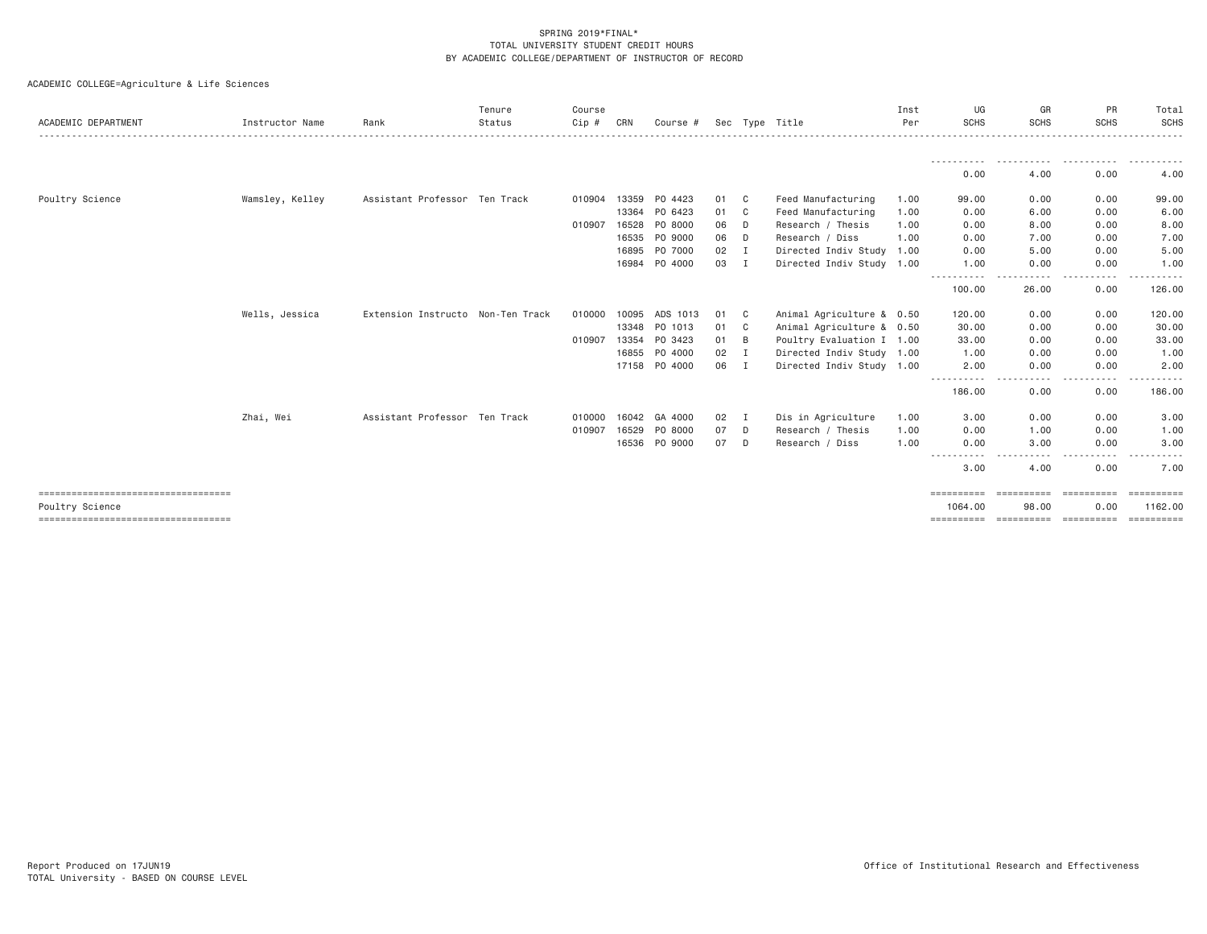| ACADEMIC DEPARTMENT                                     | Instructor Name | Rank                              | Tenure<br>Status | Course<br>$Cip$ # | CRN   | Course #      |      |                | Sec Type Title            | Inst<br>Per | UG<br><b>SCHS</b>     | GR<br><b>SCHS</b>          | PR<br><b>SCHS</b>               | Total<br>SCHS                      |
|---------------------------------------------------------|-----------------|-----------------------------------|------------------|-------------------|-------|---------------|------|----------------|---------------------------|-------------|-----------------------|----------------------------|---------------------------------|------------------------------------|
|                                                         |                 |                                   |                  |                   |       |               |      |                |                           |             |                       |                            | -----                           |                                    |
|                                                         |                 |                                   |                  |                   |       |               |      |                |                           |             | 0.00                  | 4.00                       | 0.00                            | 4.00                               |
| Poultry Science                                         | Wamsley, Kelley | Assistant Professor Ten Track     |                  | 010904            | 13359 | PO 4423       | 01 C |                | Feed Manufacturing        | 1.00        | 99.00                 | 0.00                       | 0.00                            | 99.00                              |
|                                                         |                 |                                   |                  |                   | 13364 | PO 6423       | 01 C |                | Feed Manufacturing        | 1.00        | 0.00                  | 6.00                       | 0.00                            | 6.00                               |
|                                                         |                 |                                   |                  | 010907            | 16528 | PO 8000       | 06   | D              | Research / Thesis         | 1.00        | 0.00                  | 8.00                       | 0.00                            | 8.00                               |
|                                                         |                 |                                   |                  |                   | 16535 | PO 9000       | 06   | D              | Research / Diss           | 1.00        | 0.00                  | 7.00                       | 0.00                            | 7.00                               |
|                                                         |                 |                                   |                  |                   |       | 16895 PO 7000 | 02   | $\mathbf I$    | Directed Indiv Study 1.00 |             | 0.00                  | 5.00                       | 0.00                            | 5.00                               |
|                                                         |                 |                                   |                  |                   | 16984 | PO 4000       | 03 I |                | Directed Indiv Study 1.00 |             | 1.00                  | 0.00                       | 0.00                            | 1.00                               |
|                                                         |                 |                                   |                  |                   |       |               |      |                |                           |             | 100.00                | 26.00                      | 0.00                            | 126.00                             |
|                                                         | Wells, Jessica  | Extension Instructo Non-Ten Track |                  | 010000            | 10095 | ADS 1013      | 01   | - C            | Animal Agriculture & 0.50 |             | 120.00                | 0.00                       | 0.00                            | 120.00                             |
|                                                         |                 |                                   |                  |                   | 13348 | PO 1013       | 01   | $\mathbf{C}$   | Animal Agriculture & 0.50 |             | 30.00                 | 0.00                       | 0.00                            | 30.00                              |
|                                                         |                 |                                   |                  | 010907            | 13354 | PO 3423       | 01   | B              | Poultry Evaluation I 1.00 |             | 33.00                 | 0.00                       | 0.00                            | 33.00                              |
|                                                         |                 |                                   |                  |                   | 16855 | PO 4000       | 02   | $\blacksquare$ | Directed Indiv Study 1.00 |             | 1.00                  | 0.00                       | 0.00                            | 1.00                               |
|                                                         |                 |                                   |                  |                   |       | 17158 PO 4000 | 06 I |                | Directed Indiv Study 1.00 |             | 2.00                  | 0.00                       | 0.00                            | 2.00                               |
|                                                         |                 |                                   |                  |                   |       |               |      |                |                           |             | $\cdots$<br>186.00    | 0.00                       | 0.00                            | 186.00                             |
|                                                         | Zhai, Wei       | Assistant Professor Ten Track     |                  | 010000            | 16042 | GA 4000       | 02   | I              | Dis in Agriculture        | 1.00        | 3.00                  | 0.00                       | 0.00                            | 3.00                               |
|                                                         |                 |                                   |                  | 010907            | 16529 | PO 8000       | 07   | D              | Research / Thesis         | 1.00        | 0.00                  | 1.00                       | 0.00                            | 1.00                               |
|                                                         |                 |                                   |                  |                   |       | 16536 PO 9000 | 07   | D              | Research / Diss           | 1.00        | 0.00                  | 3.00                       | 0.00                            | 3.00                               |
|                                                         |                 |                                   |                  |                   |       |               |      |                |                           |             | .<br>3.00             | 4.00                       | 0.00                            | 7.00                               |
| ====================================<br>Poultry Science |                 |                                   |                  |                   |       |               |      |                |                           |             | ==========<br>1064.00 | <b>ESSESSESSE</b><br>98.00 | $=$ = = = = = = = = = =<br>0.00 | $=$ = = = = = = = = = =<br>1162.00 |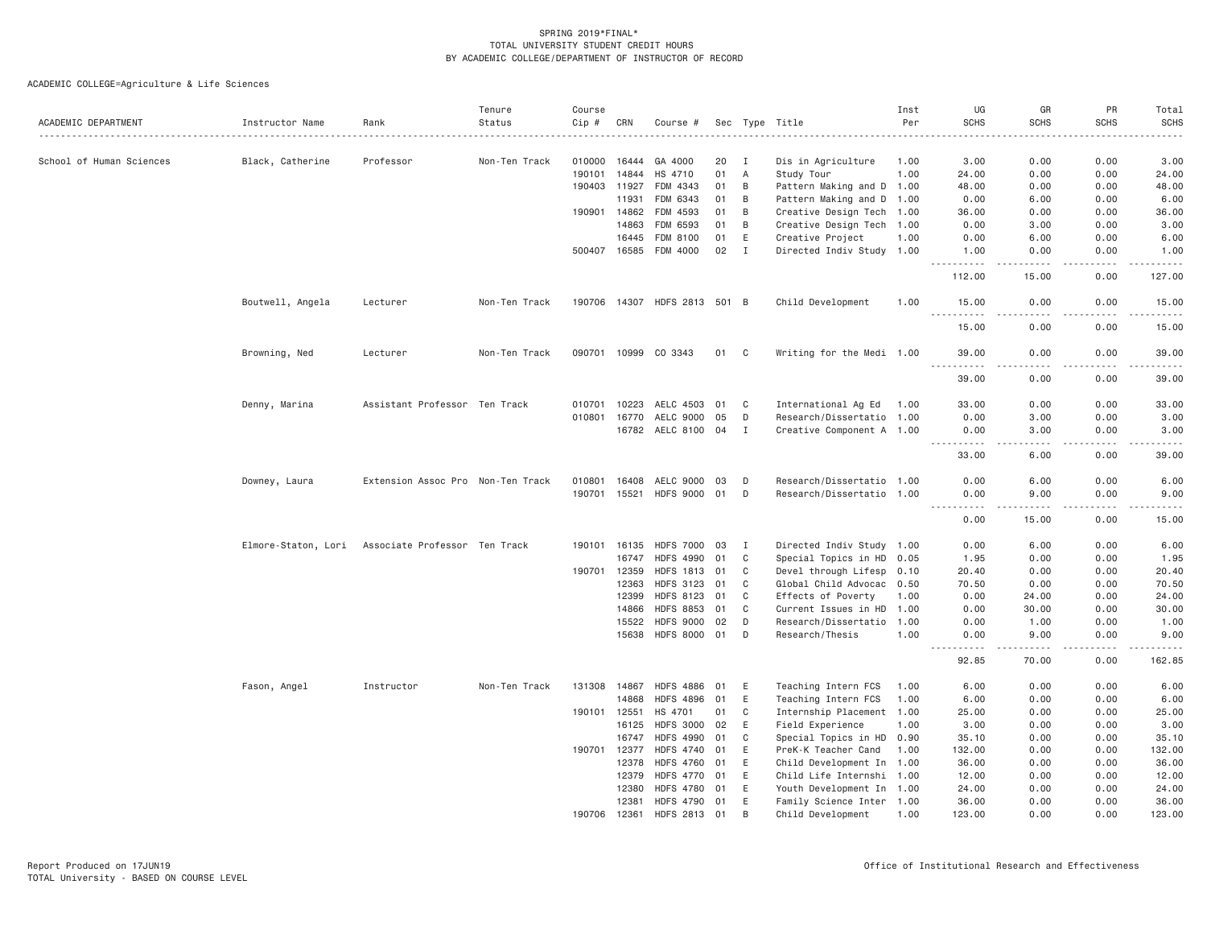|                          |                     |                                   | Tenure        | Course       |              |                              |    |              |                           | Inst | UG                         | GR                | PR            | Total                                                                                                                                                                                   |
|--------------------------|---------------------|-----------------------------------|---------------|--------------|--------------|------------------------------|----|--------------|---------------------------|------|----------------------------|-------------------|---------------|-----------------------------------------------------------------------------------------------------------------------------------------------------------------------------------------|
| ACADEMIC DEPARTMENT      | Instructor Name     | Rank                              | Status        | Cip #        | CRN          | Course #                     |    |              | Sec Type Title            | Per  | <b>SCHS</b>                | <b>SCHS</b>       | <b>SCHS</b>   | <b>SCHS</b><br>$- - - -$                                                                                                                                                                |
| School of Human Sciences | Black, Catherine    | Professor                         | Non-Ten Track | 010000       | 16444        | GA 4000                      | 20 | I            | Dis in Agriculture        | 1.00 | 3.00                       | 0.00              | 0.00          | 3.00                                                                                                                                                                                    |
|                          |                     |                                   |               | 190101       | 14844        | HS 4710                      | 01 | $\mathsf{A}$ | Study Tour                | 1.00 | 24.00                      | 0.00              | 0.00          | 24.00                                                                                                                                                                                   |
|                          |                     |                                   |               | 190403       | 11927        | FDM 4343                     | 01 | B            | Pattern Making and D      | 1.00 | 48.00                      | 0.00              | 0.00          | 48.00                                                                                                                                                                                   |
|                          |                     |                                   |               |              | 11931        | FDM 6343                     | 01 | B            | Pattern Making and D 1.00 |      | 0.00                       | 6.00              | 0.00          | 6.00                                                                                                                                                                                    |
|                          |                     |                                   |               |              | 190901 14862 | FDM 4593                     | 01 | B            | Creative Design Tech 1.00 |      | 36.00                      | 0.00              | 0.00          | 36.00                                                                                                                                                                                   |
|                          |                     |                                   |               |              | 14863        | FDM 6593                     | 01 | B            | Creative Design Tech 1.00 |      | 0.00                       | 3.00              | 0.00          | 3.00                                                                                                                                                                                    |
|                          |                     |                                   |               |              | 16445        | FDM 8100                     | 01 | E            | Creative Project          | 1.00 | 0.00                       | 6.00              | 0.00          | 6.00                                                                                                                                                                                    |
|                          |                     |                                   |               |              | 500407 16585 | FDM 4000                     | 02 | $\mathbf I$  | Directed Indiv Study 1.00 |      | 1.00                       | 0.00              | 0.00          | 1.00                                                                                                                                                                                    |
|                          |                     |                                   |               |              |              |                              |    |              |                           |      | .<br>112.00                | والمحامر<br>15.00 | .<br>0.00     | .<br>127.00                                                                                                                                                                             |
|                          | Boutwell, Angela    | Lecturer                          | Non-Ten Track |              |              | 190706 14307 HDFS 2813 501 B |    |              | Child Development         | 1.00 | 15.00                      | 0.00              | 0.00          | 15.00                                                                                                                                                                                   |
|                          |                     |                                   |               |              |              |                              |    |              |                           |      | 15.00                      | 0.00              | 0.00          | 15.00                                                                                                                                                                                   |
|                          | Browning, Ned       | Lecturer                          | Non-Ten Track |              |              | 090701 10999 CO 3343         | 01 | C            | Writing for the Medi 1.00 |      | 39.00<br>$ -$<br>.         | 0.00<br>$- - - -$ | 0.00          | 39.00<br>$- - - -$                                                                                                                                                                      |
|                          |                     |                                   |               |              |              |                              |    |              |                           |      | 39.00                      | 0.00              | 0.00          | 39.00                                                                                                                                                                                   |
|                          | Denny, Marina       | Assistant Professor Ten Track     |               | 010701       | 10223        | AELC 4503                    | 01 | $\mathbf{C}$ | International Ag Ed       | 1.00 | 33.00                      | 0.00              | 0.00          | 33.00                                                                                                                                                                                   |
|                          |                     |                                   |               | 010801       | 16770        | AELC 9000                    | 05 | D            | Research/Dissertatio 1.00 |      | 0.00                       | 3.00              | 0.00          | 3.00                                                                                                                                                                                    |
|                          |                     |                                   |               |              | 16782        | AELC 8100 04                 |    | I            | Creative Component A 1.00 |      | 0.00<br><u>.</u>           | 3.00<br>د د د د   | 0.00<br>.     | 3.00<br>$- - - -$                                                                                                                                                                       |
|                          |                     |                                   |               |              |              |                              |    |              |                           |      | 33.00                      | 6.00              | 0.00          | 39.00                                                                                                                                                                                   |
|                          | Downey, Laura       | Extension Assoc Pro Non-Ten Track |               | 010801       | 16408        | AELC 9000                    | 03 | D            | Research/Dissertatio 1.00 |      | 0.00                       | 6.00              | 0.00          | 6.00                                                                                                                                                                                    |
|                          |                     |                                   |               |              |              | 190701 15521 HDFS 9000       | 01 | D            | Research/Dissertatio 1.00 |      | 0.00<br>$\frac{1}{2}$<br>. | 9.00<br>- - - - - | 0.00<br>----- | 9.00<br>.                                                                                                                                                                               |
|                          |                     |                                   |               |              |              |                              |    |              |                           |      | 0.00                       | 15.00             | 0.00          | 15.00                                                                                                                                                                                   |
|                          | Elmore-Staton, Lori | Associate Professor Ten Track     |               |              | 190101 16135 | <b>HDFS 7000</b>             | 03 | I            | Directed Indiv Study 1.00 |      | 0.00                       | 6.00              | 0.00          | 6.00                                                                                                                                                                                    |
|                          |                     |                                   |               |              | 16747        | <b>HDFS 4990</b>             | 01 | C            | Special Topics in HD 0.05 |      | 1.95                       | 0.00              | 0.00          | 1.95                                                                                                                                                                                    |
|                          |                     |                                   |               | 190701       | 12359        | <b>HDFS 1813</b>             | 01 | C            | Devel through Lifesp 0.10 |      | 20.40                      | 0.00              | 0.00          | 20.40                                                                                                                                                                                   |
|                          |                     |                                   |               |              | 12363        | <b>HDFS 3123</b>             | 01 | C            | Global Child Advocac 0.50 |      | 70.50                      | 0.00              | 0.00          | 70.50                                                                                                                                                                                   |
|                          |                     |                                   |               |              | 12399        | <b>HDFS 8123</b>             | 01 | C            | Effects of Poverty        | 1.00 | 0.00                       | 24.00             | 0.00          | 24.00                                                                                                                                                                                   |
|                          |                     |                                   |               |              | 14866        | <b>HDFS 8853</b>             | 01 | $\mathbf{C}$ | Current Issues in HD      | 1.00 | 0.00                       | 30.00             | 0.00          | 30.00                                                                                                                                                                                   |
|                          |                     |                                   |               |              | 15522        | <b>HDFS 9000</b>             | 02 | D            | Research/Dissertatio 1.00 |      | 0.00                       | 1.00              | 0.00          | 1.00                                                                                                                                                                                    |
|                          |                     |                                   |               |              | 15638        | <b>HDFS 8000</b>             | 01 | D            | Research/Thesis           | 1.00 | 0.00<br><u>.</u>           | 9.00<br>-----     | 0.00<br>.     | 9.00<br>$\frac{1}{2} \left( \frac{1}{2} \right) \left( \frac{1}{2} \right) \left( \frac{1}{2} \right) \left( \frac{1}{2} \right) \left( \frac{1}{2} \right) \left( \frac{1}{2} \right)$ |
|                          |                     |                                   |               |              |              |                              |    |              |                           |      | 92.85                      | 70.00             | 0.00          | 162.85                                                                                                                                                                                  |
|                          | Fason, Angel        | Instructor                        | Non-Ten Track | 131308       | 14867        | <b>HDFS 4886</b>             | 01 | E            | Teaching Intern FCS       | 1.00 | 6.00                       | 0.00              | 0.00          | 6.00                                                                                                                                                                                    |
|                          |                     |                                   |               |              | 14868        | <b>HDFS 4896</b>             | 01 | E            | Teaching Intern FCS       | 1.00 | 6.00                       | 0.00              | 0.00          | 6.00                                                                                                                                                                                    |
|                          |                     |                                   |               | 190101 12551 |              | HS 4701                      | 01 | C            | Internship Placement 1.00 |      | 25,00                      | 0.00              | 0.00          | 25.00                                                                                                                                                                                   |
|                          |                     |                                   |               |              | 16125        | <b>HDFS 3000</b>             | 02 | E            | Field Experience          | 1.00 | 3.00                       | 0.00              | 0.00          | 3.00                                                                                                                                                                                    |
|                          |                     |                                   |               |              | 16747        | <b>HDFS 4990</b>             | 01 | C            | Special Topics in HD 0.90 |      | 35.10                      | 0.00              | 0.00          | 35.10                                                                                                                                                                                   |
|                          |                     |                                   |               | 190701       | 12377        | <b>HDFS 4740</b>             | 01 | E            | PreK-K Teacher Cand       | 1.00 | 132.00                     | 0.00              | 0.00          | 132.00                                                                                                                                                                                  |
|                          |                     |                                   |               |              | 12378        | <b>HDFS 4760</b>             | 01 | E            | Child Development In 1.00 |      | 36.00                      | 0.00              | 0.00          | 36.00                                                                                                                                                                                   |
|                          |                     |                                   |               |              | 12379        | <b>HDFS 4770</b>             | 01 | E            | Child Life Internshi 1.00 |      | 12.00                      | 0.00              | 0.00          | 12.00                                                                                                                                                                                   |
|                          |                     |                                   |               |              | 12380        | <b>HDFS 4780</b>             | 01 | E            | Youth Development In 1.00 |      | 24.00                      | 0.00              | 0.00          | 24.00                                                                                                                                                                                   |
|                          |                     |                                   |               |              | 12381        | <b>HDFS 4790</b>             | 01 | E            | Family Science Inter 1.00 |      | 36.00                      | 0.00              | 0.00          | 36.00                                                                                                                                                                                   |
|                          |                     |                                   |               | 190706       | 12361        | <b>HDFS 2813</b>             | 01 | B            | Child Development         | 1,00 | 123.00                     | 0.00              | 0.00          | 123.00                                                                                                                                                                                  |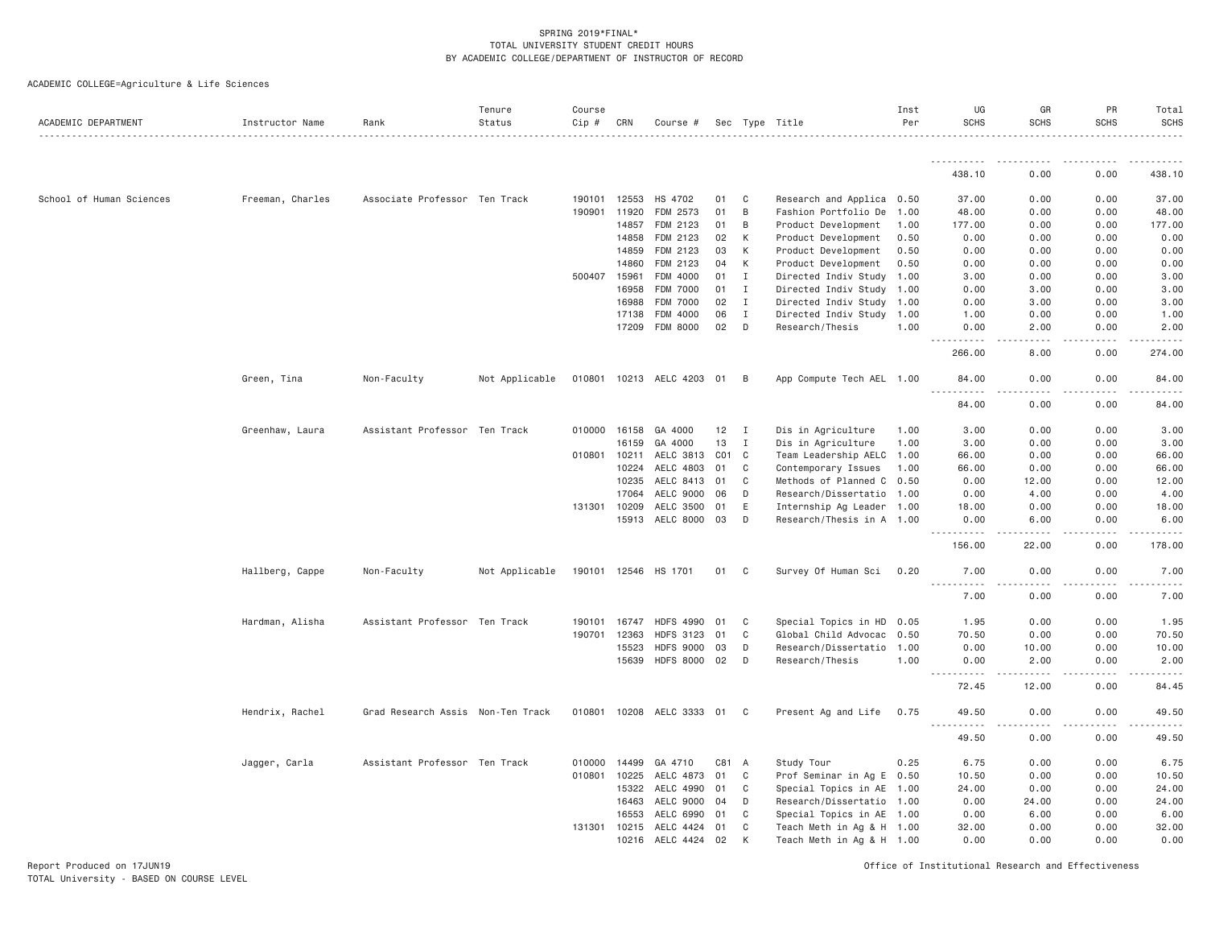ACADEMIC COLLEGE=Agriculture & Life Sciences

| ACADEMIC DEPARTMENT      | Instructor Name  | Rank                              | Tenure<br>Status | Course<br>Cip # | CRN          | Course #                  |     |                | Sec Type Title            | Inst<br>Per | UG<br><b>SCHS</b>             | GR<br><b>SCHS</b> | PR<br><b>SCHS</b> | Total<br><b>SCHS</b><br>.                                                                                                                                                                 |
|--------------------------|------------------|-----------------------------------|------------------|-----------------|--------------|---------------------------|-----|----------------|---------------------------|-------------|-------------------------------|-------------------|-------------------|-------------------------------------------------------------------------------------------------------------------------------------------------------------------------------------------|
|                          |                  |                                   |                  |                 |              |                           |     |                |                           |             | .                             |                   |                   |                                                                                                                                                                                           |
|                          |                  |                                   |                  |                 |              |                           |     |                |                           |             | 438.10                        | 0.00              | 0.00              | 438.10                                                                                                                                                                                    |
| School of Human Sciences | Freeman, Charles | Associate Professor Ten Track     |                  |                 | 190101 12553 | HS 4702                   | 01  | C              | Research and Applica 0.50 |             | 37.00                         | 0.00              | 0.00              | 37.00                                                                                                                                                                                     |
|                          |                  |                                   |                  | 190901          | 11920        | FDM 2573                  | 01  | B              | Fashion Portfolio De      | 1.00        | 48.00                         | 0.00              | 0.00              | 48.00                                                                                                                                                                                     |
|                          |                  |                                   |                  |                 | 14857        | FDM 2123                  | 01  | B              | Product Development       | 1.00        | 177.00                        | 0.00              | 0.00              | 177.00                                                                                                                                                                                    |
|                          |                  |                                   |                  |                 | 14858        | FDM 2123                  | 02  | К              | Product Development       | 0.50        | 0.00                          | 0.00              | 0.00              | 0.00                                                                                                                                                                                      |
|                          |                  |                                   |                  |                 | 14859        | FDM 2123                  | 03  | К              | Product Development       | 0.50        | 0.00                          | 0.00              | 0.00              | 0.00                                                                                                                                                                                      |
|                          |                  |                                   |                  |                 | 14860        | FDM 2123                  | 04  | K              | Product Development       | 0.50        | 0.00                          | 0.00              | 0.00              | 0.00                                                                                                                                                                                      |
|                          |                  |                                   |                  | 500407 15961    |              | FDM 4000                  | 01  | I              | Directed Indiv Study 1.00 |             | 3.00                          | 0.00              | 0.00              | 3.00                                                                                                                                                                                      |
|                          |                  |                                   |                  |                 | 16958        | FDM 7000                  | 01  | Ι.             | Directed Indiv Study 1.00 |             | 0.00                          | 3.00              | 0.00              | 3.00                                                                                                                                                                                      |
|                          |                  |                                   |                  |                 | 16988        | <b>FDM 7000</b>           | 02  | $\mathbf I$    | Directed Indiv Study 1.00 |             | 0.00                          | 3.00              | 0.00              | 3.00                                                                                                                                                                                      |
|                          |                  |                                   |                  |                 | 17138        | FDM 4000                  | 06  | $\mathbf I$    | Directed Indiv Study 1.00 |             | 1.00                          | 0.00              | 0.00              | 1.00                                                                                                                                                                                      |
|                          |                  |                                   |                  |                 | 17209        | FDM 8000                  | 02  | D              | Research/Thesis           | 1.00        | 0.00                          | 2.00              | 0.00              | 2.00                                                                                                                                                                                      |
|                          |                  |                                   |                  |                 |              |                           |     |                |                           |             | .<br>266.00                   | .<br>8.00         | .<br>0.00         | .<br>274.00                                                                                                                                                                               |
|                          | Green, Tina      | Non-Faculty                       | Not Applicable   |                 |              | 010801 10213 AELC 4203 01 |     | B              | App Compute Tech AEL 1.00 |             | 84.00                         | 0.00              | 0.00              | 84.00                                                                                                                                                                                     |
|                          |                  |                                   |                  |                 |              |                           |     |                |                           |             | 84,00                         | 0.00              | 0.00              | 84.00                                                                                                                                                                                     |
|                          | Greenhaw, Laura  | Assistant Professor Ten Track     |                  |                 | 010000 16158 | GA 4000                   | 12  | $\mathbf{I}$   | Dis in Agriculture        | 1.00        | 3.00                          | 0.00              | 0.00              | 3.00                                                                                                                                                                                      |
|                          |                  |                                   |                  |                 | 16159        | GA 4000                   | 13  | I              | Dis in Agriculture        | 1.00        | 3.00                          | 0.00              | 0.00              | 3.00                                                                                                                                                                                      |
|                          |                  |                                   |                  | 010801 10211    |              | AELC 3813 C01             |     | C              | Team Leadership AELC 1.00 |             | 66.00                         | 0.00              | 0.00              | 66.00                                                                                                                                                                                     |
|                          |                  |                                   |                  |                 | 10224        | AELC 4803                 | 01  | C              | Contemporary Issues       | 1.00        | 66.00                         | 0.00              | 0.00              | 66.00                                                                                                                                                                                     |
|                          |                  |                                   |                  |                 | 10235        | AELC 8413                 | 01  | C              | Methods of Planned C 0.50 |             | 0.00                          | 12.00             | 0.00              | 12.00                                                                                                                                                                                     |
|                          |                  |                                   |                  |                 | 17064        | AELC 9000                 | 06  | D              | Research/Dissertatio 1.00 |             | 0.00                          | 4.00              | 0.00              | 4.00                                                                                                                                                                                      |
|                          |                  |                                   |                  |                 | 131301 10209 | AELC 3500                 | 01  | E              | Internship Ag Leader 1.00 |             | 18,00                         | 0.00              | 0.00              | 18.00                                                                                                                                                                                     |
|                          |                  |                                   |                  |                 | 15913        | AELC 8000 03              |     | D              | Research/Thesis in A 1.00 |             | 0.00                          | 6.00              | 0.00              | 6.00                                                                                                                                                                                      |
|                          |                  |                                   |                  |                 |              |                           |     |                |                           |             | <u>.</u><br>156.00            | 22.00             | 0.00              | $\frac{1}{2} \left( \frac{1}{2} \right) \left( \frac{1}{2} \right) \left( \frac{1}{2} \right) \left( \frac{1}{2} \right) \left( \frac{1}{2} \right) \left( \frac{1}{2} \right)$<br>178.00 |
|                          | Hallberg, Cappe  | Non-Faculty                       | Not Applicable   | 190101 12546    |              | HS 1701                   | 01  | C              | Survey Of Human Sci       | 0.20        | 7.00                          | 0.00              | 0.00              | 7.00                                                                                                                                                                                      |
|                          |                  |                                   |                  |                 |              |                           |     |                |                           |             | .<br>7.00                     | 0.00              | 0.00              | 7.00                                                                                                                                                                                      |
|                          | Hardman, Alisha  | Assistant Professor Ten Track     |                  | 190101          | 16747        | <b>HDFS 4990</b>          | 01  | C              | Special Topics in HD 0.05 |             | 1.95                          | 0.00              | 0.00              | 1.95                                                                                                                                                                                      |
|                          |                  |                                   |                  |                 | 190701 12363 | HDFS 3123 01              |     | C              | Global Child Advocac 0.50 |             | 70.50                         | 0.00              | 0.00              | 70.50                                                                                                                                                                                     |
|                          |                  |                                   |                  |                 | 15523        | <b>HDFS 9000</b>          | 03  | D              | Research/Dissertatio      | 1.00        | 0.00                          | 10.00             | 0.00              | 10.00                                                                                                                                                                                     |
|                          |                  |                                   |                  |                 | 15639        | HDFS 8000 02              |     | D              | Research/Thesis           | 1.00        | 0.00                          | 2.00              | 0.00              | 2.00                                                                                                                                                                                      |
|                          |                  |                                   |                  |                 |              |                           |     |                |                           |             | $- - - - -$<br>$  -$<br>72.45 | 12.00             | 0.00              | 84.45                                                                                                                                                                                     |
|                          | Hendrix, Rachel  | Grad Research Assis Non-Ten Track |                  | 010801 10208    |              | AELC 3333 01              |     | C <sub>1</sub> | Present Ag and Life       | 0.75        | 49.50                         | 0.00              | 0.00              | 49.50                                                                                                                                                                                     |
|                          |                  |                                   |                  |                 |              |                           |     |                |                           |             | <u>.</u><br>49.50             | .<br>0.00         | .<br>0.00         | .<br>49.50                                                                                                                                                                                |
|                          | Jagger, Carla    | Assistant Professor Ten Track     |                  | 010000          | 14499        | GA 4710                   | C81 | A              | Study Tour                | 0.25        | 6.75                          | 0.00              | 0.00              | 6.75                                                                                                                                                                                      |
|                          |                  |                                   |                  |                 | 010801 10225 | AELC 4873 01              |     | C              | Prof Seminar in Ag E 0.50 |             | 10.50                         | 0.00              | 0.00              | 10.50                                                                                                                                                                                     |
|                          |                  |                                   |                  |                 | 15322        | AELC 4990                 | 01  | C              | Special Topics in AE 1.00 |             | 24.00                         | 0.00              | 0.00              | 24.00                                                                                                                                                                                     |
|                          |                  |                                   |                  |                 | 16463        | AELC 9000                 | 04  | D              | Research/Dissertatio 1.00 |             | 0.00                          | 24.00             | 0.00              | 24.00                                                                                                                                                                                     |
|                          |                  |                                   |                  |                 | 16553        | AELC 6990                 | 01  | C              | Special Topics in AE 1.00 |             | 0.00                          | 6.00              | 0.00              | 6.00                                                                                                                                                                                      |
|                          |                  |                                   |                  |                 | 131301 10215 | AELC 4424                 | 01  | C              | Teach Meth in Ag & H 1.00 |             | 32.00                         | 0.00              | 0.00              | 32.00                                                                                                                                                                                     |
|                          |                  |                                   |                  |                 | 10216        | AELC 4424 02              |     | К              | Teach Meth in Ag & H 1.00 |             | 0.00                          | 0.00              | 0.00              | 0.00                                                                                                                                                                                      |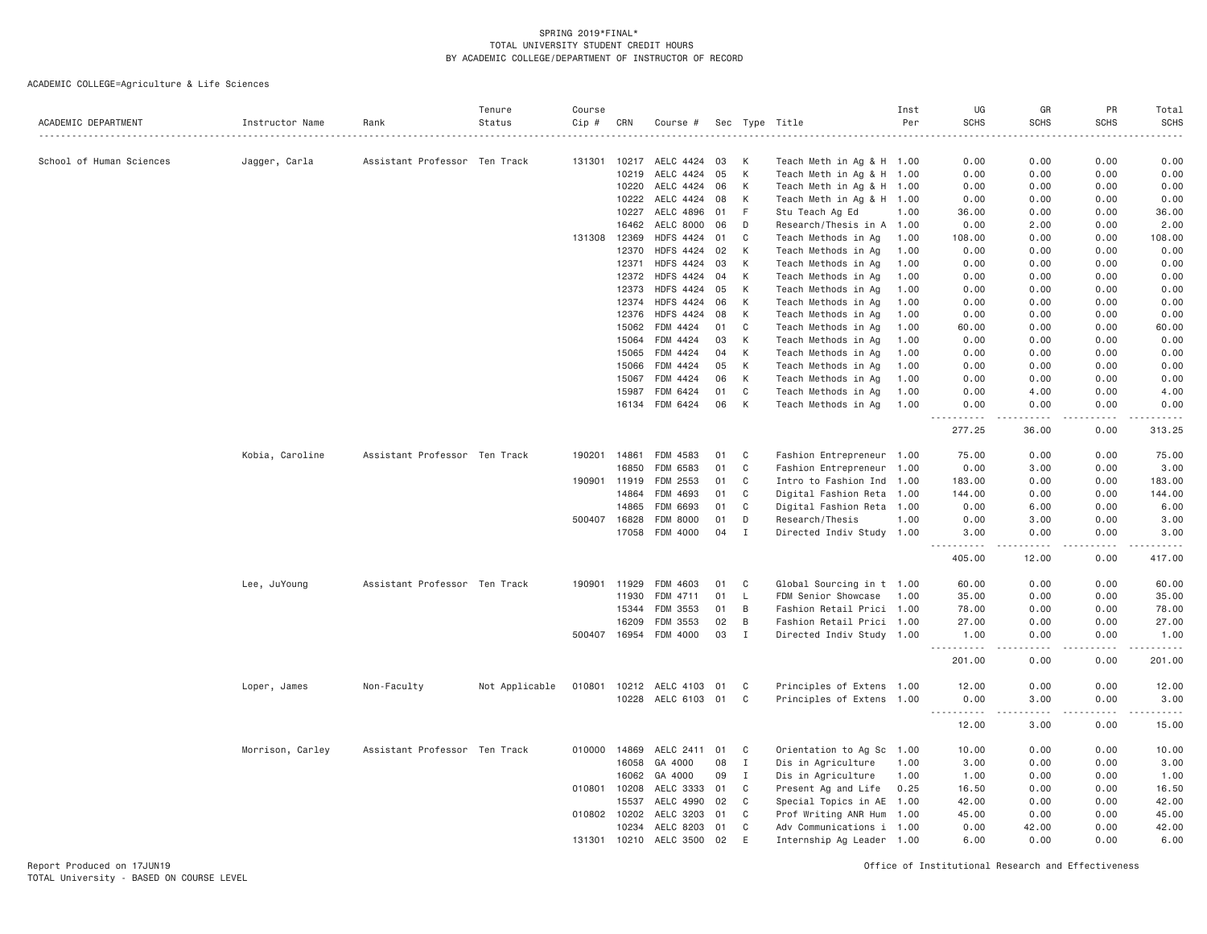ACADEMIC COLLEGE=Agriculture & Life Sciences

| ACADEMIC DEPARTMENT      | Instructor Name  | Rank                          | Tenure<br>Status | Course<br>Cip # | CRN          | Course #         |    |              | Sec Type Title            | Inst<br>Per | UG<br><b>SCHS</b> | GR<br><b>SCHS</b>                                                                                                                 | <b>PR</b><br><b>SCHS</b> | Total<br><b>SCHS</b><br>$\omega$ is $\omega$ in . |
|--------------------------|------------------|-------------------------------|------------------|-----------------|--------------|------------------|----|--------------|---------------------------|-------------|-------------------|-----------------------------------------------------------------------------------------------------------------------------------|--------------------------|---------------------------------------------------|
| School of Human Sciences | Jagger, Carla    | Assistant Professor Ten Track |                  | 131301          | 10217        | AELC 4424        | 03 | К            | Teach Meth in Ag & H 1.00 |             | 0.00              | 0.00                                                                                                                              | 0.00                     | 0.00                                              |
|                          |                  |                               |                  |                 | 10219        | AELC 4424        | 05 | К            | Teach Meth in Ag & H 1.00 |             | 0.00              | 0.00                                                                                                                              | 0.00                     | 0.00                                              |
|                          |                  |                               |                  |                 | 10220        | AELC 4424        | 06 | К            | Teach Meth in Ag & H      | 1.00        | 0.00              | 0.00                                                                                                                              | 0.00                     | 0.00                                              |
|                          |                  |                               |                  |                 | 10222        | AELC 4424        | 08 | К            | Teach Meth in Ag & H 1.00 |             | 0.00              | 0.00                                                                                                                              | 0.00                     | 0.00                                              |
|                          |                  |                               |                  |                 | 10227        | AELC 4896        | 01 | F            | Stu Teach Ag Ed           | 1.00        | 36.00             | 0.00                                                                                                                              | 0.00                     | 36.00                                             |
|                          |                  |                               |                  |                 | 16462        | AELC 8000        | 06 | D            | Research/Thesis in A 1.00 |             | 0.00              | 2.00                                                                                                                              | 0.00                     | 2.00                                              |
|                          |                  |                               |                  | 131308          | 12369        | <b>HDFS 4424</b> | 01 | C            | Teach Methods in Ag       | 1.00        | 108.00            | 0.00                                                                                                                              | 0.00                     | 108.00                                            |
|                          |                  |                               |                  |                 | 12370        | <b>HDFS 4424</b> | 02 | К            | Teach Methods in Ag       | 1.00        | 0.00              | 0.00                                                                                                                              | 0.00                     | 0.00                                              |
|                          |                  |                               |                  |                 | 12371        | <b>HDFS 4424</b> | 03 | К            | Teach Methods in Ag       | 1.00        | 0.00              | 0.00                                                                                                                              | 0.00                     | 0.00                                              |
|                          |                  |                               |                  |                 | 12372        | HDFS 4424        | 04 | К            | Teach Methods in Ag       | 1.00        | 0.00              | 0.00                                                                                                                              | 0.00                     | 0.00                                              |
|                          |                  |                               |                  |                 | 12373        | HDFS 4424        | 05 | К            | Teach Methods in Ag       | 1.00        | 0.00              | 0.00                                                                                                                              | 0.00                     | 0.00                                              |
|                          |                  |                               |                  |                 | 12374        | <b>HDFS 4424</b> | 06 | K            | Teach Methods in Ag       | 1.00        | 0.00              | 0.00                                                                                                                              | 0.00                     | 0.00                                              |
|                          |                  |                               |                  |                 | 12376        | <b>HDFS 4424</b> | 08 | К            | Teach Methods in Ag       | 1.00        | 0.00              | 0.00                                                                                                                              | 0.00                     | 0.00                                              |
|                          |                  |                               |                  |                 | 15062        | FDM 4424         | 01 | C            | Teach Methods in Ag       | 1,00        | 60.00             | 0.00                                                                                                                              | 0.00                     | 60.00                                             |
|                          |                  |                               |                  |                 | 15064        | FDM 4424         | 03 | К            | Teach Methods in Ag       | 1.00        | 0.00              | 0.00                                                                                                                              | 0.00                     | 0.00                                              |
|                          |                  |                               |                  |                 | 15065        | FDM 4424         | 04 | К            | Teach Methods in Ag       | 1.00        | 0.00              | 0.00                                                                                                                              | 0.00                     | 0.00                                              |
|                          |                  |                               |                  |                 | 15066        | FDM 4424         | 05 | К            | Teach Methods in Ag       | 1.00        | 0.00              | 0.00                                                                                                                              | 0.00                     | 0.00                                              |
|                          |                  |                               |                  |                 | 15067        | FDM 4424         | 06 | К            | Teach Methods in Ag       | 1.00        | 0.00              | 0.00                                                                                                                              | 0.00                     | 0.00                                              |
|                          |                  |                               |                  |                 | 15987        | FDM 6424         | 01 | $\mathbf C$  | Teach Methods in Ag       | 1.00        | 0.00              | 4.00                                                                                                                              | 0.00                     | 4.00                                              |
|                          |                  |                               |                  |                 | 16134        | FDM 6424         | 06 | K            | Teach Methods in Ag       | 1.00        | 0.00              | 0.00                                                                                                                              | 0.00                     | 0.00                                              |
|                          |                  |                               |                  |                 |              |                  |    |              |                           |             | 277.25            | 36.00                                                                                                                             | 0.00                     | 313.25                                            |
|                          | Kobia, Caroline  | Assistant Professor Ten Track |                  | 190201          | 14861        | FDM 4583         | 01 | C            | Fashion Entrepreneur 1.00 |             | 75.00             | 0.00                                                                                                                              | 0.00                     | 75.00                                             |
|                          |                  |                               |                  |                 | 16850        | FDM 6583         | 01 | $\mathtt{C}$ | Fashion Entrepreneur 1.00 |             | 0.00              | 3.00                                                                                                                              | 0.00                     | 3.00                                              |
|                          |                  |                               |                  | 190901          | 11919        | FDM 2553         | 01 | C            | Intro to Fashion Ind 1.00 |             | 183.00            | 0.00                                                                                                                              | 0.00                     | 183.00                                            |
|                          |                  |                               |                  |                 | 14864        | FDM 4693         | 01 | C            | Digital Fashion Reta 1.00 |             | 144.00            | 0.00                                                                                                                              | 0.00                     | 144.00                                            |
|                          |                  |                               |                  |                 | 14865        | FDM 6693         | 01 | C            | Digital Fashion Reta 1.00 |             | 0.00              | 6.00                                                                                                                              | 0.00                     | 6.00                                              |
|                          |                  |                               |                  | 500407          | 16828        | FDM 8000         | 01 | D            | Research/Thesis           | 1.00        | 0.00              | 3.00                                                                                                                              | 0.00                     | 3.00                                              |
|                          |                  |                               |                  |                 | 17058        | FDM 4000         | 04 | $\mathbf I$  | Directed Indiv Study 1.00 |             | 3.00<br>.         | 0.00<br>-----                                                                                                                     | 0.00<br>.                | 3.00<br>------                                    |
|                          |                  |                               |                  |                 |              |                  |    |              |                           |             | 405.00            | 12.00                                                                                                                             | 0.00                     | 417.00                                            |
|                          | Lee, JuYoung     | Assistant Professor Ten Track |                  | 190901          | 11929        | FDM 4603         | 01 | C            | Global Sourcing in t 1.00 |             | 60.00             | 0.00                                                                                                                              | 0.00                     | 60.00                                             |
|                          |                  |                               |                  |                 | 11930        | FDM 4711         | 01 | L            | FDM Senior Showcase       | 1.00        | 35.00             | 0.00                                                                                                                              | 0.00                     | 35.00                                             |
|                          |                  |                               |                  |                 | 15344        | FDM 3553         | 01 | B            | Fashion Retail Prici 1.00 |             | 78.00             | 0.00                                                                                                                              | 0.00                     | 78.00                                             |
|                          |                  |                               |                  |                 | 16209        | FDM 3553         | 02 | B            | Fashion Retail Prici 1.00 |             | 27.00             | 0.00                                                                                                                              | 0.00                     | 27.00                                             |
|                          |                  |                               |                  | 500407          | 16954        | FDM 4000         | 03 | $\mathbf I$  | Directed Indiv Study 1.00 |             | 1.00              | 0.00                                                                                                                              | 0.00                     | 1.00                                              |
|                          |                  |                               |                  |                 |              |                  |    |              |                           |             | ------<br>201.00  | .<br>0.00                                                                                                                         | .<br>0.00                | .<br>201.00                                       |
|                          | Loper, James     | Non-Faculty                   | Not Applicable   | 010801          | 10212        | AELC 4103        | 01 | C            | Principles of Extens 1.00 |             | 12.00             | 0.00                                                                                                                              | 0.00                     | 12.00                                             |
|                          |                  |                               |                  |                 | 10228        | AELC 6103 01     |    | C            | Principles of Extens 1.00 |             | 0.00<br>.         | 3.00<br>$\frac{1}{2} \left( \frac{1}{2} \right) \left( \frac{1}{2} \right) \left( \frac{1}{2} \right) \left( \frac{1}{2} \right)$ | 0.00                     | 3.00<br>$\sim$ $\sim$ $\sim$ $\sim$               |
|                          |                  |                               |                  |                 |              |                  |    |              |                           |             | 12.00             | 3.00                                                                                                                              | 0.00                     | 15.00                                             |
|                          | Morrison, Carley | Assistant Professor Ten Track |                  | 010000          | 14869        | AELC 2411        | 01 | C            | Orientation to Ag Sc 1.00 |             | 10.00             | 0.00                                                                                                                              | 0.00                     | 10.00                                             |
|                          |                  |                               |                  |                 | 16058        | GA 4000          | 08 | I            | Dis in Agriculture        | 1.00        | 3.00              | 0.00                                                                                                                              | 0.00                     | 3.00                                              |
|                          |                  |                               |                  |                 | 16062        | GA 4000          | 09 | $\mathbf I$  | Dis in Agriculture        | 1.00        | 1.00              | 0.00                                                                                                                              | 0.00                     | 1.00                                              |
|                          |                  |                               |                  | 010801          | 10208        | AELC 3333        | 01 | C            | Present Ag and Life       | 0.25        | 16.50             | 0.00                                                                                                                              | 0.00                     | 16.50                                             |
|                          |                  |                               |                  |                 | 15537        | AELC 4990        | 02 | C            | Special Topics in AE 1.00 |             | 42.00             | 0.00                                                                                                                              | 0.00                     | 42.00                                             |
|                          |                  |                               |                  | 010802 10202    |              | AELC 3203        | 01 | C            | Prof Writing ANR Hum 1.00 |             | 45.00             | 0.00                                                                                                                              | 0.00                     | 45.00                                             |
|                          |                  |                               |                  |                 | 10234        | AELC 8203        | 01 | C            | Adv Communications i 1.00 |             | 0.00              | 42.00                                                                                                                             | 0.00                     | 42.00                                             |
|                          |                  |                               |                  |                 | 131301 10210 | AELC 3500        | 02 | E            | Internship Ag Leader 1.00 |             | 6.00              | 0.00                                                                                                                              | 0.00                     | 6.00                                              |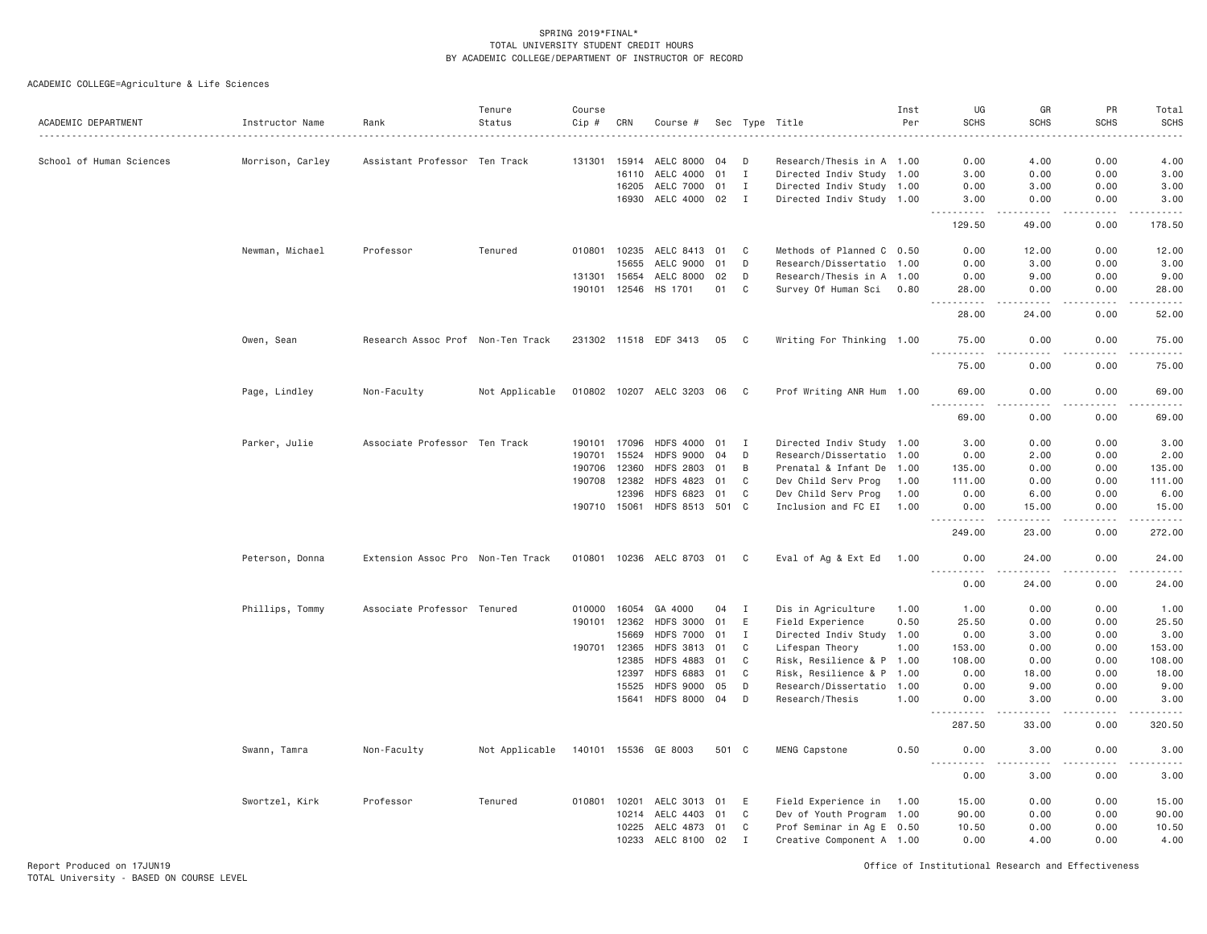ACADEMIC COLLEGE=Agriculture & Life Sciences

| ACADEMIC DEPARTMENT      | Instructor Name  | Rank                              | Tenure<br>Status | Course<br>Cip # | CRN          | Course #                  |       |                | Sec Type Title            | Inst<br>Per | UG<br><b>SCHS</b>                    | GR<br><b>SCHS</b> | PR<br><b>SCHS</b> | Total<br><b>SCHS</b>                                                                                                                                                                     |
|--------------------------|------------------|-----------------------------------|------------------|-----------------|--------------|---------------------------|-------|----------------|---------------------------|-------------|--------------------------------------|-------------------|-------------------|------------------------------------------------------------------------------------------------------------------------------------------------------------------------------------------|
| School of Human Sciences | Morrison, Carley | Assistant Professor Ten Track     |                  | 131301          | 15914        | AELC 8000                 | 04    | D              | Research/Thesis in A 1.00 |             | 0.00                                 | 4.00              | 0.00              | 4.00                                                                                                                                                                                     |
|                          |                  |                                   |                  |                 | 16110        | AELC 4000                 | 01    | $\mathbf I$    | Directed Indiv Study 1.00 |             | 3,00                                 | 0.00              | 0.00              | 3.00                                                                                                                                                                                     |
|                          |                  |                                   |                  |                 | 16205        | AELC 7000                 | 01    | $\mathbf{I}$   | Directed Indiv Study 1.00 |             | 0.00                                 | 3.00              | 0.00              | 3.00                                                                                                                                                                                     |
|                          |                  |                                   |                  |                 | 16930        | AELC 4000                 | 02    | I              | Directed Indiv Study 1.00 |             | 3.00                                 | 0.00              | 0.00              | 3.00                                                                                                                                                                                     |
|                          |                  |                                   |                  |                 |              |                           |       |                |                           |             | .<br>129.50                          | .<br>49.00        | .<br>0.00         | .<br>178.50                                                                                                                                                                              |
|                          | Newman, Michael  | Professor                         | Tenured          | 010801          | 10235        | AELC 8413                 | 01    | C              | Methods of Planned C 0.50 |             | 0.00                                 | 12.00             | 0.00              | 12.00                                                                                                                                                                                    |
|                          |                  |                                   |                  |                 | 15655        | AELC 9000                 | 01    | D              | Research/Dissertatio 1.00 |             | 0.00                                 | 3.00              | 0.00              | 3.00                                                                                                                                                                                     |
|                          |                  |                                   |                  |                 | 131301 15654 | AELC 8000                 | 02    | D              | Research/Thesis in A 1.00 |             | 0.00                                 | 9.00              | 0.00              | 9.00                                                                                                                                                                                     |
|                          |                  |                                   |                  |                 | 190101 12546 | HS 1701                   | 01    | C              | Survey Of Human Sci       | 0.80        | 28.00<br>. <b>.</b><br>$\frac{1}{2}$ | 0.00<br>.         | 0.00<br>.         | 28.00<br>.                                                                                                                                                                               |
|                          |                  |                                   |                  |                 |              |                           |       |                |                           |             | 28.00                                | 24.00             | 0.00              | 52.00                                                                                                                                                                                    |
|                          | Owen, Sean       | Research Assoc Prof Non-Ten Track |                  |                 |              | 231302 11518 EDF 3413     | 05    | C <sub>1</sub> | Writing For Thinking 1.00 |             | 75.00                                | 0.00              | 0.00              | 75.00                                                                                                                                                                                    |
|                          |                  |                                   |                  |                 |              |                           |       |                |                           |             | 75.00                                | 0.00              | 0.00              | 75.00                                                                                                                                                                                    |
|                          | Page, Lindley    | Non-Faculty                       | Not Applicable   |                 |              | 010802 10207 AELC 3203 06 |       | C <sub>1</sub> | Prof Writing ANR Hum 1.00 |             | 69.00<br>.                           | 0.00              | 0.00              | 69.00                                                                                                                                                                                    |
|                          |                  |                                   |                  |                 |              |                           |       |                |                           |             | 69.00                                | 0.00              | 0.00              | 69.00                                                                                                                                                                                    |
|                          | Parker, Julie    | Associate Professor Ten Track     |                  | 190101          | 17096        | <b>HDFS 4000</b>          | 01    | Ι.             | Directed Indiv Study 1.00 |             | 3.00                                 | 0.00              | 0.00              | 3.00                                                                                                                                                                                     |
|                          |                  |                                   |                  | 190701          | 15524        | <b>HDFS 9000</b>          | 04    | D              | Research/Dissertatio 1.00 |             | 0.00                                 | 2.00              | 0.00              | 2.00                                                                                                                                                                                     |
|                          |                  |                                   |                  | 190706          | 12360        | <b>HDFS 2803</b>          | 01    | B              | Prenatal & Infant De 1.00 |             | 135.00                               | 0.00              | 0.00              | 135.00                                                                                                                                                                                   |
|                          |                  |                                   |                  | 190708          | 12382        | <b>HDFS 4823</b>          | 01    | C              | Dev Child Serv Prog       | 1.00        | 111.00                               | 0.00              | 0.00              | 111.00                                                                                                                                                                                   |
|                          |                  |                                   |                  |                 | 12396        | <b>HDFS 6823</b>          | 01    | C              | Dev Child Serv Prog       | 1.00        | 0.00                                 | 6.00              | 0.00              | 6.00                                                                                                                                                                                     |
|                          |                  |                                   |                  |                 | 190710 15061 | HDFS 8513 501 C           |       |                | Inclusion and FC EI       | 1.00        | 0.00<br>.                            | 15.00<br>-----    | 0.00<br>.         | 15.00<br>$\frac{1}{2} \left( \frac{1}{2} \right) \left( \frac{1}{2} \right) \left( \frac{1}{2} \right) \left( \frac{1}{2} \right) \left( \frac{1}{2} \right) \left( \frac{1}{2} \right)$ |
|                          |                  |                                   |                  |                 |              |                           |       |                |                           |             | 249.00                               | 23.00             | 0.00              | 272.00                                                                                                                                                                                   |
|                          | Peterson, Donna  | Extension Assoc Pro Non-Ten Track |                  |                 |              | 010801 10236 AELC 8703 01 |       | C              | Eval of Ag & Ext Ed       | 1.00        | 0.00<br>.                            | 24.00<br>-----    | 0.00<br>.         | 24.00<br>.                                                                                                                                                                               |
|                          |                  |                                   |                  |                 |              |                           |       |                |                           |             | 0.00                                 | 24.00             | 0.00              | 24.00                                                                                                                                                                                    |
|                          | Phillips, Tommy  | Associate Professor Tenured       |                  | 010000          | 16054        | GA 4000                   | 04    | I              | Dis in Agriculture        | 1.00        | 1.00                                 | 0.00              | 0.00              | 1.00                                                                                                                                                                                     |
|                          |                  |                                   |                  | 190101          | 12362        | <b>HDFS 3000</b>          | 01    | E              | Field Experience          | 0.50        | 25.50                                | 0.00              | 0.00              | 25.50                                                                                                                                                                                    |
|                          |                  |                                   |                  |                 | 15669        | <b>HDFS 7000</b>          | 01    | I              | Directed Indiv Study 1.00 |             | 0.00                                 | 3.00              | 0.00              | 3.00                                                                                                                                                                                     |
|                          |                  |                                   |                  | 190701          | 12365        | <b>HDFS 3813</b>          | 01    | C              | Lifespan Theory           | 1.00        | 153.00                               | 0.00              | 0.00              | 153.00                                                                                                                                                                                   |
|                          |                  |                                   |                  |                 | 12385        | <b>HDFS 4883</b>          | 01    | C              | Risk, Resilience & P 1.00 |             | 108.00                               | 0.00              | 0.00              | 108.00                                                                                                                                                                                   |
|                          |                  |                                   |                  |                 | 12397        | <b>HDFS 6883</b>          | 01    | $\mathbf C$    | Risk, Resilience & P 1.00 |             | 0.00                                 | 18.00             | 0.00              | 18.00                                                                                                                                                                                    |
|                          |                  |                                   |                  |                 | 15525        | <b>HDFS 9000</b>          | 05    | D              | Research/Dissertatio      | 1.00        | 0.00                                 | 9.00              | 0.00              | 9.00                                                                                                                                                                                     |
|                          |                  |                                   |                  |                 | 15641        | <b>HDFS 8000</b>          | 04    | D              | Research/Thesis           | 1.00        | 0.00<br>$- - - - -$                  | 3.00              | 0.00              | 3.00                                                                                                                                                                                     |
|                          |                  |                                   |                  |                 |              |                           |       |                |                           |             | 287.50                               | 33,00             | 0.00              | 320.50                                                                                                                                                                                   |
|                          | Swann, Tamra     | Non-Faculty                       | Not Applicable   |                 |              | 140101 15536 GE 8003      | 501 C |                | MENG Capstone             | 0.50        | 0.00<br>----                         | 3.00              | 0.00              | 3.00                                                                                                                                                                                     |
|                          |                  |                                   |                  |                 |              |                           |       |                |                           |             | 0.00                                 | 3.00              | 0.00              | 3.00                                                                                                                                                                                     |
|                          | Swortzel, Kirk   | Professor                         | Tenured          | 010801          | 10201        | AELC 3013                 | 01    | E              | Field Experience in       | 1.00        | 15.00                                | 0.00              | 0.00              | 15.00                                                                                                                                                                                    |
|                          |                  |                                   |                  |                 | 10214        | AELC 4403                 | 01    | $\mathbf C$    | Dev of Youth Program 1.00 |             | 90.00                                | 0.00              | 0.00              | 90.00                                                                                                                                                                                    |
|                          |                  |                                   |                  |                 | 10225        | AELC 4873                 | 01    | C              | Prof Seminar in Ag E 0.50 |             | 10.50                                | 0.00              | 0.00              | 10.50                                                                                                                                                                                    |
|                          |                  |                                   |                  |                 | 10233        | AELC 8100                 | 02    | I              | Creative Component A 1.00 |             | 0.00                                 | 4.00              | 0.00              | 4.00                                                                                                                                                                                     |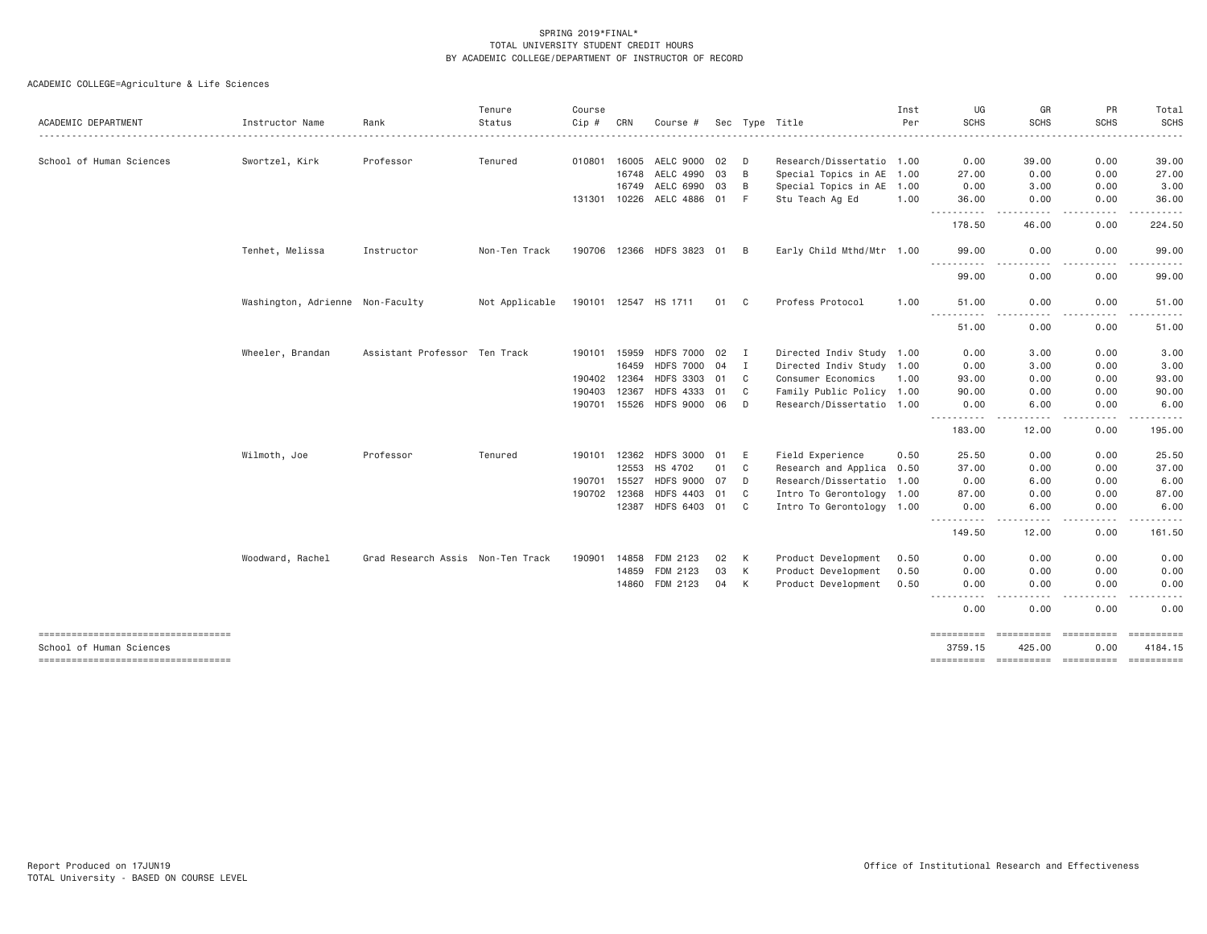| ACADEMIC DEPARTMENT                                            | Instructor Name                  | Rank                              | Tenure<br>Status | Course<br>Cip # | CRN   | Course #                  |      |              | Sec Type Title            | Inst<br>Per | UG<br><b>SCHS</b>                                                                                                                                                                         | GR<br><b>SCHS</b>     | PR<br><b>SCHS</b>  | Total<br><b>SCHS</b> |
|----------------------------------------------------------------|----------------------------------|-----------------------------------|------------------|-----------------|-------|---------------------------|------|--------------|---------------------------|-------------|-------------------------------------------------------------------------------------------------------------------------------------------------------------------------------------------|-----------------------|--------------------|----------------------|
|                                                                |                                  |                                   |                  |                 |       |                           |      |              |                           |             |                                                                                                                                                                                           |                       |                    |                      |
| School of Human Sciences                                       | Swortzel, Kirk                   | Professor                         | Tenured          | 010801 16005    |       | AELC 9000                 | - 02 | D            | Research/Dissertatio 1.00 |             | 0.00                                                                                                                                                                                      | 39.00                 | 0.00               | 39.00                |
|                                                                |                                  |                                   |                  |                 | 16748 | AELC 4990                 | 03   | B            | Special Topics in AE 1.00 |             | 27.00                                                                                                                                                                                     | 0.00                  | 0.00               | 27.00                |
|                                                                |                                  |                                   |                  |                 | 16749 | AELC 6990                 | 03   | B            | Special Topics in AE 1.00 |             | 0.00                                                                                                                                                                                      | 3.00                  | 0.00               | 3.00                 |
|                                                                |                                  |                                   |                  | 131301 10226    |       | AELC 4886 01              |      | F            | Stu Teach Ag Ed           | 1.00        | 36.00                                                                                                                                                                                     | 0.00                  | 0.00               | 36.00                |
|                                                                |                                  |                                   |                  |                 |       |                           |      |              |                           |             | -----------<br>178.50                                                                                                                                                                     | .<br>46.00            | .<br>0.00          | .<br>224.50          |
|                                                                | Tenhet, Melissa                  | Instructor                        | Non-Ten Track    |                 |       | 190706 12366 HDFS 3823 01 |      | B            | Early Child Mthd/Mtr 1.00 |             | 99,00                                                                                                                                                                                     | 0.00                  | 0.00               | 99.00                |
|                                                                |                                  |                                   |                  |                 |       |                           |      |              |                           |             | $\sim$ $\sim$ $\sim$ $\sim$<br>99.00                                                                                                                                                      | 0.00                  | 0.00               | 99.00                |
|                                                                | Washington, Adrienne Non-Faculty |                                   | Not Applicable   |                 |       | 190101 12547 HS 1711      | 01   | C.           | Profess Protocol          | 1.00        | 51.00<br>.                                                                                                                                                                                | 0.00<br>. <u>. .</u>  | 0.00<br>.          | 51.00<br>.           |
|                                                                |                                  |                                   |                  |                 |       |                           |      |              |                           |             | 51.00                                                                                                                                                                                     | 0.00                  | 0.00               | 51.00                |
|                                                                | Wheeler, Brandan                 | Assistant Professor Ten Track     |                  | 190101          | 15959 | HDFS 7000 02              |      | $\mathbf{I}$ | Directed Indiv Study 1.00 |             | 0.00                                                                                                                                                                                      | 3.00                  | 0.00               | 3.00                 |
|                                                                |                                  |                                   |                  |                 | 16459 | HDFS 7000 04              |      | I            | Directed Indiv Study 1.00 |             | 0.00                                                                                                                                                                                      | 3.00                  | 0.00               | 3.00                 |
|                                                                |                                  |                                   |                  | 190402 12364    |       | HDFS 3303 01              |      | C            | Consumer Economics        | 1.00        | 93.00                                                                                                                                                                                     | 0.00                  | 0.00               | 93.00                |
|                                                                |                                  |                                   |                  | 190403          | 12367 | <b>HDFS 4333</b>          | 01   | C            | Family Public Policy 1.00 |             | 90.00                                                                                                                                                                                     | 0.00                  | 0.00               | 90.00                |
|                                                                |                                  |                                   |                  | 190701 15526    |       | HDFS 9000 06              |      | D            | Research/Dissertatio 1.00 |             | 0.00                                                                                                                                                                                      | 6.00                  | 0.00               | 6.00                 |
|                                                                |                                  |                                   |                  |                 |       |                           |      |              |                           |             | ----------<br>183.00                                                                                                                                                                      | . <u>. .</u><br>12.00 | .<br>0.00          | .<br>195.00          |
|                                                                | Wilmoth, Joe                     | Professor                         | Tenured          | 190101 12362    |       | HDFS 3000 01              |      | E            | Field Experience          | 0.50        | 25.50                                                                                                                                                                                     | 0.00                  | 0.00               | 25.50                |
|                                                                |                                  |                                   |                  |                 | 12553 | HS 4702                   | 01   | C            | Research and Applica 0.50 |             | 37.00                                                                                                                                                                                     | 0.00                  | 0.00               | 37.00                |
|                                                                |                                  |                                   |                  | 190701          | 15527 | HDFS 9000 07              |      | D            | Research/Dissertatio 1.00 |             | 0.00                                                                                                                                                                                      | 6.00                  | 0.00               | 6.00                 |
|                                                                |                                  |                                   |                  | 190702 12368    |       | <b>HDFS 4403</b>          | 01   | C            | Intro To Gerontology 1.00 |             | 87.00                                                                                                                                                                                     | 0.00                  | 0.00               | 87.00                |
|                                                                |                                  |                                   |                  |                 | 12387 | HDFS 6403 01              |      | C            | Intro To Gerontology 1.00 |             | 0.00                                                                                                                                                                                      | 6.00                  | 0.00               | 6.00                 |
|                                                                |                                  |                                   |                  |                 |       |                           |      |              |                           |             | $\frac{1}{2} \left( \frac{1}{2} \right) \left( \frac{1}{2} \right) \left( \frac{1}{2} \right) \left( \frac{1}{2} \right) \left( \frac{1}{2} \right) \left( \frac{1}{2} \right)$<br>149.50 | 12.00                 | 0.00               | 161.50               |
|                                                                | Woodward, Rachel                 | Grad Research Assis Non-Ten Track |                  | 190901          | 14858 | FDM 2123                  | 02   | K            | Product Development       | 0.50        | 0.00                                                                                                                                                                                      | 0.00                  | 0.00               | 0.00                 |
|                                                                |                                  |                                   |                  |                 | 14859 | FDM 2123                  | 03   | K            | Product Development       | 0.50        | 0.00                                                                                                                                                                                      | 0.00                  | 0.00               | 0.00                 |
|                                                                |                                  |                                   |                  |                 | 14860 | FDM 2123                  | 04   | $\mathsf{K}$ | Product Development       | 0.50        | 0.00                                                                                                                                                                                      | 0.00                  | 0.00               | 0.00                 |
|                                                                |                                  |                                   |                  |                 |       |                           |      |              |                           |             | .<br>0.00                                                                                                                                                                                 | $\cdots$<br>0.00      | 0.00               | 0.00                 |
| ----------------------------------<br>School of Human Sciences |                                  |                                   |                  |                 |       |                           |      |              |                           |             | ==========<br>3759.15                                                                                                                                                                     | ==========<br>425.00  | ==========<br>0.00 | 4184.15              |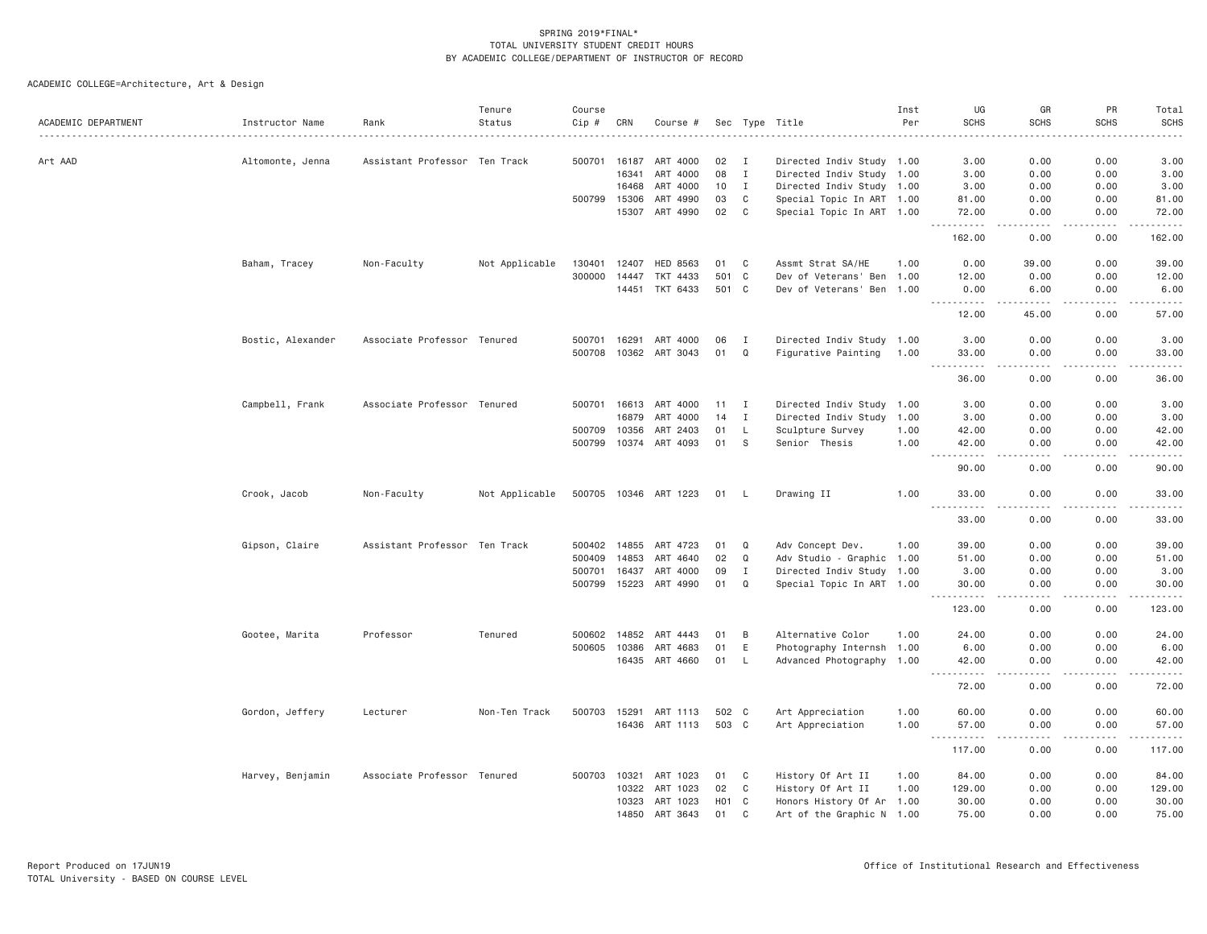| ACADEMIC DEPARTMENT | Instructor Name<br>. | Rank                          | Tenure<br>Status | Course<br>Cip # | CRN          | Course #              |                  |              | Sec Type Title            | Inst<br>Per | UG<br><b>SCHS</b>                                                                                             | GR<br><b>SCHS</b>                                                                                                                                             | PR<br><b>SCHS</b> | Total<br><b>SCHS</b><br>----- |
|---------------------|----------------------|-------------------------------|------------------|-----------------|--------------|-----------------------|------------------|--------------|---------------------------|-------------|---------------------------------------------------------------------------------------------------------------|---------------------------------------------------------------------------------------------------------------------------------------------------------------|-------------------|-------------------------------|
| Art AAD             | Altomonte, Jenna     | Assistant Professor Ten Track |                  | 500701          | 16187        | ART 4000              | 02               | I            | Directed Indiv Study 1.00 |             | 3.00                                                                                                          | 0.00                                                                                                                                                          | 0.00              | 3.00                          |
|                     |                      |                               |                  |                 | 16341        | ART 4000              | 08               | $\mathbf{I}$ | Directed Indiv Study 1.00 |             | 3.00                                                                                                          | 0.00                                                                                                                                                          | 0.00              | 3.00                          |
|                     |                      |                               |                  |                 | 16468        | ART 4000              | 10               | $\mathbf{I}$ | Directed Indiv Study 1.00 |             | 3.00                                                                                                          | 0.00                                                                                                                                                          | 0.00              | 3.00                          |
|                     |                      |                               |                  | 500799          | 15306        | ART 4990              | 03               | C            | Special Topic In ART 1.00 |             | 81.00                                                                                                         | 0.00                                                                                                                                                          | 0.00              | 81.00                         |
|                     |                      |                               |                  |                 | 15307        | ART 4990              | 02               | C            | Special Topic In ART 1.00 |             | 72.00<br>.                                                                                                    | 0.00<br>$\frac{1}{2}$                                                                                                                                         | 0.00<br>.         | 72.00<br>.                    |
|                     |                      |                               |                  |                 |              |                       |                  |              |                           |             | 162.00                                                                                                        | 0.00                                                                                                                                                          | 0.00              | 162.00                        |
|                     | Baham, Tracey        | Non-Faculty                   | Not Applicable   | 130401          | 12407        | <b>HED 8563</b>       | 01               | C            | Assmt Strat SA/HE         | 1.00        | 0.00                                                                                                          | 39.00                                                                                                                                                         | 0.00              | 39.00                         |
|                     |                      |                               |                  | 300000          | 14447        | TKT 4433              | 501 C            |              | Dev of Veterans' Ben 1.00 |             | 12.00                                                                                                         | 0.00                                                                                                                                                          | 0.00              | 12.00                         |
|                     |                      |                               |                  |                 | 14451        | TKT 6433              | 501 C            |              | Dev of Veterans' Ben 1.00 |             | 0.00                                                                                                          | 6.00                                                                                                                                                          | 0.00              | 6.00                          |
|                     |                      |                               |                  |                 |              |                       |                  |              |                           |             | .<br>12.00                                                                                                    | $\frac{1}{2} \left( \frac{1}{2} \right) \left( \frac{1}{2} \right) \left( \frac{1}{2} \right) \left( \frac{1}{2} \right) \left( \frac{1}{2} \right)$<br>45.00 | -----<br>0.00     | .<br>57.00                    |
|                     | Bostic, Alexander    | Associate Professor Tenured   |                  | 500701          | 16291        | ART 4000              | 06               | I            | Directed Indiv Study 1.00 |             | 3.00                                                                                                          | 0.00                                                                                                                                                          | 0.00              | 3.00                          |
|                     |                      |                               |                  | 500708          | 10362        | ART 3043              | 01               | $\Omega$     | Figurative Painting       | 1.00        | 33.00<br>$\sim$ $\sim$ $\sim$ $\sim$                                                                          | 0.00<br>.                                                                                                                                                     | 0.00<br>.         | 33.00<br>.                    |
|                     |                      |                               |                  |                 |              |                       |                  |              |                           |             | 36.00                                                                                                         | 0.00                                                                                                                                                          | 0.00              | 36.00                         |
|                     | Campbell, Frank      | Associate Professor Tenured   |                  |                 | 500701 16613 | ART 4000              | 11               | $\mathbf{I}$ | Directed Indiv Study 1.00 |             | 3,00                                                                                                          | 0.00                                                                                                                                                          | 0.00              | 3.00                          |
|                     |                      |                               |                  |                 | 16879        | ART 4000              | 14               | $\mathbf{I}$ | Directed Indiv Study 1.00 |             | 3.00                                                                                                          | 0.00                                                                                                                                                          | 0.00              | 3.00                          |
|                     |                      |                               |                  | 500709          | 10356        | ART 2403              | 01               | L            | Sculpture Survey          | 1.00        | 42.00                                                                                                         | 0.00                                                                                                                                                          | 0.00              | 42.00                         |
|                     |                      |                               |                  |                 |              | 500799 10374 ART 4093 | 01               | S            | Senior Thesis             | 1.00        | 42.00                                                                                                         | 0.00                                                                                                                                                          | 0.00              | 42.00                         |
|                     |                      |                               |                  |                 |              |                       |                  |              |                           |             | .<br>90.00                                                                                                    | $- - -$<br>0.00                                                                                                                                               | .<br>0.00         | .<br>90.00                    |
|                     | Crook, Jacob         | Non-Faculty                   | Not Applicable   | 500705 10346    |              | ART 1223              | 01               | — ∟          | Drawing II                | 1.00        | 33.00                                                                                                         | 0.00                                                                                                                                                          | 0.00              | 33.00                         |
|                     |                      |                               |                  |                 |              |                       |                  |              |                           |             | 33.00                                                                                                         | 0.00                                                                                                                                                          | $  -$<br>0.00     | $- - - - -$<br>33.00          |
|                     | Gipson, Claire       | Assistant Professor Ten Track |                  | 500402          | 14855        | ART 4723              | 01               | Q            | Adv Concept Dev.          | 1.00        | 39.00                                                                                                         | 0.00                                                                                                                                                          | 0.00              | 39.00                         |
|                     |                      |                               |                  | 500409          | 14853        | ART 4640              | 02               | Q            | Adv Studio - Graphic 1.00 |             | 51.00                                                                                                         | 0.00                                                                                                                                                          | 0.00              | 51.00                         |
|                     |                      |                               |                  | 500701          | 16437        | ART 4000              | 09               | $\mathbf{I}$ | Directed Indiv Study 1.00 |             | 3.00                                                                                                          | 0.00                                                                                                                                                          | 0.00              | 3.00                          |
|                     |                      |                               |                  | 500799 15223    |              | ART 4990              | 01               | Q            | Special Topic In ART 1.00 |             | 30.00                                                                                                         | 0.00                                                                                                                                                          | 0.00              | 30.00                         |
|                     |                      |                               |                  |                 |              |                       |                  |              |                           |             | .<br>123.00                                                                                                   | .<br>0.00                                                                                                                                                     | .<br>0.00         | .<br>123.00                   |
|                     | Gootee, Marita       | Professor                     | Tenured          |                 | 500602 14852 | ART 4443              | 01               | B            | Alternative Color         | 1.00        | 24.00                                                                                                         | 0.00                                                                                                                                                          | 0.00              | 24.00                         |
|                     |                      |                               |                  | 500605          | 10386        | ART 4683              | 01               | $\mathsf E$  | Photography Internsh 1.00 |             | 6.00                                                                                                          | 0.00                                                                                                                                                          | 0.00              | 6.00                          |
|                     |                      |                               |                  |                 |              | 16435 ART 4660        | 01               | -L           | Advanced Photography 1.00 |             | 42.00                                                                                                         | 0.00                                                                                                                                                          | 0.00              | 42.00                         |
|                     |                      |                               |                  |                 |              |                       |                  |              |                           |             | $\sim$ $\sim$ $\sim$<br>.<br>72.00                                                                            | $\sim$ $\sim$ $\sim$<br>0.00                                                                                                                                  | .<br>0.00         | .<br>72.00                    |
|                     | Gordon, Jeffery      | Lecturer                      | Non-Ten Track    | 500703 15291    |              | ART 1113              | 502 C            |              | Art Appreciation          | 1.00        | 60.00                                                                                                         | 0.00                                                                                                                                                          | 0.00              | 60.00                         |
|                     |                      |                               |                  |                 | 16436        | ART 1113              | 503 C            |              | Art Appreciation          | 1.00        | 57.00                                                                                                         | 0.00                                                                                                                                                          | 0.00              | 57.00                         |
|                     |                      |                               |                  |                 |              |                       |                  |              |                           |             | .<br>$\frac{1}{2} \left( \frac{1}{2} \right) \left( \frac{1}{2} \right) \left( \frac{1}{2} \right)$<br>117.00 | $\frac{1}{2}$<br>0.00                                                                                                                                         | .<br>0.00         | ------<br>117.00              |
|                     | Harvey, Benjamin     | Associate Professor Tenured   |                  | 500703          | 10321        | ART 1023              | 01               | C            | History Of Art II         | 1.00        | 84.00                                                                                                         | 0.00                                                                                                                                                          | 0.00              | 84.00                         |
|                     |                      |                               |                  |                 | 10322        | ART 1023              | 02               | C            | History Of Art II         | 1.00        | 129.00                                                                                                        | 0.00                                                                                                                                                          | 0.00              | 129.00                        |
|                     |                      |                               |                  |                 | 10323        | ART 1023              | H <sub>0</sub> 1 | C            | Honors History Of Ar 1.00 |             | 30.00                                                                                                         | 0.00                                                                                                                                                          | 0.00              | 30.00                         |
|                     |                      |                               |                  |                 | 14850        | ART 3643              | 01               | $\mathbf{C}$ | Art of the Graphic N 1.00 |             | 75.00                                                                                                         | 0.00                                                                                                                                                          | 0.00              | 75.00                         |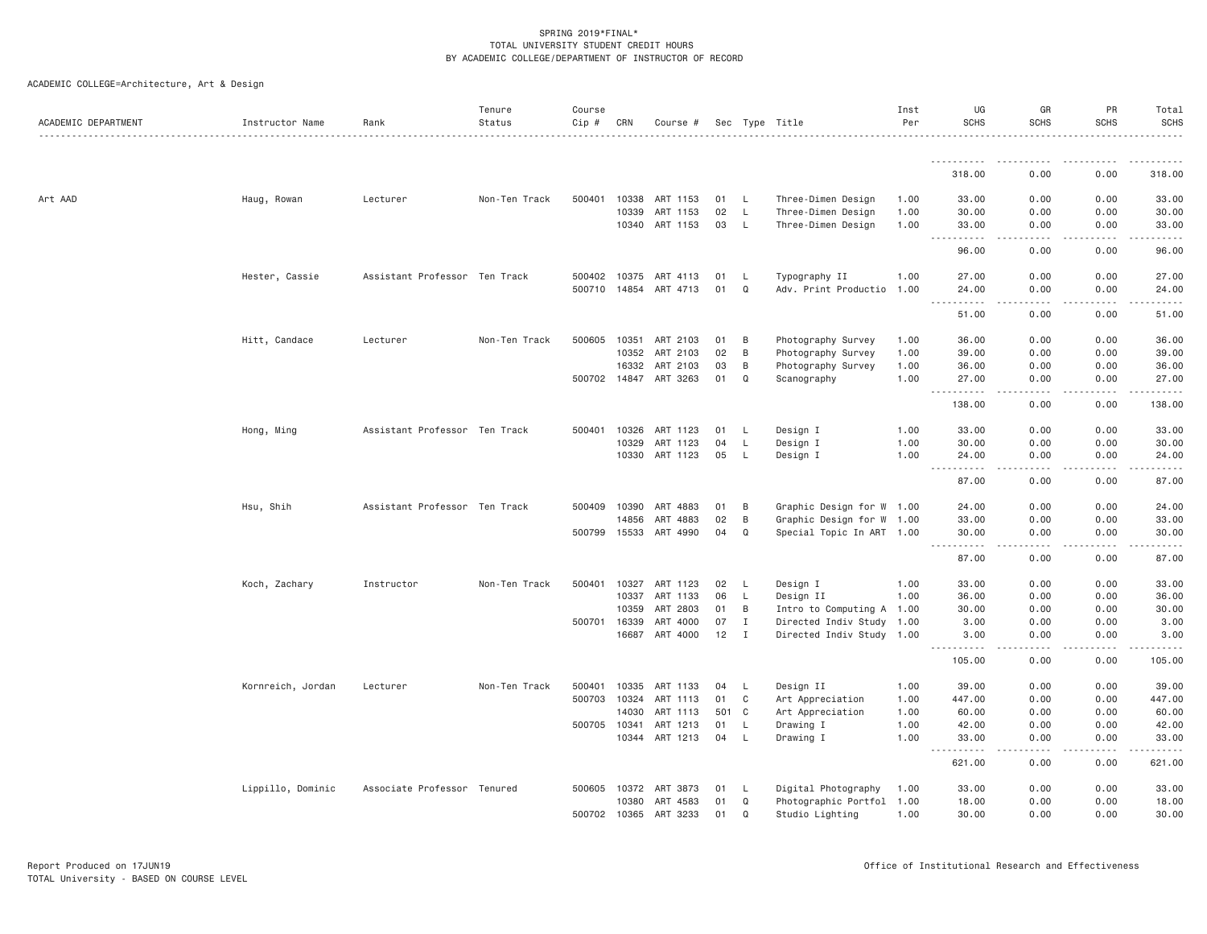| ACADEMIC DEPARTMENT | Instructor Name   | Rank                          | Tenure<br>Status | Course<br>Cip # | CRN          | Course # |       |              | Sec Type Title            | Inst<br>Per | UG<br><b>SCHS</b>                                     | GR<br><b>SCHS</b>     | PR<br><b>SCHS</b> | Total<br><b>SCHS</b> |
|---------------------|-------------------|-------------------------------|------------------|-----------------|--------------|----------|-------|--------------|---------------------------|-------------|-------------------------------------------------------|-----------------------|-------------------|----------------------|
|                     |                   |                               |                  |                 |              |          |       |              |                           |             |                                                       |                       |                   |                      |
|                     |                   |                               |                  |                 |              |          |       |              |                           |             | 318.00                                                | 0.00                  | 0.00              | 318.00               |
| Art AAD             | Haug, Rowan       | Lecturer                      | Non-Ten Track    | 500401          | 10338        | ART 1153 | 01    | L.           | Three-Dimen Design        | 1.00        | 33.00                                                 | 0.00                  | 0.00              | 33.00                |
|                     |                   |                               |                  |                 | 10339        | ART 1153 | 02    | L            | Three-Dimen Design        | 1.00        | 30.00                                                 | 0.00                  | 0.00              | 30.00                |
|                     |                   |                               |                  |                 | 10340        | ART 1153 | 03    | L.           | Three-Dimen Design        | 1.00        | 33.00<br>$\omega$ is a set of<br>----                 | 0.00                  | 0.00              | 33.00                |
|                     |                   |                               |                  |                 |              |          |       |              |                           |             | 96.00                                                 | 0.00                  | 0.00              | 96.00                |
|                     | Hester, Cassie    | Assistant Professor Ten Track |                  | 500402          | 10375        | ART 4113 | 01    | L.           | Typography II             | 1.00        | 27.00                                                 | 0.00                  | 0.00              | 27.00                |
|                     |                   |                               |                  |                 | 500710 14854 | ART 4713 | 01    | Q            | Adv. Print Productio      | 1.00        | 24.00<br><b></b><br>$- - -$                           | 0.00<br>.             | 0.00<br>.         | 24.00<br>.           |
|                     |                   |                               |                  |                 |              |          |       |              |                           |             | 51.00                                                 | 0.00                  | 0.00              | 51.00                |
|                     | Hitt, Candace     | Lecturer                      | Non-Ten Track    | 500605          | 10351        | ART 2103 | 01    | B            | Photography Survey        | 1.00        | 36.00                                                 | 0.00                  | 0.00              | 36.00                |
|                     |                   |                               |                  |                 | 10352        | ART 2103 | 02    | B            | Photography Survey        | 1.00        | 39.00                                                 | 0.00                  | 0.00              | 39.00                |
|                     |                   |                               |                  |                 | 16332        | ART 2103 | 03    | B            | Photography Survey        | 1.00        | 36.00                                                 | 0.00                  | 0.00              | 36.00                |
|                     |                   |                               |                  |                 | 500702 14847 | ART 3263 | 01    | Q            | Scanography               | 1.00        | 27.00<br>$\sim$ $\sim$ $\sim$<br>-----                | 0.00<br>.             | 0.00              | 27.00                |
|                     |                   |                               |                  |                 |              |          |       |              |                           |             | 138.00                                                | 0.00                  | 0.00              | 138.00               |
|                     | Hong, Ming        | Assistant Professor Ten Track |                  | 500401          | 10326        | ART 1123 | 01    | L.           | Design I                  | 1.00        | 33.00                                                 | 0.00                  | 0.00              | 33.00                |
|                     |                   |                               |                  |                 | 10329        | ART 1123 | 04    | L            | Design I                  | 1.00        | 30.00                                                 | 0.00                  | 0.00              | 30.00                |
|                     |                   |                               |                  |                 | 10330        | ART 1123 | 05    | L            | Design I                  | 1.00        | 24.00<br>$\sim$ $\sim$ $\sim$<br>$\sim$ $\sim$ $\sim$ | 0.00<br>.             | 0.00              | 24.00                |
|                     |                   |                               |                  |                 |              |          |       |              |                           |             | 87.00                                                 | 0.00                  | 0.00              | 87.00                |
|                     | Hsu, Shih         | Assistant Professor Ten Track |                  | 500409          | 10390        | ART 4883 | 01    | B            | Graphic Design for W 1.00 |             | 24.00                                                 | 0.00                  | 0.00              | 24.00                |
|                     |                   |                               |                  |                 | 14856        | ART 4883 | 02    | B            | Graphic Design for W 1.00 |             | 33.00                                                 | 0.00                  | 0.00              | 33.00                |
|                     |                   |                               |                  | 500799 15533    |              | ART 4990 | 04    | Q            | Special Topic In ART 1.00 |             | 30.00<br>$\frac{1}{2}$                                | 0.00<br>$\frac{1}{2}$ | 0.00              | 30.00                |
|                     |                   |                               |                  |                 |              |          |       |              |                           |             | 87.00                                                 | 0.00                  | 0.00              | 87.00                |
|                     | Koch, Zachary     | Instructor                    | Non-Ten Track    | 500401          | 10327        | ART 1123 | 02    | L            | Design I                  | 1.00        | 33.00                                                 | 0.00                  | 0.00              | 33.00                |
|                     |                   |                               |                  |                 | 10337        | ART 1133 | 06    | L            | Design II                 | 1.00        | 36.00                                                 | 0.00                  | 0.00              | 36.00                |
|                     |                   |                               |                  |                 | 10359        | ART 2803 | 01    | B            | Intro to Computing A 1.00 |             | 30.00                                                 | 0.00                  | 0.00              | 30.00                |
|                     |                   |                               |                  | 500701          | 16339        | ART 4000 | 07    | I            | Directed Indiv Study 1.00 |             | 3.00                                                  | 0.00                  | 0.00              | 3.00                 |
|                     |                   |                               |                  |                 | 16687        | ART 4000 | 12    | $\mathbf{I}$ | Directed Indiv Study 1.00 |             | 3.00<br>.                                             | 0.00<br>.             | 0.00<br>-----     | 3.00                 |
|                     |                   |                               |                  |                 |              |          |       |              |                           |             | 105.00                                                | 0.00                  | 0.00              | 105.00               |
|                     | Kornreich, Jordan | Lecturer                      | Non-Ten Track    | 500401          | 10335        | ART 1133 | 04    | L.           | Design II                 | 1.00        | 39.00                                                 | 0.00                  | 0.00              | 39.00                |
|                     |                   |                               |                  | 500703          | 10324        | ART 1113 | 01    | C            | Art Appreciation          | 1.00        | 447.00                                                | 0.00                  | 0.00              | 447.00               |
|                     |                   |                               |                  |                 | 14030        | ART 1113 | 501 C |              | Art Appreciation          | 1.00        | 60.00                                                 | 0.00                  | 0.00              | 60.00                |
|                     |                   |                               |                  | 500705 10341    |              | ART 1213 | 01    | L            | Drawing I                 | 1.00        | 42.00                                                 | 0.00                  | 0.00              | 42.00                |
|                     |                   |                               |                  |                 | 10344        | ART 1213 | 04    | L            | Drawing I                 | 1.00        | 33.00<br>.                                            | 0.00                  | 0.00              | 33.00                |
|                     |                   |                               |                  |                 |              |          |       |              |                           |             | 621.00                                                | 0.00                  | 0.00              | 621.00               |
|                     | Lippillo, Dominic | Associate Professor Tenured   |                  | 500605          | 10372        | ART 3873 | 01    | L            | Digital Photography       | 1.00        | 33.00                                                 | 0.00                  | 0.00              | 33.00                |
|                     |                   |                               |                  |                 | 10380        | ART 4583 | 01    | Q            | Photographic Portfol 1.00 |             | 18.00                                                 | 0.00                  | 0.00              | 18.00                |
|                     |                   |                               |                  |                 | 500702 10365 | ART 3233 | 01    | $\Omega$     | Studio Lighting           | 1.00        | 30.00                                                 | 0.00                  | 0.00              | 30.00                |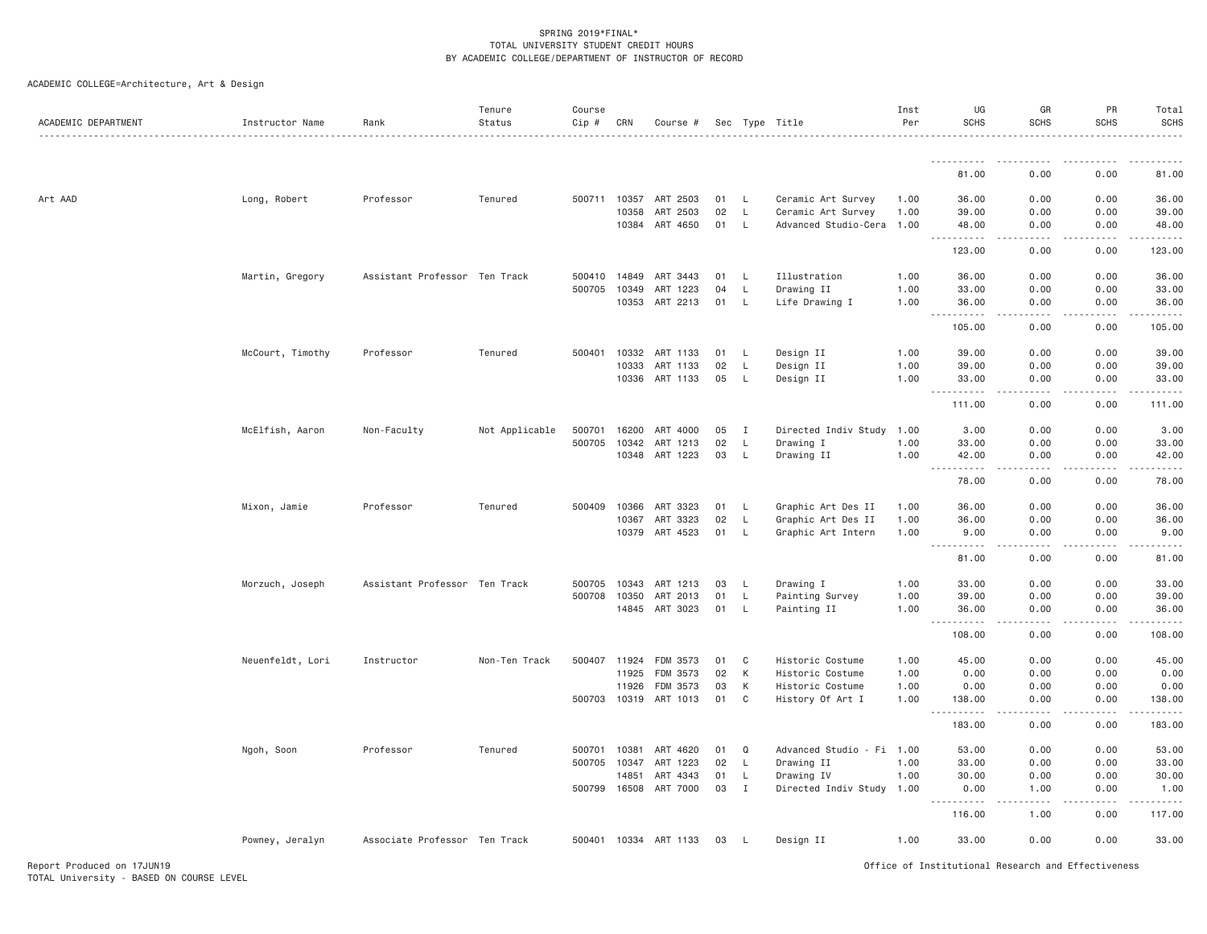ACADEMIC COLLEGE=Architecture, Art & Design

| ACADEMIC DEPARTMENT | Instructor Name  | Rank                          | Tenure<br>Status | Course<br>$Cip$ # | CRN   | Course #              |    |              | Sec Type Title            | Inst<br>Per | UG<br><b>SCHS</b>                                                                                                                          | GR<br><b>SCHS</b> | PR<br><b>SCHS</b>                                                                                                                                            | Total<br><b>SCHS</b> |
|---------------------|------------------|-------------------------------|------------------|-------------------|-------|-----------------------|----|--------------|---------------------------|-------------|--------------------------------------------------------------------------------------------------------------------------------------------|-------------------|--------------------------------------------------------------------------------------------------------------------------------------------------------------|----------------------|
|                     |                  |                               |                  |                   |       |                       |    |              |                           |             |                                                                                                                                            |                   |                                                                                                                                                              |                      |
|                     |                  |                               |                  |                   |       |                       |    |              |                           |             | 81.00                                                                                                                                      | 0.00              | 0.00                                                                                                                                                         | 81.00                |
| Art AAD             | Long, Robert     | Professor                     | Tenured          | 500711 10357      |       | ART 2503              | 01 | L.           | Ceramic Art Survey        | 1.00        | 36.00                                                                                                                                      | 0.00              | 0.00                                                                                                                                                         | 36.00                |
|                     |                  |                               |                  |                   | 10358 | ART 2503              | 02 | $\mathsf{L}$ | Ceramic Art Survey        | 1.00        | 39.00                                                                                                                                      | 0.00              | 0.00                                                                                                                                                         | 39.00                |
|                     |                  |                               |                  |                   |       | 10384 ART 4650        | 01 | $\mathsf{L}$ | Advanced Studio-Cera      | 1.00        | 48.00<br><b></b>                                                                                                                           | 0.00<br>-----     | 0.00<br>.                                                                                                                                                    | 48.00<br>.           |
|                     |                  |                               |                  |                   |       |                       |    |              |                           |             | 123.00                                                                                                                                     | 0.00              | 0.00                                                                                                                                                         | 123.00               |
|                     | Martin, Gregory  | Assistant Professor Ten Track |                  | 500410 14849      |       | ART 3443              | 01 | <b>L</b>     | Illustration              | 1.00        | 36.00                                                                                                                                      | 0.00              | 0.00                                                                                                                                                         | 36.00                |
|                     |                  |                               |                  | 500705            | 10349 | ART 1223              | 04 | L            | Drawing II                | 1.00        | 33.00                                                                                                                                      | 0.00              | 0.00                                                                                                                                                         | 33.00                |
|                     |                  |                               |                  |                   | 10353 | ART 2213              | 01 | L            | Life Drawing I            | 1.00        | 36.00<br>.                                                                                                                                 | 0.00              | 0.00                                                                                                                                                         | 36.00                |
|                     |                  |                               |                  |                   |       |                       |    |              |                           |             | 105.00                                                                                                                                     | 0.00              | 0.00                                                                                                                                                         | 105.00               |
|                     | McCourt, Timothy | Professor                     | Tenured          | 500401            | 10332 | ART 1133              | 01 | L            | Design II                 | 1.00        | 39.00                                                                                                                                      | 0.00              | 0.00                                                                                                                                                         | 39.00                |
|                     |                  |                               |                  |                   | 10333 | ART 1133              | 02 | $\mathsf{L}$ | Design II                 | 1.00        | 39.00                                                                                                                                      | 0.00              | 0.00                                                                                                                                                         | 39.00                |
|                     |                  |                               |                  |                   | 10336 | ART 1133              | 05 | L            | Design II                 | 1.00        | 33.00<br><b></b>                                                                                                                           | 0.00              | 0.00                                                                                                                                                         | 33.00<br><u>.</u>    |
|                     |                  |                               |                  |                   |       |                       |    |              |                           |             | 111.00                                                                                                                                     | .<br>0.00         | .<br>0.00                                                                                                                                                    | 111.00               |
|                     | McElfish, Aaron  | Non-Faculty                   | Not Applicable   | 500701            | 16200 | ART 4000              | 05 | $\mathbf{I}$ | Directed Indiv Study      | 1.00        | 3.00                                                                                                                                       | 0.00              | 0.00                                                                                                                                                         | 3.00                 |
|                     |                  |                               |                  | 500705            | 10342 | ART 1213              | 02 | L            | Drawing I                 | 1.00        | 33.00                                                                                                                                      | 0.00              | 0.00                                                                                                                                                         | 33.00                |
|                     |                  |                               |                  |                   | 10348 | ART 1223              | 03 | L            | Drawing II                | 1.00        | 42.00<br>$\sim$ $\sim$ $\sim$ $\sim$ $\sim$<br>$\sim$ $\sim$ $\sim$ $\sim$                                                                 | 0.00<br>.         | 0.00                                                                                                                                                         | 42.00                |
|                     |                  |                               |                  |                   |       |                       |    |              |                           |             | 78.00                                                                                                                                      | 0.00              | 0.00                                                                                                                                                         | 78.00                |
|                     | Mixon, Jamie     | Professor                     | Tenured          | 500409            | 10366 | ART 3323              | 01 | L            | Graphic Art Des II        | 1.00        | 36.00                                                                                                                                      | 0.00              | 0.00                                                                                                                                                         | 36.00                |
|                     |                  |                               |                  |                   | 10367 | ART 3323              | 02 | $\mathsf{L}$ | Graphic Art Des II        | 1.00        | 36.00                                                                                                                                      | 0.00              | 0.00                                                                                                                                                         | 36.00                |
|                     |                  |                               |                  |                   | 10379 | ART 4523              | 01 | L            | Graphic Art Intern        | 1.00        | 9.00<br>-----<br>$\frac{1}{2} \left( \frac{1}{2} \right) \left( \frac{1}{2} \right) \left( \frac{1}{2} \right) \left( \frac{1}{2} \right)$ | 0.00              | 0.00                                                                                                                                                         | 9.00                 |
|                     |                  |                               |                  |                   |       |                       |    |              |                           |             | 81.00                                                                                                                                      | 0.00              | 0.00                                                                                                                                                         | 81.00                |
|                     | Morzuch, Joseph  | Assistant Professor Ten Track |                  | 500705            | 10343 | ART 1213              | 03 | L.           | Drawing I                 | 1.00        | 33.00                                                                                                                                      | 0.00              | 0.00                                                                                                                                                         | 33.00                |
|                     |                  |                               |                  | 500708 10350      |       | ART 2013              | 01 | L            | Painting Survey           | 1.00        | 39.00                                                                                                                                      | 0.00              | 0.00                                                                                                                                                         | 39.00                |
|                     |                  |                               |                  |                   | 14845 | ART 3023              | 01 | L            | Painting II               | 1.00        | 36.00<br>.                                                                                                                                 | 0.00<br>.         | 0.00<br>$\frac{1}{2} \left( \frac{1}{2} \right) \left( \frac{1}{2} \right) \left( \frac{1}{2} \right) \left( \frac{1}{2} \right) \left( \frac{1}{2} \right)$ | 36.00<br>.           |
|                     |                  |                               |                  |                   |       |                       |    |              |                           |             | 108.00                                                                                                                                     | 0.00              | 0.00                                                                                                                                                         | 108.00               |
|                     | Neuenfeldt, Lori | Instructor                    | Non-Ten Track    | 500407 11924      |       | FDM 3573              | 01 | C            | Historic Costume          | 1.00        | 45.00                                                                                                                                      | 0.00              | 0.00                                                                                                                                                         | 45.00                |
|                     |                  |                               |                  |                   | 11925 | FDM 3573              | 02 | К            | Historic Costume          | 1.00        | 0.00                                                                                                                                       | 0.00              | 0.00                                                                                                                                                         | 0.00                 |
|                     |                  |                               |                  |                   | 11926 | FDM 3573              | 03 | K            | Historic Costume          | 1.00        | 0.00                                                                                                                                       | 0.00              | 0.00                                                                                                                                                         | 0.00                 |
|                     |                  |                               |                  | 500703 10319      |       | ART 1013              | 01 | C            | History Of Art I          | 1.00        | 138.00                                                                                                                                     | 0.00<br>.         | 0.00<br>.                                                                                                                                                    | 138.00<br>.          |
|                     |                  |                               |                  |                   |       |                       |    |              |                           |             | 183.00                                                                                                                                     | 0.00              | 0.00                                                                                                                                                         | 183.00               |
|                     | Ngoh, Soon       | Professor                     | Tenured          | 500701            | 10381 | ART 4620              | 01 | Q            | Advanced Studio - Fi 1.00 |             | 53.00                                                                                                                                      | 0.00              | 0.00                                                                                                                                                         | 53.00                |
|                     |                  |                               |                  | 500705            | 10347 | ART 1223              | 02 | L.           | Drawing II                | 1.00        | 33.00                                                                                                                                      | 0.00              | 0.00                                                                                                                                                         | 33.00                |
|                     |                  |                               |                  |                   | 14851 | ART 4343              | 01 | L            | Drawing IV                | 1.00        | 30.00                                                                                                                                      | 0.00              | 0.00                                                                                                                                                         | 30.00                |
|                     |                  |                               |                  |                   |       | 500799 16508 ART 7000 | 03 | $\mathbf{I}$ | Directed Indiv Study 1.00 |             | 0.00<br><b></b>                                                                                                                            | 1.00<br>.         | 0.00                                                                                                                                                         | 1.00                 |
|                     |                  |                               |                  |                   |       |                       |    |              |                           |             | 116.00                                                                                                                                     | 1.00              | 0.00                                                                                                                                                         | 117.00               |
|                     | Powney, Jeralyn  | Associate Professor Ten Track |                  |                   |       | 500401 10334 ART 1133 | 03 | <b>L</b>     | Design II                 | 1.00        | 33.00                                                                                                                                      | 0.00              | 0.00                                                                                                                                                         | 33.00                |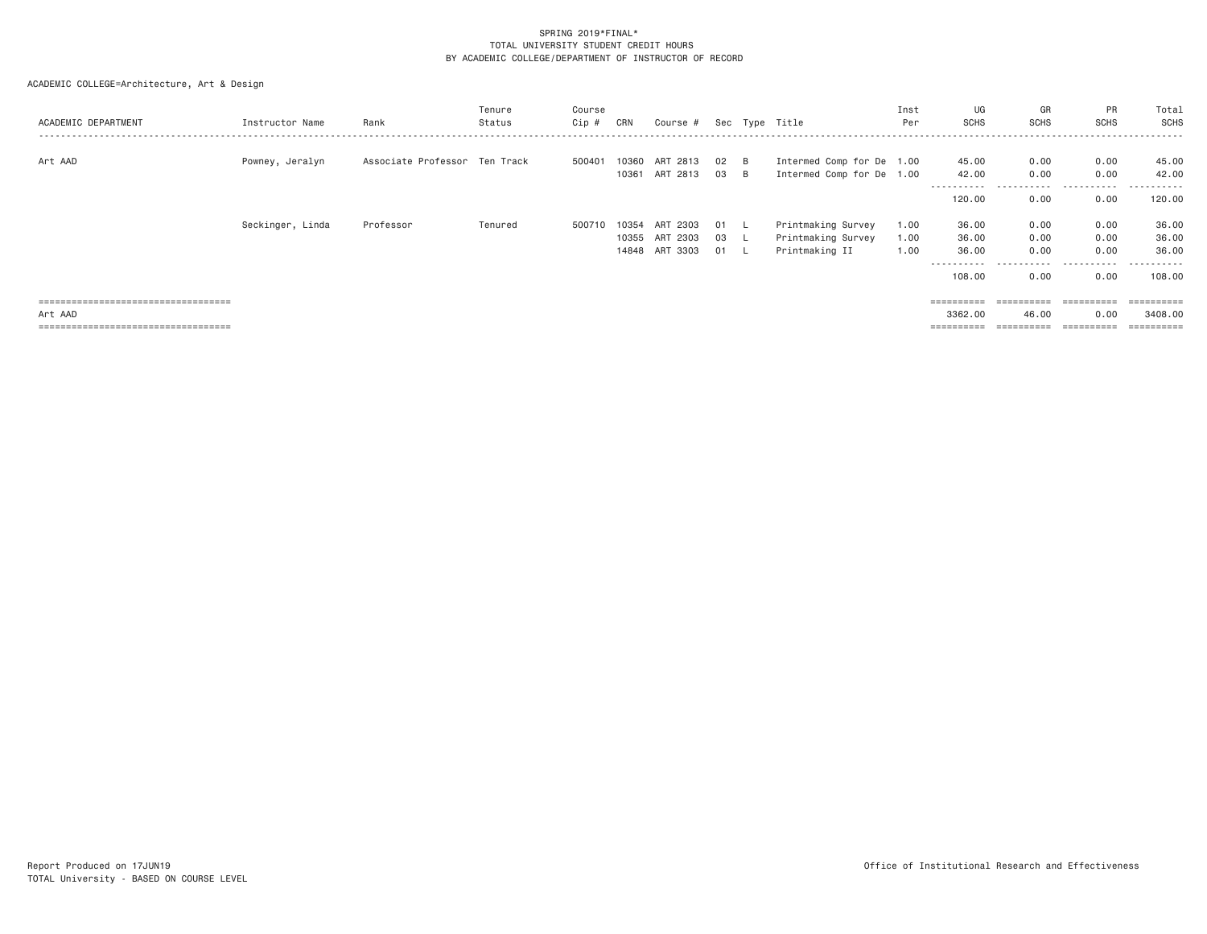| ACADEMIC DEPARTMENT                   | Instructor Name  | Rank                          | Tenure<br>Status | Course<br>$Cip$ # | CRN            | Course #             |          |                            | Sec Type Title                                         | Inst<br>Per  | UG<br><b>SCHS</b>             | GR<br><b>SCHS</b>     | PR<br><b>SCHS</b> | Total<br>SCHS                |
|---------------------------------------|------------------|-------------------------------|------------------|-------------------|----------------|----------------------|----------|----------------------------|--------------------------------------------------------|--------------|-------------------------------|-----------------------|-------------------|------------------------------|
| Art AAD                               | Powney, Jeralyn  | Associate Professor Ten Track |                  | 500401            | 10360<br>10361 | ART 2813<br>ART 2813 | 02<br>03 | <b>B</b><br>$\overline{B}$ | Intermed Comp for De 1.00<br>Intermed Comp for De 1.00 |              | 45.00<br>42.00<br>----------- | 0.00<br>0.00<br>.     | 0.00<br>0.00<br>. | 45.00<br>42.00<br>---------- |
|                                       |                  |                               |                  |                   |                |                      |          |                            |                                                        |              | 120,00                        | 0.00                  | 0.00              | 120.00                       |
|                                       | Seckinger, Linda | Professor                     | Tenured          | 500710 10354      | 10355          | ART 2303<br>ART 2303 | 01<br>03 |                            | Printmaking Survey<br>Printmaking Survey               | 1,00<br>1.00 | 36.00<br>36.00                | 0.00<br>0.00          | 0.00<br>0.00      | 36.00<br>36.00               |
|                                       |                  |                               |                  |                   | 14848          | ART 3303             | 01 L     |                            | Printmaking II                                         | 1.00         | 36.00                         | 0.00<br>.             | 0.00<br>.         | 36.00<br>----------          |
|                                       |                  |                               |                  |                   |                |                      |          |                            |                                                        |              | 108,00                        | 0.00                  | 0.00              | 108.00                       |
| ===================================== |                  |                               |                  |                   |                |                      |          |                            |                                                        |              | $=$ = = = = = = = = =         | $=$ = = = = = = = = = | ==========        |                              |
| Art AAD                               |                  |                               |                  |                   |                |                      |          |                            |                                                        |              | 3362.00                       | 46.00                 | 0.00              | 3408,00                      |
| ===================================== |                  |                               |                  |                   |                |                      |          |                            |                                                        |              | $=$ = = = = = = = = =         |                       | ==========        | ==========                   |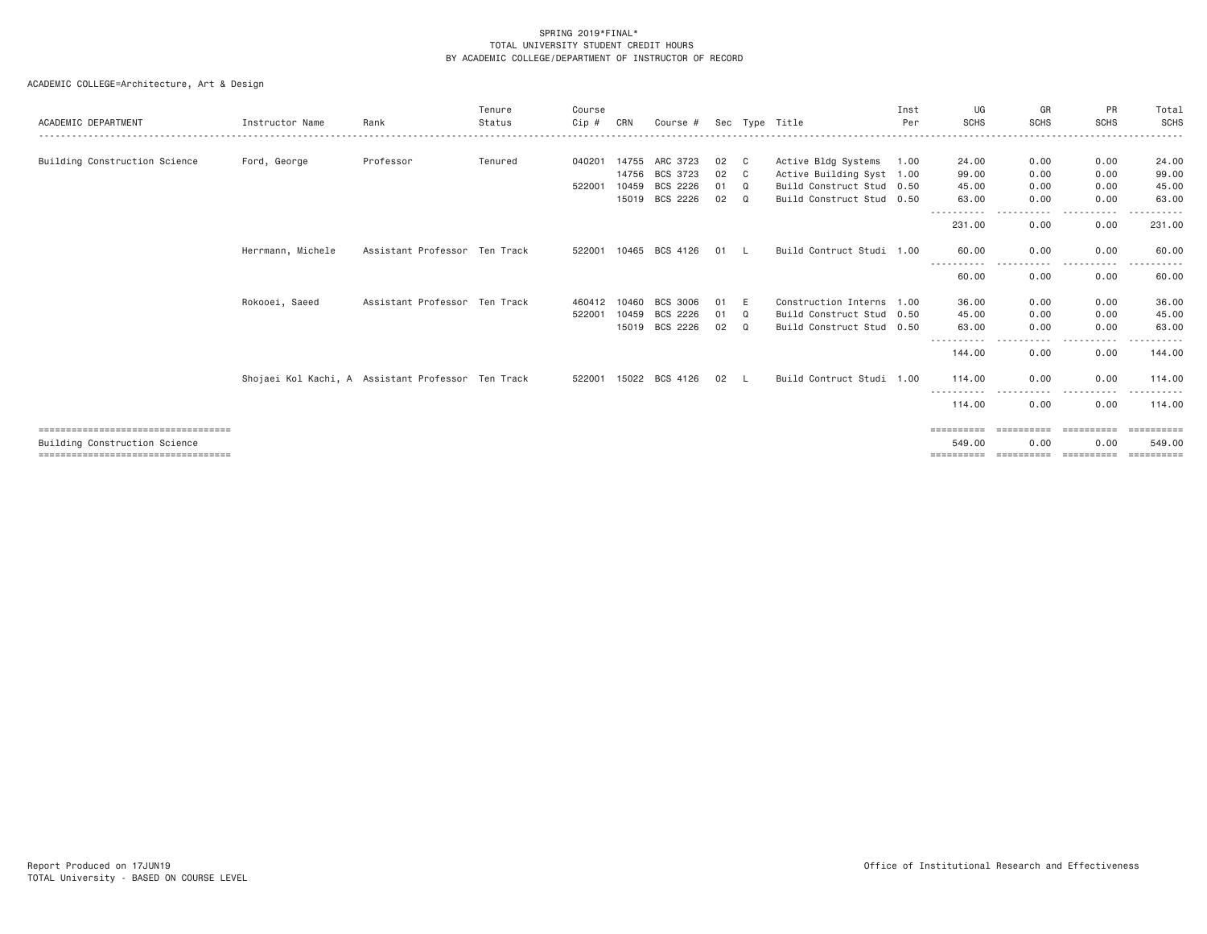| ACADEMIC DEPARTMENT                    | Instructor Name   | Rank                                               | Tenure<br>Status | Course<br>Cip # | CRN   | Course #              |    |             | Sec Type Title            | Inst<br>Per | UG<br><b>SCHS</b>     | GR<br><b>SCHS</b>     | PR<br><b>SCHS</b>    | Total<br>SCHS |
|----------------------------------------|-------------------|----------------------------------------------------|------------------|-----------------|-------|-----------------------|----|-------------|---------------------------|-------------|-----------------------|-----------------------|----------------------|---------------|
| Building Construction Science          | Ford, George      | Professor                                          | Tenured          | 040201          | 14755 | ARC 3723              | 02 | C C         | Active Bldg Systems       | 1.00        | 24.00                 | 0.00                  | 0.00                 | 24.00         |
|                                        |                   |                                                    |                  |                 | 14756 | BCS 3723              | 02 | C C         | Active Building Syst 1.00 |             | 99,00                 | 0.00                  | 0.00                 | 99.00         |
|                                        |                   |                                                    |                  | 522001          | 10459 | BCS 2226              | 01 | Q           | Build Construct Stud 0.50 |             | 45.00                 | 0.00                  | 0.00                 | 45.00         |
|                                        |                   |                                                    |                  |                 |       | 15019 BCS 2226        | 02 | $\mathbf Q$ | Build Construct Stud 0.50 |             | 63.00                 | 0.00                  | 0.00                 | 63.00         |
|                                        |                   |                                                    |                  |                 |       |                       |    |             |                           |             | 231,00                | 0.00                  | 0.00                 | 231.00        |
|                                        | Herrmann, Michele | Assistant Professor Ten Track                      |                  |                 |       | 522001 10465 BCS 4126 | 01 | - L         | Build Contruct Studi 1.00 |             | 60.00                 | 0.00                  | 0.00                 | 60.00         |
|                                        |                   |                                                    |                  |                 |       |                       |    |             |                           |             | 60.00                 | 0.00                  | 0.00                 | 60.00         |
|                                        | Rokooei, Saeed    | Assistant Professor Ten Track                      |                  | 460412          | 10460 | BCS 3006              | 01 | E           | Construction Interns 1.00 |             | 36,00                 | 0.00                  | 0.00                 | 36.00         |
|                                        |                   |                                                    |                  | 522001          | 10459 | BCS 2226              | 01 | Q           | Build Construct Stud 0.50 |             | 45.00                 | 0.00                  | 0.00                 | 45.00         |
|                                        |                   |                                                    |                  |                 |       | 15019 BCS 2226        | 02 | $\mathbf Q$ | Build Construct Stud 0.50 |             | 63,00                 | 0.00                  | 0.00                 | 63.00         |
|                                        |                   |                                                    |                  |                 |       |                       |    |             |                           |             | -----------<br>144.00 | .<br>$\cdots$<br>0.00 | .<br>$- - -$<br>0.00 | 144.00        |
|                                        |                   | Shojaei Kol Kachi, A Assistant Professor Ten Track |                  |                 |       | 522001 15022 BCS 4126 | 02 |             | Build Contruct Studi 1.00 |             | 114,00                | 0.00                  | 0.00                 | 114.00        |
|                                        |                   |                                                    |                  |                 |       |                       |    |             |                           |             | 114,00                | 0.00                  | 0.00                 | 114.00        |
| =====================================  |                   |                                                    |                  |                 |       |                       |    |             |                           |             | ==========            | ==========            | ==========           | ==========    |
| Building Construction Science          |                   |                                                    |                  |                 |       |                       |    |             |                           |             | 549.00                | 0.00                  | 0.00                 | 549.00        |
| ====================================== |                   |                                                    |                  |                 |       |                       |    |             |                           |             | ==========            | ==========            | -----------          |               |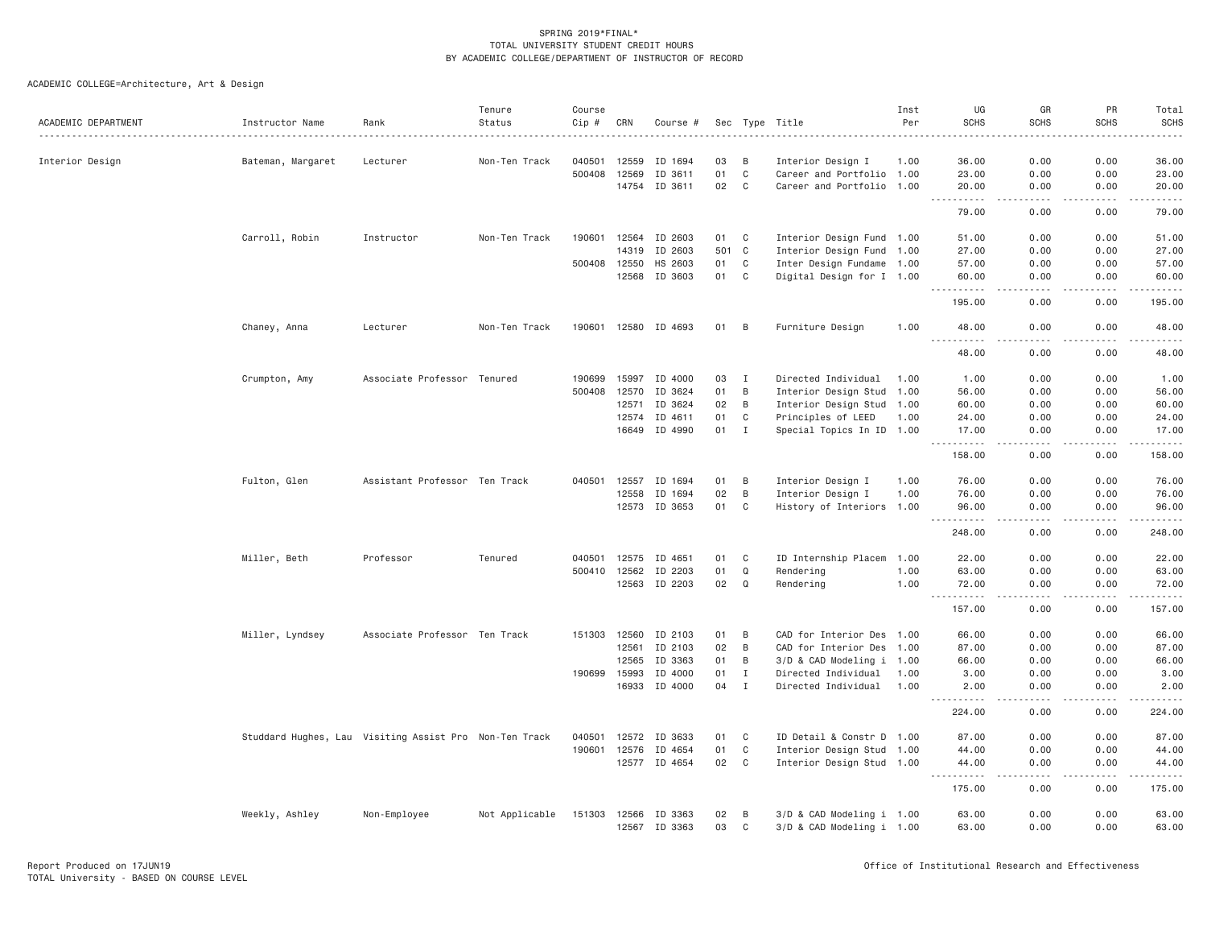| ACADEMIC DEPARTMENT | Instructor Name                                        | Rank                          | Tenure<br>Status | Course<br>Cip # | CRN   | Course #                 |          |              | Sec Type Title                                         | Inst<br>Per | UG<br><b>SCHS</b>                              | GR<br><b>SCHS</b>   | PR<br><b>SCHS</b>                                                                                                                                            | Total<br><b>SCHS</b>                                                                                                                         |
|---------------------|--------------------------------------------------------|-------------------------------|------------------|-----------------|-------|--------------------------|----------|--------------|--------------------------------------------------------|-------------|------------------------------------------------|---------------------|--------------------------------------------------------------------------------------------------------------------------------------------------------------|----------------------------------------------------------------------------------------------------------------------------------------------|
| Interior Design     | Bateman, Margaret                                      | Lecturer                      | Non-Ten Track    | 040501          | 12559 | ID 1694                  | 03       | B            | Interior Design I                                      | 1.00        | 36.00                                          | 0.00                | 0.00                                                                                                                                                         | 36.00                                                                                                                                        |
|                     |                                                        |                               |                  | 500408          | 12569 | ID 3611                  | 01       | $\mathbb C$  | Career and Portfolio 1.00                              |             | 23.00                                          | 0.00                | 0.00                                                                                                                                                         | 23.00                                                                                                                                        |
|                     |                                                        |                               |                  |                 |       | 14754 ID 3611            | 02       | C            | Career and Portfolio 1.00                              |             | 20.00                                          | 0.00                | 0.00                                                                                                                                                         | 20.00                                                                                                                                        |
|                     |                                                        |                               |                  |                 |       |                          |          |              |                                                        |             | .<br>$  -$<br>79.00                            | .<br>0.00           | $\frac{1}{2} \left( \frac{1}{2} \right) \left( \frac{1}{2} \right) \left( \frac{1}{2} \right) \left( \frac{1}{2} \right) \left( \frac{1}{2} \right)$<br>0.00 | .<br>79.00                                                                                                                                   |
|                     | Carroll, Robin                                         | Instructor                    | Non-Ten Track    | 190601          | 12564 | ID 2603                  | 01       | C            | Interior Design Fund 1.00                              |             | 51.00                                          | 0.00                | 0.00                                                                                                                                                         | 51.00                                                                                                                                        |
|                     |                                                        |                               |                  |                 | 14319 | ID 2603                  | 501      | $\mathbf C$  | Interior Design Fund 1.00                              |             | 27.00                                          | 0.00                | 0.00                                                                                                                                                         | 27.00                                                                                                                                        |
|                     |                                                        |                               |                  | 500408 12550    |       | HS 2603                  | 01       | C            | Inter Design Fundame 1.00                              |             | 57.00                                          | 0.00                | 0.00                                                                                                                                                         | 57.00                                                                                                                                        |
|                     |                                                        |                               |                  |                 | 12568 | ID 3603                  | 01       | C            | Digital Design for I 1.00                              |             | 60.00<br><b><i><u>.</u></i></b>                | 0.00<br>الدامات بال | 0.00<br>$\frac{1}{2} \left( \frac{1}{2} \right) \left( \frac{1}{2} \right) \left( \frac{1}{2} \right) \left( \frac{1}{2} \right) \left( \frac{1}{2} \right)$ | 60.00<br>.                                                                                                                                   |
|                     |                                                        |                               |                  |                 |       |                          |          |              |                                                        |             | 195.00                                         | 0.00                | 0.00                                                                                                                                                         | 195.00                                                                                                                                       |
|                     | Chaney, Anna                                           | Lecturer                      | Non-Ten Track    |                 |       | 190601 12580 ID 4693     | 01       | B            | Furniture Design                                       | 1.00        | 48.00<br>$- - - -$                             | 0.00                | 0.00                                                                                                                                                         | 48.00                                                                                                                                        |
|                     |                                                        |                               |                  |                 |       |                          |          |              |                                                        |             | 48.00                                          | 0.00                | 0.00                                                                                                                                                         | 48.00                                                                                                                                        |
|                     | Crumpton, Amy                                          | Associate Professor           | Tenured          | 190699          | 15997 | ID 4000                  | 03       | $\mathbf{I}$ | Directed Individual                                    | 1.00        | 1.00                                           | 0.00                | 0.00                                                                                                                                                         | 1.00                                                                                                                                         |
|                     |                                                        |                               |                  | 500408 12570    |       | ID 3624                  | 01       | B            | Interior Design Stud 1.00                              |             | 56.00                                          | 0.00                | 0.00                                                                                                                                                         | 56.00                                                                                                                                        |
|                     |                                                        |                               |                  |                 | 12571 | ID 3624                  | 02       | B            | Interior Design Stud 1.00                              |             | 60.00                                          | 0.00                | 0.00                                                                                                                                                         | 60.00                                                                                                                                        |
|                     |                                                        |                               |                  |                 | 12574 | ID 4611                  | 01       | C            | Principles of LEED                                     | 1.00        | 24.00                                          | 0.00                | 0.00                                                                                                                                                         | 24.00                                                                                                                                        |
|                     |                                                        |                               |                  |                 | 16649 | ID 4990                  | 01       | $\mathbf I$  | Special Topics In ID 1.00                              |             | 17,00<br>.                                     | 0.00<br>د د د د     | 0.00<br>.                                                                                                                                                    | 17.00<br>-----                                                                                                                               |
|                     |                                                        |                               |                  |                 |       |                          |          |              |                                                        |             | 158.00                                         | 0.00                | 0.00                                                                                                                                                         | 158.00                                                                                                                                       |
|                     | Fulton, Glen                                           | Assistant Professor Ten Track |                  | 040501          | 12557 | ID 1694                  | 01       | B            | Interior Design I                                      | 1.00        | 76.00                                          | 0.00                | 0.00                                                                                                                                                         | 76.00                                                                                                                                        |
|                     |                                                        |                               |                  |                 | 12558 | ID 1694                  | 02       | B            | Interior Design I                                      | 1.00        | 76.00                                          | 0.00                | 0.00                                                                                                                                                         | 76.00                                                                                                                                        |
|                     |                                                        |                               |                  |                 |       | 12573 ID 3653            | 01       | C            | History of Interiors 1.00                              |             | 96.00<br>.                                     | 0.00<br>$- - - -$   | 0.00<br>.                                                                                                                                                    | 96.00<br><u>.</u>                                                                                                                            |
|                     |                                                        |                               |                  |                 |       |                          |          |              |                                                        |             | 248.00                                         | 0.00                | 0.00                                                                                                                                                         | 248.00                                                                                                                                       |
|                     | Miller, Beth                                           | Professor                     | Tenured          | 040501          | 12575 | ID 4651                  | 01       | C            | ID Internship Placem 1.00                              |             | 22.00                                          | 0.00                | 0.00                                                                                                                                                         | 22.00                                                                                                                                        |
|                     |                                                        |                               |                  | 500410          | 12562 | ID 2203                  | 01       | Q            | Rendering                                              | 1.00        | 63.00                                          | 0.00                | 0.00                                                                                                                                                         | 63.00                                                                                                                                        |
|                     |                                                        |                               |                  |                 |       | 12563 ID 2203            | 02       | $\Omega$     | Rendering                                              | 1.00        | 72.00<br>.<br>$\omega$ is $\omega$ in $\omega$ | 0.00                | 0.00                                                                                                                                                         | 72.00<br>$\omega_{\alpha}=\omega_{\alpha}=\omega_{\alpha}=\omega_{\alpha}$                                                                   |
|                     |                                                        |                               |                  |                 |       |                          |          |              |                                                        |             | 157.00                                         | 0.00                | 0.00                                                                                                                                                         | 157.00                                                                                                                                       |
|                     | Miller, Lyndsey                                        | Associate Professor Ten Track |                  | 151303 12560    |       | ID 2103                  | 01       | B            | CAD for Interior Des 1.00                              |             | 66.00                                          | 0.00                | 0.00                                                                                                                                                         | 66.00                                                                                                                                        |
|                     |                                                        |                               |                  |                 | 12561 | ID 2103                  | 02       | B            | CAD for Interior Des 1.00                              |             | 87.00                                          | 0.00                | 0.00                                                                                                                                                         | 87.00                                                                                                                                        |
|                     |                                                        |                               |                  |                 | 12565 | ID 3363                  | 01       | B            | 3/D & CAD Modeling i 1.00                              |             | 66.00                                          | 0.00                | 0.00                                                                                                                                                         | 66.00                                                                                                                                        |
|                     |                                                        |                               |                  | 190699          | 15993 | ID 4000                  | 01       | $\mathbf{I}$ | Directed Individual                                    | 1.00        | 3.00                                           | 0.00                | 0.00                                                                                                                                                         | 3.00                                                                                                                                         |
|                     |                                                        |                               |                  |                 | 16933 | ID 4000                  | 04       | $\mathbf I$  | Directed Individual                                    | 1.00        | 2.00<br>.                                      | 0.00<br>د د د د     | 0.00<br>$\frac{1}{2} \left( \frac{1}{2} \right) \left( \frac{1}{2} \right) \left( \frac{1}{2} \right) \left( \frac{1}{2} \right) \left( \frac{1}{2} \right)$ | 2.00<br>$\mathcal{L}^{\mathcal{A}}\left( \mathcal{A}^{\mathcal{A}}\right) =\mathcal{L}^{\mathcal{A}}\left( \mathcal{A}^{\mathcal{A}}\right)$ |
|                     |                                                        |                               |                  |                 |       |                          |          |              |                                                        |             | 224.00                                         | 0.00                | 0.00                                                                                                                                                         | 224.00                                                                                                                                       |
|                     | Studdard Hughes, Lau Visiting Assist Pro Non-Ten Track |                               |                  | 040501          | 12572 | ID 3633                  | 01       | C            | ID Detail & Constr D 1.00                              |             | 87.00                                          | 0.00                | 0.00                                                                                                                                                         | 87.00                                                                                                                                        |
|                     |                                                        |                               |                  | 190601          | 12576 | ID 4654                  | 01       | C            | Interior Design Stud 1.00                              |             | 44.00                                          | 0.00                | 0.00                                                                                                                                                         | 44.00                                                                                                                                        |
|                     |                                                        |                               |                  |                 |       | 12577 ID 4654            | 02       | $\mathbf{C}$ | Interior Design Stud 1.00                              |             | 44.00<br>.                                     | 0.00<br>د د د د     | 0.00<br>.                                                                                                                                                    | 44.00<br>-----                                                                                                                               |
|                     |                                                        |                               |                  |                 |       |                          |          |              |                                                        |             | 175.00                                         | 0.00                | 0.00                                                                                                                                                         | 175.00                                                                                                                                       |
|                     | Weekly, Ashley                                         | Non-Employee                  | Not Applicable   | 151303 12566    |       | ID 3363<br>12567 ID 3363 | 02<br>03 | B<br>C       | 3/D & CAD Modeling i 1.00<br>3/D & CAD Modeling i 1.00 |             | 63.00<br>63.00                                 | 0.00<br>0.00        | 0.00<br>0.00                                                                                                                                                 | 63.00<br>63.00                                                                                                                               |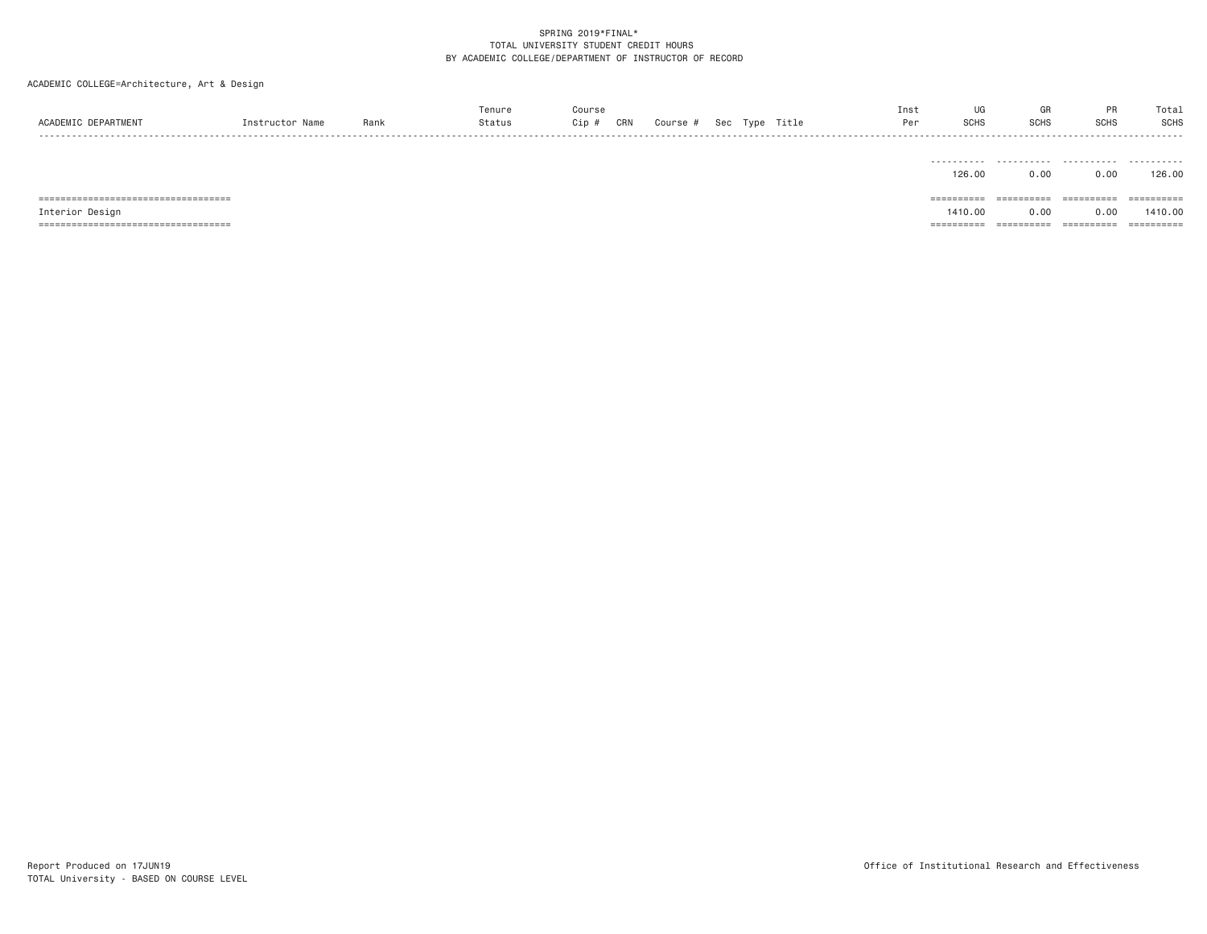ACADEMIC COLLEGE=Architecture, Art & Design

| <b>DEPARTMENT</b> | Instructor Name | Rank | Tenure<br>Status | Course<br>Cip # | CRN | Course # | Sec | Type | Title | Inst<br>Per | <b>SCHS</b> | GR<br><b>SCHS</b> | <b>SCHS</b>   | Total<br><b>SCHS</b> |
|-------------------|-----------------|------|------------------|-----------------|-----|----------|-----|------|-------|-------------|-------------|-------------------|---------------|----------------------|
| ------            |                 |      |                  |                 |     |          |     |      |       |             |             |                   |               |                      |
|                   |                 |      |                  |                 |     |          |     |      |       |             |             |                   |               |                      |
|                   |                 |      |                  |                 |     |          |     |      |       |             | .           | .                 | .             | .                    |
|                   |                 |      |                  |                 |     |          |     |      |       |             | $\sqrt{2}$  | $\sim$ $\sim$     | $\sim$ $\sim$ | $\sim$               |

|                                        | 126.00      | 0.00        | J.OO        | 126.00      |
|----------------------------------------|-------------|-------------|-------------|-------------|
| _====================================  | ==========  | ----------- | ==========  | ==========  |
| Interior Design                        | 1410.00     | 0.00        | 0.00        | 1410.00     |
| ______________________________________ | ----------- | ----------- | ----------- | ----------- |

TOTAL University - BASED ON COURSE LEVEL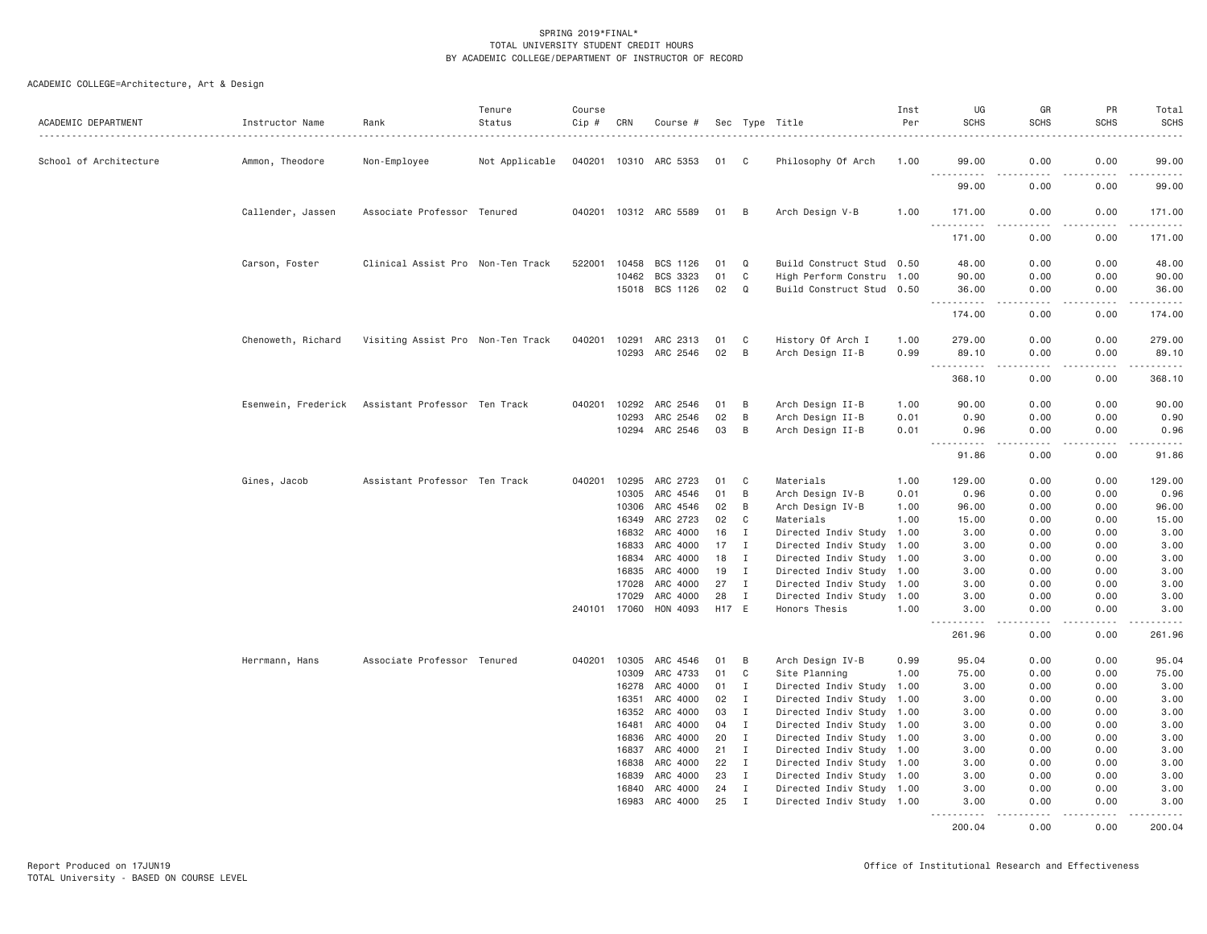| ACADEMIC DEPARTMENT    | Instructor Name    | Rank                                              | Tenure<br>Status | Course<br>Cip # | CRN            | Course #              |          |                              | Sec Type Title                                         | Inst<br>Per  | UG<br><b>SCHS</b>                                                                                                                                                                       | GR<br><b>SCHS</b>     | PR<br><b>SCHS</b>   | Total<br><b>SCHS</b>                                                                                                                                                                      |
|------------------------|--------------------|---------------------------------------------------|------------------|-----------------|----------------|-----------------------|----------|------------------------------|--------------------------------------------------------|--------------|-----------------------------------------------------------------------------------------------------------------------------------------------------------------------------------------|-----------------------|---------------------|-------------------------------------------------------------------------------------------------------------------------------------------------------------------------------------------|
| School of Architecture | Ammon, Theodore    | Non-Employee                                      | Not Applicable   |                 |                | 040201 10310 ARC 5353 | 01 C     |                              | Philosophy Of Arch                                     | 1.00         | 99.00                                                                                                                                                                                   | 0.00                  | 0.00                | 99.00                                                                                                                                                                                     |
|                        |                    |                                                   |                  |                 |                |                       |          |                              |                                                        |              | <u>.</u><br>99.00                                                                                                                                                                       | $\frac{1}{2}$<br>0.00 | .<br>0.00           | .<br>99.00                                                                                                                                                                                |
|                        | Callender, Jassen  | Associate Professor Tenured                       |                  |                 |                | 040201 10312 ARC 5589 | 01       | B                            | Arch Design V-B                                        | 1.00         | 171.00                                                                                                                                                                                  | 0.00                  | 0.00                | 171.00                                                                                                                                                                                    |
|                        |                    |                                                   |                  |                 |                |                       |          |                              |                                                        |              | . <u>.</u><br>171.00                                                                                                                                                                    | $- - -$<br>0.00       | $- - - - -$<br>0.00 | $\frac{1}{2}$<br>171.00                                                                                                                                                                   |
|                        | Carson, Foster     | Clinical Assist Pro Non-Ten Track                 |                  | 522001          | 10458          | BCS 1126              | 01       | Q                            | Build Construct Stud 0.50                              |              | 48.00                                                                                                                                                                                   | 0.00                  | 0.00                | 48.00                                                                                                                                                                                     |
|                        |                    |                                                   |                  |                 | 10462          | BCS 3323              | 01       | C                            | High Perform Constru 1.00                              |              | 90.00                                                                                                                                                                                   | 0.00                  | 0.00                | 90.00                                                                                                                                                                                     |
|                        |                    |                                                   |                  |                 |                | 15018 BCS 1126        | 02       | $\Omega$                     | Build Construct Stud 0.50                              |              | 36.00                                                                                                                                                                                   | 0.00                  | 0.00                | 36.00                                                                                                                                                                                     |
|                        |                    |                                                   |                  |                 |                |                       |          |                              |                                                        |              | .<br>174.00                                                                                                                                                                             | .<br>0.00             | .<br>0.00           | $\frac{1}{2} \left( \frac{1}{2} \right) \left( \frac{1}{2} \right) \left( \frac{1}{2} \right) \left( \frac{1}{2} \right) \left( \frac{1}{2} \right) \left( \frac{1}{2} \right)$<br>174.00 |
|                        |                    |                                                   |                  |                 |                |                       |          |                              |                                                        |              |                                                                                                                                                                                         |                       |                     |                                                                                                                                                                                           |
|                        | Chenoweth, Richard | Visiting Assist Pro Non-Ten Track                 |                  | 040201          | 10291          | ARC 2313              | 01       | C                            | History Of Arch I                                      | 1.00         | 279.00                                                                                                                                                                                  | 0.00                  | 0.00                | 279.00                                                                                                                                                                                    |
|                        |                    |                                                   |                  |                 | 10293          | ARC 2546              | 02       | B                            | Arch Design II-B                                       | 0.99         | 89.10<br>$- - -$<br>.                                                                                                                                                                   | 0.00                  | 0.00                | 89.10                                                                                                                                                                                     |
|                        |                    |                                                   |                  |                 |                |                       |          |                              |                                                        |              | 368.10                                                                                                                                                                                  | 0.00                  | 0.00                | 368.10                                                                                                                                                                                    |
|                        |                    | Esenwein, Frederick Assistant Professor Ten Track |                  | 040201          | 10292          | ARC 2546              | 01       | B                            | Arch Design II-B                                       | 1.00         | 90.00                                                                                                                                                                                   | 0.00                  | 0.00                | 90.00                                                                                                                                                                                     |
|                        |                    |                                                   |                  |                 | 10293          | ARC 2546              | 02       | B                            | Arch Design II-B                                       | 0.01         | 0.90                                                                                                                                                                                    | 0.00                  | 0.00                | 0.90                                                                                                                                                                                      |
|                        |                    |                                                   |                  |                 | 10294          | ARC 2546              | 03       | B                            | Arch Design II-B                                       | 0.01         | 0.96                                                                                                                                                                                    | 0.00                  | 0.00                | 0.96                                                                                                                                                                                      |
|                        |                    |                                                   |                  |                 |                |                       |          |                              |                                                        |              | $\frac{1}{2} \left( \frac{1}{2} \right) \left( \frac{1}{2} \right) \left( \frac{1}{2} \right) \left( \frac{1}{2} \right) \left( \frac{1}{2} \right)$<br><b><i><u>.</u></i></b><br>91.86 | 0.00                  | 0.00                | 91.86                                                                                                                                                                                     |
|                        |                    |                                                   |                  |                 |                |                       |          |                              |                                                        |              |                                                                                                                                                                                         |                       |                     |                                                                                                                                                                                           |
|                        | Gines, Jacob       | Assistant Professor Ten Track                     |                  | 040201          | 10295<br>10305 | ARC 2723<br>ARC 4546  | 01<br>01 | C<br>B                       | Materials<br>Arch Design IV-B                          | 1.00<br>0.01 | 129.00<br>0.96                                                                                                                                                                          | 0.00<br>0.00          | 0.00<br>0.00        | 129.00<br>0.96                                                                                                                                                                            |
|                        |                    |                                                   |                  |                 | 10306          | ARC 4546              | 02       | B                            | Arch Design IV-B                                       | 1.00         | 96.00                                                                                                                                                                                   | 0.00                  | 0.00                | 96.00                                                                                                                                                                                     |
|                        |                    |                                                   |                  |                 | 16349          | ARC 2723              | 02       | C                            | Materials                                              | 1.00         | 15.00                                                                                                                                                                                   | 0.00                  | 0.00                | 15.00                                                                                                                                                                                     |
|                        |                    |                                                   |                  |                 | 16832          | ARC 4000              | 16       | I                            | Directed Indiv Study 1.00                              |              | 3.00                                                                                                                                                                                    | 0.00                  | 0.00                | 3.00                                                                                                                                                                                      |
|                        |                    |                                                   |                  |                 | 16833          | ARC 4000              | 17       | $\mathbf{I}$                 | Directed Indiv Study 1.00                              |              | 3,00                                                                                                                                                                                    | 0.00                  | 0.00                | 3.00                                                                                                                                                                                      |
|                        |                    |                                                   |                  |                 | 16834          | ARC 4000              | 18       | $\mathbf{I}$                 | Directed Indiv Study 1.00                              |              | 3.00                                                                                                                                                                                    | 0.00                  | 0.00                | 3.00                                                                                                                                                                                      |
|                        |                    |                                                   |                  |                 | 16835          | ARC 4000              | 19       | $\mathbf{I}$                 | Directed Indiv Study 1.00                              |              | 3.00                                                                                                                                                                                    | 0.00                  | 0.00                | 3.00                                                                                                                                                                                      |
|                        |                    |                                                   |                  |                 | 17028          | ARC 4000              | 27       | I                            | Directed Indiv Study 1.00                              |              | 3.00                                                                                                                                                                                    | 0.00                  | 0.00                | 3.00                                                                                                                                                                                      |
|                        |                    |                                                   |                  |                 | 17029          | ARC 4000              | 28       | $\mathbf{I}$                 | Directed Indiv Study 1.00                              |              | 3.00                                                                                                                                                                                    | 0.00                  | 0.00                | 3.00                                                                                                                                                                                      |
|                        |                    |                                                   |                  |                 | 240101 17060   | HON 4093              | H17 E    |                              | Honors Thesis                                          | 1.00         | 3.00<br>$\sim$ $\sim$ $\sim$ $\sim$                                                                                                                                                     | 0.00<br>$- - -$       | 0.00<br>.           | 3.00<br>.                                                                                                                                                                                 |
|                        |                    |                                                   |                  |                 |                |                       |          |                              |                                                        |              | 261.96                                                                                                                                                                                  | 0.00                  | 0.00                | 261.96                                                                                                                                                                                    |
|                        | Herrmann, Hans     | Associate Professor Tenured                       |                  |                 | 040201 10305   | ARC 4546              | 01       | B                            | Arch Design IV-B                                       | 0.99         | 95.04                                                                                                                                                                                   | 0.00                  | 0.00                | 95.04                                                                                                                                                                                     |
|                        |                    |                                                   |                  |                 | 10309          | ARC 4733              | 01       | C                            | Site Planning                                          | 1.00         | 75.00                                                                                                                                                                                   | 0.00                  | 0.00                | 75.00                                                                                                                                                                                     |
|                        |                    |                                                   |                  |                 | 16278          | ARC 4000              | 01       | I                            | Directed Indiv Study 1.00                              |              | 3.00                                                                                                                                                                                    | 0.00                  | 0.00                | 3.00                                                                                                                                                                                      |
|                        |                    |                                                   |                  |                 | 16351          | ARC 4000              | 02       | $\mathbf{I}$                 | Directed Indiv Study 1.00                              |              | 3.00                                                                                                                                                                                    | 0.00                  | 0.00                | 3.00                                                                                                                                                                                      |
|                        |                    |                                                   |                  |                 | 16352          | ARC 4000              | 03       | $\mathbf{I}$                 | Directed Indiv Study 1.00                              |              | 3.00                                                                                                                                                                                    | 0.00                  | 0.00                | 3.00                                                                                                                                                                                      |
|                        |                    |                                                   |                  |                 | 16481          | ARC 4000              | 04       | $\mathbf{I}$                 | Directed Indiv Study 1.00                              |              | 3.00                                                                                                                                                                                    | 0.00                  | 0.00                | 3.00                                                                                                                                                                                      |
|                        |                    |                                                   |                  |                 | 16836          | ARC 4000              | 20       | $\mathbf{I}$                 | Directed Indiv Study 1.00                              |              | 3.00                                                                                                                                                                                    | 0.00                  | 0.00                | 3.00                                                                                                                                                                                      |
|                        |                    |                                                   |                  |                 | 16837          | ARC 4000              | 21       | $\mathbf{I}$                 | Directed Indiv Study 1.00                              |              | 3.00                                                                                                                                                                                    | 0.00                  | 0.00                | 3.00                                                                                                                                                                                      |
|                        |                    |                                                   |                  |                 | 16838<br>16839 | ARC 4000<br>ARC 4000  | 22<br>23 | $\mathbf{I}$<br>$\mathbf{I}$ | Directed Indiv Study 1.00<br>Directed Indiv Study 1.00 |              | 3.00<br>3.00                                                                                                                                                                            | 0.00<br>0.00          | 0.00<br>0.00        | 3.00<br>3.00                                                                                                                                                                              |
|                        |                    |                                                   |                  |                 | 16840          | ARC 4000              | 24       | <b>I</b>                     | Directed Indiv Study 1.00                              |              | 3,00                                                                                                                                                                                    | 0.00                  | 0.00                | 3.00                                                                                                                                                                                      |
|                        |                    |                                                   |                  |                 | 16983          | ARC 4000              | 25       | $\mathbf I$                  | Directed Indiv Study 1.00                              |              | 3.00                                                                                                                                                                                    | 0.00                  | 0.00                | 3.00                                                                                                                                                                                      |
|                        |                    |                                                   |                  |                 |                |                       |          |                              |                                                        |              | <u>.</u><br>200.04                                                                                                                                                                      | 0.00                  | 0.00                | 200.04                                                                                                                                                                                    |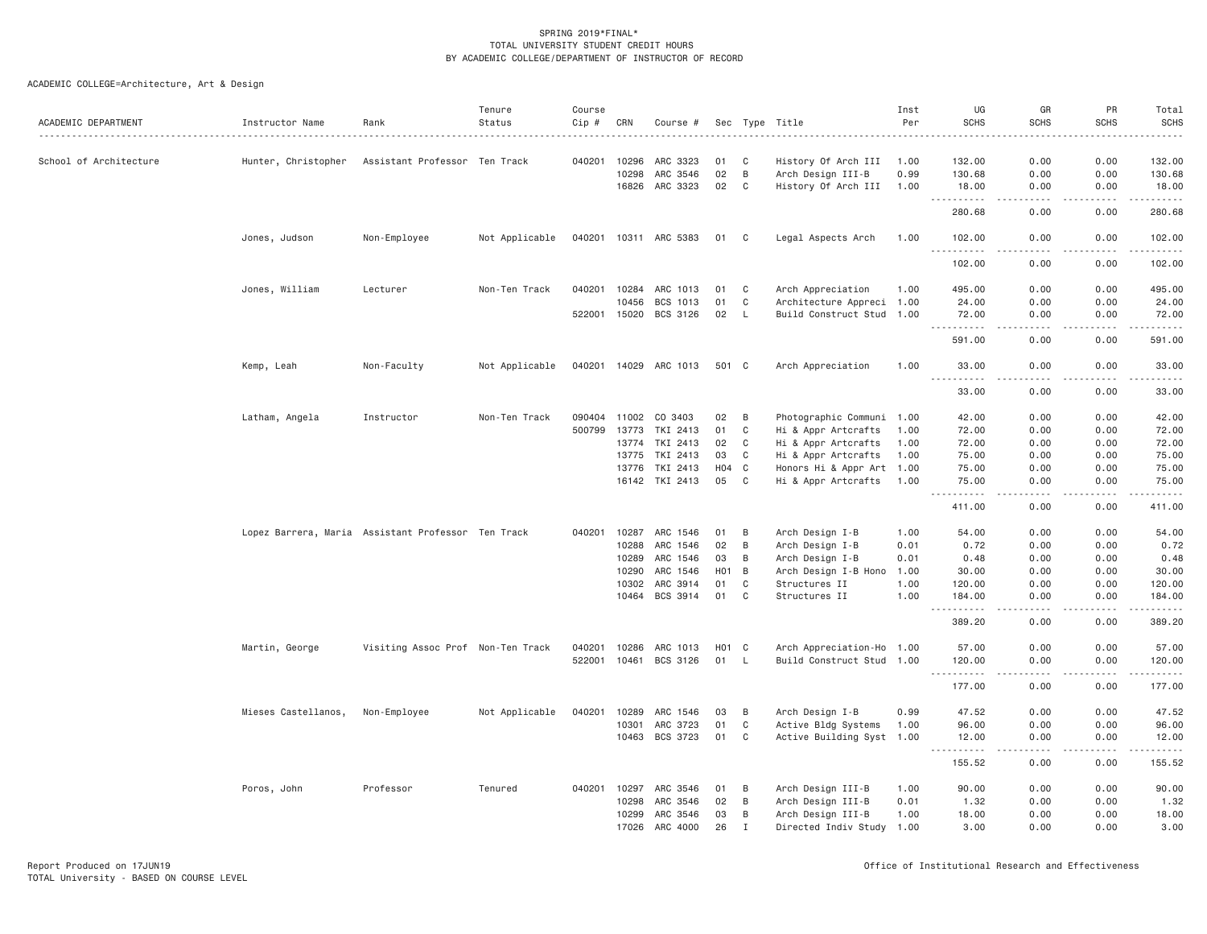| School of Architecture<br>Hunter, Christopher<br>Assistant Professor Ten Track<br>040201<br>10296<br>ARC 3323<br>01<br>C<br>History Of Arch III<br>132.00<br>0.00<br>0.00<br>132.00<br>1.00<br>02<br>B<br>0.00<br>10298<br>ARC 3546<br>Arch Design III-B<br>0.99<br>130.68<br>0.00<br>130.68<br>ARC 3323<br>02<br>16826<br>C<br>History Of Arch III<br>0.00<br>0.00<br>18.00<br>1.00<br>18.00<br>$\omega$ is a $\omega$<br>2.2.2.2.2<br>$\omega$ is $\omega$ in $\omega$ .<br>$\sim$ $\sim$ $\sim$<br>280.68<br>0.00<br>0.00<br>280.68<br>Non-Employee<br>Not Applicable<br>040201 10311 ARC 5383<br>Jones, Judson<br>01<br>C<br>Legal Aspects Arch<br>1.00<br>102.00<br>0.00<br>0.00<br>102.00<br>102.00<br>0.00<br>0.00<br>102.00<br>Jones, William<br>040201<br>10284<br>ARC 1013<br>0.00<br>495.00<br>Lecturer<br>Non-Ten Track<br>01<br>C<br>Arch Appreciation<br>1.00<br>495.00<br>0.00<br>10456<br>BCS 1013<br>01<br>C<br>Architecture Appreci 1.00<br>24.00<br>0.00<br>0.00<br>24.00<br>BCS 3126<br>Build Construct Stud 1.00<br>522001<br>15020<br>02<br>L<br>72.00<br>0.00<br>0.00<br>72.00<br>.<br>$\frac{1}{2}$<br>.<br>.<br>$- - -$<br>591.00<br>0.00<br>0.00<br>591.00<br>Kemp, Leah<br>Non-Faculty<br>Not Applicable<br>040201 14029 ARC 1013<br>501 C<br>Arch Appreciation<br>1.00<br>33,00<br>0.00<br>0.00<br>33.00<br>$\sim$ $\sim$ $\sim$<br>.<br>.<br>0.00<br>33.00<br>0.00<br>33.00<br>Latham, Angela<br>Instructor<br>Non-Ten Track<br>090404 11002<br>CO 3403<br>02<br>Photographic Communi 1.00<br>42.00<br>0.00<br>0.00<br>42.00<br>B<br>500799<br>13773<br>TKI 2413<br>01<br>C<br>72.00<br>0.00<br>0.00<br>72.00<br>Hi & Appr Artcrafts<br>1.00<br>13774<br>TKI 2413<br>02<br>C<br>Hi & Appr Artcrafts<br>72.00<br>0.00<br>0.00<br>72.00<br>1.00<br>13775<br>TKI 2413<br>03<br>C<br>Hi & Appr Artcrafts<br>1.00<br>75.00<br>0.00<br>0.00<br>75.00<br>TKI 2413<br>H <sub>0</sub> 4<br>$\mathbf{C}$<br>Honors Hi & Appr Art 1.00<br>0.00<br>75.00<br>13776<br>75.00<br>0.00<br>16142<br>TKI 2413<br>05<br>C<br>Hi & Appr Artcrafts<br>75.00<br>0.00<br>0.00<br>75.00<br>1.00<br>.<br>$\frac{1}{2}$<br>.<br><u>.</u><br>411.00<br>0.00<br>0.00<br>411.00<br>Lopez Barrera, Maria Assistant Professor Ten Track<br>040201<br>10287<br>ARC 1546<br>B<br>Arch Design I-B<br>54.00<br>0.00<br>0.00<br>54.00<br>01<br>1.00<br>ARC 1546<br>02<br>B<br>0.00<br>10288<br>Arch Design I-B<br>0.01<br>0.72<br>0.00<br>0.72<br>Arch Design I-B<br>10289<br>ARC 1546<br>03<br>B<br>0.01<br>0.48<br>0.00<br>0.00<br>0.48<br>10290<br>ARC 1546<br>H <sub>0</sub> 1<br>B<br>Arch Design I-B Hono<br>30,00<br>0.00<br>0.00<br>30.00<br>1.00<br>10302<br>ARC 3914<br>01<br>C<br>Structures II<br>0.00<br>0.00<br>120.00<br>1.00<br>120.00<br>10464 BCS 3914<br>$\mathsf{C}$<br>01<br>Structures II<br>1.00<br>0.00<br>0.00<br>184.00<br>184.00<br><u>.</u><br>د د د د<br>$- - - - -$<br>$- - - - - -$<br>0.00<br>389.20<br>389.20<br>0.00<br>10286<br>ARC 1013<br>Arch Appreciation-Ho 1.00<br>0.00<br>0.00<br>57.00<br>Martin, George<br>Visiting Assoc Prof Non-Ten Track<br>040201<br>H01<br>C<br>57.00<br>BCS 3126<br>522001<br>10461<br>01<br>Build Construct Stud 1.00<br>0.00<br>0.00<br>120.00<br>L.<br>120.00<br>.<br>$\sim$ $\sim$ $\sim$<br>.<br>177.00<br>0.00<br>0.00<br>177.00<br>Mieses Castellanos,<br>Arch Design I-B<br>0.00<br>47.52<br>Non-Employee<br>Not Applicable<br>040201<br>10289<br>ARC 1546<br>03<br>B<br>0.99<br>47.52<br>0.00<br>10301<br>ARC 3723<br>01<br>C<br>Active Bldg Systems<br>1.00<br>96.00<br>0.00<br>0.00<br>96.00<br>10463 BCS 3723<br>01<br>C<br>Active Building Syst 1.00<br>12.00<br>0.00<br>0.00<br>12.00<br>.<br>-----<br><u>.</u><br>155.52<br>0.00<br>0.00<br>155.52<br>Professor<br>Tenured<br>10297<br>ARC 3546<br>90.00<br>Poros, John<br>040201<br>01<br>B<br>Arch Design III-B<br>1.00<br>90.00<br>0.00<br>0.00<br>10298<br>ARC 3546<br>02<br>B<br>Arch Design III-B<br>0.01<br>1.32<br>0.00<br>0.00<br>1.32<br>ARC 3546<br>10299<br>03<br>B<br>Arch Design III-B<br>1.00<br>18.00<br>0.00<br>0.00<br>18.00<br>17026<br>ARC 4000<br>26<br>$\mathbf I$<br>Directed Indiv Study 1.00<br>3,00<br>0.00<br>0.00<br>3.00 | ACADEMIC DEPARTMENT | Instructor Name | Rank | Tenure<br>Status | Course<br>Cip # | CRN | Course # |  | Sec Type Title | Inst<br>Per | UG<br><b>SCHS</b> | GR<br><b>SCHS</b> | PR<br><b>SCHS</b> | Total<br><b>SCHS</b> |
|----------------------------------------------------------------------------------------------------------------------------------------------------------------------------------------------------------------------------------------------------------------------------------------------------------------------------------------------------------------------------------------------------------------------------------------------------------------------------------------------------------------------------------------------------------------------------------------------------------------------------------------------------------------------------------------------------------------------------------------------------------------------------------------------------------------------------------------------------------------------------------------------------------------------------------------------------------------------------------------------------------------------------------------------------------------------------------------------------------------------------------------------------------------------------------------------------------------------------------------------------------------------------------------------------------------------------------------------------------------------------------------------------------------------------------------------------------------------------------------------------------------------------------------------------------------------------------------------------------------------------------------------------------------------------------------------------------------------------------------------------------------------------------------------------------------------------------------------------------------------------------------------------------------------------------------------------------------------------------------------------------------------------------------------------------------------------------------------------------------------------------------------------------------------------------------------------------------------------------------------------------------------------------------------------------------------------------------------------------------------------------------------------------------------------------------------------------------------------------------------------------------------------------------------------------------------------------------------------------------------------------------------------------------------------------------------------------------------------------------------------------------------------------------------------------------------------------------------------------------------------------------------------------------------------------------------------------------------------------------------------------------------------------------------------------------------------------------------------------------------------------------------------------------------------------------------------------------------------------------------------------------------------------------------------------------------------------------------------------------------------------------------------------------------------------------------------------------------------------------------------------------------------------------------------------------------------------------------------------------------------------------------------------------------------------------------------------------------------------------------------------------------------------------------------------------------------------------------------------------------------------------------------------------------------------------------------------------------------------------------------------------------------------------------------------------------------------------------------------------------------------------------------------------------------------|---------------------|-----------------|------|------------------|-----------------|-----|----------|--|----------------|-------------|-------------------|-------------------|-------------------|----------------------|
|                                                                                                                                                                                                                                                                                                                                                                                                                                                                                                                                                                                                                                                                                                                                                                                                                                                                                                                                                                                                                                                                                                                                                                                                                                                                                                                                                                                                                                                                                                                                                                                                                                                                                                                                                                                                                                                                                                                                                                                                                                                                                                                                                                                                                                                                                                                                                                                                                                                                                                                                                                                                                                                                                                                                                                                                                                                                                                                                                                                                                                                                                                                                                                                                                                                                                                                                                                                                                                                                                                                                                                                                                                                                                                                                                                                                                                                                                                                                                                                                                                                                                                                                                                                  |                     |                 |      |                  |                 |     |          |  |                |             |                   |                   |                   |                      |
|                                                                                                                                                                                                                                                                                                                                                                                                                                                                                                                                                                                                                                                                                                                                                                                                                                                                                                                                                                                                                                                                                                                                                                                                                                                                                                                                                                                                                                                                                                                                                                                                                                                                                                                                                                                                                                                                                                                                                                                                                                                                                                                                                                                                                                                                                                                                                                                                                                                                                                                                                                                                                                                                                                                                                                                                                                                                                                                                                                                                                                                                                                                                                                                                                                                                                                                                                                                                                                                                                                                                                                                                                                                                                                                                                                                                                                                                                                                                                                                                                                                                                                                                                                                  |                     |                 |      |                  |                 |     |          |  |                |             |                   |                   |                   |                      |
|                                                                                                                                                                                                                                                                                                                                                                                                                                                                                                                                                                                                                                                                                                                                                                                                                                                                                                                                                                                                                                                                                                                                                                                                                                                                                                                                                                                                                                                                                                                                                                                                                                                                                                                                                                                                                                                                                                                                                                                                                                                                                                                                                                                                                                                                                                                                                                                                                                                                                                                                                                                                                                                                                                                                                                                                                                                                                                                                                                                                                                                                                                                                                                                                                                                                                                                                                                                                                                                                                                                                                                                                                                                                                                                                                                                                                                                                                                                                                                                                                                                                                                                                                                                  |                     |                 |      |                  |                 |     |          |  |                |             |                   |                   |                   |                      |
|                                                                                                                                                                                                                                                                                                                                                                                                                                                                                                                                                                                                                                                                                                                                                                                                                                                                                                                                                                                                                                                                                                                                                                                                                                                                                                                                                                                                                                                                                                                                                                                                                                                                                                                                                                                                                                                                                                                                                                                                                                                                                                                                                                                                                                                                                                                                                                                                                                                                                                                                                                                                                                                                                                                                                                                                                                                                                                                                                                                                                                                                                                                                                                                                                                                                                                                                                                                                                                                                                                                                                                                                                                                                                                                                                                                                                                                                                                                                                                                                                                                                                                                                                                                  |                     |                 |      |                  |                 |     |          |  |                |             |                   |                   |                   |                      |
|                                                                                                                                                                                                                                                                                                                                                                                                                                                                                                                                                                                                                                                                                                                                                                                                                                                                                                                                                                                                                                                                                                                                                                                                                                                                                                                                                                                                                                                                                                                                                                                                                                                                                                                                                                                                                                                                                                                                                                                                                                                                                                                                                                                                                                                                                                                                                                                                                                                                                                                                                                                                                                                                                                                                                                                                                                                                                                                                                                                                                                                                                                                                                                                                                                                                                                                                                                                                                                                                                                                                                                                                                                                                                                                                                                                                                                                                                                                                                                                                                                                                                                                                                                                  |                     |                 |      |                  |                 |     |          |  |                |             |                   |                   |                   |                      |
|                                                                                                                                                                                                                                                                                                                                                                                                                                                                                                                                                                                                                                                                                                                                                                                                                                                                                                                                                                                                                                                                                                                                                                                                                                                                                                                                                                                                                                                                                                                                                                                                                                                                                                                                                                                                                                                                                                                                                                                                                                                                                                                                                                                                                                                                                                                                                                                                                                                                                                                                                                                                                                                                                                                                                                                                                                                                                                                                                                                                                                                                                                                                                                                                                                                                                                                                                                                                                                                                                                                                                                                                                                                                                                                                                                                                                                                                                                                                                                                                                                                                                                                                                                                  |                     |                 |      |                  |                 |     |          |  |                |             |                   |                   |                   |                      |
|                                                                                                                                                                                                                                                                                                                                                                                                                                                                                                                                                                                                                                                                                                                                                                                                                                                                                                                                                                                                                                                                                                                                                                                                                                                                                                                                                                                                                                                                                                                                                                                                                                                                                                                                                                                                                                                                                                                                                                                                                                                                                                                                                                                                                                                                                                                                                                                                                                                                                                                                                                                                                                                                                                                                                                                                                                                                                                                                                                                                                                                                                                                                                                                                                                                                                                                                                                                                                                                                                                                                                                                                                                                                                                                                                                                                                                                                                                                                                                                                                                                                                                                                                                                  |                     |                 |      |                  |                 |     |          |  |                |             |                   |                   |                   |                      |
|                                                                                                                                                                                                                                                                                                                                                                                                                                                                                                                                                                                                                                                                                                                                                                                                                                                                                                                                                                                                                                                                                                                                                                                                                                                                                                                                                                                                                                                                                                                                                                                                                                                                                                                                                                                                                                                                                                                                                                                                                                                                                                                                                                                                                                                                                                                                                                                                                                                                                                                                                                                                                                                                                                                                                                                                                                                                                                                                                                                                                                                                                                                                                                                                                                                                                                                                                                                                                                                                                                                                                                                                                                                                                                                                                                                                                                                                                                                                                                                                                                                                                                                                                                                  |                     |                 |      |                  |                 |     |          |  |                |             |                   |                   |                   |                      |
|                                                                                                                                                                                                                                                                                                                                                                                                                                                                                                                                                                                                                                                                                                                                                                                                                                                                                                                                                                                                                                                                                                                                                                                                                                                                                                                                                                                                                                                                                                                                                                                                                                                                                                                                                                                                                                                                                                                                                                                                                                                                                                                                                                                                                                                                                                                                                                                                                                                                                                                                                                                                                                                                                                                                                                                                                                                                                                                                                                                                                                                                                                                                                                                                                                                                                                                                                                                                                                                                                                                                                                                                                                                                                                                                                                                                                                                                                                                                                                                                                                                                                                                                                                                  |                     |                 |      |                  |                 |     |          |  |                |             |                   |                   |                   |                      |
|                                                                                                                                                                                                                                                                                                                                                                                                                                                                                                                                                                                                                                                                                                                                                                                                                                                                                                                                                                                                                                                                                                                                                                                                                                                                                                                                                                                                                                                                                                                                                                                                                                                                                                                                                                                                                                                                                                                                                                                                                                                                                                                                                                                                                                                                                                                                                                                                                                                                                                                                                                                                                                                                                                                                                                                                                                                                                                                                                                                                                                                                                                                                                                                                                                                                                                                                                                                                                                                                                                                                                                                                                                                                                                                                                                                                                                                                                                                                                                                                                                                                                                                                                                                  |                     |                 |      |                  |                 |     |          |  |                |             |                   |                   |                   |                      |
|                                                                                                                                                                                                                                                                                                                                                                                                                                                                                                                                                                                                                                                                                                                                                                                                                                                                                                                                                                                                                                                                                                                                                                                                                                                                                                                                                                                                                                                                                                                                                                                                                                                                                                                                                                                                                                                                                                                                                                                                                                                                                                                                                                                                                                                                                                                                                                                                                                                                                                                                                                                                                                                                                                                                                                                                                                                                                                                                                                                                                                                                                                                                                                                                                                                                                                                                                                                                                                                                                                                                                                                                                                                                                                                                                                                                                                                                                                                                                                                                                                                                                                                                                                                  |                     |                 |      |                  |                 |     |          |  |                |             |                   |                   |                   |                      |
|                                                                                                                                                                                                                                                                                                                                                                                                                                                                                                                                                                                                                                                                                                                                                                                                                                                                                                                                                                                                                                                                                                                                                                                                                                                                                                                                                                                                                                                                                                                                                                                                                                                                                                                                                                                                                                                                                                                                                                                                                                                                                                                                                                                                                                                                                                                                                                                                                                                                                                                                                                                                                                                                                                                                                                                                                                                                                                                                                                                                                                                                                                                                                                                                                                                                                                                                                                                                                                                                                                                                                                                                                                                                                                                                                                                                                                                                                                                                                                                                                                                                                                                                                                                  |                     |                 |      |                  |                 |     |          |  |                |             |                   |                   |                   |                      |
|                                                                                                                                                                                                                                                                                                                                                                                                                                                                                                                                                                                                                                                                                                                                                                                                                                                                                                                                                                                                                                                                                                                                                                                                                                                                                                                                                                                                                                                                                                                                                                                                                                                                                                                                                                                                                                                                                                                                                                                                                                                                                                                                                                                                                                                                                                                                                                                                                                                                                                                                                                                                                                                                                                                                                                                                                                                                                                                                                                                                                                                                                                                                                                                                                                                                                                                                                                                                                                                                                                                                                                                                                                                                                                                                                                                                                                                                                                                                                                                                                                                                                                                                                                                  |                     |                 |      |                  |                 |     |          |  |                |             |                   |                   |                   |                      |
|                                                                                                                                                                                                                                                                                                                                                                                                                                                                                                                                                                                                                                                                                                                                                                                                                                                                                                                                                                                                                                                                                                                                                                                                                                                                                                                                                                                                                                                                                                                                                                                                                                                                                                                                                                                                                                                                                                                                                                                                                                                                                                                                                                                                                                                                                                                                                                                                                                                                                                                                                                                                                                                                                                                                                                                                                                                                                                                                                                                                                                                                                                                                                                                                                                                                                                                                                                                                                                                                                                                                                                                                                                                                                                                                                                                                                                                                                                                                                                                                                                                                                                                                                                                  |                     |                 |      |                  |                 |     |          |  |                |             |                   |                   |                   |                      |
|                                                                                                                                                                                                                                                                                                                                                                                                                                                                                                                                                                                                                                                                                                                                                                                                                                                                                                                                                                                                                                                                                                                                                                                                                                                                                                                                                                                                                                                                                                                                                                                                                                                                                                                                                                                                                                                                                                                                                                                                                                                                                                                                                                                                                                                                                                                                                                                                                                                                                                                                                                                                                                                                                                                                                                                                                                                                                                                                                                                                                                                                                                                                                                                                                                                                                                                                                                                                                                                                                                                                                                                                                                                                                                                                                                                                                                                                                                                                                                                                                                                                                                                                                                                  |                     |                 |      |                  |                 |     |          |  |                |             |                   |                   |                   |                      |
|                                                                                                                                                                                                                                                                                                                                                                                                                                                                                                                                                                                                                                                                                                                                                                                                                                                                                                                                                                                                                                                                                                                                                                                                                                                                                                                                                                                                                                                                                                                                                                                                                                                                                                                                                                                                                                                                                                                                                                                                                                                                                                                                                                                                                                                                                                                                                                                                                                                                                                                                                                                                                                                                                                                                                                                                                                                                                                                                                                                                                                                                                                                                                                                                                                                                                                                                                                                                                                                                                                                                                                                                                                                                                                                                                                                                                                                                                                                                                                                                                                                                                                                                                                                  |                     |                 |      |                  |                 |     |          |  |                |             |                   |                   |                   |                      |
|                                                                                                                                                                                                                                                                                                                                                                                                                                                                                                                                                                                                                                                                                                                                                                                                                                                                                                                                                                                                                                                                                                                                                                                                                                                                                                                                                                                                                                                                                                                                                                                                                                                                                                                                                                                                                                                                                                                                                                                                                                                                                                                                                                                                                                                                                                                                                                                                                                                                                                                                                                                                                                                                                                                                                                                                                                                                                                                                                                                                                                                                                                                                                                                                                                                                                                                                                                                                                                                                                                                                                                                                                                                                                                                                                                                                                                                                                                                                                                                                                                                                                                                                                                                  |                     |                 |      |                  |                 |     |          |  |                |             |                   |                   |                   |                      |
|                                                                                                                                                                                                                                                                                                                                                                                                                                                                                                                                                                                                                                                                                                                                                                                                                                                                                                                                                                                                                                                                                                                                                                                                                                                                                                                                                                                                                                                                                                                                                                                                                                                                                                                                                                                                                                                                                                                                                                                                                                                                                                                                                                                                                                                                                                                                                                                                                                                                                                                                                                                                                                                                                                                                                                                                                                                                                                                                                                                                                                                                                                                                                                                                                                                                                                                                                                                                                                                                                                                                                                                                                                                                                                                                                                                                                                                                                                                                                                                                                                                                                                                                                                                  |                     |                 |      |                  |                 |     |          |  |                |             |                   |                   |                   |                      |
|                                                                                                                                                                                                                                                                                                                                                                                                                                                                                                                                                                                                                                                                                                                                                                                                                                                                                                                                                                                                                                                                                                                                                                                                                                                                                                                                                                                                                                                                                                                                                                                                                                                                                                                                                                                                                                                                                                                                                                                                                                                                                                                                                                                                                                                                                                                                                                                                                                                                                                                                                                                                                                                                                                                                                                                                                                                                                                                                                                                                                                                                                                                                                                                                                                                                                                                                                                                                                                                                                                                                                                                                                                                                                                                                                                                                                                                                                                                                                                                                                                                                                                                                                                                  |                     |                 |      |                  |                 |     |          |  |                |             |                   |                   |                   |                      |
|                                                                                                                                                                                                                                                                                                                                                                                                                                                                                                                                                                                                                                                                                                                                                                                                                                                                                                                                                                                                                                                                                                                                                                                                                                                                                                                                                                                                                                                                                                                                                                                                                                                                                                                                                                                                                                                                                                                                                                                                                                                                                                                                                                                                                                                                                                                                                                                                                                                                                                                                                                                                                                                                                                                                                                                                                                                                                                                                                                                                                                                                                                                                                                                                                                                                                                                                                                                                                                                                                                                                                                                                                                                                                                                                                                                                                                                                                                                                                                                                                                                                                                                                                                                  |                     |                 |      |                  |                 |     |          |  |                |             |                   |                   |                   |                      |
|                                                                                                                                                                                                                                                                                                                                                                                                                                                                                                                                                                                                                                                                                                                                                                                                                                                                                                                                                                                                                                                                                                                                                                                                                                                                                                                                                                                                                                                                                                                                                                                                                                                                                                                                                                                                                                                                                                                                                                                                                                                                                                                                                                                                                                                                                                                                                                                                                                                                                                                                                                                                                                                                                                                                                                                                                                                                                                                                                                                                                                                                                                                                                                                                                                                                                                                                                                                                                                                                                                                                                                                                                                                                                                                                                                                                                                                                                                                                                                                                                                                                                                                                                                                  |                     |                 |      |                  |                 |     |          |  |                |             |                   |                   |                   |                      |
|                                                                                                                                                                                                                                                                                                                                                                                                                                                                                                                                                                                                                                                                                                                                                                                                                                                                                                                                                                                                                                                                                                                                                                                                                                                                                                                                                                                                                                                                                                                                                                                                                                                                                                                                                                                                                                                                                                                                                                                                                                                                                                                                                                                                                                                                                                                                                                                                                                                                                                                                                                                                                                                                                                                                                                                                                                                                                                                                                                                                                                                                                                                                                                                                                                                                                                                                                                                                                                                                                                                                                                                                                                                                                                                                                                                                                                                                                                                                                                                                                                                                                                                                                                                  |                     |                 |      |                  |                 |     |          |  |                |             |                   |                   |                   |                      |
|                                                                                                                                                                                                                                                                                                                                                                                                                                                                                                                                                                                                                                                                                                                                                                                                                                                                                                                                                                                                                                                                                                                                                                                                                                                                                                                                                                                                                                                                                                                                                                                                                                                                                                                                                                                                                                                                                                                                                                                                                                                                                                                                                                                                                                                                                                                                                                                                                                                                                                                                                                                                                                                                                                                                                                                                                                                                                                                                                                                                                                                                                                                                                                                                                                                                                                                                                                                                                                                                                                                                                                                                                                                                                                                                                                                                                                                                                                                                                                                                                                                                                                                                                                                  |                     |                 |      |                  |                 |     |          |  |                |             |                   |                   |                   |                      |
|                                                                                                                                                                                                                                                                                                                                                                                                                                                                                                                                                                                                                                                                                                                                                                                                                                                                                                                                                                                                                                                                                                                                                                                                                                                                                                                                                                                                                                                                                                                                                                                                                                                                                                                                                                                                                                                                                                                                                                                                                                                                                                                                                                                                                                                                                                                                                                                                                                                                                                                                                                                                                                                                                                                                                                                                                                                                                                                                                                                                                                                                                                                                                                                                                                                                                                                                                                                                                                                                                                                                                                                                                                                                                                                                                                                                                                                                                                                                                                                                                                                                                                                                                                                  |                     |                 |      |                  |                 |     |          |  |                |             |                   |                   |                   |                      |
|                                                                                                                                                                                                                                                                                                                                                                                                                                                                                                                                                                                                                                                                                                                                                                                                                                                                                                                                                                                                                                                                                                                                                                                                                                                                                                                                                                                                                                                                                                                                                                                                                                                                                                                                                                                                                                                                                                                                                                                                                                                                                                                                                                                                                                                                                                                                                                                                                                                                                                                                                                                                                                                                                                                                                                                                                                                                                                                                                                                                                                                                                                                                                                                                                                                                                                                                                                                                                                                                                                                                                                                                                                                                                                                                                                                                                                                                                                                                                                                                                                                                                                                                                                                  |                     |                 |      |                  |                 |     |          |  |                |             |                   |                   |                   |                      |
|                                                                                                                                                                                                                                                                                                                                                                                                                                                                                                                                                                                                                                                                                                                                                                                                                                                                                                                                                                                                                                                                                                                                                                                                                                                                                                                                                                                                                                                                                                                                                                                                                                                                                                                                                                                                                                                                                                                                                                                                                                                                                                                                                                                                                                                                                                                                                                                                                                                                                                                                                                                                                                                                                                                                                                                                                                                                                                                                                                                                                                                                                                                                                                                                                                                                                                                                                                                                                                                                                                                                                                                                                                                                                                                                                                                                                                                                                                                                                                                                                                                                                                                                                                                  |                     |                 |      |                  |                 |     |          |  |                |             |                   |                   |                   |                      |
|                                                                                                                                                                                                                                                                                                                                                                                                                                                                                                                                                                                                                                                                                                                                                                                                                                                                                                                                                                                                                                                                                                                                                                                                                                                                                                                                                                                                                                                                                                                                                                                                                                                                                                                                                                                                                                                                                                                                                                                                                                                                                                                                                                                                                                                                                                                                                                                                                                                                                                                                                                                                                                                                                                                                                                                                                                                                                                                                                                                                                                                                                                                                                                                                                                                                                                                                                                                                                                                                                                                                                                                                                                                                                                                                                                                                                                                                                                                                                                                                                                                                                                                                                                                  |                     |                 |      |                  |                 |     |          |  |                |             |                   |                   |                   |                      |
|                                                                                                                                                                                                                                                                                                                                                                                                                                                                                                                                                                                                                                                                                                                                                                                                                                                                                                                                                                                                                                                                                                                                                                                                                                                                                                                                                                                                                                                                                                                                                                                                                                                                                                                                                                                                                                                                                                                                                                                                                                                                                                                                                                                                                                                                                                                                                                                                                                                                                                                                                                                                                                                                                                                                                                                                                                                                                                                                                                                                                                                                                                                                                                                                                                                                                                                                                                                                                                                                                                                                                                                                                                                                                                                                                                                                                                                                                                                                                                                                                                                                                                                                                                                  |                     |                 |      |                  |                 |     |          |  |                |             |                   |                   |                   |                      |
|                                                                                                                                                                                                                                                                                                                                                                                                                                                                                                                                                                                                                                                                                                                                                                                                                                                                                                                                                                                                                                                                                                                                                                                                                                                                                                                                                                                                                                                                                                                                                                                                                                                                                                                                                                                                                                                                                                                                                                                                                                                                                                                                                                                                                                                                                                                                                                                                                                                                                                                                                                                                                                                                                                                                                                                                                                                                                                                                                                                                                                                                                                                                                                                                                                                                                                                                                                                                                                                                                                                                                                                                                                                                                                                                                                                                                                                                                                                                                                                                                                                                                                                                                                                  |                     |                 |      |                  |                 |     |          |  |                |             |                   |                   |                   |                      |
|                                                                                                                                                                                                                                                                                                                                                                                                                                                                                                                                                                                                                                                                                                                                                                                                                                                                                                                                                                                                                                                                                                                                                                                                                                                                                                                                                                                                                                                                                                                                                                                                                                                                                                                                                                                                                                                                                                                                                                                                                                                                                                                                                                                                                                                                                                                                                                                                                                                                                                                                                                                                                                                                                                                                                                                                                                                                                                                                                                                                                                                                                                                                                                                                                                                                                                                                                                                                                                                                                                                                                                                                                                                                                                                                                                                                                                                                                                                                                                                                                                                                                                                                                                                  |                     |                 |      |                  |                 |     |          |  |                |             |                   |                   |                   |                      |
|                                                                                                                                                                                                                                                                                                                                                                                                                                                                                                                                                                                                                                                                                                                                                                                                                                                                                                                                                                                                                                                                                                                                                                                                                                                                                                                                                                                                                                                                                                                                                                                                                                                                                                                                                                                                                                                                                                                                                                                                                                                                                                                                                                                                                                                                                                                                                                                                                                                                                                                                                                                                                                                                                                                                                                                                                                                                                                                                                                                                                                                                                                                                                                                                                                                                                                                                                                                                                                                                                                                                                                                                                                                                                                                                                                                                                                                                                                                                                                                                                                                                                                                                                                                  |                     |                 |      |                  |                 |     |          |  |                |             |                   |                   |                   |                      |
|                                                                                                                                                                                                                                                                                                                                                                                                                                                                                                                                                                                                                                                                                                                                                                                                                                                                                                                                                                                                                                                                                                                                                                                                                                                                                                                                                                                                                                                                                                                                                                                                                                                                                                                                                                                                                                                                                                                                                                                                                                                                                                                                                                                                                                                                                                                                                                                                                                                                                                                                                                                                                                                                                                                                                                                                                                                                                                                                                                                                                                                                                                                                                                                                                                                                                                                                                                                                                                                                                                                                                                                                                                                                                                                                                                                                                                                                                                                                                                                                                                                                                                                                                                                  |                     |                 |      |                  |                 |     |          |  |                |             |                   |                   |                   |                      |
|                                                                                                                                                                                                                                                                                                                                                                                                                                                                                                                                                                                                                                                                                                                                                                                                                                                                                                                                                                                                                                                                                                                                                                                                                                                                                                                                                                                                                                                                                                                                                                                                                                                                                                                                                                                                                                                                                                                                                                                                                                                                                                                                                                                                                                                                                                                                                                                                                                                                                                                                                                                                                                                                                                                                                                                                                                                                                                                                                                                                                                                                                                                                                                                                                                                                                                                                                                                                                                                                                                                                                                                                                                                                                                                                                                                                                                                                                                                                                                                                                                                                                                                                                                                  |                     |                 |      |                  |                 |     |          |  |                |             |                   |                   |                   |                      |
|                                                                                                                                                                                                                                                                                                                                                                                                                                                                                                                                                                                                                                                                                                                                                                                                                                                                                                                                                                                                                                                                                                                                                                                                                                                                                                                                                                                                                                                                                                                                                                                                                                                                                                                                                                                                                                                                                                                                                                                                                                                                                                                                                                                                                                                                                                                                                                                                                                                                                                                                                                                                                                                                                                                                                                                                                                                                                                                                                                                                                                                                                                                                                                                                                                                                                                                                                                                                                                                                                                                                                                                                                                                                                                                                                                                                                                                                                                                                                                                                                                                                                                                                                                                  |                     |                 |      |                  |                 |     |          |  |                |             |                   |                   |                   |                      |
|                                                                                                                                                                                                                                                                                                                                                                                                                                                                                                                                                                                                                                                                                                                                                                                                                                                                                                                                                                                                                                                                                                                                                                                                                                                                                                                                                                                                                                                                                                                                                                                                                                                                                                                                                                                                                                                                                                                                                                                                                                                                                                                                                                                                                                                                                                                                                                                                                                                                                                                                                                                                                                                                                                                                                                                                                                                                                                                                                                                                                                                                                                                                                                                                                                                                                                                                                                                                                                                                                                                                                                                                                                                                                                                                                                                                                                                                                                                                                                                                                                                                                                                                                                                  |                     |                 |      |                  |                 |     |          |  |                |             |                   |                   |                   |                      |
|                                                                                                                                                                                                                                                                                                                                                                                                                                                                                                                                                                                                                                                                                                                                                                                                                                                                                                                                                                                                                                                                                                                                                                                                                                                                                                                                                                                                                                                                                                                                                                                                                                                                                                                                                                                                                                                                                                                                                                                                                                                                                                                                                                                                                                                                                                                                                                                                                                                                                                                                                                                                                                                                                                                                                                                                                                                                                                                                                                                                                                                                                                                                                                                                                                                                                                                                                                                                                                                                                                                                                                                                                                                                                                                                                                                                                                                                                                                                                                                                                                                                                                                                                                                  |                     |                 |      |                  |                 |     |          |  |                |             |                   |                   |                   |                      |
|                                                                                                                                                                                                                                                                                                                                                                                                                                                                                                                                                                                                                                                                                                                                                                                                                                                                                                                                                                                                                                                                                                                                                                                                                                                                                                                                                                                                                                                                                                                                                                                                                                                                                                                                                                                                                                                                                                                                                                                                                                                                                                                                                                                                                                                                                                                                                                                                                                                                                                                                                                                                                                                                                                                                                                                                                                                                                                                                                                                                                                                                                                                                                                                                                                                                                                                                                                                                                                                                                                                                                                                                                                                                                                                                                                                                                                                                                                                                                                                                                                                                                                                                                                                  |                     |                 |      |                  |                 |     |          |  |                |             |                   |                   |                   |                      |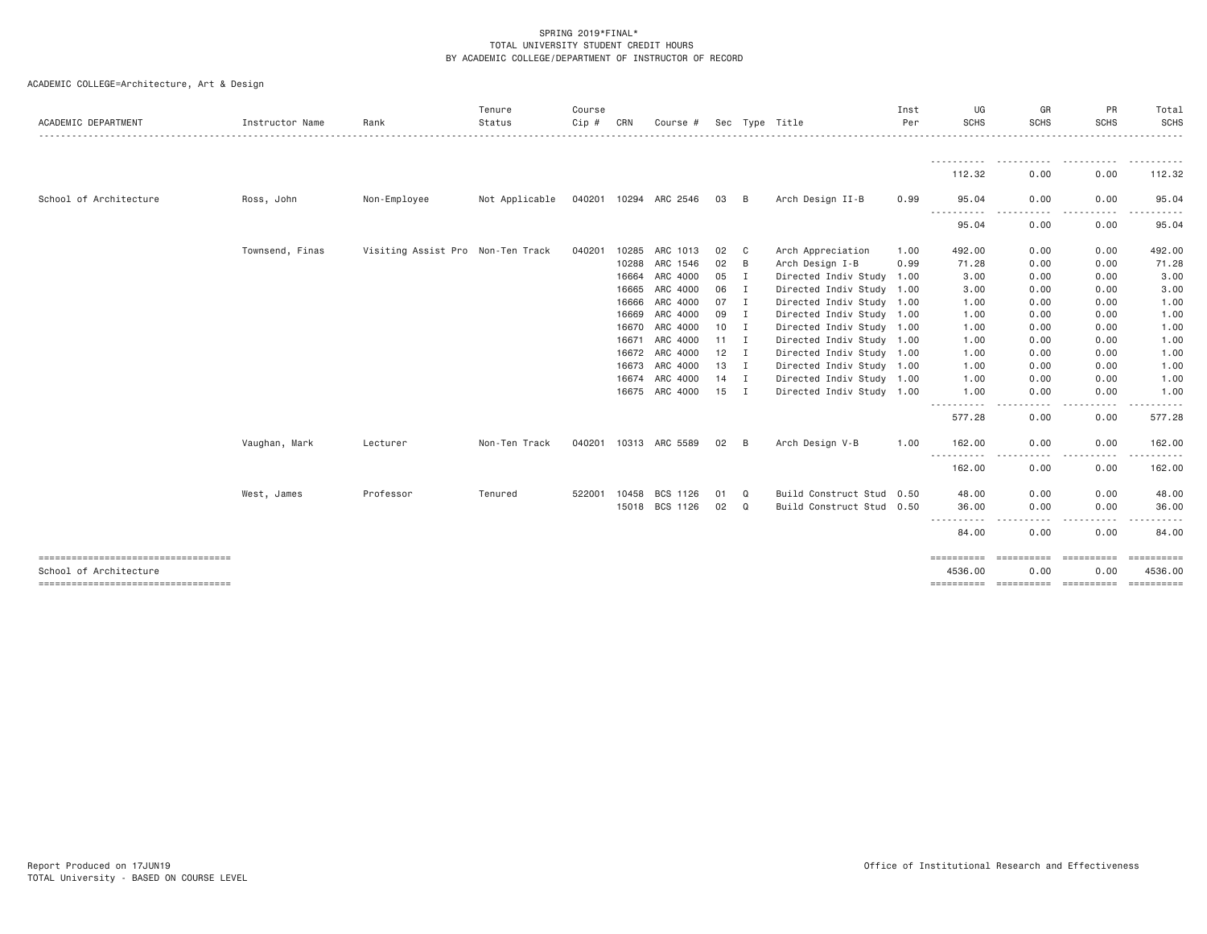| <b>ACADEMIC DEPARTMENT</b>           | Instructor Name | Rank                              | Tenure<br>Status | Course<br>Cip # | CRN   | Course #              |              |                | Sec Type Title            | Inst<br>Per | UG<br><b>SCHS</b>                                                                                                                       | GR<br><b>SCHS</b> | PR<br><b>SCHS</b>              | Total<br><b>SCHS</b> |
|--------------------------------------|-----------------|-----------------------------------|------------------|-----------------|-------|-----------------------|--------------|----------------|---------------------------|-------------|-----------------------------------------------------------------------------------------------------------------------------------------|-------------------|--------------------------------|----------------------|
|                                      |                 |                                   |                  |                 |       |                       |              |                |                           |             | -----------                                                                                                                             | .                 | .                              | ----------           |
|                                      |                 |                                   |                  |                 |       |                       |              |                |                           |             | 112.32                                                                                                                                  | 0.00              | 0.00                           | 112.32               |
| School of Architecture               | Ross, John      | Non-Employee                      | Not Applicable   |                 |       | 040201 10294 ARC 2546 | 03           | B              | Arch Design II-B          | 0.99        | 95.04                                                                                                                                   | 0.00              | 0.00                           | 95.04                |
|                                      |                 |                                   |                  |                 |       |                       |              |                |                           |             | $\frac{1}{2} \left( \frac{1}{2} \right) \left( \frac{1}{2} \right) \left( \frac{1}{2} \right) \left( \frac{1}{2} \right)$<br>.<br>95.04 | 0.00              | 0.00                           | 95.04                |
|                                      | Townsend, Finas | Visiting Assist Pro Non-Ten Track |                  | 040201          | 10285 | ARC 1013              | 02           | $\mathbf{C}$   | Arch Appreciation         | 1.00        | 492.00                                                                                                                                  | 0.00              | 0.00                           | 492.00               |
|                                      |                 |                                   |                  |                 | 10288 | ARC 1546              | 02           | B              | Arch Design I-B           | 0.99        | 71.28                                                                                                                                   | 0.00              | 0.00                           | 71.28                |
|                                      |                 |                                   |                  |                 | 16664 | ARC 4000              | 05           | $\mathbf{I}$   | Directed Indiv Study 1.00 |             | 3.00                                                                                                                                    | 0.00              | 0.00                           | 3.00                 |
|                                      |                 |                                   |                  |                 | 16665 | ARC 4000              | 06           | I.             | Directed Indiv Study 1.00 |             | 3.00                                                                                                                                    | 0.00              | 0.00                           | 3.00                 |
|                                      |                 |                                   |                  |                 | 16666 | ARC 4000              | 07           | $\blacksquare$ | Directed Indiv Study 1.00 |             | 1.00                                                                                                                                    | 0.00              | 0.00                           | 1.00                 |
|                                      |                 |                                   |                  |                 | 16669 | ARC 4000              | 09           | $\blacksquare$ | Directed Indiv Study 1.00 |             | 1.00                                                                                                                                    | 0.00              | 0.00                           | 1.00                 |
|                                      |                 |                                   |                  |                 | 16670 | ARC 4000              | $10$ I       |                | Directed Indiv Study 1.00 |             | 1.00                                                                                                                                    | 0.00              | 0.00                           | 1.00                 |
|                                      |                 |                                   |                  |                 | 16671 | ARC 4000              | $11 \quad I$ |                | Directed Indiv Study 1.00 |             | 1.00                                                                                                                                    | 0.00              | 0.00                           | 1.00                 |
|                                      |                 |                                   |                  |                 |       | 16672 ARC 4000        | $12$ I       |                | Directed Indiv Study 1.00 |             | 1.00                                                                                                                                    | 0.00              | 0.00                           | 1.00                 |
|                                      |                 |                                   |                  |                 |       | 16673 ARC 4000        | 13 I         |                | Directed Indiv Study 1.00 |             | 1.00                                                                                                                                    | 0.00              | 0.00                           | 1.00                 |
|                                      |                 |                                   |                  |                 |       | 16674 ARC 4000        | $14$ I       |                | Directed Indiv Study 1.00 |             | 1.00                                                                                                                                    | 0.00              | 0.00                           | 1.00                 |
|                                      |                 |                                   |                  |                 |       | 16675 ARC 4000        | $15$ I       |                | Directed Indiv Study 1.00 |             | 1.00                                                                                                                                    | 0.00              | 0.00                           | 1.00                 |
|                                      |                 |                                   |                  |                 |       |                       |              |                |                           |             | 577.28                                                                                                                                  | 0.00              | 0.00                           | 577.28               |
|                                      | Vaughan, Mark   | Lecturer                          | Non-Ten Track    |                 |       | 040201 10313 ARC 5589 | 02           | B              | Arch Design V-B           | 1.00        | 162.00                                                                                                                                  | 0.00              | 0.00                           | 162.00               |
|                                      |                 |                                   |                  |                 |       |                       |              |                |                           |             | ----------<br>162.00                                                                                                                    | $- - -$<br>0.00   | $- - -$<br>$- - - - -$<br>0.00 | --------<br>162.00   |
|                                      | West, James     | Professor                         | Tenured          | 522001          | 10458 | BCS 1126              | 01           | Q              | Build Construct Stud 0.50 |             | 48.00                                                                                                                                   | 0.00              | 0.00                           | 48.00                |
|                                      |                 |                                   |                  |                 |       | 15018 BCS 1126        | 02           | Q              | Build Construct Stud 0.50 |             | 36.00<br>$\frac{1}{2}$                                                                                                                  | 0.00<br>.         | 0.00<br>.                      | 36.00                |
|                                      |                 |                                   |                  |                 |       |                       |              |                |                           |             | 84.00                                                                                                                                   | 0.00              | 0.00                           | 84.00                |
| School of Architecture               |                 |                                   |                  |                 |       |                       |              |                |                           |             | ==========<br>4536.00                                                                                                                   | 0.00              | 0.00                           | 4536.00              |
| ------------------------------------ |                 |                                   |                  |                 |       |                       |              |                |                           |             |                                                                                                                                         |                   |                                | ==========           |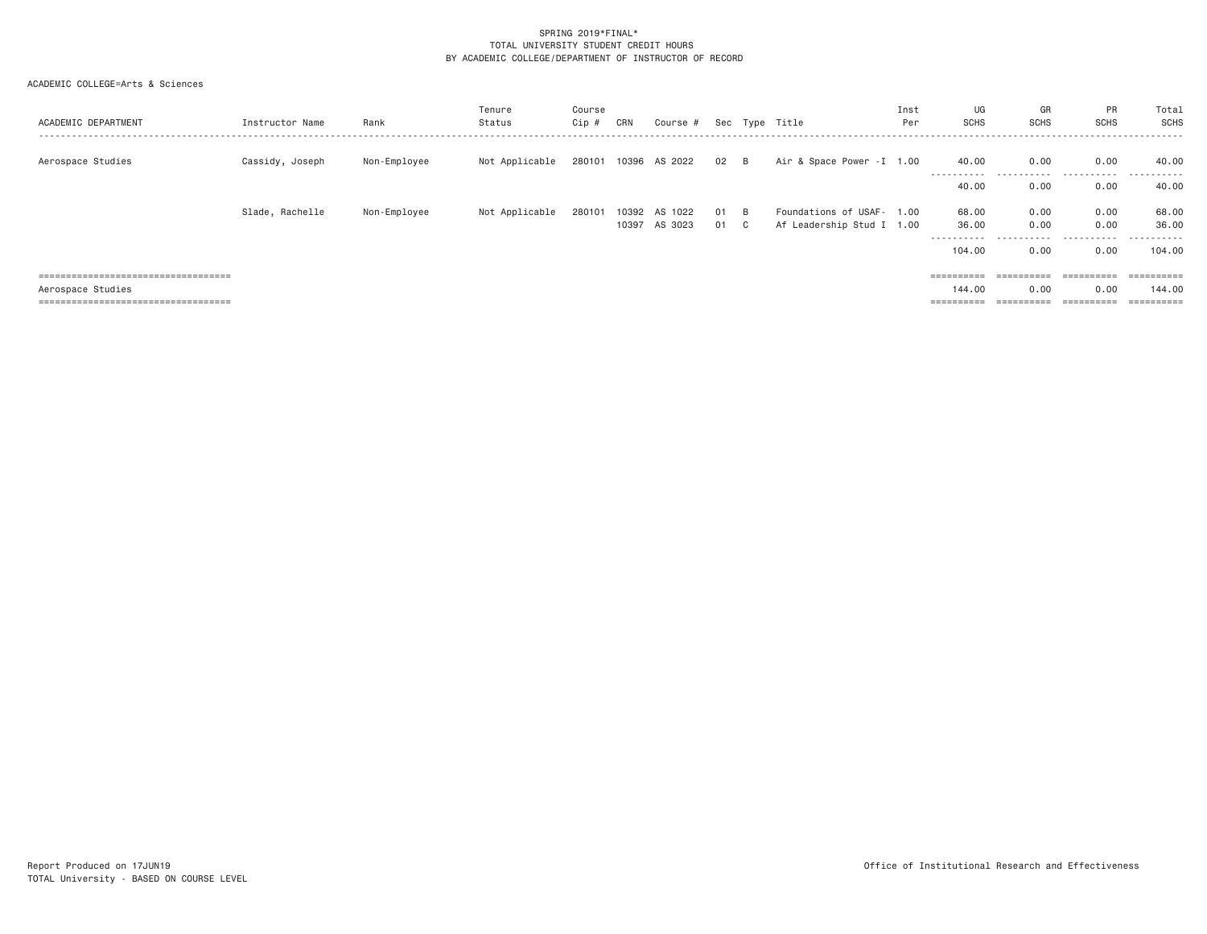| ACADEMIC DEPARTMENT                   | Instructor Name | Rank         | Tenure<br>Status | Course<br>Cip # | CRN            | Course #              |          |         | Sec Type Title                                         | Inst<br>Per | UG<br><b>SCHS</b>     | GR<br><b>SCHS</b>          | PR<br><b>SCHS</b> | Total<br>SCHS<br>.               |
|---------------------------------------|-----------------|--------------|------------------|-----------------|----------------|-----------------------|----------|---------|--------------------------------------------------------|-------------|-----------------------|----------------------------|-------------------|----------------------------------|
| Aerospace Studies                     | Cassidy, Joseph | Non-Employee | Not Applicable   | 280101          | 10396          | AS 2022               | 02       | B       | Air & Space Power - I 1.00                             |             | 40.00<br>----------   | 0.00<br>$- - -$<br>------- | 0.00<br>.         | 40.00<br>. <b>.</b> .<br>$- - -$ |
|                                       |                 |              |                  |                 |                |                       |          |         |                                                        |             | 40.00                 | 0.00                       | 0.00              | 40.00                            |
|                                       | Slade, Rachelle | Non-Employee | Not Applicable   | 280101          | 10392<br>10397 | 1022<br>AS<br>AS 3023 | 01<br>01 | B<br>C. | Foundations of USAF- 1.00<br>Af Leadership Stud I 1.00 |             | 68.00<br>36.00        | 0.00<br>0.00               | 0.00<br>0.00      | 68.00<br>36.00                   |
|                                       |                 |              |                  |                 |                |                       |          |         |                                                        |             | ----------<br>104,00  | .<br>0.00                  | .<br>0.00         | .<br>104.00                      |
| ===================================== |                 |              |                  |                 |                |                       |          |         |                                                        |             | $=$ = = = = = = = = = | $=$ = = = = = = = = =      |                   | ==========                       |
| Aerospace Studies                     |                 |              |                  |                 |                |                       |          |         |                                                        |             | 144.00                | 0.00                       | 0.00              | 144.00                           |
| ===================================== |                 |              |                  |                 |                |                       |          |         |                                                        |             |                       | ==========                 |                   | ==========                       |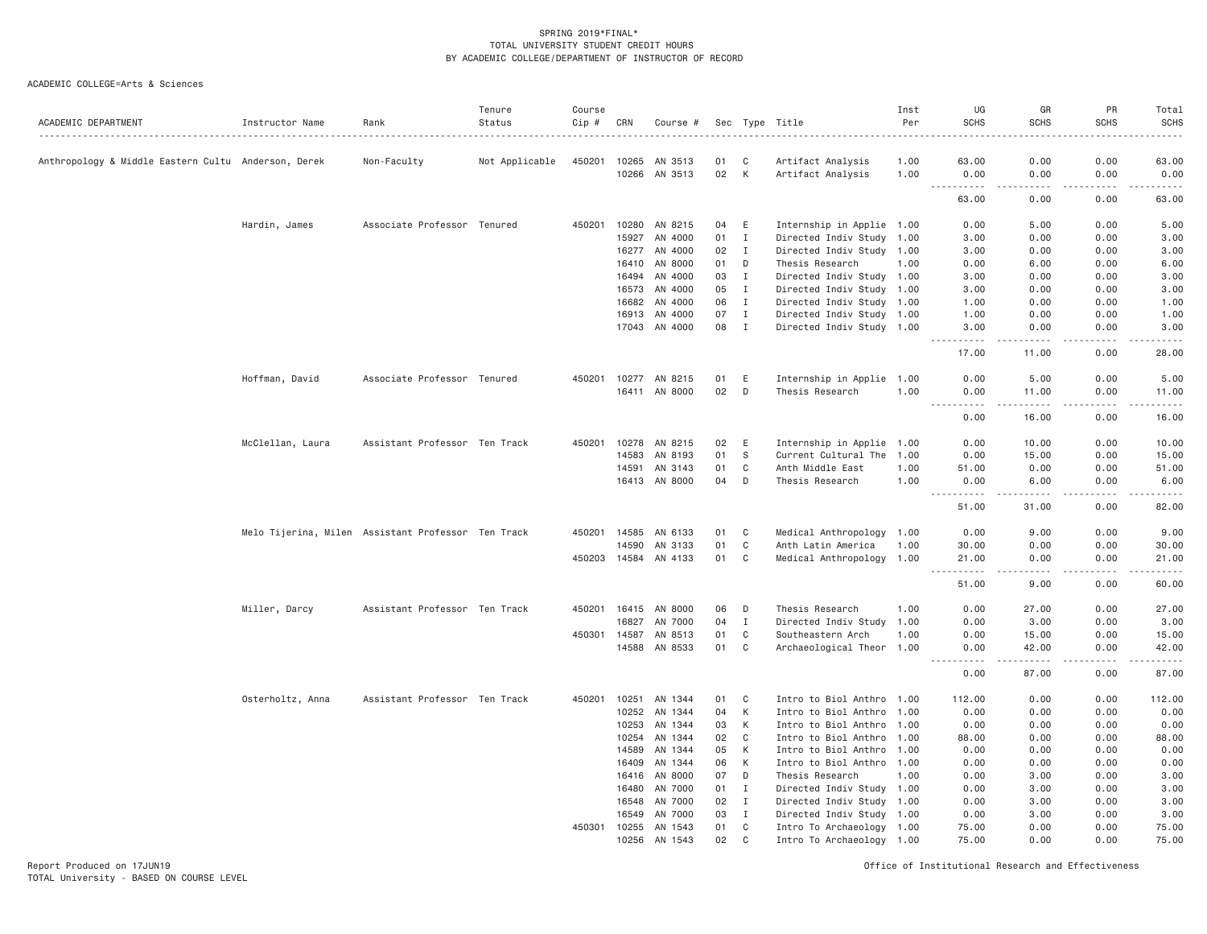ACADEMIC COLLEGE=Arts & Sciences

| 0.00<br>0.00<br>63.00<br>Anthropology & Middle Eastern Cultu Anderson, Derek<br>Non-Faculty<br>Not Applicable<br>450201 10265<br>AN 3513<br>01<br>C<br>Artifact Analysis<br>1.00<br>63.00<br>02<br>K<br>0.00<br>10266<br>AN 3513<br>Artifact Analysis<br>1.00<br>0.00<br>0.00<br>0.00<br>$\sim$ $\sim$ $\sim$ $\sim$<br>.<br>$-$<br>.<br>.<br>0.00<br>0.00<br>63.00<br>Hardin, James<br>Associate Professor Tenured<br>E<br>Internship in Applie 1.00<br>450201<br>10280 AN 8215<br>04<br>0.00<br>5.00<br>0.00<br>5.00<br>15927<br>AN 4000<br>01<br>$\mathbf{I}$<br>Directed Indiv Study 1.00<br>0.00<br>0.00<br>3.00<br>3.00<br>16277 AN 4000<br>02<br>$\mathbf{I}$<br>Directed Indiv Study 1.00<br>3.00<br>0.00<br>0.00<br>AN 8000<br>01<br>D<br>Thesis Research<br>0.00<br>6.00<br>0.00<br>16410<br>1,00<br>AN 4000<br>3.00<br>16494<br>03<br>$\mathbf{I}$<br>Directed Indiv Study 1.00<br>3.00<br>0.00<br>0.00<br>16573<br>AN 4000<br>05<br>Ι.<br>Directed Indiv Study 1.00<br>3.00<br>0.00<br>0.00<br>3.00<br>AN 4000<br>06<br>$\mathbf{I}$<br>Directed Indiv Study 1.00<br>0.00<br>0.00<br>16682<br>1.00<br>AN 4000<br>07<br>$\mathbf{I}$<br>Directed Indiv Study 1.00<br>0.00<br>16913<br>1.00<br>0.00<br>17043 AN 4000<br>08<br>$\mathbf{I}$<br>Directed Indiv Study 1.00<br>3.00<br>0.00<br>0.00<br>3.00<br>.<br>-----<br>.<br>.<br>$\frac{1}{2} \left( \frac{1}{2} \right) \left( \frac{1}{2} \right) \left( \frac{1}{2} \right)$<br>0.00<br>28.00<br>17.00<br>11.00<br>Internship in Applie 1.00<br>Hoffman, David<br>Associate Professor Tenured<br>450201<br>10277 AN 8215<br>01<br>E<br>0.00<br>5.00<br>0.00<br>5.00<br>16411 AN 8000<br>02<br>D<br>Thesis Research<br>0.00<br>1.00<br>0.00<br>11.00<br>11.00<br>.<br>.<br>. <b>.</b><br>.<br>$\sim$ $\sim$ $\sim$<br>0.00<br>16.00<br>0.00<br>Assistant Professor Ten Track<br>10.00<br>McClellan, Laura<br>450201<br>10278<br>AN 8215<br>02<br>E<br>Internship in Applie 1.00<br>0.00<br>10.00<br>0.00<br>01<br>- S<br>Current Cultural The<br>15.00<br>14583<br>AN 8193<br>1.00<br>0.00<br>15.00<br>0.00<br>14591<br>AN 3143<br>01<br>C<br>Anth Middle East<br>1.00<br>51.00<br>0.00<br>0.00<br>D<br>16413 AN 8000<br>04<br>Thesis Research<br>1.00<br>0.00<br>6.00<br>0.00<br>6.00<br>.<br>.<br>. <b>.</b><br>.<br>51.00<br>0.00<br>31.00<br>C<br>9.00<br>0.00<br>Melo Tijerina, Milen Assistant Professor Ten Track<br>450201 14585<br>AN 6133<br>01<br>Medical Anthropology 1.00<br>0.00<br>01<br>C<br>0.00<br>0.00<br>14590<br>AN 3133<br>Anth Latin America<br>1.00<br>30.00<br>30.00<br>01<br>450203 14584 AN 4133<br>C<br>Medical Anthropology<br>1.00<br>21.00<br>0.00<br>0.00<br>21.00<br>$\sim$ $\sim$ $\sim$<br>.<br>$\sim$ $\sim$ $\sim$ $\sim$<br>.<br>.<br>51.00<br>9.00<br>0.00<br>Miller, Darcy<br>Assistant Professor Ten Track<br>450201 16415 AN 8000<br>06<br>Thesis Research<br>27.00<br>0.00<br>D<br>1.00<br>0.00<br>04<br>0.00<br>16827<br>AN 7000<br>I<br>Directed Indiv Study<br>1.00<br>0.00<br>3.00<br>450301 14587<br>AN 8513<br>01<br>C<br>1.00<br>0.00<br>15.00<br>0.00<br>Southeastern Arch<br>14588 AN 8533<br>01<br>C<br>Archaeological Theor 1.00<br>42.00<br>0.00<br>0.00<br>.<br>$\frac{1}{2} \left( \frac{1}{2} \right) \left( \frac{1}{2} \right) \left( \frac{1}{2} \right) \left( \frac{1}{2} \right) \left( \frac{1}{2} \right)$<br>.<br>.<br>0.00<br>0.00<br>87.00<br>Assistant Professor Ten Track<br>10251<br>AN 1344<br>C<br>0.00<br>Osterholtz, Anna<br>450201<br>01<br>Intro to Biol Anthro 1.00<br>112.00<br>0.00<br>К<br>10252<br>AN 1344<br>04<br>Intro to Biol Anthro 1.00<br>0.00<br>0.00<br>0.00<br>10253<br>03<br>К<br>0.00<br>0.00<br>0.00<br>AN 1344<br>Intro to Biol Anthro 1.00<br>0.00<br>AN 1344<br>C<br>10254<br>02<br>Intro to Biol Anthro 1.00<br>88.00<br>0.00<br>0.00<br>88.00<br>14589<br>AN 1344<br>05<br>K<br>Intro to Biol Anthro 1.00<br>0.00<br>0.00<br>0.00<br>0.00<br>AN 1344<br>06<br>K<br>Intro to Biol Anthro 1.00<br>0.00<br>0.00<br>0.00<br>16409<br>0.00<br>AN 8000<br>07<br>D<br>Thesis Research<br>0.00<br>16416<br>1.00<br>0.00<br>3.00<br>3.00<br>AN 7000<br>01<br>16480<br>$\mathbf{I}$<br>Directed Indiv Study 1.00<br>0.00<br>3.00<br>0.00<br>3.00<br>AN 7000<br>02<br>$\mathbf{I}$<br>Directed Indiv Study 1.00<br>0.00<br>3.00<br>0.00<br>3.00<br>16548<br>AN 7000<br>03<br>$\mathbf I$<br>0.00<br>3.00<br>16549<br>Directed Indiv Study 1.00<br>0.00<br>3.00<br>$\mathbf C$<br>450301<br>10255<br>AN 1543<br>01<br>Intro To Archaeology 1.00<br>75.00<br>0.00<br>0.00<br>75.00<br>10256<br>AN 1543<br>02<br>C<br>Intro To Archaeology 1.00<br>75.00<br>0.00<br>0.00 | ACADEMIC DEPARTMENT | Instructor Name | Rank | Tenure<br>Status | Course<br>Cip # | CRN | Course # |  | Sec Type Title<br>. | Inst<br>Per | UG<br><b>SCHS</b> | GR<br><b>SCHS</b> | PR<br><b>SCHS</b> | Total<br><b>SCHS</b><br>$\frac{1}{2}$ |
|-------------------------------------------------------------------------------------------------------------------------------------------------------------------------------------------------------------------------------------------------------------------------------------------------------------------------------------------------------------------------------------------------------------------------------------------------------------------------------------------------------------------------------------------------------------------------------------------------------------------------------------------------------------------------------------------------------------------------------------------------------------------------------------------------------------------------------------------------------------------------------------------------------------------------------------------------------------------------------------------------------------------------------------------------------------------------------------------------------------------------------------------------------------------------------------------------------------------------------------------------------------------------------------------------------------------------------------------------------------------------------------------------------------------------------------------------------------------------------------------------------------------------------------------------------------------------------------------------------------------------------------------------------------------------------------------------------------------------------------------------------------------------------------------------------------------------------------------------------------------------------------------------------------------------------------------------------------------------------------------------------------------------------------------------------------------------------------------------------------------------------------------------------------------------------------------------------------------------------------------------------------------------------------------------------------------------------------------------------------------------------------------------------------------------------------------------------------------------------------------------------------------------------------------------------------------------------------------------------------------------------------------------------------------------------------------------------------------------------------------------------------------------------------------------------------------------------------------------------------------------------------------------------------------------------------------------------------------------------------------------------------------------------------------------------------------------------------------------------------------------------------------------------------------------------------------------------------------------------------------------------------------------------------------------------------------------------------------------------------------------------------------------------------------------------------------------------------------------------------------------------------------------------------------------------------------------------------------------------------------------------------------------------------------------------------------------------------------------------------------------------------------------------------------------------------------------------------------------------------------------------------------------------------------------------------------------------------------------------------------------------------------------------------------------------------------------------------------------------------------------------------------------------------------------------------------------------------------------------------------------------------------------------------------------------------------------------------------------------------------------------------------------------------------------------------------------------------------------------------------------------------------------------------------------------------------------------------------------------------------------------|---------------------|-----------------|------|------------------|-----------------|-----|----------|--|---------------------|-------------|-------------------|-------------------|-------------------|---------------------------------------|
|                                                                                                                                                                                                                                                                                                                                                                                                                                                                                                                                                                                                                                                                                                                                                                                                                                                                                                                                                                                                                                                                                                                                                                                                                                                                                                                                                                                                                                                                                                                                                                                                                                                                                                                                                                                                                                                                                                                                                                                                                                                                                                                                                                                                                                                                                                                                                                                                                                                                                                                                                                                                                                                                                                                                                                                                                                                                                                                                                                                                                                                                                                                                                                                                                                                                                                                                                                                                                                                                                                                                                                                                                                                                                                                                                                                                                                                                                                                                                                                                                                                                                                                                                                                                                                                                                                                                                                                                                                                                                                                                                                                                                               |                     |                 |      |                  |                 |     |          |  |                     |             |                   |                   |                   |                                       |
|                                                                                                                                                                                                                                                                                                                                                                                                                                                                                                                                                                                                                                                                                                                                                                                                                                                                                                                                                                                                                                                                                                                                                                                                                                                                                                                                                                                                                                                                                                                                                                                                                                                                                                                                                                                                                                                                                                                                                                                                                                                                                                                                                                                                                                                                                                                                                                                                                                                                                                                                                                                                                                                                                                                                                                                                                                                                                                                                                                                                                                                                                                                                                                                                                                                                                                                                                                                                                                                                                                                                                                                                                                                                                                                                                                                                                                                                                                                                                                                                                                                                                                                                                                                                                                                                                                                                                                                                                                                                                                                                                                                                                               |                     |                 |      |                  |                 |     |          |  |                     |             |                   |                   |                   |                                       |
|                                                                                                                                                                                                                                                                                                                                                                                                                                                                                                                                                                                                                                                                                                                                                                                                                                                                                                                                                                                                                                                                                                                                                                                                                                                                                                                                                                                                                                                                                                                                                                                                                                                                                                                                                                                                                                                                                                                                                                                                                                                                                                                                                                                                                                                                                                                                                                                                                                                                                                                                                                                                                                                                                                                                                                                                                                                                                                                                                                                                                                                                                                                                                                                                                                                                                                                                                                                                                                                                                                                                                                                                                                                                                                                                                                                                                                                                                                                                                                                                                                                                                                                                                                                                                                                                                                                                                                                                                                                                                                                                                                                                                               |                     |                 |      |                  |                 |     |          |  |                     |             |                   |                   |                   | 63.00                                 |
|                                                                                                                                                                                                                                                                                                                                                                                                                                                                                                                                                                                                                                                                                                                                                                                                                                                                                                                                                                                                                                                                                                                                                                                                                                                                                                                                                                                                                                                                                                                                                                                                                                                                                                                                                                                                                                                                                                                                                                                                                                                                                                                                                                                                                                                                                                                                                                                                                                                                                                                                                                                                                                                                                                                                                                                                                                                                                                                                                                                                                                                                                                                                                                                                                                                                                                                                                                                                                                                                                                                                                                                                                                                                                                                                                                                                                                                                                                                                                                                                                                                                                                                                                                                                                                                                                                                                                                                                                                                                                                                                                                                                                               |                     |                 |      |                  |                 |     |          |  |                     |             |                   |                   |                   |                                       |
|                                                                                                                                                                                                                                                                                                                                                                                                                                                                                                                                                                                                                                                                                                                                                                                                                                                                                                                                                                                                                                                                                                                                                                                                                                                                                                                                                                                                                                                                                                                                                                                                                                                                                                                                                                                                                                                                                                                                                                                                                                                                                                                                                                                                                                                                                                                                                                                                                                                                                                                                                                                                                                                                                                                                                                                                                                                                                                                                                                                                                                                                                                                                                                                                                                                                                                                                                                                                                                                                                                                                                                                                                                                                                                                                                                                                                                                                                                                                                                                                                                                                                                                                                                                                                                                                                                                                                                                                                                                                                                                                                                                                                               |                     |                 |      |                  |                 |     |          |  |                     |             |                   |                   |                   |                                       |
|                                                                                                                                                                                                                                                                                                                                                                                                                                                                                                                                                                                                                                                                                                                                                                                                                                                                                                                                                                                                                                                                                                                                                                                                                                                                                                                                                                                                                                                                                                                                                                                                                                                                                                                                                                                                                                                                                                                                                                                                                                                                                                                                                                                                                                                                                                                                                                                                                                                                                                                                                                                                                                                                                                                                                                                                                                                                                                                                                                                                                                                                                                                                                                                                                                                                                                                                                                                                                                                                                                                                                                                                                                                                                                                                                                                                                                                                                                                                                                                                                                                                                                                                                                                                                                                                                                                                                                                                                                                                                                                                                                                                                               |                     |                 |      |                  |                 |     |          |  |                     |             |                   |                   |                   | 3.00                                  |
|                                                                                                                                                                                                                                                                                                                                                                                                                                                                                                                                                                                                                                                                                                                                                                                                                                                                                                                                                                                                                                                                                                                                                                                                                                                                                                                                                                                                                                                                                                                                                                                                                                                                                                                                                                                                                                                                                                                                                                                                                                                                                                                                                                                                                                                                                                                                                                                                                                                                                                                                                                                                                                                                                                                                                                                                                                                                                                                                                                                                                                                                                                                                                                                                                                                                                                                                                                                                                                                                                                                                                                                                                                                                                                                                                                                                                                                                                                                                                                                                                                                                                                                                                                                                                                                                                                                                                                                                                                                                                                                                                                                                                               |                     |                 |      |                  |                 |     |          |  |                     |             |                   |                   |                   | 6.00                                  |
|                                                                                                                                                                                                                                                                                                                                                                                                                                                                                                                                                                                                                                                                                                                                                                                                                                                                                                                                                                                                                                                                                                                                                                                                                                                                                                                                                                                                                                                                                                                                                                                                                                                                                                                                                                                                                                                                                                                                                                                                                                                                                                                                                                                                                                                                                                                                                                                                                                                                                                                                                                                                                                                                                                                                                                                                                                                                                                                                                                                                                                                                                                                                                                                                                                                                                                                                                                                                                                                                                                                                                                                                                                                                                                                                                                                                                                                                                                                                                                                                                                                                                                                                                                                                                                                                                                                                                                                                                                                                                                                                                                                                                               |                     |                 |      |                  |                 |     |          |  |                     |             |                   |                   |                   |                                       |
|                                                                                                                                                                                                                                                                                                                                                                                                                                                                                                                                                                                                                                                                                                                                                                                                                                                                                                                                                                                                                                                                                                                                                                                                                                                                                                                                                                                                                                                                                                                                                                                                                                                                                                                                                                                                                                                                                                                                                                                                                                                                                                                                                                                                                                                                                                                                                                                                                                                                                                                                                                                                                                                                                                                                                                                                                                                                                                                                                                                                                                                                                                                                                                                                                                                                                                                                                                                                                                                                                                                                                                                                                                                                                                                                                                                                                                                                                                                                                                                                                                                                                                                                                                                                                                                                                                                                                                                                                                                                                                                                                                                                                               |                     |                 |      |                  |                 |     |          |  |                     |             |                   |                   |                   |                                       |
|                                                                                                                                                                                                                                                                                                                                                                                                                                                                                                                                                                                                                                                                                                                                                                                                                                                                                                                                                                                                                                                                                                                                                                                                                                                                                                                                                                                                                                                                                                                                                                                                                                                                                                                                                                                                                                                                                                                                                                                                                                                                                                                                                                                                                                                                                                                                                                                                                                                                                                                                                                                                                                                                                                                                                                                                                                                                                                                                                                                                                                                                                                                                                                                                                                                                                                                                                                                                                                                                                                                                                                                                                                                                                                                                                                                                                                                                                                                                                                                                                                                                                                                                                                                                                                                                                                                                                                                                                                                                                                                                                                                                                               |                     |                 |      |                  |                 |     |          |  |                     |             |                   |                   |                   | 1.00                                  |
|                                                                                                                                                                                                                                                                                                                                                                                                                                                                                                                                                                                                                                                                                                                                                                                                                                                                                                                                                                                                                                                                                                                                                                                                                                                                                                                                                                                                                                                                                                                                                                                                                                                                                                                                                                                                                                                                                                                                                                                                                                                                                                                                                                                                                                                                                                                                                                                                                                                                                                                                                                                                                                                                                                                                                                                                                                                                                                                                                                                                                                                                                                                                                                                                                                                                                                                                                                                                                                                                                                                                                                                                                                                                                                                                                                                                                                                                                                                                                                                                                                                                                                                                                                                                                                                                                                                                                                                                                                                                                                                                                                                                                               |                     |                 |      |                  |                 |     |          |  |                     |             |                   |                   |                   | 1.00                                  |
|                                                                                                                                                                                                                                                                                                                                                                                                                                                                                                                                                                                                                                                                                                                                                                                                                                                                                                                                                                                                                                                                                                                                                                                                                                                                                                                                                                                                                                                                                                                                                                                                                                                                                                                                                                                                                                                                                                                                                                                                                                                                                                                                                                                                                                                                                                                                                                                                                                                                                                                                                                                                                                                                                                                                                                                                                                                                                                                                                                                                                                                                                                                                                                                                                                                                                                                                                                                                                                                                                                                                                                                                                                                                                                                                                                                                                                                                                                                                                                                                                                                                                                                                                                                                                                                                                                                                                                                                                                                                                                                                                                                                                               |                     |                 |      |                  |                 |     |          |  |                     |             |                   |                   |                   |                                       |
|                                                                                                                                                                                                                                                                                                                                                                                                                                                                                                                                                                                                                                                                                                                                                                                                                                                                                                                                                                                                                                                                                                                                                                                                                                                                                                                                                                                                                                                                                                                                                                                                                                                                                                                                                                                                                                                                                                                                                                                                                                                                                                                                                                                                                                                                                                                                                                                                                                                                                                                                                                                                                                                                                                                                                                                                                                                                                                                                                                                                                                                                                                                                                                                                                                                                                                                                                                                                                                                                                                                                                                                                                                                                                                                                                                                                                                                                                                                                                                                                                                                                                                                                                                                                                                                                                                                                                                                                                                                                                                                                                                                                                               |                     |                 |      |                  |                 |     |          |  |                     |             |                   |                   |                   |                                       |
|                                                                                                                                                                                                                                                                                                                                                                                                                                                                                                                                                                                                                                                                                                                                                                                                                                                                                                                                                                                                                                                                                                                                                                                                                                                                                                                                                                                                                                                                                                                                                                                                                                                                                                                                                                                                                                                                                                                                                                                                                                                                                                                                                                                                                                                                                                                                                                                                                                                                                                                                                                                                                                                                                                                                                                                                                                                                                                                                                                                                                                                                                                                                                                                                                                                                                                                                                                                                                                                                                                                                                                                                                                                                                                                                                                                                                                                                                                                                                                                                                                                                                                                                                                                                                                                                                                                                                                                                                                                                                                                                                                                                                               |                     |                 |      |                  |                 |     |          |  |                     |             |                   |                   |                   |                                       |
|                                                                                                                                                                                                                                                                                                                                                                                                                                                                                                                                                                                                                                                                                                                                                                                                                                                                                                                                                                                                                                                                                                                                                                                                                                                                                                                                                                                                                                                                                                                                                                                                                                                                                                                                                                                                                                                                                                                                                                                                                                                                                                                                                                                                                                                                                                                                                                                                                                                                                                                                                                                                                                                                                                                                                                                                                                                                                                                                                                                                                                                                                                                                                                                                                                                                                                                                                                                                                                                                                                                                                                                                                                                                                                                                                                                                                                                                                                                                                                                                                                                                                                                                                                                                                                                                                                                                                                                                                                                                                                                                                                                                                               |                     |                 |      |                  |                 |     |          |  |                     |             |                   |                   |                   |                                       |
|                                                                                                                                                                                                                                                                                                                                                                                                                                                                                                                                                                                                                                                                                                                                                                                                                                                                                                                                                                                                                                                                                                                                                                                                                                                                                                                                                                                                                                                                                                                                                                                                                                                                                                                                                                                                                                                                                                                                                                                                                                                                                                                                                                                                                                                                                                                                                                                                                                                                                                                                                                                                                                                                                                                                                                                                                                                                                                                                                                                                                                                                                                                                                                                                                                                                                                                                                                                                                                                                                                                                                                                                                                                                                                                                                                                                                                                                                                                                                                                                                                                                                                                                                                                                                                                                                                                                                                                                                                                                                                                                                                                                                               |                     |                 |      |                  |                 |     |          |  |                     |             |                   |                   |                   | 16.00                                 |
|                                                                                                                                                                                                                                                                                                                                                                                                                                                                                                                                                                                                                                                                                                                                                                                                                                                                                                                                                                                                                                                                                                                                                                                                                                                                                                                                                                                                                                                                                                                                                                                                                                                                                                                                                                                                                                                                                                                                                                                                                                                                                                                                                                                                                                                                                                                                                                                                                                                                                                                                                                                                                                                                                                                                                                                                                                                                                                                                                                                                                                                                                                                                                                                                                                                                                                                                                                                                                                                                                                                                                                                                                                                                                                                                                                                                                                                                                                                                                                                                                                                                                                                                                                                                                                                                                                                                                                                                                                                                                                                                                                                                                               |                     |                 |      |                  |                 |     |          |  |                     |             |                   |                   |                   |                                       |
|                                                                                                                                                                                                                                                                                                                                                                                                                                                                                                                                                                                                                                                                                                                                                                                                                                                                                                                                                                                                                                                                                                                                                                                                                                                                                                                                                                                                                                                                                                                                                                                                                                                                                                                                                                                                                                                                                                                                                                                                                                                                                                                                                                                                                                                                                                                                                                                                                                                                                                                                                                                                                                                                                                                                                                                                                                                                                                                                                                                                                                                                                                                                                                                                                                                                                                                                                                                                                                                                                                                                                                                                                                                                                                                                                                                                                                                                                                                                                                                                                                                                                                                                                                                                                                                                                                                                                                                                                                                                                                                                                                                                                               |                     |                 |      |                  |                 |     |          |  |                     |             |                   |                   |                   |                                       |
|                                                                                                                                                                                                                                                                                                                                                                                                                                                                                                                                                                                                                                                                                                                                                                                                                                                                                                                                                                                                                                                                                                                                                                                                                                                                                                                                                                                                                                                                                                                                                                                                                                                                                                                                                                                                                                                                                                                                                                                                                                                                                                                                                                                                                                                                                                                                                                                                                                                                                                                                                                                                                                                                                                                                                                                                                                                                                                                                                                                                                                                                                                                                                                                                                                                                                                                                                                                                                                                                                                                                                                                                                                                                                                                                                                                                                                                                                                                                                                                                                                                                                                                                                                                                                                                                                                                                                                                                                                                                                                                                                                                                                               |                     |                 |      |                  |                 |     |          |  |                     |             |                   |                   |                   | 51.00                                 |
|                                                                                                                                                                                                                                                                                                                                                                                                                                                                                                                                                                                                                                                                                                                                                                                                                                                                                                                                                                                                                                                                                                                                                                                                                                                                                                                                                                                                                                                                                                                                                                                                                                                                                                                                                                                                                                                                                                                                                                                                                                                                                                                                                                                                                                                                                                                                                                                                                                                                                                                                                                                                                                                                                                                                                                                                                                                                                                                                                                                                                                                                                                                                                                                                                                                                                                                                                                                                                                                                                                                                                                                                                                                                                                                                                                                                                                                                                                                                                                                                                                                                                                                                                                                                                                                                                                                                                                                                                                                                                                                                                                                                                               |                     |                 |      |                  |                 |     |          |  |                     |             |                   |                   |                   |                                       |
|                                                                                                                                                                                                                                                                                                                                                                                                                                                                                                                                                                                                                                                                                                                                                                                                                                                                                                                                                                                                                                                                                                                                                                                                                                                                                                                                                                                                                                                                                                                                                                                                                                                                                                                                                                                                                                                                                                                                                                                                                                                                                                                                                                                                                                                                                                                                                                                                                                                                                                                                                                                                                                                                                                                                                                                                                                                                                                                                                                                                                                                                                                                                                                                                                                                                                                                                                                                                                                                                                                                                                                                                                                                                                                                                                                                                                                                                                                                                                                                                                                                                                                                                                                                                                                                                                                                                                                                                                                                                                                                                                                                                                               |                     |                 |      |                  |                 |     |          |  |                     |             |                   |                   |                   | 82.00                                 |
|                                                                                                                                                                                                                                                                                                                                                                                                                                                                                                                                                                                                                                                                                                                                                                                                                                                                                                                                                                                                                                                                                                                                                                                                                                                                                                                                                                                                                                                                                                                                                                                                                                                                                                                                                                                                                                                                                                                                                                                                                                                                                                                                                                                                                                                                                                                                                                                                                                                                                                                                                                                                                                                                                                                                                                                                                                                                                                                                                                                                                                                                                                                                                                                                                                                                                                                                                                                                                                                                                                                                                                                                                                                                                                                                                                                                                                                                                                                                                                                                                                                                                                                                                                                                                                                                                                                                                                                                                                                                                                                                                                                                                               |                     |                 |      |                  |                 |     |          |  |                     |             |                   |                   |                   | 9.00                                  |
|                                                                                                                                                                                                                                                                                                                                                                                                                                                                                                                                                                                                                                                                                                                                                                                                                                                                                                                                                                                                                                                                                                                                                                                                                                                                                                                                                                                                                                                                                                                                                                                                                                                                                                                                                                                                                                                                                                                                                                                                                                                                                                                                                                                                                                                                                                                                                                                                                                                                                                                                                                                                                                                                                                                                                                                                                                                                                                                                                                                                                                                                                                                                                                                                                                                                                                                                                                                                                                                                                                                                                                                                                                                                                                                                                                                                                                                                                                                                                                                                                                                                                                                                                                                                                                                                                                                                                                                                                                                                                                                                                                                                                               |                     |                 |      |                  |                 |     |          |  |                     |             |                   |                   |                   |                                       |
|                                                                                                                                                                                                                                                                                                                                                                                                                                                                                                                                                                                                                                                                                                                                                                                                                                                                                                                                                                                                                                                                                                                                                                                                                                                                                                                                                                                                                                                                                                                                                                                                                                                                                                                                                                                                                                                                                                                                                                                                                                                                                                                                                                                                                                                                                                                                                                                                                                                                                                                                                                                                                                                                                                                                                                                                                                                                                                                                                                                                                                                                                                                                                                                                                                                                                                                                                                                                                                                                                                                                                                                                                                                                                                                                                                                                                                                                                                                                                                                                                                                                                                                                                                                                                                                                                                                                                                                                                                                                                                                                                                                                                               |                     |                 |      |                  |                 |     |          |  |                     |             |                   |                   |                   |                                       |
|                                                                                                                                                                                                                                                                                                                                                                                                                                                                                                                                                                                                                                                                                                                                                                                                                                                                                                                                                                                                                                                                                                                                                                                                                                                                                                                                                                                                                                                                                                                                                                                                                                                                                                                                                                                                                                                                                                                                                                                                                                                                                                                                                                                                                                                                                                                                                                                                                                                                                                                                                                                                                                                                                                                                                                                                                                                                                                                                                                                                                                                                                                                                                                                                                                                                                                                                                                                                                                                                                                                                                                                                                                                                                                                                                                                                                                                                                                                                                                                                                                                                                                                                                                                                                                                                                                                                                                                                                                                                                                                                                                                                                               |                     |                 |      |                  |                 |     |          |  |                     |             |                   |                   |                   | 60.00                                 |
|                                                                                                                                                                                                                                                                                                                                                                                                                                                                                                                                                                                                                                                                                                                                                                                                                                                                                                                                                                                                                                                                                                                                                                                                                                                                                                                                                                                                                                                                                                                                                                                                                                                                                                                                                                                                                                                                                                                                                                                                                                                                                                                                                                                                                                                                                                                                                                                                                                                                                                                                                                                                                                                                                                                                                                                                                                                                                                                                                                                                                                                                                                                                                                                                                                                                                                                                                                                                                                                                                                                                                                                                                                                                                                                                                                                                                                                                                                                                                                                                                                                                                                                                                                                                                                                                                                                                                                                                                                                                                                                                                                                                                               |                     |                 |      |                  |                 |     |          |  |                     |             |                   |                   |                   | 27.00                                 |
|                                                                                                                                                                                                                                                                                                                                                                                                                                                                                                                                                                                                                                                                                                                                                                                                                                                                                                                                                                                                                                                                                                                                                                                                                                                                                                                                                                                                                                                                                                                                                                                                                                                                                                                                                                                                                                                                                                                                                                                                                                                                                                                                                                                                                                                                                                                                                                                                                                                                                                                                                                                                                                                                                                                                                                                                                                                                                                                                                                                                                                                                                                                                                                                                                                                                                                                                                                                                                                                                                                                                                                                                                                                                                                                                                                                                                                                                                                                                                                                                                                                                                                                                                                                                                                                                                                                                                                                                                                                                                                                                                                                                                               |                     |                 |      |                  |                 |     |          |  |                     |             |                   |                   |                   | 3.00                                  |
|                                                                                                                                                                                                                                                                                                                                                                                                                                                                                                                                                                                                                                                                                                                                                                                                                                                                                                                                                                                                                                                                                                                                                                                                                                                                                                                                                                                                                                                                                                                                                                                                                                                                                                                                                                                                                                                                                                                                                                                                                                                                                                                                                                                                                                                                                                                                                                                                                                                                                                                                                                                                                                                                                                                                                                                                                                                                                                                                                                                                                                                                                                                                                                                                                                                                                                                                                                                                                                                                                                                                                                                                                                                                                                                                                                                                                                                                                                                                                                                                                                                                                                                                                                                                                                                                                                                                                                                                                                                                                                                                                                                                                               |                     |                 |      |                  |                 |     |          |  |                     |             |                   |                   |                   | 15.00                                 |
|                                                                                                                                                                                                                                                                                                                                                                                                                                                                                                                                                                                                                                                                                                                                                                                                                                                                                                                                                                                                                                                                                                                                                                                                                                                                                                                                                                                                                                                                                                                                                                                                                                                                                                                                                                                                                                                                                                                                                                                                                                                                                                                                                                                                                                                                                                                                                                                                                                                                                                                                                                                                                                                                                                                                                                                                                                                                                                                                                                                                                                                                                                                                                                                                                                                                                                                                                                                                                                                                                                                                                                                                                                                                                                                                                                                                                                                                                                                                                                                                                                                                                                                                                                                                                                                                                                                                                                                                                                                                                                                                                                                                                               |                     |                 |      |                  |                 |     |          |  |                     |             |                   |                   |                   | 42.00                                 |
|                                                                                                                                                                                                                                                                                                                                                                                                                                                                                                                                                                                                                                                                                                                                                                                                                                                                                                                                                                                                                                                                                                                                                                                                                                                                                                                                                                                                                                                                                                                                                                                                                                                                                                                                                                                                                                                                                                                                                                                                                                                                                                                                                                                                                                                                                                                                                                                                                                                                                                                                                                                                                                                                                                                                                                                                                                                                                                                                                                                                                                                                                                                                                                                                                                                                                                                                                                                                                                                                                                                                                                                                                                                                                                                                                                                                                                                                                                                                                                                                                                                                                                                                                                                                                                                                                                                                                                                                                                                                                                                                                                                                                               |                     |                 |      |                  |                 |     |          |  |                     |             |                   |                   |                   | 87.00                                 |
|                                                                                                                                                                                                                                                                                                                                                                                                                                                                                                                                                                                                                                                                                                                                                                                                                                                                                                                                                                                                                                                                                                                                                                                                                                                                                                                                                                                                                                                                                                                                                                                                                                                                                                                                                                                                                                                                                                                                                                                                                                                                                                                                                                                                                                                                                                                                                                                                                                                                                                                                                                                                                                                                                                                                                                                                                                                                                                                                                                                                                                                                                                                                                                                                                                                                                                                                                                                                                                                                                                                                                                                                                                                                                                                                                                                                                                                                                                                                                                                                                                                                                                                                                                                                                                                                                                                                                                                                                                                                                                                                                                                                                               |                     |                 |      |                  |                 |     |          |  |                     |             |                   |                   |                   | 112.00                                |
|                                                                                                                                                                                                                                                                                                                                                                                                                                                                                                                                                                                                                                                                                                                                                                                                                                                                                                                                                                                                                                                                                                                                                                                                                                                                                                                                                                                                                                                                                                                                                                                                                                                                                                                                                                                                                                                                                                                                                                                                                                                                                                                                                                                                                                                                                                                                                                                                                                                                                                                                                                                                                                                                                                                                                                                                                                                                                                                                                                                                                                                                                                                                                                                                                                                                                                                                                                                                                                                                                                                                                                                                                                                                                                                                                                                                                                                                                                                                                                                                                                                                                                                                                                                                                                                                                                                                                                                                                                                                                                                                                                                                                               |                     |                 |      |                  |                 |     |          |  |                     |             |                   |                   |                   | 0.00                                  |
|                                                                                                                                                                                                                                                                                                                                                                                                                                                                                                                                                                                                                                                                                                                                                                                                                                                                                                                                                                                                                                                                                                                                                                                                                                                                                                                                                                                                                                                                                                                                                                                                                                                                                                                                                                                                                                                                                                                                                                                                                                                                                                                                                                                                                                                                                                                                                                                                                                                                                                                                                                                                                                                                                                                                                                                                                                                                                                                                                                                                                                                                                                                                                                                                                                                                                                                                                                                                                                                                                                                                                                                                                                                                                                                                                                                                                                                                                                                                                                                                                                                                                                                                                                                                                                                                                                                                                                                                                                                                                                                                                                                                                               |                     |                 |      |                  |                 |     |          |  |                     |             |                   |                   |                   |                                       |
|                                                                                                                                                                                                                                                                                                                                                                                                                                                                                                                                                                                                                                                                                                                                                                                                                                                                                                                                                                                                                                                                                                                                                                                                                                                                                                                                                                                                                                                                                                                                                                                                                                                                                                                                                                                                                                                                                                                                                                                                                                                                                                                                                                                                                                                                                                                                                                                                                                                                                                                                                                                                                                                                                                                                                                                                                                                                                                                                                                                                                                                                                                                                                                                                                                                                                                                                                                                                                                                                                                                                                                                                                                                                                                                                                                                                                                                                                                                                                                                                                                                                                                                                                                                                                                                                                                                                                                                                                                                                                                                                                                                                                               |                     |                 |      |                  |                 |     |          |  |                     |             |                   |                   |                   |                                       |
|                                                                                                                                                                                                                                                                                                                                                                                                                                                                                                                                                                                                                                                                                                                                                                                                                                                                                                                                                                                                                                                                                                                                                                                                                                                                                                                                                                                                                                                                                                                                                                                                                                                                                                                                                                                                                                                                                                                                                                                                                                                                                                                                                                                                                                                                                                                                                                                                                                                                                                                                                                                                                                                                                                                                                                                                                                                                                                                                                                                                                                                                                                                                                                                                                                                                                                                                                                                                                                                                                                                                                                                                                                                                                                                                                                                                                                                                                                                                                                                                                                                                                                                                                                                                                                                                                                                                                                                                                                                                                                                                                                                                                               |                     |                 |      |                  |                 |     |          |  |                     |             |                   |                   |                   |                                       |
|                                                                                                                                                                                                                                                                                                                                                                                                                                                                                                                                                                                                                                                                                                                                                                                                                                                                                                                                                                                                                                                                                                                                                                                                                                                                                                                                                                                                                                                                                                                                                                                                                                                                                                                                                                                                                                                                                                                                                                                                                                                                                                                                                                                                                                                                                                                                                                                                                                                                                                                                                                                                                                                                                                                                                                                                                                                                                                                                                                                                                                                                                                                                                                                                                                                                                                                                                                                                                                                                                                                                                                                                                                                                                                                                                                                                                                                                                                                                                                                                                                                                                                                                                                                                                                                                                                                                                                                                                                                                                                                                                                                                                               |                     |                 |      |                  |                 |     |          |  |                     |             |                   |                   |                   |                                       |
|                                                                                                                                                                                                                                                                                                                                                                                                                                                                                                                                                                                                                                                                                                                                                                                                                                                                                                                                                                                                                                                                                                                                                                                                                                                                                                                                                                                                                                                                                                                                                                                                                                                                                                                                                                                                                                                                                                                                                                                                                                                                                                                                                                                                                                                                                                                                                                                                                                                                                                                                                                                                                                                                                                                                                                                                                                                                                                                                                                                                                                                                                                                                                                                                                                                                                                                                                                                                                                                                                                                                                                                                                                                                                                                                                                                                                                                                                                                                                                                                                                                                                                                                                                                                                                                                                                                                                                                                                                                                                                                                                                                                                               |                     |                 |      |                  |                 |     |          |  |                     |             |                   |                   |                   |                                       |
|                                                                                                                                                                                                                                                                                                                                                                                                                                                                                                                                                                                                                                                                                                                                                                                                                                                                                                                                                                                                                                                                                                                                                                                                                                                                                                                                                                                                                                                                                                                                                                                                                                                                                                                                                                                                                                                                                                                                                                                                                                                                                                                                                                                                                                                                                                                                                                                                                                                                                                                                                                                                                                                                                                                                                                                                                                                                                                                                                                                                                                                                                                                                                                                                                                                                                                                                                                                                                                                                                                                                                                                                                                                                                                                                                                                                                                                                                                                                                                                                                                                                                                                                                                                                                                                                                                                                                                                                                                                                                                                                                                                                                               |                     |                 |      |                  |                 |     |          |  |                     |             |                   |                   |                   |                                       |
|                                                                                                                                                                                                                                                                                                                                                                                                                                                                                                                                                                                                                                                                                                                                                                                                                                                                                                                                                                                                                                                                                                                                                                                                                                                                                                                                                                                                                                                                                                                                                                                                                                                                                                                                                                                                                                                                                                                                                                                                                                                                                                                                                                                                                                                                                                                                                                                                                                                                                                                                                                                                                                                                                                                                                                                                                                                                                                                                                                                                                                                                                                                                                                                                                                                                                                                                                                                                                                                                                                                                                                                                                                                                                                                                                                                                                                                                                                                                                                                                                                                                                                                                                                                                                                                                                                                                                                                                                                                                                                                                                                                                                               |                     |                 |      |                  |                 |     |          |  |                     |             |                   |                   |                   |                                       |
|                                                                                                                                                                                                                                                                                                                                                                                                                                                                                                                                                                                                                                                                                                                                                                                                                                                                                                                                                                                                                                                                                                                                                                                                                                                                                                                                                                                                                                                                                                                                                                                                                                                                                                                                                                                                                                                                                                                                                                                                                                                                                                                                                                                                                                                                                                                                                                                                                                                                                                                                                                                                                                                                                                                                                                                                                                                                                                                                                                                                                                                                                                                                                                                                                                                                                                                                                                                                                                                                                                                                                                                                                                                                                                                                                                                                                                                                                                                                                                                                                                                                                                                                                                                                                                                                                                                                                                                                                                                                                                                                                                                                                               |                     |                 |      |                  |                 |     |          |  |                     |             |                   |                   |                   |                                       |
|                                                                                                                                                                                                                                                                                                                                                                                                                                                                                                                                                                                                                                                                                                                                                                                                                                                                                                                                                                                                                                                                                                                                                                                                                                                                                                                                                                                                                                                                                                                                                                                                                                                                                                                                                                                                                                                                                                                                                                                                                                                                                                                                                                                                                                                                                                                                                                                                                                                                                                                                                                                                                                                                                                                                                                                                                                                                                                                                                                                                                                                                                                                                                                                                                                                                                                                                                                                                                                                                                                                                                                                                                                                                                                                                                                                                                                                                                                                                                                                                                                                                                                                                                                                                                                                                                                                                                                                                                                                                                                                                                                                                                               |                     |                 |      |                  |                 |     |          |  |                     |             |                   |                   |                   | 75.00                                 |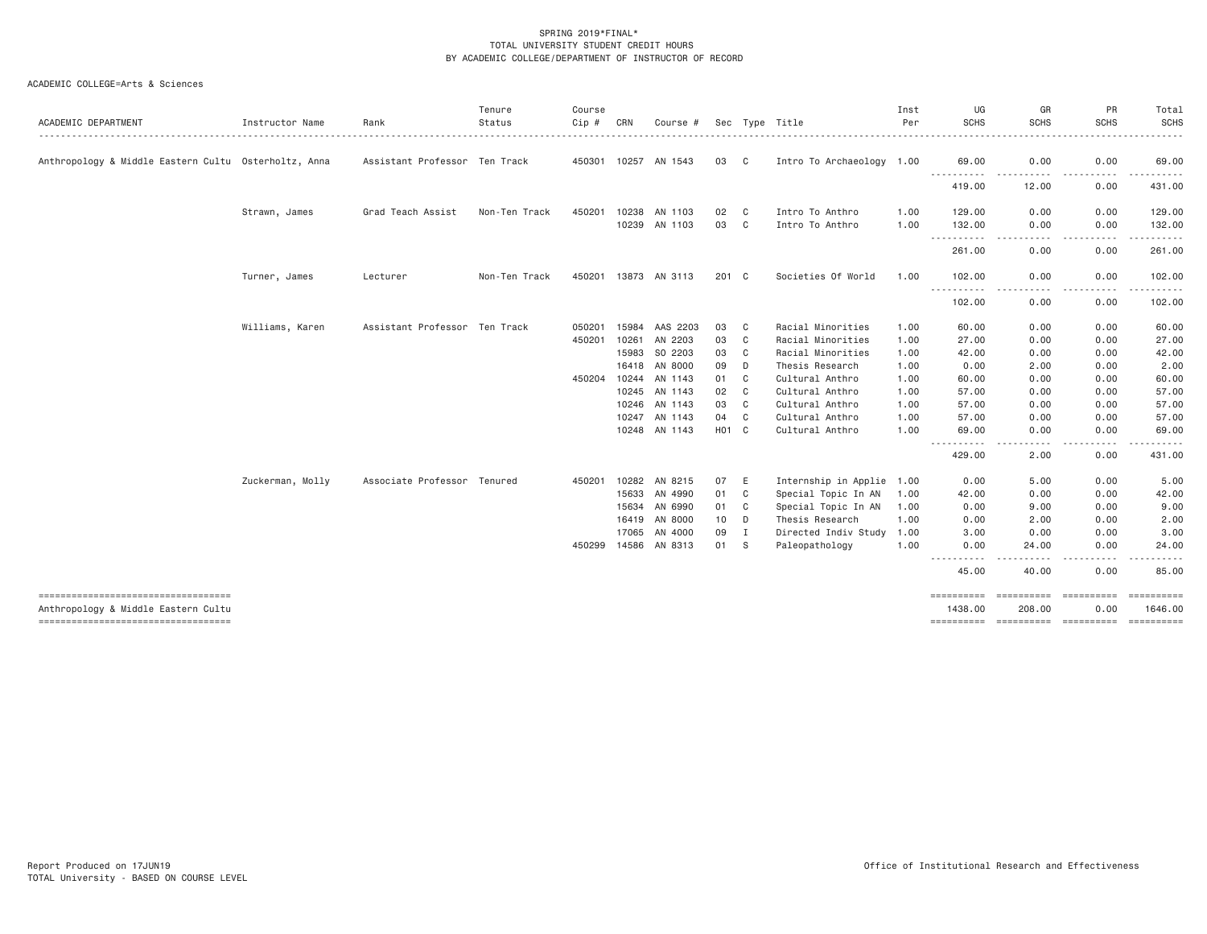| <b>ACADEMIC DEPARTMENT</b>                           | Instructor Name  | Rank                          | Tenure<br>Status | Course<br>Cip # | CRN   | Course #             |                    |                            | Sec Type Title            | Inst<br>Per | UG<br><b>SCHS</b>                   | GR<br><b>SCHS</b>           | PR<br><b>SCHS</b>                                                                                                                          | Total<br><b>SCHS</b>  |
|------------------------------------------------------|------------------|-------------------------------|------------------|-----------------|-------|----------------------|--------------------|----------------------------|---------------------------|-------------|-------------------------------------|-----------------------------|--------------------------------------------------------------------------------------------------------------------------------------------|-----------------------|
| Anthropology & Middle Eastern Cultu Osterholtz, Anna |                  | Assistant Professor Ten Track |                  |                 |       | 450301 10257 AN 1543 | 03                 | $\overline{\phantom{a}}$ C | Intro To Archaeology 1.00 |             | 69.00<br>.                          | 0.00                        | 0.00                                                                                                                                       | 69.00                 |
|                                                      |                  |                               |                  |                 |       |                      |                    |                            |                           |             | 419.00                              | ----------<br>12.00         | ----------<br>0.00                                                                                                                         | ---------<br>431.00   |
|                                                      | Strawn, James    | Grad Teach Assist             | Non-Ten Track    | 450201          |       | 10238 AN 1103        | 02                 | C                          | Intro To Anthro           | 1.00        | 129,00                              | 0.00                        | 0.00                                                                                                                                       | 129.00                |
|                                                      |                  |                               |                  |                 |       | 10239 AN 1103        | 03                 | C                          | Intro To Anthro           | 1.00        | 132.00<br>-----------               | 0.00<br>د د د د<br>$\cdots$ | 0.00<br>-----<br>$\frac{1}{2} \left( \frac{1}{2} \right) \left( \frac{1}{2} \right) \left( \frac{1}{2} \right) \left( \frac{1}{2} \right)$ | 132.00<br>.           |
|                                                      |                  |                               |                  |                 |       |                      |                    |                            |                           |             | 261.00                              | 0.00                        | 0.00                                                                                                                                       | 261.00                |
|                                                      | Turner, James    | Lecturer                      | Non-Ten Track    |                 |       | 450201 13873 AN 3113 | 201 C              |                            | Societies Of World        | 1.00        | 102.00                              | 0.00                        | 0.00                                                                                                                                       | 102.00                |
|                                                      |                  |                               |                  |                 |       |                      |                    |                            |                           |             | 102.00                              | 0.00                        | 0.00                                                                                                                                       | .<br>102.00           |
|                                                      | Williams, Karen  | Assistant Professor Ten Track |                  | 050201          | 15984 | AAS 2203             | 03                 | C                          | Racial Minorities         | 1.00        | 60.00                               | 0.00                        | 0.00                                                                                                                                       | 60.00                 |
|                                                      |                  |                               |                  | 450201          | 10261 | AN 2203              | 03                 | C                          | Racial Minorities         | 1.00        | 27.00                               | 0.00                        | 0.00                                                                                                                                       | 27.00                 |
|                                                      |                  |                               |                  |                 | 15983 | SO 2203              | 03                 | C                          | Racial Minorities         | 1.00        | 42.00                               | 0.00                        | 0.00                                                                                                                                       | 42.00                 |
|                                                      |                  |                               |                  |                 | 16418 | AN 8000              | 09                 | D                          | Thesis Research           | 1.00        | 0.00                                | 2.00                        | 0.00                                                                                                                                       | 2.00                  |
|                                                      |                  |                               |                  | 450204          |       | 10244 AN 1143        | 01                 | C                          | Cultural Anthro           | 1.00        | 60.00                               | 0.00                        | 0.00                                                                                                                                       | 60.00                 |
|                                                      |                  |                               |                  |                 |       | 10245 AN 1143        | 02                 | C                          | Cultural Anthro           | 1.00        | 57.00                               | 0.00                        | 0.00                                                                                                                                       | 57.00                 |
|                                                      |                  |                               |                  |                 | 10246 | AN 1143              | 03                 | C                          | Cultural Anthro           | 1.00        | 57.00                               | 0.00                        | 0.00                                                                                                                                       | 57.00                 |
|                                                      |                  |                               |                  |                 | 10247 | AN 1143              | 04                 | C                          | Cultural Anthro           | 1.00        | 57.00                               | 0.00                        | 0.00                                                                                                                                       | 57.00                 |
|                                                      |                  |                               |                  |                 |       | 10248 AN 1143        | H <sub>0</sub> 1 C |                            | Cultural Anthro           | 1.00        | 69.00                               | 0.00                        | 0.00                                                                                                                                       | 69.00                 |
|                                                      |                  |                               |                  |                 |       |                      |                    |                            |                           |             |                                     | .                           | .                                                                                                                                          | .                     |
|                                                      |                  |                               |                  |                 |       |                      |                    |                            |                           |             | 429.00                              | 2.00                        | 0.00                                                                                                                                       | 431.00                |
|                                                      | Zuckerman, Molly | Associate Professor Tenured   |                  | 450201          |       | 10282 AN 8215        | 07                 | E                          | Internship in Applie 1.00 |             | 0.00                                | 5.00                        | 0.00                                                                                                                                       | 5.00                  |
|                                                      |                  |                               |                  |                 | 15633 | AN 4990              | 01                 | C                          | Special Topic In AN       | 1.00        | 42.00                               | 0.00                        | 0.00                                                                                                                                       | 42.00                 |
|                                                      |                  |                               |                  |                 | 15634 | AN 6990              | 01                 | C                          | Special Topic In AN       | 1.00        | 0.00                                | 9.00                        | 0.00                                                                                                                                       | 9.00                  |
|                                                      |                  |                               |                  |                 |       | 16419 AN 8000        | 10                 | D                          | Thesis Research           | 1.00        | 0.00                                | 2.00                        | 0.00                                                                                                                                       | 2.00                  |
|                                                      |                  |                               |                  |                 | 17065 | AN 4000              | 09                 | I                          | Directed Indiv Study      | 1.00        | 3.00                                | 0.00                        | 0.00                                                                                                                                       | 3.00                  |
|                                                      |                  |                               |                  | 450299          | 14586 | AN 8313              | 01                 | - S                        | Paleopathology            | 1.00        | 0.00<br>.<br>$\cdots \cdots \cdots$ | 24.00<br>.                  | 0.00<br>.                                                                                                                                  | 24.00<br>.            |
|                                                      |                  |                               |                  |                 |       |                      |                    |                            |                           |             | 45.00                               | 40.00                       | 0.00                                                                                                                                       | 85.00                 |
| Anthropology & Middle Eastern Cultu                  |                  |                               |                  |                 |       |                      |                    |                            |                           |             | ==========<br>1438.00               | ==========<br>208.00        | ==========<br>0.00                                                                                                                         | ==========<br>1646.00 |
| -----------------------------------                  |                  |                               |                  |                 |       |                      |                    |                            |                           |             | ==========                          |                             | ----------- ----------                                                                                                                     | ==========            |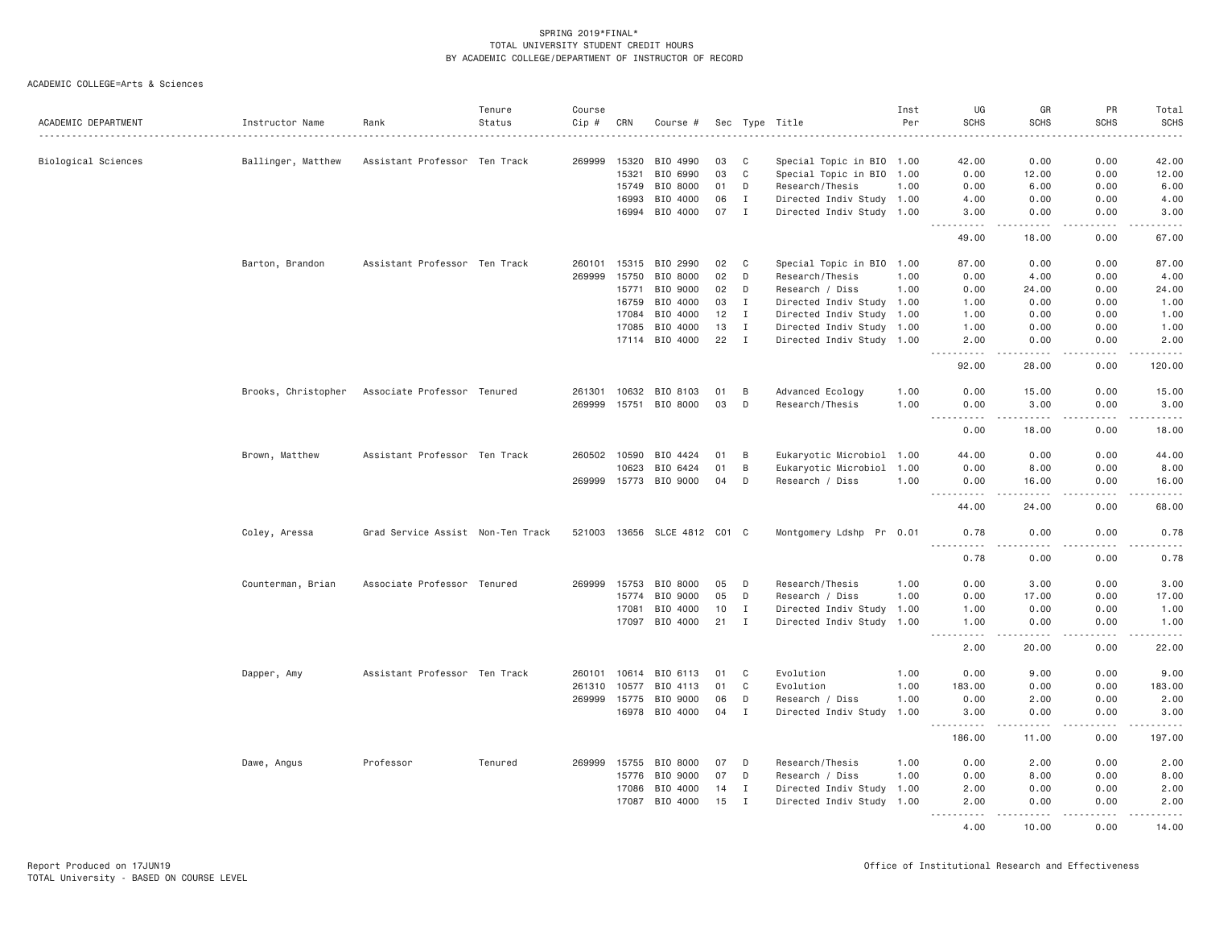| ACADEMIC DEPARTMENT | Instructor Name    | Rank                                            | Tenure<br>Status | Course<br>$Cip$ # | CRN   | Course #                     |        |              | Sec Type Title            | Inst<br>Per | UG<br><b>SCHS</b>    | GR<br><b>SCHS</b> | PR<br><b>SCHS</b>            | Total<br><b>SCHS</b><br>$\frac{1}{2}$                                                                                                                        |
|---------------------|--------------------|-------------------------------------------------|------------------|-------------------|-------|------------------------------|--------|--------------|---------------------------|-------------|----------------------|-------------------|------------------------------|--------------------------------------------------------------------------------------------------------------------------------------------------------------|
| Biological Sciences | Ballinger, Matthew | Assistant Professor Ten Track                   |                  | 269999            | 15320 | BIO 4990                     | 03     | C            | Special Topic in BIO 1.00 |             | 42.00                | 0.00              | 0.00                         | 42.00                                                                                                                                                        |
|                     |                    |                                                 |                  |                   | 15321 | BIO 6990                     | 03     | C            | Special Topic in BIO 1.00 |             | 0.00                 | 12.00             | 0.00                         | 12.00                                                                                                                                                        |
|                     |                    |                                                 |                  |                   | 15749 | BIO 8000                     | 01     | D            | Research/Thesis           | 1.00        | 0.00                 | 6.00              | 0.00                         | 6.00                                                                                                                                                         |
|                     |                    |                                                 |                  |                   | 16993 | BIO 4000                     | 06     | I            | Directed Indiv Study 1.00 |             | 4.00                 | 0.00              | 0.00                         | 4.00                                                                                                                                                         |
|                     |                    |                                                 |                  |                   | 16994 | BIO 4000                     | 07     | $\mathbf{I}$ | Directed Indiv Study 1.00 |             | 3.00                 | 0.00              | 0.00<br>$\sim$ $\sim$ $\sim$ | 3.00<br>-----                                                                                                                                                |
|                     |                    |                                                 |                  |                   |       |                              |        |              |                           |             | 49.00                | 18.00             | 0.00                         | 67.00                                                                                                                                                        |
|                     | Barton, Brandon    | Assistant Professor Ten Track                   |                  | 260101            | 15315 | BIO 2990                     | 02     | C            | Special Topic in BIO 1.00 |             | 87.00                | 0.00              | 0.00                         | 87.00                                                                                                                                                        |
|                     |                    |                                                 |                  | 269999            | 15750 | BIO 8000                     | 02     | D            | Research/Thesis           | 1.00        | 0.00                 | 4.00              | 0.00                         | 4.00                                                                                                                                                         |
|                     |                    |                                                 |                  |                   | 15771 | BIO 9000                     | 02     | D            | Research / Diss           | 1.00        | 0.00                 | 24.00             | 0.00                         | 24.00                                                                                                                                                        |
|                     |                    |                                                 |                  |                   | 16759 | BIO 4000                     | 03     | $\mathbf{I}$ | Directed Indiv Study 1.00 |             | 1.00                 | 0.00              | 0.00                         | 1.00                                                                                                                                                         |
|                     |                    |                                                 |                  |                   | 17084 | BIO 4000                     | 12     | I            | Directed Indiv Study 1.00 |             | 1.00                 | 0.00              | 0.00                         | 1.00                                                                                                                                                         |
|                     |                    |                                                 |                  |                   | 17085 | BIO 4000                     | 13     | $\mathbf I$  | Directed Indiv Study 1.00 |             | 1.00                 | 0.00              | 0.00                         | 1.00                                                                                                                                                         |
|                     |                    |                                                 |                  |                   |       | 17114 BIO 4000               | 22     | $\mathbf{I}$ | Directed Indiv Study 1.00 |             | 2,00                 | 0.00              | 0.00                         | 2.00                                                                                                                                                         |
|                     |                    |                                                 |                  |                   |       |                              |        |              |                           |             | $- - - - -$<br>92.00 | <u>.</u><br>28.00 | .<br>0.00                    | .<br>120.00                                                                                                                                                  |
|                     |                    | Brooks, Christopher Associate Professor Tenured |                  | 261301            | 10632 | BIO 8103                     | 01     | B            | Advanced Ecology          | 1.00        | 0.00                 | 15.00             | 0.00                         | 15.00                                                                                                                                                        |
|                     |                    |                                                 |                  | 269999            | 15751 | BIO 8000                     | 03     | D            | Research/Thesis           | 1.00        | 0.00                 | 3.00              | 0.00                         | 3.00                                                                                                                                                         |
|                     |                    |                                                 |                  |                   |       |                              |        |              |                           |             | .<br>0.00            | .<br>18.00        | .<br>0.00                    | .<br>18.00                                                                                                                                                   |
|                     | Brown, Matthew     | Assistant Professor Ten Track                   |                  | 260502            | 10590 | BIO 4424                     | 01     | B            | Eukaryotic Microbiol 1.00 |             | 44.00                | 0.00              | 0.00                         | 44.00                                                                                                                                                        |
|                     |                    |                                                 |                  |                   | 10623 | BIO 6424                     | 01     | B            | Eukaryotic Microbiol      | 1.00        | 0.00                 | 8.00              | 0.00                         | 8.00                                                                                                                                                         |
|                     |                    |                                                 |                  | 269999            |       | 15773 BIO 9000               | 04     | D            | Research / Diss           | 1,00        | 0.00                 | 16.00             | 0.00                         | 16.00                                                                                                                                                        |
|                     |                    |                                                 |                  |                   |       |                              |        |              |                           |             | .<br>44.00           | <u>.</u><br>24.00 | .<br>0.00                    | .<br>68.00                                                                                                                                                   |
|                     | Coley, Aressa      | Grad Service Assist Non-Ten Track               |                  |                   |       | 521003 13656 SLCE 4812 C01 C |        |              | Montgomery Ldshp Pr 0.01  |             | 0.78                 | 0.00              | 0.00                         | 0.78                                                                                                                                                         |
|                     |                    |                                                 |                  |                   |       |                              |        |              |                           |             | .<br>0.78            | .<br>0.00         | .<br>0.00                    | $\frac{1}{2} \left( \frac{1}{2} \right) \left( \frac{1}{2} \right) \left( \frac{1}{2} \right) \left( \frac{1}{2} \right) \left( \frac{1}{2} \right)$<br>0.78 |
|                     | Counterman, Brian  | Associate Professor Tenured                     |                  | 269999            | 15753 | BIO 8000                     | 05     | D            | Research/Thesis           | 1.00        | 0.00                 | 3.00              | 0.00                         | 3.00                                                                                                                                                         |
|                     |                    |                                                 |                  |                   | 15774 | BIO 9000                     | 05     | D            | Research / Diss           | 1.00        | 0.00                 | 17.00             | 0.00                         | 17.00                                                                                                                                                        |
|                     |                    |                                                 |                  |                   | 17081 | BIO 4000                     | 10     | I            | Directed Indiv Study 1.00 |             | 1.00                 | 0.00              | 0.00                         | 1.00                                                                                                                                                         |
|                     |                    |                                                 |                  |                   |       | 17097 BIO 4000               | $21$ I |              | Directed Indiv Study 1.00 |             | 1.00                 | 0.00              | 0.00                         | 1.00                                                                                                                                                         |
|                     |                    |                                                 |                  |                   |       |                              |        |              |                           |             | .<br>2.00            | .<br>20.00        | .<br>0.00                    | والمستحدث<br>22.00                                                                                                                                           |
|                     | Dapper, Amy        | Assistant Professor Ten Track                   |                  | 260101            | 10614 | BIO 6113                     | 01     | C            | Evolution                 | 1.00        | 0.00                 | 9.00              | 0.00                         | 9.00                                                                                                                                                         |
|                     |                    |                                                 |                  | 261310            | 10577 | BIO 4113                     | 01     | C            | Evolution                 | 1.00        | 183,00               | 0.00              | 0.00                         | 183.00                                                                                                                                                       |
|                     |                    |                                                 |                  | 269999            | 15775 | BIO 9000                     | 06     | D            | Research / Diss           | 1.00        | 0.00                 | 2.00              | 0.00                         | 2.00                                                                                                                                                         |
|                     |                    |                                                 |                  |                   |       | 16978 BIO 4000               | 04     | $\mathbf{I}$ | Directed Indiv Study      | 1.00        | 3.00<br>.            | 0.00<br>.         | 0.00<br>.                    | 3.00<br>.                                                                                                                                                    |
|                     |                    |                                                 |                  |                   |       |                              |        |              |                           |             | 186.00               | 11.00             | 0.00                         | 197.00                                                                                                                                                       |
|                     | Dawe, Angus        | Professor                                       | Tenured          | 269999            | 15755 | BIO 8000                     | 07     | D            | Research/Thesis           | 1.00        | 0.00                 | 2.00              | 0.00                         | 2.00                                                                                                                                                         |
|                     |                    |                                                 |                  |                   | 15776 | BIO 9000                     | 07     | D            | Research / Diss           | 1.00        | 0.00                 | 8.00              | 0.00                         | 8.00                                                                                                                                                         |
|                     |                    |                                                 |                  |                   | 17086 | BIO 4000                     | 14     | $\mathbf{I}$ | Directed Indiv Study 1.00 |             | 2.00                 | 0.00              | 0.00                         | 2.00                                                                                                                                                         |
|                     |                    |                                                 |                  |                   | 17087 | BIO 4000                     | 15     | I            | Directed Indiv Study 1.00 |             | 2.00<br><u>.</u>     | 0.00<br>المتمامين | 0.00<br>.                    | 2.00<br>.                                                                                                                                                    |
|                     |                    |                                                 |                  |                   |       |                              |        |              |                           |             | 4.00                 | 10,00             | 0.00                         | 14.00                                                                                                                                                        |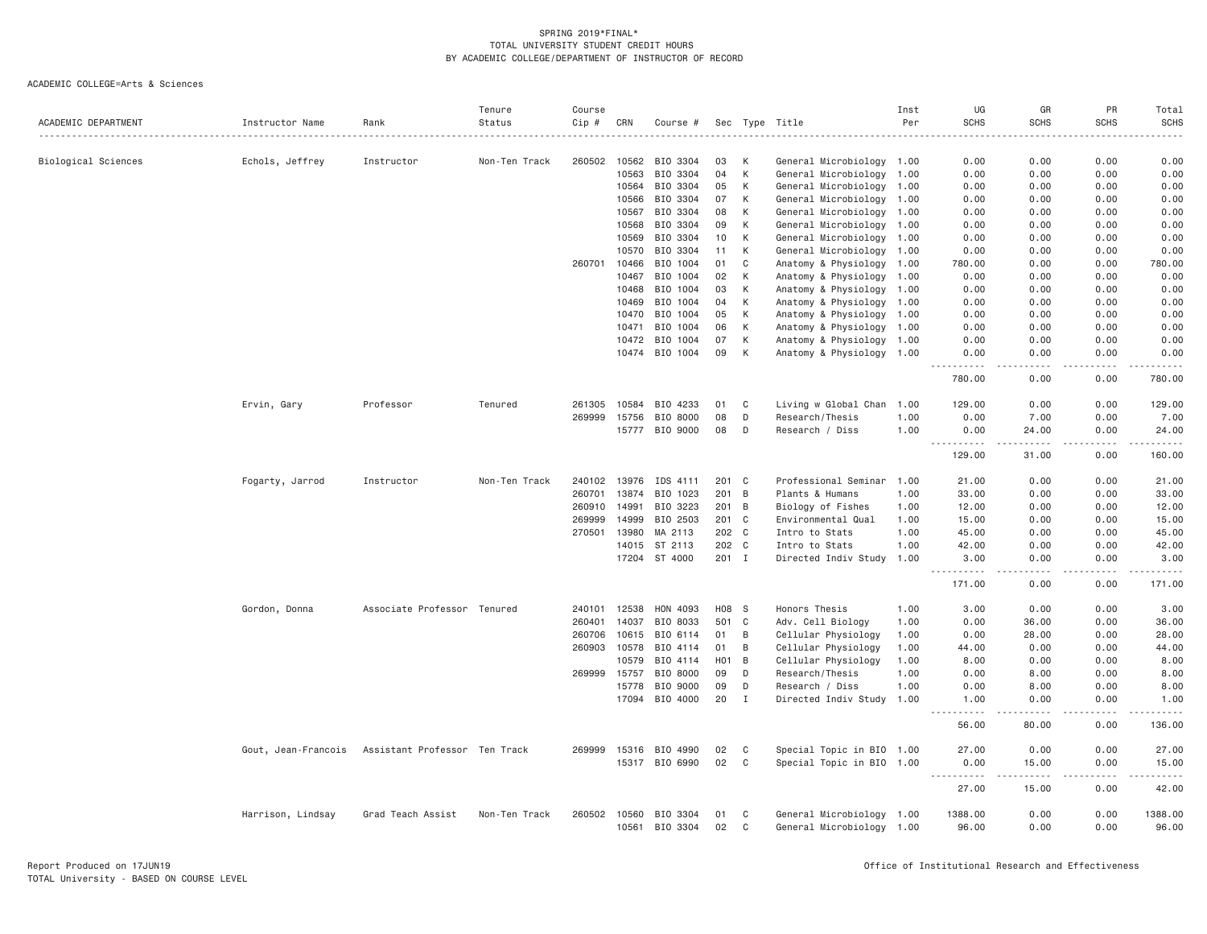| ACADEMIC DEPARTMENT | Instructor Name     | Rank                          | Tenure<br>Status | Course<br>Cip # | CRN   | Course #       |                  |                | Sec Type Title            | Inst<br>Per | UG<br><b>SCHS</b>                 | GR<br><b>SCHS</b>                   | PR<br><b>SCHS</b>   | Total<br><b>SCHS</b>  |
|---------------------|---------------------|-------------------------------|------------------|-----------------|-------|----------------|------------------|----------------|---------------------------|-------------|-----------------------------------|-------------------------------------|---------------------|-----------------------|
|                     |                     |                               |                  |                 |       |                |                  |                |                           |             |                                   |                                     |                     |                       |
| Biological Sciences | Echols, Jeffrey     | Instructor                    | Non-Ten Track    | 260502          | 10562 | BIO 3304       | 03               | К              | General Microbiology 1.00 |             | 0.00                              | 0.00                                | 0.00                | 0.00                  |
|                     |                     |                               |                  |                 | 10563 | BIO 3304       | 04               | К              | General Microbiology 1.00 |             | 0.00                              | 0.00                                | 0.00                | 0.00                  |
|                     |                     |                               |                  |                 | 10564 | BIO 3304       | 05               | K              | General Microbiology 1.00 |             | 0.00                              | 0.00                                | 0.00                | 0.00                  |
|                     |                     |                               |                  |                 | 10566 | BIO 3304       | 07               | К              | General Microbiology 1.00 |             | 0.00                              | 0.00                                | 0.00                | 0.00                  |
|                     |                     |                               |                  |                 | 10567 | BIO 3304       | 08               | К              | General Microbiology 1.00 |             | 0.00                              | 0.00                                | 0.00                | 0.00                  |
|                     |                     |                               |                  |                 | 10568 | BIO 3304       | 09               | К              | General Microbiology 1.00 |             | 0.00                              | 0.00                                | 0.00                | 0.00                  |
|                     |                     |                               |                  |                 | 10569 | BIO 3304       | 10               | К              | General Microbiology 1.00 |             | 0.00                              | 0.00                                | 0.00                | 0.00                  |
|                     |                     |                               |                  |                 | 10570 | BIO 3304       | 11               | К              | General Microbiology 1.00 |             | 0.00                              | 0.00                                | 0.00                | 0.00                  |
|                     |                     |                               |                  | 260701          | 10466 | BIO 1004       | 01               | C              | Anatomy & Physiology 1.00 |             | 780.00                            | 0.00                                | 0.00                | 780.00                |
|                     |                     |                               |                  |                 | 10467 | BIO 1004       | 02               | К              | Anatomy & Physiology 1.00 |             | 0.00                              | 0.00                                | 0.00                | 0.00                  |
|                     |                     |                               |                  |                 | 10468 | BIO 1004       | 03               | К              | Anatomy & Physiology 1.00 |             | 0.00                              | 0.00                                | 0.00                | 0.00                  |
|                     |                     |                               |                  |                 | 10469 | BIO 1004       | 04               | K              | Anatomy & Physiology      | 1.00        | 0.00                              | 0.00                                | 0.00                | 0.00                  |
|                     |                     |                               |                  |                 | 10470 | BIO 1004       | 05               | K              | Anatomy & Physiology      | 1.00        | 0.00                              | 0.00                                | 0.00                | 0.00                  |
|                     |                     |                               |                  |                 | 10471 | BIO 1004       | 06               | К              | Anatomy & Physiology 1.00 |             | 0.00                              | 0.00                                | 0.00                | 0.00                  |
|                     |                     |                               |                  |                 | 10472 | BIO 1004       | 07               | К              | Anatomy & Physiology 1.00 |             | 0.00                              | 0.00                                | 0.00                | 0.00                  |
|                     |                     |                               |                  |                 |       | 10474 BIO 1004 | 09               | K              | Anatomy & Physiology 1.00 |             | 0.00<br>.                         | 0.00<br>$\sim$ $\sim$ $\sim$ $\sim$ | 0.00<br>$- - - - -$ | 0.00<br>.             |
|                     |                     |                               |                  |                 |       |                |                  |                |                           |             | 780.00                            | 0.00                                | 0.00                | 780.00                |
|                     | Ervin, Gary         | Professor                     | Tenured          | 261305          | 10584 | BIO 4233       | 01               | C              | Living w Global Chan      | 1.00        | 129.00                            | 0.00                                | 0.00                | 129.00                |
|                     |                     |                               |                  | 269999          | 15756 | BIO 8000       | 08               | D              | Research/Thesis           | 1.00        | 0.00                              | 7.00                                | 0.00                | 7.00                  |
|                     |                     |                               |                  |                 | 15777 | BIO 9000       | 08               | D              | Research / Diss           | 1.00        | 0.00                              | 24.00                               | 0.00                | 24.00                 |
|                     |                     |                               |                  |                 |       |                |                  |                |                           |             | 129.00                            | 31.00                               | 0.00                | 160.00                |
|                     | Fogarty, Jarrod     | Instructor                    | Non-Ten Track    | 240102          | 13976 | IDS 4111       |                  | 201 C          | Professional Seminar 1.00 |             | 21.00                             | 0.00                                | 0.00                | 21.00                 |
|                     |                     |                               |                  | 260701          | 13874 | BIO 1023       | 201              | $\overline{B}$ | Plants & Humans           | 1,00        | 33,00                             | 0.00                                | 0.00                | 33.00                 |
|                     |                     |                               |                  | 260910          | 14991 | BIO 3223       |                  | 201 B          | Biology of Fishes         | 1.00        | 12.00                             | 0.00                                | 0.00                | 12.00                 |
|                     |                     |                               |                  | 269999          | 14999 | BIO 2503       |                  | 201 C          | Environmental Qual        | 1.00        | 15.00                             | 0.00                                | 0.00                | 15.00                 |
|                     |                     |                               |                  | 270501          | 13980 | MA 2113        |                  | 202 C          | Intro to Stats            | 1.00        | 45.00                             | 0.00                                | 0.00                | 45.00                 |
|                     |                     |                               |                  |                 |       | 14015 ST 2113  |                  | 202 C          | Intro to Stats            | 1.00        | 42.00                             | 0.00                                | 0.00                | 42.00                 |
|                     |                     |                               |                  |                 |       | 17204 ST 4000  |                  | 201 I          | Directed Indiv Study 1.00 |             | 3.00                              | 0.00                                | 0.00                | 3.00                  |
|                     |                     |                               |                  |                 |       |                |                  |                |                           |             | $- - -$<br>. <u>.</u> .<br>171.00 | .<br>0.00                           | .<br>0.00           | -----<br>171.00       |
|                     | Gordon, Donna       | Associate Professor Tenured   |                  | 240101          | 12538 | HON 4093       |                  | H08 S          | Honors Thesis             | 1.00        | 3.00                              | 0.00                                | 0.00                | 3.00                  |
|                     |                     |                               |                  | 260401          | 14037 | BIO 8033       | 501              | C              | Adv. Cell Biology         | 1.00        | 0.00                              | 36.00                               | 0.00                | 36.00                 |
|                     |                     |                               |                  | 260706          | 10615 | BIO 6114       | 01               | B              | Cellular Physiology       | 1.00        | 0.00                              | 28.00                               | 0.00                | 28.00                 |
|                     |                     |                               |                  | 260903          | 10578 | BIO 4114       | 01               | B              | Cellular Physiology       | 1.00        | 44.00                             | 0.00                                | 0.00                | 44.00                 |
|                     |                     |                               |                  |                 | 10579 | BIO 4114       | H <sub>0</sub> 1 | B              | Cellular Physiology       | 1.00        | 8.00                              | 0.00                                | 0.00                | 8.00                  |
|                     |                     |                               |                  | 269999          | 15757 | BIO 8000       | 09               | D              | Research/Thesis           | 1.00        | 0.00                              | 8.00                                | 0.00                | 8.00                  |
|                     |                     |                               |                  |                 | 15778 | BIO 9000       | 09               | D              | Research / Diss           | 1.00        | 0.00                              | 8.00                                | 0.00                | 8.00                  |
|                     |                     |                               |                  |                 | 17094 | BIO 4000       | 20               | I              | Directed Indiv Study 1.00 |             | 1.00                              | 0.00                                | 0.00                | 1.00                  |
|                     |                     |                               |                  |                 |       |                |                  |                |                           |             | .<br>56.00                        | .<br>80.00                          | .<br>0.00           | الدامات بال<br>136.00 |
|                     | Gout, Jean-Francois | Assistant Professor Ten Track |                  | 269999          | 15316 | BIO 4990       | 02               | C              | Special Topic in BIO 1.00 |             | 27.00                             | 0.00                                | 0.00                | 27.00                 |
|                     |                     |                               |                  |                 |       | 15317 BIO 6990 | 02               | C              | Special Topic in BIO 1.00 |             | 0.00                              | 15.00                               | 0.00                | 15.00                 |
|                     |                     |                               |                  |                 |       |                |                  |                |                           |             | $  -$<br>.<br>27.00               | وساعات<br>15.00                     | 0.00                | 42.00                 |
|                     | Harrison, Lindsay   | Grad Teach Assist             | Non-Ten Track    | 260502          | 10560 | BIO 3304       | 01               | C              | General Microbiology 1.00 |             | 1388.00                           | 0.00                                | 0.00                | 1388.00               |
|                     |                     |                               |                  |                 | 10561 | BIO 3304       | 02               | C              | General Microbiology 1.00 |             | 96.00                             | 0.00                                | 0.00                | 96.00                 |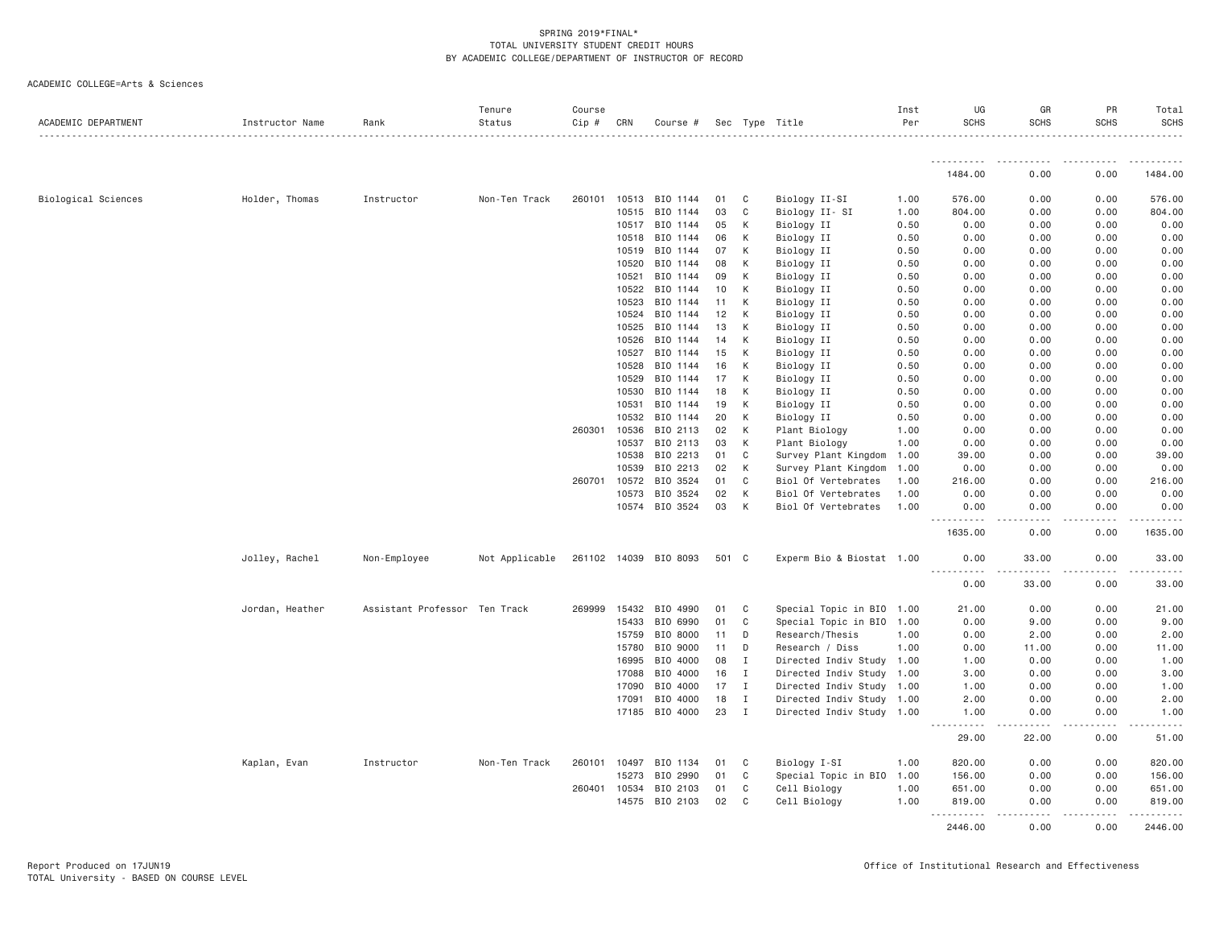| ACADEMIC DEPARTMENT        | Instructor Name | Rank                          | Tenure<br>Status | Course<br>Cip # | CRN   | Course #              |       |              | Sec Type Title            | Inst<br>Per | UG<br><b>SCHS</b> | GR<br><b>SCHS</b> | PR<br><b>SCHS</b>                                                                                                                                                                       | Total<br><b>SCHS</b> |
|----------------------------|-----------------|-------------------------------|------------------|-----------------|-------|-----------------------|-------|--------------|---------------------------|-------------|-------------------|-------------------|-----------------------------------------------------------------------------------------------------------------------------------------------------------------------------------------|----------------------|
|                            |                 |                               |                  |                 |       |                       |       |              |                           |             |                   |                   |                                                                                                                                                                                         |                      |
|                            |                 |                               |                  |                 |       |                       |       |              |                           |             | 1484.00           | 0.00              | 0.00                                                                                                                                                                                    | 1484.00              |
| <b>Biological Sciences</b> | Holder, Thomas  | Instructor                    | Non-Ten Track    | 260101          |       | 10513 BIO 1144        | 01    | C            | Biology II-SI             | 1.00        | 576.00            | 0.00              | 0.00                                                                                                                                                                                    | 576.00               |
|                            |                 |                               |                  |                 | 10515 | BIO 1144              | 03    | C            | Biology II-SI             | 1.00        | 804.00            | 0.00              | 0.00                                                                                                                                                                                    | 804.00               |
|                            |                 |                               |                  |                 | 10517 | BIO 1144              | 05    | К            | Biology II                | 0.50        | 0.00              | 0.00              | 0.00                                                                                                                                                                                    | 0.00                 |
|                            |                 |                               |                  |                 | 10518 | BIO 1144              | 06    | К            | Biology II                | 0.50        | 0.00              | 0.00              | 0.00                                                                                                                                                                                    | 0.00                 |
|                            |                 |                               |                  |                 | 10519 | BIO 1144              | 07    | К            | Biology II                | 0.50        | 0.00              | 0.00              | 0.00                                                                                                                                                                                    | 0.00                 |
|                            |                 |                               |                  |                 | 10520 | BIO 1144              | 08    | К            | Biology II                | 0.50        | 0.00              | 0.00              | 0.00                                                                                                                                                                                    | 0.00                 |
|                            |                 |                               |                  |                 | 10521 | BIO 1144              | 09    | К            | Biology II                | 0.50        | 0.00              | 0.00              | 0.00                                                                                                                                                                                    | 0.00                 |
|                            |                 |                               |                  |                 | 10522 | BIO 1144              | 10    | K            | Biology II                | 0.50        | 0.00              | 0.00              | 0.00                                                                                                                                                                                    | 0.00                 |
|                            |                 |                               |                  |                 | 10523 | BIO 1144              | 11    | К            | Biology II                | 0.50        | 0.00              | 0.00              | 0.00                                                                                                                                                                                    | 0.00                 |
|                            |                 |                               |                  |                 | 10524 | BIO 1144              | 12    | К            | Biology II                | 0.50        | 0.00              | 0.00              | 0.00                                                                                                                                                                                    | 0.00                 |
|                            |                 |                               |                  |                 | 10525 | BIO 1144              | 13    | K            | Biology II                | 0.50        | 0.00              | 0.00              | 0.00                                                                                                                                                                                    | 0.00                 |
|                            |                 |                               |                  |                 | 10526 | BIO 1144              | 14    | К            | Biology II                | 0.50        | 0.00              | 0.00              | 0.00                                                                                                                                                                                    | 0.00                 |
|                            |                 |                               |                  |                 | 10527 | BIO 1144              | 15    | К            | Biology II                | 0.50        | 0.00              | 0.00              | 0.00                                                                                                                                                                                    | 0.00                 |
|                            |                 |                               |                  |                 | 10528 | BIO 1144              | 16    | К            | Biology II                | 0.50        | 0.00              | 0.00              | 0.00                                                                                                                                                                                    | 0.00                 |
|                            |                 |                               |                  |                 | 10529 | BIO 1144              | 17    | К            | Biology II                | 0.50        | 0.00              | 0.00              | 0.00                                                                                                                                                                                    | 0.00                 |
|                            |                 |                               |                  |                 | 10530 | BIO 1144              | 18    | К            | Biology II                | 0.50        | 0.00              | 0.00              | 0.00                                                                                                                                                                                    | 0.00                 |
|                            |                 |                               |                  |                 | 10531 | BIO 1144              | 19    | К            | Biology II                | 0.50        | 0.00              | 0.00              | 0.00                                                                                                                                                                                    | 0.00                 |
|                            |                 |                               |                  |                 | 10532 | BIO 1144              | 20    | К            | Biology II                | 0.50        | 0.00              | 0.00              | 0.00                                                                                                                                                                                    | 0.00                 |
|                            |                 |                               |                  | 260301          | 10536 | BIO 2113              | 02    | К            | Plant Biology             | 1.00        | 0.00              | 0.00              | 0.00                                                                                                                                                                                    | 0.00                 |
|                            |                 |                               |                  |                 | 10537 | BIO 2113              | 03    | К            | Plant Biology             | 1.00        | 0.00              | 0.00              | 0.00                                                                                                                                                                                    | 0.00                 |
|                            |                 |                               |                  |                 | 10538 | BIO 2213              | 01    | C            | Survey Plant Kingdom      | 1.00        | 39.00             | 0.00              | 0.00                                                                                                                                                                                    | 39.00                |
|                            |                 |                               |                  |                 | 10539 | BIO 2213              | 02    | К            | Survey Plant Kingdom      | 1.00        | 0.00              | 0.00              | 0.00                                                                                                                                                                                    | 0.00                 |
|                            |                 |                               |                  | 260701          | 10572 | BIO 3524              | 01    | C            | Biol Of Vertebrates       | 1.00        | 216.00            | 0.00              | 0.00                                                                                                                                                                                    | 216.00               |
|                            |                 |                               |                  |                 | 10573 | BIO 3524              | 02    | К            | Biol Of Vertebrates       | 1,00        | 0.00              | 0.00              | 0.00                                                                                                                                                                                    | 0.00                 |
|                            |                 |                               |                  |                 |       | 10574 BIO 3524        | 03    | К            | Biol Of Vertebrates       | 1.00        | 0.00<br>.         | 0.00<br>.         | 0.00<br>$\frac{1}{2} \left( \frac{1}{2} \right) \left( \frac{1}{2} \right) \left( \frac{1}{2} \right) \left( \frac{1}{2} \right) \left( \frac{1}{2} \right) \left( \frac{1}{2} \right)$ | 0.00<br>.            |
|                            |                 |                               |                  |                 |       |                       |       |              |                           |             | 1635.00           | 0.00              | 0.00                                                                                                                                                                                    | 1635.00              |
|                            | Jolley, Rachel  | Non-Employee                  | Not Applicable   |                 |       | 261102 14039 BIO 8093 | 501 C |              | Experm Bio & Biostat 1.00 |             | 0.00<br>.         | 33.00<br><b>.</b> | 0.00<br>.                                                                                                                                                                               | 33.00                |
|                            |                 |                               |                  |                 |       |                       |       |              |                           |             | 0.00              | 33.00             | 0.00                                                                                                                                                                                    | 33.00                |
|                            | Jordan, Heather | Assistant Professor Ten Track |                  | 269999          | 15432 | BIO 4990              | 01    | C            | Special Topic in BIO 1.00 |             | 21.00             | 0.00              | 0.00                                                                                                                                                                                    | 21.00                |
|                            |                 |                               |                  |                 | 15433 | BIO 6990              | 01    | C            | Special Topic in BIO      | 1.00        | 0.00              | 9.00              | 0.00                                                                                                                                                                                    | 9.00                 |
|                            |                 |                               |                  |                 | 15759 | BIO 8000              | 11    | D            | Research/Thesis           | 1.00        | 0.00              | 2.00              | 0.00                                                                                                                                                                                    | 2.00                 |
|                            |                 |                               |                  |                 | 15780 | BIO 9000              | 11    | D            | Research / Diss           | 1.00        | 0.00              | 11.00             | 0.00                                                                                                                                                                                    | 11.00                |
|                            |                 |                               |                  |                 | 16995 | BIO 4000              | 08    | $\mathbf I$  | Directed Indiv Study 1.00 |             | 1.00              | 0.00              | 0.00                                                                                                                                                                                    | 1.00                 |
|                            |                 |                               |                  |                 | 17088 | BIO 4000              | 16    | $\mathbf{I}$ | Directed Indiv Study 1.00 |             | 3.00              | 0.00              | 0.00                                                                                                                                                                                    | 3.00                 |
|                            |                 |                               |                  |                 | 17090 | BIO 4000              | 17    | $\mathbf{I}$ | Directed Indiv Study      | 1.00        | 1.00              | 0.00              | 0.00                                                                                                                                                                                    | 1.00                 |
|                            |                 |                               |                  |                 | 17091 | BIO 4000              | 18    | $\mathbf{I}$ | Directed Indiv Study 1.00 |             | 2.00              | 0.00              | 0.00                                                                                                                                                                                    | 2.00                 |
|                            |                 |                               |                  |                 |       | 17185 BIO 4000        | 23    | $\mathbf{I}$ | Directed Indiv Study 1.00 |             | 1.00<br>.         | 0.00              | 0.00                                                                                                                                                                                    | 1.00                 |
|                            |                 |                               |                  |                 |       |                       |       |              |                           |             | 29.00             | 22.00             | 0.00                                                                                                                                                                                    | 51.00                |
|                            | Kaplan, Evan    | Instructor                    | Non-Ten Track    | 260101          | 10497 | BIO 1134              | 01    | C            | Biology I-SI              | 1.00        | 820.00            | 0.00              | 0.00                                                                                                                                                                                    | 820.00               |
|                            |                 |                               |                  |                 | 15273 | BIO 2990              | 01    | C            | Special Topic in BIO      | 1.00        | 156.00            | 0.00              | 0.00                                                                                                                                                                                    | 156.00               |
|                            |                 |                               |                  | 260401          | 10534 | BIO 2103              | 01    | C            | Cell Biology              | 1.00        | 651.00            | 0.00              | 0.00                                                                                                                                                                                    | 651.00               |
|                            |                 |                               |                  |                 |       | 14575 BIO 2103        | 02    | C            | Cell Biology              | 1.00        | 819.00<br>.       | 0.00<br>.         | 0.00<br>.                                                                                                                                                                               | 819.00               |
|                            |                 |                               |                  |                 |       |                       |       |              |                           |             | 2446.00           | 0.00              | 0.00                                                                                                                                                                                    | 2446.00              |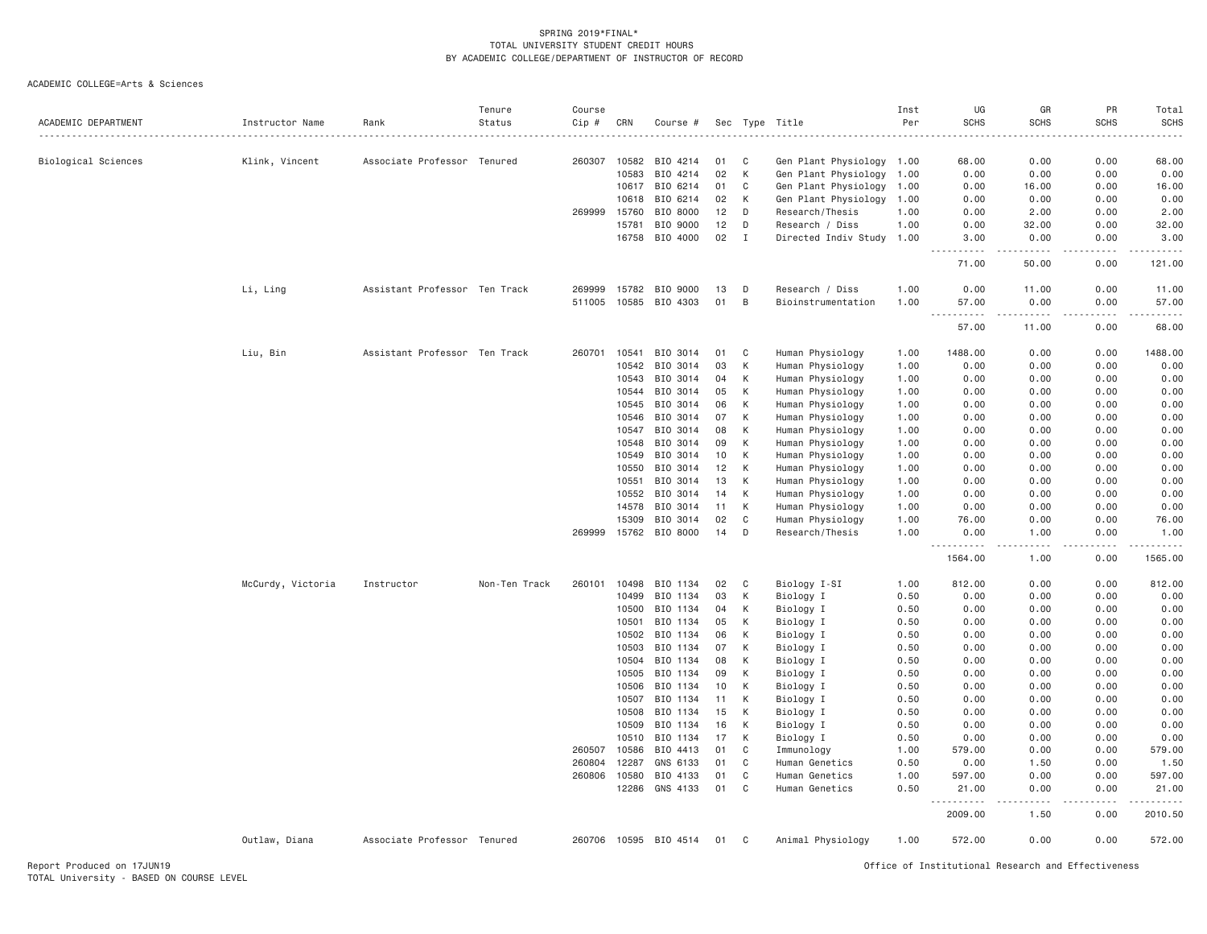|                     |                   |                               | Tenure        | Course           |                |                       |          |              |                                      | Inst         | UG               | GR                  | PR           | Total          |
|---------------------|-------------------|-------------------------------|---------------|------------------|----------------|-----------------------|----------|--------------|--------------------------------------|--------------|------------------|---------------------|--------------|----------------|
| ACADEMIC DEPARTMENT | Instructor Name   | Rank                          | Status        | Cip #            | CRN            | Course #              | Sec      | Type         | Title                                | Per          | <b>SCHS</b>      | <b>SCHS</b>         | <b>SCHS</b>  | <b>SCHS</b>    |
| Biological Sciences | Klink, Vincent    | Associate Professor Tenured   |               | 260307           | 10582          | BIO 4214              | 01       | C            | Gen Plant Physiology                 | 1.00         | 68.00            | 0.00                | 0.00         | 68.00          |
|                     |                   |                               |               |                  | 10583          | BIO 4214              | 02       | K            | Gen Plant Physiology                 | 1.00         | 0.00             | 0.00                | 0.00         | 0.00           |
|                     |                   |                               |               |                  | 10617          | BIO 6214              | 01       | C            | Gen Plant Physiology                 | 1.00         | 0.00             | 16.00               | 0.00         | 16.00          |
|                     |                   |                               |               |                  | 10618          | BIO 6214              | 02       | К            | Gen Plant Physiology                 | 1.00         | 0.00             | 0.00                | 0.00         | 0.00           |
|                     |                   |                               |               | 269999           | 15760          | BIO 8000              | 12       | D            | Research/Thesis                      | 1.00         | 0.00             | 2.00                | 0.00         | 2.00           |
|                     |                   |                               |               |                  | 15781          | BIO 9000              | 12       | D            | Research / Diss                      | 1.00         | 0.00             | 32.00               | 0.00         | 32.00          |
|                     |                   |                               |               |                  | 16758          | BIO 4000              | 02       | $\mathbf{I}$ | Directed Indiv Study 1.00            |              | 3.00<br><u>.</u> | 0.00<br>$- - - - -$ | 0.00<br>.    | 3.00<br>.      |
|                     |                   |                               |               |                  |                |                       |          |              |                                      |              | 71.00            | 50.00               | 0.00         | 121.00         |
|                     | Li, Ling          | Assistant Professor Ten Track |               | 269999           | 15782          | BIO 9000              | 13       | D            | Research / Diss                      | 1.00         | 0.00             | 11.00               | 0.00         | 11.00          |
|                     |                   |                               |               | 511005           | 10585          | BIO 4303              | 01       | B            | Bioinstrumentation                   | 1.00         | 57.00            | 0.00                | 0.00         | 57.00          |
|                     |                   |                               |               |                  |                |                       |          |              |                                      |              | 57.00            | 11.00               | 0.00         | 68.00          |
|                     | Liu, Bin          | Assistant Professor Ten Track |               | 260701           | 10541          | BIO 3014              | 01       | C            | Human Physiology                     | 1.00         | 1488.00          | 0.00                | 0.00         | 1488.00        |
|                     |                   |                               |               |                  | 10542          | BIO 3014              | 03       | К            | Human Physiology                     | 1.00         | 0.00             | 0.00                | 0.00         | 0.00           |
|                     |                   |                               |               |                  | 10543          | BIO 3014              | 04       | К            | Human Physiology                     | 1.00         | 0.00             | 0.00                | 0.00         | 0.00           |
|                     |                   |                               |               |                  | 10544          | BIO 3014              | 05       | K            | Human Physiology                     | 1.00         | 0.00             | 0.00                | 0.00         | 0.00           |
|                     |                   |                               |               |                  | 10545          | BIO 3014              | 06       | К            | Human Physiology                     | 1.00         | 0.00             | 0.00                | 0.00         | 0.00           |
|                     |                   |                               |               |                  | 10546          | BIO 3014              | 07       | К            | Human Physiology                     | 1.00         | 0.00             | 0.00                | 0.00         | 0.00           |
|                     |                   |                               |               |                  | 10547          | BIO 3014              | 08       | К            | Human Physiology                     | 1.00         | 0.00             | 0.00                | 0.00         | 0.00           |
|                     |                   |                               |               |                  | 10548          | BIO 3014              | 09       | К            | Human Physiology                     | 1.00         | 0.00             | 0.00                | 0.00         | 0.00           |
|                     |                   |                               |               |                  | 10549          | BIO 3014              | 10       | К            | Human Physiology                     | 1.00         | 0.00             | 0.00<br>0.00        | 0.00         | 0.00           |
|                     |                   |                               |               |                  | 10550<br>10551 | BIO 3014<br>BIO 3014  | 12<br>13 | К<br>К       | Human Physiology                     | 1.00         | 0.00<br>0.00     | 0.00                | 0.00<br>0.00 | 0.00<br>0.00   |
|                     |                   |                               |               |                  | 10552          | BIO 3014              | 14       | K            | Human Physiology<br>Human Physiology | 1.00         | 0.00             | 0.00                | 0.00         | 0.00           |
|                     |                   |                               |               |                  | 14578          | BIO 3014              | 11       | К            | Human Physiology                     | 1.00<br>1.00 | 0.00             | 0.00                | 0.00         | 0.00           |
|                     |                   |                               |               |                  | 15309          | BIO 3014              | 02       | C            | Human Physiology                     | 1.00         | 76.00            | 0.00                | 0.00         | 76.00          |
|                     |                   |                               |               | 269999           |                | 15762 BIO 8000        | 14       | D            | Research/Thesis                      | 1.00         | 0.00             | 1.00                | 0.00         | 1.00           |
|                     |                   |                               |               |                  |                |                       |          |              |                                      |              |                  |                     |              |                |
|                     |                   |                               |               |                  |                |                       |          |              |                                      |              | 1564.00          | 1.00                | 0.00         | 1565.00        |
|                     | McCurdy, Victoria | Instructor                    | Non-Ten Track | 260101           | 10498          | BIO 1134              | 02       | C            | Biology I-SI                         | 1.00         | 812.00           | 0.00                | 0.00         | 812.00         |
|                     |                   |                               |               |                  | 10499          | BIO 1134              | 03       | К            | Biology I                            | 0.50         | 0.00             | 0.00                | 0.00         | 0.00           |
|                     |                   |                               |               |                  | 10500          | BIO 1134              | 04       | К            | Biology I                            | 0.50         | 0.00             | 0.00                | 0.00         | 0.00           |
|                     |                   |                               |               |                  | 10501          | BIO 1134              | 05       | К            | Biology I                            | 0.50         | 0.00             | 0.00                | 0.00         | 0.00           |
|                     |                   |                               |               |                  | 10502          | BIO 1134              | 06       | K            | Biology I                            | 0.50         | 0.00             | 0.00                | 0.00         | 0.00           |
|                     |                   |                               |               |                  | 10503          | BIO 1134              | 07       | K            | Biology I                            | 0.50         | 0.00             | 0.00                | 0.00         | 0.00           |
|                     |                   |                               |               |                  | 10504          | BIO 1134              | 08       | К            | Biology I                            | 0.50         | 0.00             | 0.00                | 0.00         | 0.00           |
|                     |                   |                               |               |                  | 10505          | BIO 1134              | 09       | К            | Biology I                            | 0.50         | 0.00             | 0.00                | 0.00         | 0.00           |
|                     |                   |                               |               |                  | 10506          | BIO 1134              | 10       | К            | Biology I                            | 0.50         | 0.00             | 0.00                | 0.00         | 0.00           |
|                     |                   |                               |               |                  | 10507          | BIO 1134              | 11       | К            | Biology I                            | 0.50         | 0.00             | 0.00                | 0.00         | 0.00           |
|                     |                   |                               |               |                  | 10508          | BIO 1134              | 15       | K            | Biology I                            | 0.50         | 0.00             | 0.00                | 0.00         | 0.00           |
|                     |                   |                               |               |                  | 10509<br>10510 | BIO 1134              | 16<br>17 | K<br>К       | Biology I                            | 0.50         | 0.00<br>0.00     | 0.00<br>0.00        | 0.00<br>0.00 | 0.00           |
|                     |                   |                               |               |                  |                | BIO 1134              |          | C            | Biology I                            | 0.50         |                  |                     |              | 0.00           |
|                     |                   |                               |               | 260507<br>260804 | 10586<br>12287 | BIO 4413<br>GNS 6133  | 01<br>01 | C            | Immunology<br>Human Genetics         | 1.00<br>0.50 | 579.00<br>0.00   | 0.00<br>1.50        | 0.00<br>0.00 | 579.00<br>1.50 |
|                     |                   |                               |               | 260806           | 10580          | BIO 4133              | 01       | C            | Human Genetics                       | 1.00         | 597.00           | 0.00                | 0.00         | 597.00         |
|                     |                   |                               |               |                  | 12286          | GNS 4133              | 01       | C            | Human Genetics                       | 0.50         | 21.00            | 0.00                | 0.00         | 21.00          |
|                     |                   |                               |               |                  |                |                       |          |              |                                      |              | 2009.00          | 1.50                | .<br>0.00    | 2010.50        |
|                     | Outlaw, Diana     | Associate Professor Tenured   |               |                  |                | 260706 10595 BIO 4514 | 01       | C            | Animal Physiology                    | 1.00         | 572.00           | 0.00                | 0.00         | 572.00         |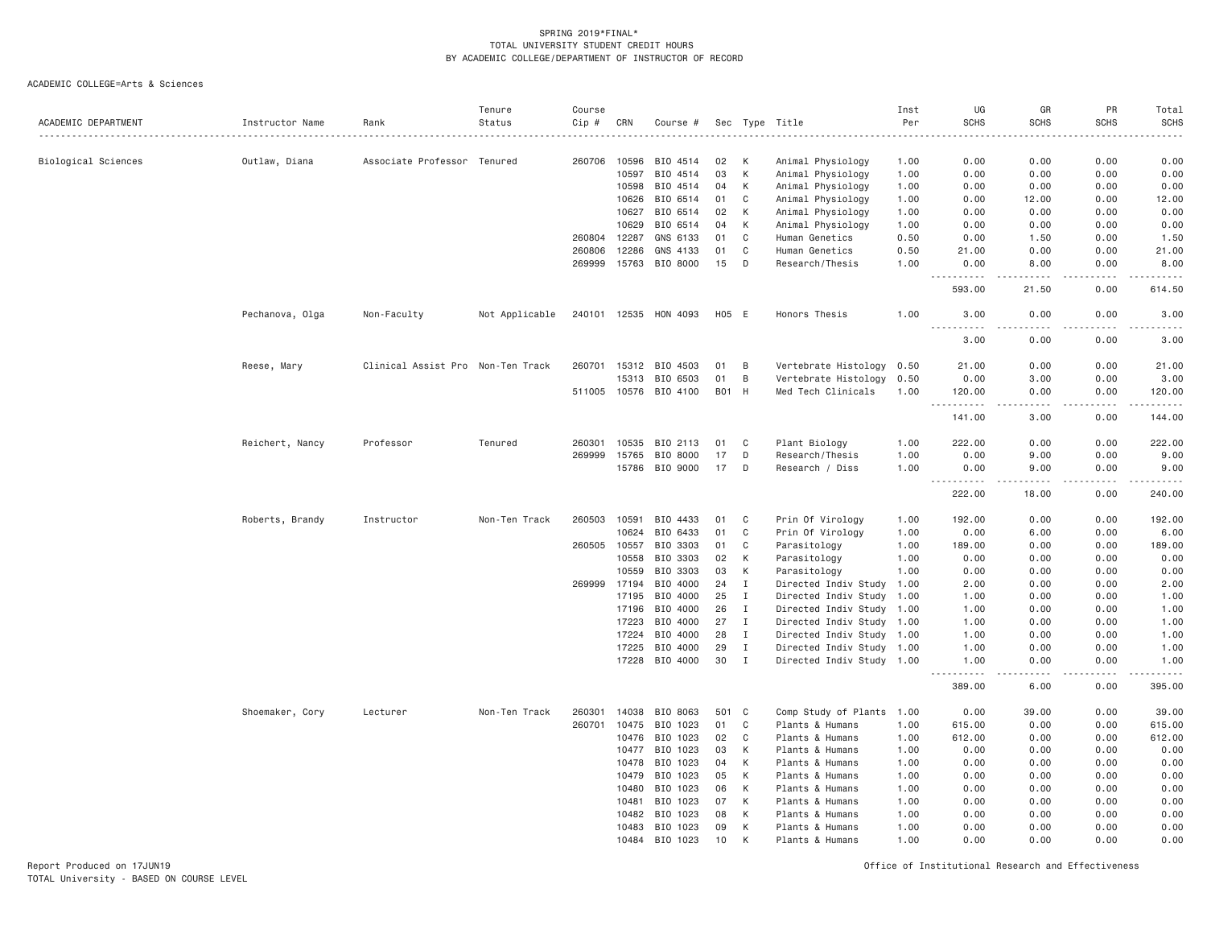|                     |                 |                                   | Tenure         | Course |              |                       |       |              |                           | Inst | UG                                    | GR                    | PR               | Total                                                                                                                             |
|---------------------|-----------------|-----------------------------------|----------------|--------|--------------|-----------------------|-------|--------------|---------------------------|------|---------------------------------------|-----------------------|------------------|-----------------------------------------------------------------------------------------------------------------------------------|
| ACADEMIC DEPARTMENT | Instructor Name | Rank                              | Status         | Cip #  | CRN          | Course #              | Sec   |              | Type Title                | Per  | <b>SCHS</b>                           | <b>SCHS</b>           | <b>SCHS</b>      | <b>SCHS</b>                                                                                                                       |
|                     |                 |                                   |                |        |              |                       |       |              |                           |      |                                       |                       |                  |                                                                                                                                   |
| Biological Sciences | Outlaw, Diana   | Associate Professor Tenured       |                | 260706 | 10596        | BIO 4514              | 02    | К            | Animal Physiology         | 1.00 | 0.00                                  | 0.00                  | 0.00             | 0.00                                                                                                                              |
|                     |                 |                                   |                |        | 10597        | BIO 4514              | 03    | К            | Animal Physiology         | 1.00 | 0.00                                  | 0.00                  | 0.00             | 0.00                                                                                                                              |
|                     |                 |                                   |                |        | 10598        | BIO 4514              | 04    | К            | Animal Physiology         | 1.00 | 0.00                                  | 0.00                  | 0.00             | 0.00                                                                                                                              |
|                     |                 |                                   |                |        | 10626        | BIO 6514              | 01    | C            | Animal Physiology         | 1.00 | 0.00                                  | 12.00                 | 0.00             | 12.00                                                                                                                             |
|                     |                 |                                   |                |        | 10627        | BIO 6514              | 02    | К            | Animal Physiology         | 1.00 | 0.00                                  | 0.00                  | 0.00             | 0.00                                                                                                                              |
|                     |                 |                                   |                |        | 10629        | BIO 6514              | 04    | К            | Animal Physiology         | 1.00 | 0.00                                  | 0.00                  | 0.00             | 0.00                                                                                                                              |
|                     |                 |                                   |                | 260804 | 12287        | GNS 6133              | 01    | C            | Human Genetics            | 0.50 | 0.00                                  | 1.50                  | 0.00             | 1.50                                                                                                                              |
|                     |                 |                                   |                | 260806 | 12286        | GNS 4133              | 01    | C            | Human Genetics            | 0.50 | 21.00                                 | 0.00                  | 0.00             | 21.00                                                                                                                             |
|                     |                 |                                   |                | 269999 | 15763        | BIO 8000              | 15    | D            | Research/Thesis           | 1.00 | 0.00<br>$-$<br>$\frac{1}{2}$          | 8.00<br>$\frac{1}{2}$ | 0.00<br>$\cdots$ | 8.00<br>.                                                                                                                         |
|                     |                 |                                   |                |        |              |                       |       |              |                           |      | 593.00                                | 21.50                 | 0.00             | 614.50                                                                                                                            |
|                     | Pechanova, Olga | Non-Faculty                       | Not Applicable |        |              | 240101 12535 HON 4093 | H05 E |              | Honors Thesis             | 1.00 | 3.00<br>$- - -$<br>.                  | 0.00<br>المستحدث      | 0.00<br>.        | 3.00<br>$\frac{1}{2} \left( \frac{1}{2} \right) \left( \frac{1}{2} \right) \left( \frac{1}{2} \right) \left( \frac{1}{2} \right)$ |
|                     |                 |                                   |                |        |              |                       |       |              |                           |      | 3.00                                  | 0.00                  | 0.00             | 3.00                                                                                                                              |
|                     | Reese, Mary     | Clinical Assist Pro Non-Ten Track |                | 260701 | 15312        | BIO 4503              | 01    | B            | Vertebrate Histology      | 0.50 | 21.00                                 | 0.00                  | 0.00             | 21.00                                                                                                                             |
|                     |                 |                                   |                |        | 15313        | BIO 6503              | 01    | B            | Vertebrate Histology      | 0.50 | 0.00                                  | 3.00                  | 0.00             | 3.00                                                                                                                              |
|                     |                 |                                   |                |        |              | 511005 10576 BIO 4100 | B01 H |              | Med Tech Clinicals        | 1.00 | 120.00                                | 0.00                  | 0.00             | 120.00                                                                                                                            |
|                     |                 |                                   |                |        |              |                       |       |              |                           |      | $\sim$ $\sim$ $\sim$<br>141.00        | -----<br>3.00         | .<br>0.00        | .<br>144.00                                                                                                                       |
|                     |                 |                                   |                |        |              |                       |       |              |                           |      |                                       |                       | 0.00             |                                                                                                                                   |
|                     | Reichert, Nancy | Professor                         | Tenured        | 260301 | 10535        | BIO 2113              | 01    | C            | Plant Biology             | 1.00 | 222.00                                | 0.00                  |                  | 222.00                                                                                                                            |
|                     |                 |                                   |                | 269999 | 15765        | BIO 8000              | 17    | D            | Research/Thesis           | 1.00 | 0.00                                  | 9.00                  | 0.00             | 9.00                                                                                                                              |
|                     |                 |                                   |                |        |              | 15786 BIO 9000        | 17    | D            | Research / Diss           | 1.00 | 0.00<br>$\sim$ $\sim$ $\sim$<br>----- | 9.00<br>.             | 0.00<br>.        | 9.00<br>-----                                                                                                                     |
|                     |                 |                                   |                |        |              |                       |       |              |                           |      | 222.00                                | 18.00                 | 0.00             | 240.00                                                                                                                            |
|                     | Roberts, Brandy | Instructor                        | Non-Ten Track  | 260503 | 10591        | BIO 4433              | 01    | C            | Prin Of Virology          | 1.00 | 192.00                                | 0.00                  | 0.00             | 192.00                                                                                                                            |
|                     |                 |                                   |                |        | 10624        | BIO 6433              | 01    | C            | Prin Of Virology          | 1.00 | 0.00                                  | 6.00                  | 0.00             | 6.00                                                                                                                              |
|                     |                 |                                   |                | 260505 | 10557        | BIO 3303              | 01    | C            | Parasitology              | 1.00 | 189.00                                | 0.00                  | 0.00             | 189.00                                                                                                                            |
|                     |                 |                                   |                |        | 10558        | BIO 3303              | 02    | К            | Parasitology              | 1.00 | 0.00                                  | 0.00                  | 0.00             | 0.00                                                                                                                              |
|                     |                 |                                   |                |        | 10559        | BIO 3303              | 03    | К            | Parasitology              | 1.00 | 0.00                                  | 0.00                  | 0.00             | 0.00                                                                                                                              |
|                     |                 |                                   |                |        | 269999 17194 | BIO 4000              | 24    | $\mathbf{I}$ | Directed Indiv Study      | 1.00 | 2.00                                  | 0.00                  | 0.00             | 2.00                                                                                                                              |
|                     |                 |                                   |                |        | 17195        | BIO 4000              | 25    | $\mathbf{I}$ | Directed Indiv Study      | 1.00 | 1.00                                  | 0.00                  | 0.00             | 1.00                                                                                                                              |
|                     |                 |                                   |                |        | 17196        | BIO 4000              | 26    | I            | Directed Indiv Study 1.00 |      | 1.00                                  | 0.00                  | 0.00             | 1.00                                                                                                                              |
|                     |                 |                                   |                |        | 17223        | BIO 4000              | 27    | $\mathbf{I}$ | Directed Indiv Study 1.00 |      | 1,00                                  | 0.00                  | 0.00             | 1.00                                                                                                                              |
|                     |                 |                                   |                |        | 17224        | BIO 4000              | 28    | $\mathbf{I}$ | Directed Indiv Study 1.00 |      | 1.00                                  | 0.00                  | 0.00             | 1.00                                                                                                                              |
|                     |                 |                                   |                |        | 17225        | BIO 4000              | 29    | $\mathbf{I}$ | Directed Indiv Study 1.00 |      | 1.00                                  | 0.00                  | 0.00             | 1.00                                                                                                                              |
|                     |                 |                                   |                |        | 17228        | BIO 4000              | 30    | $\mathbf I$  | Directed Indiv Study 1.00 |      | 1.00<br>.                             | 0.00<br>$\frac{1}{2}$ | 0.00<br>.        | 1.00<br>.                                                                                                                         |
|                     |                 |                                   |                |        |              |                       |       |              |                           |      | 389.00                                | 6.00                  | 0.00             | 395.00                                                                                                                            |
|                     | Shoemaker, Cory | Lecturer                          | Non-Ten Track  | 260301 | 14038        | BIO 8063              | 501   | $\mathbf{C}$ | Comp Study of Plants 1.00 |      | 0.00                                  | 39.00                 | 0.00             | 39.00                                                                                                                             |
|                     |                 |                                   |                | 260701 | 10475        | BIO 1023              | 01    | C            | Plants & Humans           | 1.00 | 615.00                                | 0.00                  | 0.00             | 615.00                                                                                                                            |
|                     |                 |                                   |                |        | 10476        | BIO 1023              | 02    | C            | Plants & Humans           | 1.00 | 612.00                                | 0.00                  | 0.00             | 612.00                                                                                                                            |
|                     |                 |                                   |                |        | 10477        | BIO 1023              | 03    | К            | Plants & Humans           | 1.00 | 0.00                                  | 0.00                  | 0.00             | 0.00                                                                                                                              |
|                     |                 |                                   |                |        | 10478        | BIO 1023              | 04    | К            | Plants & Humans           | 1.00 | 0.00                                  | 0.00                  | 0.00             | 0.00                                                                                                                              |
|                     |                 |                                   |                |        | 10479        | BIO 1023              | 05    | K            | Plants & Humans           | 1.00 | 0.00                                  | 0.00                  | 0.00             | 0.00                                                                                                                              |
|                     |                 |                                   |                |        | 10480        | BIO 1023              | 06    | К            | Plants & Humans           | 1.00 | 0.00                                  | 0.00                  | 0.00             | 0.00                                                                                                                              |
|                     |                 |                                   |                |        | 10481        | BIO 1023              | 07    | К            | Plants & Humans           | 1.00 | 0.00                                  | 0.00                  | 0.00             | 0.00                                                                                                                              |
|                     |                 |                                   |                |        | 10482        | BIO 1023              | 08    | K            | Plants & Humans           | 1.00 | 0.00                                  | 0.00                  | 0.00             | 0.00                                                                                                                              |
|                     |                 |                                   |                |        | 10483        | BIO 1023              | 09    | K            | Plants & Humans           | 1.00 | 0.00                                  | 0.00                  | 0.00             | 0.00                                                                                                                              |
|                     |                 |                                   |                |        | 10484        | BIO 1023              | 10    | K            | Plants & Humans           | 1.00 | 0.00                                  | 0.00                  | 0.00             | 0.00                                                                                                                              |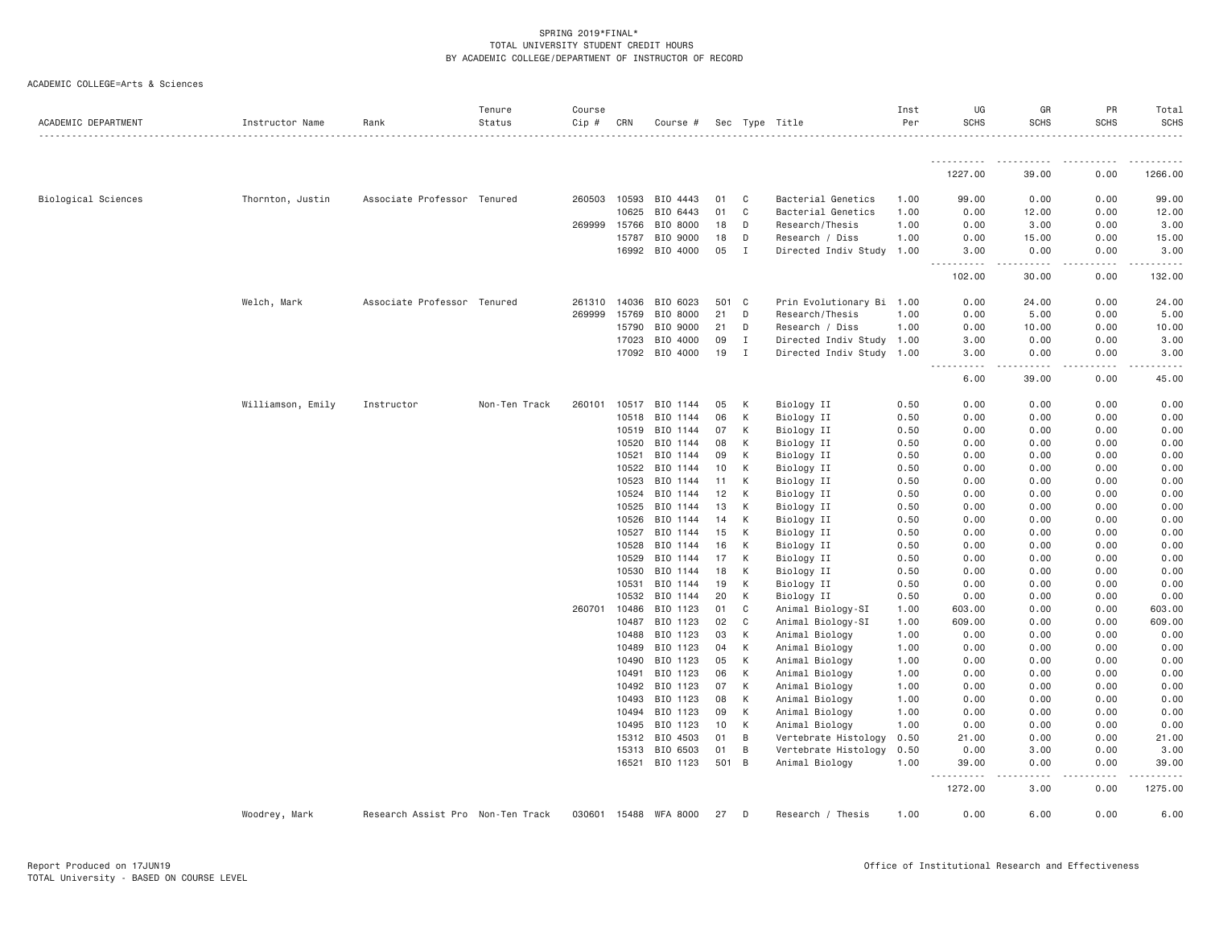| ACADEMIC DEPARTMENT | Instructor Name   | Rank                              | Tenure<br>Status | Course<br>Cip # | CRN            | Course #             |           |              | Sec Type Title                         | Inst<br>Per  | UG<br><b>SCHS</b>                      | GR<br><b>SCHS</b> | PR<br><b>SCHS</b> | Total<br><b>SCHS</b> |
|---------------------|-------------------|-----------------------------------|------------------|-----------------|----------------|----------------------|-----------|--------------|----------------------------------------|--------------|----------------------------------------|-------------------|-------------------|----------------------|
|                     |                   |                                   |                  |                 |                |                      |           |              |                                        |              | -----------                            |                   |                   |                      |
|                     |                   |                                   |                  |                 |                |                      |           |              |                                        |              | 1227.00                                | 39.00             | 0.00              | 1266.00              |
| Biological Sciences | Thornton, Justin  | Associate Professor Tenured       |                  | 260503          | 10593          | BIO 4443             | 01        | C            | Bacterial Genetics                     | 1.00         | 99.00                                  | 0.00              | 0.00              | 99.00                |
|                     |                   |                                   |                  |                 | 10625          | BIO 6443             | 01        | C            | Bacterial Genetics                     | 1.00         | 0.00                                   | 12.00             | 0.00              | 12.00                |
|                     |                   |                                   |                  | 269999          | 15766          | BIO 8000             | 18        | D            | Research/Thesis                        | 1.00         | 0.00                                   | 3.00              | 0.00              | 3.00                 |
|                     |                   |                                   |                  |                 | 15787          | BIO 9000             | 18        | D            | Research / Diss                        | 1.00         | 0.00                                   | 15.00             | 0.00              | 15.00                |
|                     |                   |                                   |                  |                 | 16992          | BIO 4000             | 05        | $\mathbf I$  | Directed Indiv Study                   | 1.00         | 3.00<br>------<br>$\sim$ $\sim$ $\sim$ | 0.00<br>.         | 0.00<br>.         | 3.00<br>.            |
|                     |                   |                                   |                  |                 |                |                      |           |              |                                        |              | 102.00                                 | 30.00             | 0.00              | 132.00               |
|                     | Welch, Mark       | Associate Professor Tenured       |                  | 261310          | 14036          | BIO 6023             | 501       | C            | Prin Evolutionary Bi 1.00              |              | 0.00                                   | 24.00             | 0.00              | 24.00                |
|                     |                   |                                   |                  | 269999          | 15769          | BIO 8000             | 21        | D            | Research/Thesis                        | 1.00         | 0.00                                   | 5.00              | 0.00              | 5.00                 |
|                     |                   |                                   |                  |                 | 15790          | BIO 9000             | 21        | D            | Research / Diss                        | 1.00         | 0.00                                   | 10.00             | 0.00              | 10.00                |
|                     |                   |                                   |                  |                 | 17023          | BIO 4000             | 09        | I            | Directed Indiv Study 1.00              |              | 3.00                                   | 0.00              | 0.00              | 3.00                 |
|                     |                   |                                   |                  |                 | 17092          | BIO 4000             | 19        | I            | Directed Indiv Study 1.00              |              | 3.00<br>.                              | 0.00              | 0.00              | 3.00<br>.            |
|                     |                   |                                   |                  |                 |                |                      |           |              |                                        |              | 6.00                                   | 39.00             | 0.00              | 45.00                |
|                     | Williamson, Emily | Instructor                        | Non-Ten Track    | 260101          | 10517          | BIO 1144             | 05        | К            | Biology II                             | 0.50         | 0.00                                   | 0.00              | 0.00              | 0.00                 |
|                     |                   |                                   |                  |                 | 10518          | BIO 1144             | 06        | К            | Biology II                             | 0.50         | 0.00                                   | 0.00              | 0.00              | 0.00                 |
|                     |                   |                                   |                  |                 | 10519          | BIO 1144             | 07        | К            | Biology II                             | 0.50         | 0.00                                   | 0.00              | 0.00              | 0.00                 |
|                     |                   |                                   |                  |                 | 10520          | BIO 1144             | 08        | К            | Biology II                             | 0.50         | 0.00                                   | 0.00              | 0.00              | 0.00                 |
|                     |                   |                                   |                  |                 | 10521          | BIO 1144             | 09        | K            | Biology II                             | 0.50         | 0.00                                   | 0.00              | 0.00              | 0.00                 |
|                     |                   |                                   |                  |                 | 10522          | BIO 1144             | 10        | К            | Biology II                             | 0.50         | 0.00                                   | 0.00              | 0.00              | 0.00                 |
|                     |                   |                                   |                  |                 | 10523          | BIO 1144             | 11        | К            | Biology II                             | 0.50         | 0.00                                   | 0.00              | 0.00              | 0.00                 |
|                     |                   |                                   |                  |                 | 10524          | BIO 1144             | 12        | К            | Biology II                             | 0.50         | 0.00                                   | 0.00              | 0.00              | 0.00                 |
|                     |                   |                                   |                  |                 | 10525          | BIO 1144             | 13        | К            | Biology II                             | 0.50         | 0.00                                   | 0.00              | 0.00              | 0.00                 |
|                     |                   |                                   |                  |                 | 10526          | BIO 1144             | 14        | К            | Biology II                             | 0.50         | 0.00                                   | 0.00              | 0.00              | 0.00                 |
|                     |                   |                                   |                  |                 | 10527          | BIO 1144             | 15        | K            | Biology II                             | 0.50         | 0.00                                   | 0.00              | 0.00              | 0.00                 |
|                     |                   |                                   |                  |                 | 10528          | BIO 1144             | 16        | К            | Biology II                             | 0.50         | 0.00                                   | 0.00              | 0.00              | 0.00                 |
|                     |                   |                                   |                  |                 | 10529          | BIO 1144             | 17        | К            | Biology II                             | 0.50         | 0.00                                   | 0.00              | 0.00              | 0.00                 |
|                     |                   |                                   |                  |                 | 10530          | BIO 1144             | 18        | К            | Biology II                             | 0.50         | 0.00                                   | 0.00              | 0.00              | 0.00                 |
|                     |                   |                                   |                  |                 | 10531          | BIO 1144             | 19        | К            | Biology II                             | 0.50         | 0.00                                   | 0.00              | 0.00              | 0.00                 |
|                     |                   |                                   |                  |                 | 10532          | BIO 1144             | 20        | K            | Biology II                             | 0.50         | 0.00                                   | 0.00              | 0.00              | 0.00                 |
|                     |                   |                                   |                  | 260701          | 10486          | BIO 1123             | 01        | C            | Animal Biology-SI                      | 1.00         | 603.00                                 | 0.00              | 0.00              | 603.00               |
|                     |                   |                                   |                  |                 | 10487          | BIO 1123             | 02        | $\mathsf{C}$ | Animal Biology-SI                      | 1.00         | 609.00                                 | 0.00              | 0.00              | 609.00               |
|                     |                   |                                   |                  |                 | 10488          | BIO 1123             | 03        | К            | Animal Biology                         | 1.00         | 0.00                                   | 0.00              | 0.00              | 0.00                 |
|                     |                   |                                   |                  |                 | 10489          | BIO 1123             | 04        | K            | Animal Biology                         | 1.00         | 0.00                                   | 0.00              | 0.00              | 0.00                 |
|                     |                   |                                   |                  |                 | 10490          | BIO 1123             | 05        | К            | Animal Biology                         | 1.00         | 0.00                                   | 0.00              | 0.00              | 0.00                 |
|                     |                   |                                   |                  |                 | 10491          | BIO 1123             | 06        | K            | Animal Biology                         | 1.00         | 0.00                                   | 0.00              | 0.00              | 0.00                 |
|                     |                   |                                   |                  |                 | 10492          | BIO 1123             | 07        | К            | Animal Biology                         | 1.00         | 0.00                                   | 0.00              | 0.00              | 0.00                 |
|                     |                   |                                   |                  |                 | 10493          | BIO 1123             | 08        | К            | Animal Biology                         | 1.00         | 0.00                                   | 0.00              | 0.00              | 0.00                 |
|                     |                   |                                   |                  |                 | 10494          | BIO 1123             | 09        | K            | Animal Biology                         | 1.00         | 0.00                                   | 0.00              | 0.00              | 0.00                 |
|                     |                   |                                   |                  |                 | 10495          | BIO 1123             | 10        | К            | Animal Biology                         | 1.00         | 0.00                                   | 0.00              | 0.00              | 0.00                 |
|                     |                   |                                   |                  |                 | 15312          | BIO 4503             | 01        | B            | Vertebrate Histology                   | 0.50         | 21.00                                  | 0.00              | 0.00              | 21.00                |
|                     |                   |                                   |                  |                 | 15313<br>16521 | BIO 6503<br>BIO 1123 | 01<br>501 | B<br>B       | Vertebrate Histology<br>Animal Biology | 0.50<br>1.00 | 0.00<br>39.00                          | 3.00<br>0.00      | 0.00<br>0.00      | 3.00<br>39.00        |
|                     |                   |                                   |                  |                 |                |                      |           |              |                                        |              | 1272.00                                | 3.00              | 0.00              | 1275.00              |
|                     |                   |                                   |                  |                 |                |                      |           |              |                                        |              |                                        |                   |                   |                      |
|                     | Woodrey, Mark     | Research Assist Pro Non-Ten Track |                  | 030601          | 15488          | WFA 8000             | 27        | D            | Research / Thesis                      | 1.00         | 0.00                                   | 6.00              | 0.00              | 6.00                 |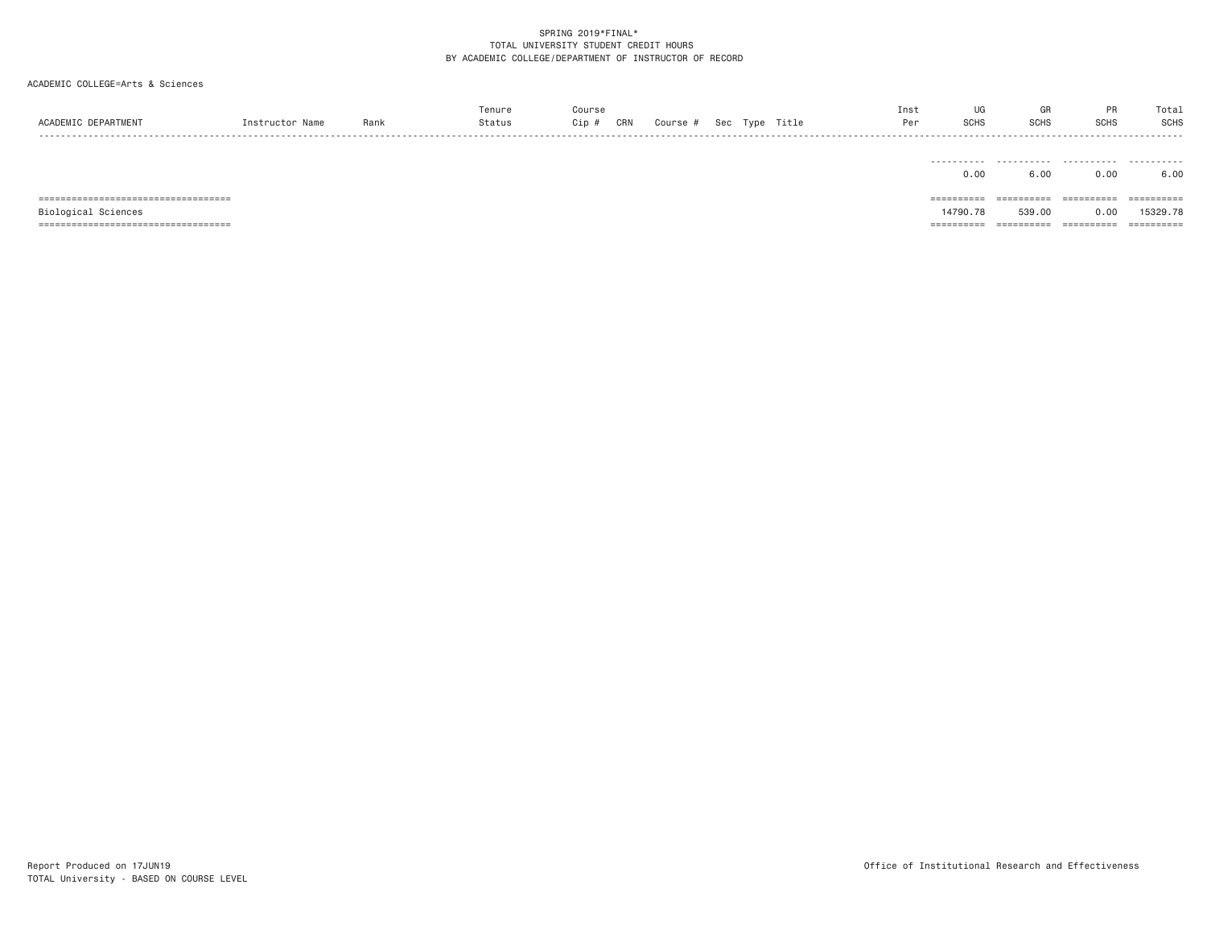# ACADEMIC COLLEGE=Arts & Sciences

| ACADEMIC DEPARTMENT                  | Instructor Name | Rank | Tenure<br>Status | Course<br>Cip #<br>CRN | Course # |  | Sec Type Title | Inst<br>Per | UG<br><b>SCHS</b> | GR<br><b>SCHS</b> | PR<br><b>SCHS</b> | Total<br><b>SCHS</b> |
|--------------------------------------|-----------------|------|------------------|------------------------|----------|--|----------------|-------------|-------------------|-------------------|-------------------|----------------------|
|                                      |                 |      |                  |                        |          |  |                |             | 0.00              | 6,00              | 0.00              | 6.00                 |
| ==================================== |                 |      |                  |                        |          |  |                |             | ==========        | ==========        | ==========        |                      |
| Biological Sciences                  |                 |      |                  |                        |          |  |                |             | 14790.78          | 539,00            | 0.00              | 15329.78             |

=================================== ========== ========== ========== ==========

TOTAL University - BASED ON COURSE LEVEL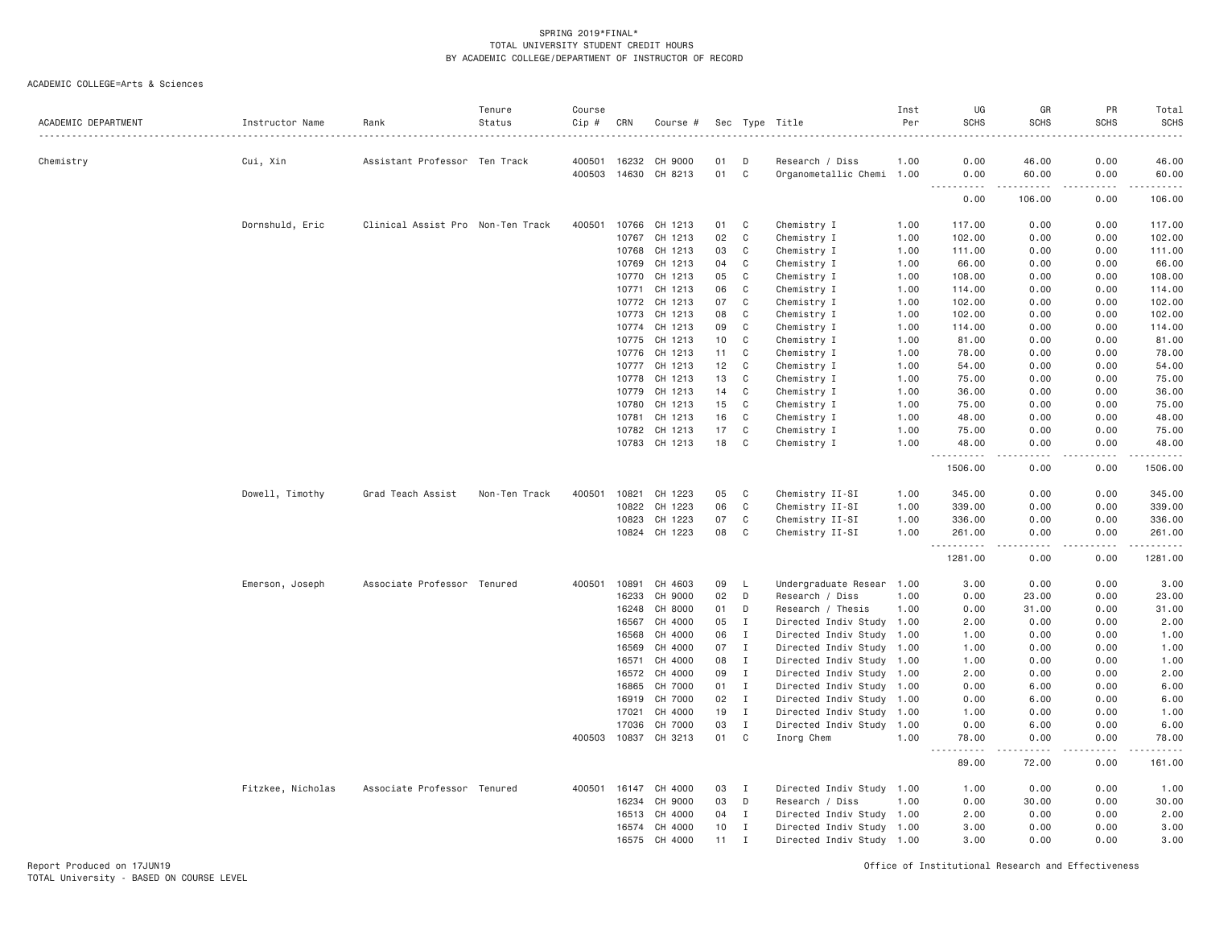| ACADEMIC DEPARTMENT | Instructor Name   | Rank                              | Tenure<br>Status | Course<br>Cip #<br>$- - - - - - -$ | CRN   | Course #             |    |              | Sec Type Title            | Inst<br>Per | UG<br><b>SCHS</b>                  | GR<br><b>SCHS</b>            | PR<br><b>SCHS</b> | Total<br><b>SCHS</b><br>.                                                                                            |
|---------------------|-------------------|-----------------------------------|------------------|------------------------------------|-------|----------------------|----|--------------|---------------------------|-------------|------------------------------------|------------------------------|-------------------|----------------------------------------------------------------------------------------------------------------------|
| Chemistry           | Cui, Xin          | Assistant Professor Ten Track     |                  |                                    |       | 400501 16232 CH 9000 | 01 | D            | Research / Diss           | 1.00        | 0.00                               | 46.00                        | 0.00              | 46.00                                                                                                                |
|                     |                   |                                   |                  | 400503                             |       | 14630 CH 8213        | 01 | C            | Organometallic Chemi 1.00 |             | 0.00                               | 60.00                        | 0.00              | 60.00                                                                                                                |
|                     |                   |                                   |                  |                                    |       |                      |    |              |                           |             | .<br>0.00                          | .<br>106.00                  | .<br>0.00         | <u>.</u><br>106.00                                                                                                   |
|                     | Dornshuld, Eric   | Clinical Assist Pro Non-Ten Track |                  | 400501                             |       | 10766 CH 1213        | 01 | C            | Chemistry I               | 1.00        | 117.00                             | 0.00                         | 0.00              | 117.00                                                                                                               |
|                     |                   |                                   |                  |                                    | 10767 | CH 1213              | 02 | C            | Chemistry I               | 1.00        | 102.00                             | 0.00                         | 0.00              | 102.00                                                                                                               |
|                     |                   |                                   |                  |                                    |       | 10768 CH 1213        | 03 | C            | Chemistry I               | 1.00        | 111.00                             | 0.00                         | 0.00              | 111.00                                                                                                               |
|                     |                   |                                   |                  |                                    | 10769 | CH 1213              | 04 | C            | Chemistry I               | 1.00        | 66.00                              | 0.00                         | 0.00              | 66.00                                                                                                                |
|                     |                   |                                   |                  |                                    |       | 10770 CH 1213        | 05 | $\mathbb C$  | Chemistry I               | 1.00        | 108.00                             | 0.00                         | 0.00              | 108.00                                                                                                               |
|                     |                   |                                   |                  |                                    | 10771 | CH 1213              | 06 | C            | Chemistry I               | 1.00        | 114.00                             | 0.00                         | 0.00              | 114.00                                                                                                               |
|                     |                   |                                   |                  |                                    |       | 10772 CH 1213        | 07 | C            | Chemistry I               | 1.00        | 102.00                             | 0.00                         | 0.00              | 102.00                                                                                                               |
|                     |                   |                                   |                  |                                    | 10773 | CH 1213              | 08 | C            | Chemistry I               | 1.00        | 102.00                             | 0.00                         | 0.00              | 102.00                                                                                                               |
|                     |                   |                                   |                  |                                    | 10774 | CH 1213              | 09 | C            | Chemistry I               | 1.00        | 114.00                             | 0.00                         | 0.00              | 114.00                                                                                                               |
|                     |                   |                                   |                  |                                    | 10775 | CH 1213              | 10 | C            | Chemistry I               | 1.00        | 81.00                              | 0.00                         | 0.00              | 81.00                                                                                                                |
|                     |                   |                                   |                  |                                    |       | 10776 CH 1213        | 11 | C            | Chemistry I               | 1.00        | 78.00                              | 0.00                         | 0.00              | 78.00                                                                                                                |
|                     |                   |                                   |                  |                                    |       | 10777 CH 1213        | 12 | C            | Chemistry I               | 1.00        | 54.00                              | 0.00                         | 0.00              | 54.00                                                                                                                |
|                     |                   |                                   |                  |                                    | 10778 | CH 1213              | 13 | C            | Chemistry I               | 1.00        | 75.00                              | 0.00                         | 0.00              | 75.00                                                                                                                |
|                     |                   |                                   |                  |                                    | 10779 | CH 1213              | 14 | C            | Chemistry I               | 1.00        | 36,00                              | 0.00                         | 0.00              | 36.00                                                                                                                |
|                     |                   |                                   |                  |                                    | 10780 | CH 1213              | 15 | C            | Chemistry I               | 1.00        | 75.00                              | 0.00                         | 0.00              | 75.00                                                                                                                |
|                     |                   |                                   |                  |                                    | 10781 | CH 1213              | 16 | C            | Chemistry I               | 1.00        | 48.00                              | 0.00                         | 0.00              | 48.00                                                                                                                |
|                     |                   |                                   |                  |                                    |       | 10782 CH 1213        | 17 | C            | Chemistry I               | 1.00        | 75.00                              | 0.00                         | 0.00              | 75.00                                                                                                                |
|                     |                   |                                   |                  |                                    |       | 10783 CH 1213        | 18 | C            | Chemistry I               | 1.00        | 48.00<br>.                         | 0.00<br>$\sim$ $\sim$ $\sim$ | 0.00<br>.         | 48.00<br>$\begin{array}{cccccccccc} \bullet & \bullet & \bullet & \bullet & \bullet & \bullet & \bullet \end{array}$ |
|                     |                   |                                   |                  |                                    |       |                      |    |              |                           |             | 1506.00                            | 0.00                         | 0.00              | 1506.00                                                                                                              |
|                     | Dowell, Timothy   | Grad Teach Assist                 | Non-Ten Track    | 400501                             | 10821 | CH 1223              | 05 | C            | Chemistry II-SI           | 1.00        | 345.00                             | 0.00                         | 0.00              | 345.00                                                                                                               |
|                     |                   |                                   |                  |                                    | 10822 | CH 1223              | 06 | C            | Chemistry II-SI           | 1.00        | 339.00                             | 0.00                         | 0.00              | 339.00                                                                                                               |
|                     |                   |                                   |                  |                                    | 10823 | CH 1223              | 07 | C            | Chemistry II-SI           | 1.00        | 336.00                             | 0.00                         | 0.00              | 336.00                                                                                                               |
|                     |                   |                                   |                  |                                    |       | 10824 CH 1223        | 08 | C            | Chemistry II-SI           | 1.00        | 261.00<br>.                        | 0.00<br>.                    | 0.00<br>.         | 261.00<br>.                                                                                                          |
|                     |                   |                                   |                  |                                    |       |                      |    |              |                           |             | 1281.00                            | 0.00                         | 0.00              | 1281.00                                                                                                              |
|                     | Emerson, Joseph   | Associate Professor Tenured       |                  | 400501                             | 10891 | CH 4603              | 09 | L.           | Undergraduate Resear 1.00 |             | 3.00                               | 0.00                         | 0.00              | 3.00                                                                                                                 |
|                     |                   |                                   |                  |                                    | 16233 | CH 9000              | 02 | D            | Research / Diss           | 1.00        | 0.00                               | 23.00                        | 0.00              | 23.00                                                                                                                |
|                     |                   |                                   |                  |                                    | 16248 | CH 8000              | 01 | D            | Research / Thesis         | 1.00        | 0.00                               | 31.00                        | 0.00              | 31.00                                                                                                                |
|                     |                   |                                   |                  |                                    | 16567 | CH 4000              | 05 | $\mathbf I$  | Directed Indiv Study 1.00 |             | 2.00                               | 0.00                         | 0.00              | 2.00                                                                                                                 |
|                     |                   |                                   |                  |                                    | 16568 | CH 4000              | 06 | $\mathbf{I}$ | Directed Indiv Study 1.00 |             | 1.00                               | 0.00                         | 0.00              | 1.00                                                                                                                 |
|                     |                   |                                   |                  |                                    | 16569 | CH 4000              | 07 | $\mathbf{I}$ | Directed Indiv Study 1.00 |             | 1.00                               | 0.00                         | 0.00              | 1.00                                                                                                                 |
|                     |                   |                                   |                  |                                    | 16571 | CH 4000              | 08 | $\mathbf{I}$ | Directed Indiv Study 1.00 |             | 1.00                               | 0.00                         | 0.00              | 1.00                                                                                                                 |
|                     |                   |                                   |                  |                                    | 16572 | CH 4000              | 09 | $\mathbf{I}$ | Directed Indiv Study 1.00 |             | 2.00                               | 0.00                         | 0.00              | 2.00                                                                                                                 |
|                     |                   |                                   |                  |                                    | 16865 | CH 7000              | 01 | $\mathbf{I}$ | Directed Indiv Study 1.00 |             | 0.00                               | 6.00                         | 0.00              | 6.00                                                                                                                 |
|                     |                   |                                   |                  |                                    | 16919 | CH 7000              | 02 | $\mathbf{I}$ | Directed Indiv Study 1.00 |             | 0.00                               | 6.00                         | 0.00              | 6.00                                                                                                                 |
|                     |                   |                                   |                  |                                    | 17021 | CH 4000              | 19 | $\mathbf I$  | Directed Indiv Study 1.00 |             | 1.00                               | 0.00                         | 0.00              | 1.00                                                                                                                 |
|                     |                   |                                   |                  |                                    | 17036 | CH 7000              | 03 | $\mathbf{I}$ | Directed Indiv Study 1.00 |             | 0.00                               | 6.00                         | 0.00              | 6.00                                                                                                                 |
|                     |                   |                                   |                  | 400503                             | 10837 | CH 3213              | 01 | C            | Inorg Chem                | 1.00        | 78.00<br>.<br>$\sim$ $\sim$ $\sim$ | 0.00<br>.                    | 0.00<br>.         | 78.00<br>.                                                                                                           |
|                     |                   |                                   |                  |                                    |       |                      |    |              |                           |             | 89.00                              | 72.00                        | 0.00              | 161.00                                                                                                               |
|                     | Fitzkee, Nicholas | Associate Professor Tenured       |                  | 400501                             | 16147 | CH 4000              | 03 | $\mathbf{I}$ | Directed Indiv Study 1.00 |             | 1.00                               | 0.00                         | 0.00              | 1.00                                                                                                                 |
|                     |                   |                                   |                  |                                    | 16234 | CH 9000              | 03 | D            | Research / Diss           | 1.00        | 0.00                               | 30.00                        | 0.00              | 30.00                                                                                                                |
|                     |                   |                                   |                  |                                    | 16513 | CH 4000              | 04 | $\mathbf{I}$ | Directed Indiv Study 1.00 |             | 2.00                               | 0.00                         | 0.00              | 2.00                                                                                                                 |
|                     |                   |                                   |                  |                                    | 16574 | CH 4000              | 10 | $\mathbf{I}$ | Directed Indiv Study 1.00 |             | 3.00                               | 0.00                         | 0.00              | 3.00                                                                                                                 |
|                     |                   |                                   |                  |                                    | 16575 | CH 4000              | 11 | $\mathbf{I}$ | Directed Indiv Study 1.00 |             | 3.00                               | 0.00                         | 0.00              | 3.00                                                                                                                 |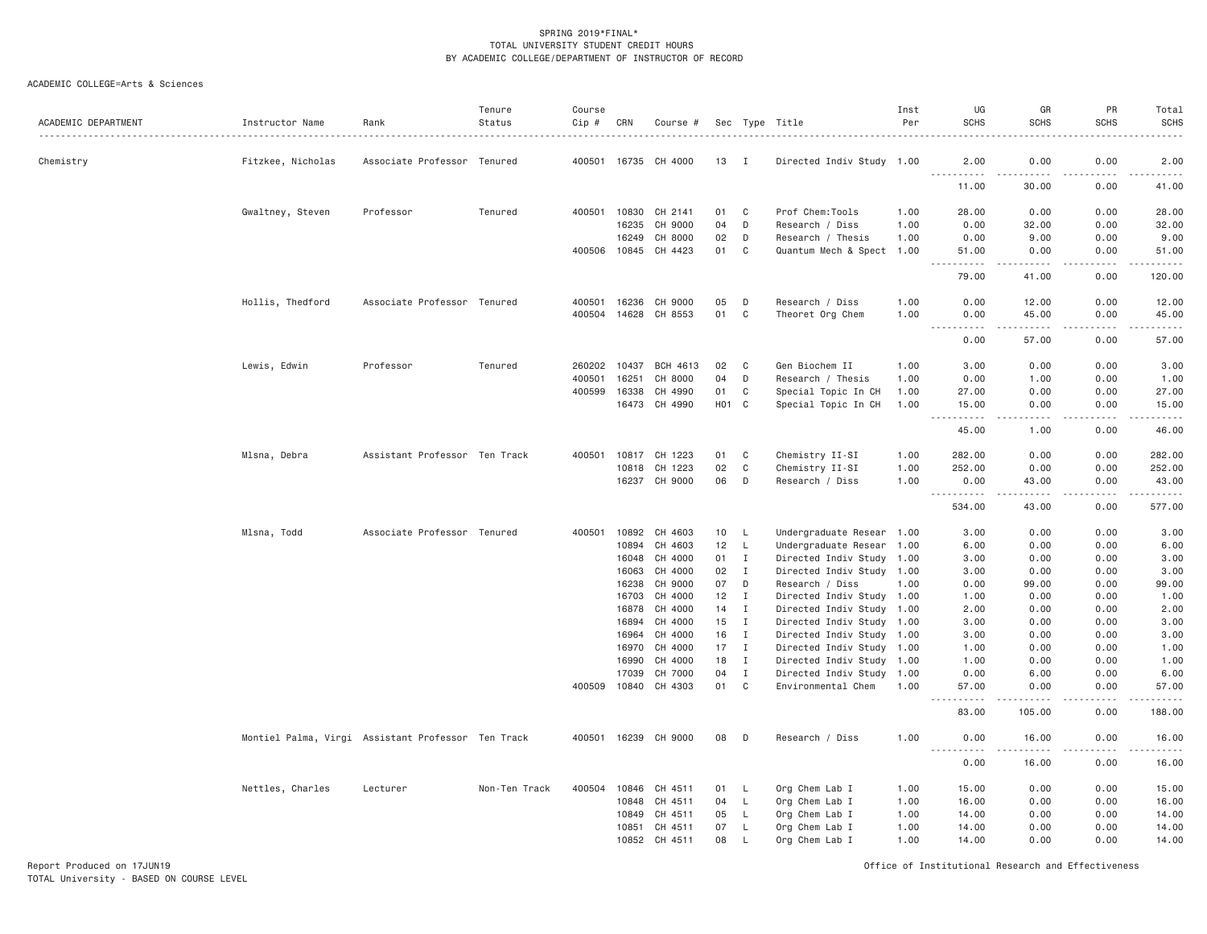# ACADEMIC COLLEGE=Arts & Sciences

| ACADEMIC DEPARTMENT | Instructor Name   | Rank                                               | Tenure<br>Status | Course<br>Cip # | CRN            | Course #             |          |                   | Sec Type Title                                         | Inst<br>Per | UG<br><b>SCHS</b>                                                                                                                                                                                                                                                                                                                                                                                    | GR<br><b>SCHS</b>                                                                                                                                              | PR<br><b>SCHS</b> | Total<br><b>SCHS</b>                                                                                                                                          |
|---------------------|-------------------|----------------------------------------------------|------------------|-----------------|----------------|----------------------|----------|-------------------|--------------------------------------------------------|-------------|------------------------------------------------------------------------------------------------------------------------------------------------------------------------------------------------------------------------------------------------------------------------------------------------------------------------------------------------------------------------------------------------------|----------------------------------------------------------------------------------------------------------------------------------------------------------------|-------------------|---------------------------------------------------------------------------------------------------------------------------------------------------------------|
| Chemistry           | Fitzkee, Nicholas | Associate Professor Tenured                        |                  |                 |                | 400501 16735 CH 4000 | 13       | $\blacksquare$    | Directed Indiv Study 1.00                              |             | 2,00                                                                                                                                                                                                                                                                                                                                                                                                 | 0.00                                                                                                                                                           | 0.00              | 2.00                                                                                                                                                          |
|                     |                   |                                                    |                  |                 |                |                      |          |                   |                                                        |             | <u> - - - - - - - - - -</u><br>11.00                                                                                                                                                                                                                                                                                                                                                                 | .<br>30.00                                                                                                                                                     | .<br>0.00         | .<br>41.00                                                                                                                                                    |
|                     | Gwaltney, Steven  | Professor                                          | Tenured          | 400501          | 10830          | CH 2141              | 01       | C                 | Prof Chem:Tools                                        | 1.00        | 28.00                                                                                                                                                                                                                                                                                                                                                                                                | 0.00                                                                                                                                                           | 0.00              | 28.00                                                                                                                                                         |
|                     |                   |                                                    |                  |                 | 16235          | CH 9000              | 04       | D                 | Research / Diss                                        | 1.00        | 0.00                                                                                                                                                                                                                                                                                                                                                                                                 | 32.00                                                                                                                                                          | 0.00              | 32.00                                                                                                                                                         |
|                     |                   |                                                    |                  |                 | 16249          | CH 8000              | 02       | D                 | Research / Thesis                                      | 1.00        | 0.00                                                                                                                                                                                                                                                                                                                                                                                                 | 9.00                                                                                                                                                           | 0.00              | 9.00                                                                                                                                                          |
|                     |                   |                                                    |                  |                 |                | 400506 10845 CH 4423 | 01       | C                 | Quantum Mech & Spect 1.00                              |             | 51.00<br>$- - - - - -$                                                                                                                                                                                                                                                                                                                                                                               | 0.00<br>-----                                                                                                                                                  | 0.00<br>.         | 51.00<br>.                                                                                                                                                    |
|                     |                   |                                                    |                  |                 |                |                      |          |                   |                                                        |             | 79.00                                                                                                                                                                                                                                                                                                                                                                                                | 41.00                                                                                                                                                          | 0.00              | 120.00                                                                                                                                                        |
|                     | Hollis, Thedford  | Associate Professor Tenured                        |                  | 400501          | 16236          | CH 9000              | 05       | D                 | Research / Diss                                        | 1.00        | 0.00                                                                                                                                                                                                                                                                                                                                                                                                 | 12.00                                                                                                                                                          | 0.00              | 12.00                                                                                                                                                         |
|                     |                   |                                                    |                  | 400504 14628    |                | CH 8553              | 01       | C                 | Theoret Org Chem                                       | 1.00        | 0.00                                                                                                                                                                                                                                                                                                                                                                                                 | 45.00                                                                                                                                                          | 0.00              | 45.00                                                                                                                                                         |
|                     |                   |                                                    |                  |                 |                |                      |          |                   |                                                        |             | $\frac{1}{2} \frac{1}{2} \frac{1}{2} \frac{1}{2} \frac{1}{2} \frac{1}{2} \frac{1}{2} \frac{1}{2} \frac{1}{2} \frac{1}{2} \frac{1}{2} \frac{1}{2} \frac{1}{2} \frac{1}{2} \frac{1}{2} \frac{1}{2} \frac{1}{2} \frac{1}{2} \frac{1}{2} \frac{1}{2} \frac{1}{2} \frac{1}{2} \frac{1}{2} \frac{1}{2} \frac{1}{2} \frac{1}{2} \frac{1}{2} \frac{1}{2} \frac{1}{2} \frac{1}{2} \frac{1}{2} \frac{$<br>0.00 | $\frac{1}{2} \left( \frac{1}{2} \right) \left( \frac{1}{2} \right) \left( \frac{1}{2} \right) \left( \frac{1}{2} \right) \left( \frac{1}{2} \right)$<br>57.00  | .<br>0.00         | .<br>57.00                                                                                                                                                    |
|                     | Lewis, Edwin      | Professor                                          | Tenured          | 260202          | 10437          | BCH 4613             | 02       | C                 | Gen Biochem II                                         | 1.00        | 3.00                                                                                                                                                                                                                                                                                                                                                                                                 | 0.00                                                                                                                                                           | 0.00              | 3.00                                                                                                                                                          |
|                     |                   |                                                    |                  | 400501          | 16251          | CH 8000              | 04       | D                 | Research / Thesis                                      | 1.00        | 0.00                                                                                                                                                                                                                                                                                                                                                                                                 | 1.00                                                                                                                                                           | 0.00              | 1.00                                                                                                                                                          |
|                     |                   |                                                    |                  | 400599          | 16338          | CH 4990              | 01       | C                 | Special Topic In CH                                    | 1.00        | 27.00                                                                                                                                                                                                                                                                                                                                                                                                | 0.00                                                                                                                                                           | 0.00              | 27.00                                                                                                                                                         |
|                     |                   |                                                    |                  |                 |                | 16473 CH 4990        | H01 C    |                   | Special Topic In CH                                    | 1.00        | 15.00                                                                                                                                                                                                                                                                                                                                                                                                | 0.00<br>.                                                                                                                                                      | 0.00              | 15.00<br>والمناصبات                                                                                                                                           |
|                     |                   |                                                    |                  |                 |                |                      |          |                   |                                                        |             | 45.00                                                                                                                                                                                                                                                                                                                                                                                                | 1.00                                                                                                                                                           | 0.00              | 46.00                                                                                                                                                         |
|                     | Mlsna, Debra      | Assistant Professor Ten Track                      |                  | 400501          |                | 10817 CH 1223        | 01       | C                 | Chemistry II-SI                                        | 1.00        | 282.00                                                                                                                                                                                                                                                                                                                                                                                               | 0.00                                                                                                                                                           | 0.00              | 282.00                                                                                                                                                        |
|                     |                   |                                                    |                  |                 | 10818          | CH 1223              | 02       | C                 | Chemistry II-SI                                        | 1.00        | 252.00                                                                                                                                                                                                                                                                                                                                                                                               | 0.00                                                                                                                                                           | 0.00              | 252.00                                                                                                                                                        |
|                     |                   |                                                    |                  |                 |                | 16237 CH 9000        | 06       | D                 | Research / Diss                                        | 1.00        | 0.00<br>.                                                                                                                                                                                                                                                                                                                                                                                            | 43.00<br>.                                                                                                                                                     | 0.00              | 43.00<br>$\frac{1}{2} \left( \frac{1}{2} \right) \left( \frac{1}{2} \right) \left( \frac{1}{2} \right) \left( \frac{1}{2} \right) \left( \frac{1}{2} \right)$ |
|                     |                   |                                                    |                  |                 |                |                      |          |                   |                                                        |             | 534.00                                                                                                                                                                                                                                                                                                                                                                                               | 43.00                                                                                                                                                          | 0.00              | 577.00                                                                                                                                                        |
|                     | Mlsna, Todd       | Associate Professor Tenured                        |                  | 400501          | 10892          | CH 4603              | 10       | L,                | Undergraduate Resear 1.00                              |             | 3.00                                                                                                                                                                                                                                                                                                                                                                                                 | 0.00                                                                                                                                                           | 0.00              | 3.00                                                                                                                                                          |
|                     |                   |                                                    |                  |                 | 10894          | CH 4603              | 12       | L                 | Undergraduate Resear 1.00                              |             | 6.00                                                                                                                                                                                                                                                                                                                                                                                                 | 0.00                                                                                                                                                           | 0.00              | 6.00                                                                                                                                                          |
|                     |                   |                                                    |                  |                 | 16048          | CH 4000              | 01       | $\mathbf I$       | Directed Indiv Study                                   | 1.00        | 3.00                                                                                                                                                                                                                                                                                                                                                                                                 | 0.00                                                                                                                                                           | 0.00              | 3.00                                                                                                                                                          |
|                     |                   |                                                    |                  |                 | 16063          | CH 4000              | 02       | $\mathbf I$       | Directed Indiv Study 1.00                              |             | 3.00                                                                                                                                                                                                                                                                                                                                                                                                 | 0.00                                                                                                                                                           | 0.00              | 3.00                                                                                                                                                          |
|                     |                   |                                                    |                  |                 | 16238          | CH 9000              | 07       | D                 | Research / Diss                                        | 1.00        | 0.00                                                                                                                                                                                                                                                                                                                                                                                                 | 99.00                                                                                                                                                          | 0.00              | 99.00                                                                                                                                                         |
|                     |                   |                                                    |                  |                 | 16703          | CH 4000              | 12       | $\mathbf{I}$      | Directed Indiv Study 1.00                              |             | 1.00                                                                                                                                                                                                                                                                                                                                                                                                 | 0.00                                                                                                                                                           | 0.00              | 1.00                                                                                                                                                          |
|                     |                   |                                                    |                  |                 | 16878          | CH 4000              | 14       | $\mathbf I$       | Directed Indiv Study 1.00                              |             | 2.00                                                                                                                                                                                                                                                                                                                                                                                                 | 0.00                                                                                                                                                           | 0.00              | 2.00                                                                                                                                                          |
|                     |                   |                                                    |                  |                 | 16894          | CH 4000              | 15       | $\mathbf{I}$      | Directed Indiv Study 1.00                              |             | 3.00                                                                                                                                                                                                                                                                                                                                                                                                 | 0.00                                                                                                                                                           | 0.00              | 3.00                                                                                                                                                          |
|                     |                   |                                                    |                  |                 | 16964          | CH 4000              | 16       | $\mathbf{I}$      | Directed Indiv Study 1.00                              |             | 3.00                                                                                                                                                                                                                                                                                                                                                                                                 | 0.00                                                                                                                                                           | 0.00              | 3.00                                                                                                                                                          |
|                     |                   |                                                    |                  |                 | 16970<br>16990 | CH 4000<br>CH 4000   | 17<br>18 | $\mathbf{I}$<br>I | Directed Indiv Study 1.00<br>Directed Indiv Study 1.00 |             | 1.00<br>1.00                                                                                                                                                                                                                                                                                                                                                                                         | 0.00<br>0.00                                                                                                                                                   | 0.00<br>0.00      | 1.00<br>1.00                                                                                                                                                  |
|                     |                   |                                                    |                  |                 | 17039          | CH 7000              | 04       | $\mathbf{I}$      | Directed Indiv Study 1.00                              |             | 0.00                                                                                                                                                                                                                                                                                                                                                                                                 | 6.00                                                                                                                                                           | 0.00              | 6.00                                                                                                                                                          |
|                     |                   |                                                    |                  | 400509          | 10840          | CH 4303              | 01       | $\mathbf C$       | Environmental Chem                                     | 1.00        | 57.00                                                                                                                                                                                                                                                                                                                                                                                                | 0.00                                                                                                                                                           | 0.00              | 57.00                                                                                                                                                         |
|                     |                   |                                                    |                  |                 |                |                      |          |                   |                                                        |             | .<br>83.00                                                                                                                                                                                                                                                                                                                                                                                           | $\frac{1}{2} \left( \frac{1}{2} \right) \left( \frac{1}{2} \right) \left( \frac{1}{2} \right) \left( \frac{1}{2} \right) \left( \frac{1}{2} \right)$<br>105.00 | .<br>0.00         | .<br>188.00                                                                                                                                                   |
|                     |                   | Montiel Palma, Virgi Assistant Professor Ten Track |                  | 400501          | 16239          | CH 9000              | 08       | D                 | Research / Diss                                        | 1.00        | 0.00                                                                                                                                                                                                                                                                                                                                                                                                 | 16.00                                                                                                                                                          | 0.00              | 16.00                                                                                                                                                         |
|                     |                   |                                                    |                  |                 |                |                      |          |                   |                                                        |             | 0.00                                                                                                                                                                                                                                                                                                                                                                                                 | 16.00                                                                                                                                                          | 0.00              | 16.00                                                                                                                                                         |
|                     | Nettles, Charles  | Lecturer                                           | Non-Ten Track    | 400504          | 10846          | CH 4511              | 01       | L,                | Org Chem Lab I                                         | 1.00        | 15.00                                                                                                                                                                                                                                                                                                                                                                                                | 0.00                                                                                                                                                           | 0.00              | 15.00                                                                                                                                                         |
|                     |                   |                                                    |                  |                 | 10848          | CH 4511              | 04       | L,                | Org Chem Lab I                                         | 1.00        | 16.00                                                                                                                                                                                                                                                                                                                                                                                                | 0.00                                                                                                                                                           | 0.00              | 16.00                                                                                                                                                         |
|                     |                   |                                                    |                  |                 | 10849          | CH 4511              | 05       | L                 | Org Chem Lab I                                         | 1.00        | 14.00                                                                                                                                                                                                                                                                                                                                                                                                | 0.00                                                                                                                                                           | 0.00              | 14.00                                                                                                                                                         |
|                     |                   |                                                    |                  |                 | 10851          | CH 4511              | 07       | L                 | Org Chem Lab I                                         | 1.00        | 14.00                                                                                                                                                                                                                                                                                                                                                                                                | 0.00                                                                                                                                                           | 0.00              | 14.00                                                                                                                                                         |
|                     |                   |                                                    |                  |                 | 10852          | CH 4511              | 08       | L                 | Org Chem Lab I                                         | 1.00        | 14,00                                                                                                                                                                                                                                                                                                                                                                                                | 0.00                                                                                                                                                           | 0.00              | 14,00                                                                                                                                                         |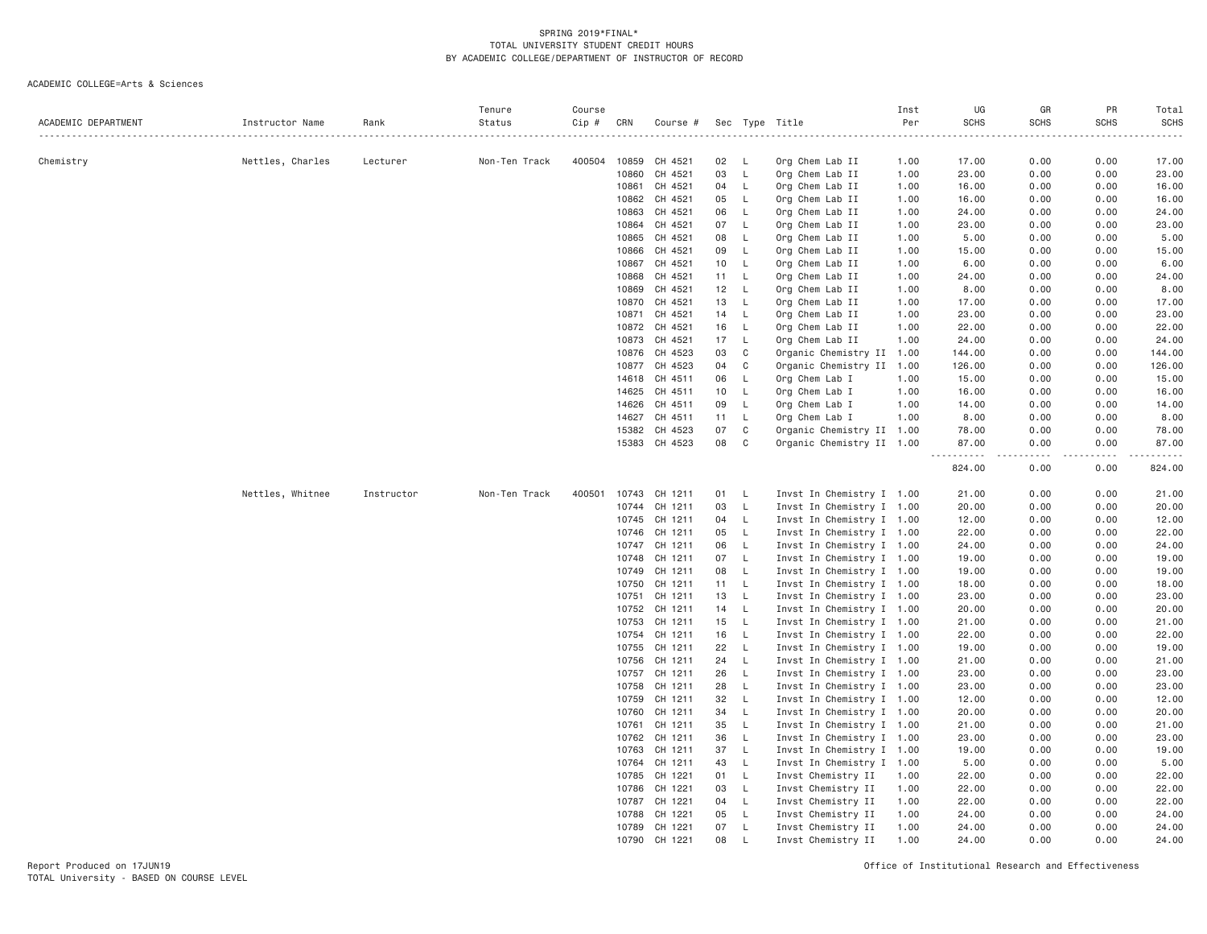| ACADEMIC DEPARTMENT | Instructor Name                | Rank     | Tenure<br>Status   | Course<br>Cip # | CRN            | Course #           |          |                    | Sec Type Title                                         | Inst<br>Per | UG<br><b>SCHS</b> | GR<br><b>SCHS</b> | PR<br><b>SCHS</b> | Total<br><b>SCHS</b> |
|---------------------|--------------------------------|----------|--------------------|-----------------|----------------|--------------------|----------|--------------------|--------------------------------------------------------|-------------|-------------------|-------------------|-------------------|----------------------|
| Chemistry           | Nettles, Charles               | Lecturer | .<br>Non-Ten Track | 400504          | 10859          | CH 4521            | 02       | L.                 | Org Chem Lab II                                        | 1.00        | 17.00             | 0.00              | 0.00              | 17.00                |
|                     |                                |          |                    |                 | 10860          | CH 4521            | 03       | L                  | Org Chem Lab II                                        | 1.00        | 23.00             | 0.00              | 0.00              | 23.00                |
|                     |                                |          |                    |                 | 10861          | CH 4521            | 04       | L.                 | Org Chem Lab II                                        | 1.00        | 16.00             | 0.00              | 0.00              | 16.00                |
|                     |                                |          |                    |                 | 10862          | CH 4521            | 05       | L.                 | Org Chem Lab II                                        | 1.00        | 16.00             | 0.00              | 0.00              | 16.00                |
|                     |                                |          |                    |                 | 10863          | CH 4521            | 06       | L                  | Org Chem Lab II                                        | 1.00        | 24.00             | 0.00              | 0.00              | 24.00                |
|                     |                                |          |                    |                 | 10864          | CH 4521            | 07       | L.                 | Org Chem Lab II                                        | 1.00        | 23.00             | 0.00              | 0.00              | 23.00                |
|                     |                                |          |                    |                 | 10865          | CH 4521            | 08       | <b>L</b>           | Org Chem Lab II                                        | 1.00        | 5.00              | 0.00              | 0.00              | 5.00                 |
|                     |                                |          |                    |                 | 10866          | CH 4521            | 09       | L.                 | Org Chem Lab II                                        | 1.00        | 15.00             | 0.00              | 0.00              | 15.00                |
|                     |                                |          |                    |                 | 10867          | CH 4521            | 10       | L.                 | Org Chem Lab II                                        | 1.00        | 6.00              | 0.00              | 0.00              | 6.00                 |
|                     |                                |          |                    |                 | 10868          | CH 4521            | 11       | L.                 | Org Chem Lab II                                        | 1.00        | 24.00             | 0.00              | 0.00              | 24.00                |
|                     |                                |          |                    |                 | 10869          | CH 4521            | 12       | $\mathsf{L}$       | Org Chem Lab II                                        | 1.00        | 8.00              | 0.00              | 0.00              | 8.00                 |
|                     |                                |          |                    |                 | 10870          | CH 4521            | 13       | L                  | Org Chem Lab II                                        | 1.00        | 17.00             | 0.00              | 0.00              | 17.00                |
|                     |                                |          |                    |                 | 10871          | CH 4521            | 14       | L.                 | Org Chem Lab II                                        | 1.00        | 23.00             | 0.00              | 0.00              | 23.00                |
|                     |                                |          |                    |                 | 10872          | CH 4521            | 16       | - L                | Org Chem Lab II                                        | 1.00        | 22.00             | 0.00              | 0.00              | 22.00                |
|                     |                                |          |                    |                 | 10873          | CH 4521            | 17       | L.                 | Org Chem Lab II                                        | 1.00        | 24.00             | 0.00              | 0.00              | 24.00                |
|                     |                                |          |                    |                 | 10876          | CH 4523            | 03       | C                  | Organic Chemistry II 1.00                              |             | 144.00            | 0.00              | 0.00              | 144.00               |
|                     |                                |          |                    |                 | 10877          | CH 4523            | 04       | C                  | Organic Chemistry II 1.00                              |             | 126.00            | 0.00              | 0.00              | 126.00               |
|                     |                                |          |                    |                 | 14618          | CH 4511            | 06       | L.                 | Org Chem Lab I                                         | 1.00        | 15.00             | 0.00              | 0.00              | 15.00                |
|                     |                                |          |                    |                 | 14625          | CH 4511            | 10       | L.                 | Org Chem Lab I                                         | 1.00        | 16.00             | 0.00              | 0.00              | 16.00                |
|                     |                                |          |                    |                 | 14626          | CH 4511            | 09       | L.                 | Org Chem Lab I                                         | 1.00        | 14.00             | 0.00              | 0.00              | 14.00                |
|                     |                                |          |                    |                 | 14627          | CH 4511            | 11       | - L                | Org Chem Lab I                                         | 1.00        | 8.00              | 0.00              | 0.00              | 8.00                 |
|                     |                                |          |                    |                 | 15382          | CH 4523            | 07       | C                  | Organic Chemistry II 1.00                              |             | 78.00             | 0.00              | 0.00              | 78.00                |
|                     |                                |          |                    |                 |                | 15383 CH 4523      | 08       | C                  | Organic Chemistry II 1.00                              |             | 87.00<br><u>.</u> | 0.00<br>.         | 0.00<br>.         | 87.00<br>.           |
|                     | Nettles, Whitnee<br>Instructor |          |                    |                 |                |                    |          |                    |                                                        |             | 824.00            | 0.00              | 0.00              | 824.00               |
|                     |                                |          | Non-Ten Track      | 400501          | 10743          | CH 1211            | 01       | <b>L</b>           | Invst In Chemistry I 1.00                              |             | 21.00             | 0.00              | 0.00              | 21.00                |
|                     |                                |          |                    |                 | 10744          | CH 1211            | 03       | L.                 | Invst In Chemistry I 1.00                              |             | 20.00             | 0.00              | 0.00              | 20.00                |
|                     |                                |          |                    |                 | 10745          | CH 1211            | 04       | $\mathsf{L}$       | Invst In Chemistry I 1.00                              |             | 12.00             | 0.00              | 0.00              | 12.00                |
|                     |                                |          |                    |                 | 10746          | CH 1211            | 05       | L.                 | Invst In Chemistry I 1.00                              |             | 22.00             | 0.00              | 0.00              | 22.00                |
|                     |                                |          |                    |                 |                | 10747 CH 1211      | 06       | $\mathsf{L}$       | Invst In Chemistry I 1.00                              |             | 24.00             | 0.00              | 0.00              | 24.00                |
|                     |                                |          |                    |                 | 10748          | CH 1211            | 07       | $\mathsf{L}$       | Invst In Chemistry I 1.00                              |             | 19.00             | 0.00              | 0.00              | 19.00                |
|                     |                                |          |                    |                 | 10749          | CH 1211            | 08       | L.<br>$\mathsf{L}$ | Invst In Chemistry I 1.00                              |             | 19.00             | 0.00              | 0.00              | 19.00                |
|                     |                                |          |                    |                 | 10750          | CH 1211            | 11       |                    | Invst In Chemistry I 1.00                              |             | 18.00             | 0.00              | 0.00              | 18.00                |
|                     |                                |          |                    |                 | 10751<br>10752 | CH 1211<br>CH 1211 | 13<br>14 | L.<br>$\mathsf{L}$ | Invst In Chemistry I 1.00<br>Invst In Chemistry I 1.00 |             | 23.00<br>20.00    | 0.00<br>0.00      | 0.00<br>0.00      | 23.00<br>20.00       |
|                     |                                |          |                    |                 | 10753          | CH 1211            | 15       | $\mathsf{L}$       | Invst In Chemistry I 1.00                              |             | 21.00             | 0.00              | 0.00              | 21.00                |
|                     |                                |          |                    |                 | 10754          | CH 1211            | 16       | $\mathsf{L}$       | Invst In Chemistry I 1.00                              |             | 22.00             | 0.00              | 0.00              | 22.00                |
|                     |                                |          |                    |                 | 10755          | CH 1211            | 22       | $\mathsf{L}$       | Invst In Chemistry I 1.00                              |             | 19.00             | 0.00              | 0.00              | 19.00                |
|                     |                                |          |                    |                 | 10756          | CH 1211            | 24       | L.                 | Invst In Chemistry I 1.00                              |             | 21.00             | 0.00              | 0.00              | 21.00                |
|                     |                                |          |                    |                 | 10757          | CH 1211            | 26       | L.                 | Invst In Chemistry I 1.00                              |             | 23.00             | 0.00              | 0.00              | 23.00                |
|                     |                                |          |                    |                 | 10758          | CH 1211            | 28       | $\mathsf{L}$       | Invst In Chemistry I 1.00                              |             | 23.00             | 0.00              | 0.00              | 23.00                |
|                     |                                |          |                    |                 | 10759          | CH 1211            | 32       | L.                 | Invst In Chemistry I 1.00                              |             | 12.00             | 0.00              | 0.00              | 12.00                |
|                     |                                |          |                    |                 | 10760          | CH 1211            | 34       | $\mathsf{L}$       | Invst In Chemistry I 1.00                              |             | 20.00             | 0.00              | 0.00              | 20.00                |
|                     |                                |          |                    |                 | 10761          | CH 1211            | 35       | $\mathsf{L}$       | Invst In Chemistry I 1.00                              |             | 21.00             | 0.00              | 0.00              | 21.00                |
|                     |                                |          |                    |                 | 10762          | CH 1211            | 36       | $\mathsf{L}$       | Invst In Chemistry I 1.00                              |             | 23.00             | 0.00              | 0.00              | 23.00                |
|                     |                                |          |                    |                 | 10763          | CH 1211            | 37       | $\mathsf{L}$       | Invst In Chemistry I 1.00                              |             | 19,00             | 0.00              | 0.00              | 19.00                |
|                     |                                |          |                    |                 | 10764          | CH 1211            | 43       | $\mathsf{L}$       | Invst In Chemistry I 1.00                              |             | 5.00              | 0.00              | 0.00              | 5.00                 |
|                     |                                |          |                    |                 | 10785          | CH 1221            | 01       | $\mathsf{L}$       | Invst Chemistry II                                     | 1.00        | 22.00             | 0.00              | 0.00              | 22.00                |
|                     |                                |          |                    |                 | 10786          | CH 1221            | 03       | L.                 | Invst Chemistry II                                     | 1.00        | 22.00             | 0.00              | 0.00              | 22.00                |
|                     |                                |          |                    |                 | 10787          | CH 1221            | 04       | L.                 | Invst Chemistry II                                     | 1.00        | 22.00             | 0.00              | 0.00              | 22.00                |
|                     |                                |          |                    |                 | 10788          | CH 1221            | 05       | $\mathsf{L}$       | Invst Chemistry II                                     | 1.00        | 24.00             | 0.00              | 0.00              | 24.00                |
|                     |                                |          |                    |                 | 10789          | CH 1221            | 07       | L.                 | Invst Chemistry II                                     | 1.00        | 24.00             | 0.00              | 0.00              | 24.00                |
|                     |                                |          |                    |                 | 10790          | CH 1221            | 08       | $\perp$            | Invst Chemistry II                                     | 1,00        | 24.00             | 0.00              | 0.00              | 24.00                |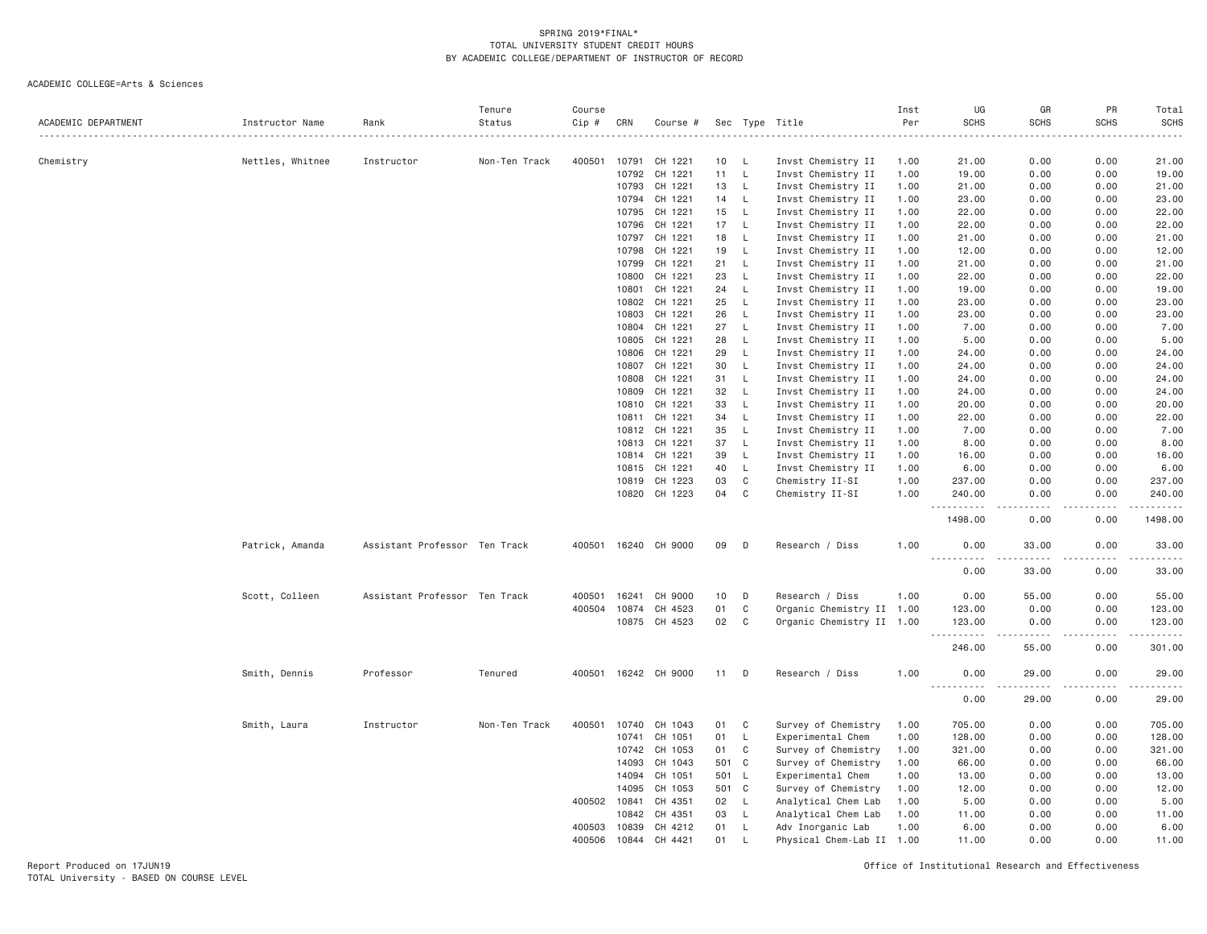| ACADEMIC DEPARTMENT | Instructor Name  | Rank                          | Tenure<br>Status | Course<br>Cip # | CRN   | Course #             |     |              | Sec Type Title            | Inst<br>Per | UG<br><b>SCHS</b>                                                                                                                                                            | GR<br><b>SCHS</b>                                                                                                                                             | PR<br><b>SCHS</b> | Total<br><b>SCHS</b><br>والمناصبات |
|---------------------|------------------|-------------------------------|------------------|-----------------|-------|----------------------|-----|--------------|---------------------------|-------------|------------------------------------------------------------------------------------------------------------------------------------------------------------------------------|---------------------------------------------------------------------------------------------------------------------------------------------------------------|-------------------|------------------------------------|
| Chemistry           | Nettles, Whitnee | Instructor                    | Non-Ten Track    | 400501          | 10791 | CH 1221              | 10  | - L          | Invst Chemistry II        | 1.00        | 21.00                                                                                                                                                                        | 0.00                                                                                                                                                          | 0.00              | 21.00                              |
|                     |                  |                               |                  |                 | 10792 | CH 1221              | 11  | L,           | Invst Chemistry II        | 1.00        | 19.00                                                                                                                                                                        | 0.00                                                                                                                                                          | 0.00              | 19.00                              |
|                     |                  |                               |                  |                 | 10793 | CH 1221              | 13  | L,           | Invst Chemistry II        | 1.00        | 21.00                                                                                                                                                                        | 0.00                                                                                                                                                          | 0.00              | 21.00                              |
|                     |                  |                               |                  |                 | 10794 | CH 1221              | 14  | L            | Invst Chemistry II        | 1.00        | 23.00                                                                                                                                                                        | 0.00                                                                                                                                                          | 0.00              | 23.00                              |
|                     |                  |                               |                  |                 | 10795 | CH 1221              | 15  | L            | Invst Chemistry II        | 1.00        | 22.00                                                                                                                                                                        | 0.00                                                                                                                                                          | 0.00              | 22.00                              |
|                     |                  |                               |                  |                 | 10796 | CH 1221              | 17  | L            | Invst Chemistry II        | 1.00        | 22.00                                                                                                                                                                        | 0.00                                                                                                                                                          | 0.00              | 22.00                              |
|                     |                  |                               |                  |                 | 10797 | CH 1221              | 18  | L            | Invst Chemistry II        | 1.00        | 21.00                                                                                                                                                                        | 0.00                                                                                                                                                          | 0.00              | 21.00                              |
|                     |                  |                               |                  |                 | 10798 | CH 1221              | 19  | L            | Invst Chemistry II        | 1.00        | 12.00                                                                                                                                                                        | 0.00                                                                                                                                                          | 0.00              | 12.00                              |
|                     |                  |                               |                  |                 | 10799 | CH 1221              | 21  | L,           | Invst Chemistry II        | 1.00        | 21.00                                                                                                                                                                        | 0.00                                                                                                                                                          | 0.00              | 21.00                              |
|                     |                  |                               |                  |                 | 10800 | CH 1221              | 23  | $\mathsf{L}$ | Invst Chemistry II        | 1.00        | 22.00                                                                                                                                                                        | 0.00                                                                                                                                                          | 0.00              | 22.00                              |
|                     |                  |                               |                  |                 | 10801 | CH 1221              | 24  | L            | Invst Chemistry II        | 1.00        | 19.00                                                                                                                                                                        | 0.00                                                                                                                                                          | 0.00              | 19.00                              |
|                     |                  |                               |                  |                 | 10802 | CH 1221              | 25  | L            | Invst Chemistry II        | 1.00        | 23.00                                                                                                                                                                        | 0.00                                                                                                                                                          | 0.00              | 23.00                              |
|                     |                  |                               |                  |                 | 10803 | CH 1221              | 26  | L            | Invst Chemistry II        | 1.00        | 23.00                                                                                                                                                                        | 0.00                                                                                                                                                          | 0.00              | 23.00                              |
|                     |                  |                               |                  |                 | 10804 | CH 1221              | 27  | L,           | Invst Chemistry II        | 1.00        | 7.00                                                                                                                                                                         | 0.00                                                                                                                                                          | 0.00              | 7.00                               |
|                     |                  |                               |                  |                 | 10805 | CH 1221              | 28  | L            | Invst Chemistry II        | 1.00        | 5.00                                                                                                                                                                         | 0.00                                                                                                                                                          | 0.00              | 5.00                               |
|                     |                  |                               |                  |                 | 10806 | CH 1221              | 29  | L            | Invst Chemistry II        | 1.00        | 24.00                                                                                                                                                                        | 0.00                                                                                                                                                          | 0.00              | 24.00                              |
|                     |                  |                               |                  |                 | 10807 | CH 1221              | 30  | L            | Invst Chemistry II        | 1.00        | 24.00                                                                                                                                                                        | 0.00                                                                                                                                                          | 0.00              | 24.00                              |
|                     |                  |                               |                  |                 | 10808 | CH 1221              | 31  | L            | Invst Chemistry II        | 1.00        | 24.00                                                                                                                                                                        | 0.00                                                                                                                                                          | 0.00              | 24.00                              |
|                     |                  |                               |                  |                 | 10809 | CH 1221              | 32  | L            | Invst Chemistry II        | 1.00        | 24.00                                                                                                                                                                        | 0.00                                                                                                                                                          | 0.00              | 24.00                              |
|                     |                  |                               |                  |                 | 10810 | CH 1221              | 33  | L            | Invst Chemistry II        | 1.00        | 20.00                                                                                                                                                                        | 0.00                                                                                                                                                          | 0.00              | 20.00                              |
|                     |                  |                               |                  |                 | 10811 | CH 1221              | 34  | L            | Invst Chemistry II        | 1.00        | 22.00                                                                                                                                                                        | 0.00                                                                                                                                                          | 0.00              | 22.00                              |
|                     |                  |                               |                  |                 | 10812 | CH 1221              | 35  | L            | Invst Chemistry II        | 1.00        | 7.00                                                                                                                                                                         | 0.00                                                                                                                                                          | 0.00              | 7.00                               |
|                     |                  |                               |                  |                 | 10813 | CH 1221              | 37  | L,           | Invst Chemistry II        | 1.00        | 8.00                                                                                                                                                                         | 0.00                                                                                                                                                          | 0.00              | 8.00                               |
|                     |                  |                               |                  |                 | 10814 | CH 1221              | 39  | $\mathsf{L}$ | Invst Chemistry II        | 1.00        | 16.00                                                                                                                                                                        | 0.00                                                                                                                                                          | 0.00              | 16.00                              |
|                     |                  |                               |                  |                 | 10815 | CH 1221              | 40  | L            | Invst Chemistry II        | 1.00        | 6.00                                                                                                                                                                         | 0.00                                                                                                                                                          | 0.00              | 6.00                               |
|                     |                  |                               |                  |                 | 10819 | CH 1223              | 03  | $\mathbb C$  | Chemistry II-SI           | 1.00        | 237.00                                                                                                                                                                       | 0.00                                                                                                                                                          | 0.00              | 237.00                             |
|                     |                  |                               |                  |                 |       | 10820 CH 1223        | 04  | C            | Chemistry II-SI           | 1.00        | 240.00                                                                                                                                                                       | 0.00                                                                                                                                                          | 0.00              | 240.00                             |
|                     |                  |                               |                  |                 |       |                      |     |              |                           |             | .                                                                                                                                                                            | $\frac{1}{2}$                                                                                                                                                 | .                 | $- - - - - -$                      |
|                     |                  |                               |                  |                 |       |                      |     |              |                           |             | 1498.00                                                                                                                                                                      | 0.00                                                                                                                                                          | 0.00              | 1498.00                            |
|                     | Patrick, Amanda  | Assistant Professor Ten Track |                  | 400501          |       | 16240 CH 9000        | 09  | D            | Research / Diss           | 1.00        | 0.00<br>$\sim$ $\sim$ $\sim$ $\sim$                                                                                                                                          | 33.00<br>$\frac{1}{2} \left( \frac{1}{2} \right) \left( \frac{1}{2} \right) \left( \frac{1}{2} \right) \left( \frac{1}{2} \right) \left( \frac{1}{2} \right)$ | 0.00<br>.         | 33.00<br>.                         |
|                     |                  |                               |                  |                 |       |                      |     |              |                           |             | 0.00                                                                                                                                                                         | 33.00                                                                                                                                                         | 0.00              | 33.00                              |
|                     | Scott, Colleen   | Assistant Professor Ten Track |                  | 400501          | 16241 | CH 9000              | 10  | D            | Research / Diss           | 1.00        | 0.00                                                                                                                                                                         | 55.00                                                                                                                                                         | 0.00              | 55.00                              |
|                     |                  |                               |                  | 400504          | 10874 | CH 4523              | 01  | C            | Organic Chemistry II 1.00 |             | 123.00                                                                                                                                                                       | 0.00                                                                                                                                                          | 0.00              | 123.00                             |
|                     |                  |                               |                  |                 |       | 10875 CH 4523        | 02  | C            | Organic Chemistry II 1.00 |             | 123.00                                                                                                                                                                       | 0.00                                                                                                                                                          | 0.00              | 123.00                             |
|                     |                  |                               |                  |                 |       |                      |     |              |                           |             | $\sim$ $\sim$ $\sim$<br>$\frac{1}{2} \left( \frac{1}{2} \right) \left( \frac{1}{2} \right) \left( \frac{1}{2} \right) \left( \frac{1}{2} \right) \left( \frac{1}{2} \right)$ |                                                                                                                                                               | $\cdots$          | .                                  |
|                     |                  |                               |                  |                 |       |                      |     |              |                           |             | 246.00                                                                                                                                                                       | 55.00                                                                                                                                                         | 0.00              | 301.00                             |
|                     | Smith, Dennis    | Professor                     | Tenured          |                 |       | 400501 16242 CH 9000 | 11  | D            | Research / Diss           | 1.00        | 0.00<br>$- - - -$<br>-----                                                                                                                                                   | 29.00<br>$- - - - -$                                                                                                                                          | 0.00<br>.         | 29.00<br>.                         |
|                     |                  |                               |                  |                 |       |                      |     |              |                           |             | 0.00                                                                                                                                                                         | 29.00                                                                                                                                                         | 0.00              | 29.00                              |
|                     | Smith, Laura     | Instructor                    | Non-Ten Track    | 400501          | 10740 | CH 1043              | 01  | C            | Survey of Chemistry       | 1.00        | 705.00                                                                                                                                                                       | 0.00                                                                                                                                                          | 0.00              | 705.00                             |
|                     |                  |                               |                  |                 | 10741 | CH 1051              | 01  | L            | Experimental Chem         | 1.00        | 128.00                                                                                                                                                                       | 0.00                                                                                                                                                          | 0.00              | 128.00                             |
|                     |                  |                               |                  |                 | 10742 | CH 1053              | 01  | C            | Survey of Chemistry       | 1.00        | 321.00                                                                                                                                                                       | 0.00                                                                                                                                                          | 0.00              | 321.00                             |
|                     |                  |                               |                  |                 | 14093 | CH 1043              |     | 501 C        | Survey of Chemistry       | 1.00        | 66.00                                                                                                                                                                        | 0.00                                                                                                                                                          | 0.00              | 66.00                              |
|                     |                  |                               |                  |                 | 14094 | CH 1051              | 501 | L            | Experimental Chem         | 1.00        | 13.00                                                                                                                                                                        | 0.00                                                                                                                                                          | 0.00              | 13.00                              |
|                     |                  |                               |                  |                 | 14095 | CH 1053              | 501 | C            | Survey of Chemistry       | 1.00        | 12.00                                                                                                                                                                        | 0.00                                                                                                                                                          | 0.00              | 12.00                              |
|                     |                  |                               |                  | 400502          | 10841 | CH 4351              | 02  | L            | Analytical Chem Lab       | 1.00        | 5.00                                                                                                                                                                         | 0.00                                                                                                                                                          | 0.00              | 5.00                               |
|                     |                  |                               |                  |                 | 10842 | CH 4351              | 03  | L            | Analytical Chem Lab       | 1.00        | 11.00                                                                                                                                                                        | 0.00                                                                                                                                                          | 0.00              | 11.00                              |
|                     |                  |                               |                  | 400503          | 10839 | CH 4212              | 01  | L            | Adv Inorganic Lab         | 1.00        | 6.00                                                                                                                                                                         | 0.00                                                                                                                                                          | 0.00              | 6.00                               |
|                     |                  |                               |                  | 400506          | 10844 | CH 4421              | 01  | $\mathsf{L}$ | Physical Chem-Lab II 1.00 |             | 11.00                                                                                                                                                                        | 0.00                                                                                                                                                          | 0.00              | 11.00                              |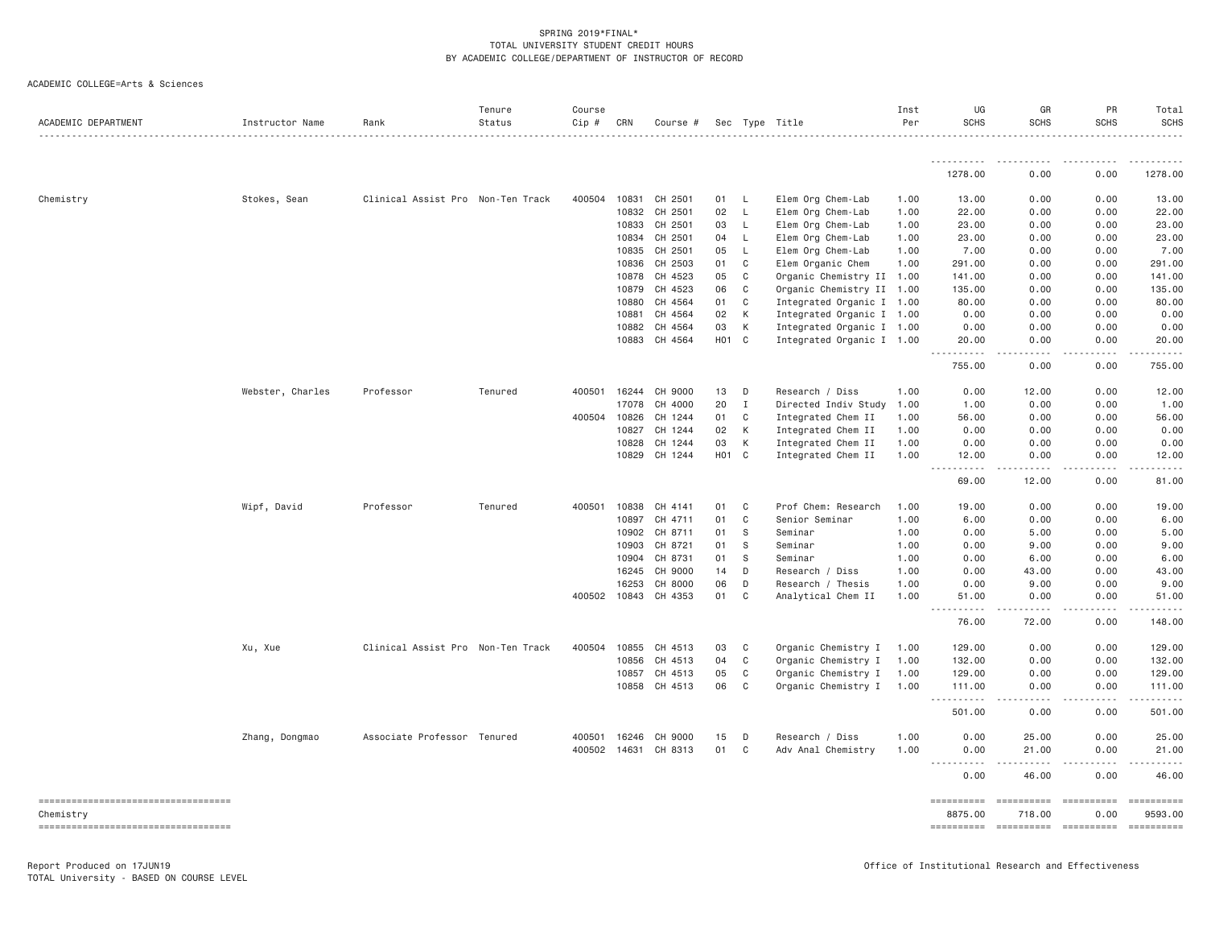| ACADEMIC DEPARTMENT                             | Instructor Name  | Rank                              | Tenure<br>Status | Course<br>Cip # | CRN   | Course # |                  |              | Sec Type Title            | Inst<br>Per | UG<br><b>SCHS</b>                                                                                                                                                            | GR<br><b>SCHS</b>    | PR<br><b>SCHS</b>  | Total<br>SCHS               |
|-------------------------------------------------|------------------|-----------------------------------|------------------|-----------------|-------|----------|------------------|--------------|---------------------------|-------------|------------------------------------------------------------------------------------------------------------------------------------------------------------------------------|----------------------|--------------------|-----------------------------|
|                                                 |                  |                                   |                  |                 |       |          |                  |              |                           |             | ----------                                                                                                                                                                   |                      |                    |                             |
|                                                 |                  |                                   |                  |                 |       |          |                  |              |                           |             | 1278.00                                                                                                                                                                      | 0.00                 | 0.00               | 1278.00                     |
| Chemistry                                       | Stokes, Sean     | Clinical Assist Pro Non-Ten Track |                  | 400504          | 10831 | CH 2501  | 01               | -L           | Elem Org Chem-Lab         | 1.00        | 13.00                                                                                                                                                                        | 0.00                 | 0.00               | 13.00                       |
|                                                 |                  |                                   |                  |                 | 10832 | CH 2501  | 02               | L            | Elem Org Chem-Lab         | 1.00        | 22.00                                                                                                                                                                        | 0.00                 | 0.00               | 22.00                       |
|                                                 |                  |                                   |                  |                 | 10833 | CH 2501  | 03               | L            | Elem Org Chem-Lab         | 1.00        | 23.00                                                                                                                                                                        | 0.00                 | 0.00               | 23.00                       |
|                                                 |                  |                                   |                  |                 | 10834 | CH 2501  | 04               | L            | Elem Org Chem-Lab         | 1.00        | 23.00                                                                                                                                                                        | 0.00                 | 0.00               | 23.00                       |
|                                                 |                  |                                   |                  |                 | 10835 | CH 2501  | 05               | L            | Elem Org Chem-Lab         | 1.00        | 7.00                                                                                                                                                                         | 0.00                 | 0.00               | 7.00                        |
|                                                 |                  |                                   |                  |                 | 10836 | CH 2503  | 01               | $\mathsf{C}$ | Elem Organic Chem         | 1.00        | 291.00                                                                                                                                                                       | 0.00                 | 0.00               | 291.00                      |
|                                                 |                  |                                   |                  |                 | 10878 | CH 4523  | 05               | C            | Organic Chemistry II      | 1.00        | 141.00                                                                                                                                                                       | 0.00                 | 0.00               | 141.00                      |
|                                                 |                  |                                   |                  |                 | 10879 | CH 4523  | 06               | C            | Organic Chemistry II 1.00 |             | 135.00                                                                                                                                                                       | 0.00                 | 0.00               | 135.00                      |
|                                                 |                  |                                   |                  |                 | 10880 | CH 4564  | 01               | $\mathsf{C}$ | Integrated Organic I 1.00 |             | 80.00                                                                                                                                                                        | 0.00                 | 0.00               | 80.00                       |
|                                                 |                  |                                   |                  |                 | 10881 | CH 4564  | 02               | K            | Integrated Organic I 1.00 |             | 0.00                                                                                                                                                                         | 0.00                 | 0.00               | 0.00                        |
|                                                 |                  |                                   |                  |                 | 10882 | CH 4564  | 03               | K            | Integrated Organic I 1.00 |             | 0.00                                                                                                                                                                         | 0.00                 | 0.00               | 0.00                        |
|                                                 |                  |                                   |                  |                 | 10883 | CH 4564  | H <sub>0</sub> 1 | $\mathbf{C}$ | Integrated Organic I 1.00 |             | 20.00                                                                                                                                                                        | 0.00                 | 0.00               | 20.00                       |
|                                                 |                  |                                   |                  |                 |       |          |                  |              |                           |             | $\frac{1}{2} \left( \frac{1}{2} \right) \left( \frac{1}{2} \right) \left( \frac{1}{2} \right) \left( \frac{1}{2} \right) \left( \frac{1}{2} \right)$<br>$\sim$ $\sim$ $\sim$ | $\frac{1}{2}$        | $- - - -$          | .                           |
|                                                 |                  |                                   |                  |                 |       |          |                  |              |                           |             | 755.00                                                                                                                                                                       | 0.00                 | 0.00               | 755.00                      |
|                                                 | Webster, Charles | Professor                         | Tenured          | 400501          | 16244 | CH 9000  | 13               | D            | Research / Diss           | 1.00        | 0.00                                                                                                                                                                         | 12.00                | 0.00               | 12.00                       |
|                                                 |                  |                                   |                  |                 | 17078 | CH 4000  | 20               | $\mathbf I$  | Directed Indiv Study      | 1.00        | 1.00                                                                                                                                                                         | 0.00                 | 0.00               | 1.00                        |
|                                                 |                  |                                   |                  | 400504          | 10826 | CH 1244  | 01               | $\mathbf C$  | Integrated Chem II        | 1.00        | 56.00                                                                                                                                                                        | 0.00                 | 0.00               | 56.00                       |
|                                                 |                  |                                   |                  |                 | 10827 | CH 1244  | 02               | K            | Integrated Chem II        | 1.00        | 0.00                                                                                                                                                                         | 0.00                 | 0.00               | 0.00                        |
|                                                 |                  |                                   |                  |                 | 10828 | CH 1244  | 03               | K            | Integrated Chem II        | 1.00        | 0.00                                                                                                                                                                         | 0.00                 | 0.00               | 0.00                        |
|                                                 |                  |                                   |                  |                 | 10829 | CH 1244  | H <sub>0</sub> 1 | C            | Integrated Chem II        | 1.00        | 12.00                                                                                                                                                                        | 0.00                 | 0.00               | 12.00                       |
|                                                 |                  |                                   |                  |                 |       |          |                  |              |                           |             | $\sim$ $\sim$ $\sim$                                                                                                                                                         | .                    | $   -$             | .                           |
|                                                 |                  |                                   |                  |                 |       |          |                  |              |                           |             | 69.00                                                                                                                                                                        | 12.00                | 0.00               | 81.00                       |
|                                                 | Wipf, David      | Professor                         | Tenured          | 400501          | 10838 | CH 4141  | 01               | C            | Prof Chem: Research       | 1.00        | 19.00                                                                                                                                                                        | 0.00                 | 0.00               | 19.00                       |
|                                                 |                  |                                   |                  |                 | 10897 | CH 4711  | 01               | C            | Senior Seminar            | 1.00        | 6.00                                                                                                                                                                         | 0.00                 | 0.00               | 6.00                        |
|                                                 |                  |                                   |                  |                 | 10902 | CH 8711  | 01               | S            | Seminar                   | 1.00        | 0.00                                                                                                                                                                         | 5.00                 | 0.00               | 5.00                        |
|                                                 |                  |                                   |                  |                 | 10903 | CH 8721  | 01               | S            | Seminar                   | 1.00        | 0.00                                                                                                                                                                         | 9,00                 | 0.00               | 9.00                        |
|                                                 |                  |                                   |                  |                 | 10904 | CH 8731  | 01               | S            | Seminar                   | 1.00        | 0.00                                                                                                                                                                         | 6,00                 | 0.00               | 6.00                        |
|                                                 |                  |                                   |                  |                 | 16245 | CH 9000  | 14               | D            | Research / Diss           | 1.00        | 0.00                                                                                                                                                                         | 43.00                | 0.00               | 43.00                       |
|                                                 |                  |                                   |                  |                 | 16253 | CH 8000  | 06               | D            | Research / Thesis         | 1.00        | 0.00                                                                                                                                                                         | 9.00                 | 0.00               | 9.00                        |
|                                                 |                  |                                   |                  | 400502          | 10843 | CH 4353  | 01               | $\mathbf C$  | Analytical Chem II        | 1.00        | 51.00                                                                                                                                                                        | 0.00                 | 0.00               | 51.00                       |
|                                                 |                  |                                   |                  |                 |       |          |                  |              |                           |             | .                                                                                                                                                                            | .                    | .                  |                             |
|                                                 |                  |                                   |                  |                 |       |          |                  |              |                           |             | 76.00                                                                                                                                                                        | 72.00                | 0.00               | 148.00                      |
|                                                 | Xu, Xue          | Clinical Assist Pro Non-Ten Track |                  | 400504          | 10855 | CH 4513  | 03               | C            | Organic Chemistry I 1.00  |             | 129.00                                                                                                                                                                       | 0.00                 | 0.00               | 129.00                      |
|                                                 |                  |                                   |                  |                 | 10856 | CH 4513  | 04               | $\mathtt{C}$ | Organic Chemistry I       | 1.00        | 132.00                                                                                                                                                                       | 0.00                 | 0.00               | 132.00                      |
|                                                 |                  |                                   |                  |                 | 10857 | CH 4513  | 05               | $\mathbf C$  | Organic Chemistry I       | 1.00        | 129.00                                                                                                                                                                       | 0.00                 | 0.00               | 129.00                      |
|                                                 |                  |                                   |                  |                 | 10858 | CH 4513  | 06               | $\mathsf{C}$ | Organic Chemistry I       | 1.00        | 111.00<br>. <b>.</b>                                                                                                                                                         | 0.00<br>.            | 0.00<br>.          | 111.00<br>د د د د د د       |
|                                                 |                  |                                   |                  |                 |       |          |                  |              |                           |             | 501.00                                                                                                                                                                       | 0.00                 | 0.00               | 501.00                      |
|                                                 | Zhang, Dongmao   | Associate Professor Tenured       |                  | 400501          | 16246 | CH 9000  | 15               | D            | Research / Diss           | 1.00        | 0.00                                                                                                                                                                         | 25.00                | 0.00               | 25.00                       |
|                                                 |                  |                                   |                  | 400502          | 14631 | CH 8313  | 01               | $\mathsf{C}$ | Adv Anal Chemistry        | 1.00        | 0.00                                                                                                                                                                         | 21.00                | 0.00               | 21.00                       |
|                                                 |                  |                                   |                  |                 |       |          |                  |              |                           |             | -----                                                                                                                                                                        | $\frac{1}{2}$        | .                  | .                           |
|                                                 |                  |                                   |                  |                 |       |          |                  |              |                           |             | 0.00                                                                                                                                                                         | 46.00                | 0.00               | 46.00                       |
| ----------------------------------<br>Chemistry |                  |                                   |                  |                 |       |          |                  |              |                           |             | ==========<br>8875.00                                                                                                                                                        | ==========<br>718.00 | ==========<br>0.00 | <b>ESSESSESS</b><br>9593.00 |
| ----------------------------------              |                  |                                   |                  |                 |       |          |                  |              |                           |             |                                                                                                                                                                              | ---------- --------- | ==========         |                             |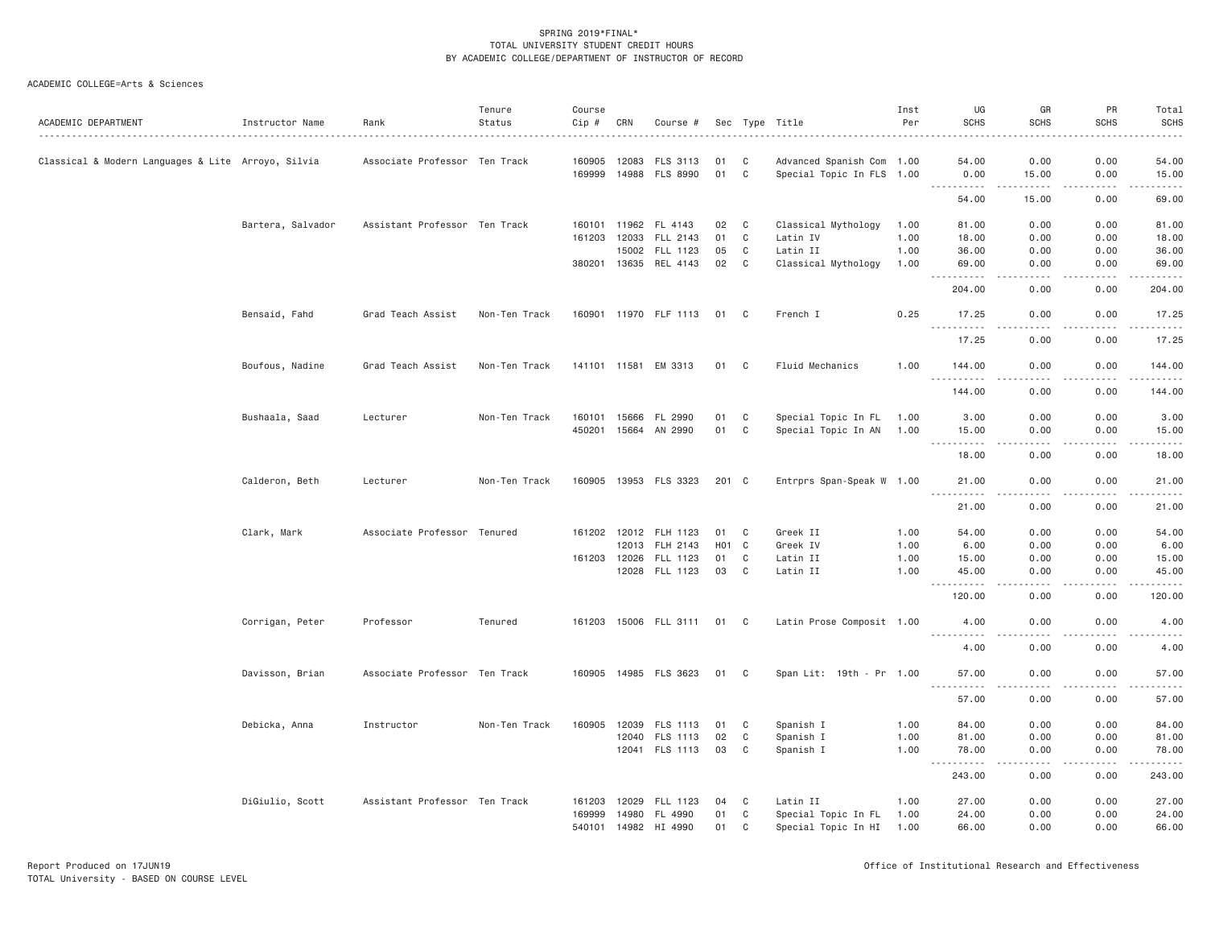| ACADEMIC DEPARTMENT                                | Instructor Name   | Rank                          | Tenure<br>Status | Course<br>Cip # | CRN   | Course #              |                  |   | Sec Type Title            | Inst<br>Per | UG<br><b>SCHS</b>                                | GR<br><b>SCHS</b>                                                                                                        | PR<br><b>SCHS</b>                                                                                                                                                                       | Total<br><b>SCHS</b>                                                                                                               |
|----------------------------------------------------|-------------------|-------------------------------|------------------|-----------------|-------|-----------------------|------------------|---|---------------------------|-------------|--------------------------------------------------|--------------------------------------------------------------------------------------------------------------------------|-----------------------------------------------------------------------------------------------------------------------------------------------------------------------------------------|------------------------------------------------------------------------------------------------------------------------------------|
| Classical & Modern Languages & Lite Arroyo, Silvia |                   | Associate Professor Ten Track |                  | 160905          | 12083 | FLS 3113              | 01               | C | Advanced Spanish Com 1.00 |             | 54.00                                            | 0.00                                                                                                                     | 0.00                                                                                                                                                                                    | 54.00                                                                                                                              |
|                                                    |                   |                               |                  |                 |       | 169999 14988 FLS 8990 | 01               | C | Special Topic In FLS 1.00 |             | 0.00<br>.                                        | 15.00<br>$\begin{array}{cccccccccccccc} \bullet & \bullet & \bullet & \bullet & \bullet & \bullet & \bullet \end{array}$ | 0.00<br>$\frac{1}{2} \left( \frac{1}{2} \right) \left( \frac{1}{2} \right) \left( \frac{1}{2} \right) \left( \frac{1}{2} \right) \left( \frac{1}{2} \right)$                            | 15.00<br>.                                                                                                                         |
|                                                    |                   |                               |                  |                 |       |                       |                  |   |                           |             | 54.00                                            | 15.00                                                                                                                    | 0.00                                                                                                                                                                                    | 69.00                                                                                                                              |
|                                                    | Bartera, Salvador | Assistant Professor Ten Track |                  | 160101          | 11962 | FL 4143               | 02               | C | Classical Mythology       | 1.00        | 81.00                                            | 0.00                                                                                                                     | 0.00                                                                                                                                                                                    | 81.00                                                                                                                              |
|                                                    |                   |                               |                  | 161203          | 12033 | FLL 2143              | 01               | C | Latin IV                  | 1.00        | 18.00                                            | 0.00                                                                                                                     | 0.00                                                                                                                                                                                    | 18.00                                                                                                                              |
|                                                    |                   |                               |                  |                 | 15002 | FLL 1123              | 05               | C | Latin II                  | 1.00        | 36.00                                            | 0.00                                                                                                                     | 0.00                                                                                                                                                                                    | 36.00                                                                                                                              |
|                                                    |                   |                               |                  |                 |       | 380201 13635 REL 4143 | 02               | C | Classical Mythology       | 1.00        | 69.00<br>$\sim$ $\sim$ $\sim$<br>.               | 0.00<br>المتمالين                                                                                                        | 0.00<br>$\frac{1}{2} \left( \frac{1}{2} \right) \left( \frac{1}{2} \right) \left( \frac{1}{2} \right) \left( \frac{1}{2} \right) \left( \frac{1}{2} \right) \left( \frac{1}{2} \right)$ | 69.00<br>.                                                                                                                         |
|                                                    |                   |                               |                  |                 |       |                       |                  |   |                           |             | 204.00                                           | 0.00                                                                                                                     | 0.00                                                                                                                                                                                    | 204.00                                                                                                                             |
|                                                    | Bensaid, Fahd     | Grad Teach Assist             | Non-Ten Track    |                 |       | 160901 11970 FLF 1113 | 01               | C | French I                  | 0.25        | 17.25<br>.                                       | 0.00                                                                                                                     | 0.00                                                                                                                                                                                    | 17.25<br>.                                                                                                                         |
|                                                    |                   |                               |                  |                 |       |                       |                  |   |                           |             | 17.25                                            | 0.00                                                                                                                     | 0.00                                                                                                                                                                                    | 17.25                                                                                                                              |
|                                                    | Boufous, Nadine   | Grad Teach Assist             | Non-Ten Track    | 141101 11581    |       | EM 3313               | 01               | C | Fluid Mechanics           | 1.00        | 144.00<br>.                                      | 0.00                                                                                                                     | 0.00                                                                                                                                                                                    | 144.00<br>$- - - - - -$                                                                                                            |
|                                                    |                   |                               |                  |                 |       |                       |                  |   |                           |             | 144,00                                           | 0.00                                                                                                                     | 0.00                                                                                                                                                                                    | 144.00                                                                                                                             |
|                                                    | Bushaala, Saad    | Lecturer                      | Non-Ten Track    | 160101          | 15666 | FL 2990               | 01               | C | Special Topic In FL       | 1.00        | 3.00                                             | 0.00                                                                                                                     | 0.00                                                                                                                                                                                    | 3.00                                                                                                                               |
|                                                    |                   |                               |                  | 450201          | 15664 | AN 2990               | 01               | C | Special Topic In AN 1.00  |             | 15.00                                            | 0.00                                                                                                                     | 0.00                                                                                                                                                                                    | 15.00                                                                                                                              |
|                                                    |                   |                               |                  |                 |       |                       |                  |   |                           |             | <u>.</u><br>18.00                                | د د د د<br>0.00                                                                                                          | $\frac{1}{2} \left( \frac{1}{2} \right) \left( \frac{1}{2} \right) \left( \frac{1}{2} \right) \left( \frac{1}{2} \right) \left( \frac{1}{2} \right)$<br>0.00                            | .<br>18.00                                                                                                                         |
|                                                    | Calderon, Beth    | Lecturer                      | Non-Ten Track    | 160905          |       | 13953 FLS 3323        | 201 C            |   | Entrprs Span-Speak W 1.00 |             | 21.00<br>.                                       | 0.00<br>$- - -$                                                                                                          | 0.00<br>.                                                                                                                                                                               | 21.00<br>.                                                                                                                         |
|                                                    |                   |                               |                  |                 |       |                       |                  |   |                           |             | 21.00                                            | 0.00                                                                                                                     | 0.00                                                                                                                                                                                    | 21.00                                                                                                                              |
|                                                    | Clark, Mark       | Associate Professor Tenured   |                  |                 |       | 161202 12012 FLH 1123 | 01               | C | Greek II                  | 1.00        | 54.00                                            | 0.00                                                                                                                     | 0.00                                                                                                                                                                                    | 54.00                                                                                                                              |
|                                                    |                   |                               |                  |                 | 12013 | FLH 2143              | H <sub>0</sub> 1 | C | Greek IV                  | 1.00        | 6.00                                             | 0.00                                                                                                                     | 0.00                                                                                                                                                                                    | 6.00                                                                                                                               |
|                                                    |                   |                               |                  | 161203 12026    |       | FLL 1123              | 01               | C | Latin II                  | 1.00        | 15.00                                            | 0.00                                                                                                                     | 0.00                                                                                                                                                                                    | 15.00                                                                                                                              |
|                                                    |                   |                               |                  |                 |       | 12028 FLL 1123        | 03               | C | Latin II                  | 1.00        | 45.00<br><u>.</u>                                | 0.00<br>$\frac{1}{2}$                                                                                                    | 0.00<br>.                                                                                                                                                                               | 45.00<br>.                                                                                                                         |
|                                                    |                   |                               |                  |                 |       |                       |                  |   |                           |             | 120.00                                           | 0.00                                                                                                                     | 0.00                                                                                                                                                                                    | 120.00                                                                                                                             |
|                                                    | Corrigan, Peter   | Professor                     | Tenured          |                 |       | 161203 15006 FLL 3111 | 01               | C | Latin Prose Composit 1.00 |             | 4.00<br>.                                        | 0.00<br>$\sim$ $\sim$ $\sim$                                                                                             | 0.00                                                                                                                                                                                    | 4.00<br>.                                                                                                                          |
|                                                    |                   |                               |                  |                 |       |                       |                  |   |                           |             | 4.00                                             | 0.00                                                                                                                     | 0.00                                                                                                                                                                                    | 4.00                                                                                                                               |
|                                                    | Davisson, Brian   | Associate Professor Ten Track |                  |                 |       | 160905 14985 FLS 3623 | 01 C             |   | Span Lit: 19th - Pr 1.00  |             | 57.00<br>$\omega_{\rm{c}}$ and $\omega_{\rm{c}}$ | 0.00<br>.                                                                                                                | 0.00<br>-----                                                                                                                                                                           | 57.00                                                                                                                              |
|                                                    |                   |                               |                  |                 |       |                       |                  |   |                           |             | 57.00                                            | 0.00                                                                                                                     | 0.00                                                                                                                                                                                    | 57.00                                                                                                                              |
|                                                    | Debicka, Anna     | Instructor                    | Non-Ten Track    | 160905          | 12039 | FLS 1113              | 01               | C | Spanish I                 | 1.00        | 84.00                                            | 0.00                                                                                                                     | 0.00                                                                                                                                                                                    | 84.00                                                                                                                              |
|                                                    |                   |                               |                  |                 | 12040 | FLS 1113              | 02               | C | Spanish I                 | 1.00        | 81.00                                            | 0.00                                                                                                                     | 0.00                                                                                                                                                                                    | 81.00                                                                                                                              |
|                                                    |                   |                               |                  |                 |       | 12041 FLS 1113        | 03               | C | Spanish I                 | 1.00        | 78.00<br><u>.</u>                                | 0.00<br>.                                                                                                                | 0.00<br>.                                                                                                                                                                               | 78.00<br>$\begin{array}{cccccccccccccc} \bullet & \bullet & \bullet & \bullet & \bullet & \bullet & \bullet & \bullet \end{array}$ |
|                                                    |                   |                               |                  |                 |       |                       |                  |   |                           |             | 243.00                                           | 0.00                                                                                                                     | 0.00                                                                                                                                                                                    | 243.00                                                                                                                             |
|                                                    | DiGiulio, Scott   | Assistant Professor Ten Track |                  | 161203          | 12029 | FLL 1123              | 04               | C | Latin II                  | 1.00        | 27.00                                            | 0.00                                                                                                                     | 0.00                                                                                                                                                                                    | 27.00                                                                                                                              |
|                                                    |                   |                               |                  | 169999          | 14980 | FL 4990               | 01               | C | Special Topic In FL       | 1.00        | 24.00                                            | 0.00                                                                                                                     | 0.00                                                                                                                                                                                    | 24.00                                                                                                                              |
|                                                    |                   |                               |                  |                 |       | 540101 14982 HI 4990  | 01               | C | Special Topic In HI       | 1.00        | 66.00                                            | 0.00                                                                                                                     | 0.00                                                                                                                                                                                    | 66.00                                                                                                                              |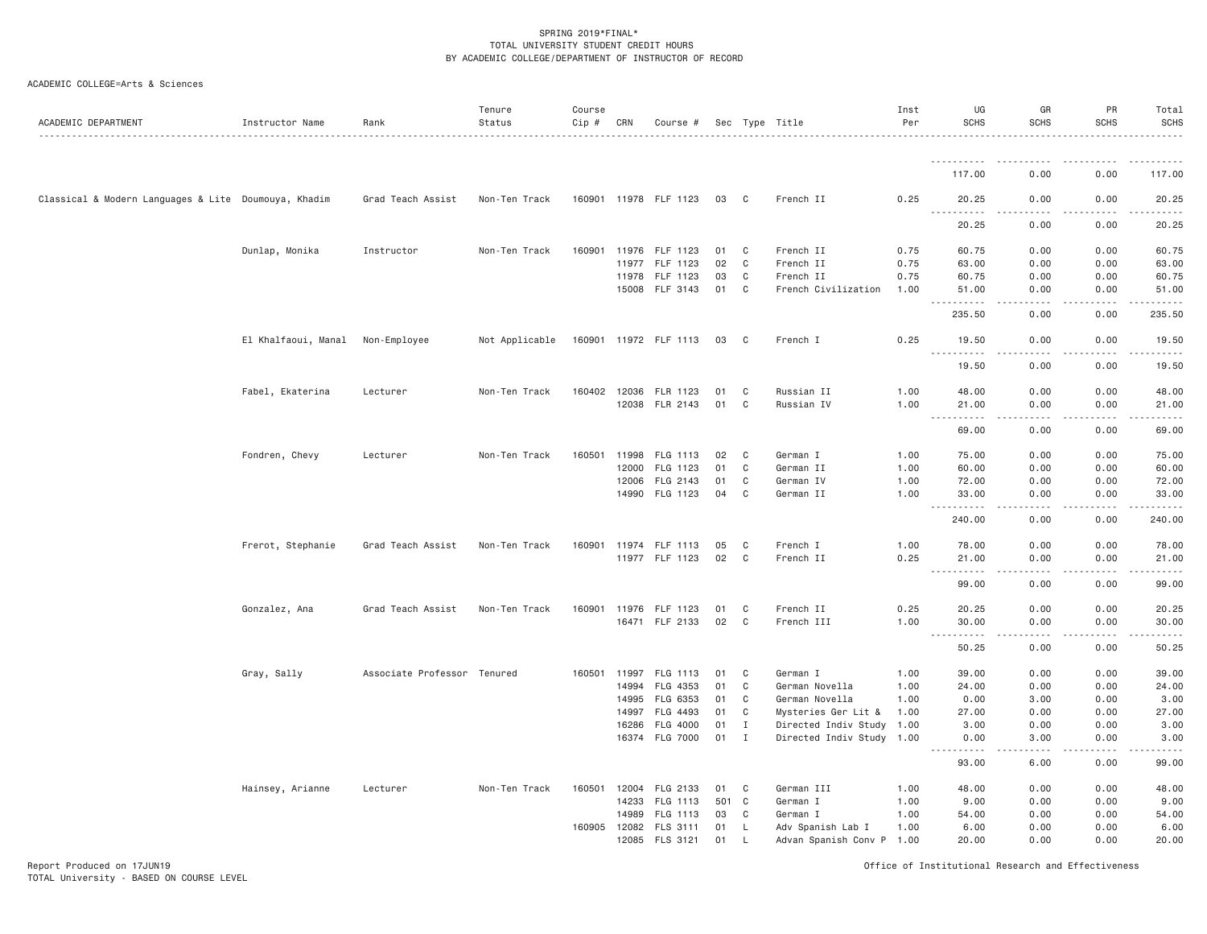| ACADEMIC COLLEGE=Arts & Sciences |  |
|----------------------------------|--|
|----------------------------------|--|

| ACADEMIC DEPARTMENT                                  | Instructor Name     | Rank                        | Tenure<br>Status | Course<br>Cip # | CRN   | Course #                          |          |              | Sec Type Title                | Inst<br>Per  | UG<br><b>SCHS</b>                  | GR<br><b>SCHS</b>                   | PR<br><b>SCHS</b>            | Total<br><b>SCHS</b>  |
|------------------------------------------------------|---------------------|-----------------------------|------------------|-----------------|-------|-----------------------------------|----------|--------------|-------------------------------|--------------|------------------------------------|-------------------------------------|------------------------------|-----------------------|
|                                                      |                     |                             |                  |                 |       |                                   |          |              |                               |              |                                    |                                     |                              |                       |
|                                                      |                     |                             |                  |                 |       |                                   |          |              |                               |              | 117.00                             | 0.00                                | 0.00                         | 117.00                |
| Classical & Modern Languages & Lite Doumouya, Khadim |                     | Grad Teach Assist           | Non-Ten Track    |                 |       | 160901 11978 FLF 1123             | 03       | C            | French II                     | 0.25         | 20.25                              | 0.00                                | 0.00                         | 20.25<br>.            |
|                                                      |                     |                             |                  |                 |       |                                   |          |              |                               |              | 20.25                              | 0.00                                | 0.00                         | 20.25                 |
|                                                      | Dunlap, Monika      | Instructor                  | Non-Ten Track    |                 |       | 160901 11976 FLF 1123             | 01       | C            | French II                     | 0.75         | 60.75                              | 0.00                                | 0.00                         | 60.75                 |
|                                                      |                     |                             |                  |                 | 11977 | FLF 1123                          | 02       | $\mathbf{C}$ | French II                     | 0.75         | 63.00                              | 0.00                                | 0.00                         | 63.00                 |
|                                                      |                     |                             |                  |                 | 11978 | FLF 1123                          | 03       | C            | French II                     | 0.75         | 60.75                              | 0.00                                | 0.00                         | 60.75                 |
|                                                      |                     |                             |                  |                 |       | 15008 FLF 3143                    | 01       | $\mathbf C$  | French Civilization           | 1.00         | 51.00<br>.                         | 0.00<br>$\frac{1}{2}$               | 0.00<br>.                    | 51.00<br>.            |
|                                                      |                     |                             |                  |                 |       |                                   |          |              |                               |              | 235.50                             | 0.00                                | 0.00                         | 235.50                |
|                                                      | El Khalfaoui, Manal | Non-Employee                | Not Applicable   |                 |       | 160901 11972 FLF 1113             | 03       | C            | French I                      | 0.25         | 19.50<br><u>.</u>                  | 0.00                                | 0.00                         | 19.50<br>.            |
|                                                      |                     |                             |                  |                 |       |                                   |          |              |                               |              | 19.50                              | 0.00                                | 0.00                         | 19.50                 |
|                                                      | Fabel, Ekaterina    | Lecturer                    | Non-Ten Track    |                 |       | 160402 12036 FLR 1123             | 01       | C            | Russian II                    | 1.00         | 48.00                              | 0.00                                | 0.00                         | 48.00                 |
|                                                      |                     |                             |                  |                 |       | 12038 FLR 2143                    | 01       | C            | Russian IV                    | 1.00         | 21.00                              | 0.00                                | 0.00                         | 21.00                 |
|                                                      |                     |                             |                  |                 |       |                                   |          |              |                               |              | $\sim$ $\sim$ $\sim$<br>.<br>69.00 | .<br>0.00                           | .<br>0.00                    | .<br>69.00            |
|                                                      | Fondren, Chevy      | Lecturer                    | Non-Ten Track    | 160501          |       | 11998 FLG 1113                    | 02       | C            | German I                      | 1,00         | 75.00                              | 0.00                                | 0.00                         | 75.00                 |
|                                                      |                     |                             |                  |                 | 12000 | FLG 1123                          | 01       | $\mathbf{C}$ | German II                     | 1.00         | 60.00                              | 0.00                                | 0.00                         | 60.00                 |
|                                                      |                     |                             |                  |                 | 12006 | FLG 2143                          | 01       | C            | German IV                     | 1.00         | 72.00                              | 0.00                                | 0.00                         | 72.00                 |
|                                                      |                     |                             |                  |                 |       | 14990 FLG 1123                    | 04       | C            | German II                     | 1.00         | 33.00<br>$\sim$ $\sim$ .<br>.      | 0.00<br>د د د د                     | 0.00<br>.                    | 33.00<br>.            |
|                                                      |                     |                             |                  |                 |       |                                   |          |              |                               |              | 240.00                             | 0.00                                | 0.00                         | 240.00                |
|                                                      | Frerot, Stephanie   | Grad Teach Assist           | Non-Ten Track    |                 |       | 160901 11974 FLF 1113             | 05       | C            | French I                      | 1.00         | 78.00                              | 0.00                                | 0.00                         | 78.00                 |
|                                                      |                     |                             |                  |                 |       | 11977 FLF 1123                    | 02       | C            | French II                     | 0.25         | 21.00<br>$\sim$ $\sim$ $\sim$<br>. | 0.00<br>$\sim$ $\sim$ $\sim$ $\sim$ | 0.00                         | 21.00<br>المالم عامات |
|                                                      |                     |                             |                  |                 |       |                                   |          |              |                               |              | 99.00                              | 0.00                                | 0.00                         | 99.00                 |
|                                                      | Gonzalez, Ana       | Grad Teach Assist           | Non-Ten Track    |                 |       | 160901 11976 FLF 1123             | 01       | C            | French II                     | 0.25         | 20.25                              | 0.00                                | 0.00                         | 20.25                 |
|                                                      |                     |                             |                  |                 |       | 16471 FLF 2133                    | 02       | C            | French III                    | 1.00         | 30.00<br><b></b>                   | 0.00<br>$- - - -$                   | 0.00<br>.                    | 30.00<br>.            |
|                                                      |                     |                             |                  |                 |       |                                   |          |              |                               |              | 50.25                              | 0.00                                | 0.00                         | 50.25                 |
|                                                      | Gray, Sally         | Associate Professor Tenured |                  |                 |       | 160501 11997 FLG 1113             | 01       | C            | German I                      | 1.00         | 39.00                              | 0.00                                | 0.00                         | 39.00                 |
|                                                      |                     |                             |                  |                 | 14994 | FLG 4353                          | 01       | C            | German Novella                | 1.00         | 24.00                              | 0.00                                | 0.00                         | 24.00                 |
|                                                      |                     |                             |                  |                 | 14995 | FLG 6353                          | 01       | C            | German Novella                | 1.00         | 0.00                               | 3.00                                | 0.00                         | 3.00                  |
|                                                      |                     |                             |                  |                 | 14997 | FLG 4493                          | 01       | C            | Mysteries Ger Lit &           | 1.00         | 27.00                              | 0.00                                | 0.00                         | 27.00                 |
|                                                      |                     |                             |                  |                 | 16286 | FLG 4000                          | 01       | $\mathbf{I}$ | Directed Indiv Study 1.00     |              | 3.00                               | 0.00                                | 0.00                         | 3.00                  |
|                                                      |                     |                             |                  |                 | 16374 | FLG 7000                          | 01       | $\mathbf{I}$ | Directed Indiv Study 1.00     |              | 0.00<br>.                          | 3.00<br>.                           | 0.00<br>$\sim$ $\sim$ $\sim$ | 3.00<br>$- - - -$     |
|                                                      |                     |                             |                  |                 |       |                                   |          |              |                               |              | 93.00                              | 6.00                                | 0.00                         | 99.00                 |
|                                                      | Hainsey, Arianne    | Lecturer                    | Non-Ten Track    | 160501          | 12004 | FLG 2133                          | 01       | C            | German III                    | 1.00         | 48.00                              | 0.00                                | 0.00                         | 48.00                 |
|                                                      |                     |                             |                  |                 | 14233 | FLG 1113                          | 501 C    |              | German I                      | 1.00         | 9.00                               | 0.00                                | 0.00                         | 9.00                  |
|                                                      |                     |                             |                  |                 | 14989 | FLG 1113<br>160905 12082 FLS 3111 | 03<br>01 | C<br>L       | German I<br>Adv Spanish Lab I | 1.00<br>1.00 | 54.00<br>6.00                      | 0.00<br>0.00                        | 0.00<br>0.00                 | 54.00<br>6.00         |
|                                                      |                     |                             |                  |                 |       | 12085 FLS 3121                    | 01       | L,           | Advan Spanish Conv P 1.00     |              | 20.00                              | 0.00                                | 0.00                         | 20.00                 |
|                                                      |                     |                             |                  |                 |       |                                   |          |              |                               |              |                                    |                                     |                              |                       |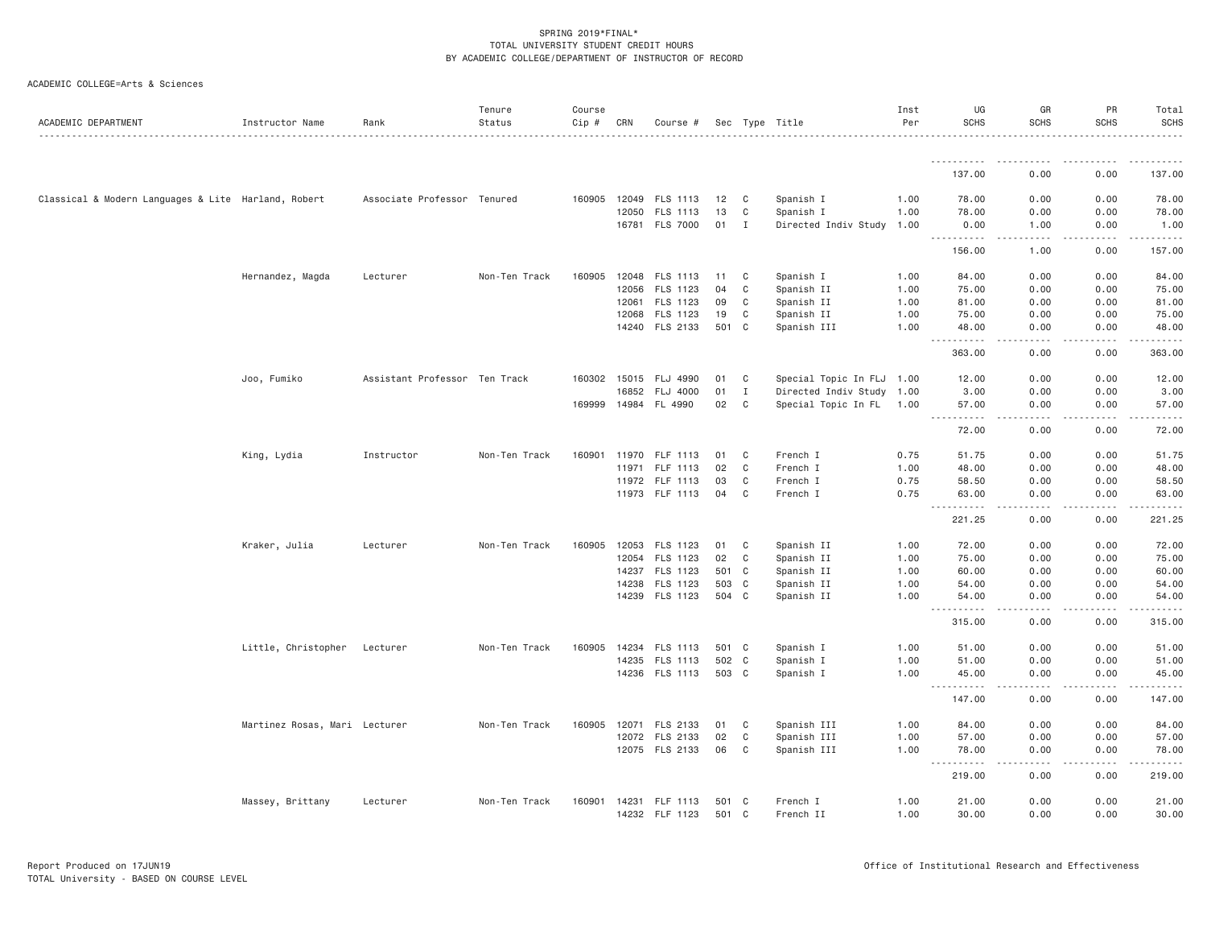| ACADEMIC DEPARTMENT                                 | Instructor Name               | Rank                          | Tenure<br>Status | Course<br>Cip # | CRN   | Course #              |       |              | Sec Type Title            | Inst<br>Per | UG<br><b>SCHS</b>                                                                               | GR<br><b>SCHS</b> | PR<br><b>SCHS</b> | Total<br><b>SCHS</b> |
|-----------------------------------------------------|-------------------------------|-------------------------------|------------------|-----------------|-------|-----------------------|-------|--------------|---------------------------|-------------|-------------------------------------------------------------------------------------------------|-------------------|-------------------|----------------------|
|                                                     |                               |                               |                  |                 |       |                       |       |              |                           |             | -----------                                                                                     |                   |                   |                      |
|                                                     |                               |                               |                  |                 |       |                       |       |              |                           |             | 137.00                                                                                          | 0.00              | 0.00              | 137.00               |
| Classical & Modern Languages & Lite Harland, Robert |                               | Associate Professor Tenured   |                  |                 |       | 160905 12049 FLS 1113 | 12    | C            | Spanish I                 | 1.00        | 78.00                                                                                           | 0.00              | 0.00              | 78.00                |
|                                                     |                               |                               |                  |                 | 12050 | FLS 1113              | 13    | C            | Spanish I                 | 1.00        | 78.00                                                                                           | 0.00              | 0.00              | 78.00                |
|                                                     |                               |                               |                  |                 |       | 16781 FLS 7000        | 01    | $\mathbf{I}$ | Directed Indiv Study 1.00 |             | 0.00<br>$\frac{1}{2} \frac{1}{2} \frac{1}{2} \frac{1}{2} \frac{1}{2} \frac{1}{2}$<br>. <u>.</u> | 1.00<br>.         | 0.00              | 1.00<br>.            |
|                                                     |                               |                               |                  |                 |       |                       |       |              |                           |             | 156.00                                                                                          | 1.00              | 0.00              | 157.00               |
|                                                     | Hernandez, Magda              | Lecturer                      | Non-Ten Track    |                 |       | 160905 12048 FLS 1113 | 11    | C            | Spanish I                 | 1.00        | 84.00                                                                                           | 0.00              | 0.00              | 84.00                |
|                                                     |                               |                               |                  |                 |       | 12056 FLS 1123        | 04    | C            | Spanish II                | 1.00        | 75.00                                                                                           | 0.00              | 0.00              | 75.00                |
|                                                     |                               |                               |                  |                 | 12061 | FLS 1123              | 09    | C            | Spanish II                | 1.00        | 81.00                                                                                           | 0.00              | 0.00              | 81.00                |
|                                                     |                               |                               |                  |                 | 12068 | FLS 1123              | 19    | C            | Spanish II                | 1.00        | 75.00                                                                                           | 0.00              | 0.00              | 75.00                |
|                                                     |                               |                               |                  |                 |       | 14240 FLS 2133        | 501 C |              | Spanish III               | 1.00        | 48.00<br>.                                                                                      | 0.00<br>.         | 0.00<br>.         | 48.00<br>.           |
|                                                     |                               |                               |                  |                 |       |                       |       |              |                           |             | 363.00                                                                                          | 0.00              | 0.00              | 363.00               |
|                                                     | Joo, Fumiko                   | Assistant Professor Ten Track |                  | 160302          | 15015 | FLJ 4990              | 01    | C            | Special Topic In FLJ 1.00 |             | 12.00                                                                                           | 0.00              | 0.00              | 12.00                |
|                                                     |                               |                               |                  |                 | 16852 | FLJ 4000              | 01    | I            | Directed Indiv Study 1.00 |             | 3.00                                                                                            | 0.00              | 0.00              | 3.00                 |
|                                                     |                               |                               |                  |                 |       | 169999 14984 FL 4990  | 02    | C            | Special Topic In FL 1.00  |             | 57.00                                                                                           | 0.00              | 0.00              | 57.00                |
|                                                     |                               |                               |                  |                 |       |                       |       |              |                           |             | .<br>$\frac{1}{2} \left( \frac{1}{2} \right) \left( \frac{1}{2} \right)$<br>72.00               | .<br>0.00         | .<br>0.00         | .<br>72.00           |
|                                                     | King, Lydia                   | Instructor                    | Non-Ten Track    | 160901          | 11970 | FLF 1113              | 01    | C            | French I                  | 0.75        | 51.75                                                                                           | 0.00              | 0.00              | 51.75                |
|                                                     |                               |                               |                  |                 | 11971 | FLF 1113              | 02    | C            | French I                  | 1.00        | 48.00                                                                                           | 0.00              | 0.00              | 48.00                |
|                                                     |                               |                               |                  |                 |       | 11972 FLF 1113        | 03    | C            | French I                  | 0.75        | 58.50                                                                                           | 0.00              | 0.00              | 58.50                |
|                                                     |                               |                               |                  |                 |       | 11973 FLF 1113        | 04    | C            | French I                  | 0.75        | 63.00<br>$\sim$ $\sim$ $\sim$ $\sim$                                                            | 0.00              | 0.00              | 63.00<br>$   -$      |
|                                                     |                               |                               |                  |                 |       |                       |       |              |                           |             | 221.25                                                                                          | 0.00              | 0.00              | 221.25               |
|                                                     | Kraker, Julia                 | Lecturer                      | Non-Ten Track    | 160905          |       | 12053 FLS 1123        | 01    | C            | Spanish II                | 1.00        | 72.00                                                                                           | 0.00              | 0.00              | 72.00                |
|                                                     |                               |                               |                  |                 |       | 12054 FLS 1123        | 02    | $\mathbf{C}$ | Spanish II                | 1.00        | 75.00                                                                                           | 0.00              | 0.00              | 75.00                |
|                                                     |                               |                               |                  |                 | 14237 | FLS 1123              | 501 C |              | Spanish II                | 1.00        | 60.00                                                                                           | 0.00              | 0.00              | 60.00                |
|                                                     |                               |                               |                  |                 | 14238 | FLS 1123              | 503 C |              | Spanish II                | 1.00        | 54.00                                                                                           | 0.00              | 0.00              | 54.00                |
|                                                     |                               |                               |                  |                 |       | 14239 FLS 1123        | 504 C |              | Spanish II                | 1.00        | 54.00<br>------<br>$  -$                                                                        | 0.00<br>.         | 0.00<br>-----     | 54.00<br>. <b>.</b>  |
|                                                     |                               |                               |                  |                 |       |                       |       |              |                           |             | 315.00                                                                                          | 0.00              | 0.00              | 315.00               |
|                                                     | Little, Christopher           | Lecturer                      | Non-Ten Track    | 160905          | 14234 | FLS 1113              | 501 C |              | Spanish I                 | 1.00        | 51.00                                                                                           | 0.00              | 0.00              | 51.00                |
|                                                     |                               |                               |                  |                 | 14235 | FLS 1113              | 502 C |              | Spanish I                 | 1.00        | 51.00                                                                                           | 0.00              | 0.00              | 51.00                |
|                                                     |                               |                               |                  |                 |       | 14236 FLS 1113        | 503 C |              | Spanish I                 | 1.00        | 45.00<br>$  -$<br>.                                                                             | 0.00<br>.         | 0.00<br>-----     | 45.00<br>. <b>.</b>  |
|                                                     |                               |                               |                  |                 |       |                       |       |              |                           |             | 147.00                                                                                          | 0.00              | 0.00              | 147.00               |
|                                                     | Martinez Rosas, Mari Lecturer |                               | Non-Ten Track    | 160905          |       | 12071 FLS 2133        | 01    | C            | Spanish III               | 1.00        | 84.00                                                                                           | 0.00              | 0.00              | 84.00                |
|                                                     |                               |                               |                  |                 | 12072 | FLS 2133              | 02    | C            | Spanish III               | 1.00        | 57.00                                                                                           | 0.00              | 0.00              | 57.00                |
|                                                     |                               |                               |                  |                 |       | 12075 FLS 2133        | 06    | C            | Spanish III               | 1.00        | 78.00<br>$\cdots$<br>.                                                                          | 0.00<br>.         | 0.00<br>.         | 78.00<br>.           |
|                                                     |                               |                               |                  |                 |       |                       |       |              |                           |             | 219.00                                                                                          | 0.00              | 0.00              | 219.00               |
|                                                     | Massey, Brittany              | Lecturer                      | Non-Ten Track    | 160901          |       | 14231 FLF 1113        | 501 C |              | French I                  | 1.00        | 21.00                                                                                           | 0.00              | 0.00              | 21.00                |
|                                                     |                               |                               |                  |                 |       | 14232 FLF 1123        | 501 C |              | French II                 | 1.00        | 30.00                                                                                           | 0.00              | 0.00              | 30.00                |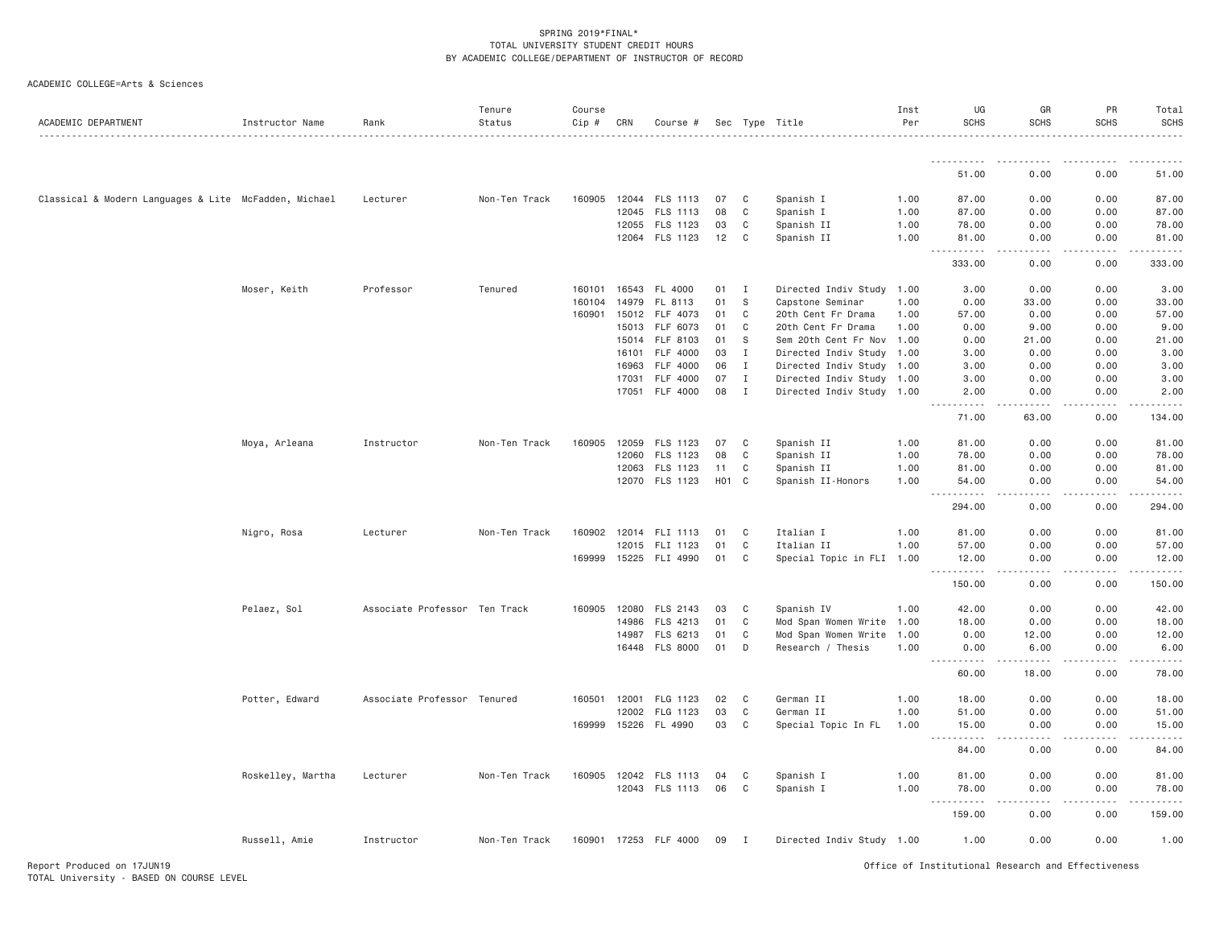| ACADEMIC DEPARTMENT                                   | Instructor Name   | Rank                          | Tenure<br>Status | Course<br>Cip # | CRN          | Course #              |            |              | Sec Type Title            | Inst<br>Per | UG<br><b>SCHS</b>                   | GR<br><b>SCHS</b>     | PR<br><b>SCHS</b> | Total<br><b>SCHS</b> |
|-------------------------------------------------------|-------------------|-------------------------------|------------------|-----------------|--------------|-----------------------|------------|--------------|---------------------------|-------------|-------------------------------------|-----------------------|-------------------|----------------------|
|                                                       |                   |                               |                  |                 |              |                       |            |              |                           |             | .                                   |                       |                   |                      |
|                                                       |                   |                               |                  |                 |              |                       |            |              |                           |             | 51.00                               | 0.00                  | 0.00              | 51.00                |
| Classical & Modern Languages & Lite McFadden, Michael |                   | Lecturer                      | Non-Ten Track    | 160905          | 12044        | FLS 1113              | 07         | C            | Spanish I                 | 1.00        | 87.00                               | 0.00                  | 0.00              | 87.00                |
|                                                       |                   |                               |                  |                 | 12045        | FLS 1113              | 08         | C            | Spanish I                 | 1.00        | 87.00                               | 0.00                  | 0.00              | 87.00                |
|                                                       |                   |                               |                  |                 | 12055        | FLS 1123              | 03         | C            | Spanish II                | 1.00        | 78.00                               | 0.00                  | 0.00              | 78.00                |
|                                                       |                   |                               |                  |                 |              | 12064 FLS 1123        | 12         | C            | Spanish II                | 1.00        | 81.00<br>.                          | 0.00<br>.             | 0.00<br>.         | 81.00<br>.           |
|                                                       |                   |                               |                  |                 |              |                       |            |              |                           |             | 333.00                              | 0.00                  | 0.00              | 333.00               |
|                                                       | Moser, Keith      | Professor                     | Tenured          | 160101          |              | 16543 FL 4000         | 01         | $\mathbf{I}$ | Directed Indiv Study 1.00 |             | 3.00                                | 0.00                  | 0.00              | 3.00                 |
|                                                       |                   |                               |                  | 160104          | 14979        | FL 8113               | 01         | -S           | Capstone Seminar          | 1.00        | 0.00                                | 33.00                 | 0.00              | 33.00                |
|                                                       |                   |                               |                  | 160901          | 15012        | FLF 4073              | 01         | C            | 20th Cent Fr Drama        | 1.00        | 57.00                               | 0.00                  | 0.00              | 57.00                |
|                                                       |                   |                               |                  |                 | 15013        | FLF 6073              | 01         | $\mathbb C$  | 20th Cent Fr Drama        | 1.00        | 0.00                                | 9.00                  | 0.00              | 9.00                 |
|                                                       |                   |                               |                  |                 | 15014        | FLF 8103              | 01         | S            | Sem 20th Cent Fr Nov      | 1.00        | 0.00                                | 21.00                 | 0.00              | 21.00                |
|                                                       |                   |                               |                  |                 | 16101        | FLF 4000              | 03         | $\mathbf{I}$ | Directed Indiv Study      | 1.00        | 3.00                                | 0.00                  | 0.00              | 3.00                 |
|                                                       |                   |                               |                  |                 | 16963        | FLF 4000              | 06         | I            | Directed Indiv Study 1.00 |             | 3.00                                | 0.00                  | 0.00              | 3.00                 |
|                                                       |                   |                               |                  |                 | 17031        | FLF 4000              | 07         | $\mathbf{I}$ | Directed Indiv Study 1.00 |             | 3.00                                | 0.00                  | 0.00              | 3.00                 |
|                                                       |                   |                               |                  |                 |              | 17051 FLF 4000        | 08         | $\mathbf{I}$ | Directed Indiv Study 1.00 |             | 2.00<br>$\sim$ $\sim$ $\sim$ $\sim$ | 0.00                  | 0.00              | 2.00                 |
|                                                       |                   |                               |                  |                 |              |                       |            |              |                           |             | 71.00                               | 63.00                 | 0.00              | 134.00               |
|                                                       | Moya, Arleana     | Instructor                    | Non-Ten Track    | 160905          | 12059        | FLS 1123              | 07         | C            | Spanish II                | 1.00        | 81.00                               | 0.00                  | 0.00              | 81.00                |
|                                                       |                   |                               |                  |                 | 12060        | FLS 1123              | 08         | C            | Spanish II                | 1.00        | 78.00                               | 0.00                  | 0.00              | 78.00                |
|                                                       |                   |                               |                  |                 |              | 12063 FLS 1123        | 11         | C            | Spanish II                | 1.00        | 81.00                               | 0.00                  | 0.00              | 81.00                |
|                                                       |                   |                               |                  |                 |              | 12070 FLS 1123        | <b>HO1</b> | $\mathbf{C}$ | Spanish II-Honors         | 1.00        | 54.00<br>.                          | 0.00<br>.             | 0.00<br>.         | 54.00<br>.           |
|                                                       |                   |                               |                  |                 |              |                       |            |              |                           |             | 294.00                              | 0.00                  | 0.00              | 294.00               |
|                                                       | Nigro, Rosa       | Lecturer                      | Non-Ten Track    | 160902          | 12014        | FLI 1113              | 01         | C            | Italian I                 | 1.00        | 81.00                               | 0.00                  | 0.00              | 81.00                |
|                                                       |                   |                               |                  |                 | 12015        | FLI 1123              | 01         | C            | Italian II                | 1.00        | 57.00                               | 0.00                  | 0.00              | 57.00                |
|                                                       |                   |                               |                  |                 |              | 169999 15225 FLI 4990 | 01         | C            | Special Topic in FLI 1.00 |             | 12.00<br>.                          | 0.00                  | 0.00              | 12.00                |
|                                                       |                   |                               |                  |                 |              |                       |            |              |                           |             | 150.00                              | 0.00                  | 0.00              | 150.00               |
|                                                       | Pelaez, Sol       | Associate Professor Ten Track |                  |                 | 160905 12080 | FLS 2143              | 03         | C            | Spanish IV                | 1.00        | 42.00                               | 0.00                  | 0.00              | 42.00                |
|                                                       |                   |                               |                  |                 | 14986        | FLS 4213              | 01         | C            | Mod Span Women Write      | 1.00        | 18.00                               | 0.00                  | 0.00              | 18.00                |
|                                                       |                   |                               |                  |                 | 14987        | FLS 6213              | 01         | C            | Mod Span Women Write      | 1.00        | 0.00                                | 12.00                 | 0.00              | 12.00                |
|                                                       |                   |                               |                  |                 |              | 16448 FLS 8000        | 01         | D            | Research / Thesis         | 1.00        | 0.00<br><u> - - - - - - - - - -</u> | 6.00<br>$- - - - -$   | 0.00              | 6.00<br>$- - - - -$  |
|                                                       |                   |                               |                  |                 |              |                       |            |              |                           |             | 60.00                               | 18.00                 | 0.00              | 78.00                |
|                                                       | Potter, Edward    | Associate Professor Tenured   |                  |                 | 160501 12001 | FLG 1123              | 02         | C            | German II                 | 1.00        | 18.00                               | 0.00                  | 0.00              | 18.00                |
|                                                       |                   |                               |                  |                 | 12002        | FLG 1123              | 03         | C            | German II                 | 1.00        | 51.00                               | 0.00                  | 0.00              | 51.00                |
|                                                       |                   |                               |                  | 169999          | 15226        | FL 4990               | 03         | C            | Special Topic In FL       | 1.00        | 15.00<br>.                          | 0.00<br>$\frac{1}{2}$ | 0.00<br>.         | 15.00<br>.           |
|                                                       |                   |                               |                  |                 |              |                       |            |              |                           |             | 84.00                               | 0.00                  | 0.00              | 84.00                |
|                                                       | Roskelley, Martha | Lecturer                      | Non-Ten Track    |                 |              | 160905 12042 FLS 1113 | 04         | C            | Spanish I                 | 1.00        | 81.00                               | 0.00                  | 0.00              | 81.00                |
|                                                       |                   |                               |                  |                 |              | 12043 FLS 1113        | 06         | C            | Spanish I                 | 1.00        | 78.00                               | 0.00                  | 0.00              | 78.00                |
|                                                       |                   |                               |                  |                 |              |                       |            |              |                           |             | .<br>159.00                         | 0.00                  | 0.00              | 159.00               |
|                                                       | Russell, Amie     | Instructor                    | Non-Ten Track    |                 |              | 160901 17253 FLF 4000 | 09         | I.           | Directed Indiv Study 1.00 |             | 1.00                                | 0.00                  | 0.00              | 1.00                 |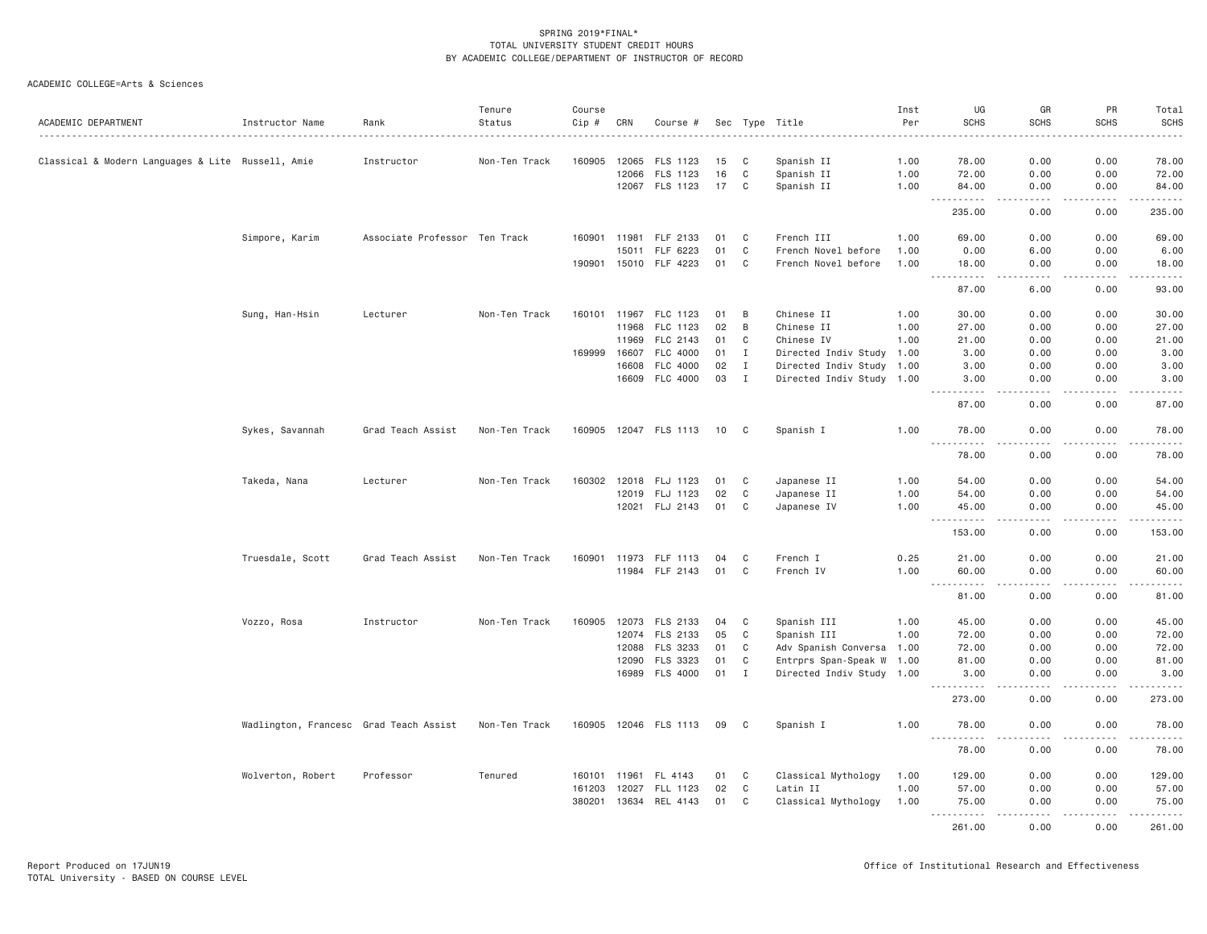| ACADEMIC DEPARTMENT                               | Instructor Name                        | Rank                          | Tenure<br>Status | Course<br>$Cip \#$ | CRN   | Course #              |    |              | Sec Type Title            | Inst<br>Per<br>. | UG<br><b>SCHS</b>                    | GR<br><b>SCHS</b><br>----           | PR<br><b>SCHS</b>                                                                                                                                            | Total<br><b>SCHS</b><br>.                                                   |
|---------------------------------------------------|----------------------------------------|-------------------------------|------------------|--------------------|-------|-----------------------|----|--------------|---------------------------|------------------|--------------------------------------|-------------------------------------|--------------------------------------------------------------------------------------------------------------------------------------------------------------|-----------------------------------------------------------------------------|
| Classical & Modern Languages & Lite Russell, Amie |                                        | Instructor                    | Non-Ten Track    | 160905             | 12065 | FLS 1123              | 15 | C            | Spanish II                | 1.00             | 78.00                                | 0.00                                | 0.00                                                                                                                                                         | 78.00                                                                       |
|                                                   |                                        |                               |                  |                    | 12066 | FLS 1123              | 16 | C            | Spanish II                | 1.00             | 72.00                                | 0.00                                | 0.00                                                                                                                                                         | 72.00                                                                       |
|                                                   |                                        |                               |                  |                    |       | 12067 FLS 1123        | 17 | C            | Spanish II                | 1.00             | 84.00                                | 0.00                                | 0.00                                                                                                                                                         | 84.00                                                                       |
|                                                   |                                        |                               |                  |                    |       |                       |    |              |                           |                  | .<br>$\sim$ $\sim$ $\sim$<br>235.00  | $   -$<br>0.00                      | .<br>0.00                                                                                                                                                    | .<br>235.00                                                                 |
|                                                   | Simpore, Karim                         | Associate Professor Ten Track |                  | 160901 11981       |       | FLF 2133              | 01 | C            | French III                | 1.00             | 69.00                                | 0.00                                | 0.00                                                                                                                                                         | 69.00                                                                       |
|                                                   |                                        |                               |                  |                    | 15011 | FLF 6223              | 01 | C            | French Novel before       | 1.00             | 0.00                                 | 6.00                                | 0.00                                                                                                                                                         | 6.00                                                                        |
|                                                   |                                        |                               |                  | 190901             | 15010 | FLF 4223              | 01 | C            | French Novel before       | 1.00             | 18.00                                | 0.00                                | 0.00                                                                                                                                                         | 18.00                                                                       |
|                                                   |                                        |                               |                  |                    |       |                       |    |              |                           |                  | .<br>87.00                           | د د د د<br>6.00                     | $\frac{1}{2} \left( \frac{1}{2} \right) \left( \frac{1}{2} \right) \left( \frac{1}{2} \right) \left( \frac{1}{2} \right) \left( \frac{1}{2} \right)$<br>0.00 | .<br>93.00                                                                  |
|                                                   | Sung, Han-Hsin                         | Lecturer                      | Non-Ten Track    | 160101             | 11967 | FLC 1123              | 01 | B            | Chinese II                | 1.00             | 30.00                                | 0.00                                | 0.00                                                                                                                                                         | 30.00                                                                       |
|                                                   |                                        |                               |                  |                    | 11968 | FLC 1123              | 02 | B            | Chinese II                | 1.00             | 27.00                                | 0.00                                | 0.00                                                                                                                                                         | 27.00                                                                       |
|                                                   |                                        |                               |                  |                    | 11969 | FLC 2143              | 01 | C            | Chinese IV                | 1.00             | 21.00                                | 0.00                                | 0.00                                                                                                                                                         | 21.00                                                                       |
|                                                   |                                        |                               |                  | 169999             | 16607 | FLC 4000              | 01 | $\mathbf{I}$ | Directed Indiv Study 1.00 |                  | 3.00                                 | 0.00                                | 0.00                                                                                                                                                         | 3.00                                                                        |
|                                                   |                                        |                               |                  |                    | 16608 | FLC 4000              | 02 | $\mathbf{I}$ | Directed Indiv Study 1.00 |                  | 3.00                                 | 0.00                                | 0.00                                                                                                                                                         | 3.00                                                                        |
|                                                   |                                        |                               |                  |                    | 16609 | FLC 4000              | 03 | $\mathbf{I}$ | Directed Indiv Study 1.00 |                  | 3.00                                 | 0.00                                | 0.00                                                                                                                                                         | 3.00                                                                        |
|                                                   |                                        |                               |                  |                    |       |                       |    |              |                           |                  | $\sim$ $\sim$ $\sim$<br>.<br>87.00   | $\sim$ $\sim$ $\sim$<br>0.00        | .<br>0.00                                                                                                                                                    | .<br>87.00                                                                  |
|                                                   | Sykes, Savannah                        | Grad Teach Assist             | Non-Ten Track    |                    |       | 160905 12047 FLS 1113 | 10 | C            | Spanish I                 | 1.00             | 78.00                                | 0.00                                | 0.00<br>.                                                                                                                                                    | 78.00                                                                       |
|                                                   |                                        |                               |                  |                    |       |                       |    |              |                           |                  | .<br>78.00                           | $\sim$ $\sim$ $\sim$ $\sim$<br>0.00 | 0.00                                                                                                                                                         | .<br>78.00                                                                  |
|                                                   | Takeda, Nana                           | Lecturer                      | Non-Ten Track    | 160302             | 12018 | FLJ 1123              | 01 | C            | Japanese II               | 1.00             | 54.00                                | 0.00                                | 0.00                                                                                                                                                         | 54.00                                                                       |
|                                                   |                                        |                               |                  |                    | 12019 | FLJ 1123              | 02 | C            | Japanese II               | 1.00             | 54.00                                | 0.00                                | 0.00                                                                                                                                                         | 54.00                                                                       |
|                                                   |                                        |                               |                  |                    |       | 12021 FLJ 2143        | 01 | C            | Japanese IV               | 1.00             | 45.00                                | 0.00                                | 0.00                                                                                                                                                         | 45.00                                                                       |
|                                                   |                                        |                               |                  |                    |       |                       |    |              |                           |                  | $\sim$ $\sim$ $\sim$<br>.<br>153.00  | .<br>0.00                           | .<br>0.00                                                                                                                                                    | <u>.</u><br>153.00                                                          |
|                                                   | Truesdale, Scott                       | Grad Teach Assist             | Non-Ten Track    | 160901             | 11973 | FLF 1113              | 04 | C            | French I                  | 0.25             | 21.00                                | 0.00                                | 0.00                                                                                                                                                         | 21.00                                                                       |
|                                                   |                                        |                               |                  |                    |       | 11984 FLF 2143        | 01 | C            | French IV                 | 1.00             | 60.00                                | 0.00                                | 0.00                                                                                                                                                         | 60.00                                                                       |
|                                                   |                                        |                               |                  |                    |       |                       |    |              |                           |                  | .<br>$\sim$ $\sim$ $\sim$ .<br>81.00 | $- - -$<br>0.00                     | 0.00                                                                                                                                                         | .<br>81.00                                                                  |
|                                                   | Vozzo, Rosa                            | Instructor                    | Non-Ten Track    |                    |       | 160905 12073 FLS 2133 | 04 | C            | Spanish III               | 1.00             | 45.00                                | 0.00                                | 0.00                                                                                                                                                         | 45.00                                                                       |
|                                                   |                                        |                               |                  |                    |       | 12074 FLS 2133        | 05 | C            | Spanish III               | 1.00             | 72.00                                | 0.00                                | 0.00                                                                                                                                                         | 72.00                                                                       |
|                                                   |                                        |                               |                  |                    | 12088 | FLS 3233              | 01 | C            | Adv Spanish Conversa 1.00 |                  | 72.00                                | 0.00                                | 0.00                                                                                                                                                         | 72.00                                                                       |
|                                                   |                                        |                               |                  |                    | 12090 | FLS 3323              | 01 | C            | Entrprs Span-Speak W 1.00 |                  | 81.00                                | 0.00                                | 0.00                                                                                                                                                         | 81.00                                                                       |
|                                                   |                                        |                               |                  |                    |       | 16989 FLS 4000        | 01 | $\mathbf{I}$ | Directed Indiv Study 1.00 |                  | 3.00<br>.                            | 0.00<br>$   -$                      | 0.00<br>$- - - - -$                                                                                                                                          | 3.00<br>$- - - - - -$                                                       |
|                                                   |                                        |                               |                  |                    |       |                       |    |              |                           |                  | 273.00                               | 0.00                                | 0.00                                                                                                                                                         | 273.00                                                                      |
|                                                   | Wadlington, Francesc Grad Teach Assist |                               | Non-Ten Track    |                    |       | 160905 12046 FLS 1113 | 09 | C            | Spanish I                 | 1.00             | 78.00<br>.                           | 0.00<br>الدامات بال                 | 0.00<br>.                                                                                                                                                    | 78.00<br>.                                                                  |
|                                                   |                                        |                               |                  |                    |       |                       |    |              |                           |                  | 78.00                                | 0.00                                | 0.00                                                                                                                                                         | 78.00                                                                       |
|                                                   | Wolverton, Robert                      | Professor                     | Tenured          | 160101 11961       |       | FL 4143               | 01 | C            | Classical Mythology       | 1.00             | 129.00                               | 0.00                                | 0.00                                                                                                                                                         | 129.00                                                                      |
|                                                   |                                        |                               |                  | 161203             | 12027 | FLL 1123              | 02 | C            | Latin II                  | 1.00             | 57.00                                | 0.00                                | 0.00                                                                                                                                                         | 57.00                                                                       |
|                                                   |                                        |                               |                  | 380201             |       | 13634 REL 4143        | 01 | C            | Classical Mythology       | 1.00             | 75.00                                | 0.00                                | 0.00                                                                                                                                                         | 75.00                                                                       |
|                                                   |                                        |                               |                  |                    |       |                       |    |              |                           |                  | .<br>261.00                          | والمحامر<br>0.00                    | .<br>0.00                                                                                                                                                    | $\omega_{\alpha}=\omega_{\alpha}=\omega_{\alpha}=\omega_{\alpha}$<br>261.00 |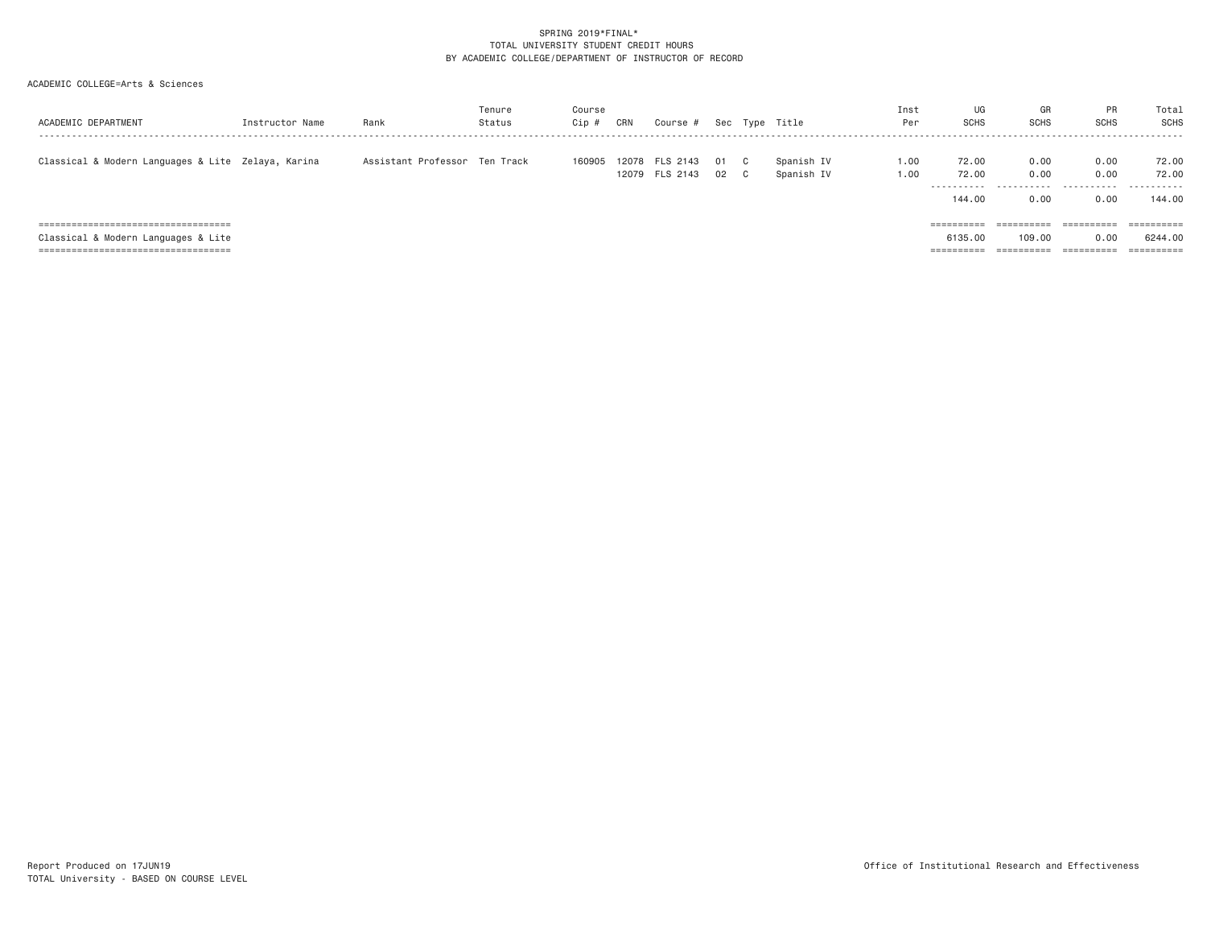| ACADEMIC DEPARTMENT                                | Instructor Name | Rank                          | Tenure<br>Status | Course<br>Cip # | CRN | Course #                         |          |                              | Sec Type Title           | Inst<br>Per  | UG<br><b>SCHS</b>                      | GR<br><b>SCHS</b>         | PR<br><b>SCHS</b>         | Total<br>SCHS                           |
|----------------------------------------------------|-----------------|-------------------------------|------------------|-----------------|-----|----------------------------------|----------|------------------------------|--------------------------|--------------|----------------------------------------|---------------------------|---------------------------|-----------------------------------------|
| Classical & Modern Languages & Lite Zelaya, Karina |                 | Assistant Professor Ten Track |                  | 160905          |     | 12078 FLS 2143<br>12079 FLS 2143 | 01<br>02 | $\mathbb{C}$<br>$\mathbf{C}$ | Spanish IV<br>Spanish IV | 1,00<br>1.00 | 72.00<br>72.00<br>----------<br>144.00 | 0.00<br>0.00<br>.<br>0.00 | 0.00<br>0.00<br>.<br>0.00 | 72.00<br>72.00<br>-----------<br>144,00 |
| =====================================              |                 |                               |                  |                 |     |                                  |          |                              |                          |              | ----------<br>----------               | $=$ = = = = = = = = =     | $=$ = = = = = = = = =     |                                         |
| Classical & Modern Languages & Lite                |                 |                               |                  |                 |     |                                  |          |                              |                          |              | 6135,00                                | 109,00                    | 0.00                      | 6244.00                                 |
| =====================================              |                 |                               |                  |                 |     |                                  |          |                              |                          |              | ==========                             | ==========                | ==========                | ==========                              |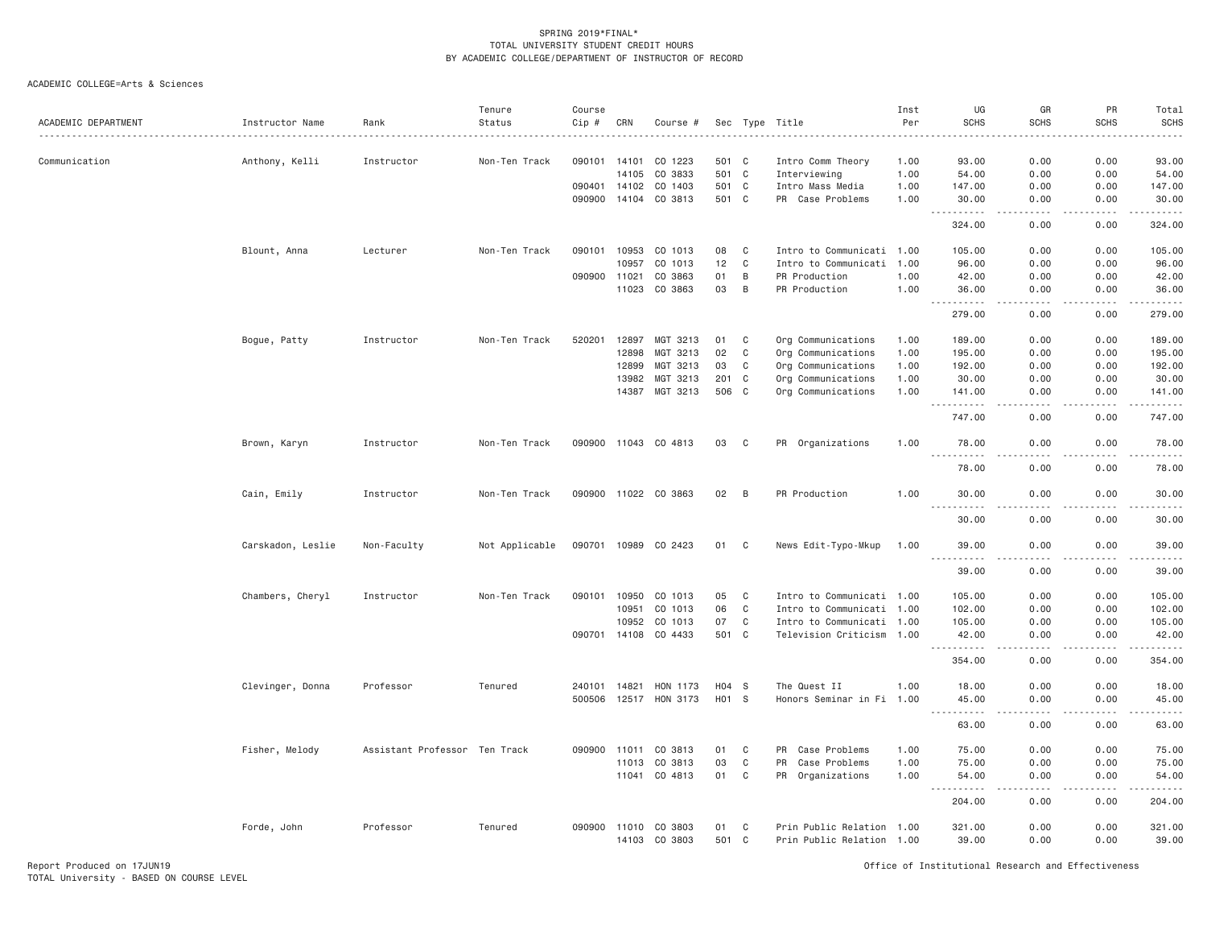| ACADEMIC DEPARTMENT | Instructor Name   | Rank                          | Tenure<br>Status | Course<br>Cip # | CRN   | Course #             |         |                | Sec Type Title            | Inst<br>Per<br>. | UG<br><b>SCHS</b>                                                                                                                                                        | GR<br><b>SCHS</b>                                                                                                                 | PR<br><b>SCHS</b>            | Total<br><b>SCHS</b><br>. |
|---------------------|-------------------|-------------------------------|------------------|-----------------|-------|----------------------|---------|----------------|---------------------------|------------------|--------------------------------------------------------------------------------------------------------------------------------------------------------------------------|-----------------------------------------------------------------------------------------------------------------------------------|------------------------------|---------------------------|
| Communication       | Anthony, Kelli    | Instructor                    | Non-Ten Track    | 090101          | 14101 | CO 1223              | 501 C   |                | Intro Comm Theory         | 1.00             | 93.00                                                                                                                                                                    | 0.00                                                                                                                              | 0.00                         | 93.00                     |
|                     |                   |                               |                  |                 | 14105 | CO 3833              | 501 C   |                | Interviewing              | 1.00             | 54.00                                                                                                                                                                    | 0.00                                                                                                                              | 0.00                         | 54.00                     |
|                     |                   |                               |                  | 090401          | 14102 | CO 1403              | 501     | $\mathbf{C}$   | Intro Mass Media          | 1.00             | 147.00                                                                                                                                                                   | 0.00                                                                                                                              | 0.00                         | 147.00                    |
|                     |                   |                               |                  | 090900          | 14104 | CO 3813              | 501 C   |                | PR Case Problems          | 1.00             | 30,00                                                                                                                                                                    | 0.00                                                                                                                              | 0.00                         | 30,00<br>$- - - - - -$    |
|                     |                   |                               |                  |                 |       |                      |         |                |                           |                  | 324.00                                                                                                                                                                   | 0.00                                                                                                                              | 0.00                         | 324.00                    |
|                     | Blount, Anna      | Lecturer                      | Non-Ten Track    | 090101          | 10953 | CO 1013              | 08      | C              | Intro to Communicati 1.00 |                  | 105.00                                                                                                                                                                   | 0.00                                                                                                                              | 0.00                         | 105.00                    |
|                     |                   |                               |                  |                 | 10957 | CO 1013              | 12      | $\mathbf C$    | Intro to Communicati 1.00 |                  | 96.00                                                                                                                                                                    | 0.00                                                                                                                              | 0.00                         | 96.00                     |
|                     |                   |                               |                  | 090900 11021    |       | CO 3863              | 01      | B              | PR Production             | 1.00             | 42.00                                                                                                                                                                    | 0.00                                                                                                                              | 0.00                         | 42.00                     |
|                     |                   |                               |                  |                 | 11023 | CO 3863              | 03      | B              | PR Production             | 1.00             | 36.00                                                                                                                                                                    | 0.00                                                                                                                              | 0.00<br>$\sim$ $\sim$ $\sim$ | 36.00<br>د د د د د        |
|                     |                   |                               |                  |                 |       |                      |         |                |                           |                  | 279.00                                                                                                                                                                   | 0.00                                                                                                                              | 0.00                         | 279.00                    |
|                     | Bogue, Patty      | Instructor                    | Non-Ten Track    | 520201          | 12897 | MGT 3213             | 01      | C              | Org Communications        | 1.00             | 189.00                                                                                                                                                                   | 0.00                                                                                                                              | 0.00                         | 189.00                    |
|                     |                   |                               |                  |                 | 12898 | MGT 3213             | 02      | C              | Org Communications        | 1.00             | 195.00                                                                                                                                                                   | 0.00                                                                                                                              | 0.00                         | 195.00                    |
|                     |                   |                               |                  |                 | 12899 | MGT 3213             | 03      | C              | Org Communications        | 1.00             | 192.00                                                                                                                                                                   | 0.00                                                                                                                              | 0.00                         | 192.00                    |
|                     |                   |                               |                  |                 | 13982 | MGT 3213             | 201     | C              | Org Communications        | 1.00             | 30.00                                                                                                                                                                    | 0.00                                                                                                                              | 0.00                         | 30.00                     |
|                     |                   |                               |                  |                 | 14387 | MGT 3213             | 506 C   |                | Org Communications        | 1.00             | 141.00                                                                                                                                                                   | 0.00                                                                                                                              | 0.00                         | 141.00<br>.               |
|                     |                   |                               |                  |                 |       |                      |         |                |                           |                  | 747.00                                                                                                                                                                   | 0.00                                                                                                                              | 0.00                         | 747.00                    |
|                     | Brown, Karyn      | Instructor                    | Non-Ten Track    |                 |       | 090900 11043 CO 4813 | 03      | C              | PR Organizations          | 1.00             | 78.00                                                                                                                                                                    | 0.00                                                                                                                              | 0.00                         | 78.00<br>.                |
|                     |                   |                               |                  |                 |       |                      |         |                |                           |                  | 78.00                                                                                                                                                                    | 0.00                                                                                                                              | 0.00                         | 78.00                     |
|                     | Cain, Emily       | Instructor                    | Non-Ten Track    |                 |       | 090900 11022 CO 3863 | 02      | B              | PR Production             | 1.00             | 30.00                                                                                                                                                                    | 0.00                                                                                                                              | 0.00                         | 30.00                     |
|                     |                   |                               |                  |                 |       |                      |         |                |                           |                  | $- - -$<br>$\frac{1}{2} \left( \frac{1}{2} \right) \left( \frac{1}{2} \right) \left( \frac{1}{2} \right) \left( \frac{1}{2} \right) \left( \frac{1}{2} \right)$<br>30.00 | - - - -<br>0.00                                                                                                                   | $- - - -$<br>0.00            | .<br>30.00                |
|                     | Carskadon, Leslie | Non-Faculty                   | Not Applicable   |                 |       | 090701 10989 CO 2423 | 01      | C <sub>c</sub> | News Edit-Typo-Mkup       | 1.00             | 39.00                                                                                                                                                                    | 0.00                                                                                                                              | 0.00                         | 39.00                     |
|                     |                   |                               |                  |                 |       |                      |         |                |                           |                  | .<br>39.00                                                                                                                                                               | $\frac{1}{2} \left( \frac{1}{2} \right) \left( \frac{1}{2} \right) \left( \frac{1}{2} \right) \left( \frac{1}{2} \right)$<br>0.00 | .<br>0.00                    | .<br>39.00                |
|                     | Chambers, Cheryl  | Instructor                    | Non-Ten Track    | 090101          | 10950 | CO 1013              | 05      | C              | Intro to Communicati 1.00 |                  | 105.00                                                                                                                                                                   | 0.00                                                                                                                              | 0.00                         | 105.00                    |
|                     |                   |                               |                  |                 | 10951 | CO 1013              | 06      | C              | Intro to Communicati 1.00 |                  | 102.00                                                                                                                                                                   | 0.00                                                                                                                              | 0.00                         | 102.00                    |
|                     |                   |                               |                  |                 | 10952 | CO 1013              | 07      | $\mathbf C$    | Intro to Communicati 1.00 |                  | 105.00                                                                                                                                                                   | 0.00                                                                                                                              | 0.00                         | 105.00                    |
|                     |                   |                               |                  | 090701          | 14108 | CO 4433              | 501 C   |                | Television Criticism 1.00 |                  | 42.00                                                                                                                                                                    | 0.00                                                                                                                              | 0.00                         | 42.00<br>.                |
|                     |                   |                               |                  |                 |       |                      |         |                |                           |                  | 354.00                                                                                                                                                                   | 0.00                                                                                                                              | 0.00                         | 354.00                    |
|                     | Clevinger, Donna  | Professor                     | Tenured          | 240101          | 14821 | HON 1173             | $H04$ S |                | The Quest II              | 1.00             | 18.00                                                                                                                                                                    | 0.00                                                                                                                              | 0.00                         | 18.00                     |
|                     |                   |                               |                  | 500506          |       | 12517 HON 3173       | H01 S   |                | Honors Seminar in Fi 1.00 |                  | 45.00                                                                                                                                                                    | 0.00                                                                                                                              | 0.00                         | 45.00                     |
|                     |                   |                               |                  |                 |       |                      |         |                |                           |                  | $\sim$ $\sim$ $\sim$<br>.<br>63.00                                                                                                                                       | $\frac{1}{2} \left( \frac{1}{2} \right) \left( \frac{1}{2} \right) \left( \frac{1}{2} \right) \left( \frac{1}{2} \right)$<br>0.00 | .<br>0.00                    | .<br>63.00                |
|                     | Fisher, Melody    | Assistant Professor Ten Track |                  | 090900          | 11011 | CO 3813              | 01      | C              | Case Problems<br>PR       | 1.00             | 75.00                                                                                                                                                                    | 0.00                                                                                                                              | 0.00                         | 75.00                     |
|                     |                   |                               |                  |                 | 11013 | CO 3813              | 03      | $\mathbb C$    | Case Problems<br>PR       | 1.00             | 75.00                                                                                                                                                                    | 0.00                                                                                                                              | 0.00                         | 75.00                     |
|                     |                   |                               |                  |                 |       | 11041 CO 4813        | 01      | C              | PR Organizations          | 1.00             | 54.00                                                                                                                                                                    | 0.00                                                                                                                              | 0.00<br>.                    | 54.00<br>.                |
|                     |                   |                               |                  |                 |       |                      |         |                |                           |                  | .<br>204.00                                                                                                                                                              | $\frac{1}{2} \left( \frac{1}{2} \right) \left( \frac{1}{2} \right) \left( \frac{1}{2} \right) \left( \frac{1}{2} \right)$<br>0.00 | 0.00                         | 204.00                    |
|                     | Forde, John       | Professor                     | Tenured          | 090900 11010    |       | CO 3803              | 01      | C              | Prin Public Relation 1.00 |                  | 321.00                                                                                                                                                                   | 0.00                                                                                                                              | 0.00                         | 321.00                    |
|                     |                   |                               |                  |                 | 14103 | CO 3803              | 501     | C              | Prin Public Relation 1.00 |                  | 39.00                                                                                                                                                                    | 0.00                                                                                                                              | 0.00                         | 39.00                     |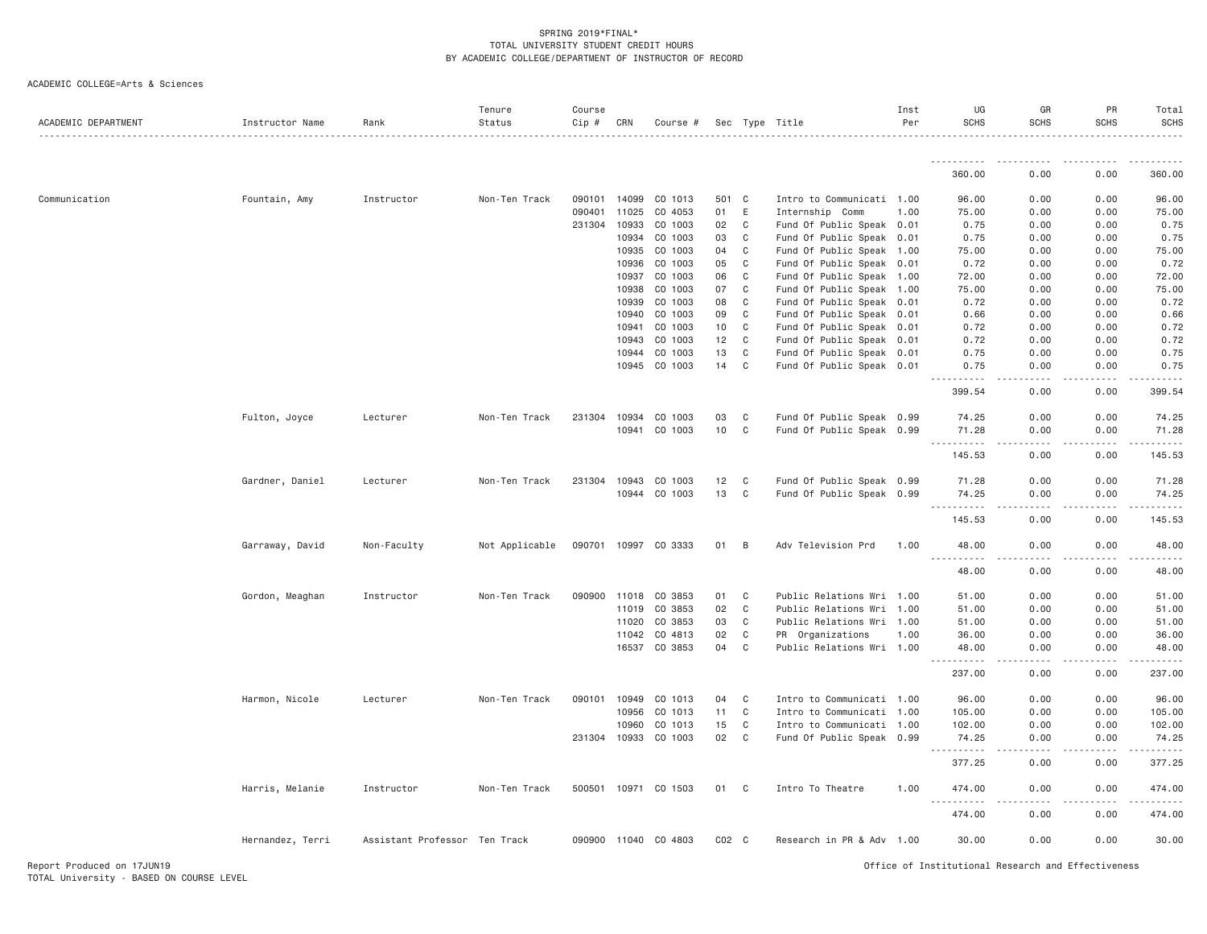| ACADEMIC DEPARTMENT | Instructor Name  | Rank                          | Tenure<br>Status | Course<br>Cip # | CRN   | Course #             |           |              | Sec Type Title            | Inst<br>Per | UG<br><b>SCHS</b>                   | GR<br><b>SCHS</b>              | PR<br><b>SCHS</b>                   | Total<br><b>SCHS</b><br>.                                                   |
|---------------------|------------------|-------------------------------|------------------|-----------------|-------|----------------------|-----------|--------------|---------------------------|-------------|-------------------------------------|--------------------------------|-------------------------------------|-----------------------------------------------------------------------------|
|                     |                  |                               |                  |                 |       |                      |           |              |                           |             | .                                   | . <i>. .</i>                   | .                                   | .                                                                           |
|                     |                  |                               |                  |                 |       |                      |           |              |                           |             | 360.00                              | 0.00                           | 0.00                                | 360.00                                                                      |
| Communication       | Fountain, Amy    | Instructor                    | Non-Ten Track    | 090101          | 14099 | CO 1013              | 501       | C            | Intro to Communicati 1.00 |             | 96.00                               | 0.00                           | 0.00                                | 96.00                                                                       |
|                     |                  |                               |                  | 090401          | 11025 | CO 4053              | 01        | E            | Internship Comm           | 1.00        | 75.00                               | 0.00                           | 0.00                                | 75.00                                                                       |
|                     |                  |                               |                  | 231304          | 10933 | CO 1003              | 02        | C            | Fund Of Public Speak 0.01 |             | 0.75                                | 0.00                           | 0.00                                | 0.75                                                                        |
|                     |                  |                               |                  |                 | 10934 | CO 1003              | 03        | C            | Fund Of Public Speak 0.01 |             | 0.75                                | 0.00                           | 0.00                                | 0.75                                                                        |
|                     |                  |                               |                  |                 | 10935 | CO 1003              | 04        | C            | Fund Of Public Speak 1.00 |             | 75.00                               | 0.00                           | 0.00                                | 75.00                                                                       |
|                     |                  |                               |                  |                 | 10936 | CO 1003              | 05        | C            | Fund Of Public Speak 0.01 |             | 0.72                                | 0.00                           | 0.00                                | 0.72                                                                        |
|                     |                  |                               |                  |                 | 10937 | CO 1003              | 06        | C            | Fund Of Public Speak 1.00 |             | 72.00                               | 0.00                           | 0.00                                | 72.00                                                                       |
|                     |                  |                               |                  |                 | 10938 | CO 1003              | 07        | C            | Fund Of Public Speak 1.00 |             | 75.00                               | 0.00                           | 0.00                                | 75.00                                                                       |
|                     |                  |                               |                  |                 | 10939 | CO 1003              | 08        | C            | Fund Of Public Speak 0.01 |             | 0.72                                | 0.00                           | 0.00                                | 0.72                                                                        |
|                     |                  |                               |                  |                 | 10940 | CO 1003              | 09        | C            | Fund Of Public Speak 0.01 |             | 0.66                                | 0.00                           | 0.00                                | 0.66                                                                        |
|                     |                  |                               |                  |                 | 10941 | CO 1003              | 10        | $\mathsf{C}$ | Fund Of Public Speak 0.01 |             | 0.72                                | 0.00                           | 0.00                                | 0.72                                                                        |
|                     |                  |                               |                  |                 | 10943 | CO 1003              | 12        | $\mathsf{C}$ | Fund Of Public Speak 0.01 |             | 0.72                                | 0.00                           | 0.00                                | 0.72                                                                        |
|                     |                  |                               |                  |                 | 10944 | CO 1003              | 13        | $\mathsf{C}$ | Fund Of Public Speak 0.01 |             | 0.75                                | 0.00                           | 0.00                                | 0.75                                                                        |
|                     |                  |                               |                  |                 | 10945 | CO 1003              | 14        | $\mathsf{C}$ | Fund Of Public Speak 0.01 |             | 0.75<br>.                           | 0.00<br>$  -$                  | 0.00<br>$\sim$ $\sim$ $\sim$ $\sim$ | 0.75<br>.                                                                   |
|                     |                  |                               |                  |                 |       |                      |           |              |                           |             | 399.54                              | 0.00                           | 0.00                                | 399.54                                                                      |
|                     |                  |                               |                  |                 |       |                      |           | C            |                           |             |                                     |                                |                                     |                                                                             |
|                     | Fulton, Joyce    | Lecturer                      | Non-Ten Track    | 231304          | 10934 | CO 1003              | 03        |              | Fund Of Public Speak 0.99 |             | 74.25                               | 0.00                           | 0.00<br>0.00                        | 74.25                                                                       |
|                     |                  |                               |                  |                 | 10941 | CO 1003              | 10        | C            | Fund Of Public Speak 0.99 |             | 71.28<br>.                          | 0.00<br>$\omega$ is a $\omega$ | .                                   | 71.28<br>.                                                                  |
|                     |                  |                               |                  |                 |       |                      |           |              |                           |             | 145.53                              | 0.00                           | 0.00                                | 145.53                                                                      |
|                     | Gardner, Daniel  | Lecturer                      | Non-Ten Track    | 231304          | 10943 | CO 1003              | 12        | C            | Fund Of Public Speak 0.99 |             | 71.28                               | 0.00                           | 0.00                                | 71.28                                                                       |
|                     |                  |                               |                  |                 | 10944 | CO 1003              | 13        | $\mathsf{C}$ | Fund Of Public Speak 0.99 |             | 74.25                               | 0.00                           | 0.00                                | 74.25                                                                       |
|                     |                  |                               |                  |                 |       |                      |           |              |                           |             | .                                   |                                | .                                   | .                                                                           |
|                     |                  |                               |                  |                 |       |                      |           |              |                           |             | 145.53                              | 0.00                           | 0.00                                | 145.53                                                                      |
|                     | Garraway, David  | Non-Faculty                   | Not Applicable   | 090701 10997    |       | CO 3333              | 01        | B            | Adv Television Prd        | 1.00        | 48.00<br>.                          | 0.00                           | 0.00                                | 48.00<br>.                                                                  |
|                     |                  |                               |                  |                 |       |                      |           |              |                           |             | 48.00                               | 0.00                           | 0.00                                | 48.00                                                                       |
|                     | Gordon, Meaghan  | Instructor                    | Non-Ten Track    | 090900          | 11018 | CO 3853              | 01        | C            | Public Relations Wri 1.00 |             | 51.00                               | 0.00                           | 0.00                                | 51.00                                                                       |
|                     |                  |                               |                  |                 | 11019 | CO 3853              | 02        | C            | Public Relations Wri 1.00 |             | 51.00                               | 0.00                           | 0.00                                | 51.00                                                                       |
|                     |                  |                               |                  |                 | 11020 | CO 3853              | 03        | $\mathsf{C}$ | Public Relations Wri 1.00 |             | 51.00                               | 0.00                           | 0.00                                | 51.00                                                                       |
|                     |                  |                               |                  |                 | 11042 | CO 4813              | 02        | C            | PR Organizations          | 1.00        | 36.00                               | 0.00                           | 0.00                                | 36.00                                                                       |
|                     |                  |                               |                  |                 |       | 16537 CO 3853        | 04        | $\mathsf{C}$ | Public Relations Wri 1.00 |             | 48.00<br>.                          | 0.00<br>.                      | 0.00<br>$\frac{1}{2}$               | 48.00<br>.                                                                  |
|                     |                  |                               |                  |                 |       |                      |           |              |                           |             | 237.00                              | 0.00                           | 0.00                                | 237.00                                                                      |
|                     | Harmon, Nicole   | Lecturer                      | Non-Ten Track    | 090101          | 10949 | CO 1013              | 04        | C            | Intro to Communicati 1.00 |             | 96.00                               | 0.00                           | 0.00                                | 96.00                                                                       |
|                     |                  |                               |                  |                 | 10956 | CO 1013              | 11        | $\mathsf{C}$ | Intro to Communicati 1.00 |             | 105.00                              | 0.00                           | 0.00                                | 105.00                                                                      |
|                     |                  |                               |                  |                 | 10960 | CO 1013              | 15        | C            | Intro to Communicati 1.00 |             | 102.00                              | 0.00                           | 0.00                                | 102.00                                                                      |
|                     |                  |                               |                  | 231304 10933    |       | CO 1003              | 02        | $\mathsf{C}$ | Fund Of Public Speak 0.99 |             | 74.25                               | 0.00                           | 0.00                                | 74.25                                                                       |
|                     |                  |                               |                  |                 |       |                      |           |              |                           |             | .<br>377.25                         | 0.00                           | 0.00                                | $\omega_{\alpha}=\omega_{\alpha}=\omega_{\alpha}=\omega_{\alpha}$<br>377.25 |
|                     | Harris, Melanie  | Instructor                    | Non-Ten Track    |                 |       | 500501 10971 CO 1503 | 01        | C            | Intro To Theatre          | 1.00        | 474.00                              | 0.00                           | 0.00                                | 474.00                                                                      |
|                     |                  |                               |                  |                 |       |                      |           |              |                           |             | $\omega \sim \omega$<br>.<br>474.00 | 0.00                           | 0.00                                | 2.2.2.2.2.3<br>474.00                                                       |
|                     | Hernandez, Terri | Assistant Professor Ten Track |                  |                 |       | 090900 11040 CO 4803 | $CO2$ $C$ |              | Research in PR & Adv 1.00 |             | 30.00                               | 0.00                           | 0.00                                | 30.00                                                                       |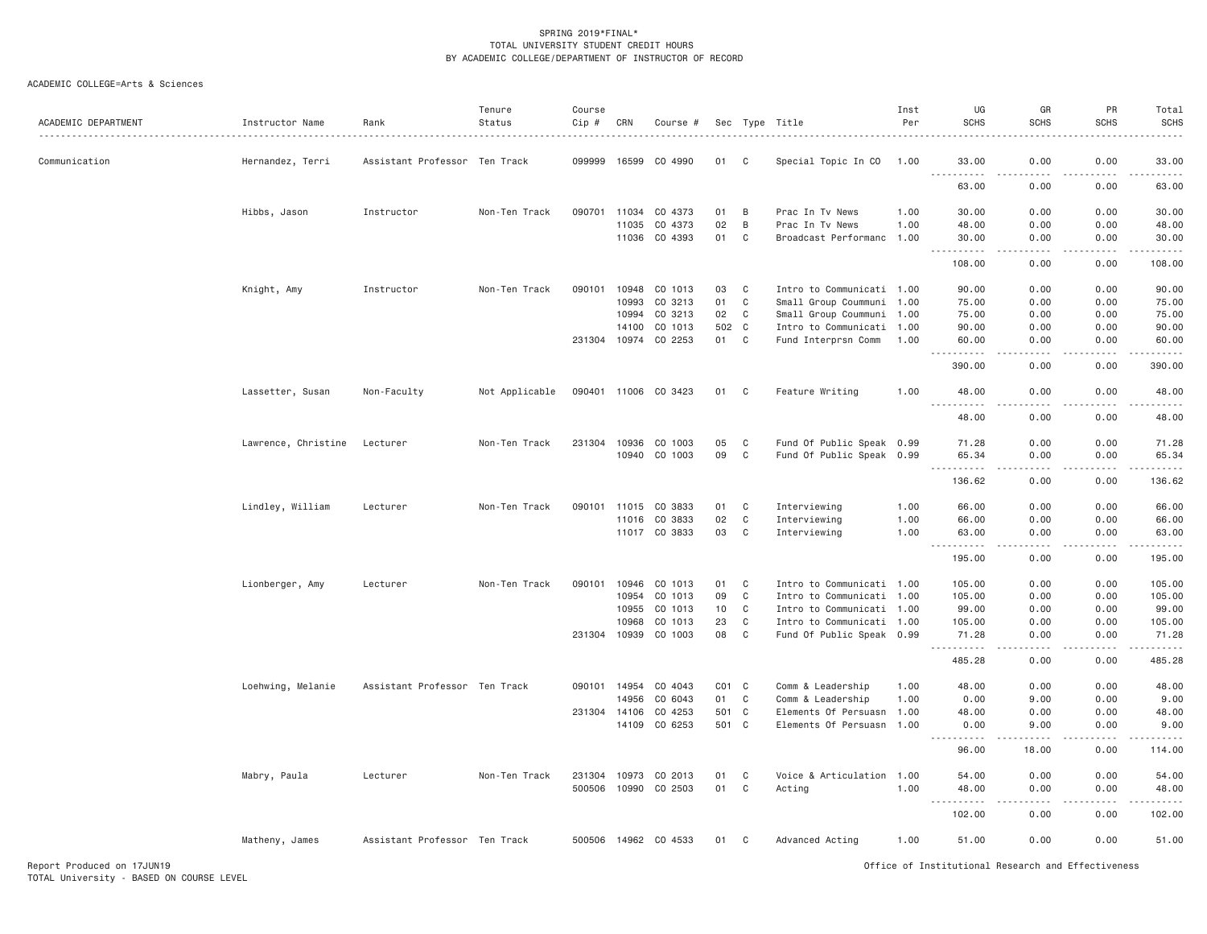| ACADEMIC DEPARTMENT | Instructor Name     | Rank                          | Tenure<br>Status | Course<br>Cip # | CRN   | Course #             |                 |              | Sec Type Title            | Inst<br>Per | UG<br><b>SCHS</b>                                                                                                                                             | GR<br><b>SCHS</b> | PR<br><b>SCHS</b>                   | Total<br><b>SCHS</b>                                                                                                                                          |
|---------------------|---------------------|-------------------------------|------------------|-----------------|-------|----------------------|-----------------|--------------|---------------------------|-------------|---------------------------------------------------------------------------------------------------------------------------------------------------------------|-------------------|-------------------------------------|---------------------------------------------------------------------------------------------------------------------------------------------------------------|
| Communication       | Hernandez, Terri    | Assistant Professor Ten Track |                  | 099999          | 16599 | CO 4990              | 01              | C            | Special Topic In CO       | 1.00        | 33.00<br>$\frac{1}{2} \left( \frac{1}{2} \right) \left( \frac{1}{2} \right) \left( \frac{1}{2} \right) \left( \frac{1}{2} \right) \left( \frac{1}{2} \right)$ | 0.00              | 0.00<br>$\sim$ $\sim$ $\sim$ $\sim$ | 33.00<br>.                                                                                                                                                    |
|                     |                     |                               |                  |                 |       |                      |                 |              |                           |             | 63.00                                                                                                                                                         | 0.00              | 0.00                                | 63.00                                                                                                                                                         |
|                     | Hibbs, Jason        | Instructor                    | Non-Ten Track    | 090701          | 11034 | CO 4373              | 01              | B            | Prac In Tv News           | 1.00        | 30.00                                                                                                                                                         | 0.00              | 0.00                                | 30.00                                                                                                                                                         |
|                     |                     |                               |                  |                 | 11035 | CO 4373              | 02              | B            | Prac In Tv News           | 1.00        | 48.00                                                                                                                                                         | 0.00              | 0.00                                | 48.00                                                                                                                                                         |
|                     |                     |                               |                  |                 | 11036 | CO 4393              | 01              | $\mathbb C$  | Broadcast Performanc 1.00 |             | 30.00<br>.                                                                                                                                                    | 0.00<br>.         | 0.00<br>.                           | 30.00<br>.                                                                                                                                                    |
|                     |                     |                               |                  |                 |       |                      |                 |              |                           |             | 108.00                                                                                                                                                        | 0.00              | 0.00                                | 108.00                                                                                                                                                        |
|                     | Knight, Amy         | Instructor                    | Non-Ten Track    | 090101          | 10948 | CO 1013              | 03              | C            | Intro to Communicati 1.00 |             | 90.00                                                                                                                                                         | 0.00              | 0.00                                | 90.00                                                                                                                                                         |
|                     |                     |                               |                  |                 | 10993 | CO 3213              | 01              | C            | Small Group Coummuni 1.00 |             | 75.00                                                                                                                                                         | 0.00              | 0.00                                | 75.00                                                                                                                                                         |
|                     |                     |                               |                  |                 | 10994 | CO 3213              | 02              | C            | Small Group Coummuni 1.00 |             | 75.00                                                                                                                                                         | 0.00              | 0.00                                | 75.00                                                                                                                                                         |
|                     |                     |                               |                  |                 | 14100 | CO 1013              | 502 C           |              | Intro to Communicati 1.00 |             | 90.00                                                                                                                                                         | 0.00              | 0.00                                | 90.00                                                                                                                                                         |
|                     |                     |                               |                  | 231304 10974    |       | CO 2253              | 01              | C            | Fund Interprsn Comm       | 1.00        | 60.00<br>.                                                                                                                                                    | 0.00<br>.         | 0.00<br>.                           | 60.00<br>.                                                                                                                                                    |
|                     |                     |                               |                  |                 |       |                      |                 |              |                           |             | 390.00                                                                                                                                                        | 0.00              | 0.00                                | 390.00                                                                                                                                                        |
|                     | Lassetter, Susan    | Non-Faculty                   | Not Applicable   | 090401          |       | 11006 CO 3423        | 01              | C            | Feature Writing           | 1.00        | 48.00                                                                                                                                                         | 0.00              | 0.00                                | 48.00<br>$\frac{1}{2} \left( \frac{1}{2} \right) \left( \frac{1}{2} \right) \left( \frac{1}{2} \right) \left( \frac{1}{2} \right) \left( \frac{1}{2} \right)$ |
|                     |                     |                               |                  |                 |       |                      |                 |              |                           |             | 48.00                                                                                                                                                         | 0.00              | 0.00                                | 48.00                                                                                                                                                         |
|                     | Lawrence, Christine | Lecturer                      | Non-Ten Track    | 231304          | 10936 | CO 1003              | 05              | C            | Fund Of Public Speak 0.99 |             | 71.28                                                                                                                                                         | 0.00              | 0.00                                | 71.28                                                                                                                                                         |
|                     |                     |                               |                  |                 | 10940 | CO 1003              | 09              | C            | Fund Of Public Speak 0.99 |             | 65.34                                                                                                                                                         | 0.00              | 0.00                                | 65.34                                                                                                                                                         |
|                     |                     |                               |                  |                 |       |                      |                 |              |                           |             | $- - - - -$<br>136.62                                                                                                                                         | .<br>0.00         | .<br>0.00                           | $- - - - - -$<br>136.62                                                                                                                                       |
|                     |                     |                               |                  |                 |       |                      |                 |              |                           |             |                                                                                                                                                               |                   |                                     |                                                                                                                                                               |
|                     | Lindley, William    | Lecturer                      | Non-Ten Track    | 090101          | 11015 | CO 3833              | 01              | C            | Interviewing              | 1.00        | 66.00                                                                                                                                                         | 0.00              | 0.00                                | 66.00                                                                                                                                                         |
|                     |                     |                               |                  |                 | 11016 | CO 3833              | 02              | $\mathtt{C}$ | Interviewing              | 1.00        | 66.00                                                                                                                                                         | 0.00              | 0.00                                | 66.00                                                                                                                                                         |
|                     |                     |                               |                  |                 |       | 11017 CO 3833        | 03              | C            | Interviewing              | 1.00        | 63.00                                                                                                                                                         | 0.00              | 0.00                                | 63.00<br>.                                                                                                                                                    |
|                     |                     |                               |                  |                 |       |                      |                 |              |                           |             | 195.00                                                                                                                                                        | 0.00              | 0.00                                | 195.00                                                                                                                                                        |
|                     | Lionberger, Amy     | Lecturer                      | Non-Ten Track    | 090101          | 10946 | CO 1013              | 01              | C            | Intro to Communicati 1.00 |             | 105.00                                                                                                                                                        | 0.00              | 0.00                                | 105.00                                                                                                                                                        |
|                     |                     |                               |                  |                 | 10954 | CO 1013              | 09              | $\mathbb C$  | Intro to Communicati 1.00 |             | 105.00                                                                                                                                                        | 0.00              | 0.00                                | 105.00                                                                                                                                                        |
|                     |                     |                               |                  |                 | 10955 | CO 1013              | 10 <sub>1</sub> | C            | Intro to Communicati 1.00 |             | 99.00                                                                                                                                                         | 0.00              | 0.00                                | 99.00                                                                                                                                                         |
|                     |                     |                               |                  |                 | 10968 | CO 1013              | 23              | C            | Intro to Communicati 1.00 |             | 105.00                                                                                                                                                        | 0.00              | 0.00                                | 105.00                                                                                                                                                        |
|                     |                     |                               |                  | 231304          | 10939 | CO 1003              | 08              | $\mathsf{C}$ | Fund Of Public Speak 0.99 |             | 71.28                                                                                                                                                         | 0.00              | 0.00<br>$\sim$ $\sim$ $\sim$        | 71.28                                                                                                                                                         |
|                     |                     |                               |                  |                 |       |                      |                 |              |                           |             | 485.28                                                                                                                                                        | 0.00              | 0.00                                | 485.28                                                                                                                                                        |
|                     | Loehwing, Melanie   | Assistant Professor Ten Track |                  | 090101          | 14954 | CO 4043              | $CO1$ $C$       |              | Comm & Leadership         | 1.00        | 48.00                                                                                                                                                         | 0.00              | 0.00                                | 48.00                                                                                                                                                         |
|                     |                     |                               |                  |                 | 14956 | CO 6043              | 01              | C            | Comm & Leadership         | 1.00        | 0.00                                                                                                                                                          | 9.00              | 0.00                                | 9.00                                                                                                                                                          |
|                     |                     |                               |                  | 231304 14106    |       | CO 4253              | 501             | C            | Elements Of Persuasn 1.00 |             | 48.00                                                                                                                                                         | 0.00              | 0.00                                | 48.00                                                                                                                                                         |
|                     |                     |                               |                  |                 | 14109 | CO 6253              | 501 C           |              | Elements Of Persuasn 1.00 |             | 0.00<br>$- - - - -$                                                                                                                                           | 9.00              | 0.00                                | 9.00<br>.                                                                                                                                                     |
|                     |                     |                               |                  |                 |       |                      |                 |              |                           |             | 96.00                                                                                                                                                         | 18.00             | 0.00                                | 114.00                                                                                                                                                        |
|                     | Mabry, Paula        | Lecturer                      | Non-Ten Track    | 231304 10973    |       | CO 2013              | 01              | C            | Voice & Articulation 1.00 |             | 54.00                                                                                                                                                         | 0.00              | 0.00                                | 54.00                                                                                                                                                         |
|                     |                     |                               |                  |                 |       | 500506 10990 CO 2503 | 01              | C            | Acting                    | 1.00        | 48.00                                                                                                                                                         | 0.00              | 0.00                                | 48.00                                                                                                                                                         |
|                     |                     |                               |                  |                 |       |                      |                 |              |                           |             | .                                                                                                                                                             | د د د د           | .                                   | .                                                                                                                                                             |
|                     |                     |                               |                  |                 |       |                      |                 |              |                           |             | 102.00                                                                                                                                                        | 0.00              | 0.00                                | 102.00                                                                                                                                                        |
|                     | Matheny, James      | Assistant Professor Ten Track |                  |                 |       | 500506 14962 CO 4533 | 01              | C            | Advanced Acting           | 1.00        | 51.00                                                                                                                                                         | 0.00              | 0.00                                | 51.00                                                                                                                                                         |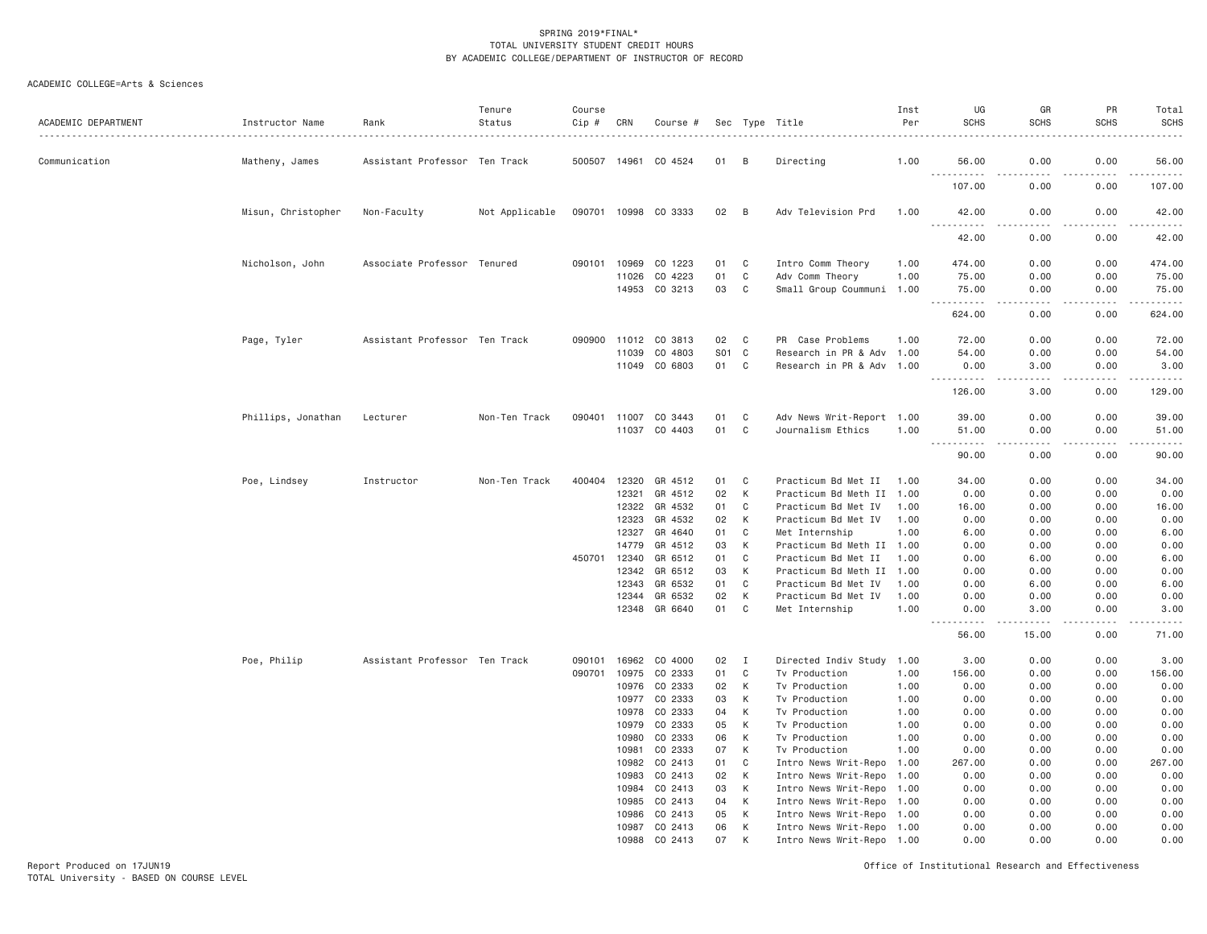| ACADEMIC DEPARTMENT | Instructor Name    | Rank                          | Tenure<br>Status | Course<br>Cip # | CRN          | Course #                 |          |              | Sec Type Title                                         | Inst<br>Per | UG<br><b>SCHS</b>                                                                                             | GR<br><b>SCHS</b>                                                                                                                                            | PR<br><b>SCHS</b>   | Total<br><b>SCHS</b><br>.      |
|---------------------|--------------------|-------------------------------|------------------|-----------------|--------------|--------------------------|----------|--------------|--------------------------------------------------------|-------------|---------------------------------------------------------------------------------------------------------------|--------------------------------------------------------------------------------------------------------------------------------------------------------------|---------------------|--------------------------------|
| Communication       | Matheny, James     | Assistant Professor Ten Track |                  |                 |              | 500507 14961 CO 4524     | 01       | B            | Directing                                              | 1.00        | 56.00                                                                                                         | 0.00                                                                                                                                                         | 0.00                | 56.00                          |
|                     |                    |                               |                  |                 |              |                          |          |              |                                                        |             | .<br>107.00                                                                                                   | .<br>0.00                                                                                                                                                    | 0.00                | $\omega$ is a set of<br>107.00 |
|                     | Misun, Christopher | Non-Faculty                   | Not Applicable   |                 |              | 090701 10998 CO 3333     | 02       | B            | Adv Television Prd                                     | 1.00        | 42.00<br>$- - -$<br>.                                                                                         | 0.00<br>.                                                                                                                                                    | 0.00<br>.           | 42.00<br>.                     |
|                     |                    |                               |                  |                 |              |                          |          |              |                                                        |             | 42.00                                                                                                         | 0.00                                                                                                                                                         | 0.00                | 42.00                          |
|                     | Nicholson, John    | Associate Professor Tenured   |                  |                 | 090101 10969 | CO 1223                  | 01       | C            | Intro Comm Theory                                      | 1.00        | 474.00                                                                                                        | 0.00                                                                                                                                                         | 0.00                | 474.00                         |
|                     |                    |                               |                  |                 | 11026        | CO 4223                  | 01       | C            | Adv Comm Theory                                        | 1.00        | 75.00                                                                                                         | 0.00                                                                                                                                                         | 0.00                | 75.00                          |
|                     |                    |                               |                  |                 |              | 14953 CO 3213            | 03       | C            | Small Group Coummuni 1.00                              |             | 75.00                                                                                                         | 0.00                                                                                                                                                         | 0.00                | 75.00                          |
|                     |                    |                               |                  |                 |              |                          |          |              |                                                        |             | .<br>$\frac{1}{2} \left( \frac{1}{2} \right) \left( \frac{1}{2} \right) \left( \frac{1}{2} \right)$<br>624.00 | <u>.</u><br>0.00                                                                                                                                             | $- - - - -$<br>0.00 | 624.00                         |
|                     | Page, Tyler        | Assistant Professor Ten Track |                  |                 |              | 090900 11012 CO 3813     | 02       | C            | PR Case Problems                                       | 1.00        | 72.00                                                                                                         | 0.00                                                                                                                                                         | 0.00                | 72.00                          |
|                     |                    |                               |                  |                 | 11039        | CO 4803                  | S01      | $\mathbf{C}$ | Research in PR & Adv 1.00                              |             | 54,00                                                                                                         | 0.00                                                                                                                                                         | 0.00                | 54.00                          |
|                     |                    |                               |                  |                 |              | 11049 CO 6803            | 01       | C            | Research in PR & Adv 1.00                              |             | 0.00<br><u>.</u>                                                                                              | 3.00<br>.                                                                                                                                                    | 0.00<br>.           | 3.00                           |
|                     |                    |                               |                  |                 |              |                          |          |              |                                                        |             | 126.00                                                                                                        | 3.00                                                                                                                                                         | 0.00                | 129.00                         |
|                     | Phillips, Jonathan | Lecturer                      | Non-Ten Track    | 090401          | 11007        | CO 3443                  | 01       | C            | Adv News Writ-Report 1.00                              |             | 39.00                                                                                                         | 0.00                                                                                                                                                         | 0.00                | 39.00                          |
|                     |                    |                               |                  |                 |              | 11037 CO 4403            | 01       | C            | Journalism Ethics                                      | 1.00        | 51.00                                                                                                         | 0.00                                                                                                                                                         | 0.00                | 51.00                          |
|                     |                    |                               |                  |                 |              |                          |          |              |                                                        |             | .<br>90.00                                                                                                    | $\frac{1}{2} \left( \frac{1}{2} \right) \left( \frac{1}{2} \right) \left( \frac{1}{2} \right) \left( \frac{1}{2} \right) \left( \frac{1}{2} \right)$<br>0.00 | .<br>0.00           | .<br>90.00                     |
|                     | Poe, Lindsey       | Instructor                    | Non-Ten Track    | 400404          | 12320        | GR 4512                  | 01       | C            | Practicum Bd Met II                                    | 1.00        | 34.00                                                                                                         | 0.00                                                                                                                                                         | 0.00                | 34.00                          |
|                     |                    |                               |                  |                 | 12321        | GR 4512                  | 02       | K            | Practicum Bd Meth II 1.00                              |             | 0.00                                                                                                          | 0.00                                                                                                                                                         | 0.00                | 0.00                           |
|                     |                    |                               |                  |                 | 12322        | GR 4532                  | 01       | C            | Practicum Bd Met IV                                    | 1.00        | 16.00                                                                                                         | 0.00                                                                                                                                                         | 0.00                | 16.00                          |
|                     |                    |                               |                  |                 | 12323        | GR 4532                  | 02       | K            | Practicum Bd Met IV                                    | 1.00        | 0.00                                                                                                          | 0.00                                                                                                                                                         | 0.00                | 0.00                           |
|                     |                    |                               |                  |                 | 12327        | GR 4640                  | 01       | $\mathbf{C}$ | Met Internship                                         | 1.00        | 6.00                                                                                                          | 0.00                                                                                                                                                         | 0.00                | 6.00                           |
|                     |                    |                               |                  |                 | 14779        | GR 4512                  | 03       | К            | Practicum Bd Meth II 1.00                              |             | 0.00                                                                                                          | 0.00                                                                                                                                                         | 0.00                | 0.00                           |
|                     |                    |                               |                  | 450701          | 12340        | GR 6512                  | 01       | C            | Practicum Bd Met II                                    | 1.00        | 0.00                                                                                                          | 6.00                                                                                                                                                         | 0.00                | 6.00                           |
|                     |                    |                               |                  |                 | 12342        | GR 6512                  | 03       | К            | Practicum Bd Meth II 1.00                              |             | 0.00                                                                                                          | 0.00                                                                                                                                                         | 0.00                | 0.00                           |
|                     |                    |                               |                  |                 | 12343        | GR 6532                  | 01       | C            | Practicum Bd Met IV                                    | 1.00        | 0.00                                                                                                          | 6.00                                                                                                                                                         | 0.00                | 6.00                           |
|                     |                    |                               |                  |                 | 12344        | GR 6532                  | 02       | K            | Practicum Bd Met IV                                    | 1.00        | 0.00                                                                                                          | 0.00                                                                                                                                                         | 0.00                | 0.00                           |
|                     |                    |                               |                  |                 |              | 12348 GR 6640            | 01       | C            | Met Internship                                         | 1.00        | 0.00<br>.                                                                                                     | 3.00<br>-----                                                                                                                                                | 0.00<br>.           | 3.00<br>.                      |
|                     |                    |                               |                  |                 |              |                          |          |              |                                                        |             | 56.00                                                                                                         | 15.00                                                                                                                                                        | 0.00                | 71.00                          |
|                     | Poe, Philip        | Assistant Professor Ten Track |                  | 090101          | 16962        | CO 4000                  | 02       | I            | Directed Indiv Study                                   | 1.00        | 3.00                                                                                                          | 0.00                                                                                                                                                         | 0.00                | 3.00                           |
|                     |                    |                               |                  | 090701          | 10975        | CO 2333                  | 01       | C            | Tv Production                                          | 1.00        | 156.00                                                                                                        | 0.00                                                                                                                                                         | 0.00                | 156.00                         |
|                     |                    |                               |                  |                 | 10976        | CO 2333                  | 02       | K            | Tv Production                                          | 1.00        | 0.00                                                                                                          | 0.00                                                                                                                                                         | 0.00                | 0.00                           |
|                     |                    |                               |                  |                 | 10977        | CO 2333                  | 03       | K            | Tv Production                                          | 1.00        | 0.00                                                                                                          | 0.00                                                                                                                                                         | 0.00                | 0.00                           |
|                     |                    |                               |                  |                 | 10978        | CO 2333                  | 04       | K            | Tv Production                                          | 1.00        | 0.00                                                                                                          | 0.00                                                                                                                                                         | 0.00                | 0.00                           |
|                     |                    |                               |                  |                 | 10979        | CO 2333                  | 05       | К            | Tv Production                                          | 1.00        | 0.00                                                                                                          | 0.00                                                                                                                                                         | 0.00                | 0.00                           |
|                     |                    |                               |                  |                 | 10980        | CO 2333                  | 06       | К            | Tv Production                                          | 1.00        | 0.00                                                                                                          | 0.00                                                                                                                                                         | 0.00                | 0.00                           |
|                     |                    |                               |                  |                 | 10981        | CO 2333                  | 07       | К            | Tv Production                                          | 1.00        | 0.00                                                                                                          | 0.00                                                                                                                                                         | 0.00                | 0.00                           |
|                     |                    |                               |                  |                 | 10982        | CO 2413                  | 01       | C            | Intro News Writ-Repo 1.00                              |             | 267.00                                                                                                        | 0.00                                                                                                                                                         | 0.00                | 267.00                         |
|                     |                    |                               |                  |                 | 10983        | CO 2413                  | 02       | K            | Intro News Writ-Repo 1.00                              |             | 0.00                                                                                                          | 0.00                                                                                                                                                         | 0.00                | 0.00                           |
|                     |                    |                               |                  |                 | 10984        | CO 2413                  | 03       | K            | Intro News Writ-Repo 1.00                              |             | 0.00                                                                                                          | 0.00                                                                                                                                                         | 0.00                | 0.00                           |
|                     |                    |                               |                  |                 |              | 10985 CO 2413            | 04       | K            | Intro News Writ-Repo 1.00                              |             | 0.00                                                                                                          | 0.00                                                                                                                                                         | 0.00                | 0.00                           |
|                     |                    |                               |                  |                 | 10986        | CO 2413                  | 05       | К            | Intro News Writ-Repo 1.00                              |             | 0.00                                                                                                          | 0.00                                                                                                                                                         | 0.00                | 0.00                           |
|                     |                    |                               |                  |                 | 10988        | 10987 CO 2413<br>CO 2413 | 06<br>07 | К<br>K       | Intro News Writ-Repo 1.00<br>Intro News Writ-Repo 1.00 |             | 0.00<br>0.00                                                                                                  | 0.00<br>0.00                                                                                                                                                 | 0.00<br>0.00        | 0.00<br>0.00                   |
|                     |                    |                               |                  |                 |              |                          |          |              |                                                        |             |                                                                                                               |                                                                                                                                                              |                     |                                |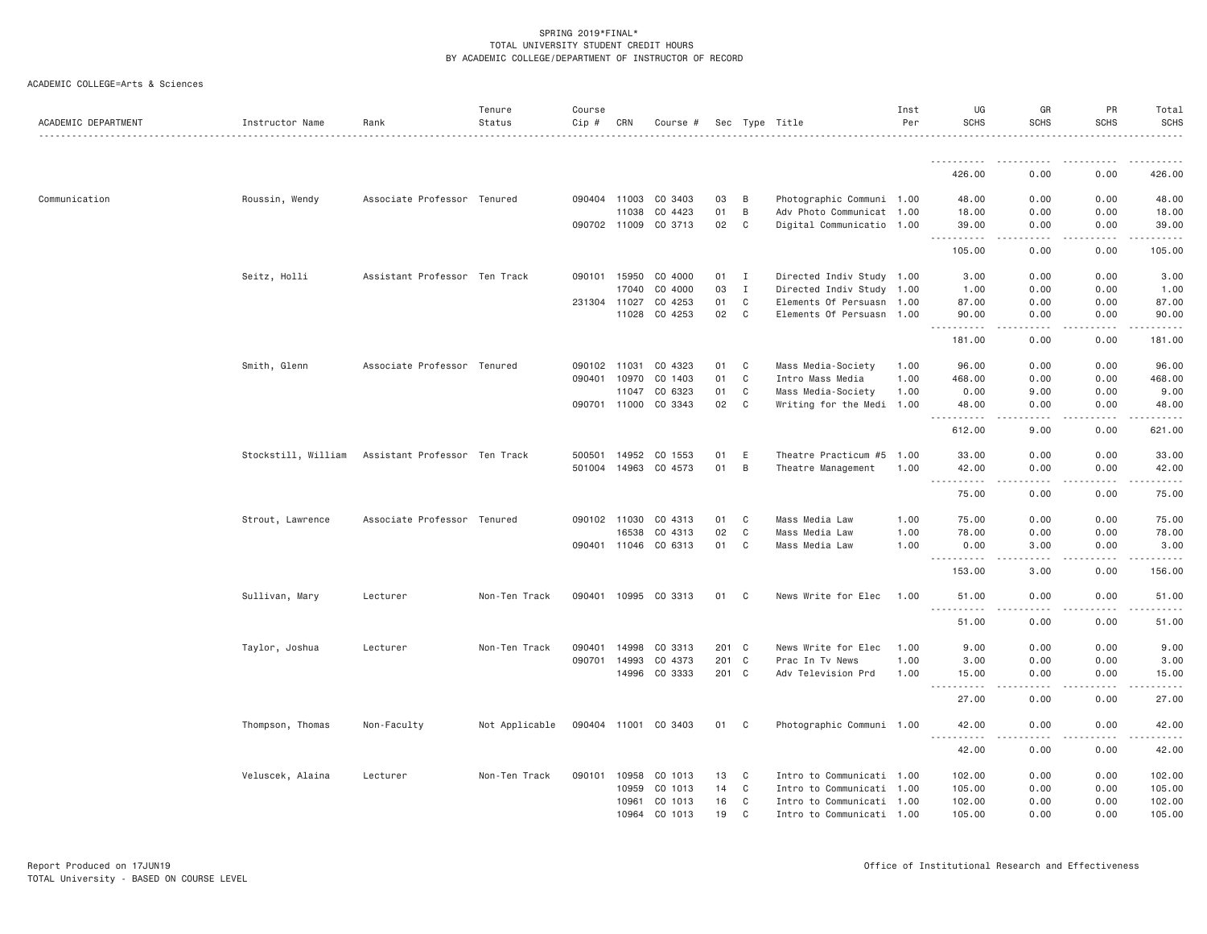| ACADEMIC DEPARTMENT | Instructor Name     | Rank                          | Tenure<br>Status | Course<br>Cip # | CRN          | Course #             |       |              | Sec Type Title            | Inst<br>Per | UG<br><b>SCHS</b>                                                                   | GR<br><b>SCHS</b>    | PR<br><b>SCHS</b>   | Total<br><b>SCHS</b> |
|---------------------|---------------------|-------------------------------|------------------|-----------------|--------------|----------------------|-------|--------------|---------------------------|-------------|-------------------------------------------------------------------------------------|----------------------|---------------------|----------------------|
|                     |                     |                               |                  |                 |              |                      |       |              |                           |             |                                                                                     |                      |                     |                      |
|                     |                     |                               |                  |                 |              |                      |       |              |                           |             | 426.00                                                                              | 0.00                 | 0.00                | 426.00               |
| Communication       | Roussin, Wendy      | Associate Professor Tenured   |                  |                 | 090404 11003 | CO 3403              | 03    | B            | Photographic Communi 1.00 |             | 48.00                                                                               | 0.00                 | 0.00                | 48.00                |
|                     |                     |                               |                  |                 | 11038        | CO 4423              | 01    | B            | Adv Photo Communicat 1.00 |             | 18.00                                                                               | 0.00                 | 0.00                | 18.00                |
|                     |                     |                               |                  |                 |              | 090702 11009 CO 3713 | 02    | C            | Digital Communicatio 1.00 |             | 39.00<br>.                                                                          | 0.00<br>.            | 0.00<br>.           | 39.00<br>.           |
|                     |                     |                               |                  |                 |              |                      |       |              |                           |             | 105.00                                                                              | 0.00                 | 0.00                | 105.00               |
|                     | Seitz, Holli        | Assistant Professor Ten Track |                  |                 | 090101 15950 | CO 4000              | 01 I  |              | Directed Indiv Study 1.00 |             | 3.00                                                                                | 0.00                 | 0.00                | 3.00                 |
|                     |                     |                               |                  |                 | 17040        | CO 4000              | 03    | $\mathbf{I}$ | Directed Indiv Study 1.00 |             | 1.00                                                                                | 0.00                 | 0.00                | 1.00                 |
|                     |                     |                               |                  |                 | 231304 11027 | CO 4253              | 01    | C            | Elements Of Persuasn 1.00 |             | 87.00                                                                               | 0.00                 | 0.00                | 87.00                |
|                     |                     |                               |                  |                 |              | 11028 CO 4253        | 02    | C            | Elements Of Persuasn 1.00 |             | 90.00<br>.                                                                          | 0.00<br>.            | 0.00<br>$- - - - -$ | 90.00<br>.           |
|                     |                     |                               |                  |                 |              |                      |       |              |                           |             | 181.00                                                                              | 0.00                 | 0.00                | 181.00               |
|                     | Smith, Glenn        | Associate Professor Tenured   |                  | 090102 11031    |              | CO 4323              | 01    | C            | Mass Media-Society        | 1.00        | 96.00                                                                               | 0.00                 | 0.00                | 96.00                |
|                     |                     |                               |                  |                 | 090401 10970 | CO 1403              | 01    | C            | Intro Mass Media          | 1.00        | 468.00                                                                              | 0.00                 | 0.00                | 468.00               |
|                     |                     |                               |                  |                 | 11047        | CO 6323              | 01    | C            | Mass Media-Society        | 1.00        | 0.00                                                                                | 9.00                 | 0.00                | 9.00                 |
|                     |                     |                               |                  |                 | 090701 11000 | CO 3343              | 02    | C            | Writing for the Medi 1.00 |             | 48.00<br><b></b>                                                                    | 0.00<br>.            | 0.00<br>.           | 48.00<br>.           |
|                     |                     |                               |                  |                 |              |                      |       |              |                           |             | 612.00                                                                              | 9.00                 | 0.00                | 621.00               |
|                     | Stockstill, William | Assistant Professor Ten Track |                  |                 | 500501 14952 | CO 1553              | 01    | E            | Theatre Practicum #5      | 1.00        | 33.00                                                                               | 0.00                 | 0.00                | 33.00                |
|                     |                     |                               |                  |                 |              | 501004 14963 CO 4573 | 01    | B            | Theatre Management        | 1.00        | 42.00<br>.<br>$\sim$ $\sim$ $\sim$                                                  | 0.00<br>.            | 0.00                | 42.00                |
|                     |                     |                               |                  |                 |              |                      |       |              |                           |             | 75.00                                                                               | 0.00                 | 0.00                | 75.00                |
|                     | Strout, Lawrence    | Associate Professor Tenured   |                  |                 | 090102 11030 | CO 4313              | 01    | C            | Mass Media Law            | 1.00        | 75.00                                                                               | 0.00                 | 0.00                | 75.00                |
|                     |                     |                               |                  |                 | 16538        | CO 4313              | 02    | C            | Mass Media Law            | 1.00        | 78.00                                                                               | 0.00                 | 0.00                | 78.00                |
|                     |                     |                               |                  |                 |              | 090401 11046 CO 6313 | 01    | C            | Mass Media Law            | 1.00        | 0.00<br>$\frac{1}{2} \frac{1}{2} \frac{1}{2} \frac{1}{2} \frac{1}{2}$<br>. <u>.</u> | 3.00<br>. <b>.</b> . | 0.00<br><u>.</u>    | 3.00<br>.            |
|                     |                     |                               |                  |                 |              |                      |       |              |                           |             | 153.00                                                                              | 3.00                 | 0.00                | 156.00               |
|                     | Sullivan, Mary      | Lecturer                      | Non-Ten Track    |                 |              | 090401 10995 CO 3313 | 01    | C            | News Write for Elec       | 1.00        | 51.00<br><u>.</u>                                                                   | 0.00<br>.            | 0.00<br>.           | 51.00<br>.           |
|                     |                     |                               |                  |                 |              |                      |       |              |                           |             | 51.00                                                                               | 0.00                 | 0.00                | 51.00                |
|                     | Taylor, Joshua      | Lecturer                      | Non-Ten Track    | 090401          | 14998        | CO 3313              | 201 C |              | News Write for Elec       | 1.00        | 9.00                                                                                | 0.00                 | 0.00                | 9.00                 |
|                     |                     |                               |                  |                 | 090701 14993 | CO 4373              | 201 C |              | Prac In Tv News           | 1.00        | 3.00                                                                                | 0.00                 | 0.00                | 3.00                 |
|                     |                     |                               |                  |                 | 14996        | CO 3333              | 201 C |              | Adv Television Prd        | 1.00        | 15.00<br>.                                                                          | 0.00<br>.            | 0.00<br>.           | 15.00<br>.           |
|                     |                     |                               |                  |                 |              |                      |       |              |                           |             | 27.00                                                                               | 0.00                 | 0.00                | 27.00                |
|                     | Thompson, Thomas    | Non-Faculty                   | Not Applicable   |                 |              | 090404 11001 CO 3403 | 01 C  |              | Photographic Communi 1.00 |             | 42.00<br><u>.</u>                                                                   | 0.00                 | 0.00                | 42.00                |
|                     |                     |                               |                  |                 |              |                      |       |              |                           |             | 42.00                                                                               | 0.00                 | 0.00                | 42.00                |
|                     | Veluscek, Alaina    | Lecturer                      | Non-Ten Track    |                 | 090101 10958 | CO 1013              | 13    | C            | Intro to Communicati 1.00 |             | 102.00                                                                              | 0.00                 | 0.00                | 102.00               |
|                     |                     |                               |                  |                 | 10959        | CO 1013              | 14    | C            | Intro to Communicati 1.00 |             | 105.00                                                                              | 0.00                 | 0.00                | 105.00               |
|                     |                     |                               |                  |                 | 10961        | CO 1013              | 16    | C            | Intro to Communicati 1.00 |             | 102.00                                                                              | 0.00                 | 0.00                | 102.00               |
|                     |                     |                               |                  |                 | 10964        | CO 1013              | 19    | C            | Intro to Communicati 1.00 |             | 105.00                                                                              | 0.00                 | 0.00                | 105.00               |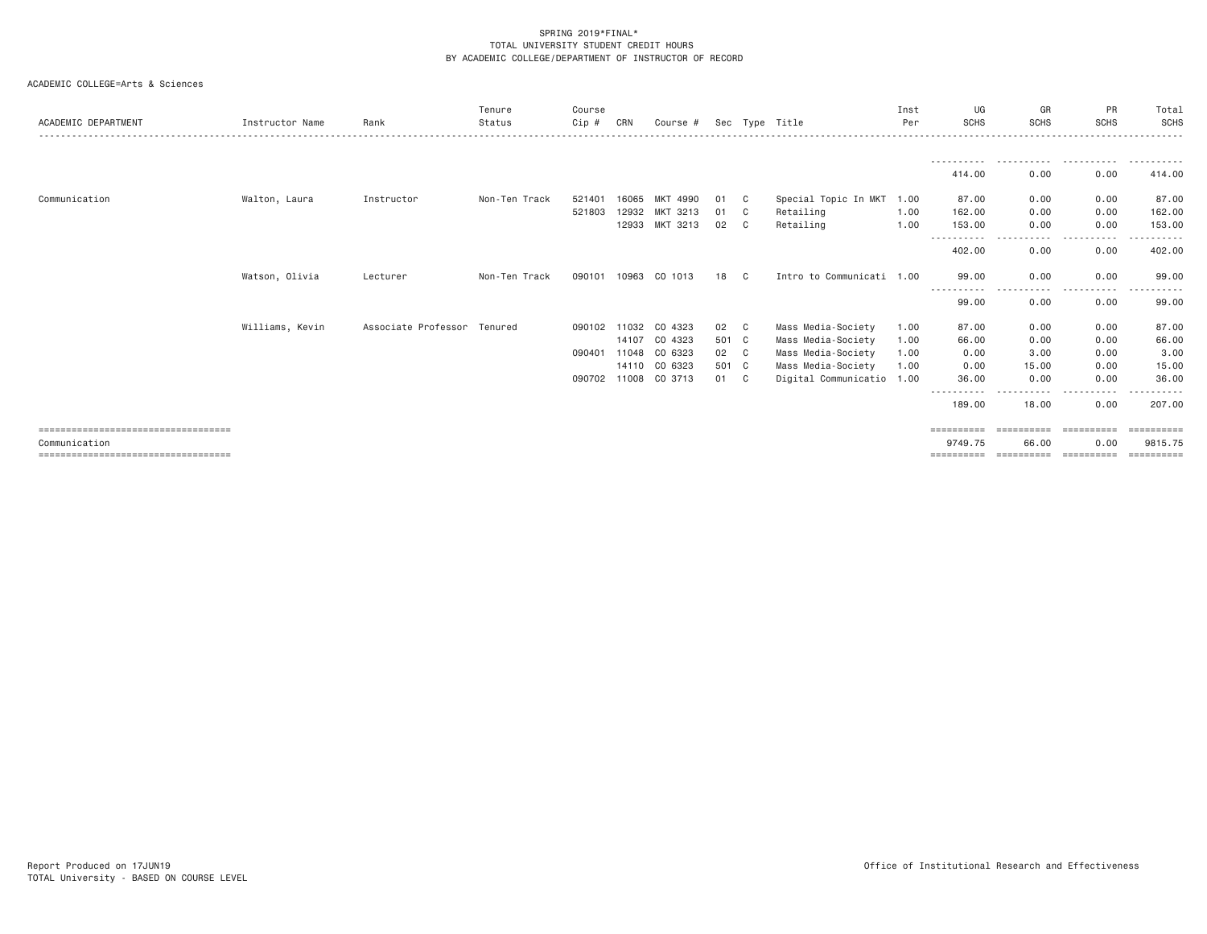| ACADEMIC DEPARTMENT                   | Instructor Name | Rank                        | Tenure<br>Status | Course<br>Cip # | CRN   | Course #       |       |    | Sec Type Title            | Inst<br>Per | UG<br><b>SCHS</b>     | GR<br><b>SCHS</b> | PR<br><b>SCHS</b>                                                                                                                 | Total<br>SCHS |
|---------------------------------------|-----------------|-----------------------------|------------------|-----------------|-------|----------------|-------|----|---------------------------|-------------|-----------------------|-------------------|-----------------------------------------------------------------------------------------------------------------------------------|---------------|
|                                       |                 |                             |                  |                 |       |                |       |    |                           |             |                       |                   | .                                                                                                                                 |               |
|                                       |                 |                             |                  |                 |       |                |       |    |                           |             | 414,00                | 0.00              | 0.00                                                                                                                              | 414.00        |
| Communication                         | Walton, Laura   | Instructor                  | Non-Ten Track    | 521401          | 16065 | MKT 4990       | 01    | C. | Special Topic In MKT      | 1.00        | 87.00                 | 0.00              | 0.00                                                                                                                              | 87.00         |
|                                       |                 |                             |                  | 521803          | 12932 | MKT 3213       | 01    | C  | Retailing                 | 1.00        | 162.00                | 0.00              | 0.00                                                                                                                              | 162.00        |
|                                       |                 |                             |                  |                 |       | 12933 MKT 3213 | 02    | C  | Retailing                 | 1.00        | 153.00                | 0.00              | 0.00<br>.                                                                                                                         | 153.00<br>.   |
|                                       |                 |                             |                  |                 |       |                |       |    |                           |             | 402.00                | ----<br>0.00      | 0.00                                                                                                                              | 402.00        |
|                                       | Watson, Olivia  | Lecturer                    | Non-Ten Track    | 090101          | 10963 | CO 1013        | 18    | C  | Intro to Communicati 1.00 |             | 99.00<br>-----------  | 0.00<br>.         | 0.00<br>.<br>$- - -$                                                                                                              | 99.00         |
|                                       |                 |                             |                  |                 |       |                |       |    |                           |             | 99.00                 | 0.00              | 0.00                                                                                                                              | 99.00         |
|                                       | Williams, Kevin | Associate Professor Tenured |                  | 090102 11032    |       | CO 4323        | 02    | C  | Mass Media-Society        | 1.00        | 87.00                 | 0.00              | 0.00                                                                                                                              | 87.00         |
|                                       |                 |                             |                  |                 | 14107 | CO 4323        | 501 C |    | Mass Media-Society        | 1.00        | 66.00                 | 0.00              | 0.00                                                                                                                              | 66.00         |
|                                       |                 |                             |                  | 090401          | 11048 | CO 6323        | 02    | C  | Mass Media-Society        | 1.00        | 0.00                  | 3.00              | 0.00                                                                                                                              | 3.00          |
|                                       |                 |                             |                  |                 |       | 14110 CO 6323  | 501 C |    | Mass Media-Society        | 1.00        | 0.00                  | 15.00             | 0.00                                                                                                                              | 15.00         |
|                                       |                 |                             |                  | 090702 11008    |       | CO 3713        | 01    | C. | Digital Communicatio 1.00 |             | 36.00                 | 0.00              | 0.00<br>$\frac{1}{2} \left( \frac{1}{2} \right) \left( \frac{1}{2} \right) \left( \frac{1}{2} \right) \left( \frac{1}{2} \right)$ | 36,00         |
|                                       |                 |                             |                  |                 |       |                |       |    |                           |             | -----------<br>189.00 | 18.00             | 0.00                                                                                                                              | 207.00        |
| ====================================  |                 |                             |                  |                 |       |                |       |    |                           |             | ==========            | ==========        | -----------                                                                                                                       | ==========    |
| Communication                         |                 |                             |                  |                 |       |                |       |    |                           |             | 9749.75               | 66.00             | 0.00                                                                                                                              | 9815.75       |
| ===================================== |                 |                             |                  |                 |       |                |       |    |                           |             | ==========            | ==========        | ==========                                                                                                                        | ==========    |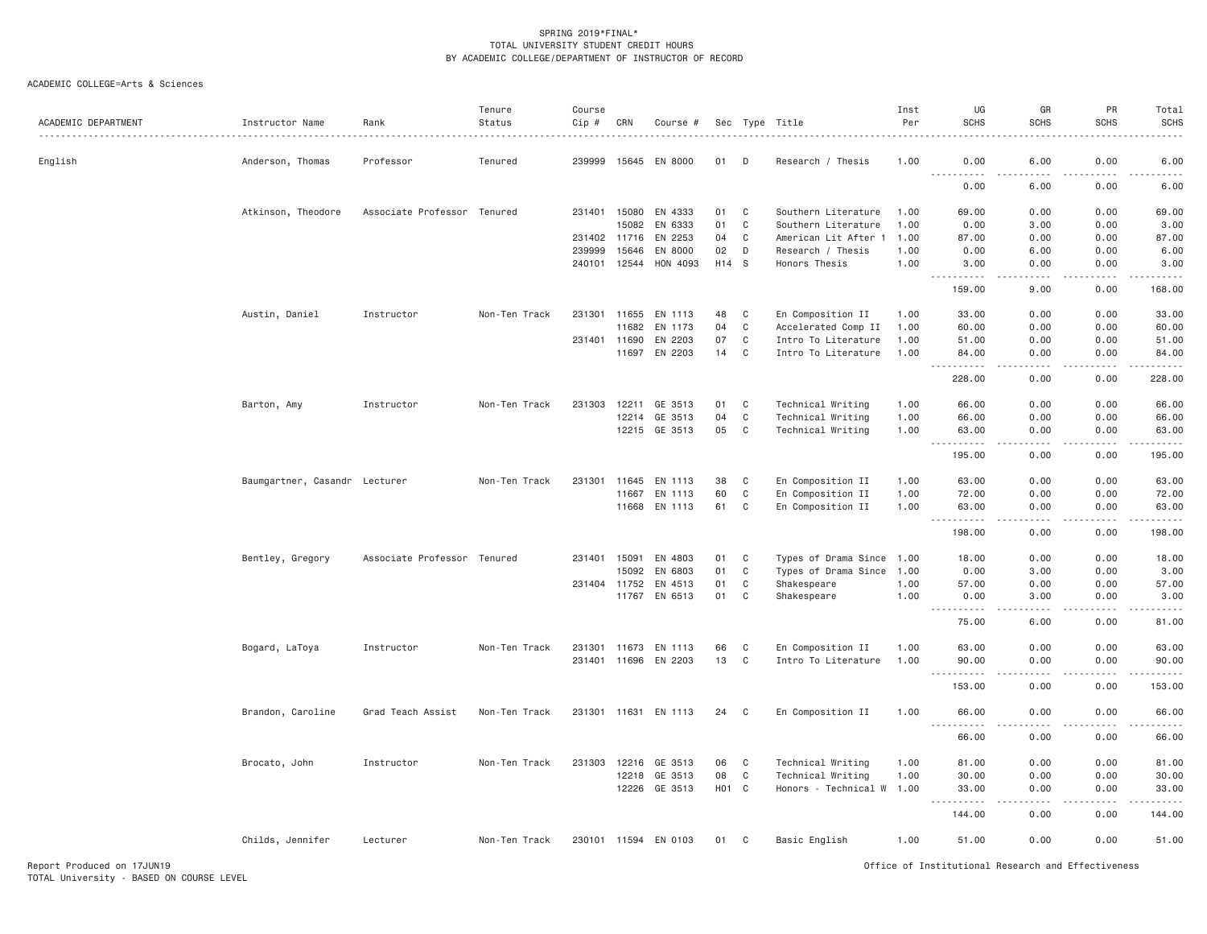## ACADEMIC COLLEGE=Arts & Sciences

| ACADEMIC DEPARTMENT | Instructor Name               | Rank                        | Tenure<br>Status | Course<br>Cip # | CRN   | Course #             |       |                | Sec Type Title            | Inst<br>Per | UG<br><b>SCHS</b>                                                                                                                                                                                                                                                                                                                                                                                                                                                                                                                                            | GR<br><b>SCHS</b>                                                                                                                 | PR<br><b>SCHS</b> | Total<br><b>SCHS</b> |
|---------------------|-------------------------------|-----------------------------|------------------|-----------------|-------|----------------------|-------|----------------|---------------------------|-------------|--------------------------------------------------------------------------------------------------------------------------------------------------------------------------------------------------------------------------------------------------------------------------------------------------------------------------------------------------------------------------------------------------------------------------------------------------------------------------------------------------------------------------------------------------------------|-----------------------------------------------------------------------------------------------------------------------------------|-------------------|----------------------|
| English             | Anderson, Thomas              | Professor                   | Tenured          | 239999          | 15645 | EN 8000              | 01    | D              | Research / Thesis         | 1.00        | 0.00                                                                                                                                                                                                                                                                                                                                                                                                                                                                                                                                                         | 6.00                                                                                                                              | 0.00              | 6.00                 |
|                     |                               |                             |                  |                 |       |                      |       |                |                           |             | $\frac{1}{2} \left( \frac{1}{2} \right) \left( \frac{1}{2} \right) \left( \frac{1}{2} \right) \left( \frac{1}{2} \right) \left( \frac{1}{2} \right)$<br>$\frac{1}{2} \frac{1}{2} \frac{1}{2} \frac{1}{2} \frac{1}{2} \frac{1}{2} \frac{1}{2} \frac{1}{2} \frac{1}{2} \frac{1}{2} \frac{1}{2} \frac{1}{2} \frac{1}{2} \frac{1}{2} \frac{1}{2} \frac{1}{2} \frac{1}{2} \frac{1}{2} \frac{1}{2} \frac{1}{2} \frac{1}{2} \frac{1}{2} \frac{1}{2} \frac{1}{2} \frac{1}{2} \frac{1}{2} \frac{1}{2} \frac{1}{2} \frac{1}{2} \frac{1}{2} \frac{1}{2} \frac{$<br>0.00 | $\frac{1}{2} \left( \frac{1}{2} \right) \left( \frac{1}{2} \right) \left( \frac{1}{2} \right) \left( \frac{1}{2} \right)$<br>6.00 | 0.00              | .<br>6.00            |
|                     | Atkinson, Theodore            | Associate Professor Tenured |                  | 231401          | 15080 | EN 4333              | 01    | $\mathbb C$    | Southern Literature       | 1.00        | 69,00                                                                                                                                                                                                                                                                                                                                                                                                                                                                                                                                                        | 0.00                                                                                                                              | 0.00              | 69.00                |
|                     |                               |                             |                  |                 | 15082 | EN 6333              | 01    | $\mathbb C$    | Southern Literature       | 1.00        | 0.00                                                                                                                                                                                                                                                                                                                                                                                                                                                                                                                                                         | 3.00                                                                                                                              | 0.00              | 3.00                 |
|                     |                               |                             |                  | 231402 11716    |       | EN 2253              | 04    | $\mathbb C$    | American Lit After        | 1.00        | 87.00                                                                                                                                                                                                                                                                                                                                                                                                                                                                                                                                                        | 0.00                                                                                                                              | 0.00              | 87.00                |
|                     |                               |                             |                  | 239999          | 15646 | EN 8000              | 02    | D              | Research / Thesis         | 1.00        | 0.00                                                                                                                                                                                                                                                                                                                                                                                                                                                                                                                                                         | 6.00                                                                                                                              | 0.00              | 6.00                 |
|                     |                               |                             |                  | 240101          | 12544 | HON 4093             | H14 S |                | Honors Thesis             | 1.00        | 3.00                                                                                                                                                                                                                                                                                                                                                                                                                                                                                                                                                         | 0.00                                                                                                                              | 0.00              | 3.00                 |
|                     |                               |                             |                  |                 |       |                      |       |                |                           |             | 159.00                                                                                                                                                                                                                                                                                                                                                                                                                                                                                                                                                       | 9.00                                                                                                                              | 0.00              | 168.00               |
|                     | Austin, Daniel                | Instructor                  | Non-Ten Track    | 231301 11655    |       | EN 1113              | 48    | C              | En Composition II         | 1.00        | 33.00                                                                                                                                                                                                                                                                                                                                                                                                                                                                                                                                                        | 0.00                                                                                                                              | 0.00              | 33.00                |
|                     |                               |                             |                  |                 | 11682 | EN 1173              | 04    | $\mathbf C$    | Accelerated Comp II       | 1.00        | 60.00                                                                                                                                                                                                                                                                                                                                                                                                                                                                                                                                                        | 0.00                                                                                                                              | 0.00              | 60.00                |
|                     |                               |                             |                  | 231401 11690    |       | EN 2203              | 07    | $\mathbb C$    | Intro To Literature       | 1.00        | 51.00                                                                                                                                                                                                                                                                                                                                                                                                                                                                                                                                                        | 0.00                                                                                                                              | 0.00              | 51.00                |
|                     |                               |                             |                  |                 |       | 11697 EN 2203        | 14    | $\mathbf C$    | Intro To Literature       | 1.00        | 84.00<br>-----<br>$- - -$                                                                                                                                                                                                                                                                                                                                                                                                                                                                                                                                    | 0.00<br>$- - - -$                                                                                                                 | 0.00<br>.         | 84.00<br>.           |
|                     |                               |                             |                  |                 |       |                      |       |                |                           |             | 228.00                                                                                                                                                                                                                                                                                                                                                                                                                                                                                                                                                       | 0.00                                                                                                                              | 0.00              | 228.00               |
|                     | Barton, Amy                   | Instructor                  | Non-Ten Track    | 231303          | 12211 | GE 3513              | 01    | C              | Technical Writing         | 1.00        | 66.00                                                                                                                                                                                                                                                                                                                                                                                                                                                                                                                                                        | 0.00                                                                                                                              | 0.00              | 66.00                |
|                     |                               |                             |                  |                 | 12214 | GE 3513              | 04    | $\mathbb C$    | Technical Writing         | 1.00        | 66.00                                                                                                                                                                                                                                                                                                                                                                                                                                                                                                                                                        | 0.00                                                                                                                              | 0.00              | 66.00                |
|                     |                               |                             |                  |                 |       | 12215 GE 3513        | 05    | C              | Technical Writing         | 1.00        | 63.00                                                                                                                                                                                                                                                                                                                                                                                                                                                                                                                                                        | 0.00                                                                                                                              | 0.00              | 63.00                |
|                     |                               |                             |                  |                 |       |                      |       |                |                           |             | $\frac{1}{2} \left( \frac{1}{2} \right) \left( \frac{1}{2} \right) \left( \frac{1}{2} \right) \left( \frac{1}{2} \right) \left( \frac{1}{2} \right)$<br>195.00                                                                                                                                                                                                                                                                                                                                                                                               | $- - -$<br>0.00                                                                                                                   | .<br>0.00         | .<br>195.00          |
|                     | Baumgartner, Casandr Lecturer |                             | Non-Ten Track    | 231301          | 11645 | EN 1113              | 38    | C              | En Composition II         | 1.00        | 63.00                                                                                                                                                                                                                                                                                                                                                                                                                                                                                                                                                        | 0.00                                                                                                                              | 0.00              | 63.00                |
|                     |                               |                             |                  |                 | 11667 | EN 1113              | 60    | $\mathbb C$    | En Composition II         | 1.00        | 72.00                                                                                                                                                                                                                                                                                                                                                                                                                                                                                                                                                        | 0.00                                                                                                                              | 0.00              | 72.00                |
|                     |                               |                             |                  |                 | 11668 | EN 1113              | 61    | $\mathbb C$    | En Composition II         | 1.00        | 63.00                                                                                                                                                                                                                                                                                                                                                                                                                                                                                                                                                        | 0.00                                                                                                                              | 0.00              | 63.00                |
|                     |                               |                             |                  |                 |       |                      |       |                |                           |             | $\sim 100$<br>.<br>198.00                                                                                                                                                                                                                                                                                                                                                                                                                                                                                                                                    | $\sim$ $\sim$ $\sim$ $\sim$                                                                                                       | .                 | .<br>198.00          |
|                     |                               |                             |                  |                 |       |                      |       |                |                           |             |                                                                                                                                                                                                                                                                                                                                                                                                                                                                                                                                                              | 0.00                                                                                                                              | 0.00              |                      |
|                     | Bentley, Gregory              | Associate Professor Tenured |                  | 231401 15091    |       | EN 4803              | 01    | C              | Types of Drama Since 1.00 |             | 18.00                                                                                                                                                                                                                                                                                                                                                                                                                                                                                                                                                        | 0.00                                                                                                                              | 0.00              | 18.00                |
|                     |                               |                             |                  |                 | 15092 | EN 6803              | 01    | C              | Types of Drama Since      | 1.00        | 0.00                                                                                                                                                                                                                                                                                                                                                                                                                                                                                                                                                         | 3.00                                                                                                                              | 0.00              | 3.00                 |
|                     |                               |                             |                  | 231404          | 11752 | EN 4513              | 01    | $\mathbb C$    | Shakespeare               | 1.00        | 57.00                                                                                                                                                                                                                                                                                                                                                                                                                                                                                                                                                        | 0.00                                                                                                                              | 0.00              | 57.00                |
|                     |                               |                             |                  |                 |       | 11767 EN 6513        | 01    | $\mathbf c$    | Shakespeare               | 1.00        | 0.00<br><b></b>                                                                                                                                                                                                                                                                                                                                                                                                                                                                                                                                              | 3.00<br>.                                                                                                                         | 0.00<br>.         | 3.00<br>.            |
|                     |                               |                             |                  |                 |       |                      |       |                |                           |             | 75.00                                                                                                                                                                                                                                                                                                                                                                                                                                                                                                                                                        | 6.00                                                                                                                              | 0.00              | 81.00                |
|                     | Bogard, LaToya                | Instructor                  | Non-Ten Track    | 231301          | 11673 | EN 1113              | 66    | C              | En Composition II         | 1.00        | 63.00                                                                                                                                                                                                                                                                                                                                                                                                                                                                                                                                                        | 0.00                                                                                                                              | 0.00              | 63.00                |
|                     |                               |                             |                  | 231401 11696    |       | EN 2203              | 13    | $\mathbf C$    | Intro To Literature       | 1.00        | 90.00                                                                                                                                                                                                                                                                                                                                                                                                                                                                                                                                                        | 0.00                                                                                                                              | 0.00              | 90.00                |
|                     |                               |                             |                  |                 |       |                      |       |                |                           |             | .                                                                                                                                                                                                                                                                                                                                                                                                                                                                                                                                                            | $\frac{1}{2}$                                                                                                                     | .                 | .                    |
|                     |                               |                             |                  |                 |       |                      |       |                |                           |             | 153.00                                                                                                                                                                                                                                                                                                                                                                                                                                                                                                                                                       | 0.00                                                                                                                              | 0.00              | 153.00               |
|                     | Brandon, Caroline             | Grad Teach Assist           | Non-Ten Track    |                 |       | 231301 11631 EN 1113 | 24    | C              | En Composition II         | 1.00        | 66.00<br>$- - - - -$                                                                                                                                                                                                                                                                                                                                                                                                                                                                                                                                         | 0.00<br>$\frac{1}{2}$                                                                                                             | 0.00<br>.         | 66.00<br>.           |
|                     |                               |                             |                  |                 |       |                      |       |                |                           |             | 66.00                                                                                                                                                                                                                                                                                                                                                                                                                                                                                                                                                        | 0.00                                                                                                                              | 0.00              | 66.00                |
|                     | Brocato, John                 | Instructor                  | Non-Ten Track    | 231303          | 12216 | GE 3513              | 06    | $\mathbf c$    | Technical Writing         | 1.00        | 81.00                                                                                                                                                                                                                                                                                                                                                                                                                                                                                                                                                        | 0.00                                                                                                                              | 0.00              | 81.00                |
|                     |                               |                             |                  |                 | 12218 | GE 3513              | 08    | $\mathbb C$    | Technical Writing         | 1.00        | 30.00                                                                                                                                                                                                                                                                                                                                                                                                                                                                                                                                                        | 0.00                                                                                                                              | 0.00              | 30.00                |
|                     |                               |                             |                  |                 | 12226 | GE 3513              | HO1 C |                | Honors - Technical W 1.00 |             | 33.00                                                                                                                                                                                                                                                                                                                                                                                                                                                                                                                                                        | 0.00                                                                                                                              | 0.00              | 33.00                |
|                     |                               |                             |                  |                 |       |                      |       |                |                           |             | 144.00                                                                                                                                                                                                                                                                                                                                                                                                                                                                                                                                                       | - - - -<br>0.00                                                                                                                   | $- - - -$<br>0.00 | .<br>144.00          |
|                     | Childs, Jennifer              | Lecturer                    | Non-Ten Track    |                 |       | 230101 11594 EN 0103 | 01    | C <sub>c</sub> | Basic English             | 1.00        | 51.00                                                                                                                                                                                                                                                                                                                                                                                                                                                                                                                                                        | 0.00                                                                                                                              | 0.00              | 51.00                |

Report Produced on 17JUN19 Office of Institutional Research and Effectiveness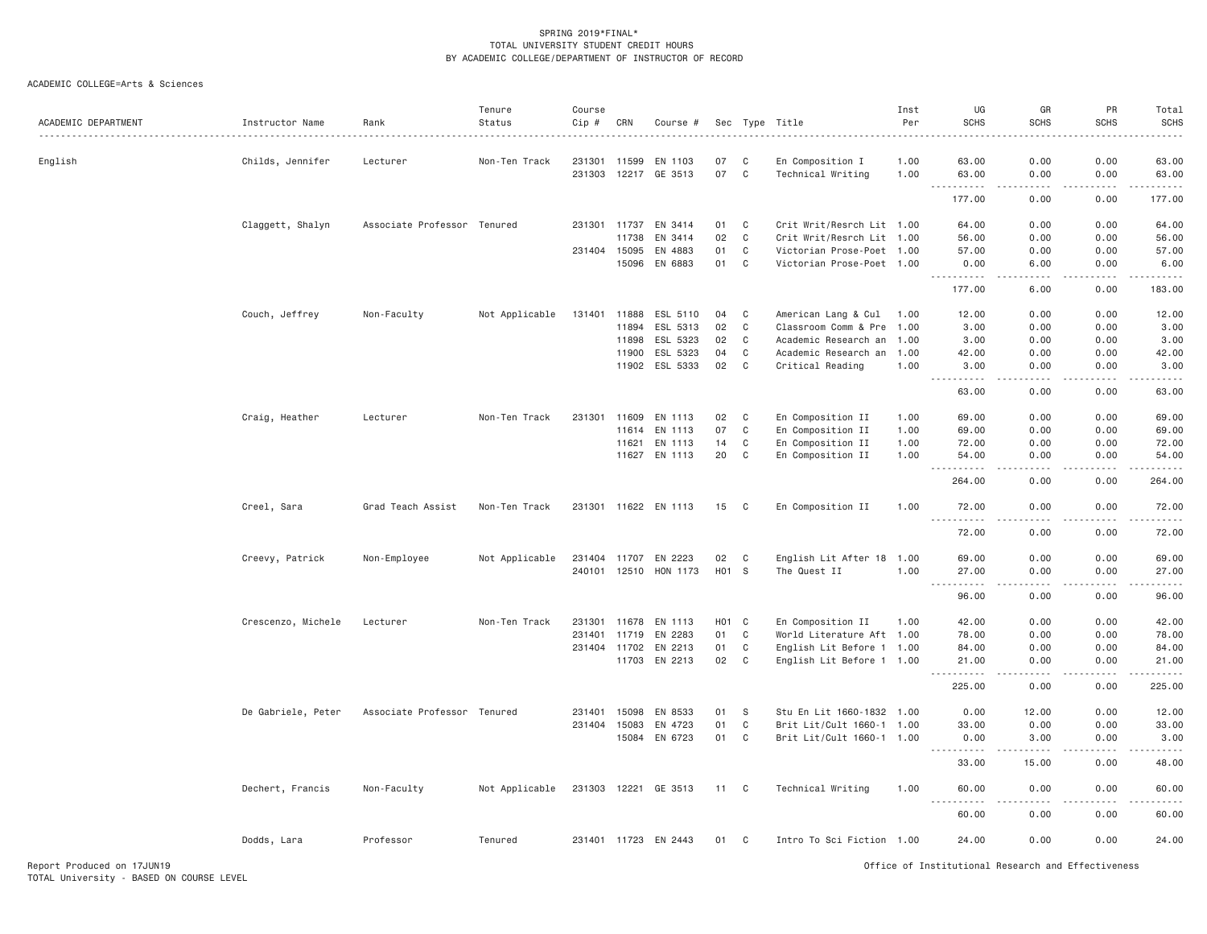| ACADEMIC DEPARTMENT | Instructor Name    | Rank                        | Tenure<br>Status | Course<br>Cip # | CRN          | Course #              |       |              | Sec Type Title            | Inst<br>Per | UG<br><b>SCHS</b>                                                                                                                                             | GR<br><b>SCHS</b>    | PR<br><b>SCHS</b> | Total<br><b>SCHS</b><br>$\frac{1}{2} \left( \frac{1}{2} \right) \left( \frac{1}{2} \right) \left( \frac{1}{2} \right) \left( \frac{1}{2} \right) \left( \frac{1}{2} \right)$ |
|---------------------|--------------------|-----------------------------|------------------|-----------------|--------------|-----------------------|-------|--------------|---------------------------|-------------|---------------------------------------------------------------------------------------------------------------------------------------------------------------|----------------------|-------------------|------------------------------------------------------------------------------------------------------------------------------------------------------------------------------|
| English             | Childs, Jennifer   | Lecturer                    | Non-Ten Track    | 231301 11599    |              | EN 1103               | 07    | C            | En Composition I          | 1.00        | 63.00                                                                                                                                                         | 0.00                 | 0.00              | 63.00                                                                                                                                                                        |
|                     |                    |                             |                  | 231303          |              | 12217 GE 3513         | 07 C  |              | Technical Writing         | 1.00        | 63.00<br>$\begin{array}{cccccccccc} \bullet & \bullet & \bullet & \bullet & \bullet & \bullet & \bullet & \bullet & \bullet \end{array}$<br>$- - -$           | 0.00<br>-----        | 0.00<br>.         | 63.00<br>.                                                                                                                                                                   |
|                     |                    |                             |                  |                 |              |                       |       |              |                           |             | 177.00                                                                                                                                                        | 0.00                 | 0.00              | 177.00                                                                                                                                                                       |
|                     | Claggett, Shalyn   | Associate Professor Tenured |                  |                 | 231301 11737 | EN 3414               | 01    | C            | Crit Writ/Resrch Lit 1.00 |             | 64.00                                                                                                                                                         | 0.00                 | 0.00              | 64.00                                                                                                                                                                        |
|                     |                    |                             |                  |                 | 11738        | EN 3414               | 02    | $\mathbf C$  | Crit Writ/Resrch Lit 1.00 |             | 56.00                                                                                                                                                         | 0.00                 | 0.00              | 56.00                                                                                                                                                                        |
|                     |                    |                             |                  | 231404 15095    |              | EN 4883               | 01    | C            | Victorian Prose-Poet 1.00 |             | 57.00                                                                                                                                                         | 0.00                 | 0.00              | 57.00                                                                                                                                                                        |
|                     |                    |                             |                  |                 | 15096        | EN 6883               | 01    | C            | Victorian Prose-Poet 1.00 |             | 0.00<br>.                                                                                                                                                     | 6.00<br>.            | 0.00              | 6.00<br><u>.</u>                                                                                                                                                             |
|                     |                    |                             |                  |                 |              |                       |       |              |                           |             | 177.00                                                                                                                                                        | 6.00                 | 0.00              | 183.00                                                                                                                                                                       |
|                     | Couch, Jeffrey     | Non-Faculty                 | Not Applicable   |                 |              | 131401 11888 ESL 5110 | 04    | C            | American Lang & Cul 1.00  |             | 12.00                                                                                                                                                         | 0.00                 | 0.00              | 12.00                                                                                                                                                                        |
|                     |                    |                             |                  |                 |              | 11894 ESL 5313        | 02    | $\mathbf C$  | Classroom Comm & Pre 1.00 |             | 3.00                                                                                                                                                          | 0.00                 | 0.00              | 3.00                                                                                                                                                                         |
|                     |                    |                             |                  |                 | 11898        | ESL 5323              | 02    | C            | Academic Research an      | 1.00        | 3.00                                                                                                                                                          | 0.00                 | 0.00              | 3.00                                                                                                                                                                         |
|                     |                    |                             |                  |                 | 11900        | ESL 5323              | 04    | C            | Academic Research an      | 1.00        | 42.00                                                                                                                                                         | 0.00                 | 0.00              | 42.00                                                                                                                                                                        |
|                     |                    |                             |                  |                 |              | 11902 ESL 5333        | 02    | $\mathbf C$  | Critical Reading          | 1.00        | 3.00<br>$\sim$ $\sim$ $\sim$<br>$- - - - - -$                                                                                                                 | 0.00<br>$   -$       | 0.00<br>.         | 3.00<br>$\frac{1}{2}$                                                                                                                                                        |
|                     |                    |                             |                  |                 |              |                       |       |              |                           |             | 63.00                                                                                                                                                         | 0.00                 | 0.00              | 63.00                                                                                                                                                                        |
|                     | Craig, Heather     | Lecturer                    | Non-Ten Track    | 231301 11609    |              | EN 1113               | 02    | C            | En Composition II         | 1.00        | 69.00                                                                                                                                                         | 0.00                 | 0.00              | 69.00                                                                                                                                                                        |
|                     |                    |                             |                  |                 | 11614        | EN 1113               | 07    | $\mathbf{C}$ | En Composition II         | 1.00        | 69,00                                                                                                                                                         | 0.00                 | 0.00              | 69.00                                                                                                                                                                        |
|                     |                    |                             |                  |                 | 11621        | EN 1113               | 14    | $\mathbf{C}$ | En Composition II         | 1.00        | 72.00                                                                                                                                                         | 0.00                 | 0.00              | 72.00                                                                                                                                                                        |
|                     |                    |                             |                  |                 |              | 11627 EN 1113         | 20    | $\mathbf{C}$ | En Composition II         | 1.00        | 54.00                                                                                                                                                         | 0.00                 | 0.00              | 54.00                                                                                                                                                                        |
|                     |                    |                             |                  |                 |              |                       |       |              |                           |             | .                                                                                                                                                             | .                    | .                 | .                                                                                                                                                                            |
|                     |                    |                             |                  |                 |              |                       |       |              |                           |             | 264.00                                                                                                                                                        | 0.00                 | 0.00              | 264.00                                                                                                                                                                       |
|                     | Creel, Sara        | Grad Teach Assist           | Non-Ten Track    |                 |              | 231301 11622 EN 1113  | 15    | C            | En Composition II         | 1.00        | 72.00<br>$ -$<br>.                                                                                                                                            | 0.00<br>----         | 0.00              | 72.00<br>$\frac{1}{2}$                                                                                                                                                       |
|                     |                    |                             |                  |                 |              |                       |       |              |                           |             | 72.00                                                                                                                                                         | 0.00                 | 0.00              | 72.00                                                                                                                                                                        |
|                     | Creevy, Patrick    | Non-Employee                | Not Applicable   |                 |              | 231404 11707 EN 2223  | 02    | C            | English Lit After 18 1.00 |             | 69.00                                                                                                                                                         | 0.00                 | 0.00              | 69.00                                                                                                                                                                        |
|                     |                    |                             |                  |                 | 240101 12510 | HON 1173              | H01 S |              | The Quest II              | 1.00        | 27.00                                                                                                                                                         | 0.00                 | 0.00              | 27.00                                                                                                                                                                        |
|                     |                    |                             |                  |                 |              |                       |       |              |                           |             | .<br>$\sim$ $\sim$ $\sim$                                                                                                                                     | د د د د              | .                 | .                                                                                                                                                                            |
|                     |                    |                             |                  |                 |              |                       |       |              |                           |             | 96.00                                                                                                                                                         | 0.00                 | 0.00              | 96.00                                                                                                                                                                        |
|                     | Crescenzo, Michele | Lecturer                    | Non-Ten Track    | 231301 11678    |              | EN 1113               | HO1 C |              | En Composition II         | 1.00        | 42.00                                                                                                                                                         | 0.00                 | 0.00              | 42.00                                                                                                                                                                        |
|                     |                    |                             |                  | 231401 11719    |              | EN 2283               | 01    | C            | World Literature Aft 1.00 |             | 78.00                                                                                                                                                         | 0.00                 | 0.00              | 78.00                                                                                                                                                                        |
|                     |                    |                             |                  | 231404 11702    |              | EN 2213               | 01    | C            | English Lit Before 1 1.00 |             | 84.00                                                                                                                                                         | 0.00                 | 0.00              | 84.00                                                                                                                                                                        |
|                     |                    |                             |                  |                 |              | 11703 EN 2213         | 02    | $\mathsf{C}$ | English Lit Before 1 1.00 |             | 21.00<br>.                                                                                                                                                    | 0.00<br>.            | 0.00<br>.         | 21.00<br>.                                                                                                                                                                   |
|                     |                    |                             |                  |                 |              |                       |       |              |                           |             | 225.00                                                                                                                                                        | 0.00                 | 0.00              | 225.00                                                                                                                                                                       |
|                     | De Gabriele, Peter | Associate Professor Tenured |                  | 231401          | 15098        | EN 8533               | 01    | S            | Stu En Lit 1660-1832 1.00 |             | 0.00                                                                                                                                                          | 12.00                | 0.00              | 12.00                                                                                                                                                                        |
|                     |                    |                             |                  | 231404 15083    |              | EN 4723               | 01    | C            | Brit Lit/Cult 1660-1 1.00 |             | 33.00                                                                                                                                                         | 0.00                 | 0.00              | 33.00                                                                                                                                                                        |
|                     |                    |                             |                  |                 |              | 15084 EN 6723         | 01    | C            | Brit Lit/Cult 1660-1 1.00 |             | 0.00                                                                                                                                                          | 3.00                 | 0.00              | 3.00                                                                                                                                                                         |
|                     |                    |                             |                  |                 |              |                       |       |              |                           |             | $\frac{1}{2} \left( \frac{1}{2} \right) \left( \frac{1}{2} \right) \left( \frac{1}{2} \right) \left( \frac{1}{2} \right) \left( \frac{1}{2} \right)$<br>33.00 | 15.00                | 0.00              | .<br>48.00                                                                                                                                                                   |
|                     | Dechert, Francis   | Non-Faculty                 | Not Applicable   |                 |              | 231303 12221 GE 3513  | 11 C  |              | Technical Writing         | 1.00        | 60.00                                                                                                                                                         | 0.00                 | 0.00              | 60.00                                                                                                                                                                        |
|                     |                    |                             |                  |                 |              |                       |       |              |                           |             | $- - -$<br>.<br>60.00                                                                                                                                         | . <u>. .</u><br>0.00 | .<br>0.00         | .<br>60.00                                                                                                                                                                   |
|                     | Dodds, Lara        | Professor                   | Tenured          |                 |              | 231401 11723 EN 2443  | 01    | $\mathbf{C}$ | Intro To Sci Fiction 1.00 |             | 24.00                                                                                                                                                         | 0.00                 | 0.00              | 24.00                                                                                                                                                                        |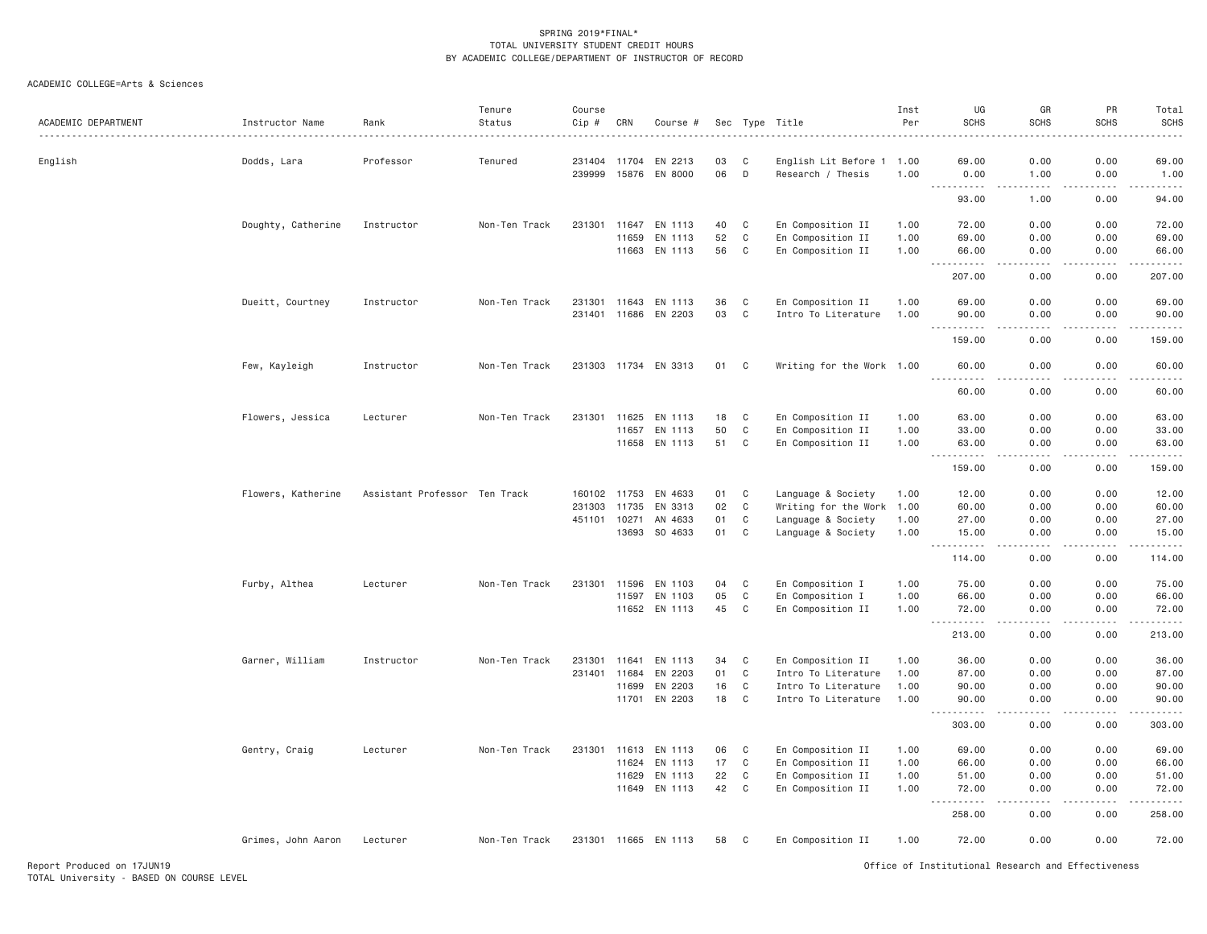| ACADEMIC DEPARTMENT | Instructor Name<br>. | Rank                          | Tenure<br>Status | Course<br>Cip # | CRN   | Course #             |    |              | Sec Type Title            | Inst<br>Per | UG<br><b>SCHS</b>                        | GR<br><b>SCHS</b>                           | PR<br><b>SCHS</b> | Total<br><b>SCHS</b> |
|---------------------|----------------------|-------------------------------|------------------|-----------------|-------|----------------------|----|--------------|---------------------------|-------------|------------------------------------------|---------------------------------------------|-------------------|----------------------|
| English             | Dodds, Lara          | Professor                     | Tenured          | 231404 11704    |       | EN 2213              | 03 | C            | English Lit Before 1 1.00 |             | 69.00                                    | 0.00                                        | 0.00              | 69.00                |
|                     |                      |                               |                  | 239999          |       | 15876 EN 8000        | 06 | D            | Research / Thesis         | 1.00        | 0.00<br>$ -$<br>.                        | 1.00<br>$- - - - -$                         | 0.00<br>.         | 1.00<br>.            |
|                     |                      |                               |                  |                 |       |                      |    |              |                           |             | 93.00                                    | 1.00                                        | 0.00              | 94.00                |
|                     | Doughty, Catherine   | Instructor                    | Non-Ten Track    | 231301 11647    |       | EN 1113              | 40 | C            | En Composition II         | 1.00        | 72.00                                    | 0.00                                        | 0.00              | 72.00                |
|                     |                      |                               |                  |                 | 11659 | EN 1113              | 52 | $\mathbf C$  | En Composition II         | 1.00        | 69.00                                    | 0.00                                        | 0.00              | 69.00                |
|                     |                      |                               |                  |                 |       | 11663 EN 1113        | 56 | C            | En Composition II         | 1.00        | 66.00<br>$\sim$ $\sim$ .<br>.            | 0.00<br>$\omega$ $\omega$ $\omega$ $\omega$ | 0.00<br>.         | 66.00<br>.           |
|                     |                      |                               |                  |                 |       |                      |    |              |                           |             | 207.00                                   | 0.00                                        | 0.00              | 207.00               |
|                     | Dueitt, Courtney     | Instructor                    | Non-Ten Track    |                 |       | 231301 11643 EN 1113 | 36 | C            | En Composition II         | 1.00        | 69.00                                    | 0.00                                        | 0.00              | 69.00                |
|                     |                      |                               |                  |                 |       | 231401 11686 EN 2203 | 03 | $\mathbf C$  | Intro To Literature       | 1.00        | 90.00<br><b><i><u>.</u></i></b><br>$  -$ | 0.00<br>.                                   | 0.00<br>.         | 90.00<br>.           |
|                     |                      |                               |                  |                 |       |                      |    |              |                           |             | 159.00                                   | 0.00                                        | 0.00              | 159.00               |
|                     | Few, Kayleigh        | Instructor                    | Non-Ten Track    |                 |       | 231303 11734 EN 3313 | 01 | $\mathbf{C}$ | Writing for the Work 1.00 |             | 60.00<br>$\sim$ $\sim$ .<br>.            | 0.00<br>$\frac{1}{2}$                       | 0.00<br>.         | 60.00<br>.           |
|                     |                      |                               |                  |                 |       |                      |    |              |                           |             | 60.00                                    | 0.00                                        | 0.00              | 60.00                |
|                     | Flowers, Jessica     | Lecturer                      | Non-Ten Track    | 231301 11625    |       | EN 1113              | 18 | C            | En Composition II         | 1.00        | 63.00                                    | 0.00                                        | 0.00              | 63.00                |
|                     |                      |                               |                  |                 | 11657 | EN 1113              | 50 | C            | En Composition II         | 1.00        | 33.00                                    | 0.00                                        | 0.00              | 33.00                |
|                     |                      |                               |                  |                 |       | 11658 EN 1113        | 51 | $\mathbf{C}$ | En Composition II         | 1.00        | 63.00                                    | 0.00                                        | 0.00              | 63.00                |
|                     |                      |                               |                  |                 |       |                      |    |              |                           |             | 159.00                                   | 0.00                                        | 0.00              | .<br>159.00          |
|                     | Flowers, Katherine   | Assistant Professor Ten Track |                  | 160102 11753    |       | EN 4633              | 01 | $\mathsf{C}$ | Language & Society        | 1.00        | 12.00                                    | 0.00                                        | 0.00              | 12.00                |
|                     |                      |                               |                  | 231303          | 11735 | EN 3313              | 02 | $\mathsf{C}$ | Writing for the Work      | 1.00        | 60.00                                    | 0.00                                        | 0.00              | 60.00                |
|                     |                      |                               |                  | 451101 10271    |       | AN 4633              | 01 | C            | Language & Society        | 1.00        | 27.00                                    | 0.00                                        | 0.00              | 27.00                |
|                     |                      |                               |                  |                 | 13693 | SO 4633              | 01 | $\mathbf C$  | Language & Society        | 1.00        | 15.00<br>.<br>$\sim$ $\sim$ $\sim$       | 0.00<br>$\frac{1}{2}$                       | 0.00<br>.         | 15.00<br>.           |
|                     |                      |                               |                  |                 |       |                      |    |              |                           |             | 114.00                                   | 0.00                                        | 0.00              | 114.00               |
|                     | Furby, Althea        | Lecturer                      | Non-Ten Track    | 231301          | 11596 | EN 1103              | 04 | C            | En Composition I          | 1.00        | 75.00                                    | 0.00                                        | 0.00              | 75.00                |
|                     |                      |                               |                  |                 | 11597 | EN 1103              | 05 | $\mathbf C$  | En Composition I          | 1.00        | 66.00                                    | 0.00                                        | 0.00              | 66.00                |
|                     |                      |                               |                  |                 |       | 11652 EN 1113        | 45 | C            | En Composition II         | 1.00        | 72.00<br>$\sim$ $\sim$ .<br>.            | 0.00<br>.                                   | 0.00<br>.         | 72.00<br>.           |
|                     |                      |                               |                  |                 |       |                      |    |              |                           |             | 213.00                                   | 0.00                                        | 0.00              | 213.00               |
|                     | Garner, William      | Instructor                    | Non-Ten Track    | 231301          | 11641 | EN 1113              | 34 | C            | En Composition II         | 1.00        | 36.00                                    | 0.00                                        | 0.00              | 36.00                |
|                     |                      |                               |                  | 231401          | 11684 | EN 2203              | 01 | $\mathsf{C}$ | Intro To Literature       | 1.00        | 87.00                                    | 0.00                                        | 0.00              | 87.00                |
|                     |                      |                               |                  |                 | 11699 | EN 2203              | 16 | $\mathbf C$  | Intro To Literature       | 1.00        | 90.00                                    | 0.00                                        | 0.00              | 90.00                |
|                     |                      |                               |                  |                 |       | 11701 EN 2203        | 18 | $\mathbf C$  | Intro To Literature       | 1.00        | 90.00                                    | 0.00<br>$  -$                               | 0.00<br>بالمحامر  | 90.00                |
|                     |                      |                               |                  |                 |       |                      |    |              |                           |             | 303.00                                   | 0.00                                        | 0.00              | 303.00               |
|                     | Gentry, Craig        | Lecturer                      | Non-Ten Track    |                 |       | 231301 11613 EN 1113 | 06 | C            | En Composition II         | 1.00        | 69.00                                    | 0.00                                        | 0.00              | 69.00                |
|                     |                      |                               |                  |                 | 11624 | EN 1113              | 17 | $\mathbf C$  | En Composition II         | 1.00        | 66.00                                    | 0.00                                        | 0.00              | 66.00                |
|                     |                      |                               |                  |                 | 11629 | EN 1113              | 22 | $\mathbf C$  | En Composition II         | 1.00        | 51.00                                    | 0.00                                        | 0.00              | 51.00                |
|                     |                      |                               |                  |                 |       | 11649 EN 1113        | 42 | $\mathbf C$  | En Composition II         | 1.00        | 72.00<br>$\sim$ $\sim$ $\sim$<br>.       | 0.00<br>.                                   | 0.00<br>.         | 72.00<br>2.2.2.2.2.1 |
|                     |                      |                               |                  |                 |       |                      |    |              |                           |             | 258.00                                   | 0.00                                        | 0.00              | 258.00               |
|                     | Grimes, John Aaron   | Lecturer                      | Non-Ten Track    |                 |       | 231301 11665 EN 1113 | 58 | C            | En Composition II         | 1.00        | 72.00                                    | 0.00                                        | 0.00              | 72.00                |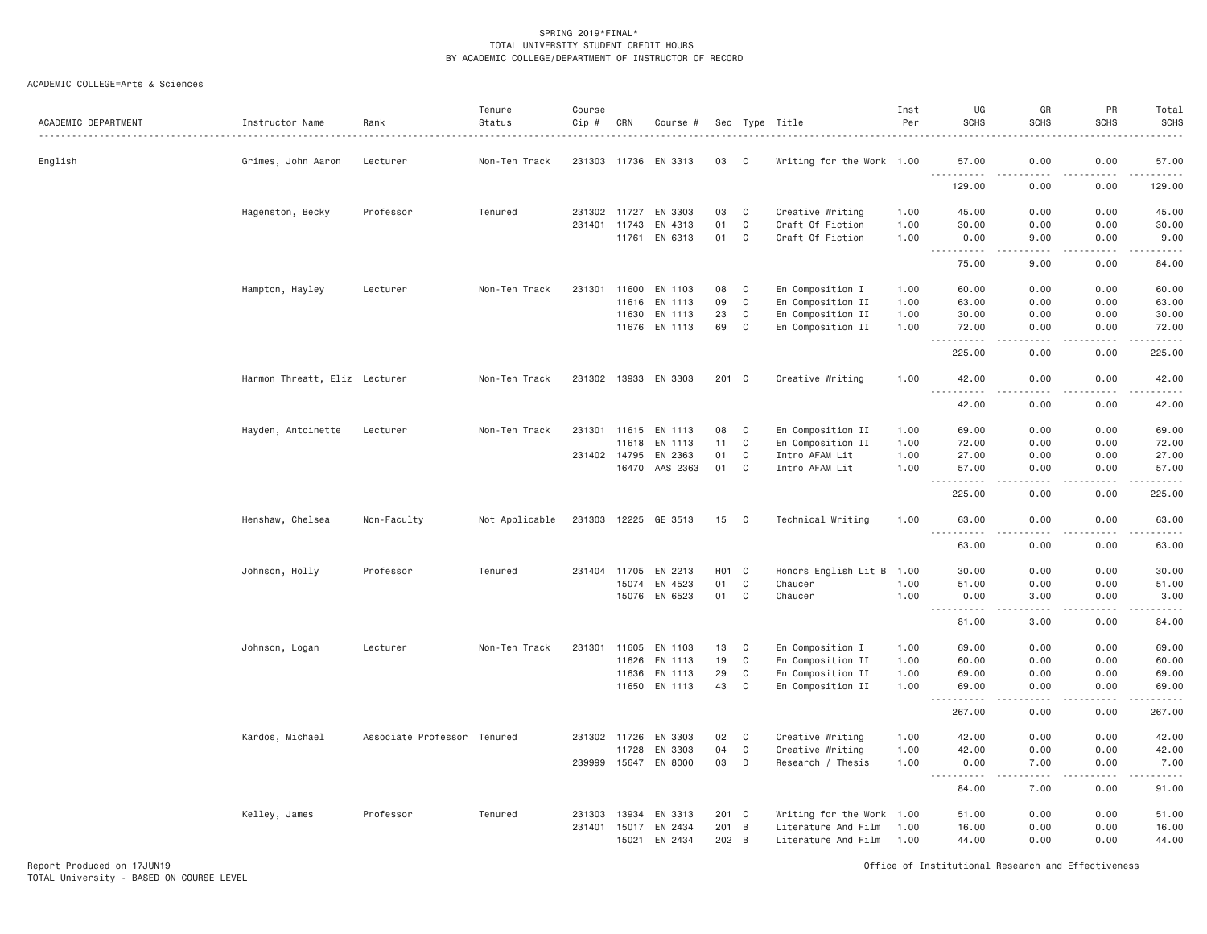## ACADEMIC COLLEGE=Arts & Sciences

| ACADEMIC DEPARTMENT | Instructor Name               | Rank                        | Tenure<br>Status | Course<br>$Cip \#$ | CRN          | Course #             |                    |              | Sec Type Title            | Inst<br>Per | UG<br><b>SCHS</b>                                                                                                                                                                     | GR<br><b>SCHS</b>                   | PR<br><b>SCHS</b>                                                                                                                                            | Total<br><b>SCHS</b><br>. |
|---------------------|-------------------------------|-----------------------------|------------------|--------------------|--------------|----------------------|--------------------|--------------|---------------------------|-------------|---------------------------------------------------------------------------------------------------------------------------------------------------------------------------------------|-------------------------------------|--------------------------------------------------------------------------------------------------------------------------------------------------------------|---------------------------|
| English             | Grimes, John Aaron            | Lecturer                    | Non-Ten Track    |                    |              | 231303 11736 EN 3313 | 03                 | C            | Writing for the Work 1.00 |             | 57.00                                                                                                                                                                                 | 0.00                                | 0.00                                                                                                                                                         | 57.00                     |
|                     |                               |                             |                  |                    |              |                      |                    |              |                           |             | <u>.</u><br>129.00                                                                                                                                                                    | .<br>0.00                           | .<br>0.00                                                                                                                                                    | .<br>129.00               |
|                     | Hagenston, Becky              | Professor                   | Tenured          |                    | 231302 11727 | EN 3303              | 03                 | C            | Creative Writing          | 1.00        | 45.00                                                                                                                                                                                 | 0.00                                | 0.00                                                                                                                                                         | 45.00                     |
|                     |                               |                             |                  |                    | 231401 11743 | EN 4313              | 01                 | C            | Craft Of Fiction          | 1.00        | 30.00                                                                                                                                                                                 | 0.00                                | 0.00                                                                                                                                                         | 30.00                     |
|                     |                               |                             |                  |                    | 11761        | EN 6313              | 01                 | $\mathbb C$  | Craft Of Fiction          | 1.00        | 0.00<br><b></b>                                                                                                                                                                       | 9.00<br>.                           | 0.00<br>.                                                                                                                                                    | 9.00<br>.                 |
|                     |                               |                             |                  |                    |              |                      |                    |              |                           |             | 75.00                                                                                                                                                                                 | 9.00                                | 0.00                                                                                                                                                         | 84.00                     |
|                     | Hampton, Hayley               | Lecturer                    | Non-Ten Track    | 231301             | 11600        | EN 1103              | 08                 | C            | En Composition I          | 1.00        | 60.00                                                                                                                                                                                 | 0.00                                | 0.00                                                                                                                                                         | 60.00                     |
|                     |                               |                             |                  |                    | 11616        | EN 1113              | 09                 | C            | En Composition II         | 1.00        | 63.00                                                                                                                                                                                 | 0.00                                | 0.00                                                                                                                                                         | 63.00                     |
|                     |                               |                             |                  |                    | 11630        | EN 1113              | 23                 | $\mathbf{C}$ | En Composition II         | 1.00        | 30.00                                                                                                                                                                                 | 0.00                                | 0.00                                                                                                                                                         | 30.00                     |
|                     |                               |                             |                  |                    |              | 11676 EN 1113        | 69                 | C            | En Composition II         | 1.00        | 72.00<br>.<br>$\sim$ $\sim$ $\sim$                                                                                                                                                    | 0.00<br>الدامات بال                 | 0.00<br>.                                                                                                                                                    | 72.00<br>.                |
|                     |                               |                             |                  |                    |              |                      |                    |              |                           |             | 225.00                                                                                                                                                                                | 0.00                                | 0.00                                                                                                                                                         | 225.00                    |
|                     | Harmon Threatt, Eliz Lecturer |                             | Non-Ten Track    |                    |              | 231302 13933 EN 3303 | 201 C              |              | Creative Writing          | 1.00        | 42.00<br>$\sim$ $\sim$ $\sim$                                                                                                                                                         | 0.00                                | 0.00                                                                                                                                                         | 42.00                     |
|                     |                               |                             |                  |                    |              |                      |                    |              |                           |             | 42.00                                                                                                                                                                                 | 0.00                                | 0.00                                                                                                                                                         | 42.00                     |
|                     | Hayden, Antoinette            | Lecturer                    | Non-Ten Track    |                    |              | 231301 11615 EN 1113 | 08                 | $\mathbf C$  | En Composition II         | 1.00        | 69.00                                                                                                                                                                                 | 0.00                                | 0.00                                                                                                                                                         | 69.00                     |
|                     |                               |                             |                  |                    | 11618        | EN 1113              | 11                 | C            | En Composition II         | 1.00        | 72.00                                                                                                                                                                                 | 0.00                                | 0.00                                                                                                                                                         | 72.00                     |
|                     |                               |                             |                  |                    |              | 231402 14795 EN 2363 | 01                 | $\mathbb C$  | Intro AFAM Lit            | 1.00        | 27.00                                                                                                                                                                                 | 0.00                                | 0.00                                                                                                                                                         | 27.00                     |
|                     |                               |                             |                  |                    |              | 16470 AAS 2363       | 01                 | C            | Intro AFAM Lit            | 1.00        | 57.00<br>$\sim$ $\sim$ $\sim$<br>$\frac{1}{2} \left( \frac{1}{2} \right) \left( \frac{1}{2} \right) \left( \frac{1}{2} \right) \left( \frac{1}{2} \right) \left( \frac{1}{2} \right)$ | 0.00<br>$\sim$ $\sim$ $\sim$ $\sim$ | 0.00<br>.                                                                                                                                                    | 57.00<br>.                |
|                     |                               |                             |                  |                    |              |                      |                    |              |                           |             | 225.00                                                                                                                                                                                | 0.00                                | 0.00                                                                                                                                                         | 225.00                    |
|                     | Henshaw, Chelsea              | Non-Faculty                 | Not Applicable   |                    |              | 231303 12225 GE 3513 | 15                 | C            | Technical Writing         | 1.00        | 63.00<br>$ -$                                                                                                                                                                         | 0.00                                | 0.00                                                                                                                                                         | 63.00<br>. <u>. .</u>     |
|                     |                               |                             |                  |                    |              |                      |                    |              |                           |             | 63.00                                                                                                                                                                                 | 0.00                                | 0.00                                                                                                                                                         | 63.00                     |
|                     | Johnson, Holly                | Professor                   | Tenured          |                    |              | 231404 11705 EN 2213 | H <sub>0</sub> 1 C |              | Honors English Lit B 1.00 |             | 30.00                                                                                                                                                                                 | 0.00                                | 0.00                                                                                                                                                         | 30.00                     |
|                     |                               |                             |                  |                    | 15074        | EN 4523              | 01                 | C            | Chaucer                   | 1.00        | 51.00                                                                                                                                                                                 | 0.00                                | 0.00                                                                                                                                                         | 51.00                     |
|                     |                               |                             |                  |                    | 15076        | EN 6523              | 01                 | C            | Chaucer                   | 1.00        | 0.00<br>.<br>$\frac{1}{2}$                                                                                                                                                            | 3,00<br>.                           | 0.00<br>.                                                                                                                                                    | 3.00<br>.                 |
|                     |                               |                             |                  |                    |              |                      |                    |              |                           |             | 81.00                                                                                                                                                                                 | 3.00                                | 0.00                                                                                                                                                         | 84.00                     |
|                     | Johnson, Logan                | Lecturer                    | Non-Ten Track    | 231301             | 11605        | EN 1103              | 13                 | C            | En Composition I          | 1.00        | 69.00                                                                                                                                                                                 | 0.00                                | 0.00                                                                                                                                                         | 69.00                     |
|                     |                               |                             |                  |                    | 11626        | EN 1113              | 19                 | C            | En Composition II         | 1.00        | 60.00                                                                                                                                                                                 | 0.00                                | 0.00                                                                                                                                                         | 60.00                     |
|                     |                               |                             |                  |                    |              | 11636 EN 1113        | 29                 | $\mathbf{C}$ | En Composition II         | 1.00        | 69.00                                                                                                                                                                                 | 0.00                                | 0.00                                                                                                                                                         | 69.00                     |
|                     |                               |                             |                  |                    |              | 11650 EN 1113        | 43                 | C            | En Composition II         | 1.00        | 69.00<br>$\sim$ $\sim$ $\sim$<br>.                                                                                                                                                    | 0.00<br>.                           | 0.00<br>.<br>$\frac{1}{2} \left( \frac{1}{2} \right) \left( \frac{1}{2} \right) \left( \frac{1}{2} \right)$                                                  | 69.00<br>.                |
|                     |                               |                             |                  |                    |              |                      |                    |              |                           |             | 267.00                                                                                                                                                                                | 0.00                                | 0.00                                                                                                                                                         | 267.00                    |
|                     | Kardos, Michael               | Associate Professor Tenured |                  |                    | 231302 11726 | EN 3303              | 02                 | C            | Creative Writing          | 1.00        | 42.00                                                                                                                                                                                 | 0.00                                | 0.00                                                                                                                                                         | 42.00                     |
|                     |                               |                             |                  |                    | 11728        | EN 3303              | 04                 | $\mathsf{C}$ | Creative Writing          | 1.00        | 42.00                                                                                                                                                                                 | 0.00                                | 0.00                                                                                                                                                         | 42.00                     |
|                     |                               |                             |                  |                    |              | 239999 15647 EN 8000 | 03                 | D            | Research / Thesis         | 1.00        | 0.00<br>$\sim$ $\sim$ $\sim$<br>.                                                                                                                                                     | 7.00<br>.                           | 0.00<br>$\frac{1}{2} \left( \frac{1}{2} \right) \left( \frac{1}{2} \right) \left( \frac{1}{2} \right) \left( \frac{1}{2} \right) \left( \frac{1}{2} \right)$ | 7.00<br>.                 |
|                     |                               |                             |                  |                    |              |                      |                    |              |                           |             | 84.00                                                                                                                                                                                 | 7.00                                | 0.00                                                                                                                                                         | 91.00                     |
|                     | Kelley, James                 | Professor                   | Tenured          |                    | 231303 13934 | EN 3313              | 201 C              |              | Writing for the Work 1.00 |             | 51.00                                                                                                                                                                                 | 0.00                                | 0.00                                                                                                                                                         | 51.00                     |
|                     |                               |                             |                  |                    | 231401 15017 | EN 2434              | 201 B              |              | Literature And Film       | 1.00        | 16.00                                                                                                                                                                                 | 0.00                                | 0.00                                                                                                                                                         | 16.00                     |
|                     |                               |                             |                  |                    |              | 15021 EN 2434        | 202 B              |              | Literature And Film       | 1.00        | 44.00                                                                                                                                                                                 | 0.00                                | 0.00                                                                                                                                                         | 44.00                     |

Report Produced on 17JUN19 Office of Institutional Research and Effectiveness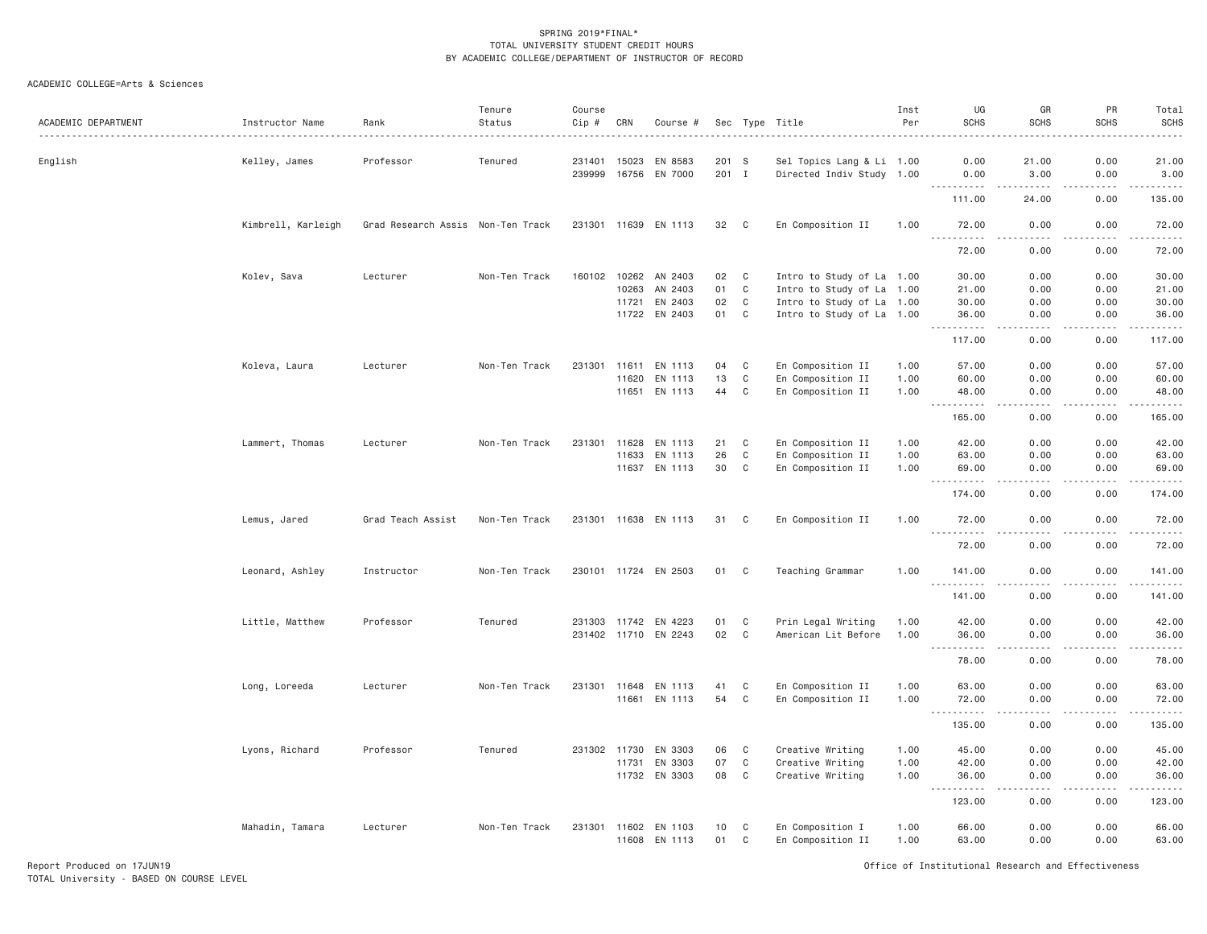| ACADEMIC DEPARTMENT | Instructor Name    | Rank                              | Tenure<br>Status | Course<br>$Cip \#$ | CRN            | Course #             |                |                | Sec Type Title                                         | Inst<br>Per | UG<br><b>SCHS</b>                                                                                                                                                                                                                                                                                                                                                                                          | GR<br><b>SCHS</b>                                                                                                                                             | PR<br><b>SCHS</b>                                                                                                                                            | Total<br><b>SCHS</b>    |
|---------------------|--------------------|-----------------------------------|------------------|--------------------|----------------|----------------------|----------------|----------------|--------------------------------------------------------|-------------|------------------------------------------------------------------------------------------------------------------------------------------------------------------------------------------------------------------------------------------------------------------------------------------------------------------------------------------------------------------------------------------------------------|---------------------------------------------------------------------------------------------------------------------------------------------------------------|--------------------------------------------------------------------------------------------------------------------------------------------------------------|-------------------------|
| English             | Kelley, James      | Professor                         | Tenured          | 231401<br>239999   | 15023<br>16756 | EN 8583<br>EN 7000   | 201 S<br>201 I |                | Sel Topics Lang & Li 1.00<br>Directed Indiv Study 1.00 |             | 0.00<br>0.00                                                                                                                                                                                                                                                                                                                                                                                               | 21.00<br>3.00                                                                                                                                                 | 0.00<br>0.00                                                                                                                                                 | 21.00<br>3.00           |
|                     |                    |                                   |                  |                    |                |                      |                |                |                                                        |             | $\sim$ $\sim$<br>$\frac{1}{2} \left( \frac{1}{2} \right) \left( \frac{1}{2} \right) \left( \frac{1}{2} \right) \left( \frac{1}{2} \right) \left( \frac{1}{2} \right)$<br>111.00                                                                                                                                                                                                                            | $\frac{1}{2} \left( \frac{1}{2} \right) \left( \frac{1}{2} \right) \left( \frac{1}{2} \right) \left( \frac{1}{2} \right) \left( \frac{1}{2} \right)$<br>24.00 | .<br>0.00                                                                                                                                                    | .<br>135.00             |
|                     | Kimbrell, Karleigh | Grad Research Assis Non-Ten Track |                  |                    |                | 231301 11639 EN 1113 | 32             | $\mathbf{C}$   | En Composition II                                      | 1.00        | 72.00                                                                                                                                                                                                                                                                                                                                                                                                      | 0.00                                                                                                                                                          | 0.00                                                                                                                                                         | 72.00                   |
|                     |                    |                                   |                  |                    |                |                      |                |                |                                                        |             | $\sim 100$<br>.<br>72.00                                                                                                                                                                                                                                                                                                                                                                                   | .<br>0.00                                                                                                                                                     | $\frac{1}{2} \left( \frac{1}{2} \right) \left( \frac{1}{2} \right) \left( \frac{1}{2} \right) \left( \frac{1}{2} \right) \left( \frac{1}{2} \right)$<br>0.00 | .<br>72.00              |
|                     | Kolev, Sava        | Lecturer                          | Non-Ten Track    | 160102 10262       |                | AN 2403              | 02             | C              | Intro to Study of La 1.00                              |             | 30.00                                                                                                                                                                                                                                                                                                                                                                                                      | 0.00                                                                                                                                                          | 0.00                                                                                                                                                         | 30.00                   |
|                     |                    |                                   |                  |                    | 10263          | AN 2403              | 01             | C              | Intro to Study of La 1.00                              |             | 21.00                                                                                                                                                                                                                                                                                                                                                                                                      | 0.00                                                                                                                                                          | 0.00                                                                                                                                                         | 21.00                   |
|                     |                    |                                   |                  |                    | 11721          | EN 2403              | 02             | C              | Intro to Study of La 1.00                              |             | 30.00                                                                                                                                                                                                                                                                                                                                                                                                      | 0.00                                                                                                                                                          | 0.00                                                                                                                                                         | 30.00                   |
|                     |                    |                                   |                  |                    |                | 11722 EN 2403        | 01             | C              | Intro to Study of La 1.00                              |             | 36.00<br>$\sim$ $\sim$ .<br>.                                                                                                                                                                                                                                                                                                                                                                              | 0.00<br>د د د د                                                                                                                                               | 0.00<br>-----                                                                                                                                                | 36.00<br>-----          |
|                     |                    |                                   |                  |                    |                |                      |                |                |                                                        |             | 117.00                                                                                                                                                                                                                                                                                                                                                                                                     | 0.00                                                                                                                                                          | 0.00                                                                                                                                                         | 117.00                  |
|                     | Koleva, Laura      | Lecturer                          | Non-Ten Track    | 231301             | 11611          | EN 1113              | 04             | C              | En Composition II                                      | 1.00        | 57.00                                                                                                                                                                                                                                                                                                                                                                                                      | 0.00                                                                                                                                                          | 0.00                                                                                                                                                         | 57.00                   |
|                     |                    |                                   |                  |                    | 11620          | EN 1113              | 13             | C              | En Composition II                                      | 1.00        | 60.00                                                                                                                                                                                                                                                                                                                                                                                                      | 0.00                                                                                                                                                          | 0.00                                                                                                                                                         | 60.00                   |
|                     |                    |                                   |                  |                    | 11651          | EN 1113              | 44             | C              | En Composition II                                      | 1.00        | 48.00                                                                                                                                                                                                                                                                                                                                                                                                      | 0.00                                                                                                                                                          | 0.00                                                                                                                                                         | 48.00                   |
|                     |                    |                                   |                  |                    |                |                      |                |                |                                                        |             | $\sim$ $\sim$ $\sim$<br>$\frac{1}{2}$                                                                                                                                                                                                                                                                                                                                                                      |                                                                                                                                                               |                                                                                                                                                              | .                       |
|                     |                    |                                   |                  |                    |                |                      |                |                |                                                        |             | 165.00                                                                                                                                                                                                                                                                                                                                                                                                     | 0.00                                                                                                                                                          | 0.00                                                                                                                                                         | 165.00                  |
|                     | Lammert, Thomas    | Lecturer                          | Non-Ten Track    | 231301             | 11628          | EN 1113              | 21             | C              | En Composition II                                      | 1.00        | 42.00                                                                                                                                                                                                                                                                                                                                                                                                      | 0.00                                                                                                                                                          | 0.00                                                                                                                                                         | 42.00                   |
|                     |                    |                                   |                  |                    | 11633          | EN 1113              | 26             | $\mathbb C$    | En Composition II                                      | 1.00        | 63.00                                                                                                                                                                                                                                                                                                                                                                                                      | 0.00                                                                                                                                                          | 0.00                                                                                                                                                         | 63.00                   |
|                     |                    |                                   |                  |                    | 11637          | EN 1113              | 30             | C              | En Composition II                                      | 1.00        | 69.00<br>.                                                                                                                                                                                                                                                                                                                                                                                                 | 0.00<br>$\omega$ is a $\omega$                                                                                                                                | 0.00<br>.                                                                                                                                                    | 69.00<br>.              |
|                     |                    |                                   |                  |                    |                |                      |                |                |                                                        |             | $  -$<br>174.00                                                                                                                                                                                                                                                                                                                                                                                            | 0.00                                                                                                                                                          | 0.00                                                                                                                                                         | 174.00                  |
|                     | Lemus, Jared       | Grad Teach Assist                 | Non-Ten Track    | 231301             | 11638          | EN 1113              | 31             | C              | En Composition II                                      | 1.00        | 72.00                                                                                                                                                                                                                                                                                                                                                                                                      | 0.00                                                                                                                                                          | 0.00                                                                                                                                                         | 72.00                   |
|                     |                    |                                   |                  |                    |                |                      |                |                |                                                        |             | .<br>.<br>72.00                                                                                                                                                                                                                                                                                                                                                                                            | 0.00                                                                                                                                                          | 0.00                                                                                                                                                         | .<br>72.00              |
|                     | Leonard, Ashley    | Instructor                        | Non-Ten Track    |                    |                | 230101 11724 EN 2503 | 01             | C <sub>1</sub> | Teaching Grammar                                       | 1,00        | 141.00                                                                                                                                                                                                                                                                                                                                                                                                     | 0.00                                                                                                                                                          | 0.00                                                                                                                                                         | 141.00                  |
|                     |                    |                                   |                  |                    |                |                      |                |                |                                                        |             | $\sim$ $\sim$ $\sim$<br>.<br>141.00                                                                                                                                                                                                                                                                                                                                                                        | 0.00                                                                                                                                                          | .<br>0.00                                                                                                                                                    | $- - - - - -$<br>141.00 |
|                     | Little, Matthew    | Professor                         | Tenured          |                    | 231303 11742   | EN 4223              | 01             | C              | Prin Legal Writing                                     | 1.00        | 42.00                                                                                                                                                                                                                                                                                                                                                                                                      | 0.00                                                                                                                                                          | 0.00                                                                                                                                                         | 42.00                   |
|                     |                    |                                   |                  |                    |                | 231402 11710 EN 2243 | 02             | C              | American Lit Before                                    | 1.00        | 36.00                                                                                                                                                                                                                                                                                                                                                                                                      | 0.00                                                                                                                                                          | 0.00                                                                                                                                                         | 36.00                   |
|                     |                    |                                   |                  |                    |                |                      |                |                |                                                        |             |                                                                                                                                                                                                                                                                                                                                                                                                            |                                                                                                                                                               |                                                                                                                                                              |                         |
|                     |                    |                                   |                  |                    |                |                      |                |                |                                                        |             | 78.00                                                                                                                                                                                                                                                                                                                                                                                                      | 0.00                                                                                                                                                          | 0.00                                                                                                                                                         | 78.00                   |
|                     | Long, Loreeda      | Lecturer                          | Non-Ten Track    |                    | 231301 11648   | EN 1113              | 41             | C              | En Composition II                                      | 1.00        | 63.00                                                                                                                                                                                                                                                                                                                                                                                                      | 0.00                                                                                                                                                          | 0.00                                                                                                                                                         | 63.00                   |
|                     |                    |                                   |                  |                    | 11661          | EN 1113              | 54             | C              | En Composition II                                      | 1.00        | 72.00<br>.<br>$\frac{1}{2} \frac{1}{2} \frac{1}{2} \frac{1}{2} \frac{1}{2} \frac{1}{2} \frac{1}{2} \frac{1}{2} \frac{1}{2} \frac{1}{2} \frac{1}{2} \frac{1}{2} \frac{1}{2} \frac{1}{2} \frac{1}{2} \frac{1}{2} \frac{1}{2} \frac{1}{2} \frac{1}{2} \frac{1}{2} \frac{1}{2} \frac{1}{2} \frac{1}{2} \frac{1}{2} \frac{1}{2} \frac{1}{2} \frac{1}{2} \frac{1}{2} \frac{1}{2} \frac{1}{2} \frac{1}{2} \frac{$ | 0.00<br>الدامات بال                                                                                                                                           | 0.00<br>-----                                                                                                                                                | 72.00<br>.              |
|                     |                    |                                   |                  |                    |                |                      |                |                |                                                        |             | 135.00                                                                                                                                                                                                                                                                                                                                                                                                     | 0.00                                                                                                                                                          | 0.00                                                                                                                                                         | 135.00                  |
|                     | Lyons, Richard     | Professor                         | Tenured          | 231302 11730       |                | EN 3303              | 06             | C              | Creative Writing                                       | 1.00        | 45.00                                                                                                                                                                                                                                                                                                                                                                                                      | 0.00                                                                                                                                                          | 0.00                                                                                                                                                         | 45.00                   |
|                     |                    |                                   |                  |                    | 11731          | EN 3303              | 07             | $\mathbb C$    | Creative Writing                                       | 1.00        | 42.00                                                                                                                                                                                                                                                                                                                                                                                                      | 0.00                                                                                                                                                          | 0.00                                                                                                                                                         | 42.00                   |
|                     |                    |                                   |                  |                    |                | 11732 EN 3303        | 08             | $\mathbf C$    | Creative Writing                                       | 1.00        | 36.00                                                                                                                                                                                                                                                                                                                                                                                                      | 0.00                                                                                                                                                          | 0.00                                                                                                                                                         | 36.00                   |
|                     |                    |                                   |                  |                    |                |                      |                |                |                                                        |             | $\omega_{\rm{eff}}$<br>.                                                                                                                                                                                                                                                                                                                                                                                   | والمستناء                                                                                                                                                     | -----                                                                                                                                                        | -----                   |
|                     |                    |                                   |                  |                    |                |                      |                |                |                                                        |             | 123.00                                                                                                                                                                                                                                                                                                                                                                                                     | 0.00                                                                                                                                                          | 0.00                                                                                                                                                         | 123.00                  |
|                     | Mahadin, Tamara    | Lecturer                          | Non-Ten Track    |                    |                | 231301 11602 EN 1103 | 10             | C              | En Composition I                                       | 1.00        | 66.00                                                                                                                                                                                                                                                                                                                                                                                                      | 0.00                                                                                                                                                          | 0.00                                                                                                                                                         | 66.00                   |
|                     |                    |                                   |                  |                    | 11608          | EN 1113              | 01             | C              | En Composition II                                      | 1.00        | 63.00                                                                                                                                                                                                                                                                                                                                                                                                      | 0.00                                                                                                                                                          | 0.00                                                                                                                                                         | 63.00                   |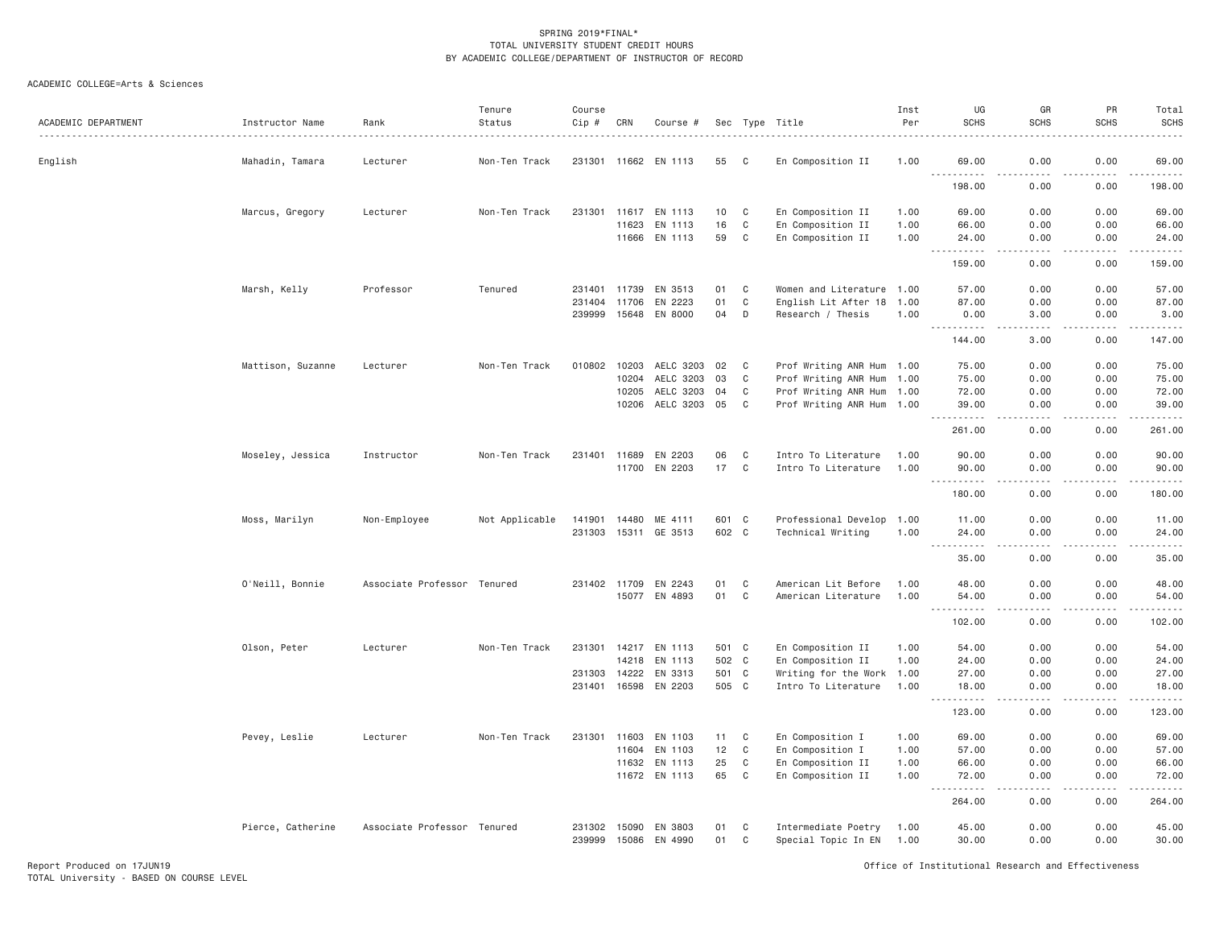# ACADEMIC COLLEGE=Arts & Sciences

| ACADEMIC DEPARTMENT | Instructor Name<br>. | Rank                        | Tenure<br>Status | Course<br>Cip # | CRN   | Course #             |                 |              | Sec Type Title            | Inst<br>Per | UG<br><b>SCHS</b>                                                                                                                                                                        | GR<br><b>SCHS</b>                                                                                                                 | PR<br><b>SCHS</b> | Total<br><b>SCHS</b><br>$\frac{1}{2}$ |
|---------------------|----------------------|-----------------------------|------------------|-----------------|-------|----------------------|-----------------|--------------|---------------------------|-------------|------------------------------------------------------------------------------------------------------------------------------------------------------------------------------------------|-----------------------------------------------------------------------------------------------------------------------------------|-------------------|---------------------------------------|
| English             | Mahadin, Tamara      | Lecturer                    | Non-Ten Track    |                 |       | 231301 11662 EN 1113 | 55              | C.           | En Composition II         | 1.00        | 69.00<br>$\sim$ $\sim$ $\sim$                                                                                                                                                            | 0.00                                                                                                                              | 0.00<br>.         | 69.00                                 |
|                     |                      |                             |                  |                 |       |                      |                 |              |                           |             | 198.00                                                                                                                                                                                   | 0.00                                                                                                                              | 0.00              | ------<br>198.00                      |
|                     | Marcus, Gregory      | Lecturer                    | Non-Ten Track    | 231301          | 11617 | EN 1113              | 10 <sub>1</sub> | C            | En Composition II         | 1.00        | 69.00                                                                                                                                                                                    | 0.00                                                                                                                              | 0.00              | 69.00                                 |
|                     |                      |                             |                  |                 | 11623 | EN 1113              | 16              | $\mathbb C$  | En Composition II         | 1.00        | 66.00                                                                                                                                                                                    | 0.00                                                                                                                              | 0.00              | 66.00                                 |
|                     |                      |                             |                  |                 | 11666 | EN 1113              | 59              | $\mathbb C$  | En Composition II         | 1.00        | 24.00<br>.<br>$\sim$ $\sim$ $\sim$                                                                                                                                                       | 0.00<br>.                                                                                                                         | 0.00<br>.         | 24.00<br><u>.</u>                     |
|                     |                      |                             |                  |                 |       |                      |                 |              |                           |             | 159.00                                                                                                                                                                                   | 0.00                                                                                                                              | 0.00              | 159.00                                |
|                     | Marsh, Kelly         | Professor                   | Tenured          | 231401          | 11739 | EN 3513              | 01              | C            | Women and Literature 1.00 |             | 57.00                                                                                                                                                                                    | 0.00                                                                                                                              | 0.00              | 57.00                                 |
|                     |                      |                             |                  | 231404          | 11706 | EN 2223              | 01              | $\mathbf C$  | English Lit After 18 1.00 |             | 87.00                                                                                                                                                                                    | 0.00                                                                                                                              | 0.00              | 87.00                                 |
|                     |                      |                             |                  | 239999          | 15648 | EN 8000              | 04              | D            | Research / Thesis         | 1.00        | 0.00<br><u>.</u>                                                                                                                                                                         | 3.00<br>$\frac{1}{2} \left( \frac{1}{2} \right) \left( \frac{1}{2} \right) \left( \frac{1}{2} \right) \left( \frac{1}{2} \right)$ | 0.00<br>.         | 3.00<br>.                             |
|                     |                      |                             |                  |                 |       |                      |                 |              |                           |             | 144.00                                                                                                                                                                                   | 3,00                                                                                                                              | 0.00              | 147.00                                |
|                     | Mattison, Suzanne    | Lecturer                    | Non-Ten Track    | 010802          | 10203 | AELC 3203            | 02              | C            | Prof Writing ANR Hum 1.00 |             | 75.00                                                                                                                                                                                    | 0.00                                                                                                                              | 0.00              | 75.00                                 |
|                     |                      |                             |                  |                 | 10204 | AELC 3203            | 03              | C            | Prof Writing ANR Hum 1.00 |             | 75.00                                                                                                                                                                                    | 0.00                                                                                                                              | 0.00              | 75.00                                 |
|                     |                      |                             |                  |                 | 10205 | AELC 3203            | 04              | C            | Prof Writing ANR Hum 1.00 |             | 72.00                                                                                                                                                                                    | 0.00                                                                                                                              | 0.00              | 72.00                                 |
|                     |                      |                             |                  |                 | 10206 | AELC 3203            | 05              | C            | Prof Writing ANR Hum 1.00 |             | 39.00                                                                                                                                                                                    | 0.00                                                                                                                              | 0.00              | 39.00<br>$\omega$ is a set            |
|                     |                      |                             |                  |                 |       |                      |                 |              |                           |             | 261.00                                                                                                                                                                                   | 0.00                                                                                                                              | 0.00              | 261.00                                |
|                     | Moseley, Jessica     | Instructor                  | Non-Ten Track    | 231401 11689    |       | EN 2203              | 06              | C            | Intro To Literature       | 1.00        | 90.00                                                                                                                                                                                    | 0.00                                                                                                                              | 0.00              | 90.00                                 |
|                     |                      |                             |                  |                 | 11700 | EN 2203              | 17              | $\mathbb C$  | Intro To Literature       | 1,00        | 90.00                                                                                                                                                                                    | 0.00                                                                                                                              | 0.00              | 90.00                                 |
|                     |                      |                             |                  |                 |       |                      |                 |              |                           |             | <b>.</b>                                                                                                                                                                                 | $- - - -$                                                                                                                         | .                 | .                                     |
|                     |                      |                             |                  |                 |       |                      |                 |              |                           |             | 180.00                                                                                                                                                                                   | 0.00                                                                                                                              | 0.00              | 180.00                                |
|                     | Moss, Marilyn        | Non-Employee                | Not Applicable   | 141901          | 14480 | ME 4111              | 601 C           |              | Professional Develop 1.00 |             | 11.00                                                                                                                                                                                    | 0.00                                                                                                                              | 0.00              | 11.00                                 |
|                     |                      |                             |                  | 231303          |       | 15311 GE 3513        | 602 C           |              | Technical Writing         | 1.00        | 24.00                                                                                                                                                                                    | 0.00                                                                                                                              | 0.00              | 24.00                                 |
|                     |                      |                             |                  |                 |       |                      |                 |              |                           |             | $\frac{1}{2} \left( \frac{1}{2} \right) \left( \frac{1}{2} \right) \left( \frac{1}{2} \right) \left( \frac{1}{2} \right) \left( \frac{1}{2} \right) \left( \frac{1}{2} \right)$<br>35.00 | .<br>0.00                                                                                                                         | .<br>0.00         | .<br>35.00                            |
|                     | O'Neill, Bonnie      | Associate Professor Tenured |                  | 231402          | 11709 | EN 2243              | 01              | C            | American Lit Before       | 1.00        | 48.00                                                                                                                                                                                    | 0.00                                                                                                                              | 0.00              | 48.00                                 |
|                     |                      |                             |                  |                 | 15077 | EN 4893              | 01              | $\mathbb C$  | American Literature       | 1.00        | 54.00                                                                                                                                                                                    | 0.00                                                                                                                              | 0.00              | 54.00                                 |
|                     |                      |                             |                  |                 |       |                      |                 |              |                           |             | $\omega$ is $\omega$ in $\omega$                                                                                                                                                         | $- - -$                                                                                                                           | بالمحام           | .                                     |
|                     |                      |                             |                  |                 |       |                      |                 |              |                           |             | 102.00                                                                                                                                                                                   | 0.00                                                                                                                              | 0.00              | 102.00                                |
|                     | Olson, Peter         | Lecturer                    | Non-Ten Track    | 231301          | 14217 | EN 1113              | 501 C           |              | En Composition II         | 1.00        | 54.00                                                                                                                                                                                    | 0.00                                                                                                                              | 0.00              | 54.00                                 |
|                     |                      |                             |                  |                 | 14218 | EN 1113              | 502 C           |              | En Composition II         | 1.00        | 24.00                                                                                                                                                                                    | 0.00                                                                                                                              | 0.00              | 24.00                                 |
|                     |                      |                             |                  | 231303          | 14222 | EN 3313              | 501 C           |              | Writing for the Work      | 1.00        | 27.00                                                                                                                                                                                    | 0.00                                                                                                                              | 0.00              | 27.00                                 |
|                     |                      |                             |                  | 231401          | 16598 | EN 2203              | 505 C           |              | Intro To Literature       | 1.00        | 18.00<br>.                                                                                                                                                                               | 0.00<br>$\sim$ $\sim$ $\sim$ $\sim$                                                                                               | 0.00<br>.         | 18.00<br>.                            |
|                     |                      |                             |                  |                 |       |                      |                 |              |                           |             | 123.00                                                                                                                                                                                   | 0.00                                                                                                                              | 0.00              | 123.00                                |
|                     | Pevey, Leslie        | Lecturer                    | Non-Ten Track    | 231301          | 11603 | EN 1103              | 11              | C            | En Composition I          | 1.00        | 69.00                                                                                                                                                                                    | 0.00                                                                                                                              | 0.00              | 69.00                                 |
|                     |                      |                             |                  |                 | 11604 | EN 1103              | 12              | $\mathbb C$  | En Composition I          | 1.00        | 57.00                                                                                                                                                                                    | 0.00                                                                                                                              | 0.00              | 57.00                                 |
|                     |                      |                             |                  |                 | 11632 | EN 1113              | 25              | $\mathbb C$  | En Composition II         | 1.00        | 66.00                                                                                                                                                                                    | 0.00                                                                                                                              | 0.00              | 66.00                                 |
|                     |                      |                             |                  |                 | 11672 | EN 1113              | 65              | $\mathsf{C}$ | En Composition II         | 1.00        | 72.00<br>$\frac{1}{2} \left( \frac{1}{2} \right) \left( \frac{1}{2} \right) \left( \frac{1}{2} \right) \left( \frac{1}{2} \right) \left( \frac{1}{2} \right)$                            | 0.00<br>$- - - -$                                                                                                                 | 0.00<br>.         | 72.00<br>.                            |
|                     |                      |                             |                  |                 |       |                      |                 |              |                           |             | 264.00                                                                                                                                                                                   | 0.00                                                                                                                              | 0.00              | 264.00                                |
|                     | Pierce, Catherine    | Associate Professor Tenured |                  | 231302          | 15090 | EN 3803              | 01              | C            | Intermediate Poetry       | 1.00        | 45.00                                                                                                                                                                                    | 0.00                                                                                                                              | 0.00              | 45.00                                 |
|                     |                      |                             |                  | 239999          | 15086 | EN 4990              | 01              | C            | Special Topic In EN       | 1.00        | 30.00                                                                                                                                                                                    | 0.00                                                                                                                              | 0.00              | 30.00                                 |

Report Produced on 17JUN19 Office of Institutional Research and Effectiveness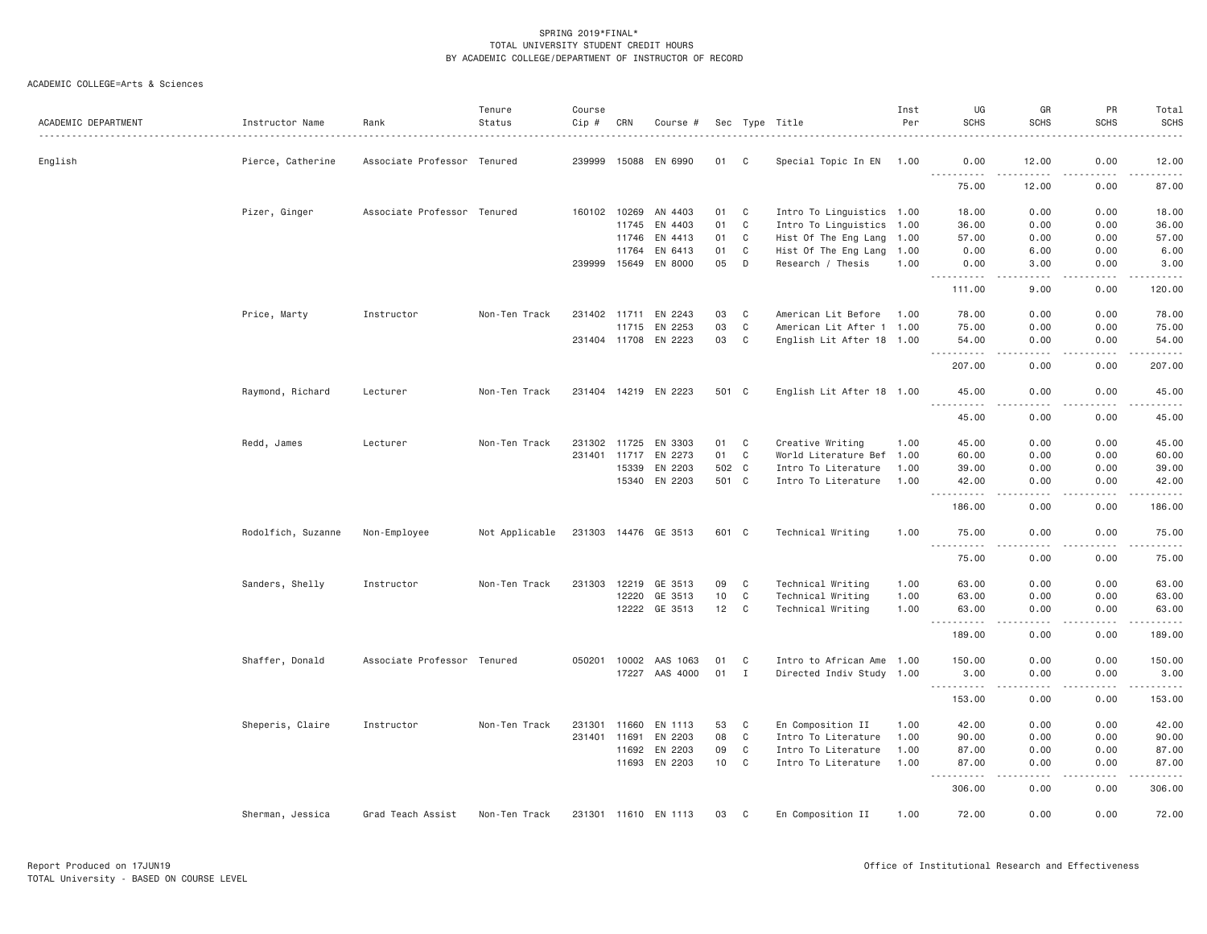| ACADEMIC DEPARTMENT | Instructor Name    | Rank                        | Tenure<br>Status | Course<br>Cip # | CRN          | Course #             |        |              | Sec Type Title            | Inst<br>Per | UG<br><b>SCHS</b>                  | GR<br><b>SCHS</b>                                                                                                                                             | PR<br><b>SCHS</b>  | Total<br><b>SCHS</b>                                                                                                                                                                                                                                                                                                                                                                                                                                                |
|---------------------|--------------------|-----------------------------|------------------|-----------------|--------------|----------------------|--------|--------------|---------------------------|-------------|------------------------------------|---------------------------------------------------------------------------------------------------------------------------------------------------------------|--------------------|---------------------------------------------------------------------------------------------------------------------------------------------------------------------------------------------------------------------------------------------------------------------------------------------------------------------------------------------------------------------------------------------------------------------------------------------------------------------|
| English             | Pierce, Catherine  | Associate Professor Tenured |                  | 239999 15088    |              | EN 6990              | 01     | C            | Special Topic In EN 1.00  |             | 0.00                               | 12.00                                                                                                                                                         | 0.00               | 12.00                                                                                                                                                                                                                                                                                                                                                                                                                                                               |
|                     |                    |                             |                  |                 |              |                      |        |              |                           |             | .<br>75.00                         | $\frac{1}{2} \left( \frac{1}{2} \right) \left( \frac{1}{2} \right) \left( \frac{1}{2} \right) \left( \frac{1}{2} \right) \left( \frac{1}{2} \right)$<br>12.00 | 0.00               | .<br>87.00                                                                                                                                                                                                                                                                                                                                                                                                                                                          |
|                     | Pizer, Ginger      | Associate Professor Tenured |                  |                 | 160102 10269 | AN 4403              | 01     | $\mathbf{C}$ | Intro To Linguistics 1.00 |             | 18.00                              | 0.00                                                                                                                                                          | 0.00               | 18.00                                                                                                                                                                                                                                                                                                                                                                                                                                                               |
|                     |                    |                             |                  |                 | 11745        | EN 4403              | 01     | C            | Intro To Linguistics 1.00 |             | 36.00                              | 0.00                                                                                                                                                          | 0.00               | 36.00                                                                                                                                                                                                                                                                                                                                                                                                                                                               |
|                     |                    |                             |                  |                 | 11746        | EN 4413              | 01     | C            | Hist Of The Eng Lang 1.00 |             | 57.00                              | 0.00                                                                                                                                                          | 0.00               | 57.00                                                                                                                                                                                                                                                                                                                                                                                                                                                               |
|                     |                    |                             |                  |                 | 11764        | EN 6413              | 01     | C            | Hist Of The Eng Lang 1.00 |             | 0.00                               | 6.00                                                                                                                                                          | 0.00               | 6.00                                                                                                                                                                                                                                                                                                                                                                                                                                                                |
|                     |                    |                             |                  | 239999 15649    |              | EN 8000              | 05     | D            | Research / Thesis         | 1.00        | 0.00<br>.                          | 3.00<br>.                                                                                                                                                     | 0.00<br>.          | 3.00<br>.                                                                                                                                                                                                                                                                                                                                                                                                                                                           |
|                     |                    |                             |                  |                 |              |                      |        |              |                           |             | 111.00                             | 9.00                                                                                                                                                          | 0.00               | 120.00                                                                                                                                                                                                                                                                                                                                                                                                                                                              |
|                     | Price, Marty       | Instructor                  | Non-Ten Track    | 231402 11711    |              | EN 2243              | 03     | C            | American Lit Before       | 1.00        | 78.00                              | 0.00                                                                                                                                                          | 0.00               | 78.00                                                                                                                                                                                                                                                                                                                                                                                                                                                               |
|                     |                    |                             |                  |                 | 11715        | EN 2253              | 03     | $\mathbf C$  | American Lit After 1 1.00 |             | 75.00                              | 0.00                                                                                                                                                          | 0.00               | 75.00                                                                                                                                                                                                                                                                                                                                                                                                                                                               |
|                     |                    |                             |                  | 231404 11708    |              | EN 2223              | 03     | C            | English Lit After 18 1.00 |             | 54.00<br>.                         | 0.00<br>.                                                                                                                                                     | 0.00<br>.          | 54.00<br>.                                                                                                                                                                                                                                                                                                                                                                                                                                                          |
|                     |                    |                             |                  |                 |              |                      |        |              |                           |             | 207.00                             | 0.00                                                                                                                                                          | 0.00               | 207.00                                                                                                                                                                                                                                                                                                                                                                                                                                                              |
|                     | Raymond, Richard   | Lecturer                    | Non-Ten Track    |                 |              | 231404 14219 EN 2223 | 501 C  |              | English Lit After 18 1.00 |             | 45.00                              | 0.00                                                                                                                                                          | 0.00               | 45.00                                                                                                                                                                                                                                                                                                                                                                                                                                                               |
|                     |                    |                             |                  |                 |              |                      |        |              |                           |             | .<br>45.00                         | 0.00                                                                                                                                                          | 0.00               | .<br>45.00                                                                                                                                                                                                                                                                                                                                                                                                                                                          |
|                     | Redd, James        | Lecturer                    | Non-Ten Track    | 231302 11725    |              | EN 3303              | 01     | $\mathbf C$  | Creative Writing          | 1.00        | 45.00                              | 0.00                                                                                                                                                          | 0.00               | 45.00                                                                                                                                                                                                                                                                                                                                                                                                                                                               |
|                     |                    |                             |                  | 231401 11717    |              | EN 2273              | 01     | $\mathbf C$  | World Literature Bef 1.00 |             | 60.00                              | 0.00                                                                                                                                                          | 0.00               | 60.00                                                                                                                                                                                                                                                                                                                                                                                                                                                               |
|                     |                    |                             |                  |                 | 15339        | EN 2203              | 502 C  |              | Intro To Literature       | 1.00        | 39.00                              | 0.00                                                                                                                                                          | 0.00               | 39.00                                                                                                                                                                                                                                                                                                                                                                                                                                                               |
|                     |                    |                             |                  |                 |              | 15340 EN 2203        | 501 C  |              | Intro To Literature       | 1.00        | 42.00<br>.                         | 0.00<br>$\sim$ $\sim$ $\sim$                                                                                                                                  | 0.00<br>.          | 42.00<br>.                                                                                                                                                                                                                                                                                                                                                                                                                                                          |
|                     |                    |                             |                  |                 |              |                      |        |              |                           |             | 186.00                             | 0.00                                                                                                                                                          | 0.00               | 186.00                                                                                                                                                                                                                                                                                                                                                                                                                                                              |
|                     | Rodolfich, Suzanne | Non-Employee                | Not Applicable   |                 |              | 231303 14476 GE 3513 | 601 C  |              | Technical Writing         | 1.00        | 75.00<br>.                         | 0.00<br>.                                                                                                                                                     | 0.00<br>.          | 75.00<br>.                                                                                                                                                                                                                                                                                                                                                                                                                                                          |
|                     |                    |                             |                  |                 |              |                      |        |              |                           |             | 75.00                              | 0.00                                                                                                                                                          | 0.00               | 75.00                                                                                                                                                                                                                                                                                                                                                                                                                                                               |
|                     | Sanders, Shelly    | Instructor                  | Non-Ten Track    | 231303          | 12219        | GE 3513              | 09     | C            | Technical Writing         | 1.00        | 63.00                              | 0.00                                                                                                                                                          | 0.00               | 63.00                                                                                                                                                                                                                                                                                                                                                                                                                                                               |
|                     |                    |                             |                  |                 | 12220        | GE 3513              | 10     | $\mathtt{C}$ | Technical Writing         | 1.00        | 63.00                              | 0.00                                                                                                                                                          | 0.00               | 63.00                                                                                                                                                                                                                                                                                                                                                                                                                                                               |
|                     |                    |                             |                  |                 |              | 12222 GE 3513        | 12     | $\mathbf{C}$ | Technical Writing         | 1.00        | 63.00<br>-----------               | 0.00<br>.                                                                                                                                                     | 0.00<br>. <b>.</b> | 63.00<br><u>.</u>                                                                                                                                                                                                                                                                                                                                                                                                                                                   |
|                     |                    |                             |                  |                 |              |                      |        |              |                           |             | 189.00                             | 0.00                                                                                                                                                          | 0.00               | 189.00                                                                                                                                                                                                                                                                                                                                                                                                                                                              |
|                     | Shaffer, Donald    | Associate Professor Tenured |                  | 050201          | 10002        | AAS 1063             | 01     | C            | Intro to African Ame 1.00 |             | 150.00                             | 0.00                                                                                                                                                          | 0.00               | 150.00                                                                                                                                                                                                                                                                                                                                                                                                                                                              |
|                     |                    |                             |                  |                 |              | 17227 AAS 4000       | $01$ I |              | Directed Indiv Study 1.00 |             | 3.00                               | 0.00                                                                                                                                                          | 0.00               | 3.00                                                                                                                                                                                                                                                                                                                                                                                                                                                                |
|                     |                    |                             |                  |                 |              |                      |        |              |                           |             | <b></b><br>153.00                  | $\sim$ $\sim$ $\sim$<br>0.00                                                                                                                                  | .<br>0.00          | $\mathcal{L}^{\mathcal{L}}(\mathcal{L}^{\mathcal{L}}(\mathcal{L}^{\mathcal{L}}(\mathcal{L}^{\mathcal{L}}(\mathcal{L}^{\mathcal{L}}(\mathcal{L}^{\mathcal{L}}(\mathcal{L}^{\mathcal{L}}(\mathcal{L}^{\mathcal{L}}(\mathcal{L}^{\mathcal{L}}(\mathcal{L}^{\mathcal{L}}(\mathcal{L}^{\mathcal{L}}(\mathcal{L}^{\mathcal{L}}(\mathcal{L}^{\mathcal{L}}(\mathcal{L}^{\mathcal{L}}(\mathcal{L}^{\mathcal{L}}(\mathcal{L}^{\mathcal{L}}(\mathcal{L}^{\mathcal{L$<br>153.00 |
|                     | Sheperis, Claire   | Instructor                  | Non-Ten Track    | 231301          | 11660        | EN 1113              | 53     | C            | En Composition II         | 1.00        | 42.00                              | 0.00                                                                                                                                                          | 0.00               | 42.00                                                                                                                                                                                                                                                                                                                                                                                                                                                               |
|                     |                    |                             |                  | 231401          | 11691        | EN 2203              | 08     | $\mathsf{C}$ | Intro To Literature       | 1.00        | 90.00                              | 0.00                                                                                                                                                          | 0.00               | 90.00                                                                                                                                                                                                                                                                                                                                                                                                                                                               |
|                     |                    |                             |                  |                 | 11692        | EN 2203              | 09     | $\mathbf C$  | Intro To Literature       | 1.00        | 87.00                              | 0.00                                                                                                                                                          | 0.00               | 87.00                                                                                                                                                                                                                                                                                                                                                                                                                                                               |
|                     |                    |                             |                  |                 |              | 11693 EN 2203        | 10     | C            | Intro To Literature       | 1.00        | 87.00<br>$\sim$ $\sim$ $\sim$<br>. | 0.00<br>.                                                                                                                                                     | 0.00<br>. <b>.</b> | 87.00<br>$\begin{array}{cccccccccccccc} \bullet & \bullet & \bullet & \bullet & \bullet & \bullet & \bullet & \bullet \end{array}$                                                                                                                                                                                                                                                                                                                                  |
|                     |                    |                             |                  |                 |              |                      |        |              |                           |             | 306.00                             | 0.00                                                                                                                                                          | 0.00               | 306.00                                                                                                                                                                                                                                                                                                                                                                                                                                                              |
|                     | Sherman, Jessica   | Grad Teach Assist           | Non-Ten Track    |                 |              | 231301 11610 EN 1113 | 03     | C            | En Composition II         | 1.00        | 72.00                              | 0.00                                                                                                                                                          | 0.00               | 72.00                                                                                                                                                                                                                                                                                                                                                                                                                                                               |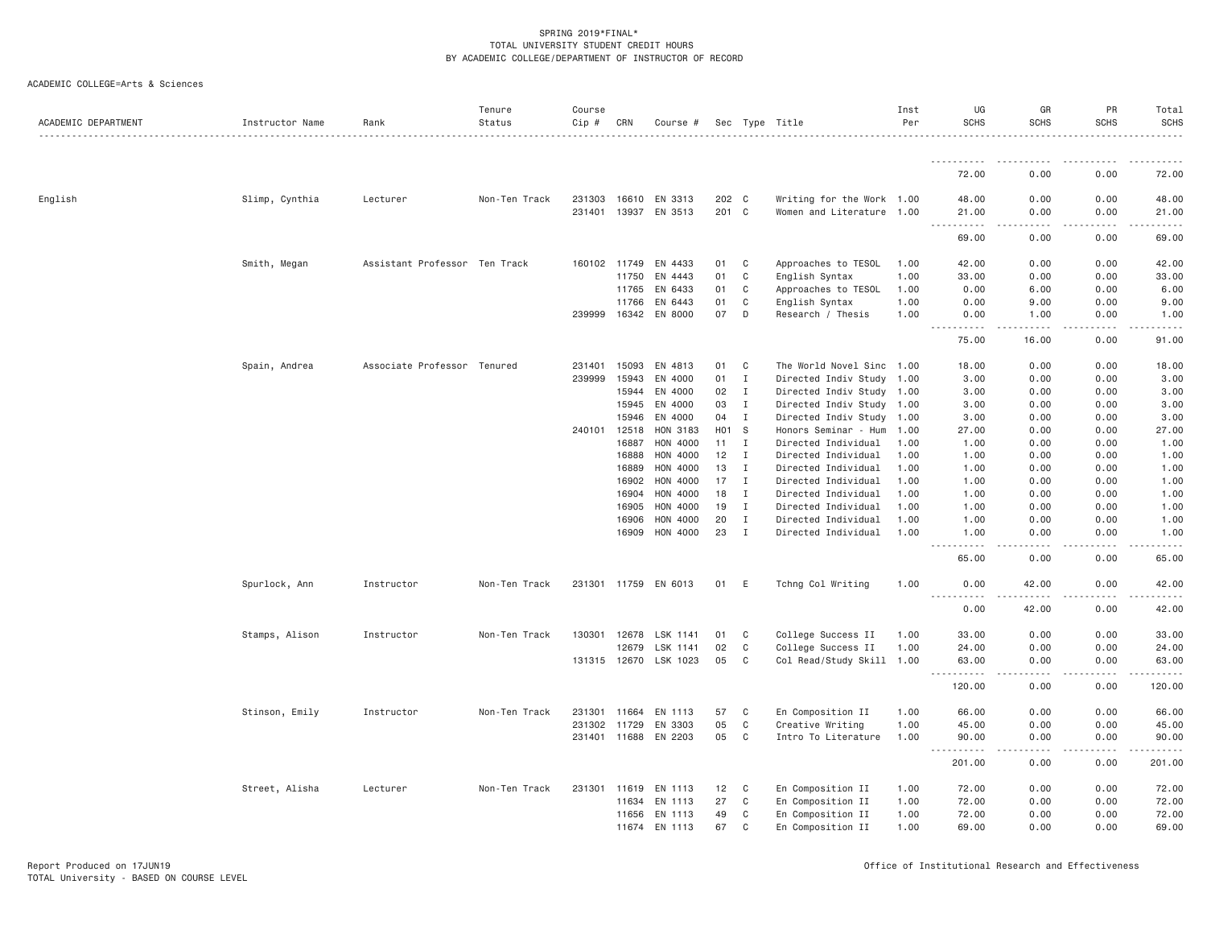|  | ACADEMIC COLLEGE=Arts & Sciences |  |  |
|--|----------------------------------|--|--|
|--|----------------------------------|--|--|

| ACADEMIC DEPARTMENT | Instructor Name | Rank                          | Tenure<br>Status | Course<br>Cip # | CRN   | Course #             |                  |              | Sec Type Title            | Inst<br>Per | UG<br><b>SCHS</b>                              | GR<br><b>SCHS</b>                   | PR<br><b>SCHS</b> | Total<br><b>SCHS</b>                                                                                                              |
|---------------------|-----------------|-------------------------------|------------------|-----------------|-------|----------------------|------------------|--------------|---------------------------|-------------|------------------------------------------------|-------------------------------------|-------------------|-----------------------------------------------------------------------------------------------------------------------------------|
|                     |                 |                               |                  |                 |       |                      |                  |              |                           |             |                                                |                                     |                   |                                                                                                                                   |
|                     |                 |                               |                  |                 |       |                      |                  |              |                           |             | 72.00                                          | 0.00                                | 0.00              | 72.00                                                                                                                             |
| English             | Slimp, Cynthia  | Lecturer                      | Non-Ten Track    | 231303          | 16610 | EN 3313              | 202 C            |              | Writing for the Work 1.00 |             | 48.00                                          | 0.00                                | 0.00              | 48.00                                                                                                                             |
|                     |                 |                               |                  | 231401          | 13937 | EN 3513              | 201 C            |              | Women and Literature 1.00 |             | 21.00<br>.                                     | 0.00<br>$\sim$ $\sim$ $\sim$ $\sim$ | 0.00<br>.         | 21.00<br>.                                                                                                                        |
|                     |                 |                               |                  |                 |       |                      |                  |              |                           |             | 69.00                                          | 0.00                                | 0.00              | 69.00                                                                                                                             |
|                     | Smith, Megan    | Assistant Professor Ten Track |                  | 160102          | 11749 | EN 4433              | 01               | C            | Approaches to TESOL       | 1.00        | 42.00                                          | 0.00                                | 0.00              | 42.00                                                                                                                             |
|                     |                 |                               |                  |                 | 11750 | EN 4443              | 01               | C            | English Syntax            | 1.00        | 33.00                                          | 0.00                                | 0.00              | 33.00                                                                                                                             |
|                     |                 |                               |                  |                 | 11765 | EN 6433              | 01               | C            | Approaches to TESOL       | 1.00        | 0.00                                           | 6.00                                | 0.00              | 6.00                                                                                                                              |
|                     |                 |                               |                  |                 | 11766 | EN 6443              | 01               | C            | English Syntax            | 1.00        | 0.00                                           | 9.00                                | 0.00              | 9.00                                                                                                                              |
|                     |                 |                               |                  | 239999          | 16342 | EN 8000              | 07               | D            | Research / Thesis         | 1.00        | 0.00<br>.                                      | 1.00<br>$   -$                      | 0.00<br>-----     | 1.00<br>. <b>.</b> .                                                                                                              |
|                     |                 |                               |                  |                 |       |                      |                  |              |                           |             | 75.00                                          | 16.00                               | 0.00              | 91.00                                                                                                                             |
|                     | Spain, Andrea   | Associate Professor Tenured   |                  | 231401          | 15093 | EN 4813              | 01               | C            | The World Novel Sinc 1.00 |             | 18.00                                          | 0.00                                | 0.00              | 18.00                                                                                                                             |
|                     |                 |                               |                  | 239999          | 15943 | EN 4000              | 01               | $\mathbf{I}$ | Directed Indiv Study 1.00 |             | 3.00                                           | 0.00                                | 0.00              | 3.00                                                                                                                              |
|                     |                 |                               |                  |                 | 15944 | EN 4000              | 02               | $\mathbf{I}$ | Directed Indiv Study 1.00 |             | 3.00                                           | 0.00                                | 0.00              | 3.00                                                                                                                              |
|                     |                 |                               |                  |                 | 15945 | EN 4000              | 03               | $\mathbf{I}$ | Directed Indiv Study 1.00 |             | 3.00                                           | 0.00                                | 0.00              | 3.00                                                                                                                              |
|                     |                 |                               |                  |                 | 15946 | EN 4000              | 04               | I            | Directed Indiv Study 1.00 |             | 3.00                                           | 0.00                                | 0.00              | 3.00                                                                                                                              |
|                     |                 |                               |                  | 240101          | 12518 | HON 3183             | H <sub>0</sub> 1 | <b>S</b>     | Honors Seminar - Hum      | 1.00        | 27.00                                          | 0.00                                | 0.00              | 27.00                                                                                                                             |
|                     |                 |                               |                  |                 | 16887 | HON 4000             | 11               | I            | Directed Individual       | 1.00        | 1.00                                           | 0.00                                | 0.00              | 1.00                                                                                                                              |
|                     |                 |                               |                  |                 | 16888 | HON 4000             | 12               | $\mathbf{I}$ | Directed Individual       | 1.00        | 1.00                                           | 0.00                                | 0.00              | 1.00                                                                                                                              |
|                     |                 |                               |                  |                 | 16889 | HON 4000             | 13               | $\mathbf{I}$ | Directed Individual       | 1.00        | 1.00                                           | 0.00                                | 0.00              | 1.00                                                                                                                              |
|                     |                 |                               |                  |                 | 16902 | HON 4000             | 17               | $\mathbf{I}$ | Directed Individual       | 1.00        | 1.00                                           | 0.00                                | 0.00              | 1.00                                                                                                                              |
|                     |                 |                               |                  |                 | 16904 | <b>HON 4000</b>      | 18               | $\mathbf I$  | Directed Individual       | 1.00        | 1.00                                           | 0.00                                | 0.00              | 1.00                                                                                                                              |
|                     |                 |                               |                  |                 | 16905 | HON 4000             | 19               | $\mathbf{I}$ | Directed Individual       | 1.00        | 1.00                                           | 0.00                                | 0.00              | 1.00                                                                                                                              |
|                     |                 |                               |                  |                 | 16906 | HON 4000             | 20               | $\mathbf{I}$ | Directed Individual       | 1.00        | 1.00                                           | 0.00                                | 0.00              | 1.00                                                                                                                              |
|                     |                 |                               |                  |                 | 16909 | HON 4000             | 23               | $\mathbf{I}$ | Directed Individual       | 1.00        | 1.00<br>$\sim$ $\sim$ $\sim$ $\sim$<br>$- - -$ | 0.00                                | 0.00              | 1.00<br>$\frac{1}{2} \left( \frac{1}{2} \right) \left( \frac{1}{2} \right) \left( \frac{1}{2} \right) \left( \frac{1}{2} \right)$ |
|                     |                 |                               |                  |                 |       |                      |                  |              |                           |             | 65.00                                          | 0.00                                | 0.00              | 65.00                                                                                                                             |
|                     | Spurlock, Ann   | Instructor                    | Non-Ten Track    |                 |       | 231301 11759 EN 6013 | 01               | E            | Tchng Col Writing         | 1.00        | 0.00<br><u>.</u>                               | 42.00<br>$- - - - -$                | 0.00<br>.         | 42.00<br>.                                                                                                                        |
|                     |                 |                               |                  |                 |       |                      |                  |              |                           |             | 0.00                                           | 42.00                               | 0.00              | 42.00                                                                                                                             |
|                     | Stamps, Alison  | Instructor                    | Non-Ten Track    | 130301          | 12678 | LSK 1141             | 01               | C            | College Success II        | 1.00        | 33,00                                          | 0.00                                | 0.00              | 33.00                                                                                                                             |
|                     |                 |                               |                  |                 | 12679 | LSK 1141             | 02               | C            | College Success II        | 1.00        | 24.00                                          | 0.00                                | 0.00              | 24.00                                                                                                                             |
|                     |                 |                               |                  | 131315 12670    |       | LSK 1023             | 05               | C            | Col Read/Study Skill 1.00 |             | 63.00<br>.                                     | 0.00                                | 0.00              | 63.00<br>.                                                                                                                        |
|                     |                 |                               |                  |                 |       |                      |                  |              |                           |             | 120.00                                         | 0.00                                | 0.00              | 120.00                                                                                                                            |
|                     | Stinson, Emily  | Instructor                    | Non-Ten Track    | 231301          | 11664 | EN 1113              | 57               | C            | En Composition II         | 1.00        | 66.00                                          | 0.00                                | 0.00              | 66.00                                                                                                                             |
|                     |                 |                               |                  | 231302 11729    |       | EN 3303              | 05               | C            | Creative Writing          | 1.00        | 45.00                                          | 0.00                                | 0.00              | 45.00                                                                                                                             |
|                     |                 |                               |                  | 231401 11688    |       | EN 2203              | 05               | C            | Intro To Literature       | 1.00        | 90.00                                          | 0.00<br>.                           | 0.00<br>.         | 90.00<br>.                                                                                                                        |
|                     |                 |                               |                  |                 |       |                      |                  |              |                           |             | 201.00                                         | 0.00                                | 0.00              | 201.00                                                                                                                            |
|                     | Street, Alisha  | Lecturer                      | Non-Ten Track    | 231301          | 11619 | EN 1113              | 12               | C            | En Composition II         | 1.00        | 72.00                                          | 0.00                                | 0.00              | 72.00                                                                                                                             |
|                     |                 |                               |                  |                 | 11634 | EN 1113              | 27               | C            | En Composition II         | 1.00        | 72.00                                          | 0.00                                | 0.00              | 72.00                                                                                                                             |
|                     |                 |                               |                  |                 | 11656 | EN 1113              | 49               | C            | En Composition II         | 1.00        | 72.00                                          | 0.00                                | 0.00              | 72.00                                                                                                                             |
|                     |                 |                               |                  |                 | 11674 | EN 1113              | 67               | C            | En Composition II         | 1.00        | 69.00                                          | 0.00                                | 0.00              | 69.00                                                                                                                             |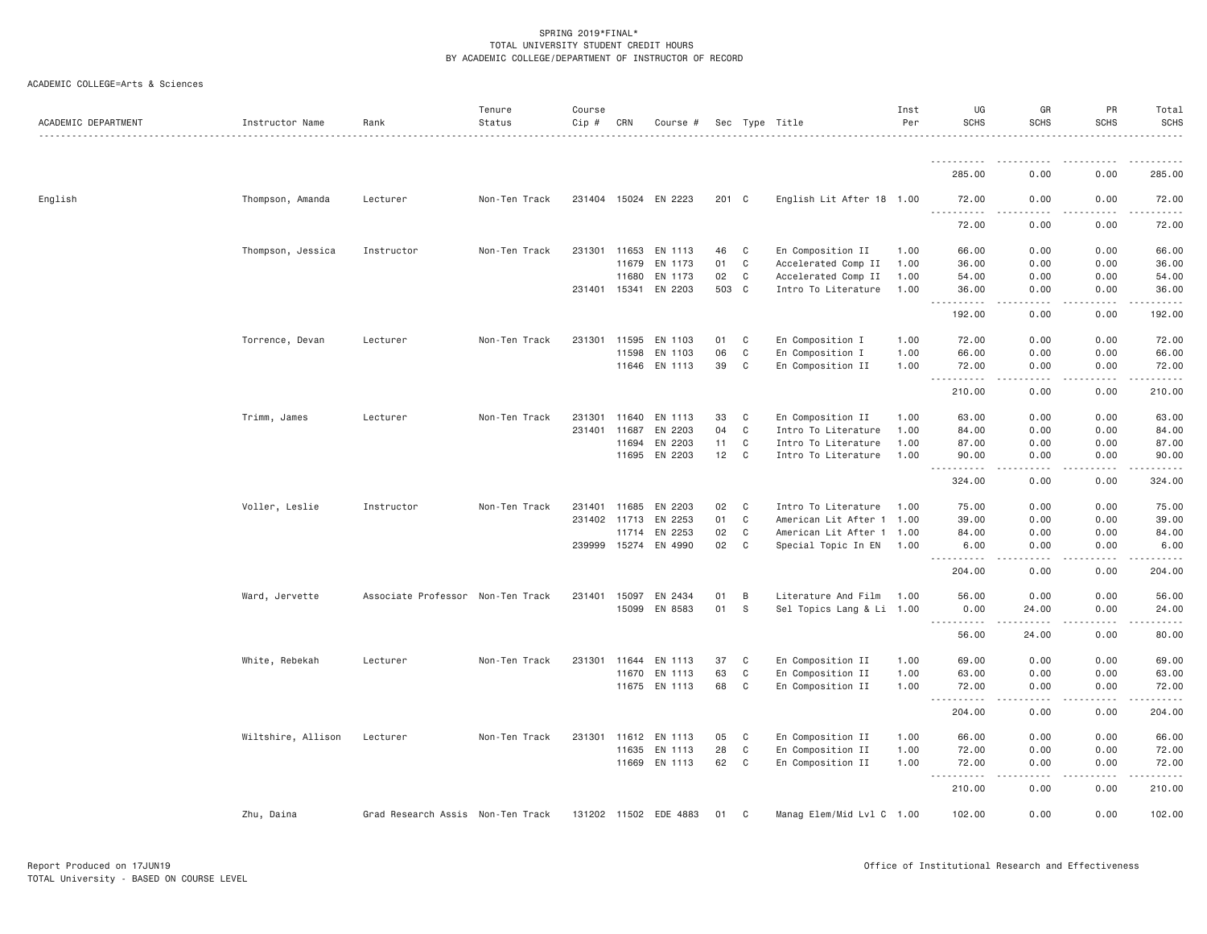| ACADEMIC DEPARTMENT | Instructor Name    | Rank                              | Tenure<br>Status | Course<br>Cip # | CRN          | Course #              |       |              | Sec Type Title            | Inst<br>Per | UG<br><b>SCHS</b>                                                                                                                                                                                                       | GR<br><b>SCHS</b>             | PR<br><b>SCHS</b>                                                                                                                                            | Total<br><b>SCHS</b> |
|---------------------|--------------------|-----------------------------------|------------------|-----------------|--------------|-----------------------|-------|--------------|---------------------------|-------------|-------------------------------------------------------------------------------------------------------------------------------------------------------------------------------------------------------------------------|-------------------------------|--------------------------------------------------------------------------------------------------------------------------------------------------------------|----------------------|
|                     |                    |                                   |                  |                 |              |                       |       |              |                           |             |                                                                                                                                                                                                                         |                               |                                                                                                                                                              |                      |
|                     |                    |                                   |                  |                 |              |                       |       |              |                           |             | 285.00                                                                                                                                                                                                                  | 0.00                          | 0.00                                                                                                                                                         | 285.00               |
| English             | Thompson, Amanda   | Lecturer                          | Non-Ten Track    |                 |              | 231404 15024 EN 2223  | 201 C |              | English Lit After 18 1.00 |             | 72.00<br>$\sim$ $\sim$ $\sim$ $\sim$<br>$\frac{1}{2} \left( \frac{1}{2} \right) \left( \frac{1}{2} \right) \left( \frac{1}{2} \right) \left( \frac{1}{2} \right) \left( \frac{1}{2} \right) \left( \frac{1}{2} \right)$ | 0.00                          | 0.00                                                                                                                                                         | 72.00                |
|                     |                    |                                   |                  |                 |              |                       |       |              |                           |             | 72.00                                                                                                                                                                                                                   | 0.00                          | 0.00                                                                                                                                                         | 72.00                |
|                     | Thompson, Jessica  | Instructor                        | Non-Ten Track    |                 | 231301 11653 | EN 1113               | 46    | $\mathbf{C}$ | En Composition II         | 1.00        | 66.00                                                                                                                                                                                                                   | 0.00                          | 0.00                                                                                                                                                         | 66.00                |
|                     |                    |                                   |                  |                 | 11679        | EN 1173               | 01    | C            | Accelerated Comp II       | 1.00        | 36.00                                                                                                                                                                                                                   | 0.00                          | 0.00                                                                                                                                                         | 36.00                |
|                     |                    |                                   |                  |                 | 11680        | EN 1173               | 02    | C            | Accelerated Comp II       | 1.00        | 54.00                                                                                                                                                                                                                   | 0.00                          | 0.00                                                                                                                                                         | 54.00                |
|                     |                    |                                   |                  |                 |              | 231401 15341 EN 2203  | 503 C |              | Intro To Literature       | 1.00        | 36.00                                                                                                                                                                                                                   | 0.00                          | 0.00                                                                                                                                                         | 36.00                |
|                     |                    |                                   |                  |                 |              |                       |       |              |                           |             | 192.00                                                                                                                                                                                                                  | د د د د<br>0.00               | -----<br>0.00                                                                                                                                                | .<br>192.00          |
|                     | Torrence, Devan    | Lecturer                          | Non-Ten Track    | 231301          | 11595        | EN 1103               | 01    | C            | En Composition I          | 1.00        | 72.00                                                                                                                                                                                                                   | 0.00                          | 0.00                                                                                                                                                         | 72.00                |
|                     |                    |                                   |                  |                 | 11598        | EN 1103               | 06    | C            | En Composition I          | 1.00        | 66.00                                                                                                                                                                                                                   | 0.00                          | 0.00                                                                                                                                                         | 66.00                |
|                     |                    |                                   |                  |                 |              | 11646 EN 1113         | 39    | C            | En Composition II         | 1.00        | 72.00<br>.                                                                                                                                                                                                              | 0.00<br><u>.</u>              | 0.00<br>-----                                                                                                                                                | 72.00<br><b>.</b>    |
|                     |                    |                                   |                  |                 |              |                       |       |              |                           |             | $\frac{1}{2}$<br>210.00                                                                                                                                                                                                 | 0.00                          | 0.00                                                                                                                                                         | 210.00               |
|                     | Trimm, James       | Lecturer                          | Non-Ten Track    | 231301          | 11640        | EN 1113               | 33    | C            | En Composition II         | 1.00        | 63.00                                                                                                                                                                                                                   | 0.00                          | 0.00                                                                                                                                                         | 63.00                |
|                     |                    |                                   |                  |                 | 231401 11687 | EN 2203               | 04    | C            | Intro To Literature       | 1.00        | 84.00                                                                                                                                                                                                                   | 0.00                          | 0.00                                                                                                                                                         | 84.00                |
|                     |                    |                                   |                  |                 | 11694        | EN 2203               | 11    | C            | Intro To Literature       | 1.00        | 87.00                                                                                                                                                                                                                   | 0.00                          | 0.00                                                                                                                                                         | 87.00                |
|                     |                    |                                   |                  |                 | 11695        | EN 2203               | 12 C  |              | Intro To Literature       | 1,00        | 90.00<br>.                                                                                                                                                                                                              | 0.00                          | 0.00                                                                                                                                                         | 90.00                |
|                     |                    |                                   |                  |                 |              |                       |       |              |                           |             | 324.00                                                                                                                                                                                                                  | .<br>0.00                     | $- - - - - -$<br>0.00                                                                                                                                        | <b>.</b><br>324.00   |
|                     | Voller, Leslie     | Instructor                        | Non-Ten Track    |                 | 231401 11685 | EN 2203               | 02    | C            | Intro To Literature       | 1.00        | 75.00                                                                                                                                                                                                                   | 0.00                          | 0.00                                                                                                                                                         | 75.00                |
|                     |                    |                                   |                  |                 | 231402 11713 | EN 2253               | 01    | C            | American Lit After 1 1.00 |             | 39.00                                                                                                                                                                                                                   | 0.00                          | 0.00                                                                                                                                                         | 39.00                |
|                     |                    |                                   |                  |                 | 11714        | EN 2253               | 02    | C            | American Lit After 1 1.00 |             | 84.00                                                                                                                                                                                                                   | 0.00                          | 0.00                                                                                                                                                         | 84.00                |
|                     |                    |                                   |                  |                 |              | 239999 15274 EN 4990  | 02    | C            | Special Topic In EN       | 1.00        | 6.00<br>.                                                                                                                                                                                                               | 0.00                          | 0.00                                                                                                                                                         | 6.00                 |
|                     |                    |                                   |                  |                 |              |                       |       |              |                           |             | 204.00                                                                                                                                                                                                                  | 0.00                          | 0.00                                                                                                                                                         | 204.00               |
|                     | Ward, Jervette     | Associate Professor Non-Ten Track |                  |                 | 231401 15097 | EN 2434               | 01    | B            | Literature And Film 1.00  |             | 56.00                                                                                                                                                                                                                   | 0.00                          | 0.00                                                                                                                                                         | 56.00                |
|                     |                    |                                   |                  |                 |              | 15099 EN 8583         | 01    | <sub>S</sub> | Sel Topics Lang & Li 1.00 |             | 0.00                                                                                                                                                                                                                    | 24.00                         | 0.00                                                                                                                                                         | 24.00                |
|                     |                    |                                   |                  |                 |              |                       |       |              |                           |             | <b></b><br>56.00                                                                                                                                                                                                        | $\omega$ is a set of<br>24.00 | $\frac{1}{2} \left( \frac{1}{2} \right) \left( \frac{1}{2} \right) \left( \frac{1}{2} \right) \left( \frac{1}{2} \right) \left( \frac{1}{2} \right)$<br>0.00 | .<br>80.00           |
|                     | White, Rebekah     | Lecturer                          | Non-Ten Track    | 231301          | 11644        | EN 1113               | 37    | C            | En Composition II         | 1.00        | 69.00                                                                                                                                                                                                                   | 0.00                          | 0.00                                                                                                                                                         | 69.00                |
|                     |                    |                                   |                  |                 |              | 11670 EN 1113         | 63    | C            | En Composition II         | 1.00        | 63.00                                                                                                                                                                                                                   | 0.00                          | 0.00                                                                                                                                                         | 63.00                |
|                     |                    |                                   |                  |                 |              | 11675 EN 1113         | 68    | C            | En Composition II         | 1.00        | 72.00                                                                                                                                                                                                                   | 0.00                          | 0.00                                                                                                                                                         | 72.00                |
|                     |                    |                                   |                  |                 |              |                       |       |              |                           |             | .<br>204.00                                                                                                                                                                                                             | -----<br>0.00                 | $\frac{1}{2} \left( \frac{1}{2} \right) \left( \frac{1}{2} \right) \left( \frac{1}{2} \right) \left( \frac{1}{2} \right) \left( \frac{1}{2} \right)$<br>0.00 | 204.00               |
|                     | Wiltshire, Allison | Lecturer                          | Non-Ten Track    |                 | 231301 11612 | EN 1113               | 05    | C            | En Composition II         | 1.00        | 66.00                                                                                                                                                                                                                   | 0.00                          | 0.00                                                                                                                                                         | 66.00                |
|                     |                    |                                   |                  |                 | 11635        | EN 1113               | 28    | $\mathbf C$  | En Composition II         | 1.00        | 72.00                                                                                                                                                                                                                   | 0.00                          | 0.00                                                                                                                                                         | 72.00                |
|                     |                    |                                   |                  |                 |              | 11669 EN 1113         | 62    | C            | En Composition II         | 1.00        | 72.00                                                                                                                                                                                                                   | 0.00                          | 0.00                                                                                                                                                         | 72.00                |
|                     |                    |                                   |                  |                 |              |                       |       |              |                           |             | $\sim$ $\sim$ $\sim$<br>-----<br>210.00                                                                                                                                                                                 | .<br>0.00                     | -----<br>0.00                                                                                                                                                | 210.00               |
|                     | Zhu, Daina         | Grad Research Assis Non-Ten Track |                  |                 |              | 131202 11502 EDE 4883 | 01    | C            | Manag Elem/Mid Lvl C 1.00 |             | 102.00                                                                                                                                                                                                                  | 0.00                          | 0.00                                                                                                                                                         | 102.00               |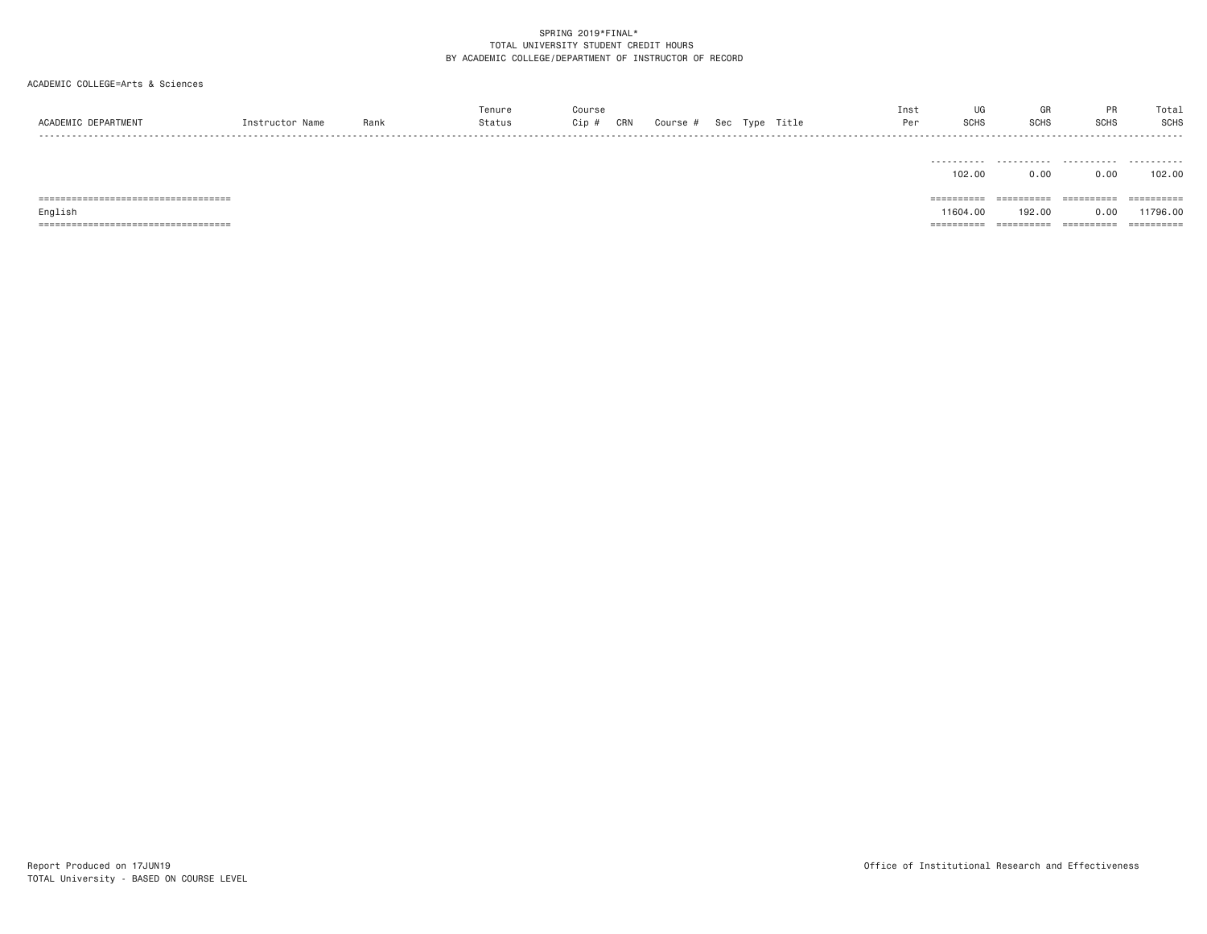# ACADEMIC COLLEGE=Arts & Sciences

| ACADEMIC DEPARTMENT                   | Instructor Name | Rank | Tenure<br>Status | Course<br>CRN<br>$Cip$ # | Course # |  | Sec Type Title | UG<br>Inst<br><b>SCHS</b><br>Per | GR<br><b>SCHS</b> | PR<br>SCHS  | Total<br><b>SCHS</b><br>. |
|---------------------------------------|-----------------|------|------------------|--------------------------|----------|--|----------------|----------------------------------|-------------------|-------------|---------------------------|
|                                       |                 |      |                  |                          |          |  |                | -----------<br>102,00            | .<br>0.00         | .<br>0.00   | .<br>102.00               |
| ===================================== |                 |      |                  |                          |          |  |                | ==========                       | ==========        | ----------- | ==========                |
| English                               |                 |      |                  |                          |          |  |                | 11604.00                         | 192.00            | 0.00        | 11796.00                  |

=================================== ========== ========== ========== ==========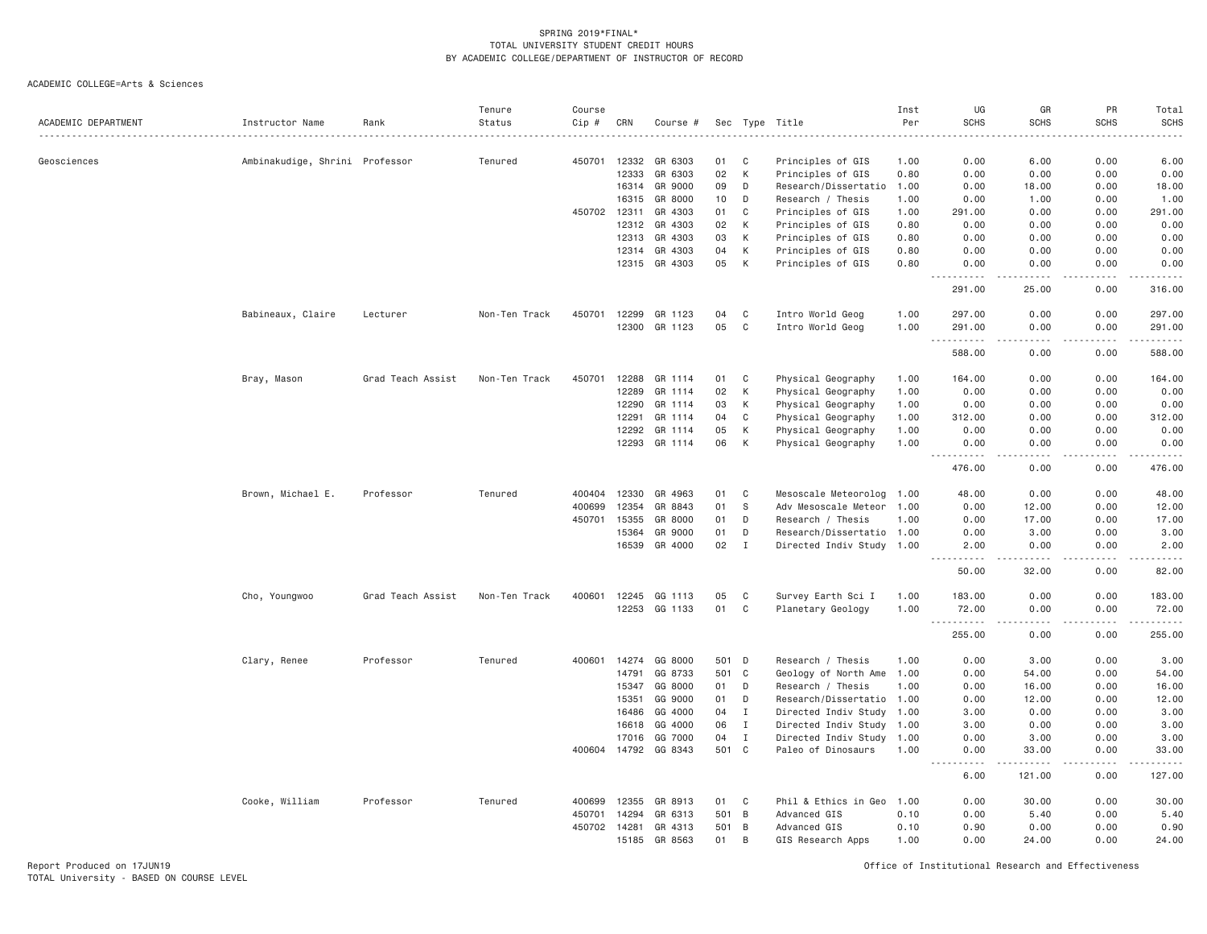| ACADEMIC DEPARTMENT | Instructor Name                | Rank              | Tenure<br>Status | Course<br>Cip # | CRN   | Course #             |       |                | Sec Type Title<br>.       | Inst<br>Per<br>. | UG<br><b>SCHS</b>                                                                                                                                              | GR<br><b>SCHS</b>            | PR<br><b>SCHS</b>     | Total<br><b>SCHS</b>                                                                                                                                                                      |
|---------------------|--------------------------------|-------------------|------------------|-----------------|-------|----------------------|-------|----------------|---------------------------|------------------|----------------------------------------------------------------------------------------------------------------------------------------------------------------|------------------------------|-----------------------|-------------------------------------------------------------------------------------------------------------------------------------------------------------------------------------------|
| Geosciences         | Ambinakudige, Shrini Professor |                   | Tenured          | 450701          | 12332 | GR 6303              | 01    | C              | Principles of GIS         | 1.00             | 0.00                                                                                                                                                           | 6.00                         | 0.00                  | 6.00                                                                                                                                                                                      |
|                     |                                |                   |                  |                 | 12333 | GR 6303              | 02    | K              | Principles of GIS         | 0.80             | 0.00                                                                                                                                                           | 0.00                         | 0.00                  | 0.00                                                                                                                                                                                      |
|                     |                                |                   |                  |                 | 16314 | GR 9000              | 09    | D              | Research/Dissertatio      | 1.00             | 0.00                                                                                                                                                           | 18.00                        | 0.00                  | 18.00                                                                                                                                                                                     |
|                     |                                |                   |                  |                 | 16315 | GR 8000              | 10    | D              | Research / Thesis         | 1.00             | 0.00                                                                                                                                                           | 1.00                         | 0.00                  | 1.00                                                                                                                                                                                      |
|                     |                                |                   |                  | 450702          | 12311 | GR 4303              | 01    | $\mathtt{C}$   | Principles of GIS         | 1.00             | 291.00                                                                                                                                                         | 0.00                         | 0.00                  | 291.00                                                                                                                                                                                    |
|                     |                                |                   |                  |                 | 12312 | GR 4303              | 02    | К              | Principles of GIS         | 0.80             | 0.00                                                                                                                                                           | 0.00                         | 0.00                  | 0.00                                                                                                                                                                                      |
|                     |                                |                   |                  |                 | 12313 | GR 4303              | 03    | К              | Principles of GIS         | 0.80             | 0.00                                                                                                                                                           | 0.00                         | 0.00                  | 0.00                                                                                                                                                                                      |
|                     |                                |                   |                  |                 | 12314 | GR 4303              | 04    | К              | Principles of GIS         | 0.80             | 0.00                                                                                                                                                           | 0.00                         | 0.00                  | 0.00                                                                                                                                                                                      |
|                     |                                |                   |                  |                 |       | 12315 GR 4303        | 05    | К              | Principles of GIS         | 0.80             | 0.00                                                                                                                                                           | 0.00                         | 0.00                  | 0.00                                                                                                                                                                                      |
|                     |                                |                   |                  |                 |       |                      |       |                |                           |                  | $\frac{1}{2} \left( \frac{1}{2} \right) \left( \frac{1}{2} \right) \left( \frac{1}{2} \right)$<br>.<br>291.00                                                  | $- - - - -$<br>25.00         | .<br>0.00             | .<br>316.00                                                                                                                                                                               |
|                     | Babineaux, Claire              | Lecturer          | Non-Ten Track    | 450701          | 12299 | GR 1123              | 04    | C              | Intro World Geog          | 1.00             | 297.00                                                                                                                                                         | 0.00                         | 0.00                  | 297.00                                                                                                                                                                                    |
|                     |                                |                   |                  |                 |       | 12300 GR 1123        | 05    | C              | Intro World Geog          | 1.00             | 291.00<br>$\frac{1}{2} \left( \frac{1}{2} \right) \left( \frac{1}{2} \right) \left( \frac{1}{2} \right) \left( \frac{1}{2} \right) \left( \frac{1}{2} \right)$ | 0.00<br>$\sim$ $\sim$ $\sim$ | 0.00<br>.             | 291.00<br>$\frac{1}{2} \left( \frac{1}{2} \right) \left( \frac{1}{2} \right) \left( \frac{1}{2} \right) \left( \frac{1}{2} \right) \left( \frac{1}{2} \right) \left( \frac{1}{2} \right)$ |
|                     |                                |                   |                  |                 |       |                      |       |                |                           |                  | 588.00                                                                                                                                                         | 0.00                         | 0.00                  | 588.00                                                                                                                                                                                    |
|                     | Bray, Mason                    | Grad Teach Assist | Non-Ten Track    | 450701          | 12288 | GR 1114              | 01    | C              | Physical Geography        | 1.00             | 164.00                                                                                                                                                         | 0.00                         | 0.00                  | 164.00                                                                                                                                                                                    |
|                     |                                |                   |                  |                 | 12289 | GR 1114              | 02    | К              | Physical Geography        | 1.00             | 0.00                                                                                                                                                           | 0.00                         | 0.00                  | 0.00                                                                                                                                                                                      |
|                     |                                |                   |                  |                 | 12290 | GR 1114              | 03    | К              | Physical Geography        | 1.00             | 0.00                                                                                                                                                           | 0.00                         | 0.00                  | 0.00                                                                                                                                                                                      |
|                     |                                |                   |                  |                 | 12291 | GR 1114              | 04    | C              | Physical Geography        | 1.00             | 312.00                                                                                                                                                         | 0.00                         | 0.00                  | 312.00                                                                                                                                                                                    |
|                     |                                |                   |                  |                 | 12292 | GR 1114              | 05    | K              | Physical Geography        | 1.00             | 0.00                                                                                                                                                           | 0.00                         | 0.00                  | 0.00                                                                                                                                                                                      |
|                     |                                |                   |                  |                 | 12293 | GR 1114              | 06    | К              | Physical Geography        | 1.00             | 0.00<br><b>.</b>                                                                                                                                               | 0.00<br>.                    | 0.00<br>$\frac{1}{2}$ | 0.00<br>.                                                                                                                                                                                 |
|                     |                                |                   |                  |                 |       |                      |       |                |                           |                  | 476.00                                                                                                                                                         | 0.00                         | 0.00                  | 476.00                                                                                                                                                                                    |
|                     | Brown, Michael E.              | Professor         | Tenured          | 400404          | 12330 | GR 4963              | 01    | C              | Mesoscale Meteorolog 1.00 |                  | 48.00                                                                                                                                                          | 0.00                         | 0.00                  | 48.00                                                                                                                                                                                     |
|                     |                                |                   |                  | 400699          | 12354 | GR 8843              | 01    | <sub>S</sub>   | Adv Mesoscale Meteor      | 1.00             | 0.00                                                                                                                                                           | 12.00                        | 0.00                  | 12.00                                                                                                                                                                                     |
|                     |                                |                   |                  | 450701          | 15355 | GR 8000              | 01    | D              | Research / Thesis         | 1.00             | 0.00                                                                                                                                                           | 17.00                        | 0.00                  | 17.00                                                                                                                                                                                     |
|                     |                                |                   |                  |                 | 15364 | GR 9000              | 01    | D              | Research/Dissertatio 1.00 |                  | 0.00                                                                                                                                                           | 3.00                         | 0.00                  | 3.00                                                                                                                                                                                      |
|                     |                                |                   |                  |                 |       | 16539 GR 4000        | 02    | $\mathbf I$    | Directed Indiv Study 1.00 |                  | 2.00<br>$- - - - -$                                                                                                                                            | 0.00<br>.                    | 0.00<br>.             | 2.00<br>.                                                                                                                                                                                 |
|                     |                                |                   |                  |                 |       |                      |       |                |                           |                  | 50.00                                                                                                                                                          | 32.00                        | 0.00                  | 82.00                                                                                                                                                                                     |
|                     | Cho, Youngwoo                  | Grad Teach Assist | Non-Ten Track    | 400601          | 12245 | GG 1113              | 05    | C              | Survey Earth Sci I        | 1.00             | 183.00                                                                                                                                                         | 0.00                         | 0.00                  | 183.00                                                                                                                                                                                    |
|                     |                                |                   |                  |                 | 12253 | GG 1133              | 01    | C              | Planetary Geology         | 1,00             | 72.00<br>$\sim$ $\sim$ $\sim$<br>.                                                                                                                             | 0.00<br>.                    | 0.00<br>.             | 72.00<br>.                                                                                                                                                                                |
|                     |                                |                   |                  |                 |       |                      |       |                |                           |                  | 255.00                                                                                                                                                         | 0.00                         | 0.00                  | 255.00                                                                                                                                                                                    |
|                     | Clary, Renee                   | Professor         | Tenured          | 400601          | 14274 | GG 8000              | 501   | D              | Research / Thesis         | 1.00             | 0.00                                                                                                                                                           | 3.00                         | 0.00                  | 3.00                                                                                                                                                                                      |
|                     |                                |                   |                  |                 | 14791 | GG 8733              | 501   | $\mathbf{C}$   | Geology of North Ame      | 1.00             | 0.00                                                                                                                                                           | 54.00                        | 0.00                  | 54.00                                                                                                                                                                                     |
|                     |                                |                   |                  |                 | 15347 | GG 8000              | 01    | D              | Research / Thesis         | 1,00             | 0.00                                                                                                                                                           | 16.00                        | 0.00                  | 16.00                                                                                                                                                                                     |
|                     |                                |                   |                  |                 | 15351 | GG 9000              | 01    | D              | Research/Dissertatio      | 1.00             | 0.00                                                                                                                                                           | 12.00                        | 0.00                  | 12.00                                                                                                                                                                                     |
|                     |                                |                   |                  |                 | 16486 | GG 4000              | 04    | $\mathbf I$    | Directed Indiv Study 1.00 |                  | 3.00                                                                                                                                                           | 0.00                         | 0.00                  | 3.00                                                                                                                                                                                      |
|                     |                                |                   |                  |                 | 16618 | GG 4000              | 06    | $\mathbf{I}$   | Directed Indiv Study 1.00 |                  | 3.00                                                                                                                                                           | 0.00                         | 0.00                  | 3.00                                                                                                                                                                                      |
|                     |                                |                   |                  |                 | 17016 | GG 7000              | 04    | $\mathbf{I}$   | Directed Indiv Study 1.00 |                  | 0.00                                                                                                                                                           | 3.00                         | 0.00                  | 3.00                                                                                                                                                                                      |
|                     |                                |                   |                  |                 |       | 400604 14792 GG 8343 | 501 C |                | Paleo of Dinosaurs        | 1.00             | 0.00<br>الدامات بال                                                                                                                                            | 33.00<br>-----               | 0.00<br>-----         | 33.00<br>------                                                                                                                                                                           |
|                     |                                |                   |                  |                 |       |                      |       |                |                           |                  | 6.00                                                                                                                                                           | 121.00                       | 0.00                  | 127.00                                                                                                                                                                                    |
|                     | Cooke, William                 | Professor         | Tenured          | 400699          | 12355 | GR 8913              | 01    | C              | Phil & Ethics in Geo      | 1.00             | 0.00                                                                                                                                                           | 30.00                        | 0.00                  | 30.00                                                                                                                                                                                     |
|                     |                                |                   |                  | 450701          | 14294 | GR 6313              | 501   | $\overline{B}$ | Advanced GIS              | 0.10             | 0.00                                                                                                                                                           | 5.40                         | 0.00                  | 5.40                                                                                                                                                                                      |
|                     |                                |                   |                  | 450702          | 14281 | GR 4313              | 501   | B              | Advanced GIS              | 0.10             | 0.90                                                                                                                                                           | 0.00                         | 0.00                  | 0.90                                                                                                                                                                                      |
|                     |                                |                   |                  |                 | 15185 | GR 8563              | 01    | B              | GIS Research Apps         | 1.00             | 0.00                                                                                                                                                           | 24.00                        | 0.00                  | 24.00                                                                                                                                                                                     |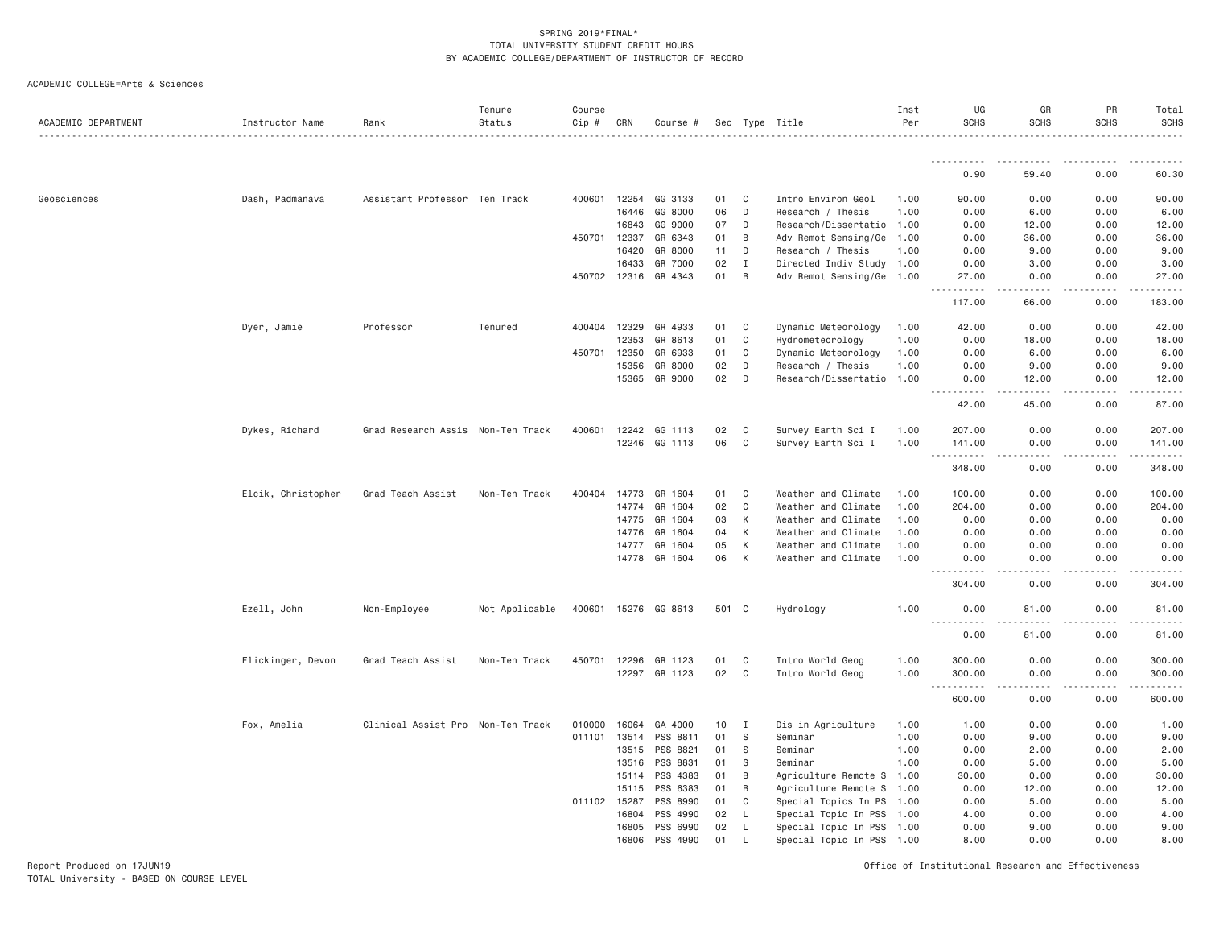ACADEMIC COLLEGE=Arts & Sciences

| ACADEMIC DEPARTMENT | Instructor Name    | Rank                              | Tenure<br>Status | Course<br>$Cip \#$ | CRN            | Course #             |          |             | Sec Type Title            | Inst<br>Per | UG<br><b>SCHS</b>                                                                              | GR<br>SCHS   | PR<br><b>SCHS</b> | Total<br><b>SCHS</b>   |
|---------------------|--------------------|-----------------------------------|------------------|--------------------|----------------|----------------------|----------|-------------|---------------------------|-------------|------------------------------------------------------------------------------------------------|--------------|-------------------|------------------------|
|                     |                    |                                   |                  |                    |                |                      |          |             |                           |             |                                                                                                |              |                   |                        |
|                     |                    |                                   |                  |                    |                |                      |          |             |                           |             | 0.90                                                                                           | 59.40        | 0.00              | 60.30                  |
| Geosciences         | Dash, Padmanava    | Assistant Professor Ten Track     |                  | 400601 12254       |                | GG 3133              | 01       | C           | Intro Environ Geol        | 1.00        | 90.00                                                                                          | 0.00         | 0.00              | 90.00                  |
|                     |                    |                                   |                  |                    | 16446          | GG 8000              | 06       | D           | Research / Thesis         | 1.00        | 0.00                                                                                           | 6.00         | 0.00              | 6.00                   |
|                     |                    |                                   |                  |                    | 16843          | GG 9000              | 07       | D           | Research/Dissertatio      | 1.00        | 0.00                                                                                           | 12.00        | 0.00              | 12.00                  |
|                     |                    |                                   |                  | 450701             | 12337          | GR 6343              | 01       | B           | Adv Remot Sensing/Ge      | 1.00        | 0.00                                                                                           | 36.00        | 0.00              | 36.00                  |
|                     |                    |                                   |                  |                    | 16420          | GR 8000              | 11       | D           | Research / Thesis         | 1.00        | 0.00                                                                                           | 9.00         | 0.00              | 9.00                   |
|                     |                    |                                   |                  |                    | 16433          | GR 7000              | 02       | $\mathbf I$ | Directed Indiv Study 1.00 |             | 0.00                                                                                           | 3.00         | 0.00              | 3.00                   |
|                     |                    |                                   |                  | 450702 12316       |                | GR 4343              | 01       | B           | Adv Remot Sensing/Ge      | 1.00        | 27.00<br><u>.</u><br>$\frac{1}{2} \frac{1}{2} \frac{1}{2} \frac{1}{2} \frac{1}{2} \frac{1}{2}$ | 0.00<br>.    | 0.00<br>.         | 27.00<br>.             |
|                     |                    |                                   |                  |                    |                |                      |          |             |                           |             | 117.00                                                                                         | 66.00        | 0.00              | 183.00                 |
|                     | Dyer, Jamie        | Professor                         | Tenured          | 400404             | 12329          | GR 4933              | 01       | C           | Dynamic Meteorology       | 1.00        | 42.00                                                                                          | 0.00         | 0.00              | 42.00                  |
|                     |                    |                                   |                  |                    | 12353          | GR 8613              | 01       | C           | Hydrometeorology          | 1.00        | 0.00                                                                                           | 18.00        | 0.00              | 18.00                  |
|                     |                    |                                   |                  | 450701 12350       |                | GR 6933              | 01       | C           | Dynamic Meteorology       | 1.00        | 0.00                                                                                           | 6.00         | 0.00              | 6.00                   |
|                     |                    |                                   |                  |                    | 15356          | GR 8000              | 02       | D           | Research / Thesis         | 1.00        | 0.00                                                                                           | 9.00         | 0.00              | 9.00                   |
|                     |                    |                                   |                  |                    | 15365          | GR 9000              | 02       | D           | Research/Dissertatio      | 1.00        | 0.00                                                                                           | 12.00        | 0.00              | 12.00                  |
|                     |                    |                                   |                  |                    |                |                      |          |             |                           |             | 42.00                                                                                          | 45.00        | 0.00              | 87.00                  |
|                     | Dykes, Richard     | Grad Research Assis Non-Ten Track |                  | 400601             | 12242          | GG 1113              | 02       | C           | Survey Earth Sci I        | 1.00        | 207.00                                                                                         | 0.00         | 0.00              | 207.00                 |
|                     |                    |                                   |                  |                    |                | 12246 GG 1113        | 06       | C           | Survey Earth Sci I        | 1.00        | 141.00<br>.                                                                                    | 0.00<br>.    | 0.00<br>-----     | 141.00<br>.            |
|                     |                    |                                   |                  |                    |                |                      |          |             |                           |             | 348.00                                                                                         | 0.00         | 0.00              | 348.00                 |
|                     | Elcik, Christopher | Grad Teach Assist                 | Non-Ten Track    | 400404             | 14773          | GR 1604              | 01       | C           | Weather and Climate       | 1.00        | 100.00                                                                                         | 0.00         | 0.00              | 100.00                 |
|                     |                    |                                   |                  |                    | 14774          | GR 1604              | 02       | C           | Weather and Climate       | 1.00        | 204.00                                                                                         | 0.00         | 0.00              | 204.00                 |
|                     |                    |                                   |                  |                    | 14775          | GR 1604              | 03       | К           | Weather and Climate       | 1.00        | 0.00                                                                                           | 0.00         | 0.00              | 0.00                   |
|                     |                    |                                   |                  |                    | 14776          | GR 1604              | 04       | К           | Weather and Climate       | 1,00        | 0.00                                                                                           | 0.00         | 0.00              | 0.00                   |
|                     |                    |                                   |                  |                    | 14777          | GR 1604              | 05       | К           | Weather and Climate       | 1.00        | 0.00                                                                                           | 0.00         | 0.00              | 0.00                   |
|                     |                    |                                   |                  |                    | 14778          | GR 1604              | 06       | К           | Weather and Climate       | 1.00        | 0.00<br>.                                                                                      | 0.00         | 0.00              | 0.00                   |
|                     |                    |                                   |                  |                    |                |                      |          |             |                           |             | 304.00                                                                                         | 0.00         | 0.00              | 304.00                 |
|                     | Ezell, John        | Non-Employee                      | Not Applicable   |                    |                | 400601 15276 GG 8613 | 501 C    |             | Hydrology                 | 1.00        | 0.00<br>.                                                                                      | 81.00        | 0.00              | 81.00                  |
|                     |                    |                                   |                  |                    |                |                      |          |             |                           |             | 0.00                                                                                           | 81.00        | 0.00              | 81.00                  |
|                     | Flickinger, Devon  | Grad Teach Assist                 | Non-Ten Track    | 450701             | 12296          | GR 1123              | 01       | C           | Intro World Geog          | 1.00        | 300.00                                                                                         | 0.00         | 0.00              | 300.00                 |
|                     |                    |                                   |                  |                    | 12297          | GR 1123              | 02       | C           | Intro World Geog          | 1.00        | 300.00                                                                                         | 0.00         | 0.00              | 300.00                 |
|                     |                    |                                   |                  |                    |                |                      |          |             |                           |             | .<br>$\sim$ $\sim$                                                                             | .            | .                 | <b><i><u>.</u></i></b> |
|                     |                    |                                   |                  |                    |                |                      |          |             |                           |             | 600.00                                                                                         | 0.00         | 0.00              | 600.00                 |
|                     | Fox, Amelia        | Clinical Assist Pro Non-Ten Track |                  | 010000             | 16064          | GA 4000              | 10       | I           | Dis in Agriculture        | 1.00        | 1.00                                                                                           | 0.00         | 0.00              | 1.00                   |
|                     |                    |                                   |                  | 011101 13514       |                | PSS 8811             | 01       | S           | Seminar                   | 1.00        | 0.00                                                                                           | 9.00         | 0.00              | 9.00                   |
|                     |                    |                                   |                  |                    | 13515          | PSS 8821             | 01       | -S          | Seminar                   | 1.00        | 0.00                                                                                           | 2.00         | 0.00              | 2.00                   |
|                     |                    |                                   |                  |                    | 13516          | PSS 8831             | 01       | S           | Seminar                   | 1.00        | 0.00                                                                                           | 5.00         | 0.00              | 5.00                   |
|                     |                    |                                   |                  |                    | 15114          | PSS 4383             | 01       | B           | Agriculture Remote S      | 1.00        | 30.00                                                                                          | 0.00         | 0.00              | 30.00                  |
|                     |                    |                                   |                  |                    | 15115          | PSS 6383             | 01       | B           | Agriculture Remote S      | 1.00        | 0.00                                                                                           | 12.00        | 0.00              | 12.00                  |
|                     |                    |                                   |                  | 011102 15287       |                | PSS 8990             | 01       | C           | Special Topics In PS 1.00 |             | 0.00                                                                                           | 5.00         | 0.00              | 5.00                   |
|                     |                    |                                   |                  |                    | 16804<br>16805 | PSS 4990<br>PSS 6990 | 02<br>02 | L<br>L      | Special Topic In PSS      | 1.00        | 4.00<br>0.00                                                                                   | 0.00<br>9.00 | 0.00<br>0.00      | 4.00<br>9.00           |
|                     |                    |                                   |                  |                    | 16806          | PSS 4990             | 01       |             | Special Topic In PSS 1.00 |             | 8,00                                                                                           | 0.00         | 0.00              | 8.00                   |
|                     |                    |                                   |                  |                    |                |                      |          |             | Special Topic In PSS      | 1.00        |                                                                                                |              |                   |                        |

Report Produced on 17JUN19 Office of Institutional Research and Effectiveness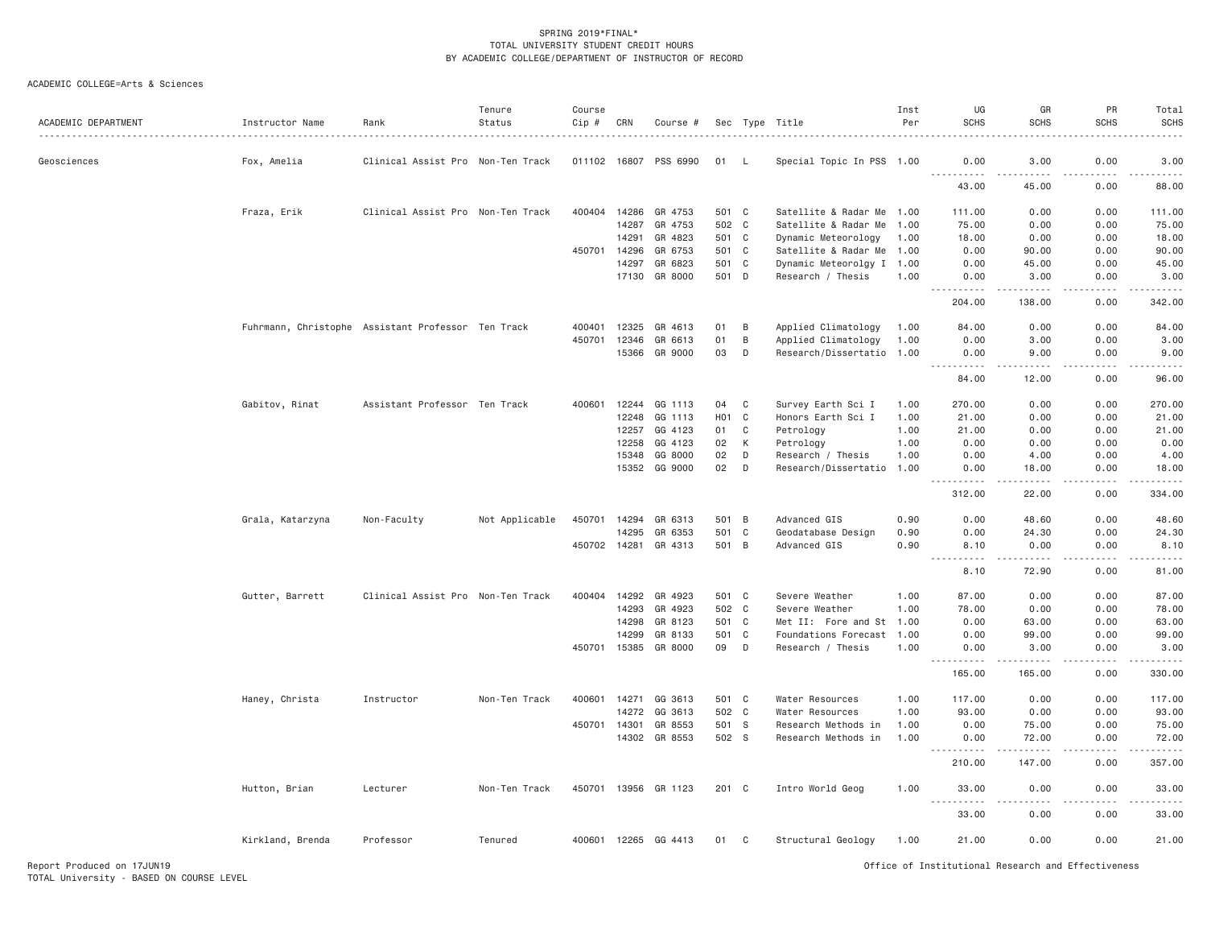| ACADEMIC DEPARTMENT | Instructor Name<br>.                               | Rank                              | Tenure<br>Status | Course<br>Cip # | CRN   | Course #             |                  |             | Sec Type Title            | Inst<br>Per | UG<br><b>SCHS</b>                                                                                                                                            | GR<br><b>SCHS</b>                                                                                                                                             | PR<br><b>SCHS</b>                                                                                                                                                                      | Total<br><b>SCHS</b>                                                                                                                                                                     |
|---------------------|----------------------------------------------------|-----------------------------------|------------------|-----------------|-------|----------------------|------------------|-------------|---------------------------|-------------|--------------------------------------------------------------------------------------------------------------------------------------------------------------|---------------------------------------------------------------------------------------------------------------------------------------------------------------|----------------------------------------------------------------------------------------------------------------------------------------------------------------------------------------|------------------------------------------------------------------------------------------------------------------------------------------------------------------------------------------|
| Geosciences         | Fox, Amelia                                        | Clinical Assist Pro Non-Ten Track |                  | 011102 16807    |       | PSS 6990             | 01               | - L         | Special Topic In PSS 1.00 |             | 0.00                                                                                                                                                         | 3.00                                                                                                                                                          | 0.00                                                                                                                                                                                   | 3.00                                                                                                                                                                                     |
|                     |                                                    |                                   |                  |                 |       |                      |                  |             |                           |             | 43.00                                                                                                                                                        | $\sim$ $\sim$ $\sim$ $\sim$<br>45.00                                                                                                                          | وعامات<br>0.00                                                                                                                                                                         | 88.00                                                                                                                                                                                    |
|                     | Fraza, Erik                                        | Clinical Assist Pro Non-Ten Track |                  | 400404          | 14286 | GR 4753              | 501 C            |             | Satellite & Radar Me 1.00 |             | 111.00                                                                                                                                                       | 0.00                                                                                                                                                          | 0.00                                                                                                                                                                                   | 111.00                                                                                                                                                                                   |
|                     |                                                    |                                   |                  |                 | 14287 | GR 4753              | 502 C            |             | Satellite & Radar Me 1.00 |             | 75.00                                                                                                                                                        | 0.00                                                                                                                                                          | 0.00                                                                                                                                                                                   | 75.00                                                                                                                                                                                    |
|                     |                                                    |                                   |                  |                 | 14291 | GR 4823              | 501 C            |             | Dynamic Meteorology       | 1.00        | 18.00                                                                                                                                                        | 0.00                                                                                                                                                          | 0.00                                                                                                                                                                                   | 18.00                                                                                                                                                                                    |
|                     |                                                    |                                   |                  | 450701 14296    |       | GR 6753              | 501 C            |             | Satellite & Radar Me 1.00 |             | 0.00                                                                                                                                                         | 90.00                                                                                                                                                         | 0.00                                                                                                                                                                                   | 90.00                                                                                                                                                                                    |
|                     |                                                    |                                   |                  |                 | 14297 | GR 6823              | 501 C            |             | Dynamic Meteorolgy I 1.00 |             | 0.00                                                                                                                                                         | 45.00                                                                                                                                                         | 0.00                                                                                                                                                                                   | 45.00                                                                                                                                                                                    |
|                     |                                                    |                                   |                  |                 | 17130 | GR 8000              | 501 D            |             | Research / Thesis         | 1.00        | 0.00<br>$\frac{1}{2} \left( \frac{1}{2} \right) \left( \frac{1}{2} \right) \left( \frac{1}{2} \right) \left( \frac{1}{2} \right) \left( \frac{1}{2} \right)$ | 3.00<br>.                                                                                                                                                     | 0.00<br>.                                                                                                                                                                              | 3.00<br>$- - - - - -$                                                                                                                                                                    |
|                     |                                                    |                                   |                  |                 |       |                      |                  |             |                           |             | 204.00                                                                                                                                                       | 138.00                                                                                                                                                        | 0.00                                                                                                                                                                                   | 342.00                                                                                                                                                                                   |
|                     | Fuhrmann, Christophe Assistant Professor Ten Track |                                   |                  | 400401          | 12325 | GR 4613              | 01               | B           | Applied Climatology       | 1.00        | 84,00                                                                                                                                                        | 0.00                                                                                                                                                          | 0.00                                                                                                                                                                                   | 84.00                                                                                                                                                                                    |
|                     |                                                    |                                   |                  | 450701          | 12346 | GR 6613              | 01               | В           | Applied Climatology       | 1.00        | 0.00                                                                                                                                                         | 3,00                                                                                                                                                          | 0.00                                                                                                                                                                                   | 3.00                                                                                                                                                                                     |
|                     |                                                    |                                   |                  |                 |       | 15366 GR 9000        | 03               | D           | Research/Dissertatio 1.00 |             | 0.00<br><u>.</u>                                                                                                                                             | 9.00<br>.                                                                                                                                                     | 0.00<br>.                                                                                                                                                                              | 9.00<br>.                                                                                                                                                                                |
|                     |                                                    |                                   |                  |                 |       |                      |                  |             |                           |             | 84.00                                                                                                                                                        | 12.00                                                                                                                                                         | 0.00                                                                                                                                                                                   | 96.00                                                                                                                                                                                    |
|                     | Gabitov, Rinat                                     | Assistant Professor Ten Track     |                  | 400601          | 12244 | GG 1113              | 04               | C           | Survey Earth Sci I        | 1.00        | 270.00                                                                                                                                                       | 0.00                                                                                                                                                          | 0.00                                                                                                                                                                                   | 270.00                                                                                                                                                                                   |
|                     |                                                    |                                   |                  |                 | 12248 | GG 1113              | H <sub>0</sub> 1 | $\mathbf C$ | Honors Earth Sci I        | 1.00        | 21.00                                                                                                                                                        | 0.00                                                                                                                                                          | 0.00                                                                                                                                                                                   | 21.00                                                                                                                                                                                    |
|                     |                                                    |                                   |                  |                 | 12257 | GG 4123              | 01               | C           | Petrology                 | 1.00        | 21.00                                                                                                                                                        | 0.00                                                                                                                                                          | 0.00                                                                                                                                                                                   | 21.00                                                                                                                                                                                    |
|                     |                                                    |                                   |                  |                 | 12258 | GG 4123              | 02               | К           | Petrology                 | 1.00        | 0.00                                                                                                                                                         | 0.00                                                                                                                                                          | 0.00                                                                                                                                                                                   | 0.00                                                                                                                                                                                     |
|                     |                                                    |                                   |                  |                 | 15348 | GG 8000              | 02               | D           | Research / Thesis         | 1.00        | 0.00                                                                                                                                                         | 4.00                                                                                                                                                          | 0.00                                                                                                                                                                                   | 4.00                                                                                                                                                                                     |
|                     |                                                    |                                   |                  |                 |       | 15352 GG 9000        | 02               | D           | Research/Dissertatio      | 1.00        | 0.00                                                                                                                                                         | 18.00<br>$\sim$ $\sim$ $\sim$ $\sim$                                                                                                                          | 0.00                                                                                                                                                                                   | 18.00                                                                                                                                                                                    |
|                     |                                                    |                                   |                  |                 |       |                      |                  |             |                           |             | 312.00                                                                                                                                                       | 22.00                                                                                                                                                         | 0.00                                                                                                                                                                                   | 334.00                                                                                                                                                                                   |
|                     | Grala, Katarzyna                                   | Non-Faculty                       | Not Applicable   |                 |       | 450701 14294 GR 6313 | 501 B            |             | Advanced GIS              | 0.90        | 0.00                                                                                                                                                         | 48.60                                                                                                                                                         | 0.00                                                                                                                                                                                   | 48.60                                                                                                                                                                                    |
|                     |                                                    |                                   |                  |                 | 14295 | GR 6353              | 501              | $\mathbf C$ | Geodatabase Design        | 0.90        | 0.00                                                                                                                                                         | 24.30                                                                                                                                                         | 0.00                                                                                                                                                                                   | 24.30                                                                                                                                                                                    |
|                     |                                                    |                                   |                  | 450702 14281    |       | GR 4313              | 501 B            |             | Advanced GIS              | 0.90        | 8.10<br>.                                                                                                                                                    | 0.00<br>-----                                                                                                                                                 | 0.00                                                                                                                                                                                   | 8.10<br>.                                                                                                                                                                                |
|                     |                                                    |                                   |                  |                 |       |                      |                  |             |                           |             | 8.10                                                                                                                                                         | 72.90                                                                                                                                                         | 0.00                                                                                                                                                                                   | 81.00                                                                                                                                                                                    |
|                     | Gutter, Barrett                                    | Clinical Assist Pro Non-Ten Track |                  | 400404          | 14292 | GR 4923              | 501 C            |             | Severe Weather            | 1.00        | 87.00                                                                                                                                                        | 0.00                                                                                                                                                          | 0.00                                                                                                                                                                                   | 87.00                                                                                                                                                                                    |
|                     |                                                    |                                   |                  |                 | 14293 | GR 4923              | 502 C            |             | Severe Weather            | 1.00        | 78.00                                                                                                                                                        | 0.00                                                                                                                                                          | 0.00                                                                                                                                                                                   | 78.00                                                                                                                                                                                    |
|                     |                                                    |                                   |                  |                 | 14298 | GR 8123              | 501 C            |             | Met II: Fore and St 1.00  |             | 0.00                                                                                                                                                         | 63.00                                                                                                                                                         | 0.00                                                                                                                                                                                   | 63.00                                                                                                                                                                                    |
|                     |                                                    |                                   |                  |                 | 14299 | GR 8133              | 501 C            |             | Foundations Forecast      | 1.00        | 0.00                                                                                                                                                         | 99.00                                                                                                                                                         | 0.00                                                                                                                                                                                   | 99.00                                                                                                                                                                                    |
|                     |                                                    |                                   |                  | 450701 15385    |       | GR 8000              | 09               | D           | Research / Thesis         | 1.00        | 0.00<br>.                                                                                                                                                    | 3.00<br>.                                                                                                                                                     | 0.00<br>.                                                                                                                                                                              | 3.00<br>$- - - - - - -$                                                                                                                                                                  |
|                     |                                                    |                                   |                  |                 |       |                      |                  |             |                           |             | 165.00                                                                                                                                                       | 165.00                                                                                                                                                        | 0.00                                                                                                                                                                                   | 330.00                                                                                                                                                                                   |
|                     | Haney, Christa                                     | Instructor                        | Non-Ten Track    | 400601 14271    |       | GG 3613              | 501 C            |             | Water Resources           | 1.00        | 117.00                                                                                                                                                       | 0.00                                                                                                                                                          | 0.00                                                                                                                                                                                   | 117.00                                                                                                                                                                                   |
|                     |                                                    |                                   |                  |                 | 14272 | GG 3613              | 502 C            |             | Water Resources           | 1.00        | 93.00                                                                                                                                                        | 0.00                                                                                                                                                          | 0.00                                                                                                                                                                                   | 93.00                                                                                                                                                                                    |
|                     |                                                    |                                   |                  | 450701          | 14301 | GR 8553              | 501 S            |             | Research Methods in       | 1.00        | 0.00                                                                                                                                                         | 75.00                                                                                                                                                         | 0.00                                                                                                                                                                                   | 75.00                                                                                                                                                                                    |
|                     |                                                    |                                   |                  |                 |       | 14302 GR 8553        | 502 S            |             | Research Methods in       | 1.00        | 0.00<br>.                                                                                                                                                    | 72.00<br>$\frac{1}{2} \left( \frac{1}{2} \right) \left( \frac{1}{2} \right) \left( \frac{1}{2} \right) \left( \frac{1}{2} \right) \left( \frac{1}{2} \right)$ | 0.00<br>$\frac{1}{2} \left( \frac{1}{2} \right) \left( \frac{1}{2} \right) \left( \frac{1}{2} \right) \left( \frac{1}{2} \right) \left( \frac{1}{2} \right)$<br>$\sim$ $\sim$ $\sim$ . | 72.00<br>$\frac{1}{2} \left( \frac{1}{2} \right) \left( \frac{1}{2} \right) \left( \frac{1}{2} \right) \left( \frac{1}{2} \right) \left( \frac{1}{2} \right) \left( \frac{1}{2} \right)$ |
|                     |                                                    |                                   |                  |                 |       |                      |                  |             |                           |             | 210.00                                                                                                                                                       | 147.00                                                                                                                                                        | 0.00                                                                                                                                                                                   | 357.00                                                                                                                                                                                   |
|                     | Hutton, Brian                                      | Lecturer                          | Non-Ten Track    |                 |       | 450701 13956 GR 1123 | 201 C            |             | Intro World Geog          | 1.00        | 33,00                                                                                                                                                        | 0.00                                                                                                                                                          | 0.00                                                                                                                                                                                   | 33.00<br>المالم عامات                                                                                                                                                                    |
|                     |                                                    |                                   |                  |                 |       |                      |                  |             |                           |             | 33.00                                                                                                                                                        | 0.00                                                                                                                                                          | 0.00                                                                                                                                                                                   | 33.00                                                                                                                                                                                    |
|                     | Kirkland, Brenda                                   | Professor                         | Tenured          |                 |       | 400601 12265 GG 4413 | 01               | C           | Structural Geology        | 1.00        | 21.00                                                                                                                                                        | 0.00                                                                                                                                                          | 0.00                                                                                                                                                                                   | 21.00                                                                                                                                                                                    |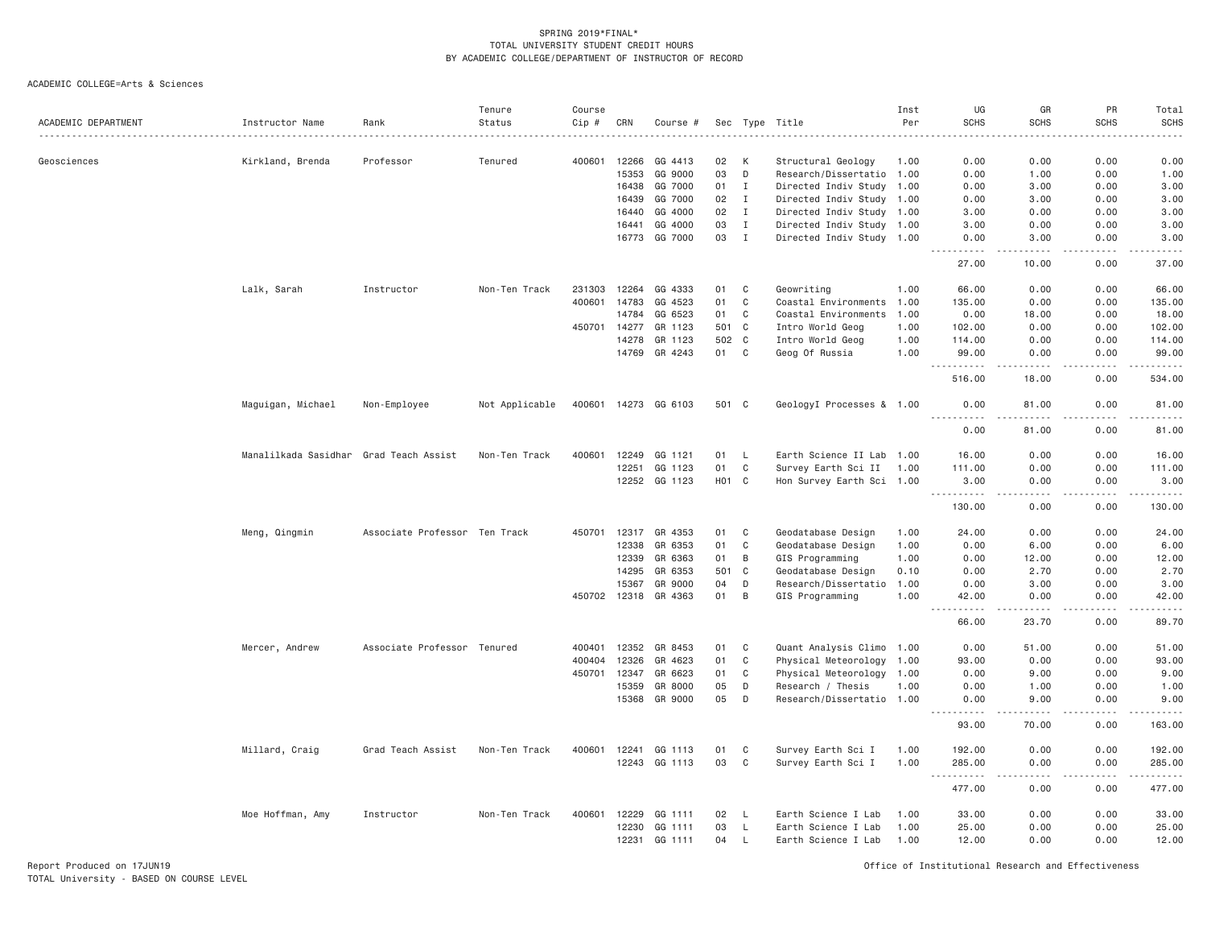ACADEMIC COLLEGE=Arts & Sciences

| ACADEMIC DEPARTMENT | Instructor Name                        | Rank                          | Tenure<br>Status | Course<br>Cip # | CRN          | Course #             |       |              | Sec Type Title            | Inst<br>Per | UG<br><b>SCHS</b>                   | GR<br><b>SCHS</b>                                                                                                                                            | PR<br><b>SCHS</b> | Total<br><b>SCHS</b>                           |
|---------------------|----------------------------------------|-------------------------------|------------------|-----------------|--------------|----------------------|-------|--------------|---------------------------|-------------|-------------------------------------|--------------------------------------------------------------------------------------------------------------------------------------------------------------|-------------------|------------------------------------------------|
|                     |                                        |                               |                  |                 |              |                      |       |              |                           |             |                                     |                                                                                                                                                              |                   | -----                                          |
| Geosciences         | Kirkland, Brenda                       | Professor                     | Tenured          | 400601          | 12266        | GG 4413              | 02    | K            | Structural Geology        | 1.00        | 0.00                                | 0.00                                                                                                                                                         | 0.00              | 0.00                                           |
|                     |                                        |                               |                  |                 | 15353        | GG 9000              | 03    | D            | Research/Dissertatio 1.00 |             | 0.00                                | 1.00                                                                                                                                                         | 0.00              | 1.00                                           |
|                     |                                        |                               |                  |                 | 16438        | GG 7000              | 01    | $\mathbf I$  | Directed Indiv Study 1.00 |             | 0.00                                | 3,00                                                                                                                                                         | 0.00              | 3.00                                           |
|                     |                                        |                               |                  |                 | 16439        | GG 7000              | 02    | $\mathbf{I}$ | Directed Indiv Study 1.00 |             | 0.00                                | 3.00                                                                                                                                                         | 0.00              | 3.00                                           |
|                     |                                        |                               |                  |                 | 16440        | GG 4000              | 02    | $\mathbf I$  | Directed Indiv Study 1.00 |             | 3.00                                | 0.00                                                                                                                                                         | 0.00              | 3.00                                           |
|                     |                                        |                               |                  |                 | 16441        | GG 4000              | 03    | $\mathbf{I}$ | Directed Indiv Study 1.00 |             | 3.00                                | 0.00                                                                                                                                                         | 0.00              | 3.00                                           |
|                     |                                        |                               |                  |                 | 16773        | GG 7000              | 03    | $\mathbf{I}$ | Directed Indiv Study 1.00 |             | 0.00<br>$- - - - -$                 | 3.00<br>.                                                                                                                                                    | 0.00<br>.         | 3.00<br>.                                      |
|                     |                                        |                               |                  |                 |              |                      |       |              |                           |             | 27.00                               | 10.00                                                                                                                                                        | 0.00              | 37.00                                          |
|                     | Lalk, Sarah                            | Instructor                    | Non-Ten Track    | 231303          | 12264        | GG 4333              | 01    | C            | Geowriting                | 1.00        | 66,00                               | 0.00                                                                                                                                                         | 0.00              | 66.00                                          |
|                     |                                        |                               |                  | 400601          | 14783        | GG 4523              | 01    | $\mathbb C$  | Coastal Environments      | 1.00        | 135.00                              | 0.00                                                                                                                                                         | 0.00              | 135.00                                         |
|                     |                                        |                               |                  |                 | 14784        | GG 6523              | 01    | C            | Coastal Environments 1.00 |             | 0.00                                | 18.00                                                                                                                                                        | 0.00              | 18.00                                          |
|                     |                                        |                               |                  | 450701          | 14277        | GR 1123              | 501 C |              | Intro World Geog          | 1.00        | 102.00                              | 0.00                                                                                                                                                         | 0.00              | 102.00                                         |
|                     |                                        |                               |                  |                 | 14278        | GR 1123              | 502   | C            | Intro World Geog          | 1.00        | 114.00                              | 0.00                                                                                                                                                         | 0.00              | 114.00                                         |
|                     |                                        |                               |                  |                 | 14769        | GR 4243              | 01    | $\mathbb C$  | Geog Of Russia            | 1.00        | 99.00                               | 0.00                                                                                                                                                         | 0.00              | 99.00<br>.                                     |
|                     |                                        |                               |                  |                 |              |                      |       |              |                           |             | د د د د<br>516.00                   | 18,00                                                                                                                                                        | 0.00              | 534.00                                         |
|                     | Maguigan, Michael                      | Non-Employee                  | Not Applicable   |                 |              | 400601 14273 GG 6103 | 501 C |              | GeologyI Processes & 1.00 |             | 0.00<br><u> - - - - - - - - - -</u> | 81.00<br>$- - - - -$                                                                                                                                         | 0.00<br>.         | 81.00<br>.                                     |
|                     |                                        |                               |                  |                 |              |                      |       |              |                           |             | 0.00                                | 81.00                                                                                                                                                        | 0.00              | 81.00                                          |
|                     | Manalilkada Sasidhar Grad Teach Assist |                               | Non-Ten Track    | 400601          | 12249        | GG 1121              | 01    | L.           | Earth Science II Lab 1.00 |             | 16.00                               | 0.00                                                                                                                                                         | 0.00              | 16.00                                          |
|                     |                                        |                               |                  |                 | 12251        | GG 1123              | 01    | $\mathbb C$  | Survey Earth Sci II       | 1.00        | 111.00                              | 0.00                                                                                                                                                         | 0.00              | 111.00                                         |
|                     |                                        |                               |                  |                 | 12252        | GG 1123              | H01 C |              | Hon Survey Earth Sci 1.00 |             | 3.00<br><u>.</u>                    | 0.00<br>$- - - -$                                                                                                                                            | 0.00<br>.         | 3.00<br>.                                      |
|                     |                                        |                               |                  |                 |              |                      |       |              |                           |             | 130.00                              | 0.00                                                                                                                                                         | 0.00              | 130.00                                         |
|                     | Meng, Qingmin                          | Associate Professor Ten Track |                  | 450701          | 12317        | GR 4353              | 01    | C            | Geodatabase Design        | 1.00        | 24.00                               | 0.00                                                                                                                                                         | 0.00              | 24.00                                          |
|                     |                                        |                               |                  |                 | 12338        | GR 6353              | 01    | $\mathbb C$  | Geodatabase Design        | 1.00        | 0.00                                | 6.00                                                                                                                                                         | 0.00              | 6.00                                           |
|                     |                                        |                               |                  |                 | 12339        | GR 6363              | 01    | $\,$ B       | GIS Programming           | 1.00        | 0.00                                | 12.00                                                                                                                                                        | 0.00              | 12.00                                          |
|                     |                                        |                               |                  |                 | 14295        | GR 6353              | 501   | C            | Geodatabase Design        | 0.10        | 0.00                                | 2.70                                                                                                                                                         | 0.00              | 2.70                                           |
|                     |                                        |                               |                  |                 | 15367        | GR 9000              | 04    | D            | Research/Dissertatio      | 1.00        | 0.00                                | 3.00                                                                                                                                                         | 0.00              | 3.00                                           |
|                     |                                        |                               |                  |                 | 450702 12318 | GR 4363              | 01    | B            | GIS Programming           | 1.00        | 42.00<br>.<br>$- - -$               | 0.00<br>$\frac{1}{2} \left( \frac{1}{2} \right) \left( \frac{1}{2} \right) \left( \frac{1}{2} \right) \left( \frac{1}{2} \right) \left( \frac{1}{2} \right)$ | 0.00<br>.         | 42.00<br>.                                     |
|                     |                                        |                               |                  |                 |              |                      |       |              |                           |             | 66.00                               | 23.70                                                                                                                                                        | 0.00              | 89.70                                          |
|                     | Mercer, Andrew                         | Associate Professor Tenured   |                  | 400401          | 12352        | GR 8453              | 01    | C            | Quant Analysis Climo 1.00 |             | 0.00                                | 51.00                                                                                                                                                        | 0.00              | 51.00                                          |
|                     |                                        |                               |                  | 400404          | 12326        | GR 4623              | 01    | C            | Physical Meteorology 1.00 |             | 93.00                               | 0.00                                                                                                                                                         | 0.00              | 93.00                                          |
|                     |                                        |                               |                  | 450701          | 12347        | GR 6623              | 01    | C            | Physical Meteorology 1.00 |             | 0.00                                | 9,00                                                                                                                                                         | 0.00              | 9.00                                           |
|                     |                                        |                               |                  |                 | 15359        | GR 8000              | 05    | D            | Research / Thesis         | 1.00        | 0.00                                | 1.00                                                                                                                                                         | 0.00              | 1.00                                           |
|                     |                                        |                               |                  |                 | 15368        | GR 9000              | 05    | D            | Research/Dissertatio 1.00 |             | 0.00<br>.                           | 9.00<br>.                                                                                                                                                    | 0.00<br>د د د د   | 9.00<br>.                                      |
|                     |                                        |                               |                  |                 |              |                      |       |              |                           |             | 93.00                               | 70.00                                                                                                                                                        | 0.00              | 163.00                                         |
|                     | Millard, Craig                         | Grad Teach Assist             | Non-Ten Track    | 400601          | 12241        | GG 1113              | 01    | C            | Survey Earth Sci I        | 1.00        | 192.00                              | 0.00                                                                                                                                                         | 0.00              | 192.00                                         |
|                     |                                        |                               |                  |                 |              | 12243 GG 1113        | 03    | $\mathbf{C}$ | Survey Earth Sci I        | 1.00        | 285.00<br>.                         | 0.00<br>.                                                                                                                                                    | 0.00<br>.         | 285.00<br>$\omega$ is a second set of $\omega$ |
|                     |                                        |                               |                  |                 |              |                      |       |              |                           |             | 477.00                              | 0.00                                                                                                                                                         | 0.00              | 477.00                                         |
|                     | Moe Hoffman, Amy                       | Instructor                    | Non-Ten Track    | 400601          | 12229        | GG 1111              | 02    | L.           | Earth Science I Lab       | 1.00        | 33.00                               | 0.00                                                                                                                                                         | 0.00              | 33.00                                          |
|                     |                                        |                               |                  |                 | 12230        | GG 1111              | 03    | L            | Earth Science I Lab       | 1.00        | 25.00                               | 0.00                                                                                                                                                         | 0.00              | 25.00                                          |
|                     |                                        |                               |                  |                 | 12231        | GG 1111              | 04    | L            | Earth Science I Lab       | 1.00        | 12.00                               | 0.00                                                                                                                                                         | 0.00              | 12.00                                          |

Report Produced on 17JUN19 Office of Institutional Research and Effectiveness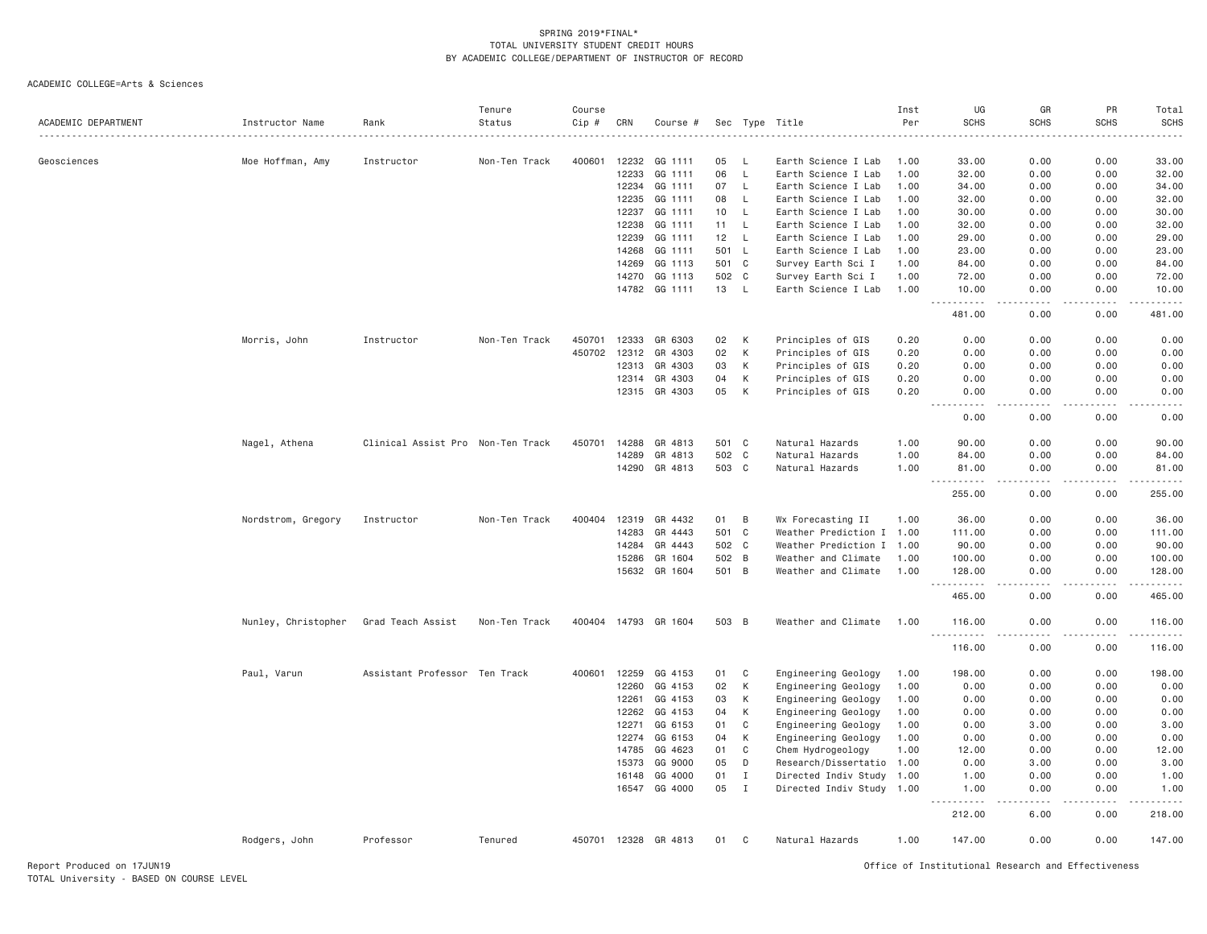| ACADEMIC DEPARTMENT | Instructor Name     | Rank                              | Tenure<br>Status | Course<br>Cip # | CRN   | Course #             | Sec   | Type         | Title                     | Inst<br>Per | UG<br><b>SCHS</b>    | GR<br><b>SCHS</b>                           | PR<br><b>SCHS</b> | Total<br><b>SCHS</b>                          |
|---------------------|---------------------|-----------------------------------|------------------|-----------------|-------|----------------------|-------|--------------|---------------------------|-------------|----------------------|---------------------------------------------|-------------------|-----------------------------------------------|
|                     |                     |                                   |                  |                 |       |                      |       |              |                           |             |                      |                                             |                   |                                               |
| Geosciences         | Moe Hoffman, Amy    | Instructor                        | Non-Ten Track    | 400601          | 12232 | GG 1111              | 05    | - L          | Earth Science I Lab       | 1.00        | 33.00                | 0.00                                        | 0.00              | 33.00                                         |
|                     |                     |                                   |                  |                 | 12233 | GG 1111              | 06    | $\mathsf{L}$ | Earth Science I Lab       | 1,00        | 32.00                | 0.00                                        | 0.00              | 32.00                                         |
|                     |                     |                                   |                  |                 | 12234 | GG 1111              | 07    | $\mathsf{L}$ | Earth Science I Lab       | 1.00        | 34.00                | 0.00                                        | 0.00              | 34.00                                         |
|                     |                     |                                   |                  |                 | 12235 | GG 1111              | 08    | L            | Earth Science I Lab       | 1.00        | 32.00                | 0.00                                        | 0.00              | 32.00                                         |
|                     |                     |                                   |                  |                 | 12237 | GG 1111              | 10    | L            | Earth Science I Lab       | 1.00        | 30.00                | 0.00                                        | 0.00              | 30.00                                         |
|                     |                     |                                   |                  |                 | 12238 | GG 1111              | 11    | $\mathsf{L}$ | Earth Science I Lab       | 1.00        | 32.00                | 0.00                                        | 0.00              | 32.00                                         |
|                     |                     |                                   |                  |                 | 12239 | GG 1111              | 12    | $\mathsf{L}$ | Earth Science I Lab       | 1.00        | 29.00                | 0.00                                        | 0.00              | 29.00                                         |
|                     |                     |                                   |                  |                 | 14268 | GG 1111              | 501   | $\mathsf{L}$ | Earth Science I Lab       | 1.00        | 23.00                | 0.00                                        | 0.00              | 23.00                                         |
|                     |                     |                                   |                  |                 | 14269 | GG 1113              | 501   | $\mathbf{C}$ | Survey Earth Sci I        | 1.00        | 84.00                | 0.00                                        | 0.00              | 84.00                                         |
|                     |                     |                                   |                  |                 | 14270 | GG 1113              | 502   | C            | Survey Earth Sci I        | 1.00        | 72.00                | 0.00                                        | 0.00              | 72.00                                         |
|                     |                     |                                   |                  |                 | 14782 | GG 1111              | 13    | $\mathsf{L}$ | Earth Science I Lab       | 1.00        | 10.00<br>$- - - - -$ | 0.00<br>$\omega$ $\omega$ $\omega$ $\omega$ | 0.00<br>.         | 10.00<br>.                                    |
|                     |                     |                                   |                  |                 |       |                      |       |              |                           |             | 481.00               | 0.00                                        | 0.00              | 481.00                                        |
|                     | Morris, John        | Instructor                        | Non-Ten Track    | 450701          | 12333 | GR 6303              | 02    | K            | Principles of GIS         | 0.20        | 0.00                 | 0.00                                        | 0.00              | 0.00                                          |
|                     |                     |                                   |                  | 450702          | 12312 | GR 4303              | 02    | К            | Principles of GIS         | 0.20        | 0.00                 | 0.00                                        | 0.00              | 0.00                                          |
|                     |                     |                                   |                  |                 | 12313 | GR 4303              | 03    | К            | Principles of GIS         | 0.20        | 0.00                 | 0.00                                        | 0.00              | 0.00                                          |
|                     |                     |                                   |                  |                 | 12314 | GR 4303              | 04    | К            | Principles of GIS         | 0.20        | 0.00                 | 0.00                                        | 0.00              | 0.00                                          |
|                     |                     |                                   |                  |                 | 12315 | GR 4303              | 05    | К            | Principles of GIS         | 0.20        | 0.00<br>$-$<br>.     | 0.00<br>$- - - -$                           | 0.00<br>.         | 0.00<br>$- - - -$                             |
|                     |                     |                                   |                  |                 |       |                      |       |              |                           |             | 0.00                 | 0.00                                        | 0.00              | 0.00                                          |
|                     | Nagel, Athena       | Clinical Assist Pro Non-Ten Track |                  | 450701          | 14288 | GR 4813              | 501 C |              | Natural Hazards           | 1.00        | 90.00                | 0.00                                        | 0.00              | 90.00                                         |
|                     |                     |                                   |                  |                 | 14289 | GR 4813              | 502 C |              | Natural Hazards           | 1.00        | 84.00                | 0.00                                        | 0.00              | 84.00                                         |
|                     |                     |                                   |                  |                 |       | 14290 GR 4813        | 503 C |              | Natural Hazards           | 1.00        | 81.00<br>$- - - - -$ | 0.00<br>.                                   | 0.00<br>.         | 81.00<br>.                                    |
|                     |                     |                                   |                  |                 |       |                      |       |              |                           |             | 255.00               | 0.00                                        | 0.00              | 255.00                                        |
|                     | Nordstrom, Gregory  | Instructor                        | Non-Ten Track    | 400404          | 12319 | GR 4432              | 01    | B            | Wx Forecasting II         | 1.00        | 36.00                | 0.00                                        | 0.00              | 36.00                                         |
|                     |                     |                                   |                  |                 | 14283 | GR 4443              | 501   | $\mathbf C$  | Weather Prediction I      | 1.00        | 111.00               | 0.00                                        | 0.00              | 111.00                                        |
|                     |                     |                                   |                  |                 | 14284 | GR 4443              | 502   | C            | Weather Prediction I 1.00 |             | 90.00                | 0.00                                        | 0.00              | 90.00                                         |
|                     |                     |                                   |                  |                 | 15286 | GR 1604              | 502 B |              | Weather and Climate       | 1.00        | 100.00               | 0.00                                        | 0.00              | 100.00                                        |
|                     |                     |                                   |                  |                 |       | 15632 GR 1604        | 501 B |              | Weather and Climate       | 1.00        | 128.00               | 0.00                                        | 0.00              | 128.00                                        |
|                     |                     |                                   |                  |                 |       |                      |       |              |                           |             | .<br>$  -$<br>465.00 | $- - - -$<br>0.00                           | .<br>0.00         | $\omega$ is $\omega$ in $\omega$ in<br>465.00 |
|                     | Nunley, Christopher | Grad Teach Assist                 | Non-Ten Track    |                 |       | 400404 14793 GR 1604 | 503 B |              | Weather and Climate       | 1.00        | 116.00<br>.          | 0.00<br>$\sim$ $\sim$ $\sim$ $\sim$         | 0.00<br>.         | 116.00<br>. <u>.</u> .                        |
|                     |                     |                                   |                  |                 |       |                      |       |              |                           |             | 116.00               | 0.00                                        | 0.00              | 116.00                                        |
|                     | Paul, Varun         | Assistant Professor Ten Track     |                  | 400601          | 12259 | GG 4153              | 01    | C            | Engineering Geology       | 1.00        | 198.00               | 0.00                                        | 0.00              | 198.00                                        |
|                     |                     |                                   |                  |                 | 12260 | GG 4153              | 02    | К            | Engineering Geology       | 1.00        | 0.00                 | 0.00                                        | 0.00              | 0.00                                          |
|                     |                     |                                   |                  |                 | 12261 | GG 4153              | 03    | K            | Engineering Geology       | 1.00        | 0.00                 | 0.00                                        | 0.00              | 0.00                                          |
|                     |                     |                                   |                  |                 | 12262 | GG 4153              | 04    | К            | Engineering Geology       | 1.00        | 0.00                 | 0.00                                        | 0.00              | 0.00                                          |
|                     |                     |                                   |                  |                 | 12271 | GG 6153              | 01    | C            | Engineering Geology       | 1.00        | 0.00                 | 3.00                                        | 0.00              | 3.00                                          |
|                     |                     |                                   |                  |                 | 12274 | GG 6153              | 04    | К            | Engineering Geology       | 1.00        | 0.00                 | 0.00                                        | 0.00              | 0.00                                          |
|                     |                     |                                   |                  |                 | 14785 | GG 4623              | 01    | $\mathbf C$  | Chem Hydrogeology         | 1.00        | 12.00                | 0.00                                        | 0.00              | 12.00                                         |
|                     |                     |                                   |                  |                 | 15373 | GG 9000              | 05    | D            | Research/Dissertatio      | 1.00        | 0.00                 | 3.00                                        | 0.00              | 3.00                                          |
|                     |                     |                                   |                  |                 | 16148 | GG 4000              | 01    | I            | Directed Indiv Study 1.00 |             | 1.00                 | 0.00                                        | 0.00              | 1.00                                          |
|                     |                     |                                   |                  |                 | 16547 | GG 4000              | 05    | $\;$ I       | Directed Indiv Study 1.00 |             | 1.00                 | 0.00                                        | 0.00              | 1.00                                          |
|                     |                     |                                   |                  |                 |       |                      |       |              |                           |             | 212.00               | 6.00                                        | 0.00              | 218.00                                        |
|                     | Rodgers, John       | Professor                         | Tenured          |                 |       | 450701 12328 GR 4813 | 01    | C            | Natural Hazards           | 1.00        | 147.00               | 0.00                                        | 0.00              | 147.00                                        |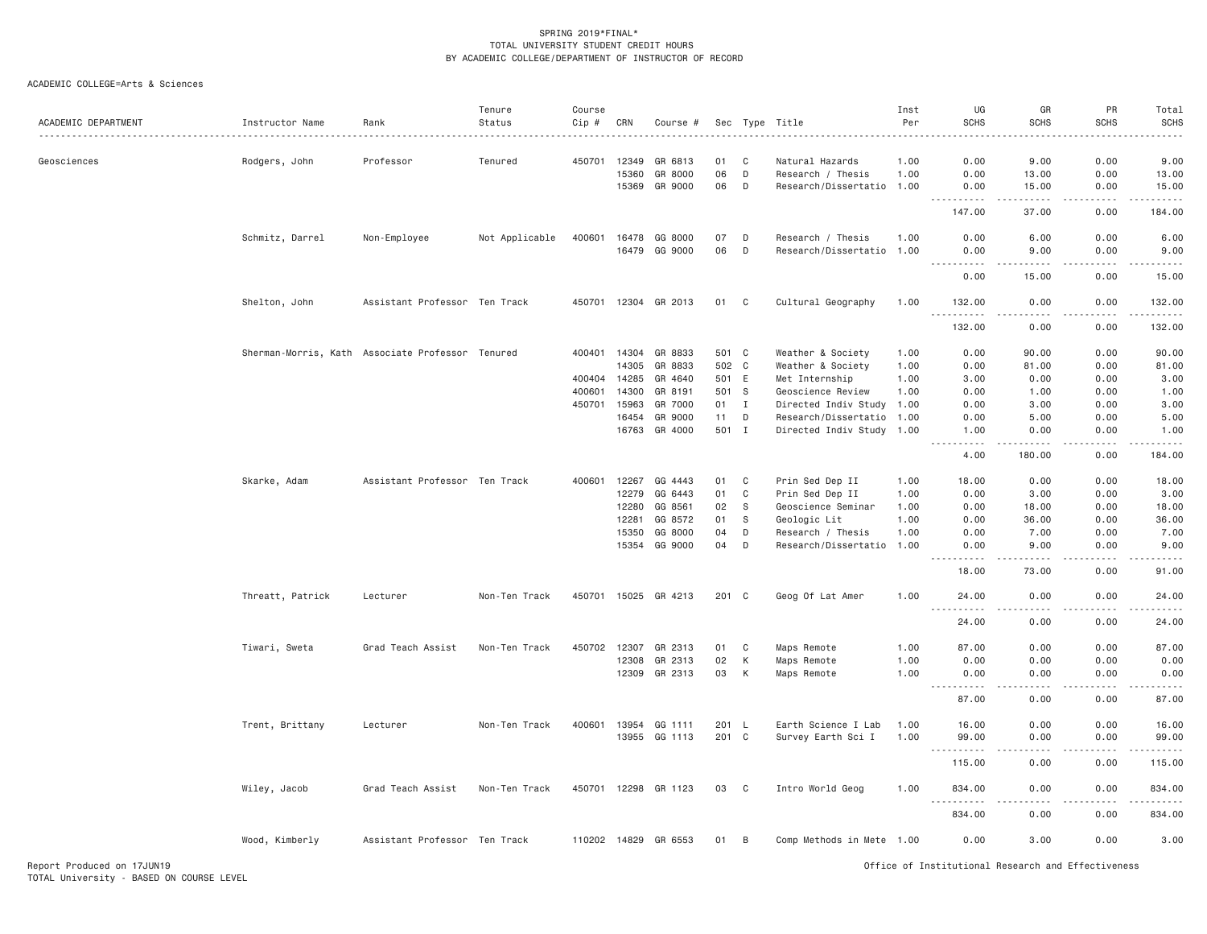| ACADEMIC DEPARTMENT | Instructor Name                                  | Rank                          | Tenure<br>Status | Course<br>Cip # | CRN            | Course #                        |                |              | Sec Type Title                                         | Inst<br>Per  | UG<br><b>SCHS</b>                  | GR<br><b>SCHS</b>                                                                                                                                             | PR<br><b>SCHS</b> | Total<br><b>SCHS</b>    |
|---------------------|--------------------------------------------------|-------------------------------|------------------|-----------------|----------------|---------------------------------|----------------|--------------|--------------------------------------------------------|--------------|------------------------------------|---------------------------------------------------------------------------------------------------------------------------------------------------------------|-------------------|-------------------------|
| Geosciences         | Rodgers, John                                    | Professor                     | Tenured          | 450701          | 12349          | GR 6813                         | 01             | C            | Natural Hazards                                        | 1.00         | 0.00                               | 9.00                                                                                                                                                          | 0.00              | 9.00                    |
|                     |                                                  |                               |                  |                 | 15360<br>15369 | GR 8000<br>GR 9000              | 06<br>06       | D<br>D       | Research / Thesis<br>Research/Dissertatio 1.00         | 1.00         | 0.00<br>0.00                       | 13.00<br>15.00                                                                                                                                                | 0.00<br>0.00      | 13.00<br>15.00          |
|                     |                                                  |                               |                  |                 |                |                                 |                |              |                                                        |              | $\sim$ $\sim$ $\sim$<br>147.00     | $\frac{1}{2} \left( \frac{1}{2} \right) \left( \frac{1}{2} \right) \left( \frac{1}{2} \right) \left( \frac{1}{2} \right) \left( \frac{1}{2} \right)$<br>37.00 | .<br>0.00         | .<br>184.00             |
|                     | Schmitz, Darrel                                  | Non-Employee                  | Not Applicable   |                 | 16479          | 400601 16478 GG 8000<br>GG 9000 | 07<br>06       | D<br>D       | Research / Thesis<br>Research/Dissertatio              | 1.00<br>1.00 | 0.00<br>0.00                       | 6.00<br>9.00                                                                                                                                                  | 0.00<br>0.00      | 6.00<br>9.00            |
|                     |                                                  |                               |                  |                 |                |                                 |                |              |                                                        |              | $- - - -$<br>$- - - - - -$<br>0.00 | .<br>15.00                                                                                                                                                    | .<br>0.00         | .<br>15.00              |
|                     | Shelton, John                                    | Assistant Professor Ten Track |                  | 450701 12304    |                | GR 2013                         | 01             | $\mathbf{C}$ | Cultural Geography                                     | 1.00         | 132.00                             | 0.00                                                                                                                                                          | 0.00              | 132.00                  |
|                     |                                                  |                               |                  |                 |                |                                 |                |              |                                                        |              | .<br>132.00                        | .<br>0.00                                                                                                                                                     | .<br>0.00         | $- - - - - -$<br>132.00 |
|                     | Sherman-Morris, Kath Associate Professor Tenured |                               |                  | 400401          | 14304<br>14305 | GR 8833<br>GR 8833              | 501 C<br>502 C |              | Weather & Society<br>Weather & Society                 | 1.00<br>1.00 | 0.00<br>0.00                       | 90.00<br>81.00                                                                                                                                                | 0.00<br>0.00      | 90.00<br>81.00          |
|                     |                                                  |                               |                  | 400404 14285    |                | GR 4640                         | 501 E          |              | Met Internship                                         | 1.00         | 3.00                               | 0.00                                                                                                                                                          | 0.00              | 3.00                    |
|                     |                                                  |                               |                  | 400601          | 14300          | GR 8191                         | 501 S          |              | Geoscience Review                                      | 1.00         | 0.00                               | 1.00                                                                                                                                                          | 0.00              | 1.00                    |
|                     |                                                  |                               |                  | 450701          | 15963          | GR 7000                         | 01             | $\mathbf{I}$ | Directed Indiv Study                                   | 1.00         | 0.00                               | 3.00                                                                                                                                                          | 0.00              | 3.00                    |
|                     |                                                  |                               |                  |                 | 16454          | GR 9000                         | 11             | D            |                                                        |              | 0.00                               | 5.00                                                                                                                                                          | 0.00              | 5.00                    |
|                     |                                                  |                               |                  |                 |                | 16763 GR 4000                   | 501 I          |              | Research/Dissertatio 1.00<br>Directed Indiv Study 1.00 |              | 1.00<br>.                          | 0.00<br>-----                                                                                                                                                 | 0.00<br>.         | 1.00<br>-----           |
|                     |                                                  |                               |                  |                 |                |                                 |                |              |                                                        |              | 4.00                               | 180.00                                                                                                                                                        | 0.00              | 184.00                  |
|                     | Skarke, Adam                                     | Assistant Professor Ten Track |                  | 400601 12267    |                | GG 4443                         | 01             | $\mathbf{C}$ | Prin Sed Dep II                                        | 1.00         | 18.00                              | 0.00                                                                                                                                                          | 0.00              | 18.00                   |
|                     |                                                  |                               |                  |                 | 12279          | GG 6443                         | 01             | $\mathsf{C}$ | Prin Sed Dep II                                        | 1.00         | 0.00                               | 3.00                                                                                                                                                          | 0.00              | 3.00                    |
|                     |                                                  |                               |                  |                 | 12280          | GG 8561                         | 02             | ${\tt S}$    | Geoscience Seminar                                     | 1.00         | 0.00                               | 18.00                                                                                                                                                         | 0.00              | 18.00                   |
|                     |                                                  |                               |                  |                 |                | GG 8572                         |                |              |                                                        |              | 0.00                               |                                                                                                                                                               | 0.00              |                         |
|                     |                                                  |                               |                  |                 | 12281          |                                 | 01             | S            | Geologic Lit                                           | 1.00         |                                    | 36.00                                                                                                                                                         |                   | 36.00                   |
|                     |                                                  |                               |                  |                 | 15350          | GG 8000                         | 04             | D            | Research / Thesis                                      | 1.00         | 0.00                               | 7.00                                                                                                                                                          | 0.00              | 7.00                    |
|                     |                                                  |                               |                  |                 | 15354          | GG 9000                         | 04             | D            | Research/Dissertatio                                   | 1.00         | 0.00<br>- - -<br>.                 | 9.00<br>$\sim$ $\sim$ $\sim$ $\sim$                                                                                                                           | 0.00              | 9.00<br>$- - - -$       |
|                     |                                                  |                               |                  |                 |                |                                 |                |              |                                                        |              | 18.00                              | 73.00                                                                                                                                                         | 0.00              | 91.00                   |
|                     | Threatt, Patrick                                 | Lecturer                      | Non-Ten Track    |                 |                | 450701 15025 GR 4213            | 201 C          |              | Geog Of Lat Amer                                       | 1.00         | 24.00                              | 0.00                                                                                                                                                          | 0.00              | 24.00                   |
|                     |                                                  |                               |                  |                 |                |                                 |                |              |                                                        |              | 24.00                              | 0.00                                                                                                                                                          | 0.00              | 24.00                   |
|                     | Tiwari, Sweta                                    | Grad Teach Assist             | Non-Ten Track    | 450702          | 12307          | GR 2313                         | 01             | $\mathbf{C}$ | Maps Remote                                            | 1.00         | 87.00                              | 0.00                                                                                                                                                          | 0.00              | 87.00                   |
|                     |                                                  |                               |                  |                 | 12308          | GR 2313                         | 02             | К            | Maps Remote                                            | 1.00         | 0.00                               | 0.00                                                                                                                                                          | 0.00              | 0.00                    |
|                     |                                                  |                               |                  |                 |                | 12309 GR 2313                   | 03             | К            | Maps Remote                                            | 1.00         | 0.00<br>$  -$<br>.                 | 0.00<br>.                                                                                                                                                     | 0.00<br>-----     | 0.00<br>.               |
|                     |                                                  |                               |                  |                 |                |                                 |                |              |                                                        |              | 87.00                              | 0.00                                                                                                                                                          | 0.00              | 87.00                   |
|                     | Trent, Brittany                                  | Lecturer                      | Non-Ten Track    |                 |                | 400601 13954 GG 1111            | 201 L          |              | Earth Science I Lab                                    | 1.00         | 16.00                              | 0.00                                                                                                                                                          | 0.00              | 16.00                   |
|                     |                                                  |                               |                  |                 | 13955          | GG 1113                         | 201            | $\mathbf{C}$ | Survey Earth Sci I                                     | 1.00         | 99.00                              | 0.00<br>----                                                                                                                                                  | 0.00<br>.         | 99.00<br>.              |
|                     |                                                  |                               |                  |                 |                |                                 |                |              |                                                        |              | 115.00                             | 0.00                                                                                                                                                          | 0.00              | 115.00                  |
|                     | Wiley, Jacob                                     | Grad Teach Assist             | Non-Ten Track    | 450701 12298    |                | GR 1123                         | 03             | C            | Intro World Geog                                       | 1.00         | 834.00<br><u>.</u>                 | 0.00<br>.                                                                                                                                                     | 0.00              | 834.00<br>.             |
|                     |                                                  |                               |                  |                 |                |                                 |                |              |                                                        |              | 834.00                             | 0.00                                                                                                                                                          | 0.00              | 834.00                  |
|                     | Wood, Kimberly                                   | Assistant Professor Ten Track |                  |                 |                | 110202 14829 GR 6553            | 01             | B            | Comp Methods in Mete 1.00                              |              | 0.00                               | 3.00                                                                                                                                                          | 0.00              | 3.00                    |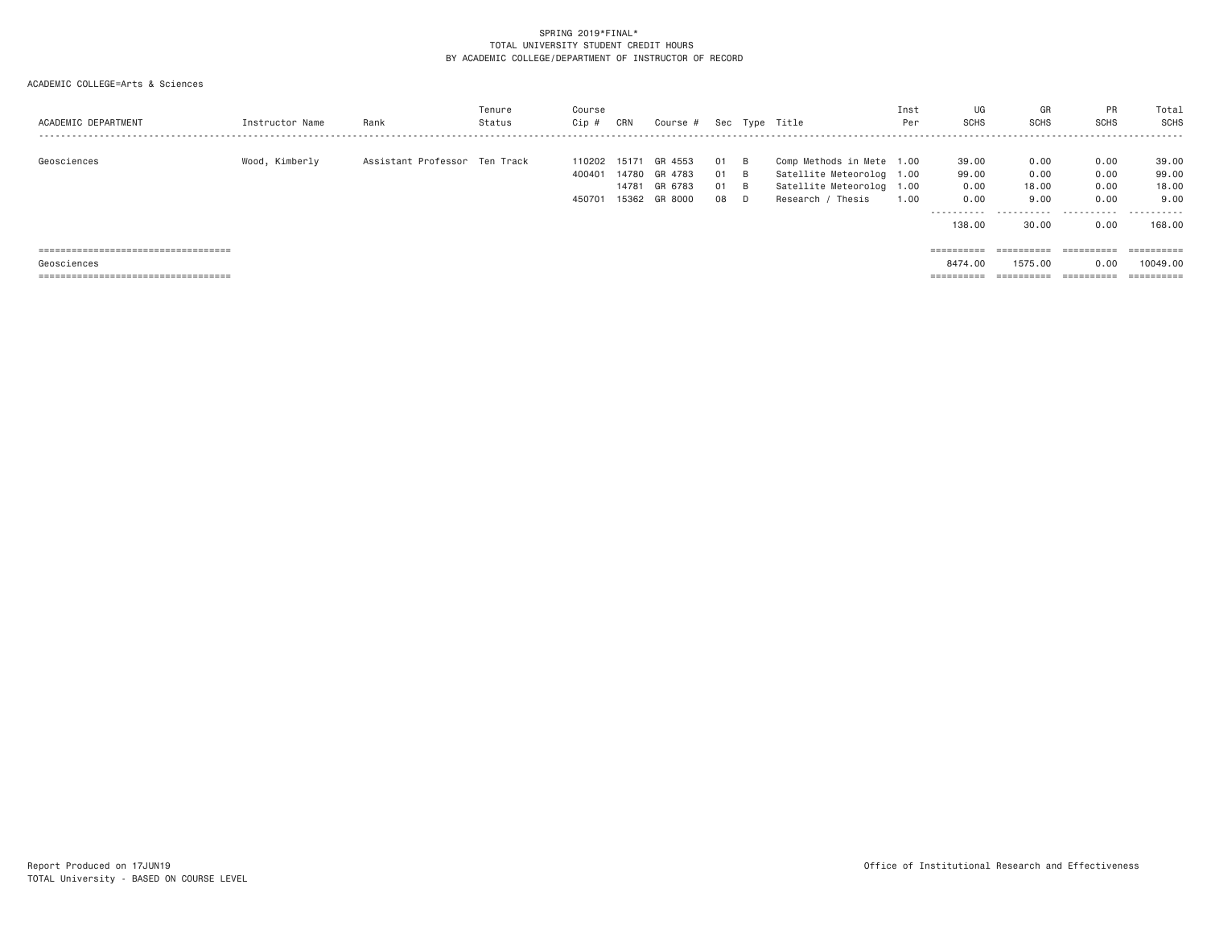| ACADEMIC DEPARTMENT                   | Instructor Name | Rank                          | Tenure<br>Status | Course<br>Cip #            | CRN                              | Course #                                 |                      |                                                         | Sec Type Title                                                                                              | Inst<br>Per | UG<br><b>SCHS</b>                            | GR<br><b>SCHS</b>             | PR<br><b>SCHS</b>                 | Total<br>SCHS                              |
|---------------------------------------|-----------------|-------------------------------|------------------|----------------------------|----------------------------------|------------------------------------------|----------------------|---------------------------------------------------------|-------------------------------------------------------------------------------------------------------------|-------------|----------------------------------------------|-------------------------------|-----------------------------------|--------------------------------------------|
| Geosciences                           | Wood, Kimberly  | Assistant Professor Ten Track |                  | 110202<br>400401<br>450701 | 15171<br>14780<br>14781<br>15362 | GR 4553<br>GR 4783<br>GR 6783<br>GR 8000 | 01<br>01<br>01<br>08 | $\overline{B}$<br>$\overline{B}$<br>$\overline{B}$<br>D | Comp Methods in Mete 1.00<br>Satellite Meteorolog 1.00<br>Satellite Meteorolog 1.00<br>Thesis<br>Research / | 1,00        | 39.00<br>99.00<br>0.00<br>0.00<br>---------- | 0.00<br>0.00<br>18,00<br>9,00 | 0.00<br>0.00<br>0.00<br>0.00<br>. | 39.00<br>99.00<br>18.00<br>9.00<br>------- |
|                                       |                 |                               |                  |                            |                                  |                                          |                      |                                                         |                                                                                                             |             | 138,00                                       | 30.00                         | 0.00                              | 168,00                                     |
| ===================================== |                 |                               |                  |                            |                                  |                                          |                      |                                                         |                                                                                                             |             |                                              | $=$ = = = = = = = = =         | ==========                        | ==========                                 |
| Geosciences                           |                 |                               |                  |                            |                                  |                                          |                      |                                                         |                                                                                                             |             | 8474.00                                      | 1575.00                       | 0.00                              | 10049.00                                   |
| ==========================            |                 |                               |                  |                            |                                  |                                          |                      |                                                         |                                                                                                             |             | ==========                                   | =========                     | =======                           | ==========                                 |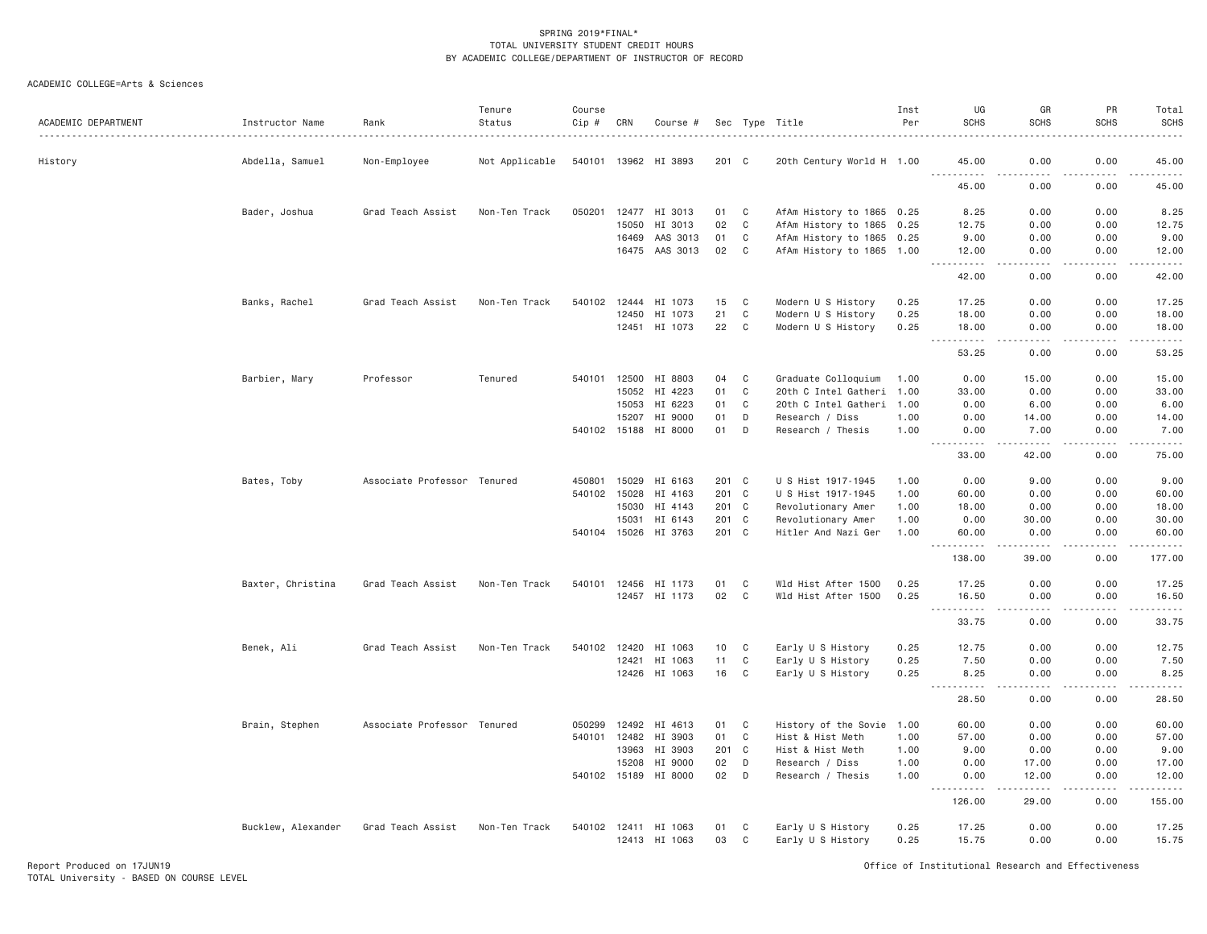| ACADEMIC DEPARTMENT | Instructor Name    | Rank                        | Tenure<br>Status | Course<br>Cip # | CRN   | Course #             |       |              | Sec Type Title            | Inst<br>Per | UG<br><b>SCHS</b>                                                                                                                                                                     | GR<br><b>SCHS</b>                                                                                                                                                 | PR<br><b>SCHS</b> | Total<br><b>SCHS</b> |
|---------------------|--------------------|-----------------------------|------------------|-----------------|-------|----------------------|-------|--------------|---------------------------|-------------|---------------------------------------------------------------------------------------------------------------------------------------------------------------------------------------|-------------------------------------------------------------------------------------------------------------------------------------------------------------------|-------------------|----------------------|
| History             | Abdella, Samuel    | Non-Employee                | Not Applicable   |                 |       | 540101 13962 HI 3893 | 201 C |              | 20th Century World H 1.00 |             | 45.00<br>$  -$<br>.                                                                                                                                                                   | 0.00<br>.                                                                                                                                                         | 0.00<br>.         | 45.00<br>.           |
|                     |                    |                             |                  |                 |       |                      |       |              |                           |             | 45.00                                                                                                                                                                                 | 0.00                                                                                                                                                              | 0.00              | 45.00                |
|                     | Bader, Joshua      | Grad Teach Assist           | Non-Ten Track    | 050201          | 12477 | HI 3013              | 01    | C            | AfAm History to 1865 0.25 |             | 8.25                                                                                                                                                                                  | 0.00                                                                                                                                                              | 0.00              | 8.25                 |
|                     |                    |                             |                  |                 | 15050 | HI 3013              | 02    | $\mathbb C$  | AfAm History to 1865 0.25 |             | 12.75                                                                                                                                                                                 | 0.00                                                                                                                                                              | 0.00              | 12.75                |
|                     |                    |                             |                  |                 | 16469 | AAS 3013             | 01    | C            | AfAm History to 1865 0.25 |             | 9.00                                                                                                                                                                                  | 0.00                                                                                                                                                              | 0.00              | 9.00                 |
|                     |                    |                             |                  |                 |       | 16475 AAS 3013       | 02    | C            | AfAm History to 1865 1.00 |             | 12.00<br>-----                                                                                                                                                                        | 0.00<br>$\frac{1}{2}$                                                                                                                                             | 0.00<br>.         | 12.00<br>.           |
|                     |                    |                             |                  |                 |       |                      |       |              |                           |             | 42.00                                                                                                                                                                                 | 0.00                                                                                                                                                              | 0.00              | 42.00                |
|                     | Banks, Rachel      | Grad Teach Assist           | Non-Ten Track    | 540102          | 12444 | HI 1073              | 15    | C            | Modern U S History        | 0.25        | 17.25                                                                                                                                                                                 | 0.00                                                                                                                                                              | 0.00              | 17.25                |
|                     |                    |                             |                  |                 | 12450 | HI 1073              | 21    | $\mathbb C$  | Modern U S History        | 0.25        | 18.00                                                                                                                                                                                 | 0.00                                                                                                                                                              | 0.00              | 18.00                |
|                     |                    |                             |                  |                 | 12451 | HI 1073              | 22    | C            | Modern U S History        | 0.25        | 18.00<br>$\frac{1}{2} \left( \frac{1}{2} \right) \left( \frac{1}{2} \right) \left( \frac{1}{2} \right) \left( \frac{1}{2} \right) \left( \frac{1}{2} \right)$<br>$\sim$ $\sim$ $\sim$ | 0.00<br>.                                                                                                                                                         | 0.00<br>.         | 18.00<br>.           |
|                     |                    |                             |                  |                 |       |                      |       |              |                           |             | 53.25                                                                                                                                                                                 | 0.00                                                                                                                                                              | 0.00              | 53.25                |
|                     | Barbier, Mary      | Professor                   | Tenured          | 540101          | 12500 | HI 8803              | 04    | C            | Graduate Colloquium       | 1.00        | 0.00                                                                                                                                                                                  | 15.00                                                                                                                                                             | 0.00              | 15.00                |
|                     |                    |                             |                  |                 | 15052 | HI 4223              | 01    | $\mathbb C$  | 20th C Intel Gatheri 1.00 |             | 33.00                                                                                                                                                                                 | 0.00                                                                                                                                                              | 0.00              | 33.00                |
|                     |                    |                             |                  |                 | 15053 | HI 6223              | 01    | C            | 20th C Intel Gatheri 1.00 |             | 0.00                                                                                                                                                                                  | 6.00                                                                                                                                                              | 0.00              | 6.00                 |
|                     |                    |                             |                  |                 | 15207 | HI 9000              | 01    | D            | Research / Diss           | 1.00        | 0.00                                                                                                                                                                                  | 14.00                                                                                                                                                             | 0.00              | 14.00                |
|                     |                    |                             |                  |                 |       | 540102 15188 HI 8000 | 01    | D            | Research / Thesis         | 1.00        | 0.00<br>$- - -$<br>.                                                                                                                                                                  | 7.00<br><u>.</u>                                                                                                                                                  | 0.00<br>.         | 7.00<br>.            |
|                     |                    |                             |                  |                 |       |                      |       |              |                           |             | 33.00                                                                                                                                                                                 | 42.00                                                                                                                                                             | 0.00              | 75.00                |
|                     | Bates, Toby        | Associate Professor Tenured |                  | 450801          | 15029 | HI 6163              | 201 C |              | U S Hist 1917-1945        | 1,00        | 0.00                                                                                                                                                                                  | 9.00                                                                                                                                                              | 0.00              | 9.00                 |
|                     |                    |                             |                  | 540102          | 15028 | HI 4163              | 201 C |              | U S Hist 1917-1945        | 1.00        | 60.00                                                                                                                                                                                 | 0.00                                                                                                                                                              | 0.00              | 60.00                |
|                     |                    |                             |                  |                 | 15030 | HI 4143              | 201 C |              | Revolutionary Amer        | 1.00        | 18.00                                                                                                                                                                                 | 0.00                                                                                                                                                              | 0.00              | 18.00                |
|                     |                    |                             |                  |                 | 15031 | HI 6143              | 201 C |              | Revolutionary Amer        | 1.00        | 0.00                                                                                                                                                                                  | 30.00                                                                                                                                                             | 0.00              | 30.00                |
|                     |                    |                             |                  |                 |       | 540104 15026 HI 3763 | 201 C |              | Hitler And Nazi Ger       | 1.00        | 60.00<br>.                                                                                                                                                                            | 0.00<br>$- - - - -$                                                                                                                                               | 0.00<br>.         | 60.00<br>.           |
|                     |                    |                             |                  |                 |       |                      |       |              |                           |             | 138.00                                                                                                                                                                                | 39.00                                                                                                                                                             | 0.00              | 177.00               |
|                     | Baxter, Christina  | Grad Teach Assist           | Non-Ten Track    | 540101          | 12456 | HI 1173              | 01    | C            | Wld Hist After 1500       | 0.25        | 17.25                                                                                                                                                                                 | 0.00                                                                                                                                                              | 0.00              | 17.25                |
|                     |                    |                             |                  |                 | 12457 | HI 1173              | 02    | C            | Wld Hist After 1500       | 0.25        | 16.50                                                                                                                                                                                 | 0.00                                                                                                                                                              | 0.00              | 16.50                |
|                     |                    |                             |                  |                 |       |                      |       |              |                           |             | <u>.</u>                                                                                                                                                                              | .                                                                                                                                                                 | .                 | .                    |
|                     |                    |                             |                  |                 |       |                      |       |              |                           |             | 33.75                                                                                                                                                                                 | 0.00                                                                                                                                                              | 0.00              | 33.75                |
|                     | Benek, Ali         | Grad Teach Assist           | Non-Ten Track    | 540102          | 12420 | HI 1063              | 10    | C            | Early U S History         | 0.25        | 12.75                                                                                                                                                                                 | 0.00                                                                                                                                                              | 0.00              | 12.75                |
|                     |                    |                             |                  |                 | 12421 | HI 1063              | 11    | C            | Early U S History         | 0.25        | 7.50                                                                                                                                                                                  | 0.00                                                                                                                                                              | 0.00              | 7.50                 |
|                     |                    |                             |                  |                 |       | 12426 HI 1063        | 16    | C            | Early U S History         | 0.25        | 8.25<br>-----                                                                                                                                                                         | 0.00<br>.                                                                                                                                                         | 0.00<br>.         | 8.25<br>$    -$      |
|                     |                    |                             |                  |                 |       |                      |       |              |                           |             | 28.50                                                                                                                                                                                 | 0.00                                                                                                                                                              | 0.00              | 28.50                |
|                     | Brain, Stephen     | Associate Professor Tenured |                  | 050299          | 12492 | HI 4613              | 01    | C            | History of the Sovie 1.00 |             | 60.00                                                                                                                                                                                 | 0.00                                                                                                                                                              | 0.00              | 60.00                |
|                     |                    |                             |                  | 540101          | 12482 | HI 3903              | 01    | C            | Hist & Hist Meth          | 1.00        | 57.00                                                                                                                                                                                 | 0.00                                                                                                                                                              | 0.00              | 57.00                |
|                     |                    |                             |                  |                 | 13963 | HI 3903              | 201   | $\mathbf{C}$ | Hist & Hist Meth          | 1.00        | 9.00                                                                                                                                                                                  | 0.00                                                                                                                                                              | 0.00              | 9.00                 |
|                     |                    |                             |                  |                 | 15208 | HI 9000              | 02    | D            | Research / Diss           | 1.00        | 0.00                                                                                                                                                                                  | 17.00                                                                                                                                                             | 0.00              | 17.00                |
|                     |                    |                             |                  | 540102 15189    |       | HI 8000              | 02    | D            | Research / Thesis         | 1.00        | 0.00                                                                                                                                                                                  | 12.00                                                                                                                                                             | 0.00              | 12.00                |
|                     |                    |                             |                  |                 |       |                      |       |              |                           |             | <u> - - - - - - - - - -</u><br>126.00                                                                                                                                                 | $\mathcal{L}^{\mathcal{L}}\mathcal{L}^{\mathcal{L}}\mathcal{L}^{\mathcal{L}}\mathcal{L}^{\mathcal{L}}\mathcal{L}^{\mathcal{L}}\mathcal{L}^{\mathcal{L}}$<br>29.00 | .<br>0.00         | <b>.</b><br>155.00   |
|                     | Bucklew, Alexander | Grad Teach Assist           | Non-Ten Track    | 540102          | 12411 | HI 1063              | 01    | C            | Early U S History         | 0.25        | 17.25                                                                                                                                                                                 | 0.00                                                                                                                                                              | 0.00              | 17.25                |
|                     |                    |                             |                  |                 |       | 12413 HI 1063        | 03    | $\mathsf{C}$ | Early U S History         | 0.25        | 15.75                                                                                                                                                                                 | 0.00                                                                                                                                                              | 0.00              | 15.75                |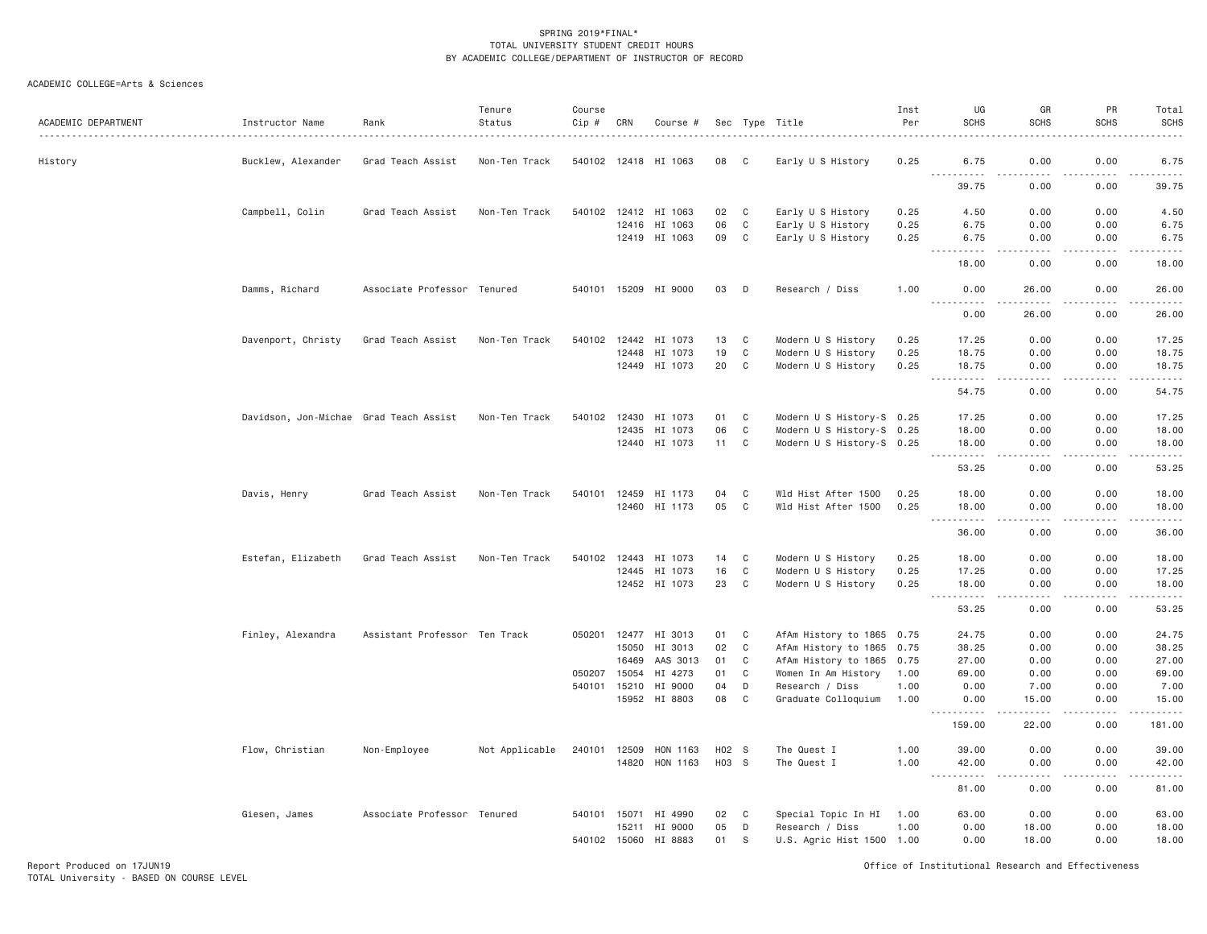## ACADEMIC COLLEGE=Arts & Sciences

| ACADEMIC DEPARTMENT | Instructor Name                        | Rank                          | Tenure<br>Status | Course<br>Cip # | CRN   | Course #             |                   |             | Sec Type Title            | Inst<br>Per | UG<br><b>SCHS</b>                                                                                                                                                                     | GR<br><b>SCHS</b>                                                                                                                                            | PR<br><b>SCHS</b>                                                                                                                                            | Total<br><b>SCHS</b><br>$\frac{1}{2}$       |
|---------------------|----------------------------------------|-------------------------------|------------------|-----------------|-------|----------------------|-------------------|-------------|---------------------------|-------------|---------------------------------------------------------------------------------------------------------------------------------------------------------------------------------------|--------------------------------------------------------------------------------------------------------------------------------------------------------------|--------------------------------------------------------------------------------------------------------------------------------------------------------------|---------------------------------------------|
| History             | Bucklew, Alexander                     | Grad Teach Assist             | Non-Ten Track    |                 |       | 540102 12418 HI 1063 | 08                | C.          | Early U S History         | 0.25        | 6.75                                                                                                                                                                                  | 0.00                                                                                                                                                         | 0.00                                                                                                                                                         | 6.75                                        |
|                     |                                        |                               |                  |                 |       |                      |                   |             |                           |             | <b></b><br>39.75                                                                                                                                                                      | $\frac{1}{2} \left( \frac{1}{2} \right) \left( \frac{1}{2} \right) \left( \frac{1}{2} \right) \left( \frac{1}{2} \right) \left( \frac{1}{2} \right)$<br>0.00 | $\frac{1}{2} \left( \frac{1}{2} \right) \left( \frac{1}{2} \right) \left( \frac{1}{2} \right) \left( \frac{1}{2} \right) \left( \frac{1}{2} \right)$<br>0.00 | .<br>39.75                                  |
|                     | Campbell, Colin                        | Grad Teach Assist             | Non-Ten Track    |                 |       | 540102 12412 HI 1063 | 02                | C           | Early U S History         | 0.25        | 4.50                                                                                                                                                                                  | 0.00                                                                                                                                                         | 0.00                                                                                                                                                         | 4.50                                        |
|                     |                                        |                               |                  |                 |       | 12416 HI 1063        | 06                | C           | Early U S History         | 0.25        | 6.75                                                                                                                                                                                  | 0.00                                                                                                                                                         | 0.00                                                                                                                                                         | 6.75                                        |
|                     |                                        |                               |                  |                 |       | 12419 HI 1063        | 09                | C           | Early U S History         | 0.25        | 6.75<br><b></b>                                                                                                                                                                       | 0.00<br>2.2.2.2.2                                                                                                                                            | 0.00<br>22222                                                                                                                                                | 6.75<br>.                                   |
|                     |                                        |                               |                  |                 |       |                      |                   |             |                           |             | 18.00                                                                                                                                                                                 | 0.00                                                                                                                                                         | 0.00                                                                                                                                                         | 18.00                                       |
|                     | Damms, Richard                         | Associate Professor Tenured   |                  |                 |       | 540101 15209 HI 9000 | 03                | D           | Research / Diss           | 1.00        | 0.00                                                                                                                                                                                  | 26.00                                                                                                                                                        | 0.00                                                                                                                                                         | 26.00                                       |
|                     |                                        |                               |                  |                 |       |                      |                   |             |                           |             | 0.00                                                                                                                                                                                  | 26,00                                                                                                                                                        | 0.00                                                                                                                                                         | 26,00                                       |
|                     | Davenport, Christy                     | Grad Teach Assist             | Non-Ten Track    |                 |       | 540102 12442 HI 1073 | 13                | C           | Modern U S History        | 0.25        | 17.25                                                                                                                                                                                 | 0.00                                                                                                                                                         | 0.00                                                                                                                                                         | 17.25                                       |
|                     |                                        |                               |                  |                 | 12448 | HI 1073              | 19                | C           | Modern U S History        | 0.25        | 18.75                                                                                                                                                                                 | 0.00                                                                                                                                                         | 0.00                                                                                                                                                         | 18.75                                       |
|                     |                                        |                               |                  |                 |       | 12449 HI 1073        | 20                | C           | Modern U S History        | 0.25        | 18.75<br>.<br>$  -$                                                                                                                                                                   | 0.00<br>.                                                                                                                                                    | 0.00<br><u>.</u>                                                                                                                                             | 18.75<br>.                                  |
|                     |                                        |                               |                  |                 |       |                      |                   |             |                           |             | 54.75                                                                                                                                                                                 | 0.00                                                                                                                                                         | 0.00                                                                                                                                                         | 54.75                                       |
|                     | Davidson, Jon-Michae Grad Teach Assist |                               | Non-Ten Track    |                 |       | 540102 12430 HI 1073 | 01                | C           | Modern U S History-S 0.25 |             | 17.25                                                                                                                                                                                 | 0.00                                                                                                                                                         | 0.00                                                                                                                                                         | 17.25                                       |
|                     |                                        |                               |                  |                 |       | 12435 HI 1073        | 06                | $\mathbf c$ | Modern U S History-S 0.25 |             | 18.00                                                                                                                                                                                 | 0.00                                                                                                                                                         | 0.00                                                                                                                                                         | 18.00                                       |
|                     |                                        |                               |                  |                 |       | 12440 HI 1073        | 11 C              |             | Modern U S History-S 0.25 |             | 18.00                                                                                                                                                                                 | 0.00                                                                                                                                                         | 0.00                                                                                                                                                         | 18.00                                       |
|                     |                                        |                               |                  |                 |       |                      |                   |             |                           |             | .<br>$  -$<br>53.25                                                                                                                                                                   | $- - - -$<br>0.00                                                                                                                                            | .<br>0.00                                                                                                                                                    | .<br>53.25                                  |
|                     | Davis, Henry                           | Grad Teach Assist             | Non-Ten Track    |                 |       | 540101 12459 HI 1173 | 04                | C           | Wld Hist After 1500       | 0.25        | 18,00                                                                                                                                                                                 | 0.00                                                                                                                                                         | 0.00                                                                                                                                                         | 18.00                                       |
|                     |                                        |                               |                  |                 |       | 12460 HI 1173        | 05                | C           | Wld Hist After 1500       | 0.25        | 18.00                                                                                                                                                                                 | 0.00                                                                                                                                                         | 0.00                                                                                                                                                         | 18.00                                       |
|                     |                                        |                               |                  |                 |       |                      |                   |             |                           |             | .<br>$\frac{1}{2}$<br>36.00                                                                                                                                                           | .<br>0.00                                                                                                                                                    | 22222<br>0.00                                                                                                                                                | .<br>36.00                                  |
|                     | Estefan, Elizabeth                     | Grad Teach Assist             | Non-Ten Track    | 540102          | 12443 | HI 1073              | 14                | C           | Modern U S History        | 0.25        | 18.00                                                                                                                                                                                 | 0.00                                                                                                                                                         | 0.00                                                                                                                                                         | 18.00                                       |
|                     |                                        |                               |                  |                 |       | 12445 HI 1073        | 16                | $\mathbb C$ | Modern U S History        | 0.25        | 17.25                                                                                                                                                                                 | 0.00                                                                                                                                                         | 0.00                                                                                                                                                         | 17.25                                       |
|                     |                                        |                               |                  |                 |       | 12452 HI 1073        | 23                | C           | Modern U S History        | 0.25        | 18.00                                                                                                                                                                                 | 0.00                                                                                                                                                         | 0.00                                                                                                                                                         | 18.00<br>$\sim$ $\sim$ $\sim$ $\sim$ $\sim$ |
|                     |                                        |                               |                  |                 |       |                      |                   |             |                           |             | 53.25                                                                                                                                                                                 | 0.00                                                                                                                                                         | 0.00                                                                                                                                                         | 53.25                                       |
|                     | Finley, Alexandra                      | Assistant Professor Ten Track |                  |                 |       | 050201 12477 HI 3013 | 01                | C           | AfAm History to 1865 0.75 |             | 24.75                                                                                                                                                                                 | 0.00                                                                                                                                                         | 0.00                                                                                                                                                         | 24.75                                       |
|                     |                                        |                               |                  |                 | 15050 | HI 3013              | 02                | $\mathbf c$ | AfAm History to 1865      | 0.75        | 38.25                                                                                                                                                                                 | 0.00                                                                                                                                                         | 0.00                                                                                                                                                         | 38.25                                       |
|                     |                                        |                               |                  |                 | 16469 | AAS 3013             | 01                | C           | AfAm History to 1865 0.75 |             | 27.00                                                                                                                                                                                 | 0.00                                                                                                                                                         | 0.00                                                                                                                                                         | 27.00                                       |
|                     |                                        |                               |                  | 050207          | 15054 | HI 4273              | 01                | C           | Women In Am History       | 1.00        | 69.00                                                                                                                                                                                 | 0.00                                                                                                                                                         | 0.00                                                                                                                                                         | 69.00                                       |
|                     |                                        |                               |                  | 540101          | 15210 | HI 9000              | 04                | D           | Research / Diss           | 1.00        | 0.00                                                                                                                                                                                  | 7.00                                                                                                                                                         | 0.00                                                                                                                                                         | 7.00                                        |
|                     |                                        |                               |                  |                 |       | 15952 HI 8803        | 08                | C           | Graduate Colloquium       | 1.00        | 0.00<br><u> - - - - - - - - - -</u>                                                                                                                                                   | 15,00                                                                                                                                                        | 0.00<br>.                                                                                                                                                    | 15.00<br>.                                  |
|                     |                                        |                               |                  |                 |       |                      |                   |             |                           |             | 159.00                                                                                                                                                                                | 22.00                                                                                                                                                        | 0.00                                                                                                                                                         | 181.00                                      |
|                     | Flow, Christian                        | Non-Employee                  | Not Applicable   | 240101 12509    |       | HON 1163             | H <sub>02</sub> S |             | The Quest I               | 1.00        | 39.00                                                                                                                                                                                 | 0.00                                                                                                                                                         | 0.00                                                                                                                                                         | 39.00                                       |
|                     |                                        |                               |                  |                 |       | 14820 HON 1163       | H03 S             |             | The Quest I               | 1.00        | 42.00<br>$\sim$ $\sim$ $\sim$<br>$\frac{1}{2} \left( \frac{1}{2} \right) \left( \frac{1}{2} \right) \left( \frac{1}{2} \right) \left( \frac{1}{2} \right) \left( \frac{1}{2} \right)$ | 0.00<br>$\sim$ $\sim$ $\sim$ $\sim$                                                                                                                          | 0.00<br>.                                                                                                                                                    | 42.00<br>والمناصبات                         |
|                     |                                        |                               |                  |                 |       |                      |                   |             |                           |             | 81.00                                                                                                                                                                                 | 0.00                                                                                                                                                         | 0.00                                                                                                                                                         | 81.00                                       |
|                     | Giesen, James                          | Associate Professor Tenured   |                  |                 |       | 540101 15071 HI 4990 | 02                | C           | Special Topic In HI       | 1.00        | 63.00                                                                                                                                                                                 | 0.00                                                                                                                                                         | 0.00                                                                                                                                                         | 63.00                                       |
|                     |                                        |                               |                  |                 | 15211 | HI 9000              | 05                | D           | Research / Diss           | 1.00        | 0.00                                                                                                                                                                                  | 18.00                                                                                                                                                        | 0.00                                                                                                                                                         | 18.00                                       |
|                     |                                        |                               |                  | 540102 15060    |       | HI 8883              | 01                | S           | U.S. Agric Hist 1500 1.00 |             | 0.00                                                                                                                                                                                  | 18.00                                                                                                                                                        | 0.00                                                                                                                                                         | 18.00                                       |

Report Produced on 17JUN19 Office of Institutional Research and Effectiveness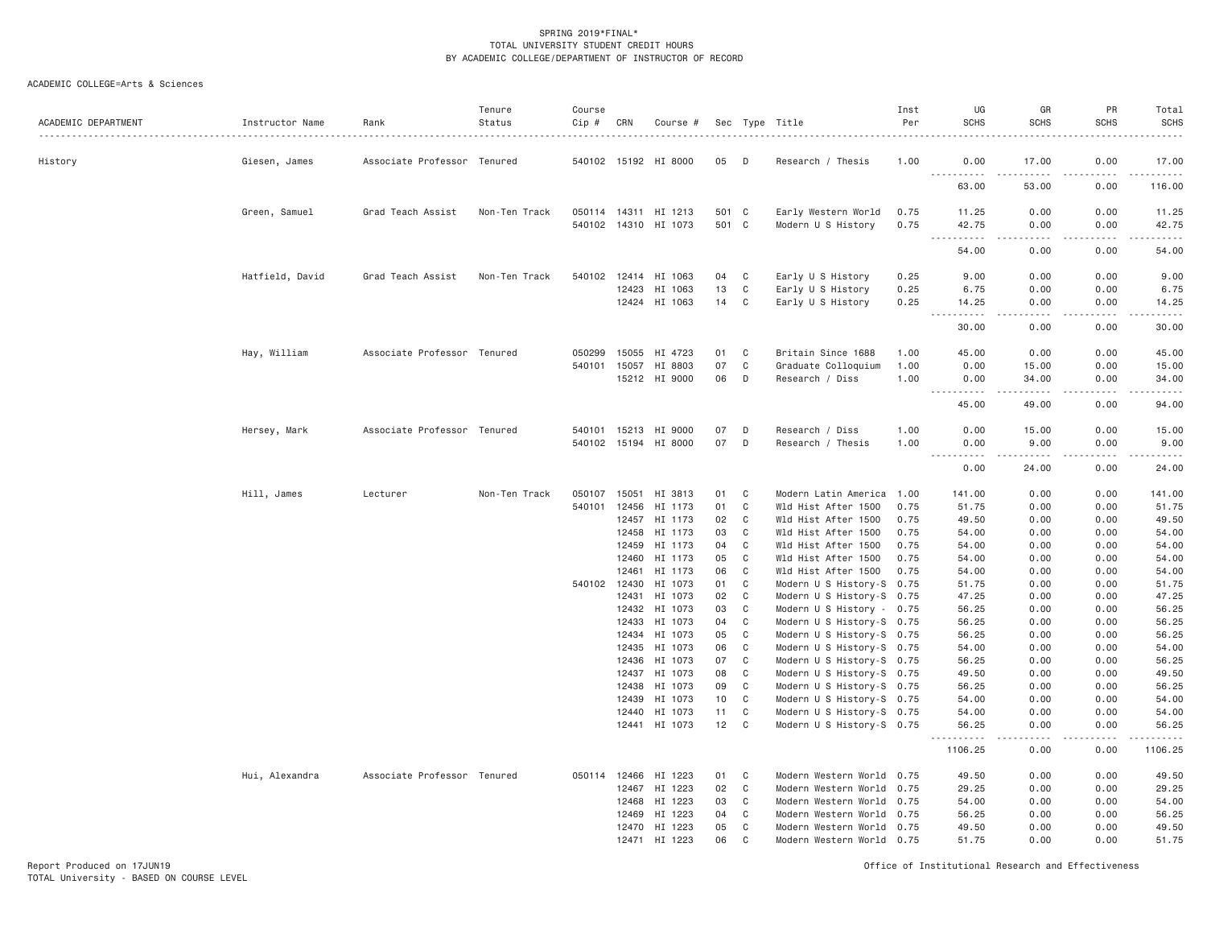| ACADEMIC DEPARTMENT | Instructor Name | Rank                        | Tenure<br>Status | Course<br>Cip # | CRN            | Course #                 |          |             | Sec Type Title                                         | Inst<br>Per  | UG<br><b>SCHS</b>         | GR<br><b>SCHS</b>                                                                                                                                    | PR<br><b>SCHS</b> | Total<br><b>SCHS</b><br>$\frac{1}{2} \left( \frac{1}{2} \right) \left( \frac{1}{2} \right) \left( \frac{1}{2} \right) \left( \frac{1}{2} \right) \left( \frac{1}{2} \right) \left( \frac{1}{2} \right)$ |
|---------------------|-----------------|-----------------------------|------------------|-----------------|----------------|--------------------------|----------|-------------|--------------------------------------------------------|--------------|---------------------------|------------------------------------------------------------------------------------------------------------------------------------------------------|-------------------|---------------------------------------------------------------------------------------------------------------------------------------------------------------------------------------------------------|
| History             | Giesen, James   | Associate Professor Tenured |                  |                 |                | 540102 15192 HI 8000     | 05       | D           | Research / Thesis                                      | 1.00         | 0.00                      | 17.00                                                                                                                                                | 0.00              | 17.00                                                                                                                                                                                                   |
|                     |                 |                             |                  |                 |                |                          |          |             |                                                        |              | .<br>63.00                | .<br>53.00                                                                                                                                           | المستبدات<br>0.00 | .<br>116.00                                                                                                                                                                                             |
|                     | Green, Samuel   | Grad Teach Assist           | Non-Ten Track    |                 |                | 050114 14311 HI 1213     | 501 C    |             | Early Western World                                    | 0.75         | 11.25                     | 0.00                                                                                                                                                 | 0.00              | 11.25                                                                                                                                                                                                   |
|                     |                 |                             |                  |                 |                | 540102 14310 HI 1073     | 501 C    |             | Modern U S History                                     | 0.75         | 42.75<br><u>.</u>         | 0.00<br><b></b>                                                                                                                                      | 0.00<br>.         | 42.75<br>$- - - - - -$                                                                                                                                                                                  |
|                     |                 |                             |                  |                 |                |                          |          |             |                                                        |              | 54.00                     | 0.00                                                                                                                                                 | 0.00              | 54.00                                                                                                                                                                                                   |
|                     | Hatfield, David | Grad Teach Assist           | Non-Ten Track    |                 |                | 540102 12414 HI 1063     | 04       | C           | Early U S History                                      | 0.25         | 9.00                      | 0.00                                                                                                                                                 | 0.00              | 9.00                                                                                                                                                                                                    |
|                     |                 |                             |                  |                 | 12423          | HI 1063<br>12424 HI 1063 | 13<br>14 | C<br>C      | Early U S History<br>Early U S History                 | 0.25<br>0.25 | 6.75<br>14.25             | 0.00<br>0.00                                                                                                                                         | 0.00<br>0.00      | 6.75<br>14.25                                                                                                                                                                                           |
|                     |                 |                             |                  |                 |                |                          |          |             |                                                        |              | $ -$<br><u>.</u><br>30.00 | .                                                                                                                                                    | .<br>0.00         | .<br>30.00                                                                                                                                                                                              |
|                     |                 |                             |                  |                 |                |                          |          |             |                                                        |              |                           | 0.00                                                                                                                                                 |                   |                                                                                                                                                                                                         |
|                     | Hay, William    | Associate Professor Tenured |                  | 050299          | 15055          | HI 4723                  | 01       | C           | Britain Since 1688                                     | 1.00         | 45.00                     | 0.00                                                                                                                                                 | 0.00              | 45.00                                                                                                                                                                                                   |
|                     |                 |                             |                  | 540101          | 15057          | HI 8803<br>15212 HI 9000 | 07<br>06 | C<br>D      | Graduate Colloquium<br>Research / Diss                 | 1.00<br>1.00 | 0.00<br>0.00              | 15.00<br>34.00                                                                                                                                       | 0.00<br>0.00      | 15.00<br>34.00                                                                                                                                                                                          |
|                     |                 |                             |                  |                 |                |                          |          |             |                                                        |              | $\sim$ $\sim$ $\sim$<br>. | $\frac{1}{2} \left( \frac{1}{2} \right) \left( \frac{1}{2} \right) \left( \frac{1}{2} \right) \left( \frac{1}{2} \right) \left( \frac{1}{2} \right)$ | -----             | .                                                                                                                                                                                                       |
|                     |                 |                             |                  |                 |                |                          |          |             |                                                        |              | 45.00                     | 49.00                                                                                                                                                | 0.00              | 94.00                                                                                                                                                                                                   |
|                     | Hersey, Mark    | Associate Professor Tenured |                  |                 | 540101 15213   | HI 9000                  | 07       | D           | Research / Diss                                        | 1.00         | 0.00                      | 15.00                                                                                                                                                | 0.00              | 15.00                                                                                                                                                                                                   |
|                     |                 |                             |                  |                 |                | 540102 15194 HI 8000     | 07       | D           | Research / Thesis                                      | 1.00         | 0.00<br>$ -$<br>.         | 9.00<br>-----                                                                                                                                        | 0.00              | 9.00<br>$\frac{1}{2} \left( \frac{1}{2} \right) \left( \frac{1}{2} \right) \left( \frac{1}{2} \right) \left( \frac{1}{2} \right)$                                                                       |
|                     |                 |                             |                  |                 |                |                          |          |             |                                                        |              | 0.00                      | 24.00                                                                                                                                                | 0.00              | 24.00                                                                                                                                                                                                   |
|                     | Hill, James     | Lecturer                    | Non-Ten Track    | 050107 15051    |                | HI 3813                  | 01       | C           | Modern Latin America 1.00                              |              | 141.00                    | 0.00                                                                                                                                                 | 0.00              | 141.00                                                                                                                                                                                                  |
|                     |                 |                             |                  | 540101          | 12456          | HI 1173                  | 01       | C           | Wld Hist After 1500                                    | 0.75         | 51.75                     | 0.00                                                                                                                                                 | 0.00              | 51.75                                                                                                                                                                                                   |
|                     |                 |                             |                  |                 | 12457<br>12458 | HI 1173<br>HI 1173       | 02<br>03 | C<br>C      | Wld Hist After 1500<br>Wld Hist After 1500             | 0.75<br>0.75 | 49.50<br>54.00            | 0.00<br>0.00                                                                                                                                         | 0.00<br>0.00      | 49.50<br>54.00                                                                                                                                                                                          |
|                     |                 |                             |                  |                 | 12459          | HI 1173                  | 04       | C           | Wld Hist After 1500                                    | 0.75         | 54.00                     | 0.00                                                                                                                                                 | 0.00              | 54.00                                                                                                                                                                                                   |
|                     |                 |                             |                  |                 | 12460          | HI 1173                  | 05       | C           | Wld Hist After 1500                                    | 0.75         | 54.00                     | 0.00                                                                                                                                                 | 0.00              | 54.00                                                                                                                                                                                                   |
|                     |                 |                             |                  |                 | 12461          | HI 1173                  | 06       | C           | Wld Hist After 1500                                    | 0.75         | 54.00                     | 0.00                                                                                                                                                 | 0.00              | 54.00                                                                                                                                                                                                   |
|                     |                 |                             |                  |                 | 540102 12430   | HI 1073                  | 01       | C           | Modern U S History-S 0.75                              |              | 51.75                     | 0.00                                                                                                                                                 | 0.00              | 51.75                                                                                                                                                                                                   |
|                     |                 |                             |                  |                 | 12431          | HI 1073                  | 02       | C           | Modern U S History-S 0.75                              |              | 47.25                     | 0.00                                                                                                                                                 | 0.00              | 47.25                                                                                                                                                                                                   |
|                     |                 |                             |                  |                 | 12432          | HI 1073                  | 03       | C           | Modern U S History - 0.75                              |              | 56.25                     | 0.00                                                                                                                                                 | 0.00              | 56.25                                                                                                                                                                                                   |
|                     |                 |                             |                  |                 | 12433          | HI 1073                  | 04       | C<br>C      | Modern U S History-S 0.75                              |              | 56.25                     | 0.00                                                                                                                                                 | 0.00              | 56.25                                                                                                                                                                                                   |
|                     |                 |                             |                  |                 | 12435          | 12434 HI 1073<br>HI 1073 | 05<br>06 | $\mathbf C$ | Modern U S History-S 0.75<br>Modern U S History-S 0.75 |              | 56.25<br>54.00            | 0.00<br>0.00                                                                                                                                         | 0.00<br>0.00      | 56.25<br>54.00                                                                                                                                                                                          |
|                     |                 |                             |                  |                 | 12436          | HI 1073                  | 07       | C           | Modern U S History-S 0.75                              |              | 56.25                     | 0.00                                                                                                                                                 | 0.00              | 56.25                                                                                                                                                                                                   |
|                     |                 |                             |                  |                 | 12437          | HI 1073                  | 08       | C           | Modern U S History-S 0.75                              |              | 49.50                     | 0.00                                                                                                                                                 | 0.00              | 49.50                                                                                                                                                                                                   |
|                     |                 |                             |                  |                 | 12438          | HI 1073                  | 09       | C           | Modern U S History-S 0.75                              |              | 56.25                     | 0.00                                                                                                                                                 | 0.00              | 56.25                                                                                                                                                                                                   |
|                     |                 |                             |                  |                 | 12439          | HI 1073                  | 10       | C           | Modern U S History-S 0.75                              |              | 54.00                     | 0.00                                                                                                                                                 | 0.00              | 54.00                                                                                                                                                                                                   |
|                     |                 |                             |                  |                 | 12440          | HI 1073                  | 11       | C           | Modern U S History-S 0.75                              |              | 54.00                     | 0.00                                                                                                                                                 | 0.00              | 54.00                                                                                                                                                                                                   |
|                     |                 |                             |                  |                 |                | 12441 HI 1073            | 12       | C           | Modern U S History-S 0.75                              |              | 56.25<br><u>.</u>         | 0.00<br>.                                                                                                                                            | 0.00<br>.         | 56.25<br>. <u>.</u> .                                                                                                                                                                                   |
|                     |                 |                             |                  |                 |                |                          |          |             |                                                        |              | 1106.25                   | 0.00                                                                                                                                                 | 0.00              | 1106.25                                                                                                                                                                                                 |
|                     | Hui, Alexandra  | Associate Professor Tenured |                  |                 | 050114 12466   | HI 1223                  | 01       | C           | Modern Western World 0.75                              |              | 49.50                     | 0.00                                                                                                                                                 | 0.00              | 49.50                                                                                                                                                                                                   |
|                     |                 |                             |                  |                 | 12467          | HI 1223                  | 02       | C           | Modern Western World 0.75                              |              | 29.25                     | 0.00                                                                                                                                                 | 0.00              | 29.25                                                                                                                                                                                                   |
|                     |                 |                             |                  |                 | 12468<br>12469 | HI 1223<br>HI 1223       | 03<br>04 | C<br>C      | Modern Western World 0.75<br>Modern Western World 0.75 |              | 54.00<br>56.25            | 0.00<br>0.00                                                                                                                                         | 0.00<br>0.00      | 54.00<br>56.25                                                                                                                                                                                          |
|                     |                 |                             |                  |                 | 12470          | HI 1223                  | 05       | C           | Modern Western World 0.75                              |              | 49.50                     | 0.00                                                                                                                                                 | 0.00              | 49.50                                                                                                                                                                                                   |
|                     |                 |                             |                  |                 | 12471          | HI 1223                  | 06       | C           | Modern Western World 0.75                              |              | 51.75                     | 0.00                                                                                                                                                 | 0.00              | 51.75                                                                                                                                                                                                   |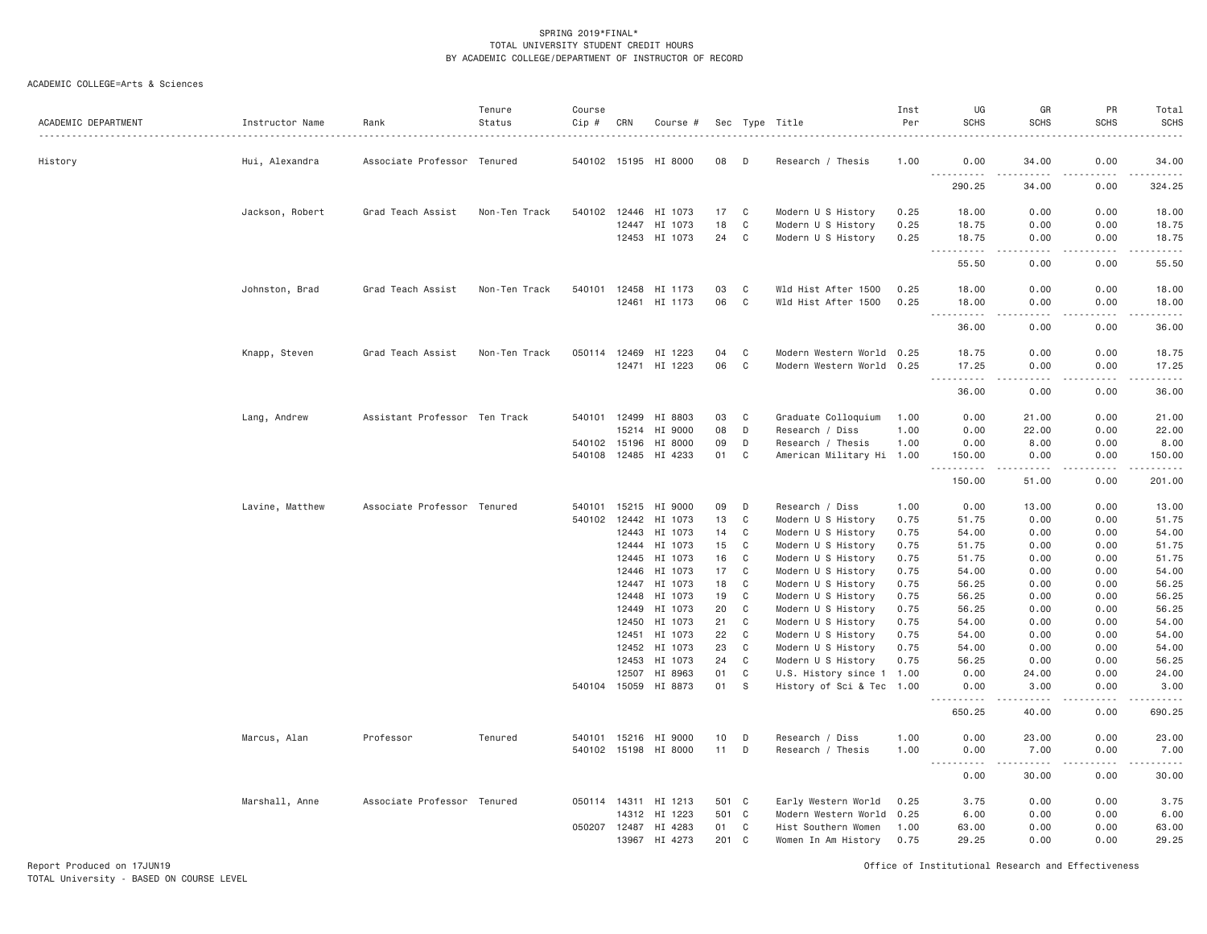| ACADEMIC DEPARTMENT | Instructor Name | Rank                          | Tenure<br>Status | Course<br>Cip # | CRN            | Course #             |                 |              | Sec Type Title                           | Inst<br>Per  | UG<br><b>SCHS</b>   | GR<br><b>SCHS</b>    | PR<br><b>SCHS</b>                                                                                                                                            | Total<br><b>SCHS</b>                                                                                                           |
|---------------------|-----------------|-------------------------------|------------------|-----------------|----------------|----------------------|-----------------|--------------|------------------------------------------|--------------|---------------------|----------------------|--------------------------------------------------------------------------------------------------------------------------------------------------------------|--------------------------------------------------------------------------------------------------------------------------------|
|                     |                 |                               |                  |                 |                |                      |                 |              |                                          |              |                     |                      | 0.00                                                                                                                                                         | 34,00                                                                                                                          |
| History             | Hui, Alexandra  | Associate Professor Tenured   |                  |                 |                | 540102 15195 HI 8000 | 08              | D            | Research / Thesis                        | 1.00         | 0.00<br><u>.</u>    | 34.00<br>.           | .                                                                                                                                                            | $\label{eq:2.1} \begin{array}{cccccccccccccc} \bullet & \bullet & \bullet & \bullet & \bullet & \bullet & \bullet \end{array}$ |
|                     |                 |                               |                  |                 |                |                      |                 |              |                                          |              | 290.25              | 34.00                | 0.00                                                                                                                                                         | 324.25                                                                                                                         |
|                     | Jackson, Robert | Grad Teach Assist             | Non-Ten Track    | 540102 12446    |                | HI 1073              | 17              | C            | Modern U S History                       | 0.25         | 18.00               | 0.00                 | 0.00                                                                                                                                                         | 18.00                                                                                                                          |
|                     |                 |                               |                  |                 | 12447          | HI 1073              | 18              | C            | Modern U S History                       | 0.25         | 18.75               | 0.00                 | 0.00                                                                                                                                                         | 18.75                                                                                                                          |
|                     |                 |                               |                  |                 | 12453          | HI 1073              | 24              | C            | Modern U S History                       | 0.25         | 18.75<br>.          | 0.00<br>.            | 0.00<br>.<br>$\frac{1}{2} \left( \frac{1}{2} \right) \left( \frac{1}{2} \right) \left( \frac{1}{2} \right)$                                                  | 18.75<br>.                                                                                                                     |
|                     |                 |                               |                  |                 |                |                      |                 |              |                                          |              | 55.50               | 0.00                 | 0.00                                                                                                                                                         | 55.50                                                                                                                          |
|                     | Johnston, Brad  | Grad Teach Assist             | Non-Ten Track    | 540101          | 12458          | HI 1173              | 03              | C            | Wld Hist After 1500                      | 0.25         | 18.00               | 0.00                 | 0.00                                                                                                                                                         | 18.00                                                                                                                          |
|                     |                 |                               |                  |                 |                | 12461 HI 1173        | 06              | C            | Wld Hist After 1500                      | 0.25         | 18.00<br>---------- | 0.00<br>.            | 0.00                                                                                                                                                         | 18.00<br>.                                                                                                                     |
|                     |                 |                               |                  |                 |                |                      |                 |              |                                          |              | 36.00               | 0.00                 | 0.00                                                                                                                                                         | 36.00                                                                                                                          |
|                     | Knapp, Steven   | Grad Teach Assist             | Non-Ten Track    | 050114 12469    |                | HI 1223              | 04              | C            | Modern Western World 0.25                |              | 18.75               | 0.00                 | 0.00                                                                                                                                                         | 18.75                                                                                                                          |
|                     |                 |                               |                  |                 |                | 12471 HI 1223        | 06              | $\mathbf C$  | Modern Western World 0.25                |              | 17.25<br><u>.</u>   | 0.00<br>.            | 0.00<br><u>.</u>                                                                                                                                             | 17.25<br>.                                                                                                                     |
|                     |                 |                               |                  |                 |                |                      |                 |              |                                          |              | 36.00               | 0.00                 | 0.00                                                                                                                                                         | 36.00                                                                                                                          |
|                     | Lang, Andrew    | Assistant Professor Ten Track |                  |                 |                | 540101 12499 HI 8803 | 03              | C            | Graduate Colloquium                      | 1.00         | 0.00                | 21.00                | 0.00                                                                                                                                                         | 21.00                                                                                                                          |
|                     |                 |                               |                  |                 | 15214          | HI 9000              | 08              | D            | Research / Diss                          | 1.00         | 0.00                | 22.00                | 0.00                                                                                                                                                         | 22.00                                                                                                                          |
|                     |                 |                               |                  | 540102 15196    |                | HI 8000              | 09              | D            | Research / Thesis                        | 1.00         | 0.00                | 8.00                 | 0.00                                                                                                                                                         | 8.00                                                                                                                           |
|                     |                 |                               |                  | 540108 12485    |                | HI 4233              | 01              | $\mathsf{C}$ | American Military Hi 1.00                |              | 150.00<br>.         | 0.00<br>.            | 0.00<br>.                                                                                                                                                    | 150.00<br>.                                                                                                                    |
|                     |                 |                               |                  |                 |                |                      |                 |              |                                          |              | 150.00              | 51.00                | 0.00                                                                                                                                                         | 201.00                                                                                                                         |
|                     | Lavine, Matthew | Associate Professor Tenured   |                  | 540101          |                | 15215 HI 9000        | 09              | D            | Research / Diss                          | 1.00         | 0.00                | 13.00                | 0.00                                                                                                                                                         | 13.00                                                                                                                          |
|                     |                 |                               |                  | 540102 12442    |                | HI 1073              | 13              | $\mathtt{C}$ | Modern U S History                       | 0.75         | 51.75               | 0.00                 | 0.00                                                                                                                                                         | 51.75                                                                                                                          |
|                     |                 |                               |                  |                 | 12443          | HI 1073              | 14              | C            | Modern U S History                       | 0.75         | 54.00               | 0.00                 | 0.00                                                                                                                                                         | 54.00                                                                                                                          |
|                     |                 |                               |                  |                 | 12444          | HI 1073              | 15              | C            | Modern U S History                       | 0.75         | 51.75               | 0.00                 | 0.00                                                                                                                                                         | 51.75                                                                                                                          |
|                     |                 |                               |                  |                 | 12445          | HI 1073              | 16              | C            | Modern U S History                       | 0.75         | 51.75               | 0.00                 | 0.00                                                                                                                                                         | 51.75                                                                                                                          |
|                     |                 |                               |                  |                 | 12446          | HI 1073              | 17              | C            | Modern U S History                       | 0.75         | 54.00               | 0.00                 | 0.00                                                                                                                                                         | 54.00                                                                                                                          |
|                     |                 |                               |                  |                 | 12447          | HI 1073              | 18              | C            | Modern U S History                       | 0.75         | 56.25               | 0.00                 | 0.00                                                                                                                                                         | 56.25                                                                                                                          |
|                     |                 |                               |                  |                 | 12448          | HI 1073              | 19              | C            | Modern U S History                       | 0.75         | 56.25               | 0.00                 | 0.00                                                                                                                                                         | 56.25                                                                                                                          |
|                     |                 |                               |                  |                 |                | 12449 HI 1073        | 20              | C            | Modern U S History                       | 0.75         | 56.25               | 0.00                 | 0.00                                                                                                                                                         | 56.25                                                                                                                          |
|                     |                 |                               |                  |                 | 12450          | HI 1073<br>HI 1073   | 21<br>22        | C<br>C       | Modern U S History                       | 0.75         | 54.00               | 0.00<br>0.00         | 0.00                                                                                                                                                         | 54.00                                                                                                                          |
|                     |                 |                               |                  |                 | 12451<br>12452 | HI 1073              | 23              | C            | Modern U S History<br>Modern U S History | 0.75<br>0.75 | 54.00<br>54.00      | 0.00                 | 0.00<br>0.00                                                                                                                                                 | 54.00<br>54.00                                                                                                                 |
|                     |                 |                               |                  |                 | 12453          | HI 1073              | 24              | C            | Modern U S History                       | 0.75         | 56.25               | 0.00                 | 0.00                                                                                                                                                         | 56.25                                                                                                                          |
|                     |                 |                               |                  |                 | 12507          | HI 8963              | 01              | C            | U.S. History since 1 1.00                |              | 0.00                | 24.00                | 0.00                                                                                                                                                         | 24.00                                                                                                                          |
|                     |                 |                               |                  | 540104 15059    |                | HI 8873              | 01              | S            | History of Sci & Tec 1.00                |              | 0.00                | 3.00                 | 0.00                                                                                                                                                         | 3.00                                                                                                                           |
|                     |                 |                               |                  |                 |                |                      |                 |              |                                          |              | .<br>650.25         | $- - - - -$<br>40.00 | .<br>0.00                                                                                                                                                    | $- - - - - - -$<br>690.25                                                                                                      |
|                     | Marcus, Alan    | Professor                     | Tenured          | 540101 15216    |                | HI 9000              | 10 <sup>1</sup> | D            | Research / Diss                          | 1.00         | 0.00                | 23.00                | 0.00                                                                                                                                                         | 23.00                                                                                                                          |
|                     |                 |                               |                  |                 |                | 540102 15198 HI 8000 | 11              | D            | Research / Thesis                        | 1.00         | 0.00                | 7.00                 | 0.00                                                                                                                                                         | 7.00                                                                                                                           |
|                     |                 |                               |                  |                 |                |                      |                 |              |                                          |              | <u>.</u><br>0.00    | .<br>30.00           | $\frac{1}{2} \left( \frac{1}{2} \right) \left( \frac{1}{2} \right) \left( \frac{1}{2} \right) \left( \frac{1}{2} \right) \left( \frac{1}{2} \right)$<br>0.00 | .<br>30.00                                                                                                                     |
|                     | Marshall, Anne  | Associate Professor Tenured   |                  | 050114 14311    |                | HI 1213              | 501 C           |              | Early Western World                      | 0.25         | 3.75                | 0.00                 | 0.00                                                                                                                                                         | 3.75                                                                                                                           |
|                     |                 |                               |                  |                 |                | 14312 HI 1223        | 501             | $\mathbf{C}$ | Modern Western World 0.25                |              | 6.00                | 0.00                 | 0.00                                                                                                                                                         | 6.00                                                                                                                           |
|                     |                 |                               |                  | 050207          | 12487          | HI 4283              | 01              | $\mathsf{C}$ | Hist Southern Women                      | 1.00         | 63.00               | 0.00                 | 0.00                                                                                                                                                         | 63.00                                                                                                                          |
|                     |                 |                               |                  |                 |                | 13967 HI 4273        | 201 C           |              | Women In Am History                      | 0.75         | 29.25               | 0.00                 | 0.00                                                                                                                                                         | 29.25                                                                                                                          |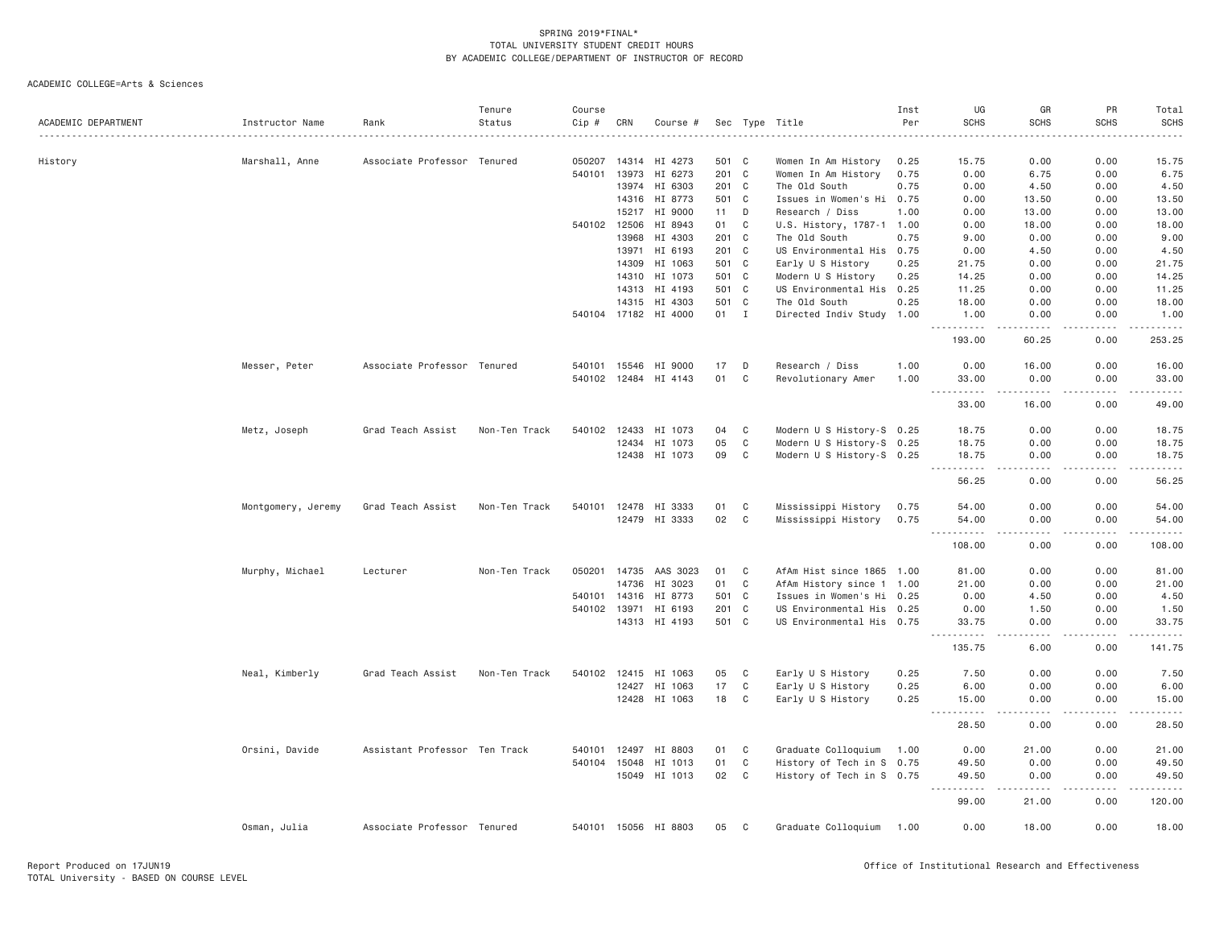|                     |                    |                               | Tenure        | Course |              |                       |              |             |                           | Inst | UG                                 | GR                                                                                                                                                           | PR                    | Total                          |
|---------------------|--------------------|-------------------------------|---------------|--------|--------------|-----------------------|--------------|-------------|---------------------------|------|------------------------------------|--------------------------------------------------------------------------------------------------------------------------------------------------------------|-----------------------|--------------------------------|
| ACADEMIC DEPARTMENT | Instructor Name    | Rank                          | Status        | Cip #  | CRN          | Course #              |              |             | Sec Type Title            | Per  | <b>SCHS</b>                        | <b>SCHS</b>                                                                                                                                                  | <b>SCHS</b>           | <b>SCHS</b>                    |
|                     |                    |                               |               |        |              |                       |              |             |                           |      |                                    |                                                                                                                                                              |                       |                                |
| History             | Marshall, Anne     | Associate Professor Tenured   |               | 050207 |              | 14314 HI 4273         | 501 C        |             | Women In Am History       | 0.25 | 15.75                              | 0.00                                                                                                                                                         | 0.00                  | 15.75                          |
|                     |                    |                               |               | 540101 | 13973        | HI 6273               | 201 C        |             | Women In Am History       | 0.75 | 0.00                               | 6.75                                                                                                                                                         | 0.00                  | 6.75                           |
|                     |                    |                               |               |        | 13974        | HI 6303               | 201 C        |             | The Old South             | 0.75 | 0.00                               | 4.50                                                                                                                                                         | 0.00                  | 4.50                           |
|                     |                    |                               |               |        | 14316        | HI 8773               | 501 C        |             | Issues in Women's Hi      | 0.75 | 0.00                               | 13.50                                                                                                                                                        | 0.00                  | 13.50                          |
|                     |                    |                               |               |        | 15217        | HI 9000               | 11           | D           | Research / Diss           | 1.00 | 0.00                               | 13.00                                                                                                                                                        | 0.00                  | 13.00                          |
|                     |                    |                               |               |        | 540102 12506 | HI 8943               | 01           | C           | U.S. History, 1787-1 1.00 |      | 0.00                               | 18.00                                                                                                                                                        | 0.00                  | 18.00                          |
|                     |                    |                               |               |        | 13968        | HI 4303               | 201 C        |             | The Old South             | 0.75 | 9.00                               | 0.00                                                                                                                                                         | 0.00                  | 9.00                           |
|                     |                    |                               |               |        | 13971        | HI 6193               | 201 C        |             | US Environmental His 0.75 |      | 0.00                               | 4.50                                                                                                                                                         | 0.00                  | 4.50                           |
|                     |                    |                               |               |        | 14309        | HI 1063               | 501 C        |             | Early U S History         | 0.25 | 21.75                              | 0.00                                                                                                                                                         | 0.00                  | 21.75                          |
|                     |                    |                               |               |        | 14310        | HI 1073               | 501 C        |             | Modern U S History        | 0.25 | 14.25                              | 0.00                                                                                                                                                         | 0.00                  | 14.25                          |
|                     |                    |                               |               |        |              | 14313 HI 4193         | 501 C        |             | US Environmental His 0.25 |      | 11.25                              | 0.00                                                                                                                                                         | 0.00                  | 11.25                          |
|                     |                    |                               |               |        | 14315        | HI 4303               | 501 C        |             | The Old South             | 0.25 | 18.00                              | 0.00                                                                                                                                                         | 0.00                  | 18.00                          |
|                     |                    |                               |               |        |              | 540104 17182 HI 4000  | $01 \quad I$ |             | Directed Indiv Study 1.00 |      | 1.00                               | 0.00                                                                                                                                                         | 0.00                  | 1.00                           |
|                     |                    |                               |               |        |              |                       |              |             |                           |      | .<br>193.00                        | 22222<br>60.25                                                                                                                                               | .<br>0.00             | $\omega$ is a set of<br>253.25 |
|                     | Messer, Peter      | Associate Professor Tenured   |               | 540101 | 15546        | HI 9000               | 17           | D           | Research / Diss           | 1.00 | 0.00                               | 16.00                                                                                                                                                        | 0.00                  | 16.00                          |
|                     |                    |                               |               |        |              | 540102 12484 HI 4143  | 01           | C           | Revolutionary Amer        | 1.00 | 33.00                              | 0.00                                                                                                                                                         | 0.00                  | 33.00                          |
|                     |                    |                               |               |        |              |                       |              |             |                           |      | .<br>33.00                         | $- - - - -$<br>16.00                                                                                                                                         | 0.00                  | .<br>49.00                     |
|                     | Metz, Joseph       | Grad Teach Assist             | Non-Ten Track |        | 540102 12433 | HI 1073               | 04           | C           | Modern U S History-S 0.25 |      | 18.75                              | 0.00                                                                                                                                                         | 0.00                  | 18.75                          |
|                     |                    |                               |               |        | 12434        | HI 1073               | 05           | C           | Modern U S History-S 0.25 |      | 18.75                              | 0.00                                                                                                                                                         | 0.00                  | 18.75                          |
|                     |                    |                               |               |        |              | 12438 HI 1073         | 09           | $\mathbf C$ | Modern U S History-S 0.25 |      | 18.75                              | 0.00                                                                                                                                                         | 0.00                  | 18.75                          |
|                     |                    |                               |               |        |              |                       |              |             |                           |      | $\sim$ $\sim$ $\sim$<br>.<br>56.25 | 0.00                                                                                                                                                         | 0.00                  | .<br>56.25                     |
|                     | Montgomery, Jeremy | Grad Teach Assist             | Non-Ten Track |        |              | 540101 12478 HI 3333  | 01           | C           | Mississippi History       | 0.75 | 54.00                              | 0.00                                                                                                                                                         | 0.00                  | 54.00                          |
|                     |                    |                               |               |        |              | 12479 HI 3333         | 02           | C           | Mississippi History       | 0.75 | 54.00<br>.<br>$- - -$              | 0.00<br>.                                                                                                                                                    | 0.00<br>$- - - - - -$ | 54.00<br><u>.</u>              |
|                     |                    |                               |               |        |              |                       |              |             |                           |      | 108.00                             | 0.00                                                                                                                                                         | 0.00                  | 108.00                         |
|                     | Murphy, Michael    | Lecturer                      | Non-Ten Track |        |              | 050201 14735 AAS 3023 | 01           | C           | AfAm Hist since 1865 1.00 |      | 81.00                              | 0.00                                                                                                                                                         | 0.00                  | 81.00                          |
|                     |                    |                               |               |        | 14736        | HI 3023               | 01           | C           | AfAm History since 1 1.00 |      | 21.00                              | 0.00                                                                                                                                                         | 0.00                  | 21.00                          |
|                     |                    |                               |               |        | 540101 14316 | HI 8773               | 501 C        |             | Issues in Women's Hi 0.25 |      | 0.00                               | 4.50                                                                                                                                                         | 0.00                  | 4.50                           |
|                     |                    |                               |               |        | 540102 13971 | HI 6193               | 201 C        |             | US Environmental His 0.25 |      | 0.00                               | 1.50                                                                                                                                                         | 0.00                  | 1.50                           |
|                     |                    |                               |               |        |              | 14313 HI 4193         | 501 C        |             | US Environmental His 0.75 |      | 33.75<br>-----                     | 0.00<br>$- - -$                                                                                                                                              | 0.00<br>.             | 33.75<br>.                     |
|                     |                    |                               |               |        |              |                       |              |             |                           |      | 135.75                             | 6.00                                                                                                                                                         | 0.00                  | 141.75                         |
|                     | Neal, Kimberly     | Grad Teach Assist             | Non-Ten Track |        | 540102 12415 | HI 1063               | 05           | C           | Early U S History         | 0.25 | 7.50                               | 0.00                                                                                                                                                         | 0.00                  | 7.50                           |
|                     |                    |                               |               |        |              | 12427 HI 1063         | 17           | $\mathbf C$ | Early U S History         | 0.25 | 6.00                               | 0.00                                                                                                                                                         | 0.00                  | 6.00                           |
|                     |                    |                               |               |        |              | 12428 HI 1063         | 18           | C           | Early U S History         | 0.25 | 15.00<br>.<br>$\sim$ $\sim$ $\sim$ | 0.00<br>$- - - -$                                                                                                                                            | 0.00<br>.             | 15.00<br>.                     |
|                     |                    |                               |               |        |              |                       |              |             |                           |      | 28.50                              | 0.00                                                                                                                                                         | 0.00                  | 28.50                          |
|                     | Orsini, Davide     | Assistant Professor Ten Track |               | 540101 | 12497        | HI 8803               | 01           | C           | Graduate Colloquium       | 1.00 | 0.00                               | 21.00                                                                                                                                                        | 0.00                  | 21.00                          |
|                     |                    |                               |               |        | 540104 15048 | HI 1013               | 01           | C           | History of Tech in S 0.75 |      | 49.50                              | 0.00                                                                                                                                                         | 0.00                  | 49.50                          |
|                     |                    |                               |               |        |              | 15049 HI 1013         | 02           | C           | History of Tech in S 0.75 |      | 49.50<br>.                         | 0.00<br>$\frac{1}{2} \left( \frac{1}{2} \right) \left( \frac{1}{2} \right) \left( \frac{1}{2} \right) \left( \frac{1}{2} \right) \left( \frac{1}{2} \right)$ | 0.00<br>$\frac{1}{2}$ | 49.50<br>.                     |
|                     |                    |                               |               |        |              |                       |              |             |                           |      | 99.00                              | 21.00                                                                                                                                                        | 0.00                  | 120.00                         |
|                     | Osman, Julia       | Associate Professor Tenured   |               |        |              | 540101 15056 HI 8803  | 05           | C           | Graduate Colloquium       | 1.00 | 0.00                               | 18.00                                                                                                                                                        | 0.00                  | 18.00                          |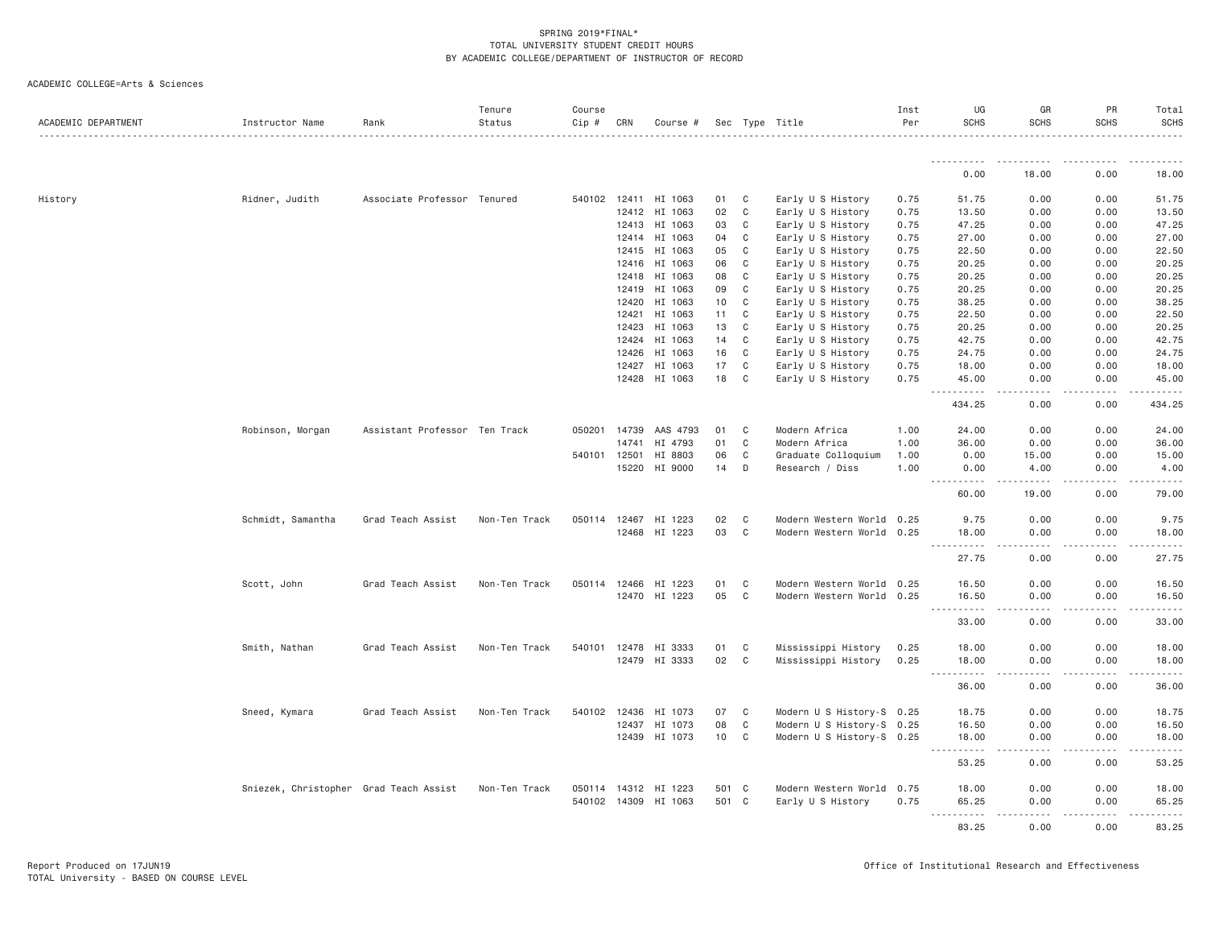| ACADEMIC DEPARTMENT | Instructor Name                        | Rank                          | Tenure<br>Status | Course<br>$Cip \#$ | CRN                   | Course #                 |          |        | Sec Type Title                                         | Inst<br>Per  | UG<br><b>SCHS</b> | GR<br><b>SCHS</b>    | PR<br>SCHS                                                                                                                                           | Total<br><b>SCHS</b>                                  |
|---------------------|----------------------------------------|-------------------------------|------------------|--------------------|-----------------------|--------------------------|----------|--------|--------------------------------------------------------|--------------|-------------------|----------------------|------------------------------------------------------------------------------------------------------------------------------------------------------|-------------------------------------------------------|
|                     |                                        |                               |                  |                    |                       |                          |          |        |                                                        |              | . <i>.</i> .      |                      |                                                                                                                                                      |                                                       |
|                     |                                        |                               |                  |                    |                       |                          |          |        |                                                        |              | 0.00              | 18.00                | 0.00                                                                                                                                                 | 18.00                                                 |
| History             | Ridner, Judith                         | Associate Professor Tenured   |                  |                    |                       | 540102 12411 HI 1063     | 01       | C      | Early U S History                                      | 0.75         | 51.75             | 0.00                 | 0.00                                                                                                                                                 | 51.75                                                 |
|                     |                                        |                               |                  |                    | 12412                 | HI 1063                  | 02       | C      | Early U S History                                      | 0.75         | 13.50             | 0.00                 | 0.00                                                                                                                                                 | 13.50                                                 |
|                     |                                        |                               |                  |                    | 12413                 | HI 1063                  | 03       | C      | Early U S History                                      | 0.75         | 47.25             | 0.00                 | 0.00                                                                                                                                                 | 47.25                                                 |
|                     |                                        |                               |                  |                    | 12414                 | HI 1063                  | 04       | C      | Early U S History                                      | 0.75         | 27.00             | 0.00                 | 0.00                                                                                                                                                 | 27.00                                                 |
|                     |                                        |                               |                  |                    | 12415                 | HI 1063                  | 05       | C      | Early U S History                                      | 0.75         | 22.50             | 0.00                 | 0.00                                                                                                                                                 | 22.50                                                 |
|                     |                                        |                               |                  |                    | 12416                 | HI 1063                  | 06       | C      | Early U S History                                      | 0.75         | 20.25             | 0.00                 | 0.00                                                                                                                                                 | 20.25                                                 |
|                     |                                        |                               |                  |                    | 12418                 | HI 1063                  | 08       | C      | Early U S History                                      | 0.75         | 20.25             | 0.00                 | 0.00                                                                                                                                                 | 20.25                                                 |
|                     |                                        |                               |                  |                    | 12419                 | HI 1063                  | 09       | C      | Early U S History                                      | 0.75         | 20.25             | 0.00                 | 0.00                                                                                                                                                 | 20.25                                                 |
|                     |                                        |                               |                  |                    | 12420                 | HI 1063                  | 10       | C      | Early U S History                                      | 0.75         | 38.25             | 0.00                 | 0.00                                                                                                                                                 | 38.25                                                 |
|                     |                                        |                               |                  |                    | 12421                 | HI 1063                  | 11       | C      | Early U S History                                      | 0.75         | 22.50             | 0.00                 | 0.00                                                                                                                                                 | 22.50                                                 |
|                     |                                        |                               |                  |                    | 12423                 | HI 1063                  | 13       | C      | Early U S History                                      | 0.75         | 20.25             | 0.00                 | 0.00                                                                                                                                                 | 20.25                                                 |
|                     |                                        |                               |                  |                    | 12424                 | HI 1063                  | 14       | C      | Early U S History                                      | 0.75         | 42.75             | 0.00                 | 0.00                                                                                                                                                 | 42.75                                                 |
|                     |                                        |                               |                  |                    | 12426                 | HI 1063                  | 16       | C      | Early U S History                                      | 0.75         | 24.75             | 0.00                 | 0.00                                                                                                                                                 | 24.75                                                 |
|                     |                                        |                               |                  |                    | 12427                 | HI 1063<br>12428 HI 1063 | 17<br>18 | C<br>C | Early U S History<br>Early U S History                 | 0.75<br>0.75 | 18.00<br>45.00    | 0.00                 | 0.00<br>0.00                                                                                                                                         | 18.00<br>45.00                                        |
|                     |                                        |                               |                  |                    |                       |                          |          |        |                                                        |              |                   | 0.00<br>.            | $\frac{1}{2} \left( \frac{1}{2} \right) \left( \frac{1}{2} \right) \left( \frac{1}{2} \right) \left( \frac{1}{2} \right) \left( \frac{1}{2} \right)$ | $\omega$ $\omega$ $\omega$ $\omega$ $\omega$ $\omega$ |
|                     |                                        |                               |                  |                    |                       |                          |          |        |                                                        |              | 434.25            | 0.00                 | 0.00                                                                                                                                                 | 434.25                                                |
|                     | Robinson, Morgan                       | Assistant Professor Ten Track |                  | 050201             | 14739                 | AAS 4793                 | 01       | C      | Modern Africa                                          | 1.00         | 24.00             | 0.00                 | 0.00                                                                                                                                                 | 24.00                                                 |
|                     |                                        |                               |                  |                    | 14741                 | HI 4793                  | 01       | C      | Modern Africa                                          | 1.00         | 36.00             | 0.00                 | 0.00                                                                                                                                                 | 36.00                                                 |
|                     |                                        |                               |                  | 540101 12501       |                       | HI 8803                  | 06       | C      | Graduate Colloquium                                    | 1.00         | 0.00              | 15.00                | 0.00                                                                                                                                                 | 15.00                                                 |
|                     |                                        |                               |                  |                    | 15220                 | HI 9000                  | 14       | D      | Research / Diss                                        | 1.00         | 0.00<br><u>.</u>  | 4.00<br>.            | 0.00<br>.                                                                                                                                            | 4.00<br>.                                             |
|                     |                                        |                               |                  |                    |                       |                          |          |        |                                                        |              | 60.00             | 19.00                | 0.00                                                                                                                                                 | 79.00                                                 |
|                     | Schmidt, Samantha                      | Grad Teach Assist             | Non-Ten Track    |                    | 050114 12467          | HI 1223                  | 02       | C      | Modern Western World                                   | 0.25         | 9.75              | 0.00                 | 0.00                                                                                                                                                 | 9.75                                                  |
|                     |                                        |                               |                  |                    |                       | 12468 HI 1223            | 03       | C      | Modern Western World                                   | 0.25         | 18.00<br>.        | 0.00<br>.            | 0.00<br>.                                                                                                                                            | 18.00<br>.                                            |
|                     |                                        |                               |                  |                    |                       |                          |          |        |                                                        |              | 27.75             | 0.00                 | 0.00                                                                                                                                                 | 27.75                                                 |
|                     | Scott, John                            | Grad Teach Assist             | Non-Ten Track    |                    |                       | 050114 12466 HI 1223     | 01       | C      | Modern Western World                                   | 0.25         | 16.50             | 0.00                 | 0.00                                                                                                                                                 | 16.50                                                 |
|                     |                                        |                               |                  |                    |                       | 12470 HI 1223            | 05       | C      | Modern Western World                                   | 0.25         | 16.50<br>.        | 0.00<br>.<br>$- - -$ | 0.00<br>$- - - - - -$                                                                                                                                | 16.50<br><u>.</u>                                     |
|                     |                                        |                               |                  |                    |                       |                          |          |        |                                                        |              | 33.00             | 0.00                 | 0.00                                                                                                                                                 | 33.00                                                 |
|                     | Smith, Nathan                          | Grad Teach Assist             | Non-Ten Track    |                    |                       | 540101 12478 HI 3333     | 01       | C      | Mississippi History                                    | 0.25         | 18.00             | 0.00                 | 0.00                                                                                                                                                 | 18.00                                                 |
|                     |                                        |                               |                  |                    |                       | 12479 HI 3333            | 02       | C      | Mississippi History                                    | 0.25         | 18.00             | 0.00                 | 0.00                                                                                                                                                 | 18.00                                                 |
|                     |                                        |                               |                  |                    |                       |                          |          |        |                                                        |              | .<br>36.00        | .<br>0.00            | .<br>0.00                                                                                                                                            | .<br>36.00                                            |
|                     |                                        |                               |                  |                    |                       |                          |          |        |                                                        |              |                   |                      |                                                                                                                                                      |                                                       |
|                     | Sneed, Kymara                          | Grad Teach Assist             | Non-Ten Track    |                    | 540102 12436<br>12437 | HI 1073<br>HI 1073       | 07<br>08 | C<br>C | Modern U S History-S 0.25<br>Modern U S History-S 0.25 |              | 18.75<br>16.50    | 0.00<br>0.00         | 0.00<br>0.00                                                                                                                                         | 18.75<br>16.50                                        |
|                     |                                        |                               |                  |                    |                       | 12439 HI 1073            | 10       | C      | Modern U S History-S 0.25                              |              | 18.00             | 0.00                 | 0.00                                                                                                                                                 | 18.00                                                 |
|                     |                                        |                               |                  |                    |                       |                          |          |        |                                                        |              | <u>.</u>          | .                    | .                                                                                                                                                    | .                                                     |
|                     |                                        |                               |                  |                    |                       |                          |          |        |                                                        |              | 53.25             | 0.00                 | 0.00                                                                                                                                                 | 53.25                                                 |
|                     | Sniezek, Christopher Grad Teach Assist |                               | Non-Ten Track    |                    |                       | 050114 14312 HI 1223     | 501 C    |        | Modern Western World                                   | 0.75         | 18.00             | 0.00                 | 0.00                                                                                                                                                 | 18.00                                                 |
|                     |                                        |                               |                  |                    |                       | 540102 14309 HI 1063     | 501 C    |        | Early U S History                                      | 0.75         | 65.25             | 0.00                 | 0.00                                                                                                                                                 | 65.25                                                 |
|                     |                                        |                               |                  |                    |                       |                          |          |        |                                                        |              | <u>.</u><br>83.25 | .<br>0.00            | .<br>0.00                                                                                                                                            | .<br>83.25                                            |
|                     |                                        |                               |                  |                    |                       |                          |          |        |                                                        |              |                   |                      |                                                                                                                                                      |                                                       |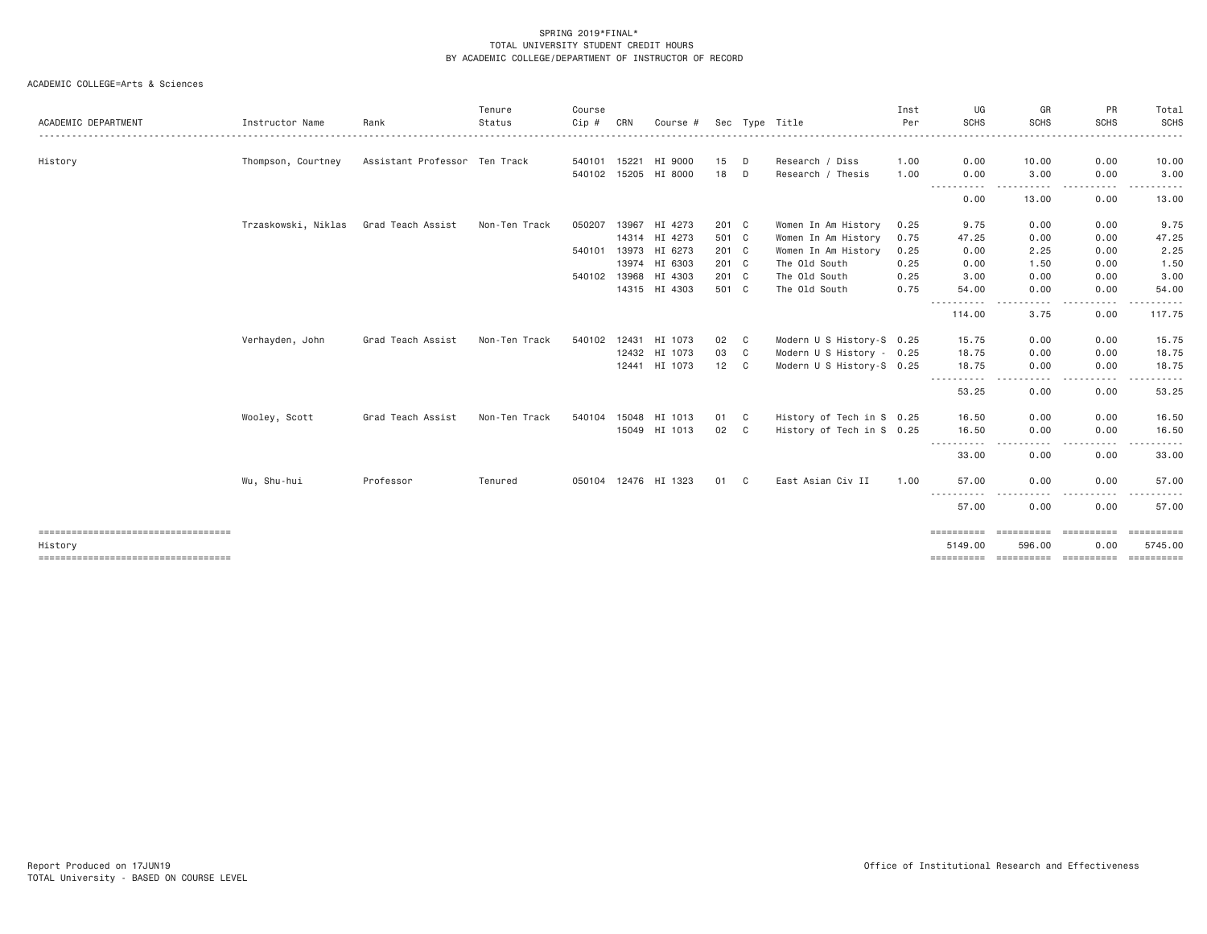| ACADEMIC DEPARTMENT                  | Instructor Name     | Rank                          | Tenure<br>Status | Course<br>Cip # | CRN | Course #             |       |    | Sec Type Title            | Inst<br>Per | UG<br><b>SCHS</b>                                                                                                                                                                                                                                                                                                                                                                                                                                                                                               | GR<br><b>SCHS</b>                                                                                                                 | PR<br><b>SCHS</b>    | Total<br><b>SCHS</b> |
|--------------------------------------|---------------------|-------------------------------|------------------|-----------------|-----|----------------------|-------|----|---------------------------|-------------|-----------------------------------------------------------------------------------------------------------------------------------------------------------------------------------------------------------------------------------------------------------------------------------------------------------------------------------------------------------------------------------------------------------------------------------------------------------------------------------------------------------------|-----------------------------------------------------------------------------------------------------------------------------------|----------------------|----------------------|
|                                      |                     |                               |                  |                 |     |                      |       |    |                           |             |                                                                                                                                                                                                                                                                                                                                                                                                                                                                                                                 |                                                                                                                                   |                      |                      |
| History                              | Thompson, Courtney  | Assistant Professor Ten Track |                  |                 |     | 540101 15221 HI 9000 | 15    | D  | Research / Diss           | 1.00        | 0.00                                                                                                                                                                                                                                                                                                                                                                                                                                                                                                            | 10.00                                                                                                                             | 0.00                 | 10.00                |
|                                      |                     |                               |                  |                 |     | 540102 15205 HI 8000 | 18    | D  | Research / Thesis         | 1.00        | 0.00<br>$\begin{array}{cccccccccccccc} \multicolumn{2}{c}{} & \multicolumn{2}{c}{} & \multicolumn{2}{c}{} & \multicolumn{2}{c}{} & \multicolumn{2}{c}{} & \multicolumn{2}{c}{} & \multicolumn{2}{c}{} & \multicolumn{2}{c}{} & \multicolumn{2}{c}{} & \multicolumn{2}{c}{} & \multicolumn{2}{c}{} & \multicolumn{2}{c}{} & \multicolumn{2}{c}{} & \multicolumn{2}{c}{} & \multicolumn{2}{c}{} & \multicolumn{2}{c}{} & \multicolumn{2}{c}{} & \multicolumn{2}{c}{} & \multicolumn{2}{c}{} & \$<br>$\frac{1}{2}$ | 3.00<br>$\frac{1}{2} \left( \frac{1}{2} \right) \left( \frac{1}{2} \right) \left( \frac{1}{2} \right) \left( \frac{1}{2} \right)$ | 0.00<br>.            | 3.00                 |
|                                      |                     |                               |                  |                 |     |                      |       |    |                           |             | 0.00                                                                                                                                                                                                                                                                                                                                                                                                                                                                                                            | 13.00                                                                                                                             | 0.00                 | 13.00                |
|                                      | Trzaskowski, Niklas | Grad Teach Assist             | Non-Ten Track    | 050207          |     | 13967 HI 4273        | 201 C |    | Women In Am History       | 0.25        | 9.75                                                                                                                                                                                                                                                                                                                                                                                                                                                                                                            | 0.00                                                                                                                              | 0.00                 | 9.75                 |
|                                      |                     |                               |                  |                 |     | 14314 HI 4273        | 501 C |    | Women In Am History       | 0.75        | 47.25                                                                                                                                                                                                                                                                                                                                                                                                                                                                                                           | 0.00                                                                                                                              | 0.00                 | 47.25                |
|                                      |                     |                               |                  |                 |     | 540101 13973 HI 6273 | 201 C |    | Women In Am History       | 0.25        | 0.00                                                                                                                                                                                                                                                                                                                                                                                                                                                                                                            | 2.25                                                                                                                              | 0.00                 | 2.25                 |
|                                      |                     |                               |                  |                 |     | 13974 HI 6303        | 201 C |    | The Old South             | 0.25        | 0.00                                                                                                                                                                                                                                                                                                                                                                                                                                                                                                            | 1.50                                                                                                                              | 0.00                 | 1.50                 |
|                                      |                     |                               |                  |                 |     | 540102 13968 HI 4303 | 201 C |    | The Old South             | 0.25        | 3.00                                                                                                                                                                                                                                                                                                                                                                                                                                                                                                            | 0.00                                                                                                                              | 0.00                 | 3.00                 |
|                                      |                     |                               |                  |                 |     | 14315 HI 4303        | 501 C |    | The Old South             | 0.75        | 54.00                                                                                                                                                                                                                                                                                                                                                                                                                                                                                                           | 0.00<br>----                                                                                                                      | 0.00<br>.            | 54.00                |
|                                      |                     |                               |                  |                 |     |                      |       |    |                           |             | 114.00                                                                                                                                                                                                                                                                                                                                                                                                                                                                                                          | 3.75                                                                                                                              | 0.00                 | 117.75               |
|                                      | Verhayden, John     | Grad Teach Assist             | Non-Ten Track    |                 |     | 540102 12431 HI 1073 | 02    | C  | Modern U S History-S 0.25 |             | 15.75                                                                                                                                                                                                                                                                                                                                                                                                                                                                                                           | 0.00                                                                                                                              | 0.00                 | 15.75                |
|                                      |                     |                               |                  |                 |     | 12432 HI 1073        | 03    | C  | Modern U S History - 0.25 |             | 18.75                                                                                                                                                                                                                                                                                                                                                                                                                                                                                                           | 0.00                                                                                                                              | 0.00                 | 18.75                |
|                                      |                     |                               |                  |                 |     | 12441 HI 1073        | 12 C  |    | Modern U S History-S 0.25 |             | 18.75                                                                                                                                                                                                                                                                                                                                                                                                                                                                                                           | 0.00                                                                                                                              | 0.00                 | 18.75                |
|                                      |                     |                               |                  |                 |     |                      |       |    |                           |             | 53.25                                                                                                                                                                                                                                                                                                                                                                                                                                                                                                           | $\frac{1}{2}$<br>0.00                                                                                                             | . <b>.</b> .<br>0.00 | .<br>53.25           |
|                                      | Wooley, Scott       | Grad Teach Assist             | Non-Ten Track    | 540104          |     | 15048 HI 1013        | 01    | C  | History of Tech in S 0.25 |             | 16.50                                                                                                                                                                                                                                                                                                                                                                                                                                                                                                           | 0.00                                                                                                                              | 0.00                 | 16.50                |
|                                      |                     |                               |                  |                 |     | 15049 HI 1013        | 02    | C  | History of Tech in S 0.25 |             | 16.50                                                                                                                                                                                                                                                                                                                                                                                                                                                                                                           | 0.00                                                                                                                              | 0.00                 | 16.50                |
|                                      |                     |                               |                  |                 |     |                      |       |    |                           |             | 33.00                                                                                                                                                                                                                                                                                                                                                                                                                                                                                                           | $\cdots$<br>0.00                                                                                                                  | 0.00                 | 33.00                |
|                                      | Wu, Shu-hui         | Professor                     | Tenured          |                 |     | 050104 12476 HI 1323 | 01    | C. | East Asian Civ II         | 1.00        | 57.00                                                                                                                                                                                                                                                                                                                                                                                                                                                                                                           | 0.00                                                                                                                              | 0.00                 | 57.00                |
|                                      |                     |                               |                  |                 |     |                      |       |    |                           |             | -----------<br>57.00                                                                                                                                                                                                                                                                                                                                                                                                                                                                                            | 0.00                                                                                                                              | 0.00                 | 57.00                |
| ==================================== |                     |                               |                  |                 |     |                      |       |    |                           |             | ==========                                                                                                                                                                                                                                                                                                                                                                                                                                                                                                      | ==========                                                                                                                        | ==========           | EEEEEEEEE            |
| History                              |                     |                               |                  |                 |     |                      |       |    |                           |             | 5149.00                                                                                                                                                                                                                                                                                                                                                                                                                                                                                                         | 596.00                                                                                                                            | 0.00                 | 5745.00              |
|                                      |                     |                               |                  |                 |     |                      |       |    |                           |             | ==========                                                                                                                                                                                                                                                                                                                                                                                                                                                                                                      | ----------- ----------                                                                                                            |                      | ==========           |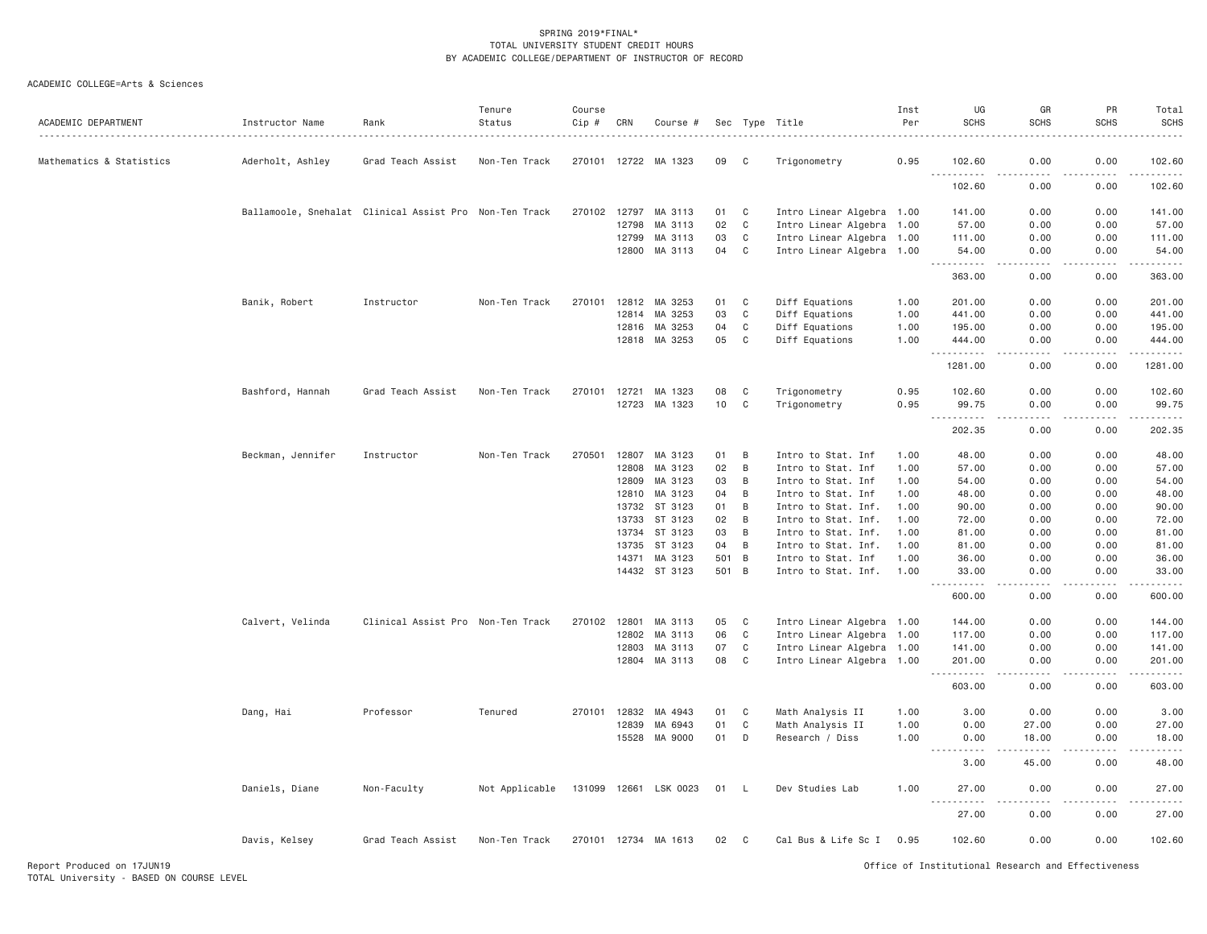| ACADEMIC DEPARTMENT      | Instructor Name   | Rank                                                   | Tenure<br>Status | Course<br>$Cip$ # | CRN   | Course #             |     |                | Sec Type Title            | Inst<br>Per<br>. | UG<br><b>SCHS</b>                  | GR<br><b>SCHS</b>                   | PR<br><b>SCHS</b>   | Total<br>SCHS<br>.                                                                                                                                                                        |
|--------------------------|-------------------|--------------------------------------------------------|------------------|-------------------|-------|----------------------|-----|----------------|---------------------------|------------------|------------------------------------|-------------------------------------|---------------------|-------------------------------------------------------------------------------------------------------------------------------------------------------------------------------------------|
| Mathematics & Statistics | Aderholt, Ashley  | Grad Teach Assist                                      | Non-Ten Track    |                   |       | 270101 12722 MA 1323 | 09  | C              | Trigonometry              | 0.95             | 102.60<br>.                        | 0.00                                | 0.00                | 102.60<br>$\frac{1}{2} \left( \frac{1}{2} \right) \left( \frac{1}{2} \right) \left( \frac{1}{2} \right) \left( \frac{1}{2} \right) \left( \frac{1}{2} \right)$                            |
|                          |                   |                                                        |                  |                   |       |                      |     |                |                           |                  | 102.60                             | 0.00                                | 0.00                | 102.60                                                                                                                                                                                    |
|                          |                   | Ballamoole, Snehalat Clinical Assist Pro Non-Ten Track |                  | 270102 12797      |       | MA 3113              | 01  | C              | Intro Linear Algebra 1.00 |                  | 141.00                             | 0.00                                | 0.00                | 141.00                                                                                                                                                                                    |
|                          |                   |                                                        |                  |                   | 12798 | MA 3113              | 02  | C              | Intro Linear Algebra 1.00 |                  | 57.00                              | 0.00                                | 0.00                | 57.00                                                                                                                                                                                     |
|                          |                   |                                                        |                  |                   | 12799 | MA 3113              | 03  | C              | Intro Linear Algebra 1.00 |                  | 111.00                             | 0.00                                | 0.00                | 111.00                                                                                                                                                                                    |
|                          |                   |                                                        |                  |                   | 12800 | MA 3113              | 04  | C              | Intro Linear Algebra 1.00 |                  | 54.00                              | 0.00                                | 0.00                | 54.00                                                                                                                                                                                     |
|                          |                   |                                                        |                  |                   |       |                      |     |                |                           |                  | 363.00                             | 0.00                                | 0.00                | 363.00                                                                                                                                                                                    |
|                          | Banik, Robert     | Instructor                                             | Non-Ten Track    | 270101            | 12812 | MA 3253              | 01  | C              | Diff Equations            | 1.00             | 201.00                             | 0.00                                | 0.00                | 201.00                                                                                                                                                                                    |
|                          |                   |                                                        |                  |                   | 12814 | MA 3253              | 03  | C              | Diff Equations            | 1.00             | 441.00                             | 0.00                                | 0.00                | 441.00                                                                                                                                                                                    |
|                          |                   |                                                        |                  |                   | 12816 | MA 3253              | 04  | C              | Diff Equations            | 1.00             | 195.00                             | 0.00                                | 0.00                | 195.00                                                                                                                                                                                    |
|                          |                   |                                                        |                  |                   | 12818 | MA 3253              | 05  | C              | Diff Equations            | 1.00             | 444.00<br><u>.</u>                 | 0.00<br>د د د د                     | 0.00<br>.           | 444.00<br>.                                                                                                                                                                               |
|                          |                   |                                                        |                  |                   |       |                      |     |                |                           |                  | 1281.00                            | 0.00                                | 0.00                | 1281.00                                                                                                                                                                                   |
|                          | Bashford, Hannah  | Grad Teach Assist                                      | Non-Ten Track    | 270101            | 12721 | MA 1323              | 08  | C              | Trigonometry              | 0.95             | 102.60                             | 0.00                                | 0.00                | 102.60                                                                                                                                                                                    |
|                          |                   |                                                        |                  |                   |       | 12723 MA 1323        | 10  | $\mathbb C$    | Trigonometry              | 0.95             | 99.75                              | 0.00                                | 0.00                | 99.75                                                                                                                                                                                     |
|                          |                   |                                                        |                  |                   |       |                      |     |                |                           |                  | .<br>202.35                        | .<br>0.00                           | 0.00                | $\frac{1}{2} \left( \frac{1}{2} \right) \left( \frac{1}{2} \right) \left( \frac{1}{2} \right) \left( \frac{1}{2} \right) \left( \frac{1}{2} \right) \left( \frac{1}{2} \right)$<br>202.35 |
|                          | Beckman, Jennifer | Instructor                                             | Non-Ten Track    | 270501            | 12807 | MA 3123              | 01  | B              | Intro to Stat. Inf        | 1.00             | 48.00                              | 0.00                                | 0.00                | 48.00                                                                                                                                                                                     |
|                          |                   |                                                        |                  |                   | 12808 | MA 3123              | 02  | B              | Intro to Stat. Inf        | 1,00             | 57.00                              | 0.00                                | 0.00                | 57.00                                                                                                                                                                                     |
|                          |                   |                                                        |                  |                   | 12809 | MA 3123              | 03  | B              | Intro to Stat. Inf        | 1.00             | 54.00                              | 0.00                                | 0.00                | 54.00                                                                                                                                                                                     |
|                          |                   |                                                        |                  |                   | 12810 | MA 3123              | 04  | B              | Intro to Stat. Inf        | 1.00             | 48.00                              | 0.00                                | 0.00                | 48.00                                                                                                                                                                                     |
|                          |                   |                                                        |                  |                   | 13732 | ST 3123              | 01  | B              | Intro to Stat. Inf.       | 1.00             | 90.00                              | 0.00                                | 0.00                | 90.00                                                                                                                                                                                     |
|                          |                   |                                                        |                  |                   | 13733 | ST 3123              | 02  | B              | Intro to Stat. Inf.       | 1.00             | 72.00                              | 0.00                                | 0.00                | 72.00                                                                                                                                                                                     |
|                          |                   |                                                        |                  |                   | 13734 | ST 3123              | 03  | B              | Intro to Stat. Inf.       | 1.00             | 81.00                              | 0.00                                | 0.00                | 81.00                                                                                                                                                                                     |
|                          |                   |                                                        |                  |                   | 13735 | ST 3123              | 04  | B              | Intro to Stat. Inf.       | 1.00             | 81.00                              | 0.00                                | 0.00                | 81.00                                                                                                                                                                                     |
|                          |                   |                                                        |                  |                   | 14371 | MA 3123              | 501 | B              | Intro to Stat. Inf        | 1.00             | 36.00                              | 0.00                                | 0.00                | 36.00                                                                                                                                                                                     |
|                          |                   |                                                        |                  |                   |       | 14432 ST 3123        | 501 | $\overline{B}$ | Intro to Stat. Inf.       | 1.00             | 33.00<br>$- - - - - - -$           | 0.00<br>.                           | 0.00<br>$- - - - -$ | 33.00<br>.                                                                                                                                                                                |
|                          |                   |                                                        |                  |                   |       |                      |     |                |                           |                  | 600.00                             | 0.00                                | 0.00                | 600.00                                                                                                                                                                                    |
|                          | Calvert, Velinda  | Clinical Assist Pro Non-Ten Track                      |                  | 270102 12801      |       | MA 3113              | 05  | C              | Intro Linear Algebra 1.00 |                  | 144.00                             | 0.00                                | 0.00                | 144.00                                                                                                                                                                                    |
|                          |                   |                                                        |                  |                   | 12802 | MA 3113              | 06  | C              | Intro Linear Algebra 1.00 |                  | 117.00                             | 0.00                                | 0.00                | 117.00                                                                                                                                                                                    |
|                          |                   |                                                        |                  |                   | 12803 | MA 3113              | 07  | C              | Intro Linear Algebra 1.00 |                  | 141.00                             | 0.00                                | 0.00                | 141.00                                                                                                                                                                                    |
|                          |                   |                                                        |                  |                   |       | 12804 MA 3113        | 08  | C              | Intro Linear Algebra 1.00 |                  | 201.00<br>.<br>$\sim$ $\sim$       | 0.00<br>$\sim$ $\sim$ $\sim$ $\sim$ | 0.00<br>.           | 201.00<br>$\omega$ is a set of                                                                                                                                                            |
|                          |                   |                                                        |                  |                   |       |                      |     |                |                           |                  | 603.00                             | 0.00                                | 0.00                | 603.00                                                                                                                                                                                    |
|                          | Dang, Hai         | Professor                                              | Tenured          | 270101 12832      |       | MA 4943              | 01  | C              | Math Analysis II          | 1.00             | 3.00                               | 0.00                                | 0.00                | 3.00                                                                                                                                                                                      |
|                          |                   |                                                        |                  |                   | 12839 | MA 6943              | 01  | C              | Math Analysis II          | 1.00             | 0.00                               | 27.00                               | 0.00                | 27.00                                                                                                                                                                                     |
|                          |                   |                                                        |                  |                   |       | 15528 MA 9000        | 01  | D              | Research / Diss           | 1.00             | 0.00                               | 18.00                               | 0.00                | 18.00                                                                                                                                                                                     |
|                          |                   |                                                        |                  |                   |       |                      |     |                |                           |                  | $\frac{1}{2}$<br>$- - - -$<br>3.00 | 45.00                               | 0.00                | .<br>48.00                                                                                                                                                                                |
|                          | Daniels, Diane    | Non-Faculty                                            | Not Applicable   | 131099 12661      |       | LSK 0023             | 01  | L              | Dev Studies Lab           | 1.00             | 27.00                              | 0.00                                | 0.00                | 27.00                                                                                                                                                                                     |
|                          |                   |                                                        |                  |                   |       |                      |     |                |                           |                  | 27.00                              | 0.00                                | 0.00                | 27.00                                                                                                                                                                                     |
|                          | Davis, Kelsey     | Grad Teach Assist                                      | Non-Ten Track    |                   |       | 270101 12734 MA 1613 | 02  | C              | Cal Bus & Life Sc I 0.95  |                  | 102.60                             | 0.00                                | 0.00                | 102.60                                                                                                                                                                                    |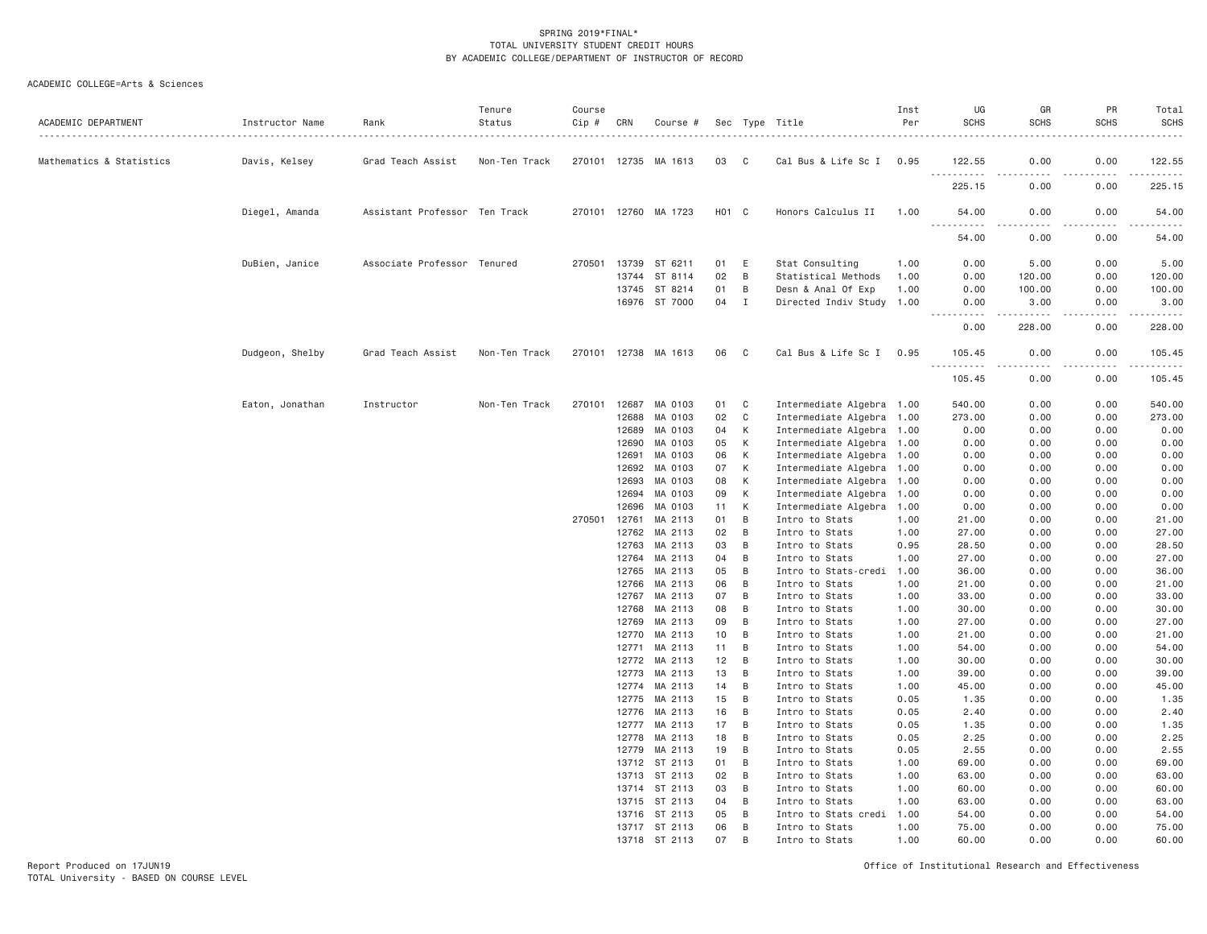| ACADEMIC DEPARTMENT      | Instructor Name | Rank                          | Tenure<br>Status | Course<br>Cip # | CRN            | Course #                       |          |              | Sec Type Title                              | Inst<br>Per  | UG<br><b>SCHS</b>  | GR<br><b>SCHS</b>    | PR<br><b>SCHS</b> | Total<br>SCHS                                                                                                                                                                             |
|--------------------------|-----------------|-------------------------------|------------------|-----------------|----------------|--------------------------------|----------|--------------|---------------------------------------------|--------------|--------------------|----------------------|-------------------|-------------------------------------------------------------------------------------------------------------------------------------------------------------------------------------------|
| Mathematics & Statistics | Davis, Kelsey   | Grad Teach Assist             | Non-Ten Track    |                 | 270101 12735   | MA 1613                        | 03       | $\mathbf{C}$ | Cal Bus & Life Sc I 0.95                    |              | 122.55             | 0.00                 | 0.00              | 122.55                                                                                                                                                                                    |
|                          |                 |                               |                  |                 |                |                                |          |              |                                             |              | <u>.</u><br>225.15 | . <b>.</b> .<br>0.00 | 0.00              | .<br>225.15                                                                                                                                                                               |
|                          | Diegel, Amanda  | Assistant Professor Ten Track |                  |                 |                | 270101 12760 MA 1723           | H01 C    |              | Honors Calculus II                          | 1.00         | 54.00              | 0.00                 | 0.00              | 54.00                                                                                                                                                                                     |
|                          |                 |                               |                  |                 |                |                                |          |              |                                             |              | .<br>54.00         | 0.00                 | 0.00              | 54.00                                                                                                                                                                                     |
|                          | DuBien, Janice  | Associate Professor Tenured   |                  | 270501          | 13739          | ST 6211                        | 01       | E            | Stat Consulting                             | 1.00         | 0.00               | 5.00                 | 0.00              | 5.00                                                                                                                                                                                      |
|                          |                 |                               |                  |                 | 13744          | ST 8114                        | 02       | B            | Statistical Methods                         | 1.00         | 0.00               | 120.00               | 0.00              | 120.00                                                                                                                                                                                    |
|                          |                 |                               |                  |                 | 13745          | ST 8214                        | 01       | B            | Desn & Anal Of Exp                          | 1.00         | 0.00               | 100.00               | 0.00              | 100.00                                                                                                                                                                                    |
|                          |                 |                               |                  |                 |                | 16976 ST 7000                  | 04       | I            | Directed Indiv Study 1.00                   |              | 0.00<br>.          | 3.00                 | 0.00              | 3.00<br>$\frac{1}{2} \left( \frac{1}{2} \right) \left( \frac{1}{2} \right) \left( \frac{1}{2} \right) \left( \frac{1}{2} \right) \left( \frac{1}{2} \right)$                              |
|                          |                 |                               |                  |                 |                |                                |          |              |                                             |              | 0.00               | 228.00               | 0.00              | 228.00                                                                                                                                                                                    |
|                          | Dudgeon, Shelby | Grad Teach Assist             | Non-Ten Track    |                 |                | 270101 12738 MA 1613           | 06       | $\mathbf{C}$ | Cal Bus & Life Sc I 0.95                    |              | 105.45<br><u>.</u> | 0.00<br>. <u>. .</u> | 0.00<br>.         | 105.45<br>$\frac{1}{2} \left( \frac{1}{2} \right) \left( \frac{1}{2} \right) \left( \frac{1}{2} \right) \left( \frac{1}{2} \right) \left( \frac{1}{2} \right) \left( \frac{1}{2} \right)$ |
|                          |                 |                               |                  |                 |                |                                |          |              |                                             |              | 105.45             | 0.00                 | 0.00              | 105.45                                                                                                                                                                                    |
|                          | Eaton, Jonathan | Instructor                    | Non-Ten Track    | 270101          | 12687          | MA 0103                        | 01       | C            | Intermediate Algebra 1.00                   |              | 540.00             | 0.00                 | 0.00              | 540.00                                                                                                                                                                                    |
|                          |                 |                               |                  |                 | 12688          | MA 0103                        | 02       | C            | Intermediate Algebra 1.00                   |              | 273.00             | 0.00                 | 0.00              | 273.00                                                                                                                                                                                    |
|                          |                 |                               |                  |                 | 12689          | MA 0103                        | 04       | К            | Intermediate Algebra 1.00                   |              | 0.00               | 0.00                 | 0.00              | 0.00                                                                                                                                                                                      |
|                          |                 |                               |                  |                 | 12690          | MA 0103                        | 05       | К            | Intermediate Algebra 1.00                   |              | 0.00               | 0.00                 | 0.00              | 0.00                                                                                                                                                                                      |
|                          |                 |                               |                  |                 | 12691          | MA 0103                        | 06       | К            | Intermediate Algebra 1.00                   |              | 0.00               | 0.00                 | 0.00              | 0.00                                                                                                                                                                                      |
|                          |                 |                               |                  |                 | 12692          | MA 0103                        | 07       | К            | Intermediate Algebra 1.00                   |              | 0.00               | 0.00                 | 0.00              | 0.00                                                                                                                                                                                      |
|                          |                 |                               |                  |                 | 12693          | MA 0103                        | 08       | K            | Intermediate Algebra 1.00                   |              | 0.00               | 0.00                 | 0.00              | 0.00                                                                                                                                                                                      |
|                          |                 |                               |                  |                 | 12694          | MA 0103                        | 09       | К            | Intermediate Algebra 1.00                   |              | 0.00               | 0.00                 | 0.00              | 0.00                                                                                                                                                                                      |
|                          |                 |                               |                  |                 | 12696          | MA 0103                        | 11       | К            | Intermediate Algebra 1.00                   |              | 0.00               | 0.00                 | 0.00              | 0.00                                                                                                                                                                                      |
|                          |                 |                               |                  | 270501          | 12761          | MA 2113                        | 01       | B            | Intro to Stats                              | 1.00         | 21.00              | 0.00                 | 0.00              | 21.00                                                                                                                                                                                     |
|                          |                 |                               |                  |                 | 12762          | MA 2113                        | 02       | B            | Intro to Stats                              | 1.00         | 27.00              | 0.00                 | 0.00              | 27.00                                                                                                                                                                                     |
|                          |                 |                               |                  |                 | 12763          | MA 2113                        | 03       | B            | Intro to Stats                              | 0.95         | 28.50              | 0.00                 | 0.00              | 28.50                                                                                                                                                                                     |
|                          |                 |                               |                  |                 | 12764          | MA 2113                        | 04       | B<br>B       | Intro to Stats                              | 1.00         | 27.00              | 0.00                 | 0.00              | 27.00                                                                                                                                                                                     |
|                          |                 |                               |                  |                 | 12765<br>12766 | MA 2113<br>MA 2113             | 05<br>06 | B            | Intro to Stats-credi 1.00                   |              | 36.00<br>21.00     | 0.00<br>0.00         | 0.00<br>0.00      | 36.00<br>21.00                                                                                                                                                                            |
|                          |                 |                               |                  |                 | 12767          | MA 2113                        | 07       | B            | Intro to Stats<br>Intro to Stats            | 1.00<br>1.00 | 33.00              | 0.00                 | 0.00              | 33.00                                                                                                                                                                                     |
|                          |                 |                               |                  |                 | 12768          | MA 2113                        | 08       | B            | Intro to Stats                              | 1.00         | 30.00              | 0.00                 | 0.00              | 30.00                                                                                                                                                                                     |
|                          |                 |                               |                  |                 | 12769          | MA 2113                        | 09       | B            | Intro to Stats                              | 1.00         | 27.00              | 0.00                 | 0.00              | 27.00                                                                                                                                                                                     |
|                          |                 |                               |                  |                 | 12770          | MA 2113                        | 10       | B            | Intro to Stats                              | 1.00         | 21.00              | 0.00                 | 0.00              | 21.00                                                                                                                                                                                     |
|                          |                 |                               |                  |                 | 12771          | MA 2113                        | 11       | B            | Intro to Stats                              | 1.00         | 54.00              | 0.00                 | 0.00              | 54.00                                                                                                                                                                                     |
|                          |                 |                               |                  |                 | 12772          | MA 2113                        | 12       | B            | Intro to Stats                              | 1.00         | 30.00              | 0.00                 | 0.00              | 30.00                                                                                                                                                                                     |
|                          |                 |                               |                  |                 | 12773          | MA 2113                        | 13       | B            | Intro to Stats                              | 1.00         | 39.00              | 0.00                 | 0.00              | 39.00                                                                                                                                                                                     |
|                          |                 |                               |                  |                 | 12774          | MA 2113                        | 14       | B            | Intro to Stats                              | 1.00         | 45.00              | 0.00                 | 0.00              | 45.00                                                                                                                                                                                     |
|                          |                 |                               |                  |                 | 12775          | MA 2113                        | 15       | B            | Intro to Stats                              | 0.05         | 1.35               | 0.00                 | 0.00              | 1.35                                                                                                                                                                                      |
|                          |                 |                               |                  |                 | 12776          | MA 2113                        | 16       | B            | Intro to Stats                              | 0.05         | 2.40               | 0.00                 | 0.00              | 2.40                                                                                                                                                                                      |
|                          |                 |                               |                  |                 | 12777          | MA 2113                        | 17       | B            | Intro to Stats                              | 0.05         | 1.35               | 0.00                 | 0.00              | 1.35                                                                                                                                                                                      |
|                          |                 |                               |                  |                 | 12778          | MA 2113                        | 18       | B            | Intro to Stats                              | 0.05         | 2.25               | 0.00                 | 0.00              | 2.25                                                                                                                                                                                      |
|                          |                 |                               |                  |                 | 12779          | MA 2113                        | 19       | B            | Intro to Stats                              | 0.05         | 2.55               | 0.00                 | 0.00              | 2.55                                                                                                                                                                                      |
|                          |                 |                               |                  |                 | 13712          | ST 2113                        | 01       | B            | Intro to Stats                              | 1.00         | 69.00              | 0.00                 | 0.00              | 69.00                                                                                                                                                                                     |
|                          |                 |                               |                  |                 | 13713          | ST 2113                        | 02       | B            | Intro to Stats                              | 1.00         | 63.00              | 0.00                 | 0.00              | 63.00                                                                                                                                                                                     |
|                          |                 |                               |                  |                 |                | 13714 ST 2113                  | 03       | B            | Intro to Stats                              | 1.00         | 60.00              | 0.00                 | 0.00              | 60.00                                                                                                                                                                                     |
|                          |                 |                               |                  |                 |                | 13715 ST 2113                  | 04       | B            | Intro to Stats                              | 1.00         | 63.00              | 0.00                 | 0.00              | 63.00                                                                                                                                                                                     |
|                          |                 |                               |                  |                 |                | 13716 ST 2113<br>13717 ST 2113 | 05<br>06 | B<br>B       | Intro to Stats credi 1.00<br>Intro to Stats | 1.00         | 54.00<br>75.00     | 0.00<br>0.00         | 0.00<br>0.00      | 54.00<br>75.00                                                                                                                                                                            |
|                          |                 |                               |                  |                 |                | 13718 ST 2113                  | 07       | <b>B</b>     | Intro to Stats                              | 1.00         | 60.00              | 0.00                 | 0.00              | 60.00                                                                                                                                                                                     |
|                          |                 |                               |                  |                 |                |                                |          |              |                                             |              |                    |                      |                   |                                                                                                                                                                                           |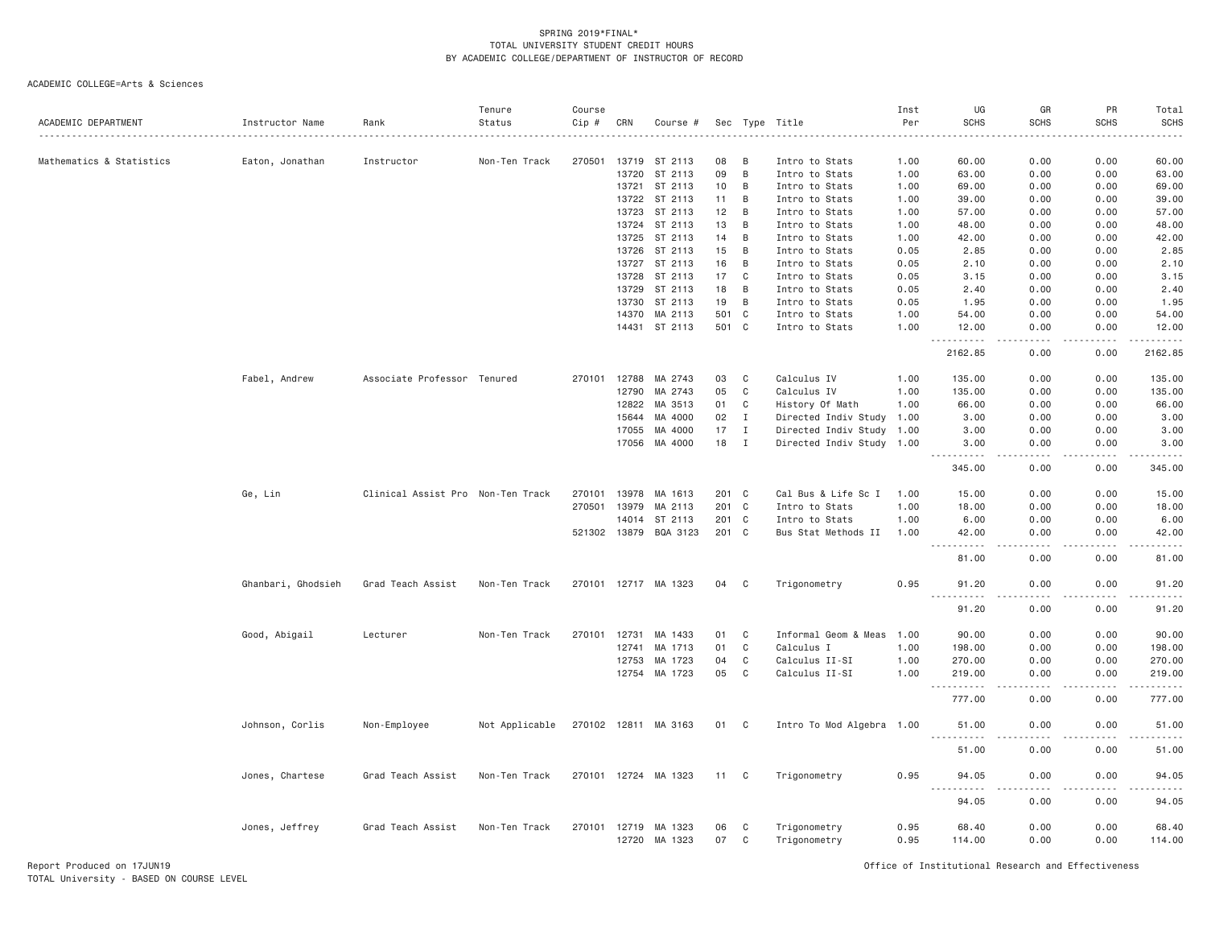| ACADEMIC DEPARTMENT      | Instructor Name    | Rank                              | Tenure<br>Status | Course<br>Cip # | CRN                   | Course #              | Sec |              | Type Title                   | Inst<br>Per  | UG<br><b>SCHS</b>             | GR<br><b>SCHS</b>     | PR<br><b>SCHS</b> | Total<br><b>SCHS</b> |
|--------------------------|--------------------|-----------------------------------|------------------|-----------------|-----------------------|-----------------------|-----|--------------|------------------------------|--------------|-------------------------------|-----------------------|-------------------|----------------------|
| Mathematics & Statistics | Eaton, Jonathan    | Instructor                        | Non-Ten Track    | 270501          | 13719                 | ST 2113               | 08  | B            | Intro to Stats               | 1.00         | 60.00                         | 0.00                  | 0.00              | 60.00                |
|                          |                    |                                   |                  |                 | 13720                 | ST 2113               | 09  | B            | Intro to Stats               | 1.00         | 63.00                         | 0.00                  | 0.00              | 63.00                |
|                          |                    |                                   |                  |                 |                       | 13721 ST 2113         | 10  | B            | Intro to Stats               | 1.00         | 69.00                         | 0.00                  | 0.00              | 69.00                |
|                          |                    |                                   |                  |                 | 13722                 | ST 2113               | 11  | B            | Intro to Stats               | 1.00         | 39.00                         | 0.00                  | 0.00              | 39.00                |
|                          |                    |                                   |                  |                 | 13723                 | ST 2113               | 12  | B            | Intro to Stats               | 1.00         | 57.00                         | 0.00                  | 0.00              | 57.00                |
|                          |                    |                                   |                  |                 | 13724                 | ST 2113               | 13  | B            | Intro to Stats               | 1.00         | 48.00                         | 0.00                  | 0.00              | 48.00                |
|                          |                    |                                   |                  |                 | 13725                 | ST 2113               | 14  | B            | Intro to Stats               | 1.00         | 42.00                         | 0.00                  | 0.00              | 42.00                |
|                          |                    |                                   |                  |                 | 13726                 | ST 2113               | 15  | B            | Intro to Stats               | 0.05         | 2.85                          | 0.00                  | 0.00              | 2.85                 |
|                          |                    |                                   |                  |                 |                       | 13727 ST 2113         | 16  | B            | Intro to Stats               | 0.05         | 2.10                          | 0.00                  | 0.00              | 2.10                 |
|                          |                    |                                   |                  |                 | 13728                 | ST 2113               | 17  | $\mathbf{C}$ | Intro to Stats               | 0.05         | 3.15                          | 0.00                  | 0.00              | 3.15                 |
|                          |                    |                                   |                  |                 | 13729                 | ST 2113               | 18  | B            | Intro to Stats               | 0.05         | 2.40                          | 0.00                  | 0.00              | 2.40                 |
|                          |                    |                                   |                  |                 | 13730                 | ST 2113               | 19  | B            | Intro to Stats               | 0.05         | 1.95                          | 0.00                  | 0.00              | 1.95                 |
|                          |                    |                                   |                  |                 | 14370                 | MA 2113               | 501 | $\mathbf{C}$ | Intro to Stats               | 1.00         | 54.00                         | 0.00                  | 0.00              | 54.00                |
|                          |                    |                                   |                  |                 |                       | 14431 ST 2113         |     | 501 C        | Intro to Stats               | 1.00         | 12.00<br>. <b>.</b><br>- - -  | 0.00<br>.             | 0.00<br><u>.</u>  | 12.00<br>المستحدث    |
|                          |                    |                                   |                  |                 |                       |                       |     |              |                              |              | 2162.85                       | 0.00                  | 0.00              | 2162.85              |
|                          | Fabel, Andrew      | Associate Professor Tenured       |                  | 270101          | 12788                 | MA 2743               | 03  | C            | Calculus IV                  | 1.00         | 135.00                        | 0.00                  | 0.00              | 135.00               |
|                          |                    |                                   |                  |                 | 12790                 | MA 2743               | 05  | C            | Calculus IV                  | 1.00         | 135.00                        | 0.00                  | 0.00              | 135.00               |
|                          |                    |                                   |                  |                 | 12822                 | MA 3513               | 01  | C            | History Of Math              | 1.00         | 66.00                         | 0.00                  | 0.00              | 66.00                |
|                          |                    |                                   |                  |                 | 15644                 | MA 4000               | 02  | $\mathbf I$  | Directed Indiv Study 1.00    |              | 3.00                          | 0.00                  | 0.00              | 3.00                 |
|                          |                    |                                   |                  |                 | 17055                 | MA 4000               | 17  | Ι.           | Directed Indiv Study 1.00    |              | 3.00                          | 0.00                  | 0.00              | 3.00                 |
|                          |                    |                                   |                  |                 | 17056                 | MA 4000               | 18  | $\mathbf I$  | Directed Indiv Study 1.00    |              | 3.00                          | 0.00                  | 0.00              | 3.00                 |
|                          |                    |                                   |                  |                 |                       |                       |     |              |                              |              | 345.00                        | 0.00                  | 0.00              | 345.00               |
|                          | Ge, Lin            | Clinical Assist Pro Non-Ten Track |                  | 270101          | 13978                 | MA 1613               |     | 201 C        | Cal Bus & Life Sc I 1.00     |              | 15.00                         | 0.00                  | 0.00              | 15.00                |
|                          |                    |                                   |                  | 270501          | 13979                 | MA 2113               |     | 201 C        | Intro to Stats               | 1.00         | 18.00                         | 0.00                  | 0.00              | 18.00                |
|                          |                    |                                   |                  |                 | 14014                 | ST 2113               | 201 | $\mathbf C$  | Intro to Stats               | 1.00         | 6.00                          | 0.00                  | 0.00              | 6.00                 |
|                          |                    |                                   |                  |                 |                       | 521302 13879 BQA 3123 |     | 201 C        | Bus Stat Methods II          | 1.00         | 42.00<br>$\frac{1}{2}$        | 0.00<br>$\frac{1}{2}$ | 0.00              | 42.00<br>.           |
|                          |                    |                                   |                  |                 |                       |                       |     |              |                              |              | 81.00                         | 0.00                  | 0.00              | 81.00                |
|                          | Ghanbari, Ghodsieh | Grad Teach Assist                 | Non-Ten Track    |                 |                       | 270101 12717 MA 1323  | 04  | C            | Trigonometry                 | 0.95         | 91.20<br>.                    | 0.00                  | 0.00              | 91.20<br>.           |
|                          |                    |                                   |                  |                 |                       |                       |     |              |                              |              | 91.20                         | 0.00                  | 0.00              | 91.20                |
|                          | Good, Abigail      | Lecturer                          | Non-Ten Track    | 270101          | 12731                 | MA 1433               | 01  | C            | Informal Geom & Meas 1.00    |              | 90.00                         | 0.00                  | 0.00              | 90.00                |
|                          |                    |                                   |                  |                 | 12741                 | MA 1713               | 01  | C            | Calculus I                   | 1.00         | 198.00                        | 0.00                  | 0.00              | 198.00               |
|                          |                    |                                   |                  |                 | 12753                 | MA 1723               | 04  | C            | Calculus II-SI               | 1.00         | 270.00                        | 0.00                  | 0.00              | 270.00               |
|                          |                    |                                   |                  |                 |                       | 12754 MA 1723         | 05  | $\mathbf C$  | Calculus II-SI               | 1.00         | 219.00<br>.                   | 0.00<br>.             | 0.00<br>.         | 219.00<br>.          |
|                          |                    |                                   |                  |                 |                       |                       |     |              |                              |              | 777.00                        | 0.00                  | 0.00              | 777.00               |
|                          | Johnson, Corlis    | Non-Employee                      | Not Applicable   |                 |                       | 270102 12811 MA 3163  |     | 01 C         | Intro To Mod Algebra 1.00    |              | 51.00<br>$\sim$ $\sim$ $\sim$ | 0.00                  | 0.00              | 51.00                |
|                          |                    |                                   |                  |                 |                       |                       |     |              |                              |              | .<br>51.00                    | $\frac{1}{2}$<br>0.00 | 0.00              | .<br>51.00           |
|                          | Jones, Chartese    | Grad Teach Assist                 | Non-Ten Track    |                 |                       | 270101 12724 MA 1323  | 11  | C            | Trigonometry                 | 0.95         | 94.05                         | 0.00                  | 0.00              | 94.05                |
|                          |                    |                                   |                  |                 |                       |                       |     |              |                              |              | $\sim$ $\sim$ .<br>94.05      | 0.00                  | 0.00              | 94.05                |
|                          |                    |                                   |                  |                 |                       |                       | 06  | C            |                              |              |                               |                       |                   |                      |
|                          | Jones, Jeffrey     | Grad Teach Assist                 | Non-Ten Track    |                 | 270101 12719<br>12720 | MA 1323<br>MA 1323    | 07  | C            | Trigonometry<br>Trigonometry | 0.95<br>0.95 | 68.40<br>114.00               | 0.00<br>0.00          | 0.00<br>0.00      | 68.40<br>114.00      |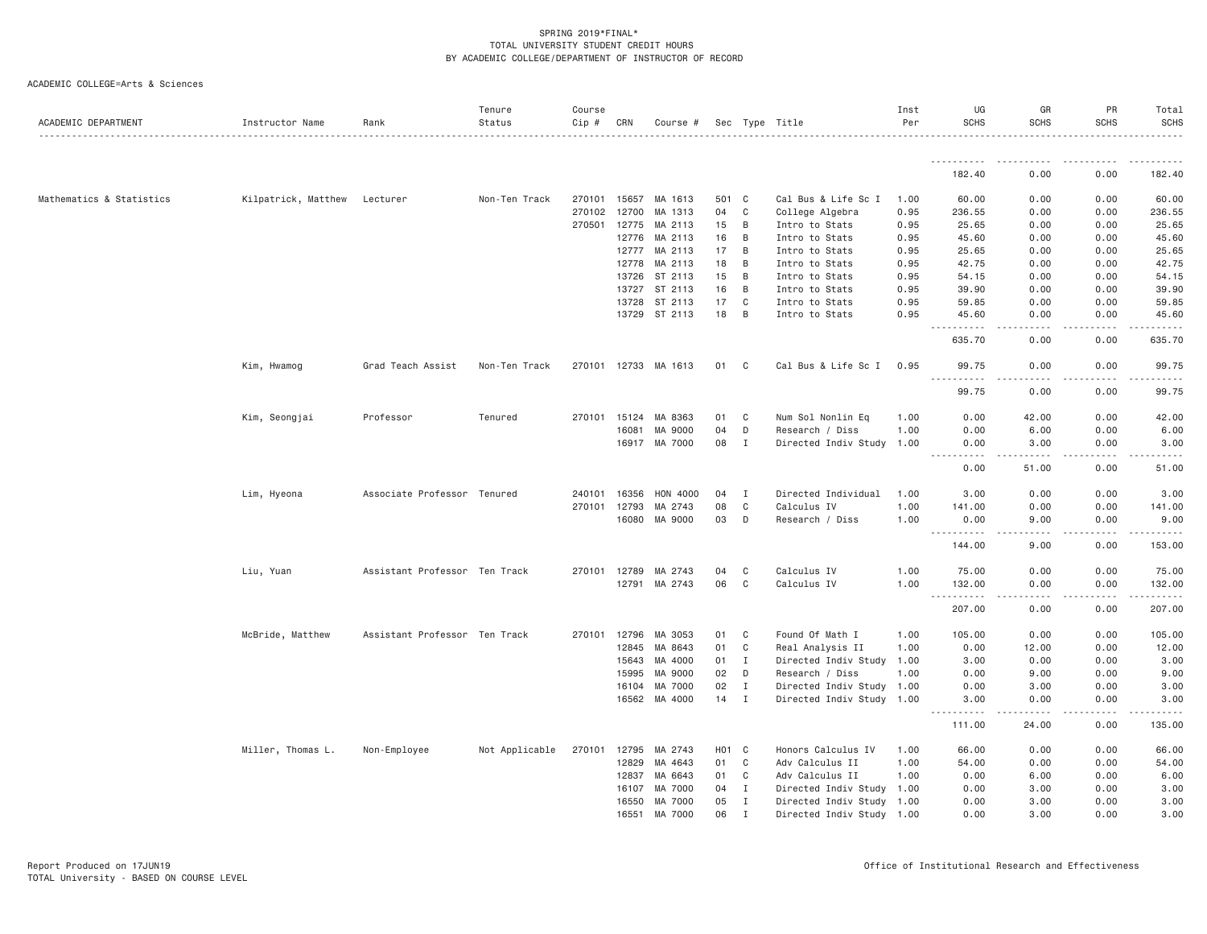| ACADEMIC DEPARTMENT      | Instructor Name     | Rank                          | Tenure<br>Status | Course<br>$Cip \#$ | CRN   | Course #             |                   |              | Sec Type Title            | Inst<br>Per | UG<br><b>SCHS</b>      | GR<br><b>SCHS</b> | PR<br><b>SCHS</b> | Total<br>SCHS |
|--------------------------|---------------------|-------------------------------|------------------|--------------------|-------|----------------------|-------------------|--------------|---------------------------|-------------|------------------------|-------------------|-------------------|---------------|
|                          |                     |                               |                  |                    |       |                      |                   |              |                           |             | <u>.</u>               |                   |                   |               |
|                          |                     |                               |                  |                    |       |                      |                   |              |                           |             | 182.40                 | 0.00              | 0.00              | 182.40        |
| Mathematics & Statistics | Kilpatrick, Matthew | Lecturer                      | Non-Ten Track    | 270101             | 15657 | MA 1613              | 501 C             |              | Cal Bus & Life Sc I       | 1.00        | 60.00                  | 0.00              | 0.00              | 60.00         |
|                          |                     |                               |                  | 270102             | 12700 | MA 1313              | 04                | C            | College Algebra           | 0.95        | 236.55                 | 0.00              | 0.00              | 236.55        |
|                          |                     |                               |                  | 270501             | 12775 | MA 2113              | 15                | B            | Intro to Stats            | 0.95        | 25.65                  | 0.00              | 0.00              | 25.65         |
|                          |                     |                               |                  |                    | 12776 | MA 2113              | 16                | B            | Intro to Stats            | 0.95        | 45.60                  | 0.00              | 0.00              | 45.60         |
|                          |                     |                               |                  |                    | 12777 | MA 2113              | 17                | B            | Intro to Stats            | 0.95        | 25.65                  | 0.00              | 0.00              | 25.65         |
|                          |                     |                               |                  |                    | 12778 | MA 2113              | 18                | B            | Intro to Stats            | 0.95        | 42.75                  | 0.00              | 0.00              | 42.75         |
|                          |                     |                               |                  |                    | 13726 | ST 2113              | 15                | B            | Intro to Stats            | 0.95        | 54.15                  | 0.00              | 0.00              | 54.15         |
|                          |                     |                               |                  |                    | 13727 | ST 2113              | 16                | B            | Intro to Stats            | 0.95        | 39.90                  | 0.00              | 0.00              | 39.90         |
|                          |                     |                               |                  |                    | 13728 | ST 2113              | 17                | C            | Intro to Stats            | 0.95        | 59.85                  | 0.00              | 0.00              | 59.85         |
|                          |                     |                               |                  |                    |       | 13729 ST 2113        | 18                | B            | Intro to Stats            | 0.95        | 45.60<br>$\frac{1}{2}$ | 0.00              | 0.00              | 45.60         |
|                          |                     |                               |                  |                    |       |                      |                   |              |                           |             | 635.70                 | 0.00              | 0.00              | 635.70        |
|                          | Kim, Hwamog         | Grad Teach Assist             | Non-Ten Track    |                    |       | 270101 12733 MA 1613 | 01 C              |              | Cal Bus & Life Sc I       | 0.95        | 99.75                  | 0.00              | 0.00              | 99.75         |
|                          |                     |                               |                  |                    |       |                      |                   |              |                           |             | <u>.</u><br>99.75      | .<br>0.00         | -----<br>0.00     | .<br>99.75    |
|                          | Kim, Seongjai       | Professor                     | Tenured          | 270101             | 15124 | MA 8363              | 01                | C            | Num Sol Nonlin Eq         | 1.00        | 0.00                   | 42.00             | 0.00              | 42.00         |
|                          |                     |                               |                  |                    | 16081 | MA 9000              | 04                | D            | Research / Diss           | 1.00        | 0.00                   | 6.00              | 0.00              | 6.00          |
|                          |                     |                               |                  |                    |       | 16917 MA 7000        | 08                | I            | Directed Indiv Study 1.00 |             | 0.00<br>.              | 3.00<br>.         | 0.00<br>-----     | 3.00<br>.     |
|                          |                     |                               |                  |                    |       |                      |                   |              |                           |             | 0.00                   | 51.00             | 0.00              | 51.00         |
|                          | Lim, Hyeona         | Associate Professor Tenured   |                  | 240101             | 16356 | HON 4000             | 04                | $\mathbf{I}$ | Directed Individual       | 1.00        | 3.00                   | 0.00              | 0.00              | 3.00          |
|                          |                     |                               |                  | 270101             | 12793 | MA 2743              | 08                | C            | Calculus IV               | 1.00        | 141.00                 | 0.00              | 0.00              | 141.00        |
|                          |                     |                               |                  |                    | 16080 | MA 9000              | 03                | D            | Research / Diss           | 1.00        | 0.00<br><u>.</u>       | 9.00<br>.         | 0.00<br>-----     | 9.00<br>.     |
|                          |                     |                               |                  |                    |       |                      |                   |              |                           |             | 144.00                 | 9.00              | 0.00              | 153.00        |
|                          | Liu, Yuan           | Assistant Professor Ten Track |                  | 270101             | 12789 | MA 2743              | 04                | C            | Calculus IV               | 1.00        | 75.00                  | 0.00              | 0.00              | 75.00         |
|                          |                     |                               |                  |                    | 12791 | MA 2743              | 06                | $\mathbf C$  | Calculus IV               | 1.00        | 132.00<br>.            | 0.00              | 0.00              | 132.00        |
|                          |                     |                               |                  |                    |       |                      |                   |              |                           |             | 207.00                 | 0.00              | 0.00              | 207.00        |
|                          | McBride, Matthew    | Assistant Professor Ten Track |                  | 270101             | 12796 | MA 3053              | 01                | C            | Found Of Math I           | 1.00        | 105.00                 | 0.00              | 0.00              | 105.00        |
|                          |                     |                               |                  |                    | 12845 | MA 8643              | 01                | C            | Real Analysis II          | 1.00        | 0.00                   | 12.00             | 0.00              | 12.00         |
|                          |                     |                               |                  |                    | 15643 | MA 4000              | 01                | $\mathbf I$  | Directed Indiv Study      | 1.00        | 3.00                   | 0.00              | 0.00              | 3.00          |
|                          |                     |                               |                  |                    | 15995 | MA 9000              | 02                | D            | Research / Diss           | 1.00        | 0.00                   | 9.00              | 0.00              | 9.00          |
|                          |                     |                               |                  |                    | 16104 | MA 7000              | 02                | $\mathbf{I}$ | Directed Indiv Study      | 1.00        | 0.00                   | 3.00              | 0.00              | 3.00          |
|                          |                     |                               |                  |                    | 16562 | MA 4000              | 14                | $\mathbf I$  | Directed Indiv Study      | 1.00        | 3.00<br><u>.</u>       | 0.00              | 0.00              | 3.00          |
|                          |                     |                               |                  |                    |       |                      |                   |              |                           |             | 111.00                 | 24.00             | 0.00              | 135.00        |
|                          | Miller, Thomas L.   | Non-Employee                  | Not Applicable   | 270101             | 12795 | MA 2743              | H <sub>01</sub> C |              | Honors Calculus IV        | 1.00        | 66.00                  | 0.00              | 0.00              | 66.00         |
|                          |                     |                               |                  |                    | 12829 | MA 4643              | 01                | C            | Adv Calculus II           | 1.00        | 54.00                  | 0.00              | 0.00              | 54.00         |
|                          |                     |                               |                  |                    | 12837 | MA 6643              | 01                | C            | Adv Calculus II           | 1.00        | 0.00                   | 6.00              | 0.00              | 6.00          |
|                          |                     |                               |                  |                    | 16107 | MA 7000              | 04                | $\mathbf{I}$ | Directed Indiv Study      | 1.00        | 0.00                   | 3.00              | 0.00              | 3.00          |
|                          |                     |                               |                  |                    | 16550 | MA 7000              | 05                | $\mathbf{I}$ | Directed Indiv Study 1.00 |             | 0.00                   | 3.00              | 0.00              | 3.00          |
|                          |                     |                               |                  |                    | 16551 | MA 7000              | 06                | $\mathbf I$  | Directed Indiv Study 1.00 |             | 0.00                   | 3.00              | 0.00              | 3.00          |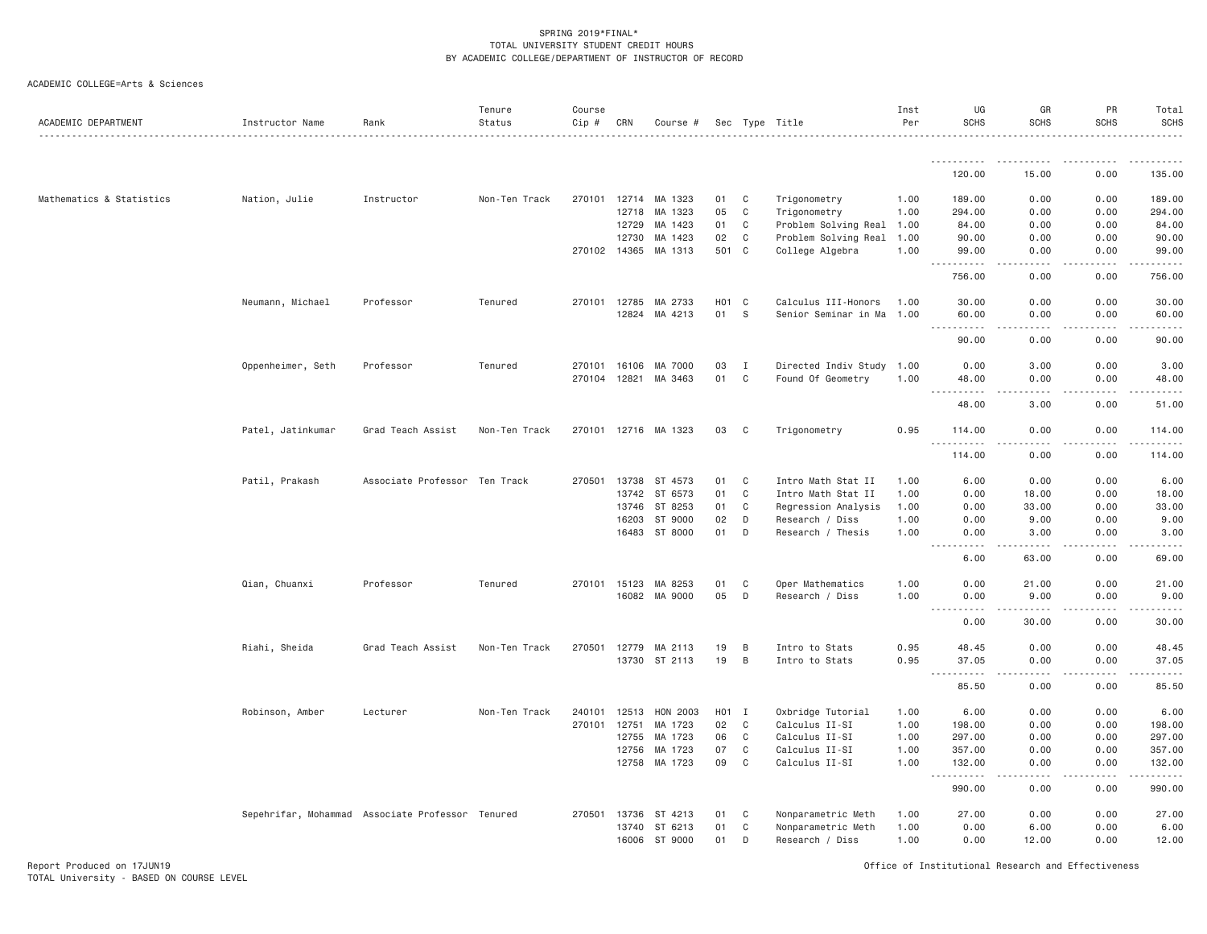|  | ACADEMIC COLLEGE=Arts & Sciences |  |  |
|--|----------------------------------|--|--|
|--|----------------------------------|--|--|

| ACADEMIC DEPARTMENT      | Instructor Name                                  | Rank                | Tenure<br>Status | Course<br>Cip # | CRN            | Course #             |                    |                  | Sec Type Title                   | Inst<br>Per  | UG<br><b>SCHS</b>                                                                                                                                                      | GR<br><b>SCHS</b>   | PR<br><b>SCHS</b> | Total<br><b>SCHS</b> |
|--------------------------|--------------------------------------------------|---------------------|------------------|-----------------|----------------|----------------------|--------------------|------------------|----------------------------------|--------------|------------------------------------------------------------------------------------------------------------------------------------------------------------------------|---------------------|-------------------|----------------------|
|                          |                                                  |                     |                  |                 |                |                      |                    |                  |                                  |              | .                                                                                                                                                                      |                     |                   |                      |
|                          |                                                  |                     |                  |                 |                |                      |                    |                  |                                  |              | 120.00                                                                                                                                                                 | 15.00               | 0.00              | 135.00               |
| Mathematics & Statistics | Nation, Julie                                    | Instructor          | Non-Ten Track    |                 |                | 270101 12714 MA 1323 | 01                 | C                | Trigonometry                     | 1.00         | 189.00                                                                                                                                                                 | 0.00                | 0.00              | 189.00               |
|                          |                                                  |                     |                  |                 | 12718          | MA 1323              | 05                 | C                | Trigonometry                     | 1.00         | 294.00                                                                                                                                                                 | 0.00                | 0.00              | 294.00               |
|                          |                                                  |                     |                  |                 | 12729          | MA 1423              | 01                 | C                | Problem Solving Real 1.00        |              | 84.00                                                                                                                                                                  | 0.00                | 0.00              | 84.00                |
|                          |                                                  |                     |                  |                 | 12730          | MA 1423              | 02                 | C                | Problem Solving Real 1.00        |              | 90.00                                                                                                                                                                  | 0.00                | 0.00              | 90.00                |
|                          |                                                  |                     |                  |                 | 270102 14365   | MA 1313              | 501                | $\mathbf{C}$     | College Algebra                  | 1.00         | 99.00<br>.                                                                                                                                                             | 0.00                | 0.00              | 99.00<br>.           |
|                          |                                                  |                     |                  |                 |                |                      |                    |                  |                                  |              | 756.00                                                                                                                                                                 | 0.00                | 0.00              | 756.00               |
|                          | Neumann, Michael                                 | Professor           | Tenured          |                 | 270101 12785   | MA 2733              | H <sub>0</sub> 1 C |                  | Calculus III-Honors              | 1.00         | 30.00                                                                                                                                                                  | 0.00                | 0.00              | 30.00                |
|                          |                                                  |                     |                  |                 |                | 12824 MA 4213        | 01                 | - S              | Senior Seminar in Ma 1.00        |              | 60.00<br>.                                                                                                                                                             | 0.00<br>د د د د     | 0.00<br>.         | 60.00<br>.           |
|                          |                                                  |                     |                  |                 |                |                      |                    |                  |                                  |              | 90.00                                                                                                                                                                  | 0.00                | 0.00              | 90.00                |
|                          | Oppenheimer, Seth                                | Professor           | Tenured          | 270101          | 16106          | MA 7000              | 03                 | $\mathbf{I}$     | Directed Indiv Study 1.00        |              | 0.00                                                                                                                                                                   | 3.00                | 0.00              | 3.00                 |
|                          |                                                  |                     |                  | 270104          | 12821          | MA 3463              | 01                 | C                | Found Of Geometry                | 1.00         | 48.00                                                                                                                                                                  | 0.00                | 0.00              | 48.00                |
|                          |                                                  |                     |                  |                 |                |                      |                    |                  |                                  |              | $  -$<br>$\frac{1}{2} \left( \frac{1}{2} \right) \left( \frac{1}{2} \right) \left( \frac{1}{2} \right) \left( \frac{1}{2} \right) \left( \frac{1}{2} \right)$<br>48.00 | 3.00                | 0.00              | 51.00                |
|                          | Patel, Jatinkumar                                | Grad Teach Assist   | Non-Ten Track    |                 |                | 270101 12716 MA 1323 | 03                 | $\mathbf{C}$     | Trigonometry                     | 0.95         | 114.00<br>$\sim$ $\sim$ $\sim$ $\sim$<br>$ -$                                                                                                                          | 0.00                | 0.00              | 114.00               |
|                          |                                                  |                     |                  |                 |                |                      |                    |                  |                                  |              | 114.00                                                                                                                                                                 | 0.00                | 0.00              | 114.00               |
|                          | Patil, Prakash                                   | Associate Professor | Ten Track        | 270501          | 13738          | ST 4573              | 01                 | C                | Intro Math Stat II               | 1.00         | 6.00                                                                                                                                                                   | 0.00                | 0.00              | 6.00                 |
|                          |                                                  |                     |                  |                 | 13742          | ST 6573              | 01                 | C                | Intro Math Stat II               | 1.00         | 0.00                                                                                                                                                                   | 18.00               | 0.00              | 18.00                |
|                          |                                                  |                     |                  |                 | 13746          | ST 8253              | 01                 | C                | Regression Analysis              | 1.00         | 0.00                                                                                                                                                                   | 33.00               | 0.00              | 33.00                |
|                          |                                                  |                     |                  |                 | 16203          | ST 9000              | 02                 | D                | Research / Diss                  | 1.00         | 0.00                                                                                                                                                                   | 9.00                | 0.00              | 9.00                 |
|                          |                                                  |                     |                  |                 |                | 16483 ST 8000        | 01                 | D                | Research / Thesis                | 1.00         | 0.00<br>$\frac{1}{2} \left( \frac{1}{2} \right) \left( \frac{1}{2} \right) \left( \frac{1}{2} \right) \left( \frac{1}{2} \right)$<br>$  -$                             | 3.00<br>$- - - - -$ | 0.00<br>.         | 3.00<br>.            |
|                          |                                                  |                     |                  |                 |                |                      |                    |                  |                                  |              | 6.00                                                                                                                                                                   | 63.00               | 0.00              | 69.00                |
|                          | Qian, Chuanxi                                    | Professor           | Tenured          |                 | 270101 15123   | MA 8253              | 01                 | C                | Oper Mathematics                 | 1,00         | 0.00                                                                                                                                                                   | 21.00               | 0.00              | 21,00                |
|                          |                                                  |                     |                  |                 | 16082          | MA 9000              | 05                 | D                | Research / Diss                  | 1,00         | 0.00                                                                                                                                                                   | 9.00                | 0.00              | 9.00                 |
|                          |                                                  |                     |                  |                 |                |                      |                    |                  |                                  |              | .<br>0.00                                                                                                                                                              | 22222<br>30.00      | .<br>0.00         | الداعات<br>30.00     |
|                          | Riahi, Sheida                                    | Grad Teach Assist   | Non-Ten Track    | 270501          | 12779          | MA 2113              | 19                 | B                | Intro to Stats                   | 0.95         | 48.45                                                                                                                                                                  | 0.00                | 0.00              | 48.45                |
|                          |                                                  |                     |                  |                 | 13730          | ST 2113              | 19                 | B                | Intro to Stats                   | 0.95         | 37.05                                                                                                                                                                  | 0.00                | 0.00              | 37.05                |
|                          |                                                  |                     |                  |                 |                |                      |                    |                  |                                  |              | $\omega$ is $\omega$<br>.<br>85.50                                                                                                                                     | 0.00                | 0.00              | .<br>85.50           |
|                          | Robinson, Amber                                  | Lecturer            | Non-Ten Track    | 240101          | 12513          | HON 2003             | H <sub>0</sub> 1 I |                  | Oxbridge Tutorial                | 1.00         | 6.00                                                                                                                                                                   | 0.00                | 0.00              | 6.00                 |
|                          |                                                  |                     |                  | 270101          | 12751          | MA 1723              | 02                 | C                | Calculus II-SI                   | 1.00         | 198.00                                                                                                                                                                 | 0.00                | 0.00              | 198.00               |
|                          |                                                  |                     |                  |                 | 12755          | MA 1723              | 06                 | C                | Calculus II-SI                   | 1.00         | 297.00                                                                                                                                                                 | 0.00                | 0.00              | 297.00               |
|                          |                                                  |                     |                  |                 | 12756<br>12758 | MA 1723<br>MA 1723   | 07<br>09           | C<br>$\mathbb C$ | Calculus II-SI<br>Calculus II-SI | 1.00<br>1.00 | 357.00<br>132.00                                                                                                                                                       | 0.00<br>0.00        | 0.00<br>0.00      | 357.00<br>132.00     |
|                          |                                                  |                     |                  |                 |                |                      |                    |                  |                                  |              | $\sim$ $\sim$ .<br>.                                                                                                                                                   | .                   | .                 | .                    |
|                          |                                                  |                     |                  |                 |                |                      |                    |                  |                                  |              | 990.00                                                                                                                                                                 | 0.00                | 0.00              | 990.00               |
|                          | Sepehrifar, Mohammad Associate Professor Tenured |                     |                  | 270501          | 13736          | ST 4213              | 01                 | C                | Nonparametric Meth               | 1.00         | 27.00                                                                                                                                                                  | 0.00                | 0.00              | 27.00                |
|                          |                                                  |                     |                  |                 | 13740          | ST 6213              | 01                 | C                | Nonparametric Meth               | 1.00         | 0.00                                                                                                                                                                   | 6.00                | 0.00              | 6.00                 |
|                          |                                                  |                     |                  |                 |                | 16006 ST 9000        | 01                 | D                | Research / Diss                  | 1.00         | 0.00                                                                                                                                                                   | 12.00               | 0.00              | 12.00                |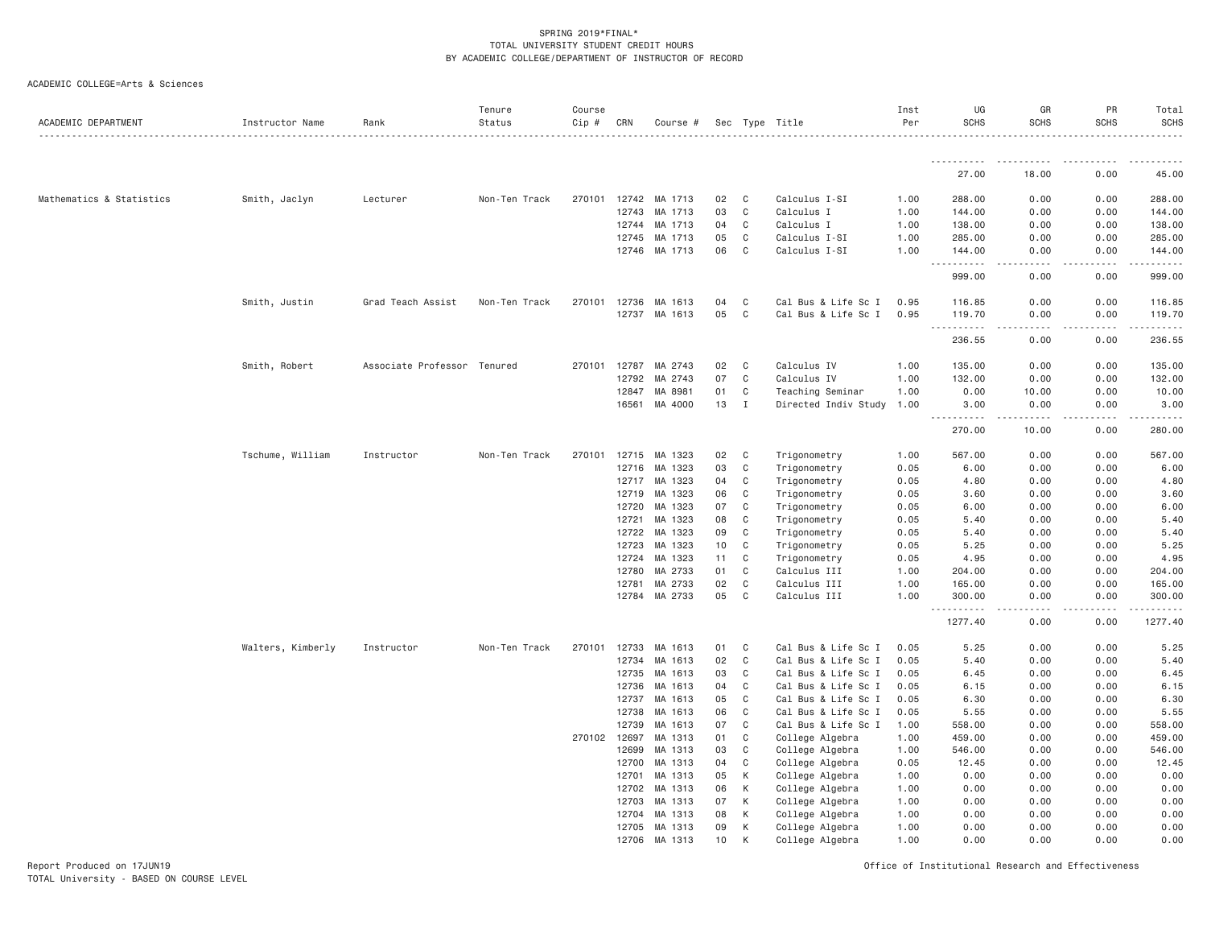| ACADEMIC DEPARTMENT      | Instructor Name   | Rank                | Tenure<br>Status | Course<br>Cip # | CRN   | Course #   |    |              | Sec Type Title       | Inst<br>Per | UG<br><b>SCHS</b>                   | GR<br><b>SCHS</b>                   | PR<br><b>SCHS</b> | Total<br><b>SCHS</b>      |
|--------------------------|-------------------|---------------------|------------------|-----------------|-------|------------|----|--------------|----------------------|-------------|-------------------------------------|-------------------------------------|-------------------|---------------------------|
|                          |                   |                     |                  |                 |       |            |    |              |                      |             |                                     |                                     |                   |                           |
|                          |                   |                     |                  |                 |       |            |    |              |                      |             | 27.00                               | 18.00                               | 0.00              | 45.00                     |
| Mathematics & Statistics | Smith, Jaclyn     | Lecturer            | Non-Ten Track    | 270101          | 12742 | MA 1713    | 02 | C            | Calculus I-SI        | 1.00        | 288.00                              | 0.00                                | 0.00              | 288.00                    |
|                          |                   |                     |                  |                 | 12743 | MA 1713    | 03 | $\mathbf C$  | Calculus I           | 1.00        | 144.00                              | 0.00                                | 0.00              | 144.00                    |
|                          |                   |                     |                  |                 | 12744 | MA 1713    | 04 | $\mathsf{C}$ | Calculus I           | 1.00        | 138.00                              | 0.00                                | 0.00              | 138.00                    |
|                          |                   |                     |                  |                 | 12745 | MA 1713    | 05 | C            | Calculus I-SI        | 1.00        | 285.00                              | 0.00                                | 0.00              | 285.00                    |
|                          |                   |                     |                  |                 | 12746 | MA 1713    | 06 | $\mathsf{C}$ | Calculus I-SI        | 1.00        | 144.00                              | 0.00                                | 0.00              | 144.00                    |
|                          |                   |                     |                  |                 |       |            |    |              |                      |             | .<br>999.00                         | .<br>0.00                           | .<br>0.00         | .<br>999.00               |
|                          | Smith, Justin     | Grad Teach Assist   | Non-Ten Track    | 270101          | 12736 | MA 1613    | 04 | C            | Cal Bus & Life Sc I  | 0.95        | 116.85                              | 0.00                                | 0.00              | 116.85                    |
|                          |                   |                     |                  |                 | 12737 | MA 1613    | 05 | $\mathsf{C}$ | Cal Bus & Life Sc I  | 0.95        | 119.70                              | 0.00                                | 0.00              | 119.70                    |
|                          |                   |                     |                  |                 |       |            |    |              |                      |             | .<br>236.55                         | $\sim$ $\sim$ $\sim$ $\sim$<br>0.00 | .<br>0.00         | .<br>236.55               |
|                          | Smith, Robert     | Associate Professor | Tenured          | 270101          | 12787 | MA 2743    | 02 | C            | Calculus IV          | 1.00        | 135.00                              | 0.00                                | 0.00              | 135.00                    |
|                          |                   |                     |                  |                 | 12792 | MA 2743    | 07 | $\mathsf{C}$ | Calculus IV          | 1.00        | 132.00                              | 0.00                                | 0.00              | 132.00                    |
|                          |                   |                     |                  |                 | 12847 | MA 8981    | 01 | $\mathbf C$  | Teaching Seminar     | 1.00        | 0.00                                | 10.00                               | 0.00              | 10.00                     |
|                          |                   |                     |                  |                 | 16561 | MA 4000    | 13 | $\mathbf I$  | Directed Indiv Study | 1.00        | 3.00                                | 0.00<br>.                           | 0.00<br>.         | 3.00<br>.                 |
|                          |                   |                     |                  |                 |       |            |    |              |                      |             | 270.00                              | 10.00                               | 0.00              | 280.00                    |
|                          | Tschume, William  | Instructor          | Non-Ten Track    | 270101          | 12715 | MA 1323    | 02 | C            | Trigonometry         | 1.00        | 567.00                              | 0.00                                | 0.00              | 567.00                    |
|                          |                   |                     |                  |                 | 12716 | МA<br>1323 | 03 | $\mathsf{C}$ | Trigonometry         | 0.05        | 6.00                                | 0.00                                | 0.00              | 6.00                      |
|                          |                   |                     |                  |                 | 12717 | MA 1323    | 04 | C            | Trigonometry         | 0.05        | 4.80                                | 0.00                                | 0.00              | 4.80                      |
|                          |                   |                     |                  |                 | 12719 | MA 1323    | 06 | $\mathsf{C}$ | Trigonometry         | 0.05        | 3.60                                | 0.00                                | 0.00              | 3.60                      |
|                          |                   |                     |                  |                 | 12720 | MA 1323    | 07 | C            | Trigonometry         | 0.05        | 6.00                                | 0.00                                | 0.00              | 6.00                      |
|                          |                   |                     |                  |                 | 12721 | MA 1323    | 08 | C            | Trigonometry         | 0.05        | 5.40                                | 0.00                                | 0.00              | 5.40                      |
|                          |                   |                     |                  |                 | 12722 | MA 1323    | 09 | C            | Trigonometry         | 0.05        | 5.40                                | 0.00                                | 0.00              | 5.40                      |
|                          |                   |                     |                  |                 | 12723 | MA 1323    | 10 | C            | Trigonometry         | 0.05        | 5.25                                | 0.00                                | 0.00              | 5.25                      |
|                          |                   |                     |                  |                 | 12724 | MA 1323    | 11 | $\mathsf{C}$ | Trigonometry         | 0.05        | 4.95                                | 0.00                                | 0.00              | 4.95                      |
|                          |                   |                     |                  |                 | 12780 | MA 2733    | 01 | $\mathsf{C}$ | Calculus III         | 1.00        | 204.00                              | 0.00                                | 0.00              | 204.00                    |
|                          |                   |                     |                  |                 | 12781 | MA 2733    | 02 | $\mathsf{C}$ | Calculus III         | 1.00        | 165.00                              | 0.00                                | 0.00              | 165.00                    |
|                          |                   |                     |                  |                 | 12784 | MA 2733    | 05 | C            | Calculus III         | 1.00        | 300.00<br>$\sim$ $\sim$ $\sim$<br>. | 0.00                                | 0.00              | 300.00<br>المالم مالماليا |
|                          |                   |                     |                  |                 |       |            |    |              |                      |             | 1277.40                             | 0.00                                | 0.00              | 1277.40                   |
|                          | Walters, Kimberly | Instructor          | Non-Ten Track    | 270101          | 12733 | MA 1613    | 01 | $\mathsf{C}$ | Cal Bus & Life Sc I  | 0.05        | 5.25                                | 0.00                                | 0.00              | 5.25                      |
|                          |                   |                     |                  |                 | 12734 | MA 1613    | 02 | $\mathsf{C}$ | Cal Bus & Life Sc I  | 0.05        | 5.40                                | 0.00                                | 0.00              | 5.40                      |
|                          |                   |                     |                  |                 | 12735 | MA 1613    | 03 | C            | Cal Bus & Life Sc I  | 0.05        | 6.45                                | 0.00                                | 0.00              | 6.45                      |
|                          |                   |                     |                  |                 | 12736 | MA 1613    | 04 | C            | Cal Bus & Life Sc I  | 0.05        | 6.15                                | 0.00                                | 0.00              | 6.15                      |
|                          |                   |                     |                  |                 | 12737 | MA 1613    | 05 | C            | Cal Bus & Life Sc I  | 0.05        | 6.30                                | 0.00                                | 0.00              | 6.30                      |
|                          |                   |                     |                  |                 | 12738 | MA 1613    | 06 | C            | Cal Bus & Life Sc I  | 0.05        | 5.55                                | 0.00                                | 0.00              | 5.55                      |
|                          |                   |                     |                  |                 | 12739 | MA 1613    | 07 | $\mathsf{C}$ | Cal Bus & Life Sc I  | 1.00        | 558.00                              | 0.00                                | 0.00              | 558.00                    |
|                          |                   |                     |                  | 270102          | 12697 | MA 1313    | 01 | C            | College Algebra      | 1.00        | 459.00                              | 0.00                                | 0.00              | 459.00                    |
|                          |                   |                     |                  |                 | 12699 | MA 1313    | 03 | $\mathsf{C}$ | College Algebra      | 1.00        | 546.00                              | 0.00                                | 0.00              | 546.00                    |
|                          |                   |                     |                  |                 | 12700 | MA 1313    | 04 | $\mathsf{C}$ | College Algebra      | 0.05        | 12.45                               | 0.00                                | 0.00              | 12.45                     |
|                          |                   |                     |                  |                 | 12701 | MA 1313    | 05 | К            | College Algebra      | 1.00        | 0.00                                | 0.00                                | 0.00              | 0.00                      |
|                          |                   |                     |                  |                 | 12702 | MA 1313    | 06 | К            | College Algebra      | 1.00        | 0.00                                | 0.00                                | 0.00              | 0.00                      |
|                          |                   |                     |                  |                 | 12703 | MA 1313    | 07 | К            | College Algebra      | 1.00        | 0.00                                | 0.00                                | 0.00              | 0.00                      |
|                          |                   |                     |                  |                 | 12704 | MA 1313    | 08 | К            | College Algebra      | 1.00        | 0.00                                | 0.00                                | 0.00              | 0.00                      |
|                          |                   |                     |                  |                 | 12705 | MA 1313    | 09 | К            | College Algebra      | 1.00        | 0.00                                | 0.00                                | 0.00              | 0.00                      |
|                          |                   |                     |                  |                 | 12706 | MA 1313    | 10 | K            | College Algebra      | 1.00        | 0.00                                | 0.00                                | 0.00              | 0.00                      |

Report Produced on 17JUN19 Office of Institutional Research and Effectiveness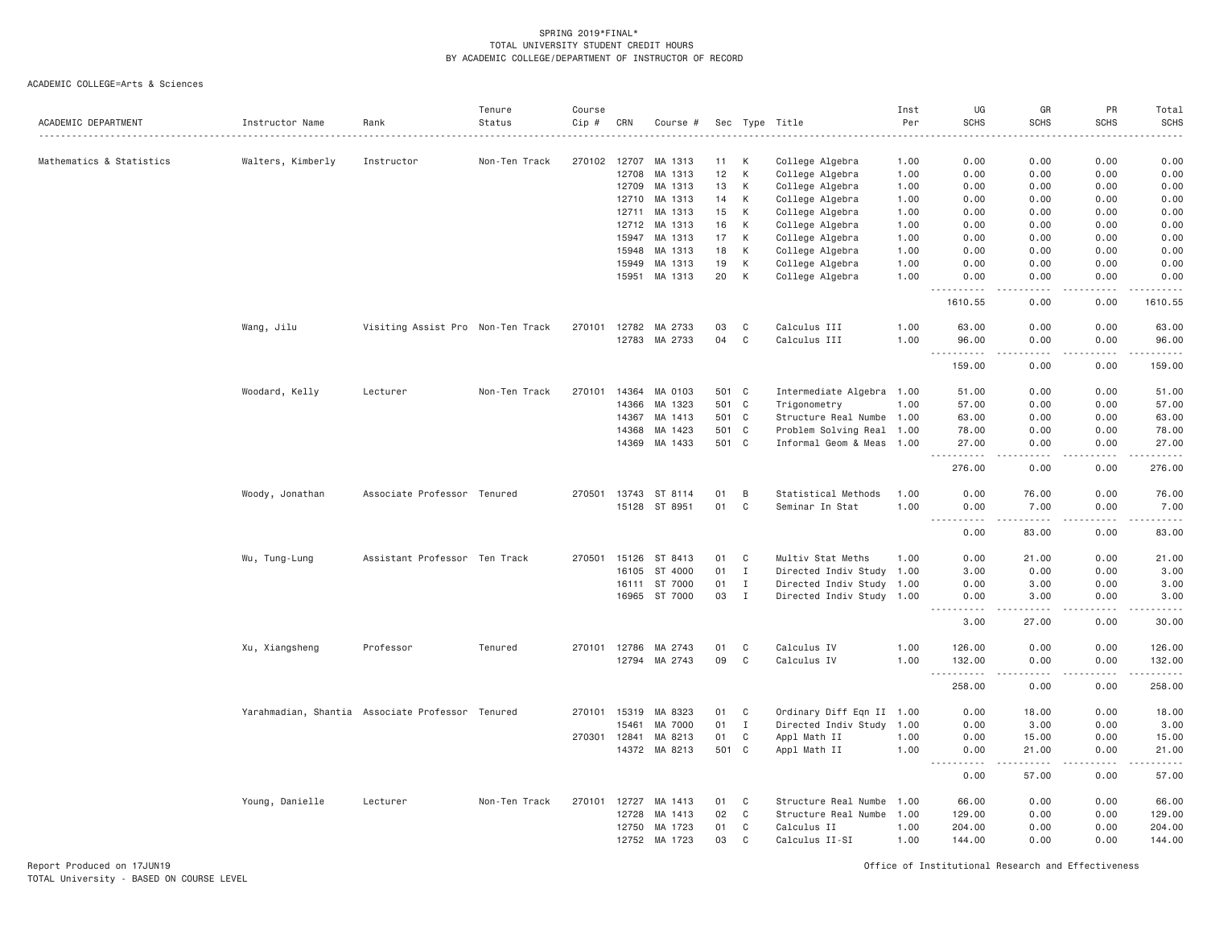ACADEMIC COLLEGE=Arts & Sciences

| 0.00<br>0.00<br>0.00<br>Mathematics & Statistics<br>Walters, Kimberly<br>Instructor<br>Non-Ten Track<br>270102<br>12707<br>MA 1313<br>11<br>К<br>College Algebra<br>1.00<br>0.00<br>12<br>K<br>12708<br>MA 1313<br>College Algebra<br>1.00<br>0.00<br>0.00<br>0.00<br>0.00<br>12709<br>MA 1313<br>13<br>К<br>College Algebra<br>1.00<br>0.00<br>0.00<br>0.00<br>0.00<br>12710<br>MA 1313<br>14<br>К<br>College Algebra<br>0.00<br>0.00<br>0.00<br>0.00<br>1.00<br>12711<br>MA 1313<br>15<br>К<br>College Algebra<br>0.00<br>0.00<br>0.00<br>1.00<br>0.00<br>16<br>К<br>College Algebra<br>0.00<br>0.00<br>12712<br>MA 1313<br>1.00<br>0.00<br>0.00<br>17<br>К<br>0.00<br>15947<br>MA 1313<br>College Algebra<br>1.00<br>0.00<br>0.00<br>0.00<br>MA 1313<br>18<br>К<br>College Algebra<br>0.00<br>0.00<br>0.00<br>15948<br>1.00<br>0.00<br>K<br>15949<br>MA 1313<br>19<br>College Algebra<br>1.00<br>0.00<br>0.00<br>0.00<br>0.00<br>15951<br>MA 1313<br>20<br>K<br>College Algebra<br>1.00<br>0.00<br>0.00<br>0.00<br>0.00<br>$\sim$ $\sim$ $\sim$ $\sim$<br>.<br>1610.55<br>0.00<br>1610.55<br>0.00<br>MA 2733<br>C<br>Calculus III<br>1.00<br>0.00<br>Wang, Jilu<br>Visiting Assist Pro Non-Ten Track<br>270101 12782<br>03<br>63.00<br>0.00<br>63.00<br>04<br>$\mathbb C$<br>Calculus III<br>12783<br>MA 2733<br>1.00<br>96.00<br>0.00<br>0.00<br>96.00<br>159.00<br>0.00<br>0.00<br>159.00<br>Woodard, Kelly<br>Non-Ten Track<br>270101<br>14364<br>MA 0103<br>501 C<br>Intermediate Algebra 1.00<br>51.00<br>0.00<br>0.00<br>Lecturer<br>14366<br>501 C<br>0.00<br>0.00<br>MA 1323<br>Trigonometry<br>1.00<br>57.00<br>501 C<br>0.00<br>14367<br>MA 1413<br>Structure Real Numbe 1.00<br>63.00<br>0.00<br>63.00<br>14368<br>MA 1423<br>501<br>C<br>Problem Solving Real 1.00<br>78.00<br>0.00<br>0.00<br>78.00<br>501 C<br>MA 1433<br>Informal Geom & Meas 1.00<br>0.00<br>0.00<br>27.00<br>14369<br>27.00<br>.<br>.<br>276.00<br>0.00<br>0.00<br>276.00<br>Associate Professor Tenured<br>270501 13743 ST 8114<br>В<br>Statistical Methods<br>76.00<br>0.00<br>76.00<br>Woody, Jonathan<br>01<br>1.00<br>0.00<br>15128 ST 8951<br>01<br>$\mathsf{C}$<br>1.00<br>7.00<br>0.00<br>Seminar In Stat<br>0.00<br>7.00<br>.<br>.<br>$\frac{1}{2} \left( \frac{1}{2} \right) \left( \frac{1}{2} \right) \left( \frac{1}{2} \right) \left( \frac{1}{2} \right) \left( \frac{1}{2} \right)$<br>.<br>83.00<br>0.00<br>83.00<br>0.00<br>Wu, Tung-Lung<br>Assistant Professor Ten Track<br>15126 ST 8413<br>01<br>C<br>Multiv Stat Meths<br>0.00<br>21.00<br>270501<br>1.00<br>0.00<br>21.00<br>ST 4000<br>01<br>$\mathbf{I}$<br>Directed Indiv Study 1.00<br>0.00<br>0.00<br>3.00<br>16105<br>3.00<br>ST 7000<br>01<br>Directed Indiv Study 1.00<br>0.00<br>3.00<br>16111<br>$\mathbf{I}$<br>0.00<br>3.00<br>16965 ST 7000<br>03<br>$\mathbf{I}$<br>Directed Indiv Study 1.00<br>3.00<br>0.00<br>3.00<br>0.00<br>.<br>-----<br>.<br>.<br>30.00<br>3.00<br>27.00<br>0.00<br>Professor<br>Tenured<br>270101 12786<br>MA 2743<br>01<br>C<br>Calculus IV<br>1.00<br>126.00<br>0.00<br>0.00<br>Xu, Xiangsheng<br>126.00<br>MA 2743<br>09<br>C<br>Calculus IV<br>0.00<br>132.00<br>12794<br>1.00<br>132.00<br>0.00<br>$\sim$ $\sim$ .<br>.<br>258.00<br>0.00<br>258.00<br>0.00<br>Yarahmadian, Shantia Associate Professor Tenured<br>Ordinary Diff Eqn II 1.00<br>18.00<br>0.00<br>270101 15319<br>MA 8323<br>01<br>C<br>0.00<br>01<br>$\mathbf I$<br>Directed Indiv Study<br>3.00<br>0.00<br>15461<br>MA 7000<br>1.00<br>0.00<br>C<br>270301 12841<br>MA 8213<br>01<br>Appl Math II<br>1.00<br>0.00<br>15.00<br>0.00<br>15.00<br>14372 MA 8213<br>501 C<br>Appl Math II<br>1.00<br>0.00<br>21.00<br>0.00<br>21.00<br>.<br>$- - -$<br>. <b>.</b><br>$\frac{1}{2}$<br><u>.</u><br>57.00<br>0.00<br>0.00<br>C<br>Structure Real Numbe<br>0.00<br>Young, Danielle<br>Lecturer<br>Non-Ten Track<br>270101<br>12727<br>MA 1413<br>01<br>1.00<br>66.00<br>0.00<br>02<br>C<br>0.00<br>12728<br>MA 1413<br>Structure Real Numbe 1.00<br>129.00<br>0.00<br>12750<br>MA 1723<br>01<br>C<br>Calculus II<br>1.00<br>204.00<br>0.00<br>0.00<br>204.00<br>12752<br>MA 1723<br>03<br>C<br>1.00<br>144.00<br>0.00<br>Calculus II-SI<br>0.00 | ACADEMIC DEPARTMENT | Instructor Name | Rank | Tenure<br>Status | Course<br>Cip # | CRN | Course # | Sec Type | Title | Inst<br>Per | UG<br><b>SCHS</b> | GR<br><b>SCHS</b> | PR<br><b>SCHS</b> | Total<br><b>SCHS</b> |
|------------------------------------------------------------------------------------------------------------------------------------------------------------------------------------------------------------------------------------------------------------------------------------------------------------------------------------------------------------------------------------------------------------------------------------------------------------------------------------------------------------------------------------------------------------------------------------------------------------------------------------------------------------------------------------------------------------------------------------------------------------------------------------------------------------------------------------------------------------------------------------------------------------------------------------------------------------------------------------------------------------------------------------------------------------------------------------------------------------------------------------------------------------------------------------------------------------------------------------------------------------------------------------------------------------------------------------------------------------------------------------------------------------------------------------------------------------------------------------------------------------------------------------------------------------------------------------------------------------------------------------------------------------------------------------------------------------------------------------------------------------------------------------------------------------------------------------------------------------------------------------------------------------------------------------------------------------------------------------------------------------------------------------------------------------------------------------------------------------------------------------------------------------------------------------------------------------------------------------------------------------------------------------------------------------------------------------------------------------------------------------------------------------------------------------------------------------------------------------------------------------------------------------------------------------------------------------------------------------------------------------------------------------------------------------------------------------------------------------------------------------------------------------------------------------------------------------------------------------------------------------------------------------------------------------------------------------------------------------------------------------------------------------------------------------------------------------------------------------------------------------------------------------------------------------------------------------------------------------------------------------------------------------------------------------------------------------------------------------------------------------------------------------------------------------------------------------------------------------------------------------------------------------------------------------------------------------------------------------------------------------------------------------------------------------------------------------------------------------------------------------------------------------------------------------------------------------------------------------------------------------------------------------------------------------------------------------------------------------------------------------------------------------------------------------------------------------------------------------------------------------------------------------------------------------------------------------------|---------------------|-----------------|------|------------------|-----------------|-----|----------|----------|-------|-------------|-------------------|-------------------|-------------------|----------------------|
|                                                                                                                                                                                                                                                                                                                                                                                                                                                                                                                                                                                                                                                                                                                                                                                                                                                                                                                                                                                                                                                                                                                                                                                                                                                                                                                                                                                                                                                                                                                                                                                                                                                                                                                                                                                                                                                                                                                                                                                                                                                                                                                                                                                                                                                                                                                                                                                                                                                                                                                                                                                                                                                                                                                                                                                                                                                                                                                                                                                                                                                                                                                                                                                                                                                                                                                                                                                                                                                                                                                                                                                                                                                                                                                                                                                                                                                                                                                                                                                                                                                                                                                                                                                                                  |                     |                 |      |                  |                 |     |          |          |       |             |                   |                   |                   |                      |
|                                                                                                                                                                                                                                                                                                                                                                                                                                                                                                                                                                                                                                                                                                                                                                                                                                                                                                                                                                                                                                                                                                                                                                                                                                                                                                                                                                                                                                                                                                                                                                                                                                                                                                                                                                                                                                                                                                                                                                                                                                                                                                                                                                                                                                                                                                                                                                                                                                                                                                                                                                                                                                                                                                                                                                                                                                                                                                                                                                                                                                                                                                                                                                                                                                                                                                                                                                                                                                                                                                                                                                                                                                                                                                                                                                                                                                                                                                                                                                                                                                                                                                                                                                                                                  |                     |                 |      |                  |                 |     |          |          |       |             |                   |                   |                   |                      |
|                                                                                                                                                                                                                                                                                                                                                                                                                                                                                                                                                                                                                                                                                                                                                                                                                                                                                                                                                                                                                                                                                                                                                                                                                                                                                                                                                                                                                                                                                                                                                                                                                                                                                                                                                                                                                                                                                                                                                                                                                                                                                                                                                                                                                                                                                                                                                                                                                                                                                                                                                                                                                                                                                                                                                                                                                                                                                                                                                                                                                                                                                                                                                                                                                                                                                                                                                                                                                                                                                                                                                                                                                                                                                                                                                                                                                                                                                                                                                                                                                                                                                                                                                                                                                  |                     |                 |      |                  |                 |     |          |          |       |             |                   |                   |                   |                      |
|                                                                                                                                                                                                                                                                                                                                                                                                                                                                                                                                                                                                                                                                                                                                                                                                                                                                                                                                                                                                                                                                                                                                                                                                                                                                                                                                                                                                                                                                                                                                                                                                                                                                                                                                                                                                                                                                                                                                                                                                                                                                                                                                                                                                                                                                                                                                                                                                                                                                                                                                                                                                                                                                                                                                                                                                                                                                                                                                                                                                                                                                                                                                                                                                                                                                                                                                                                                                                                                                                                                                                                                                                                                                                                                                                                                                                                                                                                                                                                                                                                                                                                                                                                                                                  |                     |                 |      |                  |                 |     |          |          |       |             |                   |                   |                   |                      |
|                                                                                                                                                                                                                                                                                                                                                                                                                                                                                                                                                                                                                                                                                                                                                                                                                                                                                                                                                                                                                                                                                                                                                                                                                                                                                                                                                                                                                                                                                                                                                                                                                                                                                                                                                                                                                                                                                                                                                                                                                                                                                                                                                                                                                                                                                                                                                                                                                                                                                                                                                                                                                                                                                                                                                                                                                                                                                                                                                                                                                                                                                                                                                                                                                                                                                                                                                                                                                                                                                                                                                                                                                                                                                                                                                                                                                                                                                                                                                                                                                                                                                                                                                                                                                  |                     |                 |      |                  |                 |     |          |          |       |             |                   |                   |                   |                      |
|                                                                                                                                                                                                                                                                                                                                                                                                                                                                                                                                                                                                                                                                                                                                                                                                                                                                                                                                                                                                                                                                                                                                                                                                                                                                                                                                                                                                                                                                                                                                                                                                                                                                                                                                                                                                                                                                                                                                                                                                                                                                                                                                                                                                                                                                                                                                                                                                                                                                                                                                                                                                                                                                                                                                                                                                                                                                                                                                                                                                                                                                                                                                                                                                                                                                                                                                                                                                                                                                                                                                                                                                                                                                                                                                                                                                                                                                                                                                                                                                                                                                                                                                                                                                                  |                     |                 |      |                  |                 |     |          |          |       |             |                   |                   |                   |                      |
|                                                                                                                                                                                                                                                                                                                                                                                                                                                                                                                                                                                                                                                                                                                                                                                                                                                                                                                                                                                                                                                                                                                                                                                                                                                                                                                                                                                                                                                                                                                                                                                                                                                                                                                                                                                                                                                                                                                                                                                                                                                                                                                                                                                                                                                                                                                                                                                                                                                                                                                                                                                                                                                                                                                                                                                                                                                                                                                                                                                                                                                                                                                                                                                                                                                                                                                                                                                                                                                                                                                                                                                                                                                                                                                                                                                                                                                                                                                                                                                                                                                                                                                                                                                                                  |                     |                 |      |                  |                 |     |          |          |       |             |                   |                   |                   |                      |
|                                                                                                                                                                                                                                                                                                                                                                                                                                                                                                                                                                                                                                                                                                                                                                                                                                                                                                                                                                                                                                                                                                                                                                                                                                                                                                                                                                                                                                                                                                                                                                                                                                                                                                                                                                                                                                                                                                                                                                                                                                                                                                                                                                                                                                                                                                                                                                                                                                                                                                                                                                                                                                                                                                                                                                                                                                                                                                                                                                                                                                                                                                                                                                                                                                                                                                                                                                                                                                                                                                                                                                                                                                                                                                                                                                                                                                                                                                                                                                                                                                                                                                                                                                                                                  |                     |                 |      |                  |                 |     |          |          |       |             |                   |                   |                   |                      |
|                                                                                                                                                                                                                                                                                                                                                                                                                                                                                                                                                                                                                                                                                                                                                                                                                                                                                                                                                                                                                                                                                                                                                                                                                                                                                                                                                                                                                                                                                                                                                                                                                                                                                                                                                                                                                                                                                                                                                                                                                                                                                                                                                                                                                                                                                                                                                                                                                                                                                                                                                                                                                                                                                                                                                                                                                                                                                                                                                                                                                                                                                                                                                                                                                                                                                                                                                                                                                                                                                                                                                                                                                                                                                                                                                                                                                                                                                                                                                                                                                                                                                                                                                                                                                  |                     |                 |      |                  |                 |     |          |          |       |             |                   |                   |                   |                      |
|                                                                                                                                                                                                                                                                                                                                                                                                                                                                                                                                                                                                                                                                                                                                                                                                                                                                                                                                                                                                                                                                                                                                                                                                                                                                                                                                                                                                                                                                                                                                                                                                                                                                                                                                                                                                                                                                                                                                                                                                                                                                                                                                                                                                                                                                                                                                                                                                                                                                                                                                                                                                                                                                                                                                                                                                                                                                                                                                                                                                                                                                                                                                                                                                                                                                                                                                                                                                                                                                                                                                                                                                                                                                                                                                                                                                                                                                                                                                                                                                                                                                                                                                                                                                                  |                     |                 |      |                  |                 |     |          |          |       |             |                   |                   |                   |                      |
|                                                                                                                                                                                                                                                                                                                                                                                                                                                                                                                                                                                                                                                                                                                                                                                                                                                                                                                                                                                                                                                                                                                                                                                                                                                                                                                                                                                                                                                                                                                                                                                                                                                                                                                                                                                                                                                                                                                                                                                                                                                                                                                                                                                                                                                                                                                                                                                                                                                                                                                                                                                                                                                                                                                                                                                                                                                                                                                                                                                                                                                                                                                                                                                                                                                                                                                                                                                                                                                                                                                                                                                                                                                                                                                                                                                                                                                                                                                                                                                                                                                                                                                                                                                                                  |                     |                 |      |                  |                 |     |          |          |       |             |                   |                   |                   |                      |
|                                                                                                                                                                                                                                                                                                                                                                                                                                                                                                                                                                                                                                                                                                                                                                                                                                                                                                                                                                                                                                                                                                                                                                                                                                                                                                                                                                                                                                                                                                                                                                                                                                                                                                                                                                                                                                                                                                                                                                                                                                                                                                                                                                                                                                                                                                                                                                                                                                                                                                                                                                                                                                                                                                                                                                                                                                                                                                                                                                                                                                                                                                                                                                                                                                                                                                                                                                                                                                                                                                                                                                                                                                                                                                                                                                                                                                                                                                                                                                                                                                                                                                                                                                                                                  |                     |                 |      |                  |                 |     |          |          |       |             |                   |                   |                   |                      |
|                                                                                                                                                                                                                                                                                                                                                                                                                                                                                                                                                                                                                                                                                                                                                                                                                                                                                                                                                                                                                                                                                                                                                                                                                                                                                                                                                                                                                                                                                                                                                                                                                                                                                                                                                                                                                                                                                                                                                                                                                                                                                                                                                                                                                                                                                                                                                                                                                                                                                                                                                                                                                                                                                                                                                                                                                                                                                                                                                                                                                                                                                                                                                                                                                                                                                                                                                                                                                                                                                                                                                                                                                                                                                                                                                                                                                                                                                                                                                                                                                                                                                                                                                                                                                  |                     |                 |      |                  |                 |     |          |          |       |             |                   |                   |                   |                      |
|                                                                                                                                                                                                                                                                                                                                                                                                                                                                                                                                                                                                                                                                                                                                                                                                                                                                                                                                                                                                                                                                                                                                                                                                                                                                                                                                                                                                                                                                                                                                                                                                                                                                                                                                                                                                                                                                                                                                                                                                                                                                                                                                                                                                                                                                                                                                                                                                                                                                                                                                                                                                                                                                                                                                                                                                                                                                                                                                                                                                                                                                                                                                                                                                                                                                                                                                                                                                                                                                                                                                                                                                                                                                                                                                                                                                                                                                                                                                                                                                                                                                                                                                                                                                                  |                     |                 |      |                  |                 |     |          |          |       |             |                   |                   |                   |                      |
|                                                                                                                                                                                                                                                                                                                                                                                                                                                                                                                                                                                                                                                                                                                                                                                                                                                                                                                                                                                                                                                                                                                                                                                                                                                                                                                                                                                                                                                                                                                                                                                                                                                                                                                                                                                                                                                                                                                                                                                                                                                                                                                                                                                                                                                                                                                                                                                                                                                                                                                                                                                                                                                                                                                                                                                                                                                                                                                                                                                                                                                                                                                                                                                                                                                                                                                                                                                                                                                                                                                                                                                                                                                                                                                                                                                                                                                                                                                                                                                                                                                                                                                                                                                                                  |                     |                 |      |                  |                 |     |          |          |       |             |                   |                   |                   |                      |
|                                                                                                                                                                                                                                                                                                                                                                                                                                                                                                                                                                                                                                                                                                                                                                                                                                                                                                                                                                                                                                                                                                                                                                                                                                                                                                                                                                                                                                                                                                                                                                                                                                                                                                                                                                                                                                                                                                                                                                                                                                                                                                                                                                                                                                                                                                                                                                                                                                                                                                                                                                                                                                                                                                                                                                                                                                                                                                                                                                                                                                                                                                                                                                                                                                                                                                                                                                                                                                                                                                                                                                                                                                                                                                                                                                                                                                                                                                                                                                                                                                                                                                                                                                                                                  |                     |                 |      |                  |                 |     |          |          |       |             |                   |                   |                   |                      |
|                                                                                                                                                                                                                                                                                                                                                                                                                                                                                                                                                                                                                                                                                                                                                                                                                                                                                                                                                                                                                                                                                                                                                                                                                                                                                                                                                                                                                                                                                                                                                                                                                                                                                                                                                                                                                                                                                                                                                                                                                                                                                                                                                                                                                                                                                                                                                                                                                                                                                                                                                                                                                                                                                                                                                                                                                                                                                                                                                                                                                                                                                                                                                                                                                                                                                                                                                                                                                                                                                                                                                                                                                                                                                                                                                                                                                                                                                                                                                                                                                                                                                                                                                                                                                  |                     |                 |      |                  |                 |     |          |          |       |             |                   |                   |                   | 51.00                |
|                                                                                                                                                                                                                                                                                                                                                                                                                                                                                                                                                                                                                                                                                                                                                                                                                                                                                                                                                                                                                                                                                                                                                                                                                                                                                                                                                                                                                                                                                                                                                                                                                                                                                                                                                                                                                                                                                                                                                                                                                                                                                                                                                                                                                                                                                                                                                                                                                                                                                                                                                                                                                                                                                                                                                                                                                                                                                                                                                                                                                                                                                                                                                                                                                                                                                                                                                                                                                                                                                                                                                                                                                                                                                                                                                                                                                                                                                                                                                                                                                                                                                                                                                                                                                  |                     |                 |      |                  |                 |     |          |          |       |             |                   |                   |                   | 57.00                |
|                                                                                                                                                                                                                                                                                                                                                                                                                                                                                                                                                                                                                                                                                                                                                                                                                                                                                                                                                                                                                                                                                                                                                                                                                                                                                                                                                                                                                                                                                                                                                                                                                                                                                                                                                                                                                                                                                                                                                                                                                                                                                                                                                                                                                                                                                                                                                                                                                                                                                                                                                                                                                                                                                                                                                                                                                                                                                                                                                                                                                                                                                                                                                                                                                                                                                                                                                                                                                                                                                                                                                                                                                                                                                                                                                                                                                                                                                                                                                                                                                                                                                                                                                                                                                  |                     |                 |      |                  |                 |     |          |          |       |             |                   |                   |                   |                      |
|                                                                                                                                                                                                                                                                                                                                                                                                                                                                                                                                                                                                                                                                                                                                                                                                                                                                                                                                                                                                                                                                                                                                                                                                                                                                                                                                                                                                                                                                                                                                                                                                                                                                                                                                                                                                                                                                                                                                                                                                                                                                                                                                                                                                                                                                                                                                                                                                                                                                                                                                                                                                                                                                                                                                                                                                                                                                                                                                                                                                                                                                                                                                                                                                                                                                                                                                                                                                                                                                                                                                                                                                                                                                                                                                                                                                                                                                                                                                                                                                                                                                                                                                                                                                                  |                     |                 |      |                  |                 |     |          |          |       |             |                   |                   |                   |                      |
|                                                                                                                                                                                                                                                                                                                                                                                                                                                                                                                                                                                                                                                                                                                                                                                                                                                                                                                                                                                                                                                                                                                                                                                                                                                                                                                                                                                                                                                                                                                                                                                                                                                                                                                                                                                                                                                                                                                                                                                                                                                                                                                                                                                                                                                                                                                                                                                                                                                                                                                                                                                                                                                                                                                                                                                                                                                                                                                                                                                                                                                                                                                                                                                                                                                                                                                                                                                                                                                                                                                                                                                                                                                                                                                                                                                                                                                                                                                                                                                                                                                                                                                                                                                                                  |                     |                 |      |                  |                 |     |          |          |       |             |                   |                   |                   |                      |
|                                                                                                                                                                                                                                                                                                                                                                                                                                                                                                                                                                                                                                                                                                                                                                                                                                                                                                                                                                                                                                                                                                                                                                                                                                                                                                                                                                                                                                                                                                                                                                                                                                                                                                                                                                                                                                                                                                                                                                                                                                                                                                                                                                                                                                                                                                                                                                                                                                                                                                                                                                                                                                                                                                                                                                                                                                                                                                                                                                                                                                                                                                                                                                                                                                                                                                                                                                                                                                                                                                                                                                                                                                                                                                                                                                                                                                                                                                                                                                                                                                                                                                                                                                                                                  |                     |                 |      |                  |                 |     |          |          |       |             |                   |                   |                   |                      |
|                                                                                                                                                                                                                                                                                                                                                                                                                                                                                                                                                                                                                                                                                                                                                                                                                                                                                                                                                                                                                                                                                                                                                                                                                                                                                                                                                                                                                                                                                                                                                                                                                                                                                                                                                                                                                                                                                                                                                                                                                                                                                                                                                                                                                                                                                                                                                                                                                                                                                                                                                                                                                                                                                                                                                                                                                                                                                                                                                                                                                                                                                                                                                                                                                                                                                                                                                                                                                                                                                                                                                                                                                                                                                                                                                                                                                                                                                                                                                                                                                                                                                                                                                                                                                  |                     |                 |      |                  |                 |     |          |          |       |             |                   |                   |                   |                      |
|                                                                                                                                                                                                                                                                                                                                                                                                                                                                                                                                                                                                                                                                                                                                                                                                                                                                                                                                                                                                                                                                                                                                                                                                                                                                                                                                                                                                                                                                                                                                                                                                                                                                                                                                                                                                                                                                                                                                                                                                                                                                                                                                                                                                                                                                                                                                                                                                                                                                                                                                                                                                                                                                                                                                                                                                                                                                                                                                                                                                                                                                                                                                                                                                                                                                                                                                                                                                                                                                                                                                                                                                                                                                                                                                                                                                                                                                                                                                                                                                                                                                                                                                                                                                                  |                     |                 |      |                  |                 |     |          |          |       |             |                   |                   |                   |                      |
|                                                                                                                                                                                                                                                                                                                                                                                                                                                                                                                                                                                                                                                                                                                                                                                                                                                                                                                                                                                                                                                                                                                                                                                                                                                                                                                                                                                                                                                                                                                                                                                                                                                                                                                                                                                                                                                                                                                                                                                                                                                                                                                                                                                                                                                                                                                                                                                                                                                                                                                                                                                                                                                                                                                                                                                                                                                                                                                                                                                                                                                                                                                                                                                                                                                                                                                                                                                                                                                                                                                                                                                                                                                                                                                                                                                                                                                                                                                                                                                                                                                                                                                                                                                                                  |                     |                 |      |                  |                 |     |          |          |       |             |                   |                   |                   |                      |
|                                                                                                                                                                                                                                                                                                                                                                                                                                                                                                                                                                                                                                                                                                                                                                                                                                                                                                                                                                                                                                                                                                                                                                                                                                                                                                                                                                                                                                                                                                                                                                                                                                                                                                                                                                                                                                                                                                                                                                                                                                                                                                                                                                                                                                                                                                                                                                                                                                                                                                                                                                                                                                                                                                                                                                                                                                                                                                                                                                                                                                                                                                                                                                                                                                                                                                                                                                                                                                                                                                                                                                                                                                                                                                                                                                                                                                                                                                                                                                                                                                                                                                                                                                                                                  |                     |                 |      |                  |                 |     |          |          |       |             |                   |                   |                   |                      |
|                                                                                                                                                                                                                                                                                                                                                                                                                                                                                                                                                                                                                                                                                                                                                                                                                                                                                                                                                                                                                                                                                                                                                                                                                                                                                                                                                                                                                                                                                                                                                                                                                                                                                                                                                                                                                                                                                                                                                                                                                                                                                                                                                                                                                                                                                                                                                                                                                                                                                                                                                                                                                                                                                                                                                                                                                                                                                                                                                                                                                                                                                                                                                                                                                                                                                                                                                                                                                                                                                                                                                                                                                                                                                                                                                                                                                                                                                                                                                                                                                                                                                                                                                                                                                  |                     |                 |      |                  |                 |     |          |          |       |             |                   |                   |                   |                      |
|                                                                                                                                                                                                                                                                                                                                                                                                                                                                                                                                                                                                                                                                                                                                                                                                                                                                                                                                                                                                                                                                                                                                                                                                                                                                                                                                                                                                                                                                                                                                                                                                                                                                                                                                                                                                                                                                                                                                                                                                                                                                                                                                                                                                                                                                                                                                                                                                                                                                                                                                                                                                                                                                                                                                                                                                                                                                                                                                                                                                                                                                                                                                                                                                                                                                                                                                                                                                                                                                                                                                                                                                                                                                                                                                                                                                                                                                                                                                                                                                                                                                                                                                                                                                                  |                     |                 |      |                  |                 |     |          |          |       |             |                   |                   |                   |                      |
|                                                                                                                                                                                                                                                                                                                                                                                                                                                                                                                                                                                                                                                                                                                                                                                                                                                                                                                                                                                                                                                                                                                                                                                                                                                                                                                                                                                                                                                                                                                                                                                                                                                                                                                                                                                                                                                                                                                                                                                                                                                                                                                                                                                                                                                                                                                                                                                                                                                                                                                                                                                                                                                                                                                                                                                                                                                                                                                                                                                                                                                                                                                                                                                                                                                                                                                                                                                                                                                                                                                                                                                                                                                                                                                                                                                                                                                                                                                                                                                                                                                                                                                                                                                                                  |                     |                 |      |                  |                 |     |          |          |       |             |                   |                   |                   |                      |
|                                                                                                                                                                                                                                                                                                                                                                                                                                                                                                                                                                                                                                                                                                                                                                                                                                                                                                                                                                                                                                                                                                                                                                                                                                                                                                                                                                                                                                                                                                                                                                                                                                                                                                                                                                                                                                                                                                                                                                                                                                                                                                                                                                                                                                                                                                                                                                                                                                                                                                                                                                                                                                                                                                                                                                                                                                                                                                                                                                                                                                                                                                                                                                                                                                                                                                                                                                                                                                                                                                                                                                                                                                                                                                                                                                                                                                                                                                                                                                                                                                                                                                                                                                                                                  |                     |                 |      |                  |                 |     |          |          |       |             |                   |                   |                   |                      |
|                                                                                                                                                                                                                                                                                                                                                                                                                                                                                                                                                                                                                                                                                                                                                                                                                                                                                                                                                                                                                                                                                                                                                                                                                                                                                                                                                                                                                                                                                                                                                                                                                                                                                                                                                                                                                                                                                                                                                                                                                                                                                                                                                                                                                                                                                                                                                                                                                                                                                                                                                                                                                                                                                                                                                                                                                                                                                                                                                                                                                                                                                                                                                                                                                                                                                                                                                                                                                                                                                                                                                                                                                                                                                                                                                                                                                                                                                                                                                                                                                                                                                                                                                                                                                  |                     |                 |      |                  |                 |     |          |          |       |             |                   |                   |                   |                      |
|                                                                                                                                                                                                                                                                                                                                                                                                                                                                                                                                                                                                                                                                                                                                                                                                                                                                                                                                                                                                                                                                                                                                                                                                                                                                                                                                                                                                                                                                                                                                                                                                                                                                                                                                                                                                                                                                                                                                                                                                                                                                                                                                                                                                                                                                                                                                                                                                                                                                                                                                                                                                                                                                                                                                                                                                                                                                                                                                                                                                                                                                                                                                                                                                                                                                                                                                                                                                                                                                                                                                                                                                                                                                                                                                                                                                                                                                                                                                                                                                                                                                                                                                                                                                                  |                     |                 |      |                  |                 |     |          |          |       |             |                   |                   |                   |                      |
|                                                                                                                                                                                                                                                                                                                                                                                                                                                                                                                                                                                                                                                                                                                                                                                                                                                                                                                                                                                                                                                                                                                                                                                                                                                                                                                                                                                                                                                                                                                                                                                                                                                                                                                                                                                                                                                                                                                                                                                                                                                                                                                                                                                                                                                                                                                                                                                                                                                                                                                                                                                                                                                                                                                                                                                                                                                                                                                                                                                                                                                                                                                                                                                                                                                                                                                                                                                                                                                                                                                                                                                                                                                                                                                                                                                                                                                                                                                                                                                                                                                                                                                                                                                                                  |                     |                 |      |                  |                 |     |          |          |       |             |                   |                   |                   |                      |
|                                                                                                                                                                                                                                                                                                                                                                                                                                                                                                                                                                                                                                                                                                                                                                                                                                                                                                                                                                                                                                                                                                                                                                                                                                                                                                                                                                                                                                                                                                                                                                                                                                                                                                                                                                                                                                                                                                                                                                                                                                                                                                                                                                                                                                                                                                                                                                                                                                                                                                                                                                                                                                                                                                                                                                                                                                                                                                                                                                                                                                                                                                                                                                                                                                                                                                                                                                                                                                                                                                                                                                                                                                                                                                                                                                                                                                                                                                                                                                                                                                                                                                                                                                                                                  |                     |                 |      |                  |                 |     |          |          |       |             |                   |                   |                   | 18.00                |
|                                                                                                                                                                                                                                                                                                                                                                                                                                                                                                                                                                                                                                                                                                                                                                                                                                                                                                                                                                                                                                                                                                                                                                                                                                                                                                                                                                                                                                                                                                                                                                                                                                                                                                                                                                                                                                                                                                                                                                                                                                                                                                                                                                                                                                                                                                                                                                                                                                                                                                                                                                                                                                                                                                                                                                                                                                                                                                                                                                                                                                                                                                                                                                                                                                                                                                                                                                                                                                                                                                                                                                                                                                                                                                                                                                                                                                                                                                                                                                                                                                                                                                                                                                                                                  |                     |                 |      |                  |                 |     |          |          |       |             |                   |                   |                   | 3.00                 |
|                                                                                                                                                                                                                                                                                                                                                                                                                                                                                                                                                                                                                                                                                                                                                                                                                                                                                                                                                                                                                                                                                                                                                                                                                                                                                                                                                                                                                                                                                                                                                                                                                                                                                                                                                                                                                                                                                                                                                                                                                                                                                                                                                                                                                                                                                                                                                                                                                                                                                                                                                                                                                                                                                                                                                                                                                                                                                                                                                                                                                                                                                                                                                                                                                                                                                                                                                                                                                                                                                                                                                                                                                                                                                                                                                                                                                                                                                                                                                                                                                                                                                                                                                                                                                  |                     |                 |      |                  |                 |     |          |          |       |             |                   |                   |                   |                      |
|                                                                                                                                                                                                                                                                                                                                                                                                                                                                                                                                                                                                                                                                                                                                                                                                                                                                                                                                                                                                                                                                                                                                                                                                                                                                                                                                                                                                                                                                                                                                                                                                                                                                                                                                                                                                                                                                                                                                                                                                                                                                                                                                                                                                                                                                                                                                                                                                                                                                                                                                                                                                                                                                                                                                                                                                                                                                                                                                                                                                                                                                                                                                                                                                                                                                                                                                                                                                                                                                                                                                                                                                                                                                                                                                                                                                                                                                                                                                                                                                                                                                                                                                                                                                                  |                     |                 |      |                  |                 |     |          |          |       |             |                   |                   |                   |                      |
|                                                                                                                                                                                                                                                                                                                                                                                                                                                                                                                                                                                                                                                                                                                                                                                                                                                                                                                                                                                                                                                                                                                                                                                                                                                                                                                                                                                                                                                                                                                                                                                                                                                                                                                                                                                                                                                                                                                                                                                                                                                                                                                                                                                                                                                                                                                                                                                                                                                                                                                                                                                                                                                                                                                                                                                                                                                                                                                                                                                                                                                                                                                                                                                                                                                                                                                                                                                                                                                                                                                                                                                                                                                                                                                                                                                                                                                                                                                                                                                                                                                                                                                                                                                                                  |                     |                 |      |                  |                 |     |          |          |       |             |                   |                   |                   | 57.00                |
|                                                                                                                                                                                                                                                                                                                                                                                                                                                                                                                                                                                                                                                                                                                                                                                                                                                                                                                                                                                                                                                                                                                                                                                                                                                                                                                                                                                                                                                                                                                                                                                                                                                                                                                                                                                                                                                                                                                                                                                                                                                                                                                                                                                                                                                                                                                                                                                                                                                                                                                                                                                                                                                                                                                                                                                                                                                                                                                                                                                                                                                                                                                                                                                                                                                                                                                                                                                                                                                                                                                                                                                                                                                                                                                                                                                                                                                                                                                                                                                                                                                                                                                                                                                                                  |                     |                 |      |                  |                 |     |          |          |       |             |                   |                   |                   | 66.00                |
|                                                                                                                                                                                                                                                                                                                                                                                                                                                                                                                                                                                                                                                                                                                                                                                                                                                                                                                                                                                                                                                                                                                                                                                                                                                                                                                                                                                                                                                                                                                                                                                                                                                                                                                                                                                                                                                                                                                                                                                                                                                                                                                                                                                                                                                                                                                                                                                                                                                                                                                                                                                                                                                                                                                                                                                                                                                                                                                                                                                                                                                                                                                                                                                                                                                                                                                                                                                                                                                                                                                                                                                                                                                                                                                                                                                                                                                                                                                                                                                                                                                                                                                                                                                                                  |                     |                 |      |                  |                 |     |          |          |       |             |                   |                   |                   | 129.00               |
|                                                                                                                                                                                                                                                                                                                                                                                                                                                                                                                                                                                                                                                                                                                                                                                                                                                                                                                                                                                                                                                                                                                                                                                                                                                                                                                                                                                                                                                                                                                                                                                                                                                                                                                                                                                                                                                                                                                                                                                                                                                                                                                                                                                                                                                                                                                                                                                                                                                                                                                                                                                                                                                                                                                                                                                                                                                                                                                                                                                                                                                                                                                                                                                                                                                                                                                                                                                                                                                                                                                                                                                                                                                                                                                                                                                                                                                                                                                                                                                                                                                                                                                                                                                                                  |                     |                 |      |                  |                 |     |          |          |       |             |                   |                   |                   |                      |
|                                                                                                                                                                                                                                                                                                                                                                                                                                                                                                                                                                                                                                                                                                                                                                                                                                                                                                                                                                                                                                                                                                                                                                                                                                                                                                                                                                                                                                                                                                                                                                                                                                                                                                                                                                                                                                                                                                                                                                                                                                                                                                                                                                                                                                                                                                                                                                                                                                                                                                                                                                                                                                                                                                                                                                                                                                                                                                                                                                                                                                                                                                                                                                                                                                                                                                                                                                                                                                                                                                                                                                                                                                                                                                                                                                                                                                                                                                                                                                                                                                                                                                                                                                                                                  |                     |                 |      |                  |                 |     |          |          |       |             |                   |                   |                   | 144.00               |

Report Produced on 17JUN19 Office of Institutional Research and Effectiveness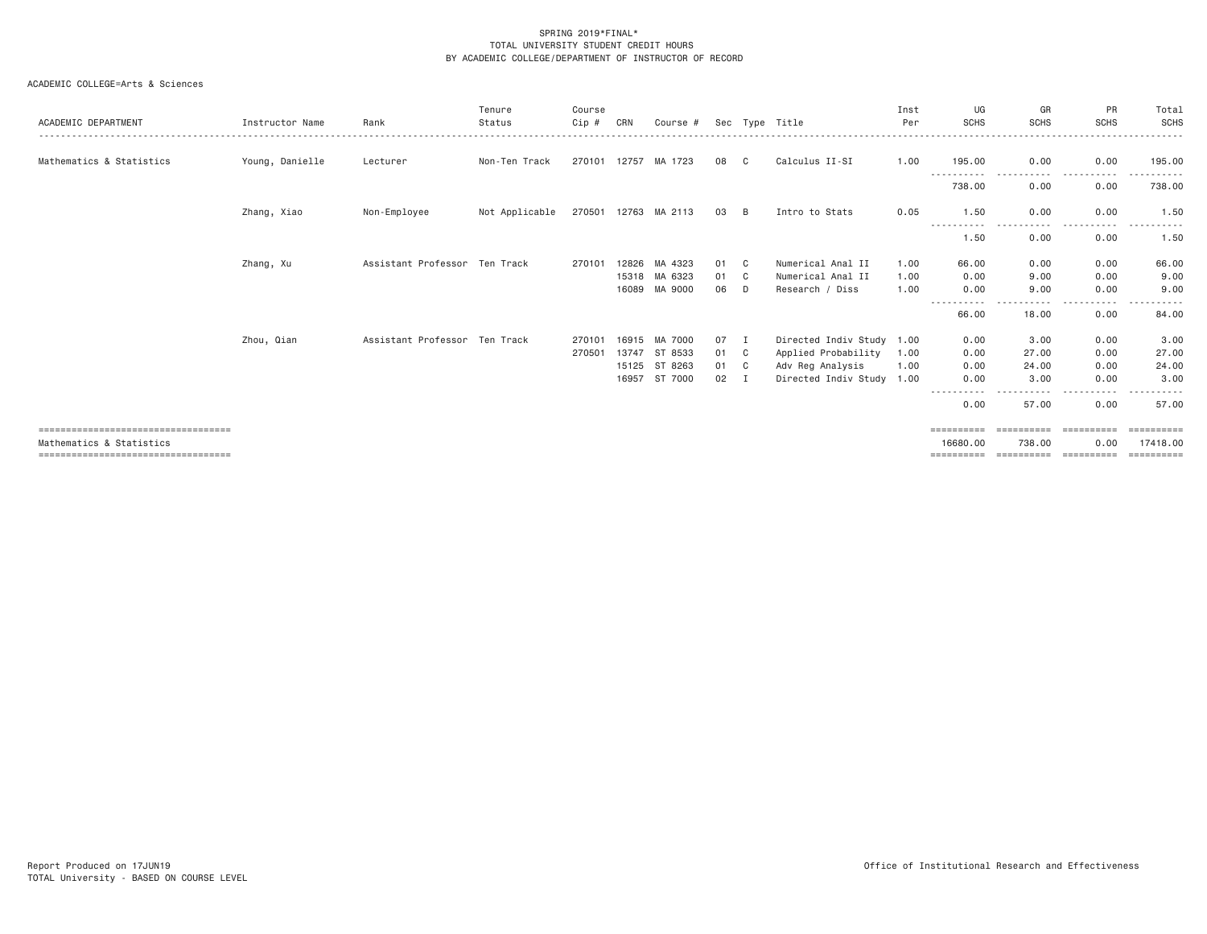| ACADEMIC DEPARTMENT                  | Instructor Name | Rank                          | Tenure<br>Status | Course<br>Cip # | CRN            | Course #           |          |         | Sec Type Title                       | Inst<br>Per  | UG<br><b>SCHS</b>           | GR<br>SCHS                                                                                                                        | <b>PR</b><br><b>SCHS</b> | Total<br>SCHS<br>.                                                                                                                                                                                                                                                                                                                                                                                                                                                                     |
|--------------------------------------|-----------------|-------------------------------|------------------|-----------------|----------------|--------------------|----------|---------|--------------------------------------|--------------|-----------------------------|-----------------------------------------------------------------------------------------------------------------------------------|--------------------------|----------------------------------------------------------------------------------------------------------------------------------------------------------------------------------------------------------------------------------------------------------------------------------------------------------------------------------------------------------------------------------------------------------------------------------------------------------------------------------------|
| Mathematics & Statistics             | Young, Danielle | Lecturer                      | Non-Ten Track    | 270101 12757    |                | MA 1723            | 08       | C       | Calculus II-SI                       | 1.00         | 195.00                      | 0.00                                                                                                                              | 0.00                     | 195,00                                                                                                                                                                                                                                                                                                                                                                                                                                                                                 |
|                                      |                 |                               |                  |                 |                |                    |          |         |                                      |              | 738.00                      | 0.00                                                                                                                              | 0.00                     | 738.00                                                                                                                                                                                                                                                                                                                                                                                                                                                                                 |
|                                      | Zhang, Xiao     | Non-Employee                  | Not Applicable   | 270501 12763    |                | MA 2113            | 03       | B       | Intro to Stats                       | 0.05         | 1.50                        | 0.00                                                                                                                              | 0.00                     | 1.50                                                                                                                                                                                                                                                                                                                                                                                                                                                                                   |
|                                      |                 |                               |                  |                 |                |                    |          |         |                                      |              | -----------<br>1.50         | $\frac{1}{2} \left( \frac{1}{2} \right) \left( \frac{1}{2} \right) \left( \frac{1}{2} \right) \left( \frac{1}{2} \right)$<br>0.00 | .<br>0.00                | ------<br>$- - -$<br>1.50                                                                                                                                                                                                                                                                                                                                                                                                                                                              |
|                                      | Zhang, Xu       | Assistant Professor Ten Track |                  | 270101          | 12826          | MA 4323            | 01       | C.      | Numerical Anal II                    | 1.00         | 66.00                       | 0.00                                                                                                                              | 0.00                     | 66.00                                                                                                                                                                                                                                                                                                                                                                                                                                                                                  |
|                                      |                 |                               |                  |                 | 15318<br>16089 | MA 6323<br>MA 9000 | 01<br>06 | C.<br>D | Numerical Anal II<br>Research / Diss | 1.00<br>1.00 | 0.00<br>0.00                | 9,00<br>9.00                                                                                                                      | 0.00<br>0.00             | 9.00<br>9.00                                                                                                                                                                                                                                                                                                                                                                                                                                                                           |
|                                      |                 |                               |                  |                 |                |                    |          |         |                                      |              | - - - - -<br>66,00          | 18.00                                                                                                                             | ----<br>0.00             | 84.00                                                                                                                                                                                                                                                                                                                                                                                                                                                                                  |
|                                      | Zhou, Qian      | Assistant Professor Ten Track |                  | 270101          | 16915          | MA 7000            | 07       | Ι.      | Directed Indiv Study 1.00            |              | 0.00                        | 3.00                                                                                                                              | 0.00                     | 3.00                                                                                                                                                                                                                                                                                                                                                                                                                                                                                   |
|                                      |                 |                               |                  | 270501          | 13747          | ST 8533            | 01       | C       | Applied Probability                  | 1.00         | 0.00                        | 27,00                                                                                                                             | 0.00                     | 27.00                                                                                                                                                                                                                                                                                                                                                                                                                                                                                  |
|                                      |                 |                               |                  |                 | 15125          | ST 8263            | 01       | C       | Adv Reg Analysis                     | 1.00         | 0.00                        | 24,00                                                                                                                             | 0.00                     | 24.00                                                                                                                                                                                                                                                                                                                                                                                                                                                                                  |
|                                      |                 |                               |                  |                 | 16957          | ST 7000            | 02       | Ι.      | Directed Indiv Study 1.00            |              | 0.00                        | 3,00                                                                                                                              | 0.00<br>.                | 3,00<br>- - - - - -                                                                                                                                                                                                                                                                                                                                                                                                                                                                    |
|                                      |                 |                               |                  |                 |                |                    |          |         |                                      |              | ------<br>- - - - -<br>0.00 | - - - -<br>57.00                                                                                                                  | 0.00                     | 57.00                                                                                                                                                                                                                                                                                                                                                                                                                                                                                  |
| ==================================== |                 |                               |                  |                 |                |                    |          |         |                                      |              | ==========                  |                                                                                                                                   | ==========               | eesseesse                                                                                                                                                                                                                                                                                                                                                                                                                                                                              |
| Mathematics & Statistics             |                 |                               |                  |                 |                |                    |          |         |                                      |              | 16680.00                    | 738.00                                                                                                                            | 0.00                     | 17418,00                                                                                                                                                                                                                                                                                                                                                                                                                                                                               |
| ==================================== |                 |                               |                  |                 |                |                    |          |         |                                      |              | ==========                  | ==========                                                                                                                        | ==========               | $\begin{array}{cccccccccc} \multicolumn{2}{c}{} & \multicolumn{2}{c}{} & \multicolumn{2}{c}{} & \multicolumn{2}{c}{} & \multicolumn{2}{c}{} & \multicolumn{2}{c}{} & \multicolumn{2}{c}{} & \multicolumn{2}{c}{} & \multicolumn{2}{c}{} & \multicolumn{2}{c}{} & \multicolumn{2}{c}{} & \multicolumn{2}{c}{} & \multicolumn{2}{c}{} & \multicolumn{2}{c}{} & \multicolumn{2}{c}{} & \multicolumn{2}{c}{} & \multicolumn{2}{c}{} & \multicolumn{2}{c}{} & \multicolumn{2}{c}{} & \mult$ |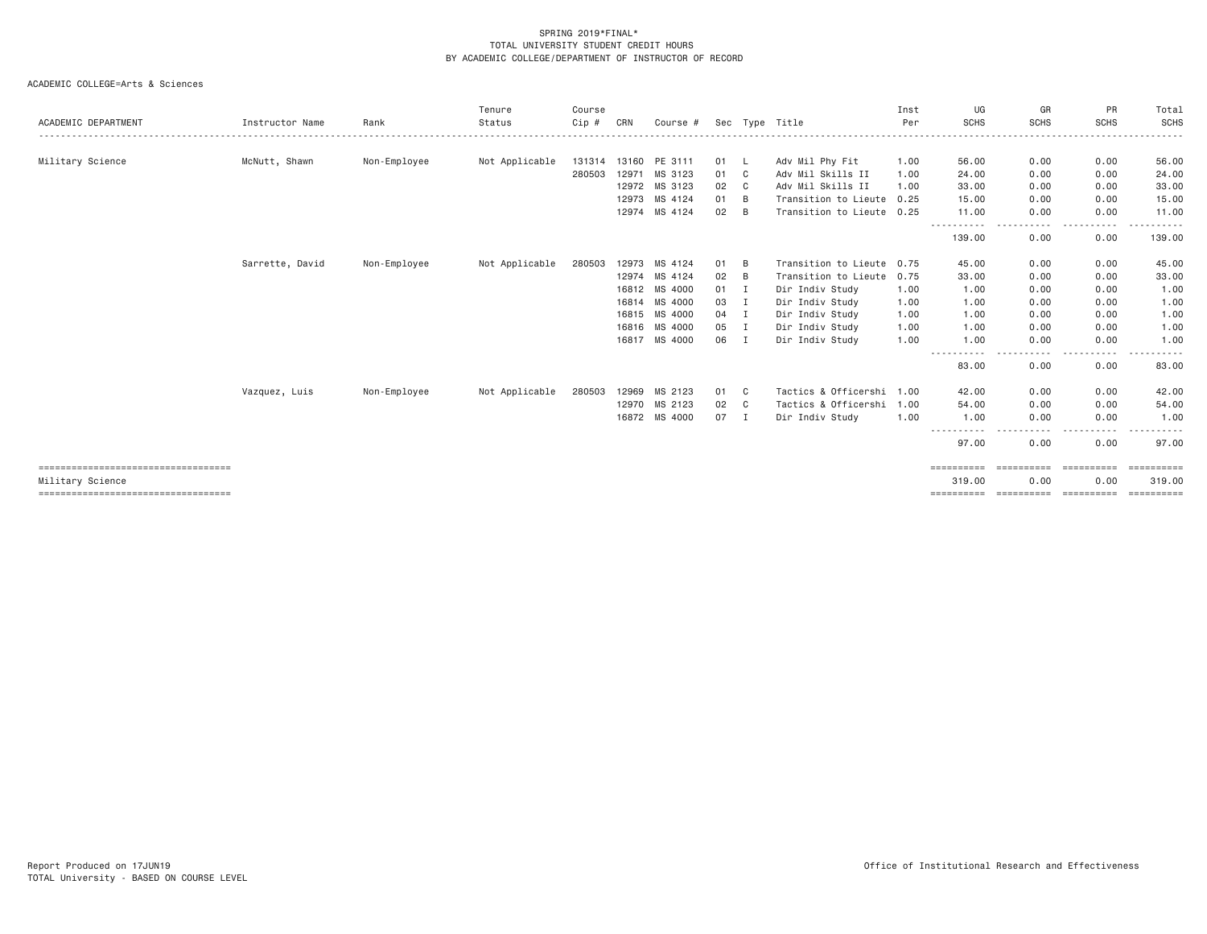| ACADEMIC DEPARTMENT                   | Instructor Name | Rank         | Tenure<br>Status | Course<br>Cip # | CRN   | Course #      |      |                | Sec Type Title            | Inst<br>Per | UG<br><b>SCHS</b>   | GR<br><b>SCHS</b>  | PR<br><b>SCHS</b>  | Total<br>SCHS         |
|---------------------------------------|-----------------|--------------|------------------|-----------------|-------|---------------|------|----------------|---------------------------|-------------|---------------------|--------------------|--------------------|-----------------------|
|                                       |                 |              |                  |                 |       |               |      |                |                           |             |                     |                    |                    | . <u>.</u>            |
| Military Science                      | McNutt, Shawn   | Non-Employee | Not Applicable   | 131314          | 13160 | PE 3111       | 01   |                | Adv Mil Phy Fit           | 1.00        | 56.00               | 0.00               | 0.00               | 56.00                 |
|                                       |                 |              |                  | 280503          | 12971 | MS 3123       | 01   | C              | Adv Mil Skills II         | 1.00        | 24,00               | 0.00               | 0.00               | 24.00                 |
|                                       |                 |              |                  |                 | 12972 | MS 3123       | 02   | C <sub>1</sub> | Adv Mil Skills II         | 1,00        | 33.00               | 0.00               | 0.00               | 33.00                 |
|                                       |                 |              |                  |                 | 12973 | MS 4124       | 01   | B              | Transition to Lieute 0.25 |             | 15,00               | 0.00               | 0.00               | 15.00                 |
|                                       |                 |              |                  |                 |       | 12974 MS 4124 | 02   | B              | Transition to Lieute 0.25 |             | 11.00<br>---------- | 0.00<br>. <u>.</u> | 0.00<br>. <b>.</b> | 11.00                 |
|                                       |                 |              |                  |                 |       |               |      |                |                           |             | 139.00              | 0.00               | 0.00               | 139.00                |
|                                       | Sarrette, David | Non-Employee | Not Applicable   | 280503          | 12973 | MS 4124       | 01   | B              | Transition to Lieute 0.75 |             | 45.00               | 0.00               | 0.00               | 45.00                 |
|                                       |                 |              |                  |                 |       | 12974 MS 4124 | 02   | B              | Transition to Lieute 0.75 |             | 33.00               | 0.00               | 0.00               | 33.00                 |
|                                       |                 |              |                  |                 | 16812 | MS 4000       | 01   | $\mathbf I$    | Dir Indiv Study           | 1.00        | 1.00                | 0.00               | 0.00               | 1.00                  |
|                                       |                 |              |                  |                 | 16814 | MS 4000       | 03   | I              | Dir Indiv Study           | 1.00        | 1.00                | 0.00               | 0.00               | 1.00                  |
|                                       |                 |              |                  |                 | 16815 | MS 4000       | 04   | I              | Dir Indiv Study           | 1.00        | 1.00                | 0.00               | 0.00               | 1.00                  |
|                                       |                 |              |                  |                 | 16816 | MS 4000       | 05   | I              | Dir Indiv Study           | 1.00        | 1.00                | 0.00               | 0.00               | 1.00                  |
|                                       |                 |              |                  |                 | 16817 | MS 4000       | 06   | $\mathbf{I}$   | Dir Indiv Study           | 1.00        | 1.00                | 0.00               | 0.00               | 1.00                  |
|                                       |                 |              |                  |                 |       |               |      |                |                           |             | 83,00               | 0.00               | 0.00               | 83.00                 |
|                                       | Vazquez, Luis   | Non-Employee | Not Applicable   | 280503          | 12969 | MS 2123       | 01   | C C            | Tactics & Officershi 1.00 |             | 42.00               | 0.00               | 0.00               | 42.00                 |
|                                       |                 |              |                  |                 | 12970 | MS 2123       | 02   | $\mathbf{C}$   | Tactics & Officershi 1.00 |             | 54.00               | 0.00               | 0.00               | 54.00                 |
|                                       |                 |              |                  |                 |       | 16872 MS 4000 | 07 I |                | Dir Indiv Study           | 1.00        | 1.00                | 0.00               | 0.00               | 1.00                  |
|                                       |                 |              |                  |                 |       |               |      |                |                           |             | ----------<br>97.00 | 0.00               | 0.00               | 97.00                 |
| ===================================== |                 |              |                  |                 |       |               |      |                |                           |             | ==========          | ==========         | ==========         | $=$ = = = = = = = = = |
| Military Science                      |                 |              |                  |                 |       |               |      |                |                           |             | 319.00              | 0.00               | 0.00               | 319.00                |
|                                       |                 |              |                  |                 |       |               |      |                |                           |             |                     |                    |                    | ==========            |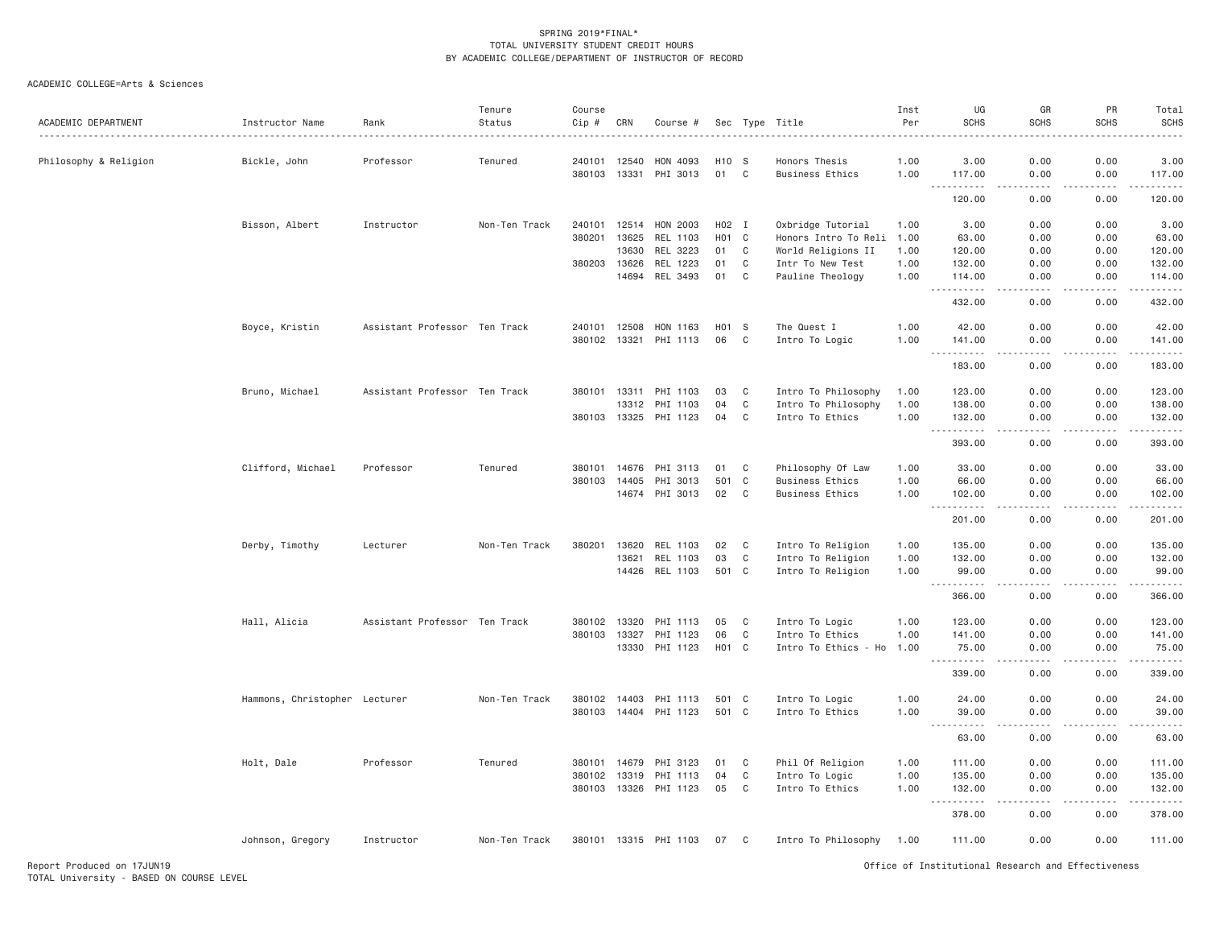| ACADEMIC DEPARTMENT   | Instructor Name               | Rank                          | Tenure<br>Status | Course<br>Cip # | CRN   | Course #              | Sec               | Type         | Title                     | Inst<br>Per | UG<br><b>SCHS</b>                            | GR<br><b>SCHS</b>                   | PR<br><b>SCHS</b>                                         | Total<br><b>SCHS</b>                                                                                                                                                                      |
|-----------------------|-------------------------------|-------------------------------|------------------|-----------------|-------|-----------------------|-------------------|--------------|---------------------------|-------------|----------------------------------------------|-------------------------------------|-----------------------------------------------------------|-------------------------------------------------------------------------------------------------------------------------------------------------------------------------------------------|
| Philosophy & Religion | Bickle, John                  | Professor                     | Tenured          | 240101 12540    |       | HON 4093              | H <sub>10</sub> S |              | Honors Thesis             | 1.00        | 3.00                                         | 0.00                                | 0.00                                                      | 3.00                                                                                                                                                                                      |
|                       |                               |                               |                  | 380103 13331    |       | PHI 3013              | 01                | C            | <b>Business Ethics</b>    | 1.00        | 117.00                                       | 0.00                                | 0.00                                                      | 117.00                                                                                                                                                                                    |
|                       |                               |                               |                  |                 |       |                       |                   |              |                           |             | .<br>120.00                                  | .<br>0.00                           | $\omega_{\alpha}=\omega_{\alpha}=\omega_{\alpha}$<br>0.00 | .<br>120.00                                                                                                                                                                               |
|                       | Bisson, Albert                | Instructor                    | Non-Ten Track    | 240101          | 12514 | HON 2003              | H02 I             |              | Oxbridge Tutorial         | 1.00        | 3,00                                         | 0.00                                | 0.00                                                      | 3.00                                                                                                                                                                                      |
|                       |                               |                               |                  | 380201          | 13625 | REL 1103              | H <sub>0</sub> 1  | $\mathbf{C}$ | Honors Intro To Reli 1.00 |             | 63.00                                        | 0.00                                | 0.00                                                      | 63.00                                                                                                                                                                                     |
|                       |                               |                               |                  |                 | 13630 | REL 3223              | 01                | C            | World Religions II        | 1.00        | 120.00                                       | 0.00                                | 0.00                                                      | 120.00                                                                                                                                                                                    |
|                       |                               |                               |                  | 380203          | 13626 | REL 1223              | 01                | C            | Intr To New Test          | 1.00        | 132.00                                       | 0.00                                | 0.00                                                      | 132.00                                                                                                                                                                                    |
|                       |                               |                               |                  |                 | 14694 | REL 3493              | 01                | $\mathbf C$  |                           | 1.00        | 114.00                                       | 0.00                                | 0.00                                                      | 114.00                                                                                                                                                                                    |
|                       |                               |                               |                  |                 |       |                       |                   |              | Pauline Theology          |             | $\sim$ $\sim$ $\sim$<br><b></b>              | .                                   | .                                                         | .                                                                                                                                                                                         |
|                       |                               |                               |                  |                 |       |                       |                   |              |                           |             | 432.00                                       | 0.00                                | 0.00                                                      | 432.00                                                                                                                                                                                    |
|                       | Boyce, Kristin                | Assistant Professor Ten Track |                  | 240101          | 12508 | HON 1163              | H <sub>0</sub> 1  | - S          | The Quest I               | 1.00        | 42.00                                        | 0.00                                | 0.00                                                      | 42.00                                                                                                                                                                                     |
|                       |                               |                               |                  | 380102 13321    |       | PHI 1113              | 06                | C            | Intro To Logic            | 1.00        | 141.00<br>$\sim$ $\sim$                      | 0.00<br>$\sim$ $\sim$ $\sim$ $\sim$ | 0.00<br>.                                                 | 141.00<br>$\omega_{\alpha}=\omega_{\alpha}=\omega_{\alpha}$                                                                                                                               |
|                       |                               |                               |                  |                 |       |                       |                   |              |                           |             | 183.00                                       | 0.00                                | 0.00                                                      | 183.00                                                                                                                                                                                    |
|                       | Bruno, Michael                | Assistant Professor Ten Track |                  | 380101          | 13311 | PHI 1103              | 03                | C            | Intro To Philosophy       | 1.00        | 123.00                                       | 0.00                                | 0.00                                                      | 123.00                                                                                                                                                                                    |
|                       |                               |                               |                  |                 |       | 13312 PHI 1103        | 04                | C            | Intro To Philosophy       | 1.00        | 138.00                                       | 0.00                                | 0.00                                                      | 138.00                                                                                                                                                                                    |
|                       |                               |                               |                  |                 |       | 380103 13325 PHI 1123 | 04                | C            | Intro To Ethics           | 1.00        | 132.00<br><u>.</u>                           | 0.00<br>.                           | 0.00<br>.                                                 | 132.00<br>.                                                                                                                                                                               |
|                       |                               |                               |                  |                 |       |                       |                   |              |                           |             | 393.00                                       | 0.00                                | 0.00                                                      | 393.00                                                                                                                                                                                    |
|                       | Clifford, Michael             | Professor                     | Tenured          | 380101          | 14676 | PHI 3113              | 01                | C            | Philosophy Of Law         | 1.00        | 33.00                                        | 0.00                                | 0.00                                                      | 33.00                                                                                                                                                                                     |
|                       |                               |                               |                  | 380103 14405    |       | PHI 3013              | 501               | $\mathbf C$  | <b>Business Ethics</b>    | 1.00        | 66.00                                        | 0.00                                | 0.00                                                      | 66.00                                                                                                                                                                                     |
|                       |                               |                               |                  |                 |       | 14674 PHI 3013        | 02                | C            | <b>Business Ethics</b>    | 1.00        | 102.00<br>$\sim$ $\sim$ $\sim$<br>. <b>.</b> | 0.00<br>$- - - -$                   | 0.00<br>.                                                 | 102.00<br>.                                                                                                                                                                               |
|                       |                               |                               |                  |                 |       |                       |                   |              |                           |             | 201.00                                       | 0.00                                | 0.00                                                      | 201.00                                                                                                                                                                                    |
|                       | Derby, Timothy                | Lecturer                      | Non-Ten Track    | 380201          | 13620 | REL 1103              | 02                | C            | Intro To Religion         | 1.00        | 135.00                                       | 0.00                                | 0.00                                                      | 135.00                                                                                                                                                                                    |
|                       |                               |                               |                  |                 | 13621 | REL 1103              | 03                | C            | Intro To Religion         | 1.00        | 132.00                                       | 0.00                                | 0.00                                                      | 132.00                                                                                                                                                                                    |
|                       |                               |                               |                  |                 |       | 14426 REL 1103        | 501 C             |              | Intro To Religion         | 1.00        | 99.00<br>المتمالين<br>$\sim$ $\sim$ $\sim$   | 0.00<br>.                           | 0.00<br>.                                                 | 99.00<br>$- - - - - -$                                                                                                                                                                    |
|                       |                               |                               |                  |                 |       |                       |                   |              |                           |             | 366.00                                       | 0.00                                | 0.00                                                      | 366.00                                                                                                                                                                                    |
|                       | Hall, Alicia                  | Assistant Professor Ten Track |                  | 380102 13320    |       | PHI 1113              | 05                | C            | Intro To Logic            | 1.00        | 123.00                                       | 0.00                                | 0.00                                                      | 123.00                                                                                                                                                                                    |
|                       |                               |                               |                  | 380103          | 13327 | PHI 1123              | 06                | C            | Intro To Ethics           | 1.00        | 141.00                                       | 0.00                                | 0.00                                                      | 141.00                                                                                                                                                                                    |
|                       |                               |                               |                  |                 | 13330 | PHI 1123              | HO1 C             |              | Intro To Ethics - Ho      | 1.00        | 75.00<br>$ -$                                | 0.00                                | 0.00                                                      | 75.00<br>.                                                                                                                                                                                |
|                       |                               |                               |                  |                 |       |                       |                   |              |                           |             | 339.00                                       | 0.00                                | 0.00                                                      | 339.00                                                                                                                                                                                    |
|                       | Hammons, Christopher Lecturer |                               | Non-Ten Track    | 380102 14403    |       | PHI 1113              | 501 C             |              | Intro To Logic            | 1.00        | 24.00                                        | 0.00                                | 0.00                                                      | 24.00                                                                                                                                                                                     |
|                       |                               |                               |                  |                 |       | 380103 14404 PHI 1123 | 501 C             |              | Intro To Ethics           | 1.00        | 39.00                                        | 0.00                                | 0.00                                                      | 39.00                                                                                                                                                                                     |
|                       |                               |                               |                  |                 |       |                       |                   |              |                           |             | $\sim$ $\sim$ $\sim$<br>.<br>63.00           | 0.00                                | .<br>0.00                                                 | المتمامين<br>63.00                                                                                                                                                                        |
|                       |                               |                               |                  |                 |       |                       |                   |              |                           |             |                                              |                                     |                                                           |                                                                                                                                                                                           |
|                       | Holt, Dale                    | Professor                     | Tenured          | 380101 14679    |       | PHI 3123              | 01                | C            | Phil Of Religion          | 1.00        | 111.00                                       | 0.00                                | 0.00                                                      | 111.00                                                                                                                                                                                    |
|                       |                               |                               |                  | 380102          | 13319 | PHI 1113              | 04                | $\mathtt{C}$ | Intro To Logic            | 1.00        | 135.00                                       | 0.00                                | 0.00                                                      | 135.00                                                                                                                                                                                    |
|                       |                               |                               |                  |                 |       | 380103 13326 PHI 1123 | 05                | $\mathbf C$  | Intro To Ethics           | 1.00        | 132.00<br>$\sim$ $\sim$ $\sim$               | 0.00                                | 0.00                                                      | 132.00<br>$\frac{1}{2} \left( \frac{1}{2} \right) \left( \frac{1}{2} \right) \left( \frac{1}{2} \right) \left( \frac{1}{2} \right) \left( \frac{1}{2} \right) \left( \frac{1}{2} \right)$ |
|                       |                               |                               |                  |                 |       |                       |                   |              |                           |             | 378.00                                       | 0.00                                | 0.00                                                      | 378.00                                                                                                                                                                                    |
|                       | Johnson, Gregory              | Instructor                    | Non-Ten Track    |                 |       | 380101 13315 PHI 1103 | 07                | C            | Intro To Philosophy       | 1.00        | 111.00                                       | 0.00                                | 0.00                                                      | 111.00                                                                                                                                                                                    |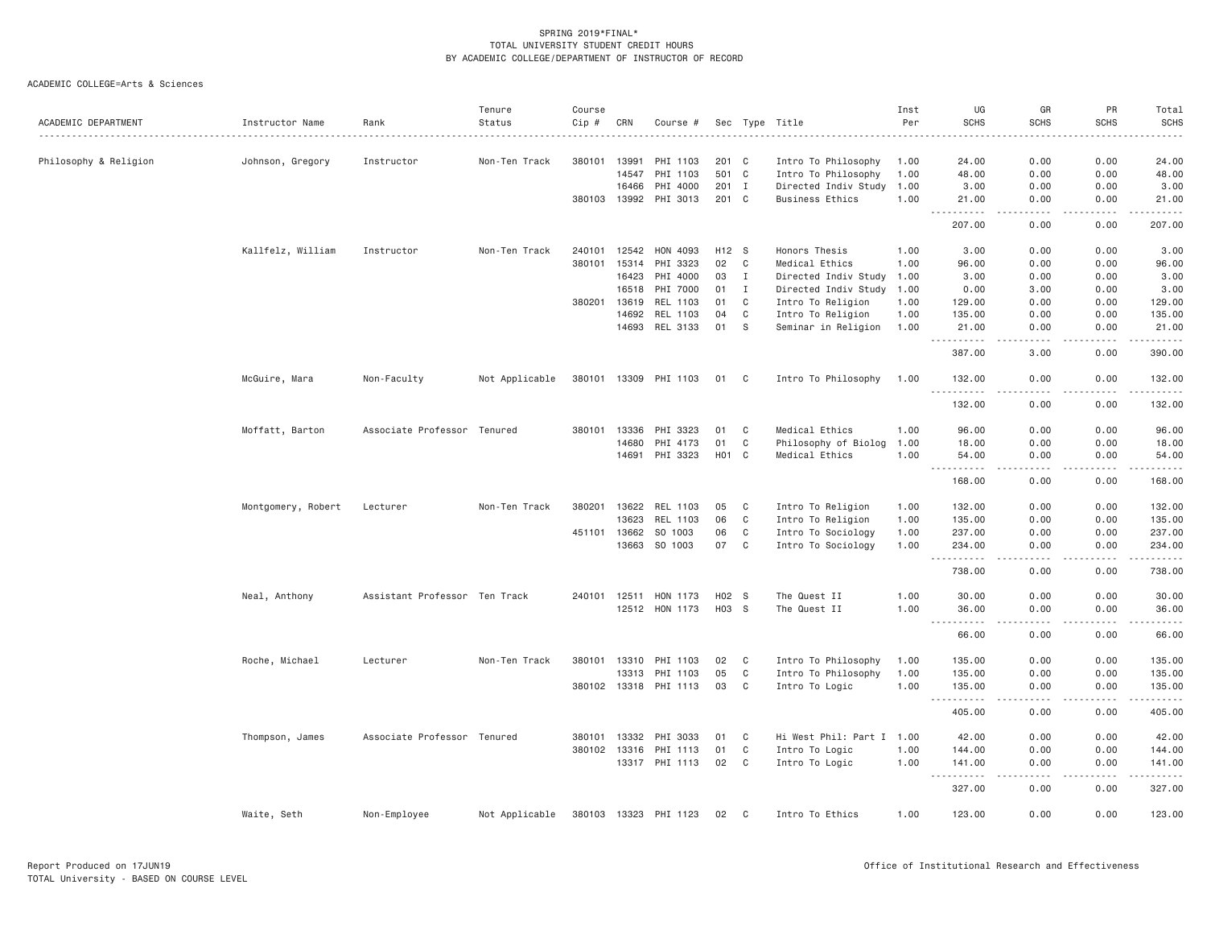| ACADEMIC DEPARTMENT   | Instructor Name    | Rank                          | Tenure<br>Status | Course<br>Cip # | CRN          | Course #              |                   |              | Sec Type Title            | Inst<br>Per | UG<br><b>SCHS</b>                                                                                                                                                               | GR<br><b>SCHS</b>                   | PR<br><b>SCHS</b>     | Total<br><b>SCHS</b> |
|-----------------------|--------------------|-------------------------------|------------------|-----------------|--------------|-----------------------|-------------------|--------------|---------------------------|-------------|---------------------------------------------------------------------------------------------------------------------------------------------------------------------------------|-------------------------------------|-----------------------|----------------------|
|                       |                    |                               |                  |                 |              |                       |                   |              |                           |             |                                                                                                                                                                                 |                                     |                       |                      |
| Philosophy & Religion | Johnson, Gregory   | Instructor                    | Non-Ten Track    |                 | 380101 13991 | PHI 1103              | 201 C             |              | Intro To Philosophy       | 1.00        | 24.00                                                                                                                                                                           | 0.00                                | 0.00                  | 24.00                |
|                       |                    |                               |                  |                 | 14547        | PHI 1103              | 501 C             |              | Intro To Philosophy       | 1.00        | 48.00                                                                                                                                                                           | 0.00                                | 0.00                  | 48.00                |
|                       |                    |                               |                  |                 | 16466        | PHI 4000              |                   | 201 I        | Directed Indiv Study      | 1.00        | 3.00                                                                                                                                                                            | 0.00                                | 0.00                  | 3.00                 |
|                       |                    |                               |                  |                 |              | 380103 13992 PHI 3013 | 201 C             |              | <b>Business Ethics</b>    | 1.00        | 21.00                                                                                                                                                                           | 0.00                                | 0.00                  | 21.00                |
|                       |                    |                               |                  |                 |              |                       |                   |              |                           |             | $\sim$ $\sim$ $\sim$<br>.<br>207.00                                                                                                                                             | .<br>0.00                           | .<br>0.00             | .<br>207.00          |
|                       | Kallfelz, William  | Instructor                    | Non-Ten Track    |                 |              | 240101 12542 HON 4093 | H12 S             |              | Honors Thesis             | 1.00        | 3.00                                                                                                                                                                            | 0.00                                | 0.00                  | 3.00                 |
|                       |                    |                               |                  | 380101          | 15314        | PHI 3323              | 02                | C            | Medical Ethics            | 1.00        | 96.00                                                                                                                                                                           | 0.00                                | 0.00                  | 96.00                |
|                       |                    |                               |                  |                 | 16423        | PHI 4000              | 03                | $\mathbf{I}$ | Directed Indiv Study      | 1.00        | 3.00                                                                                                                                                                            | 0.00                                | 0.00                  | 3.00                 |
|                       |                    |                               |                  |                 | 16518        | PHI 7000              | 01                | $\mathbf{I}$ | Directed Indiv Study 1.00 |             | 0.00                                                                                                                                                                            | 3.00                                | 0.00                  | 3.00                 |
|                       |                    |                               |                  | 380201          | 13619        | REL 1103              | 01                | $\mathbf C$  | Intro To Religion         | 1.00        | 129.00                                                                                                                                                                          | 0.00                                | 0.00                  | 129.00               |
|                       |                    |                               |                  |                 | 14692        | REL 1103              | 04                | C            | Intro To Religion         | 1.00        | 135.00                                                                                                                                                                          | 0.00                                | 0.00                  | 135.00               |
|                       |                    |                               |                  |                 |              | 14693 REL 3133        | 01                | <b>S</b>     | Seminar in Religion       | 1.00        | 21.00                                                                                                                                                                           | 0.00                                | 0.00                  | 21.00                |
|                       |                    |                               |                  |                 |              |                       |                   |              |                           |             | .                                                                                                                                                                               | د د د د                             | .                     | $- - - - - -$        |
|                       |                    |                               |                  |                 |              |                       |                   |              |                           |             | 387.00                                                                                                                                                                          | 3.00                                | 0.00                  | 390.00               |
|                       | McGuire, Mara      | Non-Faculty                   | Not Applicable   |                 |              | 380101 13309 PHI 1103 | 01 C              |              | Intro To Philosophy       | 1.00        | 132.00                                                                                                                                                                          | 0.00                                | 0.00<br>$\frac{1}{2}$ | 132.00<br>.          |
|                       |                    |                               |                  |                 |              |                       |                   |              |                           |             | 132.00                                                                                                                                                                          | 0.00                                | 0.00                  | 132.00               |
|                       | Moffatt, Barton    | Associate Professor Tenured   |                  | 380101          | 13336        | PHI 3323              | 01                | C            | Medical Ethics            | 1.00        | 96.00                                                                                                                                                                           | 0.00                                | 0.00                  | 96.00                |
|                       |                    |                               |                  |                 | 14680        | PHI 4173              | 01                | $\mathbf C$  | Philosophy of Biolog      | 1.00        | 18.00                                                                                                                                                                           | 0.00                                | 0.00                  | 18.00                |
|                       |                    |                               |                  |                 |              | 14691 PHI 3323        | H <sub>01</sub> C |              | Medical Ethics            | 1.00        | 54.00                                                                                                                                                                           | 0.00                                | 0.00                  | 54.00                |
|                       |                    |                               |                  |                 |              |                       |                   |              |                           |             | .<br>$- - -$<br>168.00                                                                                                                                                          | $\frac{1}{2}$<br>0.00               | .<br>0.00             | .<br>168.00          |
|                       | Montgomery, Robert | Lecturer                      | Non-Ten Track    | 380201          |              | 13622 REL 1103        | 05                | C            | Intro To Religion         | 1.00        | 132.00                                                                                                                                                                          | 0.00                                | 0.00                  | 132.00               |
|                       |                    |                               |                  |                 | 13623        | REL 1103              | 06                | C            | Intro To Religion         | 1.00        | 135.00                                                                                                                                                                          | 0.00                                | 0.00                  | 135.00               |
|                       |                    |                               |                  |                 | 451101 13662 | SO 1003               | 06                | $\mathbf C$  | Intro To Sociology        | 1.00        | 237.00                                                                                                                                                                          | 0.00                                | 0.00                  | 237.00               |
|                       |                    |                               |                  |                 |              | 13663 SO 1003         | 07                | $\mathbf C$  | Intro To Sociology        | 1.00        | 234.00                                                                                                                                                                          | 0.00                                | 0.00                  | 234.00               |
|                       |                    |                               |                  |                 |              |                       |                   |              |                           |             | 738.00                                                                                                                                                                          | 0.00                                | 0.00                  | .<br>738,00          |
|                       |                    |                               |                  |                 |              |                       |                   |              |                           |             |                                                                                                                                                                                 |                                     |                       |                      |
|                       | Neal, Anthony      | Assistant Professor Ten Track |                  |                 | 240101 12511 | HON 1173              | H02 S<br>H03 S    |              | The Quest II              | 1.00        | 30.00                                                                                                                                                                           | 0.00<br>0.00                        | 0.00                  | 30.00                |
|                       |                    |                               |                  |                 |              | 12512 HON 1173        |                   |              | The Quest II              | 1.00        | 36.00<br>. <b>.</b><br>$\cdots$                                                                                                                                                 | الدامات بال                         | 0.00<br>.             | 36.00<br>.           |
|                       |                    |                               |                  |                 |              |                       |                   |              |                           |             | 66.00                                                                                                                                                                           | 0.00                                | 0.00                  | 66.00                |
|                       | Roche, Michael     | Lecturer                      | Non-Ten Track    | 380101          | 13310        | PHI 1103              | 02                | C            | Intro To Philosophy       | 1.00        | 135.00                                                                                                                                                                          | 0.00                                | 0.00                  | 135.00               |
|                       |                    |                               |                  |                 |              | 13313 PHI 1103        | 05                | $\mathbf C$  | Intro To Philosophy       | 1.00        | 135.00                                                                                                                                                                          | 0.00                                | 0.00                  | 135.00               |
|                       |                    |                               |                  |                 |              | 380102 13318 PHI 1113 | 03                | C            | Intro To Logic            | 1.00        | 135.00<br>.<br>$\sim$ $\sim$ $\sim$                                                                                                                                             | 0.00<br>د د د د                     | 0.00<br>.             | 135.00<br>.          |
|                       |                    |                               |                  |                 |              |                       |                   |              |                           |             | 405.00                                                                                                                                                                          | 0.00                                | 0.00                  | 405.00               |
|                       | Thompson, James    | Associate Professor Tenured   |                  | 380101          | 13332        | PHI 3033              | 01                | C            | Hi West Phil: Part I 1.00 |             | 42.00                                                                                                                                                                           | 0.00                                | 0.00                  | 42.00                |
|                       |                    |                               |                  |                 |              | 380102 13316 PHI 1113 | 01                | C            | Intro To Logic            | 1.00        | 144.00                                                                                                                                                                          | 0.00                                | 0.00                  | 144.00               |
|                       |                    |                               |                  |                 |              | 13317 PHI 1113        | 02                | $\mathbf C$  | Intro To Logic            | 1.00        | 141.00                                                                                                                                                                          | 0.00                                | 0.00                  | 141.00               |
|                       |                    |                               |                  |                 |              |                       |                   |              |                           |             | $\frac{1}{2} \left( \frac{1}{2} \right) \left( \frac{1}{2} \right) \left( \frac{1}{2} \right) \left( \frac{1}{2} \right) \left( \frac{1}{2} \right)$<br>$\sim$ $\sim$<br>327.00 | $\sim$ $\sim$ $\sim$ $\sim$<br>0.00 | .<br>0.00             | .<br>327.00          |
|                       | Waite, Seth        | Non-Employee                  | Not Applicable   |                 |              | 380103 13323 PHI 1123 | 02                | C            | Intro To Ethics           | 1.00        | 123.00                                                                                                                                                                          | 0.00                                | 0.00                  | 123.00               |
|                       |                    |                               |                  |                 |              |                       |                   |              |                           |             |                                                                                                                                                                                 |                                     |                       |                      |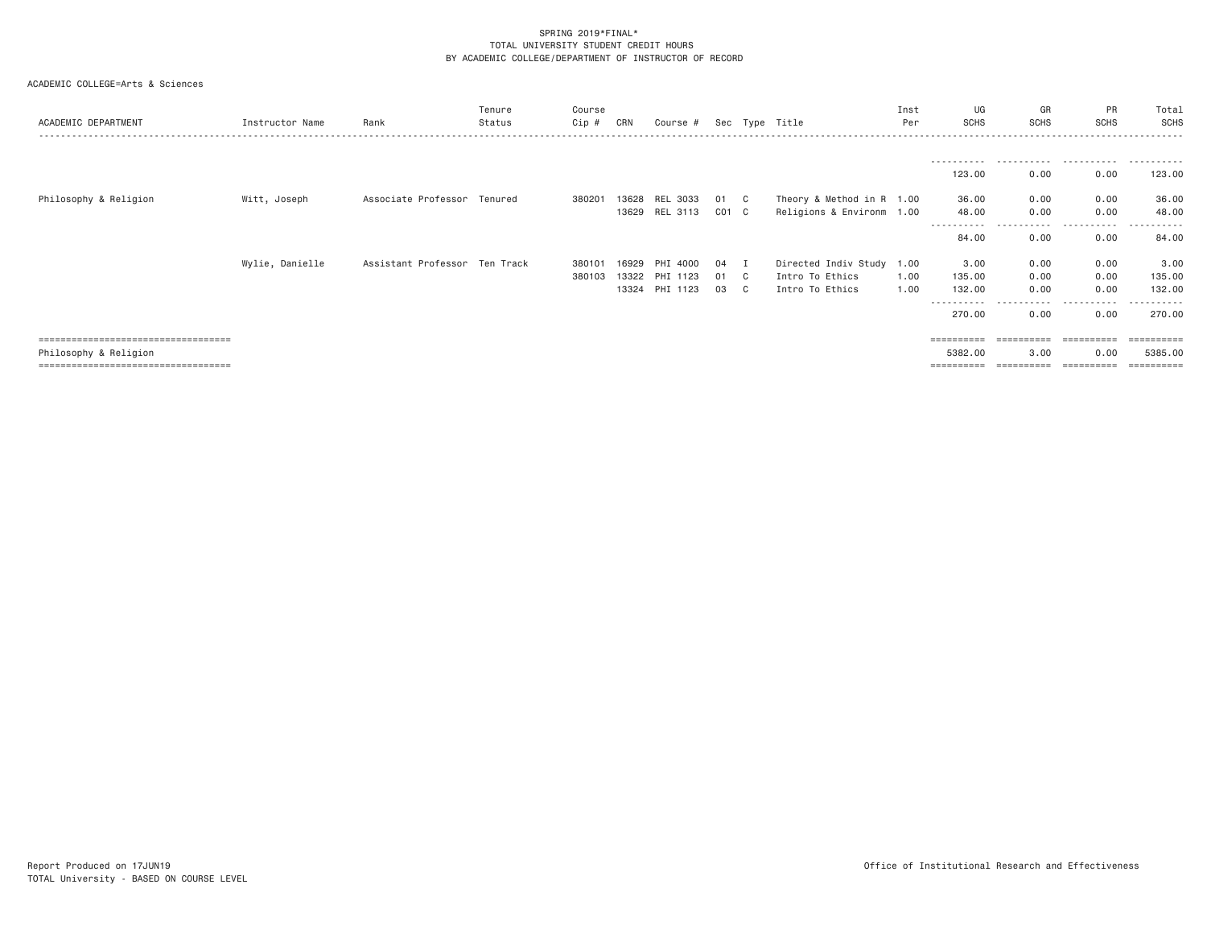| ACADEMIC DEPARTMENT                   | Instructor Name | Rank                          | Tenure<br>Status | Course<br>$Cip$ # | CRN   | Course #       |           |    | Sec Type Title            | Inst<br>Per | UG<br><b>SCHS</b>     | GR<br><b>SCHS</b>   | PR<br><b>SCHS</b> | Total<br>SCHS          |
|---------------------------------------|-----------------|-------------------------------|------------------|-------------------|-------|----------------|-----------|----|---------------------------|-------------|-----------------------|---------------------|-------------------|------------------------|
|                                       |                 |                               |                  |                   |       |                |           |    |                           |             | -----------           |                     |                   | ----------             |
|                                       |                 |                               |                  |                   |       |                |           |    |                           |             | 123.00                | 0.00                | 0.00              | 123.00                 |
| Philosophy & Religion                 | Witt, Joseph    | Associate Professor Tenured   |                  | 380201            | 13628 | REL 3033       | 01 C      |    | Theory & Method in R 1.00 |             | 36.00                 | 0.00                | 0.00              | 36.00                  |
|                                       |                 |                               |                  |                   |       | 13629 REL 3113 | $CO1$ $C$ |    | Religions & Environm 1.00 |             | 48,00                 | 0.00<br>.           | 0.00<br>.         | 48.00                  |
|                                       |                 |                               |                  |                   |       |                |           |    |                           |             | 84.00                 | 0.00                | 0.00              | 84.00                  |
|                                       | Wylie, Danielle | Assistant Professor Ten Track |                  | 380101            | 16929 | PHI 4000       | 04        | Ι. | Directed Indiv Study 1.00 |             | 3.00                  | 0.00                | 0.00              | 3.00                   |
|                                       |                 |                               |                  | 380103            | 13322 | PHI 1123       | 01        | C. | Intro To Ethics           | 1.00        | 135,00                | 0.00                | 0.00              | 135.00                 |
|                                       |                 |                               |                  |                   | 13324 | PHI 1123       | 03        | C  | Intro To Ethics           | 1.00        | 132.00                | 0.00                | 0.00              | 132,00                 |
|                                       |                 |                               |                  |                   |       |                |           |    |                           |             | -----------<br>270.00 | -----------<br>0.00 | .<br>0.00         | . <u>.</u> .<br>270.00 |
| ====================================  |                 |                               |                  |                   |       |                |           |    |                           |             | ==========            | ----------          | ==========        | =========              |
| Philosophy & Religion                 |                 |                               |                  |                   |       |                |           |    |                           |             | 5382.00               | 3.00                | 0.00              | 5385,00                |
| ===================================== |                 |                               |                  |                   |       |                |           |    |                           |             | ==========            | ==========          | ==========        |                        |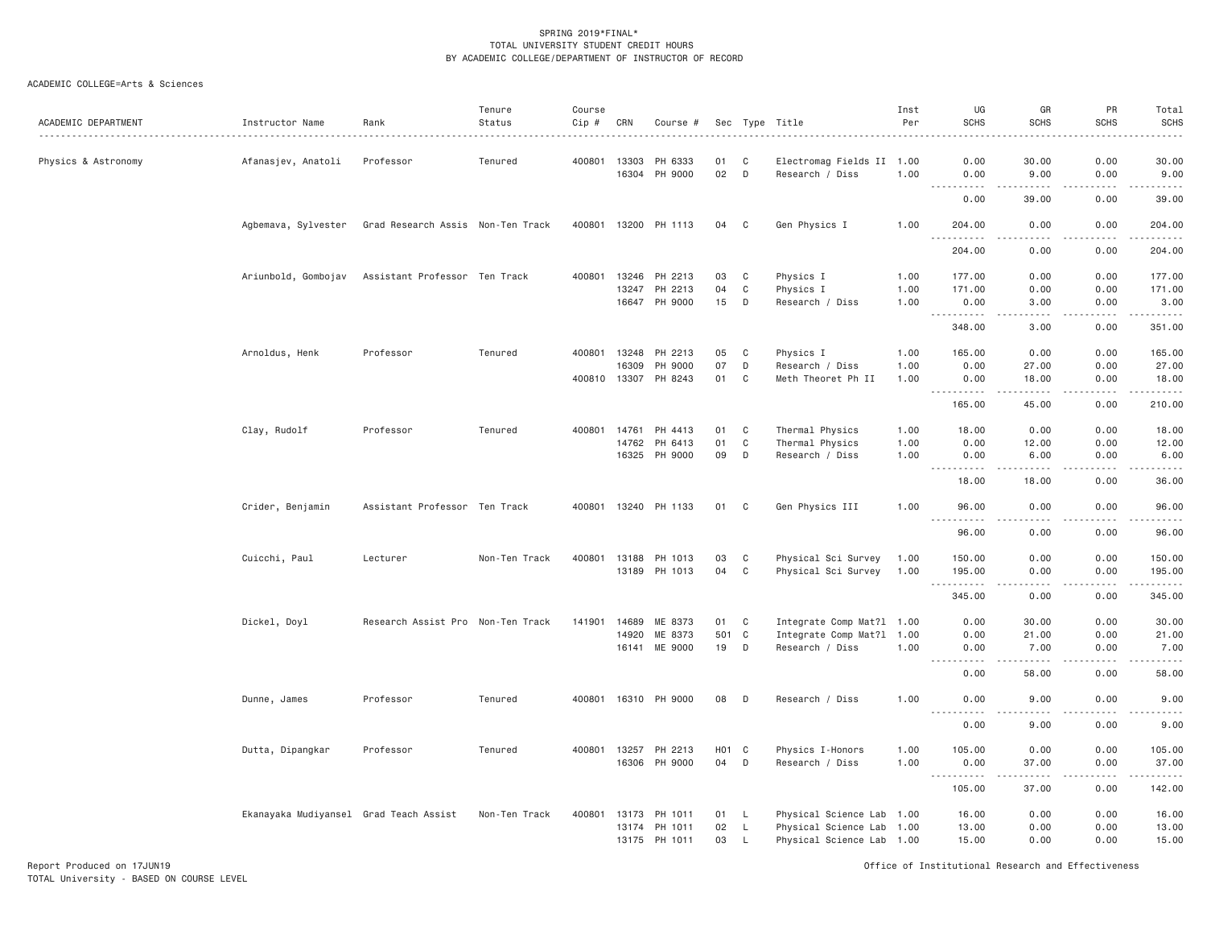| ACADEMIC DEPARTMENT | Instructor Name                        | Rank                              | Tenure<br>Status | Course<br>Cip # | CRN          | Course #                 |                    |              | Sec Type Title<br>.                          | Inst<br>Per | UG<br><b>SCHS</b>                           | GR<br><b>SCHS</b>                                                                                                                                             | PR<br><b>SCHS</b> | Total<br><b>SCHS</b>                                                                                                              |
|---------------------|----------------------------------------|-----------------------------------|------------------|-----------------|--------------|--------------------------|--------------------|--------------|----------------------------------------------|-------------|---------------------------------------------|---------------------------------------------------------------------------------------------------------------------------------------------------------------|-------------------|-----------------------------------------------------------------------------------------------------------------------------------|
| Physics & Astronomy | Afanasjev, Anatoli                     | Professor                         | Tenured          |                 | 400801 13303 | PH 6333<br>16304 PH 9000 | 01<br>02           | C<br>D       | Electromag Fields II 1.00<br>Research / Diss | 1,00        | 0.00<br>0.00                                | 30.00<br>9.00                                                                                                                                                 | 0.00<br>0.00      | 30.00<br>9.00                                                                                                                     |
|                     |                                        |                                   |                  |                 |              |                          |                    |              |                                              |             | 0.00                                        | 39.00                                                                                                                                                         | .<br>0.00         | .<br>39.00                                                                                                                        |
|                     | Agbemava, Sylvester                    | Grad Research Assis Non-Ten Track |                  |                 |              | 400801 13200 PH 1113     | 04                 | C            | Gen Physics I                                | 1.00        | 204.00                                      | 0.00                                                                                                                                                          | 0.00              | 204.00                                                                                                                            |
|                     |                                        |                                   |                  |                 |              |                          |                    |              |                                              |             | .<br>204.00                                 | .<br>0.00                                                                                                                                                     | <u>.</u><br>0.00  | $- - - - - -$<br>204.00                                                                                                           |
|                     | Ariunbold, Gombojav                    | Assistant Professor Ten Track     |                  | 400801          |              | 13246 PH 2213            | 03                 | C            | Physics I                                    | 1.00        | 177.00                                      | 0.00                                                                                                                                                          | 0.00              | 177.00                                                                                                                            |
|                     |                                        |                                   |                  |                 | 13247        | PH 2213                  | 04                 | C            | Physics I                                    | 1.00        | 171.00                                      | 0.00                                                                                                                                                          | 0.00              | 171.00                                                                                                                            |
|                     |                                        |                                   |                  |                 |              | 16647 PH 9000            | 15                 | D            | Research / Diss                              | 1.00        | 0.00<br>.                                   | 3.00<br><u>.</u>                                                                                                                                              | 0.00<br>.         | 3.00<br>.                                                                                                                         |
|                     |                                        |                                   |                  |                 |              |                          |                    |              |                                              |             | 348.00                                      | 3.00                                                                                                                                                          | 0.00              | 351.00                                                                                                                            |
|                     | Arnoldus, Henk                         | Professor                         | Tenured          |                 |              | 400801 13248 PH 2213     | 05                 | C            | Physics I                                    | 1.00        | 165.00                                      | 0.00                                                                                                                                                          | 0.00              | 165.00                                                                                                                            |
|                     |                                        |                                   |                  |                 | 16309        | PH 9000                  | 07                 | D            | Research / Diss                              | 1.00        | 0.00                                        | 27.00                                                                                                                                                         | 0.00              | 27.00                                                                                                                             |
|                     |                                        |                                   |                  | 400810          |              | 13307 PH 8243            | 01                 | C            | Meth Theoret Ph II                           | 1.00        | 0.00<br><u>.</u>                            | 18.00<br>$\frac{1}{2} \left( \frac{1}{2} \right) \left( \frac{1}{2} \right) \left( \frac{1}{2} \right) \left( \frac{1}{2} \right) \left( \frac{1}{2} \right)$ | 0.00<br>.         | 18.00<br>.                                                                                                                        |
|                     |                                        |                                   |                  |                 |              |                          |                    |              |                                              |             | 165.00                                      | 45.00                                                                                                                                                         | 0.00              | 210.00                                                                                                                            |
|                     | Clay, Rudolf                           | Professor                         | Tenured          |                 | 400801 14761 | PH 4413                  | 01                 | C            | Thermal Physics                              | 1.00        | 18.00                                       | 0.00                                                                                                                                                          | 0.00              | 18.00                                                                                                                             |
|                     |                                        |                                   |                  |                 | 14762        | PH 6413                  | 01                 | $\mathbf C$  | Thermal Physics                              | 1.00        | 0.00                                        | 12.00                                                                                                                                                         | 0.00              | 12.00                                                                                                                             |
|                     |                                        |                                   |                  |                 | 16325        | PH 9000                  | 09                 | D            | Research / Diss                              | 1.00        | 0.00<br>.                                   | 6.00<br>$- - - - -$                                                                                                                                           | 0.00<br>.         | 6.00<br>.                                                                                                                         |
|                     |                                        |                                   |                  |                 |              |                          |                    |              |                                              |             | 18.00                                       | 18.00                                                                                                                                                         | 0.00              | 36.00                                                                                                                             |
|                     | Crider, Benjamin                       | Assistant Professor Ten Track     |                  |                 |              | 400801 13240 PH 1133     | 01                 | $\mathbf{C}$ | Gen Physics III                              | 1.00        | 96.00<br>$\sim$ $\sim$ $\sim$<br>. <u>.</u> | 0.00<br>الدامات بال                                                                                                                                           | 0.00<br>.         | 96.00<br>.                                                                                                                        |
|                     |                                        |                                   |                  |                 |              |                          |                    |              |                                              |             | 96.00                                       | 0.00                                                                                                                                                          | 0.00              | 96.00                                                                                                                             |
|                     | Cuicchi, Paul                          | Lecturer                          | Non-Ten Track    | 400801          | 13188        | PH 1013                  | 03                 | C            | Physical Sci Survey                          | 1.00        | 150.00                                      | 0.00                                                                                                                                                          | 0.00              | 150.00                                                                                                                            |
|                     |                                        |                                   |                  |                 |              | 13189 PH 1013            | 04                 | $\mathbf C$  | Physical Sci Survey                          | 1.00        | 195.00                                      | 0.00                                                                                                                                                          | 0.00              | 195.00                                                                                                                            |
|                     |                                        |                                   |                  |                 |              |                          |                    |              |                                              |             | .<br>345.00                                 | $- - - - -$<br>0.00                                                                                                                                           | .<br>0.00         | .<br>345.00                                                                                                                       |
|                     | Dickel, Doyl                           | Research Assist Pro Non-Ten Track |                  | 141901          | 14689        | ME 8373                  | 01                 | C            | Integrate Comp Mat?1 1.00                    |             | 0.00                                        | 30.00                                                                                                                                                         | 0.00              | 30.00                                                                                                                             |
|                     |                                        |                                   |                  |                 | 14920        | ME 8373                  | 501 C              |              | Integrate Comp Mat?1 1.00                    |             | 0.00                                        | 21.00                                                                                                                                                         | 0.00              | 21.00                                                                                                                             |
|                     |                                        |                                   |                  |                 | 16141        | ME 9000                  | 19                 | D            | Research / Diss                              | 1.00        | 0.00<br><u>.</u>                            | 7.00<br>.                                                                                                                                                     | 0.00<br>.         | 7.00<br>.                                                                                                                         |
|                     |                                        |                                   |                  |                 |              |                          |                    |              |                                              |             | 0.00                                        | 58.00                                                                                                                                                         | 0.00              | 58.00                                                                                                                             |
|                     | Dunne, James                           | Professor                         | Tenured          |                 |              | 400801 16310 PH 9000     | 08                 | D            | Research / Diss                              | 1.00        | 0.00                                        | 9.00                                                                                                                                                          | 0.00              | 9.00                                                                                                                              |
|                     |                                        |                                   |                  |                 |              |                          |                    |              |                                              |             | .<br>0.00                                   | .<br>9.00                                                                                                                                                     | .<br>0.00         | $\frac{1}{2} \left( \frac{1}{2} \right) \left( \frac{1}{2} \right) \left( \frac{1}{2} \right) \left( \frac{1}{2} \right)$<br>9.00 |
|                     | Dutta, Dipangkar                       | Professor                         | Tenured          |                 |              | 400801 13257 PH 2213     | H <sub>0</sub> 1 C |              | Physics I-Honors                             | 1.00        | 105.00                                      | 0.00                                                                                                                                                          | 0.00              | 105.00                                                                                                                            |
|                     |                                        |                                   |                  |                 |              | 16306 PH 9000            | 04                 | D            | Research / Diss                              | 1.00        | 0.00                                        | 37.00                                                                                                                                                         | 0.00              | 37.00                                                                                                                             |
|                     |                                        |                                   |                  |                 |              |                          |                    |              |                                              |             | $\sim$ $\sim$ $\sim$<br>.<br>105.00         | $   -$<br>37.00                                                                                                                                               | .<br>0.00         | 142.00                                                                                                                            |
|                     | Ekanayaka Mudiyansel Grad Teach Assist |                                   | Non-Ten Track    |                 |              | 400801 13173 PH 1011     | 01 L               |              | Physical Science Lab 1.00                    |             | 16.00                                       | 0.00                                                                                                                                                          | 0.00              | 16.00                                                                                                                             |
|                     |                                        |                                   |                  |                 |              | 13174 PH 1011            | 02                 | L            | Physical Science Lab 1.00                    |             | 13.00                                       | 0.00                                                                                                                                                          | 0.00              | 13.00                                                                                                                             |
|                     |                                        |                                   |                  |                 |              | 13175 PH 1011            | 03                 | $\mathsf{L}$ | Physical Science Lab 1.00                    |             | 15.00                                       | 0.00                                                                                                                                                          | 0.00              | 15.00                                                                                                                             |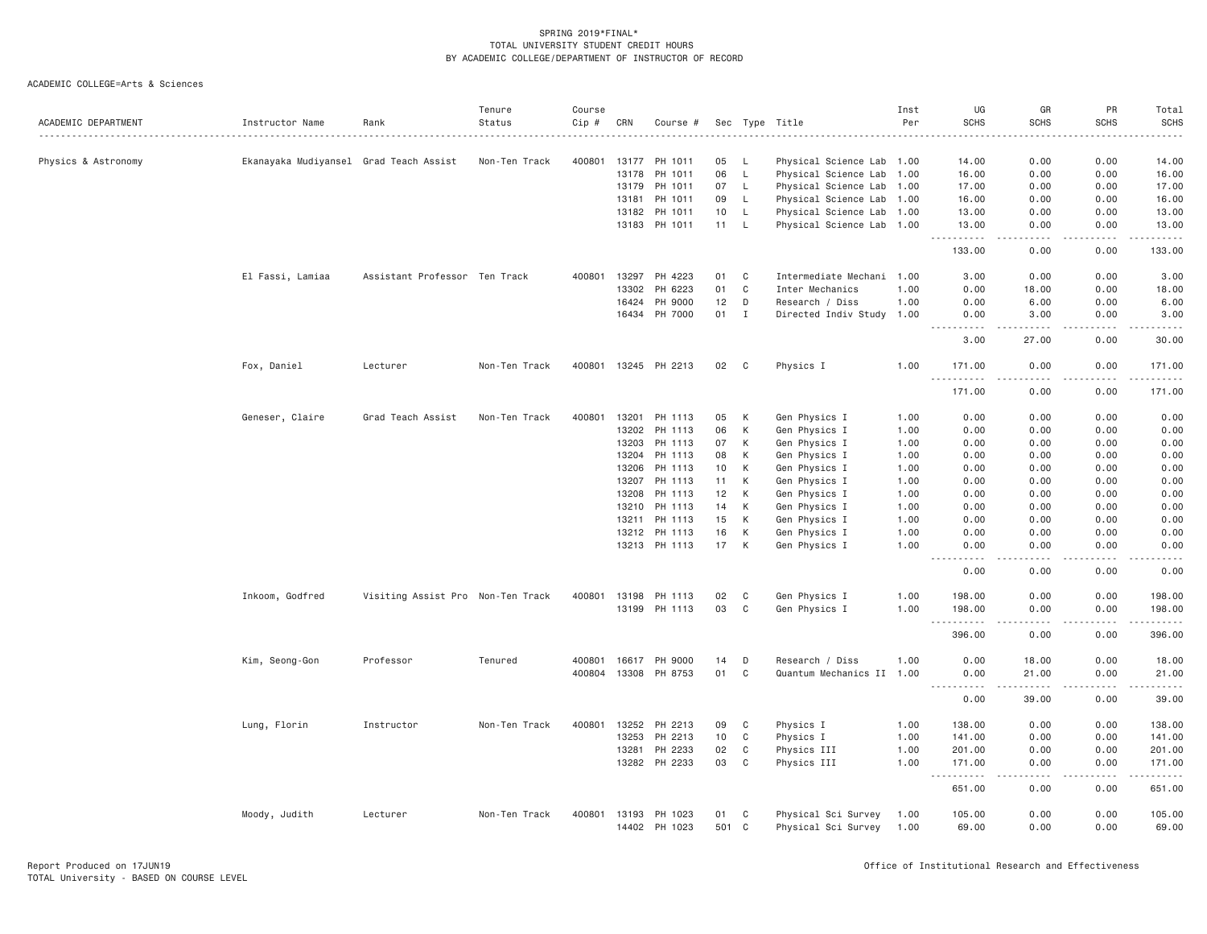| ACADEMIC DEPARTMENT | Instructor Name                        | Rank                              | Tenure<br>Status | Course<br>Cip # | CRN   | Course #             |       |              | Sec Type Title            | Inst<br>Per | UG<br><b>SCHS</b>                                                                                                                                                                                        | GR<br><b>SCHS</b>                   | PR<br><b>SCHS</b> | Total<br><b>SCHS</b><br>$- - - -$ |
|---------------------|----------------------------------------|-----------------------------------|------------------|-----------------|-------|----------------------|-------|--------------|---------------------------|-------------|----------------------------------------------------------------------------------------------------------------------------------------------------------------------------------------------------------|-------------------------------------|-------------------|-----------------------------------|
| Physics & Astronomy | Ekanayaka Mudiyansel Grad Teach Assist |                                   | Non-Ten Track    | 400801          | 13177 | PH 1011              | 05    | L,           | Physical Science Lab 1.00 |             | 14.00                                                                                                                                                                                                    | 0.00                                | 0.00              | 14.00                             |
|                     |                                        |                                   |                  |                 | 13178 | PH 1011              | 06    | $\mathsf{L}$ | Physical Science Lab 1.00 |             | 16.00                                                                                                                                                                                                    | 0.00                                | 0.00              | 16.00                             |
|                     |                                        |                                   |                  |                 | 13179 | PH 1011              | 07    | $\mathsf{L}$ | Physical Science Lab 1.00 |             | 17.00                                                                                                                                                                                                    | 0.00                                | 0.00              | 17.00                             |
|                     |                                        |                                   |                  |                 | 13181 | PH 1011              | 09    | L            | Physical Science Lab 1.00 |             | 16.00                                                                                                                                                                                                    | 0.00                                | 0.00              | 16.00                             |
|                     |                                        |                                   |                  |                 | 13182 | PH 1011              | 10    | $\mathsf{L}$ | Physical Science Lab 1.00 |             | 13.00                                                                                                                                                                                                    | 0.00                                | 0.00              | 13.00                             |
|                     |                                        |                                   |                  |                 |       | 13183 PH 1011        | 11    | L.           | Physical Science Lab 1.00 |             | 13.00<br>.                                                                                                                                                                                               | 0.00<br>$\omega$ is a $\omega$      | 0.00<br>.         | 13.00<br>.                        |
|                     |                                        |                                   |                  |                 |       |                      |       |              |                           |             | 133.00                                                                                                                                                                                                   | 0.00                                | 0.00              | 133.00                            |
|                     | El Fassi, Lamiaa                       | Assistant Professor Ten Track     |                  | 400801          | 13297 | PH 4223              | 01    | C            | Intermediate Mechani 1.00 |             | 3.00                                                                                                                                                                                                     | 0.00                                | 0.00              | 3.00                              |
|                     |                                        |                                   |                  |                 | 13302 | PH 6223              | 01    | C            | Inter Mechanics           | 1.00        | 0.00                                                                                                                                                                                                     | 18.00                               | 0.00              | 18.00                             |
|                     |                                        |                                   |                  |                 | 16424 | PH 9000              | 12    | D            | Research / Diss           | 1.00        | 0.00                                                                                                                                                                                                     | 6.00                                | 0.00              | 6.00                              |
|                     |                                        |                                   |                  |                 | 16434 | PH 7000              | 01    | $\mathbf I$  | Directed Indiv Study 1.00 |             | 0.00                                                                                                                                                                                                     | 3.00<br>.                           | 0.00<br>.         | 3.00                              |
|                     |                                        |                                   |                  |                 |       |                      |       |              |                           |             | 3.00                                                                                                                                                                                                     | 27.00                               | 0.00              | 30.00                             |
|                     | Fox, Daniel                            | Lecturer                          | Non-Ten Track    |                 |       | 400801 13245 PH 2213 | 02    | C            | Physics I                 | 1.00        | 171.00<br>$\sim$ $\sim$ $\sim$<br>.                                                                                                                                                                      | 0.00                                | 0.00              | 171.00<br>.                       |
|                     |                                        |                                   |                  |                 |       |                      |       |              |                           |             | 171.00                                                                                                                                                                                                   | 0.00                                | 0.00              | 171.00                            |
|                     | Geneser, Claire                        | Grad Teach Assist                 | Non-Ten Track    | 400801          | 13201 | PH 1113              | 05    | K            | Gen Physics I             | 1.00        | 0.00                                                                                                                                                                                                     | 0.00                                | 0.00              | 0.00                              |
|                     |                                        |                                   |                  |                 |       | 13202 PH 1113        | 06    | К            | Gen Physics I             | 1.00        | 0.00                                                                                                                                                                                                     | 0.00                                | 0.00              | 0.00                              |
|                     |                                        |                                   |                  |                 | 13203 | PH 1113              | 07    | К            | Gen Physics I             | 1.00        | 0.00                                                                                                                                                                                                     | 0.00                                | 0.00              | 0.00                              |
|                     |                                        |                                   |                  |                 | 13204 | PH 1113              | 08    | К            | Gen Physics I             | 1.00        | 0.00                                                                                                                                                                                                     | 0.00                                | 0.00              | 0.00                              |
|                     |                                        |                                   |                  |                 |       | 13206 PH 1113        | 10    | К            | Gen Physics I             | 1.00        | 0.00                                                                                                                                                                                                     | 0.00                                | 0.00              | 0.00                              |
|                     |                                        |                                   |                  |                 | 13207 | PH 1113              | 11    | К            | Gen Physics I             | 1.00        | 0.00                                                                                                                                                                                                     | 0.00                                | 0.00              | 0.00                              |
|                     |                                        |                                   |                  |                 | 13208 | PH 1113              | 12    | К            | Gen Physics I             | 1.00        | 0.00                                                                                                                                                                                                     | 0.00                                | 0.00              | 0.00                              |
|                     |                                        |                                   |                  |                 | 13210 | PH 1113              | 14    | К            | Gen Physics I             | 1.00        | 0.00                                                                                                                                                                                                     | 0.00                                | 0.00              | 0.00                              |
|                     |                                        |                                   |                  |                 | 13211 | PH 1113              | 15    | K            | Gen Physics I             | 1.00        | 0.00                                                                                                                                                                                                     | 0.00                                | 0.00              | 0.00                              |
|                     |                                        |                                   |                  |                 |       | 13212 PH 1113        | 16    | К            | Gen Physics I             | 1.00        | 0.00                                                                                                                                                                                                     | 0.00                                | 0.00              | 0.00                              |
|                     |                                        |                                   |                  |                 |       | 13213 PH 1113        | 17    | K            | Gen Physics I             | 1.00        | 0.00                                                                                                                                                                                                     | 0.00                                | 0.00              | 0.00                              |
|                     |                                        |                                   |                  |                 |       |                      |       |              |                           |             | 0.00                                                                                                                                                                                                     | 0.00                                | 0.00              | 0.00                              |
|                     | Inkoom, Godfred                        | Visiting Assist Pro Non-Ten Track |                  | 400801          |       | 13198 PH 1113        | 02    | C            | Gen Physics I             | 1.00        | 198.00                                                                                                                                                                                                   | 0.00                                | 0.00              | 198.00                            |
|                     |                                        |                                   |                  |                 | 13199 | PH 1113              | 03    | C            | Gen Physics I             | 1.00        | 198.00                                                                                                                                                                                                   | 0.00                                | 0.00              | 198.00                            |
|                     |                                        |                                   |                  |                 |       |                      |       |              |                           |             | 396.00                                                                                                                                                                                                   | 0.00                                | 0.00              | 396.00                            |
|                     | Kim, Seong-Gon                         | Professor                         | Tenured          | 400801          | 16617 | PH 9000              | 14    | D            | Research / Diss           | 1.00        | 0.00                                                                                                                                                                                                     | 18.00                               | 0.00              | 18.00                             |
|                     |                                        |                                   |                  |                 |       | 400804 13308 PH 8753 | 01    | C            | Quantum Mechanics II 1.00 |             | 0.00<br>$\frac{1}{2}$<br>$\frac{1}{2} \left( \frac{1}{2} \right) \left( \frac{1}{2} \right) \left( \frac{1}{2} \right) \left( \frac{1}{2} \right) \left( \frac{1}{2} \right) \left( \frac{1}{2} \right)$ | 21.00<br>$\frac{1}{2}$              | 0.00<br>.         | 21.00<br>.                        |
|                     |                                        |                                   |                  |                 |       |                      |       |              |                           |             | 0.00                                                                                                                                                                                                     | 39.00                               | 0.00              | 39.00                             |
|                     | Lung, Florin                           | Instructor                        | Non-Ten Track    | 400801          |       | 13252 PH 2213        | 09    | C            | Physics I                 | 1.00        | 138.00                                                                                                                                                                                                   | 0.00                                | 0.00              | 138.00                            |
|                     |                                        |                                   |                  |                 | 13253 | PH 2213              | 10    | C            | Physics I                 | 1.00        | 141.00                                                                                                                                                                                                   | 0.00                                | 0.00              | 141.00                            |
|                     |                                        |                                   |                  |                 | 13281 | PH 2233              | 02    | $\mathbf C$  | Physics III               | 1.00        | 201.00                                                                                                                                                                                                   | 0.00                                | 0.00              | 201.00                            |
|                     |                                        |                                   |                  |                 |       | 13282 PH 2233        | 03    | C            | Physics III               | 1.00        | 171.00<br>.                                                                                                                                                                                              | 0.00<br>$\sim$ $\sim$ $\sim$ $\sim$ | 0.00<br>.         | 171.00<br>.                       |
|                     |                                        |                                   |                  |                 |       |                      |       |              |                           |             | 651.00                                                                                                                                                                                                   | 0.00                                | 0.00              | 651.00                            |
|                     | Moody, Judith                          | Lecturer                          | Non-Ten Track    | 400801          | 13193 | PH 1023              | 01    | C            | Physical Sci Survey       | 1.00        | 105.00                                                                                                                                                                                                   | 0.00                                | 0.00              | 105.00                            |
|                     |                                        |                                   |                  |                 |       | 14402 PH 1023        | 501 C |              | Physical Sci Survey       | 1.00        | 69.00                                                                                                                                                                                                    | 0.00                                | 0.00              | 69.00                             |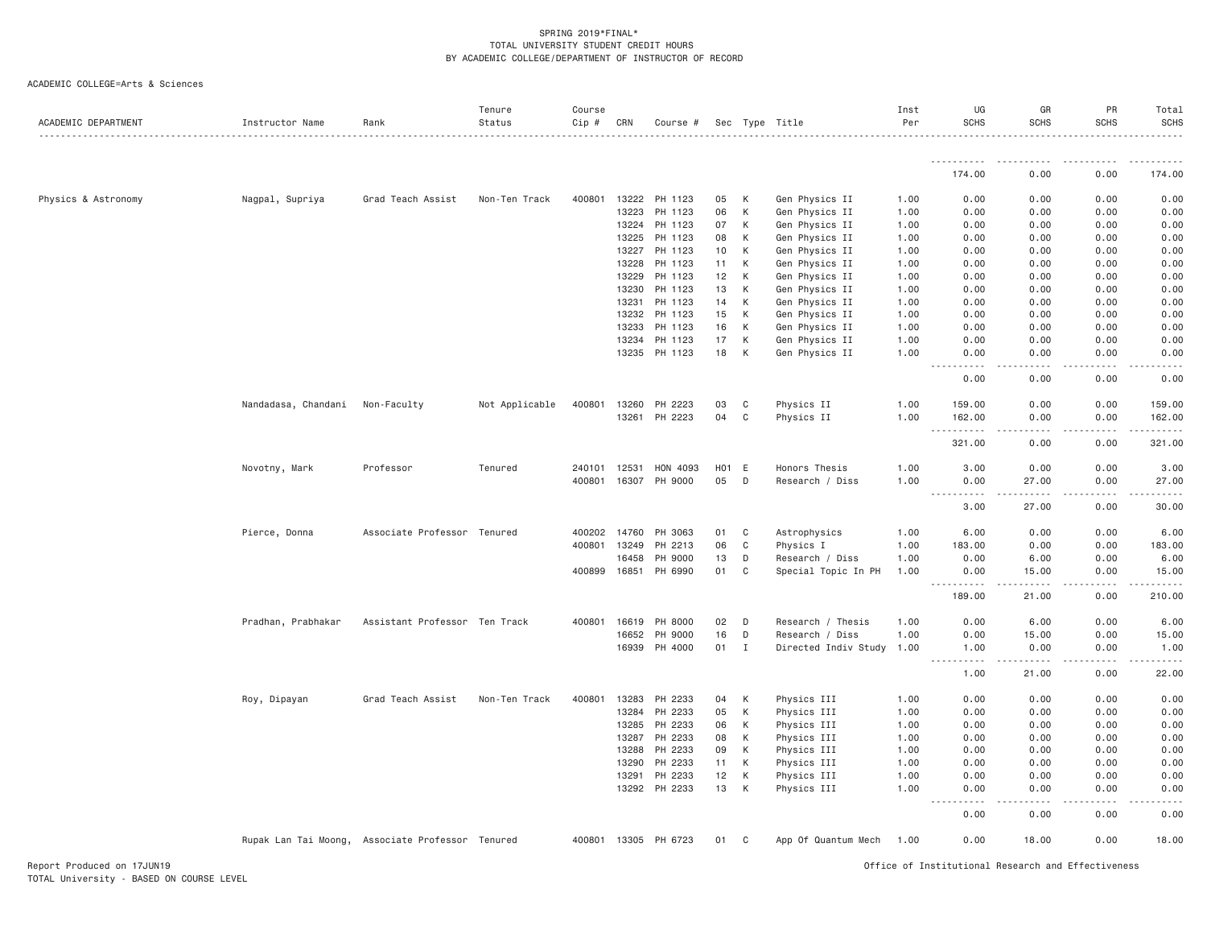| ACADEMIC DEPARTMENT | Instructor Name     | Rank                                             | Tenure<br>Status | Course<br>Cip # | CRN   | Course #             |       |   | Sec Type Title            | Inst<br>Per | UG<br><b>SCHS</b>                                                                                                                                | GR<br><b>SCHS</b> | PR<br><b>SCHS</b>                                                                                                                                            | Total<br>SCHS                                                                                                                                                                           |
|---------------------|---------------------|--------------------------------------------------|------------------|-----------------|-------|----------------------|-------|---|---------------------------|-------------|--------------------------------------------------------------------------------------------------------------------------------------------------|-------------------|--------------------------------------------------------------------------------------------------------------------------------------------------------------|-----------------------------------------------------------------------------------------------------------------------------------------------------------------------------------------|
|                     |                     |                                                  |                  |                 |       |                      |       |   |                           |             |                                                                                                                                                  |                   |                                                                                                                                                              |                                                                                                                                                                                         |
|                     |                     |                                                  |                  |                 |       |                      |       |   |                           |             | 174.00                                                                                                                                           | 0.00              | 0.00                                                                                                                                                         | 174.00                                                                                                                                                                                  |
| Physics & Astronomy | Nagpal, Supriya     | Grad Teach Assist                                | Non-Ten Track    | 400801          | 13222 | PH 1123              | 05    | K | Gen Physics II            | 1.00        | 0.00                                                                                                                                             | 0.00              | 0.00                                                                                                                                                         | 0.00                                                                                                                                                                                    |
|                     |                     |                                                  |                  |                 | 13223 | PH 1123              | 06    | К | Gen Physics II            | 1.00        | 0.00                                                                                                                                             | 0.00              | 0.00                                                                                                                                                         | 0.00                                                                                                                                                                                    |
|                     |                     |                                                  |                  |                 | 13224 | PH 1123              | 07    | K | Gen Physics II            | 1.00        | 0.00                                                                                                                                             | 0.00              | 0.00                                                                                                                                                         | 0.00                                                                                                                                                                                    |
|                     |                     |                                                  |                  |                 | 13225 | PH 1123              | 08    | К | Gen Physics II            | 1.00        | 0.00                                                                                                                                             | 0.00              | 0.00                                                                                                                                                         | 0.00                                                                                                                                                                                    |
|                     |                     |                                                  |                  |                 | 13227 | PH 1123              | 10    | K | Gen Physics II            | 1.00        | 0.00                                                                                                                                             | 0.00              | 0.00                                                                                                                                                         | 0.00                                                                                                                                                                                    |
|                     |                     |                                                  |                  |                 | 13228 | PH 1123              | 11    | К | Gen Physics II            | 1.00        | 0.00                                                                                                                                             | 0.00              | 0.00                                                                                                                                                         | 0.00                                                                                                                                                                                    |
|                     |                     |                                                  |                  |                 | 13229 | PH 1123              | 12    | K | Gen Physics II            | 1.00        | 0.00                                                                                                                                             | 0.00              | 0.00                                                                                                                                                         | 0.00                                                                                                                                                                                    |
|                     |                     |                                                  |                  |                 | 13230 | PH 1123              | 13    | K | Gen Physics II            | 1.00        | 0.00                                                                                                                                             | 0.00              | 0.00                                                                                                                                                         | 0.00                                                                                                                                                                                    |
|                     |                     |                                                  |                  |                 | 13231 | PH 1123              | 14    | К | Gen Physics II            | 1.00        | 0.00                                                                                                                                             | 0.00              | 0.00                                                                                                                                                         | 0.00                                                                                                                                                                                    |
|                     |                     |                                                  |                  |                 | 13232 | PH 1123              | 15    | К | Gen Physics II            | 1.00        | 0.00                                                                                                                                             | 0.00              | 0.00                                                                                                                                                         | 0.00                                                                                                                                                                                    |
|                     |                     |                                                  |                  |                 | 13233 | PH 1123              | 16    | K | Gen Physics II            | 1.00        | 0.00                                                                                                                                             | 0.00              | 0.00                                                                                                                                                         | 0.00                                                                                                                                                                                    |
|                     |                     |                                                  |                  |                 | 13234 | PH 1123              | 17    | K | Gen Physics II            | 1.00        | 0.00                                                                                                                                             | 0.00              | 0.00                                                                                                                                                         | 0.00                                                                                                                                                                                    |
|                     |                     |                                                  |                  |                 |       | 13235 PH 1123        | 18    | K | Gen Physics II            | 1.00        | 0.00                                                                                                                                             | 0.00              | 0.00                                                                                                                                                         | 0.00                                                                                                                                                                                    |
|                     |                     |                                                  |                  |                 |       |                      |       |   |                           |             | $- - - -$<br>.<br>0.00                                                                                                                           | .<br>0.00         | .<br>0.00                                                                                                                                                    | 0.00                                                                                                                                                                                    |
|                     | Nandadasa, Chandani | Non-Faculty                                      | Not Applicable   | 400801          | 13260 | PH 2223              | 03    | C | Physics II                | 1.00        | 159.00                                                                                                                                           | 0.00              | 0.00                                                                                                                                                         | 159.00                                                                                                                                                                                  |
|                     |                     |                                                  |                  |                 | 13261 | PH 2223              | 04    | C | Physics II                | 1.00        | 162.00                                                                                                                                           | 0.00              | 0.00                                                                                                                                                         | 162.00                                                                                                                                                                                  |
|                     |                     |                                                  |                  |                 |       |                      |       |   |                           |             | . <b>.</b><br>321.00                                                                                                                             | .<br>0.00         | -----<br>0.00                                                                                                                                                | $\begin{array}{cccccccccccccc} \bullet & \bullet & \bullet & \bullet & \bullet & \bullet & \bullet & \bullet \end{array}$<br>321.00                                                     |
|                     | Novotny, Mark       | Professor                                        | Tenured          | 240101          | 12531 | HON 4093             | H01 E |   | Honors Thesis             | 1.00        | 3.00                                                                                                                                             | 0.00              | 0.00                                                                                                                                                         | 3.00                                                                                                                                                                                    |
|                     |                     |                                                  |                  | 400801          | 16307 | PH 9000              | 05    | D | Research / Diss           | 1.00        | 0.00<br>$- - - -$<br>.                                                                                                                           | 27.00             | 0.00                                                                                                                                                         | 27.00                                                                                                                                                                                   |
|                     |                     |                                                  |                  |                 |       |                      |       |   |                           |             | 3.00                                                                                                                                             | 27.00             | 0.00                                                                                                                                                         | 30.00                                                                                                                                                                                   |
|                     | Pierce, Donna       | Associate Professor Tenured                      |                  | 400202          | 14760 | PH 3063              | 01    | C | Astrophysics              | 1.00        | 6.00                                                                                                                                             | 0.00              | 0.00                                                                                                                                                         | 6.00                                                                                                                                                                                    |
|                     |                     |                                                  |                  | 400801          | 13249 | PH 2213              | 06    | C | Physics I                 | 1.00        | 183.00                                                                                                                                           | 0.00              | 0.00                                                                                                                                                         | 183.00                                                                                                                                                                                  |
|                     |                     |                                                  |                  |                 | 16458 | PH 9000              | 13    | D | Research / Diss           | 1.00        | 0.00                                                                                                                                             | 6.00              | 0.00                                                                                                                                                         | 6.00                                                                                                                                                                                    |
|                     |                     |                                                  |                  | 400899          | 16851 | PH 6990              | 01    | C | Special Topic In PH       | 1.00        | 0.00<br>.                                                                                                                                        | 15.00             | 0.00                                                                                                                                                         | 15.00                                                                                                                                                                                   |
|                     |                     |                                                  |                  |                 |       |                      |       |   |                           |             | 189.00                                                                                                                                           | 21.00             | 0.00                                                                                                                                                         | 210.00                                                                                                                                                                                  |
|                     | Pradhan, Prabhakar  | Assistant Professor Ten Track                    |                  | 400801          | 16619 | PH 8000              | 02    | D | Research / Thesis         | 1,00        | 0.00                                                                                                                                             | 6.00              | 0.00                                                                                                                                                         | 6.00                                                                                                                                                                                    |
|                     |                     |                                                  |                  |                 | 16652 | PH 9000              | 16    | D | Research / Diss           | 1.00        | 0.00                                                                                                                                             | 15.00             | 0.00                                                                                                                                                         | 15.00                                                                                                                                                                                   |
|                     |                     |                                                  |                  |                 |       | 16939 PH 4000        | 01 I  |   | Directed Indiv Study 1.00 |             | 1.00<br>$\frac{1}{2} \left( \frac{1}{2} \right) \left( \frac{1}{2} \right) \left( \frac{1}{2} \right) \left( \frac{1}{2} \right)$<br>$- - - - -$ | 0.00<br>.         | 0.00<br>.                                                                                                                                                    | 1.00<br>.                                                                                                                                                                               |
|                     |                     |                                                  |                  |                 |       |                      |       |   |                           |             | 1.00                                                                                                                                             | 21.00             | 0.00                                                                                                                                                         | 22.00                                                                                                                                                                                   |
|                     | Roy, Dipayan        | Grad Teach Assist                                | Non-Ten Track    | 400801          | 13283 | PH 2233              | 04    | K | Physics III               | 1.00        | 0.00                                                                                                                                             | 0.00              | 0.00                                                                                                                                                         | 0.00                                                                                                                                                                                    |
|                     |                     |                                                  |                  |                 | 13284 | PH 2233              | 05    | K | Physics III               | 1.00        | 0.00                                                                                                                                             | 0.00              | 0.00                                                                                                                                                         | 0.00                                                                                                                                                                                    |
|                     |                     |                                                  |                  |                 | 13285 | PH 2233              | 06    | К | Physics III               | 1.00        | 0.00                                                                                                                                             | 0.00              | 0.00                                                                                                                                                         | 0.00                                                                                                                                                                                    |
|                     |                     |                                                  |                  |                 | 13287 | PH 2233              | 08    | K | Physics III               | 1.00        | 0.00                                                                                                                                             | 0.00              | 0.00                                                                                                                                                         | 0.00                                                                                                                                                                                    |
|                     |                     |                                                  |                  |                 | 13288 | PH 2233              | 09    | K | Physics III               | 1.00        | 0.00                                                                                                                                             | 0.00              | 0.00                                                                                                                                                         | 0.00                                                                                                                                                                                    |
|                     |                     |                                                  |                  |                 | 13290 | PH 2233              | 11    | K | Physics III               | 1.00        | 0.00                                                                                                                                             | 0.00              | 0.00                                                                                                                                                         | 0.00                                                                                                                                                                                    |
|                     |                     |                                                  |                  |                 | 13291 | PH 2233              | 12    | К | Physics III               | 1.00        | 0.00                                                                                                                                             | 0.00              | 0.00                                                                                                                                                         | 0.00                                                                                                                                                                                    |
|                     |                     |                                                  |                  |                 |       | 13292 PH 2233        | 13    | K | Physics III               | 1.00        | 0.00<br>$\sim$ $\sim$ $\sim$ $\sim$<br>.                                                                                                         | 0.00<br>-----     | 0.00<br>$\frac{1}{2} \left( \frac{1}{2} \right) \left( \frac{1}{2} \right) \left( \frac{1}{2} \right) \left( \frac{1}{2} \right) \left( \frac{1}{2} \right)$ | 0.00<br>$\frac{1}{2} \left( \frac{1}{2} \right) \left( \frac{1}{2} \right) \left( \frac{1}{2} \right) \left( \frac{1}{2} \right) \left( \frac{1}{2} \right) \left( \frac{1}{2} \right)$ |
|                     |                     |                                                  |                  |                 |       |                      |       |   |                           |             | 0.00                                                                                                                                             | 0.00              | 0.00                                                                                                                                                         | 0.00                                                                                                                                                                                    |
|                     |                     | Rupak Lan Tai Moong, Associate Professor Tenured |                  |                 |       | 400801 13305 PH 6723 | 01    | C | App Of Quantum Mech       | 1.00        | 0.00                                                                                                                                             | 18.00             | 0.00                                                                                                                                                         | 18.00                                                                                                                                                                                   |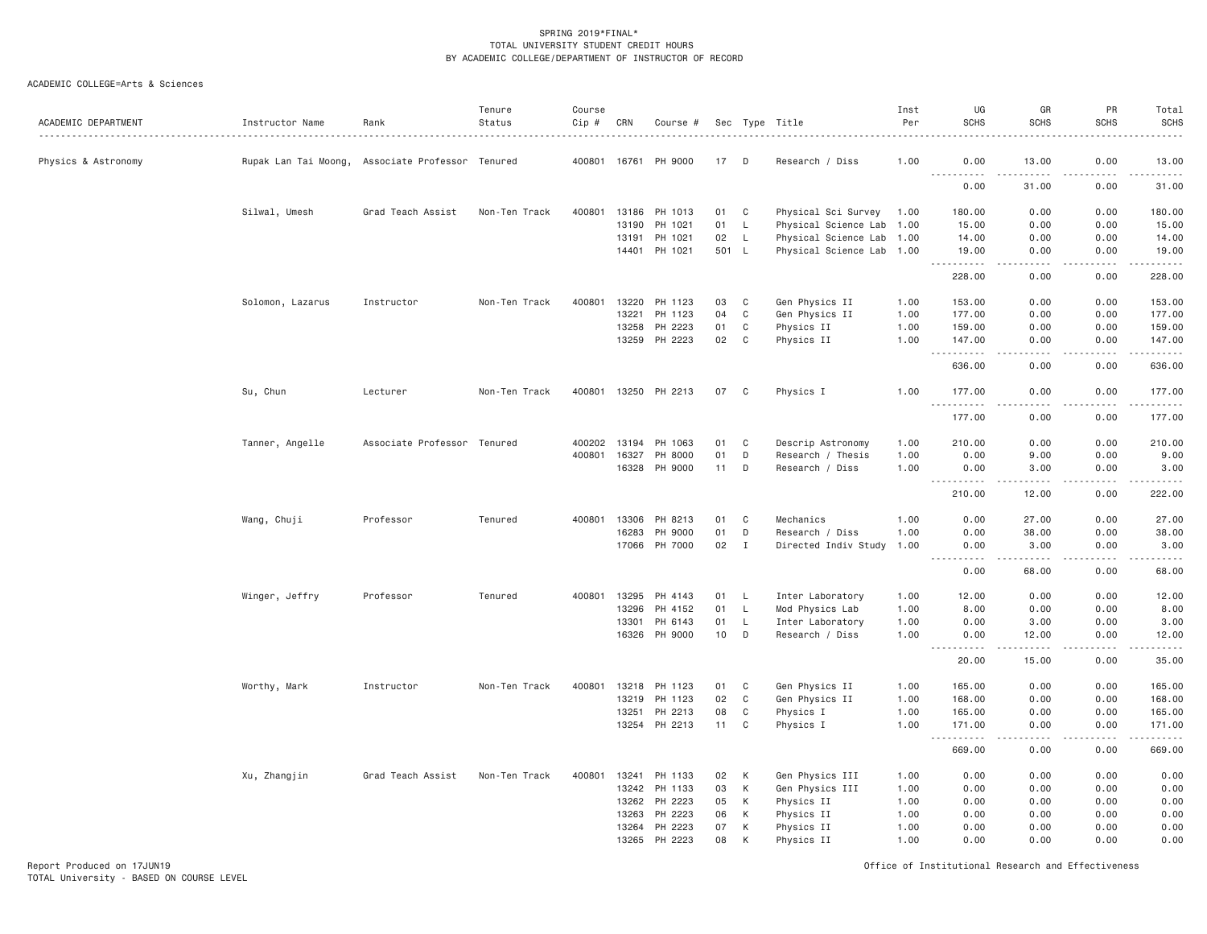| ACADEMIC DEPARTMENT | Instructor Name      | Rank                        | Tenure<br>Status | Course<br>$Cip$ # | CRN   | Course #             |       |              | Sec Type Title            | Inst<br>Per | UG<br><b>SCHS</b>                   | GR<br><b>SCHS</b>                   | PR<br><b>SCHS</b>                   | Total<br><b>SCHS</b><br>.                                                                                                           |
|---------------------|----------------------|-----------------------------|------------------|-------------------|-------|----------------------|-------|--------------|---------------------------|-------------|-------------------------------------|-------------------------------------|-------------------------------------|-------------------------------------------------------------------------------------------------------------------------------------|
| Physics & Astronomy | Rupak Lan Tai Moong, | Associate Professor Tenured |                  |                   |       | 400801 16761 PH 9000 | 17    | - D          | Research / Diss           | 1.00        | 0.00<br>$  -$<br>.                  | 13.00                               | 0.00                                | 13.00                                                                                                                               |
|                     |                      |                             |                  |                   |       |                      |       |              |                           |             | 0.00                                | 31.00                               | 0.00                                | .<br>31.00                                                                                                                          |
|                     | Silwal, Umesh        | Grad Teach Assist           | Non-Ten Track    | 400801            | 13186 | PH 1013              | 01    | C            | Physical Sci Survey       | 1.00        | 180.00                              | 0.00                                | 0.00                                | 180.00                                                                                                                              |
|                     |                      |                             |                  |                   | 13190 | PH 1021              | 01    | $\mathsf{L}$ | Physical Science Lab 1.00 |             | 15.00                               | 0.00                                | 0.00                                | 15.00                                                                                                                               |
|                     |                      |                             |                  |                   | 13191 | PH 1021              | 02    | $\mathsf{L}$ | Physical Science Lab 1.00 |             | 14.00                               | 0.00                                | 0.00                                | 14.00                                                                                                                               |
|                     |                      |                             |                  |                   |       | 14401 PH 1021        | 501 L |              | Physical Science Lab 1.00 |             | 19.00                               | 0.00<br>$   -$                      | 0.00<br>.                           | 19.00<br>.                                                                                                                          |
|                     |                      |                             |                  |                   |       |                      |       |              |                           |             | 228.00                              | 0.00                                | 0.00                                | 228.00                                                                                                                              |
|                     | Solomon, Lazarus     | Instructor                  | Non-Ten Track    | 400801            | 13220 | PH 1123              | 03    | C            | Gen Physics II            | 1.00        | 153.00                              | 0.00                                | 0.00                                | 153.00                                                                                                                              |
|                     |                      |                             |                  |                   | 13221 | PH 1123              | 04    | $\mathbb C$  | Gen Physics II            | 1.00        | 177.00                              | 0.00                                | 0.00                                | 177.00                                                                                                                              |
|                     |                      |                             |                  |                   | 13258 | PH 2223              | 01    | C            | Physics II                | 1.00        | 159.00                              | 0.00                                | 0.00                                | 159.00                                                                                                                              |
|                     |                      |                             |                  |                   | 13259 | PH 2223              | 02    | C            | Physics II                | 1.00        | 147.00<br><u>.</u>                  | 0.00                                | 0.00<br>.                           | 147.00<br>$\begin{array}{cccccccccccccc} \bullet & \bullet & \bullet & \bullet & \bullet & \bullet & \bullet & \bullet \end{array}$ |
|                     |                      |                             |                  |                   |       |                      |       |              |                           |             | 636.00                              | 0.00                                | 0.00                                | 636.00                                                                                                                              |
|                     | Su, Chun             | Lecturer                    | Non-Ten Track    | 400801            |       | 13250 PH 2213        | 07    | C            | Physics I                 | 1.00        | 177.00                              | 0.00                                | 0.00                                | 177.00                                                                                                                              |
|                     |                      |                             |                  |                   |       |                      |       |              |                           |             | .<br>177.00                         | 0.00                                | د د د د<br>0.00                     | .<br>177.00                                                                                                                         |
|                     | Tanner, Angelle      | Associate Professor Tenured |                  | 400202            | 13194 | PH 1063              | 01    | C            | Descrip Astronomy         | 1.00        | 210.00                              | 0.00                                | 0.00                                | 210.00                                                                                                                              |
|                     |                      |                             |                  | 400801            | 16327 | PH 8000              | 01    | D            | Research / Thesis         | 1.00        | 0.00                                | 9.00                                | 0.00                                | 9.00                                                                                                                                |
|                     |                      |                             |                  |                   |       | 16328 PH 9000        | 11    | D            | Research / Diss           | 1.00        | 0.00                                | 3.00                                | 0.00                                | 3.00                                                                                                                                |
|                     |                      |                             |                  |                   |       |                      |       |              |                           |             | $\sim$ $\sim$ $\sim$<br>.<br>210.00 | 12.00                               | $\sim$ $\sim$ $\sim$ $\sim$<br>0.00 | .<br>222.00                                                                                                                         |
|                     | Wang, Chuji          | Professor                   | Tenured          | 400801            | 13306 | PH 8213              | 01    | C            | Mechanics                 | 1.00        | 0.00                                | 27.00                               | 0.00                                | 27.00                                                                                                                               |
|                     |                      |                             |                  |                   | 16283 | PH 9000              | 01    | D            | Research / Diss           | 1.00        | 0.00                                | 38.00                               | 0.00                                | 38.00                                                                                                                               |
|                     |                      |                             |                  |                   |       | 17066 PH 7000        | 02    | I            | Directed Indiv Study      | 1.00        | 0.00                                | 3.00                                | 0.00                                | 3.00                                                                                                                                |
|                     |                      |                             |                  |                   |       |                      |       |              |                           |             | .<br>0.00                           | 2.2.2.2.2<br>68.00                  | د د د د<br>0.00                     | $    -$<br>68.00                                                                                                                    |
|                     | Winger, Jeffry       | Professor                   | Tenured          | 400801            | 13295 | PH 4143              | 01    | L.           | Inter Laboratory          | 1.00        | 12.00                               | 0.00                                | 0.00                                | 12.00                                                                                                                               |
|                     |                      |                             |                  |                   | 13296 | PH 4152              | 01    | $\mathsf L$  | Mod Physics Lab           | 1.00        | 8.00                                | 0.00                                | 0.00                                | 8.00                                                                                                                                |
|                     |                      |                             |                  |                   | 13301 | PH 6143              | 01    | $\mathsf{L}$ | Inter Laboratory          | 1.00        | 0.00                                | 3.00                                | 0.00                                | 3.00                                                                                                                                |
|                     |                      |                             |                  |                   | 16326 | PH 9000              | 10    | D            | Research / Diss           | 1.00        | 0.00<br>.                           | 12.00<br>$\omega$ is a set of       | 0.00<br>.                           | 12.00                                                                                                                               |
|                     |                      |                             |                  |                   |       |                      |       |              |                           |             | $  -$<br>20.00                      | 15.00                               | 0.00                                | .<br>35.00                                                                                                                          |
|                     | Worthy, Mark         | Instructor                  | Non-Ten Track    | 400801            | 13218 | PH 1123              | 01    | C            | Gen Physics II            | 1.00        | 165.00                              | 0.00                                | 0.00                                | 165.00                                                                                                                              |
|                     |                      |                             |                  |                   | 13219 | PH 1123              | 02    | $\mathbb C$  | Gen Physics II            | 1.00        | 168.00                              | 0.00                                | 0.00                                | 168.00                                                                                                                              |
|                     |                      |                             |                  |                   | 13251 | PH 2213              | 08    | $\mathsf{C}$ | Physics I                 | 1.00        | 165.00                              | 0.00                                | 0.00                                | 165.00                                                                                                                              |
|                     |                      |                             |                  |                   |       | 13254 PH 2213        | 11    | C            | Physics I                 | 1.00        | 171.00                              | 0.00                                | 0.00                                | 171.00                                                                                                                              |
|                     |                      |                             |                  |                   |       |                      |       |              |                           |             | <u>.</u><br>669.00                  | $\sim$ $\sim$ $\sim$ $\sim$<br>0.00 | $   -$<br>0.00                      | .<br>669.00                                                                                                                         |
|                     | Xu, Zhangjin         | Grad Teach Assist           | Non-Ten Track    | 400801            | 13241 | PH 1133              | 02    | К            | Gen Physics III           | 1.00        | 0.00                                | 0.00                                | 0.00                                | 0.00                                                                                                                                |
|                     |                      |                             |                  |                   | 13242 | PH 1133              | 03    | К            | Gen Physics III           | 1.00        | 0.00                                | 0.00                                | 0.00                                | 0.00                                                                                                                                |
|                     |                      |                             |                  |                   | 13262 | PH 2223              | 05    | К            | Physics II                | 1.00        | 0.00                                | 0.00                                | 0.00                                | 0.00                                                                                                                                |
|                     |                      |                             |                  |                   | 13263 | PH 2223              | 06    | K            | Physics II                | 1.00        | 0.00                                | 0.00                                | 0.00                                | 0.00                                                                                                                                |
|                     |                      |                             |                  |                   | 13264 | PH 2223              | 07    | K            | Physics II                | 1.00        | 0.00                                | 0.00                                | 0.00                                | 0.00                                                                                                                                |
|                     |                      |                             |                  |                   |       | 13265 PH 2223        | 08    | K            | Physics II                | 1.00        | 0.00                                | 0.00                                | 0.00                                | 0.00                                                                                                                                |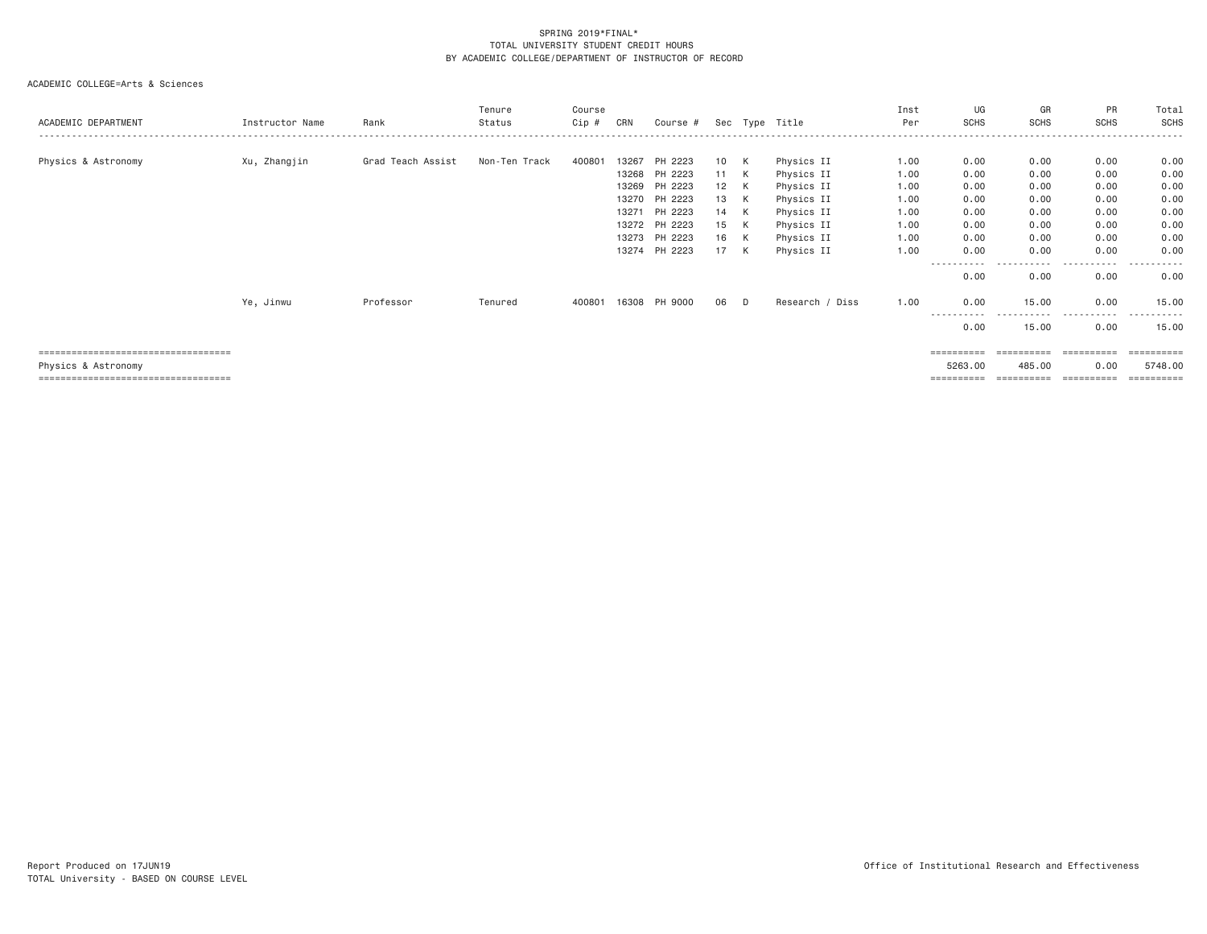| ACADEMIC DEPARTMENT                                                                                  | Instructor Name | Rank              | Tenure<br>Status | Course<br>Cip # | CRN                                                | Course #                                                       |                                    |                       | Sec Type Title                                                                   | Inst<br>Per                                  | UG<br><b>SCHS</b>                            | GR<br><b>SCHS</b>                            | PR<br><b>SCHS</b>                            | Total<br>SCHS                                |
|------------------------------------------------------------------------------------------------------|-----------------|-------------------|------------------|-----------------|----------------------------------------------------|----------------------------------------------------------------|------------------------------------|-----------------------|----------------------------------------------------------------------------------|----------------------------------------------|----------------------------------------------|----------------------------------------------|----------------------------------------------|----------------------------------------------|
| Physics & Astronomy                                                                                  | Xu, Zhangjin    | Grad Teach Assist | Non-Ten Track    | 400801          | 13267<br>13268<br>13269<br>13270<br>13271<br>13272 | PH 2223<br>PH 2223<br>PH 2223<br>PH 2223<br>PH 2223<br>PH 2223 | 10 K<br>11<br>12<br>13<br>14<br>15 | K<br>K<br>K<br>K<br>K | Physics II<br>Physics II<br>Physics II<br>Physics II<br>Physics II<br>Physics II | 1.00<br>1.00<br>1.00<br>1.00<br>1.00<br>1.00 | 0.00<br>0.00<br>0.00<br>0.00<br>0.00<br>0.00 | 0.00<br>0.00<br>0.00<br>0.00<br>0.00<br>0.00 | 0.00<br>0.00<br>0.00<br>0.00<br>0.00<br>0.00 | 0.00<br>0.00<br>0.00<br>0.00<br>0.00<br>0.00 |
|                                                                                                      |                 |                   |                  |                 | 13273<br>13274                                     | PH 2223<br>PH 2223                                             | 16<br>17                           | K<br>K                | Physics II<br>Physics II                                                         | 1.00<br>1.00                                 | 0.00<br>0.00                                 | 0.00<br>0.00                                 | 0.00<br>0.00                                 | 0.00<br>0.00                                 |
|                                                                                                      |                 |                   |                  |                 |                                                    |                                                                |                                    |                       |                                                                                  |                                              | ----------<br>0.00                           | - - - - -<br>0.00                            | .<br>$\cdots$<br>0.00                        | .<br>0.00                                    |
|                                                                                                      | Ye, Jinwu       | Professor         | Tenured          | 400801          | 16308                                              | PH 9000                                                        | 06                                 | D.                    | Research / Diss                                                                  | 1.00                                         | 0.00<br>----------<br>0.00                   | 15.00<br>.<br>15.00                          | 0.00<br>. <b>.</b><br>$\cdots$<br>0.00       | 15.00<br>------<br>15.00                     |
| ====================================<br>Physics & Astronomy<br>===================================== |                 |                   |                  |                 |                                                    |                                                                |                                    |                       |                                                                                  |                                              | ==========<br>5263.00<br>==========          | ==========<br>485.00<br>==========           | $=$ = = = = = = = = =<br>0.00<br>==========  | 5748.00                                      |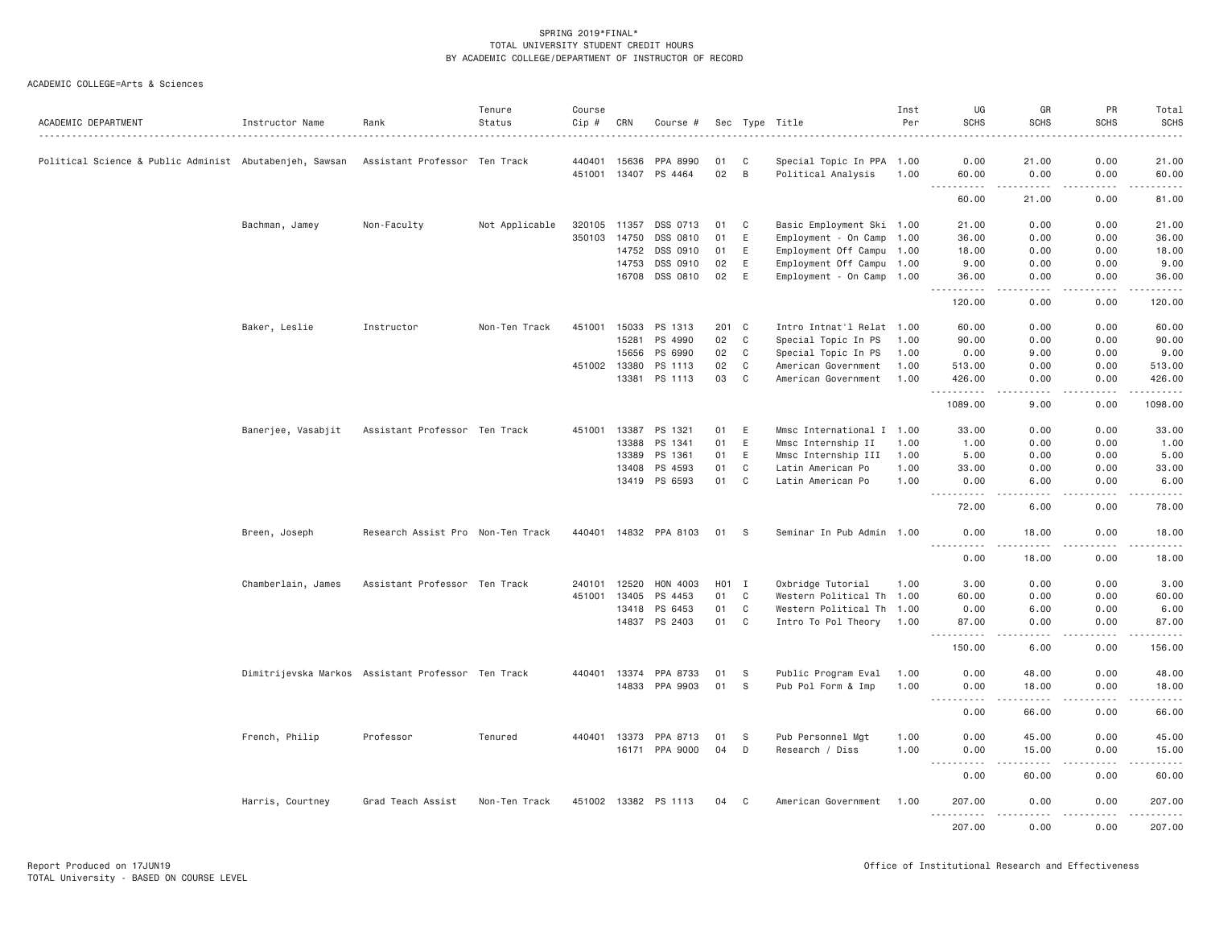| ACADEMIC DEPARTMENT                                     | Instructor Name                                    | Rank                              | Tenure<br>Status | Course<br>$Cip \#$ | CRN   | Course #              |       |             | Sec Type Title            | Inst<br>Per | UG<br><b>SCHS</b>    | GR<br><b>SCHS</b>                                                                                                                 | PR<br><b>SCHS</b>   | Total<br>SCHS   |
|---------------------------------------------------------|----------------------------------------------------|-----------------------------------|------------------|--------------------|-------|-----------------------|-------|-------------|---------------------------|-------------|----------------------|-----------------------------------------------------------------------------------------------------------------------------------|---------------------|-----------------|
| Political Science & Public Administ Abutabenjeh, Sawsan |                                                    | Assistant Professor Ten Track     |                  | 440401 15636       |       | PPA 8990              | 01    | C           | Special Topic In PPA 1.00 |             | 0.00                 | 21.00                                                                                                                             | 0.00                | 21.00           |
|                                                         |                                                    |                                   |                  | 451001             | 13407 | PS 4464               | 02    | B           | Political Analysis        | 1.00        | 60.00<br>-----       | 0.00<br>$\frac{1}{2} \left( \frac{1}{2} \right) \left( \frac{1}{2} \right) \left( \frac{1}{2} \right) \left( \frac{1}{2} \right)$ | 0.00<br>.           | 60.00<br>.      |
|                                                         |                                                    |                                   |                  |                    |       |                       |       |             |                           |             | 60.00                | 21.00                                                                                                                             | 0.00                | 81.00           |
|                                                         | Bachman, Jamey                                     | Non-Faculty                       | Not Applicable   | 320105             | 11357 | DSS 0713              | 01    | C           | Basic Employment Ski 1.00 |             | 21.00                | 0.00                                                                                                                              | 0.00                | 21.00           |
|                                                         |                                                    |                                   |                  | 350103             | 14750 | DSS 0810              | 01    | E           | Employment - On Camp 1.00 |             | 36,00                | 0.00                                                                                                                              | 0.00                | 36.00           |
|                                                         |                                                    |                                   |                  |                    | 14752 | DSS 0910              | 01    | E           | Employment Off Campu 1.00 |             | 18.00                | 0.00                                                                                                                              | 0.00                | 18.00           |
|                                                         |                                                    |                                   |                  |                    | 14753 | DSS 0910              | 02    | $\mathsf E$ | Employment Off Campu 1.00 |             | 9.00                 | 0.00                                                                                                                              | 0.00                | 9.00            |
|                                                         |                                                    |                                   |                  |                    | 16708 | DSS 0810              | 02    | E           | Employment - On Camp 1.00 |             | 36.00<br>.           | 0.00<br>$\sim$ $\sim$ $\sim$ $\sim$                                                                                               | 0.00<br>.           | 36.00<br>.      |
|                                                         |                                                    |                                   |                  |                    |       |                       |       |             |                           |             | 120.00               | 0.00                                                                                                                              | 0.00                | 120.00          |
|                                                         | Baker, Leslie                                      | Instructor                        | Non-Ten Track    | 451001             | 15033 | PS 1313               | 201 C |             | Intro Intnat'l Relat 1.00 |             | 60.00                | 0.00                                                                                                                              | 0.00                | 60.00           |
|                                                         |                                                    |                                   |                  |                    | 15281 | PS 4990               | 02    | C           | Special Topic In PS       | 1.00        | 90.00                | 0.00                                                                                                                              | 0.00                | 90.00           |
|                                                         |                                                    |                                   |                  |                    | 15656 | PS 6990               | 02    | C           | Special Topic In PS       | 1.00        | 0.00                 | 9.00                                                                                                                              | 0.00                | 9.00            |
|                                                         |                                                    |                                   |                  | 451002 13380       |       | PS 1113               | 02    | C           | American Government       | 1.00        | 513.00               | 0.00                                                                                                                              | 0.00                | 513.00          |
|                                                         |                                                    |                                   |                  |                    | 13381 | PS 1113               | 03    | $\mathbf C$ | American Government       | 1.00        | 426.00               | 0.00                                                                                                                              | 0.00                | 426.00          |
|                                                         |                                                    |                                   |                  |                    |       |                       |       |             |                           |             | .<br>1089.00         | 9.00                                                                                                                              | 0.00                | .<br>1098.00    |
|                                                         | Banerjee, Vasabjit                                 | Assistant Professor Ten Track     |                  | 451001 13387       |       | PS 1321               | 01    | E           | Mmsc International I 1.00 |             | 33.00                | 0.00                                                                                                                              | 0.00                | 33.00           |
|                                                         |                                                    |                                   |                  |                    | 13388 | PS 1341               | 01    | Ε           | Mmsc Internship II        | 1.00        | 1.00                 | 0.00                                                                                                                              | 0.00                | 1.00            |
|                                                         |                                                    |                                   |                  |                    | 13389 | PS 1361               | 01    | E           | Mmsc Internship III       | 1.00        | 5.00                 | 0.00                                                                                                                              | 0.00                | 5.00            |
|                                                         |                                                    |                                   |                  |                    | 13408 | PS 4593               | 01    | C           | Latin American Po         | 1.00        | 33.00                | 0.00                                                                                                                              | 0.00                | 33.00           |
|                                                         |                                                    |                                   |                  |                    | 13419 | PS 6593               | 01    | C           | Latin American Po         | 1.00        | 0.00<br>.            | 6.00<br>----                                                                                                                      | 0.00<br>.           | 6.00<br>$   -$  |
|                                                         |                                                    |                                   |                  |                    |       |                       |       |             |                           |             | 72.00                | 6.00                                                                                                                              | 0.00                | 78.00           |
|                                                         | Breen, Joseph                                      | Research Assist Pro Non-Ten Track |                  |                    |       | 440401 14832 PPA 8103 | 01    | <b>S</b>    | Seminar In Pub Admin 1.00 |             | 0.00<br>.            | 18.00<br>. <b>.</b> .                                                                                                             | 0.00<br>-----       | 18.00<br>.      |
|                                                         |                                                    |                                   |                  |                    |       |                       |       |             |                           |             | 0.00                 | 18.00                                                                                                                             | 0.00                | 18.00           |
|                                                         | Chamberlain, James                                 | Assistant Professor Ten Track     |                  | 240101             | 12520 | HON 4003              | HO1 I |             | Oxbridge Tutorial         | 1.00        | 3.00                 | 0.00                                                                                                                              | 0.00                | 3.00            |
|                                                         |                                                    |                                   |                  | 451001             | 13405 | PS 4453               | 01    | $\mathbb C$ | Western Political Th 1.00 |             | 60.00                | 0.00                                                                                                                              | 0.00                | 60.00           |
|                                                         |                                                    |                                   |                  |                    | 13418 | PS 6453               | 01    | C           | Western Political Th 1.00 |             | 0.00                 | 6.00                                                                                                                              | 0.00                | 6.00            |
|                                                         |                                                    |                                   |                  |                    |       | 14837 PS 2403         | 01    | C           | Intro To Pol Theory 1.00  |             | 87.00<br><u>.</u>    | 0.00<br>.                                                                                                                         | 0.00<br>.           | 87.00<br>------ |
|                                                         |                                                    |                                   |                  |                    |       |                       |       |             |                           |             | 150.00               | 6.00                                                                                                                              | 0.00                | 156.00          |
|                                                         | Dimitrijevska Markos Assistant Professor Ten Track |                                   |                  | 440401             | 13374 | PPA 8733              | 01    | - S         | Public Program Eval       | 1.00        | 0.00                 | 48.00                                                                                                                             | 0.00                | 48.00           |
|                                                         |                                                    |                                   |                  |                    | 14833 | PPA 9903              | 01    | - S         | Pub Pol Form & Imp        | 1.00        | 0.00<br>.            | 18.00<br>.                                                                                                                        | 0.00<br>.           | 18.00<br>.      |
|                                                         |                                                    |                                   |                  |                    |       |                       |       |             |                           |             | 0.00                 | 66.00                                                                                                                             | 0.00                | 66.00           |
|                                                         | French, Philip                                     | Professor                         | Tenured          | 440401 13373       |       | PPA 8713              | 01    | - S         | Pub Personnel Mgt         | 1.00        | 0.00                 | 45.00                                                                                                                             | 0.00                | 45.00           |
|                                                         |                                                    |                                   |                  |                    |       | 16171 PPA 9000        | 04    | D           | Research / Diss           | 1.00        | 0.00<br>.<br>$- - -$ | 15.00<br>.                                                                                                                        | 0.00<br>.           | 15.00<br>.      |
|                                                         |                                                    |                                   |                  |                    |       |                       |       |             |                           |             | 0.00                 | 60.00                                                                                                                             | 0.00                | 60.00           |
|                                                         | Harris, Courtney                                   | Grad Teach Assist                 | Non-Ten Track    |                    |       | 451002 13382 PS 1113  | 04 C  |             | American Government 1.00  |             | 207.00<br>.          | 0.00<br>.                                                                                                                         | 0.00<br>$- - - - -$ | 207.00<br>.     |
|                                                         |                                                    |                                   |                  |                    |       |                       |       |             |                           |             | 207.00               | 0.00                                                                                                                              | 0.00                | 207.00          |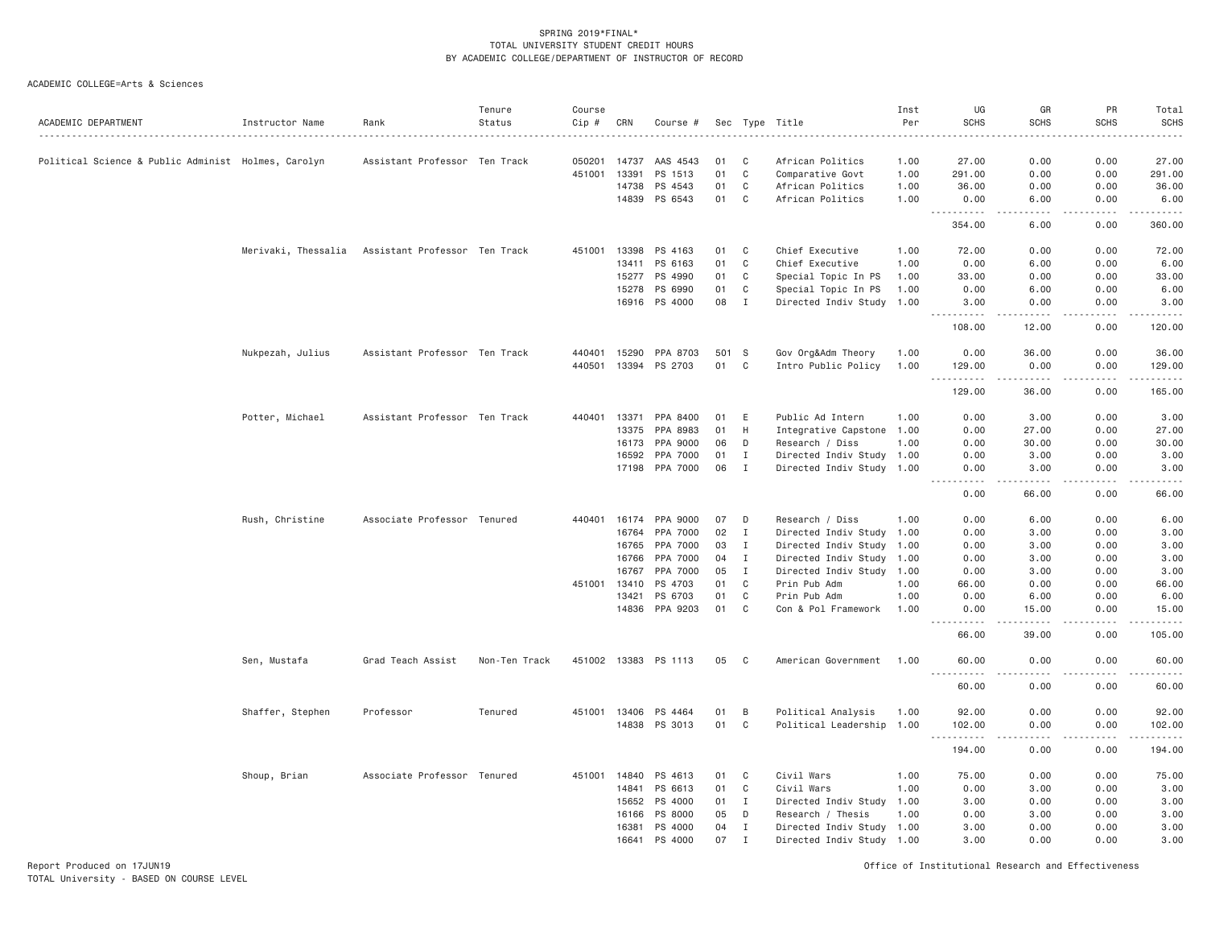ACADEMIC COLLEGE=Arts & Sciences

| ACADEMIC DEPARTMENT                                 | Instructor Name     | Rank                          | Tenure<br>Status | Course<br>Cip # | CRN          | Course #             |       |              | Sec Type Title            | Inst<br>Per | UG<br><b>SCHS</b>                                                                                                                                              | GR<br><b>SCHS</b>   | PR<br><b>SCHS</b> | Total<br><b>SCHS</b><br>.                                                                                             |
|-----------------------------------------------------|---------------------|-------------------------------|------------------|-----------------|--------------|----------------------|-------|--------------|---------------------------|-------------|----------------------------------------------------------------------------------------------------------------------------------------------------------------|---------------------|-------------------|-----------------------------------------------------------------------------------------------------------------------|
| Political Science & Public Administ Holmes, Carolyn |                     | Assistant Professor Ten Track |                  | 050201          | 14737        | AAS 4543             | 01    | C            | African Politics          | 1.00        | 27.00                                                                                                                                                          | 0.00                | 0.00              | 27.00                                                                                                                 |
|                                                     |                     |                               |                  | 451001          | 13391        | PS 1513              | 01    | $\mathbf C$  | Comparative Govt          | 1.00        | 291.00                                                                                                                                                         | 0.00                | 0.00              | 291.00                                                                                                                |
|                                                     |                     |                               |                  |                 | 14738        | PS 4543              | 01    | C            | African Politics          | 1.00        | 36.00                                                                                                                                                          | 0.00                | 0.00              | 36.00                                                                                                                 |
|                                                     |                     |                               |                  |                 | 14839        | PS 6543              | 01    | C            | African Politics          | 1.00        | 0.00                                                                                                                                                           | 6.00                | 0.00              | 6.00                                                                                                                  |
|                                                     |                     |                               |                  |                 |              |                      |       |              |                           |             | 354.00                                                                                                                                                         | 6.00                | 0.00              | 360.00                                                                                                                |
|                                                     | Merivaki, Thessalia | Assistant Professor Ten Track |                  | 451001          |              | 13398 PS 4163        | 01    | C            | Chief Executive           | 1.00        | 72.00                                                                                                                                                          | 0.00                | 0.00              | 72.00                                                                                                                 |
|                                                     |                     |                               |                  |                 | 13411        | PS 6163              | 01    | $\mathbf C$  | Chief Executive           | 1.00        | 0.00                                                                                                                                                           | 6.00                | 0.00              | 6.00                                                                                                                  |
|                                                     |                     |                               |                  |                 | 15277        | PS 4990              | 01    | C            | Special Topic In PS       | 1.00        | 33.00                                                                                                                                                          | 0.00                | 0.00              | 33.00                                                                                                                 |
|                                                     |                     |                               |                  |                 | 15278        | PS 6990              | 01    | C            | Special Topic In PS       | 1.00        | 0.00                                                                                                                                                           | 6.00                | 0.00              | 6.00                                                                                                                  |
|                                                     |                     |                               |                  |                 |              | 16916 PS 4000        | 08    | $\mathbf I$  | Directed Indiv Study 1.00 |             | 3,00                                                                                                                                                           | 0.00                | 0.00              | 3.00                                                                                                                  |
|                                                     |                     |                               |                  |                 |              |                      |       |              |                           |             | $\frac{1}{2} \left( \frac{1}{2} \right) \left( \frac{1}{2} \right) \left( \frac{1}{2} \right) \left( \frac{1}{2} \right) \left( \frac{1}{2} \right)$<br>108.00 | 12.00               | 0.00              | المالم عامات<br>120.00                                                                                                |
|                                                     | Nukpezah, Julius    | Assistant Professor Ten Track |                  | 440401          | 15290        | PPA 8703             | 501 S |              | Gov Org&Adm Theory        | 1.00        | 0.00                                                                                                                                                           | 36.00               | 0.00              | 36.00                                                                                                                 |
|                                                     |                     |                               |                  |                 |              | 440501 13394 PS 2703 | 01    | C            | Intro Public Policy       | 1.00        | 129.00<br><u>.</u>                                                                                                                                             | 0.00<br>$- - - - -$ | 0.00<br><u>.</u>  | 129.00<br>$- - - - - -$                                                                                               |
|                                                     |                     |                               |                  |                 |              |                      |       |              |                           |             | 129.00                                                                                                                                                         | 36.00               | 0.00              | 165.00                                                                                                                |
|                                                     | Potter, Michael     | Assistant Professor Ten Track |                  | 440401          | 13371        | PPA 8400             | 01    | E            | Public Ad Intern          | 1.00        | 0.00                                                                                                                                                           | 3.00                | 0.00              | 3.00                                                                                                                  |
|                                                     |                     |                               |                  |                 | 13375        | PPA 8983             | 01    | H            | Integrative Capstone 1.00 |             | 0.00                                                                                                                                                           | 27.00               | 0.00              | 27.00                                                                                                                 |
|                                                     |                     |                               |                  |                 | 16173        | PPA 9000             | 06    | D            | Research / Diss           | 1.00        | 0.00                                                                                                                                                           | 30.00               | 0.00              | 30.00                                                                                                                 |
|                                                     |                     |                               |                  |                 | 16592        | PPA 7000             | 01    | $\mathbf{I}$ | Directed Indiv Study 1.00 |             | 0.00                                                                                                                                                           | 3.00                | 0.00              | 3.00                                                                                                                  |
|                                                     |                     |                               |                  |                 | 17198        | PPA 7000             | 06    | $\mathbf{I}$ | Directed Indiv Study 1.00 |             | 0.00                                                                                                                                                           | 3.00                | 0.00              | 3.00                                                                                                                  |
|                                                     |                     |                               |                  |                 |              |                      |       |              |                           |             | $- - - -$<br>0.00                                                                                                                                              | د د د د<br>66.00    | .<br>0.00         | .<br>66.00                                                                                                            |
|                                                     | Rush, Christine     | Associate Professor Tenured   |                  | 440401          |              | 16174 PPA 9000       | 07    | D            | Research / Diss           | 1.00        | 0.00                                                                                                                                                           | 6.00                | 0.00              | 6.00                                                                                                                  |
|                                                     |                     |                               |                  |                 | 16764        | PPA 7000             | 02    | $\mathbf{I}$ | Directed Indiv Study 1.00 |             | 0.00                                                                                                                                                           | 3.00                | 0.00              | 3.00                                                                                                                  |
|                                                     |                     |                               |                  |                 |              | 16765 PPA 7000       | 03    | $\mathbf{I}$ | Directed Indiv Study 1.00 |             | 0.00                                                                                                                                                           | 3.00                | 0.00              | 3.00                                                                                                                  |
|                                                     |                     |                               |                  |                 | 16766        | PPA 7000             | 04    | Ι.           | Directed Indiv Study      | 1.00        | 0.00                                                                                                                                                           | 3.00                | 0.00              | 3.00                                                                                                                  |
|                                                     |                     |                               |                  |                 | 16767        | PPA 7000             | 05    | <b>I</b>     | Directed Indiv Study 1.00 |             | 0.00                                                                                                                                                           | 3.00                | 0.00              | 3.00                                                                                                                  |
|                                                     |                     |                               |                  |                 | 451001 13410 | PS 4703              | 01    | $\mathbf C$  | Prin Pub Adm              | 1.00        | 66.00                                                                                                                                                          | 0.00                | 0.00              | 66.00                                                                                                                 |
|                                                     |                     |                               |                  |                 | 13421        | PS 6703              | 01    | C            | Prin Pub Adm              | 1.00        | 0.00                                                                                                                                                           | 6.00                | 0.00              | 6.00                                                                                                                  |
|                                                     |                     |                               |                  |                 |              | 14836 PPA 9203       | 01    | C            | Con & Pol Framework       | 1.00        | 0.00<br>.                                                                                                                                                      | 15.00<br>.          | 0.00<br>-----     | 15.00<br>.                                                                                                            |
|                                                     |                     |                               |                  |                 |              |                      |       |              |                           |             | 66.00                                                                                                                                                          | 39.00               | 0.00              | 105.00                                                                                                                |
|                                                     | Sen, Mustafa        | Grad Teach Assist             | Non-Ten Track    |                 |              | 451002 13383 PS 1113 | 05    | C            | American Government       | 1.00        | 60.00<br>$ -$                                                                                                                                                  | 0.00                | 0.00              | 60.00                                                                                                                 |
|                                                     |                     |                               |                  |                 |              |                      |       |              |                           |             | 60.00                                                                                                                                                          | 0.00                | 0.00              | 60.00                                                                                                                 |
|                                                     | Shaffer, Stephen    | Professor                     | Tenured          |                 |              | 451001 13406 PS 4464 | 01    | B            | Political Analysis        | 1.00        | 92.00                                                                                                                                                          | 0.00                | 0.00              | 92.00                                                                                                                 |
|                                                     |                     |                               |                  |                 |              | 14838 PS 3013        | 01    | $\mathbf C$  | Political Leadership 1.00 |             | 102.00<br>$\sim$ $\sim$ .<br>------                                                                                                                            | 0.00<br>.           | 0.00<br>-----     | 102.00<br>$\begin{array}{cccccccccc} \bullet & \bullet & \bullet & \bullet & \bullet & \bullet & \bullet \end{array}$ |
|                                                     |                     |                               |                  |                 |              |                      |       |              |                           |             | 194.00                                                                                                                                                         | 0.00                | 0.00              | 194.00                                                                                                                |
|                                                     | Shoup, Brian        | Associate Professor Tenured   |                  |                 | 451001 14840 | PS 4613              | 01    | C            | Civil Wars                | 1.00        | 75.00                                                                                                                                                          | 0.00                | 0.00              | 75.00                                                                                                                 |
|                                                     |                     |                               |                  |                 | 14841        | PS 6613              | 01    | C            | Civil Wars                | 1.00        | 0.00                                                                                                                                                           | 3.00                | 0.00              | 3.00                                                                                                                  |
|                                                     |                     |                               |                  |                 |              | 15652 PS 4000        | 01    | $\mathbf{I}$ | Directed Indiv Study      | 1.00        | 3.00                                                                                                                                                           | 0.00                | 0.00              | 3.00                                                                                                                  |
|                                                     |                     |                               |                  |                 | 16166        | PS 8000              | 05    | D            | Research / Thesis         | 1.00        | 0.00                                                                                                                                                           | 3.00                | 0.00              | 3.00                                                                                                                  |
|                                                     |                     |                               |                  |                 | 16381        | PS 4000              | 04    | $\mathbf{I}$ | Directed Indiv Study 1.00 |             | 3.00                                                                                                                                                           | 0.00                | 0.00              | 3.00                                                                                                                  |
|                                                     |                     |                               |                  |                 | 16641        | PS 4000              | 07    | $\mathbf I$  | Directed Indiv Study 1.00 |             | 3.00                                                                                                                                                           | 0.00                | 0.00              | 3.00                                                                                                                  |

Report Produced on 17JUN19 Office of Institutional Research and Effectiveness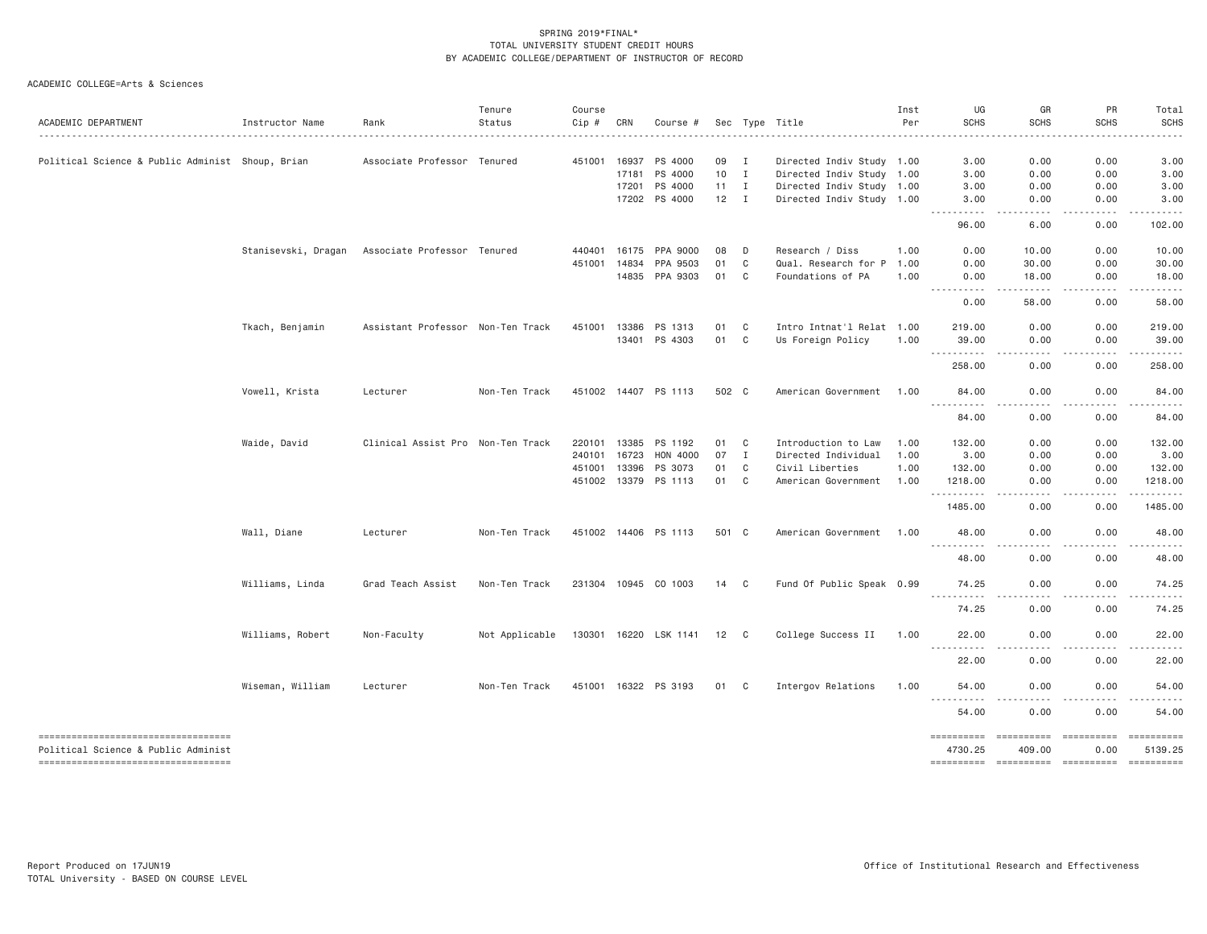| ACADEMIC DEPARTMENT                                                       | Instructor Name     | Rank                              | Tenure<br>Status | Course<br>Cip # | CRN   | Course #              |              |                | Sec Type Title                                         | Inst<br>Per | UG<br><b>SCHS</b>     | GR<br><b>SCHS</b>                                                                                                                                                                                                                                                                                                                                                                                                                                                                                | PR<br><b>SCHS</b>  | Total<br><b>SCHS</b>                                                                                                                                                                                                                                                                                                                                                                                                                                                                              |
|---------------------------------------------------------------------------|---------------------|-----------------------------------|------------------|-----------------|-------|-----------------------|--------------|----------------|--------------------------------------------------------|-------------|-----------------------|--------------------------------------------------------------------------------------------------------------------------------------------------------------------------------------------------------------------------------------------------------------------------------------------------------------------------------------------------------------------------------------------------------------------------------------------------------------------------------------------------|--------------------|---------------------------------------------------------------------------------------------------------------------------------------------------------------------------------------------------------------------------------------------------------------------------------------------------------------------------------------------------------------------------------------------------------------------------------------------------------------------------------------------------|
|                                                                           |                     | Associate Professor Tenured       |                  | 451001          | 16937 | PS 4000               | 09           | $\mathbf{I}$   |                                                        |             | 3.00                  | 0.00                                                                                                                                                                                                                                                                                                                                                                                                                                                                                             | 0.00               | 3.00                                                                                                                                                                                                                                                                                                                                                                                                                                                                                              |
| Political Science & Public Administ Shoup, Brian                          |                     |                                   |                  |                 | 17181 | PS 4000               | 10           | $\mathbf{I}$   | Directed Indiv Study 1.00<br>Directed Indiv Study 1.00 |             | 3,00                  | 0.00                                                                                                                                                                                                                                                                                                                                                                                                                                                                                             | 0.00               | 3.00                                                                                                                                                                                                                                                                                                                                                                                                                                                                                              |
|                                                                           |                     |                                   |                  |                 | 17201 | PS 4000               | $11 \quad I$ |                | Directed Indiv Study 1.00                              |             | 3.00                  | 0.00                                                                                                                                                                                                                                                                                                                                                                                                                                                                                             | 0.00               | 3.00                                                                                                                                                                                                                                                                                                                                                                                                                                                                                              |
|                                                                           |                     |                                   |                  |                 |       | 17202 PS 4000         | $12 \quad I$ |                | Directed Indiv Study 1.00                              |             | 3.00                  | 0.00                                                                                                                                                                                                                                                                                                                                                                                                                                                                                             | 0.00               | 3.00                                                                                                                                                                                                                                                                                                                                                                                                                                                                                              |
|                                                                           |                     |                                   |                  |                 |       |                       |              |                |                                                        |             | <u>.</u><br>96.00     | .<br>6.00                                                                                                                                                                                                                                                                                                                                                                                                                                                                                        | .<br>0.00          | .<br>102.00                                                                                                                                                                                                                                                                                                                                                                                                                                                                                       |
|                                                                           | Stanisevski, Dragan | Associate Professor Tenured       |                  | 440401          | 16175 | PPA 9000              | 08           | D              | Research / Diss                                        | 1.00        | 0.00                  | 10.00                                                                                                                                                                                                                                                                                                                                                                                                                                                                                            | 0.00               | 10.00                                                                                                                                                                                                                                                                                                                                                                                                                                                                                             |
|                                                                           |                     |                                   |                  | 451001          | 14834 | PPA 9503              | 01           | C              | Qual. Research for P                                   | 1.00        | 0.00                  | 30.00                                                                                                                                                                                                                                                                                                                                                                                                                                                                                            | 0.00               | 30.00                                                                                                                                                                                                                                                                                                                                                                                                                                                                                             |
|                                                                           |                     |                                   |                  |                 | 14835 | PPA 9303              | 01           | C              | Foundations of PA                                      | 1.00        | 0.00<br>.             | 18.00<br>$\frac{1}{2} \left( \frac{1}{2} \right) \left( \frac{1}{2} \right) \left( \frac{1}{2} \right) \left( \frac{1}{2} \right) \left( \frac{1}{2} \right)$                                                                                                                                                                                                                                                                                                                                    | 0.00               | 18.00<br>.                                                                                                                                                                                                                                                                                                                                                                                                                                                                                        |
|                                                                           |                     |                                   |                  |                 |       |                       |              |                |                                                        |             | 0.00                  | 58.00                                                                                                                                                                                                                                                                                                                                                                                                                                                                                            | .<br>0.00          | 58.00                                                                                                                                                                                                                                                                                                                                                                                                                                                                                             |
|                                                                           | Tkach, Benjamin     | Assistant Professor Non-Ten Track |                  | 451001 13386    |       | PS 1313               | 01           | C              | Intro Intnat'l Relat 1.00                              |             | 219.00                | 0.00                                                                                                                                                                                                                                                                                                                                                                                                                                                                                             | 0.00               | 219.00                                                                                                                                                                                                                                                                                                                                                                                                                                                                                            |
|                                                                           |                     |                                   |                  |                 |       | 13401 PS 4303         | 01           | C              | Us Foreign Policy                                      | 1.00        | 39.00<br>----------   | 0.00<br>$\frac{1}{2}$                                                                                                                                                                                                                                                                                                                                                                                                                                                                            | 0.00<br>.          | 39.00<br><u>.</u>                                                                                                                                                                                                                                                                                                                                                                                                                                                                                 |
|                                                                           |                     |                                   |                  |                 |       |                       |              |                |                                                        |             | 258.00                | 0.00                                                                                                                                                                                                                                                                                                                                                                                                                                                                                             | 0.00               | 258.00                                                                                                                                                                                                                                                                                                                                                                                                                                                                                            |
|                                                                           | Vowell, Krista      | Lecturer                          | Non-Ten Track    |                 |       | 451002 14407 PS 1113  | 502 C        |                | American Government                                    | 1.00        | 84.00<br>.            | 0.00<br>.                                                                                                                                                                                                                                                                                                                                                                                                                                                                                        | 0.00<br><u>.</u>   | 84.00<br><u>.</u>                                                                                                                                                                                                                                                                                                                                                                                                                                                                                 |
|                                                                           |                     |                                   |                  |                 |       |                       |              |                |                                                        |             | 84.00                 | 0.00                                                                                                                                                                                                                                                                                                                                                                                                                                                                                             | 0.00               | 84.00                                                                                                                                                                                                                                                                                                                                                                                                                                                                                             |
|                                                                           | Waide, David        | Clinical Assist Pro Non-Ten Track |                  | 220101 13385    |       | PS 1192               | 01           | C              | Introduction to Law                                    | 1.00        | 132.00                | 0.00                                                                                                                                                                                                                                                                                                                                                                                                                                                                                             | 0.00               | 132.00                                                                                                                                                                                                                                                                                                                                                                                                                                                                                            |
|                                                                           |                     |                                   |                  | 240101 16723    |       | HON 4000              | 07           | $\mathbf{I}$   | Directed Individual                                    | 1.00        | 3.00                  | 0.00                                                                                                                                                                                                                                                                                                                                                                                                                                                                                             | 0.00               | 3.00                                                                                                                                                                                                                                                                                                                                                                                                                                                                                              |
|                                                                           |                     |                                   |                  | 451001 13396    |       | PS 3073               | 01           | C              | Civil Liberties                                        | 1.00        | 132,00                | 0.00                                                                                                                                                                                                                                                                                                                                                                                                                                                                                             | 0.00               | 132.00                                                                                                                                                                                                                                                                                                                                                                                                                                                                                            |
|                                                                           |                     |                                   |                  | 451002 13379    |       | PS 1113               | 01           | C              | American Government                                    | 1.00        | 1218.00<br>---------- | 0.00<br>.                                                                                                                                                                                                                                                                                                                                                                                                                                                                                        | 0.00<br>-----      | 1218.00<br>.                                                                                                                                                                                                                                                                                                                                                                                                                                                                                      |
|                                                                           |                     |                                   |                  |                 |       |                       |              |                |                                                        |             | 1485.00               | 0.00                                                                                                                                                                                                                                                                                                                                                                                                                                                                                             | 0.00               | 1485.00                                                                                                                                                                                                                                                                                                                                                                                                                                                                                           |
|                                                                           | Wall, Diane         | Lecturer                          | Non-Ten Track    |                 |       | 451002 14406 PS 1113  | 501 C        |                | American Government                                    | 1.00        | 48.00<br><u>.</u>     | 0.00                                                                                                                                                                                                                                                                                                                                                                                                                                                                                             | 0.00               | 48.00                                                                                                                                                                                                                                                                                                                                                                                                                                                                                             |
|                                                                           |                     |                                   |                  |                 |       |                       |              |                |                                                        |             | 48.00                 | 0.00                                                                                                                                                                                                                                                                                                                                                                                                                                                                                             | 0.00               | 48.00                                                                                                                                                                                                                                                                                                                                                                                                                                                                                             |
|                                                                           | Williams, Linda     | Grad Teach Assist                 | Non-Ten Track    |                 |       | 231304 10945 CO 1003  | 14 C         |                | Fund Of Public Speak 0.99                              |             | 74.25<br><u>.</u>     | 0.00<br>$- - -$                                                                                                                                                                                                                                                                                                                                                                                                                                                                                  | 0.00               | 74.25                                                                                                                                                                                                                                                                                                                                                                                                                                                                                             |
|                                                                           |                     |                                   |                  |                 |       |                       |              |                |                                                        |             | 74.25                 | 0.00                                                                                                                                                                                                                                                                                                                                                                                                                                                                                             | 0.00               | 74.25                                                                                                                                                                                                                                                                                                                                                                                                                                                                                             |
|                                                                           | Williams, Robert    | Non-Faculty                       | Not Applicable   |                 |       | 130301 16220 LSK 1141 | 12 C         |                | College Success II                                     | 1.00        | 22.00<br>.            | 0.00<br>. <u>. .</u>                                                                                                                                                                                                                                                                                                                                                                                                                                                                             | 0.00<br>.          | 22.00<br>.                                                                                                                                                                                                                                                                                                                                                                                                                                                                                        |
|                                                                           |                     |                                   |                  |                 |       |                       |              |                |                                                        |             | 22.00                 | 0.00                                                                                                                                                                                                                                                                                                                                                                                                                                                                                             | 0.00               | 22.00                                                                                                                                                                                                                                                                                                                                                                                                                                                                                             |
|                                                                           | Wiseman, William    | Lecturer                          | Non-Ten Track    |                 |       | 451001 16322 PS 3193  | 01           | C <sub>1</sub> | Intergov Relations                                     | 1.00        | 54.00<br>-----------  | 0.00<br>.                                                                                                                                                                                                                                                                                                                                                                                                                                                                                        | 0.00               | 54.00<br>.                                                                                                                                                                                                                                                                                                                                                                                                                                                                                        |
|                                                                           |                     |                                   |                  |                 |       |                       |              |                |                                                        |             | 54.00                 | 0.00                                                                                                                                                                                                                                                                                                                                                                                                                                                                                             | 0.00               | 54.00                                                                                                                                                                                                                                                                                                                                                                                                                                                                                             |
| ----------------------------------<br>Political Science & Public Administ |                     |                                   |                  |                 |       |                       |              |                |                                                        |             | ==========<br>4730.25 | $\begin{array}{cccccccccc} \multicolumn{2}{c}{} & \multicolumn{2}{c}{} & \multicolumn{2}{c}{} & \multicolumn{2}{c}{} & \multicolumn{2}{c}{} & \multicolumn{2}{c}{} & \multicolumn{2}{c}{} & \multicolumn{2}{c}{} & \multicolumn{2}{c}{} & \multicolumn{2}{c}{} & \multicolumn{2}{c}{} & \multicolumn{2}{c}{} & \multicolumn{2}{c}{} & \multicolumn{2}{c}{} & \multicolumn{2}{c}{} & \multicolumn{2}{c}{} & \multicolumn{2}{c}{} & \multicolumn{2}{c}{} & \multicolumn{2}{c}{} & \mult$<br>409.00 | ==========<br>0.00 | $\begin{array}{cccccccccc} \multicolumn{2}{c}{} & \multicolumn{2}{c}{} & \multicolumn{2}{c}{} & \multicolumn{2}{c}{} & \multicolumn{2}{c}{} & \multicolumn{2}{c}{} & \multicolumn{2}{c}{} & \multicolumn{2}{c}{} & \multicolumn{2}{c}{} & \multicolumn{2}{c}{} & \multicolumn{2}{c}{} & \multicolumn{2}{c}{} & \multicolumn{2}{c}{} & \multicolumn{2}{c}{} & \multicolumn{2}{c}{} & \multicolumn{2}{c}{} & \multicolumn{2}{c}{} & \multicolumn{2}{c}{} & \multicolumn{2}{c}{} & \mult$<br>5139.25 |
| ----------------------------------                                        |                     |                                   |                  |                 |       |                       |              |                |                                                        |             |                       |                                                                                                                                                                                                                                                                                                                                                                                                                                                                                                  |                    |                                                                                                                                                                                                                                                                                                                                                                                                                                                                                                   |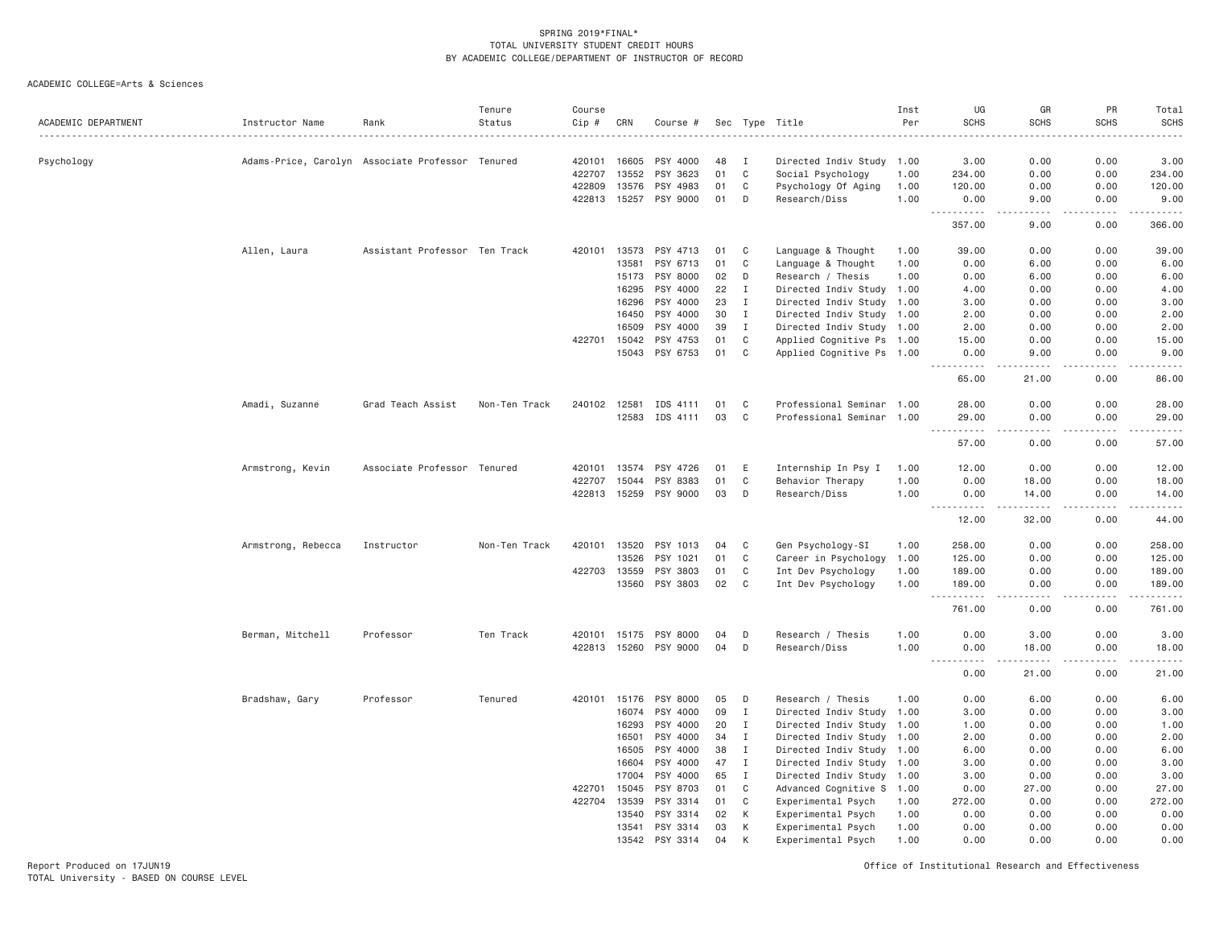| ACADEMIC DEPARTMENT | Instructor Name    | Rank                                             | Tenure<br>Status | Course<br>Cip #<br>. | CRN            | Course #              |          |              | Sec Type Title            | Inst<br>Per | UG<br><b>SCHS</b>                                                                                                                                  | GR<br><b>SCHS</b>                   | PR<br><b>SCHS</b>            | Total<br><b>SCHS</b><br>. |
|---------------------|--------------------|--------------------------------------------------|------------------|----------------------|----------------|-----------------------|----------|--------------|---------------------------|-------------|----------------------------------------------------------------------------------------------------------------------------------------------------|-------------------------------------|------------------------------|---------------------------|
| Psychology          |                    | Adams-Price, Carolyn Associate Professor Tenured |                  | 420101               | 16605          | PSY 4000              | 48       | <b>I</b>     | Directed Indiv Study 1.00 |             | 3.00                                                                                                                                               | 0.00                                | 0.00                         | 3.00                      |
|                     |                    |                                                  |                  | 422707               | 13552          | PSY 3623              | 01       | $\mathbf C$  | Social Psychology         | 1.00        | 234.00                                                                                                                                             | 0.00                                | 0.00                         | 234.00                    |
|                     |                    |                                                  |                  | 422809               | 13576          | PSY 4983              | 01       | C            | Psychology Of Aging       | 1.00        | 120.00                                                                                                                                             | 0.00                                | 0.00                         | 120.00                    |
|                     |                    |                                                  |                  | 422813               | 15257          | PSY 9000              | 01       | D            | Research/Diss             | 1.00        | 0.00<br><u> - - - - - - - - - -</u>                                                                                                                | 9.00<br>$\sim$ $\sim$ $\sim$        | 0.00<br>.                    | 9.00<br>.                 |
|                     |                    |                                                  |                  |                      |                |                       |          |              |                           |             | 357.00                                                                                                                                             | 9.00                                | 0.00                         | 366.00                    |
|                     | Allen, Laura       | Assistant Professor Ten Track                    |                  | 420101               | 13573          | PSY 4713              | 01       | C            | Language & Thought        | 1.00        | 39.00                                                                                                                                              | 0.00                                | 0.00                         | 39.00                     |
|                     |                    |                                                  |                  |                      | 13581          | PSY 6713              | 01       | C            | Language & Thought        | 1.00        | 0.00                                                                                                                                               | 6.00                                | 0.00                         | 6.00                      |
|                     |                    |                                                  |                  |                      | 15173          | PSY 8000              | 02       | D            | Research / Thesis         | 1.00        | 0.00                                                                                                                                               | 6.00                                | 0.00                         | 6.00                      |
|                     |                    |                                                  |                  |                      | 16295          | PSY 4000              | 22       | Ι.           | Directed Indiv Study      | 1.00        | 4.00                                                                                                                                               | 0.00                                | 0.00                         | 4.00                      |
|                     |                    |                                                  |                  |                      | 16296          | PSY 4000              | 23       | $\mathbf I$  | Directed Indiv Study 1.00 |             | 3,00                                                                                                                                               | 0.00                                | 0.00                         | 3.00                      |
|                     |                    |                                                  |                  |                      | 16450          | PSY 4000              | 30       | $\mathbf{I}$ | Directed Indiv Study 1.00 |             | 2.00                                                                                                                                               | 0.00                                | 0.00                         | 2.00                      |
|                     |                    |                                                  |                  |                      | 16509          | PSY 4000              | 39       | $\mathbf{I}$ | Directed Indiv Study 1.00 |             | 2.00                                                                                                                                               | 0.00                                | 0.00                         | 2.00                      |
|                     |                    |                                                  |                  | 422701               | 15042          | PSY 4753              | 01       | $\mathbb C$  | Applied Cognitive Ps 1.00 |             | 15.00                                                                                                                                              | 0.00                                | 0.00                         | 15.00                     |
|                     |                    |                                                  |                  |                      | 15043          | PSY 6753              | 01       | $\mathbf C$  | Applied Cognitive Ps 1.00 |             | 0.00                                                                                                                                               | 9.00                                | 0.00<br>$\sim$ $\sim$ $\sim$ | 9.00                      |
|                     |                    |                                                  |                  |                      |                |                       |          |              |                           |             | 65.00                                                                                                                                              | 21.00                               | 0.00                         | 86.00                     |
|                     | Amadi, Suzanne     | Grad Teach Assist                                | Non-Ten Track    | 240102 12581         |                | IDS 4111              | 01       | C            | Professional Seminar 1.00 |             | 28,00                                                                                                                                              | 0.00                                | 0.00                         | 28.00                     |
|                     |                    |                                                  |                  |                      | 12583          | IDS 4111              | 03       | C            | Professional Seminar 1.00 |             | 29.00<br>.<br>$\sim 100$ km s $^{-1}$                                                                                                              | 0.00<br>$\sim$ $\sim$ $\sim$ $\sim$ | 0.00<br>$   -$               | 29.00<br>.                |
|                     |                    |                                                  |                  |                      |                |                       |          |              |                           |             | 57.00                                                                                                                                              | 0.00                                | 0.00                         | 57.00                     |
|                     | Armstrong, Kevin   | Associate Professor Tenured                      |                  | 420101               | 13574          | PSY 4726              | 01       | E            | Internship In Psy I       | 1.00        | 12.00                                                                                                                                              | 0.00                                | 0.00                         | 12.00                     |
|                     |                    |                                                  |                  | 422707               | 15044          | PSY 8383              | 01       | C            | Behavior Therapy          | 1.00        | 0.00                                                                                                                                               | 18.00                               | 0.00                         | 18.00                     |
|                     |                    |                                                  |                  | 422813 15259         |                | PSY 9000              | 03       | D            | Research/Diss             | 1.00        | 0.00<br>.<br>$\frac{1}{2} \left( \frac{1}{2} \right) \left( \frac{1}{2} \right) \left( \frac{1}{2} \right)$                                        | 14.00<br>. <u>.</u>                 | 0.00<br>.                    | 14.00<br>.                |
|                     |                    |                                                  |                  |                      |                |                       |          |              |                           |             | 12.00                                                                                                                                              | 32.00                               | 0.00                         | 44.00                     |
|                     | Armstrong, Rebecca | Instructor                                       | Non-Ten Track    | 420101               | 13520          | PSY 1013              | 04       | C            | Gen Psychology-SI         | 1.00        | 258.00                                                                                                                                             | 0.00                                | 0.00                         | 258.00                    |
|                     |                    |                                                  |                  |                      | 13526          | PSY 1021              | 01       | C            | Career in Psychology      | 1.00        | 125.00                                                                                                                                             | 0.00                                | 0.00                         | 125.00                    |
|                     |                    |                                                  |                  | 422703 13559         |                | PSY 3803              | 01       | C            | Int Dev Psychology        | 1.00        | 189.00                                                                                                                                             | 0.00                                | 0.00                         | 189.00                    |
|                     |                    |                                                  |                  |                      | 13560          | PSY 3803              | 02       | C            | Int Dev Psychology        | 1.00        | 189.00<br>.<br>$\sim$ $\sim$ $\sim$                                                                                                                | 0.00<br>$- - - -$                   | 0.00<br>.                    | 189.00<br>.               |
|                     |                    |                                                  |                  |                      |                |                       |          |              |                           |             | 761.00                                                                                                                                             | 0.00                                | 0.00                         | 761.00                    |
|                     | Berman, Mitchell   | Professor                                        | Ten Track        | 420101               | 15175          | PSY 8000              | 04       | D            | Research / Thesis         | 1.00        | 0.00                                                                                                                                               | 3.00                                | 0.00                         | 3.00                      |
|                     |                    |                                                  |                  |                      |                | 422813 15260 PSY 9000 | 04       | D            | Research/Diss             | 1.00        | 0.00                                                                                                                                               | 18.00                               | 0.00                         | 18.00                     |
|                     |                    |                                                  |                  |                      |                |                       |          |              |                           |             | $\frac{1}{2}$<br>$\frac{1}{2} \left( \frac{1}{2} \right) \left( \frac{1}{2} \right) \left( \frac{1}{2} \right) \left( \frac{1}{2} \right)$<br>0.00 | -----<br>21.00                      | -----<br>0.00                | .<br>21.00                |
|                     | Bradshaw, Gary     | Professor                                        | Tenured          | 420101               | 15176          | PSY 8000              | 05       | D            | Research / Thesis         | 1,00        | 0.00                                                                                                                                               | 6.00                                | 0.00                         | 6.00                      |
|                     |                    |                                                  |                  |                      | 16074          | PSY 4000              | 09       | $\mathbf{I}$ | Directed Indiv Study 1.00 |             | 3,00                                                                                                                                               | 0.00                                | 0.00                         | 3.00                      |
|                     |                    |                                                  |                  |                      | 16293          | PSY 4000              | 20       | $\mathbf{I}$ | Directed Indiv Study 1.00 |             | 1.00                                                                                                                                               | 0.00                                | 0.00                         | 1.00                      |
|                     |                    |                                                  |                  |                      | 16501          | PSY 4000              | 34       | $\mathbf I$  | Directed Indiv Study 1.00 |             | 2.00                                                                                                                                               | 0.00                                | 0.00                         | 2.00                      |
|                     |                    |                                                  |                  |                      | 16505          | PSY 4000              | 38       | $\mathbf{I}$ | Directed Indiv Study 1.00 |             | 6.00                                                                                                                                               | 0.00                                | 0.00                         | 6.00                      |
|                     |                    |                                                  |                  |                      | 16604          | PSY 4000              | 47       | $\mathbf{I}$ | Directed Indiv Study 1.00 |             | 3.00                                                                                                                                               | 0.00                                | 0.00                         | 3.00                      |
|                     |                    |                                                  |                  |                      | 17004          | PSY 4000              | 65       | $\mathbf I$  | Directed Indiv Study      | 1.00        | 3.00                                                                                                                                               | 0.00                                | 0.00                         | 3.00                      |
|                     |                    |                                                  |                  | 422701               | 15045          | PSY 8703              | 01       | C            | Advanced Cognitive S 1.00 |             | 0.00                                                                                                                                               | 27.00                               | 0.00                         | 27.00                     |
|                     |                    |                                                  |                  | 422704               | 13539          | PSY 3314              | 01       | C            | Experimental Psych        | 1.00        | 272.00                                                                                                                                             | 0.00                                | 0.00                         | 272.00                    |
|                     |                    |                                                  |                  |                      | 13540          | PSY 3314              | 02       | К            | Experimental Psych        | 1.00        | 0.00                                                                                                                                               | 0.00                                | 0.00                         | 0.00                      |
|                     |                    |                                                  |                  |                      | 13541<br>13542 | PSY 3314<br>PSY 3314  | 03<br>04 | К<br>K       | Experimental Psych        | 1.00        | 0.00<br>0.00                                                                                                                                       | 0.00<br>0.00                        | 0.00<br>0.00                 | 0.00                      |
|                     |                    |                                                  |                  |                      |                |                       |          |              | Experimental Psych        | 1.00        |                                                                                                                                                    |                                     |                              | 0.00                      |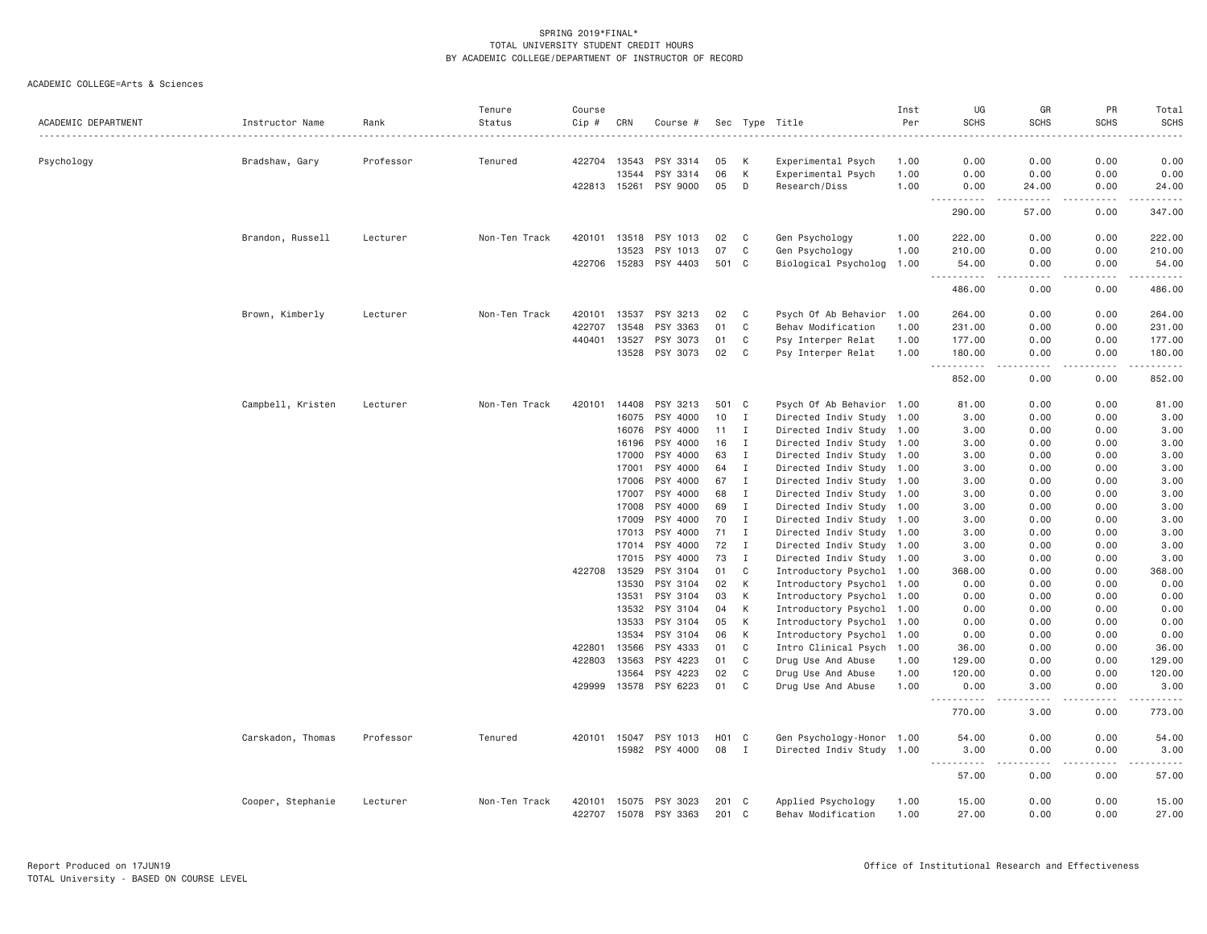|                     |                   |           | Tenure        | Course           |                |                      |              |              |                                          | Inst         | UG                                                            | GR                                  | PR                                                                                                                                                           | Total                                      |
|---------------------|-------------------|-----------|---------------|------------------|----------------|----------------------|--------------|--------------|------------------------------------------|--------------|---------------------------------------------------------------|-------------------------------------|--------------------------------------------------------------------------------------------------------------------------------------------------------------|--------------------------------------------|
| ACADEMIC DEPARTMENT | Instructor Name   | Rank      | Status        | Cip #            | CRN            | Course #             |              |              | Sec Type Title                           | Per          | <b>SCHS</b>                                                   | <b>SCHS</b>                         | <b>SCHS</b>                                                                                                                                                  | <b>SCHS</b>                                |
|                     |                   |           |               |                  |                |                      |              |              |                                          |              |                                                               |                                     |                                                                                                                                                              |                                            |
| Psychology          | Bradshaw, Gary    | Professor | Tenured       |                  | 422704 13543   | PSY 3314             | 05           | К            | Experimental Psych                       | 1.00         | 0.00                                                          | 0.00                                | 0.00                                                                                                                                                         | 0.00                                       |
|                     |                   |           |               |                  | 13544          | PSY 3314             | 06           | K            | Experimental Psych                       | 1.00         | 0.00                                                          | 0.00                                | 0.00                                                                                                                                                         | 0.00                                       |
|                     |                   |           |               | 422813 15261     |                | PSY 9000             | 05           | D            | Research/Diss                            | 1.00         | 0.00<br>.                                                     | 24.00<br>.                          | 0.00<br>.                                                                                                                                                    | 24.00<br><u>.</u>                          |
|                     |                   |           |               |                  |                |                      |              |              |                                          |              | 290.00                                                        | 57.00                               | 0.00                                                                                                                                                         | 347.00                                     |
|                     | Brandon, Russell  | Lecturer  | Non-Ten Track | 420101           | 13518          | PSY 1013             | 02           | C            | Gen Psychology                           | 1.00         | 222.00                                                        | 0.00                                | 0.00                                                                                                                                                         | 222.00                                     |
|                     |                   |           |               |                  | 13523          | PSY 1013             | 07           | C            | Gen Psychology                           | 1.00         | 210.00                                                        | 0.00                                | 0.00                                                                                                                                                         | 210.00                                     |
|                     |                   |           |               |                  | 422706 15283   | PSY 4403             | 501 C        |              | Biological Psycholog                     | 1.00         | 54.00                                                         | 0.00                                | 0.00                                                                                                                                                         | 54.00                                      |
|                     |                   |           |               |                  |                |                      |              |              |                                          |              | .<br>486.00                                                   | $- - - -$<br>0.00                   | .<br>0.00                                                                                                                                                    | <u>.</u><br>486.00                         |
|                     | Brown, Kimberly   | Lecturer  | Non-Ten Track | 420101           | 13537          | PSY 3213             | 02           | C            | Psych Of Ab Behavior 1.00                |              | 264.00                                                        | 0.00                                | 0.00                                                                                                                                                         | 264.00                                     |
|                     |                   |           |               | 422707           | 13548          | PSY 3363             | 01           | C            | Behav Modification                       | 1.00         | 231.00                                                        | 0.00                                | 0.00                                                                                                                                                         | 231.00                                     |
|                     |                   |           |               | 440401           | 13527          | PSY 3073             | 01           | C            | Psy Interper Relat                       | 1.00         | 177.00                                                        | 0.00                                | 0.00                                                                                                                                                         | 177.00                                     |
|                     |                   |           |               |                  | 13528          | PSY 3073             | 02           | C            | Psy Interper Relat                       | 1.00         | 180.00                                                        | 0.00                                | 0.00                                                                                                                                                         | 180.00                                     |
|                     |                   |           |               |                  |                |                      |              |              |                                          |              | $\sim$ $\sim$ $\sim$ $\sim$<br>$\sim$ $\sim$ $\sim$<br>852.00 | 0.00                                | 0.00                                                                                                                                                         | -----<br>852.00                            |
|                     | Campbell, Kristen | Lecturer  | Non-Ten Track | 420101           | 14408          | PSY 3213             | 501 C        |              | Psych Of Ab Behavior 1.00                |              | 81.00                                                         | 0.00                                | 0.00                                                                                                                                                         | 81.00                                      |
|                     |                   |           |               |                  | 16075          | PSY 4000             | 10           | I            | Directed Indiv Study 1.00                |              | 3.00                                                          | 0.00                                | 0.00                                                                                                                                                         | 3.00                                       |
|                     |                   |           |               |                  | 16076          | PSY 4000             | 11           | $\mathbf{I}$ | Directed Indiv Study 1.00                |              | 3.00                                                          | 0.00                                | 0.00                                                                                                                                                         | 3.00                                       |
|                     |                   |           |               |                  | 16196          | PSY 4000             | 16           | $\mathbf{I}$ | Directed Indiv Study 1.00                |              | 3.00                                                          | 0.00                                | 0.00                                                                                                                                                         | 3.00                                       |
|                     |                   |           |               |                  | 17000          | PSY 4000             | 63           | I            | Directed Indiv Study 1.00                |              | 3,00                                                          | 0.00                                | 0.00                                                                                                                                                         | 3.00                                       |
|                     |                   |           |               |                  | 17001          | PSY 4000             | 64           | I            | Directed Indiv Study 1.00                |              | 3.00                                                          | 0.00                                | 0.00                                                                                                                                                         | 3.00                                       |
|                     |                   |           |               |                  | 17006          | PSY 4000             | 67           | $\mathbf{I}$ | Directed Indiv Study 1.00                |              | 3.00                                                          | 0.00                                | 0.00                                                                                                                                                         | 3.00                                       |
|                     |                   |           |               |                  | 17007          | PSY 4000             | 68           | $\mathbf{I}$ | Directed Indiv Study 1.00                |              | 3.00                                                          | 0.00                                | 0.00                                                                                                                                                         | 3.00                                       |
|                     |                   |           |               |                  | 17008          | PSY 4000             | 69           | $\mathbf{I}$ | Directed Indiv Study 1.00                |              | 3.00                                                          | 0.00                                | 0.00                                                                                                                                                         | 3.00                                       |
|                     |                   |           |               |                  | 17009          | PSY 4000             | 70           | $\mathbf{I}$ | Directed Indiv Study 1.00                |              | 3.00                                                          | 0.00                                | 0.00                                                                                                                                                         | 3.00                                       |
|                     |                   |           |               |                  | 17013          | PSY 4000             | 71           | $\mathbf I$  | Directed Indiv Study 1.00                |              | 3.00                                                          | 0.00                                | 0.00                                                                                                                                                         | 3.00                                       |
|                     |                   |           |               |                  | 17014          | PSY 4000             | 72           | $\mathbf{I}$ | Directed Indiv Study 1.00                |              | 3.00                                                          | 0.00                                | 0.00                                                                                                                                                         | 3.00                                       |
|                     |                   |           |               |                  | 17015          | PSY 4000             | 73           | I            | Directed Indiv Study 1.00                |              | 3.00                                                          | 0.00                                | 0.00                                                                                                                                                         | 3.00                                       |
|                     |                   |           |               | 422708           | 13529          | PSY 3104             | 01           | C            | Introductory Psychol 1.00                |              | 368.00                                                        | 0.00                                | 0.00                                                                                                                                                         | 368.00                                     |
|                     |                   |           |               |                  | 13530          | PSY 3104             | 02           | К            | Introductory Psychol 1.00                |              | 0.00                                                          | 0.00                                | 0.00                                                                                                                                                         | 0.00                                       |
|                     |                   |           |               |                  | 13531          | PSY 3104             | 03           | К            | Introductory Psychol 1.00                |              | 0.00                                                          | 0.00                                | 0.00                                                                                                                                                         | 0.00                                       |
|                     |                   |           |               |                  | 13532          | PSY 3104             | 04           | К            | Introductory Psychol 1.00                |              | 0.00                                                          | 0.00                                | 0.00                                                                                                                                                         | 0.00                                       |
|                     |                   |           |               |                  | 13533          | PSY 3104             | 05           | K            | Introductory Psychol 1.00                |              | 0.00                                                          | 0.00                                | 0.00                                                                                                                                                         | 0.00                                       |
|                     |                   |           |               |                  | 13534          | PSY 3104             | 06           | К            | Introductory Psychol 1.00                |              | 0.00                                                          | 0.00                                | 0.00                                                                                                                                                         | 0.00                                       |
|                     |                   |           |               | 422801           | 13566          | PSY 4333             | 01           | $\mathbb C$  | Intro Clinical Psych 1.00                |              | 36.00                                                         | 0.00                                | 0.00                                                                                                                                                         | 36.00                                      |
|                     |                   |           |               | 422803           | 13563          | PSY 4223             | 01           | C            | Drug Use And Abuse                       | 1,00         | 129.00                                                        | 0.00                                | 0.00                                                                                                                                                         | 129.00                                     |
|                     |                   |           |               |                  | 13564          | PSY 4223             | 02           | C            | Drug Use And Abuse                       | 1.00         | 120.00                                                        | 0.00                                | 0.00                                                                                                                                                         | 120.00                                     |
|                     |                   |           |               |                  | 429999 13578   | PSY 6223             | 01           | C            | Drug Use And Abuse                       | 1.00         | 0.00                                                          | 3.00                                | 0.00                                                                                                                                                         | 3.00                                       |
|                     |                   |           |               |                  |                |                      |              |              |                                          |              | .<br>$\sim$ $\sim$ .<br>770.00                                | $\sim$ $\sim$ $\sim$ $\sim$<br>3.00 | $\frac{1}{2} \left( \frac{1}{2} \right) \left( \frac{1}{2} \right) \left( \frac{1}{2} \right) \left( \frac{1}{2} \right) \left( \frac{1}{2} \right)$<br>0.00 | $\omega$ is $\omega$ in $\omega$<br>773.00 |
|                     | Carskadon, Thomas | Professor | Tenured       | 420101           | 15047          | PSY 1013             | HO1          | C            | Gen Psychology-Honor 1.00                |              | 54.00                                                         | 0.00                                | 0.00                                                                                                                                                         | 54.00                                      |
|                     |                   |           |               |                  | 15982          | PSY 4000             | 08           | $\mathbf{I}$ | Directed Indiv Study 1.00                |              | 3.00                                                          | 0.00                                | 0.00                                                                                                                                                         | 3.00                                       |
|                     |                   |           |               |                  |                |                      |              |              |                                          |              | .<br>57.00                                                    | .<br>0.00                           | .<br>0.00                                                                                                                                                    | <u>.</u><br>57.00                          |
|                     |                   |           |               |                  |                |                      |              |              |                                          |              |                                                               |                                     |                                                                                                                                                              |                                            |
|                     | Cooper, Stephanie | Lecturer  | Non-Ten Track | 420101<br>422707 | 15075<br>15078 | PSY 3023<br>PSY 3363 | 201 C<br>201 | $\mathbf{C}$ | Applied Psychology<br>Behav Modification | 1.00<br>1.00 | 15.00<br>27.00                                                | 0.00<br>0.00                        | 0.00<br>0.00                                                                                                                                                 | 15.00<br>27.00                             |
|                     |                   |           |               |                  |                |                      |              |              |                                          |              |                                                               |                                     |                                                                                                                                                              |                                            |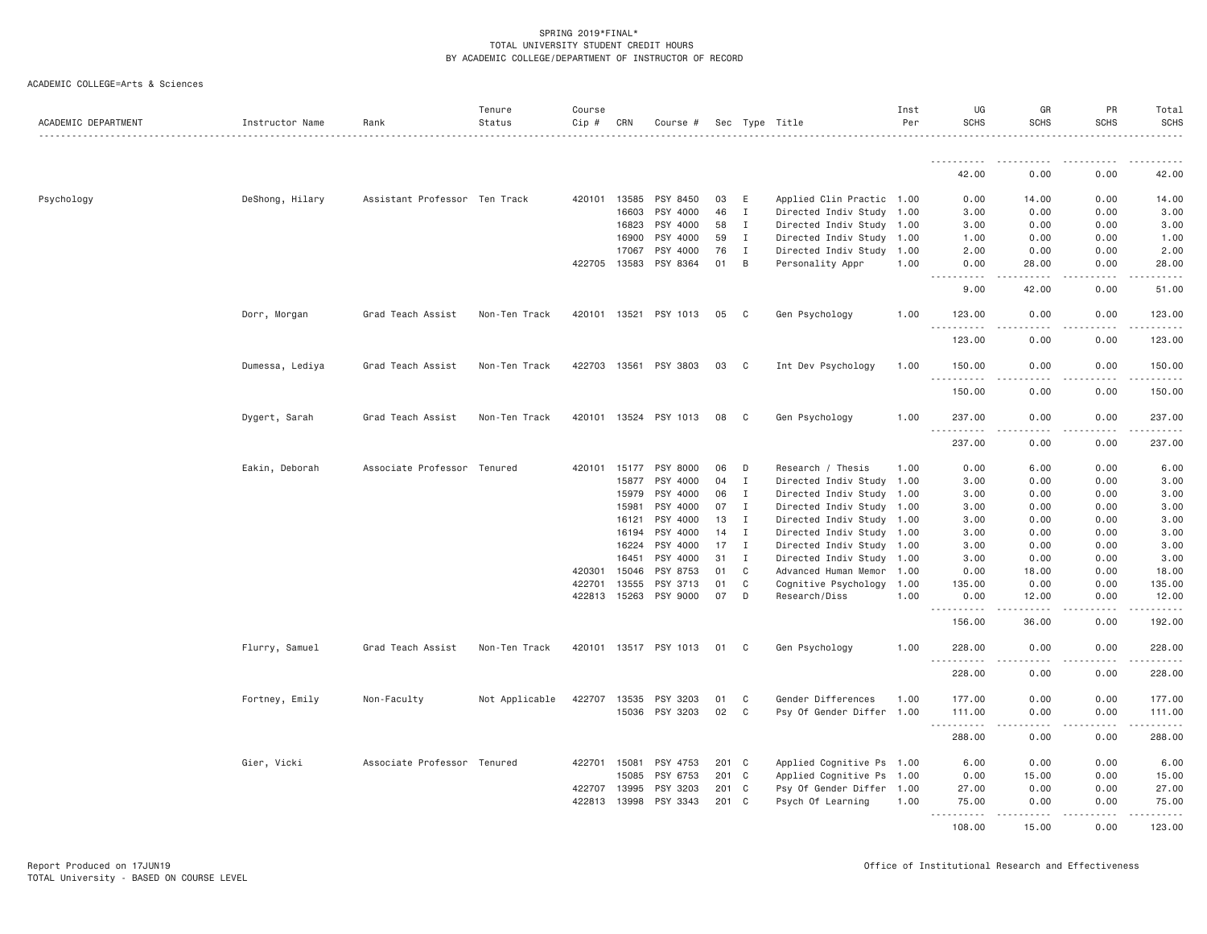| ACADEMIC DEPARTMENT | Instructor Name | Rank                          | Tenure<br>Status | Course<br>Cip # | CRN   | Course #              |       |                | Sec Type Title<br>.       | Inst<br>Per | UG<br><b>SCHS</b>                   | GR<br><b>SCHS</b>            | PR<br><b>SCHS</b> | Total<br><b>SCHS</b> |
|---------------------|-----------------|-------------------------------|------------------|-----------------|-------|-----------------------|-------|----------------|---------------------------|-------------|-------------------------------------|------------------------------|-------------------|----------------------|
|                     |                 |                               |                  |                 |       |                       |       |                |                           |             |                                     |                              |                   |                      |
|                     |                 |                               |                  |                 |       |                       |       |                |                           |             | 42.00                               | 0.00                         | 0.00              | 42.00                |
| Psychology          | DeShong, Hilary | Assistant Professor Ten Track |                  | 420101 13585    |       | PSY 8450              | 03    | E              | Applied Clin Practic 1.00 |             | 0.00                                | 14.00                        | 0.00              | 14.00                |
|                     |                 |                               |                  |                 | 16603 | PSY 4000              | 46    | Ι.             | Directed Indiv Study 1.00 |             | 3.00                                | 0.00                         | 0.00              | 3.00                 |
|                     |                 |                               |                  |                 | 16823 | PSY 4000              | 58    | $\mathbf{I}$   | Directed Indiv Study 1.00 |             | 3.00                                | 0.00                         | 0.00              | 3.00                 |
|                     |                 |                               |                  |                 | 16900 | PSY 4000              | 59    | $\mathbf I$    | Directed Indiv Study 1.00 |             | 1.00                                | 0.00                         | 0.00              | 1.00                 |
|                     |                 |                               |                  |                 | 17067 | PSY 4000              | 76    | I              | Directed Indiv Study 1.00 |             | 2.00                                | 0.00                         | 0.00              | 2.00                 |
|                     |                 |                               |                  | 422705 13583    |       | PSY 8364              | 01    | B              | Personality Appr          | 1.00        | 0.00<br>.<br>$- - - -$              | 28.00<br><b>.</b>            | 0.00<br>.         | 28.00<br>.           |
|                     |                 |                               |                  |                 |       |                       |       |                |                           |             | 9.00                                | 42.00                        | 0.00              | 51.00                |
|                     | Dorr, Morgan    | Grad Teach Assist             | Non-Ten Track    |                 |       | 420101 13521 PSY 1013 | 05    | $\mathbf{C}$   | Gen Psychology            | 1.00        | 123.00<br>$\frac{1}{2}$             | 0.00                         | 0.00              | 123.00               |
|                     |                 |                               |                  |                 |       |                       |       |                |                           |             | 123.00                              | 0.00                         | 0.00              | 123.00               |
|                     | Dumessa, Lediya | Grad Teach Assist             | Non-Ten Track    |                 |       | 422703 13561 PSY 3803 | 03    | C <sub>1</sub> | Int Dev Psychology        | 1.00        | 150.00                              | 0.00                         | 0.00              | 150.00               |
|                     |                 |                               |                  |                 |       |                       |       |                |                           |             | <u>.</u><br>150.00                  | 0.00                         | 0.00              | 150.00               |
|                     | Dygert, Sarah   | Grad Teach Assist             | Non-Ten Track    |                 |       | 420101 13524 PSY 1013 | 08    | $\mathbf{C}$   | Gen Psychology            | 1.00        | 237.00<br><u>.</u>                  | 0.00<br>$- - - - -$          | 0.00              | 237.00<br>. <u>.</u> |
|                     |                 |                               |                  |                 |       |                       |       |                |                           |             | 237.00                              | 0.00                         | .<br>0.00         | 237.00               |
|                     | Eakin, Deborah  | Associate Professor Tenured   |                  |                 |       | 420101 15177 PSY 8000 | 06    | D              | Research / Thesis         | 1.00        | 0.00                                | 6.00                         | 0.00              | 6.00                 |
|                     |                 |                               |                  |                 | 15877 | PSY 4000              | 04    | $\mathbf{I}$   | Directed Indiv Study      | 1.00        | 3.00                                | 0.00                         | 0.00              | 3.00                 |
|                     |                 |                               |                  |                 | 15979 | PSY 4000              | 06    | I              | Directed Indiv Study      | 1.00        | 3.00                                | 0.00                         | 0.00              | 3.00                 |
|                     |                 |                               |                  |                 | 15981 | PSY 4000              | 07    | $\mathbf{I}$   | Directed Indiv Study 1.00 |             | 3.00                                | 0.00                         | 0.00              | 3.00                 |
|                     |                 |                               |                  |                 | 16121 | PSY 4000              | 13    | I              | Directed Indiv Study 1.00 |             | 3.00                                | 0.00                         | 0.00              | 3.00                 |
|                     |                 |                               |                  |                 | 16194 | PSY 4000              | 14    | $\mathbf{I}$   | Directed Indiv Study 1.00 |             | 3.00                                | 0.00                         | 0.00              | 3.00                 |
|                     |                 |                               |                  |                 | 16224 | PSY 4000              | 17    | $\mathbf{I}$   | Directed Indiv Study 1.00 |             | 3.00                                | 0.00                         | 0.00              | 3.00                 |
|                     |                 |                               |                  |                 | 16451 | PSY 4000              | 31    | I              | Directed Indiv Study      | 1.00        | 3.00                                | 0.00                         | 0.00              | 3.00                 |
|                     |                 |                               |                  | 420301          | 15046 | PSY 8753              | 01    | C              | Advanced Human Memor 1.00 |             | 0.00                                | 18.00                        | 0.00              | 18.00                |
|                     |                 |                               |                  | 422701          | 13555 | PSY 3713              | 01    | C              | Cognitive Psychology 1.00 |             | 135.00                              | 0.00                         | 0.00              | 135.00               |
|                     |                 |                               |                  | 422813 15263    |       | PSY 9000              | 07    | D              | Research/Diss             | 1.00        | 0.00<br>.                           | 12.00                        | 0.00              | 12.00                |
|                     |                 |                               |                  |                 |       |                       |       |                |                           |             | 156.00                              | 36.00                        | 0.00              | 192.00               |
|                     | Flurry, Samuel  | Grad Teach Assist             | Non-Ten Track    |                 |       | 420101 13517 PSY 1013 | 01    | C              | Gen Psychology            | 1.00        | 228.00<br>. <b>.</b>                | 0.00<br>$\sim$ $\sim$ $\sim$ | 0.00              | 228.00               |
|                     |                 |                               |                  |                 |       |                       |       |                |                           |             | 228.00                              | 0.00                         | 0.00              | 228.00               |
|                     | Fortney, Emily  | Non-Faculty                   | Not Applicable   | 422707 13535    |       | PSY 3203              | 01    | C              | Gender Differences        | 1.00        | 177.00                              | 0.00                         | 0.00              | 177.00               |
|                     |                 |                               |                  |                 |       | 15036 PSY 3203        | 02    | C              | Psy Of Gender Differ 1.00 |             | 111.00<br>.<br>$\sim$ $\sim$ $\sim$ | 0.00<br>.                    | 0.00<br>-----     | 111.00<br>1.1.1.1.1  |
|                     |                 |                               |                  |                 |       |                       |       |                |                           |             | 288.00                              | 0.00                         | 0.00              | 288.00               |
|                     | Gier, Vicki     | Associate Professor Tenured   |                  | 422701          | 15081 | PSY 4753              | 201 C |                | Applied Cognitive Ps 1.00 |             | 6.00                                | 0.00                         | 0.00              | 6.00                 |
|                     |                 |                               |                  |                 | 15085 | PSY 6753              | 201 C |                | Applied Cognitive Ps 1.00 |             | 0.00                                | 15.00                        | 0.00              | 15.00                |
|                     |                 |                               |                  | 422707 13995    |       | PSY 3203              | 201 C |                | Psy Of Gender Differ 1.00 |             | 27.00                               | 0.00                         | 0.00              | 27.00                |
|                     |                 |                               |                  | 422813          | 13998 | PSY 3343              | 201 C |                | Psych Of Learning         | 1.00        | 75.00<br>$\frac{1}{2}$              | 0.00                         | 0.00              | 75.00                |
|                     |                 |                               |                  |                 |       |                       |       |                |                           |             | 108,00                              | 15.00                        | 0.00              | 123,00               |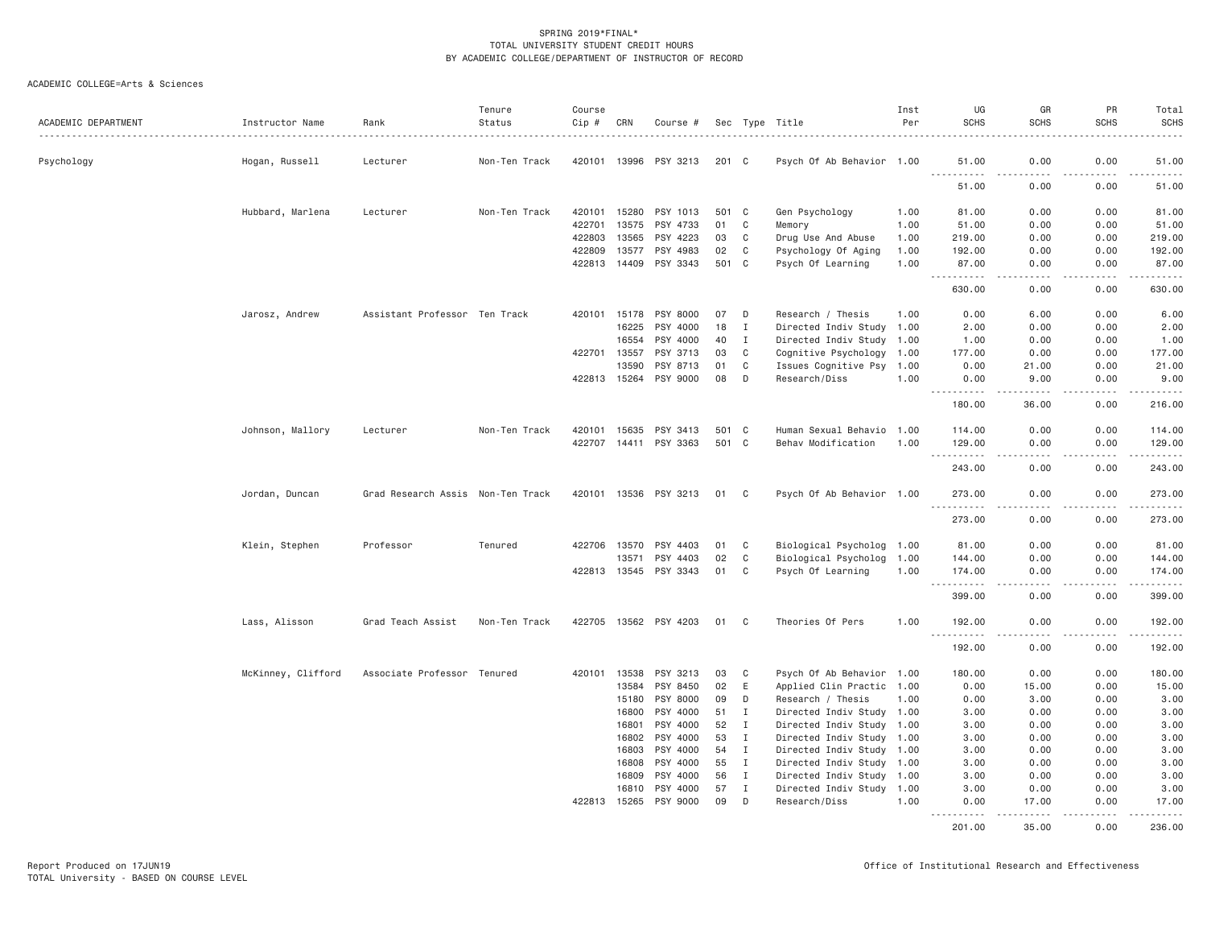| ACADEMIC DEPARTMENT | Instructor Name    | Rank                              | Tenure<br>Status | Course<br>Cip # | CRN   | Course #              |       |              | Sec Type Title            | Inst<br>Per | UG<br><b>SCHS</b> | GR<br><b>SCHS</b>    | PR<br><b>SCHS</b> | Total<br><b>SCHS</b>                                                                                                                |
|---------------------|--------------------|-----------------------------------|------------------|-----------------|-------|-----------------------|-------|--------------|---------------------------|-------------|-------------------|----------------------|-------------------|-------------------------------------------------------------------------------------------------------------------------------------|
| Psychology          | Hogan, Russell     | Lecturer                          | Non-Ten Track    | 420101          | 13996 | PSY 3213              | 201 C |              | Psych Of Ab Behavior 1.00 |             | 51.00             | 0.00                 | 0.00              | 51.00                                                                                                                               |
|                     |                    |                                   |                  |                 |       |                       |       |              |                           |             | .<br>51.00        | $- - - -$<br>0.00    | .<br>0.00         | .<br>51.00                                                                                                                          |
|                     | Hubbard, Marlena   | Lecturer                          | Non-Ten Track    | 420101          | 15280 | PSY 1013              | 501 C |              | Gen Psychology            | 1.00        | 81.00             | 0.00                 | 0.00              | 81.00                                                                                                                               |
|                     |                    |                                   |                  | 422701          | 13575 | PSY 4733              | 01    | C            | Memory                    | 1.00        | 51.00             | 0.00                 | 0.00              | 51.00                                                                                                                               |
|                     |                    |                                   |                  | 422803          | 13565 | PSY 4223              | 03    | C            | Drug Use And Abuse        | 1.00        | 219.00            | 0.00                 | 0.00              | 219.00                                                                                                                              |
|                     |                    |                                   |                  | 422809          | 13577 | PSY 4983              | 02    | C            | Psychology Of Aging       | 1.00        | 192.00            | 0.00                 | 0.00              | 192.00                                                                                                                              |
|                     |                    |                                   |                  | 422813          | 14409 | PSY 3343              | 501 C |              | Psych Of Learning         | 1.00        | 87.00<br>.        | 0.00<br>$   -$       | 0.00<br>.         | 87.00                                                                                                                               |
|                     |                    |                                   |                  |                 |       |                       |       |              |                           |             | 630.00            | 0.00                 | 0.00              | 630.00                                                                                                                              |
|                     | Jarosz, Andrew     | Assistant Professor Ten Track     |                  | 420101          | 15178 | PSY 8000              | 07    | D            | Research / Thesis         | 1.00        | 0.00              | 6.00                 | 0.00              | 6.00                                                                                                                                |
|                     |                    |                                   |                  |                 | 16225 | PSY 4000              | 18    | $\mathbf I$  | Directed Indiv Study 1.00 |             | 2.00              | 0.00                 | 0.00              | 2.00                                                                                                                                |
|                     |                    |                                   |                  |                 | 16554 | PSY 4000              | 40    | Ι.           | Directed Indiv Study 1.00 |             | 1.00              | 0.00                 | 0.00              | 1.00                                                                                                                                |
|                     |                    |                                   |                  | 422701          | 13557 | PSY 3713              | 03    | C            | Cognitive Psychology 1.00 |             | 177.00            | 0.00                 | 0.00              | 177.00                                                                                                                              |
|                     |                    |                                   |                  |                 | 13590 | PSY 8713              | 01    | $\mathbf C$  | Issues Cognitive Psy 1.00 |             | 0.00              | 21.00                | 0.00              | 21.00                                                                                                                               |
|                     |                    |                                   |                  | 422813 15264    |       | PSY 9000              | 08    | D            | Research/Diss             | 1.00        | 0.00<br>.         | 9.00<br>.            | 0.00<br>.         | 9.00<br>.                                                                                                                           |
|                     |                    |                                   |                  |                 |       |                       |       |              |                           |             | 180.00            | 36.00                | 0.00              | 216.00                                                                                                                              |
|                     | Johnson, Mallory   | Lecturer                          | Non-Ten Track    | 420101          | 15635 | PSY 3413              | 501 C |              | Human Sexual Behavio 1.00 |             | 114.00            | 0.00                 | 0.00              | 114.00                                                                                                                              |
|                     |                    |                                   |                  | 422707          |       | 14411 PSY 3363        | 501 C |              | Behav Modification        | 1.00        | 129.00            | 0.00                 | 0.00              | 129.00                                                                                                                              |
|                     |                    |                                   |                  |                 |       |                       |       |              |                           |             | .<br>243.00       | 0.00                 | .<br>0.00         | $\begin{array}{cccccccccccccc} \bullet & \bullet & \bullet & \bullet & \bullet & \bullet & \bullet & \bullet \end{array}$<br>243.00 |
|                     | Jordan, Duncan     | Grad Research Assis Non-Ten Track |                  |                 |       | 420101 13536 PSY 3213 | 01    | C            | Psych Of Ab Behavior 1.00 |             | 273.00            | 0.00                 | 0.00              | 273.00                                                                                                                              |
|                     |                    |                                   |                  |                 |       |                       |       |              |                           |             | .<br>273.00       | $- - - -$<br>0.00    | .<br>0.00         | .<br>273.00                                                                                                                         |
|                     | Klein, Stephen     | Professor                         | Tenured          | 422706 13570    |       | PSY 4403              | 01    | C            | Biological Psycholog 1.00 |             | 81.00             | 0.00                 | 0.00              | 81.00                                                                                                                               |
|                     |                    |                                   |                  |                 | 13571 | 4403<br>PSY           | 02    | C            | Biological Psycholog 1.00 |             | 144.00            | 0.00                 | 0.00              | 144.00                                                                                                                              |
|                     |                    |                                   |                  | 422813          | 13545 | PSY 3343              | 01    | C            | Psych Of Learning         | 1.00        | 174.00            | 0.00                 | 0.00              | 174.00                                                                                                                              |
|                     |                    |                                   |                  |                 |       |                       |       |              |                           |             | .<br>399.00       | 0.00                 | .<br>0.00         | 399.00                                                                                                                              |
|                     | Lass, Alisson      | Grad Teach Assist                 | Non-Ten Track    |                 |       | 422705 13562 PSY 4203 | 01    | - C          | Theories Of Pers          | 1.00        | 192.00<br>.       | 0.00                 | 0.00<br>.         | 192.00                                                                                                                              |
|                     |                    |                                   |                  |                 |       |                       |       |              |                           |             | 192.00            | 0.00                 | 0.00              | 192.00                                                                                                                              |
|                     | McKinney, Clifford | Associate Professor Tenured       |                  | 420101          | 13538 | PSY 3213              | 03    | C            | Psych Of Ab Behavior 1.00 |             | 180.00            | 0.00                 | 0.00              | 180.00                                                                                                                              |
|                     |                    |                                   |                  |                 | 13584 | PSY 8450              | 02    | E            | Applied Clin Practic 1.00 |             | 0.00              | 15.00                | 0.00              | 15.00                                                                                                                               |
|                     |                    |                                   |                  |                 | 15180 | PSY 8000              | 09    | D            | Research / Thesis         | 1.00        | 0.00              | 3.00                 | 0.00              | 3.00                                                                                                                                |
|                     |                    |                                   |                  |                 | 16800 | PSY 4000              | 51    | $\mathbf{I}$ | Directed Indiv Study 1.00 |             | 3.00              | 0.00                 | 0.00              | 3.00                                                                                                                                |
|                     |                    |                                   |                  |                 | 16801 | PSY 4000              | 52    | Ι            | Directed Indiv Study      | 1.00        | 3.00              | 0.00                 | 0.00              | 3.00                                                                                                                                |
|                     |                    |                                   |                  |                 | 16802 | PSY 4000              | 53    | Ι.           | Directed Indiv Study 1.00 |             | 3.00              | 0.00                 | 0.00              | 3.00                                                                                                                                |
|                     |                    |                                   |                  |                 | 16803 | PSY 4000              | 54    | $\mathbf{I}$ | Directed Indiv Study 1.00 |             | 3.00              | 0.00                 | 0.00              | 3.00                                                                                                                                |
|                     |                    |                                   |                  |                 | 16808 | PSY 4000              | 55    | $\mathbf{I}$ | Directed Indiv Study 1.00 |             | 3.00              | 0.00                 | 0.00              | 3.00                                                                                                                                |
|                     |                    |                                   |                  |                 | 16809 | PSY 4000              | 56    | Ι            | Directed Indiv Study 1.00 |             | 3.00              | 0.00                 | 0.00              | 3.00                                                                                                                                |
|                     |                    |                                   |                  |                 | 16810 | PSY 4000              | 57    | $\mathbf I$  | Directed Indiv Study 1.00 |             | 3.00              | 0.00                 | 0.00              | 3.00                                                                                                                                |
|                     |                    |                                   |                  | 422813          | 15265 | PSY 9000              | 09    | D            | Research/Diss             | 1,00        | 0.00<br>.         | 17.00<br>$- - - - -$ | 0.00<br>.         | 17.00<br><u>.</u>                                                                                                                   |
|                     |                    |                                   |                  |                 |       |                       |       |              |                           |             | 201.00            | 35.00                | 0.00              | 236.00                                                                                                                              |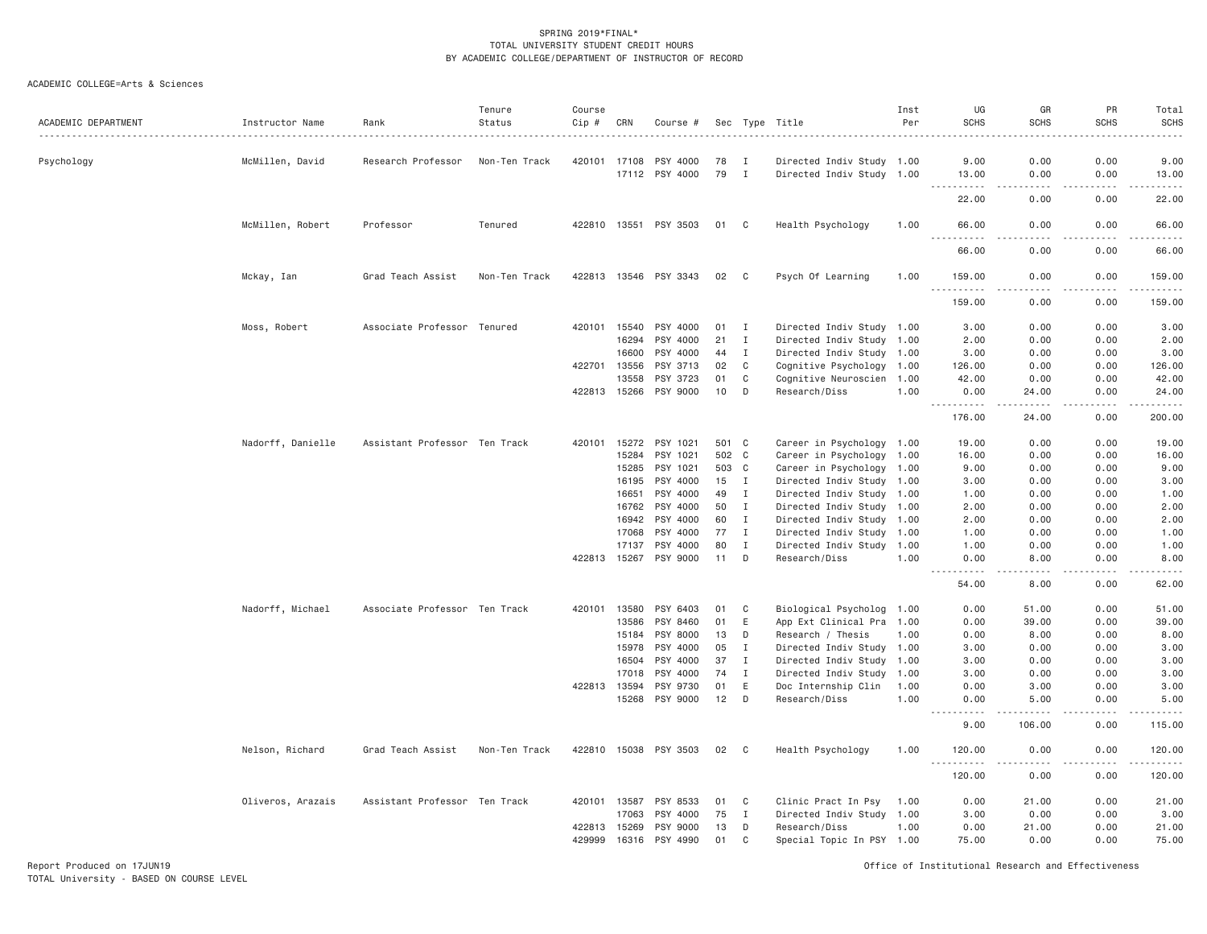# ACADEMIC COLLEGE=Arts & Sciences

| ACADEMIC DEPARTMENT | Instructor Name   | Rank                          | Tenure<br>Status | Course<br>Cip # | CRN            | Course #              |          |                  | Sec Type Title                             | Inst<br>Per | UG<br><b>SCHS</b>                                                                                                                                              | GR<br><b>SCHS</b> | PR<br><b>SCHS</b>                                                                                                                 | Total<br>SCHS<br>$- - - - -$ |
|---------------------|-------------------|-------------------------------|------------------|-----------------|----------------|-----------------------|----------|------------------|--------------------------------------------|-------------|----------------------------------------------------------------------------------------------------------------------------------------------------------------|-------------------|-----------------------------------------------------------------------------------------------------------------------------------|------------------------------|
| Psychology          | McMillen, David   | Research Professor            | Non-Ten Track    | 420101          | 17108          | PSY 4000              | 78       | п                | Directed Indiv Study 1.00                  |             | 9.00                                                                                                                                                           | 0.00              | 0.00                                                                                                                              | 9.00                         |
|                     |                   |                               |                  |                 | 17112          | PSY 4000              | 79       | $\mathbf{I}$     | Directed Indiv Study 1.00                  |             | 13.00<br>$- - - - -$                                                                                                                                           | 0.00<br>----      | 0.00<br>$\frac{1}{2} \left( \frac{1}{2} \right) \left( \frac{1}{2} \right) \left( \frac{1}{2} \right) \left( \frac{1}{2} \right)$ | 13.00<br>.                   |
|                     |                   |                               |                  |                 |                |                       |          |                  |                                            |             | 22.00                                                                                                                                                          | 0.00              | 0.00                                                                                                                              | 22.00                        |
|                     | McMillen, Robert  | Professor                     | Tenured          |                 |                | 422810 13551 PSY 3503 | 01 C     |                  | Health Psychology                          | 1.00        | 66.00<br>$\sim$ $\sim$ $\sim$<br>.                                                                                                                             | 0.00<br>د د د د   | 0.00<br>.                                                                                                                         | 66.00<br>.                   |
|                     |                   |                               |                  |                 |                |                       |          |                  |                                            |             | 66.00                                                                                                                                                          | 0.00              | 0.00                                                                                                                              | 66.00                        |
|                     | Mckay, Ian        | Grad Teach Assist             | Non-Ten Track    |                 |                | 422813 13546 PSY 3343 | 02       | C                | Psych Of Learning                          | 1.00        | 159.00                                                                                                                                                         | 0.00              | 0.00<br>$- - - -$                                                                                                                 | 159.00<br>.                  |
|                     |                   |                               |                  |                 |                |                       |          |                  |                                            |             | 159.00                                                                                                                                                         | 0.00              | 0.00                                                                                                                              | 159.00                       |
|                     | Moss, Robert      | Associate Professor           | Tenured          | 420101          | 15540          | PSY 4000              | 01       | I                | Directed Indiv Study 1.00                  |             | 3.00                                                                                                                                                           | 0.00              | 0.00                                                                                                                              | 3.00                         |
|                     |                   |                               |                  |                 | 16294          | PSY 4000              | 21       | $\mathbf I$      | Directed Indiv Study 1.00                  |             | 2.00                                                                                                                                                           | 0.00              | 0.00                                                                                                                              | 2.00                         |
|                     |                   |                               |                  |                 | 16600          | PSY 4000              | 44       | $\mathbf I$      | Directed Indiv Study 1.00                  |             | 3.00                                                                                                                                                           | 0.00              | 0.00                                                                                                                              | 3.00                         |
|                     |                   |                               |                  | 422701          | 13556          | PSY 3713              | 02       | C                | Cognitive Psychology                       | 1.00        | 126.00                                                                                                                                                         | 0.00              | 0.00                                                                                                                              | 126.00                       |
|                     |                   |                               |                  |                 | 13558          | PSY 3723              | 01       | C                | Cognitive Neuroscien                       | 1.00        | 42.00                                                                                                                                                          | 0.00              | 0.00                                                                                                                              | 42.00                        |
|                     |                   |                               |                  | 422813 15266    |                | PSY 9000              | 10       | D                | Research/Diss                              | 1.00        | 0.00<br><u>.</u>                                                                                                                                               | 24.00<br><u>.</u> | 0.00<br>$- - - -$                                                                                                                 | 24.00<br>.                   |
|                     |                   |                               |                  |                 |                |                       |          |                  |                                            |             | 176.00                                                                                                                                                         | 24.00             | 0.00                                                                                                                              | 200.00                       |
|                     | Nadorff, Danielle | Assistant Professor Ten Track |                  | 420101          | 15272          | PSY 1021              | 501      | C                | Career in Psychology 1.00                  |             | 19.00                                                                                                                                                          | 0.00              | 0.00                                                                                                                              | 19.00                        |
|                     |                   |                               |                  |                 | 15284          | PSY 1021              | 502      | C                | Career in Psychology 1.00                  |             | 16.00                                                                                                                                                          | 0.00              | 0.00                                                                                                                              | 16.00                        |
|                     |                   |                               |                  |                 | 15285          | PSY 1021              | 503      | C                | Career in Psychology                       | 1.00        | 9.00                                                                                                                                                           | 0.00              | 0.00                                                                                                                              | 9.00                         |
|                     |                   |                               |                  |                 | 16195          | PSY 4000              | 15       | I                | Directed Indiv Study 1.00                  |             | 3.00                                                                                                                                                           | 0.00              | 0.00                                                                                                                              | 3.00                         |
|                     |                   |                               |                  |                 | 16651          | PSY 4000              | 49       | $\mathbf I$      | Directed Indiv Study 1.00                  |             | 1.00                                                                                                                                                           | 0.00              | 0.00                                                                                                                              | 1.00                         |
|                     |                   |                               |                  |                 | 16762          | PSY 4000              | 50       | $\mathbf I$      | Directed Indiv Study 1.00                  |             | 2.00                                                                                                                                                           | 0.00              | 0.00                                                                                                                              | 2.00                         |
|                     |                   |                               |                  |                 | 16942          | PSY 4000              | 60       | $\mathbf I$      | Directed Indiv Study 1.00                  |             | 2.00                                                                                                                                                           | 0.00              | 0.00                                                                                                                              | 2.00                         |
|                     |                   |                               |                  |                 | 17068          | PSY 4000              | 77       | I                | Directed Indiv Study 1.00                  |             | 1.00                                                                                                                                                           | 0.00              | 0.00                                                                                                                              | 1.00                         |
|                     |                   |                               |                  | 422813          | 17137<br>15267 | PSY 4000<br>PSY 9000  | 80<br>11 | $\mathbf I$<br>D | Directed Indiv Study 1.00<br>Research/Diss | 1.00        | 1.00<br>0.00                                                                                                                                                   | 0.00<br>8.00      | 0.00<br>0.00                                                                                                                      | 1.00<br>8.00                 |
|                     |                   |                               |                  |                 |                |                       |          |                  |                                            |             | 54.00                                                                                                                                                          | 8,00              | 0.00                                                                                                                              | 62.00                        |
|                     | Nadorff, Michael  | Associate Professor Ten Track |                  | 420101          | 13580          | PSY 6403              | 01       | C                | Biological Psycholog                       | 1.00        | 0.00                                                                                                                                                           | 51.00             | 0.00                                                                                                                              | 51.00                        |
|                     |                   |                               |                  |                 | 13586          | PSY 8460              | 01       | E                | App Ext Clinical Pra                       | 1.00        | 0.00                                                                                                                                                           | 39.00             | 0.00                                                                                                                              | 39.00                        |
|                     |                   |                               |                  |                 | 15184          | PSY 8000              | 13       | D                | Research / Thesis                          | 1.00        | 0.00                                                                                                                                                           | 8.00              | 0.00                                                                                                                              | 8.00                         |
|                     |                   |                               |                  |                 | 15978          | PSY 4000              | 05       | $\mathbf I$      | Directed Indiv Study                       | 1.00        | 3.00                                                                                                                                                           | 0.00              | 0.00                                                                                                                              | 3.00                         |
|                     |                   |                               |                  |                 | 16504          | PSY 4000              | 37       | $\mathbf I$      | Directed Indiv Study 1.00                  |             | 3,00                                                                                                                                                           | 0.00              | 0.00                                                                                                                              | 3.00                         |
|                     |                   |                               |                  |                 | 17018          | PSY 4000              | 74       | $\mathbf{I}$     | Directed Indiv Study                       | 1.00        | 3.00                                                                                                                                                           | 0.00              | 0.00                                                                                                                              | 3.00                         |
|                     |                   |                               |                  | 422813          | 13594          | PSY 9730              | 01       | $\mathsf E$      | Doc Internship Clin                        | 1.00        | 0.00                                                                                                                                                           | 3.00              | 0.00                                                                                                                              | 3.00                         |
|                     |                   |                               |                  |                 | 15268          | PSY 9000              | 12       | D                | Research/Diss                              | 1.00        | 0.00<br><u>.</u>                                                                                                                                               | 5.00<br>.         | 0.00                                                                                                                              | 5.00<br>.                    |
|                     |                   |                               |                  |                 |                |                       |          |                  |                                            |             | 9.00                                                                                                                                                           | 106.00            | 0.00                                                                                                                              | 115.00                       |
|                     | Nelson, Richard   | Grad Teach Assist             | Non-Ten Track    | 422810 15038    |                | PSY 3503              | 02       | C                | Health Psychology                          | 1.00        | 120.00<br>$\frac{1}{2} \left( \frac{1}{2} \right) \left( \frac{1}{2} \right) \left( \frac{1}{2} \right) \left( \frac{1}{2} \right) \left( \frac{1}{2} \right)$ | 0.00              | 0.00                                                                                                                              | 120.00<br>.                  |
|                     |                   |                               |                  |                 |                |                       |          |                  |                                            |             | 120.00                                                                                                                                                         | 0.00              | 0.00                                                                                                                              | 120.00                       |
|                     | Oliveros, Arazais | Assistant Professor Ten Track |                  | 420101          | 13587          | PSY 8533              | 01       | C                | Clinic Pract In Psy                        | 1.00        | 0.00                                                                                                                                                           | 21.00             | 0.00                                                                                                                              | 21.00                        |
|                     |                   |                               |                  |                 | 17063          | PSY 4000              | 75       | $\mathbf I$      | Directed Indiv Study                       | 1.00        | 3.00                                                                                                                                                           | 0.00              | 0.00                                                                                                                              | 3.00                         |
|                     |                   |                               |                  | 422813          | 15269          | PSY 9000              | 13       | D                | Research/Diss                              | 1.00        | 0.00                                                                                                                                                           | 21.00             | 0.00                                                                                                                              | 21.00                        |
|                     |                   |                               |                  | 429999          | 16316          | PSY 4990              | 01       | $\mathbf C$      | Special Topic In PSY 1.00                  |             | 75.00                                                                                                                                                          | 0.00              | 0.00                                                                                                                              | 75.00                        |

Report Produced on 17JUN19 Office of Institutional Research and Effectiveness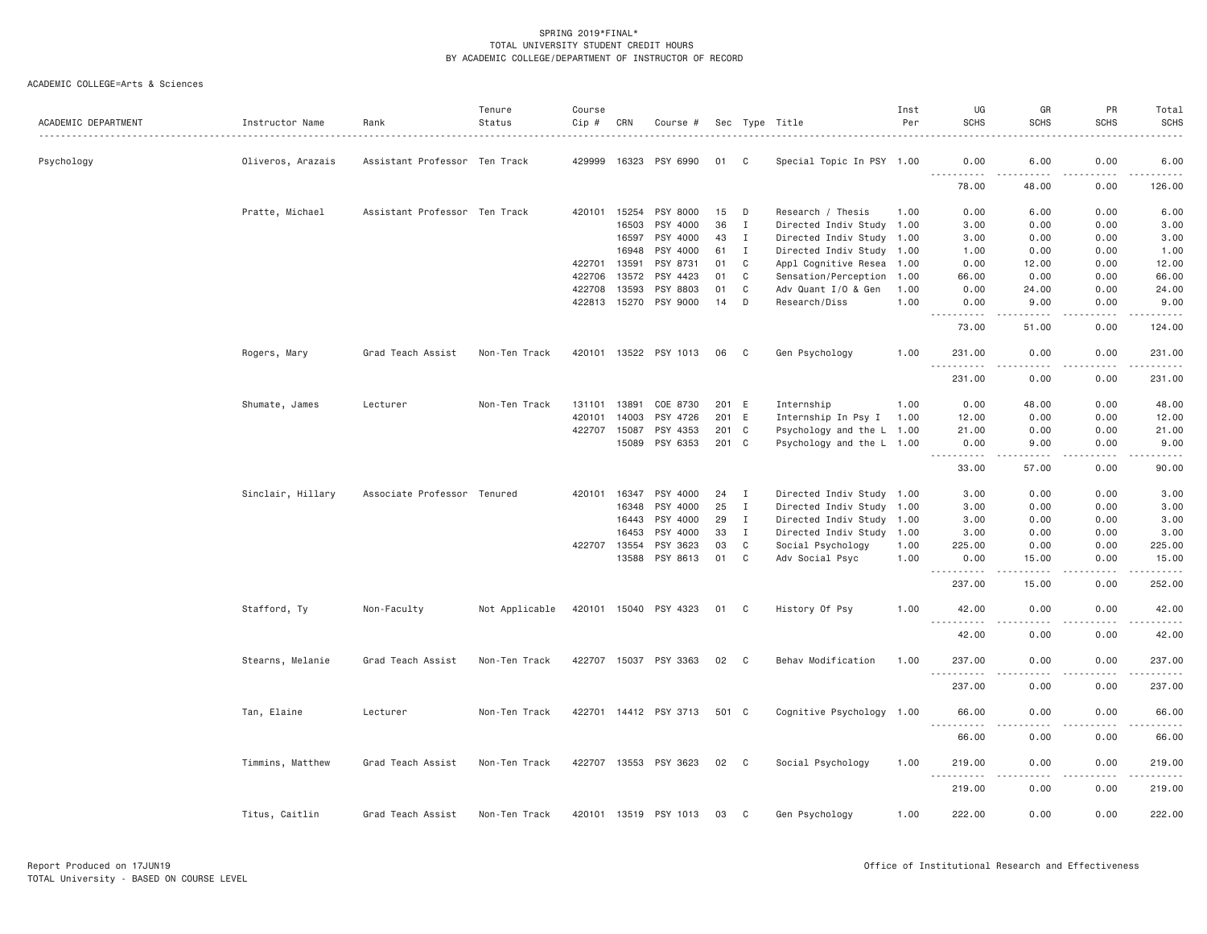| ACADEMIC DEPARTMENT | Instructor Name<br>. | Rank                          | Tenure<br>Status | Course<br>Cip # | CRN          | Course #              |       |              | Sec Type Title            | Inst<br>Per | UG<br><b>SCHS</b>                            | GR<br><b>SCHS</b>     | PR<br><b>SCHS</b>   | Total<br><b>SCHS</b>                                                                                                                                                                      |
|---------------------|----------------------|-------------------------------|------------------|-----------------|--------------|-----------------------|-------|--------------|---------------------------|-------------|----------------------------------------------|-----------------------|---------------------|-------------------------------------------------------------------------------------------------------------------------------------------------------------------------------------------|
| Psychology          | Oliveros, Arazais    | Assistant Professor Ten Track |                  | 429999          | 16323        | PSY 6990              | 01    | <sub>C</sub> | Special Topic In PSY 1.00 |             | 0.00<br>.                                    | 6.00                  | 0.00                | 6.00<br>-----                                                                                                                                                                             |
|                     |                      |                               |                  |                 |              |                       |       |              |                           |             | 78.00                                        | 48.00                 | 0.00                | 126.00                                                                                                                                                                                    |
|                     | Pratte, Michael      | Assistant Professor Ten Track |                  | 420101          | 15254        | PSY 8000              | 15    | D            | Research / Thesis         | 1.00        | 0.00                                         | 6.00                  | 0.00                | 6.00                                                                                                                                                                                      |
|                     |                      |                               |                  |                 | 16503        | PSY 4000              | 36    | $\mathbf{I}$ | Directed Indiv Study 1.00 |             | 3.00                                         | 0.00                  | 0.00                | 3.00                                                                                                                                                                                      |
|                     |                      |                               |                  |                 | 16597        | PSY 4000              | 43    | $\mathbf{I}$ | Directed Indiv Study 1.00 |             | 3.00                                         | 0.00                  | 0.00                | 3.00                                                                                                                                                                                      |
|                     |                      |                               |                  |                 | 16948        | PSY 4000              | 61    | $\mathbf{I}$ | Directed Indiv Study 1.00 |             | 1.00                                         | 0.00                  | 0.00                | 1.00                                                                                                                                                                                      |
|                     |                      |                               |                  | 422701          | 13591        | PSY 8731              | 01    | C            | Appl Cognitive Resea      | 1.00        | 0.00                                         | 12.00                 | 0.00                | 12.00                                                                                                                                                                                     |
|                     |                      |                               |                  | 422706          | 13572        | PSY 4423              | 01    | C            | Sensation/Perception      | 1.00        | 66.00                                        | 0.00                  | 0.00                | 66.00                                                                                                                                                                                     |
|                     |                      |                               |                  | 422708          | 13593        | PSY 8803              | 01    | C            | Adv Quant I/O & Gen       | 1.00        | 0.00                                         | 24.00                 | 0.00                | 24.00                                                                                                                                                                                     |
|                     |                      |                               |                  | 422813          | 15270        | PSY 9000              | 14    | D            | Research/Diss             | 1.00        | 0.00<br>.                                    | 9.00<br>.             | 0.00<br>.           | 9.00<br>.                                                                                                                                                                                 |
|                     |                      |                               |                  |                 |              |                       |       |              |                           |             | 73.00                                        | 51.00                 | 0.00                | 124.00                                                                                                                                                                                    |
|                     | Rogers, Mary         | Grad Teach Assist             | Non-Ten Track    |                 |              | 420101 13522 PSY 1013 | 06    | C            | Gen Psychology            | 1.00        | 231.00<br>$-$<br>$- - - - - - -$             | 0.00                  | 0.00                | 231.00<br>$\alpha$ is a set of $\alpha$                                                                                                                                                   |
|                     |                      |                               |                  |                 |              |                       |       |              |                           |             | 231.00                                       | 0.00                  | 0.00                | 231.00                                                                                                                                                                                    |
|                     |                      | Lecturer                      | Non-Ten Track    | 131101          | 13891        | COE 8730              | 201   | E            | Internship                | 1.00        | 0.00                                         | 48.00                 | 0.00                | 48.00                                                                                                                                                                                     |
|                     | Shumate, James       |                               |                  | 420101          | 14003        | PSY 4726              | 201   | E            | Internship In Psy I       | 1.00        | 12.00                                        | 0.00                  | 0.00                | 12.00                                                                                                                                                                                     |
|                     |                      |                               |                  | 422707          | 15087        | PSY 4353              | 201 C |              |                           |             | 21.00                                        | 0.00                  | 0.00                | 21.00                                                                                                                                                                                     |
|                     |                      |                               |                  |                 |              |                       |       |              | Psychology and the L 1.00 |             |                                              |                       |                     |                                                                                                                                                                                           |
|                     |                      |                               |                  |                 | 15089        | PSY 6353              | 201 C |              | Psychology and the L 1.00 |             | 0.00<br>.<br>$- - -$                         | 9.00<br>$\frac{1}{2}$ | 0.00<br>.           | 9.00<br>.                                                                                                                                                                                 |
|                     |                      |                               |                  |                 |              |                       |       |              |                           |             | 33.00                                        | 57.00                 | 0.00                | 90.00                                                                                                                                                                                     |
|                     | Sinclair, Hillary    | Associate Professor Tenured   |                  | 420101          | 16347        | PSY 4000              | 24    | $\mathbf{I}$ | Directed Indiv Study 1.00 |             | 3.00                                         | 0.00                  | 0.00                | 3.00                                                                                                                                                                                      |
|                     |                      |                               |                  |                 | 16348        | PSY 4000              | 25    | $\mathbf{I}$ | Directed Indiv Study 1.00 |             | 3.00                                         | 0.00                  | 0.00                | 3.00                                                                                                                                                                                      |
|                     |                      |                               |                  |                 | 16443        | PSY 4000              | 29    | $\mathbf{I}$ | Directed Indiv Study 1.00 |             | 3.00                                         | 0.00                  | 0.00                | 3.00                                                                                                                                                                                      |
|                     |                      |                               |                  |                 | 16453        | PSY 4000              | 33    | $\mathbf{I}$ | Directed Indiv Study 1.00 |             | 3.00                                         | 0.00                  | 0.00                | 3.00                                                                                                                                                                                      |
|                     |                      |                               |                  | 422707          | 13554        | PSY 3623              | 03    | $\mathbf C$  | Social Psychology         | 1.00        | 225.00                                       | 0.00                  | 0.00                | 225.00                                                                                                                                                                                    |
|                     |                      |                               |                  |                 | 13588        | PSY 8613              | 01    | C            | Adv Social Psyc           | 1.00        | 0.00                                         | 15.00                 | 0.00                | 15.00                                                                                                                                                                                     |
|                     |                      |                               |                  |                 |              |                       |       |              |                           |             | .<br>237.00                                  | -----<br>15.00        | .<br>0.00           | $- - - - - -$<br>252.00                                                                                                                                                                   |
|                     | Stafford, Ty         | Non-Faculty                   | Not Applicable   |                 |              | 420101 15040 PSY 4323 | 01 C  |              | History Of Psy            | 1,00        | 42.00                                        | 0.00                  | 0.00                | 42.00                                                                                                                                                                                     |
|                     |                      |                               |                  |                 |              |                       |       |              |                           |             | .<br>42.00                                   | .<br>0.00             | $- - - - -$<br>0.00 | .<br>42.00                                                                                                                                                                                |
|                     | Stearns, Melanie     | Grad Teach Assist             | Non-Ten Track    |                 | 422707 15037 | PSY 3363              | 02    | $\mathbf{C}$ | Behav Modification        | 1.00        | 237.00                                       | 0.00                  | 0.00                | 237.00                                                                                                                                                                                    |
|                     |                      |                               |                  |                 |              |                       |       |              |                           |             | $\sim$ $\sim$ $\sim$<br>. <b>.</b><br>237.00 | .<br>0.00             | .<br>0.00           | $\frac{1}{2} \left( \frac{1}{2} \right) \left( \frac{1}{2} \right) \left( \frac{1}{2} \right) \left( \frac{1}{2} \right) \left( \frac{1}{2} \right) \left( \frac{1}{2} \right)$<br>237.00 |
|                     | Tan, Elaine          | Lecturer                      | Non-Ten Track    |                 |              | 422701 14412 PSY 3713 | 501 C |              | Cognitive Psychology 1.00 |             | 66.00                                        | 0.00                  | 0.00                | 66.00                                                                                                                                                                                     |
|                     |                      |                               |                  |                 |              |                       |       |              |                           |             | .<br>.<br>66.00                              | 0.00                  | 0.00                | 66.00                                                                                                                                                                                     |
|                     | Timmins, Matthew     | Grad Teach Assist             | Non-Ten Track    |                 | 422707 13553 | PSY 3623              | 02    | C            | Social Psychology         | 1.00        | 219.00                                       | 0.00                  | 0.00                | 219.00                                                                                                                                                                                    |
|                     |                      |                               |                  |                 |              |                       |       |              |                           |             | $\sim$ $\sim$<br>219.00                      | 0.00                  | 0.00                | 219.00                                                                                                                                                                                    |
|                     | Titus, Caitlin       | Grad Teach Assist             | Non-Ten Track    |                 |              | 420101 13519 PSY 1013 | 03    | C            | Gen Psychology            | 1.00        | 222.00                                       | 0.00                  | 0.00                | 222.00                                                                                                                                                                                    |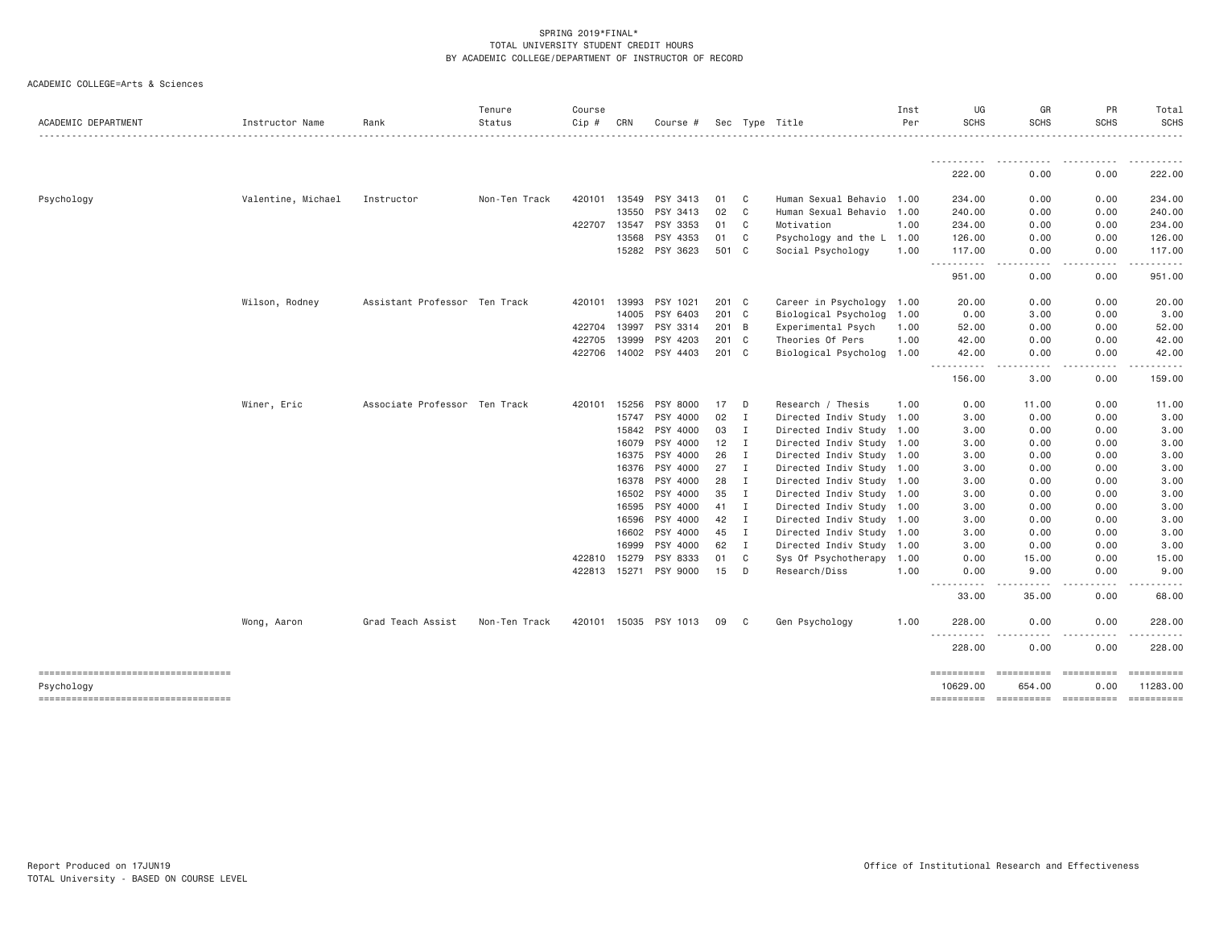| ACADEMIC DEPARTMENT                              | Instructor Name    | Rank                          | Tenure<br>Status | Course<br>Cip # | CRN            | Course #              |          |                             | Sec Type Title                                         | Inst<br>Per | UG<br><b>SCHS</b>                                                                                                                                              | GR<br><b>SCHS</b>                                                                                                                   | PR<br><b>SCHS</b> | Total<br>SCHS<br>. |
|--------------------------------------------------|--------------------|-------------------------------|------------------|-----------------|----------------|-----------------------|----------|-----------------------------|--------------------------------------------------------|-------------|----------------------------------------------------------------------------------------------------------------------------------------------------------------|-------------------------------------------------------------------------------------------------------------------------------------|-------------------|--------------------|
|                                                  |                    |                               |                  |                 |                |                       |          |                             |                                                        |             | .                                                                                                                                                              | $\frac{1}{2} \left( \frac{1}{2} \right) \left( \frac{1}{2} \right) \left( \frac{1}{2} \right) \left( \frac{1}{2} \right)$<br>------ | ------            | .                  |
|                                                  |                    |                               |                  |                 |                |                       |          |                             |                                                        |             | 222.00                                                                                                                                                         | 0.00                                                                                                                                | 0.00              | 222.00             |
| Psychology                                       | Valentine, Michael | Instructor                    | Non-Ten Track    | 420101          | 13549          | PSY 3413              | 01       | C <sub>c</sub>              | Human Sexual Behavio                                   | 1.00        | 234.00                                                                                                                                                         | 0.00                                                                                                                                | 0.00              | 234.00             |
|                                                  |                    |                               |                  |                 | 13550          | PSY 3413              | 02       | C                           | Human Sexual Behavio 1.00                              |             | 240.00                                                                                                                                                         | 0.00                                                                                                                                | 0.00              | 240.00             |
|                                                  |                    |                               |                  | 422707 13547    |                | PSY 3353              | 01       | $\mathbf{C}$                | Motivation                                             | 1.00        | 234.00                                                                                                                                                         | 0.00                                                                                                                                | 0.00              | 234.00             |
|                                                  |                    |                               |                  |                 | 13568          | PSY 4353              | 01       | C <sub>1</sub>              | Psychology and the L 1.00                              |             | 126.00                                                                                                                                                         | 0.00                                                                                                                                | 0.00              | 126.00             |
|                                                  |                    |                               |                  |                 |                | 15282 PSY 3623        | 501 C    |                             | Social Psychology                                      | 1.00        | 117,00<br>$\frac{1}{2} \left( \frac{1}{2} \right) \left( \frac{1}{2} \right) \left( \frac{1}{2} \right) \left( \frac{1}{2} \right) \left( \frac{1}{2} \right)$ | 0.00<br>$\sim$ $\sim$ $\sim$                                                                                                        | 0.00              | 117.00             |
|                                                  |                    |                               |                  |                 |                |                       |          |                             |                                                        |             | 951.00                                                                                                                                                         | 0.00                                                                                                                                | 0.00              | 951.00             |
|                                                  | Wilson, Rodney     | Assistant Professor Ten Track |                  | 420101          | 13993          | PSY 1021              | 201 C    |                             | Career in Psychology                                   | 1.00        | 20.00                                                                                                                                                          | 0.00                                                                                                                                | 0.00              | 20.00              |
|                                                  |                    |                               |                  |                 | 14005          | PSY 6403              | 201 C    |                             | Biological Psycholog                                   | 1.00        | 0.00                                                                                                                                                           | 3.00                                                                                                                                | 0.00              | 3.00               |
|                                                  |                    |                               |                  | 422704          | 13997          | PSY 3314              | 201 B    |                             | Experimental Psych                                     | 1.00        | 52.00                                                                                                                                                          | 0.00                                                                                                                                | 0.00              | 52.00              |
|                                                  |                    |                               |                  | 422705          | 13999          | PSY 4203              | $201$ C  |                             | Theories Of Pers                                       | 1.00        | 42.00                                                                                                                                                          | 0.00                                                                                                                                | 0.00              | 42.00              |
|                                                  |                    |                               |                  |                 |                | 422706 14002 PSY 4403 | 201 C    |                             | Biological Psycholog 1.00                              |             | 42.00<br>$- - - -$<br>$\cdots \cdots \cdots$                                                                                                                   | 0.00<br>. <u>.</u> .                                                                                                                | 0.00<br>-----     | 42.00              |
|                                                  |                    |                               |                  |                 |                |                       |          |                             |                                                        |             | 156.00                                                                                                                                                         | 3.00                                                                                                                                | 0.00              | 159.00             |
|                                                  | Winer, Eric        | Associate Professor Ten Track |                  | 420101          | 15256          | PSY 8000              | 17       | D                           | Research / Thesis                                      | 1.00        | 0.00                                                                                                                                                           | 11.00                                                                                                                               | 0.00              | 11.00              |
|                                                  |                    |                               |                  |                 | 15747          | PSY 4000              | 02       | $\mathbf{I}$                | Directed Indiv Study 1.00                              |             | 3.00                                                                                                                                                           | 0.00                                                                                                                                | 0.00              | 3.00               |
|                                                  |                    |                               |                  |                 | 15842          | PSY 4000              | 03       | $\mathbf{I}$                | Directed Indiv Study 1.00                              |             | 3.00                                                                                                                                                           | 0.00                                                                                                                                | 0.00              | 3.00               |
|                                                  |                    |                               |                  |                 | 16079          | PSY 4000              | 12       | $\mathbf{I}$                | Directed Indiv Study 1.00                              |             | 3.00                                                                                                                                                           | 0.00                                                                                                                                | 0.00              | 3.00               |
|                                                  |                    |                               |                  |                 | 16375          | PSY 4000              | 26       | $\mathbf{I}$                | Directed Indiv Study 1.00                              |             | 3.00                                                                                                                                                           | 0.00                                                                                                                                | 0.00              | 3.00               |
|                                                  |                    |                               |                  |                 |                | 16376 PSY 4000        | 27       | $\mathbf{I}$                | Directed Indiv Study 1.00                              |             | 3.00                                                                                                                                                           | 0.00                                                                                                                                | 0.00              | 3.00               |
|                                                  |                    |                               |                  |                 | 16378          | PSY 4000              | 28       | $\blacksquare$              | Directed Indiv Study 1.00                              |             | 3.00                                                                                                                                                           | 0.00                                                                                                                                | 0.00              | 3.00               |
|                                                  |                    |                               |                  |                 | 16502          | PSY 4000              | 35       | $\mathbf{I}$                | Directed Indiv Study 1.00                              |             | 3.00                                                                                                                                                           | 0.00                                                                                                                                | 0.00              | 3.00               |
|                                                  |                    |                               |                  |                 | 16595          | PSY 4000              | 41       | $\mathbf{I}$                | Directed Indiv Study 1.00                              |             | 3.00                                                                                                                                                           | 0.00                                                                                                                                | 0.00              | 3.00               |
|                                                  |                    |                               |                  |                 | 16596          | PSY 4000              | 42       | $\mathbf{I}$                | Directed Indiv Study 1.00                              |             | 3.00                                                                                                                                                           | 0.00                                                                                                                                | 0.00              | 3.00               |
|                                                  |                    |                               |                  |                 | 16602<br>16999 | PSY 4000<br>PSY 4000  | 45<br>62 | $\mathbf I$<br>$\mathbf{I}$ | Directed Indiv Study 1.00<br>Directed Indiv Study 1.00 |             | 3.00<br>3.00                                                                                                                                                   | 0.00<br>0.00                                                                                                                        | 0.00<br>0.00      | 3.00<br>3.00       |
|                                                  |                    |                               |                  | 422810          | 15279          | PSY 8333              | 01       | C                           | Sys Of Psychotherapy 1.00                              |             | 0.00                                                                                                                                                           | 15.00                                                                                                                               | 0.00              | 15.00              |
|                                                  |                    |                               |                  | 422813          | 15271          | PSY 9000              | 15       | D                           | Research/Diss                                          | 1.00        | 0.00                                                                                                                                                           | 9.00                                                                                                                                | 0.00              | 9.00               |
|                                                  |                    |                               |                  |                 |                |                       |          |                             |                                                        |             | . <b>.</b><br>33.00                                                                                                                                            | 35.00                                                                                                                               | 0.00              | 68.00              |
|                                                  | Wong, Aaron        | Grad Teach Assist             | Non-Ten Track    |                 |                | 420101 15035 PSY 1013 | 09       | - C                         | Gen Psychology                                         | 1.00        | 228,00                                                                                                                                                         | 0.00                                                                                                                                | 0.00              | 228.00             |
|                                                  |                    |                               |                  |                 |                |                       |          |                             |                                                        |             | . <b>.</b><br>228.00                                                                                                                                           | $\sim$ $\sim$ $\sim$<br>0.00                                                                                                        | 0.00              | 228.00             |
|                                                  |                    |                               |                  |                 |                |                       |          |                             |                                                        |             |                                                                                                                                                                |                                                                                                                                     |                   |                    |
| ----------------------------------               |                    |                               |                  |                 |                |                       |          |                             |                                                        |             | $=$ ==========                                                                                                                                                 |                                                                                                                                     | $= 22222222222$   | ==========         |
| Psychology<br>---------------------------------- |                    |                               |                  |                 |                |                       |          |                             |                                                        |             | 10629.00<br>==========                                                                                                                                         | 654.00<br>----------- ----------                                                                                                    | 0.00              | 11283.00           |
|                                                  |                    |                               |                  |                 |                |                       |          |                             |                                                        |             |                                                                                                                                                                |                                                                                                                                     |                   |                    |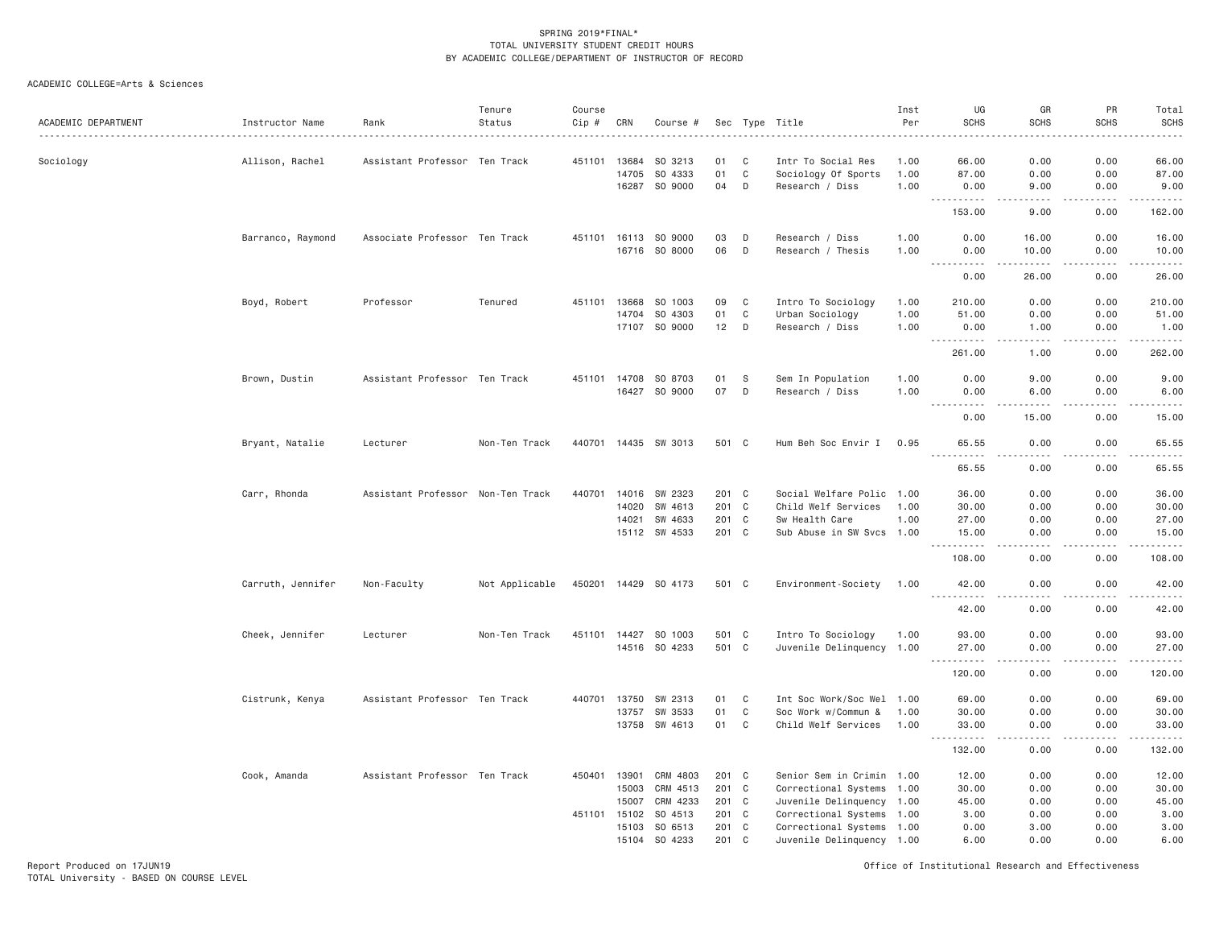ACADEMIC COLLEGE=Arts & Sciences

| ACADEMIC DEPARTMENT | Instructor Name   | Rank                              | Tenure<br>Status | Course<br>Cip # | CRN            | Course #                              |                |                  | Sec Type Title                                         | Inst<br>Per  | UG<br><b>SCHS</b>                                                                                                                                                                        | GR<br><b>SCHS</b> | PR<br><b>SCHS</b>     | Total<br><b>SCHS</b><br>. |
|---------------------|-------------------|-----------------------------------|------------------|-----------------|----------------|---------------------------------------|----------------|------------------|--------------------------------------------------------|--------------|------------------------------------------------------------------------------------------------------------------------------------------------------------------------------------------|-------------------|-----------------------|---------------------------|
| Sociology           | Allison, Rachel   | Assistant Professor Ten Track     |                  | 451101          | 13684          | SO 3213                               | 01             | C                | Intr To Social Res                                     | 1.00         | 66.00                                                                                                                                                                                    | 0.00              | 0.00                  | 66.00                     |
|                     |                   |                                   |                  |                 | 14705<br>16287 | SO 4333<br>SO 9000                    | 01<br>04       | $\mathbf C$<br>D | Sociology Of Sports<br>Research / Diss                 | 1.00<br>1.00 | 87.00<br>0.00                                                                                                                                                                            | 0.00<br>9.00      | 0.00<br>0.00          | 87.00<br>9.00             |
|                     |                   |                                   |                  |                 |                |                                       |                |                  |                                                        |              | .<br>153.00                                                                                                                                                                              | د د د د<br>9.00   | .<br>0.00             | .<br>162.00               |
|                     | Barranco, Raymond | Associate Professor Ten Track     |                  |                 |                | 451101 16113 SO 9000<br>16716 SO 8000 | 03<br>06       | D<br>D           | Research / Diss<br>Research / Thesis                   | 1.00<br>1.00 | 0.00<br>0.00                                                                                                                                                                             | 16.00<br>10.00    | 0.00<br>0.00          | 16.00<br>10.00            |
|                     |                   |                                   |                  |                 |                |                                       |                |                  |                                                        |              | .<br>0.00                                                                                                                                                                                | <u>.</u><br>26.00 | .<br>0.00             | .<br>26.00                |
|                     | Boyd, Robert      | Professor                         | Tenured          | 451101          | 13668          | SO 1003                               | 09             | C                | Intro To Sociology                                     | 1.00         | 210.00                                                                                                                                                                                   | 0.00              | 0.00                  | 210.00                    |
|                     |                   |                                   |                  |                 | 14704          | SO 4303                               | 01             | C                | Urban Sociology                                        | 1.00         | 51.00                                                                                                                                                                                    | 0.00              | 0.00                  | 51.00                     |
|                     |                   |                                   |                  |                 | 17107          | SO 9000                               | 12             | D                | Research / Diss                                        | 1.00         | 0.00<br><b><i><u>.</u></i></b><br>$\frac{1}{2} \left( \frac{1}{2} \right) \left( \frac{1}{2} \right) \left( \frac{1}{2} \right) \left( \frac{1}{2} \right)$                              | 1.00<br>22222     | 0.00<br>.             | 1.00<br>.                 |
|                     |                   |                                   |                  |                 |                |                                       |                |                  |                                                        |              | 261.00                                                                                                                                                                                   | 1.00              | 0.00                  | 262.00                    |
|                     | Brown, Dustin     | Assistant Professor Ten Track     |                  | 451101          | 14708          | SO 8703                               | 01             | S                | Sem In Population                                      | 1.00         | 0.00                                                                                                                                                                                     | 9.00              | 0.00                  | 9.00                      |
|                     |                   |                                   |                  |                 | 16427          | SO 9000                               | 07             | D                | Research / Diss                                        | 1.00         | 0.00<br>.                                                                                                                                                                                | 6.00              | 0.00<br>.             | 6.00<br>.                 |
|                     |                   |                                   |                  |                 |                |                                       |                |                  |                                                        |              | 0.00                                                                                                                                                                                     | 15.00             | 0.00                  | 15.00                     |
|                     | Bryant, Natalie   | Lecturer                          | Non-Ten Track    |                 |                | 440701 14435 SW 3013                  | 501 C          |                  | Hum Beh Soc Envir I                                    | 0.95         | 65.55<br>$   -$                                                                                                                                                                          | 0.00<br>----      | 0.00<br>$\frac{1}{2}$ | 65.55<br>.                |
|                     |                   |                                   |                  |                 |                |                                       |                |                  |                                                        |              | 65.55                                                                                                                                                                                    | 0.00              | 0.00                  | 65.55                     |
|                     | Carr, Rhonda      | Assistant Professor Non-Ten Track |                  | 440701          |                | 14016 SW 2323                         | 201 C          |                  | Social Welfare Polic 1.00                              |              | 36.00                                                                                                                                                                                    | 0.00              | 0.00                  | 36.00                     |
|                     |                   |                                   |                  |                 | 14020          | SW 4613                               | 201 C          |                  | Child Welf Services                                    | 1.00         | 30.00                                                                                                                                                                                    | 0.00              | 0.00                  | 30.00                     |
|                     |                   |                                   |                  |                 | 14021          | SW 4633                               | 201 C          |                  | Sw Health Care                                         | 1.00         | 27.00                                                                                                                                                                                    | 0.00              | 0.00                  | 27.00                     |
|                     |                   |                                   |                  |                 |                | 15112 SW 4533                         | 201 C          |                  | Sub Abuse in SW Svcs 1.00                              |              | 15.00<br>$- - - - -$                                                                                                                                                                     | 0.00<br>$- - - -$ | 0.00<br>$- - - -$     | 15.00<br>.                |
|                     |                   |                                   |                  |                 |                |                                       |                |                  |                                                        |              | 108.00                                                                                                                                                                                   | 0.00              | 0.00                  | 108.00                    |
|                     | Carruth, Jennifer | Non-Faculty                       | Not Applicable   |                 |                | 450201 14429 SO 4173                  | 501 C          |                  | Environment-Society                                    | 1.00         | 42.00<br>$\frac{1}{2} \left( \frac{1}{2} \right) \left( \frac{1}{2} \right) \left( \frac{1}{2} \right) \left( \frac{1}{2} \right) \left( \frac{1}{2} \right) \left( \frac{1}{2} \right)$ | 0.00              | 0.00                  | 42.00<br>.                |
|                     |                   |                                   |                  |                 |                |                                       |                |                  |                                                        |              | 42.00                                                                                                                                                                                    | 0.00              | 0.00                  | 42.00                     |
|                     | Cheek, Jennifer   | Lecturer                          | Non-Ten Track    |                 |                | 451101 14427 SO 1003                  | 501 C          |                  | Intro To Sociology                                     | 1.00         | 93.00                                                                                                                                                                                    | 0.00              | 0.00                  | 93.00                     |
|                     |                   |                                   |                  |                 | 14516          | SO 4233                               | 501 C          |                  | Juvenile Delinquency 1.00                              |              | 27.00                                                                                                                                                                                    | 0.00              | 0.00                  | 27.00<br>.                |
|                     |                   |                                   |                  |                 |                |                                       |                |                  |                                                        |              | 120.00                                                                                                                                                                                   | 0.00              | 0.00                  | 120.00                    |
|                     | Cistrunk, Kenya   | Assistant Professor Ten Track     |                  | 440701          | 13750          | SW 2313                               | 01             | C                | Int Soc Work/Soc Wel 1.00                              |              | 69.00                                                                                                                                                                                    | 0.00              | 0.00                  | 69.00                     |
|                     |                   |                                   |                  |                 | 13757          | SW 3533                               | 01             | $\mathbf C$      | Soc Work w/Commun &                                    | 1.00         | 30.00                                                                                                                                                                                    | 0.00              | 0.00                  | 30.00                     |
|                     |                   |                                   |                  |                 | 13758          | SW 4613                               | 01             | $\mathsf{C}$     | Child Welf Services                                    | 1.00         | 33.00<br>.                                                                                                                                                                               | 0.00<br>.         | 0.00<br>.             | 33.00<br>.                |
|                     |                   |                                   |                  |                 |                |                                       |                |                  |                                                        |              | 132.00                                                                                                                                                                                   | 0.00              | 0.00                  | 132.00                    |
|                     | Cook, Amanda      | Assistant Professor Ten Track     |                  | 450401          | 13901          | CRM 4803                              | 201 C          |                  | Senior Sem in Crimin 1.00                              |              | 12.00                                                                                                                                                                                    | 0.00              | 0.00                  | 12.00                     |
|                     |                   |                                   |                  |                 | 15003          | CRM 4513                              | 201 C          |                  | Correctional Systems 1.00                              |              | 30.00                                                                                                                                                                                    | 0.00              | 0.00                  | 30.00                     |
|                     |                   |                                   |                  | 451101 15102    | 15007          | CRM 4233<br>SO 4513                   | 201 C<br>201 C |                  | Juvenile Delinquency 1.00                              |              | 45.00<br>3.00                                                                                                                                                                            | 0.00<br>0.00      | 0.00<br>0.00          | 45.00<br>3.00             |
|                     |                   |                                   |                  |                 | 15103          | SO 6513                               | 201            | C                | Correctional Systems 1.00<br>Correctional Systems 1.00 |              | 0.00                                                                                                                                                                                     | 3.00              | 0.00                  | 3.00                      |
|                     |                   |                                   |                  |                 | 15104          | SO 4233                               | 201 C          |                  | Juvenile Delinquency 1.00                              |              | 6.00                                                                                                                                                                                     | 0.00              | 0.00                  | 6.00                      |

Report Produced on 17JUN19 Office of Institutional Research and Effectiveness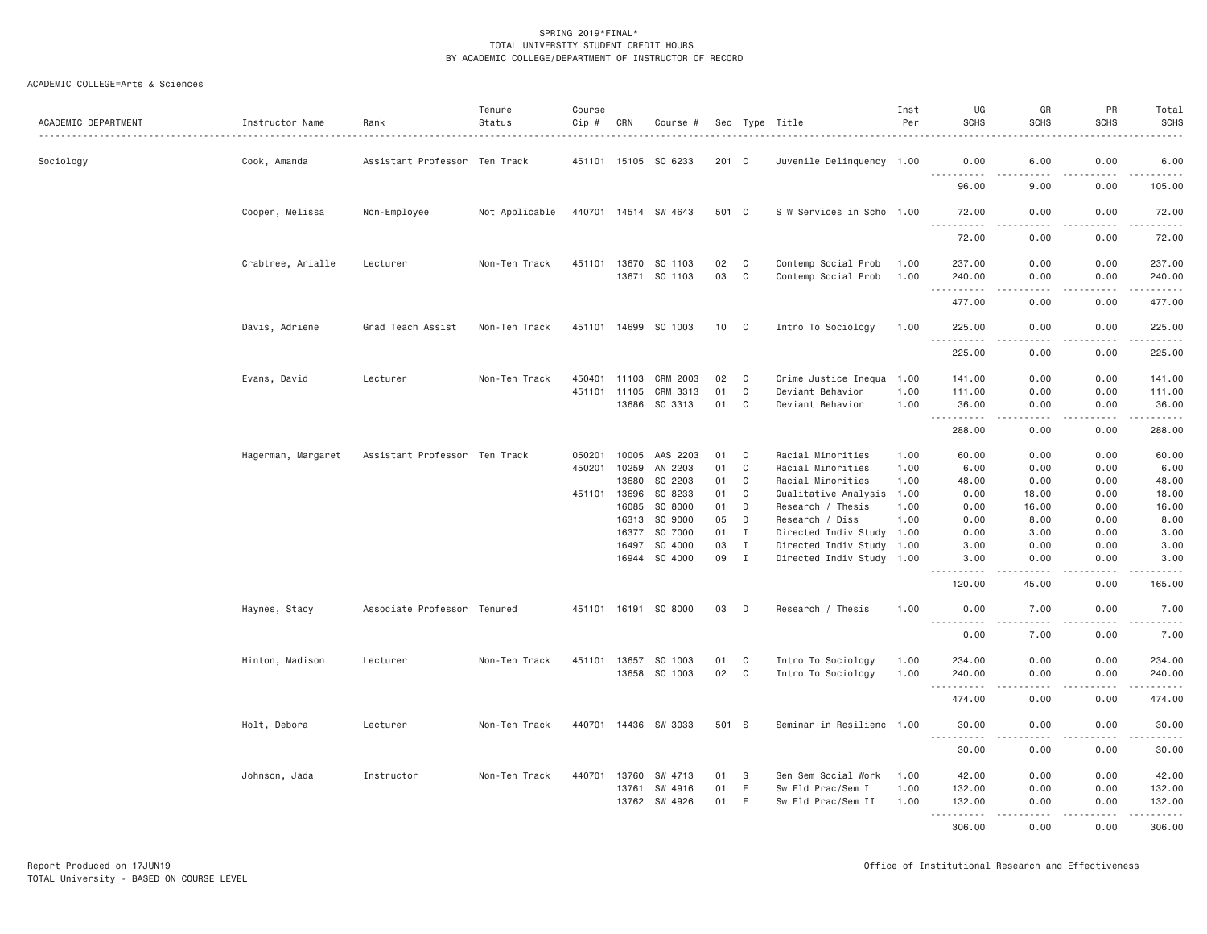| ACADEMIC DEPARTMENT | Instructor Name    | Rank                          | Tenure<br>Status | Course<br>Cip # | CRN   | Course #                 |          |                            | Sec Type Title                                         | Inst<br>Per | UG<br><b>SCHS</b>    | GR<br><b>SCHS</b>                                                                                                                 | PR<br><b>SCHS</b> | Total<br>SCHS<br>.                                                                                                    |
|---------------------|--------------------|-------------------------------|------------------|-----------------|-------|--------------------------|----------|----------------------------|--------------------------------------------------------|-------------|----------------------|-----------------------------------------------------------------------------------------------------------------------------------|-------------------|-----------------------------------------------------------------------------------------------------------------------|
| Sociology           | Cook, Amanda       | Assistant Professor Ten Track |                  |                 |       | 451101 15105 SO 6233     | 201 C    |                            | Juvenile Delinquency 1.00                              |             | 0.00                 | 6.00                                                                                                                              | 0.00              | 6.00                                                                                                                  |
|                     |                    |                               |                  |                 |       |                          |          |                            |                                                        |             | .<br>96.00           | .<br>9.00                                                                                                                         | 0.00              | .<br>105.00                                                                                                           |
|                     | Cooper, Melissa    | Non-Employee                  | Not Applicable   |                 |       | 440701 14514 SW 4643     | 501 C    |                            | S W Services in Scho 1.00                              |             | 72.00                | 0.00                                                                                                                              | 0.00              | 72.00                                                                                                                 |
|                     |                    |                               |                  |                 |       |                          |          |                            |                                                        |             | .<br>72.00           | $\frac{1}{2} \left( \frac{1}{2} \right) \left( \frac{1}{2} \right) \left( \frac{1}{2} \right) \left( \frac{1}{2} \right)$<br>0.00 | .<br>0.00         | .<br>72.00                                                                                                            |
|                     | Crabtree, Arialle  | Lecturer                      | Non-Ten Track    | 451101          | 13670 | SO 1103                  | 02       | C                          | Contemp Social Prob                                    | 1.00        | 237.00               | 0.00                                                                                                                              | 0.00              | 237.00                                                                                                                |
|                     |                    |                               |                  |                 | 13671 | SO 1103                  | 03       | C                          | Contemp Social Prob                                    | 1.00        | 240.00               | 0.00                                                                                                                              | 0.00              | 240.00                                                                                                                |
|                     |                    |                               |                  |                 |       |                          |          |                            |                                                        |             | $  -$<br>.<br>477.00 | $- - - -$<br>0.00                                                                                                                 | .<br>0.00         | $\begin{array}{cccccccccc} \bullet & \bullet & \bullet & \bullet & \bullet & \bullet & \bullet \end{array}$<br>477.00 |
|                     | Davis, Adriene     | Grad Teach Assist             | Non-Ten Track    | 451101 14699    |       | SO 1003                  | 10       | $\overline{\phantom{a}}$ C | Intro To Sociology                                     | 1.00        | 225.00               | 0.00                                                                                                                              | 0.00              | 225.00                                                                                                                |
|                     |                    |                               |                  |                 |       |                          |          |                            |                                                        |             | .<br>225.00          | ----<br>0.00                                                                                                                      | $- - - -$<br>0.00 | $- - - - - - -$<br>225.00                                                                                             |
|                     | Evans, David       | Lecturer                      | Non-Ten Track    | 450401          | 11103 | CRM 2003                 | 02       | C                          | Crime Justice Inequa 1.00                              |             | 141.00               | 0.00                                                                                                                              | 0.00              | 141.00                                                                                                                |
|                     |                    |                               |                  | 451101          | 11105 | CRM 3313                 | 01       | C                          | Deviant Behavior                                       | 1.00        | 111.00               | 0.00                                                                                                                              | 0.00              | 111.00                                                                                                                |
|                     |                    |                               |                  |                 | 13686 | SO 3313                  | 01       | C                          | Deviant Behavior                                       | 1.00        | 36.00<br><b></b>     | 0.00                                                                                                                              | 0.00<br>.         | 36.00<br>.                                                                                                            |
|                     |                    |                               |                  |                 |       |                          |          |                            |                                                        |             | 288.00               | 0.00                                                                                                                              | 0.00              | 288.00                                                                                                                |
|                     | Hagerman, Margaret | Assistant Professor Ten Track |                  | 050201          | 10005 | AAS 2203                 | 01       | C.                         | Racial Minorities                                      | 1.00        | 60.00                | 0.00                                                                                                                              | 0.00              | 60.00                                                                                                                 |
|                     |                    |                               |                  | 450201          | 10259 | AN 2203                  | 01       | C                          | Racial Minorities                                      | 1.00        | 6.00                 | 0.00                                                                                                                              | 0.00              | 6.00                                                                                                                  |
|                     |                    |                               |                  |                 | 13680 | SO 2203                  | 01       | C                          | Racial Minorities                                      | 1.00        | 48.00                | 0.00                                                                                                                              | 0.00              | 48.00                                                                                                                 |
|                     |                    |                               |                  | 451101          | 13696 | SO 8233                  | 01       | C                          | Qualitative Analysis                                   | 1.00        | 0.00                 | 18.00                                                                                                                             | 0.00              | 18.00                                                                                                                 |
|                     |                    |                               |                  |                 | 16085 | SO 8000                  | 01       | D                          | Research / Thesis                                      | 1.00        | 0.00                 | 16.00                                                                                                                             | 0.00              | 16.00                                                                                                                 |
|                     |                    |                               |                  |                 | 16313 | SO 9000                  | 05       | D                          | Research / Diss                                        | 1.00        | 0.00                 | 8.00                                                                                                                              | 0.00              | 8.00                                                                                                                  |
|                     |                    |                               |                  |                 | 16377 | SO 7000                  | 01       | $\mathbf{I}$               | Directed Indiv Study 1.00                              |             | 0.00                 | 3.00                                                                                                                              | 0.00              | 3.00                                                                                                                  |
|                     |                    |                               |                  |                 | 16497 | SO 4000<br>16944 SO 4000 | 03<br>09 | $\mathbf I$<br>$\mathbf I$ | Directed Indiv Study 1.00<br>Directed Indiv Study 1.00 |             | 3.00<br>3,00         | 0.00<br>0.00                                                                                                                      | 0.00<br>0.00      | 3.00<br>3.00                                                                                                          |
|                     |                    |                               |                  |                 |       |                          |          |                            |                                                        |             | 120.00               | 45.00                                                                                                                             | 0.00              | .<br>165.00                                                                                                           |
|                     | Haynes, Stacy      | Associate Professor Tenured   |                  |                 |       | 451101 16191 SO 8000     | 03       | D                          | Research / Thesis                                      | 1.00        | 0.00                 | 7.00                                                                                                                              | 0.00              | 7.00                                                                                                                  |
|                     |                    |                               |                  |                 |       |                          |          |                            |                                                        |             | <u>.</u><br>0.00     | .<br>7.00                                                                                                                         | .<br>0.00         | .<br>7.00                                                                                                             |
|                     | Hinton, Madison    | Lecturer                      | Non-Ten Track    |                 |       | 451101 13657 SO 1003     | 01       | C                          | Intro To Sociology                                     | 1.00        | 234.00               | 0.00                                                                                                                              | 0.00              | 234.00                                                                                                                |
|                     |                    |                               |                  |                 | 13658 | SO 1003                  | 02       | $\mathbf c$                | Intro To Sociology                                     | 1.00        | 240.00               | 0.00                                                                                                                              | 0.00              | 240.00                                                                                                                |
|                     |                    |                               |                  |                 |       |                          |          |                            |                                                        |             | <u>.</u><br>474.00   | $- - -$<br>0.00                                                                                                                   | .<br>0.00         | <u>.</u><br>474.00                                                                                                    |
|                     | Holt, Debora       | Lecturer                      | Non-Ten Track    |                 |       | 440701 14436 SW 3033     | 501 S    |                            | Seminar in Resilienc 1.00                              |             | 30.00                | 0.00                                                                                                                              | 0.00              | 30.00                                                                                                                 |
|                     |                    |                               |                  |                 |       |                          |          |                            |                                                        |             | <u>.</u><br>30.00    | 0.00                                                                                                                              | 0.00              | .<br>30.00                                                                                                            |
|                     | Johnson, Jada      | Instructor                    | Non-Ten Track    | 440701          | 13760 | SW 4713                  | 01       | S                          | Sen Sem Social Work                                    | 1.00        | 42.00                | 0.00                                                                                                                              | 0.00              | 42.00                                                                                                                 |
|                     |                    |                               |                  |                 | 13761 | SW 4916                  | 01       | E                          | Sw Fld Prac/Sem I                                      | 1.00        | 132.00               | 0.00                                                                                                                              | 0.00              | 132.00                                                                                                                |
|                     |                    |                               |                  |                 | 13762 | SW 4926                  | 01       | E                          | Sw Fld Prac/Sem II                                     | 1.00        | 132.00<br>.          | 0.00<br>-----                                                                                                                     | 0.00<br>.         | 132.00<br>.                                                                                                           |
|                     |                    |                               |                  |                 |       |                          |          |                            |                                                        |             | 306.00               | 0.00                                                                                                                              | 0.00              | 306.00                                                                                                                |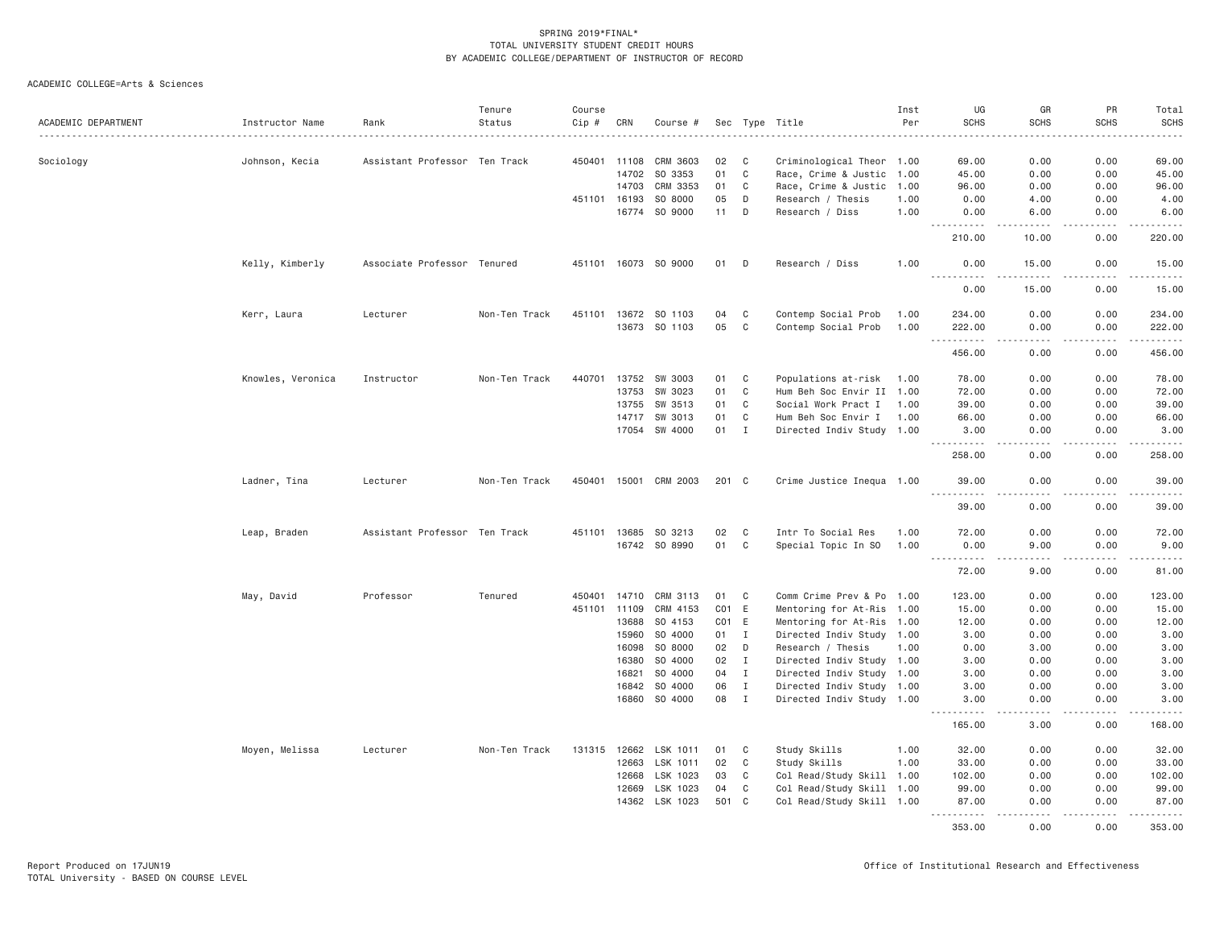| ACADEMIC DEPARTMENT | Instructor Name   | Rank                          | Tenure<br>Status | Course<br>Cip # | CRN          | Course #              |                   |              | Sec Type Title            | Inst<br>Per | UG<br><b>SCHS</b>  | GR<br><b>SCHS</b>                   | PR<br><b>SCHS</b>                                                                                                                                            | Total<br><b>SCHS</b>                                                                                                                         |
|---------------------|-------------------|-------------------------------|------------------|-----------------|--------------|-----------------------|-------------------|--------------|---------------------------|-------------|--------------------|-------------------------------------|--------------------------------------------------------------------------------------------------------------------------------------------------------------|----------------------------------------------------------------------------------------------------------------------------------------------|
|                     |                   |                               |                  |                 |              |                       |                   |              |                           |             |                    |                                     |                                                                                                                                                              |                                                                                                                                              |
| Sociology           | Johnson, Kecia    | Assistant Professor Ten Track |                  |                 | 450401 11108 | CRM 3603              | 02                | C            | Criminological Theor 1.00 |             | 69.00              | 0.00                                | 0.00                                                                                                                                                         | 69.00                                                                                                                                        |
|                     |                   |                               |                  |                 | 14702        | SO 3353               | 01                | $\mathbf C$  | Race, Crime & Justic 1.00 |             | 45.00              | 0.00                                | 0.00                                                                                                                                                         | 45.00                                                                                                                                        |
|                     |                   |                               |                  |                 | 14703        | CRM 3353              | 01                | C            | Race, Crime & Justic 1.00 |             | 96.00              | 0.00                                | 0.00                                                                                                                                                         | 96.00                                                                                                                                        |
|                     |                   |                               |                  |                 | 451101 16193 | SO 8000               | 05                | D            | Research / Thesis         | 1.00        | 0.00               | 4.00                                | 0.00                                                                                                                                                         | 4.00                                                                                                                                         |
|                     |                   |                               |                  |                 | 16774        | SO 9000               | 11                | $\mathsf D$  | Research / Diss           | 1.00        | 0.00<br>-----      | 6.00<br>-----                       | 0.00<br>-----                                                                                                                                                | 6.00<br>.                                                                                                                                    |
|                     |                   |                               |                  |                 |              |                       |                   |              |                           |             | 210.00             | 10.00                               | 0.00                                                                                                                                                         | 220.00                                                                                                                                       |
|                     | Kelly, Kimberly   | Associate Professor Tenured   |                  |                 |              | 451101 16073 SO 9000  | 01                | D            | Research / Diss           | 1.00        | 0.00<br><u>.</u>   | 15.00<br>.                          | 0.00<br>$- - - - -$                                                                                                                                          | 15.00<br>$- - - - - -$                                                                                                                       |
|                     |                   |                               |                  |                 |              |                       |                   |              |                           |             | 0.00               | 15.00                               | 0.00                                                                                                                                                         | 15.00                                                                                                                                        |
|                     | Kerr, Laura       | Lecturer                      | Non-Ten Track    |                 |              | 451101 13672 SO 1103  | 04                | C            | Contemp Social Prob       | 1.00        | 234.00             | 0.00                                | 0.00                                                                                                                                                         | 234.00                                                                                                                                       |
|                     |                   |                               |                  |                 |              | 13673 SO 1103         | 05                | $\mathbf C$  | Contemp Social Prob       | 1.00        | 222.00<br>.<br>$-$ | 0.00<br>.                           | 0.00<br>$- - - - -$                                                                                                                                          | 222.00<br>.                                                                                                                                  |
|                     |                   |                               |                  |                 |              |                       |                   |              |                           |             | 456.00             | 0.00                                | 0.00                                                                                                                                                         | 456.00                                                                                                                                       |
|                     | Knowles, Veronica | Instructor                    | Non-Ten Track    | 440701          |              | 13752 SW 3003         | 01                | C            | Populations at-risk       | 1.00        | 78.00              | 0.00                                | 0.00                                                                                                                                                         | 78.00                                                                                                                                        |
|                     |                   |                               |                  |                 | 13753        | SW 3023               | 01                | $\mathbf C$  | Hum Beh Soc Envir II 1.00 |             | 72.00              | 0.00                                | 0.00                                                                                                                                                         | 72.00                                                                                                                                        |
|                     |                   |                               |                  |                 | 13755        | SW 3513               | 01                | C            | Social Work Pract I       | 1.00        | 39.00              | 0.00                                | 0.00                                                                                                                                                         | 39.00                                                                                                                                        |
|                     |                   |                               |                  |                 | 14717        | SW 3013               | 01                | C            | Hum Beh Soc Envir I       | 1.00        | 66.00              | 0.00                                | 0.00                                                                                                                                                         | 66.00                                                                                                                                        |
|                     |                   |                               |                  |                 |              | 17054 SW 4000         | 01 I              |              | Directed Indiv Study 1.00 |             | 3.00               | 0.00<br>$\sim$ $\sim$ $\sim$        | 0.00<br>-----                                                                                                                                                | 3.00<br>$\mathcal{L}^{\mathcal{A}}\left( \mathcal{A}^{\mathcal{A}}\right) =\mathcal{L}^{\mathcal{A}}\left( \mathcal{A}^{\mathcal{A}}\right)$ |
|                     |                   |                               |                  |                 |              |                       |                   |              |                           |             | 258.00             | 0.00                                | 0.00                                                                                                                                                         | 258.00                                                                                                                                       |
|                     | Ladner, Tina      | Lecturer                      | Non-Ten Track    |                 |              | 450401 15001 CRM 2003 | 201 C             |              | Crime Justice Inequa 1.00 |             | 39.00<br><u>.</u>  | 0.00<br>$\sim$ $\sim$ $\sim$ $\sim$ | 0.00<br>.                                                                                                                                                    | 39.00<br>.                                                                                                                                   |
|                     |                   |                               |                  |                 |              |                       |                   |              |                           |             | 39.00              | 0.00                                | 0.00                                                                                                                                                         | 39.00                                                                                                                                        |
|                     | Leap, Braden      | Assistant Professor Ten Track |                  |                 |              | 451101 13685 SO 3213  | 02                | C            | Intr To Social Res        | 1.00        | 72.00              | 0.00                                | 0.00                                                                                                                                                         | 72.00                                                                                                                                        |
|                     |                   |                               |                  |                 |              | 16742 SO 8990         | 01                | C            | Special Topic In SO       | 1.00        | 0.00               | 9.00                                | 0.00                                                                                                                                                         | 9.00                                                                                                                                         |
|                     |                   |                               |                  |                 |              |                       |                   |              |                           |             | .<br>72.00         | $\sim$ $\sim$ $\sim$ $\sim$<br>9.00 | $\sim$ $\sim$ $\sim$<br>0.00                                                                                                                                 | المالم عامات<br>81.00                                                                                                                        |
|                     | May, David        | Professor                     | Tenured          | 450401          | 14710        | CRM 3113              | 01                | C            | Comm Crime Prev & Po 1.00 |             | 123.00             | 0.00                                | 0.00                                                                                                                                                         | 123.00                                                                                                                                       |
|                     |                   |                               |                  | 451101          | 11109        | CRM 4153              | CO <sub>1</sub>   | E.           | Mentoring for At-Ris 1.00 |             | 15.00              | 0.00                                | 0.00                                                                                                                                                         | 15.00                                                                                                                                        |
|                     |                   |                               |                  |                 | 13688        | SO 4153               | CO <sub>1</sub> E |              | Mentoring for At-Ris 1.00 |             | 12.00              | 0.00                                | 0.00                                                                                                                                                         | 12.00                                                                                                                                        |
|                     |                   |                               |                  |                 | 15960        | SO 4000               | 01 I              |              | Directed Indiv Study 1.00 |             | 3.00               | 0.00                                | 0.00                                                                                                                                                         | 3.00                                                                                                                                         |
|                     |                   |                               |                  |                 | 16098        | SO 8000               | 02                | D            | Research / Thesis         | 1.00        | 0.00               | 3.00                                | 0.00                                                                                                                                                         | 3.00                                                                                                                                         |
|                     |                   |                               |                  |                 | 16380        | SO 4000               | 02                | I            | Directed Indiv Study 1.00 |             | 3.00               | 0.00                                | 0.00                                                                                                                                                         | 3.00                                                                                                                                         |
|                     |                   |                               |                  |                 | 16821        | SO 4000               | 04                | Ι.           | Directed Indiv Study 1.00 |             | 3.00               | 0.00                                | 0.00                                                                                                                                                         | 3.00                                                                                                                                         |
|                     |                   |                               |                  |                 | 16842        | SO 4000               | 06                | $\mathbf{I}$ | Directed Indiv Study 1.00 |             | 3.00               | 0.00                                | 0.00                                                                                                                                                         | 3.00                                                                                                                                         |
|                     |                   |                               |                  |                 |              | 16860 SO 4000         | 08                | $\mathbf{I}$ | Directed Indiv Study 1.00 |             | 3.00<br>.          | 0.00<br>.                           | 0.00<br>$\frac{1}{2} \left( \frac{1}{2} \right) \left( \frac{1}{2} \right) \left( \frac{1}{2} \right) \left( \frac{1}{2} \right) \left( \frac{1}{2} \right)$ | 3.00<br>$\omega$ is $\omega$ in $\omega$ in                                                                                                  |
|                     |                   |                               |                  |                 |              |                       |                   |              |                           |             | 165.00             | 3.00                                | 0.00                                                                                                                                                         | 168.00                                                                                                                                       |
|                     | Moyen, Melissa    | Lecturer                      | Non-Ten Track    | 131315          | 12662        | LSK 1011              | 01                | C            | Study Skills              | 1.00        | 32.00              | 0.00                                | 0.00                                                                                                                                                         | 32.00                                                                                                                                        |
|                     |                   |                               |                  |                 | 12663        | LSK 1011              | 02                | $\mathbf C$  | Study Skills              | 1.00        | 33.00              | 0.00                                | 0.00                                                                                                                                                         | 33.00                                                                                                                                        |
|                     |                   |                               |                  |                 | 12668        | LSK 1023              | 03                | C            | Col Read/Study Skill 1.00 |             | 102.00             | 0.00                                | 0.00                                                                                                                                                         | 102.00                                                                                                                                       |
|                     |                   |                               |                  |                 | 12669        | LSK 1023              | 04                | C            | Col Read/Study Skill 1.00 |             | 99.00              | 0.00                                | 0.00                                                                                                                                                         | 99.00                                                                                                                                        |
|                     |                   |                               |                  |                 |              | 14362 LSK 1023        | 501 C             |              | Col Read/Study Skill 1.00 |             | 87.00<br>.         | 0.00<br>$- - - -$                   | 0.00<br>.                                                                                                                                                    | 87.00<br>$- - - - - -$                                                                                                                       |
|                     |                   |                               |                  |                 |              |                       |                   |              |                           |             | 353.00             | 0.00                                | 0.00                                                                                                                                                         | 353.00                                                                                                                                       |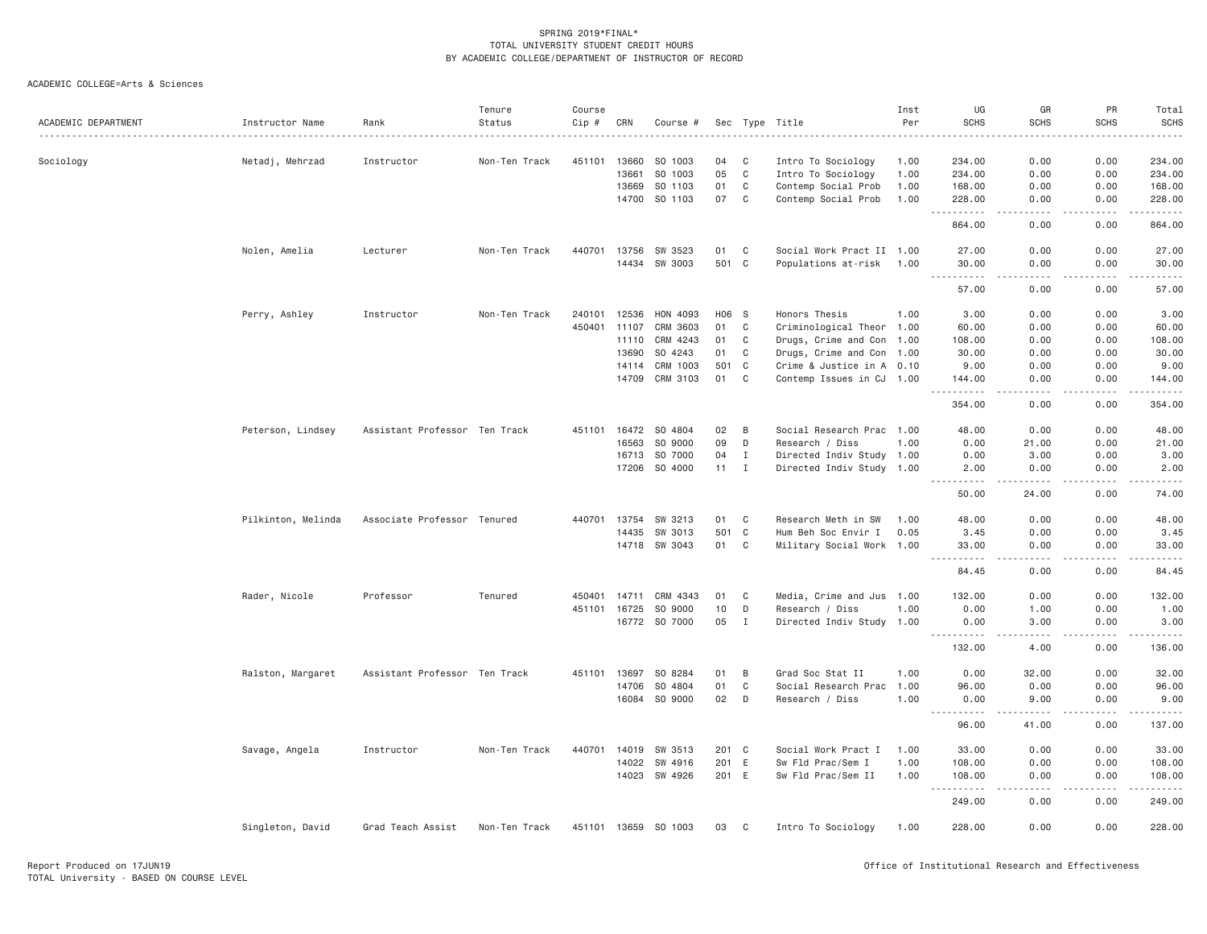| ACADEMIC DEPARTMENT | Instructor Name    | Rank                          | Tenure<br>Status | Course<br>Cip # | CRN          | Course #      |       |              | Sec Type Title<br>.       | Inst<br>Per | UG<br><b>SCHS</b>                                                                                                  | GR<br><b>SCHS</b>                   | PR<br><b>SCHS</b> | Total<br><b>SCHS</b>                                                                                                                                                                      |
|---------------------|--------------------|-------------------------------|------------------|-----------------|--------------|---------------|-------|--------------|---------------------------|-------------|--------------------------------------------------------------------------------------------------------------------|-------------------------------------|-------------------|-------------------------------------------------------------------------------------------------------------------------------------------------------------------------------------------|
| Sociology           | Netadj, Mehrzad    | Instructor                    | Non-Ten Track    | 451101          | 13660        | SO 1003       | 04    | C            | Intro To Sociology        | 1.00        | 234.00                                                                                                             | 0.00                                | 0.00              | 234.00                                                                                                                                                                                    |
|                     |                    |                               |                  |                 | 13661        | SO 1003       | 05    | $\mathbb C$  | Intro To Sociology        | 1.00        | 234.00                                                                                                             | 0.00                                | 0.00              | 234.00                                                                                                                                                                                    |
|                     |                    |                               |                  |                 | 13669        | SO 1103       | 01    | $\mathbb C$  | Contemp Social Prob       | 1.00        | 168.00                                                                                                             | 0.00                                | 0.00              | 168.00                                                                                                                                                                                    |
|                     |                    |                               |                  |                 | 14700        | SO 1103       | 07    | C            | Contemp Social Prob       | 1.00        | 228.00<br>$\sim$ $\sim$ $\sim$                                                                                     | 0.00                                | 0.00              | 228.00<br>$\frac{1}{2} \left( \frac{1}{2} \right) \left( \frac{1}{2} \right) \left( \frac{1}{2} \right) \left( \frac{1}{2} \right) \left( \frac{1}{2} \right) \left( \frac{1}{2} \right)$ |
|                     |                    |                               |                  |                 |              |               |       |              |                           |             | 864.00                                                                                                             | 0.00                                | 0.00              | 864.00                                                                                                                                                                                    |
|                     | Nolen, Amelia      | Lecturer                      | Non-Ten Track    | 440701          | 13756        | SW 3523       | 01    | C            | Social Work Pract II 1.00 |             | 27.00                                                                                                              | 0.00                                | 0.00              | 27.00                                                                                                                                                                                     |
|                     |                    |                               |                  |                 |              | 14434 SW 3003 | 501 C |              | Populations at-risk 1.00  |             | 30.00<br>.                                                                                                         | 0.00<br>$\sim$ $\sim$ $\sim$ $\sim$ | 0.00<br>.         | 30.00<br>.                                                                                                                                                                                |
|                     |                    |                               |                  |                 |              |               |       |              |                           |             | 57.00                                                                                                              | 0.00                                | 0.00              | 57.00                                                                                                                                                                                     |
|                     | Perry, Ashley      | Instructor                    | Non-Ten Track    | 240101          | 12536        | HON 4093      | H06 S |              | Honors Thesis             | 1.00        | 3.00                                                                                                               | 0.00                                | 0.00              | 3.00                                                                                                                                                                                      |
|                     |                    |                               |                  | 450401          | 11107        | CRM 3603      | 01    | C            | Criminological Theor 1.00 |             | 60.00                                                                                                              | 0.00                                | 0.00              | 60.00                                                                                                                                                                                     |
|                     |                    |                               |                  |                 | 11110        | CRM 4243      | 01    | C            | Drugs, Crime and Con 1.00 |             | 108.00                                                                                                             | 0.00                                | 0.00              | 108.00                                                                                                                                                                                    |
|                     |                    |                               |                  |                 | 13690        | SO 4243       | 01    | C            | Drugs, Crime and Con 1.00 |             | 30.00                                                                                                              | 0.00                                | 0.00              | 30.00                                                                                                                                                                                     |
|                     |                    |                               |                  |                 | 14114        | CRM 1003      | 501   | C            | Crime & Justice in A 0.10 |             | 9.00                                                                                                               | 0.00                                | 0.00              | 9.00                                                                                                                                                                                      |
|                     |                    |                               |                  |                 | 14709        | CRM 3103      | 01    | $\mathbf{C}$ | Contemp Issues in CJ 1.00 |             | 144.00                                                                                                             | 0.00<br>$\sim$ $\sim$ $\sim$ $\sim$ | 0.00<br>.         | 144.00<br>$\omega$ is $\omega$ in $\omega$ in                                                                                                                                             |
|                     |                    |                               |                  |                 |              |               |       |              |                           |             | 354.00                                                                                                             | 0.00                                | 0.00              | 354.00                                                                                                                                                                                    |
|                     | Peterson, Lindsey  | Assistant Professor Ten Track |                  |                 | 451101 16472 | SO 4804       | 02    | B            | Social Research Prac 1.00 |             | 48.00                                                                                                              | 0.00                                | 0.00              | 48.00                                                                                                                                                                                     |
|                     |                    |                               |                  |                 | 16563        | SO 9000       | 09    | D            | Research / Diss           | 1.00        | 0.00                                                                                                               | 21.00                               | 0.00              | 21.00                                                                                                                                                                                     |
|                     |                    |                               |                  |                 | 16713        | SO 7000       | 04    | Ι.           | Directed Indiv Study 1.00 |             | 0.00                                                                                                               | 3.00                                | 0.00              | 3.00                                                                                                                                                                                      |
|                     |                    |                               |                  |                 | 17206        | SO 4000       | 11    | $\mathbf I$  | Directed Indiv Study 1.00 |             | 2.00<br>.                                                                                                          | 0.00<br>-----                       | 0.00<br>.         | 2.00<br>$   -$                                                                                                                                                                            |
|                     |                    |                               |                  |                 |              |               |       |              |                           |             | 50.00                                                                                                              | 24.00                               | 0.00              | 74.00                                                                                                                                                                                     |
|                     | Pilkinton, Melinda | Associate Professor Tenured   |                  | 440701          | 13754        | SW 3213       | 01    | C            | Research Meth in SW       | 1.00        | 48.00                                                                                                              | 0.00                                | 0.00              | 48.00                                                                                                                                                                                     |
|                     |                    |                               |                  |                 | 14435        | SW 3013       | 501 C |              | Hum Beh Soc Envir I       | 0.05        | 3.45                                                                                                               | 0.00                                | 0.00              | 3.45                                                                                                                                                                                      |
|                     |                    |                               |                  |                 |              | 14718 SW 3043 | 01    | C            | Military Social Work 1.00 |             | 33.00<br>.<br>$- - -$                                                                                              | 0.00<br>.                           | 0.00<br>.         | 33.00<br>.                                                                                                                                                                                |
|                     |                    |                               |                  |                 |              |               |       |              |                           |             | 84.45                                                                                                              | 0.00                                | 0.00              | 84.45                                                                                                                                                                                     |
|                     | Rader, Nicole      | Professor                     | Tenured          | 450401          | 14711        | CRM 4343      | 01    | C            | Media, Crime and Jus 1.00 |             | 132.00                                                                                                             | 0.00                                | 0.00              | 132.00                                                                                                                                                                                    |
|                     |                    |                               |                  | 451101 16725    |              | SO 9000       | 10    | D            | Research / Diss           | 1.00        | 0.00                                                                                                               | 1.00                                | 0.00              | 1.00                                                                                                                                                                                      |
|                     |                    |                               |                  |                 | 16772        | SO 7000       | 05    | $\mathbf I$  | Directed Indiv Study 1.00 |             | 0.00<br><b>.</b><br>$\frac{1}{2} \left( \frac{1}{2} \right) \left( \frac{1}{2} \right) \left( \frac{1}{2} \right)$ | 3.00<br>$\sim$ $\sim$ $\sim$ $\sim$ | 0.00<br>.         | 3.00<br>------                                                                                                                                                                            |
|                     |                    |                               |                  |                 |              |               |       |              |                           |             | 132.00                                                                                                             | 4.00                                | 0.00              | 136.00                                                                                                                                                                                    |
|                     | Ralston, Margaret  | Assistant Professor Ten Track |                  | 451101          | 13697        | SO 8284       | 01    | B            | Grad Soc Stat II          | 1.00        | 0.00                                                                                                               | 32.00                               | 0.00              | 32.00                                                                                                                                                                                     |
|                     |                    |                               |                  |                 | 14706        | SO 4804       | 01    | $\mathbf C$  | Social Research Prac 1.00 |             | 96.00                                                                                                              | 0.00                                | 0.00              | 96.00                                                                                                                                                                                     |
|                     |                    |                               |                  |                 |              | 16084 SO 9000 | 02    | D            | Research / Diss           | 1.00        | 0.00<br>الدامات مالدان<br>$\sim$ $\sim$ $\sim$                                                                     | 9.00<br>22222                       | 0.00<br>.         | 9.00<br>.                                                                                                                                                                                 |
|                     |                    |                               |                  |                 |              |               |       |              |                           |             | 96.00                                                                                                              | 41.00                               | 0.00              | 137.00                                                                                                                                                                                    |
|                     | Savage, Angela     | Instructor                    | Non-Ten Track    | 440701          | 14019        | SW 3513       | 201   | C            | Social Work Pract I       | 1.00        | 33.00                                                                                                              | 0.00                                | 0.00              | 33.00                                                                                                                                                                                     |
|                     |                    |                               |                  |                 | 14022        | SW 4916       |       | 201 E        | Sw Fld Prac/Sem I         | 1.00        | 108.00                                                                                                             | 0.00                                | 0.00              | 108.00                                                                                                                                                                                    |
|                     |                    |                               |                  |                 |              | 14023 SW 4926 |       | 201 E        | Sw Fld Prac/Sem II        | 1.00        | 108.00<br>$\sim$ $\sim$ .<br>$- - - - -$                                                                           | 0.00<br>$\frac{1}{2}$               | 0.00<br>.         | 108.00<br><u>.</u>                                                                                                                                                                        |
|                     |                    |                               |                  |                 |              |               |       |              |                           |             | 249.00                                                                                                             | 0.00                                | 0.00              | 249.00                                                                                                                                                                                    |
|                     | Singleton, David   | Grad Teach Assist             | Non-Ten Track    | 451101 13659    |              | SO 1003       | 03    | - C          | Intro To Sociology        | 1.00        | 228.00                                                                                                             | 0.00                                | 0.00              | 228.00                                                                                                                                                                                    |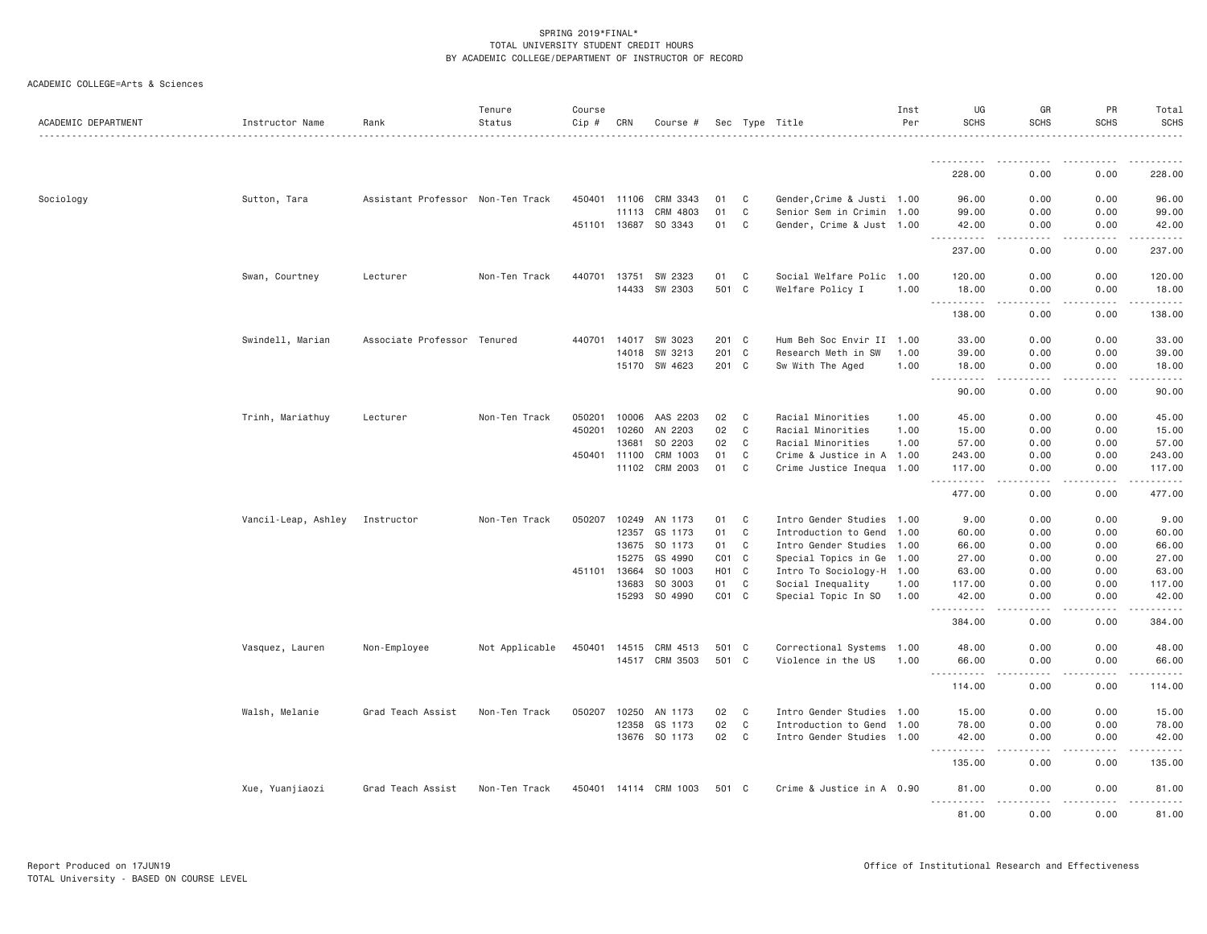| ACADEMIC COLLEGE=Arts & Sciences |  |
|----------------------------------|--|
|                                  |  |

| ACADEMIC DEPARTMENT | Instructor Name     | Rank                              | Tenure<br>Status | Course<br>$Cip \#$ | CRN          | Course #              |                  |              | Sec Type Title             | Inst<br>Per | UG<br><b>SCHS</b>                                                                                            | GR<br><b>SCHS</b>              | PR<br><b>SCHS</b>                                                                                                                                            | Total<br><b>SCHS</b>                                                                                                                                                                                                                                                                                                                                                                                                                                                                            |
|---------------------|---------------------|-----------------------------------|------------------|--------------------|--------------|-----------------------|------------------|--------------|----------------------------|-------------|--------------------------------------------------------------------------------------------------------------|--------------------------------|--------------------------------------------------------------------------------------------------------------------------------------------------------------|-------------------------------------------------------------------------------------------------------------------------------------------------------------------------------------------------------------------------------------------------------------------------------------------------------------------------------------------------------------------------------------------------------------------------------------------------------------------------------------------------|
|                     |                     |                                   |                  |                    |              |                       |                  |              |                            |             |                                                                                                              |                                |                                                                                                                                                              |                                                                                                                                                                                                                                                                                                                                                                                                                                                                                                 |
|                     |                     |                                   |                  |                    |              |                       |                  |              |                            |             | 228.00                                                                                                       | 0.00                           | 0.00                                                                                                                                                         | 228.00                                                                                                                                                                                                                                                                                                                                                                                                                                                                                          |
| Sociology           | Sutton, Tara        | Assistant Professor Non-Ten Track |                  | 450401             | 11106        | CRM 3343              | 01               | C            | Gender, Crime & Justi 1.00 |             | 96.00                                                                                                        | 0.00                           | 0.00                                                                                                                                                         | 96.00                                                                                                                                                                                                                                                                                                                                                                                                                                                                                           |
|                     |                     |                                   |                  |                    | 11113        | CRM 4803              | 01               | C            | Senior Sem in Crimin 1.00  |             | 99.00                                                                                                        | 0.00                           | 0.00                                                                                                                                                         | 99.00                                                                                                                                                                                                                                                                                                                                                                                                                                                                                           |
|                     |                     |                                   |                  |                    | 451101 13687 | SO 3343               | 01               | C            | Gender, Crime & Just 1.00  |             | 42.00<br>.                                                                                                   | 0.00                           | 0.00                                                                                                                                                         | 42.00<br>.                                                                                                                                                                                                                                                                                                                                                                                                                                                                                      |
|                     |                     |                                   |                  |                    |              |                       |                  |              |                            |             | 237.00                                                                                                       | 0.00                           | 0.00                                                                                                                                                         | 237.00                                                                                                                                                                                                                                                                                                                                                                                                                                                                                          |
|                     | Swan, Courtney      | Lecturer                          | Non-Ten Track    | 440701             | 13751        | SW 2323               | 01               | C            | Social Welfare Polic 1.00  |             | 120.00                                                                                                       | 0.00                           | 0.00                                                                                                                                                         | 120.00                                                                                                                                                                                                                                                                                                                                                                                                                                                                                          |
|                     |                     |                                   |                  |                    | 14433        | SW 2303               | 501 C            |              | Welfare Policy I           | 1.00        | 18.00<br>.<br>$\frac{1}{2} \left( \frac{1}{2} \right) \left( \frac{1}{2} \right) \left( \frac{1}{2} \right)$ | 0.00<br>المتمالين              | 0.00<br>.                                                                                                                                                    | 18.00<br>$\omega_{\alpha}=\omega_{\alpha}=\omega_{\alpha}=\omega_{\alpha}$                                                                                                                                                                                                                                                                                                                                                                                                                      |
|                     |                     |                                   |                  |                    |              |                       |                  |              |                            |             | 138.00                                                                                                       | 0.00                           | 0.00                                                                                                                                                         | 138.00                                                                                                                                                                                                                                                                                                                                                                                                                                                                                          |
|                     | Swindell, Marian    | Associate Professor Tenured       |                  | 440701             | 14017        | SW 3023               | 201 C            |              | Hum Beh Soc Envir II 1.00  |             | 33,00                                                                                                        | 0.00                           | 0.00                                                                                                                                                         | 33.00                                                                                                                                                                                                                                                                                                                                                                                                                                                                                           |
|                     |                     |                                   |                  |                    | 14018        | SW 3213               | 201 C            |              | Research Meth in SW        | 1.00        | 39.00                                                                                                        | 0.00                           | 0.00                                                                                                                                                         | 39.00                                                                                                                                                                                                                                                                                                                                                                                                                                                                                           |
|                     |                     |                                   |                  |                    | 15170        | SW 4623               | 201 C            |              | Sw With The Aged           | 1.00        | 18.00<br>.<br>$\sim$ $\sim$ $\sim$                                                                           | 0.00<br>$\omega$ is a $\omega$ | 0.00<br>$\frac{1}{2} \left( \frac{1}{2} \right) \left( \frac{1}{2} \right) \left( \frac{1}{2} \right) \left( \frac{1}{2} \right) \left( \frac{1}{2} \right)$ | 18.00<br>.                                                                                                                                                                                                                                                                                                                                                                                                                                                                                      |
|                     |                     |                                   |                  |                    |              |                       |                  |              |                            |             | 90.00                                                                                                        | 0.00                           | 0.00                                                                                                                                                         | 90.00                                                                                                                                                                                                                                                                                                                                                                                                                                                                                           |
|                     | Trinh, Mariathuy    | Lecturer                          | Non-Ten Track    | 050201             | 10006        | AAS 2203              | 02               | C            | Racial Minorities          | 1.00        | 45.00                                                                                                        | 0.00                           | 0.00                                                                                                                                                         | 45.00                                                                                                                                                                                                                                                                                                                                                                                                                                                                                           |
|                     |                     |                                   |                  | 450201             | 10260        | AN 2203               | 02               | C            | Racial Minorities          | 1.00        | 15.00                                                                                                        | 0.00                           | 0.00                                                                                                                                                         | 15.00                                                                                                                                                                                                                                                                                                                                                                                                                                                                                           |
|                     |                     |                                   |                  |                    | 13681        | SO 2203               | 02               | C            | Racial Minorities          | 1.00        | 57.00                                                                                                        | 0.00                           | 0.00                                                                                                                                                         | 57.00                                                                                                                                                                                                                                                                                                                                                                                                                                                                                           |
|                     |                     |                                   |                  | 450401             | 11100        | CRM 1003              | 01               | C            | Crime & Justice in A 1.00  |             | 243.00                                                                                                       | 0.00                           | 0.00                                                                                                                                                         | 243.00                                                                                                                                                                                                                                                                                                                                                                                                                                                                                          |
|                     |                     |                                   |                  |                    | 11102        | CRM 2003              | 01               | C            | Crime Justice Inequa 1.00  |             | 117.00<br><u>.</u>                                                                                           | 0.00<br>.                      | 0.00<br>.                                                                                                                                                    | 117.00<br>.                                                                                                                                                                                                                                                                                                                                                                                                                                                                                     |
|                     |                     |                                   |                  |                    |              |                       |                  |              |                            |             | 477.00                                                                                                       | 0.00                           | 0.00                                                                                                                                                         | 477.00                                                                                                                                                                                                                                                                                                                                                                                                                                                                                          |
|                     | Vancil-Leap, Ashley | Instructor                        | Non-Ten Track    | 050207             | 10249        | AN 1173               | 01               | C            | Intro Gender Studies 1.00  |             | 9.00                                                                                                         | 0.00                           | 0.00                                                                                                                                                         | 9.00                                                                                                                                                                                                                                                                                                                                                                                                                                                                                            |
|                     |                     |                                   |                  |                    | 12357        | GS 1173               | 01               | $\mathbf C$  | Introduction to Gend       | 1.00        | 60.00                                                                                                        | 0.00                           | 0.00                                                                                                                                                         | 60.00                                                                                                                                                                                                                                                                                                                                                                                                                                                                                           |
|                     |                     |                                   |                  |                    | 13675        | SO 1173               | 01               | C            | Intro Gender Studies 1.00  |             | 66.00                                                                                                        | 0.00                           | 0.00                                                                                                                                                         | 66.00                                                                                                                                                                                                                                                                                                                                                                                                                                                                                           |
|                     |                     |                                   |                  |                    | 15275        | GS 4990               | $CO1$ $C$        |              | Special Topics in Ge 1.00  |             | 27.00                                                                                                        | 0.00                           | 0.00                                                                                                                                                         | 27.00                                                                                                                                                                                                                                                                                                                                                                                                                                                                                           |
|                     |                     |                                   |                  | 451101             | 13664        | SO 1003               | H <sub>0</sub> 1 | $\mathbf C$  | Intro To Sociology-H 1.00  |             | 63.00                                                                                                        | 0.00                           | 0.00                                                                                                                                                         | 63.00                                                                                                                                                                                                                                                                                                                                                                                                                                                                                           |
|                     |                     |                                   |                  |                    | 13683        | SO 3003               | 01               | C            | Social Inequality          | 1.00        | 117.00                                                                                                       | 0.00                           | 0.00                                                                                                                                                         | 117.00                                                                                                                                                                                                                                                                                                                                                                                                                                                                                          |
|                     |                     |                                   |                  |                    | 15293        | SO 4990               | $CO1$ $C$        |              | Special Topic In SO        | 1.00        | 42.00<br>.                                                                                                   | 0.00<br>.                      | 0.00<br>$\frac{1}{2} \left( \frac{1}{2} \right) \left( \frac{1}{2} \right) \left( \frac{1}{2} \right) \left( \frac{1}{2} \right) \left( \frac{1}{2} \right)$ | 42.00<br>$\begin{array}{cccccccccccccc} \multicolumn{2}{c}{} & \multicolumn{2}{c}{} & \multicolumn{2}{c}{} & \multicolumn{2}{c}{} & \multicolumn{2}{c}{} & \multicolumn{2}{c}{} & \multicolumn{2}{c}{} & \multicolumn{2}{c}{} & \multicolumn{2}{c}{} & \multicolumn{2}{c}{} & \multicolumn{2}{c}{} & \multicolumn{2}{c}{} & \multicolumn{2}{c}{} & \multicolumn{2}{c}{} & \multicolumn{2}{c}{} & \multicolumn{2}{c}{} & \multicolumn{2}{c}{} & \multicolumn{2}{c}{} & \multicolumn{2}{c}{} & \$ |
|                     |                     |                                   |                  |                    |              |                       |                  |              |                            |             | 384.00                                                                                                       | 0.00                           | 0.00                                                                                                                                                         | 384.00                                                                                                                                                                                                                                                                                                                                                                                                                                                                                          |
|                     | Vasquez, Lauren     | Non-Employee                      | Not Applicable   | 450401             | 14515        | CRM 4513              | 501              | $\mathbf{C}$ | Correctional Systems 1.00  |             | 48.00                                                                                                        | 0.00                           | 0.00                                                                                                                                                         | 48.00                                                                                                                                                                                                                                                                                                                                                                                                                                                                                           |
|                     |                     |                                   |                  |                    | 14517        | CRM 3503              | 501              | $\mathbf C$  | Violence in the US         | 1.00        | 66.00<br>$\sim$ $\sim$ $\sim$<br>.                                                                           | 0.00                           | 0.00                                                                                                                                                         | 66.00                                                                                                                                                                                                                                                                                                                                                                                                                                                                                           |
|                     |                     |                                   |                  |                    |              |                       |                  |              |                            |             | 114.00                                                                                                       | 0.00                           | 0.00                                                                                                                                                         | 114.00                                                                                                                                                                                                                                                                                                                                                                                                                                                                                          |
|                     | Walsh, Melanie      | Grad Teach Assist                 | Non-Ten Track    | 050207             | 10250        | AN 1173               | 02               | C            | Intro Gender Studies 1.00  |             | 15.00                                                                                                        | 0.00                           | 0.00                                                                                                                                                         | 15.00                                                                                                                                                                                                                                                                                                                                                                                                                                                                                           |
|                     |                     |                                   |                  |                    | 12358        | GS 1173               | 02               | C            | Introduction to Gend       | 1.00        | 78.00                                                                                                        | 0.00                           | 0.00                                                                                                                                                         | 78.00                                                                                                                                                                                                                                                                                                                                                                                                                                                                                           |
|                     |                     |                                   |                  |                    | 13676        | SO 1173               | 02               | C            | Intro Gender Studies 1.00  |             | 42.00<br>.                                                                                                   | 0.00<br>$- - -$                | 0.00                                                                                                                                                         | 42.00<br>-----                                                                                                                                                                                                                                                                                                                                                                                                                                                                                  |
|                     |                     |                                   |                  |                    |              |                       |                  |              |                            |             | 135.00                                                                                                       | 0.00                           | 0.00                                                                                                                                                         | 135.00                                                                                                                                                                                                                                                                                                                                                                                                                                                                                          |
|                     | Xue, Yuanjiaozi     | Grad Teach Assist                 | Non-Ten Track    |                    |              | 450401 14114 CRM 1003 | 501 C            |              | Crime & Justice in A 0.90  |             | 81.00                                                                                                        | 0.00                           | 0.00                                                                                                                                                         | 81.00                                                                                                                                                                                                                                                                                                                                                                                                                                                                                           |
|                     |                     |                                   |                  |                    |              |                       |                  |              |                            |             | 81.00                                                                                                        | 0.00                           | 0.00                                                                                                                                                         | 81.00                                                                                                                                                                                                                                                                                                                                                                                                                                                                                           |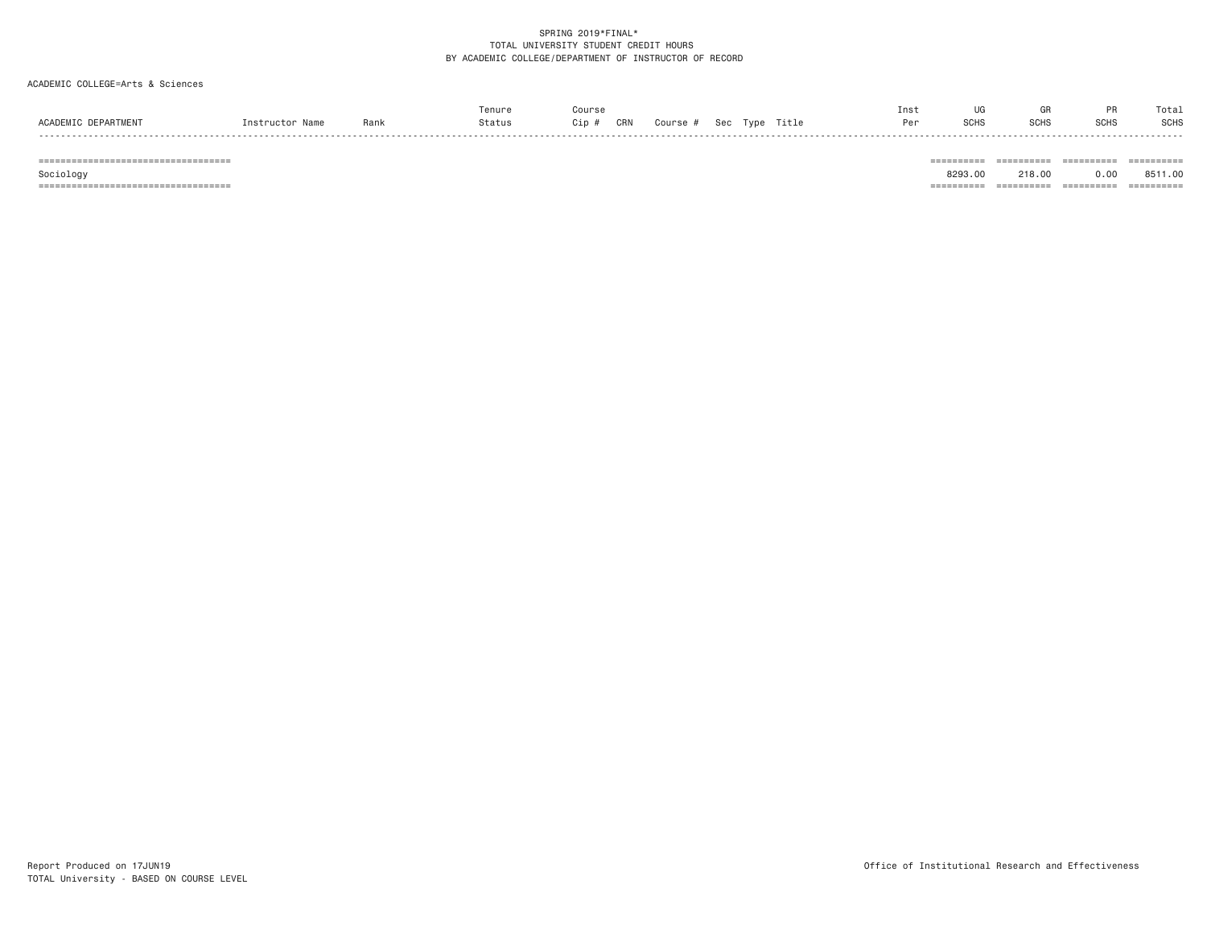# ACADEMIC COLLEGE=Arts & Sciences

|                               |                 |      | Tenure | Course           |          |                      | Inst |                  |                    | $\sim$ $\sim$ | Total       |
|-------------------------------|-----------------|------|--------|------------------|----------|----------------------|------|------------------|--------------------|---------------|-------------|
| ACADEMIC<br><b>DEPARTMENT</b> | Instructor Name | Rank | Status | CRN<br>$\sim$ in | Course # | Title<br>Tvpe<br>Sec |      | SCH <sub>S</sub> | <b>COUC</b><br>טטו | <b>SCHS</b>   | <b>SCHS</b> |
| -----                         |                 |      |        |                  |          |                      |      |                  |                    |               | -----       |

=================================== ========== ========== ========== ==========

=================================== ========== ========== ========== ==========

Sociology 8293.00 218.00 0.00 8511.00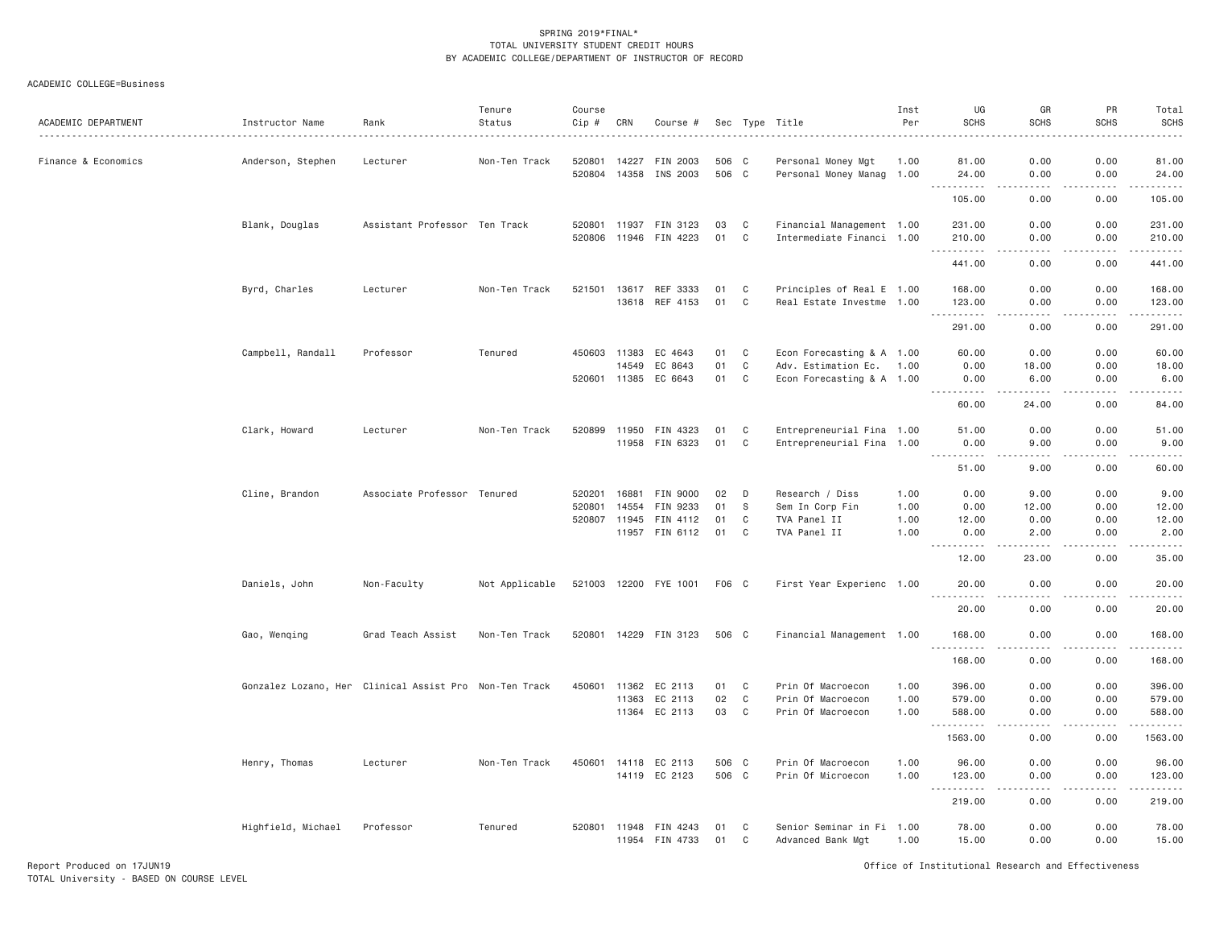| ACADEMIC DEPARTMENT | Instructor Name    | Rank                                                   | Tenure<br>Status | Course<br>Cip # | CRN          | Course #              |       |             | Sec Type Title            | Inst<br>Per | UG<br><b>SCHS</b>                                                                                                                                              | GR<br><b>SCHS</b>            | PR<br><b>SCHS</b>     | Total<br><b>SCHS</b>                                                                                                  |
|---------------------|--------------------|--------------------------------------------------------|------------------|-----------------|--------------|-----------------------|-------|-------------|---------------------------|-------------|----------------------------------------------------------------------------------------------------------------------------------------------------------------|------------------------------|-----------------------|-----------------------------------------------------------------------------------------------------------------------|
| Finance & Economics | Anderson, Stephen  | Lecturer                                               | Non-Ten Track    | 520801          | 14227        | FIN 2003              | 506 C |             | Personal Money Mgt        | 1.00        | 81.00                                                                                                                                                          | 0.00                         | 0.00                  | 81.00                                                                                                                 |
|                     |                    |                                                        |                  |                 | 520804 14358 | INS 2003              | 506 C |             | Personal Money Manag 1.00 |             | 24.00<br>.                                                                                                                                                     | 0.00<br>$\sim$ $\sim$ $\sim$ | 0.00<br>.             | 24,00<br>.                                                                                                            |
|                     |                    |                                                        |                  |                 |              |                       |       |             |                           |             | 105.00                                                                                                                                                         | 0.00                         | 0.00                  | 105.00                                                                                                                |
|                     | Blank, Douglas     | Assistant Professor Ten Track                          |                  | 520801          | 11937        | FIN 3123              | 03    | C           | Financial Management 1.00 |             | 231.00                                                                                                                                                         | 0.00                         | 0.00                  | 231.00                                                                                                                |
|                     |                    |                                                        |                  | 520806          | 11946        | FIN 4223              | 01    | C           | Intermediate Financi 1.00 |             | 210.00                                                                                                                                                         | 0.00                         | 0.00                  | 210.00                                                                                                                |
|                     |                    |                                                        |                  |                 |              |                       |       |             |                           |             | . <u>.</u><br>441.00                                                                                                                                           | - - - -<br>0.00              | $\frac{1}{2}$<br>0.00 | <u>.</u><br>441.00                                                                                                    |
|                     | Byrd, Charles      | Lecturer                                               | Non-Ten Track    | 521501          | 13617        | REF 3333              | 01    | C           | Principles of Real E 1.00 |             | 168.00                                                                                                                                                         | 0.00                         | 0.00                  | 168.00                                                                                                                |
|                     |                    |                                                        |                  |                 |              | 13618 REF 4153        | 01    | $\mathbf C$ | Real Estate Investme 1.00 |             | 123.00                                                                                                                                                         | 0.00                         | 0.00                  | 123.00                                                                                                                |
|                     |                    |                                                        |                  |                 |              |                       |       |             |                           |             | <u>.</u><br>291.00                                                                                                                                             | .<br>0.00                    | .<br>0.00             | .<br>291.00                                                                                                           |
|                     | Campbell, Randall  | Professor                                              | Tenured          |                 | 450603 11383 | EC 4643               | 01    | C           | Econ Forecasting & A 1.00 |             | 60.00                                                                                                                                                          | 0.00                         | 0.00                  | 60.00                                                                                                                 |
|                     |                    |                                                        |                  |                 | 14549        | EC 8643               | 01    | $\mathbf C$ | Adv. Estimation Ec.       | 1.00        | 0.00                                                                                                                                                           | 18.00                        | 0.00                  | 18.00                                                                                                                 |
|                     |                    |                                                        |                  | 520601          | 11385        | EC 6643               | 01    | C           | Econ Forecasting & A 1.00 |             | 0.00                                                                                                                                                           | 6.00                         | 0.00                  | 6.00                                                                                                                  |
|                     |                    |                                                        |                  |                 |              |                       |       |             |                           |             | <b></b><br>60.00                                                                                                                                               | -----<br>24.00               | .<br>0.00             | .<br>84.00                                                                                                            |
|                     | Clark, Howard      | Lecturer                                               | Non-Ten Track    | 520899          | 11950        | FIN 4323              | 01    | $\mathbf c$ | Entrepreneurial Fina 1.00 |             | 51.00                                                                                                                                                          | 0.00                         | 0.00                  | 51.00                                                                                                                 |
|                     |                    |                                                        |                  |                 | 11958        | FIN 6323              | 01    | C           | Entrepreneurial Fina 1.00 |             | 0.00                                                                                                                                                           | 9.00                         | 0.00                  | 9.00                                                                                                                  |
|                     |                    |                                                        |                  |                 |              |                       |       |             |                           |             | $\sim 100$<br>1.1.1.1.1<br>51.00                                                                                                                               | $\sim$ $\sim$ $\sim$<br>9.00 | .<br>0.00             | $   -$<br>60.00                                                                                                       |
|                     | Cline, Brandon     | Associate Professor Tenured                            |                  | 520201          | 16881        | FIN 9000              | 02    | D           | Research / Diss           | 1.00        | 0.00                                                                                                                                                           | 9,00                         | 0.00                  | 9.00                                                                                                                  |
|                     |                    |                                                        |                  | 520801          | 14554        | FIN 9233              | 01    | S           | Sem In Corp Fin           | 1.00        | 0.00                                                                                                                                                           | 12.00                        | 0.00                  | 12.00                                                                                                                 |
|                     |                    |                                                        |                  | 520807          | 11945        | FIN 4112              | 01    | C           | TVA Panel II              | 1.00        | 12.00                                                                                                                                                          | 0.00                         | 0.00                  | 12.00                                                                                                                 |
|                     |                    |                                                        |                  |                 |              | 11957 FIN 6112        | 01    | C           | TVA Panel II              | 1.00        | 0.00<br>$- - - - -$                                                                                                                                            | 2.00<br>.                    | 0.00<br>.             | 2.00<br>. <u>.</u> .                                                                                                  |
|                     |                    |                                                        |                  |                 |              |                       |       |             |                           |             | 12.00                                                                                                                                                          | 23.00                        | 0.00                  | 35.00                                                                                                                 |
|                     | Daniels, John      | Non-Faculty                                            | Not Applicable   |                 |              | 521003 12200 FYE 1001 | F06 C |             | First Year Experienc 1.00 |             | 20,00                                                                                                                                                          | 0.00                         | 0.00                  | 20,00                                                                                                                 |
|                     |                    |                                                        |                  |                 |              |                       |       |             |                           |             | 20.00                                                                                                                                                          | 0.00                         | 0.00                  | .<br>20.00                                                                                                            |
|                     | Gao, Wenging       | Grad Teach Assist                                      | Non-Ten Track    |                 |              | 520801 14229 FIN 3123 | 506 C |             | Financial Management 1.00 |             | 168.00                                                                                                                                                         | 0.00                         | 0.00                  | 168.00                                                                                                                |
|                     |                    |                                                        |                  |                 |              |                       |       |             |                           |             | .<br>168.00                                                                                                                                                    | $\frac{1}{2}$<br>0.00        | .<br>0.00             | $- - - - - - -$<br>168.00                                                                                             |
|                     |                    | Gonzalez Lozano, Her Clinical Assist Pro Non-Ten Track |                  | 450601          | 11362        | EC 2113               | 01    | C           | Prin Of Macroecon         | 1.00        | 396.00                                                                                                                                                         | 0.00                         | 0.00                  | 396.00                                                                                                                |
|                     |                    |                                                        |                  |                 | 11363        | EC 2113               | 02    | C           | Prin Of Macroecon         | 1.00        | 579.00                                                                                                                                                         | 0.00                         | 0.00                  | 579.00                                                                                                                |
|                     |                    |                                                        |                  |                 |              | 11364 EC 2113         | 03    | $\mathbf C$ | Prin Of Macroecon         | 1.00        | 588.00                                                                                                                                                         | 0.00                         | 0.00                  | 588.00                                                                                                                |
|                     |                    |                                                        |                  |                 |              |                       |       |             |                           |             | <u>.</u><br>1563.00                                                                                                                                            | $- - - -$<br>0.00            | .<br>0.00             | .<br>1563.00                                                                                                          |
|                     | Henry, Thomas      | Lecturer                                               | Non-Ten Track    | 450601          | 14118        | EC 2113               | 506 C |             | Prin Of Macroecon         | 1.00        | 96.00                                                                                                                                                          | 0.00                         | 0.00                  | 96.00                                                                                                                 |
|                     |                    |                                                        |                  |                 | 14119        | EC 2123               | 506 C |             | Prin Of Microecon         | 1.00        | 123.00                                                                                                                                                         | 0.00                         | 0.00                  | 123.00                                                                                                                |
|                     |                    |                                                        |                  |                 |              |                       |       |             |                           |             | $\frac{1}{2} \left( \frac{1}{2} \right) \left( \frac{1}{2} \right) \left( \frac{1}{2} \right) \left( \frac{1}{2} \right) \left( \frac{1}{2} \right)$<br>219.00 | $\sim$ $\sim$ $\sim$<br>0.00 | .<br>0.00             | $\begin{array}{cccccccccc} \bullet & \bullet & \bullet & \bullet & \bullet & \bullet & \bullet \end{array}$<br>219.00 |
|                     | Highfield, Michael | Professor                                              | Tenured          | 520801          | 11948        | FIN 4243              | 01    | C           | Senior Seminar in Fi 1.00 |             | 78.00                                                                                                                                                          | 0.00                         | 0.00                  | 78.00                                                                                                                 |
|                     |                    |                                                        |                  |                 | 11954        | FIN 4733              | 01    | C           | Advanced Bank Mgt         | 1.00        | 15.00                                                                                                                                                          | 0.00                         | 0.00                  | 15.00                                                                                                                 |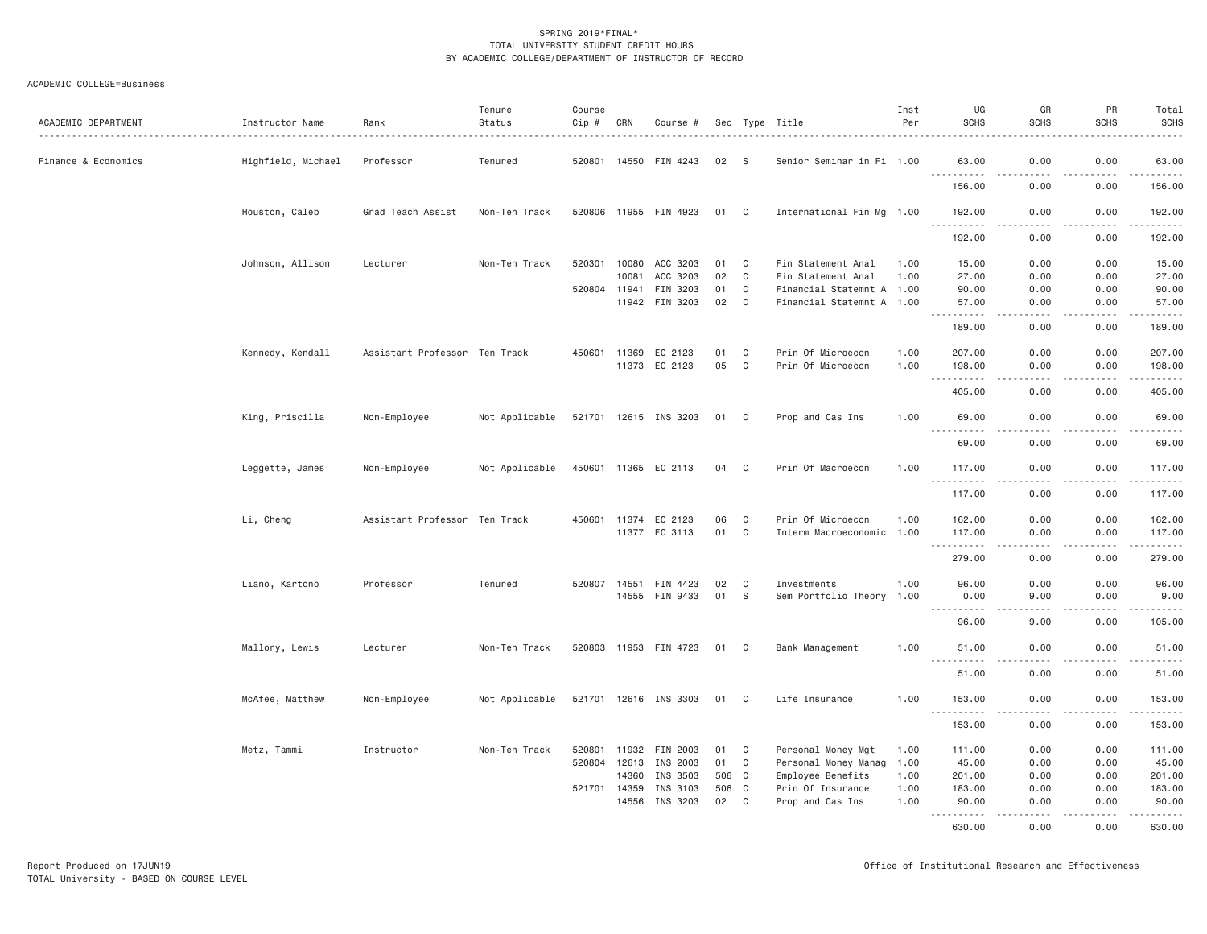| ACADEMIC DEPARTMENT | Instructor Name    | Rank                          | Tenure<br>Status | Course<br>Cip # | CRN   | Course #                   |       |              | Sec Type Title            | Inst<br>Per | UG<br><b>SCHS</b>                                                                                                                      | GR<br><b>SCHS</b>                                                                                                                 | PR<br><b>SCHS</b> | Total<br><b>SCHS</b> |
|---------------------|--------------------|-------------------------------|------------------|-----------------|-------|----------------------------|-------|--------------|---------------------------|-------------|----------------------------------------------------------------------------------------------------------------------------------------|-----------------------------------------------------------------------------------------------------------------------------------|-------------------|----------------------|
| Finance & Economics | Highfield, Michael | Professor                     | Tenured          |                 |       | 520801 14550 FIN 4243      | 02    | <b>S</b>     | Senior Seminar in Fi 1.00 |             | 63.00                                                                                                                                  | 0.00                                                                                                                              | 0.00              | 63.00                |
|                     |                    |                               |                  |                 |       |                            |       |              |                           |             | .<br>156.00                                                                                                                            | 0.00                                                                                                                              | $  -$<br>0.00     | .<br>156.00          |
|                     | Houston, Caleb     | Grad Teach Assist             | Non-Ten Track    |                 |       | 520806 11955 FIN 4923      | 01 C  |              | International Fin Mg 1.00 |             | 192.00                                                                                                                                 | 0.00                                                                                                                              | 0.00              | 192.00               |
|                     |                    |                               |                  |                 |       |                            |       |              |                           |             | .<br>192.00                                                                                                                            | . <b>.</b><br>0.00                                                                                                                | .<br>0.00         | .<br>192.00          |
|                     | Johnson, Allison   | Lecturer                      | Non-Ten Track    | 520301          | 10080 | ACC 3203                   | 01    | C            | Fin Statement Anal        | 1.00        | 15.00                                                                                                                                  | 0.00                                                                                                                              | 0.00              | 15.00                |
|                     |                    |                               |                  |                 | 10081 | ACC 3203                   | 02    | C            | Fin Statement Anal        | 1.00        | 27.00                                                                                                                                  | 0.00                                                                                                                              | 0.00              | 27.00                |
|                     |                    |                               |                  | 520804          | 11941 | FIN 3203                   | 01    | C            | Financial Statemnt A 1.00 |             | 90.00                                                                                                                                  | 0.00                                                                                                                              | 0.00              | 90.00                |
|                     |                    |                               |                  |                 |       | 11942 FIN 3203             | 02    | $\mathbf{C}$ | Financial Statemnt A 1.00 |             | 57.00<br>.                                                                                                                             | 0.00<br>.                                                                                                                         | 0.00<br>.         | 57.00                |
|                     |                    |                               |                  |                 |       |                            |       |              |                           |             | 189.00                                                                                                                                 | 0.00                                                                                                                              | 0.00              | 189.00               |
|                     | Kennedy, Kendall   | Assistant Professor Ten Track |                  | 450601          | 11369 | EC 2123                    | 01    | C            | Prin Of Microecon         | 1.00        | 207.00                                                                                                                                 | 0.00                                                                                                                              | 0.00              | 207.00               |
|                     |                    |                               |                  |                 |       | 11373 EC 2123              | 05    | $\mathbf{C}$ | Prin Of Microecon         | 1.00        | 198.00                                                                                                                                 | 0.00                                                                                                                              | 0.00              | 198.00               |
|                     |                    |                               |                  |                 |       |                            |       |              |                           |             | .                                                                                                                                      | - - - -                                                                                                                           | $  -$             | .                    |
|                     |                    |                               |                  |                 |       |                            |       |              |                           |             | 405.00                                                                                                                                 | 0.00                                                                                                                              | 0.00              | 405.00               |
|                     | King, Priscilla    | Non-Employee                  | Not Applicable   |                 |       | 521701 12615 INS 3203 01 C |       |              | Prop and Cas Ins          | 1.00        | 69.00<br>.                                                                                                                             | 0.00                                                                                                                              | 0.00<br>.         | 69.00<br>.           |
|                     |                    |                               |                  |                 |       |                            |       |              |                           |             | 69.00                                                                                                                                  | 0.00                                                                                                                              | 0.00              | 69.00                |
|                     | Leggette, James    | Non-Employee                  | Not Applicable   |                 |       | 450601 11365 EC 2113       | 04    | C            | Prin Of Macroecon         | 1.00        | 117.00                                                                                                                                 | 0.00                                                                                                                              | 0.00              | 117.00               |
|                     |                    |                               |                  |                 |       |                            |       |              |                           |             | .<br>117.00                                                                                                                            | 0.00                                                                                                                              | .<br>0.00         | .<br>117.00          |
|                     | Li, Cheng          | Assistant Professor Ten Track |                  |                 |       | 450601 11374 EC 2123       | 06    | C            | Prin Of Microecon         | 1.00        | 162.00                                                                                                                                 | 0.00                                                                                                                              | 0.00              | 162.00               |
|                     |                    |                               |                  |                 |       | 11377 EC 3113              | 01 C  |              | Interm Macroeconomic 1.00 |             | 117.00                                                                                                                                 | 0.00                                                                                                                              | 0.00              | 117.00               |
|                     |                    |                               |                  |                 |       |                            |       |              |                           |             | <u>.</u><br>279.00                                                                                                                     | $\frac{1}{2} \left( \frac{1}{2} \right) \left( \frac{1}{2} \right) \left( \frac{1}{2} \right) \left( \frac{1}{2} \right)$<br>0.00 | .<br>0.00         | .<br>279.00          |
|                     |                    |                               |                  |                 |       |                            |       |              |                           |             |                                                                                                                                        |                                                                                                                                   |                   |                      |
|                     | Liano, Kartono     | Professor                     | Tenured          | 520807          |       | 14551 FIN 4423             | 02    | C            | Investments               | 1.00        | 96.00                                                                                                                                  | 0.00                                                                                                                              | 0.00              | 96.00                |
|                     |                    |                               |                  |                 |       | 14555 FIN 9433             | 01    | $\mathbf{s}$ | Sem Portfolio Theory      | 1.00        | 0.00<br>$\frac{1}{2} \left( \frac{1}{2} \right) \left( \frac{1}{2} \right) \left( \frac{1}{2} \right) \left( \frac{1}{2} \right)$<br>. | 9.00<br>.                                                                                                                         | 0.00<br>.         | 9.00                 |
|                     |                    |                               |                  |                 |       |                            |       |              |                           |             | 96.00                                                                                                                                  | 9.00                                                                                                                              | 0.00              | 105.00               |
|                     | Mallory, Lewis     | Lecturer                      | Non-Ten Track    |                 |       | 520803 11953 FIN 4723      | 01 C  |              | Bank Management           | 1.00        | 51.00<br><b></b>                                                                                                                       | 0.00<br>$- - - -$                                                                                                                 | 0.00<br>.         | 51.00<br>2.2.2.2.2.2 |
|                     |                    |                               |                  |                 |       |                            |       |              |                           |             | 51.00                                                                                                                                  | 0.00                                                                                                                              | 0.00              | 51.00                |
|                     | McAfee, Matthew    | Non-Employee                  | Not Applicable   |                 |       | 521701 12616 INS 3303 01 C |       |              | Life Insurance            | 1.00        | 153.00                                                                                                                                 | 0.00                                                                                                                              | 0.00              | 153.00               |
|                     |                    |                               |                  |                 |       |                            |       |              |                           |             | .<br>153.00                                                                                                                            | .<br>0.00                                                                                                                         | .<br>0.00         | .<br>153.00          |
|                     | Metz, Tammi        | Instructor                    | Non-Ten Track    | 520801          |       | 11932 FIN 2003             | 01    | $\mathbf{C}$ | Personal Money Mgt        | 1.00        | 111.00                                                                                                                                 | 0.00                                                                                                                              | 0.00              | 111.00               |
|                     |                    |                               |                  | 520804          | 12613 | INS 2003                   | 01    | $\mathbf{C}$ | Personal Money Manag      | 1.00        | 45.00                                                                                                                                  | 0.00                                                                                                                              | 0.00              | 45.00                |
|                     |                    |                               |                  |                 | 14360 | INS 3503                   | 506 C |              | Employee Benefits         | 1.00        | 201.00                                                                                                                                 | 0.00                                                                                                                              | 0.00              | 201.00               |
|                     |                    |                               |                  | 521701 14359    |       | INS 3103                   | 506 C |              | Prin Of Insurance         | 1.00        | 183.00                                                                                                                                 | 0.00                                                                                                                              | 0.00              | 183.00               |
|                     |                    |                               |                  |                 | 14556 | INS 3203                   | 02    | $\mathbf{C}$ | Prop and Cas Ins          | 1.00        | 90.00                                                                                                                                  | 0.00                                                                                                                              | 0.00              | 90.00                |
|                     |                    |                               |                  |                 |       |                            |       |              |                           |             | .<br>630.00                                                                                                                            | 0.00                                                                                                                              | 0.00              | .<br>630.00          |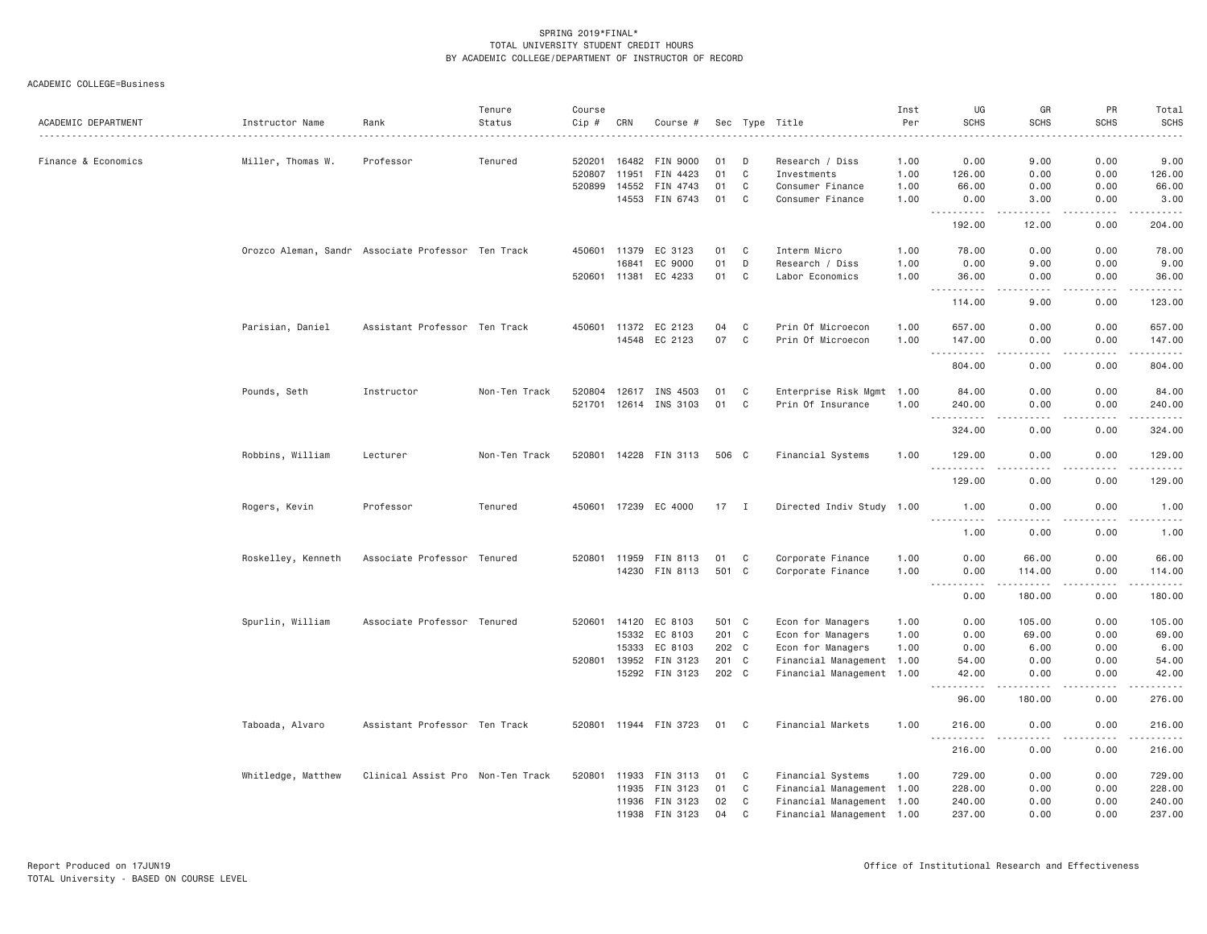| ACADEMIC DEPARTMENT | Instructor Name    | Rank                                               | Tenure<br>Status | Course<br>$Cip \#$ | CRN          | Course #              |        |              | Sec Type Title            | Inst<br>Per | UG<br><b>SCHS</b>                                                                                                                                                                                                                                                                                                                                                                                                  | GR<br><b>SCHS</b>                                                                                                                                            | PR<br><b>SCHS</b> | Total<br><b>SCHS</b>                                                                                                  |
|---------------------|--------------------|----------------------------------------------------|------------------|--------------------|--------------|-----------------------|--------|--------------|---------------------------|-------------|--------------------------------------------------------------------------------------------------------------------------------------------------------------------------------------------------------------------------------------------------------------------------------------------------------------------------------------------------------------------------------------------------------------------|--------------------------------------------------------------------------------------------------------------------------------------------------------------|-------------------|-----------------------------------------------------------------------------------------------------------------------|
|                     |                    |                                                    |                  |                    |              |                       |        |              |                           |             |                                                                                                                                                                                                                                                                                                                                                                                                                    |                                                                                                                                                              |                   |                                                                                                                       |
| Finance & Economics | Miller, Thomas W.  | Professor                                          | Tenured          | 520201             | 16482        | FIN 9000              | 01     | D            | Research / Diss           | 1.00        | 0.00                                                                                                                                                                                                                                                                                                                                                                                                               | 9.00                                                                                                                                                         | 0.00              | 9.00                                                                                                                  |
|                     |                    |                                                    |                  | 520807             | 11951        | FIN 4423              | 01     | C            | Investments               | 1.00        | 126.00                                                                                                                                                                                                                                                                                                                                                                                                             | 0.00                                                                                                                                                         | 0.00              | 126.00                                                                                                                |
|                     |                    |                                                    |                  | 520899             | 14552        | FIN 4743              | 01     | C            | Consumer Finance          | 1.00        | 66.00                                                                                                                                                                                                                                                                                                                                                                                                              | 0.00                                                                                                                                                         | 0.00              | 66.00                                                                                                                 |
|                     |                    |                                                    |                  |                    |              | 14553 FIN 6743        | 01     | C            | Consumer Finance          | 1.00        | 0.00<br>$\sim$ $\sim$ $\sim$<br>.                                                                                                                                                                                                                                                                                                                                                                                  | 3.00<br>.                                                                                                                                                    | 0.00<br>-----     | 3.00<br>-----                                                                                                         |
|                     |                    |                                                    |                  |                    |              |                       |        |              |                           |             | 192.00                                                                                                                                                                                                                                                                                                                                                                                                             | 12.00                                                                                                                                                        | 0.00              | 204.00                                                                                                                |
|                     |                    | Orozco Aleman, Sandr Associate Professor Ten Track |                  |                    |              | 450601 11379 EC 3123  | 01     | C            | Interm Micro              | 1.00        | 78.00                                                                                                                                                                                                                                                                                                                                                                                                              | 0.00                                                                                                                                                         | 0.00              | 78.00                                                                                                                 |
|                     |                    |                                                    |                  |                    | 16841        | EC 9000               | 01     | $\mathsf{D}$ | Research / Diss           | 1.00        | 0.00                                                                                                                                                                                                                                                                                                                                                                                                               | 9.00                                                                                                                                                         | 0.00              | 9.00                                                                                                                  |
|                     |                    |                                                    |                  |                    |              | 520601 11381 EC 4233  | 01     | C            | Labor Economics           | 1.00        | 36.00<br>$\sim$ $\sim$ .<br>$\frac{1}{2} \left( \frac{1}{2} \right) \left( \frac{1}{2} \right) \left( \frac{1}{2} \right) \left( \frac{1}{2} \right) \left( \frac{1}{2} \right)$                                                                                                                                                                                                                                   | 0.00<br>$\sim$ $\sim$ $\sim$ $\sim$                                                                                                                          | 0.00<br>.         | 36.00<br>.                                                                                                            |
|                     |                    |                                                    |                  |                    |              |                       |        |              |                           |             | 114.00                                                                                                                                                                                                                                                                                                                                                                                                             | 9.00                                                                                                                                                         | 0.00              | 123.00                                                                                                                |
|                     | Parisian, Daniel   | Assistant Professor Ten Track                      |                  |                    |              | 450601 11372 EC 2123  | 04     | C            | Prin Of Microecon         | 1.00        | 657.00                                                                                                                                                                                                                                                                                                                                                                                                             | 0.00                                                                                                                                                         | 0.00              | 657.00                                                                                                                |
|                     |                    |                                                    |                  |                    |              | 14548 EC 2123         | 07     | $\mathbf C$  | Prin Of Microecon         | 1.00        | 147.00<br><u>.</u><br>$\frac{1}{2} \frac{1}{2} \frac{1}{2} \frac{1}{2} \frac{1}{2} \frac{1}{2} \frac{1}{2} \frac{1}{2} \frac{1}{2} \frac{1}{2} \frac{1}{2} \frac{1}{2} \frac{1}{2} \frac{1}{2} \frac{1}{2} \frac{1}{2} \frac{1}{2} \frac{1}{2} \frac{1}{2} \frac{1}{2} \frac{1}{2} \frac{1}{2} \frac{1}{2} \frac{1}{2} \frac{1}{2} \frac{1}{2} \frac{1}{2} \frac{1}{2} \frac{1}{2} \frac{1}{2} \frac{1}{2} \frac{$ | 0.00<br>.                                                                                                                                                    | 0.00<br>.         | 147.00<br>$\begin{array}{cccccccccc} \bullet & \bullet & \bullet & \bullet & \bullet & \bullet & \bullet \end{array}$ |
|                     |                    |                                                    |                  |                    |              |                       |        |              |                           |             | 804.00                                                                                                                                                                                                                                                                                                                                                                                                             | 0.00                                                                                                                                                         | 0.00              | 804.00                                                                                                                |
|                     | Pounds, Seth       | Instructor                                         | Non-Ten Track    | 520804             | 12617        | INS 4503              | 01     | C            | Enterprise Risk Mgmt 1.00 |             | 84.00                                                                                                                                                                                                                                                                                                                                                                                                              | 0.00                                                                                                                                                         | 0.00              | 84.00                                                                                                                 |
|                     |                    |                                                    |                  |                    |              | 521701 12614 INS 3103 | 01     | C            | Prin Of Insurance         | 1.00        | 240.00                                                                                                                                                                                                                                                                                                                                                                                                             | 0.00                                                                                                                                                         | 0.00              | 240.00                                                                                                                |
|                     |                    |                                                    |                  |                    |              |                       |        |              |                           |             | 1.1.1.1.1<br>$\sim$ $\sim$ $\sim$<br>324.00                                                                                                                                                                                                                                                                                                                                                                        | $\frac{1}{2}$<br>0.00                                                                                                                                        | .<br>0.00         | بالأبالات<br>324.00                                                                                                   |
|                     | Robbins, William   | Lecturer                                           | Non-Ten Track    |                    |              | 520801 14228 FIN 3113 | 506 C  |              | Financial Systems         | 1.00        | 129.00                                                                                                                                                                                                                                                                                                                                                                                                             | 0.00                                                                                                                                                         | 0.00              | 129.00                                                                                                                |
|                     |                    |                                                    |                  |                    |              |                       |        |              |                           |             | 129.00                                                                                                                                                                                                                                                                                                                                                                                                             | 0.00                                                                                                                                                         | 0.00              | 129.00                                                                                                                |
|                     | Rogers, Kevin      | Professor                                          | Tenured          |                    |              | 450601 17239 EC 4000  | $17$ I |              | Directed Indiv Study 1.00 |             | 1.00                                                                                                                                                                                                                                                                                                                                                                                                               | 0.00                                                                                                                                                         | 0.00              | 1.00                                                                                                                  |
|                     |                    |                                                    |                  |                    |              |                       |        |              |                           |             | $\frac{1}{2}$<br>1.00                                                                                                                                                                                                                                                                                                                                                                                              | 0.00                                                                                                                                                         | 0.00              | 1.00                                                                                                                  |
|                     | Roskelley, Kenneth | Associate Professor Tenured                        |                  |                    |              | 520801 11959 FIN 8113 | 01     | C            | Corporate Finance         | 1.00        | 0.00                                                                                                                                                                                                                                                                                                                                                                                                               | 66.00                                                                                                                                                        | 0.00              | 66.00                                                                                                                 |
|                     |                    |                                                    |                  |                    |              | 14230 FIN 8113        | 501 C  |              | Corporate Finance         | 1.00        | 0.00                                                                                                                                                                                                                                                                                                                                                                                                               | 114.00                                                                                                                                                       | 0.00              | 114.00                                                                                                                |
|                     |                    |                                                    |                  |                    |              |                       |        |              |                           |             | $\sim$ $\sim$ $\sim$<br>.<br>0.00                                                                                                                                                                                                                                                                                                                                                                                  | .<br>180.00                                                                                                                                                  | .<br>0.00         | 180.00                                                                                                                |
|                     | Spurlin, William   | Associate Professor Tenured                        |                  |                    | 520601 14120 | EC 8103               | 501 C  |              | Econ for Managers         | 1.00        | 0.00                                                                                                                                                                                                                                                                                                                                                                                                               | 105.00                                                                                                                                                       | 0.00              | 105.00                                                                                                                |
|                     |                    |                                                    |                  |                    |              | 15332 EC 8103         | 201 C  |              | Econ for Managers         | 1.00        | 0.00                                                                                                                                                                                                                                                                                                                                                                                                               | 69.00                                                                                                                                                        | 0.00              | 69.00                                                                                                                 |
|                     |                    |                                                    |                  |                    | 15333        | EC 8103               | 202 C  |              | Econ for Managers         | 1.00        | 0.00                                                                                                                                                                                                                                                                                                                                                                                                               | 6.00                                                                                                                                                         | 0.00              | 6.00                                                                                                                  |
|                     |                    |                                                    |                  | 520801             | 13952        | FIN 3123              | 201 C  |              | Financial Management 1.00 |             | 54.00                                                                                                                                                                                                                                                                                                                                                                                                              | 0.00                                                                                                                                                         | 0.00              | 54.00                                                                                                                 |
|                     |                    |                                                    |                  |                    |              | 15292 FIN 3123        | 202 C  |              | Financial Management 1.00 |             | 42.00<br>.                                                                                                                                                                                                                                                                                                                                                                                                         | 0.00<br>$\frac{1}{2} \left( \frac{1}{2} \right) \left( \frac{1}{2} \right) \left( \frac{1}{2} \right) \left( \frac{1}{2} \right) \left( \frac{1}{2} \right)$ | 0.00<br>.         | 42.00<br>.                                                                                                            |
|                     |                    |                                                    |                  |                    |              |                       |        |              |                           |             | 96.00                                                                                                                                                                                                                                                                                                                                                                                                              | 180.00                                                                                                                                                       | 0.00              | 276.00                                                                                                                |
|                     | Taboada, Alvaro    | Assistant Professor Ten Track                      |                  |                    |              | 520801 11944 FIN 3723 | 01 C   |              | Financial Markets         | 1.00        | 216.00<br>$- - -$<br>.                                                                                                                                                                                                                                                                                                                                                                                             | 0.00                                                                                                                                                         | 0.00<br><u>.</u>  | 216.00<br>. <u>.</u> .                                                                                                |
|                     |                    |                                                    |                  |                    |              |                       |        |              |                           |             | 216.00                                                                                                                                                                                                                                                                                                                                                                                                             | 0.00                                                                                                                                                         | 0.00              | 216.00                                                                                                                |
|                     | Whitledge, Matthew | Clinical Assist Pro Non-Ten Track                  |                  |                    |              | 520801 11933 FIN 3113 | 01     | C            | Financial Systems         | 1.00        | 729.00                                                                                                                                                                                                                                                                                                                                                                                                             | 0.00                                                                                                                                                         | 0.00              | 729.00                                                                                                                |
|                     |                    |                                                    |                  |                    |              | 11935 FIN 3123        | 01     | $\mathbf C$  | Financial Management 1.00 |             | 228.00                                                                                                                                                                                                                                                                                                                                                                                                             | 0.00                                                                                                                                                         | 0.00              | 228.00                                                                                                                |
|                     |                    |                                                    |                  |                    | 11936        | FIN 3123              | 02     | C            | Financial Management 1.00 |             | 240.00                                                                                                                                                                                                                                                                                                                                                                                                             | 0.00                                                                                                                                                         | 0.00              | 240.00                                                                                                                |
|                     |                    |                                                    |                  |                    |              | 11938 FIN 3123        | 04     | C            | Financial Management 1.00 |             | 237.00                                                                                                                                                                                                                                                                                                                                                                                                             | 0.00                                                                                                                                                         | 0.00              | 237.00                                                                                                                |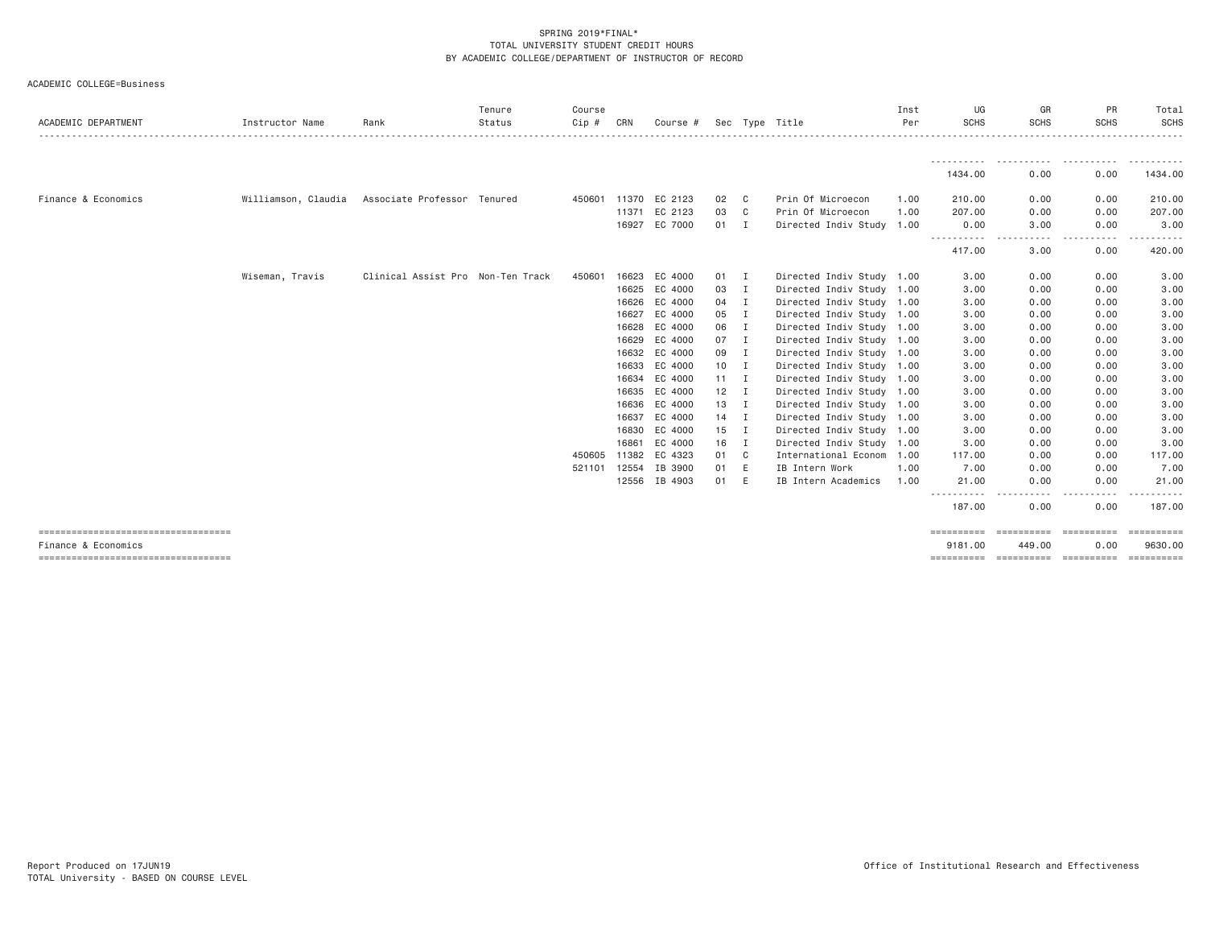| ACADEMIC DEPARTMENT                                         | Instructor Name     | Rank                              | Tenure<br>Status | Course<br>$Cip$ # | CRN          | Course #             |              |                | Sec Type Title            | Inst<br>Per | UG<br><b>SCHS</b>     | GR<br><b>SCHS</b>          | PR<br><b>SCHS</b><br>------------------------------ | Total<br>SCHS                      |
|-------------------------------------------------------------|---------------------|-----------------------------------|------------------|-------------------|--------------|----------------------|--------------|----------------|---------------------------|-------------|-----------------------|----------------------------|-----------------------------------------------------|------------------------------------|
|                                                             |                     |                                   |                  |                   |              |                      |              |                |                           |             | -----------           |                            |                                                     | .                                  |
|                                                             |                     |                                   |                  |                   |              |                      |              |                |                           |             | 1434.00               | 0.00                       | 0.00                                                | 1434.00                            |
| Finance & Economics                                         | Williamson, Claudia | Associate Professor Tenured       |                  |                   |              | 450601 11370 EC 2123 | 02           | $\mathbf{C}$   | Prin Of Microecon         | 1.00        | 210.00                | 0.00                       | 0.00                                                | 210.00                             |
|                                                             |                     |                                   |                  |                   | 11371        | EC 2123              | 03           | $\mathbf{C}$   | Prin Of Microecon         | 1.00        | 207.00                | 0.00                       | 0.00                                                | 207,00                             |
|                                                             |                     |                                   |                  |                   | 16927        | EC 7000              | $01$ I       |                | Directed Indiv Study 1.00 |             | 0.00                  | 3,00                       | 0.00                                                | 3,00                               |
|                                                             |                     |                                   |                  |                   |              |                      |              |                |                           |             | .<br>417.00           | .<br>$\frac{1}{2}$<br>3.00 | .<br>0.00                                           | .<br>420.00                        |
|                                                             | Wiseman, Travis     | Clinical Assist Pro Non-Ten Track |                  | 450601            | 16623        | EC 4000              | 01           | $\mathbf{I}$   | Directed Indiv Study 1.00 |             | 3.00                  | 0.00                       | 0.00                                                | 3.00                               |
|                                                             |                     |                                   |                  |                   |              | 16625 EC 4000        | 03           | $\mathbf{I}$   | Directed Indiv Study 1.00 |             | 3.00                  | 0.00                       | 0.00                                                | 3.00                               |
|                                                             |                     |                                   |                  |                   |              | 16626 EC 4000        | 04           | I              | Directed Indiv Study 1.00 |             | 3.00                  | 0.00                       | 0.00                                                | 3.00                               |
|                                                             |                     |                                   |                  |                   | 16627        | EC 4000              | 05           | I              | Directed Indiv Study 1.00 |             | 3.00                  | 0.00                       | 0.00                                                | 3.00                               |
|                                                             |                     |                                   |                  |                   |              | 16628 EC 4000        | 06           | I              | Directed Indiv Study 1.00 |             | 3.00                  | 0.00                       | 0.00                                                | 3.00                               |
|                                                             |                     |                                   |                  |                   |              | 16629 EC 4000        | 07           | I              | Directed Indiv Study 1.00 |             | 3,00                  | 0.00                       | 0.00                                                | 3.00                               |
|                                                             |                     |                                   |                  |                   |              | 16632 EC 4000        | 09           | I              | Directed Indiv Study 1.00 |             | 3.00                  | 0.00                       | 0.00                                                | 3.00                               |
|                                                             |                     |                                   |                  |                   |              | 16633 EC 4000        | 10           | $\mathbf{I}$   | Directed Indiv Study 1.00 |             | 3.00                  | 0.00                       | 0.00                                                | 3.00                               |
|                                                             |                     |                                   |                  |                   |              | 16634 EC 4000        | $11 \quad I$ |                | Directed Indiv Study 1.00 |             | 3.00                  | 0.00                       | 0.00                                                | 3.00                               |
|                                                             |                     |                                   |                  |                   |              | 16635 EC 4000        | 12           | I              | Directed Indiv Study 1.00 |             | 3.00                  | 0.00                       | 0.00                                                | 3.00                               |
|                                                             |                     |                                   |                  |                   |              | 16636 EC 4000        | 13           | I              | Directed Indiv Study 1.00 |             | 3.00                  | 0.00                       | 0.00                                                | 3.00                               |
|                                                             |                     |                                   |                  |                   | 16637        | EC 4000              | 14           | I              | Directed Indiv Study 1.00 |             | 3.00                  | 0.00                       | 0.00                                                | 3.00                               |
|                                                             |                     |                                   |                  |                   |              | 16830 EC 4000        | 15           | I              | Directed Indiv Study 1.00 |             | 3.00                  | 0.00                       | 0.00                                                | 3.00                               |
|                                                             |                     |                                   |                  |                   | 16861        | EC 4000              | 16           | I              | Directed Indiv Study 1.00 |             | 3.00                  | 0.00                       | 0.00                                                | 3.00                               |
|                                                             |                     |                                   |                  | 450605            |              | 11382 EC 4323        | 01           | C <sub>c</sub> | International Econom 1.00 |             | 117,00                | 0.00                       | 0.00                                                | 117.00                             |
|                                                             |                     |                                   |                  |                   | 521101 12554 | IB 3900              | 01           | E              | IB Intern Work            | 1.00        | 7.00                  | 0.00                       | 0.00                                                | 7.00                               |
|                                                             |                     |                                   |                  |                   |              | 12556 IB 4903        | 01           | E              | IB Intern Academics       | 1.00        | 21.00<br>$\cdots$     | 0.00<br>.                  | 0.00<br>-----                                       | 21.00                              |
|                                                             |                     |                                   |                  |                   |              |                      |              |                |                           |             | 187.00                | 0.00                       | 0.00                                                | 187.00                             |
| ------------------------------------<br>Finance & Economics |                     |                                   |                  |                   |              |                      |              |                |                           |             | ==========<br>9181.00 | -----------<br>449.00      | ==========<br>0.00                                  | $=$ = = = = = = = = = =<br>9630.00 |
| ====================================                        |                     |                                   |                  |                   |              |                      |              |                |                           |             | ==========            |                            |                                                     | $= 22222222222$                    |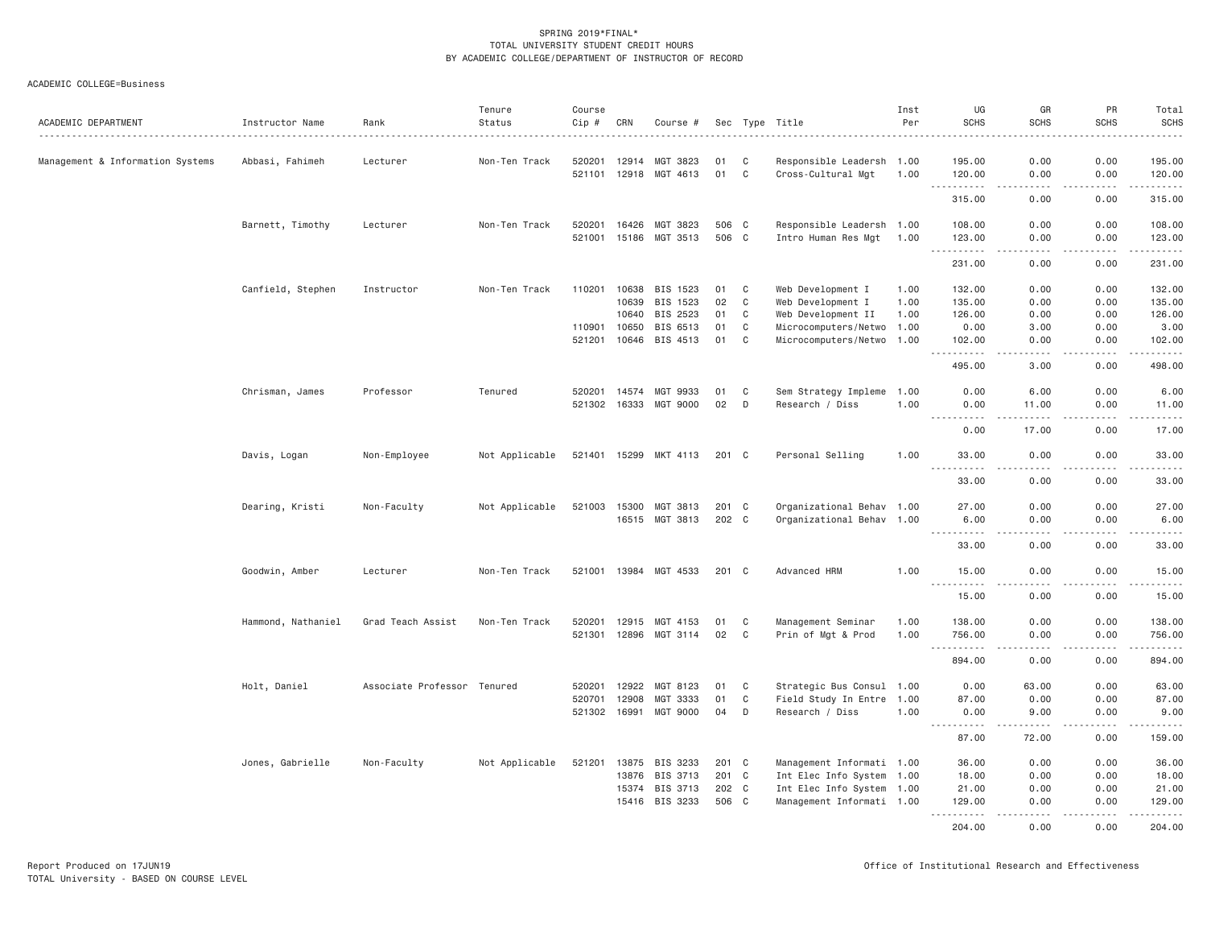| ACADEMIC DEPARTMENT              | Instructor Name    | Rank                        | Tenure<br>Status | Course<br>Cip # | CRN   | Course #              |       |              | Sec Type Title            | Inst<br>Per | UG<br><b>SCHS</b>                                                                                                                                              | GR<br><b>SCHS</b>                                                                                                                                    | PR<br><b>SCHS</b> | Total<br><b>SCHS</b>                                                                                                                                                                      |
|----------------------------------|--------------------|-----------------------------|------------------|-----------------|-------|-----------------------|-------|--------------|---------------------------|-------------|----------------------------------------------------------------------------------------------------------------------------------------------------------------|------------------------------------------------------------------------------------------------------------------------------------------------------|-------------------|-------------------------------------------------------------------------------------------------------------------------------------------------------------------------------------------|
| Management & Information Systems | Abbasi, Fahimeh    | Lecturer                    | Non-Ten Track    | 520201          | 12914 | MGT 3823              | 01    | C            | Responsible Leadersh 1.00 |             | 195.00                                                                                                                                                         | 0.00                                                                                                                                                 | 0.00              | 195.00                                                                                                                                                                                    |
|                                  |                    |                             |                  | 521101          | 12918 | MGT 4613              | 01    | C            | Cross-Cultural Mgt        | 1.00        | 120.00                                                                                                                                                         | 0.00                                                                                                                                                 | 0.00              | 120.00                                                                                                                                                                                    |
|                                  |                    |                             |                  |                 |       |                       |       |              |                           |             | $\frac{1}{2} \left( \frac{1}{2} \right) \left( \frac{1}{2} \right) \left( \frac{1}{2} \right) \left( \frac{1}{2} \right) \left( \frac{1}{2} \right)$<br>315.00 | .<br>0.00                                                                                                                                            | .<br>0.00         | $\omega$ is $\omega$ in $\omega$ in<br>315.00                                                                                                                                             |
|                                  | Barnett, Timothy   | Lecturer                    | Non-Ten Track    | 520201          | 16426 | MGT 3823              | 506 C |              | Responsible Leadersh 1.00 |             | 108.00                                                                                                                                                         | 0.00                                                                                                                                                 | 0.00              | 108.00                                                                                                                                                                                    |
|                                  |                    |                             |                  | 521001          | 15186 | MGT 3513              | 506 C |              | Intro Human Res Mgt 1.00  |             | 123.00                                                                                                                                                         | 0.00                                                                                                                                                 | 0.00              | 123,00                                                                                                                                                                                    |
|                                  |                    |                             |                  |                 |       |                       |       |              |                           |             | .<br>231.00                                                                                                                                                    | 0.00                                                                                                                                                 | 0.00              | $\frac{1}{2} \left( \frac{1}{2} \right) \left( \frac{1}{2} \right) \left( \frac{1}{2} \right) \left( \frac{1}{2} \right) \left( \frac{1}{2} \right) \left( \frac{1}{2} \right)$<br>231.00 |
|                                  | Canfield, Stephen  | Instructor                  | Non-Ten Track    | 110201          | 10638 | BIS 1523              | 01    | C            | Web Development I         | 1.00        | 132.00                                                                                                                                                         | 0.00                                                                                                                                                 | 0.00              | 132.00                                                                                                                                                                                    |
|                                  |                    |                             |                  |                 | 10639 | BIS 1523              | 02    | C            | Web Development I         | 1.00        | 135.00                                                                                                                                                         | 0.00                                                                                                                                                 | 0.00              | 135.00                                                                                                                                                                                    |
|                                  |                    |                             |                  |                 | 10640 | BIS 2523              | 01    | $\mathbf C$  | Web Development II        | 1.00        | 126.00                                                                                                                                                         | 0.00                                                                                                                                                 | 0.00              | 126.00                                                                                                                                                                                    |
|                                  |                    |                             |                  | 110901          | 10650 | BIS 6513              | 01    | C            | Microcomputers/Netwo 1.00 |             | 0.00                                                                                                                                                           | 3.00                                                                                                                                                 | 0.00              | 3.00                                                                                                                                                                                      |
|                                  |                    |                             |                  | 521201          | 10646 | BIS 4513              | 01    | $\mathbf C$  | Microcomputers/Netwo 1.00 |             | 102.00                                                                                                                                                         | 0.00                                                                                                                                                 | 0.00              | 102.00                                                                                                                                                                                    |
|                                  |                    |                             |                  |                 |       |                       |       |              |                           |             | .<br>$\sim$ $\sim$ $\sim$<br>495.00                                                                                                                            | $\sim$ $\sim$ $\sim$ $\sim$<br>3.00                                                                                                                  | .<br>0.00         | $\begin{array}{cccccccccc} \bullet & \bullet & \bullet & \bullet & \bullet & \bullet & \bullet \end{array}$<br>498.00                                                                     |
|                                  | Chrisman, James    | Professor                   | Tenured          | 520201          | 14574 | MGT 9933              | 01    | C            | Sem Strategy Impleme      | 1.00        | 0.00                                                                                                                                                           | 6.00                                                                                                                                                 | 0.00              | 6.00                                                                                                                                                                                      |
|                                  |                    |                             |                  | 521302 16333    |       | MGT 9000              | 02    | D            | Research / Diss           | 1.00        | 0.00                                                                                                                                                           | 11.00                                                                                                                                                | 0.00              | 11.00                                                                                                                                                                                     |
|                                  |                    |                             |                  |                 |       |                       |       |              |                           |             | $\frac{1}{2} \left( \frac{1}{2} \right) \left( \frac{1}{2} \right) \left( \frac{1}{2} \right) \left( \frac{1}{2} \right)$<br>0.00                              | .<br>17.00                                                                                                                                           | .<br>0.00         | .<br>17.00                                                                                                                                                                                |
|                                  | Davis, Logan       | Non-Employee                | Not Applicable   |                 |       | 521401 15299 MKT 4113 | 201 C |              | Personal Selling          | 1.00        | 33.00                                                                                                                                                          | 0.00                                                                                                                                                 | 0.00              | 33.00                                                                                                                                                                                     |
|                                  |                    |                             |                  |                 |       |                       |       |              |                           |             | $\frac{1}{2} \left( \frac{1}{2} \right) \left( \frac{1}{2} \right) \left( \frac{1}{2} \right) \left( \frac{1}{2} \right) \left( \frac{1}{2} \right)$<br>33.00  | $\frac{1}{2}$<br>0.00                                                                                                                                | <u>.</u><br>0.00  | .<br>33.00                                                                                                                                                                                |
|                                  |                    |                             |                  |                 |       |                       |       |              |                           |             |                                                                                                                                                                |                                                                                                                                                      |                   |                                                                                                                                                                                           |
|                                  | Dearing, Kristi    | Non-Faculty                 | Not Applicable   | 521003          | 15300 | MGT 3813              | 201 C |              | Organizational Behav 1.00 |             | 27.00                                                                                                                                                          | 0.00                                                                                                                                                 | 0.00              | 27.00                                                                                                                                                                                     |
|                                  |                    |                             |                  |                 |       | 16515 MGT 3813        | 202 C |              | Organizational Behav 1.00 |             | 6.00                                                                                                                                                           | 0.00                                                                                                                                                 | 0.00              | 6.00<br>$\frac{1}{2}$                                                                                                                                                                     |
|                                  |                    |                             |                  |                 |       |                       |       |              |                           |             | 33.00                                                                                                                                                          | 0.00                                                                                                                                                 | 0.00              | 33.00                                                                                                                                                                                     |
|                                  | Goodwin, Amber     | Lecturer                    | Non-Ten Track    |                 |       | 521001 13984 MGT 4533 | 201 C |              | Advanced HRM              | 1.00        | 15.00                                                                                                                                                          | 0.00                                                                                                                                                 | 0.00              | 15.00                                                                                                                                                                                     |
|                                  |                    |                             |                  |                 |       |                       |       |              |                           |             | $\sim 100$<br><b>.</b><br>15.00                                                                                                                                | .<br>0.00                                                                                                                                            | $- - - -$<br>0.00 | .<br>15.00                                                                                                                                                                                |
|                                  | Hammond, Nathaniel | Grad Teach Assist           | Non-Ten Track    | 520201          | 12915 | MGT 4153              | 01    | C            | Management Seminar        | 1.00        | 138.00                                                                                                                                                         | 0.00                                                                                                                                                 | 0.00              | 138.00                                                                                                                                                                                    |
|                                  |                    |                             |                  | 521301          | 12896 | MGT 3114              | 02    | C            | Prin of Mgt & Prod        | 1.00        | 756.00                                                                                                                                                         | 0.00                                                                                                                                                 | 0.00              | 756.00                                                                                                                                                                                    |
|                                  |                    |                             |                  |                 |       |                       |       |              |                           |             | $\sim$ $\sim$ $\sim$<br>-----<br>894.00                                                                                                                        | ----<br>0.00                                                                                                                                         | .<br>0.00         | .<br>894.00                                                                                                                                                                               |
|                                  | Holt, Daniel       | Associate Professor Tenured |                  | 520201          | 12922 | MGT 8123              | 01    | C            | Strategic Bus Consul 1.00 |             | 0.00                                                                                                                                                           | 63.00                                                                                                                                                | 0.00              | 63.00                                                                                                                                                                                     |
|                                  |                    |                             |                  | 520701          | 12908 | MGT 3333              | 01    | C            | Field Study In Entre 1.00 |             | 87.00                                                                                                                                                          | 0.00                                                                                                                                                 | 0.00              | 87.00                                                                                                                                                                                     |
|                                  |                    |                             |                  | 521302          | 16991 | MGT 9000              | 04    | D            | Research / Diss           | 1.00        | 0.00                                                                                                                                                           | 9.00                                                                                                                                                 | 0.00              | 9.00                                                                                                                                                                                      |
|                                  |                    |                             |                  |                 |       |                       |       |              |                           |             | <b><i><u><u>.</u></u></i></b><br>$\sim$ $\sim$ $\sim$                                                                                                          | $\frac{1}{2} \left( \frac{1}{2} \right) \left( \frac{1}{2} \right) \left( \frac{1}{2} \right) \left( \frac{1}{2} \right) \left( \frac{1}{2} \right)$ | .                 | .                                                                                                                                                                                         |
|                                  |                    |                             |                  |                 |       |                       |       |              |                           |             | 87.00                                                                                                                                                          | 72.00                                                                                                                                                | 0.00              | 159.00                                                                                                                                                                                    |
|                                  | Jones, Gabrielle   | Non-Faculty                 | Not Applicable   | 521201          | 13875 | BIS 3233              | 201 C |              | Management Informati 1.00 |             | 36.00                                                                                                                                                          | 0.00                                                                                                                                                 | 0.00              | 36.00                                                                                                                                                                                     |
|                                  |                    |                             |                  |                 | 13876 | BIS 3713              | 201 C |              | Int Elec Info System 1.00 |             | 18.00                                                                                                                                                          | 0.00                                                                                                                                                 | 0.00              | 18.00                                                                                                                                                                                     |
|                                  |                    |                             |                  |                 | 15374 | BIS 3713              | 202 C |              | Int Elec Info System 1.00 |             | 21.00                                                                                                                                                          | 0.00                                                                                                                                                 | 0.00              | 21.00                                                                                                                                                                                     |
|                                  |                    |                             |                  |                 | 15416 | BIS 3233              | 506   | $\mathbf{C}$ | Management Informati 1.00 |             | 129.00<br>$\sim$ $\sim$ $\sim$<br>$-2 - 2 - 2 - 2$                                                                                                             | 0.00<br>.                                                                                                                                            | 0.00<br>د د د د   | 129.00<br>.                                                                                                                                                                               |
|                                  |                    |                             |                  |                 |       |                       |       |              |                           |             | 204.00                                                                                                                                                         | 0.00                                                                                                                                                 | 0.00              | 204,00                                                                                                                                                                                    |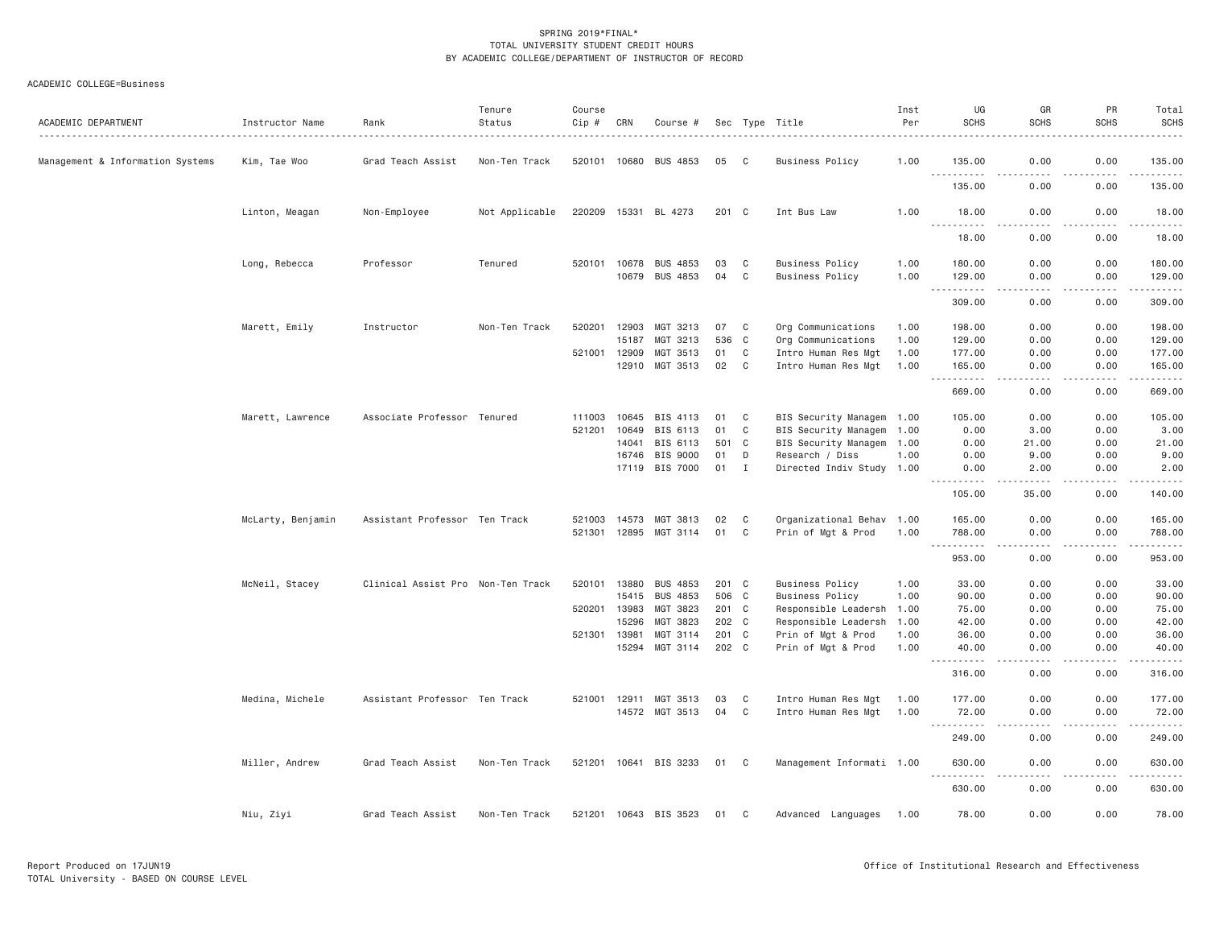| ACADEMIC DEPARTMENT              | Instructor Name   | Rank                              | Tenure<br>Status | Course<br>$Cip \#$ | CRN            | Course #                   |                |                | Sec Type Title                                  | Inst<br>Per  | UG<br><b>SCHS</b>                                                                                                                                            | GR<br><b>SCHS</b>                   | PR<br><b>SCHS</b>                                                                                                                                            | Total<br><b>SCHS</b>                                                                                                                                                                      |
|----------------------------------|-------------------|-----------------------------------|------------------|--------------------|----------------|----------------------------|----------------|----------------|-------------------------------------------------|--------------|--------------------------------------------------------------------------------------------------------------------------------------------------------------|-------------------------------------|--------------------------------------------------------------------------------------------------------------------------------------------------------------|-------------------------------------------------------------------------------------------------------------------------------------------------------------------------------------------|
| Management & Information Systems | Kim, Tae Woo      | Grad Teach Assist                 | Non-Ten Track    | 520101 10680       |                | BUS 4853                   | 05             | C <sub>c</sub> | <b>Business Policy</b>                          | 1.00         | 135.00                                                                                                                                                       | 0.00                                | 0.00                                                                                                                                                         | 135.00                                                                                                                                                                                    |
|                                  |                   |                                   |                  |                    |                |                            |                |                |                                                 |              | <u>.</u><br>135.00                                                                                                                                           | .<br>0.00                           | .<br>0.00                                                                                                                                                    | $\frac{1}{2} \left( \frac{1}{2} \right) \left( \frac{1}{2} \right) \left( \frac{1}{2} \right) \left( \frac{1}{2} \right) \left( \frac{1}{2} \right) \left( \frac{1}{2} \right)$<br>135.00 |
|                                  | Linton, Meagan    | Non-Employee                      | Not Applicable   |                    |                | 220209 15331 BL 4273       | 201 C          |                | Int Bus Law                                     | 1,00         | 18.00<br>.                                                                                                                                                   | 0.00<br>$\frac{1}{2}$               | 0.00                                                                                                                                                         | 18.00<br>.                                                                                                                                                                                |
|                                  |                   |                                   |                  |                    |                |                            |                |                |                                                 |              | 18.00                                                                                                                                                        | 0.00                                | .<br>0.00                                                                                                                                                    | 18.00                                                                                                                                                                                     |
|                                  | Long, Rebecca     | Professor                         | Tenured          | 520101             | 10678          | <b>BUS 4853</b>            | 03             | C              | <b>Business Policy</b>                          | 1.00         | 180.00                                                                                                                                                       | 0.00                                | 0.00                                                                                                                                                         | 180.00                                                                                                                                                                                    |
|                                  |                   |                                   |                  |                    | 10679          | BUS 4853                   | 04             | C              | <b>Business Policy</b>                          | 1.00         | 129.00<br>$\sim$ $\sim$ $\sim$                                                                                                                               | 0.00<br>$\sim$ $\sim$ $\sim$ $\sim$ | 0.00<br>.                                                                                                                                                    | 129.00<br>.                                                                                                                                                                               |
|                                  |                   |                                   |                  |                    |                |                            |                |                |                                                 |              | 309.00                                                                                                                                                       | 0.00                                | 0.00                                                                                                                                                         | 309.00                                                                                                                                                                                    |
|                                  | Marett, Emily     | Instructor                        | Non-Ten Track    | 520201             | 12903          | MGT 3213                   | 07             | C              | Org Communications                              | 1.00         | 198.00                                                                                                                                                       | 0.00                                | 0.00                                                                                                                                                         | 198.00                                                                                                                                                                                    |
|                                  |                   |                                   |                  |                    | 15187          | MGT 3213                   | 536            | C              | Org Communications                              | 1.00         | 129.00                                                                                                                                                       | 0.00                                | 0.00                                                                                                                                                         | 129.00                                                                                                                                                                                    |
|                                  |                   |                                   |                  | 521001             | 12909          | MGT 3513                   | 01             | C              | Intro Human Res Mgt                             | 1.00         | 177.00                                                                                                                                                       | 0.00                                | 0.00                                                                                                                                                         | 177.00                                                                                                                                                                                    |
|                                  |                   |                                   |                  |                    | 12910          | MGT 3513                   | 02             | C              | Intro Human Res Mgt                             | 1.00         | 165.00<br>.                                                                                                                                                  | 0.00<br>$\frac{1}{2}$               | 0.00<br>.                                                                                                                                                    | 165.00<br>$- - - - - -$                                                                                                                                                                   |
|                                  |                   |                                   |                  |                    |                |                            |                |                |                                                 |              | 669.00                                                                                                                                                       | 0.00                                | 0.00                                                                                                                                                         | 669.00                                                                                                                                                                                    |
|                                  | Marett, Lawrence  | Associate Professor Tenured       |                  | 111003             | 10645          | BIS 4113                   | 01             | C              | BIS Security Managem 1.00                       |              | 105.00                                                                                                                                                       | 0.00                                | 0.00                                                                                                                                                         | 105.00                                                                                                                                                                                    |
|                                  |                   |                                   |                  | 521201             | 10649          | BIS 6113                   | 01             | C              | BIS Security Managem 1.00                       |              | 0.00                                                                                                                                                         | 3.00                                | 0.00                                                                                                                                                         | 3.00                                                                                                                                                                                      |
|                                  |                   |                                   |                  |                    | 14041          | BIS 6113                   | 501            | C <sub>1</sub> | BIS Security Managem 1.00                       |              | 0.00                                                                                                                                                         | 21.00                               | 0.00                                                                                                                                                         | 21.00                                                                                                                                                                                     |
|                                  |                   |                                   |                  |                    | 16746          | BIS 9000                   | 01             | D              | Research / Diss                                 | 1.00         | 0.00                                                                                                                                                         | 9.00                                | 0.00                                                                                                                                                         | 9.00                                                                                                                                                                                      |
|                                  |                   |                                   |                  |                    | 17119          | BIS 7000                   | 01             | $\mathbf{I}$   | Directed Indiv Study 1.00                       |              | 0.00<br>$\frac{1}{2} \left( \frac{1}{2} \right) \left( \frac{1}{2} \right) \left( \frac{1}{2} \right) \left( \frac{1}{2} \right) \left( \frac{1}{2} \right)$ | 2.00                                | 0.00                                                                                                                                                         | 2.00                                                                                                                                                                                      |
|                                  |                   |                                   |                  |                    |                |                            |                |                |                                                 |              | 105.00                                                                                                                                                       | 35.00                               | 0.00                                                                                                                                                         | 140.00                                                                                                                                                                                    |
|                                  | McLarty, Benjamin | Assistant Professor Ten Track     |                  | 521003             | 14573          | MGT 3813                   | 02             | C              | Organizational Behav 1.00                       |              | 165.00                                                                                                                                                       | 0.00                                | 0.00                                                                                                                                                         | 165.00                                                                                                                                                                                    |
|                                  |                   |                                   |                  | 521301             | 12895          | MGT 3114                   | 01             | C              | Prin of Mgt & Prod                              | 1.00         | 788.00                                                                                                                                                       | 0.00                                | 0.00                                                                                                                                                         | 788.00                                                                                                                                                                                    |
|                                  |                   |                                   |                  |                    |                |                            |                |                |                                                 |              | .<br>$- - -$<br>953.00                                                                                                                                       | الدامات بال<br>0.00                 | 2.2.2.2.2<br>0.00                                                                                                                                            | .<br>953.00                                                                                                                                                                               |
|                                  |                   |                                   |                  |                    |                |                            |                |                |                                                 |              |                                                                                                                                                              |                                     |                                                                                                                                                              |                                                                                                                                                                                           |
|                                  | McNeil, Stacey    | Clinical Assist Pro Non-Ten Track |                  | 520101             | 13880          | <b>BUS 4853</b>            | 201 C          |                | <b>Business Policy</b>                          | 1.00         | 33.00                                                                                                                                                        | 0.00                                | 0.00                                                                                                                                                         | 33.00                                                                                                                                                                                     |
|                                  |                   |                                   |                  |                    | 15415          | <b>BUS 4853</b>            | 506 C          |                | <b>Business Policy</b>                          | 1.00         | 90.00                                                                                                                                                        | 0.00                                | 0.00                                                                                                                                                         | 90.00                                                                                                                                                                                     |
|                                  |                   |                                   |                  | 520201             | 13983          | MGT 3823                   | 201 C          |                | Responsible Leadersh 1.00                       |              | 75.00                                                                                                                                                        | 0.00                                | 0.00                                                                                                                                                         | 75.00                                                                                                                                                                                     |
|                                  |                   |                                   |                  |                    | 15296          | MGT 3823                   | 202 C          |                | Responsible Leadersh                            | 1.00         | 42.00                                                                                                                                                        | 0.00                                | 0.00                                                                                                                                                         | 42.00                                                                                                                                                                                     |
|                                  |                   |                                   |                  | 521301             | 13981<br>15294 | MGT 3114<br>MGT 3114       | 201 C<br>202 C |                | Prin of Mgt & Prod<br>Prin of Mgt & Prod        | 1.00<br>1.00 | 36.00<br>40.00                                                                                                                                               | 0.00<br>0.00                        | 0.00<br>0.00                                                                                                                                                 | 36.00<br>40.00                                                                                                                                                                            |
|                                  |                   |                                   |                  |                    |                |                            |                |                |                                                 |              | $\sim$ $\sim$ $\sim$<br>.<br>316.00                                                                                                                          | $\sim$ $\sim$ $\sim$ $\sim$<br>0.00 | $\frac{1}{2} \left( \frac{1}{2} \right) \left( \frac{1}{2} \right) \left( \frac{1}{2} \right) \left( \frac{1}{2} \right) \left( \frac{1}{2} \right)$<br>0.00 | .<br>316.00                                                                                                                                                                               |
|                                  |                   |                                   |                  |                    |                |                            |                |                |                                                 |              |                                                                                                                                                              |                                     |                                                                                                                                                              |                                                                                                                                                                                           |
|                                  | Medina, Michele   | Assistant Professor Ten Track     |                  | 521001             | 12911          | MGT 3513<br>14572 MGT 3513 | 03<br>04       | C<br>C         | Intro Human Res Mgt<br>Intro Human Res Mgt 1.00 | 1.00         | 177.00<br>72.00                                                                                                                                              | 0.00<br>0.00                        | 0.00<br>0.00                                                                                                                                                 | 177.00<br>72.00                                                                                                                                                                           |
|                                  |                   |                                   |                  |                    |                |                            |                |                |                                                 |              | <u>.</u>                                                                                                                                                     | د د د د                             | .                                                                                                                                                            | .                                                                                                                                                                                         |
|                                  |                   |                                   |                  |                    |                |                            |                |                |                                                 |              | 249.00                                                                                                                                                       | 0.00                                | 0.00                                                                                                                                                         | 249.00                                                                                                                                                                                    |
|                                  | Miller, Andrew    | Grad Teach Assist                 | Non-Ten Track    |                    |                | 521201 10641 BIS 3233      | 01 C           |                | Management Informati 1.00                       |              | 630.00<br>$\sim$ $\sim$ $\sim$<br>$- - - - - - -$                                                                                                            | 0.00<br>$- - - -$                   | 0.00<br>$- - - - -$                                                                                                                                          | 630.00<br>$- - - - - -$                                                                                                                                                                   |
|                                  |                   |                                   |                  |                    |                |                            |                |                |                                                 |              | 630.00                                                                                                                                                       | 0.00                                | 0.00                                                                                                                                                         | 630.00                                                                                                                                                                                    |
|                                  | Niu, Ziyi         | Grad Teach Assist                 | Non-Ten Track    |                    |                | 521201 10643 BIS 3523      | 01             | C              | Advanced Languages 1.00                         |              | 78.00                                                                                                                                                        | 0.00                                | 0.00                                                                                                                                                         | 78.00                                                                                                                                                                                     |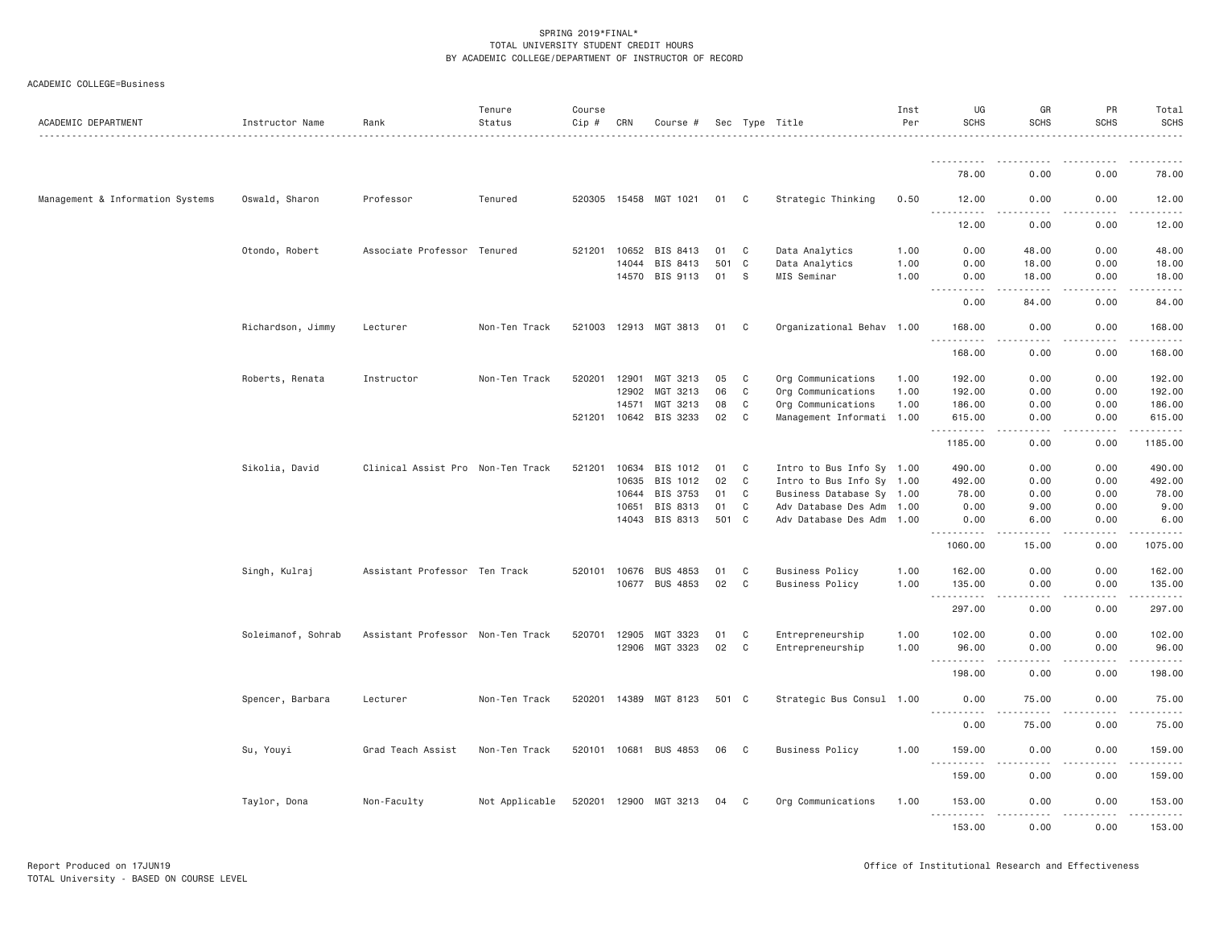| ACADEMIC COLLEGE=Business |
|---------------------------|
|---------------------------|

| ACADEMIC DEPARTMENT              | Instructor Name    | Rank                              | Tenure<br>Status | Course<br>Cip # | CRN   | Course #              |       |              | Sec Type Title            | Inst<br>Per | UG<br><b>SCHS</b>                   | GR<br><b>SCHS</b> | PR<br><b>SCHS</b> | Total<br><b>SCHS</b> |
|----------------------------------|--------------------|-----------------------------------|------------------|-----------------|-------|-----------------------|-------|--------------|---------------------------|-------------|-------------------------------------|-------------------|-------------------|----------------------|
|                                  |                    |                                   |                  |                 |       |                       |       |              |                           |             | .                                   |                   |                   |                      |
|                                  |                    |                                   |                  |                 |       |                       |       |              |                           |             | 78.00                               | 0.00              | 0.00              | 78.00                |
| Management & Information Systems | Oswald, Sharon     | Professor                         | Tenured          |                 |       | 520305 15458 MGT 1021 | 01    | $\mathbf{C}$ | Strategic Thinking        | 0.50        | 12.00<br>.                          | 0.00<br>.         | 0.00<br>.         | 12.00<br>.           |
|                                  |                    |                                   |                  |                 |       |                       |       |              |                           |             | 12.00                               | 0.00              | 0.00              | 12.00                |
|                                  | Otondo, Robert     | Associate Professor Tenured       |                  | 521201 10652    |       | BIS 8413              | 01    | $\mathbf{C}$ | Data Analytics            | 1.00        | 0.00                                | 48.00             | 0.00              | 48.00                |
|                                  |                    |                                   |                  |                 | 14044 | BIS 8413              | 501   | $\mathbf{C}$ | Data Analytics            | 1.00        | 0.00                                | 18.00             | 0.00              | 18.00                |
|                                  |                    |                                   |                  |                 |       | 14570 BIS 9113        | 01    | <sub>S</sub> | MIS Seminar               | 1.00        | 0.00<br>.<br>$- - - -$              | 18.00             | 0.00              | 18.00                |
|                                  |                    |                                   |                  |                 |       |                       |       |              |                           |             | 0.00                                | 84.00             | 0.00              | 84.00                |
|                                  | Richardson, Jimmy  | Lecturer                          | Non-Ten Track    |                 |       | 521003 12913 MGT 3813 | 01    | C            | Organizational Behav 1.00 |             | 168.00<br>.<br>$  -$                | 0.00              | 0.00              | 168.00<br>.          |
|                                  |                    |                                   |                  |                 |       |                       |       |              |                           |             | 168.00                              | 0.00              | 0.00              | 168.00               |
|                                  | Roberts, Renata    | Instructor                        | Non-Ten Track    | 520201          | 12901 | MGT 3213              | 05    | $\mathbf{C}$ | Org Communications        | 1.00        | 192.00                              | 0.00              | 0.00              | 192.00               |
|                                  |                    |                                   |                  |                 | 12902 | MGT 3213              | 06    | C            | Org Communications        | 1.00        | 192.00                              | 0.00              | 0.00              | 192.00               |
|                                  |                    |                                   |                  |                 | 14571 | MGT 3213              | 08    | C            | Org Communications        | 1.00        | 186.00                              | 0.00              | 0.00              | 186.00               |
|                                  |                    |                                   |                  |                 |       | 521201 10642 BIS 3233 | 02    | C            | Management Informati 1.00 |             | 615.00<br>.                         | 0.00<br>.         | 0.00<br>.         | 615.00<br>.          |
|                                  |                    |                                   |                  |                 |       |                       |       |              |                           |             | 1185.00                             | 0.00              | 0.00              | 1185.00              |
|                                  | Sikolia, David     | Clinical Assist Pro Non-Ten Track |                  | 521201          | 10634 | BIS 1012              | 01    | C            | Intro to Bus Info Sy 1.00 |             | 490.00                              | 0.00              | 0.00              | 490.00               |
|                                  |                    |                                   |                  |                 | 10635 | BIS 1012              | 02    | C            | Intro to Bus Info Sy 1.00 |             | 492.00                              | 0.00              | 0.00              | 492.00               |
|                                  |                    |                                   |                  |                 | 10644 | BIS 3753              | 01    | C            | Business Database Sy 1.00 |             | 78.00                               | 0.00              | 0.00              | 78.00                |
|                                  |                    |                                   |                  |                 | 10651 | BIS 8313              | 01    | C            | Adv Database Des Adm      | 1.00        | 0.00                                | 9.00              | 0.00              | 9.00                 |
|                                  |                    |                                   |                  |                 |       | 14043 BIS 8313        | 501 C |              | Adv Database Des Adm 1.00 |             | 0.00<br>.                           | 6.00              | 0.00              | 6.00                 |
|                                  |                    |                                   |                  |                 |       |                       |       |              |                           |             | 1060.00                             | 15.00             | 0.00              | 1075.00              |
|                                  | Singh, Kulraj      | Assistant Professor Ten Track     |                  | 520101          | 10676 | <b>BUS 4853</b>       | 01    | C            | Business Policy           | 1.00        | 162.00                              | 0.00              | 0.00              | 162.00               |
|                                  |                    |                                   |                  |                 |       | 10677 BUS 4853        | 02    | C            | <b>Business Policy</b>    | 1.00        | 135.00                              | 0.00              | 0.00              | 135.00               |
|                                  |                    |                                   |                  |                 |       |                       |       |              |                           |             | $\sim$ $\sim$<br>.<br>297.00        | .<br>0.00         | -----<br>0.00     | .<br>297.00          |
|                                  | Soleimanof, Sohrab | Assistant Professor Non-Ten Track |                  | 520701          | 12905 | MGT 3323              | 01    | C            | Entrepreneurship          | 1.00        | 102.00                              | 0.00              | 0.00              | 102.00               |
|                                  |                    |                                   |                  |                 | 12906 | MGT 3323              | 02    | C            | Entrepreneurship          | 1.00        | 96.00                               | 0.00              | 0.00              | 96.00                |
|                                  |                    |                                   |                  |                 |       |                       |       |              |                           |             | $\sim$ $\sim$ $\sim$<br>.<br>198.00 | 0.00              | 0.00              | .<br>198.00          |
|                                  | Spencer, Barbara   | Lecturer                          | Non-Ten Track    | 520201 14389    |       | MGT 8123              | 501 C |              | Strategic Bus Consul 1.00 |             | 0.00                                | 75.00             | 0.00              | 75.00                |
|                                  |                    |                                   |                  |                 |       |                       |       |              |                           |             | .<br>0.00                           | 75.00             | 0.00              | 75.00                |
|                                  | Su, Youyi          | Grad Teach Assist                 | Non-Ten Track    |                 |       | 520101 10681 BUS 4853 | 06 C  |              | <b>Business Policy</b>    | 1.00        | 159.00                              | 0.00              | 0.00              | 159.00               |
|                                  |                    |                                   |                  |                 |       |                       |       |              |                           |             | $\sim$ $\sim$ $\sim$<br>.<br>159.00 | .<br>0.00         | -----<br>0.00     | .<br>159.00          |
|                                  | Taylor, Dona       | Non-Faculty                       | Not Applicable   | 520201 12900    |       | MGT 3213              | 04    | C C          | Org Communications        | 1.00        | 153.00                              | 0.00              | 0.00              | 153.00               |
|                                  |                    |                                   |                  |                 |       |                       |       |              |                           |             | .<br>153.00                         | .<br>0.00         | .<br>0.00         | .<br>153.00          |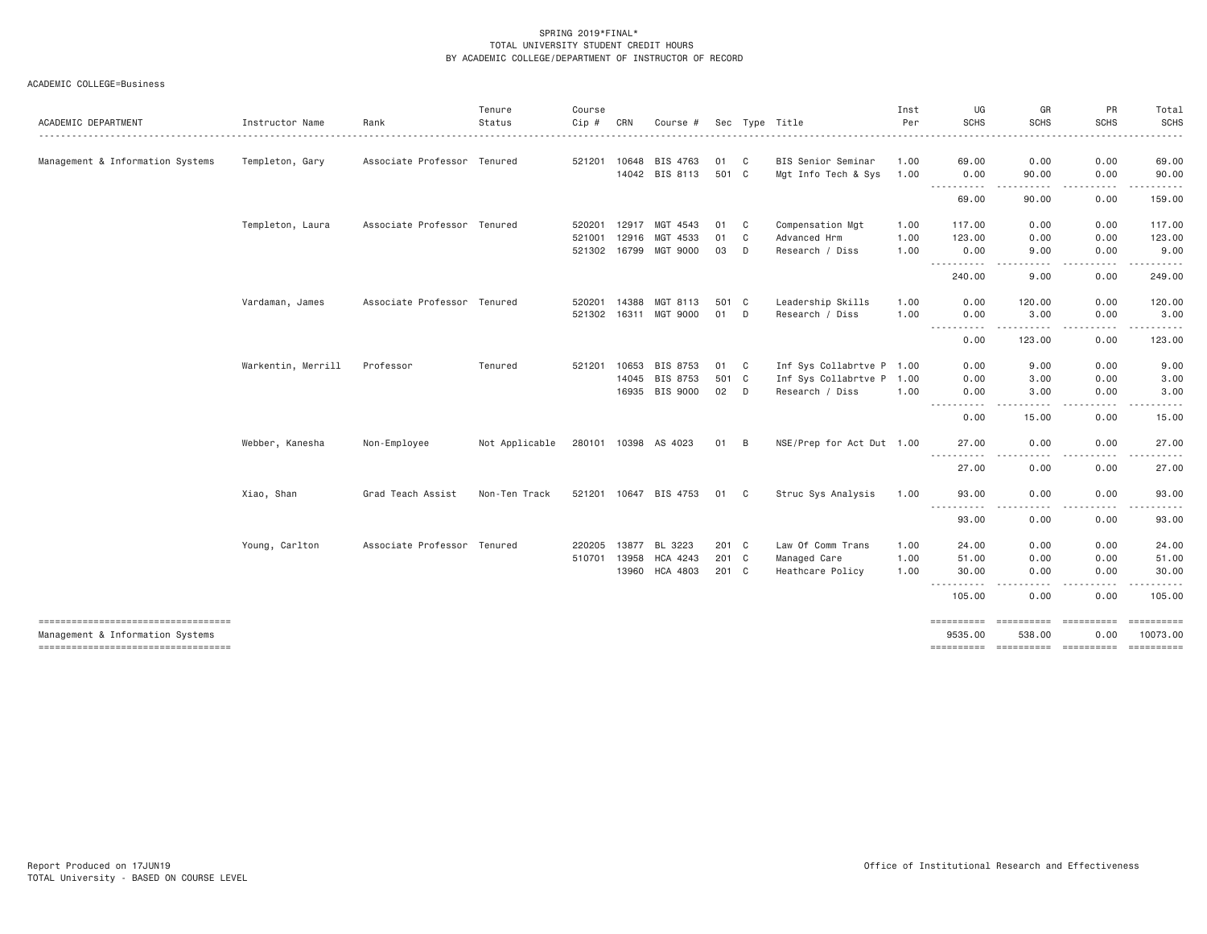| ACADEMIC DEPARTMENT                                                    | Instructor Name    | Rank                        | Tenure<br>Status | Course<br>Cip # | CRN   | Course #              |       |              | Sec Type Title            | Inst<br>Per | UG<br><b>SCHS</b><br>.    | GR<br><b>SCHS</b>              | PR<br><b>SCHS</b>              | Total<br><b>SCHS</b> |
|------------------------------------------------------------------------|--------------------|-----------------------------|------------------|-----------------|-------|-----------------------|-------|--------------|---------------------------|-------------|---------------------------|--------------------------------|--------------------------------|----------------------|
| Management & Information Systems                                       | Templeton, Gary    | Associate Professor Tenured |                  | 521201          | 10648 | BIS 4763              | 01    | C            | BIS Senior Seminar        | 1.00        | 69.00                     | 0.00                           | 0.00                           | 69.00                |
|                                                                        |                    |                             |                  |                 |       | 14042 BIS 8113        | 501 C |              | Mgt Info Tech & Sys       | 1.00        | 0.00<br>-----------       | 90.00<br>----                  | 0.00<br>.                      | 90.00                |
|                                                                        |                    |                             |                  |                 |       |                       |       |              |                           |             | 69.00                     | 90.00                          | 0.00                           | 159.00               |
|                                                                        | Templeton, Laura   | Associate Professor Tenured |                  | 520201          | 12917 | MGT 4543              | 01    | C            | Compensation Mgt          | 1.00        | 117,00                    | 0.00                           | 0.00                           | 117.00               |
|                                                                        |                    |                             |                  | 521001          | 12916 | MGT 4533              | 01    | C            | Advanced Hrm              | 1.00        | 123.00                    | 0.00                           | 0.00                           | 123.00               |
|                                                                        |                    |                             |                  | 521302          | 16799 | MGT 9000              | 03    | D            | Research / Diss           | 1.00        | 0.00<br>.                 | 9.00<br>.                      | 0.00<br>.                      | 9.00<br>.            |
|                                                                        |                    |                             |                  |                 |       |                       |       |              |                           |             | 240.00                    | 9.00                           | 0.00                           | 249.00               |
|                                                                        | Vardaman, James    | Associate Professor Tenured |                  | 520201          | 14388 | MGT 8113              | 501 C |              | Leadership Skills         | 1.00        | 0.00                      | 120.00                         | 0.00                           | 120.00               |
|                                                                        |                    |                             |                  | 521302          | 16311 | MGT 9000              | 01    | D            | Research / Diss           | 1.00        | 0.00                      | 3.00                           | 0.00                           | 3.00                 |
|                                                                        |                    |                             |                  |                 |       |                       |       |              |                           |             | -----<br><u>.</u><br>0.00 | 123.00                         | -----<br>0.00                  | 123.00               |
|                                                                        | Warkentin, Merrill | Professor                   | Tenured          | 521201          | 10653 | BIS 8753              | 01    | $\mathbf{C}$ | Inf Sys Collabrtve P 1.00 |             | 0.00                      | 9.00                           | 0.00                           | 9.00                 |
|                                                                        |                    |                             |                  |                 | 14045 | BIS 8753              | 501 C |              | Inf Sys Collabrtve P 1.00 |             | 0.00                      | 3.00                           | 0.00                           | 3.00                 |
|                                                                        |                    |                             |                  |                 | 16935 | BIS 9000              | 02    | D            | Research / Diss           | 1.00        | 0.00<br>----------        | 3.00<br>.                      | 0.00<br><u>.</u>               | 3.00<br>.            |
|                                                                        |                    |                             |                  |                 |       |                       |       |              |                           |             | 0.00                      | 15.00                          | 0.00                           | 15.00                |
|                                                                        | Webber, Kanesha    | Non-Employee                | Not Applicable   | 280101 10398    |       | AS 4023               | 01    | B            | NSE/Prep for Act Dut 1.00 |             | 27.00<br>.<br>-----       | 0.00                           | 0.00                           | 27.00                |
|                                                                        |                    |                             |                  |                 |       |                       |       |              |                           |             | 27.00                     | 0.00                           | 0.00                           | 27.00                |
|                                                                        | Xiao, Shan         | Grad Teach Assist           | Non-Ten Track    |                 |       | 521201 10647 BIS 4753 | 01    | C.           | Struc Sys Analysis        | 1.00        | 93,00<br>.                | 0.00<br>. <b>.</b><br>$\cdots$ | 0.00<br>.                      | 93.00<br>.           |
|                                                                        |                    |                             |                  |                 |       |                       |       |              |                           |             | 93.00                     | 0.00                           | 0.00                           | 93.00                |
|                                                                        | Young, Carlton     | Associate Professor Tenured |                  | 220205          | 13877 | BL 3223               | 201 C |              | Law Of Comm Trans         | 1.00        | 24.00                     | 0.00                           | 0.00                           | 24.00                |
|                                                                        |                    |                             |                  | 510701          | 13958 | HCA 4243              | 201 C |              | Managed Care              | 1.00        | 51.00                     | 0.00                           | 0.00                           | 51.00                |
|                                                                        |                    |                             |                  |                 | 13960 | HCA 4803              | 201 C |              | Heathcare Policy          | 1.00        | 30.00<br>-----------      | 0.00<br>$\cdots$<br>.          | 0.00<br>$\cdots \cdots \cdots$ | 30.00<br>.           |
|                                                                        |                    |                             |                  |                 |       |                       |       |              |                           |             | 105.00                    | 0.00                           | 0.00                           | 105.00               |
| ----------------------------------<br>Management & Information Systems |                    |                             |                  |                 |       |                       |       |              |                           |             | ==========<br>9535.00     | ==========<br>538,00           | ==========<br>0.00             | 10073.00             |
| ----------------------------------                                     |                    |                             |                  |                 |       |                       |       |              |                           |             |                           |                                |                                | ==========           |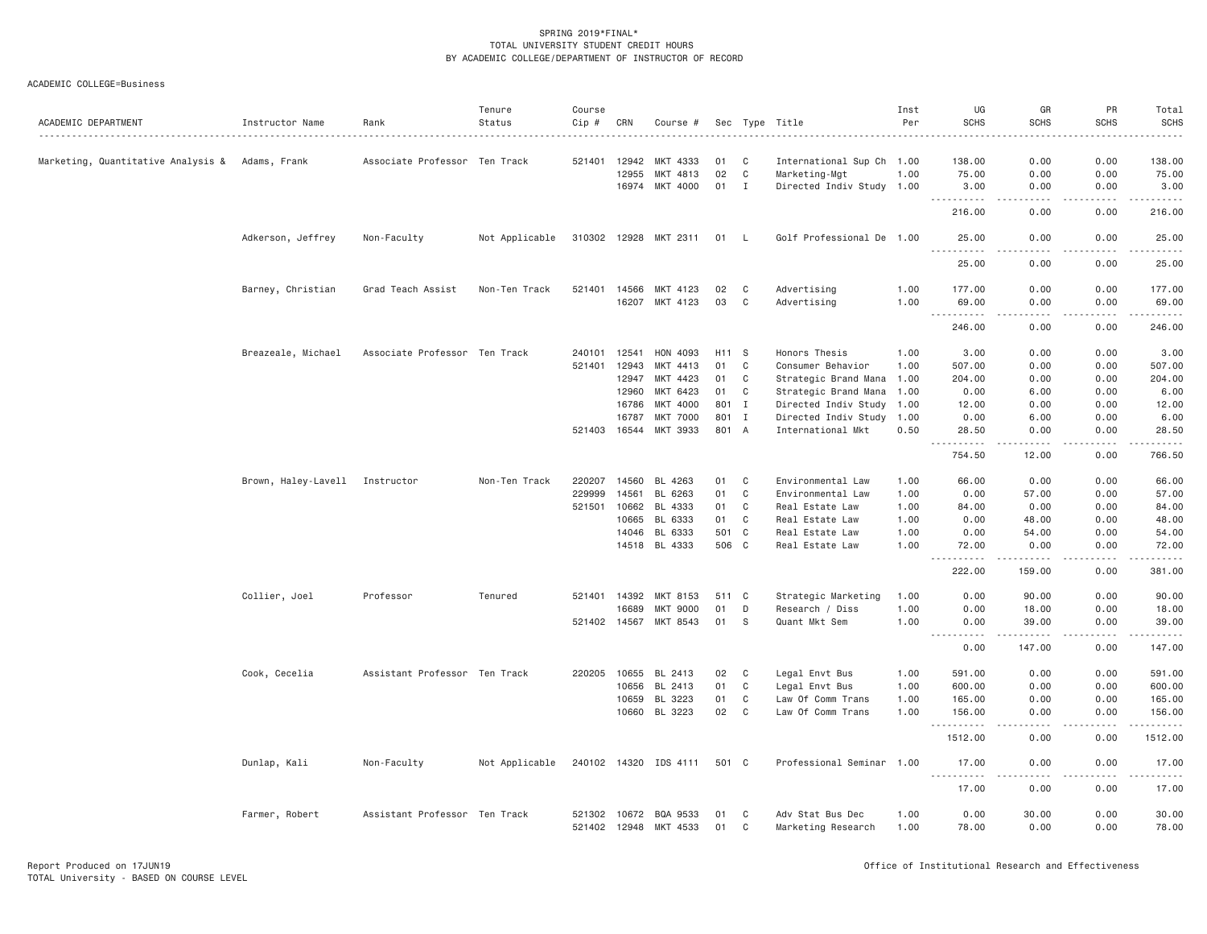| ACADEMIC DEPARTMENT                | Instructor Name     | Rank                          | Tenure<br>Status | Course<br>Cip #              | CRN   | Course #              |          |             | Sec Type Title                         | Inst<br>Per  | UG<br><b>SCHS</b>                      | GR<br><b>SCHS</b>                                                                                                                 | PR<br><b>SCHS</b><br>$\frac{1}{2} \left( \frac{1}{2} \right) \left( \frac{1}{2} \right) \left( \frac{1}{2} \right) \left( \frac{1}{2} \right) \left( \frac{1}{2} \right)$ | Total<br><b>SCHS</b><br>. |
|------------------------------------|---------------------|-------------------------------|------------------|------------------------------|-------|-----------------------|----------|-------------|----------------------------------------|--------------|----------------------------------------|-----------------------------------------------------------------------------------------------------------------------------------|---------------------------------------------------------------------------------------------------------------------------------------------------------------------------|---------------------------|
| Marketing, Quantitative Analysis & | Adams, Frank        | Associate Professor Ten Track |                  | 521401                       | 12942 | MKT 4333              | 01       | C           | International Sup Ch 1.00              |              | 138.00                                 | 0.00                                                                                                                              | 0.00                                                                                                                                                                      | 138.00                    |
|                                    |                     |                               |                  |                              | 12955 | MKT 4813              | 02       | C           | Marketing-Mgt                          | 1.00         | 75.00                                  | 0.00                                                                                                                              | 0.00                                                                                                                                                                      | 75.00                     |
|                                    |                     |                               |                  |                              |       | 16974 MKT 4000        | 01       | $\mathbf I$ | Directed Indiv Study 1.00              |              | 3.00                                   | 0.00                                                                                                                              | 0.00                                                                                                                                                                      | 3.00                      |
|                                    |                     |                               |                  |                              |       |                       |          |             |                                        |              | .<br>216.00                            | $   -$<br>0.00                                                                                                                    | .<br>0.00                                                                                                                                                                 | $- - - - - - -$<br>216.00 |
|                                    | Adkerson, Jeffrey   | Non-Faculty                   | Not Applicable   |                              |       | 310302 12928 MKT 2311 | 01 L     |             | Golf Professional De 1.00              |              | 25,00                                  | 0.00                                                                                                                              | 0.00                                                                                                                                                                      | 25.00<br>.                |
|                                    |                     |                               |                  |                              |       |                       |          |             |                                        |              | 25.00                                  | 0.00                                                                                                                              | 0.00                                                                                                                                                                      | 25.00                     |
|                                    | Barney, Christian   | Grad Teach Assist             | Non-Ten Track    | 521401                       | 14566 | MKT 4123              | 02       | C           | Advertising                            | 1.00         | 177.00                                 | 0.00                                                                                                                              | 0.00                                                                                                                                                                      | 177.00                    |
|                                    |                     |                               |                  |                              |       | 16207 MKT 4123        | 03       | C           | Advertising                            | 1.00         | 69.00                                  | 0.00                                                                                                                              | 0.00                                                                                                                                                                      | 69.00                     |
|                                    |                     |                               |                  |                              |       |                       |          |             |                                        |              | $- - -$<br>. <u>.</u><br>246.00        | .<br>0.00                                                                                                                         | -----<br>0.00                                                                                                                                                             | .<br>246.00               |
|                                    | Breazeale, Michael  | Associate Professor Ten Track |                  | 240101                       | 12541 | HON 4093              | H11 S    |             | Honors Thesis                          | 1.00         | 3.00                                   | 0.00                                                                                                                              | 0.00                                                                                                                                                                      | 3.00                      |
|                                    |                     |                               |                  | 521401                       | 12943 | MKT 4413              | 01       | $\mathbf c$ | Consumer Behavior                      | 1.00         | 507.00                                 | 0.00                                                                                                                              | 0.00                                                                                                                                                                      | 507.00                    |
|                                    |                     |                               |                  |                              | 12947 | MKT 4423              | 01       | C           | Strategic Brand Mana                   | 1.00         | 204.00                                 | 0.00                                                                                                                              | 0.00                                                                                                                                                                      | 204.00                    |
|                                    |                     |                               |                  |                              | 12960 | MKT 6423              | 01       | C           | Strategic Brand Mana 1.00              |              | 0.00                                   | 6.00                                                                                                                              | 0.00                                                                                                                                                                      | 6.00                      |
|                                    |                     |                               |                  |                              | 16786 | MKT 4000              | 801      | I           | Directed Indiv Study                   | 1.00         | 12.00                                  | 0.00                                                                                                                              | 0.00                                                                                                                                                                      | 12.00                     |
|                                    |                     |                               |                  |                              | 16787 | <b>MKT 7000</b>       | 801 I    |             | Directed Indiv Study 1.00              |              | 0.00                                   | 6.00                                                                                                                              | 0.00                                                                                                                                                                      | 6.00                      |
|                                    |                     |                               |                  | 521403 16544                 |       | MKT 3933              | 801 A    |             | International Mkt                      | 0.50         | 28.50                                  | 0.00                                                                                                                              | 0.00                                                                                                                                                                      | 28.50                     |
|                                    |                     |                               |                  |                              |       |                       |          |             |                                        |              | .<br>754.50                            | .<br>12.00                                                                                                                        | .<br>0.00                                                                                                                                                                 | <u>.</u><br>766.50        |
|                                    | Brown, Haley-Lavell | Instructor                    | Non-Ten Track    | 220207                       | 14560 | BL 4263               | 01       | C           | Environmental Law                      | 1.00         | 66.00                                  | 0.00                                                                                                                              | 0.00                                                                                                                                                                      | 66.00                     |
|                                    |                     |                               |                  | 229999                       | 14561 | BL 6263               | 01       | C           | Environmental Law                      | 1.00         | 0.00                                   | 57.00                                                                                                                             | 0.00                                                                                                                                                                      | 57.00                     |
|                                    |                     |                               |                  | 521501                       | 10662 | BL 4333               | 01       | C           | Real Estate Law                        | 1.00         | 84.00                                  | 0.00                                                                                                                              | 0.00                                                                                                                                                                      | 84.00                     |
|                                    |                     |                               |                  |                              | 10665 | BL 6333               | 01       | C           | Real Estate Law                        | 1.00         | 0.00                                   | 48.00                                                                                                                             | 0.00                                                                                                                                                                      | 48.00                     |
|                                    |                     |                               |                  |                              | 14046 | BL 6333               | 501 C    |             | Real Estate Law                        | 1.00         | 0.00                                   | 54.00                                                                                                                             | 0.00                                                                                                                                                                      | 54.00                     |
|                                    |                     |                               |                  |                              |       | 14518 BL 4333         | 506 C    |             | Real Estate Law                        | 1.00         | 72.00                                  | 0.00                                                                                                                              | 0.00                                                                                                                                                                      | 72.00                     |
|                                    |                     |                               |                  |                              |       |                       |          |             |                                        |              | .<br>222.00                            | $- - - - -$<br>159.00                                                                                                             | .<br>0.00                                                                                                                                                                 | .<br>381.00               |
|                                    | Collier, Joel       | Professor                     | Tenured          | 521401 14392                 |       | MKT 8153              | 511 C    |             | Strategic Marketing                    | 1.00         | 0.00                                   | 90.00                                                                                                                             | 0.00                                                                                                                                                                      | 90.00                     |
|                                    |                     |                               |                  |                              | 16689 | <b>MKT 9000</b>       | 01       | D           | Research / Diss                        | 1.00         | 0.00                                   | 18.00                                                                                                                             | 0.00                                                                                                                                                                      | 18.00                     |
|                                    |                     |                               |                  | 521402 14567                 |       | MKT 8543              | 01       | S           | Quant Mkt Sem                          | 1.00         | 0.00                                   | 39.00                                                                                                                             | 0.00                                                                                                                                                                      | 39.00                     |
|                                    |                     |                               |                  |                              |       |                       |          |             |                                        |              | 0.00                                   | $- - - - -$<br>147.00                                                                                                             | .<br>0.00                                                                                                                                                                 | .<br>147.00               |
|                                    | Cook, Cecelia       | Assistant Professor Ten Track |                  | 220205                       | 10655 | BL 2413               | 02       | C           | Legal Envt Bus                         | 1.00         | 591.00                                 | 0.00                                                                                                                              | 0.00                                                                                                                                                                      | 591.00                    |
|                                    |                     |                               |                  |                              | 10656 | BL 2413               | 01       | $\mathbf c$ | Legal Envt Bus                         | 1.00         | 600.00                                 | 0.00                                                                                                                              | 0.00                                                                                                                                                                      | 600.00                    |
|                                    |                     |                               |                  |                              | 10659 | BL 3223               | 01       | C           | Law Of Comm Trans                      | 1.00         | 165.00                                 | 0.00                                                                                                                              | 0.00                                                                                                                                                                      | 165.00                    |
|                                    |                     |                               |                  |                              | 10660 | BL 3223               | 02       | $\mathbf C$ | Law Of Comm Trans                      | 1.00         | 156.00                                 | 0.00                                                                                                                              | 0.00                                                                                                                                                                      | 156.00                    |
|                                    |                     |                               |                  |                              |       |                       |          |             |                                        |              | <u> - - - - - - - - - -</u><br>1512.00 | $\frac{1}{2} \left( \frac{1}{2} \right) \left( \frac{1}{2} \right) \left( \frac{1}{2} \right) \left( \frac{1}{2} \right)$<br>0.00 | .<br>0.00                                                                                                                                                                 | .<br>1512.00              |
|                                    | Dunlap, Kali        | Non-Faculty                   | Not Applicable   |                              |       | 240102 14320 IDS 4111 | 501 C    |             | Professional Seminar 1.00              |              | 17.00                                  | 0.00                                                                                                                              | 0.00                                                                                                                                                                      | 17.00                     |
|                                    |                     |                               |                  |                              |       |                       |          |             |                                        |              | <u>.</u><br>17.00                      | $\frac{1}{2}$<br>0.00                                                                                                             | .<br>0.00                                                                                                                                                                 | .<br>17.00                |
|                                    | Farmer, Robert      | Assistant Professor Ten Track |                  | 521302 10672<br>521402 12948 |       | BQA 9533<br>MKT 4533  | 01<br>01 | C<br>C      | Adv Stat Bus Dec<br>Marketing Research | 1.00<br>1.00 | 0.00<br>78.00                          | 30.00<br>0.00                                                                                                                     | 0.00<br>0.00                                                                                                                                                              | 30.00<br>78.00            |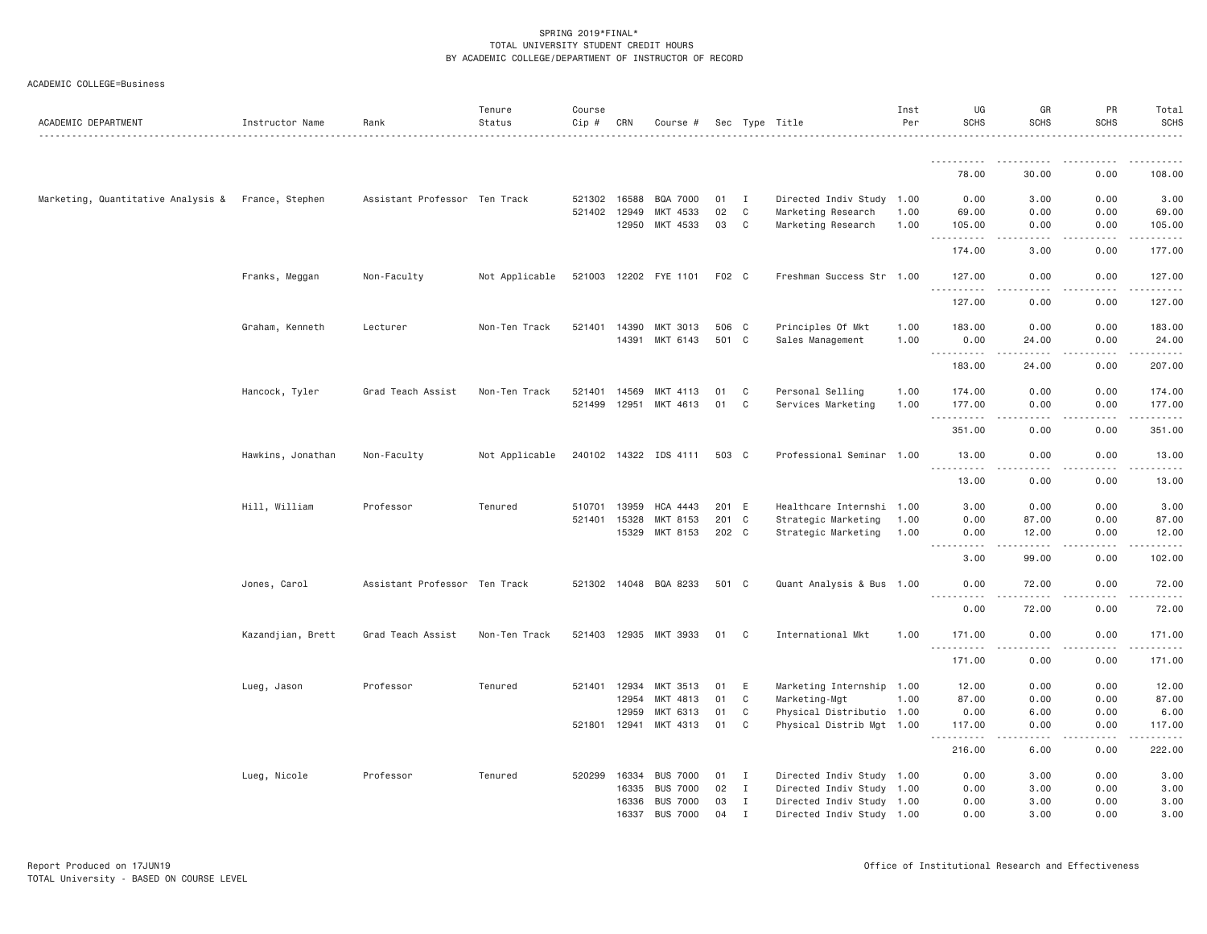| ACADEMIC DEPARTMENT                                | Instructor Name   | Rank                          | Tenure<br>Status | Course<br>Cip # | CRN   | Course #              |       |              | Sec Type Title            | Inst<br>Per | UG<br><b>SCHS</b>      | GR<br><b>SCHS</b>                                                                                                                 | PR<br><b>SCHS</b> | Total<br><b>SCHS</b>                                                                                                                                                                      |
|----------------------------------------------------|-------------------|-------------------------------|------------------|-----------------|-------|-----------------------|-------|--------------|---------------------------|-------------|------------------------|-----------------------------------------------------------------------------------------------------------------------------------|-------------------|-------------------------------------------------------------------------------------------------------------------------------------------------------------------------------------------|
|                                                    |                   |                               |                  |                 |       |                       |       |              |                           |             |                        |                                                                                                                                   |                   |                                                                                                                                                                                           |
|                                                    |                   |                               |                  |                 |       |                       |       |              |                           |             | 78.00                  | 30.00                                                                                                                             | 0.00              | 108.00                                                                                                                                                                                    |
| Marketing, Quantitative Analysis & France, Stephen |                   | Assistant Professor Ten Track |                  | 521302          | 16588 | BQA 7000              | 01    | $\mathbf{I}$ | Directed Indiv Study 1.00 |             | 0.00                   | 3.00                                                                                                                              | 0.00              | 3.00                                                                                                                                                                                      |
|                                                    |                   |                               |                  | 521402          | 12949 | MKT 4533              | 02    | C            | Marketing Research        | 1.00        | 69.00                  | 0.00                                                                                                                              | 0.00              | 69.00                                                                                                                                                                                     |
|                                                    |                   |                               |                  |                 | 12950 | MKT 4533              | 03    | C            | Marketing Research        | 1.00        | 105.00<br>.            | 0.00                                                                                                                              | 0.00              | 105.00<br>$\frac{1}{2} \left( \frac{1}{2} \right) \left( \frac{1}{2} \right) \left( \frac{1}{2} \right) \left( \frac{1}{2} \right) \left( \frac{1}{2} \right)$                            |
|                                                    |                   |                               |                  |                 |       |                       |       |              |                           |             | 174.00                 | 3.00                                                                                                                              | 0.00              | 177.00                                                                                                                                                                                    |
|                                                    | Franks, Meggan    | Non-Faculty                   | Not Applicable   |                 |       | 521003 12202 FYE 1101 | F02 C |              | Freshman Success Str 1.00 |             | 127.00<br><u>.</u>     | 0.00<br>.                                                                                                                         | 0.00<br>.         | 127.00<br>$\frac{1}{2} \left( \frac{1}{2} \right) \left( \frac{1}{2} \right) \left( \frac{1}{2} \right) \left( \frac{1}{2} \right) \left( \frac{1}{2} \right) \left( \frac{1}{2} \right)$ |
|                                                    |                   |                               |                  |                 |       |                       |       |              |                           |             | 127.00                 | 0.00                                                                                                                              | 0.00              | 127.00                                                                                                                                                                                    |
|                                                    | Graham, Kenneth   | Lecturer                      | Non-Ten Track    | 521401          | 14390 | MKT 3013              | 506 C |              | Principles Of Mkt         | 1.00        | 183.00                 | 0.00                                                                                                                              | 0.00              | 183.00                                                                                                                                                                                    |
|                                                    |                   |                               |                  |                 | 14391 | MKT 6143              | 501 C |              | Sales Management          | 1.00        | 0.00                   | 24.00                                                                                                                             | 0.00              | 24.00                                                                                                                                                                                     |
|                                                    |                   |                               |                  |                 |       |                       |       |              |                           |             | <u>.</u><br>183.00     | -----<br>24.00                                                                                                                    | 0.00              | .<br>207.00                                                                                                                                                                               |
|                                                    | Hancock, Tyler    | Grad Teach Assist             | Non-Ten Track    | 521401          | 14569 | MKT 4113              | 01    | C            | Personal Selling          | 1.00        | 174.00                 | 0.00                                                                                                                              | 0.00              | 174.00                                                                                                                                                                                    |
|                                                    |                   |                               |                  | 521499          | 12951 | MKT 4613              | 01    | C            | Services Marketing        | 1.00        | 177.00                 | 0.00                                                                                                                              | 0.00              | 177.00                                                                                                                                                                                    |
|                                                    |                   |                               |                  |                 |       |                       |       |              |                           |             | .<br>351.00            | $\omega$ is a $\omega$<br>0.00                                                                                                    | .<br>0.00         | $- - - - - -$<br>351.00                                                                                                                                                                   |
|                                                    | Hawkins, Jonathan | Non-Faculty                   | Not Applicable   |                 |       | 240102 14322 IDS 4111 | 503 C |              | Professional Seminar 1.00 |             | 13.00<br>.             | 0.00                                                                                                                              | 0.00              | 13.00                                                                                                                                                                                     |
|                                                    |                   |                               |                  |                 |       |                       |       |              |                           |             | 13.00                  | 0.00                                                                                                                              | 0.00              | 13.00                                                                                                                                                                                     |
|                                                    | Hill, William     | Professor                     | Tenured          | 510701          | 13959 | HCA 4443              | 201 E |              | Healthcare Internshi 1.00 |             | 3.00                   | 0.00                                                                                                                              | 0.00              | 3.00                                                                                                                                                                                      |
|                                                    |                   |                               |                  | 521401          | 15328 | MKT 8153              | 201 C |              | Strategic Marketing       | 1.00        | 0.00                   | 87.00                                                                                                                             | 0.00              | 87.00                                                                                                                                                                                     |
|                                                    |                   |                               |                  |                 | 15329 | MKT 8153              | 202 C |              | Strategic Marketing       | 1.00        | 0.00<br>.<br>$- - - -$ | 12.00<br>. <i>. .</i>                                                                                                             | 0.00<br>.         | 12.00<br>.                                                                                                                                                                                |
|                                                    |                   |                               |                  |                 |       |                       |       |              |                           |             | 3.00                   | 99.00                                                                                                                             | 0.00              | 102.00                                                                                                                                                                                    |
|                                                    | Jones, Carol      | Assistant Professor Ten Track |                  |                 |       | 521302 14048 BQA 8233 | 501 C |              | Quant Analysis & Bus 1.00 |             | 0.00<br><u>.</u>       | 72.00<br>-----                                                                                                                    | 0.00<br>.         | 72.00<br>.                                                                                                                                                                                |
|                                                    |                   |                               |                  |                 |       |                       |       |              |                           |             | 0.00                   | 72.00                                                                                                                             | 0.00              | 72.00                                                                                                                                                                                     |
|                                                    | Kazandjian, Brett | Grad Teach Assist             | Non-Ten Track    |                 |       | 521403 12935 MKT 3933 | 01    | $\mathbf{C}$ | International Mkt         | 1.00        | 171.00<br>.            | 0.00<br>$\sim$ $\sim$ $\sim$                                                                                                      | 0.00<br>.         | 171.00<br>2.2.2.2.2.                                                                                                                                                                      |
|                                                    |                   |                               |                  |                 |       |                       |       |              |                           |             | 171.00                 | 0.00                                                                                                                              | 0.00              | 171.00                                                                                                                                                                                    |
|                                                    | Lueg, Jason       | Professor                     | Tenured          | 521401          | 12934 | MKT 3513              | 01    | E            | Marketing Internship 1.00 |             | 12.00                  | 0.00                                                                                                                              | 0.00              | 12.00                                                                                                                                                                                     |
|                                                    |                   |                               |                  |                 | 12954 | MKT 4813              | 01    | C            | Marketing-Mgt             | 1.00        | 87.00                  | 0.00                                                                                                                              | 0.00              | 87.00                                                                                                                                                                                     |
|                                                    |                   |                               |                  |                 | 12959 | MKT 6313              | 01    | C            | Physical Distributio 1.00 |             | 0.00                   | 6.00                                                                                                                              | 0.00              | 6.00                                                                                                                                                                                      |
|                                                    |                   |                               |                  | 521801 12941    |       | MKT 4313              | 01    | C            | Physical Distrib Mgt 1.00 |             | 117.00<br>.            | 0.00<br>$\frac{1}{2} \left( \frac{1}{2} \right) \left( \frac{1}{2} \right) \left( \frac{1}{2} \right) \left( \frac{1}{2} \right)$ | 0.00<br>.         | 117.00<br>.                                                                                                                                                                               |
|                                                    |                   |                               |                  |                 |       |                       |       |              |                           |             | 216.00                 | 6.00                                                                                                                              | 0.00              | 222.00                                                                                                                                                                                    |
|                                                    | Lueg, Nicole      | Professor                     | Tenured          | 520299          | 16334 | <b>BUS 7000</b>       | 01    | I            | Directed Indiv Study 1.00 |             | 0.00                   | 3.00                                                                                                                              | 0.00              | 3.00                                                                                                                                                                                      |
|                                                    |                   |                               |                  |                 | 16335 | <b>BUS 7000</b>       | 02    | I            | Directed Indiv Study 1.00 |             | 0.00                   | 3.00                                                                                                                              | 0.00              | 3.00                                                                                                                                                                                      |
|                                                    |                   |                               |                  |                 | 16336 | <b>BUS 7000</b>       | 03    | $\mathbf{I}$ | Directed Indiv Study 1.00 |             | 0.00                   | 3.00                                                                                                                              | 0.00              | 3.00                                                                                                                                                                                      |
|                                                    |                   |                               |                  |                 | 16337 | <b>BUS 7000</b>       | 04    | $\mathbf{I}$ | Directed Indiv Study 1.00 |             | 0.00                   | 3.00                                                                                                                              | 0.00              | 3.00                                                                                                                                                                                      |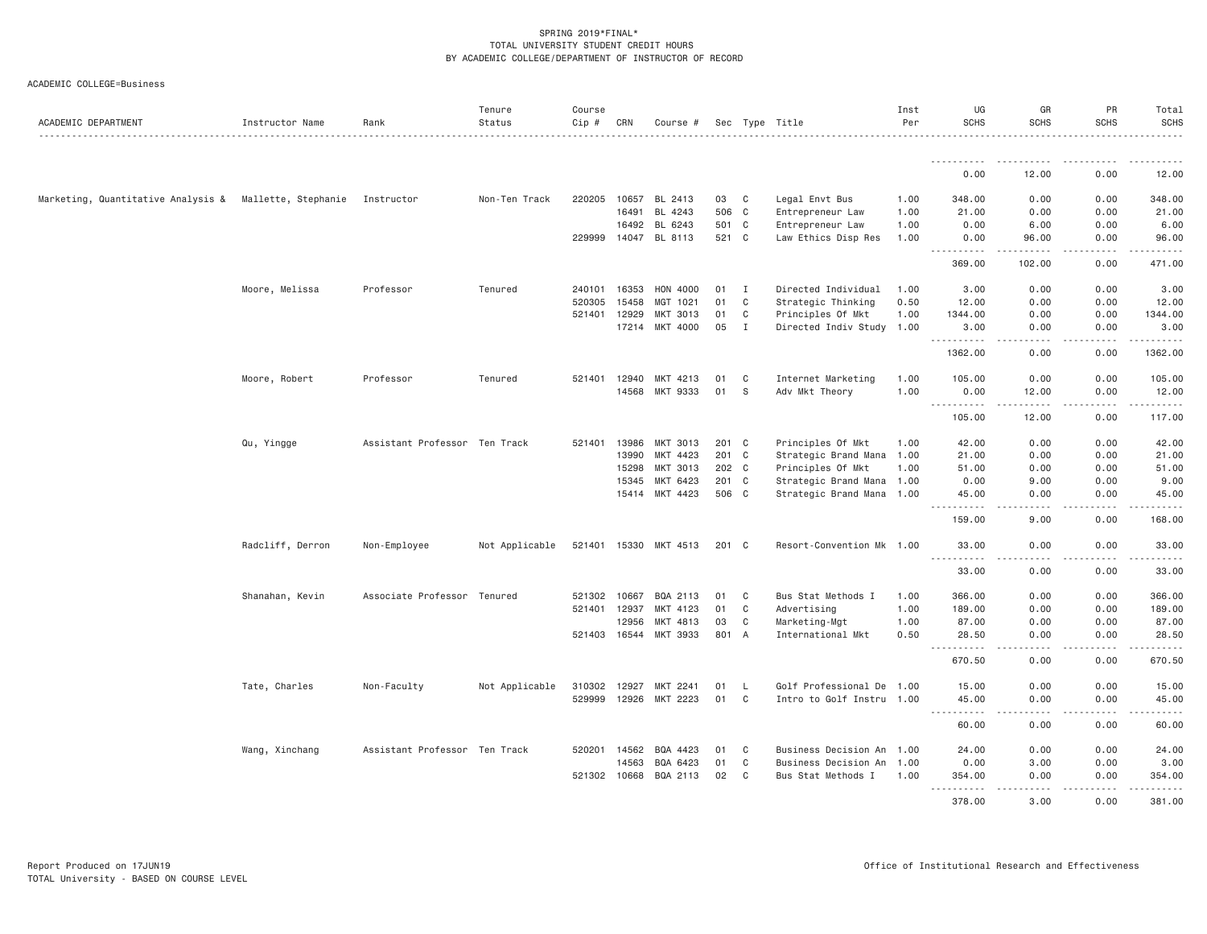| ACADEMIC DEPARTMENT                | Instructor Name     | Rank                          | Tenure<br>Status | Course<br>Cip # | CRN   | Course #              |       |              | Sec Type Title            | Inst<br>Per | UG<br><b>SCHS</b>                                                                                                                                                                                                                                                                                                                                                                                                      | GR<br><b>SCHS</b>                                                                                                                                             | PR<br><b>SCHS</b> | Total<br><b>SCHS</b><br><u>.</u> |
|------------------------------------|---------------------|-------------------------------|------------------|-----------------|-------|-----------------------|-------|--------------|---------------------------|-------------|------------------------------------------------------------------------------------------------------------------------------------------------------------------------------------------------------------------------------------------------------------------------------------------------------------------------------------------------------------------------------------------------------------------------|---------------------------------------------------------------------------------------------------------------------------------------------------------------|-------------------|----------------------------------|
|                                    |                     |                               |                  |                 |       |                       |       |              |                           |             | .                                                                                                                                                                                                                                                                                                                                                                                                                      |                                                                                                                                                               |                   |                                  |
|                                    |                     |                               |                  |                 |       |                       |       |              |                           |             | 0.00                                                                                                                                                                                                                                                                                                                                                                                                                   | 12.00                                                                                                                                                         | 0.00              | 12.00                            |
| Marketing, Quantitative Analysis & | Mallette, Stephanie | Instructor                    | Non-Ten Track    | 220205          |       | 10657 BL 2413         | 03    | C            | Legal Envt Bus            | 1.00        | 348.00                                                                                                                                                                                                                                                                                                                                                                                                                 | 0.00                                                                                                                                                          | 0.00              | 348.00                           |
|                                    |                     |                               |                  |                 | 16491 | BL 4243               | 506   | C            | Entrepreneur Law          | 1.00        | 21.00                                                                                                                                                                                                                                                                                                                                                                                                                  | 0.00                                                                                                                                                          | 0.00              | 21.00                            |
|                                    |                     |                               |                  |                 | 16492 | BL 6243               | 501 C |              | Entrepreneur Law          | 1.00        | 0.00                                                                                                                                                                                                                                                                                                                                                                                                                   | 6.00                                                                                                                                                          | 0.00              | 6.00                             |
|                                    |                     |                               |                  | 229999          | 14047 | BL 8113               | 521 C |              | Law Ethics Disp Res       | 1.00        | 0.00<br>.<br>$  -$                                                                                                                                                                                                                                                                                                                                                                                                     | 96.00<br>$\frac{1}{2} \left( \frac{1}{2} \right) \left( \frac{1}{2} \right) \left( \frac{1}{2} \right) \left( \frac{1}{2} \right) \left( \frac{1}{2} \right)$ | 0.00<br>.         | 96.00<br>.                       |
|                                    |                     |                               |                  |                 |       |                       |       |              |                           |             | 369.00                                                                                                                                                                                                                                                                                                                                                                                                                 | 102.00                                                                                                                                                        | 0.00              | 471.00                           |
|                                    | Moore, Melissa      | Professor                     | Tenured          | 240101 16353    |       | HON 4000              | 01    | I            | Directed Individual       | 1.00        | 3.00                                                                                                                                                                                                                                                                                                                                                                                                                   | 0.00                                                                                                                                                          | 0.00              | 3.00                             |
|                                    |                     |                               |                  | 520305          | 15458 | MGT 1021              | 01    | $\mathbf c$  | Strategic Thinking        | 0.50        | 12.00                                                                                                                                                                                                                                                                                                                                                                                                                  | 0.00                                                                                                                                                          | 0.00              | 12.00                            |
|                                    |                     |                               |                  | 521401          | 12929 | MKT 3013              | 01    | $\mathsf{C}$ | Principles Of Mkt         | 1.00        | 1344.00                                                                                                                                                                                                                                                                                                                                                                                                                | 0.00                                                                                                                                                          | 0.00              | 1344.00                          |
|                                    |                     |                               |                  |                 | 17214 | MKT 4000              | 05    | I            | Directed Indiv Study 1.00 |             | 3.00<br><u>.</u>                                                                                                                                                                                                                                                                                                                                                                                                       | 0.00                                                                                                                                                          | 0.00              | 3.00<br>.                        |
|                                    |                     |                               |                  |                 |       |                       |       |              |                           |             | 1362.00                                                                                                                                                                                                                                                                                                                                                                                                                | 0.00                                                                                                                                                          | 0.00              | 1362.00                          |
|                                    | Moore, Robert       | Professor                     | Tenured          | 521401 12940    |       | MKT 4213              | 01    | C            | Internet Marketing        | 1.00        | 105.00                                                                                                                                                                                                                                                                                                                                                                                                                 | 0.00                                                                                                                                                          | 0.00              | 105.00                           |
|                                    |                     |                               |                  |                 | 14568 | MKT 9333              | 01    | - S          | Adv Mkt Theory            | 1.00        | 0.00                                                                                                                                                                                                                                                                                                                                                                                                                   | 12.00                                                                                                                                                         | 0.00              | 12.00                            |
|                                    |                     |                               |                  |                 |       |                       |       |              |                           |             | <b><i><u>.</u></i></b><br>$\frac{1}{2} \frac{1}{2} \frac{1}{2} \frac{1}{2} \frac{1}{2} \frac{1}{2} \frac{1}{2} \frac{1}{2} \frac{1}{2} \frac{1}{2} \frac{1}{2} \frac{1}{2} \frac{1}{2} \frac{1}{2} \frac{1}{2} \frac{1}{2} \frac{1}{2} \frac{1}{2} \frac{1}{2} \frac{1}{2} \frac{1}{2} \frac{1}{2} \frac{1}{2} \frac{1}{2} \frac{1}{2} \frac{1}{2} \frac{1}{2} \frac{1}{2} \frac{1}{2} \frac{1}{2} \frac{1}{2} \frac{$ |                                                                                                                                                               | .                 | .                                |
|                                    |                     |                               |                  |                 |       |                       |       |              |                           |             | 105.00                                                                                                                                                                                                                                                                                                                                                                                                                 | 12.00                                                                                                                                                         | 0.00              | 117.00                           |
|                                    | Qu, Yingge          | Assistant Professor Ten Track |                  | 521401          | 13986 | MKT 3013              | 201 C |              | Principles Of Mkt         | 1.00        | 42.00                                                                                                                                                                                                                                                                                                                                                                                                                  | 0.00                                                                                                                                                          | 0.00              | 42.00                            |
|                                    |                     |                               |                  |                 | 13990 | MKT 4423              | 201 C |              | Strategic Brand Mana 1.00 |             | 21.00                                                                                                                                                                                                                                                                                                                                                                                                                  | 0.00                                                                                                                                                          | 0.00              | 21.00                            |
|                                    |                     |                               |                  |                 | 15298 | MKT 3013              | 202 C |              | Principles Of Mkt         | 1.00        | 51.00                                                                                                                                                                                                                                                                                                                                                                                                                  | 0.00                                                                                                                                                          | 0.00              | 51.00                            |
|                                    |                     |                               |                  |                 | 15345 | MKT 6423              | 201 C |              | Strategic Brand Mana 1.00 |             | 0.00                                                                                                                                                                                                                                                                                                                                                                                                                   | 9.00                                                                                                                                                          | 0.00              | 9.00                             |
|                                    |                     |                               |                  |                 | 15414 | MKT 4423              | 506 C |              | Strategic Brand Mana 1.00 |             | 45.00<br><u>.</u><br>$- - -$                                                                                                                                                                                                                                                                                                                                                                                           | 0.00<br>الدامات بال                                                                                                                                           | 0.00<br>.         | 45.00<br>.                       |
|                                    |                     |                               |                  |                 |       |                       |       |              |                           |             | 159.00                                                                                                                                                                                                                                                                                                                                                                                                                 | 9.00                                                                                                                                                          | 0.00              | 168.00                           |
|                                    | Radcliff, Derron    | Non-Employee                  | Not Applicable   | 521401 15330    |       | MKT 4513              | 201 C |              | Resort-Convention Mk 1.00 |             | 33.00                                                                                                                                                                                                                                                                                                                                                                                                                  | 0.00                                                                                                                                                          | 0.00              | 33.00                            |
|                                    |                     |                               |                  |                 |       |                       |       |              |                           |             | .<br>33.00                                                                                                                                                                                                                                                                                                                                                                                                             | 0.00                                                                                                                                                          | 0.00              | 33.00                            |
|                                    | Shanahan, Kevin     | Associate Professor Tenured   |                  | 521302 10667    |       | BQA 2113              | 01    | C            | Bus Stat Methods I        | 1.00        | 366.00                                                                                                                                                                                                                                                                                                                                                                                                                 | 0.00                                                                                                                                                          | 0.00              | 366.00                           |
|                                    |                     |                               |                  | 521401          | 12937 | MKT 4123              | 01    | $\mathbf C$  | Advertising               | 1.00        | 189.00                                                                                                                                                                                                                                                                                                                                                                                                                 | 0.00                                                                                                                                                          | 0.00              | 189.00                           |
|                                    |                     |                               |                  |                 | 12956 | MKT 4813              | 03    | C            | Marketing-Mgt             | 1.00        | 87.00                                                                                                                                                                                                                                                                                                                                                                                                                  | 0.00                                                                                                                                                          | 0.00              | 87.00                            |
|                                    |                     |                               |                  | 521403 16544    |       | MKT 3933              | 801 A |              | International Mkt         | 0.50        | 28.50<br>.                                                                                                                                                                                                                                                                                                                                                                                                             | 0.00<br>$\sim$ $\sim$ $\sim$ $\sim$                                                                                                                           | 0.00<br>.         | 28.50<br>.                       |
|                                    |                     |                               |                  |                 |       |                       |       |              |                           |             | $\sim$ $\sim$<br>670.50                                                                                                                                                                                                                                                                                                                                                                                                | 0.00                                                                                                                                                          | 0.00              | 670.50                           |
|                                    | Tate, Charles       | Non-Faculty                   | Not Applicable   | 310302          | 12927 | MKT 2241              | 01    | - L          | Golf Professional De 1.00 |             | 15.00                                                                                                                                                                                                                                                                                                                                                                                                                  | 0.00                                                                                                                                                          | 0.00              | 15.00                            |
|                                    |                     |                               |                  | 529999          | 12926 | MKT 2223              | 01    | $\mathbf C$  | Intro to Golf Instru 1.00 |             | 45.00                                                                                                                                                                                                                                                                                                                                                                                                                  | 0.00                                                                                                                                                          | 0.00              | 45.00                            |
|                                    |                     |                               |                  |                 |       |                       |       |              |                           |             | .<br>60.00                                                                                                                                                                                                                                                                                                                                                                                                             | $\sim$ $\sim$ $\sim$ $\sim$<br>0.00                                                                                                                           | .<br>0.00         | 60.00                            |
|                                    | Wang, Xinchang      | Assistant Professor Ten Track |                  | 520201          | 14562 | BQA 4423              | 01    | C            | Business Decision An 1.00 |             | 24.00                                                                                                                                                                                                                                                                                                                                                                                                                  | 0.00                                                                                                                                                          | 0.00              | 24.00                            |
|                                    |                     |                               |                  |                 | 14563 | BQA 6423              | 01    | C            | Business Decision An 1.00 |             | 0.00                                                                                                                                                                                                                                                                                                                                                                                                                   | 3.00                                                                                                                                                          | 0.00              | 3.00                             |
|                                    |                     |                               |                  |                 |       | 521302 10668 BQA 2113 | 02    | C            | Bus Stat Methods I        | 1.00        | 354.00                                                                                                                                                                                                                                                                                                                                                                                                                 | 0.00                                                                                                                                                          | 0.00              | 354.00                           |
|                                    |                     |                               |                  |                 |       |                       |       |              |                           |             | $- - - - - - -$<br>378.00                                                                                                                                                                                                                                                                                                                                                                                              | .<br>3.00                                                                                                                                                     | .<br>0.00         | . <u>.</u> .<br>381.00           |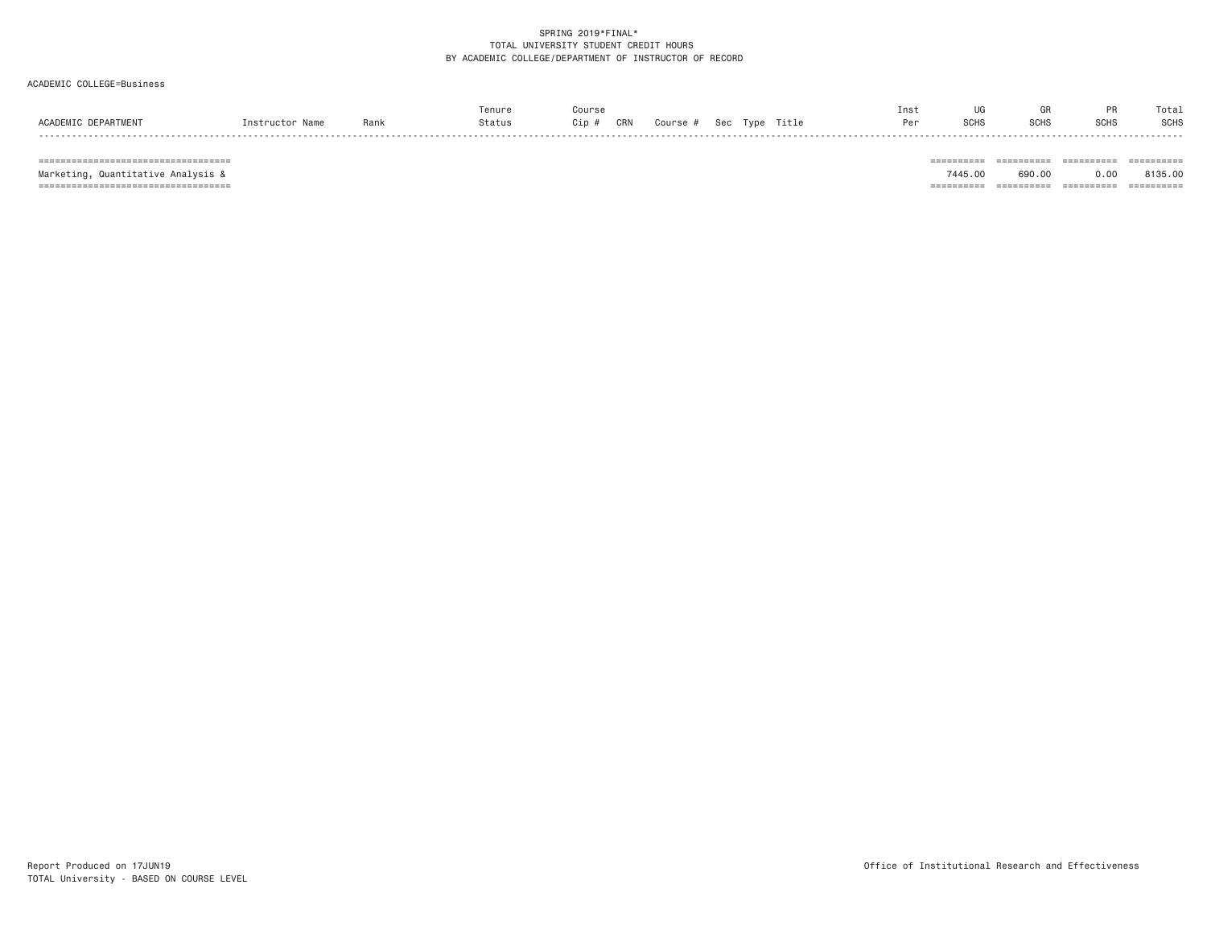ACADEMIC COLLEGE=Business

|                          |                 |      | enure  | Course       |                            | Ins: |             | uн           |             | Total |
|--------------------------|-----------------|------|--------|--------------|----------------------------|------|-------------|--------------|-------------|-------|
| ACADEMIC<br>: DEPARTMENT | 'nstructor Name | Rank | Status | CRN<br>Cip # | Sec Type Title<br>Course # | D-   | <b>SCHS</b> | enue<br>∍∪⊓ু | <b>SCHS</b> | SCHS  |
|                          |                 |      |        |              |                            |      |             |              |             |       |

=================================== ========== ========== ========== ==========

Marketing, Quantitative Analysis & 7445.00 690.00 0.00 8135.00

=================================== ========== ========== ========== ==========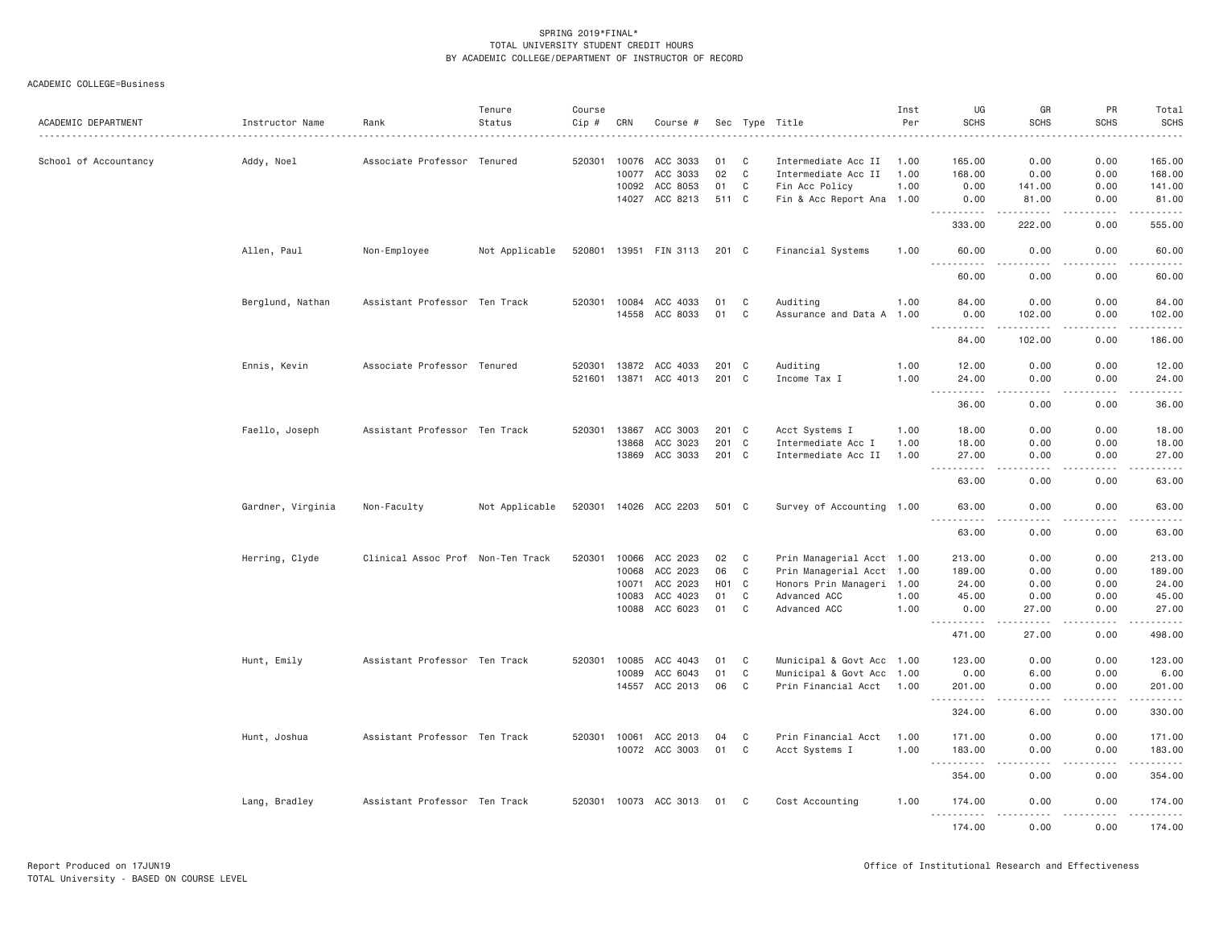| ACADEMIC DEPARTMENT   | Instructor Name   | Rank                              | Tenure<br>Status | Course<br>Cip # | CRN          | Course #              |                 |              | Sec Type Title            | Inst<br>Per | UG<br><b>SCHS</b>                   | GR<br><b>SCHS</b>                   | PR<br><b>SCHS</b> | Total<br><b>SCHS</b>                                                                                                                           |
|-----------------------|-------------------|-----------------------------------|------------------|-----------------|--------------|-----------------------|-----------------|--------------|---------------------------|-------------|-------------------------------------|-------------------------------------|-------------------|------------------------------------------------------------------------------------------------------------------------------------------------|
| School of Accountancy | Addy, Noel        | Associate Professor Tenured       |                  | 520301          | 10076        | ACC 3033              | 01              | C            | Intermediate Acc II       | 1.00        | 165.00                              | 0.00                                | 0.00              | 165.00                                                                                                                                         |
|                       |                   |                                   |                  |                 | 10077        | ACC 3033              | 02              | $\mathbf c$  | Intermediate Acc II       | 1.00        | 168.00                              | 0.00                                | 0.00              | 168.00                                                                                                                                         |
|                       |                   |                                   |                  |                 | 10092        | ACC 8053              | 01              | C            | Fin Acc Policy            | 1.00        | 0.00                                | 141.00                              | 0.00              | 141.00                                                                                                                                         |
|                       |                   |                                   |                  |                 |              | 14027 ACC 8213        | 511 C           |              | Fin & Acc Report Ana 1.00 |             | 0.00<br>.                           | 81.00                               | 0.00              | 81.00<br>.                                                                                                                                     |
|                       |                   |                                   |                  |                 |              |                       |                 |              |                           |             | 333.00                              | 222.00                              | 0.00              | 555.00                                                                                                                                         |
|                       | Allen, Paul       | Non-Employee                      | Not Applicable   |                 |              | 520801 13951 FIN 3113 | 201 C           |              | Financial Systems         | 1.00        | 60.00<br>$\sim$ $\sim$ $\sim$<br>.  | 0.00<br>$\frac{1}{2}$               | 0.00<br>.         | 60.00<br>.                                                                                                                                     |
|                       |                   |                                   |                  |                 |              |                       |                 |              |                           |             | 60.00                               | 0.00                                | 0.00              | 60.00                                                                                                                                          |
|                       | Berglund, Nathan  | Assistant Professor Ten Track     |                  |                 | 520301 10084 | ACC 4033              | 01              | C            | Auditing                  | 1.00        | 84.00                               | 0.00                                | 0.00              | 84.00                                                                                                                                          |
|                       |                   |                                   |                  |                 | 14558        | ACC 8033              | 01              | C            | Assurance and Data A 1.00 |             | 0.00                                | 102.00                              | 0.00              | 102.00                                                                                                                                         |
|                       |                   |                                   |                  |                 |              |                       |                 |              |                           |             | .<br>84.00                          | .<br>102.00                         | د د د د<br>0.00   | .<br>186.00                                                                                                                                    |
|                       | Ennis, Kevin      | Associate Professor Tenured       |                  | 520301          |              | 13872 ACC 4033        | 201 C           |              | Auditing                  | 1.00        | 12.00                               | 0.00                                | 0.00              | 12.00                                                                                                                                          |
|                       |                   |                                   |                  |                 |              | 521601 13871 ACC 4013 | 201 C           |              | Income Tax I              | 1.00        | 24.00<br>$\sim$ $\sim$ $\sim$<br>.  | 0.00<br>$\sim$ $\sim$ $\sim$ $\sim$ | 0.00<br>.         | 24.00<br>.                                                                                                                                     |
|                       |                   |                                   |                  |                 |              |                       |                 |              |                           |             | 36.00                               | 0.00                                | 0.00              | 36.00                                                                                                                                          |
|                       | Faello, Joseph    | Assistant Professor Ten Track     |                  |                 | 520301 13867 | ACC 3003              | 201 C           |              | Acct Systems I            | 1.00        | 18.00                               | 0.00                                | 0.00              | 18.00                                                                                                                                          |
|                       |                   |                                   |                  |                 | 13868        | ACC 3023              |                 | 201 C        | Intermediate Acc I        | 1.00        | 18.00                               | 0.00                                | 0.00              | 18.00                                                                                                                                          |
|                       |                   |                                   |                  |                 |              | 13869 ACC 3033        | 201 C           |              | Intermediate Acc II       | 1.00        | 27.00<br>.<br>$\sim$ $\sim$ $\sim$  | 0.00<br>$- - - -$                   | 0.00<br>.         | 27.00<br>. <u>.</u> .                                                                                                                          |
|                       |                   |                                   |                  |                 |              |                       |                 |              |                           |             | 63.00                               | 0.00                                | 0.00              | 63.00                                                                                                                                          |
|                       | Gardner, Virginia | Non-Faculty                       | Not Applicable   |                 |              | 520301 14026 ACC 2203 | 501 C           |              | Survey of Accounting 1.00 |             | 63.00<br>.                          | 0.00<br>$\frac{1}{2}$               | 0.00<br>.         | 63.00<br>. <u>.</u> .                                                                                                                          |
|                       |                   |                                   |                  |                 |              |                       |                 |              |                           |             | 63.00                               | 0.00                                | 0.00              | 63.00                                                                                                                                          |
|                       | Herring, Clyde    | Clinical Assoc Prof Non-Ten Track |                  | 520301          | 10066        | ACC 2023              | 02              | C            | Prin Managerial Acct 1.00 |             | 213.00                              | 0.00                                | 0.00              | 213.00                                                                                                                                         |
|                       |                   |                                   |                  |                 |              | 10068 ACC 2023        | 06              | $\mathbf C$  | Prin Managerial Acct 1.00 |             | 189.00                              | 0.00                                | 0.00              | 189.00                                                                                                                                         |
|                       |                   |                                   |                  |                 | 10071        | ACC 2023              | HO <sub>1</sub> | $\mathbf{C}$ | Honors Prin Manageri 1.00 |             | 24.00                               | 0.00                                | 0.00              | 24.00                                                                                                                                          |
|                       |                   |                                   |                  |                 | 10083        | ACC 4023              | 01              | C            | Advanced ACC              | 1.00        | 45.00                               | 0.00                                | 0.00              | 45.00                                                                                                                                          |
|                       |                   |                                   |                  |                 |              | 10088 ACC 6023        | 01              | C            | Advanced ACC              | 1,00        | 0.00<br>.                           | 27.00<br>.                          | 0.00<br>.         | 27.00<br>.                                                                                                                                     |
|                       |                   |                                   |                  |                 |              |                       |                 |              |                           |             | 471.00                              | 27.00                               | 0.00              | 498.00                                                                                                                                         |
|                       | Hunt, Emily       | Assistant Professor Ten Track     |                  |                 | 520301 10085 | ACC 4043              | 01              | C            | Municipal & Govt Acc 1.00 |             | 123.00                              | 0.00                                | 0.00              | 123.00                                                                                                                                         |
|                       |                   |                                   |                  |                 | 10089        | ACC 6043              | 01              | C            | Municipal & Govt Acc 1.00 |             | 0.00                                | 6.00                                | 0.00              | 6.00                                                                                                                                           |
|                       |                   |                                   |                  |                 | 14557        | ACC 2013              | 06              | C            | Prin Financial Acct 1.00  |             | 201.00<br>$\sim$ $\sim$ $\sim$<br>. | 0.00                                | 0.00              | 201.00<br>.                                                                                                                                    |
|                       |                   |                                   |                  |                 |              |                       |                 |              |                           |             | 324.00                              | 6.00                                | 0.00              | 330.00                                                                                                                                         |
|                       | Hunt, Joshua      | Assistant Professor Ten Track     |                  |                 | 520301 10061 | ACC 2013              | 04              | $\mathbf C$  | Prin Financial Acct       | 1.00        | 171.00                              | 0.00                                | 0.00              | 171.00                                                                                                                                         |
|                       |                   |                                   |                  |                 |              | 10072 ACC 3003        | 01              | C            | Acct Systems I            | 1.00        | 183.00<br>.                         | 0.00<br>$\sim$ $\sim$ $\sim$ $\sim$ | 0.00<br>.         | 183.00<br>$\mathcal{L}^{\mathcal{A}}\left( \mathcal{A}^{\mathcal{A}}\right) =\mathcal{L}^{\mathcal{A}}\left( \mathcal{A}^{\mathcal{A}}\right)$ |
|                       |                   |                                   |                  |                 |              |                       |                 |              |                           |             | 354.00                              | 0.00                                | 0.00              | 354.00                                                                                                                                         |
|                       | Lang, Bradley     | Assistant Professor Ten Track     |                  |                 |              | 520301 10073 ACC 3013 | 01              | C.           | Cost Accounting           | 1.00        | 174.00<br>.                         | 0.00<br>.                           | 0.00<br>.         | 174.00<br>.                                                                                                                                    |
|                       |                   |                                   |                  |                 |              |                       |                 |              |                           |             | 174.00                              | 0.00                                | 0.00              | 174.00                                                                                                                                         |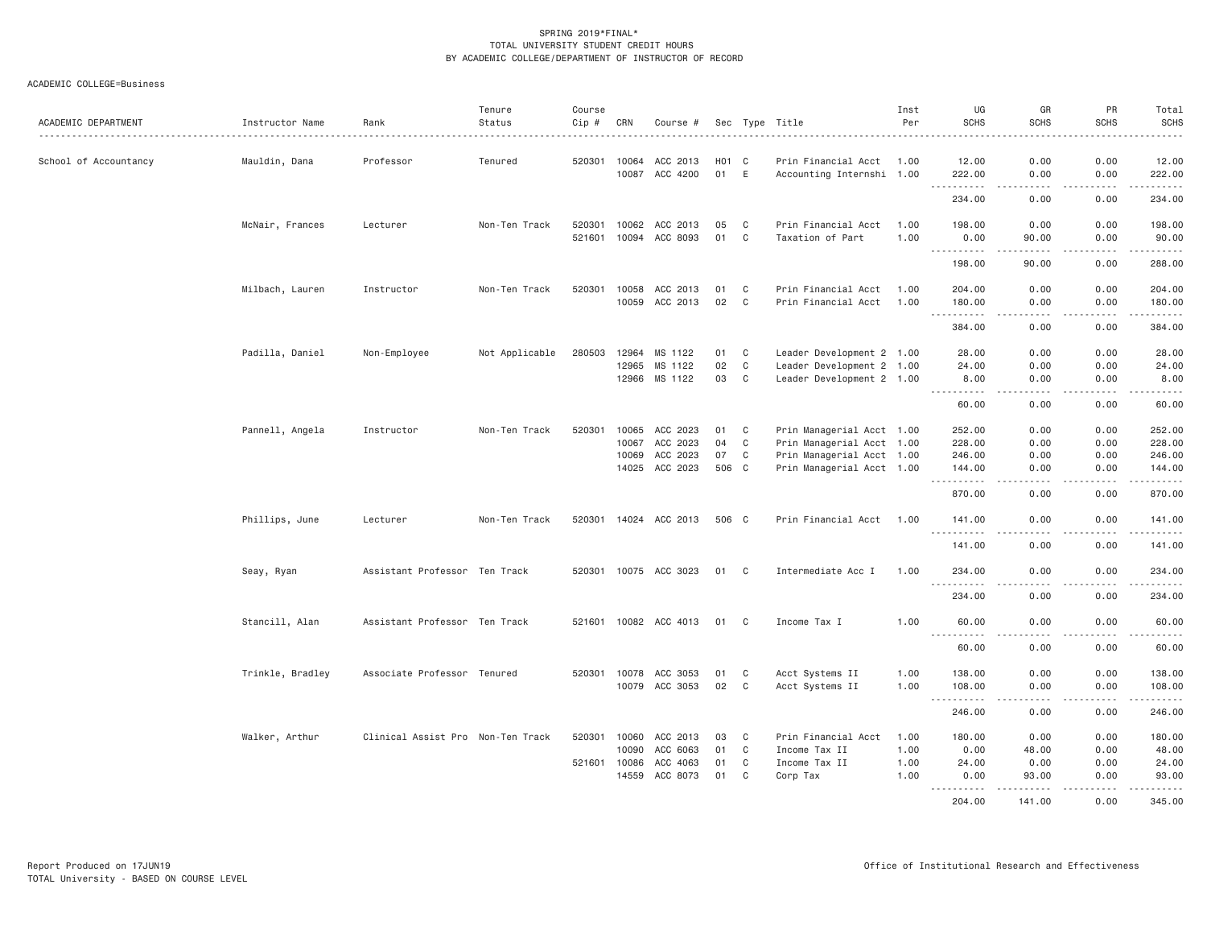| ACADEMIC DEPARTMENT   | Instructor Name  | Rank                              | Tenure<br>Status | Course<br>Cip # | CRN   | Course #              |       |                    | Sec Type Title            | Inst<br>Per | UG<br><b>SCHS</b>                     | GR<br><b>SCHS</b>                                                                                                                                             | PR<br><b>SCHS</b>                   | Total<br>SCHS                                                                                                                                                 |
|-----------------------|------------------|-----------------------------------|------------------|-----------------|-------|-----------------------|-------|--------------------|---------------------------|-------------|---------------------------------------|---------------------------------------------------------------------------------------------------------------------------------------------------------------|-------------------------------------|---------------------------------------------------------------------------------------------------------------------------------------------------------------|
| School of Accountancy | Mauldin, Dana    | Professor                         | Tenured          | 520301          | 10064 | ACC 2013              |       | H <sub>0</sub> 1 C | Prin Financial Acct       | 1.00        | 12.00                                 | 0.00                                                                                                                                                          | 0.00                                | 12.00                                                                                                                                                         |
|                       |                  |                                   |                  |                 | 10087 | ACC 4200              | 01    | E                  | Accounting Internshi 1.00 |             | 222.00<br>.                           | 0.00<br>$- - - -$                                                                                                                                             | 0.00<br>.                           | 222.00<br>.                                                                                                                                                   |
|                       |                  |                                   |                  |                 |       |                       |       |                    |                           |             | 234.00                                | 0.00                                                                                                                                                          | 0.00                                | 234.00                                                                                                                                                        |
|                       | McNair, Frances  | Lecturer                          | Non-Ten Track    | 520301          | 10062 | ACC 2013              | 05    | C                  | Prin Financial Acct       | 1.00        | 198.00                                | 0.00                                                                                                                                                          | 0.00                                | 198.00                                                                                                                                                        |
|                       |                  |                                   |                  | 521601          |       | 10094 ACC 8093        | 01    | $\mathbf{C}$       | Taxation of Part          | 1.00        | 0.00<br><u> - - - - - - - - - -</u>   | 90.00<br>$\frac{1}{2} \left( \frac{1}{2} \right) \left( \frac{1}{2} \right) \left( \frac{1}{2} \right) \left( \frac{1}{2} \right) \left( \frac{1}{2} \right)$ | 0.00<br>.                           | 90.00<br>.                                                                                                                                                    |
|                       |                  |                                   |                  |                 |       |                       |       |                    |                           |             | 198.00                                | 90.00                                                                                                                                                         | 0.00                                | 288.00                                                                                                                                                        |
|                       | Milbach, Lauren  | Instructor                        | Non-Ten Track    | 520301          | 10058 | ACC 2013              | 01    | C                  | Prin Financial Acct       | 1.00        | 204.00                                | 0.00                                                                                                                                                          | 0.00                                | 204.00                                                                                                                                                        |
|                       |                  |                                   |                  |                 | 10059 | ACC 2013              | 02    | C                  | Prin Financial Acct       | 1.00        | 180.00<br>.                           | 0.00                                                                                                                                                          | 0.00<br>$\sim$ $\sim$ $\sim$ $\sim$ | 180.00<br>------                                                                                                                                              |
|                       |                  |                                   |                  |                 |       |                       |       |                    |                           |             | 384.00                                | 0.00                                                                                                                                                          | 0.00                                | 384.00                                                                                                                                                        |
|                       | Padilla, Daniel  | Non-Employee                      | Not Applicable   | 280503          | 12964 | MS 1122               | 01    | C                  | Leader Development 2 1.00 |             | 28.00                                 | 0.00                                                                                                                                                          | 0.00                                | 28.00                                                                                                                                                         |
|                       |                  |                                   |                  |                 | 12965 | MS 1122               | 02    | $\mathbb C$        | Leader Development 2 1.00 |             | 24.00                                 | 0.00                                                                                                                                                          | 0.00                                | 24.00                                                                                                                                                         |
|                       |                  |                                   |                  |                 | 12966 | MS 1122               | 03    | $\mathbf{C}$       | Leader Development 2 1.00 |             | 8.00<br>.                             | 0.00<br>$- - - -$                                                                                                                                             | 0.00<br>.                           | 8.00<br>.                                                                                                                                                     |
|                       |                  |                                   |                  |                 |       |                       |       |                    |                           |             | 60.00                                 | 0.00                                                                                                                                                          | 0.00                                | 60.00                                                                                                                                                         |
|                       | Pannell, Angela  | Instructor                        | Non-Ten Track    | 520301          | 10065 | ACC 2023              | 01    | C                  | Prin Managerial Acct 1.00 |             | 252.00                                | 0.00                                                                                                                                                          | 0.00                                | 252.00                                                                                                                                                        |
|                       |                  |                                   |                  |                 | 10067 | ACC 2023              | 04    | C                  | Prin Managerial Acct 1.00 |             | 228.00                                | 0.00                                                                                                                                                          | 0.00                                | 228.00                                                                                                                                                        |
|                       |                  |                                   |                  |                 | 10069 | ACC 2023              | 07    | $\mathbf c$        | Prin Managerial Acct 1.00 |             | 246.00                                | 0.00                                                                                                                                                          | 0.00                                | 246.00                                                                                                                                                        |
|                       |                  |                                   |                  |                 | 14025 | ACC 2023              | 506 C |                    | Prin Managerial Acct 1.00 |             | 144.00<br>. <b>.</b>                  | 0.00<br>$\frac{1}{2} \left( \frac{1}{2} \right) \left( \frac{1}{2} \right) \left( \frac{1}{2} \right) \left( \frac{1}{2} \right)$                             | 0.00<br>.                           | 144.00<br>$\begin{array}{cccccccccccccc} \bullet & \bullet & \bullet & \bullet & \bullet & \bullet & \bullet & \bullet \end{array}$                           |
|                       |                  |                                   |                  |                 |       |                       |       |                    |                           |             | 870.00                                | 0.00                                                                                                                                                          | 0.00                                | 870.00                                                                                                                                                        |
|                       | Phillips, June   | Lecturer                          | Non-Ten Track    |                 |       | 520301 14024 ACC 2013 | 506 C |                    | Prin Financial Acct       | 1.00        | 141.00<br><u> - - - - - - - - - -</u> | 0.00<br>$\frac{1}{2} \left( \frac{1}{2} \right) \left( \frac{1}{2} \right) \left( \frac{1}{2} \right) \left( \frac{1}{2} \right)$                             | 0.00<br>.                           | 141.00<br>.                                                                                                                                                   |
|                       |                  |                                   |                  |                 |       |                       |       |                    |                           |             | 141.00                                | 0.00                                                                                                                                                          | 0.00                                | 141.00                                                                                                                                                        |
|                       | Seay, Ryan       | Assistant Professor Ten Track     |                  | 520301          |       | 10075 ACC 3023        | 01    | C                  | Intermediate Acc I        | 1.00        | 234.00<br>$- - -$                     | 0.00                                                                                                                                                          | 0.00                                | 234.00<br>$\begin{array}{cccccccccccccc} \bullet & \bullet & \bullet & \bullet & \bullet & \bullet & \bullet & \bullet \end{array}$                           |
|                       |                  |                                   |                  |                 |       |                       |       |                    |                           |             | 234.00                                | 0.00                                                                                                                                                          | 0.00                                | 234.00                                                                                                                                                        |
|                       | Stancill, Alan   | Assistant Professor Ten Track     |                  |                 |       | 521601 10082 ACC 4013 | 01    | $\mathbf{C}$       | Income Tax I              | 1.00        | 60.00                                 | 0.00                                                                                                                                                          | 0.00                                | 60.00                                                                                                                                                         |
|                       |                  |                                   |                  |                 |       |                       |       |                    |                           |             | 60.00                                 | 0.00                                                                                                                                                          | 0.00                                | $\frac{1}{2} \left( \frac{1}{2} \right) \left( \frac{1}{2} \right) \left( \frac{1}{2} \right) \left( \frac{1}{2} \right) \left( \frac{1}{2} \right)$<br>60.00 |
|                       | Trinkle, Bradley | Associate Professor Tenured       |                  | 520301          | 10078 | ACC 3053              | 01    | C                  | Acct Systems II           | 1.00        | 138.00                                | 0.00                                                                                                                                                          | 0.00                                | 138.00                                                                                                                                                        |
|                       |                  |                                   |                  |                 | 10079 | ACC 3053              | 02    | $\mathbf c$        | Acct Systems II           | 1.00        | 108.00                                | 0.00                                                                                                                                                          | 0.00                                | 108.00                                                                                                                                                        |
|                       |                  |                                   |                  |                 |       |                       |       |                    |                           |             | .                                     | د د د د                                                                                                                                                       | .                                   | المتمام والمالي                                                                                                                                               |
|                       |                  |                                   |                  |                 |       |                       |       |                    |                           |             | 246.00                                | 0.00                                                                                                                                                          | 0.00                                | 246.00                                                                                                                                                        |
|                       | Walker, Arthur   | Clinical Assist Pro Non-Ten Track |                  | 520301          | 10060 | ACC 2013              | 03    | C                  | Prin Financial Acct       | 1.00        | 180.00                                | 0.00                                                                                                                                                          | 0.00                                | 180.00                                                                                                                                                        |
|                       |                  |                                   |                  |                 | 10090 | ACC 6063              | 01    | $\mathbb C$        | Income Tax II             | 1.00        | 0.00                                  | 48.00                                                                                                                                                         | 0.00                                | 48.00                                                                                                                                                         |
|                       |                  |                                   |                  | 521601          | 10086 | ACC 4063              | 01    | C<br>$\mathbb C$   | Income Tax II             | 1.00        | 24.00                                 | 0.00                                                                                                                                                          | 0.00                                | 24.00                                                                                                                                                         |
|                       |                  |                                   |                  |                 | 14559 | ACC 8073              | 01    |                    | Corp Tax                  | 1.00        | 0.00<br>.                             | 93.00<br>.                                                                                                                                                    | 0.00<br>د د د د                     | 93.00<br><b>.</b>                                                                                                                                             |
|                       |                  |                                   |                  |                 |       |                       |       |                    |                           |             | 204.00                                | 141.00                                                                                                                                                        | 0.00                                | 345.00                                                                                                                                                        |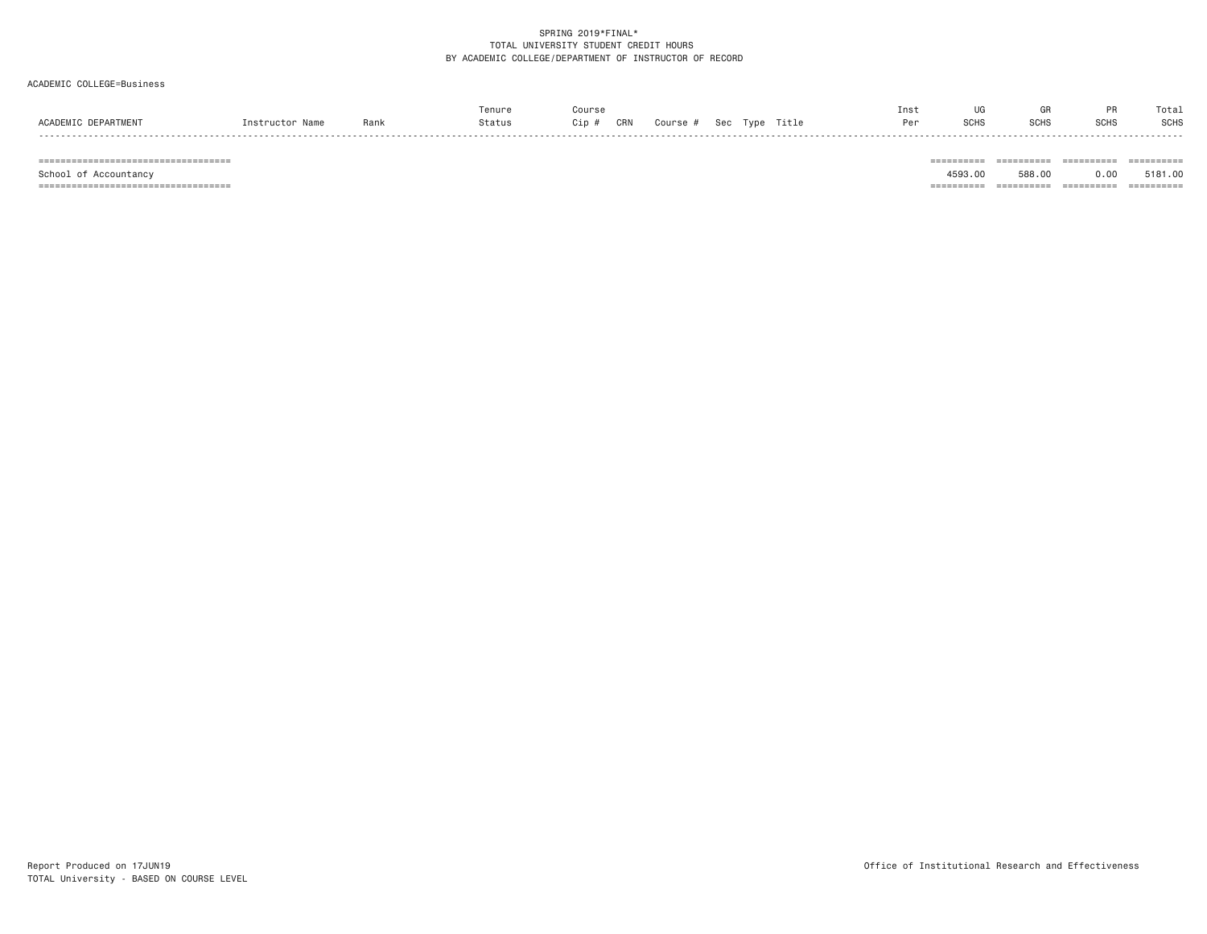## ACADEMIC COLLEGE=Business

|                    |         |      | enur   | ours;      |        |               |      | Ins <sup>.</sup> |             |                                  | Tota.       |
|--------------------|---------|------|--------|------------|--------|---------------|------|------------------|-------------|----------------------------------|-------------|
| ACADEM"<br>PARTMEN | $n + n$ | Rank | Status | CRN<br>ip: | Course | $\sim$ $\sim$ | itle | Per              | <b>SCHS</b> | $_{\text{C}^{\text{C}}}$<br>əuna | <b>SCHS</b> |
|                    |         |      |        |            |        |               |      |                  |             |                                  |             |

=================================== ========== ========== ========== ==========

School of Accountancy 4593.00 588.00 0.00 5181.00

=================================== ========== ========== ========== ==========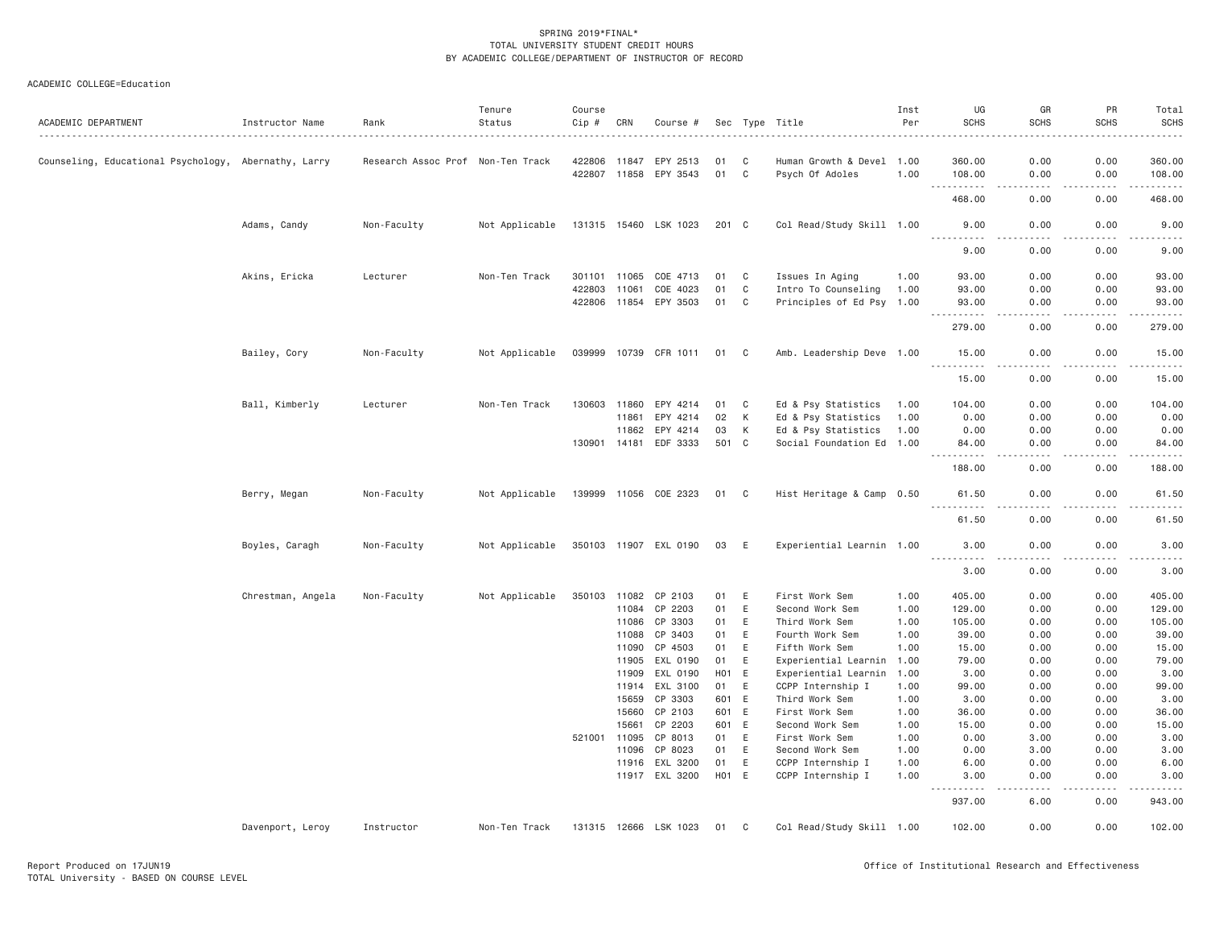| ACADEMIC DEPARTMENT                                  | Instructor Name   | Rank                              | Tenure<br>Status | Course<br>Cip # | CRN          | Course #              |       |             | Sec Type Title            | Inst<br>Per | UG<br><b>SCHS</b>                    | GR<br>SCHS    | PR<br><b>SCHS</b> | Total<br><b>SCHS</b> |
|------------------------------------------------------|-------------------|-----------------------------------|------------------|-----------------|--------------|-----------------------|-------|-------------|---------------------------|-------------|--------------------------------------|---------------|-------------------|----------------------|
| Counseling, Educational Psychology, Abernathy, Larry |                   | Research Assoc Prof Non-Ten Track |                  |                 | 422806 11847 | EPY 2513              | 01    | - C         | Human Growth & Devel 1.00 |             | 360.00                               | 0.00          | 0.00              | 360.00               |
|                                                      |                   |                                   |                  |                 |              | 422807 11858 EPY 3543 | 01    | C           | Psych Of Adoles           | 1.00        | 108.00<br>.                          | 0.00<br>.     | 0.00              | 108.00<br>.          |
|                                                      |                   |                                   |                  |                 |              |                       |       |             |                           |             | 468.00                               | 0.00          | .<br>0.00         | 468.00               |
|                                                      | Adams, Candy      | Non-Faculty                       | Not Applicable   |                 |              | 131315 15460 LSK 1023 | 201 C |             | Col Read/Study Skill 1.00 |             | 9.00                                 | 0.00          | 0.00              | 9.00                 |
|                                                      |                   |                                   |                  |                 |              |                       |       |             |                           |             | <u>.</u><br>9.00                     | .<br>0.00     | -----<br>0.00     | .<br>9.00            |
|                                                      | Akins, Ericka     | Lecturer                          | Non-Ten Track    | 301101 11065    |              | COE 4713              | 01    | C           | Issues In Aging           | 1.00        | 93.00                                | 0.00          | 0.00              | 93.00                |
|                                                      |                   |                                   |                  | 422803          | 11061        | COE 4023              | 01    | C           | Intro To Counseling       | 1.00        | 93.00                                | 0.00          | 0.00              | 93.00                |
|                                                      |                   |                                   |                  |                 |              | 422806 11854 EPY 3503 | 01    | C           | Principles of Ed Psy 1.00 |             | 93.00<br>.                           | 0.00<br>.     | 0.00<br><u>.</u>  | 93.00<br><u>.</u>    |
|                                                      |                   |                                   |                  |                 |              |                       |       |             |                           |             | 279.00                               | 0.00          | 0.00              | 279.00               |
|                                                      | Bailey, Cory      | Non-Faculty                       | Not Applicable   |                 |              | 039999 10739 CFR 1011 | 01    | C           | Amb. Leadership Deve 1.00 |             | 15.00<br>.                           | 0.00<br>.     | 0.00<br>.         | 15.00<br>.           |
|                                                      |                   |                                   |                  |                 |              |                       |       |             |                           |             | 15.00                                | 0.00          | 0.00              | 15.00                |
|                                                      | Ball, Kimberly    | Lecturer                          | Non-Ten Track    | 130603          | 11860        | EPY 4214              | 01    | C           | Ed & Psy Statistics       | 1.00        | 104.00                               | 0.00          | 0.00              | 104.00               |
|                                                      |                   |                                   |                  |                 | 11861        | EPY 4214              | 02    | К           | Ed & Psy Statistics       | 1.00        | 0.00                                 | 0.00          | 0.00              | 0.00                 |
|                                                      |                   |                                   |                  |                 | 11862        | EPY 4214              | 03    | К           | Ed & Psy Statistics       | 1.00        | 0.00                                 | 0.00          | 0.00              | 0.00                 |
|                                                      |                   |                                   |                  | 130901 14181    |              | EDF 3333              | 501 C |             | Social Foundation Ed 1.00 |             | 84.00<br>$\sim$ $\sim$ $\sim$ $\sim$ | 0.00<br>$  -$ | 0.00<br>.         | 84.00                |
|                                                      |                   |                                   |                  |                 |              |                       |       |             |                           |             | 188.00                               | 0.00          | 0.00              | 188.00               |
|                                                      | Berry, Megan      | Non-Faculty                       | Not Applicable   |                 |              | 139999 11056 COE 2323 | 01 C  |             | Hist Heritage & Camp 0.50 |             | 61.50                                | 0.00          | 0.00              | 61.50                |
|                                                      |                   |                                   |                  |                 |              |                       |       |             |                           |             | 61.50                                | 0.00          | 0.00              | 61.50                |
|                                                      | Boyles, Caragh    | Non-Faculty                       | Not Applicable   |                 |              | 350103 11907 EXL 0190 | 03    | E           | Experiential Learnin 1.00 |             | 3.00<br><u>.</u>                     | 0.00          | 0.00              | 3.00                 |
|                                                      |                   |                                   |                  |                 |              |                       |       |             |                           |             | 3.00                                 | 0.00          | 0.00              | 3.00                 |
|                                                      | Chrestman, Angela | Non-Faculty                       | Not Applicable   | 350103 11082    |              | CP 2103               | 01    | Ε           | First Work Sem            | 1.00        | 405.00                               | 0.00          | 0.00              | 405.00               |
|                                                      |                   |                                   |                  |                 | 11084        | CP 2203               | 01    | E           | Second Work Sem           | 1.00        | 129.00                               | 0.00          | 0.00              | 129.00               |
|                                                      |                   |                                   |                  |                 | 11086        | CP 3303               | 01    | E           | Third Work Sem            | 1.00        | 105.00                               | 0.00          | 0.00              | 105.00               |
|                                                      |                   |                                   |                  |                 | 11088        | CP 3403               | 01    | E           | Fourth Work Sem           | 1.00        | 39.00                                | 0.00          | 0.00              | 39.00                |
|                                                      |                   |                                   |                  |                 | 11090        | CP 4503               | 01    | $\mathsf E$ | Fifth Work Sem            | 1.00        | 15.00                                | 0.00          | 0.00              | 15.00                |
|                                                      |                   |                                   |                  |                 | 11905        | EXL 0190              | 01    | E           | Experiential Learnin      | 1.00        | 79.00                                | 0.00          | 0.00              | 79.00                |
|                                                      |                   |                                   |                  |                 | 11909        | EXL 0190              | H01   | E           | Experiential Learnin      | 1.00        | 3.00                                 | 0.00          | 0.00              | 3.00                 |
|                                                      |                   |                                   |                  |                 | 11914        | EXL 3100              | 01    | E           | CCPP Internship I         | 1.00        | 99.00                                | 0.00          | 0.00              | 99.00                |
|                                                      |                   |                                   |                  |                 | 15659        | CP 3303               | 601 E |             | Third Work Sem            | 1.00        | 3.00                                 | 0.00          | 0.00              | 3.00                 |
|                                                      |                   |                                   |                  |                 | 15660        | CP 2103               | 601 E |             | First Work Sem            | 1.00        | 36.00                                | 0.00          | 0.00              | 36.00                |
|                                                      |                   |                                   |                  |                 | 15661        | CP 2203               | 601 E |             | Second Work Sem           | 1.00        | 15.00                                | 0.00          | 0.00              | 15.00                |
|                                                      |                   |                                   |                  | 521001 11095    |              | CP 8013               | 01    | E           | First Work Sem            | 1.00        | 0.00                                 | 3.00          | 0.00              | 3.00                 |
|                                                      |                   |                                   |                  |                 | 11096        | CP 8023               | 01    | E           | Second Work Sem           | 1.00        | 0.00                                 | 3.00          | 0.00              | 3.00                 |
|                                                      |                   |                                   |                  |                 | 11916        | EXL 3200              | 01    | E           | CCPP Internship I         | 1.00        | 6.00                                 | 0.00          | 0.00              | 6.00                 |
|                                                      |                   |                                   |                  |                 |              | 11917 EXL 3200        | H01 E |             | CCPP Internship I         | 1.00        | 3.00<br>.                            | 0.00<br>.     | 0.00<br><u>.</u>  | 3.00<br>.            |
|                                                      |                   |                                   |                  |                 |              |                       |       |             |                           |             | 937.00                               | 6.00          | 0.00              | 943.00               |
|                                                      | Davenport, Leroy  | Instructor                        | Non-Ten Track    |                 |              | 131315 12666 LSK 1023 | 01 C  |             | Col Read/Study Skill 1.00 |             | 102.00                               | 0.00          | 0.00              | 102.00               |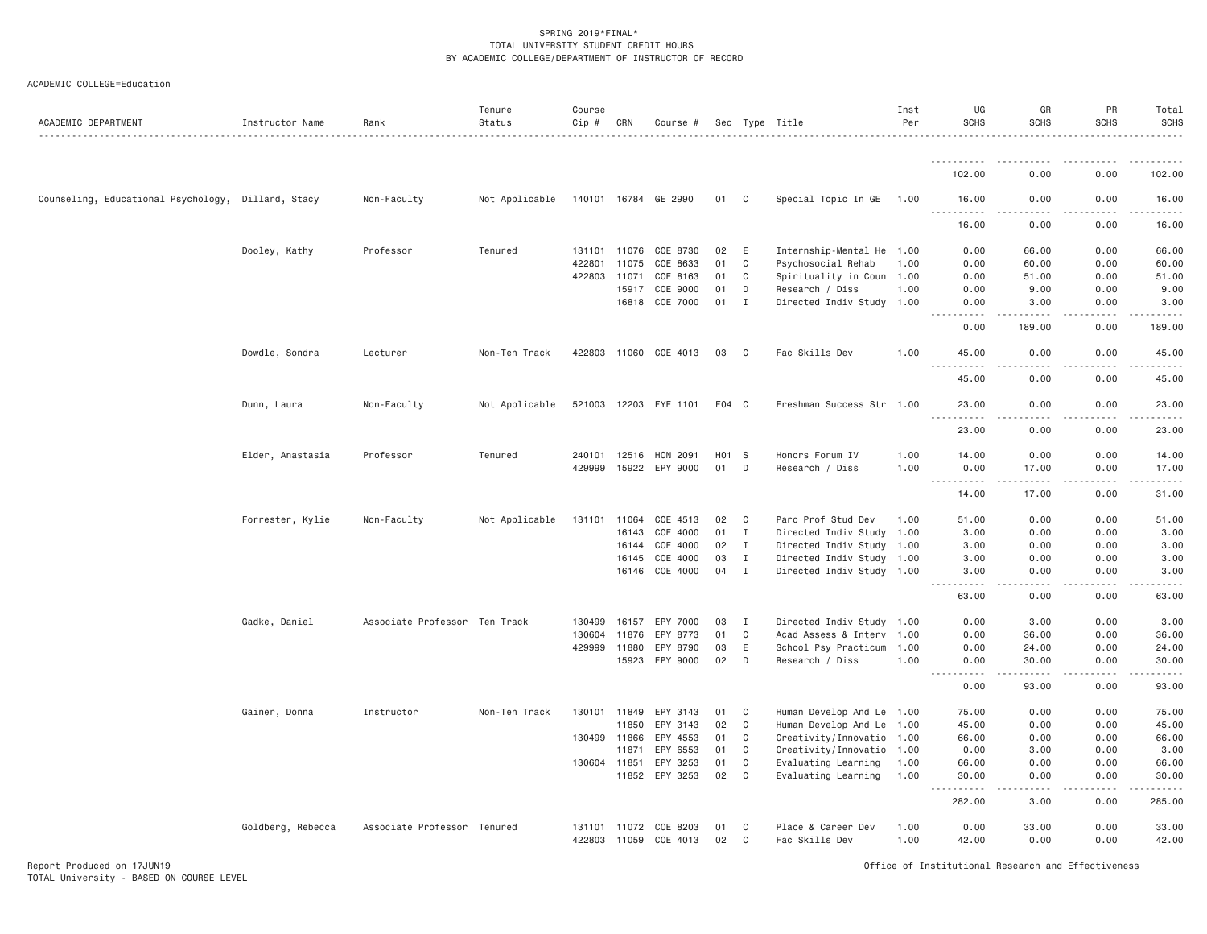# ACADEMIC COLLEGE=Education

| ACADEMIC DEPARTMENT                 | Instructor Name   | Rank                          | Tenure<br>Status | Course<br>$Cip \#$ | CRN   | Course #              |       |              | Sec Type Title            | Inst<br>Per | UG<br><b>SCHS</b>                                                                                                                                             | GR<br><b>SCHS</b> | PR<br><b>SCHS</b>   | Total<br><b>SCHS</b><br>.          |
|-------------------------------------|-------------------|-------------------------------|------------------|--------------------|-------|-----------------------|-------|--------------|---------------------------|-------------|---------------------------------------------------------------------------------------------------------------------------------------------------------------|-------------------|---------------------|------------------------------------|
|                                     |                   |                               |                  |                    |       |                       |       |              |                           |             | .                                                                                                                                                             | $\cdots$          |                     | $- - - - - -$                      |
|                                     |                   |                               |                  |                    |       |                       |       |              |                           |             | 102.00                                                                                                                                                        | 0.00              | 0.00                | 102.00                             |
| Counseling, Educational Psychology, | Dillard, Stacy    | Non-Faculty                   | Not Applicable   |                    |       | 140101 16784 GE 2990  | 01    | C            | Special Topic In GE       | 1.00        | 16.00<br>$\frac{1}{2} \left( \frac{1}{2} \right) \left( \frac{1}{2} \right) \left( \frac{1}{2} \right) \left( \frac{1}{2} \right) \left( \frac{1}{2} \right)$ | 0.00              | 0.00                | 16.00                              |
|                                     |                   |                               |                  |                    |       |                       |       |              |                           |             | 16.00                                                                                                                                                         | 0.00              | 0.00                | 16.00                              |
|                                     | Dooley, Kathy     | Professor                     | Tenured          | 131101 11076       |       | COE 8730              | 02    | E            | Internship-Mental He 1.00 |             | 0.00                                                                                                                                                          | 66.00             | 0.00                | 66.00                              |
|                                     |                   |                               |                  | 422801             | 11075 | COE 8633              | 01    | C            | Psychosocial Rehab        | 1.00        | 0.00                                                                                                                                                          | 60.00             | 0.00                | 60.00                              |
|                                     |                   |                               |                  | 422803             | 11071 | COE 8163              | 01    | C            | Spirituality in Coun 1.00 |             | 0.00                                                                                                                                                          | 51.00             | 0.00                | 51.00                              |
|                                     |                   |                               |                  |                    | 15917 | COE 9000              | 01    | D            | Research / Diss           | 1.00        | 0.00                                                                                                                                                          | 9.00              | 0.00                | 9.00                               |
|                                     |                   |                               |                  |                    | 16818 | COE 7000              | 01    | I            | Directed Indiv Study 1.00 |             | 0.00<br>.                                                                                                                                                     | 3.00              | 0.00<br>$- - - - -$ | 3.00<br>.                          |
|                                     |                   |                               |                  |                    |       |                       |       |              |                           |             | 0.00                                                                                                                                                          | 189.00            | 0.00                | 189.00                             |
|                                     | Dowdle, Sondra    | Lecturer                      | Non-Ten Track    |                    |       | 422803 11060 COE 4013 | 03    | C            | Fac Skills Dev            | 1.00        | 45.00<br>$  -$<br>.                                                                                                                                           | 0.00              | 0.00                | 45.00                              |
|                                     |                   |                               |                  |                    |       |                       |       |              |                           |             | 45.00                                                                                                                                                         | 0.00              | 0.00                | 45.00                              |
|                                     | Dunn, Laura       | Non-Faculty                   | Not Applicable   |                    |       | 521003 12203 FYE 1101 | F04 C |              | Freshman Success Str 1.00 |             | 23.00                                                                                                                                                         | 0.00              | 0.00                | 23.00                              |
|                                     |                   |                               |                  |                    |       |                       |       |              |                           |             | $\sim$ $\sim$ $\sim$<br>.<br>23.00                                                                                                                            | د د د د<br>0.00   | .<br>0.00           | .<br>23.00                         |
|                                     | Elder, Anastasia  | Professor                     | Tenured          | 240101             | 12516 | HON 2091              | H01 S |              | Honors Forum IV           | 1.00        | 14.00                                                                                                                                                         | 0.00              | 0.00                | 14.00                              |
|                                     |                   |                               |                  | 429999             | 15922 | EPY 9000              | 01    | D            | Research / Diss           | 1.00        | 0.00                                                                                                                                                          | 17.00             | 0.00                | 17.00                              |
|                                     |                   |                               |                  |                    |       |                       |       |              |                           |             | $\sim$ $\sim$ $\sim$ $\sim$<br>.                                                                                                                              | .                 | .                   | .                                  |
|                                     |                   |                               |                  |                    |       |                       |       |              |                           |             | 14.00                                                                                                                                                         | 17.00             | 0.00                | 31.00                              |
|                                     | Forrester, Kylie  | Non-Faculty                   | Not Applicable   | 131101             | 11064 | COE 4513              | 02    | C            | Paro Prof Stud Dev        | 1.00        | 51.00                                                                                                                                                         | 0.00              | 0.00                | 51.00                              |
|                                     |                   |                               |                  |                    | 16143 | COE 4000              | 01    | $\mathbf{I}$ | Directed Indiv Study 1.00 |             | 3.00                                                                                                                                                          | 0.00              | 0.00                | 3.00                               |
|                                     |                   |                               |                  |                    | 16144 | COE 4000              | 02    | $\mathbf{I}$ | Directed Indiv Study 1.00 |             | 3.00                                                                                                                                                          | 0.00              | 0.00                | 3.00                               |
|                                     |                   |                               |                  |                    | 16145 | COE 4000              | 03    | Ι.           | Directed Indiv Study 1.00 |             | 3.00                                                                                                                                                          | 0.00              | 0.00                | 3.00                               |
|                                     |                   |                               |                  |                    |       | 16146 COE 4000        | 04    | $\mathbf{I}$ | Directed Indiv Study 1.00 |             | 3.00<br>$\frac{1}{2} \left( \frac{1}{2} \right) \left( \frac{1}{2} \right) \left( \frac{1}{2} \right) \left( \frac{1}{2} \right)$                             | 0.00<br>.         | 0.00                | 3.00<br>. <b>.</b> .               |
|                                     |                   |                               |                  |                    |       |                       |       |              |                           |             | 63.00                                                                                                                                                         | 0.00              | 0.00                | 63.00                              |
|                                     | Gadke, Daniel     | Associate Professor Ten Track |                  | 130499             | 16157 | EPY 7000              | 03    | I            | Directed Indiv Study 1.00 |             | 0.00                                                                                                                                                          | 3.00              | 0.00                | 3.00                               |
|                                     |                   |                               |                  | 130604             | 11876 | EPY 8773              | 01    | C            | Acad Assess & Interv 1.00 |             | 0.00                                                                                                                                                          | 36.00             | 0.00                | 36.00                              |
|                                     |                   |                               |                  | 429999             | 11880 | EPY 8790              | 03    | E            | School Psy Practicum 1.00 |             | 0.00                                                                                                                                                          | 24.00             | 0.00                | 24.00                              |
|                                     |                   |                               |                  |                    | 15923 | EPY 9000              | 02    | D            | Research / Diss           | 1.00        | 0.00<br>$- - - - -$                                                                                                                                           | 30.00             | 0.00                | 30.00<br>$\omega$ is $\omega$ in . |
|                                     |                   |                               |                  |                    |       |                       |       |              |                           |             | 0.00                                                                                                                                                          | 93.00             | 0.00                | 93.00                              |
|                                     | Gainer, Donna     | Instructor                    | Non-Ten Track    | 130101 11849       |       | EPY 3143              | 01    | C            | Human Develop And Le 1.00 |             | 75.00                                                                                                                                                         | 0.00              | 0.00                | 75.00                              |
|                                     |                   |                               |                  |                    | 11850 | EPY 3143              | 02    | C            | Human Develop And Le 1.00 |             | 45.00                                                                                                                                                         | 0.00              | 0.00                | 45.00                              |
|                                     |                   |                               |                  | 130499             | 11866 | EPY 4553              | 01    | C            | Creativity/Innovatio 1.00 |             | 66.00                                                                                                                                                         | 0.00              | 0.00                | 66.00                              |
|                                     |                   |                               |                  |                    | 11871 | EPY 6553              | 01    | C            | Creativity/Innovatio 1.00 |             | 0.00                                                                                                                                                          | 3.00              | 0.00                | 3.00                               |
|                                     |                   |                               |                  | 130604 11851       |       | EPY 3253              | 01    | C            | Evaluating Learning       | 1.00        | 66.00                                                                                                                                                         | 0.00              | 0.00                | 66.00                              |
|                                     |                   |                               |                  |                    | 11852 | EPY 3253              | 02    | C            | Evaluating Learning       | 1.00        | 30.00<br>$\sim$ $\sim$ $\sim$<br>. <b>.</b>                                                                                                                   | 0.00<br>$   -$    | 0.00<br>.           | 30.00<br>.                         |
|                                     |                   |                               |                  |                    |       |                       |       |              |                           |             | 282.00                                                                                                                                                        | 3.00              | 0.00                | 285.00                             |
|                                     | Goldberg, Rebecca | Associate Professor Tenured   |                  | 131101             | 11072 | COE 8203              | 01    | C            | Place & Career Dev        | 1.00        | 0.00                                                                                                                                                          | 33.00             | 0.00                | 33.00                              |
|                                     |                   |                               |                  | 422803             | 11059 | COE 4013              | 02    | C            | Fac Skills Dev            | 1,00        | 42.00                                                                                                                                                         | 0.00              | 0.00                | 42.00                              |

Report Produced on 17JUN19 Office of Institutional Research and Effectiveness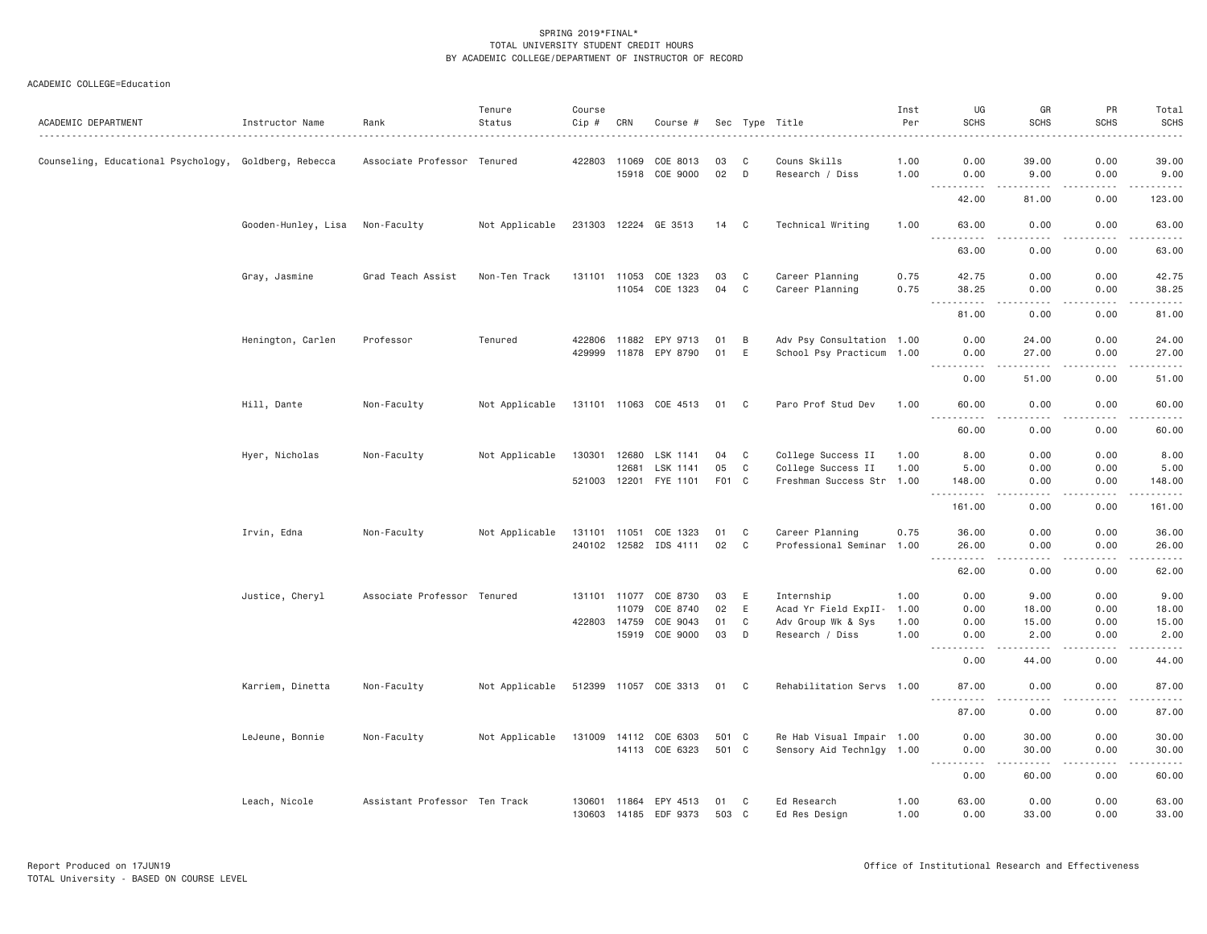| ACADEMIC DEPARTMENT                                   | Instructor Name     | Rank                          | Tenure<br>Status | Course<br>Cip #              | CRN            | Course #                   |                |        | Sec Type Title                                         | Inst<br>Per  | UG<br><b>SCHS</b>                                                                                                                                                                                                                                                                                                                                                                                    | GR<br><b>SCHS</b>                                                                                                                                             | PR<br><b>SCHS</b>   | Total<br><b>SCHS</b>           |
|-------------------------------------------------------|---------------------|-------------------------------|------------------|------------------------------|----------------|----------------------------|----------------|--------|--------------------------------------------------------|--------------|------------------------------------------------------------------------------------------------------------------------------------------------------------------------------------------------------------------------------------------------------------------------------------------------------------------------------------------------------------------------------------------------------|---------------------------------------------------------------------------------------------------------------------------------------------------------------|---------------------|--------------------------------|
| Counseling, Educational Psychology, Goldberg, Rebecca |                     | Associate Professor Tenured   |                  | 422803 11069                 | 15918          | COE 8013<br>COE 9000       | 03<br>02       | C<br>D | Couns Skills<br>Research / Diss                        | 1.00<br>1.00 | 0.00<br>0.00                                                                                                                                                                                                                                                                                                                                                                                         | 39.00<br>9.00                                                                                                                                                 | 0.00<br>0.00        | 39.00<br>9.00                  |
|                                                       |                     |                               |                  |                              |                |                            |                |        |                                                        |              | .<br>42.00                                                                                                                                                                                                                                                                                                                                                                                           | $\frac{1}{2} \left( \frac{1}{2} \right) \left( \frac{1}{2} \right) \left( \frac{1}{2} \right) \left( \frac{1}{2} \right) \left( \frac{1}{2} \right)$<br>81.00 | 2.2.2.2.2<br>0.00   | $\omega$ is a set of<br>123.00 |
|                                                       | Gooden-Hunley, Lisa | Non-Faculty                   | Not Applicable   |                              |                | 231303 12224 GE 3513       | 14 C           |        | Technical Writing                                      | 1.00         | 63.00                                                                                                                                                                                                                                                                                                                                                                                                | 0.00                                                                                                                                                          | 0.00                | 63.00                          |
|                                                       |                     |                               |                  |                              |                |                            |                |        |                                                        |              | $- - -$<br>.<br>63.00                                                                                                                                                                                                                                                                                                                                                                                | .<br>0.00                                                                                                                                                     | $- - - - -$<br>0.00 | .<br>63.00                     |
|                                                       | Gray, Jasmine       | Grad Teach Assist             | Non-Ten Track    | 131101 11053                 |                | COE 1323                   | 03<br>04       | C<br>C | Career Planning                                        | 0.75         | 42.75                                                                                                                                                                                                                                                                                                                                                                                                | 0.00                                                                                                                                                          | 0.00                | 42.75                          |
|                                                       |                     |                               |                  |                              |                | 11054 COE 1323             |                |        | Career Planning                                        | 0.75         | 38.25<br>$\frac{1}{2} \left( \frac{1}{2} \right) \left( \frac{1}{2} \right) \left( \frac{1}{2} \right) \left( \frac{1}{2} \right) \left( \frac{1}{2} \right)$<br>81.00                                                                                                                                                                                                                               | 0.00<br>$\sim$ $\sim$ $\sim$ $\sim$<br>0.00                                                                                                                   | 0.00<br>.<br>0.00   | 38.25<br>.<br>81.00            |
|                                                       |                     |                               |                  |                              |                |                            |                |        |                                                        |              |                                                                                                                                                                                                                                                                                                                                                                                                      |                                                                                                                                                               |                     |                                |
|                                                       | Henington, Carlen   | Professor                     | Tenured          | 422806<br>429999             | 11882<br>11878 | EPY 9713<br>EPY 8790       | 01<br>01       | B<br>Ε | Adv Psy Consultation 1.00<br>School Psy Practicum 1.00 |              | 0.00<br>0.00                                                                                                                                                                                                                                                                                                                                                                                         | 24.00<br>27.00                                                                                                                                                | 0.00<br>0.00        | 24.00<br>27.00                 |
|                                                       |                     |                               |                  |                              |                |                            |                |        |                                                        |              | <u>.</u><br>0.00                                                                                                                                                                                                                                                                                                                                                                                     | $- - - - -$<br>51.00                                                                                                                                          | .<br>0.00           | .<br>51.00                     |
|                                                       | Hill, Dante         | Non-Faculty                   | Not Applicable   |                              |                | 131101 11063 COE 4513      | 01             | C.     | Paro Prof Stud Dev                                     | 1.00         | 60.00                                                                                                                                                                                                                                                                                                                                                                                                | 0.00                                                                                                                                                          | 0.00                | 60.00                          |
|                                                       |                     |                               |                  |                              |                |                            |                |        |                                                        |              | .<br>60.00                                                                                                                                                                                                                                                                                                                                                                                           | .<br>0.00                                                                                                                                                     | .<br>0.00           | .<br>60.00                     |
|                                                       | Hyer, Nicholas      | Non-Faculty                   | Not Applicable   | 130301                       | 12680          | LSK 1141                   | 04             | C      | College Success II                                     | 1.00         | 8.00                                                                                                                                                                                                                                                                                                                                                                                                 | 0.00                                                                                                                                                          | 0.00                | 8.00                           |
|                                                       |                     |                               |                  | 521003 12201                 | 12681          | LSK 1141<br>FYE 1101       | 05<br>F01 C    | C      | College Success II<br>Freshman Success Str 1.00        | 1.00         | 5.00<br>148.00                                                                                                                                                                                                                                                                                                                                                                                       | 0.00<br>0.00                                                                                                                                                  | 0.00<br>0.00        | 5.00<br>148.00                 |
|                                                       |                     |                               |                  |                              |                |                            |                |        |                                                        |              | $  -$<br>.<br>161.00                                                                                                                                                                                                                                                                                                                                                                                 | .<br>0.00                                                                                                                                                     | -----<br>0.00       | 161.00                         |
|                                                       | Irvin, Edna         | Non-Faculty                   | Not Applicable   | 131101 11051                 |                | COE 1323                   | 01             | C      | Career Planning                                        | 0.75         | 36.00                                                                                                                                                                                                                                                                                                                                                                                                | 0.00                                                                                                                                                          | 0.00                | 36.00                          |
|                                                       |                     |                               |                  | 240102 12582                 |                | IDS 4111                   | 02             | C      | Professional Seminar 1.00                              |              | 26.00<br>.                                                                                                                                                                                                                                                                                                                                                                                           | 0.00                                                                                                                                                          | 0.00                | 26.00                          |
|                                                       |                     |                               |                  |                              |                |                            |                |        |                                                        |              | 62.00                                                                                                                                                                                                                                                                                                                                                                                                | 0.00                                                                                                                                                          | 0.00                | 62.00                          |
|                                                       | Justice, Cheryl     | Associate Professor Tenured   |                  | 131101 11077                 | 11079          | COE 8730<br>COE 8740       | 03<br>02       | Ε<br>E | Internship<br>Acad Yr Field ExpII-                     | 1.00<br>1.00 | 0.00<br>0.00                                                                                                                                                                                                                                                                                                                                                                                         | 9.00<br>18.00                                                                                                                                                 | 0.00<br>0.00        | 9.00<br>18.00                  |
|                                                       |                     |                               |                  | 422803                       | 14759          | COE 9043                   | 01             | C      | Adv Group Wk & Sys                                     | 1.00         | 0.00                                                                                                                                                                                                                                                                                                                                                                                                 | 15.00                                                                                                                                                         | 0.00                | 15.00                          |
|                                                       |                     |                               |                  |                              | 15919          | COE 9000                   | 03             | D      | Research / Diss                                        | 1.00         | 0.00<br>$\frac{1}{2} \frac{1}{2} \frac{1}{2} \frac{1}{2} \frac{1}{2} \frac{1}{2} \frac{1}{2} \frac{1}{2} \frac{1}{2} \frac{1}{2} \frac{1}{2} \frac{1}{2} \frac{1}{2} \frac{1}{2} \frac{1}{2} \frac{1}{2} \frac{1}{2} \frac{1}{2} \frac{1}{2} \frac{1}{2} \frac{1}{2} \frac{1}{2} \frac{1}{2} \frac{1}{2} \frac{1}{2} \frac{1}{2} \frac{1}{2} \frac{1}{2} \frac{1}{2} \frac{1}{2} \frac{1}{2} \frac{$ | 2.00<br>د ما ما ما                                                                                                                                            | 0.00<br>.           | 2.00<br>.                      |
|                                                       |                     |                               |                  |                              |                |                            |                |        |                                                        |              | 0.00                                                                                                                                                                                                                                                                                                                                                                                                 | 44.00                                                                                                                                                         | 0.00                | 44.00                          |
|                                                       | Karriem, Dinetta    | Non-Faculty                   | Not Applicable   |                              |                | 512399 11057 COE 3313      | 01 C           |        | Rehabilitation Servs 1.00                              |              | 87.00<br>$\sim$ $\sim$ $\sim$                                                                                                                                                                                                                                                                                                                                                                        | 0.00<br>د د د د                                                                                                                                               | 0.00<br>2.2.2.2.2   | 87.00<br>.                     |
|                                                       |                     |                               |                  |                              |                |                            |                |        |                                                        |              | 87.00                                                                                                                                                                                                                                                                                                                                                                                                | 0.00                                                                                                                                                          | 0.00                | 87.00                          |
|                                                       | LeJeune, Bonnie     | Non-Faculty                   | Not Applicable   | 131009                       | 14112          | COE 6303<br>14113 COE 6323 | 501 C<br>501 C |        | Re Hab Visual Impair 1.00<br>Sensory Aid Technlgy 1.00 |              | 0.00<br>0.00                                                                                                                                                                                                                                                                                                                                                                                         | 30.00<br>30.00                                                                                                                                                | 0.00<br>0.00        | 30.00<br>30.00                 |
|                                                       |                     |                               |                  |                              |                |                            |                |        |                                                        |              | <u>.</u>                                                                                                                                                                                                                                                                                                                                                                                             | $\frac{1}{2} \left( \frac{1}{2} \right) \left( \frac{1}{2} \right) \left( \frac{1}{2} \right) \left( \frac{1}{2} \right) \left( \frac{1}{2} \right)$          | .                   | .                              |
|                                                       |                     |                               |                  |                              |                |                            |                |        |                                                        |              | 0.00                                                                                                                                                                                                                                                                                                                                                                                                 | 60.00                                                                                                                                                         | 0.00                | 60.00                          |
|                                                       | Leach, Nicole       | Assistant Professor Ten Track |                  | 130601 11864<br>130603 14185 |                | EPY 4513<br>EDF 9373       | 01<br>503      | C<br>C | Ed Research<br>Ed Res Design                           | 1.00<br>1.00 | 63.00<br>0.00                                                                                                                                                                                                                                                                                                                                                                                        | 0.00<br>33.00                                                                                                                                                 | 0.00<br>0.00        | 63.00<br>33.00                 |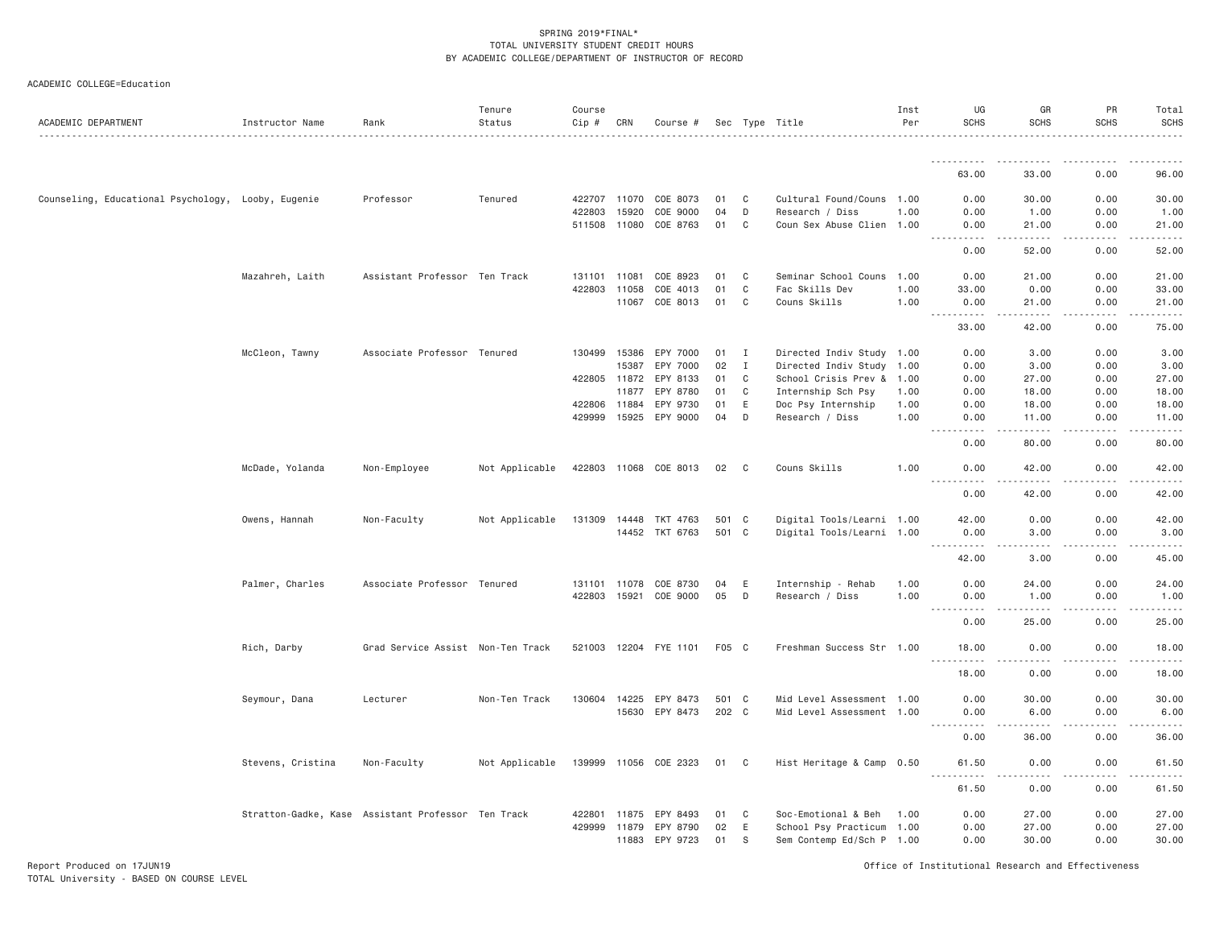## ACADEMIC COLLEGE=Education

| ACADEMIC DEPARTMENT                                | Instructor Name   | Rank                                               | Tenure<br>Status | Course<br>Cip # | CRN          | Course #              |       |                            | Sec Type Title            | Inst<br>Per | UG<br><b>SCHS</b> | GR<br><b>SCHS</b>           | PR<br>SCHS            | Total<br><b>SCHS</b>  |
|----------------------------------------------------|-------------------|----------------------------------------------------|------------------|-----------------|--------------|-----------------------|-------|----------------------------|---------------------------|-------------|-------------------|-----------------------------|-----------------------|-----------------------|
|                                                    |                   |                                                    |                  |                 |              |                       |       |                            |                           |             |                   |                             |                       |                       |
|                                                    |                   |                                                    |                  |                 |              |                       |       |                            |                           |             | 63,00             | 33,00                       | 0.00                  | 96.00                 |
| Counseling, Educational Psychology, Looby, Eugenie |                   | Professor                                          | Tenured          |                 | 422707 11070 | COE 8073              | 01    | C                          | Cultural Found/Couns 1.00 |             | 0.00              | 30.00                       | 0.00                  | 30.00                 |
|                                                    |                   |                                                    |                  | 422803          | 15920        | COE 9000              | 04    | D                          | Research / Diss           | 1.00        | 0.00              | 1.00                        | 0.00                  | 1.00                  |
|                                                    |                   |                                                    |                  | 511508 11080    |              | COE 8763              | 01    | C                          | Coun Sex Abuse Clien 1.00 |             | 0.00              | 21.00                       | 0.00                  | 21.00                 |
|                                                    |                   |                                                    |                  |                 |              |                       |       |                            |                           |             | .<br>0.00         | .<br>52.00                  | .<br>0.00             | .<br>52.00            |
|                                                    | Mazahreh, Laith   | Assistant Professor Ten Track                      |                  | 131101          | 11081        | COE 8923              | 01    | C                          | Seminar School Couns      | 1.00        | 0.00              | 21.00                       | 0.00                  | 21.00                 |
|                                                    |                   |                                                    |                  | 422803          | 11058        | COE 4013              | 01    | C                          | Fac Skills Dev            | 1.00        | 33.00             | 0.00                        | 0.00                  | 33.00                 |
|                                                    |                   |                                                    |                  |                 | 11067        | COE 8013              | 01    | C                          | Couns Skills              | 1.00        | 0.00<br><b></b>   | 21.00<br>.                  | 0.00<br>.             | 21.00<br>.            |
|                                                    |                   |                                                    |                  |                 |              |                       |       |                            |                           |             | 33.00             | 42.00                       | 0.00                  | 75.00                 |
|                                                    | McCleon, Tawny    | Associate Professor Tenured                        |                  |                 | 130499 15386 | EPY 7000              | 01    | I                          | Directed Indiv Study 1.00 |             | 0.00              | 3.00                        | 0.00                  | 3.00                  |
|                                                    |                   |                                                    |                  |                 | 15387        | EPY 7000              | 02    | $\mathbf{I}$               | Directed Indiv Study 1.00 |             | 0.00              | 3.00                        | 0.00                  | 3.00                  |
|                                                    |                   |                                                    |                  | 422805          | 11872        | EPY 8133              | 01    | C                          | School Crisis Prev &      | 1.00        | 0.00              | 27.00                       | 0.00                  | 27.00                 |
|                                                    |                   |                                                    |                  |                 | 11877        | EPY 8780              | 01    | C                          | Internship Sch Psy        | 1.00        | 0.00              | 18,00                       | 0.00                  | 18.00                 |
|                                                    |                   |                                                    |                  | 422806          | 11884        | EPY 9730              | 01    | E                          | Doc Psy Internship        | 1.00        | 0.00              | 18.00                       | 0.00                  | 18.00                 |
|                                                    |                   |                                                    |                  | 429999          | 15925        | EPY 9000              | 04    | D                          | Research / Diss           | 1.00        | 0.00<br>.         | 11.00<br>$- - - - -$        | 0.00<br>المتمامين     | 11.00<br>.            |
|                                                    |                   |                                                    |                  |                 |              |                       |       |                            |                           |             | 0.00              | 80.00                       | 0.00                  | 80.00                 |
|                                                    | McDade, Yolanda   | Non-Employee                                       | Not Applicable   |                 |              | 422803 11068 COE 8013 | 02    | $\overline{\phantom{a}}$ C | Couns Skills              | 1.00        | 0.00              | 42.00                       | 0.00                  | 42.00                 |
|                                                    |                   |                                                    |                  |                 |              |                       |       |                            |                           |             | 0.00              | 42.00                       | 0.00                  | 42.00                 |
|                                                    | Owens, Hannah     | Non-Faculty                                        | Not Applicable   | 131309          | 14448        | TKT 4763              | 501 C |                            | Digital Tools/Learni 1.00 |             | 42.00             | 0.00                        | 0.00                  | 42.00                 |
|                                                    |                   |                                                    |                  |                 |              | 14452 TKT 6763        | 501 C |                            | Digital Tools/Learni 1.00 |             | 0.00              | 3.00                        | 0.00                  | 3.00                  |
|                                                    |                   |                                                    |                  |                 |              |                       |       |                            |                           |             | .                 | $- - - -$                   | .                     | .                     |
|                                                    |                   |                                                    |                  |                 |              |                       |       |                            |                           |             | 42.00             | 3.00                        | 0.00                  | 45.00                 |
|                                                    | Palmer, Charles   | Associate Professor Tenured                        |                  |                 | 131101 11078 | COE 8730              | 04    | E                          | Internship - Rehab        | 1.00        | 0.00              | 24.00                       | 0.00                  | 24.00                 |
|                                                    |                   |                                                    |                  | 422803          | 15921        | COE 9000              | 05    | D                          | Research / Diss           | 1.00        | 0.00              | 1.00                        | 0.00                  | 1.00                  |
|                                                    |                   |                                                    |                  |                 |              |                       |       |                            |                           |             | .                 | $- - - - -$                 | .                     | .                     |
|                                                    |                   |                                                    |                  |                 |              |                       |       |                            |                           |             | 0.00              | 25.00                       | 0.00                  | 25.00                 |
|                                                    | Rich, Darby       | Grad Service Assist Non-Ten Track                  |                  | 521003 12204    |              | FYE 1101              | F05 C |                            | Freshman Success Str 1.00 |             | 18.00             | 0.00                        | 0.00<br>$\frac{1}{2}$ | 18.00<br>$    -$      |
|                                                    |                   |                                                    |                  |                 |              |                       |       |                            |                           |             | 18.00             | 0.00                        | 0.00                  | 18.00                 |
|                                                    | Seymour, Dana     | Lecturer                                           | Non-Ten Track    | 130604          | 14225        | EPY 8473              | 501 C |                            | Mid Level Assessment 1.00 |             | 0.00              | 30.00                       | 0.00                  | 30.00                 |
|                                                    |                   |                                                    |                  |                 | 15630        | EPY 8473              | 202 C |                            | Mid Level Assessment 1.00 |             | 0.00              | 6.00                        | 0.00                  | 6.00                  |
|                                                    |                   |                                                    |                  |                 |              |                       |       |                            |                           |             | .                 | $- - - - -$                 | .<br>0.00             | . <u>.</u> .<br>36.00 |
|                                                    | Stevens, Cristina | Non-Faculty                                        | Not Applicable   |                 |              | 139999 11056 COE 2323 | 01 C  |                            | Hist Heritage & Camp 0.50 |             | 0.00<br>61.50     | 36.00<br>0.00               | 0.00                  | 61.50                 |
|                                                    |                   |                                                    |                  |                 |              |                       |       |                            |                           |             | .                 | $\sim$ $\sim$ $\sim$ $\sim$ | .                     | والمناصبات            |
|                                                    |                   |                                                    |                  |                 |              |                       |       |                            |                           |             | 61.50             | 0.00                        | 0.00                  | 61.50                 |
|                                                    |                   | Stratton-Gadke, Kase Assistant Professor Ten Track |                  | 422801          | 11875        | EPY 8493              | 01    | C                          | Soc-Emotional & Beh       | 1.00        | 0.00              | 27.00                       | 0.00                  | 27.00                 |
|                                                    |                   |                                                    |                  | 429999          | 11879        | EPY 8790              | 02    | E                          | School Psy Practicum 1.00 |             | 0.00              | 27.00                       | 0.00                  | 27.00                 |
|                                                    |                   |                                                    |                  |                 | 11883        | EPY 9723              | 01    | S                          | Sem Contemp Ed/Sch P 1.00 |             | 0.00              | 30.00                       | 0.00                  | 30.00                 |

Report Produced on 17JUN19 Office of Institutional Research and Effectiveness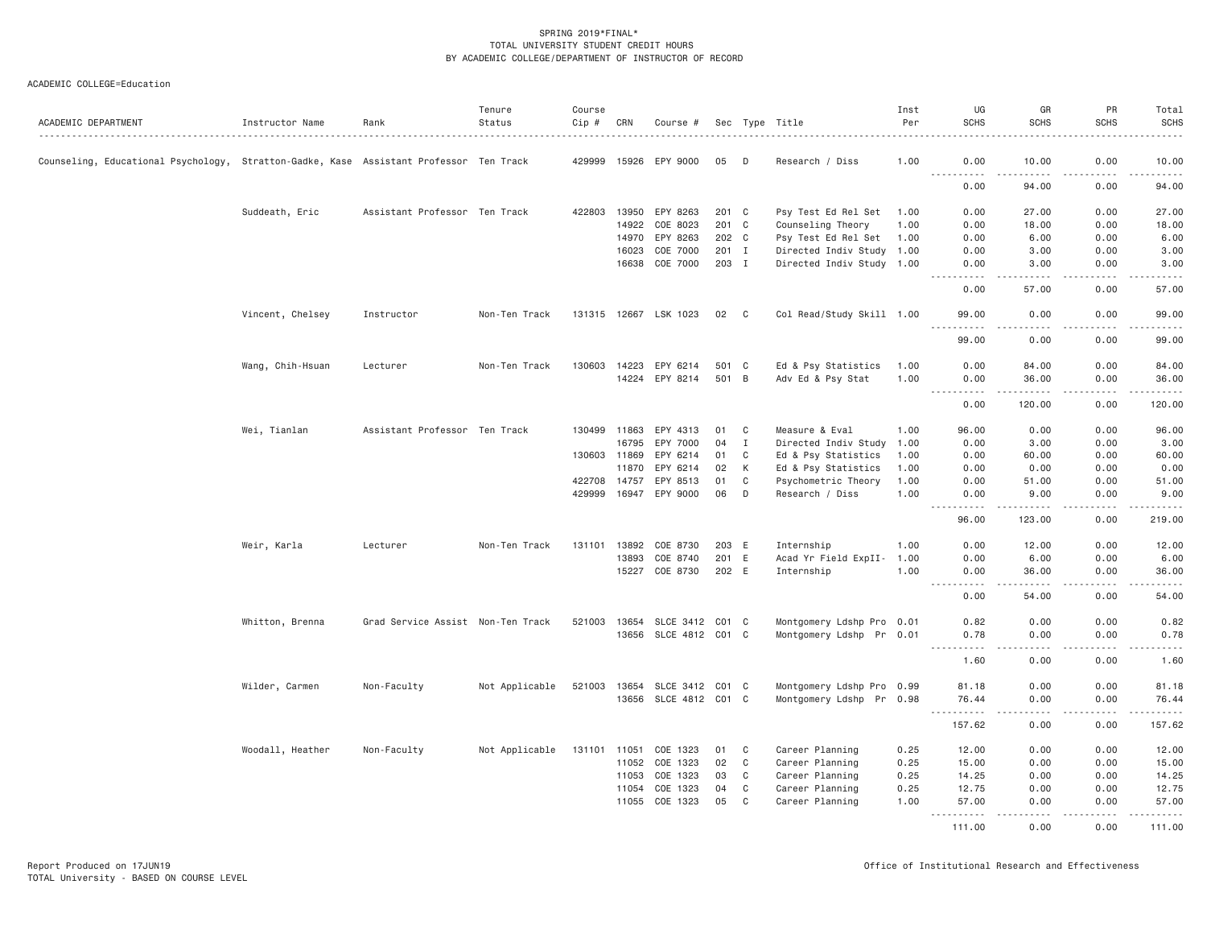| ACADEMIC DEPARTMENT                                                                    | Instructor Name  | Rank                              | Tenure<br>Status | Course<br>Cip # | CRN          | Course #                     |       |             | Sec Type Title            | Inst<br>Per | UG<br><b>SCHS</b>                                                                                           | GR<br><b>SCHS</b>     | PR<br><b>SCHS</b> | Total<br><b>SCHS</b>  |
|----------------------------------------------------------------------------------------|------------------|-----------------------------------|------------------|-----------------|--------------|------------------------------|-------|-------------|---------------------------|-------------|-------------------------------------------------------------------------------------------------------------|-----------------------|-------------------|-----------------------|
| Counseling, Educational Psychology, Stratton-Gadke, Kase Assistant Professor Ten Track |                  |                                   |                  |                 |              | 429999 15926 EPY 9000        | 05    | D           | Research / Diss           | 1.00        | 0.00                                                                                                        | 10.00                 | 0.00              | 10.00                 |
|                                                                                        |                  |                                   |                  |                 |              |                              |       |             |                           |             | <u>.</u><br>0.00                                                                                            | <u>.</u><br>94.00     | .<br>0.00         | .<br>94.00            |
|                                                                                        | Suddeath, Eric   | Assistant Professor Ten Track     |                  |                 |              | 422803 13950 EPY 8263        | 201 C |             | Psy Test Ed Rel Set       | 1.00        | 0.00                                                                                                        | 27.00                 | 0.00              | 27.00                 |
|                                                                                        |                  |                                   |                  |                 | 14922        | COE 8023                     | 201 C |             | Counseling Theory         | 1.00        | 0.00                                                                                                        | 18.00                 | 0.00              | 18.00                 |
|                                                                                        |                  |                                   |                  |                 | 14970        | EPY 8263                     | 202 C |             | Psy Test Ed Rel Set       | 1.00        | 0.00                                                                                                        | 6.00                  | 0.00              | 6.00                  |
|                                                                                        |                  |                                   |                  |                 | 16023        | COE 7000                     | 201 I |             | Directed Indiv Study 1.00 |             | 0.00                                                                                                        | 3.00                  | 0.00              | 3.00                  |
|                                                                                        |                  |                                   |                  |                 | 16638        | COE 7000                     | 203 I |             | Directed Indiv Study 1.00 |             | 0.00<br>. <b>.</b>                                                                                          | 3.00<br>. <b>.</b>    | 0.00<br>.         | 3.00<br>.             |
|                                                                                        |                  |                                   |                  |                 |              |                              |       |             |                           |             | 0.00                                                                                                        | 57.00                 | 0.00              | 57.00                 |
|                                                                                        | Vincent, Chelsey | Instructor                        | Non-Ten Track    |                 |              | 131315 12667 LSK 1023        | 02 C  |             | Col Read/Study Skill 1.00 |             | 99.00<br>$   -$                                                                                             | 0.00                  | 0.00              | 99.00                 |
|                                                                                        |                  |                                   |                  |                 |              |                              |       |             |                           |             | 99.00                                                                                                       | 0.00                  | 0.00              | 99.00                 |
|                                                                                        | Wang, Chih-Hsuan | Lecturer                          | Non-Ten Track    |                 | 130603 14223 | EPY 6214                     | 501 C |             | Ed & Psy Statistics       | 1.00        | 0.00                                                                                                        | 84.00                 | 0.00              | 84.00                 |
|                                                                                        |                  |                                   |                  |                 |              | 14224 EPY 8214               | 501 B |             | Adv Ed & Psy Stat         | 1.00        | 0.00<br>. <b>.</b>                                                                                          | 36.00<br>.            | 0.00<br>.         | 36.00<br>.            |
|                                                                                        |                  |                                   |                  |                 |              |                              |       |             |                           |             | 0.00                                                                                                        | 120.00                | 0.00              | 120.00                |
|                                                                                        | Wei, Tianlan     | Assistant Professor Ten Track     |                  |                 | 130499 11863 | EPY 4313                     | 01    | C           | Measure & Eval            | 1.00        | 96.00                                                                                                       | 0.00                  | 0.00              | 96.00                 |
|                                                                                        |                  |                                   |                  |                 | 16795        | EPY 7000                     | 04    | $\mathbf I$ | Directed Indiv Study      | 1.00        | 0.00                                                                                                        | 3.00                  | 0.00              | 3.00                  |
|                                                                                        |                  |                                   |                  | 130603 11869    |              | EPY 6214                     | 01    | C           | Ed & Psy Statistics       | 1.00        | 0.00                                                                                                        | 60.00                 | 0.00              | 60.00                 |
|                                                                                        |                  |                                   |                  |                 | 11870        | EPY 6214                     | 02    | К           | Ed & Psy Statistics       | 1.00        | 0.00                                                                                                        | 0.00                  | 0.00              | 0.00                  |
|                                                                                        |                  |                                   |                  | 422708          | 14757        | EPY 8513                     | 01    | C           | Psychometric Theory       | 1.00        | 0.00                                                                                                        | 51.00                 | 0.00              | 51.00                 |
|                                                                                        |                  |                                   |                  | 429999          |              | 16947 EPY 9000               | 06    | D           | Research / Diss           | 1.00        | 0.00<br>$\sim$ $\sim$ $\sim$<br>.                                                                           | 9.00<br>.             | 0.00<br>.         | 9.00<br>.             |
|                                                                                        |                  |                                   |                  |                 |              |                              |       |             |                           |             | 96.00                                                                                                       | 123.00                | 0.00              | 219.00                |
|                                                                                        | Weir, Karla      | Lecturer                          | Non-Ten Track    | 131101 13892    |              | COE 8730                     | 203 E |             | Internship                | 1.00        | 0.00                                                                                                        | 12.00                 | 0.00              | 12.00                 |
|                                                                                        |                  |                                   |                  |                 | 13893        | COE 8740                     | 201 E |             | Acad Yr Field ExpII-      | 1.00        | 0.00                                                                                                        | 6.00                  | 0.00              | 6.00                  |
|                                                                                        |                  |                                   |                  |                 | 15227        | COE 8730                     | 202 E |             | Internship                | 1.00        | 0.00<br>$\frac{1}{2} \left( \frac{1}{2} \right) \left( \frac{1}{2} \right) \left( \frac{1}{2} \right)$<br>. | 36.00<br>.            | 0.00<br>.         | 36.00<br>. <u>.</u> . |
|                                                                                        |                  |                                   |                  |                 |              |                              |       |             |                           |             | 0.00                                                                                                        | 54.00                 | 0.00              | 54.00                 |
|                                                                                        | Whitton, Brenna  | Grad Service Assist Non-Ten Track |                  |                 |              | 521003 13654 SLCE 3412 C01 C |       |             | Montgomery Ldshp Pro 0.01 |             | 0.82                                                                                                        | 0.00                  | 0.00              | 0.82                  |
|                                                                                        |                  |                                   |                  |                 |              | 13656 SLCE 4812 C01 C        |       |             | Montgomery Ldshp Pr 0.01  |             | 0.78<br>.                                                                                                   | 0.00<br>$\frac{1}{2}$ | 0.00<br>.         | 0.78<br>.             |
|                                                                                        |                  |                                   |                  |                 |              |                              |       |             |                           |             | 1.60                                                                                                        | 0.00                  | 0.00              | 1.60                  |
|                                                                                        | Wilder, Carmen   | Non-Faculty                       | Not Applicable   | 521003          |              | 13654 SLCE 3412 C01 C        |       |             | Montgomery Ldshp Pro 0.99 |             | 81.18                                                                                                       | 0.00                  | 0.00              | 81.18                 |
|                                                                                        |                  |                                   |                  |                 |              | 13656 SLCE 4812 C01 C        |       |             | Montgomery Ldshp Pr 0.98  |             | 76.44<br>$\sim$ $\sim$ $\sim$<br>.                                                                          | 0.00<br>$  -$         | 0.00<br>بالمحام   | 76.44<br>.            |
|                                                                                        |                  |                                   |                  |                 |              |                              |       |             |                           |             | 157.62                                                                                                      | 0.00                  | 0.00              | 157.62                |
|                                                                                        | Woodall, Heather | Non-Faculty                       | Not Applicable   | 131101 11051    |              | COE 1323                     | 01    | C           | Career Planning           | 0.25        | 12.00                                                                                                       | 0.00                  | 0.00              | 12.00                 |
|                                                                                        |                  |                                   |                  |                 | 11052        | COE 1323                     | 02    | $\mathbf C$ | Career Planning           | 0.25        | 15.00                                                                                                       | 0.00                  | 0.00              | 15.00                 |
|                                                                                        |                  |                                   |                  |                 | 11053        | COE 1323                     | 03    | C           | Career Planning           | 0.25        | 14.25                                                                                                       | 0.00                  | 0.00              | 14.25                 |
|                                                                                        |                  |                                   |                  |                 | 11054        | COE 1323                     | 04    | $\mathbf C$ | Career Planning           | 0.25        | 12.75                                                                                                       | 0.00                  | 0.00              | 12.75                 |
|                                                                                        |                  |                                   |                  |                 | 11055        | COE 1323                     | 05    | C           | Career Planning           | 1.00        | 57.00<br>1.1.1.1.1<br>$\sim$ $\sim$ $\sim$ $\sim$                                                           | 0.00<br>$- - -$       | 0.00<br>.         | 57.00<br>.            |
|                                                                                        |                  |                                   |                  |                 |              |                              |       |             |                           |             | 111.00                                                                                                      | 0.00                  | 0.00              | 111.00                |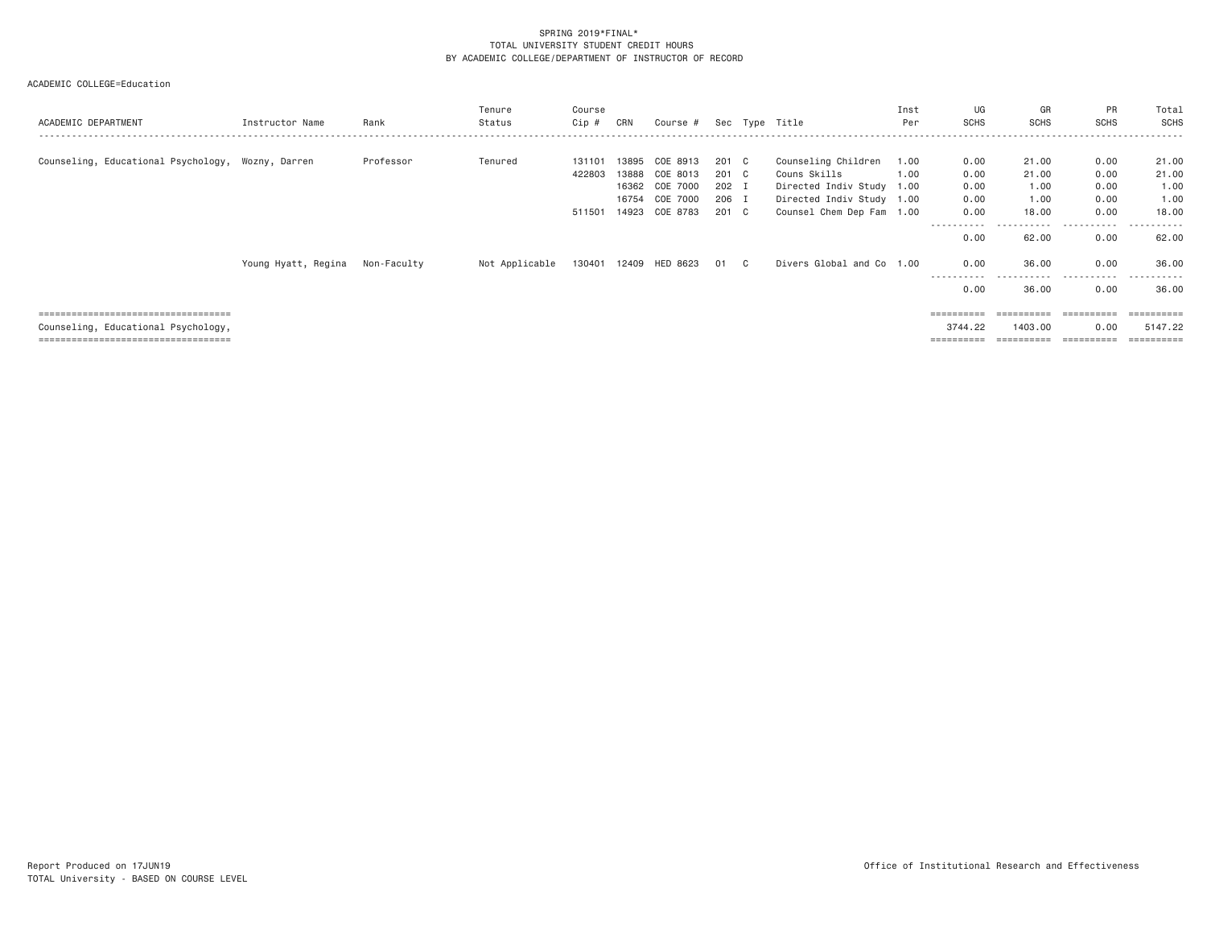| ACADEMIC DEPARTMENT                                                                                                  | Instructor Name     | Rank        | Tenure<br>Status | Course<br>Cip #  | CRN            | Course #                               |                         |     | Sec Type Title                                                   | Inst<br>Per  | UG<br>SCHS                        | GR<br><b>SCHS</b>      | PR<br><b>SCHS</b>    | Total<br>SCHS          |
|----------------------------------------------------------------------------------------------------------------------|---------------------|-------------|------------------|------------------|----------------|----------------------------------------|-------------------------|-----|------------------------------------------------------------------|--------------|-----------------------------------|------------------------|----------------------|------------------------|
| Counseling, Educational Psychology, Wozny, Darren                                                                    |                     | Professor   | Tenured          | 131101<br>422803 | 13895<br>13888 | COE 8913<br>COE 8013<br>16362 COE 7000 | 201 C<br>201 C<br>202 I |     | Counseling Children<br>Couns Skills<br>Directed Indiv Study 1.00 | 1.00<br>1.00 | 0.00<br>0.00<br>0.00              | 21.00<br>21.00<br>1.00 | 0.00<br>0.00<br>0.00 | 21.00<br>21.00<br>1.00 |
|                                                                                                                      |                     |             |                  |                  | 16754          | COE 7000<br>511501 14923 COE 8783      | 206 I<br>201 C          |     | Directed Indiv Study 1.00<br>Counsel Chem Dep Fam 1.00           |              | 0.00<br>0.00                      | 1.00<br>18,00          | 0.00<br>0.00         | 1.00<br>18.00          |
|                                                                                                                      | Young Hyatt, Regina | Non-Faculty | Not Applicable   | 130401 12409     |                | HED 8623                               | 01                      | C . | Divers Global and Co 1.00                                        |              | 0.00<br>0.00                      | 62.00<br>36.00         | 0.00<br>0.00         | 62.00<br>36.00         |
|                                                                                                                      |                     |             |                  |                  |                |                                        |                         |     |                                                                  |              | -----------<br>0.00               | -----------<br>36.00   | .<br>0.00            | .<br>36.00             |
| =====================================<br>Counseling, Educational Psychology,<br>==================================== |                     |             |                  |                  |                |                                        |                         |     |                                                                  |              | =========<br>3744.22<br>========= | 1403.00<br>==========  | 0.00<br>=========    | 5147.22<br>=========   |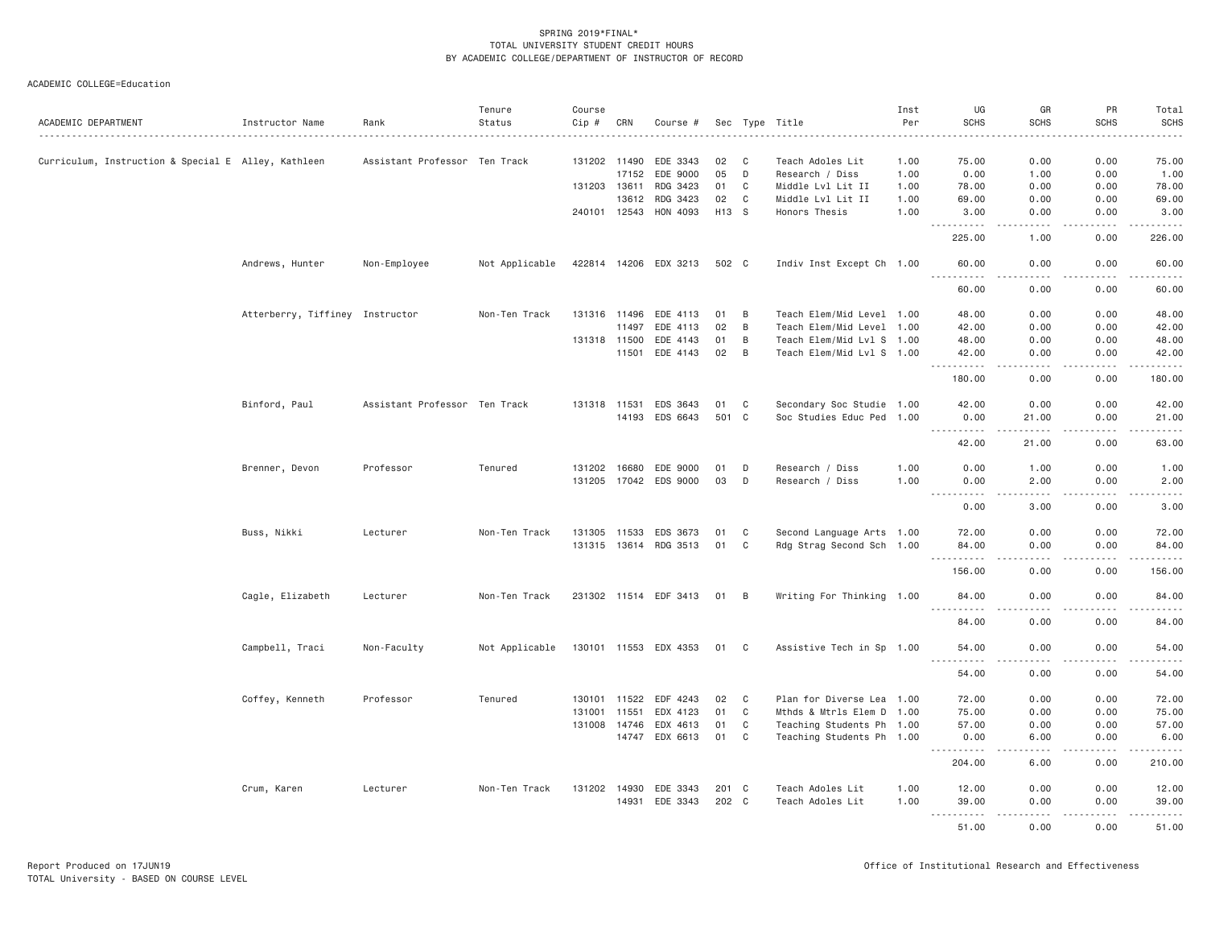| ACADEMIC DEPARTMENT                                 | Instructor Name                 | Rank                          | Tenure<br>Status | Course<br>Cip # | CRN   | Course #                   |          |                | Sec Type Title                                         | Inst<br>Per  | UG<br><b>SCHS</b>                                                                                                                                      | GR<br><b>SCHS</b>     | PR<br><b>SCHS</b> | Total<br><b>SCHS</b> |
|-----------------------------------------------------|---------------------------------|-------------------------------|------------------|-----------------|-------|----------------------------|----------|----------------|--------------------------------------------------------|--------------|--------------------------------------------------------------------------------------------------------------------------------------------------------|-----------------------|-------------------|----------------------|
|                                                     |                                 |                               |                  |                 |       |                            |          |                |                                                        |              |                                                                                                                                                        |                       |                   | .                    |
| Curriculum, Instruction & Special E Alley, Kathleen |                                 | Assistant Professor Ten Track |                  | 131202 11490    | 17152 | EDE 3343<br>EDE 9000       | 02<br>05 | C<br>D         | Teach Adoles Lit<br>Research / Diss                    | 1.00<br>1.00 | 75.00<br>0.00                                                                                                                                          | 0.00<br>1.00          | 0.00<br>0.00      | 75.00<br>1.00        |
|                                                     |                                 |                               |                  | 131203 13611    |       | RDG 3423                   | 01       | C              | Middle Lvl Lit II                                      | 1.00         | 78.00                                                                                                                                                  | 0.00                  | 0.00              | 78.00                |
|                                                     |                                 |                               |                  |                 | 13612 | RDG 3423                   | 02       | C              | Middle Lvl Lit II                                      | 1.00         | 69.00                                                                                                                                                  | 0.00                  | 0.00              | 69.00                |
|                                                     |                                 |                               |                  | 240101 12543    |       | HON 4093                   | H13 S    |                | Honors Thesis                                          | 1.00         | 3.00                                                                                                                                                   | 0.00                  | 0.00              | 3.00                 |
|                                                     |                                 |                               |                  |                 |       |                            |          |                |                                                        |              | .                                                                                                                                                      | .                     | لأعاجب            | .                    |
|                                                     |                                 |                               |                  |                 |       |                            |          |                |                                                        |              | 225.00                                                                                                                                                 | 1.00                  | 0.00              | 226.00               |
|                                                     | Andrews, Hunter                 | Non-Employee                  | Not Applicable   |                 |       | 422814 14206 EDX 3213      | 502 C    |                | Indiv Inst Except Ch 1.00                              |              | 60.00<br>.                                                                                                                                             | 0.00<br>د د د د       | 0.00<br>-----     | 60.00<br>.           |
|                                                     |                                 |                               |                  |                 |       |                            |          |                |                                                        |              | 60.00                                                                                                                                                  | 0.00                  | 0.00              | 60.00                |
|                                                     | Atterberry, Tiffiney Instructor |                               | Non-Ten Track    | 131316 11496    |       | EDE 4113                   | 01       | B              | Teach Elem/Mid Level 1.00                              |              | 48.00                                                                                                                                                  | 0.00                  | 0.00              | 48.00                |
|                                                     |                                 |                               |                  |                 | 11497 | EDE 4113                   | 02       | B              | Teach Elem/Mid Level 1.00                              |              | 42.00                                                                                                                                                  | 0.00                  | 0.00              | 42.00                |
|                                                     |                                 |                               |                  | 131318 11500    |       | EDE 4143                   | 01       | B              | Teach Elem/Mid Lvl S 1.00                              |              | 48.00                                                                                                                                                  | 0.00                  | 0.00              | 48.00                |
|                                                     |                                 |                               |                  |                 | 11501 | EDE 4143                   | 02       | B              | Teach Elem/Mid Lvl S 1.00                              |              | 42.00<br>$\begin{array}{cccccccccc} \bullet & \bullet & \bullet & \bullet & \bullet & \bullet & \bullet & \bullet \end{array}$<br>$\sim$ $\sim$ $\sim$ | 0.00<br>$- - -$       | 0.00<br>$   -$    | 42.00<br>.           |
|                                                     |                                 |                               |                  |                 |       |                            |          |                |                                                        |              | 180.00                                                                                                                                                 | 0.00                  | 0.00              | 180.00               |
|                                                     | Binford, Paul                   | Assistant Professor Ten Track |                  | 131318 11531    |       | EDS 3643                   | 01       | C              | Secondary Soc Studie 1.00                              |              | 42.00                                                                                                                                                  | 0.00                  | 0.00              | 42.00                |
|                                                     |                                 |                               |                  |                 | 14193 | EDS 6643                   | 501 C    |                | Soc Studies Educ Ped 1.00                              |              | 0.00                                                                                                                                                   | 21.00                 | 0.00              | 21.00                |
|                                                     |                                 |                               |                  |                 |       |                            |          |                |                                                        |              | $\sim$ $\sim$ $\sim$<br>.<br>42.00                                                                                                                     | .<br>21.00            | .<br>0.00         | والمناصبات<br>63.00  |
|                                                     | Brenner, Devon                  | Professor                     | Tenured          | 131202 16680    |       | EDE 9000                   | 01       | D              | Research / Diss                                        | 1.00         | 0.00                                                                                                                                                   | 1.00                  | 0.00              | 1.00                 |
|                                                     |                                 |                               |                  | 131205 17042    |       | EDS 9000                   | 03       | D              | Research / Diss                                        | 1.00         | 0.00                                                                                                                                                   | 2.00                  | 0.00              | 2.00                 |
|                                                     |                                 |                               |                  |                 |       |                            |          |                |                                                        |              | .<br>0.00                                                                                                                                              | .<br>3.00             | -----<br>0.00     | -----<br>3.00        |
|                                                     |                                 |                               |                  |                 |       |                            |          |                |                                                        |              |                                                                                                                                                        |                       |                   |                      |
|                                                     | Buss, Nikki                     | Lecturer                      | Non-Ten Track    | 131305 11533    |       | EDS 3673                   | 01       | C              | Second Language Arts 1.00                              |              | 72.00                                                                                                                                                  | 0.00                  | 0.00              | 72.00                |
|                                                     |                                 |                               |                  |                 |       | 131315 13614 RDG 3513      | 01       | C <sub>1</sub> | Rdg Strag Second Sch 1.00                              |              | 84.00<br>.                                                                                                                                             | 0.00<br>$- - - -$     | 0.00<br>.         | 84.00<br><u>.</u>    |
|                                                     |                                 |                               |                  |                 |       |                            |          |                |                                                        |              | 156.00                                                                                                                                                 | 0.00                  | 0.00              | 156.00               |
|                                                     | Cagle, Elizabeth                | Lecturer                      | Non-Ten Track    |                 |       | 231302 11514 EDF 3413      | 01       | B              | Writing For Thinking 1.00                              |              | 84.00<br>.                                                                                                                                             | 0.00<br>$\frac{1}{2}$ | 0.00<br>.         | 84.00<br>.           |
|                                                     |                                 |                               |                  |                 |       |                            |          |                |                                                        |              | 84.00                                                                                                                                                  | 0.00                  | 0.00              | 84.00                |
|                                                     | Campbell, Traci                 | Non-Faculty                   | Not Applicable   |                 |       | 130101 11553 EDX 4353      | 01 C     |                | Assistive Tech in Sp 1.00                              |              | 54.00                                                                                                                                                  | 0.00                  | 0.00              | 54.00                |
|                                                     |                                 |                               |                  |                 |       |                            |          |                |                                                        |              | 54.00                                                                                                                                                  | 0.00                  | 0.00              | 54.00                |
|                                                     |                                 |                               |                  |                 |       |                            |          |                |                                                        |              |                                                                                                                                                        |                       |                   |                      |
|                                                     | Coffey, Kenneth                 | Professor                     | Tenured          | 130101 11522    |       | EDF 4243                   | 02       | C              | Plan for Diverse Lea 1.00                              |              | 72.00                                                                                                                                                  | 0.00                  | 0.00              | 72.00                |
|                                                     |                                 |                               |                  | 131001          | 11551 | EDX 4123                   | 01       | C              | Mthds & Mtrls Elem D 1.00                              |              | 75.00                                                                                                                                                  | 0.00                  | 0.00              | 75.00                |
|                                                     |                                 |                               |                  | 131008          | 14746 | EDX 4613<br>14747 EDX 6613 | 01<br>01 | C<br>C         | Teaching Students Ph 1.00<br>Teaching Students Ph 1.00 |              | 57.00<br>0.00                                                                                                                                          | 0.00<br>6.00          | 0.00<br>0.00      | 57.00<br>6.00        |
|                                                     |                                 |                               |                  |                 |       |                            |          |                |                                                        |              | $\frac{1}{2} \left( \frac{1}{2} \right) \left( \frac{1}{2} \right) \left( \frac{1}{2} \right) \left( \frac{1}{2} \right) \left( \frac{1}{2} \right)$   | .                     | .                 | .                    |
|                                                     |                                 |                               |                  |                 |       |                            |          |                |                                                        |              | 204.00                                                                                                                                                 | 6.00                  | 0.00              | 210.00               |
|                                                     | Crum, Karen                     | Lecturer                      | Non-Ten Track    | 131202 14930    |       | EDE 3343                   | 201 C    |                | Teach Adoles Lit                                       | 1.00         | 12.00                                                                                                                                                  | 0.00                  | 0.00              | 12.00                |
|                                                     |                                 |                               |                  |                 | 14931 | EDE 3343                   | 202 C    |                | Teach Adoles Lit                                       | 1.00         | 39.00                                                                                                                                                  | 0.00                  | 0.00              | 39.00                |
|                                                     |                                 |                               |                  |                 |       |                            |          |                |                                                        |              | . <b>.</b><br>$\frac{1}{2} \left( \frac{1}{2} \right) \left( \frac{1}{2} \right) \left( \frac{1}{2} \right)$<br>51.00                                  | .<br>0.00             | .<br>0.00         | .<br>51.00           |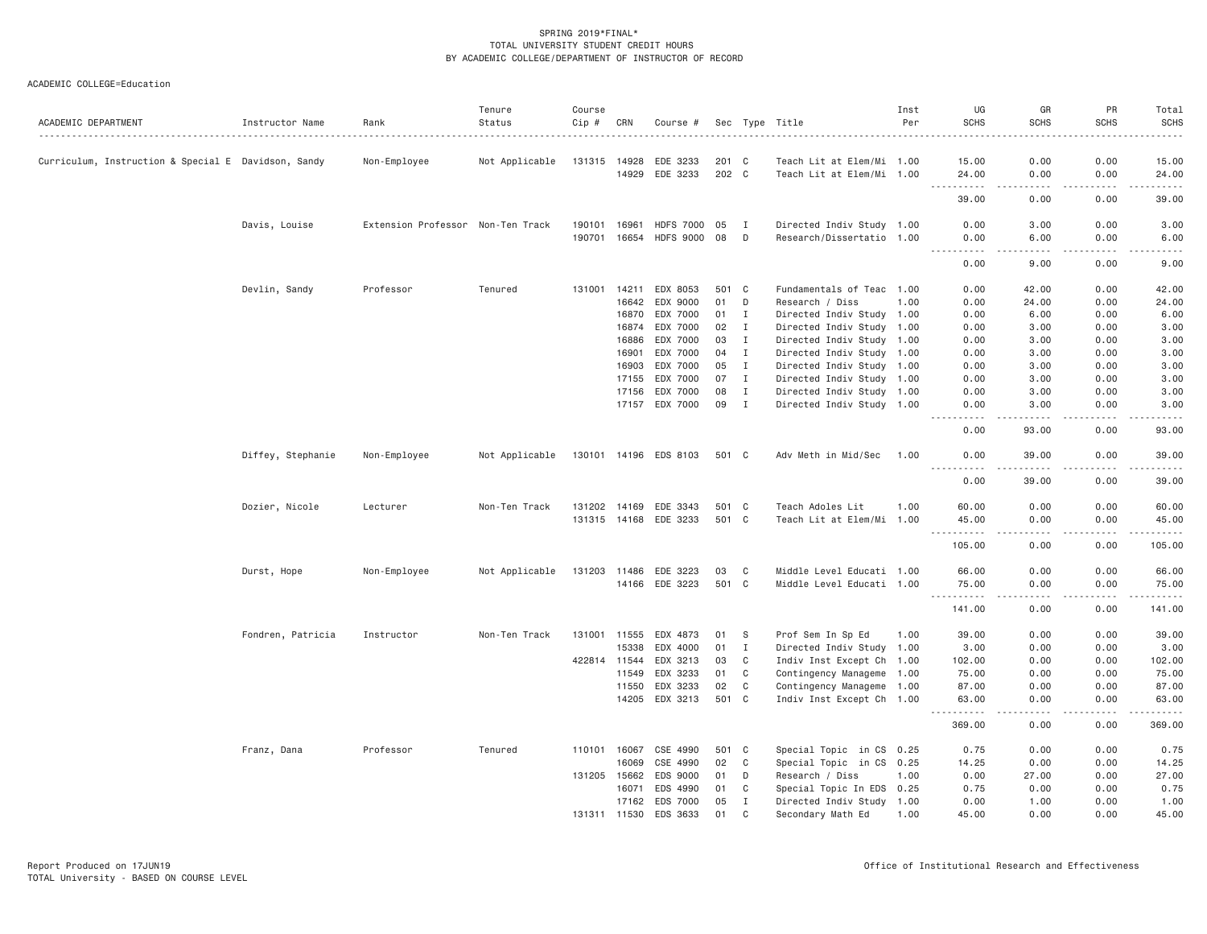| ACADEMIC DEPARTMENT                                 | Instructor Name   | Rank                              | Tenure<br>Status | Course<br>Cip # | CRN            | Course #              |                |              | Sec Type Title                                         | Inst<br>Per | UG<br><b>SCHS</b>                                                                                                                                              | GR<br><b>SCHS</b>                                                                                                                 | PR<br><b>SCHS</b> | Total<br><b>SCHS</b><br>. <b>.</b> . |
|-----------------------------------------------------|-------------------|-----------------------------------|------------------|-----------------|----------------|-----------------------|----------------|--------------|--------------------------------------------------------|-------------|----------------------------------------------------------------------------------------------------------------------------------------------------------------|-----------------------------------------------------------------------------------------------------------------------------------|-------------------|--------------------------------------|
|                                                     |                   |                                   |                  |                 |                |                       |                |              |                                                        |             |                                                                                                                                                                | 0.00                                                                                                                              | 0.00              | 15.00                                |
| Curriculum, Instruction & Special E Davidson, Sandy |                   | Non-Employee                      | Not Applicable   | 131315          | 14928<br>14929 | EDE 3233<br>EDE 3233  | 201 C<br>202 C |              | Teach Lit at Elem/Mi 1.00<br>Teach Lit at Elem/Mi 1.00 |             | 15.00<br>24.00                                                                                                                                                 | 0.00                                                                                                                              | 0.00              | 24.00                                |
|                                                     |                   |                                   |                  |                 |                |                       |                |              |                                                        |             | .<br>39.00                                                                                                                                                     | $\sim$ $\sim$ $\sim$ $\sim$<br>0.00                                                                                               | .<br>0.00         | .<br>39.00                           |
|                                                     | Davis, Louise     | Extension Professor Non-Ten Track |                  | 190101          | 16961          | <b>HDFS 7000</b>      | 05             | Ι.           | Directed Indiv Study 1.00                              |             | 0.00                                                                                                                                                           | 3.00                                                                                                                              | 0.00              | 3.00                                 |
|                                                     |                   |                                   |                  | 190701          | 16654          | <b>HDFS 9000</b>      | 08             | D            | Research/Dissertatio 1.00                              |             | 0.00                                                                                                                                                           | 6.00                                                                                                                              | 0.00              | 6.00                                 |
|                                                     |                   |                                   |                  |                 |                |                       |                |              |                                                        |             | 0.00                                                                                                                                                           | 9.00                                                                                                                              | 0.00              | 9.00                                 |
|                                                     | Devlin, Sandy     | Professor                         | Tenured          |                 | 131001 14211   | EDX 8053              | 501 C          |              | Fundamentals of Teac 1.00                              |             | 0.00                                                                                                                                                           | 42.00                                                                                                                             | 0.00              | 42.00                                |
|                                                     |                   |                                   |                  |                 | 16642          | EDX 9000              | 01             | D            | Research / Diss                                        | 1.00        | 0.00                                                                                                                                                           | 24.00                                                                                                                             | 0.00              | 24.00                                |
|                                                     |                   |                                   |                  |                 | 16870          | EDX 7000              | 01             | $\mathbf{I}$ | Directed Indiv Study 1.00                              |             | 0.00                                                                                                                                                           | 6.00                                                                                                                              | 0.00              | 6.00                                 |
|                                                     |                   |                                   |                  |                 | 16874          | EDX 7000              | 02             | $\mathbf{I}$ | Directed Indiv Study 1.00                              |             | 0.00                                                                                                                                                           | 3.00                                                                                                                              | 0.00              | 3.00                                 |
|                                                     |                   |                                   |                  |                 | 16886          | EDX 7000              | 03             | $\mathbf{I}$ | Directed Indiv Study 1.00                              |             | 0.00                                                                                                                                                           | 3.00                                                                                                                              | 0.00              | 3.00                                 |
|                                                     |                   |                                   |                  |                 | 16901          | EDX 7000              | 04             | $\mathbf{I}$ | Directed Indiv Study 1.00                              |             | 0.00                                                                                                                                                           | 3.00                                                                                                                              | 0.00              | 3.00                                 |
|                                                     |                   |                                   |                  |                 | 16903          | EDX 7000              | 05             | $\mathbf{I}$ | Directed Indiv Study 1.00                              |             | 0.00                                                                                                                                                           | 3.00                                                                                                                              | 0.00              | 3.00                                 |
|                                                     |                   |                                   |                  |                 | 17155          | EDX 7000              | 07             | I            | Directed Indiv Study 1.00                              |             | 0.00                                                                                                                                                           | 3.00                                                                                                                              | 0.00              | 3.00                                 |
|                                                     |                   |                                   |                  |                 | 17156          | EDX 7000              | 08             | $\;$ I       | Directed Indiv Study 1.00                              |             | 0.00                                                                                                                                                           | 3.00                                                                                                                              | 0.00              | 3.00                                 |
|                                                     |                   |                                   |                  |                 | 17157          | EDX 7000              | 09             | $\mathbf{I}$ | Directed Indiv Study 1.00                              |             | 0.00                                                                                                                                                           | 3.00                                                                                                                              | 0.00              | 3.00                                 |
|                                                     |                   |                                   |                  |                 |                |                       |                |              |                                                        |             | 0.00                                                                                                                                                           | $\sim$ $\sim$ $\sim$ $\sim$<br>93.00                                                                                              | لأعامل<br>0.00    | المالم عامات<br>93.00                |
|                                                     | Diffey, Stephanie | Non-Employee                      | Not Applicable   |                 |                | 130101 14196 EDS 8103 | 501 C          |              | Adv Meth in Mid/Sec                                    | 1.00        | 0.00                                                                                                                                                           | 39,00                                                                                                                             | 0.00              | 39,00                                |
|                                                     |                   |                                   |                  |                 |                |                       |                |              |                                                        |             | 0.00                                                                                                                                                           | 39.00                                                                                                                             | 0.00              | 39.00                                |
|                                                     | Dozier, Nicole    | Lecturer                          | Non-Ten Track    | 131202          | 14169          | EDE 3343              | 501 C          |              | Teach Adoles Lit                                       | 1.00        | 60.00                                                                                                                                                          | 0.00                                                                                                                              | 0.00              | 60.00                                |
|                                                     |                   |                                   |                  |                 |                | 131315 14168 EDE 3233 | 501 C          |              | Teach Lit at Elem/Mi 1.00                              |             | 45.00                                                                                                                                                          | 0.00                                                                                                                              | 0.00              | 45.00                                |
|                                                     |                   |                                   |                  |                 |                |                       |                |              |                                                        |             | .<br>105.00                                                                                                                                                    | $\frac{1}{2} \left( \frac{1}{2} \right) \left( \frac{1}{2} \right) \left( \frac{1}{2} \right) \left( \frac{1}{2} \right)$<br>0.00 | .<br>0.00         | .<br>105.00                          |
|                                                     | Durst, Hope       | Non-Employee                      | Not Applicable   | 131203 11486    |                | EDE 3223              | 03             | C            | Middle Level Educati 1.00                              |             | 66.00                                                                                                                                                          | 0.00                                                                                                                              | 0.00              | 66.00                                |
|                                                     |                   |                                   |                  |                 |                | 14166 EDE 3223        | 501 C          |              | Middle Level Educati 1.00                              |             | 75.00<br>$  -$<br>.                                                                                                                                            | 0.00<br>.                                                                                                                         | 0.00<br>.         | 75.00<br>.                           |
|                                                     |                   |                                   |                  |                 |                |                       |                |              |                                                        |             | 141.00                                                                                                                                                         | 0.00                                                                                                                              | 0.00              | 141.00                               |
|                                                     | Fondren, Patricia | Instructor                        | Non-Ten Track    |                 |                | 131001 11555 EDX 4873 | 01             | - S          | Prof Sem In Sp Ed                                      | 1.00        | 39.00                                                                                                                                                          | 0.00                                                                                                                              | 0.00              | 39.00                                |
|                                                     |                   |                                   |                  |                 | 15338          | EDX 4000              | 01             | $\mathbf{I}$ | Directed Indiv Study 1.00                              |             | 3.00                                                                                                                                                           | 0.00                                                                                                                              | 0.00              | 3.00                                 |
|                                                     |                   |                                   |                  |                 | 422814 11544   | EDX 3213              | 03             | C            | Indiv Inst Except Ch 1.00                              |             | 102.00                                                                                                                                                         | 0.00                                                                                                                              | 0.00              | 102.00                               |
|                                                     |                   |                                   |                  |                 | 11549          | EDX 3233              | 01             | C            | Contingency Manageme 1.00                              |             | 75.00                                                                                                                                                          | 0.00                                                                                                                              | 0.00              | 75.00                                |
|                                                     |                   |                                   |                  |                 | 11550          | EDX 3233              | 02             | C            | Contingency Manageme 1.00                              |             | 87.00                                                                                                                                                          | 0.00                                                                                                                              | 0.00              | 87.00                                |
|                                                     |                   |                                   |                  |                 |                | 14205 EDX 3213        | 501 C          |              | Indiv Inst Except Ch 1.00                              |             | 63.00                                                                                                                                                          | 0.00                                                                                                                              | 0.00              | 63.00                                |
|                                                     |                   |                                   |                  |                 |                |                       |                |              |                                                        |             | $\frac{1}{2} \left( \frac{1}{2} \right) \left( \frac{1}{2} \right) \left( \frac{1}{2} \right) \left( \frac{1}{2} \right) \left( \frac{1}{2} \right)$<br>369.00 | $\sim$ $\sim$ $\sim$ $\sim$<br>0.00                                                                                               | 0.00              | .<br>369.00                          |
|                                                     | Franz, Dana       | Professor                         | Tenured          | 110101 16067    |                | CSE 4990              | 501 C          |              | Special Topic in CS 0.25                               |             | 0.75                                                                                                                                                           | 0.00                                                                                                                              | 0.00              | 0.75                                 |
|                                                     |                   |                                   |                  |                 | 16069          | CSE 4990              | 02             | C            | Special Topic in CS 0.25                               |             | 14.25                                                                                                                                                          | 0.00                                                                                                                              | 0.00              | 14.25                                |
|                                                     |                   |                                   |                  | 131205          | 15662          | EDS 9000              | 01             | D            | Research / Diss                                        | 1.00        | 0.00                                                                                                                                                           | 27.00                                                                                                                             | 0.00              | 27.00                                |
|                                                     |                   |                                   |                  |                 | 16071          | EDS 4990              | 01             | C            | Special Topic In EDS 0.25                              |             | 0.75                                                                                                                                                           | 0.00                                                                                                                              | 0.00              | 0.75                                 |
|                                                     |                   |                                   |                  |                 | 17162          | EDS 7000              | 05             | $\mathbf I$  | Directed Indiv Study 1.00                              |             | 0.00                                                                                                                                                           | 1.00                                                                                                                              | 0.00              | 1.00                                 |
|                                                     |                   |                                   |                  |                 | 131311 11530   | EDS 3633              | 01             | $\mathbb C$  | Secondary Math Ed                                      | 1.00        | 45.00                                                                                                                                                          | 0.00                                                                                                                              | 0.00              | 45.00                                |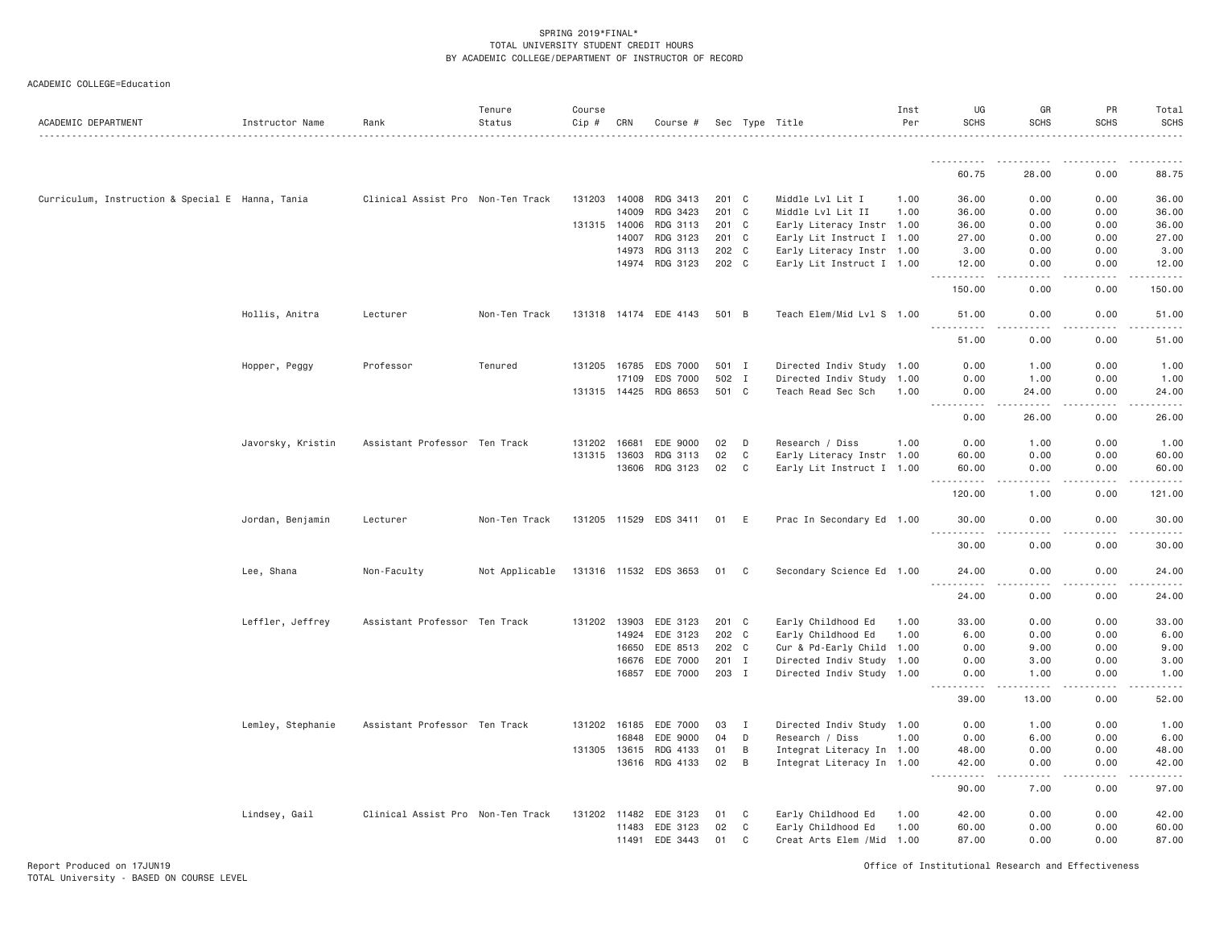| ACADEMIC DEPARTMENT                              | Instructor Name   | Rank                              | Tenure<br>Status | Course<br>Cip # | CRN   | Course #              |       |                | Sec Type Title             | Inst<br>Per | UG<br><b>SCHS</b>              | GR<br><b>SCHS</b>    | PR<br><b>SCHS</b> | Total<br>SCHS |
|--------------------------------------------------|-------------------|-----------------------------------|------------------|-----------------|-------|-----------------------|-------|----------------|----------------------------|-------------|--------------------------------|----------------------|-------------------|---------------|
|                                                  |                   |                                   |                  |                 |       |                       |       |                |                            |             |                                |                      |                   |               |
|                                                  |                   |                                   |                  |                 |       |                       |       |                |                            |             | <u>.</u><br>60.75              | 28.00                | 0.00              | 88.75         |
| Curriculum, Instruction & Special E Hanna, Tania |                   | Clinical Assist Pro Non-Ten Track |                  | 131203 14008    |       | RDG 3413              | 201 C |                | Middle Lvl Lit I           | 1.00        | 36.00                          | 0.00                 | 0.00              | 36.00         |
|                                                  |                   |                                   |                  |                 | 14009 | RDG 3423              | 201   | $\mathbf{C}$   | Middle Lvl Lit II          | 1.00        | 36.00                          | 0.00                 | 0.00              | 36.00         |
|                                                  |                   |                                   |                  | 131315 14006    |       | RDG 3113              | 201 C |                | Early Literacy Instr 1.00  |             | 36.00                          | 0.00                 | 0.00              | 36.00         |
|                                                  |                   |                                   |                  |                 | 14007 | RDG 3123              | 201 C |                | Early Lit Instruct I 1.00  |             | 27.00                          | 0.00                 | 0.00              | 27.00         |
|                                                  |                   |                                   |                  |                 | 14973 | RDG 3113              | 202 C |                | Early Literacy Instr 1.00  |             | 3.00                           | 0.00                 | 0.00              | 3.00          |
|                                                  |                   |                                   |                  |                 |       | 14974 RDG 3123        | 202 C |                | Early Lit Instruct I 1.00  |             | 12.00<br>.                     | 0.00<br>. <u>. .</u> | 0.00<br>.         | 12.00<br>.    |
|                                                  |                   |                                   |                  |                 |       |                       |       |                |                            |             | 150.00                         | 0.00                 | 0.00              | 150.00        |
|                                                  | Hollis, Anitra    | Lecturer                          | Non-Ten Track    |                 |       | 131318 14174 EDE 4143 | 501 B |                | Teach Elem/Mid Lvl S 1.00  |             | 51.00<br><u>.</u>              | 0.00<br>.            | 0.00<br>.         | 51.00<br>.    |
|                                                  |                   |                                   |                  |                 |       |                       |       |                |                            |             | 51.00                          | 0.00                 | 0.00              | 51.00         |
|                                                  | Hopper, Peggy     | Professor                         | Tenured          | 131205          | 16785 | EDS 7000              | 501 I |                | Directed Indiv Study 1.00  |             | 0.00                           | 1.00                 | 0.00              | 1.00          |
|                                                  |                   |                                   |                  |                 | 17109 | EDS 7000              | 502 I |                | Directed Indiv Study 1.00  |             | 0.00                           | 1.00                 | 0.00              | 1.00          |
|                                                  |                   |                                   |                  | 131315 14425    |       | RDG 8653              | 501 C |                | Teach Read Sec Sch         | 1.00        | 0.00<br>.                      | 24.00<br>.           | 0.00<br>.         | 24.00<br>.    |
|                                                  |                   |                                   |                  |                 |       |                       |       |                |                            |             | 0.00                           | 26.00                | 0.00              | 26.00         |
|                                                  | Javorsky, Kristin | Assistant Professor Ten Track     |                  | 131202          | 16681 | EDE 9000              | 02    | D              | Research / Diss            | 1.00        | 0.00                           | 1.00                 | 0.00              | 1.00          |
|                                                  |                   |                                   |                  | 131315 13603    |       | RDG 3113              | 02    | C              | Early Literacy Instr 1.00  |             | 60.00                          | 0.00                 | 0.00              | 60.00         |
|                                                  |                   |                                   |                  |                 | 13606 | RDG 3123              | 02    | C              | Early Lit Instruct I 1.00  |             | 60.00                          | 0.00                 | 0.00              | 60.00         |
|                                                  |                   |                                   |                  |                 |       |                       |       |                |                            |             | 120.00                         | 1.00                 | 0.00              | 121.00        |
|                                                  | Jordan, Benjamin  | Lecturer                          | Non-Ten Track    |                 |       | 131205 11529 EDS 3411 | 01    | E              | Prac In Secondary Ed 1.00  |             | 30.00                          | 0.00                 | 0.00              | 30.00         |
|                                                  |                   |                                   |                  |                 |       |                       |       |                |                            |             | 30.00                          | 0.00                 | 0.00              | 30.00         |
|                                                  | Lee, Shana        | Non-Faculty                       | Not Applicable   |                 |       | 131316 11532 EDS 3653 | 01    | C              | Secondary Science Ed 1.00  |             | 24.00<br><u>.</u>              | 0.00                 | 0.00              | 24.00         |
|                                                  |                   |                                   |                  |                 |       |                       |       |                |                            |             | 24.00                          | 0.00                 | 0.00              | 24.00         |
|                                                  | Leffler, Jeffrey  | Assistant Professor Ten Track     |                  | 131202 13903    |       | EDE 3123              | 201 C |                | Early Childhood Ed         | 1.00        | 33.00                          | 0.00                 | 0.00              | 33.00         |
|                                                  |                   |                                   |                  |                 | 14924 | EDE 3123              | 202 C |                | Early Childhood Ed         | 1.00        | 6.00                           | 0.00                 | 0.00              | 6.00          |
|                                                  |                   |                                   |                  |                 | 16650 | EDE 8513              | 202 C |                | Cur & Pd-Early Child 1.00  |             | 0.00                           | 9.00                 | 0.00              | 9.00          |
|                                                  |                   |                                   |                  |                 | 16676 | EDE 7000              | 201 I |                | Directed Indiv Study 1.00  |             | 0.00                           | 3.00                 | 0.00              | 3.00          |
|                                                  |                   |                                   |                  |                 |       | 16857 EDE 7000        | 203 I |                | Directed Indiv Study 1.00  |             | 0.00<br><u>.</u>               | 1.00<br>.            | 0.00<br>.         | 1.00<br>.     |
|                                                  |                   |                                   |                  |                 |       |                       |       |                |                            |             | 39.00                          | 13.00                | 0.00              | 52.00         |
|                                                  | Lemley, Stephanie | Assistant Professor Ten Track     |                  | 131202 16185    |       | EDE 7000              | 03    | I              | Directed Indiv Study 1.00  |             | 0.00                           | 1.00                 | 0.00              | 1.00          |
|                                                  |                   |                                   |                  |                 | 16848 | EDE 9000              | 04    | D              | Research / Diss            | 1.00        | 0.00                           | 6.00                 | 0.00              | 6.00          |
|                                                  |                   |                                   |                  | 131305 13615    |       | RDG 4133              | 01    | B              | Integrat Literacy In 1.00  |             | 48.00                          | 0.00                 | 0.00              | 48.00         |
|                                                  |                   |                                   |                  |                 | 13616 | RDG 4133              | 02    | $\overline{B}$ | Integrat Literacy In 1.00  |             | 42.00<br>. <b>.</b><br>$- - -$ | 0.00<br>.            | 0.00<br>.         | 42.00<br>.    |
|                                                  |                   |                                   |                  |                 |       |                       |       |                |                            |             | 90.00                          | 7.00                 | 0.00              | 97.00         |
|                                                  | Lindsey, Gail     | Clinical Assist Pro Non-Ten Track |                  | 131202 11482    |       | EDE 3123              | 01    | C              | Early Childhood Ed         | 1.00        | 42.00                          | 0.00                 | 0.00              | 42.00         |
|                                                  |                   |                                   |                  |                 | 11483 | EDE 3123              | 02    | C              | Early Childhood Ed         | 1.00        | 60.00                          | 0.00                 | 0.00              | 60.00         |
|                                                  |                   |                                   |                  |                 |       | 11491 EDE 3443        | 01    | C              | Creat Arts Elem / Mid 1.00 |             | 87.00                          | 0.00                 | 0.00              | 87.00         |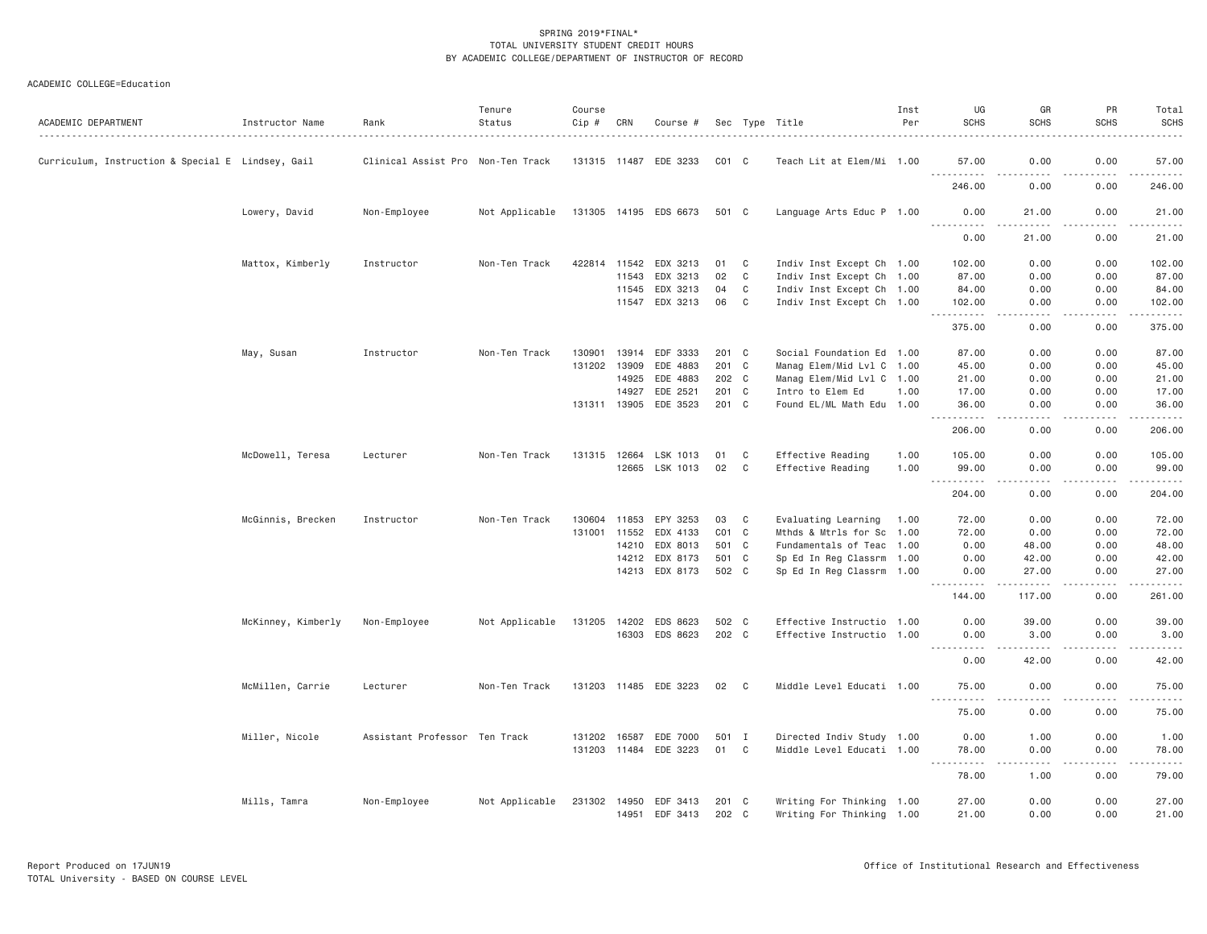| ACADEMIC DEPARTMENT                               | Instructor Name    | Rank                              | Tenure<br>Status | Course<br>$Cip \#$ | CRN   | Course #              |                 |              | Sec Type Title            | Inst<br>Per | UG<br><b>SCHS</b>                                                                                                                                             | GR<br><b>SCHS</b>                                                                                                                                                                         | PR<br><b>SCHS</b> | Total<br><b>SCHS</b>                                                                                                                                                                     |
|---------------------------------------------------|--------------------|-----------------------------------|------------------|--------------------|-------|-----------------------|-----------------|--------------|---------------------------|-------------|---------------------------------------------------------------------------------------------------------------------------------------------------------------|-------------------------------------------------------------------------------------------------------------------------------------------------------------------------------------------|-------------------|------------------------------------------------------------------------------------------------------------------------------------------------------------------------------------------|
| Curriculum, Instruction & Special E Lindsey, Gail |                    | Clinical Assist Pro Non-Ten Track |                  |                    |       | 131315 11487 EDE 3233 | $CO1$ $C$       |              | Teach Lit at Elem/Mi 1.00 |             | 57.00                                                                                                                                                         | 0.00                                                                                                                                                                                      | 0.00              | 57.00                                                                                                                                                                                    |
|                                                   |                    |                                   |                  |                    |       |                       |                 |              |                           |             | <b></b><br>246.00                                                                                                                                             | $- - - -$<br>0.00                                                                                                                                                                         | د د د د<br>0.00   | .<br>246.00                                                                                                                                                                              |
|                                                   | Lowery, David      | Non-Employee                      | Not Applicable   |                    |       | 131305 14195 EDS 6673 | 501 C           |              | Language Arts Educ P 1.00 |             | 0.00                                                                                                                                                          | 21.00<br>.                                                                                                                                                                                | 0.00<br>.         | 21.00<br>.                                                                                                                                                                               |
|                                                   |                    |                                   |                  |                    |       |                       |                 |              |                           |             | 0.00                                                                                                                                                          | 21.00                                                                                                                                                                                     | 0.00              | 21.00                                                                                                                                                                                    |
|                                                   | Mattox, Kimberly   | Instructor                        | Non-Ten Track    | 422814             | 11542 | EDX 3213              | 01              | C            | Indiv Inst Except Ch 1.00 |             | 102.00                                                                                                                                                        | 0.00                                                                                                                                                                                      | 0.00              | 102.00                                                                                                                                                                                   |
|                                                   |                    |                                   |                  |                    | 11543 | EDX 3213              | 02              | C            | Indiv Inst Except Ch 1.00 |             | 87.00                                                                                                                                                         | 0.00                                                                                                                                                                                      | 0.00              | 87.00                                                                                                                                                                                    |
|                                                   |                    |                                   |                  |                    | 11545 | EDX 3213              | 04              | C            | Indiv Inst Except Ch 1.00 |             | 84.00                                                                                                                                                         | 0.00                                                                                                                                                                                      | 0.00              | 84.00                                                                                                                                                                                    |
|                                                   |                    |                                   |                  |                    |       | 11547 EDX 3213        | 06              | C            | Indiv Inst Except Ch 1.00 |             | 102.00                                                                                                                                                        | 0.00                                                                                                                                                                                      | 0.00              | 102.00                                                                                                                                                                                   |
|                                                   |                    |                                   |                  |                    |       |                       |                 |              |                           |             | $- - - - - -$<br>375.00                                                                                                                                       | $\frac{1}{2}$<br>0.00                                                                                                                                                                     | .<br>0.00         | .<br>375.00                                                                                                                                                                              |
|                                                   | May, Susan         | Instructor                        | Non-Ten Track    | 130901             | 13914 | EDF 3333              | 201 C           |              | Social Foundation Ed 1.00 |             | 87.00                                                                                                                                                         | 0.00                                                                                                                                                                                      | 0.00              | 87.00                                                                                                                                                                                    |
|                                                   |                    |                                   |                  | 131202 13909       |       | EDE 4883              | 201 C           |              | Manag Elem/Mid Lvl C 1.00 |             | 45.00                                                                                                                                                         | 0.00                                                                                                                                                                                      | 0.00              | 45.00                                                                                                                                                                                    |
|                                                   |                    |                                   |                  |                    | 14925 | EDE 4883              | 202 C           |              | Manag Elem/Mid Lvl C 1.00 |             | 21.00                                                                                                                                                         | 0.00                                                                                                                                                                                      | 0.00              | 21.00                                                                                                                                                                                    |
|                                                   |                    |                                   |                  |                    | 14927 | EDE 2521              | 201 C           |              | Intro to Elem Ed          | 1.00        | 17.00                                                                                                                                                         | 0.00                                                                                                                                                                                      | 0.00              | 17.00                                                                                                                                                                                    |
|                                                   |                    |                                   |                  | 131311 13905       |       | EDE 3523              | 201 C           |              | Found EL/ML Math Edu 1.00 |             | 36.00                                                                                                                                                         | 0.00                                                                                                                                                                                      | 0.00              | 36.00                                                                                                                                                                                    |
|                                                   |                    |                                   |                  |                    |       |                       |                 |              |                           |             | .<br>206.00                                                                                                                                                   | $\sim$ $\sim$ $\sim$ $\sim$<br>0.00                                                                                                                                                       | .<br>0.00         | .<br>206.00                                                                                                                                                                              |
|                                                   | McDowell, Teresa   | Lecturer                          | Non-Ten Track    | 131315 12664       |       | LSK 1013              | 01              | C            | Effective Reading         | 1.00        | 105.00                                                                                                                                                        | 0.00                                                                                                                                                                                      | 0.00              | 105.00                                                                                                                                                                                   |
|                                                   |                    |                                   |                  |                    | 12665 | LSK 1013              | 02              | C            | Effective Reading         | 1.00        | 99.00<br><u>.</u>                                                                                                                                             | 0.00<br>.                                                                                                                                                                                 | 0.00<br>.         | 99.00<br>$\frac{1}{2} \left( \frac{1}{2} \right) \left( \frac{1}{2} \right) \left( \frac{1}{2} \right) \left( \frac{1}{2} \right) \left( \frac{1}{2} \right) \left( \frac{1}{2} \right)$ |
|                                                   |                    |                                   |                  |                    |       |                       |                 |              |                           |             | 204.00                                                                                                                                                        | 0.00                                                                                                                                                                                      | 0.00              | 204.00                                                                                                                                                                                   |
|                                                   | McGinnis, Brecken  | Instructor                        | Non-Ten Track    | 130604             | 11853 | EPY 3253              | 03              | C            | Evaluating Learning 1.00  |             | 72.00                                                                                                                                                         | 0.00                                                                                                                                                                                      | 0.00              | 72.00                                                                                                                                                                                    |
|                                                   |                    |                                   |                  | 131001             | 11552 | EDX 4133              | CO <sub>1</sub> | C            | Mthds & Mtrls for Sc 1.00 |             | 72.00                                                                                                                                                         | 0.00                                                                                                                                                                                      | 0.00              | 72.00                                                                                                                                                                                    |
|                                                   |                    |                                   |                  |                    | 14210 | EDX 8013              | 501 C           |              | Fundamentals of Teac 1.00 |             | 0.00                                                                                                                                                          | 48.00                                                                                                                                                                                     | 0.00              | 48.00                                                                                                                                                                                    |
|                                                   |                    |                                   |                  |                    | 14212 | EDX 8173              | 501 C           |              | Sp Ed In Reg Classrm 1.00 |             | 0.00                                                                                                                                                          | 42.00                                                                                                                                                                                     | 0.00              | 42.00                                                                                                                                                                                    |
|                                                   |                    |                                   |                  |                    | 14213 | EDX 8173              | 502 C           |              | Sp Ed In Reg Classrm 1.00 |             | 0.00                                                                                                                                                          | 27.00                                                                                                                                                                                     | 0.00              | 27.00                                                                                                                                                                                    |
|                                                   |                    |                                   |                  |                    |       |                       |                 |              |                           |             | <b></b><br>144.00                                                                                                                                             | $\frac{1}{2} \left( \frac{1}{2} \right) \left( \frac{1}{2} \right) \left( \frac{1}{2} \right) \left( \frac{1}{2} \right) \left( \frac{1}{2} \right) \left( \frac{1}{2} \right)$<br>117.00 | .<br>0.00         | .<br>261.00                                                                                                                                                                              |
|                                                   | McKinney, Kimberly | Non-Employee                      | Not Applicable   | 131205             | 14202 | EDS 8623              | 502 C           |              | Effective Instructio 1.00 |             | 0.00                                                                                                                                                          | 39.00                                                                                                                                                                                     | 0.00              | 39.00                                                                                                                                                                                    |
|                                                   |                    |                                   |                  |                    |       | 16303 EDS 8623        | 202 C           |              | Effective Instructio 1.00 |             | 0.00                                                                                                                                                          | 3,00                                                                                                                                                                                      | 0.00              | 3.00                                                                                                                                                                                     |
|                                                   |                    |                                   |                  |                    |       |                       |                 |              |                           |             | .<br>0.00                                                                                                                                                     | $\sim$ $\sim$ $\sim$ $\sim$ $\sim$<br>42.00                                                                                                                                               | -----<br>0.00     | .<br>42.00                                                                                                                                                                               |
|                                                   | McMillen, Carrie   | Lecturer                          | Non-Ten Track    |                    |       | 131203 11485 EDE 3223 | 02              | $\mathbf{C}$ | Middle Level Educati 1.00 |             | 75.00                                                                                                                                                         | 0.00                                                                                                                                                                                      | 0.00<br>$- - - -$ | 75.00<br>.                                                                                                                                                                               |
|                                                   |                    |                                   |                  |                    |       |                       |                 |              |                           |             | 75.00                                                                                                                                                         | 0.00                                                                                                                                                                                      | 0.00              | 75.00                                                                                                                                                                                    |
|                                                   | Miller, Nicole     | Assistant Professor Ten Track     |                  | 131202             | 16587 | EDE 7000              | 501 I           |              | Directed Indiv Study 1.00 |             | 0.00                                                                                                                                                          | 1.00                                                                                                                                                                                      | 0.00              | 1.00                                                                                                                                                                                     |
|                                                   |                    |                                   |                  |                    |       | 131203 11484 EDE 3223 | 01 C            |              | Middle Level Educati 1.00 |             | 78.00                                                                                                                                                         | 0.00                                                                                                                                                                                      | 0.00              | 78.00                                                                                                                                                                                    |
|                                                   |                    |                                   |                  |                    |       |                       |                 |              |                           |             | $\frac{1}{2} \left( \frac{1}{2} \right) \left( \frac{1}{2} \right) \left( \frac{1}{2} \right) \left( \frac{1}{2} \right) \left( \frac{1}{2} \right)$<br>78.00 | $\frac{1}{2} \left( \frac{1}{2} \right) \left( \frac{1}{2} \right) \left( \frac{1}{2} \right) \left( \frac{1}{2} \right)$<br>1.00                                                         | .<br>0.00         | .<br>79.00                                                                                                                                                                               |
|                                                   | Mills, Tamra       | Non-Employee                      | Not Applicable   | 231302 14950       |       | EDF 3413              | 201 C           |              | Writing For Thinking 1.00 |             | 27.00                                                                                                                                                         | 0.00                                                                                                                                                                                      | 0.00              | 27.00                                                                                                                                                                                    |
|                                                   |                    |                                   |                  |                    | 14951 | EDF 3413              | 202 C           |              | Writing For Thinking 1.00 |             | 21.00                                                                                                                                                         | 0.00                                                                                                                                                                                      | 0.00              | 21.00                                                                                                                                                                                    |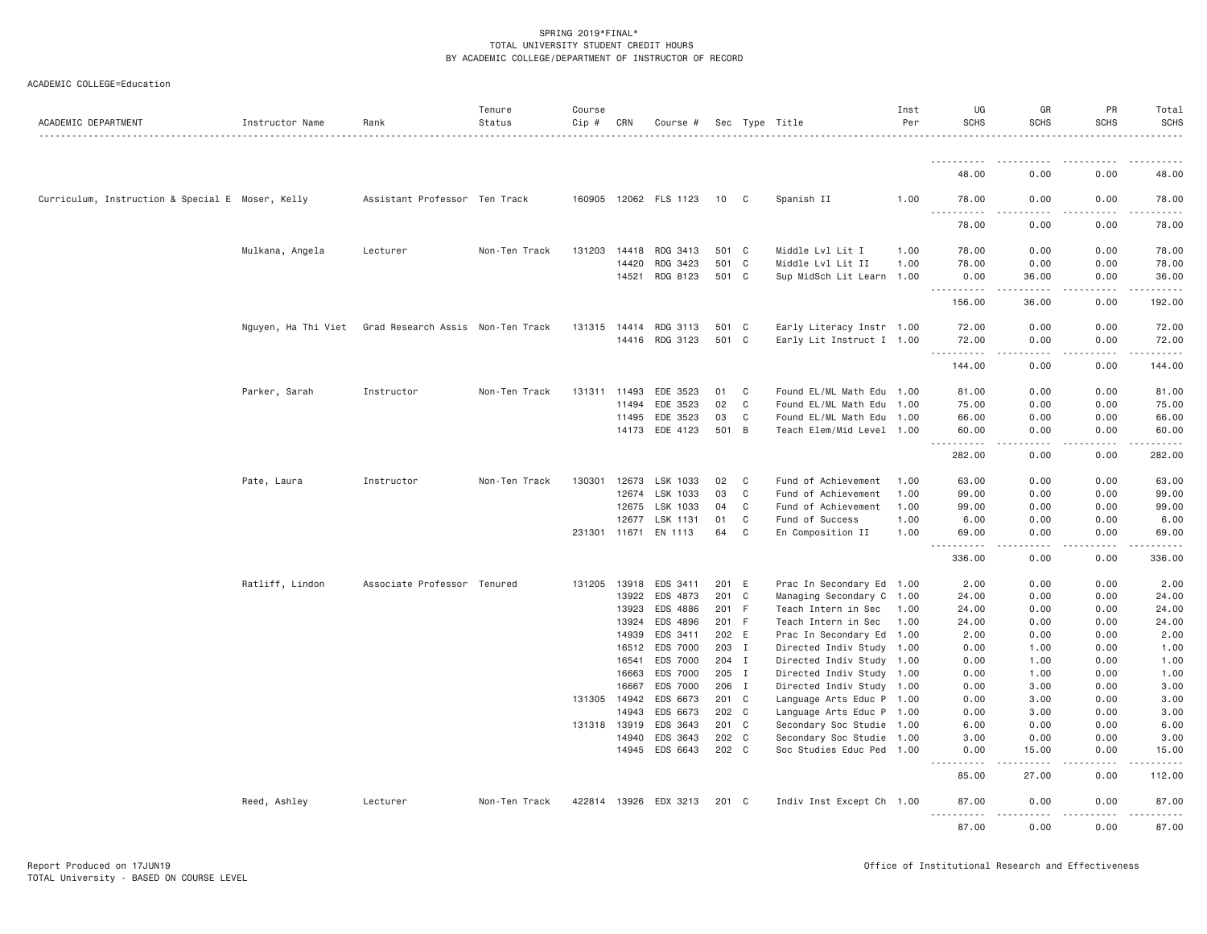| ACADEMIC DEPARTMENT                              | Instructor Name | Rank                                                  | Tenure<br>Status | Course<br>Cip # | CRN                   | Course #              |                |              | Sec Type Title                                         | Inst<br>Per | UG<br><b>SCHS</b>                                             | GR<br><b>SCHS</b>                                                                                                                                             | PR<br><b>SCHS</b> | Total<br><b>SCHS</b>                                                                                                                                                                      |
|--------------------------------------------------|-----------------|-------------------------------------------------------|------------------|-----------------|-----------------------|-----------------------|----------------|--------------|--------------------------------------------------------|-------------|---------------------------------------------------------------|---------------------------------------------------------------------------------------------------------------------------------------------------------------|-------------------|-------------------------------------------------------------------------------------------------------------------------------------------------------------------------------------------|
|                                                  |                 |                                                       |                  |                 |                       |                       |                |              |                                                        |             |                                                               |                                                                                                                                                               |                   |                                                                                                                                                                                           |
|                                                  |                 |                                                       |                  |                 |                       |                       |                |              |                                                        |             | 48.00                                                         | 0.00                                                                                                                                                          | 0.00              | 48.00                                                                                                                                                                                     |
| Curriculum, Instruction & Special E Moser, Kelly |                 | Assistant Professor Ten Track                         |                  |                 |                       | 160905 12062 FLS 1123 | 10             | $\mathbf{C}$ | Spanish II                                             | 1.00        | 78.00<br>$\omega_{\rm{c}}$ and $\omega_{\rm{c}}$<br>1.1.1.1.1 | 0.00                                                                                                                                                          | 0.00              | 78.00                                                                                                                                                                                     |
|                                                  |                 |                                                       |                  |                 |                       |                       |                |              |                                                        |             | 78.00                                                         | 0.00                                                                                                                                                          | 0.00              | 78.00                                                                                                                                                                                     |
|                                                  | Mulkana, Angela | Lecturer                                              | Non-Ten Track    |                 | 131203 14418          | RDG 3413              | 501 C          |              | Middle Lvl Lit I                                       | 1.00        | 78.00                                                         | 0.00                                                                                                                                                          | 0.00              | 78.00                                                                                                                                                                                     |
|                                                  |                 |                                                       |                  |                 | 14420                 | RDG 3423              | 501 C          |              | Middle Lvl Lit II                                      | 1.00        | 78.00                                                         | 0.00                                                                                                                                                          | 0.00              | 78.00                                                                                                                                                                                     |
|                                                  |                 |                                                       |                  |                 | 14521                 | RDG 8123              | 501 C          |              | Sup MidSch Lit Learn 1.00                              |             | 0.00<br>----------                                            | 36.00<br>$- - - - -$                                                                                                                                          | 0.00              | 36.00<br>.                                                                                                                                                                                |
|                                                  |                 |                                                       |                  |                 |                       |                       |                |              |                                                        |             | 156.00                                                        | 36.00                                                                                                                                                         | 0.00              | 192.00                                                                                                                                                                                    |
|                                                  |                 | Nguyen, Ha Thi Viet Grad Research Assis Non-Ten Track |                  |                 |                       | 131315 14414 RDG 3113 | 501 C          |              | Early Literacy Instr 1.00                              |             | 72.00                                                         | 0.00                                                                                                                                                          | 0.00              | 72.00                                                                                                                                                                                     |
|                                                  |                 |                                                       |                  |                 |                       | 14416 RDG 3123        | 501 C          |              | Early Lit Instruct I 1.00                              |             | 72.00                                                         | 0.00                                                                                                                                                          | 0.00              | 72.00                                                                                                                                                                                     |
|                                                  |                 |                                                       |                  |                 |                       |                       |                |              |                                                        |             | <u>.</u><br>144.00                                            | .<br>0.00                                                                                                                                                     | .<br>0.00         | .<br>144.00                                                                                                                                                                               |
|                                                  | Parker, Sarah   | Instructor                                            | Non-Ten Track    | 131311          | 11493                 | EDE 3523              | 01             | C            | Found EL/ML Math Edu 1.00                              |             | 81.00                                                         | 0.00                                                                                                                                                          | 0.00              | 81.00                                                                                                                                                                                     |
|                                                  |                 |                                                       |                  |                 | 11494                 | EDE 3523              | 02             | C            | Found EL/ML Math Edu 1.00                              |             | 75.00                                                         | 0.00                                                                                                                                                          | 0.00              | 75.00                                                                                                                                                                                     |
|                                                  |                 |                                                       |                  |                 | 11495                 | EDE 3523              | 03             | C            | Found EL/ML Math Edu 1.00                              |             | 66.00                                                         | 0.00                                                                                                                                                          | 0.00              | 66.00                                                                                                                                                                                     |
|                                                  |                 |                                                       |                  |                 | 14173                 | EDE 4123              | 501 B          |              | Teach Elem/Mid Level 1.00                              |             | 60.00                                                         | 0.00                                                                                                                                                          | 0.00              | 60.00                                                                                                                                                                                     |
|                                                  |                 |                                                       |                  |                 |                       |                       |                |              |                                                        |             | <b><i><u>.</u></i></b><br>282.00                              | د د د د<br>0.00                                                                                                                                               | .<br>0.00         | .<br>282.00                                                                                                                                                                               |
|                                                  | Pate, Laura     | Instructor                                            | Non-Ten Track    | 130301          | 12673                 | LSK 1033              | 02             | $\mathbf{C}$ | Fund of Achievement                                    | 1.00        | 63.00                                                         | 0.00                                                                                                                                                          | 0.00              | 63.00                                                                                                                                                                                     |
|                                                  |                 |                                                       |                  |                 | 12674                 | LSK 1033              | 03             | C            | Fund of Achievement                                    | 1.00        | 99.00                                                         | 0.00                                                                                                                                                          | 0.00              | 99.00                                                                                                                                                                                     |
|                                                  |                 |                                                       |                  |                 | 12675                 | LSK 1033              | 04             | C            | Fund of Achievement                                    | 1.00        | 99.00                                                         | 0.00                                                                                                                                                          | 0.00              | 99.00                                                                                                                                                                                     |
|                                                  |                 |                                                       |                  |                 | 12677                 | LSK 1131              | 01             | C            | Fund of Success                                        | 1.00        | 6.00                                                          | 0.00                                                                                                                                                          | 0.00              | 6.00                                                                                                                                                                                      |
|                                                  |                 |                                                       |                  |                 |                       | 231301 11671 EN 1113  | 64             | C            | En Composition II                                      | 1.00        | 69.00<br>$- - - - - - -$                                      | 0.00<br>.                                                                                                                                                     | 0.00<br>.         | 69.00<br>.                                                                                                                                                                                |
|                                                  |                 |                                                       |                  |                 |                       |                       |                |              |                                                        |             | 336.00                                                        | 0.00                                                                                                                                                          | 0.00              | 336.00                                                                                                                                                                                    |
|                                                  | Ratliff, Lindon | Associate Professor Tenured                           |                  |                 |                       | 131205 13918 EDS 3411 | 201 E          |              | Prac In Secondary Ed 1.00                              |             | 2.00                                                          | 0.00                                                                                                                                                          | 0.00              | 2.00                                                                                                                                                                                      |
|                                                  |                 |                                                       |                  |                 | 13922                 | EDS 4873              | 201 C          |              | Managing Secondary C                                   | 1.00        | 24.00                                                         | 0.00                                                                                                                                                          | 0.00              | 24.00                                                                                                                                                                                     |
|                                                  |                 |                                                       |                  |                 | 13923                 | EDS 4886              | 201 F          |              | Teach Intern in Sec                                    | 1.00        | 24.00                                                         | 0.00                                                                                                                                                          | 0.00              | 24.00                                                                                                                                                                                     |
|                                                  |                 |                                                       |                  |                 | 13924                 | EDS 4896              | 201 F          |              | Teach Intern in Sec                                    | 1.00        | 24.00                                                         | 0.00                                                                                                                                                          | 0.00              | 24.00                                                                                                                                                                                     |
|                                                  |                 |                                                       |                  |                 | 14939                 | EDS 3411              | 202 E          |              | Prac In Secondary Ed 1.00                              |             | 2.00                                                          | 0.00                                                                                                                                                          | 0.00              | 2.00                                                                                                                                                                                      |
|                                                  |                 |                                                       |                  |                 |                       | 16512 EDS 7000        | 203 I          |              | Directed Indiv Study 1.00                              |             | 0.00                                                          | 1.00                                                                                                                                                          | 0.00              | 1.00                                                                                                                                                                                      |
|                                                  |                 |                                                       |                  |                 | 16541                 | EDS 7000              | 204 I          |              | Directed Indiv Study 1.00                              |             | 0.00                                                          | 1.00                                                                                                                                                          | 0.00              | 1.00                                                                                                                                                                                      |
|                                                  |                 |                                                       |                  |                 | 16663                 | EDS 7000              | 205 I          |              | Directed Indiv Study 1.00                              |             | 0.00                                                          | 1.00                                                                                                                                                          | 0.00              | 1.00                                                                                                                                                                                      |
|                                                  |                 |                                                       |                  |                 | 16667                 | EDS 7000              | 206 I          |              | Directed Indiv Study 1.00                              |             | 0.00                                                          | 3,00                                                                                                                                                          | 0.00              | 3.00                                                                                                                                                                                      |
|                                                  |                 |                                                       |                  |                 | 131305 14942<br>14943 | EDS 6673<br>EDS 6673  | 201 C<br>202 C |              | Language Arts Educ P 1.00                              |             | 0.00<br>0.00                                                  | 3.00<br>3.00                                                                                                                                                  | 0.00<br>0.00      | 3.00<br>3.00                                                                                                                                                                              |
|                                                  |                 |                                                       |                  |                 | 131318 13919          | EDS 3643              | 201 C          |              | Language Arts Educ P 1.00<br>Secondary Soc Studie 1.00 |             | 6.00                                                          | 0.00                                                                                                                                                          | 0.00              | 6.00                                                                                                                                                                                      |
|                                                  |                 |                                                       |                  |                 | 14940                 | EDS 3643              | 202 C          |              | Secondary Soc Studie 1.00                              |             | 3.00                                                          | 0.00                                                                                                                                                          | 0.00              | 3.00                                                                                                                                                                                      |
|                                                  |                 |                                                       |                  |                 |                       | 14945 EDS 6643        | 202 C          |              | Soc Studies Educ Ped 1.00                              |             | 0.00                                                          | 15.00                                                                                                                                                         | 0.00              | 15.00                                                                                                                                                                                     |
|                                                  |                 |                                                       |                  |                 |                       |                       |                |              |                                                        |             | $- - -$<br>.<br>85.00                                         | $\frac{1}{2} \left( \frac{1}{2} \right) \left( \frac{1}{2} \right) \left( \frac{1}{2} \right) \left( \frac{1}{2} \right) \left( \frac{1}{2} \right)$<br>27.00 | -----<br>0.00     | $\frac{1}{2} \left( \frac{1}{2} \right) \left( \frac{1}{2} \right) \left( \frac{1}{2} \right) \left( \frac{1}{2} \right) \left( \frac{1}{2} \right) \left( \frac{1}{2} \right)$<br>112.00 |
|                                                  | Reed, Ashley    | Lecturer                                              | Non-Ten Track    |                 |                       | 422814 13926 EDX 3213 | 201 C          |              | Indiv Inst Except Ch 1.00                              |             | 87.00                                                         | 0.00                                                                                                                                                          | 0.00              | 87.00                                                                                                                                                                                     |
|                                                  |                 |                                                       |                  |                 |                       |                       |                |              |                                                        |             | .<br>87.00                                                    | .<br>0.00                                                                                                                                                     | -----<br>0.00     | <u>.</u><br>87.00                                                                                                                                                                         |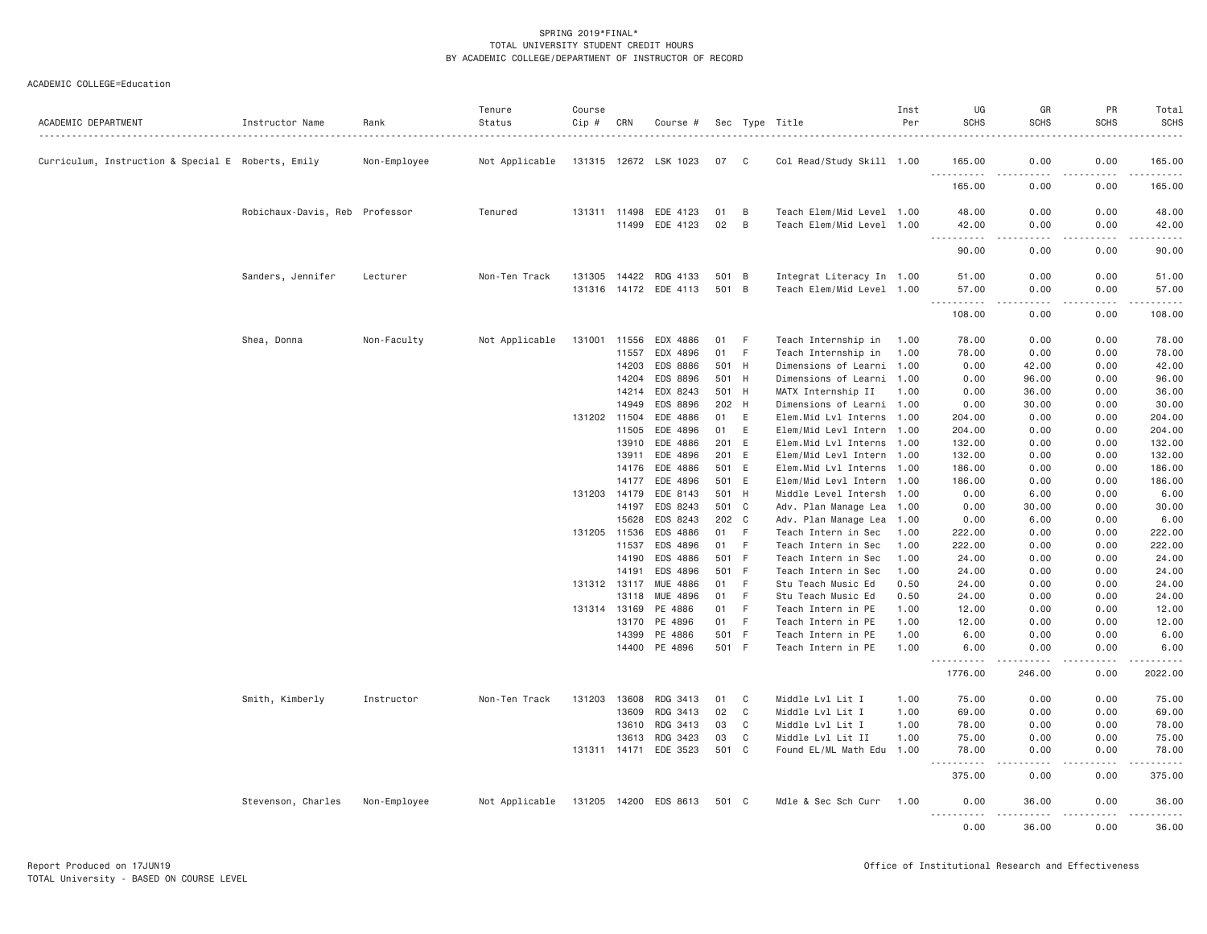| ACADEMIC DEPARTMENT                                | Instructor Name                | Rank         | Tenure<br>Status | Course<br>Cip # | CRN            | Course #                          |                |                          | Sec Type Title                                         | Inst<br>Per  | UG<br><b>SCHS</b>     | GR<br><b>SCHS</b> | PR<br><b>SCHS</b>                                                                                                                                            | Total<br><b>SCHS</b> |
|----------------------------------------------------|--------------------------------|--------------|------------------|-----------------|----------------|-----------------------------------|----------------|--------------------------|--------------------------------------------------------|--------------|-----------------------|-------------------|--------------------------------------------------------------------------------------------------------------------------------------------------------------|----------------------|
| Curriculum, Instruction & Special E Roberts, Emily |                                | Non-Employee | Not Applicable   |                 |                | 131315 12672 LSK 1023             | 07 C           |                          | Col Read/Study Skill 1.00                              |              | 165.00                | 0.00              | 0.00                                                                                                                                                         | 165.00               |
|                                                    |                                |              |                  |                 |                |                                   |                |                          |                                                        |              | .<br>165.00           | .<br>.<br>0.00    | $\frac{1}{2} \left( \frac{1}{2} \right) \left( \frac{1}{2} \right) \left( \frac{1}{2} \right) \left( \frac{1}{2} \right) \left( \frac{1}{2} \right)$<br>0.00 | .<br>165.00          |
|                                                    | Robichaux-Davis, Reb Professor |              | Tenured          |                 | 131311 11498   | EDE 4123                          | 01             | B                        | Teach Elem/Mid Level 1.00                              |              | 48.00                 | 0.00              | 0.00                                                                                                                                                         | 48.00                |
|                                                    |                                |              |                  |                 | 11499          | EDE 4123                          | 02             | B                        | Teach Elem/Mid Level 1.00                              |              | 42.00<br><u>.</u>     | 0.00<br>.         | 0.00<br>$\mathbf{1} \cdot \mathbf{1} \cdot \mathbf{1} \cdot \mathbf{1} \cdot \mathbf{1}$                                                                     | 42.00<br>.           |
|                                                    |                                |              |                  |                 |                |                                   |                |                          |                                                        |              | 90.00                 | 0.00              | 0.00                                                                                                                                                         | 90.00                |
|                                                    | Sanders, Jennifer              | Lecturer     | Non-Ten Track    |                 | 131305 14422   | RDG 4133<br>131316 14172 EDE 4113 | 501 B<br>501 B |                          | Integrat Literacy In 1.00<br>Teach Elem/Mid Level 1.00 |              | 51.00<br>57.00        | 0.00<br>0.00      | 0.00<br>0.00                                                                                                                                                 | 51.00<br>57.00       |
|                                                    |                                |              |                  |                 |                |                                   |                |                          |                                                        |              | .                     | د د د د           | .                                                                                                                                                            | .                    |
|                                                    |                                |              |                  |                 |                |                                   |                |                          |                                                        |              | 108.00                | 0.00              | 0.00                                                                                                                                                         | 108.00               |
|                                                    | Shea, Donna                    | Non-Faculty  | Not Applicable   | 131001          | 11556          | EDX 4886                          | 01             | - F                      | Teach Internship in                                    | 1.00         | 78.00                 | 0.00              | 0.00                                                                                                                                                         | 78.00                |
|                                                    |                                |              |                  |                 | 11557<br>14203 | EDX 4896<br>EDS 8886              | 01<br>501 H    | -F                       | Teach Internship in<br>Dimensions of Learni 1.00       | 1.00         | 78.00<br>0.00         | 0.00<br>42.00     | 0.00<br>0.00                                                                                                                                                 | 78.00                |
|                                                    |                                |              |                  |                 | 14204          | EDS 8896                          | 501 H          |                          | Dimensions of Learni 1.00                              |              | 0.00                  | 96.00             | 0.00                                                                                                                                                         | 42.00<br>96.00       |
|                                                    |                                |              |                  |                 | 14214          | EDX 8243                          | 501            | H                        | MATX Internship II                                     | 1.00         | 0.00                  | 36.00             | 0.00                                                                                                                                                         | 36.00                |
|                                                    |                                |              |                  |                 | 14949          | EDS 8896                          | 202            | H                        | Dimensions of Learni 1.00                              |              | 0.00                  | 30.00             | 0.00                                                                                                                                                         | 30.00                |
|                                                    |                                |              |                  |                 | 131202 11504   | EDE 4886                          | 01             | E                        | Elem.Mid Lvl Interns 1.00                              |              | 204.00                | 0.00              | 0.00                                                                                                                                                         | 204.00               |
|                                                    |                                |              |                  |                 | 11505          | EDE 4896                          | 01             | Ε                        | Elem/Mid Levl Intern 1.00                              |              | 204.00                | 0.00              | 0.00                                                                                                                                                         | 204.00               |
|                                                    |                                |              |                  |                 | 13910          | EDE 4886                          | 201            | E                        | Elem.Mid Lvl Interns 1.00                              |              | 132.00                | 0.00              | 0.00                                                                                                                                                         | 132.00               |
|                                                    |                                |              |                  |                 | 13911          | EDE 4896                          | 201 E          |                          | Elem/Mid Levl Intern 1.00                              |              | 132.00                | 0.00              | 0.00                                                                                                                                                         | 132.00               |
|                                                    |                                |              |                  |                 | 14176          | EDE 4886                          | 501            | E                        | Elem.Mid Lvl Interns 1.00                              |              | 186.00                | 0.00              | 0.00                                                                                                                                                         | 186.00               |
|                                                    |                                |              |                  |                 | 14177          | EDE 4896                          | 501 E          |                          | Elem/Mid Levl Intern 1.00                              |              | 186.00                | 0.00              | 0.00                                                                                                                                                         | 186.00               |
|                                                    |                                |              |                  |                 | 131203 14179   | EDE 8143                          | 501 H          |                          | Middle Level Intersh 1.00                              |              | 0.00                  | 6.00              | 0.00                                                                                                                                                         | 6.00                 |
|                                                    |                                |              |                  |                 | 14197          | EDS 8243                          | 501 C          |                          | Adv. Plan Manage Lea 1.00                              |              | 0.00                  | 30.00             | 0.00                                                                                                                                                         | 30.00                |
|                                                    |                                |              |                  |                 | 15628          | EDS 8243                          | 202 C          |                          | Adv. Plan Manage Lea                                   | 1.00         | 0.00                  | 6.00              | 0.00                                                                                                                                                         | 6.00                 |
|                                                    |                                |              |                  |                 | 131205 11536   | EDS 4886                          | 01             | $\vert \mathsf{F} \vert$ | Teach Intern in Sec                                    | 1.00         | 222.00                | 0.00              | 0.00                                                                                                                                                         | 222.00               |
|                                                    |                                |              |                  |                 | 11537          | EDS 4896                          | 01             | F                        | Teach Intern in Sec                                    | 1.00         | 222.00                | 0.00              | 0.00                                                                                                                                                         | 222.00               |
|                                                    |                                |              |                  |                 | 14190          | EDS 4886                          | 501            | - F                      | Teach Intern in Sec                                    | 1.00         | 24.00                 | 0.00              | 0.00                                                                                                                                                         | 24.00                |
|                                                    |                                |              |                  |                 | 14191          | EDS 4896                          | 501 F          |                          | Teach Intern in Sec                                    | 1.00         | 24.00                 | 0.00              | 0.00                                                                                                                                                         | 24.00                |
|                                                    |                                |              |                  |                 | 131312 13117   | <b>MUE 4886</b>                   | 01             | F                        | Stu Teach Music Ed                                     | 0.50         | 24.00                 | 0.00              | 0.00                                                                                                                                                         | 24.00                |
|                                                    |                                |              |                  |                 | 13118          | MUE 4896                          | 01             | F                        | Stu Teach Music Ed                                     | 0.50         | 24.00                 | 0.00              | 0.00                                                                                                                                                         | 24.00                |
|                                                    |                                |              |                  |                 | 131314 13169   | PE 4886                           | 01             | F.                       | Teach Intern in PE                                     | 1.00         | 12.00                 | 0.00              | 0.00                                                                                                                                                         | 12.00                |
|                                                    |                                |              |                  |                 | 13170          | PE 4896                           | 01             | F                        | Teach Intern in PE                                     | 1.00         | 12.00                 | 0.00              | 0.00                                                                                                                                                         | 12.00                |
|                                                    |                                |              |                  |                 | 14399<br>14400 | PE 4886<br>PE 4896                | 501<br>501 F   | - F                      | Teach Intern in PE<br>Teach Intern in PE               | 1.00<br>1,00 | 6.00<br>6.00          | 0.00<br>0.00      | 0.00<br>0.00                                                                                                                                                 | 6.00<br>6.00         |
|                                                    |                                |              |                  |                 |                |                                   |                |                          |                                                        |              | .<br>1776.00          | 246.00            | 0.00                                                                                                                                                         | .<br>2022.00         |
|                                                    | Smith, Kimberly                | Instructor   | Non-Ten Track    | 131203          | 13608          | RDG 3413                          | 01             | C                        | Middle Lvl Lit I                                       | 1.00         | 75.00                 | 0.00              | 0.00                                                                                                                                                         | 75.00                |
|                                                    |                                |              |                  |                 | 13609          | RDG 3413                          | 02             | C                        | Middle Lvl Lit I                                       | 1.00         | 69.00                 | 0.00              | 0.00                                                                                                                                                         | 69.00                |
|                                                    |                                |              |                  |                 | 13610          | RDG 3413                          | 03             | C                        | Middle Lvl Lit I                                       | 1.00         | 78.00                 | 0.00              | 0.00                                                                                                                                                         | 78.00                |
|                                                    |                                |              |                  |                 | 13613          | RDG 3423                          | 03             | C                        | Middle Lvl Lit II                                      | 1.00         | 75.00                 | 0.00              | 0.00                                                                                                                                                         | 75.00                |
|                                                    |                                |              |                  |                 | 131311 14171   | EDE 3523                          | 501 C          |                          | Found EL/ML Math Edu                                   | 1.00         | 78.00<br>.<br>$- - -$ | 0.00<br>.         | 0.00                                                                                                                                                         | 78.00<br>.           |
|                                                    |                                |              |                  |                 |                |                                   |                |                          |                                                        |              | 375.00                | 0.00              | 0.00                                                                                                                                                         | 375.00               |
|                                                    | Stevenson, Charles             | Non-Employee | Not Applicable   |                 |                | 131205 14200 EDS 8613             | 501 C          |                          | Mdle & Sec Sch Curr                                    | 1.00         | 0.00<br><u>.</u>      | 36.00<br>.        | 0.00                                                                                                                                                         | 36.00                |
|                                                    |                                |              |                  |                 |                |                                   |                |                          |                                                        |              | 0.00                  | 36.00             | 0.00                                                                                                                                                         | 36.00                |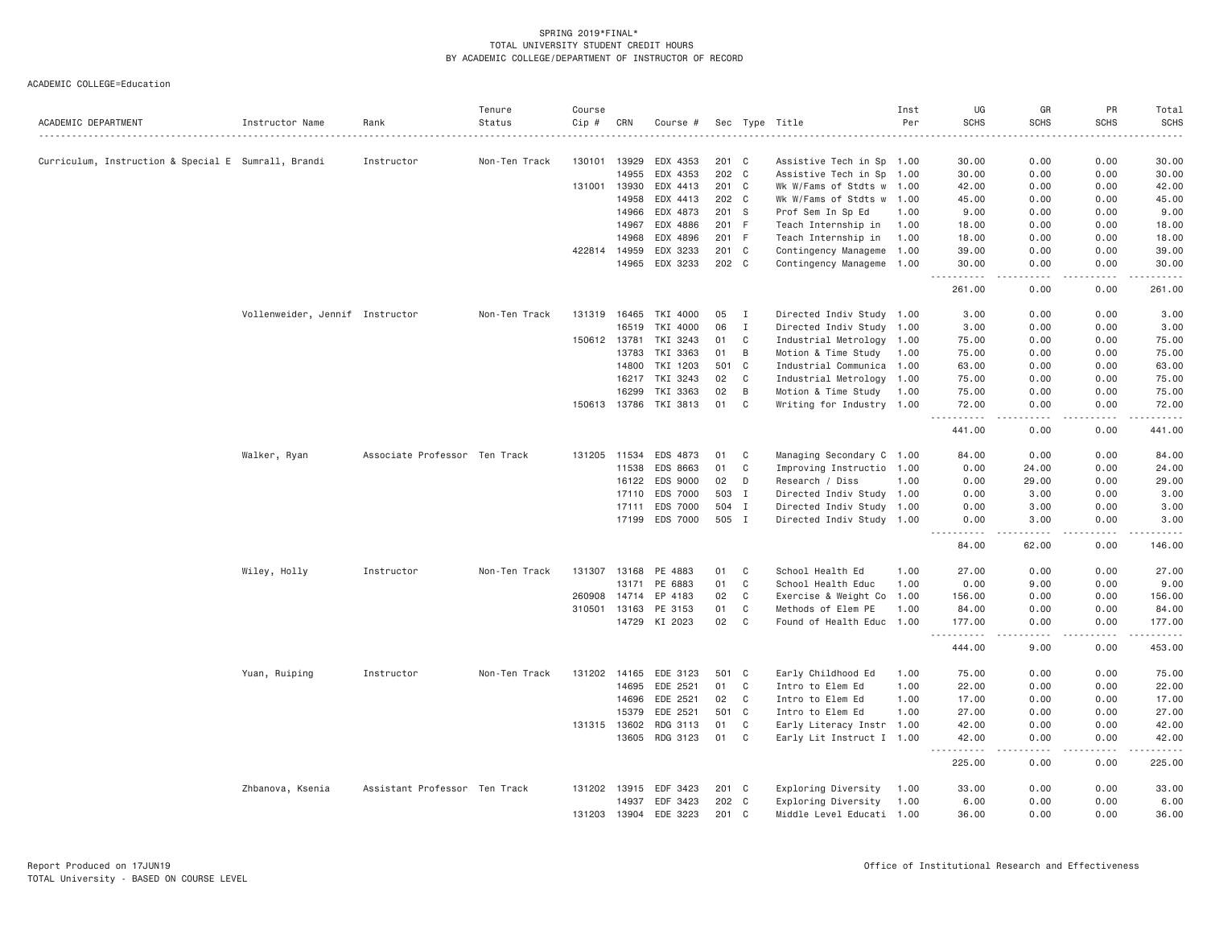| ACADEMIC DEPARTMENT                                 | Instructor Name                 | Rank                          | Tenure<br>Status | Course<br>Cip # | CRN          | Course #              |       |                | Sec Type Title            | Inst<br>Per | UG<br><b>SCHS</b>                   | GR<br><b>SCHS</b>                                                                                                                 | PR<br><b>SCHS</b> | Total<br><b>SCHS</b> |
|-----------------------------------------------------|---------------------------------|-------------------------------|------------------|-----------------|--------------|-----------------------|-------|----------------|---------------------------|-------------|-------------------------------------|-----------------------------------------------------------------------------------------------------------------------------------|-------------------|----------------------|
|                                                     |                                 |                               |                  |                 |              |                       |       |                |                           |             |                                     |                                                                                                                                   |                   |                      |
| Curriculum, Instruction & Special E Sumrall, Brandi |                                 | Instructor                    | Non-Ten Track    | 130101          | 13929        | EDX 4353              | 201 C |                | Assistive Tech in Sp 1.00 |             | 30.00                               | 0.00                                                                                                                              | 0.00              | 30,00                |
|                                                     |                                 |                               |                  |                 | 14955        | EDX 4353              | 202 C |                | Assistive Tech in Sp      | 1.00        | 30.00                               | 0.00                                                                                                                              | 0.00              | 30.00                |
|                                                     |                                 |                               |                  | 131001          | 13930        | EDX 4413              | 201 C |                | Wk W/Fams of Stdts w 1.00 |             | 42.00                               | 0.00                                                                                                                              | 0.00              | 42.00                |
|                                                     |                                 |                               |                  |                 | 14958        | EDX 4413              | 202 C |                | Wk W/Fams of Stdts w 1.00 |             | 45.00                               | 0.00                                                                                                                              | 0.00              | 45.00                |
|                                                     |                                 |                               |                  |                 | 14966        | EDX 4873              | 201 S |                | Prof Sem In Sp Ed         | 1.00        | 9.00                                | 0.00                                                                                                                              | 0.00              | 9.00                 |
|                                                     |                                 |                               |                  |                 | 14967        | EDX 4886              | 201 F |                | Teach Internship in       | 1.00        | 18.00                               | 0.00                                                                                                                              | 0.00              | 18.00                |
|                                                     |                                 |                               |                  |                 | 14968        | EDX 4896              | 201 F |                | Teach Internship in       | 1.00        | 18.00                               | 0.00                                                                                                                              | 0.00              | 18.00                |
|                                                     |                                 |                               |                  |                 | 422814 14959 | EDX 3233              | 201 C |                | Contingency Manageme 1.00 |             | 39.00                               | 0.00                                                                                                                              | 0.00              | 39.00                |
|                                                     |                                 |                               |                  |                 | 14965        | EDX 3233              | 202 C |                | Contingency Manageme 1.00 |             | 30.00<br>.                          | 0.00<br>$\frac{1}{2} \left( \frac{1}{2} \right) \left( \frac{1}{2} \right) \left( \frac{1}{2} \right) \left( \frac{1}{2} \right)$ | 0.00<br>.         | 30.00<br>.           |
|                                                     |                                 |                               |                  |                 |              |                       |       |                |                           |             | 261.00                              | 0.00                                                                                                                              | 0.00              | 261.00               |
|                                                     | Vollenweider, Jennif Instructor |                               | Non-Ten Track    | 131319          | 16465        | TKI 4000              | 05    | I              | Directed Indiv Study 1.00 |             | 3.00                                | 0.00                                                                                                                              | 0.00              | 3.00                 |
|                                                     |                                 |                               |                  |                 | 16519        | TKI 4000              | 06    | $\mathbf{I}$   | Directed Indiv Study 1.00 |             | 3.00                                | 0.00                                                                                                                              | 0.00              | 3.00                 |
|                                                     |                                 |                               |                  | 150612          | 13781        | TKI 3243              | 01    | $\mathbf C$    | Industrial Metrology 1.00 |             | 75.00                               | 0.00                                                                                                                              | 0.00              | 75.00                |
|                                                     |                                 |                               |                  |                 | 13783        | TKI 3363              | 01    | B              | Motion & Time Study       | 1.00        | 75.00                               | 0.00                                                                                                                              | 0.00              | 75.00                |
|                                                     |                                 |                               |                  |                 | 14800        | TKI 1203              | 501   | C              | Industrial Communica 1.00 |             | 63.00                               | 0.00                                                                                                                              | 0.00              | 63.00                |
|                                                     |                                 |                               |                  |                 | 16217        | TKI 3243              | 02    | C              | Industrial Metrology 1.00 |             | 75.00                               | 0.00                                                                                                                              | 0.00              | 75.00                |
|                                                     |                                 |                               |                  |                 | 16299        | TKI 3363              | 02    | B              | Motion & Time Study       | 1.00        | 75.00                               | 0.00                                                                                                                              | 0.00              | 75.00                |
|                                                     |                                 |                               |                  |                 | 150613 13786 | TKI 3813              | 01    | C              | Writing for Industry 1.00 |             | 72.00<br>. <u>.</u>                 | 0.00<br>.                                                                                                                         | 0.00<br>.         | 72.00<br>.           |
|                                                     |                                 |                               |                  |                 |              |                       |       |                |                           |             | 441.00                              | 0.00                                                                                                                              | 0.00              | 441.00               |
|                                                     | Walker, Ryan                    | Associate Professor Ten Track |                  | 131205          | 11534        | EDS 4873              | 01    | C              | Managing Secondary C 1.00 |             | 84.00                               | 0.00                                                                                                                              | 0.00              | 84.00                |
|                                                     |                                 |                               |                  |                 | 11538        | EDS 8663              | 01    | C              | Improving Instructio 1.00 |             | 0.00                                | 24.00                                                                                                                             | 0.00              | 24.00                |
|                                                     |                                 |                               |                  |                 | 16122        | EDS 9000              | 02    | D              | Research / Diss           | 1.00        | 0.00                                | 29.00                                                                                                                             | 0.00              | 29.00                |
|                                                     |                                 |                               |                  |                 | 17110        | EDS 7000              | 503 I |                | Directed Indiv Study 1.00 |             | 0.00                                | 3.00                                                                                                                              | 0.00              | 3.00                 |
|                                                     |                                 |                               |                  |                 | 17111        | EDS 7000              | 504 I |                | Directed Indiv Study 1.00 |             | 0.00                                | 3.00                                                                                                                              | 0.00              | 3.00                 |
|                                                     |                                 |                               |                  |                 |              | 17199 EDS 7000        | 505 I |                | Directed Indiv Study 1.00 |             | 0.00                                | 3.00                                                                                                                              | 0.00              | 3.00                 |
|                                                     |                                 |                               |                  |                 |              |                       |       |                |                           |             | -----<br>84.00                      | .<br>62.00                                                                                                                        | .<br>0.00         | .<br>146.00          |
|                                                     | Wiley, Holly                    | Instructor                    | Non-Ten Track    | 131307          |              | 13168 PE 4883         | 01    | C.             | School Health Ed          | 1.00        | 27.00                               | 0.00                                                                                                                              | 0.00              | 27.00                |
|                                                     |                                 |                               |                  |                 | 13171        | PE 6883               | 01    | C              | School Health Educ        | 1.00        | 0.00                                | 9.00                                                                                                                              | 0.00              | 9.00                 |
|                                                     |                                 |                               |                  | 260908          | 14714        | EP 4183               | 02    | $\mathbf C$    | Exercise & Weight Co 1.00 |             | 156.00                              | 0.00                                                                                                                              | 0.00              | 156.00               |
|                                                     |                                 |                               |                  | 310501          | 13163        | PE 3153               | 01    | C              | Methods of Elem PE        | 1.00        | 84.00                               | 0.00                                                                                                                              | 0.00              | 84.00                |
|                                                     |                                 |                               |                  |                 |              | 14729 KI 2023         | 02    | C              | Found of Health Educ 1.00 |             | 177.00<br>$\sim$ $\sim$ $\sim$      | 0.00                                                                                                                              | 0.00              | 177.00<br><u>.</u>   |
|                                                     |                                 |                               |                  |                 |              |                       |       |                |                           |             | 444.00                              | 9.00                                                                                                                              | 0.00              | 453.00               |
|                                                     | Yuan, Ruiping                   | Instructor                    | Non-Ten Track    |                 |              | 131202 14165 EDE 3123 | 501   | C <sub>1</sub> | Early Childhood Ed        | 1.00        | 75.00                               | 0.00                                                                                                                              | 0.00              | 75.00                |
|                                                     |                                 |                               |                  |                 | 14695        | EDE 2521              | 01    | C              | Intro to Elem Ed          | 1.00        | 22.00                               | 0.00                                                                                                                              | 0.00              | 22.00                |
|                                                     |                                 |                               |                  |                 | 14696        | EDE 2521              | 02    | C              | Intro to Elem Ed          | 1.00        | 17.00                               | 0.00                                                                                                                              | 0.00              | 17.00                |
|                                                     |                                 |                               |                  |                 | 15379        | EDE 2521              | 501   | C              | Intro to Elem Ed          | 1.00        | 27.00                               | 0.00                                                                                                                              | 0.00              | 27.00                |
|                                                     |                                 |                               |                  |                 | 131315 13602 | RDG 3113              | 01    | C              | Early Literacy Instr 1.00 |             | 42.00                               | 0.00                                                                                                                              | 0.00              | 42.00                |
|                                                     |                                 |                               |                  |                 | 13605        | RDG 3123              | 01    | C              | Early Lit Instruct I 1.00 |             | 42.00                               | 0.00                                                                                                                              | 0.00              | 42.00                |
|                                                     |                                 |                               |                  |                 |              |                       |       |                |                           |             | $\sim$ $\sim$ $\sim$<br>.<br>225.00 | .<br>0.00                                                                                                                         | .<br>0.00         | .<br>225.00          |
|                                                     | Zhbanova, Ksenia                | Assistant Professor Ten Track |                  |                 | 131202 13915 | EDF 3423              | 201 C |                | Exploring Diversity       | 1.00        | 33.00                               | 0.00                                                                                                                              | 0.00              | 33.00                |
|                                                     |                                 |                               |                  |                 | 14937        | EDF 3423              | 202 C |                | Exploring Diversity       | 1.00        | 6.00                                | 0.00                                                                                                                              | 0.00              | 6.00                 |
|                                                     |                                 |                               |                  |                 | 131203 13904 | EDE 3223              | 201   | C              | Middle Level Educati 1.00 |             | 36.00                               | 0.00                                                                                                                              | 0.00              | 36.00                |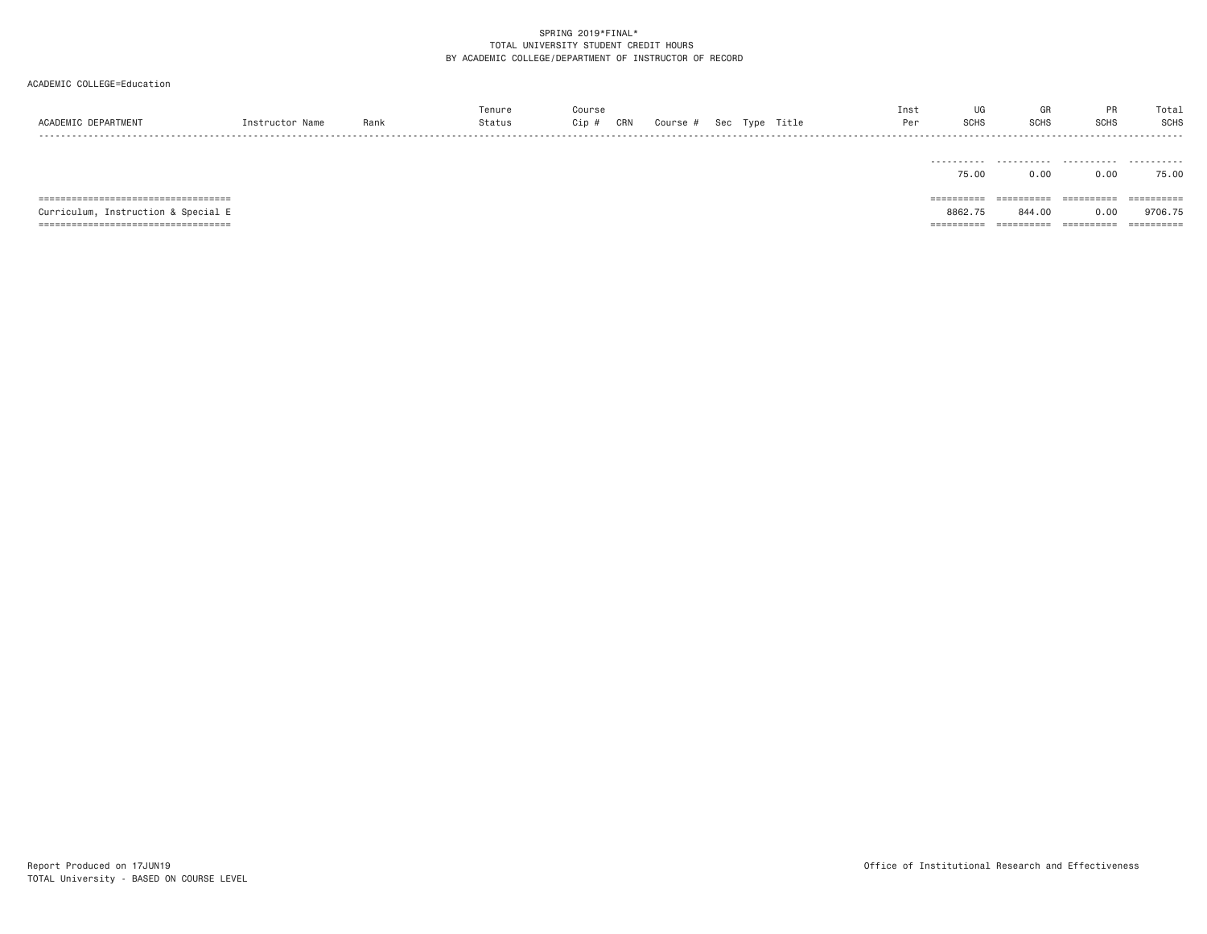| ACADEMIC DEPARTMENT                                                                                                   | Instructor Name | Rank | Tenure<br>Status | Course<br>Cip # | CRN | Course # |  | Sec Type Title | Inst<br>Per | UG<br><b>SCHS</b>                   | GK<br><b>SCHS</b>                 | PR<br><b>SCHS</b>                | Total<br><b>SCHS</b>                |
|-----------------------------------------------------------------------------------------------------------------------|-----------------|------|------------------|-----------------|-----|----------|--|----------------|-------------|-------------------------------------|-----------------------------------|----------------------------------|-------------------------------------|
|                                                                                                                       |                 |      |                  |                 |     |          |  |                |             | 75.00                               | 0.00                              | 0.00                             | 75.00                               |
| =====================================<br>Curriculum, Instruction & Special E<br>===================================== |                 |      |                  |                 |     |          |  |                |             | ==========<br>8862.75<br>========== | =========<br>844,00<br>========== | ==========<br>0.00<br>========== | ==========<br>9706.75<br>========== |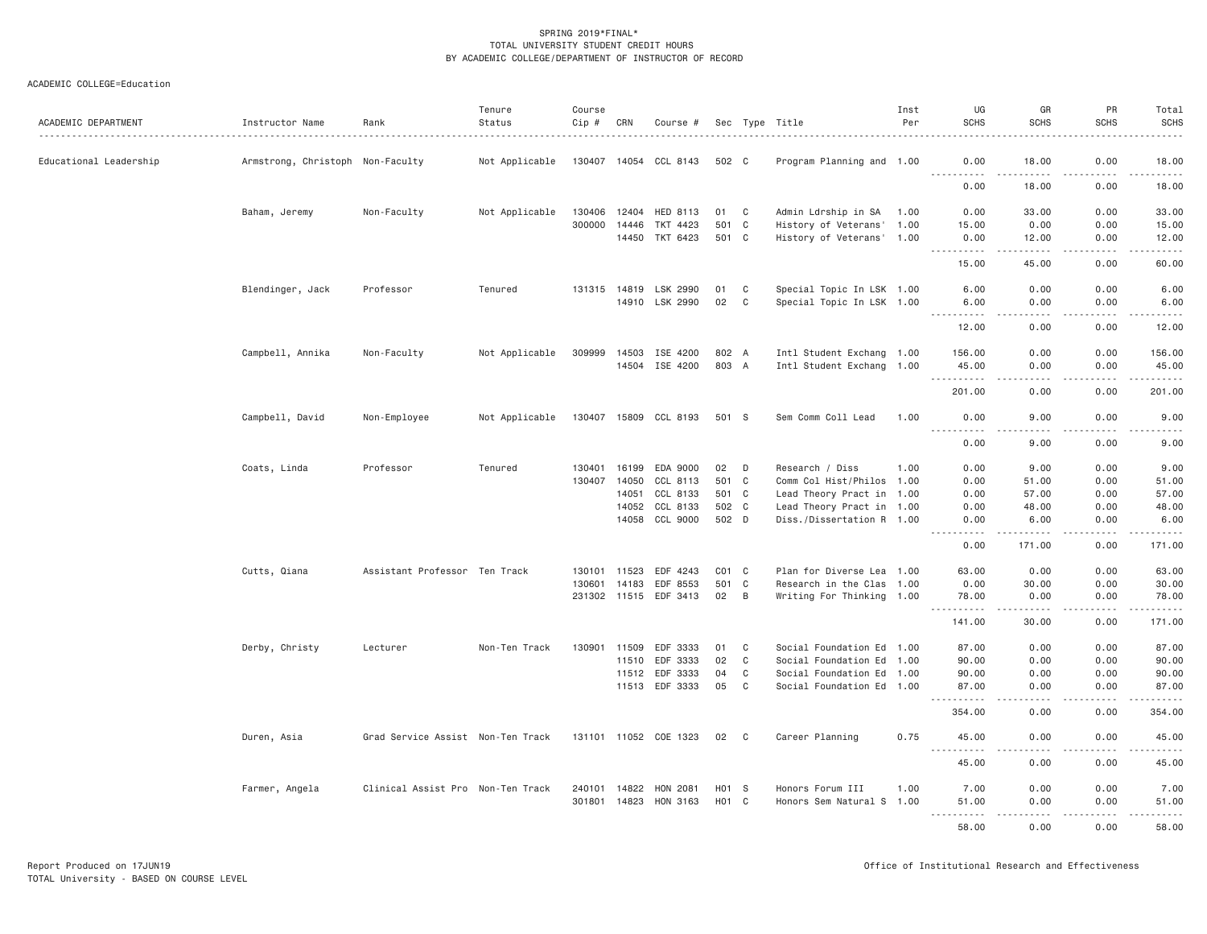| ACADEMIC DEPARTMENT    | Instructor Name                  | Rank                              | Tenure<br>Status | Course<br>Cip # | CRN          | Course #              |           |              | Sec Type Title            | Inst<br>Per | UG<br><b>SCHS</b>             | GR<br><b>SCHS</b>     | PR<br><b>SCHS</b>                        | Total<br><b>SCHS</b>                                                                                                                                                                     |
|------------------------|----------------------------------|-----------------------------------|------------------|-----------------|--------------|-----------------------|-----------|--------------|---------------------------|-------------|-------------------------------|-----------------------|------------------------------------------|------------------------------------------------------------------------------------------------------------------------------------------------------------------------------------------|
| Educational Leadership | Armstrong, Christoph Non-Faculty |                                   | Not Applicable   |                 |              | 130407 14054 CCL 8143 | 502 C     |              | Program Planning and 1.00 |             | 0.00                          | 18.00<br>.            | 0.00<br>.<br>$\sim$ $\sim$ $\sim$ $\sim$ | 18.00                                                                                                                                                                                    |
|                        |                                  |                                   |                  |                 |              |                       |           |              |                           |             | 0.00                          | 18,00                 | 0.00                                     | $\frac{1}{2} \left( \frac{1}{2} \right) \left( \frac{1}{2} \right) \left( \frac{1}{2} \right) \left( \frac{1}{2} \right) \left( \frac{1}{2} \right) \left( \frac{1}{2} \right)$<br>18.00 |
|                        | Baham, Jeremy                    | Non-Faculty                       | Not Applicable   | 130406          | 12404        | HED 8113              | 01        | $\mathbf{C}$ | Admin Ldrship in SA       | 1.00        | 0.00                          | 33.00                 | 0.00                                     | 33.00                                                                                                                                                                                    |
|                        |                                  |                                   |                  | 300000          | 14446        | TKT 4423              | 501 C     |              | History of Veterans' 1.00 |             | 15.00                         | 0.00                  | 0.00                                     | 15.00                                                                                                                                                                                    |
|                        |                                  |                                   |                  |                 | 14450        | TKT 6423              | 501 C     |              | History of Veterans' 1.00 |             | 0.00<br>.                     | 12.00<br>$- - - - -$  | 0.00<br>.                                | 12.00<br>.                                                                                                                                                                               |
|                        |                                  |                                   |                  |                 |              |                       |           |              |                           |             | 15.00                         | 45.00                 | 0.00                                     | 60.00                                                                                                                                                                                    |
|                        | Blendinger, Jack                 | Professor                         | Tenured          |                 |              | 131315 14819 LSK 2990 | 01        | C            | Special Topic In LSK 1.00 |             | 6.00                          | 0.00                  | 0.00                                     | 6.00                                                                                                                                                                                     |
|                        |                                  |                                   |                  |                 |              | 14910 LSK 2990        | 02        | C            | Special Topic In LSK 1.00 |             | 6.00<br>. <b>.</b>            | 0.00<br>.             | 0.00<br>.                                | 6.00<br>.                                                                                                                                                                                |
|                        |                                  |                                   |                  |                 |              |                       |           |              |                           |             | 12.00                         | 0.00                  | 0.00                                     | 12.00                                                                                                                                                                                    |
|                        | Campbell, Annika                 | Non-Faculty                       | Not Applicable   | 309999          | 14503        | ISE 4200              | 802 A     |              | Intl Student Exchang 1.00 |             | 156.00                        | 0.00                  | 0.00                                     | 156.00                                                                                                                                                                                   |
|                        |                                  |                                   |                  |                 |              | 14504 ISE 4200        | 803 A     |              | Intl Student Exchang 1.00 |             | 45.00<br>$- - - -$            | 0.00<br>د د د د       | 0.00                                     | 45.00<br><u>.</u>                                                                                                                                                                        |
|                        |                                  |                                   |                  |                 |              |                       |           |              |                           |             | 201.00                        | 0.00                  | 0.00                                     | 201.00                                                                                                                                                                                   |
|                        | Campbell, David                  | Non-Employee                      | Not Applicable   |                 |              | 130407 15809 CCL 8193 | 501 S     |              | Sem Comm Coll Lead        | 1.00        | 0.00<br>$- - - - -$<br>.      | 9.00<br>$\frac{1}{2}$ | 0.00<br>.                                | 9.00<br>$- - - -$                                                                                                                                                                        |
|                        |                                  |                                   |                  |                 |              |                       |           |              |                           |             | 0.00                          | 9.00                  | 0.00                                     | 9.00                                                                                                                                                                                     |
|                        | Coats, Linda                     | Professor                         | Tenured          |                 |              | 130401 16199 EDA 9000 | 02        | D            | Research / Diss           | 1.00        | 0.00                          | 9.00                  | 0.00                                     | 9.00                                                                                                                                                                                     |
|                        |                                  |                                   |                  | 130407          | 14050        | CCL 8113              | 501       | $\mathbf{C}$ | Comm Col Hist/Philos 1.00 |             | 0.00                          | 51.00                 | 0.00                                     | 51.00                                                                                                                                                                                    |
|                        |                                  |                                   |                  |                 | 14051        | CCL 8133              | 501 C     |              | Lead Theory Pract in 1.00 |             | 0.00                          | 57.00                 | 0.00                                     | 57.00                                                                                                                                                                                    |
|                        |                                  |                                   |                  |                 |              | 14052 CCL 8133        | 502 C     |              | Lead Theory Pract in 1.00 |             | 0.00                          | 48.00                 | 0.00                                     | 48.00                                                                                                                                                                                    |
|                        |                                  |                                   |                  |                 | 14058        | CCL 9000              | 502 D     |              | Diss./Dissertation R 1.00 |             | 0.00<br>.                     | 6.00<br>$- - - - -$   | 0.00<br>.                                | 6.00<br>.                                                                                                                                                                                |
|                        |                                  |                                   |                  |                 |              |                       |           |              |                           |             | 0.00                          | 171.00                | 0.00                                     | 171.00                                                                                                                                                                                   |
|                        | Cutts, Qiana                     | Assistant Professor Ten Track     |                  |                 | 130101 11523 | EDF 4243              | $CO1$ $C$ |              | Plan for Diverse Lea 1.00 |             | 63.00                         | 0.00                  | 0.00                                     | 63.00                                                                                                                                                                                    |
|                        |                                  |                                   |                  | 130601          | 14183        | EDF 8553              | 501 C     |              | Research in the Clas 1.00 |             | 0.00                          | 30.00                 | 0.00                                     | 30.00                                                                                                                                                                                    |
|                        |                                  |                                   |                  |                 |              | 231302 11515 EDF 3413 | 02        | B            | Writing For Thinking 1.00 |             | 78.00<br>.                    | 0.00<br>$- - - - -$   | 0.00<br>.                                | 78.00<br>.                                                                                                                                                                               |
|                        |                                  |                                   |                  |                 |              |                       |           |              |                           |             | 141.00                        | 30.00                 | 0.00                                     | 171.00                                                                                                                                                                                   |
|                        | Derby, Christy                   | Lecturer                          | Non-Ten Track    | 130901          | 11509        | EDF 3333              | 01        | C            | Social Foundation Ed 1.00 |             | 87.00                         | 0.00                  | 0.00                                     | 87.00                                                                                                                                                                                    |
|                        |                                  |                                   |                  |                 | 11510        | EDF 3333              | 02        | C            | Social Foundation Ed 1.00 |             | 90.00                         | 0.00                  | 0.00                                     | 90.00                                                                                                                                                                                    |
|                        |                                  |                                   |                  |                 |              | 11512 EDF 3333        | 04        | $\mathbf C$  | Social Foundation Ed 1.00 |             | 90.00                         | 0.00                  | 0.00                                     | 90.00                                                                                                                                                                                    |
|                        |                                  |                                   |                  |                 | 11513        | EDF 3333              | 05        | C            | Social Foundation Ed 1.00 |             | 87.00                         | 0.00<br>.             | 0.00<br>.                                | 87.00<br>.                                                                                                                                                                               |
|                        |                                  |                                   |                  |                 |              |                       |           |              |                           |             | 354.00                        | 0.00                  | 0.00                                     | 354.00                                                                                                                                                                                   |
|                        | Duren, Asia                      | Grad Service Assist Non-Ten Track |                  |                 |              | 131101 11052 COE 1323 | 02        | C            | Career Planning           | 0.75        | 45.00<br>$\sim$ $\sim$ $\sim$ | 0.00                  | 0.00                                     | 45.00                                                                                                                                                                                    |
|                        |                                  |                                   |                  |                 |              |                       |           |              |                           |             | 45.00                         | 0.00                  | 0.00                                     | 45.00                                                                                                                                                                                    |
|                        | Farmer, Angela                   | Clinical Assist Pro Non-Ten Track |                  | 240101 14822    |              | HON 2081              | H01 S     |              | Honors Forum III          | 1.00        | 7.00                          | 0.00                  | 0.00                                     | 7.00                                                                                                                                                                                     |
|                        |                                  |                                   |                  |                 |              | 301801 14823 HON 3163 | $H01$ C   |              | Honors Sem Natural S 1.00 |             | 51.00                         | 0.00                  | 0.00                                     | 51.00                                                                                                                                                                                    |
|                        |                                  |                                   |                  |                 |              |                       |           |              |                           |             | $  -$<br>58.00                | .<br>0.00             | .<br>0.00                                | .<br>58.00                                                                                                                                                                               |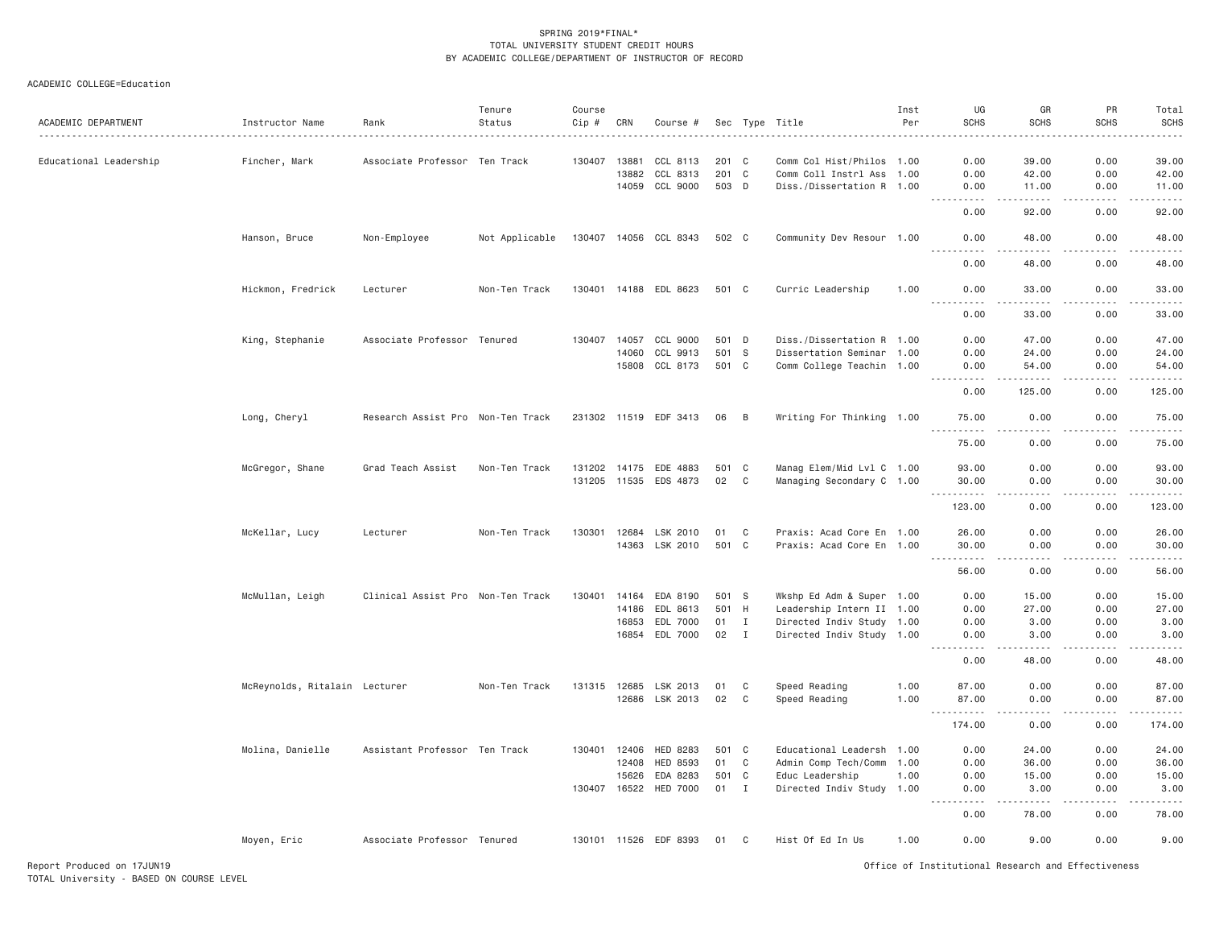ACADEMIC COLLEGE=Education

| ACADEMIC DEPARTMENT    | Instructor Name<br>.          | Rank                              | Tenure<br>Status | Course<br>Cip # | CRN          | Course #              |       |              | Sec Type Title            | Inst<br>Per | UG<br><b>SCHS</b>                                                                                                                                            | GR<br><b>SCHS</b>                                                                                                                                            | PR<br><b>SCHS</b> | Total<br><b>SCHS</b><br>$\frac{1}{2} \left( \frac{1}{2} \right) \left( \frac{1}{2} \right) \left( \frac{1}{2} \right) \left( \frac{1}{2} \right)$ |
|------------------------|-------------------------------|-----------------------------------|------------------|-----------------|--------------|-----------------------|-------|--------------|---------------------------|-------------|--------------------------------------------------------------------------------------------------------------------------------------------------------------|--------------------------------------------------------------------------------------------------------------------------------------------------------------|-------------------|---------------------------------------------------------------------------------------------------------------------------------------------------|
| Educational Leadership | Fincher, Mark                 | Associate Professor Ten Track     |                  | 130407          | 13881        | CCL 8113              | 201 C |              | Comm Col Hist/Philos 1.00 |             | 0.00                                                                                                                                                         | 39.00                                                                                                                                                        | 0.00              | 39.00                                                                                                                                             |
|                        |                               |                                   |                  |                 | 13882        | CCL 8313              | 201 C |              | Comm Coll Instrl Ass 1.00 |             | 0.00                                                                                                                                                         | 42.00                                                                                                                                                        | 0.00              | 42.00                                                                                                                                             |
|                        |                               |                                   |                  |                 |              | 14059 CCL 9000        | 503 D |              | Diss./Dissertation R 1.00 |             | 0.00                                                                                                                                                         | 11.00                                                                                                                                                        | 0.00              | 11.00                                                                                                                                             |
|                        |                               |                                   |                  |                 |              |                       |       |              |                           |             | $\frac{1}{2} \left( \frac{1}{2} \right) \left( \frac{1}{2} \right) \left( \frac{1}{2} \right) \left( \frac{1}{2} \right) \left( \frac{1}{2} \right)$<br>0.00 | .<br>92.00                                                                                                                                                   | .<br>0.00         | .<br>92.00                                                                                                                                        |
|                        | Hanson, Bruce                 | Non-Employee                      | Not Applicable   |                 |              | 130407 14056 CCL 8343 | 502 C |              | Community Dev Resour 1.00 |             | 0.00                                                                                                                                                         | 48.00<br>$- - - - -$                                                                                                                                         | 0.00              | 48.00<br>الداعات                                                                                                                                  |
|                        |                               |                                   |                  |                 |              |                       |       |              |                           |             | 0.00                                                                                                                                                         | 48.00                                                                                                                                                        | 0.00              | 48.00                                                                                                                                             |
|                        | Hickmon, Fredrick             | Lecturer                          | Non-Ten Track    |                 |              | 130401 14188 EDL 8623 | 501 C |              | Curric Leadership         | 1.00        | 0.00<br>.                                                                                                                                                    | 33.00<br>. <u>.</u>                                                                                                                                          | 0.00<br>.         | 33.00<br>.                                                                                                                                        |
|                        |                               |                                   |                  |                 |              |                       |       |              |                           |             | 0.00                                                                                                                                                         | 33.00                                                                                                                                                        | 0.00              | 33.00                                                                                                                                             |
|                        | King, Stephanie               | Associate Professor Tenured       |                  | 130407          | 14057        | CCL 9000              | 501   | D            | Diss./Dissertation R 1.00 |             | 0.00                                                                                                                                                         | 47.00                                                                                                                                                        | 0.00              | 47.00                                                                                                                                             |
|                        |                               |                                   |                  |                 | 14060        | CCL 9913              | 501 S |              | Dissertation Seminar 1.00 |             | 0.00                                                                                                                                                         | 24.00                                                                                                                                                        | 0.00              | 24.00                                                                                                                                             |
|                        |                               |                                   |                  |                 |              | 15808 CCL 8173        | 501 C |              | Comm College Teachin 1.00 |             | 0.00                                                                                                                                                         | 54,00                                                                                                                                                        | 0.00              | 54.00<br>$\sim$ $\sim$ $\sim$ $\sim$                                                                                                              |
|                        |                               |                                   |                  |                 |              |                       |       |              |                           |             | 0.00                                                                                                                                                         | 125.00                                                                                                                                                       | 0.00              | 125.00                                                                                                                                            |
|                        | Long, Cheryl                  | Research Assist Pro Non-Ten Track |                  |                 |              | 231302 11519 EDF 3413 | 06    | B            | Writing For Thinking 1.00 |             | 75.00<br>.                                                                                                                                                   | 0.00<br>.                                                                                                                                                    | 0.00<br>.         | 75.00<br>.                                                                                                                                        |
|                        |                               |                                   |                  |                 |              |                       |       |              |                           |             | 75.00                                                                                                                                                        | 0.00                                                                                                                                                         | 0.00              | 75.00                                                                                                                                             |
|                        | McGregor, Shane               | Grad Teach Assist                 | Non-Ten Track    |                 | 131202 14175 | EDE 4883              | 501 C |              | Manag Elem/Mid Lvl C 1.00 |             | 93.00                                                                                                                                                        | 0.00                                                                                                                                                         | 0.00              | 93.00                                                                                                                                             |
|                        |                               |                                   |                  |                 |              | 131205 11535 EDS 4873 | 02    | C            | Managing Secondary C 1.00 |             | 30.00<br>$\sim$ $\sim$ $\sim$<br>.                                                                                                                           | 0.00<br>$\sim$ $\sim$ $\sim$ $\sim$                                                                                                                          | 0.00<br>.         | 30.00<br>.                                                                                                                                        |
|                        |                               |                                   |                  |                 |              |                       |       |              |                           |             | 123.00                                                                                                                                                       | 0.00                                                                                                                                                         | 0.00              | 123.00                                                                                                                                            |
|                        | McKellar, Lucy                | Lecturer                          | Non-Ten Track    | 130301          | 12684        | LSK 2010              | 01    | C            | Praxis: Acad Core En 1.00 |             | 26.00                                                                                                                                                        | 0.00                                                                                                                                                         | 0.00              | 26.00                                                                                                                                             |
|                        |                               |                                   |                  |                 |              | 14363 LSK 2010        | 501 C |              | Praxis: Acad Core En 1.00 |             | 30.00<br>.                                                                                                                                                   | 0.00<br>.                                                                                                                                                    | 0.00<br>.         | 30.00<br>.                                                                                                                                        |
|                        |                               |                                   |                  |                 |              |                       |       |              |                           |             | 56.00                                                                                                                                                        | 0.00                                                                                                                                                         | 0.00              | 56.00                                                                                                                                             |
|                        | McMullan, Leigh               | Clinical Assist Pro Non-Ten Track |                  | 130401          | 14164        | EDA 8190              | 501 S |              | Wkshp Ed Adm & Super 1.00 |             | 0.00                                                                                                                                                         | 15.00                                                                                                                                                        | 0.00              | 15.00                                                                                                                                             |
|                        |                               |                                   |                  |                 | 14186        | EDL 8613              | 501 H |              | Leadership Intern II 1.00 |             | 0.00                                                                                                                                                         | 27.00                                                                                                                                                        | 0.00              | 27.00                                                                                                                                             |
|                        |                               |                                   |                  |                 | 16853        | EDL 7000              | 01    | $\mathbf{I}$ | Directed Indiv Study 1.00 |             | 0.00                                                                                                                                                         | 3.00                                                                                                                                                         | 0.00              | 3.00                                                                                                                                              |
|                        |                               |                                   |                  |                 |              | 16854 EDL 7000        | 02    | $\mathbf{I}$ | Directed Indiv Study 1.00 |             | 0.00<br>$- - - - - -$                                                                                                                                        | 3.00<br>$\frac{1}{2} \left( \frac{1}{2} \right) \left( \frac{1}{2} \right) \left( \frac{1}{2} \right) \left( \frac{1}{2} \right) \left( \frac{1}{2} \right)$ | 0.00<br>.         | 3.00<br>.                                                                                                                                         |
|                        |                               |                                   |                  |                 |              |                       |       |              |                           |             | 0.00                                                                                                                                                         | 48.00                                                                                                                                                        | 0.00              | 48.00                                                                                                                                             |
|                        | McReynolds, Ritalain Lecturer |                                   | Non-Ten Track    |                 | 131315 12685 | LSK 2013              | 01    | C            | Speed Reading             | 1.00        | 87.00                                                                                                                                                        | 0.00                                                                                                                                                         | 0.00              | 87.00                                                                                                                                             |
|                        |                               |                                   |                  |                 |              | 12686 LSK 2013        | 02    | C            | Speed Reading             | 1.00        | 87.00<br>.<br>$\sim$ $\sim$ $\sim$                                                                                                                           | 0.00<br>.                                                                                                                                                    | 0.00<br>.         | 87.00<br>.                                                                                                                                        |
|                        |                               |                                   |                  |                 |              |                       |       |              |                           |             | 174.00                                                                                                                                                       | 0.00                                                                                                                                                         | 0.00              | 174.00                                                                                                                                            |
|                        | Molina, Danielle              | Assistant Professor Ten Track     |                  | 130401          | 12406        | HED 8283              | 501 C |              | Educational Leadersh 1.00 |             | 0.00                                                                                                                                                         | 24.00                                                                                                                                                        | 0.00              | 24.00                                                                                                                                             |
|                        |                               |                                   |                  |                 | 12408        | HED 8593              | 01    | $\mathbf C$  | Admin Comp Tech/Comm      | 1.00        | 0.00                                                                                                                                                         | 36.00                                                                                                                                                        | 0.00              | 36.00                                                                                                                                             |
|                        |                               |                                   |                  |                 | 15626        | EDA 8283              | 501 C |              | Educ Leadership           | 1.00        | 0.00                                                                                                                                                         | 15.00                                                                                                                                                        | 0.00              | 15.00                                                                                                                                             |
|                        |                               |                                   |                  |                 |              | 130407 16522 HED 7000 | 01 I  |              | Directed Indiv Study 1.00 |             | 0.00<br>.                                                                                                                                                    | 3.00<br>.                                                                                                                                                    | 0.00<br>-----     | 3.00<br>.                                                                                                                                         |
|                        |                               |                                   |                  |                 |              |                       |       |              |                           |             | 0.00                                                                                                                                                         | 78.00                                                                                                                                                        | 0.00              | 78.00                                                                                                                                             |
|                        | Moyen, Eric                   | Associate Professor Tenured       |                  |                 |              | 130101 11526 EDF 8393 | 01    | C            | Hist Of Ed In Us          | 1.00        | 0.00                                                                                                                                                         | 9.00                                                                                                                                                         | 0.00              | 9.00                                                                                                                                              |

Report Produced on 17JUN19 Office of Institutional Research and Effectiveness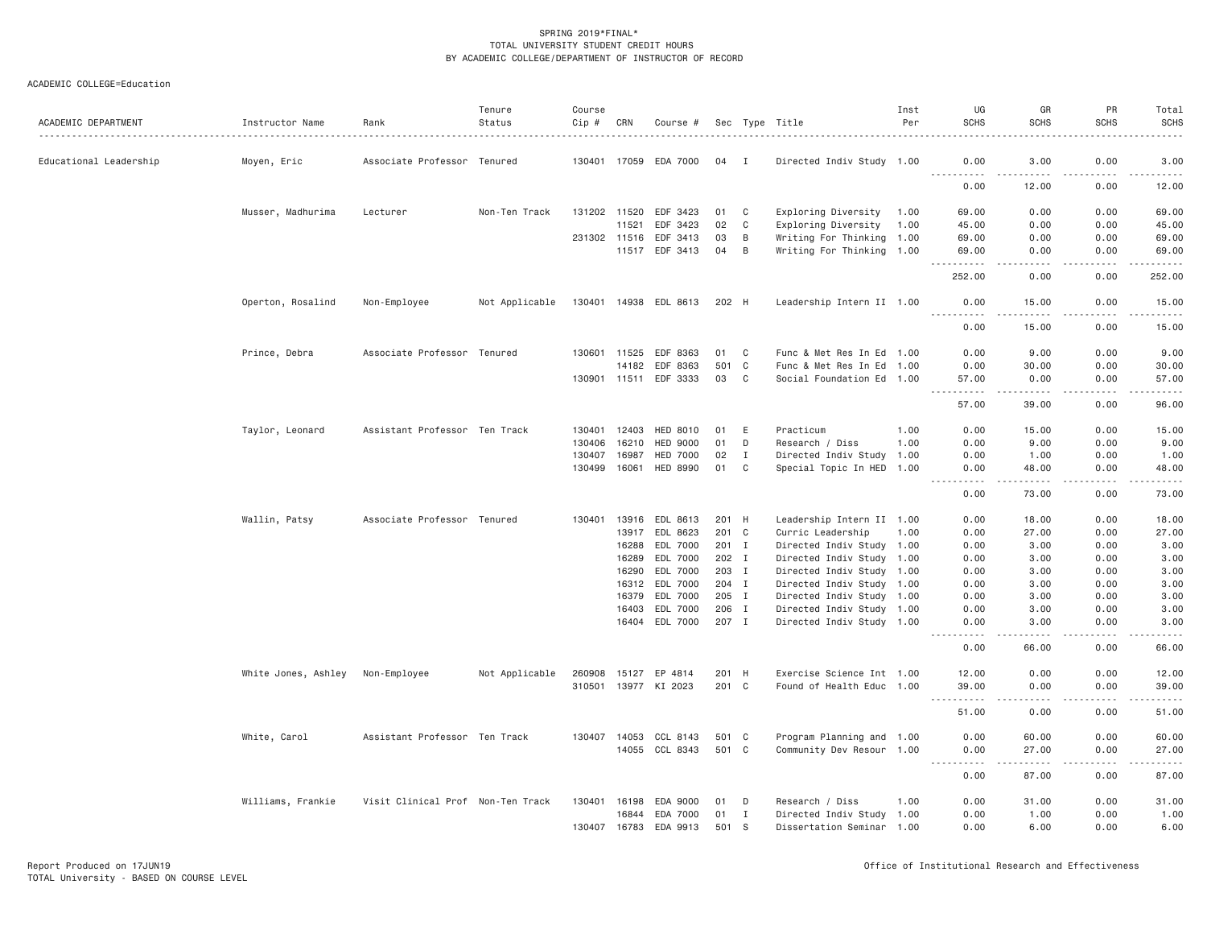| ACADEMIC DEPARTMENT    | Instructor Name     | Rank                              | Tenure<br>Status | Course<br>Cip # | CRN            | Course #              |                |              | Sec Type Title                                         | Inst<br>Per | UG<br><b>SCHS</b>                                                                                                                                             | GR<br><b>SCHS</b>                                                                                                                                             | PR<br><b>SCHS</b>   | Total<br><b>SCHS</b>                                                                                                                                          |
|------------------------|---------------------|-----------------------------------|------------------|-----------------|----------------|-----------------------|----------------|--------------|--------------------------------------------------------|-------------|---------------------------------------------------------------------------------------------------------------------------------------------------------------|---------------------------------------------------------------------------------------------------------------------------------------------------------------|---------------------|---------------------------------------------------------------------------------------------------------------------------------------------------------------|
| Educational Leadership | Moyen, Eric         | Associate Professor Tenured       |                  | 130401 17059    |                | EDA 7000              | 04             | $\mathbf{I}$ | Directed Indiv Study 1.00                              |             | 0.00                                                                                                                                                          | 3.00                                                                                                                                                          | 0.00                | 3.00                                                                                                                                                          |
|                        |                     |                                   |                  |                 |                |                       |                |              |                                                        |             | 0.00                                                                                                                                                          | $\frac{1}{2} \left( \frac{1}{2} \right) \left( \frac{1}{2} \right) \left( \frac{1}{2} \right) \left( \frac{1}{2} \right) \left( \frac{1}{2} \right)$<br>12.00 | -----<br>0.00       | .<br>12.00                                                                                                                                                    |
|                        | Musser, Madhurima   | Lecturer                          | Non-Ten Track    | 131202 11520    |                | EDF 3423              | 01             | C            | Exploring Diversity 1.00                               |             | 69.00                                                                                                                                                         | 0.00                                                                                                                                                          | 0.00                | 69.00                                                                                                                                                         |
|                        |                     |                                   |                  |                 | 11521          | EDF 3423              | 02             | C            | Exploring Diversity                                    | 1.00        | 45.00                                                                                                                                                         | 0.00                                                                                                                                                          | 0.00                | 45.00                                                                                                                                                         |
|                        |                     |                                   |                  | 231302 11516    |                | EDF 3413              | 03             | B            | Writing For Thinking 1.00                              |             | 69.00                                                                                                                                                         | 0.00                                                                                                                                                          | 0.00                | 69.00                                                                                                                                                         |
|                        |                     |                                   |                  |                 |                | 11517 EDF 3413        | 04             | B            | Writing For Thinking 1.00                              |             | 69.00<br>$- - - - -$                                                                                                                                          | 0.00<br>$- - - -$                                                                                                                                             | 0.00<br>.           | 69.00<br>.                                                                                                                                                    |
|                        |                     |                                   |                  |                 |                |                       |                |              |                                                        |             | 252.00                                                                                                                                                        | 0.00                                                                                                                                                          | 0.00                | 252.00                                                                                                                                                        |
|                        | Operton, Rosalind   | Non-Employee                      | Not Applicable   |                 |                | 130401 14938 EDL 8613 | 202 H          |              | Leadership Intern II 1.00                              |             | 0.00<br><u>.</u>                                                                                                                                              | 15.00<br>.                                                                                                                                                    | 0.00<br>$- - - - -$ | 15.00<br>.                                                                                                                                                    |
|                        |                     |                                   |                  |                 |                |                       |                |              |                                                        |             | 0.00                                                                                                                                                          | 15.00                                                                                                                                                         | 0.00                | 15.00                                                                                                                                                         |
|                        | Prince, Debra       | Associate Professor Tenured       |                  | 130601 11525    |                | EDF 8363              | 01             | C            | Func & Met Res In Ed 1.00                              |             | 0.00                                                                                                                                                          | 9.00                                                                                                                                                          | 0.00                | 9.00                                                                                                                                                          |
|                        |                     |                                   |                  |                 | 14182          | EDF 8363              | 501 C          |              | Func & Met Res In Ed 1.00                              |             | 0.00                                                                                                                                                          | 30.00                                                                                                                                                         | 0.00                | 30.00                                                                                                                                                         |
|                        |                     |                                   |                  |                 |                | 130901 11511 EDF 3333 | 03             | C            | Social Foundation Ed 1.00                              |             | 57.00<br>$\frac{1}{2} \left( \frac{1}{2} \right) \left( \frac{1}{2} \right) \left( \frac{1}{2} \right) \left( \frac{1}{2} \right) \left( \frac{1}{2} \right)$ | 0.00<br>$\frac{1}{2} \left( \frac{1}{2} \right) \left( \frac{1}{2} \right) \left( \frac{1}{2} \right) \left( \frac{1}{2} \right) \left( \frac{1}{2} \right)$  | 0.00<br>.           | 57.00<br>والمناصبات                                                                                                                                           |
|                        |                     |                                   |                  |                 |                |                       |                |              |                                                        |             | 57.00                                                                                                                                                         | 39,00                                                                                                                                                         | 0.00                | 96.00                                                                                                                                                         |
|                        | Taylor, Leonard     | Assistant Professor Ten Track     |                  | 130401          | 12403          | HED 8010              | 01             | E            | Practicum                                              | 1.00        | 0.00                                                                                                                                                          | 15.00                                                                                                                                                         | 0.00                | 15.00                                                                                                                                                         |
|                        |                     |                                   |                  | 130406          | 16210          | <b>HED 9000</b>       | 01             | D            | Research / Diss                                        | 1.00        | 0.00                                                                                                                                                          | 9.00                                                                                                                                                          | 0.00                | 9.00                                                                                                                                                          |
|                        |                     |                                   |                  | 130407          | 16987          | <b>HED 7000</b>       | 02             | $\mathbf I$  | Directed Indiv Study 1.00                              |             | 0.00                                                                                                                                                          | 1.00                                                                                                                                                          | 0.00                | 1.00                                                                                                                                                          |
|                        |                     |                                   |                  | 130499          | 16061          | HED 8990              | 01             | C            | Special Topic In HED 1.00                              |             | 0.00<br>.                                                                                                                                                     | 48.00<br>$\frac{1}{2} \left( \frac{1}{2} \right) \left( \frac{1}{2} \right) \left( \frac{1}{2} \right) \left( \frac{1}{2} \right) \left( \frac{1}{2} \right)$ | 0.00<br>.           | 48.00<br>.                                                                                                                                                    |
|                        |                     |                                   |                  |                 |                |                       |                |              |                                                        |             | 0.00                                                                                                                                                          | 73.00                                                                                                                                                         | 0.00                | 73.00                                                                                                                                                         |
|                        | Wallin, Patsy       | Associate Professor Tenured       |                  | 130401          | 13916          | EDL 8613              | 201 H          |              | Leadership Intern II 1.00                              |             | 0.00                                                                                                                                                          | 18.00                                                                                                                                                         | 0.00                | 18.00                                                                                                                                                         |
|                        |                     |                                   |                  |                 | 13917          | EDL 8623              | 201 C          |              | Curric Leadership                                      | 1.00        | 0.00                                                                                                                                                          | 27.00                                                                                                                                                         | 0.00                | 27.00                                                                                                                                                         |
|                        |                     |                                   |                  |                 | 16288          | EDL 7000              | 201 I          |              | Directed Indiv Study 1.00                              |             | 0.00                                                                                                                                                          | 3.00                                                                                                                                                          | 0.00                | 3.00                                                                                                                                                          |
|                        |                     |                                   |                  |                 | 16289          | EDL 7000              | 202 I          |              | Directed Indiv Study 1.00                              |             | 0.00                                                                                                                                                          | 3,00                                                                                                                                                          | 0.00                | 3.00                                                                                                                                                          |
|                        |                     |                                   |                  |                 | 16290          | EDL 7000              | 203 I          |              | Directed Indiv Study 1.00                              |             | 0.00                                                                                                                                                          | 3.00                                                                                                                                                          | 0.00                | 3.00                                                                                                                                                          |
|                        |                     |                                   |                  |                 | 16312          | EDL 7000              | 204 I          |              | Directed Indiv Study 1.00                              |             | 0.00                                                                                                                                                          | 3.00                                                                                                                                                          | 0.00                | 3.00                                                                                                                                                          |
|                        |                     |                                   |                  |                 | 16379<br>16403 | EDL 7000<br>EDL 7000  | 205 I<br>206 I |              | Directed Indiv Study 1.00<br>Directed Indiv Study 1.00 |             | 0.00<br>0.00                                                                                                                                                  | 3.00<br>3.00                                                                                                                                                  | 0.00<br>0.00        | 3.00<br>3.00                                                                                                                                                  |
|                        |                     |                                   |                  |                 |                | 16404 EDL 7000        | 207 I          |              | Directed Indiv Study 1.00                              |             | 0.00                                                                                                                                                          | 3.00                                                                                                                                                          | 0.00                | 3.00                                                                                                                                                          |
|                        |                     |                                   |                  |                 |                |                       |                |              |                                                        |             | .<br>0.00                                                                                                                                                     | .<br>66.00                                                                                                                                                    | .<br>0.00           | $    -$<br>66.00                                                                                                                                              |
|                        | White Jones, Ashley | Non-Employee                      | Not Applicable   | 260908          | 15127          | EP 4814               | 201 H          |              | Exercise Science Int 1.00                              |             | 12.00                                                                                                                                                         | 0.00                                                                                                                                                          | 0.00                | 12.00                                                                                                                                                         |
|                        |                     |                                   |                  | 310501          | 13977          | KI 2023               | 201 C          |              | Found of Health Educ 1.00                              |             | 39.00                                                                                                                                                         | 0.00                                                                                                                                                          | 0.00                | 39.00                                                                                                                                                         |
|                        |                     |                                   |                  |                 |                |                       |                |              |                                                        |             | 51.00                                                                                                                                                         | 0.00                                                                                                                                                          | 0.00                | $\frac{1}{2} \left( \frac{1}{2} \right) \left( \frac{1}{2} \right) \left( \frac{1}{2} \right) \left( \frac{1}{2} \right) \left( \frac{1}{2} \right)$<br>51.00 |
|                        | White, Carol        | Assistant Professor Ten Track     |                  | 130407 14053    |                | CCL 8143              | 501 C          |              | Program Planning and 1.00                              |             | 0.00                                                                                                                                                          | 60.00                                                                                                                                                         | 0.00                | 60.00                                                                                                                                                         |
|                        |                     |                                   |                  |                 |                | 14055 CCL 8343        | 501 C          |              | Community Dev Resour 1.00                              |             | 0.00                                                                                                                                                          | 27.00                                                                                                                                                         | 0.00                | 27.00                                                                                                                                                         |
|                        |                     |                                   |                  |                 |                |                       |                |              |                                                        |             | $\sim$ $\sim$ $\sim$ $\sim$<br>0.00                                                                                                                           | $\frac{1}{2} \left( \frac{1}{2} \right) \left( \frac{1}{2} \right) \left( \frac{1}{2} \right) \left( \frac{1}{2} \right) \left( \frac{1}{2} \right)$<br>87.00 | .<br>0.00           | والمناصبات<br>87.00                                                                                                                                           |
|                        | Williams, Frankie   | Visit Clinical Prof Non-Ten Track |                  | 130401          | 16198          | EDA 9000              | 01             | D            | Research / Diss                                        | 1.00        | 0.00                                                                                                                                                          | 31.00                                                                                                                                                         | 0.00                | 31.00                                                                                                                                                         |
|                        |                     |                                   |                  |                 | 16844          | EDA 7000              | 01             | I            | Directed Indiv Study 1.00                              |             | 0.00                                                                                                                                                          | 1.00                                                                                                                                                          | 0.00                | 1.00                                                                                                                                                          |
|                        |                     |                                   |                  | 130407 16783    |                | EDA 9913              | 501 S          |              | Dissertation Seminar 1.00                              |             | 0.00                                                                                                                                                          | 6.00                                                                                                                                                          | 0.00                | 6.00                                                                                                                                                          |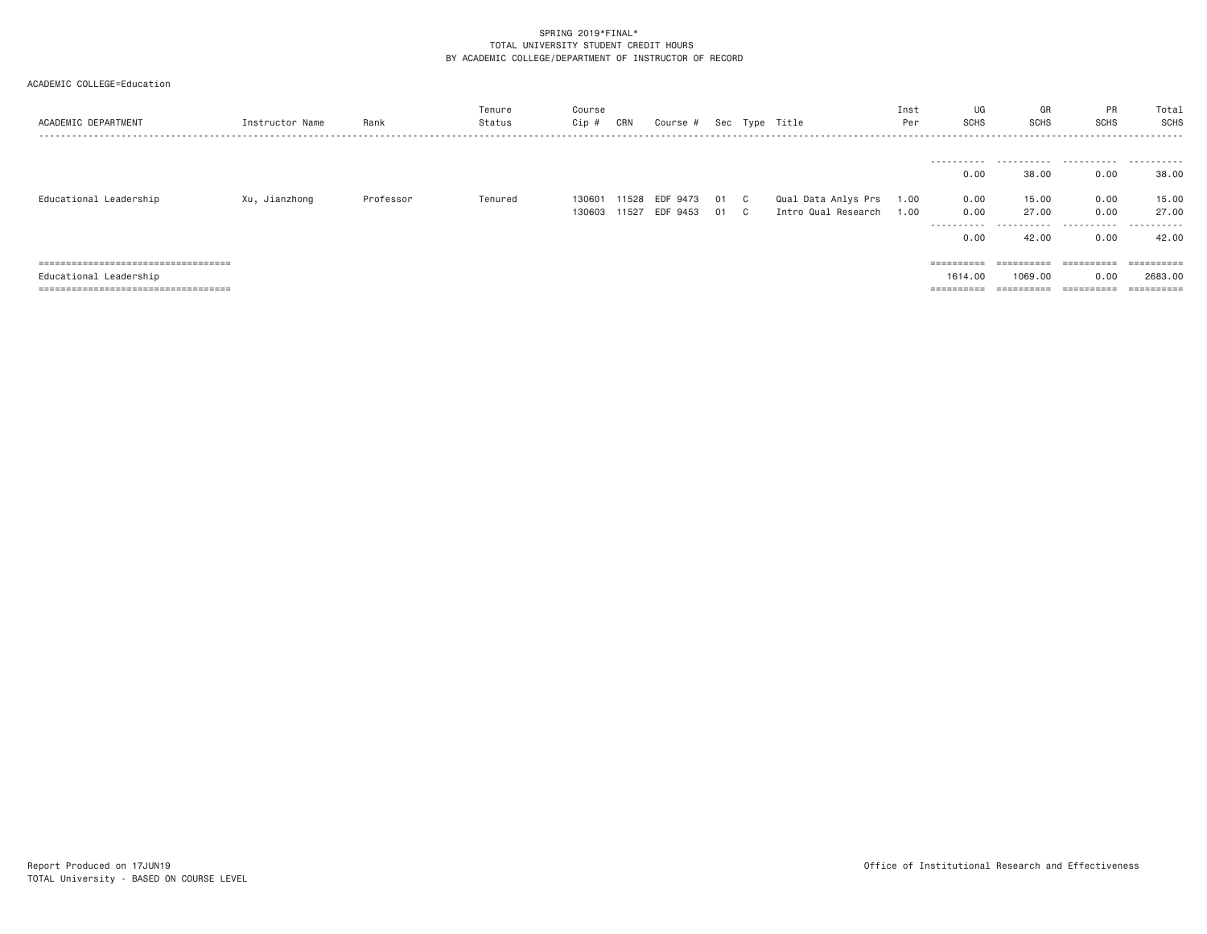| ACADEMIC DEPARTMENT                                             | Instructor Name | Rank      | Tenure<br>Status | Course<br>Cip # | CRN | Course #              |      | Sec Type Title           | Inst<br>Per | UG<br><b>SCHS</b>  | GR<br><b>SCHS</b>     | PR<br><b>SCHS</b> | Total<br>SCHS |
|-----------------------------------------------------------------|-----------------|-----------|------------------|-----------------|-----|-----------------------|------|--------------------------|-------------|--------------------|-----------------------|-------------------|---------------|
|                                                                 |                 |           |                  |                 |     |                       |      |                          |             |                    |                       |                   |               |
|                                                                 |                 |           |                  |                 |     |                       |      |                          |             | 0.00               | 38,00                 | 0.00              | 38.00         |
| Educational Leadership                                          | Xu, Jianzhong   | Professor | Tenured          |                 |     | 130601 11528 EDF 9473 | 01 C | Qual Data Anlys Prs 1.00 |             | 0.00               | 15.00                 | 0.00              | 15.00         |
|                                                                 |                 |           |                  | 130603 11527    |     | EDF 9453              | 01 C | Intro Qual Research      | 1.00        | 0.00<br>---------- | 27.00<br>.            | 0.00<br>.         | 27.00<br>.    |
|                                                                 |                 |           |                  |                 |     |                       |      |                          |             | 0.00               | 42.00                 | 0.00              | 42.00         |
| =====================================                           |                 |           |                  |                 |     |                       |      |                          |             |                    | $=$ = = = = = = = = = | ==========        | ==========    |
| Educational Leadership<br>===================================== |                 |           |                  |                 |     |                       |      |                          |             | 1614,00            | 1069,00<br>========== | 0.00              | 2683.00       |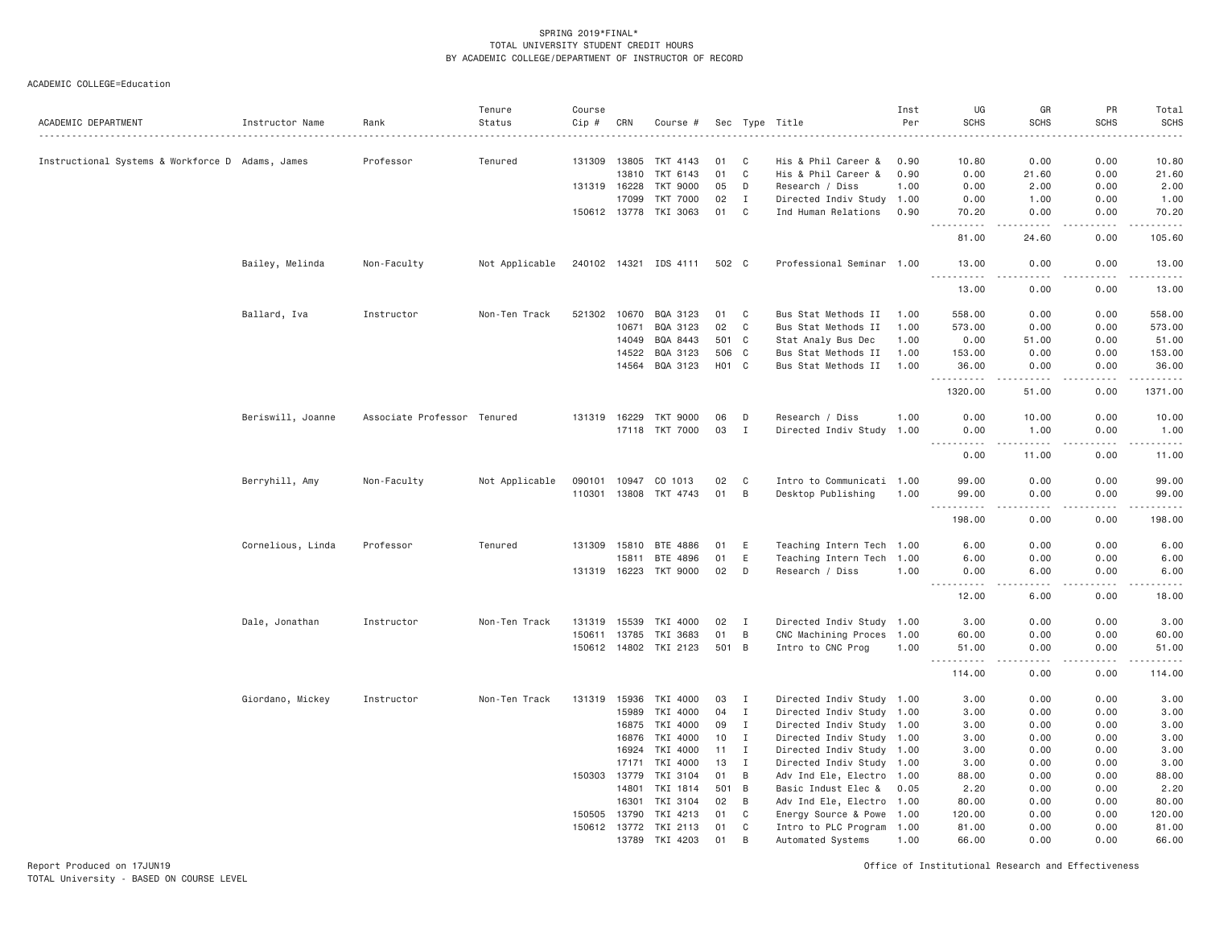ACADEMIC COLLEGE=Education

| ACADEMIC DEPARTMENT                              | Instructor Name   | Rank                        | Tenure<br>Status | Course<br>Cip # | CRN          | Course #              |       |              | Sec Type Title            | Inst<br>Per | UG<br><b>SCHS</b>                  | GR<br><b>SCHS</b>                                                                                                                                                                        | PR<br><b>SCHS</b>   | Total<br><b>SCHS</b><br>$\frac{1}{2}$ |
|--------------------------------------------------|-------------------|-----------------------------|------------------|-----------------|--------------|-----------------------|-------|--------------|---------------------------|-------------|------------------------------------|------------------------------------------------------------------------------------------------------------------------------------------------------------------------------------------|---------------------|---------------------------------------|
| Instructional Systems & Workforce D Adams, James |                   | Professor                   | Tenured          | 131309          | 13805        | TKT 4143              | 01    | C            | His & Phil Career &       | 0.90        | 10.80                              | 0.00                                                                                                                                                                                     | 0.00                | 10.80                                 |
|                                                  |                   |                             |                  |                 | 13810        | TKT 6143              | 01    | $\mathbb C$  | His & Phil Career &       | 0.90        | 0.00                               | 21.60                                                                                                                                                                                    | 0.00                | 21.60                                 |
|                                                  |                   |                             |                  |                 | 131319 16228 | <b>TKT 9000</b>       | 05    | D            | Research / Diss           | 1.00        | 0.00                               | 2.00                                                                                                                                                                                     | 0.00                | 2.00                                  |
|                                                  |                   |                             |                  |                 | 17099        | <b>TKT 7000</b>       | 02    | I            | Directed Indiv Study 1.00 |             | 0.00                               | 1.00                                                                                                                                                                                     | 0.00                | 1.00                                  |
|                                                  |                   |                             |                  |                 | 150612 13778 | TKI 3063              | 01    | C            | Ind Human Relations       | 0.90        | 70.20<br><b><i><u>.</u></i></b>    | 0.00<br>$\frac{1}{2} \left( \frac{1}{2} \right) \left( \frac{1}{2} \right) \left( \frac{1}{2} \right) \left( \frac{1}{2} \right) \left( \frac{1}{2} \right)$                             | 0.00<br>.           | 70.20<br>.                            |
|                                                  |                   |                             |                  |                 |              |                       |       |              |                           |             | 81.00                              | 24.60                                                                                                                                                                                    | 0.00                | 105.60                                |
|                                                  | Bailey, Melinda   | Non-Faculty                 | Not Applicable   |                 |              | 240102 14321 IDS 4111 | 502 C |              | Professional Seminar 1.00 |             | 13.00<br>$\sim$ $\sim$ $\sim$<br>. | 0.00<br>$\sim$ $\sim$ $\sim$ $\sim$                                                                                                                                                      | 0.00<br>لأعامل      | 13.00<br>.                            |
|                                                  |                   |                             |                  |                 |              |                       |       |              |                           |             | 13.00                              | 0.00                                                                                                                                                                                     | 0.00                | 13.00                                 |
|                                                  | Ballard, Iva      | Instructor                  | Non-Ten Track    |                 |              | 521302 10670 BQA 3123 | 01    | $\mathbf{C}$ | Bus Stat Methods II       | 1.00        | 558.00                             | 0.00                                                                                                                                                                                     | 0.00                | 558.00                                |
|                                                  |                   |                             |                  |                 | 10671        | BQA 3123              | 02    | $\mathbf C$  | Bus Stat Methods II       | 1.00        | 573.00                             | 0.00                                                                                                                                                                                     | 0.00                | 573.00                                |
|                                                  |                   |                             |                  |                 | 14049        | BQA 8443              | 501   | $\mathbf{C}$ | Stat Analy Bus Dec        | 1.00        | 0.00                               | 51.00                                                                                                                                                                                    | 0.00                | 51.00                                 |
|                                                  |                   |                             |                  |                 | 14522        | BQA 3123              | 506   | $\mathbf C$  | Bus Stat Methods II       | 1.00        | 153.00                             | 0.00                                                                                                                                                                                     | 0.00                | 153.00                                |
|                                                  |                   |                             |                  |                 | 14564        | BQA 3123              | HO1 C |              | Bus Stat Methods II       | 1.00        | 36.00<br><u>.</u>                  | 0.00<br>$\frac{1}{2} \left( \frac{1}{2} \right) \left( \frac{1}{2} \right) \left( \frac{1}{2} \right) \left( \frac{1}{2} \right) \left( \frac{1}{2} \right)$                             | 0.00<br>.           | 36.00<br>.                            |
|                                                  |                   |                             |                  |                 |              |                       |       |              |                           |             | 1320.00                            | 51.00                                                                                                                                                                                    | 0.00                | 1371.00                               |
|                                                  | Beriswill, Joanne | Associate Professor Tenured |                  | 131319          | 16229        | TKT 9000              | 06    | D            | Research / Diss           | 1.00        | 0.00                               | 10.00                                                                                                                                                                                    | 0.00                | 10.00                                 |
|                                                  |                   |                             |                  |                 |              | 17118 TKT 7000        | 03    | $\mathbf{I}$ | Directed Indiv Study      | 1.00        | 0.00                               | 1.00                                                                                                                                                                                     | 0.00                | 1.00                                  |
|                                                  |                   |                             |                  |                 |              |                       |       |              |                           |             | $- - -$<br>.<br>0.00               | $\frac{1}{2} \left( \frac{1}{2} \right) \left( \frac{1}{2} \right) \left( \frac{1}{2} \right) \left( \frac{1}{2} \right) \left( \frac{1}{2} \right) \left( \frac{1}{2} \right)$<br>11.00 | $- - - - -$<br>0.00 | .<br>11.00                            |
|                                                  | Berryhill, Amy    | Non-Faculty                 | Not Applicable   | 090101          | 10947        | CO 1013               | 02    | C            | Intro to Communicati 1.00 |             | 99.00                              | 0.00                                                                                                                                                                                     | 0.00                | 99.00                                 |
|                                                  |                   |                             |                  |                 |              | 110301 13808 TKT 4743 | 01    | B            | Desktop Publishing        | 1.00        | 99.00<br>.<br>$\sim$ $\sim$ $\sim$ | 0.00<br>د د د د                                                                                                                                                                          | 0.00<br>-----       | 99.00<br>-----                        |
|                                                  |                   |                             |                  |                 |              |                       |       |              |                           |             | 198.00                             | 0.00                                                                                                                                                                                     | 0.00                | 198.00                                |
|                                                  | Cornelious, Linda | Professor                   | Tenured          | 131309          | 15810        | BTE 4886              | 01    | E            | Teaching Intern Tech 1.00 |             | 6.00                               | 0.00                                                                                                                                                                                     | 0.00                | 6.00                                  |
|                                                  |                   |                             |                  |                 | 15811        | BTE 4896              | 01    | E            | Teaching Intern Tech 1.00 |             | 6.00                               | 0.00                                                                                                                                                                                     | 0.00                | 6.00                                  |
|                                                  |                   |                             |                  |                 | 131319 16223 | TKT 9000              | 02    | D            | Research / Diss           | 1.00        | 0.00<br>$\sim$ $\sim$ $\sim$<br>.  | 6.00<br>.                                                                                                                                                                                | 0.00<br>.           | 6.00<br>. <u>.</u> .                  |
|                                                  |                   |                             |                  |                 |              |                       |       |              |                           |             | 12.00                              | 6.00                                                                                                                                                                                     | 0.00                | 18.00                                 |
|                                                  | Dale, Jonathan    | Instructor                  | Non-Ten Track    | 131319          | 15539        | TKI 4000              | 02    | I            | Directed Indiv Study 1.00 |             | 3.00                               | 0.00                                                                                                                                                                                     | 0.00                | 3.00                                  |
|                                                  |                   |                             |                  |                 | 150611 13785 | TKI 3683              | 01    | B            | CNC Machining Proces 1.00 |             | 60.00                              | 0.00                                                                                                                                                                                     | 0.00                | 60.00                                 |
|                                                  |                   |                             |                  |                 |              | 150612 14802 TKI 2123 | 501 B |              | Intro to CNC Prog         | 1.00        | 51.00<br>.                         | 0.00                                                                                                                                                                                     | 0.00<br>.           | 51.00<br>.                            |
|                                                  |                   |                             |                  |                 |              |                       |       |              |                           |             | 114.00                             | 0.00                                                                                                                                                                                     | 0.00                | 114.00                                |
|                                                  | Giordano, Mickey  | Instructor                  | Non-Ten Track    | 131319          | 15936        | TKI 4000              | 03    | <b>I</b>     | Directed Indiv Study 1.00 |             | 3.00                               | 0.00                                                                                                                                                                                     | 0.00                | 3.00                                  |
|                                                  |                   |                             |                  |                 | 15989        | TKI 4000              | 04    | $\mathbf{I}$ | Directed Indiv Study 1.00 |             | 3.00                               | 0.00                                                                                                                                                                                     | 0.00                | 3.00                                  |
|                                                  |                   |                             |                  |                 | 16875        | TKI 4000              | 09    | $\mathbf{I}$ | Directed Indiv Study 1.00 |             | 3.00                               | 0.00                                                                                                                                                                                     | 0.00                | 3.00                                  |
|                                                  |                   |                             |                  |                 | 16876        | TKI 4000              | 10    | $\mathbf{I}$ | Directed Indiv Study 1.00 |             | 3.00                               | 0.00                                                                                                                                                                                     | 0.00                | 3.00                                  |
|                                                  |                   |                             |                  |                 | 16924        | TKI 4000              | 11    | $\mathbf{I}$ | Directed Indiv Study 1.00 |             | 3.00                               | 0.00                                                                                                                                                                                     | 0.00                | 3.00                                  |
|                                                  |                   |                             |                  |                 | 17171        | TKI 4000              | 13    | $\mathbf{I}$ | Directed Indiv Study 1.00 |             | 3.00                               | 0.00                                                                                                                                                                                     | 0.00                | 3.00                                  |
|                                                  |                   |                             |                  | 150303          | 13779        | TKI 3104              | 01    | B            | Adv Ind Ele, Electro 1.00 |             | 88.00                              | 0.00                                                                                                                                                                                     | 0.00                | 88.00                                 |
|                                                  |                   |                             |                  |                 | 14801        | TKI 1814              | 501   | B            | Basic Indust Elec &       | 0.05        | 2.20                               | 0.00                                                                                                                                                                                     | 0.00                | 2.20                                  |
|                                                  |                   |                             |                  |                 | 16301        | TKI 3104              | 02    | B            | Adv Ind Ele, Electro 1.00 |             | 80.00                              | 0.00                                                                                                                                                                                     | 0.00                | 80.00                                 |
|                                                  |                   |                             |                  | 150505          | 13790        | TKI 4213              | 01    | C            | Energy Source & Powe 1.00 |             | 120.00                             | 0.00                                                                                                                                                                                     | 0.00                | 120.00                                |
|                                                  |                   |                             |                  |                 | 150612 13772 | TKI 2113              | 01    | C            | Intro to PLC Program 1.00 |             | 81.00                              | 0.00                                                                                                                                                                                     | 0.00                | 81.00                                 |
|                                                  |                   |                             |                  |                 | 13789        | TKI 4203              | 01    | B            | Automated Systems         | 1.00        | 66.00                              | 0.00                                                                                                                                                                                     | 0.00                | 66.00                                 |

Report Produced on 17JUN19 Office of Institutional Research and Effectiveness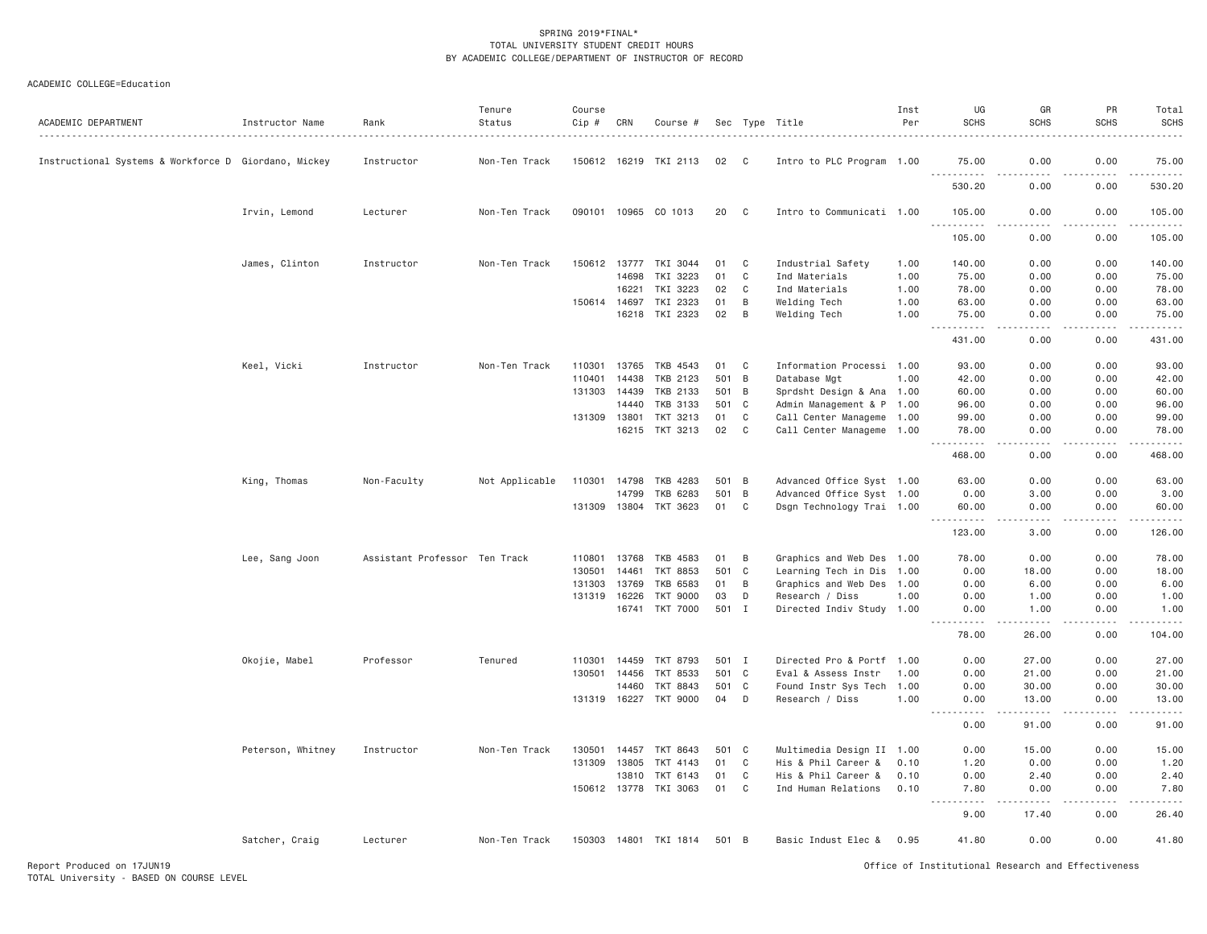| ACADEMIC DEPARTMENT                                  | Instructor Name   | Rank                          | Tenure<br>Status | Course<br>Cip # | CRN   | Course #                 |       |                | Sec Type Title            | Inst<br>Per | UG<br><b>SCHS</b>                   | GR<br><b>SCHS</b>    | PR<br><b>SCHS</b>   | Total<br>SCHS       |
|------------------------------------------------------|-------------------|-------------------------------|------------------|-----------------|-------|--------------------------|-------|----------------|---------------------------|-------------|-------------------------------------|----------------------|---------------------|---------------------|
| Instructional Systems & Workforce D Giordano, Mickey |                   | Instructor                    | Non-Ten Track    | 150612 16219    |       | TKI 2113                 | 02    | C.             | Intro to PLC Program 1.00 |             | 75.00                               | 0.00                 | 0.00                | 75.00               |
|                                                      |                   |                               |                  |                 |       |                          |       |                |                           |             | $  -$<br>. <u>.</u><br>530.20       | 0.00                 | 0.00                | 530.20              |
|                                                      | Irvin, Lemond     | Lecturer                      | Non-Ten Track    |                 |       | 090101 10965 CO 1013     | 20    | C              | Intro to Communicati 1.00 |             | 105.00<br>$\frac{1}{2}$             | 0.00                 | 0.00                | 105.00              |
|                                                      |                   |                               |                  |                 |       |                          |       |                |                           |             | 105.00                              | 0.00                 | 0.00                | 105.00              |
|                                                      | James, Clinton    | Instructor                    | Non-Ten Track    | 150612 13777    |       | TKI 3044                 | 01    | C              | Industrial Safety         | 1.00        | 140.00                              | 0.00                 | 0.00                | 140.00              |
|                                                      |                   |                               |                  |                 | 14698 | TKI 3223                 | 01    | C              | Ind Materials             | 1.00        | 75.00                               | 0.00                 | 0.00                | 75.00               |
|                                                      |                   |                               |                  |                 | 16221 | TKI 3223                 | 02    | C              | Ind Materials             | 1.00        | 78.00                               | 0.00                 | 0.00                | 78.00               |
|                                                      |                   |                               |                  | 150614 14697    |       | TKI 2323                 | 01    | B              | Welding Tech              | 1.00        | 63.00                               | 0.00                 | 0.00                | 63.00               |
|                                                      |                   |                               |                  |                 | 16218 | TKI 2323                 | 02    | B              | Welding Tech              | 1.00        | 75.00                               | 0.00                 | 0.00                | 75.00               |
|                                                      |                   |                               |                  |                 |       |                          |       |                |                           |             | .<br>$ -$<br>431.00                 | .<br>0.00            | $- - - - -$<br>0.00 | 1.1.1.1.1<br>431.00 |
|                                                      |                   | Instructor                    | Non-Ten Track    | 110301          | 13765 | TKB 4543                 | 01    | C              | Information Processi 1.00 |             | 93.00                               | 0.00                 | 0.00                | 93.00               |
|                                                      | Keel, Vicki       |                               |                  | 110401          | 14438 | TKB 2123                 | 501   | $\overline{B}$ | Database Mgt              | 1.00        | 42.00                               | 0.00                 | 0.00                | 42.00               |
|                                                      |                   |                               |                  | 131303          | 14439 | TKB 2133                 | 501   | B              | Sprdsht Design & Ana 1.00 |             | 60.00                               | 0.00                 | 0.00                | 60.00               |
|                                                      |                   |                               |                  |                 | 14440 | <b>TKB 3133</b>          | 501   | $\mathbf{C}$   | Admin Management & P 1.00 |             | 96.00                               | 0.00                 | 0.00                | 96.00               |
|                                                      |                   |                               |                  | 131309 13801    |       | TKT 3213                 | 01    | C              | Call Center Manageme 1.00 |             | 99.00                               | 0.00                 | 0.00                | 99.00               |
|                                                      |                   |                               |                  |                 | 16215 | TKT 3213                 | 02    | C              | Call Center Manageme 1.00 |             | 78.00                               | 0.00                 | 0.00                | 78.00               |
|                                                      |                   |                               |                  |                 |       |                          |       |                |                           |             | .<br>$\sim$ $\sim$ $\sim$<br>468.00 | .<br>0.00            | $- - - - -$<br>0.00 | 468.00              |
|                                                      |                   |                               |                  |                 |       |                          |       |                |                           |             |                                     |                      |                     |                     |
|                                                      | King, Thomas      | Non-Faculty                   | Not Applicable   | 110301          | 14798 | TKB 4283                 | 501 B |                | Advanced Office Syst 1.00 |             | 63.00                               | 0.00                 | 0.00                | 63.00               |
|                                                      |                   |                               |                  |                 | 14799 | TKB 6283                 | 501   | $\overline{B}$ | Advanced Office Syst 1.00 |             | 0.00                                | 3.00                 | 0.00                | 3.00                |
|                                                      |                   |                               |                  | 131309 13804    |       | TKT 3623                 | 01    | C              | Dsgn Technology Trai 1.00 |             | 60.00                               | 0.00                 | 0.00                | 60.00               |
|                                                      |                   |                               |                  |                 |       |                          |       |                |                           |             | 1.1.1.1.1<br>123.00                 | .<br>3.00            | .<br>0.00           | .<br>126.00         |
|                                                      | Lee, Sang Joon    | Assistant Professor Ten Track |                  | 110801          | 13768 | TKB 4583                 | 01    | B              | Graphics and Web Des 1.00 |             | 78.00                               | 0.00                 | 0.00                | 78.00               |
|                                                      |                   |                               |                  | 130501          | 14461 | <b>TKT 8853</b>          | 501   | $\mathbf{C}$   | Learning Tech in Dis 1.00 |             | 0.00                                | 18.00                | 0.00                | 18.00               |
|                                                      |                   |                               |                  | 131303          | 13769 | <b>TKB 6583</b>          | 01    | B              | Graphics and Web Des 1.00 |             | 0.00                                | 6.00                 | 0.00                | 6.00                |
|                                                      |                   |                               |                  | 131319 16226    |       | <b>TKT 9000</b>          | 03    | D              | Research / Diss           | 1.00        | 0.00                                | 1.00                 | 0.00                | 1.00                |
|                                                      |                   |                               |                  |                 | 16741 | TKT 7000                 | 501 I |                | Directed Indiv Study 1.00 |             | 0.00                                | 1.00                 | 0.00                | 1.00                |
|                                                      |                   |                               |                  |                 |       |                          |       |                |                           |             | $\frac{1}{2}$<br>78.00              | .<br>26.00           | .<br>0.00           | .<br>104.00         |
|                                                      | Okojie, Mabel     | Professor                     | Tenured          | 110301          | 14459 | TKT 8793                 | 501 I |                | Directed Pro & Portf 1.00 |             | 0.00                                | 27.00                | 0.00                | 27.00               |
|                                                      |                   |                               |                  | 130501          | 14456 | <b>TKT 8533</b>          | 501 C |                | Eval & Assess Instr       | 1.00        | 0.00                                | 21.00                | 0.00                | 21.00               |
|                                                      |                   |                               |                  |                 | 14460 | TKT 8843                 | 501 C |                | Found Instr Sys Tech      | 1.00        | 0.00                                | 30.00                | 0.00                | 30.00               |
|                                                      |                   |                               |                  |                 |       | 131319 16227 TKT 9000    | 04    | D              | Research / Diss           | 1.00        | 0.00                                | 13,00                | 0.00                | 13.00               |
|                                                      |                   |                               |                  |                 |       |                          |       |                |                           |             | $\frac{1}{2}$<br>0.00               | $- - - - -$<br>91.00 | .<br>0.00           | .<br>91.00          |
|                                                      |                   |                               |                  |                 |       |                          |       |                |                           |             |                                     |                      |                     |                     |
|                                                      | Peterson, Whitney | Instructor                    | Non-Ten Track    | 130501          | 14457 | TKT 8643                 | 501   | C              | Multimedia Design II 1.00 |             | 0.00                                | 15.00                | 0.00                | 15.00               |
|                                                      |                   |                               |                  | 131309 13805    |       | TKT 4143                 | 01    | C              | His & Phil Career &       | 0.10        | 1.20                                | 0.00                 | 0.00                | 1.20                |
|                                                      |                   |                               |                  |                 | 13810 | TKT 6143                 | 01    | C              | His & Phil Career &       | 0.10        | 0.00                                | 2.40                 | 0.00                | 2.40                |
|                                                      |                   |                               |                  | 150612 13778    |       | TKI 3063                 | 01    | $\mathbf C$    | Ind Human Relations       | 0.10        | 7.80<br>$- - - - -$<br>.            | 0.00                 | 0.00                | 7.80                |
|                                                      |                   |                               |                  |                 |       |                          |       |                |                           |             | 9.00                                | 17.40                | 0.00                | 26.40               |
|                                                      | Satcher, Craig    | Lecturer                      | Non-Ten Track    |                 |       | 150303  14801  TKI  1814 | 501 B |                | Basic Indust Elec &       | 0.95        | 41.80                               | 0.00                 | 0.00                | 41.80               |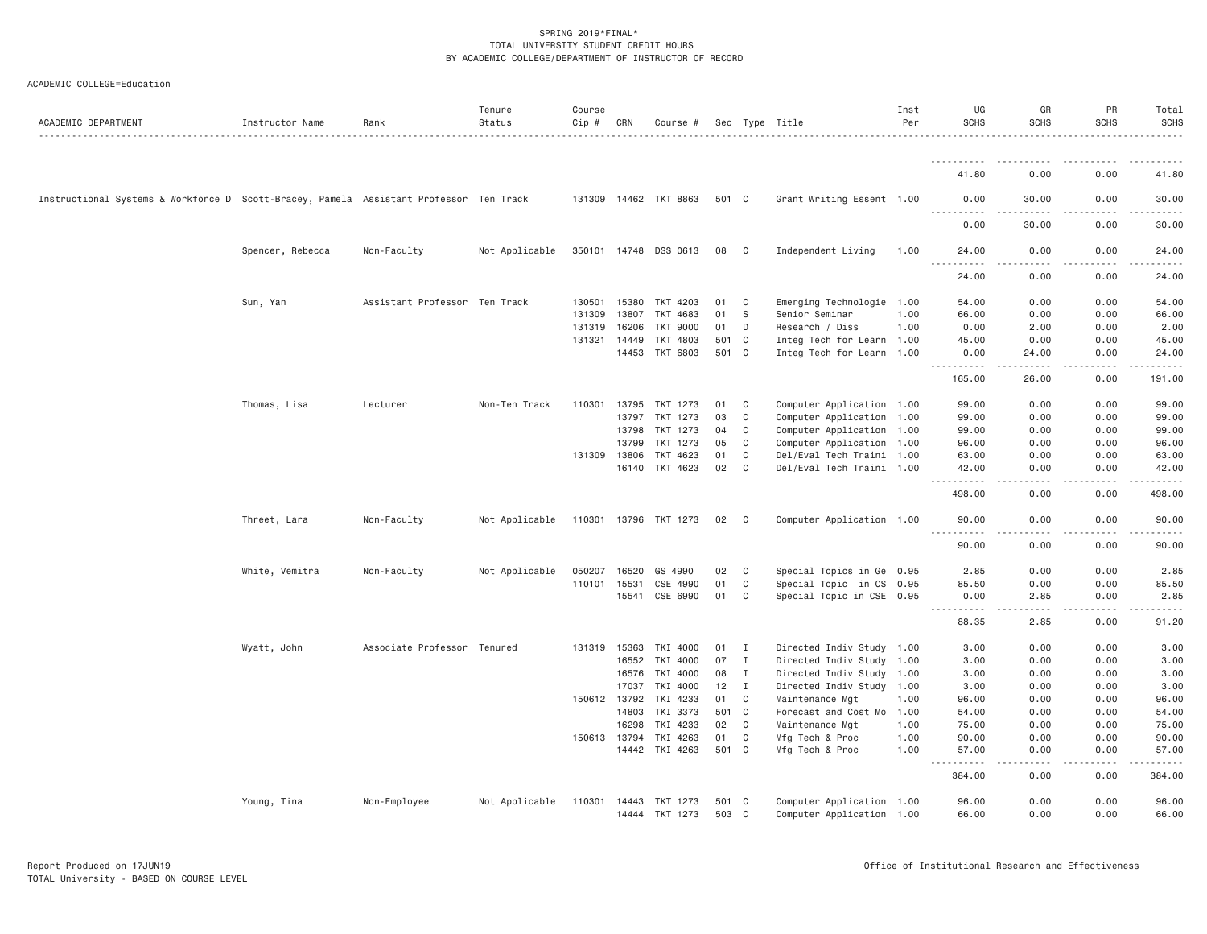| ACADEMIC DEPARTMENT                                                                    | Instructor Name  | Rank                          | Tenure<br>Status | Course<br>Cip # | CRN   | Course #              |       |              | Sec Type Title            | Inst<br>Per | UG<br><b>SCHS</b>                                                                                                                                                                           | GR<br><b>SCHS</b>                                                                                                                                             | PR<br><b>SCHS</b> | Total<br><b>SCHS</b> |
|----------------------------------------------------------------------------------------|------------------|-------------------------------|------------------|-----------------|-------|-----------------------|-------|--------------|---------------------------|-------------|---------------------------------------------------------------------------------------------------------------------------------------------------------------------------------------------|---------------------------------------------------------------------------------------------------------------------------------------------------------------|-------------------|----------------------|
|                                                                                        |                  |                               |                  |                 |       |                       |       |              |                           |             |                                                                                                                                                                                             |                                                                                                                                                               |                   |                      |
|                                                                                        |                  |                               |                  |                 |       |                       |       |              |                           |             | 41.80                                                                                                                                                                                       | 0.00                                                                                                                                                          | 0.00              | 41.80                |
| Instructional Systems & Workforce D Scott-Bracey, Pamela Assistant Professor Ten Track |                  |                               |                  |                 |       | 131309 14462 TKT 8863 | 501 C |              | Grant Writing Essent 1.00 |             | 0.00<br>$\sim$ $\sim$ $\sim$ $\sim$<br>$\frac{1}{2} \left( \frac{1}{2} \right) \left( \frac{1}{2} \right) \left( \frac{1}{2} \right) \left( \frac{1}{2} \right) \left( \frac{1}{2} \right)$ | 30.00<br>$\frac{1}{2} \left( \frac{1}{2} \right) \left( \frac{1}{2} \right) \left( \frac{1}{2} \right) \left( \frac{1}{2} \right) \left( \frac{1}{2} \right)$ | 0.00<br>-----     | 30.00                |
|                                                                                        |                  |                               |                  |                 |       |                       |       |              |                           |             | 0.00                                                                                                                                                                                        | 30.00                                                                                                                                                         | 0.00              | 30.00                |
|                                                                                        | Spencer, Rebecca | Non-Faculty                   | Not Applicable   |                 |       | 350101 14748 DSS 0613 | 08    | C            | Independent Living        | 1.00        | 24.00<br>$- - - - -$                                                                                                                                                                        | 0.00<br>.                                                                                                                                                     | 0.00<br>.         | 24.00<br>. <u>.</u>  |
|                                                                                        |                  |                               |                  |                 |       |                       |       |              |                           |             | 24.00                                                                                                                                                                                       | 0.00                                                                                                                                                          | 0.00              | 24.00                |
|                                                                                        | Sun, Yan         | Assistant Professor Ten Track |                  | 130501          | 15380 | TKT 4203              | 01    | C            | Emerging Technologie      | 1.00        | 54.00                                                                                                                                                                                       | 0.00                                                                                                                                                          | 0.00              | 54.00                |
|                                                                                        |                  |                               |                  | 131309          | 13807 | TKT 4683              | 01    | -S           | Senior Seminar            | 1.00        | 66.00                                                                                                                                                                                       | 0.00                                                                                                                                                          | 0.00              | 66.00                |
|                                                                                        |                  |                               |                  | 131319          | 16206 | <b>TKT 9000</b>       | 01    | D            | Research / Diss           | 1.00        | 0.00                                                                                                                                                                                        | 2.00                                                                                                                                                          | 0.00              | 2.00                 |
|                                                                                        |                  |                               |                  | 131321 14449    |       | TKT 4803              | 501   | $\mathbf{C}$ | Integ Tech for Learn 1.00 |             | 45.00                                                                                                                                                                                       | 0.00                                                                                                                                                          | 0.00              | 45.00                |
|                                                                                        |                  |                               |                  |                 |       | 14453 TKT 6803        | 501 C |              | Integ Tech for Learn 1.00 |             | 0.00<br><u> - - - - - - - - - -</u>                                                                                                                                                         | 24.00                                                                                                                                                         | 0.00              | 24.00                |
|                                                                                        |                  |                               |                  |                 |       |                       |       |              |                           |             | 165.00                                                                                                                                                                                      | 26.00                                                                                                                                                         | 0.00              | 191.00               |
|                                                                                        | Thomas, Lisa     | Lecturer                      | Non-Ten Track    | 110301 13795    |       | TKT 1273              | 01    | C            | Computer Application 1.00 |             | 99.00                                                                                                                                                                                       | 0.00                                                                                                                                                          | 0.00              | 99.00                |
|                                                                                        |                  |                               |                  |                 | 13797 | TKT 1273              | 03    | C            | Computer Application 1.00 |             | 99.00                                                                                                                                                                                       | 0.00                                                                                                                                                          | 0.00              | 99.00                |
|                                                                                        |                  |                               |                  |                 | 13798 | TKT 1273              | 04    | C            | Computer Application 1.00 |             | 99,00                                                                                                                                                                                       | 0.00                                                                                                                                                          | 0.00              | 99.00                |
|                                                                                        |                  |                               |                  |                 | 13799 | TKT 1273              | 05    | C            | Computer Application 1.00 |             | 96.00                                                                                                                                                                                       | 0.00                                                                                                                                                          | 0.00              | 96.00                |
|                                                                                        |                  |                               |                  | 131309 13806    |       | TKT 4623              | 01    | C            | Del/Eval Tech Traini 1.00 |             | 63.00                                                                                                                                                                                       | 0.00                                                                                                                                                          | 0.00              | 63.00                |
|                                                                                        |                  |                               |                  |                 |       | 16140 TKT 4623        | 02    | C            | Del/Eval Tech Traini 1.00 |             | 42.00                                                                                                                                                                                       | 0.00                                                                                                                                                          | 0.00              | 42.00                |
|                                                                                        |                  |                               |                  |                 |       |                       |       |              |                           |             | <u>.</u><br>498.00                                                                                                                                                                          | 0.00                                                                                                                                                          | .<br>0.00         | . <u>.</u><br>498.00 |
|                                                                                        | Threet, Lara     | Non-Faculty                   | Not Applicable   |                 |       | 110301 13796 TKT 1273 | 02    | C            | Computer Application 1.00 |             | 90.00                                                                                                                                                                                       | 0.00                                                                                                                                                          | 0.00              | 90.00                |
|                                                                                        |                  |                               |                  |                 |       |                       |       |              |                           |             | $- - - - -$<br>90.00                                                                                                                                                                        | .<br>0.00                                                                                                                                                     | <u>.</u><br>0.00  | .<br>90.00           |
|                                                                                        | White, Vemitra   | Non-Faculty                   | Not Applicable   | 050207          | 16520 | GS 4990               | 02    | C            | Special Topics in Ge 0.95 |             | 2.85                                                                                                                                                                                        | 0.00                                                                                                                                                          | 0.00              | 2.85                 |
|                                                                                        |                  |                               |                  | 110101 15531    |       | CSE 4990              | 01    | C            | Special Topic in CS 0.95  |             | 85.50                                                                                                                                                                                       | 0.00                                                                                                                                                          | 0.00              | 85.50                |
|                                                                                        |                  |                               |                  |                 | 15541 | CSE 6990              | 01    | C            | Special Topic in CSE 0.95 |             | 0.00<br>$\frac{1}{2} \left( \frac{1}{2} \right) \left( \frac{1}{2} \right) \left( \frac{1}{2} \right) \left( \frac{1}{2} \right)$<br>$\cdots \cdots \cdots$                                 | 2.85<br>.                                                                                                                                                     | 0.00<br>-----     | 2.85<br>. <u>.</u>   |
|                                                                                        |                  |                               |                  |                 |       |                       |       |              |                           |             | 88.35                                                                                                                                                                                       | 2.85                                                                                                                                                          | 0.00              | 91.20                |
|                                                                                        | Wyatt, John      | Associate Professor Tenured   |                  | 131319 15363    |       | TKI 4000              | 01    | $\mathbf{I}$ | Directed Indiv Study 1.00 |             | 3.00                                                                                                                                                                                        | 0.00                                                                                                                                                          | 0.00              | 3.00                 |
|                                                                                        |                  |                               |                  |                 | 16552 | TKI 4000              | 07    | I            | Directed Indiv Study 1.00 |             | 3.00                                                                                                                                                                                        | 0.00                                                                                                                                                          | 0.00              | 3.00                 |
|                                                                                        |                  |                               |                  |                 | 16576 | TKI 4000              | 08    | $\mathbf{I}$ | Directed Indiv Study 1.00 |             | 3.00                                                                                                                                                                                        | 0.00                                                                                                                                                          | 0.00              | 3.00                 |
|                                                                                        |                  |                               |                  |                 | 17037 | TKI 4000              | 12    | $\mathbf{I}$ | Directed Indiv Study 1.00 |             | 3.00                                                                                                                                                                                        | 0.00                                                                                                                                                          | 0.00              | 3.00                 |
|                                                                                        |                  |                               |                  | 150612 13792    |       | TKI 4233              | 01    | C            | Maintenance Mgt           | 1.00        | 96.00                                                                                                                                                                                       | 0.00                                                                                                                                                          | 0.00              | 96.00                |
|                                                                                        |                  |                               |                  |                 | 14803 | TKI 3373              | 501 C |              | Forecast and Cost Mo 1.00 |             | 54.00                                                                                                                                                                                       | 0.00                                                                                                                                                          | 0.00              | 54.00                |
|                                                                                        |                  |                               |                  |                 | 16298 | TKI 4233              | 02    | C            | Maintenance Mgt           | 1.00        | 75.00                                                                                                                                                                                       | 0.00                                                                                                                                                          | 0.00              | 75.00                |
|                                                                                        |                  |                               |                  | 150613 13794    |       | TKI 4263              | 01    | C            | Mfg Tech & Proc           | 1.00        | 90.00                                                                                                                                                                                       | 0.00                                                                                                                                                          | 0.00              | 90.00                |
|                                                                                        |                  |                               |                  |                 |       | 14442 TKI 4263        | 501 C |              | Mfg Tech & Proc           | 1.00        | 57.00                                                                                                                                                                                       | 0.00                                                                                                                                                          | 0.00              | 57.00                |
|                                                                                        |                  |                               |                  |                 |       |                       |       |              |                           |             | 384.00                                                                                                                                                                                      | 0.00                                                                                                                                                          | 0.00              | 384.00               |
|                                                                                        | Young, Tina      | Non-Employee                  | Not Applicable   | 110301 14443    |       | TKT 1273              | 501 C |              | Computer Application 1.00 |             | 96.00                                                                                                                                                                                       | 0.00                                                                                                                                                          | 0.00              | 96.00                |
|                                                                                        |                  |                               |                  |                 |       | 14444 TKT 1273        | 503   | $\mathbf{C}$ | Computer Application 1.00 |             | 66.00                                                                                                                                                                                       | 0.00                                                                                                                                                          | 0.00              | 66.00                |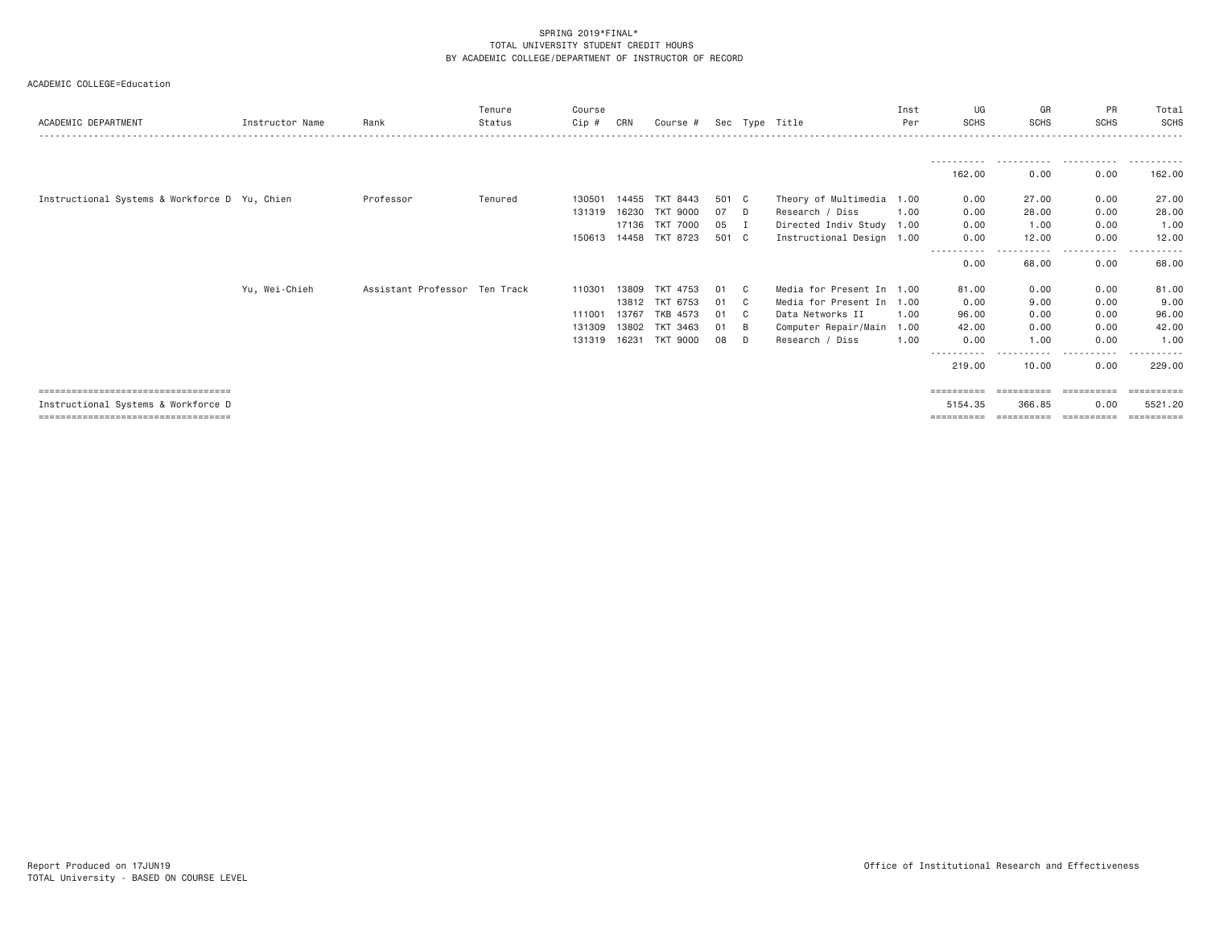| ACADEMIC DEPARTMENT                           | Instructor Name | Rank                          | Tenure<br>Status | Course<br>$Cip$ # | CRN   | Course #              |       |              | Sec Type Title            | Inst<br>Per | UG<br><b>SCHS</b>               | GR<br><b>SCHS</b> | <b>PR</b><br><b>SCHS</b> | Total<br>SCHS          |
|-----------------------------------------------|-----------------|-------------------------------|------------------|-------------------|-------|-----------------------|-------|--------------|---------------------------|-------------|---------------------------------|-------------------|--------------------------|------------------------|
|                                               |                 |                               |                  |                   |       |                       |       |              |                           |             |                                 |                   |                          |                        |
|                                               |                 |                               |                  |                   |       |                       |       |              |                           |             | - - - - - - - - - - -<br>162.00 | .<br>0.00         | .<br>0.00                | 162.00                 |
| Instructional Systems & Workforce D Yu, Chien |                 | Professor                     | Tenured          | 130501            | 14455 | TKT 8443              | 501 C |              | Theory of Multimedia 1.00 |             | 0.00                            | 27.00             | 0.00                     | 27.00                  |
|                                               |                 |                               |                  | 131319            | 16230 | <b>TKT 9000</b>       | 07    | D.           | Research / Diss           | 1.00        | 0.00                            | 28,00             | 0.00                     | 28.00                  |
|                                               |                 |                               |                  |                   |       | 17136 TKT 7000        | 05    | <b>I</b>     | Directed Indiv Study 1.00 |             | 0.00                            | 1.00              | 0.00                     | 1.00                   |
|                                               |                 |                               |                  |                   |       | 150613 14458 TKT 8723 | 501 C |              | Instructional Design 1.00 |             | 0.00                            | 12.00             | 0.00                     | 12.00                  |
|                                               |                 |                               |                  |                   |       |                       |       |              |                           |             | -----------<br>0.00             | ------<br>68.00   | .<br>0.00                | .<br>$\cdots$<br>68.00 |
|                                               | Yu, Wei-Chieh   | Assistant Professor Ten Track |                  | 110301            | 13809 | TKT 4753              | 01    | C.           | Media for Present In 1.00 |             | 81,00                           | 0.00              | 0.00                     | 81.00                  |
|                                               |                 |                               |                  |                   |       | 13812 TKT 6753        | 01    | $\mathbf{C}$ | Media for Present In 1.00 |             | 0.00                            | 9,00              | 0.00                     | 9.00                   |
|                                               |                 |                               |                  | 111001            | 13767 | TKB 4573              | 01    | C.           | Data Networks II          | 1.00        | 96.00                           | 0.00              | 0.00                     | 96.00                  |
|                                               |                 |                               |                  | 131309            | 13802 | TKT 3463              | 01    | B            | Computer Repair/Main      | 1.00        | 42.00                           | 0.00              | 0.00                     | 42.00                  |
|                                               |                 |                               |                  | 131319            | 16231 | <b>TKT 9000</b>       | 08    | D            | Research / Diss           | 1,00        | 0.00                            | 1.00              | 0.00                     | 1,00                   |
|                                               |                 |                               |                  |                   |       |                       |       |              |                           |             |                                 |                   |                          |                        |
|                                               |                 |                               |                  |                   |       |                       |       |              |                           |             | 219,00                          | 10.00             | 0.00                     | 229,00                 |
| =====================================         |                 |                               |                  |                   |       |                       |       |              |                           |             | ==========                      | ==========        | -----------              | ==========             |
| Instructional Systems & Workforce D           |                 |                               |                  |                   |       |                       |       |              |                           |             | 5154.35                         | 366,85            | 0.00                     | 5521.20                |
| =====================================         |                 |                               |                  |                   |       |                       |       |              |                           |             | ==========                      | ==========        | -----------              |                        |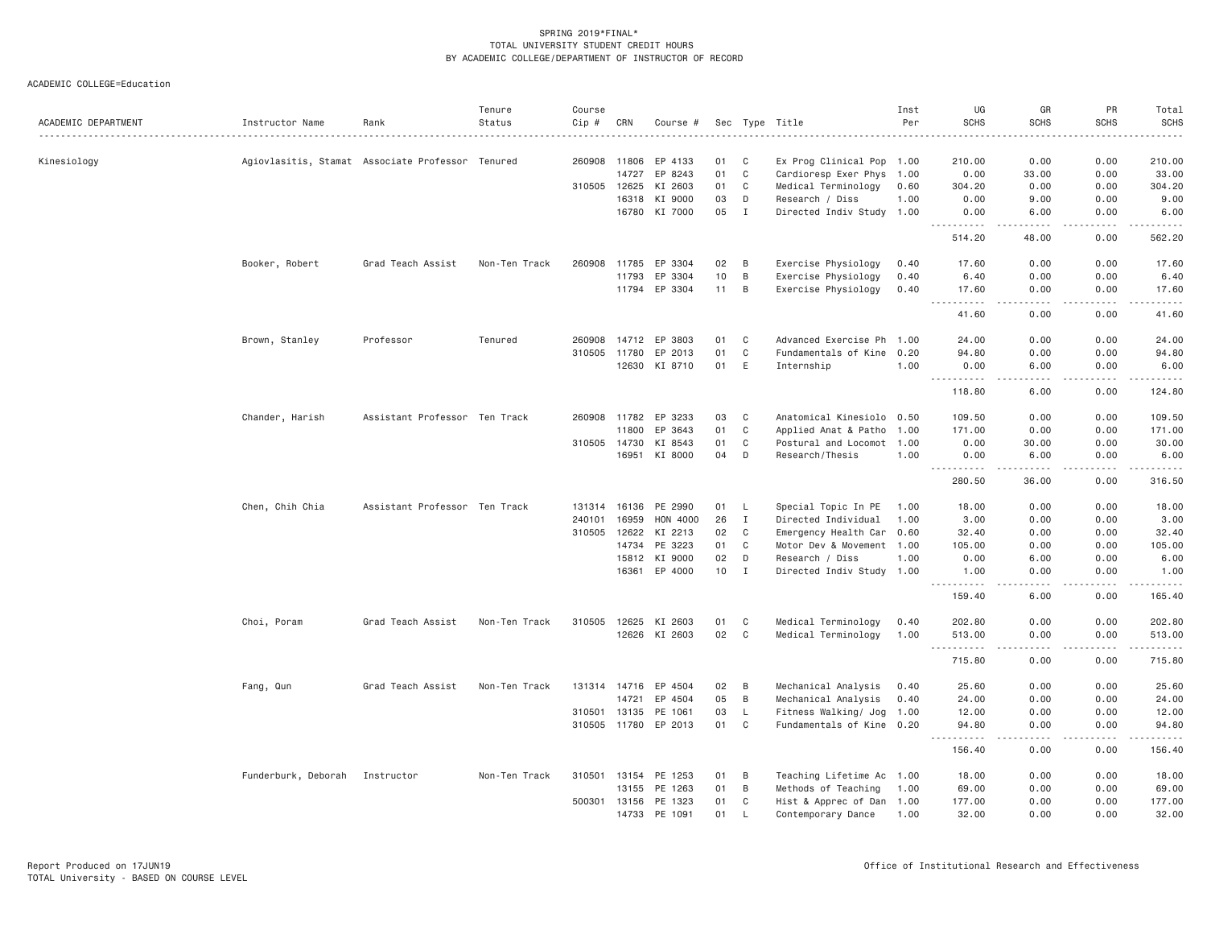| ACADEMIC DEPARTMENT | Instructor Name                | Rank                                             | Tenure<br>Status | Course<br>$Cip$ # | CRN   | Course #             |    |                | Sec Type Title            | Inst<br>Per | UG<br><b>SCHS</b>                                                                                                                                            | GR<br><b>SCHS</b>                                                                                                                 | PR<br><b>SCHS</b> | Total<br><b>SCHS</b> |
|---------------------|--------------------------------|--------------------------------------------------|------------------|-------------------|-------|----------------------|----|----------------|---------------------------|-------------|--------------------------------------------------------------------------------------------------------------------------------------------------------------|-----------------------------------------------------------------------------------------------------------------------------------|-------------------|----------------------|
|                     |                                |                                                  |                  |                   |       |                      |    |                |                           |             |                                                                                                                                                              |                                                                                                                                   |                   |                      |
| Kinesiology         |                                | Agiovlasitis, Stamat Associate Professor Tenured |                  | 260908 11806      |       | EP 4133              | 01 | C              | Ex Prog Clinical Pop 1.00 |             | 210.00                                                                                                                                                       | 0.00                                                                                                                              | 0.00              | 210.00               |
|                     |                                |                                                  |                  |                   | 14727 | EP 8243              | 01 | $\mathbf C$    | Cardioresp Exer Phys 1.00 |             | 0.00                                                                                                                                                         | 33.00                                                                                                                             | 0.00              | 33.00                |
|                     |                                |                                                  |                  | 310505            | 12625 | KI 2603              | 01 | C              | Medical Terminology       | 0.60        | 304.20                                                                                                                                                       | 0.00                                                                                                                              | 0.00              | 304.20               |
|                     |                                |                                                  |                  |                   | 16318 | KI 9000              | 03 | D              | Research / Diss           | 1.00        | 0.00                                                                                                                                                         | 9.00                                                                                                                              | 0.00              | 9.00                 |
|                     |                                |                                                  |                  |                   | 16780 | KI 7000              | 05 | $\mathbf I$    | Directed Indiv Study 1.00 |             | 0.00<br>$\frac{1}{2} \left( \frac{1}{2} \right) \left( \frac{1}{2} \right) \left( \frac{1}{2} \right) \left( \frac{1}{2} \right) \left( \frac{1}{2} \right)$ | 6.00<br>.                                                                                                                         | 0.00<br>لأعامل    | 6.00<br>.            |
|                     |                                |                                                  |                  |                   |       |                      |    |                |                           |             | 514.20                                                                                                                                                       | 48.00                                                                                                                             | 0.00              | 562.20               |
|                     | Booker, Robert                 | Grad Teach Assist                                | Non-Ten Track    | 260908            | 11785 | EP 3304              | 02 | B              | Exercise Physiology       | 0.40        | 17.60                                                                                                                                                        | 0.00                                                                                                                              | 0.00              | 17.60                |
|                     |                                |                                                  |                  |                   | 11793 | EP 3304              | 10 | $\overline{B}$ | Exercise Physiology       | 0.40        | 6.40                                                                                                                                                         | 0.00                                                                                                                              | 0.00              | 6.40                 |
|                     |                                |                                                  |                  |                   | 11794 | EP 3304              | 11 | B              | Exercise Physiology       | 0.40        | 17.60                                                                                                                                                        | 0.00                                                                                                                              | 0.00              | 17.60                |
|                     |                                |                                                  |                  |                   |       |                      |    |                |                           |             | .<br>$\sim$ $\sim$ $\sim$<br>41.60                                                                                                                           | د د د د<br>0.00                                                                                                                   | .<br>0.00         | .<br>41.60           |
|                     | Brown, Stanley                 | Professor                                        | Tenured          | 260908            | 14712 | EP 3803              | 01 | C              | Advanced Exercise Ph 1.00 |             | 24.00                                                                                                                                                        | 0.00                                                                                                                              | 0.00              | 24.00                |
|                     |                                |                                                  |                  | 310505 11780      |       | EP 2013              | 01 | C              | Fundamentals of Kine 0.20 |             | 94.80                                                                                                                                                        | 0.00                                                                                                                              | 0.00              | 94.80                |
|                     |                                |                                                  |                  |                   | 12630 | KI 8710              | 01 | E              | Internship                | 1.00        | 0.00                                                                                                                                                         | 6.00                                                                                                                              | 0.00              | 6.00                 |
|                     |                                |                                                  |                  |                   |       |                      |    |                |                           |             | <u> - - - - - - - - - -</u><br>118.80                                                                                                                        | $\sim$ $\sim$ $\sim$ $\sim$<br>6.00                                                                                               | .<br>0.00         | .<br>124.80          |
|                     | Chander, Harish                | Assistant Professor Ten Track                    |                  | 260908            | 11782 | EP 3233              | 03 | C              | Anatomical Kinesiolo 0.50 |             | 109.50                                                                                                                                                       | 0.00                                                                                                                              | 0.00              | 109.50               |
|                     |                                |                                                  |                  |                   | 11800 | EP 3643              | 01 | $\mathbb C$    | Applied Anat & Patho 1.00 |             | 171.00                                                                                                                                                       | 0.00                                                                                                                              | 0.00              | 171.00               |
|                     |                                |                                                  |                  | 310505 14730      |       | KI 8543              | 01 | $\mathbf C$    | Postural and Locomot 1.00 |             | 0.00                                                                                                                                                         | 30.00                                                                                                                             | 0.00              | 30.00                |
|                     |                                |                                                  |                  |                   | 16951 | KI 8000              | 04 | D              | Research/Thesis           | 1.00        | 0.00                                                                                                                                                         | 6.00                                                                                                                              | 0.00              | 6.00                 |
|                     |                                |                                                  |                  |                   |       |                      |    |                |                           |             | ----------<br>280.50                                                                                                                                         | .<br>36.00                                                                                                                        | <u>.</u><br>0.00  | ------<br>316.50     |
|                     | Chen, Chih Chia                | Assistant Professor Ten Track                    |                  | 131314 16136      |       | PE 2990              | 01 | -L             | Special Topic In PE       | 1.00        | 18.00                                                                                                                                                        | 0.00                                                                                                                              | 0.00              | 18.00                |
|                     |                                |                                                  |                  | 240101            | 16959 | HON 4000             | 26 | $\mathbf I$    | Directed Individual       | 1.00        | 3.00                                                                                                                                                         | 0.00                                                                                                                              | 0.00              | 3.00                 |
|                     |                                |                                                  |                  | 310505            | 12622 | KI 2213              | 02 | C              | Emergency Health Car 0.60 |             | 32.40                                                                                                                                                        | 0.00                                                                                                                              | 0.00              | 32.40                |
|                     |                                |                                                  |                  |                   | 14734 | PE 3223              | 01 | C              | Motor Dev & Movement 1.00 |             | 105.00                                                                                                                                                       | 0.00                                                                                                                              | 0.00              | 105.00               |
|                     |                                |                                                  |                  |                   | 15812 | KI 9000              | 02 | D              | Research / Diss           | 1.00        | 0.00                                                                                                                                                         | 6.00                                                                                                                              | 0.00              | 6.00                 |
|                     |                                |                                                  |                  |                   |       | 16361 EP 4000        | 10 | $\mathbf I$    | Directed Indiv Study 1.00 |             | 1.00                                                                                                                                                         | 0.00                                                                                                                              | 0.00              | 1.00                 |
|                     |                                |                                                  |                  |                   |       |                      |    |                |                           |             | <b></b><br>159.40                                                                                                                                            | د د د د<br>6.00                                                                                                                   | -----<br>0.00     | 165.40               |
|                     | Choi, Poram                    | Grad Teach Assist                                | Non-Ten Track    | 310505 12625      |       | KI 2603              | 01 | C              | Medical Terminology       | 0.40        | 202.80                                                                                                                                                       | 0.00                                                                                                                              | 0.00              | 202.80               |
|                     |                                |                                                  |                  |                   |       | 12626 KI 2603        | 02 | $\mathbf C$    | Medical Terminology       | 1.00        | 513.00                                                                                                                                                       | 0.00                                                                                                                              | 0.00              | 513.00               |
|                     |                                |                                                  |                  |                   |       |                      |    |                |                           |             | <u> - - - - - - - - - -</u><br>715.80                                                                                                                        | د د د د<br>0.00                                                                                                                   | .<br>0.00         | .<br>715.80          |
|                     | Fang, Qun                      | Grad Teach Assist                                | Non-Ten Track    | 131314 14716      |       | EP 4504              | 02 | B              | Mechanical Analysis       | 0.40        | 25.60                                                                                                                                                        | 0.00                                                                                                                              | 0.00              | 25.60                |
|                     |                                |                                                  |                  |                   | 14721 | EP 4504              | 05 | B              | Mechanical Analysis       | 0.40        | 24.00                                                                                                                                                        | 0.00                                                                                                                              | 0.00              | 24.00                |
|                     |                                |                                                  |                  | 310501            | 13135 | PE 1061              | 03 | L              | Fitness Walking/ Jog 1.00 |             | 12.00                                                                                                                                                        | 0.00                                                                                                                              | 0.00              | 12.00                |
|                     |                                |                                                  |                  |                   |       | 310505 11780 EP 2013 | 01 | C              | Fundamentals of Kine 0.20 |             | 94.80                                                                                                                                                        | 0.00                                                                                                                              | 0.00              | 94.80                |
|                     |                                |                                                  |                  |                   |       |                      |    |                |                           |             | 156.40                                                                                                                                                       | $\frac{1}{2} \left( \frac{1}{2} \right) \left( \frac{1}{2} \right) \left( \frac{1}{2} \right) \left( \frac{1}{2} \right)$<br>0.00 | -----<br>0.00     | .<br>156.40          |
|                     | Funderburk, Deborah Instructor |                                                  | Non-Ten Track    | 310501 13154      |       | PE 1253              | 01 | B              | Teaching Lifetime Ac 1.00 |             | 18.00                                                                                                                                                        | 0.00                                                                                                                              | 0.00              | 18.00                |
|                     |                                |                                                  |                  |                   | 13155 | PE 1263              | 01 | B              | Methods of Teaching       | 1.00        | 69.00                                                                                                                                                        | 0.00                                                                                                                              | 0.00              | 69.00                |
|                     |                                |                                                  |                  | 500301            | 13156 | PE 1323              | 01 | C              | Hist & Apprec of Dan 1.00 |             | 177.00                                                                                                                                                       | 0.00                                                                                                                              | 0.00              | 177.00               |
|                     |                                |                                                  |                  |                   | 14733 | PE 1091              | 01 | -1             | Contemporary Dance        | 1.00        | 32.00                                                                                                                                                        | 0.00                                                                                                                              | 0.00              | 32.00                |
|                     |                                |                                                  |                  |                   |       |                      |    |                |                           |             |                                                                                                                                                              |                                                                                                                                   |                   |                      |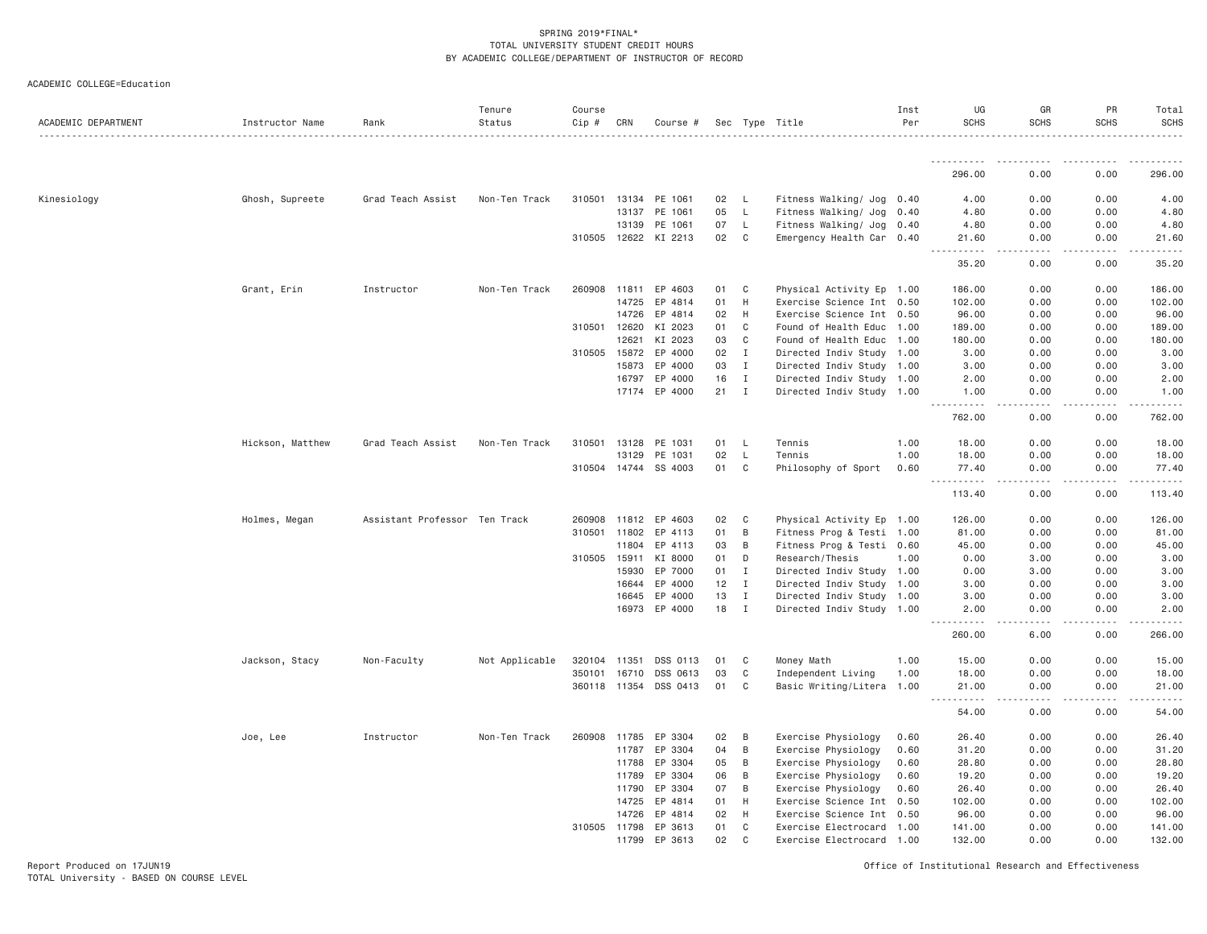| ACADEMIC DEPARTMENT | Instructor Name  | Rank                          | Tenure<br>Status | Course<br>Cip # | CRN   | Course #              |        |              | Sec Type Title            | Inst<br>Per | UG<br><b>SCHS</b> | GR<br><b>SCHS</b> | PR<br><b>SCHS</b> | Total<br><b>SCHS</b> |
|---------------------|------------------|-------------------------------|------------------|-----------------|-------|-----------------------|--------|--------------|---------------------------|-------------|-------------------|-------------------|-------------------|----------------------|
|                     |                  |                               |                  |                 |       |                       |        |              |                           |             | ----------        |                   |                   |                      |
|                     |                  |                               |                  |                 |       |                       |        |              |                           |             | 296.00            | 0.00              | 0.00              | 296.00               |
| Kinesiology         | Ghosh, Supreete  | Grad Teach Assist             | Non-Ten Track    | 310501          |       | 13134 PE 1061         | 02     | <b>L</b>     | Fitness Walking/ Jog 0.40 |             | 4.00              | 0.00              | 0.00              | 4.00                 |
|                     |                  |                               |                  |                 | 13137 | PE 1061               | 05     | $\mathsf{L}$ | Fitness Walking/ Jog      | 0.40        | 4.80              | 0.00              | 0.00              | 4.80                 |
|                     |                  |                               |                  |                 | 13139 | PE 1061               | 07     | L            | Fitness Walking/ Jog 0.40 |             | 4.80              | 0.00              | 0.00              | 4.80                 |
|                     |                  |                               |                  |                 |       | 310505 12622 KI 2213  | 02     | C            | Emergency Health Car 0.40 |             | 21.60             | 0.00              | 0.00              | 21.60                |
|                     |                  |                               |                  |                 |       |                       |        |              |                           |             | 35.20             | 0.00              | 0.00              | 35.20                |
|                     | Grant, Erin      | Instructor                    | Non-Ten Track    | 260908          | 11811 | EP 4603               | 01     | C            | Physical Activity Ep 1.00 |             | 186.00            | 0.00              | 0.00              | 186.00               |
|                     |                  |                               |                  |                 | 14725 | EP 4814               | 01     | H            | Exercise Science Int 0.50 |             | 102.00            | 0.00              | 0.00              | 102.00               |
|                     |                  |                               |                  |                 | 14726 | EP 4814               | 02     | H            | Exercise Science Int 0.50 |             | 96.00             | 0.00              | 0.00              | 96.00                |
|                     |                  |                               |                  | 310501          | 12620 | KI 2023               | 01     | C            | Found of Health Educ      | 1.00        | 189.00            | 0.00              | 0.00              | 189.00               |
|                     |                  |                               |                  |                 | 12621 | KI 2023               | 03     | C            | Found of Health Educ 1.00 |             | 180.00            | 0.00              | 0.00              | 180.00               |
|                     |                  |                               |                  | 310505 15872    |       | EP 4000               | 02     | $\mathbf{I}$ | Directed Indiv Study 1.00 |             | 3.00              | 0.00              | 0.00              | 3.00                 |
|                     |                  |                               |                  |                 | 15873 | EP 4000               | 03     | $\mathbf{I}$ | Directed Indiv Study      | 1.00        | 3.00              | 0.00              | 0.00              | 3.00                 |
|                     |                  |                               |                  |                 | 16797 | EP 4000               | 16     | $\mathbf{I}$ | Directed Indiv Study 1.00 |             | 2.00              | 0.00              | 0.00              | 2.00                 |
|                     |                  |                               |                  |                 |       | 17174 EP 4000         | $21$ I |              | Directed Indiv Study 1.00 |             | 1.00              | 0.00              | 0.00              | 1.00                 |
|                     |                  |                               |                  |                 |       |                       |        |              |                           |             | 762.00            | 0.00              | 0.00              | 762.00               |
|                     | Hickson, Matthew | Grad Teach Assist             | Non-Ten Track    | 310501          | 13128 | PE 1031               | 01 L   |              | Tennis                    | 1.00        | 18.00             | 0.00              | 0.00              | 18.00                |
|                     |                  |                               |                  |                 | 13129 | PE 1031               | 02     | L            | Tennis                    | 1.00        | 18.00             | 0.00              | 0.00              | 18.00                |
|                     |                  |                               |                  |                 |       | 310504 14744 SS 4003  | 01     | C            | Philosophy of Sport       | 0.60        | 77.40<br>.        | 0.00<br>-----     | 0.00<br>.         | 77.40                |
|                     |                  |                               |                  |                 |       |                       |        |              |                           |             | 113.40            | 0.00              | 0.00              | 113.40               |
|                     | Holmes, Megan    | Assistant Professor Ten Track |                  | 260908          | 11812 | EP 4603               | 02     | C            | Physical Activity Ep 1.00 |             | 126.00            | 0.00              | 0.00              | 126.00               |
|                     |                  |                               |                  | 310501 11802    |       | EP 4113               | 01     | B            | Fitness Prog & Testi 1.00 |             | 81.00             | 0.00              | 0.00              | 81.00                |
|                     |                  |                               |                  |                 | 11804 | EP 4113               | 03     | B            | Fitness Prog & Testi 0.60 |             | 45.00             | 0.00              | 0.00              | 45.00                |
|                     |                  |                               |                  | 310505          | 15911 | KI 8000               | 01     | D            | Research/Thesis           | 1.00        | 0.00              | 3.00              | 0.00              | 3.00                 |
|                     |                  |                               |                  |                 | 15930 | EP 7000               | 01     | I            | Directed Indiv Study 1.00 |             | 0.00              | 3.00              | 0.00              | 3.00                 |
|                     |                  |                               |                  |                 | 16644 | EP 4000               | 12     | $\mathbf{I}$ | Directed Indiv Study 1.00 |             | 3.00              | 0.00              | 0.00              | 3.00                 |
|                     |                  |                               |                  |                 | 16645 | EP 4000               | 13     | Ι.           | Directed Indiv Study      | 1.00        | 3.00              | 0.00              | 0.00              | 3.00                 |
|                     |                  |                               |                  |                 |       | 16973 EP 4000         | 18     | $\mathbf{I}$ | Directed Indiv Study 1.00 |             | 2.00<br><u>.</u>  | 0.00<br>.         | 0.00<br>.         | 2.00                 |
|                     |                  |                               |                  |                 |       |                       |        |              |                           |             | 260.00            | 6.00              | 0.00              | 266.00               |
|                     | Jackson, Stacy   | Non-Faculty                   | Not Applicable   | 320104          | 11351 | DSS 0113              | 01     | C            | Money Math                | 1.00        | 15.00             | 0.00              | 0.00              | 15.00                |
|                     |                  |                               |                  | 350101          | 16710 | DSS 0613              | 03     | C            | Independent Living        | 1.00        | 18.00             | 0.00              | 0.00              | 18.00                |
|                     |                  |                               |                  |                 |       | 360118 11354 DSS 0413 | 01     | C            | Basic Writing/Litera 1.00 |             | 21.00             | 0.00              | 0.00              | 21.00                |
|                     |                  |                               |                  |                 |       |                       |        |              |                           |             | .<br>54.00        | 0.00              | 0.00              | 54.00                |
|                     | Joe, Lee         | Instructor                    | Non-Ten Track    | 260908 11785    |       | EP 3304               | 02     | B            | Exercise Physiology       | 0.60        | 26.40             | 0.00              | 0.00              | 26.40                |
|                     |                  |                               |                  |                 | 11787 | EP 3304               | 04     | B            | Exercise Physiology       | 0.60        | 31.20             | 0.00              | 0.00              | 31.20                |
|                     |                  |                               |                  |                 | 11788 | EP 3304               | 05     | B            | Exercise Physiology       | 0.60        | 28.80             | 0.00              | 0.00              | 28.80                |
|                     |                  |                               |                  |                 | 11789 | EP 3304               | 06     | B            | Exercise Physiology       | 0.60        | 19.20             | 0.00              | 0.00              | 19.20                |
|                     |                  |                               |                  |                 | 11790 | EP 3304               | 07     | B            | Exercise Physiology       | 0.60        | 26.40             | 0.00              | 0.00              | 26.40                |
|                     |                  |                               |                  |                 | 14725 | EP 4814               | 01     | H            | Exercise Science Int 0.50 |             | 102.00            | 0.00              | 0.00              | 102.00               |
|                     |                  |                               |                  |                 | 14726 | EP 4814               | 02     | H            | Exercise Science Int      | 0.50        | 96.00             | 0.00              | 0.00              | 96.00                |
|                     |                  |                               |                  | 310505 11798    |       | EP 3613               | 01     | C            | Exercise Electrocard      | 1.00        | 141.00            | 0.00              | 0.00              | 141.00               |
|                     |                  |                               |                  |                 | 11799 | EP 3613               | 02     | $\mathsf{C}$ | Exercise Electrocard 1.00 |             | 132.00            | 0.00              | 0.00              | 132.00               |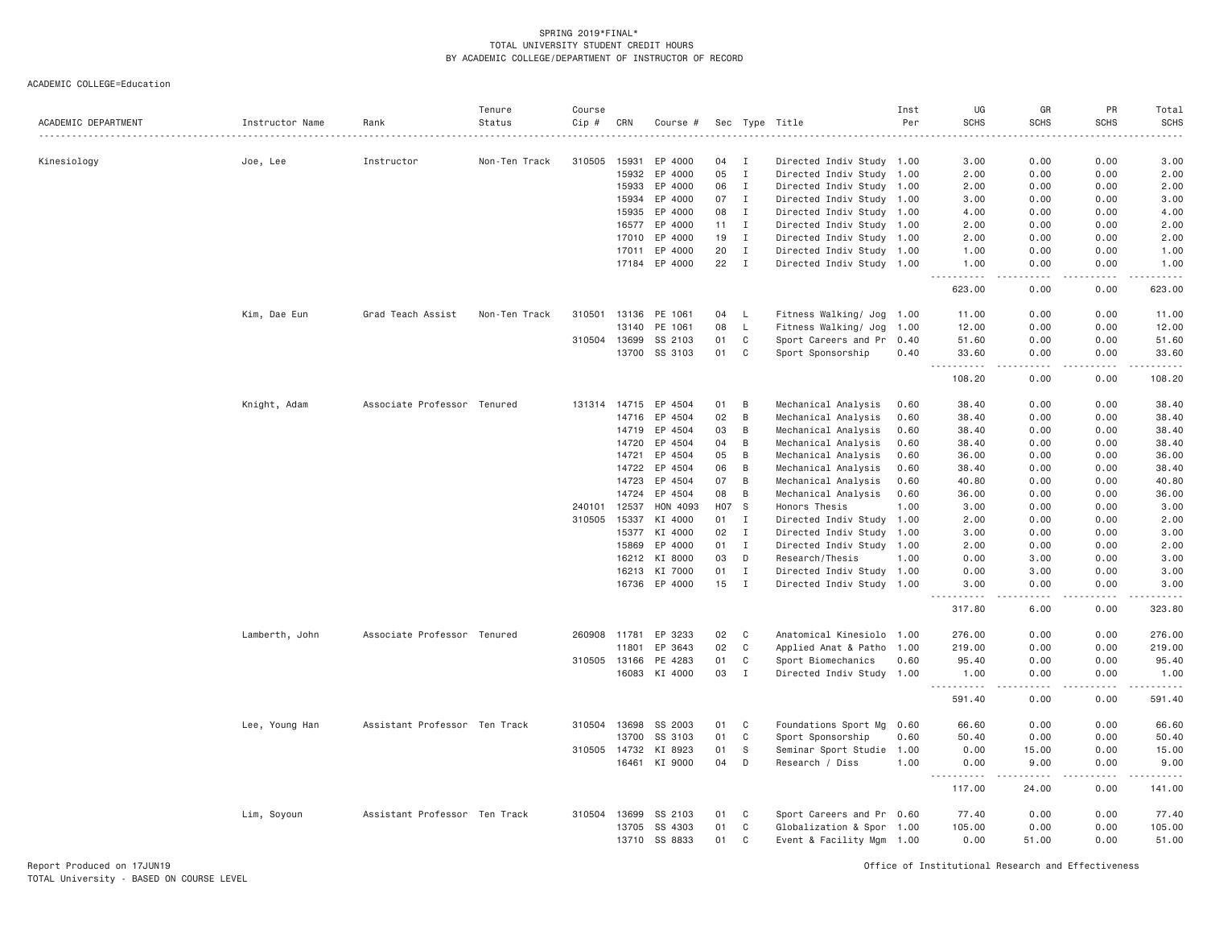ACADEMIC COLLEGE=Education

| ACADEMIC DEPARTMENT | Instructor Name | Rank                          | Tenure<br>Status | Course<br>Cip # | CRN            | Course #           |          |                   | Sec Type Title                                         | Inst<br>Per | UG<br><b>SCHS</b> | GR<br><b>SCHS</b>            | PR<br><b>SCHS</b>            | Total<br><b>SCHS</b>                                                                                                                                         |
|---------------------|-----------------|-------------------------------|------------------|-----------------|----------------|--------------------|----------|-------------------|--------------------------------------------------------|-------------|-------------------|------------------------------|------------------------------|--------------------------------------------------------------------------------------------------------------------------------------------------------------|
|                     |                 |                               |                  |                 |                |                    |          |                   |                                                        |             |                   |                              |                              |                                                                                                                                                              |
| Kinesiology         | Joe, Lee        | Instructor                    | Non-Ten Track    | 310505          | 15931<br>15932 | EP 4000<br>EP 4000 | 04<br>05 | Ι<br>$\mathbf{I}$ | Directed Indiv Study 1.00                              |             | 3.00<br>2.00      | 0.00<br>0.00                 | 0.00<br>0.00                 | 3.00<br>2.00                                                                                                                                                 |
|                     |                 |                               |                  |                 | 15933          | EP 4000            | 06       | $\mathbf{I}$      | Directed Indiv Study 1.00<br>Directed Indiv Study 1.00 |             | 2.00              | 0.00                         | 0.00                         | 2.00                                                                                                                                                         |
|                     |                 |                               |                  |                 | 15934          | EP 4000            | 07       | $\mathbf{I}$      | Directed Indiv Study 1.00                              |             |                   |                              |                              |                                                                                                                                                              |
|                     |                 |                               |                  |                 | 15935          | EP 4000            | 08       | I                 | Directed Indiv Study 1.00                              |             | 3.00<br>4.00      | 0.00<br>0.00                 | 0.00<br>0.00                 | 3.00<br>4.00                                                                                                                                                 |
|                     |                 |                               |                  |                 | 16577          | EP 4000            | 11       | $\mathbf{I}$      | Directed Indiv Study 1.00                              |             | 2.00              | 0.00                         | 0.00                         | 2.00                                                                                                                                                         |
|                     |                 |                               |                  |                 | 17010          | EP 4000            | 19       | $\mathbf I$       | Directed Indiv Study 1.00                              |             | 2.00              | 0.00                         | 0.00                         | 2.00                                                                                                                                                         |
|                     |                 |                               |                  |                 | 17011          | EP 4000            | 20       | $\mathbf{I}$      | Directed Indiv Study 1.00                              |             | 1.00              | 0.00                         | 0.00                         | 1.00                                                                                                                                                         |
|                     |                 |                               |                  |                 |                | 17184 EP 4000      | 22       | $\mathbf{I}$      | Directed Indiv Study 1.00                              |             | 1.00              | 0.00                         | 0.00                         | 1.00                                                                                                                                                         |
|                     |                 |                               |                  |                 |                |                    |          |                   |                                                        |             | .<br>623.00       | .<br>0.00                    | .<br>0.00                    | .<br>623.00                                                                                                                                                  |
|                     | Kim, Dae Eun    | Grad Teach Assist             | Non-Ten Track    | 310501          | 13136          | PE 1061            | 04       | L                 | Fitness Walking/ Jog 1.00                              |             | 11.00             | 0.00                         | 0.00                         | 11.00                                                                                                                                                        |
|                     |                 |                               |                  |                 | 13140          | PE 1061            | 08       | L                 | Fitness Walking/ Jog                                   | 1.00        | 12.00             | 0.00                         | 0.00                         | 12.00                                                                                                                                                        |
|                     |                 |                               |                  | 310504          | 13699          | SS 2103            | 01       | C                 | Sport Careers and Pr                                   | 0.40        | 51.60             | 0.00                         | 0.00                         | 51.60                                                                                                                                                        |
|                     |                 |                               |                  |                 | 13700          | SS 3103            | 01       | C                 | Sport Sponsorship                                      | 0.40        | 33.60<br>.        | 0.00<br>.                    | 0.00<br>.                    | 33.60<br><u>.</u>                                                                                                                                            |
|                     |                 |                               |                  |                 |                |                    |          |                   |                                                        |             | 108.20            | 0.00                         | 0.00                         | 108.20                                                                                                                                                       |
|                     | Knight, Adam    | Associate Professor Tenured   |                  |                 | 131314 14715   | EP 4504            | 01       | B                 | Mechanical Analysis                                    | 0.60        | 38.40             | 0.00                         | 0.00                         | 38.40                                                                                                                                                        |
|                     |                 |                               |                  |                 | 14716          | EP 4504            | 02       | B                 | Mechanical Analysis                                    | 0.60        | 38.40             | 0.00                         | 0.00                         | 38.40                                                                                                                                                        |
|                     |                 |                               |                  |                 | 14719          | EP 4504            | 03       | B                 | Mechanical Analysis                                    | 0.60        | 38.40             | 0.00                         | 0.00                         | 38.40                                                                                                                                                        |
|                     |                 |                               |                  |                 | 14720          | EP 4504            | 04       | B                 | Mechanical Analysis                                    | 0.60        | 38.40             | 0.00                         | 0.00                         | 38.40                                                                                                                                                        |
|                     |                 |                               |                  |                 | 14721          | EP 4504            | 05       | B                 | Mechanical Analysis                                    | 0.60        | 36.00             | 0.00                         | 0.00                         | 36.00                                                                                                                                                        |
|                     |                 |                               |                  |                 | 14722          | EP 4504            | 06       | B                 | Mechanical Analysis                                    | 0.60        | 38.40             | 0.00                         | 0.00                         | 38.40                                                                                                                                                        |
|                     |                 |                               |                  |                 | 14723          | EP 4504            | 07       | B                 | Mechanical Analysis                                    | 0.60        | 40.80             | 0.00                         | 0.00                         | 40.80                                                                                                                                                        |
|                     |                 |                               |                  |                 | 14724          | EP 4504            | 08       | B                 | Mechanical Analysis                                    | 0.60        | 36.00             | 0.00                         | 0.00                         | 36.00                                                                                                                                                        |
|                     |                 |                               |                  | 240101          | 12537          | HON 4093           | H07 S    |                   | Honors Thesis                                          | 1.00        | 3.00              | 0.00                         | 0.00                         | 3.00                                                                                                                                                         |
|                     |                 |                               |                  | 310505          | 15337          | KI 4000            | 01       | I                 | Directed Indiv Study 1.00                              |             | 2.00              | 0.00                         | 0.00                         | 2.00                                                                                                                                                         |
|                     |                 |                               |                  |                 | 15377          | KI 4000            | 02       | I                 | Directed Indiv Study 1.00                              |             | 3.00              | 0.00                         | 0.00                         | 3.00                                                                                                                                                         |
|                     |                 |                               |                  |                 | 15869          | EP 4000            | 01       | $\mathbf{I}$      | Directed Indiv Study 1.00                              |             | 2.00              | 0.00                         | 0.00                         | 2.00                                                                                                                                                         |
|                     |                 |                               |                  |                 | 16212          | KI 8000            | 03       | D                 | Research/Thesis                                        | 1.00        | 0.00              | 3.00                         | 0.00                         | 3.00                                                                                                                                                         |
|                     |                 |                               |                  |                 | 16213          | KI 7000            | 01       | $\mathbf I$       | Directed Indiv Study 1.00                              |             | 0.00              | 3.00                         | 0.00                         | 3.00                                                                                                                                                         |
|                     |                 |                               |                  |                 |                | 16736 EP 4000      | 15       | I                 | Directed Indiv Study 1.00                              |             | 3.00<br>.         | 0.00                         | 0.00                         | 3.00<br>.                                                                                                                                                    |
|                     |                 |                               |                  |                 |                |                    |          |                   |                                                        |             | 317.80            | 6.00                         | 0.00                         | 323.80                                                                                                                                                       |
|                     | Lamberth, John  | Associate Professor Tenured   |                  |                 | 260908 11781   | EP 3233            | 02       | C                 | Anatomical Kinesiolo 1.00                              |             | 276.00            | 0.00                         | 0.00                         | 276.00                                                                                                                                                       |
|                     |                 |                               |                  |                 | 11801          | EP 3643            | 02       | $\mathbf C$       | Applied Anat & Patho                                   | 1.00        | 219.00            | 0.00                         | 0.00                         | 219.00                                                                                                                                                       |
|                     |                 |                               |                  | 310505          | 13166          | PE 4283            | 01       | C                 | Sport Biomechanics                                     | 0.60        | 95.40             | 0.00                         | 0.00                         | 95.40                                                                                                                                                        |
|                     |                 |                               |                  |                 | 16083          | KI 4000            | 03       | $\mathbf I$       | Directed Indiv Study 1.00                              |             | 1.00<br>.         | 0.00<br>$\sim$ $\sim$ $\sim$ | 0.00<br>$\sim$ $\sim$ $\sim$ | 1.00<br>$\frac{1}{2} \left( \frac{1}{2} \right) \left( \frac{1}{2} \right) \left( \frac{1}{2} \right) \left( \frac{1}{2} \right) \left( \frac{1}{2} \right)$ |
|                     |                 |                               |                  |                 |                |                    |          |                   |                                                        |             | 591.40            | 0.00                         | 0.00                         | 591.40                                                                                                                                                       |
|                     | Lee, Young Han  | Assistant Professor Ten Track |                  | 310504          | 13698          | SS 2003            | 01       | C                 | Foundations Sport Mg                                   | 0.60        | 66.60             | 0.00                         | 0.00                         | 66.60                                                                                                                                                        |
|                     |                 |                               |                  |                 | 13700          | SS 3103            | 01       | C                 | Sport Sponsorship                                      | 0.60        | 50.40             | 0.00                         | 0.00                         | 50.40                                                                                                                                                        |
|                     |                 |                               |                  | 310505 14732    |                | KI 8923            | 01       | S                 | Seminar Sport Studie 1.00                              |             | 0.00              | 15.00                        | 0.00                         | 15.00                                                                                                                                                        |
|                     |                 |                               |                  |                 | 16461          | KI 9000            | 04       | D                 | Research / Diss                                        | 1.00        | 0.00<br>-----     | 9.00                         | 0.00                         | 9.00<br>المالم عامات                                                                                                                                         |
|                     |                 |                               |                  |                 |                |                    |          |                   |                                                        |             | 117.00            | 24.00                        | 0.00                         | 141.00                                                                                                                                                       |
|                     | Lim, Soyoun     | Assistant Professor Ten Track |                  | 310504          | 13699          | SS 2103            | 01       | C                 | Sport Careers and Pr 0.60                              |             | 77.40             | 0.00                         | 0.00                         | 77.40                                                                                                                                                        |
|                     |                 |                               |                  |                 | 13705          | SS 4303            | 01       | C                 | Globalization & Spor 1.00                              |             | 105.00            | 0.00                         | 0.00                         | 105.00                                                                                                                                                       |
|                     |                 |                               |                  |                 | 13710          | SS 8833            | 01       | C                 | Event & Facility Mgm 1.00                              |             | 0.00              | 51.00                        | 0.00                         | 51.00                                                                                                                                                        |

Report Produced on 17JUN19 Office of Institutional Research and Effectiveness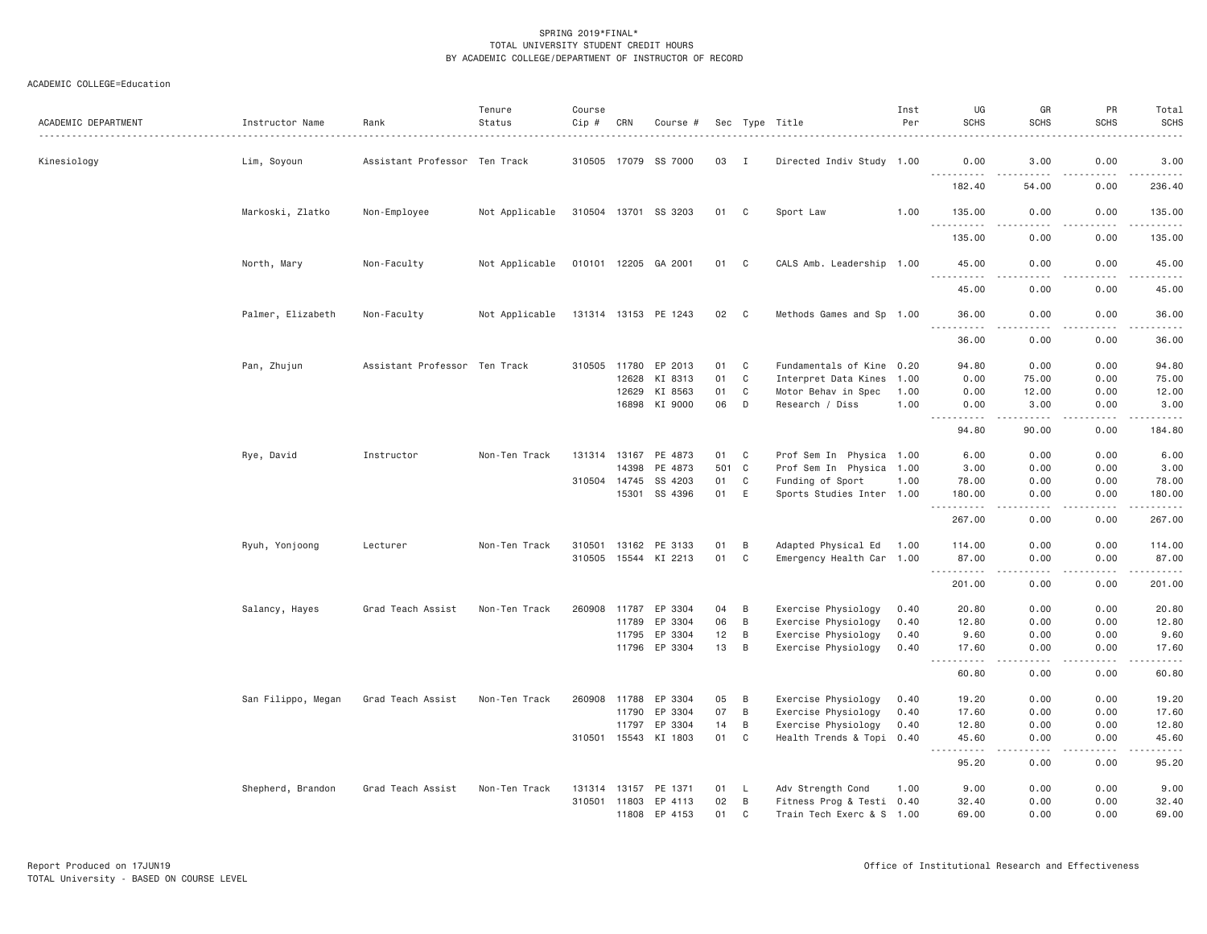| ACADEMIC DEPARTMENT | Instructor Name    | Rank                          | Tenure<br>Status | Course<br>Cip # | CRN   | Course #             |       |              | Sec Type Title            | Inst<br>Per | UG<br><b>SCHS</b>                                                                                                                                                | GR<br><b>SCHS</b>                                                                                                                                                | PR<br><b>SCHS</b>     | Total<br><b>SCHS</b>                                                                                                                                                                     |
|---------------------|--------------------|-------------------------------|------------------|-----------------|-------|----------------------|-------|--------------|---------------------------|-------------|------------------------------------------------------------------------------------------------------------------------------------------------------------------|------------------------------------------------------------------------------------------------------------------------------------------------------------------|-----------------------|------------------------------------------------------------------------------------------------------------------------------------------------------------------------------------------|
| Kinesiology         | Lim, Soyoun        | Assistant Professor Ten Track |                  |                 |       | 310505 17079 SS 7000 | 03    | $\mathbf{I}$ | Directed Indiv Study 1.00 |             | 0.00                                                                                                                                                             | 3.00                                                                                                                                                             | 0.00                  | 3.00                                                                                                                                                                                     |
|                     |                    |                               |                  |                 |       |                      |       |              |                           |             | <u>.</u><br>182.40                                                                                                                                               | .<br>54.00                                                                                                                                                       | .<br>0.00             | .<br>236.40                                                                                                                                                                              |
|                     | Markoski, Zlatko   | Non-Employee                  | Not Applicable   |                 |       | 310504 13701 SS 3203 | 01    | C            | Sport Law                 | 1.00        | 135.00                                                                                                                                                           | 0.00                                                                                                                                                             | 0.00                  | 135.00                                                                                                                                                                                   |
|                     |                    |                               |                  |                 |       |                      |       |              |                           |             | .<br>135.00                                                                                                                                                      | 0.00                                                                                                                                                             | بالمحام<br>0.00       | د د د د د د<br>135.00                                                                                                                                                                    |
|                     | North, Mary        | Non-Faculty                   | Not Applicable   |                 |       | 010101 12205 GA 2001 | 01 C  |              | CALS Amb. Leadership 1.00 |             | 45.00<br>$\frac{1}{2}$<br>.                                                                                                                                      | 0.00                                                                                                                                                             | 0.00<br>. <b>.</b> .  | 45.00<br>.                                                                                                                                                                               |
|                     |                    |                               |                  |                 |       |                      |       |              |                           |             | 45.00                                                                                                                                                            | 0.00                                                                                                                                                             | 0.00                  | 45.00                                                                                                                                                                                    |
|                     | Palmer, Elizabeth  | Non-Faculty                   | Not Applicable   |                 |       | 131314 13153 PE 1243 | 02    | $\mathbf{C}$ | Methods Games and Sp 1.00 |             | 36.00<br>$- - -$<br>.                                                                                                                                            | 0.00                                                                                                                                                             | 0.00<br>$\frac{1}{2}$ | 36.00<br>$\frac{1}{2} \left( \frac{1}{2} \right) \left( \frac{1}{2} \right) \left( \frac{1}{2} \right) \left( \frac{1}{2} \right) \left( \frac{1}{2} \right) \left( \frac{1}{2} \right)$ |
|                     |                    |                               |                  |                 |       |                      |       |              |                           |             | 36.00                                                                                                                                                            | 0.00                                                                                                                                                             | 0.00                  | 36.00                                                                                                                                                                                    |
|                     | Pan, Zhujun        | Assistant Professor Ten Track |                  | 310505          |       | 11780 EP 2013        | 01    | C            | Fundamentals of Kine 0.20 |             | 94.80                                                                                                                                                            | 0.00                                                                                                                                                             | 0.00                  | 94.80                                                                                                                                                                                    |
|                     |                    |                               |                  |                 | 12628 | KI 8313              | 01    | $\mathbf{C}$ | Interpret Data Kines      | 1.00        | 0.00                                                                                                                                                             | 75.00                                                                                                                                                            | 0.00                  | 75.00                                                                                                                                                                                    |
|                     |                    |                               |                  |                 | 12629 | KI 8563              | 01    | C            | Motor Behav in Spec       | 1.00        | 0.00                                                                                                                                                             | 12.00                                                                                                                                                            | 0.00                  | 12.00                                                                                                                                                                                    |
|                     |                    |                               |                  |                 | 16898 | KI 9000              | 06    | D            | Research / Diss           | 1.00        | 0.00<br>$\mathcal{L}^{\mathcal{L}}\mathcal{L}^{\mathcal{L}}\mathcal{L}^{\mathcal{L}}\mathcal{L}^{\mathcal{L}}\mathcal{L}^{\mathcal{L}}\mathcal{L}^{\mathcal{L}}$ | 3.00<br>$\mathcal{L}^{\mathcal{L}}\mathcal{L}^{\mathcal{L}}\mathcal{L}^{\mathcal{L}}\mathcal{L}^{\mathcal{L}}\mathcal{L}^{\mathcal{L}}\mathcal{L}^{\mathcal{L}}$ | 0.00<br>د د د د       | 3.00                                                                                                                                                                                     |
|                     |                    |                               |                  |                 |       |                      |       |              |                           |             | 94.80                                                                                                                                                            | 90.00                                                                                                                                                            | 0.00                  | 184.80                                                                                                                                                                                   |
|                     | Rye, David         | Instructor                    | Non-Ten Track    | 131314 13167    |       | PE 4873              | 01    | C            | Prof Sem In Physica 1.00  |             | 6.00                                                                                                                                                             | 0.00                                                                                                                                                             | 0.00                  | 6.00                                                                                                                                                                                     |
|                     |                    |                               |                  |                 | 14398 | PE 4873              | 501 C |              | Prof Sem In Physica 1.00  |             | 3.00                                                                                                                                                             | 0.00                                                                                                                                                             | 0.00                  | 3.00                                                                                                                                                                                     |
|                     |                    |                               |                  | 310504 14745    |       | SS 4203              | 01    | C            | Funding of Sport          | 1.00        | 78.00                                                                                                                                                            | 0.00                                                                                                                                                             | 0.00                  | 78.00                                                                                                                                                                                    |
|                     |                    |                               |                  |                 | 15301 | SS 4396              | 01    | E            | Sports Studies Inter 1.00 |             | 180.00<br>.                                                                                                                                                      | 0.00<br>.                                                                                                                                                        | 0.00<br>.             | 180.00<br>$\begin{array}{cccccccccccccc} \bullet & \bullet & \bullet & \bullet & \bullet & \bullet & \bullet & \bullet \end{array}$                                                      |
|                     |                    |                               |                  |                 |       |                      |       |              |                           |             | 267.00                                                                                                                                                           | 0.00                                                                                                                                                             | 0.00                  | 267.00                                                                                                                                                                                   |
|                     | Ryuh, Yonjoong     | Lecturer                      | Non-Ten Track    | 310501          | 13162 | PE 3133              | 01    | B            | Adapted Physical Ed       | 1.00        | 114.00                                                                                                                                                           | 0.00                                                                                                                                                             | 0.00                  | 114.00                                                                                                                                                                                   |
|                     |                    |                               |                  | 310505          |       | 15544 KI 2213        | 01    | C            | Emergency Health Car 1.00 |             | 87.00<br>.                                                                                                                                                       | 0.00<br>.                                                                                                                                                        | 0.00<br>.             | 87.00<br>.                                                                                                                                                                               |
|                     |                    |                               |                  |                 |       |                      |       |              |                           |             | 201.00                                                                                                                                                           | 0.00                                                                                                                                                             | 0.00                  | 201.00                                                                                                                                                                                   |
|                     | Salancy, Hayes     | Grad Teach Assist             | Non-Ten Track    | 260908          | 11787 | EP 3304              | 04    | B            | Exercise Physiology       | 0.40        | 20.80                                                                                                                                                            | 0.00                                                                                                                                                             | 0.00                  | 20.80                                                                                                                                                                                    |
|                     |                    |                               |                  |                 | 11789 | EP 3304              | 06    | B            | Exercise Physiology       | 0.40        | 12.80                                                                                                                                                            | 0.00                                                                                                                                                             | 0.00                  | 12.80                                                                                                                                                                                    |
|                     |                    |                               |                  |                 | 11795 | EP 3304              | 12    | B            | Exercise Physiology       | 0.40        | 9.60                                                                                                                                                             | 0.00                                                                                                                                                             | 0.00                  | 9.60                                                                                                                                                                                     |
|                     |                    |                               |                  |                 |       | 11796 EP 3304        | 13    | B            | Exercise Physiology       | 0.40        | 17.60<br>$\frac{1}{2}$                                                                                                                                           | 0.00<br>$\frac{1}{2}$                                                                                                                                            | 0.00<br>.             | 17.60<br>$\frac{1}{2} \left( \frac{1}{2} \right) \left( \frac{1}{2} \right) \left( \frac{1}{2} \right) \left( \frac{1}{2} \right) \left( \frac{1}{2} \right) \left( \frac{1}{2} \right)$ |
|                     |                    |                               |                  |                 |       |                      |       |              |                           |             | 60.80                                                                                                                                                            | 0.00                                                                                                                                                             | 0.00                  | 60.80                                                                                                                                                                                    |
|                     | San Filippo, Megan | Grad Teach Assist             | Non-Ten Track    | 260908          | 11788 | EP 3304              | 05    | B            | Exercise Physiology       | 0.40        | 19.20                                                                                                                                                            | 0.00                                                                                                                                                             | 0.00                  | 19.20                                                                                                                                                                                    |
|                     |                    |                               |                  |                 | 11790 | EP 3304              | 07    | B            | Exercise Physiology       | 0.40        | 17.60                                                                                                                                                            | 0.00                                                                                                                                                             | 0.00                  | 17.60                                                                                                                                                                                    |
|                     |                    |                               |                  |                 | 11797 | EP 3304              | 14    | B            | Exercise Physiology       | 0.40        | 12.80                                                                                                                                                            | 0.00                                                                                                                                                             | 0.00                  | 12.80                                                                                                                                                                                    |
|                     |                    |                               |                  | 310501          | 15543 | KI 1803              | 01    | $\mathsf{C}$ | Health Trends & Topi 0.40 |             | 45.60<br>-----                                                                                                                                                   | 0.00<br>.                                                                                                                                                        | 0.00<br>د د د د       | 45.60<br>والمستحدث                                                                                                                                                                       |
|                     |                    |                               |                  |                 |       |                      |       |              |                           |             | 95.20                                                                                                                                                            | 0.00                                                                                                                                                             | 0.00                  | 95.20                                                                                                                                                                                    |
|                     | Shepherd, Brandon  | Grad Teach Assist             | Non-Ten Track    |                 |       | 131314 13157 PE 1371 | 01    | L.           | Adv Strength Cond         | 1.00        | 9.00                                                                                                                                                             | 0.00                                                                                                                                                             | 0.00                  | 9.00                                                                                                                                                                                     |
|                     |                    |                               |                  |                 |       | 310501 11803 EP 4113 | 02    | B            | Fitness Prog & Testi 0.40 |             | 32.40                                                                                                                                                            | 0.00                                                                                                                                                             | 0.00                  | 32.40                                                                                                                                                                                    |
|                     |                    |                               |                  |                 | 11808 | EP 4153              | 01    | C.           | Train Tech Exerc & S 1.00 |             | 69,00                                                                                                                                                            | 0.00                                                                                                                                                             | 0.00                  | 69.00                                                                                                                                                                                    |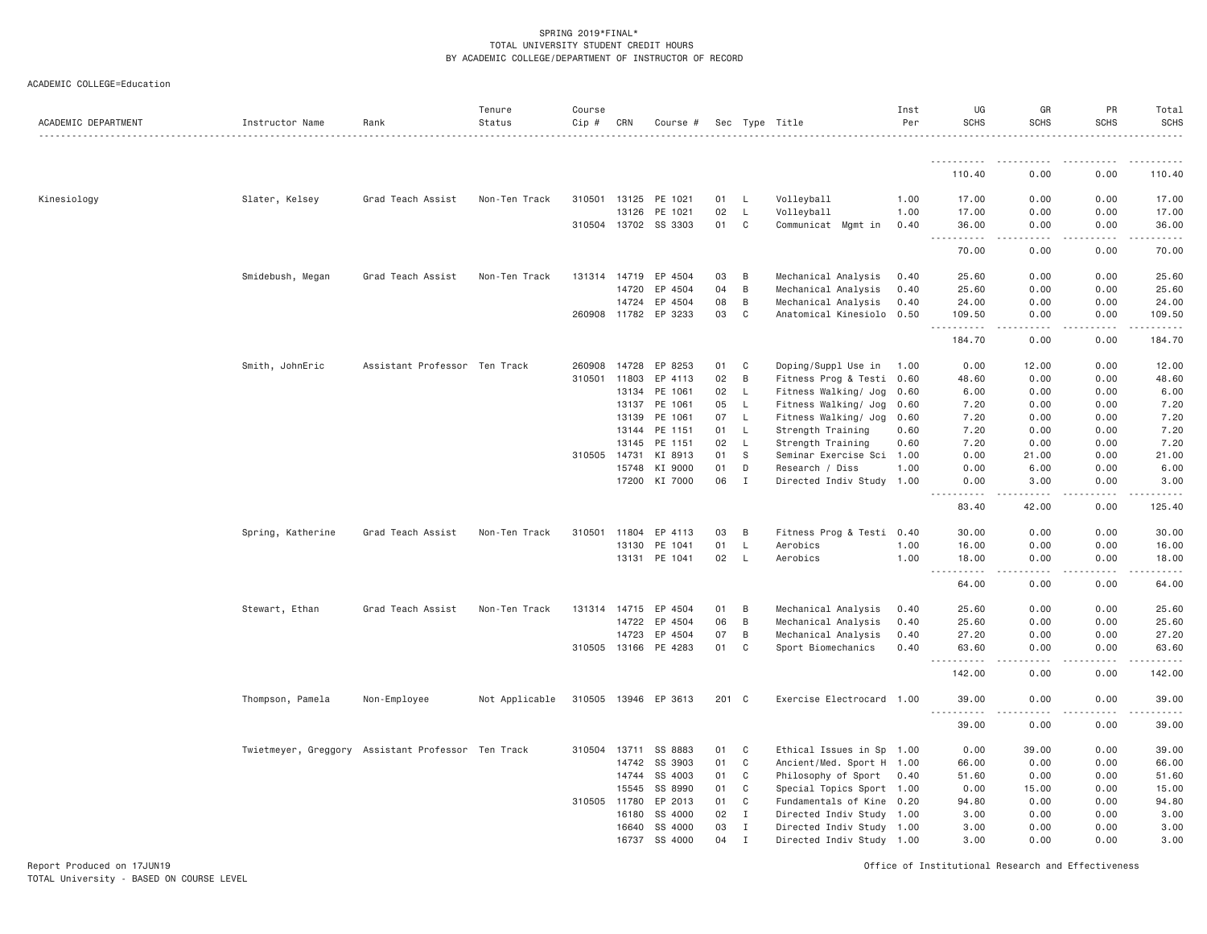| ACADEMIC DEPARTMENT | Instructor Name                                    | Rank                          | Tenure<br>Status | Course<br>Cip # | CRN          | Course #             |       |              | Sec Type Title            | Inst<br>Per | UG<br><b>SCHS</b>                                                                                                                                   | GR<br><b>SCHS</b> | PR<br><b>SCHS</b>                                                                                                                                    | Total<br><b>SCHS</b> |
|---------------------|----------------------------------------------------|-------------------------------|------------------|-----------------|--------------|----------------------|-------|--------------|---------------------------|-------------|-----------------------------------------------------------------------------------------------------------------------------------------------------|-------------------|------------------------------------------------------------------------------------------------------------------------------------------------------|----------------------|
|                     |                                                    |                               |                  |                 |              |                      |       |              |                           |             |                                                                                                                                                     |                   |                                                                                                                                                      |                      |
|                     |                                                    |                               |                  |                 |              |                      |       |              |                           |             | -----------<br>110.40                                                                                                                               | $- - -$<br>0.00   | 0.00                                                                                                                                                 | 110.40               |
| Kinesiology         | Slater, Kelsey                                     | Grad Teach Assist             | Non-Ten Track    |                 |              | 310501 13125 PE 1021 | 01    | L.           | Volleyball                | 1.00        | 17.00                                                                                                                                               | 0.00              | 0.00                                                                                                                                                 | 17.00                |
|                     |                                                    |                               |                  |                 | 13126        | PE 1021              | 02    | L            | Volleyball                | 1.00        | 17.00                                                                                                                                               | 0.00              | 0.00                                                                                                                                                 | 17.00                |
|                     |                                                    |                               |                  |                 |              | 310504 13702 SS 3303 | 01    | C            | Communicat Mgmt in        | 0.40        | 36.00                                                                                                                                               | 0.00              | 0.00                                                                                                                                                 | 36.00                |
|                     |                                                    |                               |                  |                 |              |                      |       |              |                           |             | <b><i><u>.</u></i></b><br>$  -$                                                                                                                     | .                 | $\frac{1}{2} \left( \frac{1}{2} \right) \left( \frac{1}{2} \right) \left( \frac{1}{2} \right) \left( \frac{1}{2} \right) \left( \frac{1}{2} \right)$ | .                    |
|                     |                                                    |                               |                  |                 |              |                      |       |              |                           |             | 70.00                                                                                                                                               | 0.00              | 0.00                                                                                                                                                 | 70.00                |
|                     | Smidebush, Megan                                   | Grad Teach Assist             | Non-Ten Track    |                 | 131314 14719 | EP 4504              | 03    | B            | Mechanical Analysis       | 0.40        | 25.60                                                                                                                                               | 0.00              | 0.00                                                                                                                                                 | 25.60                |
|                     |                                                    |                               |                  |                 | 14720        | EP 4504              | 04    | $\,$ B       | Mechanical Analysis       | 0.40        | 25.60                                                                                                                                               | 0.00              | 0.00                                                                                                                                                 | 25.60                |
|                     |                                                    |                               |                  |                 | 14724        | EP 4504              | 08    | B            | Mechanical Analysis       | 0.40        | 24.00                                                                                                                                               | 0.00              | 0.00                                                                                                                                                 | 24.00                |
|                     |                                                    |                               |                  |                 | 260908 11782 | EP 3233              | 03    | C            | Anatomical Kinesiolo 0.50 |             | 109.50                                                                                                                                              | 0.00              | 0.00                                                                                                                                                 | 109.50               |
|                     |                                                    |                               |                  |                 |              |                      |       |              |                           |             | .<br>$\sim$ $\sim$ $\sim$<br>184.70                                                                                                                 | .<br>0.00         | .<br>0.00                                                                                                                                            | .<br>184.70          |
|                     | Smith, JohnEric                                    | Assistant Professor Ten Track |                  | 260908          | 14728        | EP 8253              | 01    | C            | Doping/Suppl Use in       | 1.00        | 0.00                                                                                                                                                | 12.00             | 0.00                                                                                                                                                 | 12.00                |
|                     |                                                    |                               |                  | 310501          | 11803        | EP 4113              | 02    | $\, {\sf B}$ | Fitness Prog & Testi 0.60 |             | 48.60                                                                                                                                               | 0.00              | 0.00                                                                                                                                                 | 48.60                |
|                     |                                                    |                               |                  |                 | 13134        | PE 1061              | 02    | L            | Fitness Walking/ Jog      | 0.60        | 6.00                                                                                                                                                | 0.00              | 0.00                                                                                                                                                 | 6.00                 |
|                     |                                                    |                               |                  |                 | 13137        | PE 1061              | 05    | $\mathsf{L}$ | Fitness Walking/ Jog      | 0.60        | 7.20                                                                                                                                                | 0.00              | 0.00                                                                                                                                                 | 7.20                 |
|                     |                                                    |                               |                  |                 | 13139        | PE 1061              | 07    | L            | Fitness Walking/ Jog      | 0.60        | 7.20                                                                                                                                                | 0.00              | 0.00                                                                                                                                                 | 7.20                 |
|                     |                                                    |                               |                  |                 | 13144        | PE 1151              | 01    | L.           | Strength Training         | 0.60        | 7.20                                                                                                                                                | 0.00              | 0.00                                                                                                                                                 | 7.20                 |
|                     |                                                    |                               |                  |                 | 13145        | PE 1151              | 02    | <b>L</b>     | Strength Training         | 0.60        | 7.20                                                                                                                                                | 0.00              | 0.00                                                                                                                                                 | 7.20                 |
|                     |                                                    |                               |                  | 310505 14731    |              | KI 8913              | 01    | <sub>S</sub> | Seminar Exercise Sci 1.00 |             | 0.00                                                                                                                                                | 21.00             | 0.00                                                                                                                                                 | 21.00                |
|                     |                                                    |                               |                  |                 | 15748        | KI 9000              | 01    | D            | Research / Diss           | 1.00        | 0.00                                                                                                                                                | 6.00              | 0.00                                                                                                                                                 | 6.00                 |
|                     |                                                    |                               |                  |                 | 17200        | KI 7000              | 06    | $\mathbf{I}$ | Directed Indiv Study 1.00 |             | 0.00                                                                                                                                                | 3.00              | 0.00                                                                                                                                                 | 3.00                 |
|                     |                                                    |                               |                  |                 |              |                      |       |              |                           |             | $- - - - - -$<br>$\frac{1}{2} \left( \frac{1}{2} \right) \left( \frac{1}{2} \right) \left( \frac{1}{2} \right) \left( \frac{1}{2} \right)$<br>83.40 | .<br>42.00        | .<br>0.00                                                                                                                                            | .<br>125.40          |
|                     |                                                    |                               |                  |                 |              |                      |       |              |                           |             |                                                                                                                                                     |                   |                                                                                                                                                      |                      |
|                     | Spring, Katherine                                  | Grad Teach Assist             | Non-Ten Track    |                 |              | 310501 11804 EP 4113 | 03    | B            | Fitness Prog & Testi 0.40 |             | 30.00                                                                                                                                               | 0.00              | 0.00                                                                                                                                                 | 30.00                |
|                     |                                                    |                               |                  |                 | 13130        | PE 1041              | 01    | L            | Aerobics                  | 1.00        | 16.00                                                                                                                                               | 0.00              | 0.00                                                                                                                                                 | 16.00                |
|                     |                                                    |                               |                  |                 |              | 13131 PE 1041        | 02    | $\mathsf{L}$ | Aerobics                  | 1.00        | 18.00<br>$  -$<br>. <u>.</u>                                                                                                                        | 0.00              | 0.00                                                                                                                                                 | 18.00                |
|                     |                                                    |                               |                  |                 |              |                      |       |              |                           |             | 64.00                                                                                                                                               | 0.00              | 0.00                                                                                                                                                 | 64.00                |
|                     | Stewart, Ethan                                     | Grad Teach Assist             | Non-Ten Track    |                 | 131314 14715 | EP 4504              | 01    | B            | Mechanical Analysis       | 0.40        | 25.60                                                                                                                                               | 0.00              | 0.00                                                                                                                                                 | 25.60                |
|                     |                                                    |                               |                  |                 | 14722        | EP 4504              | 06    | B            | Mechanical Analysis       | 0.40        | 25.60                                                                                                                                               | 0.00              | 0.00                                                                                                                                                 | 25.60                |
|                     |                                                    |                               |                  |                 | 14723        | EP 4504              | 07    | B            | Mechanical Analysis       | 0.40        | 27.20                                                                                                                                               | 0.00              | 0.00                                                                                                                                                 | 27.20                |
|                     |                                                    |                               |                  |                 |              | 310505 13166 PE 4283 | 01    | C            | Sport Biomechanics        | 0.40        | 63.60                                                                                                                                               | 0.00              | 0.00                                                                                                                                                 | 63.60                |
|                     |                                                    |                               |                  |                 |              |                      |       |              |                           |             | $\frac{1}{2} \left( \frac{1}{2} \right) \left( \frac{1}{2} \right) \left( \frac{1}{2} \right) \left( \frac{1}{2} \right)$<br>142.00                 | 0.00              | 0.00                                                                                                                                                 | 142.00               |
|                     | Thompson, Pamela                                   | Non-Employee                  | Not Applicable   |                 |              | 310505 13946 EP 3613 | 201 C |              | Exercise Electrocard 1.00 |             | 39.00                                                                                                                                               | 0.00              | 0.00                                                                                                                                                 | 39.00                |
|                     |                                                    |                               |                  |                 |              |                      |       |              |                           |             | <u>.</u><br>39.00                                                                                                                                   | 0.00              | 0.00                                                                                                                                                 | 39.00                |
|                     | Twietmeyer, Greggory Assistant Professor Ten Track |                               |                  |                 | 310504 13711 | SS 8883              | 01    | C            | Ethical Issues in Sp 1.00 |             | 0.00                                                                                                                                                | 39.00             | 0.00                                                                                                                                                 | 39.00                |
|                     |                                                    |                               |                  |                 | 14742        | SS 3903              | 01    | C            | Ancient/Med. Sport H 1.00 |             | 66.00                                                                                                                                               | 0.00              | 0.00                                                                                                                                                 | 66.00                |
|                     |                                                    |                               |                  |                 | 14744        | SS 4003              | 01    | C            | Philosophy of Sport       | 0.40        | 51.60                                                                                                                                               | 0.00              | 0.00                                                                                                                                                 | 51.60                |
|                     |                                                    |                               |                  |                 | 15545        | SS 8990              | 01    | C            | Special Topics Sport 1.00 |             | 0.00                                                                                                                                                | 15.00             | 0.00                                                                                                                                                 | 15.00                |
|                     |                                                    |                               |                  |                 | 310505 11780 | EP 2013              | 01    | C            | Fundamentals of Kine 0.20 |             | 94.80                                                                                                                                               | 0.00              | 0.00                                                                                                                                                 | 94.80                |
|                     |                                                    |                               |                  |                 | 16180        | SS 4000              | 02    | I            | Directed Indiv Study 1.00 |             | 3.00                                                                                                                                                | 0.00              | 0.00                                                                                                                                                 | 3.00                 |
|                     |                                                    |                               |                  |                 | 16640        | SS 4000              | 03    | Ι.           | Directed Indiv Study 1.00 |             | 3.00                                                                                                                                                | 0.00              | 0.00                                                                                                                                                 | 3.00                 |
|                     |                                                    |                               |                  |                 | 16737        | SS 4000              | 04    | $\mathbf I$  | Directed Indiv Study 1.00 |             | 3,00                                                                                                                                                | 0.00              | 0.00                                                                                                                                                 | 3,00                 |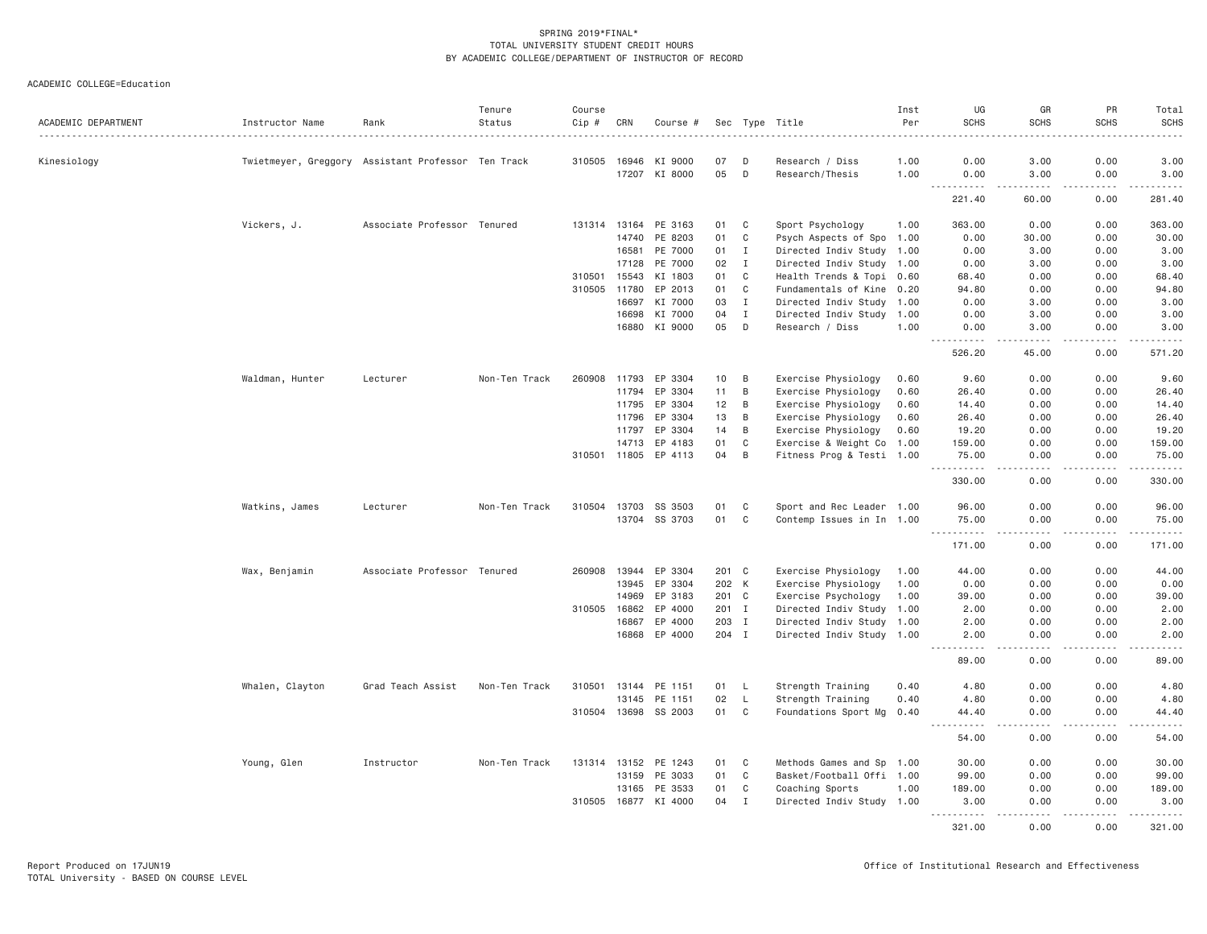| ACADEMIC DEPARTMENT | Instructor Name | Rank                                               | Tenure<br>Status | Course<br>Cip # | CRN          | Course #             |       |                | Sec Type Title            | Inst<br>Per | UG<br><b>SCHS</b>                                                                                                                         | GR<br><b>SCHS</b>                                                                                                                                            | PR<br><b>SCHS</b>   | Total<br><b>SCHS</b> |
|---------------------|-----------------|----------------------------------------------------|------------------|-----------------|--------------|----------------------|-------|----------------|---------------------------|-------------|-------------------------------------------------------------------------------------------------------------------------------------------|--------------------------------------------------------------------------------------------------------------------------------------------------------------|---------------------|----------------------|
|                     |                 |                                                    |                  |                 |              |                      |       |                |                           |             |                                                                                                                                           |                                                                                                                                                              |                     |                      |
| Kinesiology         |                 | Twietmeyer, Greggory Assistant Professor Ten Track |                  |                 | 310505 16946 | KI 9000              | 07    | D              | Research / Diss           | 1.00        | 0.00                                                                                                                                      | 3.00                                                                                                                                                         | 0.00                | 3.00                 |
|                     |                 |                                                    |                  |                 |              | 17207 KI 8000        | 05    | D              | Research/Thesis           | 1.00        | 0.00<br>$  -$                                                                                                                             | 3.00<br>$\frac{1}{2} \left( \frac{1}{2} \right) \left( \frac{1}{2} \right) \left( \frac{1}{2} \right) \left( \frac{1}{2} \right) \left( \frac{1}{2} \right)$ | 0.00<br>-----       | 3.00<br>. <u>.</u> . |
|                     |                 |                                                    |                  |                 |              |                      |       |                |                           |             | 221.40                                                                                                                                    | 60.00                                                                                                                                                        | 0.00                | 281.40               |
|                     | Vickers, J.     | Associate Professor Tenured                        |                  | 131314          | 13164        | PE 3163              | 01    | C              | Sport Psychology          | 1.00        | 363.00                                                                                                                                    | 0.00                                                                                                                                                         | 0.00                | 363.00               |
|                     |                 |                                                    |                  |                 | 14740        | PE 8203              | 01    | $\mathbf C$    | Psych Aspects of Spo 1.00 |             | 0.00                                                                                                                                      | 30.00                                                                                                                                                        | 0.00                | 30.00                |
|                     |                 |                                                    |                  |                 | 16581        | PE 7000              | 01    | $\mathbf{I}$   | Directed Indiv Study 1.00 |             | 0.00                                                                                                                                      | 3.00                                                                                                                                                         | 0.00                | 3.00                 |
|                     |                 |                                                    |                  |                 | 17128        | PE 7000              | 02    | $\mathbf{I}$   | Directed Indiv Study 1.00 |             | 0.00                                                                                                                                      | 3.00                                                                                                                                                         | 0.00                | 3.00                 |
|                     |                 |                                                    |                  | 310501          | 15543        | KI 1803              | 01    | C              | Health Trends & Topi      | 0.60        | 68.40                                                                                                                                     | 0.00                                                                                                                                                         | 0.00                | 68.40                |
|                     |                 |                                                    |                  | 310505 11780    |              | EP 2013              | 01    | C              | Fundamentals of Kine 0.20 |             | 94.80                                                                                                                                     | 0.00                                                                                                                                                         | 0.00                | 94.80                |
|                     |                 |                                                    |                  |                 | 16697        | KI 7000              | 03    | $\mathbf{I}$   | Directed Indiv Study 1.00 |             | 0.00                                                                                                                                      | 3.00                                                                                                                                                         | 0.00                | 3.00                 |
|                     |                 |                                                    |                  |                 | 16698        | KI 7000              | 04    | $\mathbf{I}$   | Directed Indiv Study      | 1.00        | 0.00                                                                                                                                      | 3.00                                                                                                                                                         | 0.00                | 3.00                 |
|                     |                 |                                                    |                  |                 |              | 16880 KI 9000        | 05    | D              | Research / Diss           | 1.00        | 0.00                                                                                                                                      | 3.00                                                                                                                                                         | 0.00                | 3.00                 |
|                     |                 |                                                    |                  |                 |              |                      |       |                |                           |             | $\begin{array}{cccccccccc} \bullet & \bullet & \bullet & \bullet & \bullet & \bullet & \bullet & \bullet & \bullet \end{array}$<br>526.20 | .<br>45.00                                                                                                                                                   | .<br>0.00           | .<br>571.20          |
|                     | Waldman, Hunter | Lecturer                                           | Non-Ten Track    | 260908          | 11793        | EP 3304              | 10    | B              | Exercise Physiology       | 0.60        | 9.60                                                                                                                                      | 0.00                                                                                                                                                         | 0.00                | 9.60                 |
|                     |                 |                                                    |                  |                 | 11794        | EP 3304              | 11    | B              | Exercise Physiology       | 0.60        | 26.40                                                                                                                                     | 0.00                                                                                                                                                         | 0.00                | 26.40                |
|                     |                 |                                                    |                  |                 | 11795        | EP 3304              | 12    | $\,$ B         | Exercise Physiology       | 0.60        | 14.40                                                                                                                                     | 0.00                                                                                                                                                         | 0.00                | 14.40                |
|                     |                 |                                                    |                  |                 | 11796        | EP 3304              | 13    | B              | Exercise Physiology       | 0.60        | 26.40                                                                                                                                     | 0.00                                                                                                                                                         | 0.00                | 26.40                |
|                     |                 |                                                    |                  |                 | 11797        | EP 3304              | 14    | B              | Exercise Physiology       | 0.60        | 19.20                                                                                                                                     | 0.00                                                                                                                                                         | 0.00                | 19.20                |
|                     |                 |                                                    |                  |                 | 14713        | EP 4183              | 01    | C              | Exercise & Weight Co 1.00 |             | 159.00                                                                                                                                    | 0.00                                                                                                                                                         | 0.00                | 159.00               |
|                     |                 |                                                    |                  |                 | 310501 11805 | EP 4113              | 04    | $\,$ B         | Fitness Prog & Testi 1.00 |             | 75.00                                                                                                                                     | 0.00                                                                                                                                                         | 0.00                | 75.00                |
|                     |                 |                                                    |                  |                 |              |                      |       |                |                           |             | <u>.</u><br>330.00                                                                                                                        | $- - -$<br>0.00                                                                                                                                              | .<br>0.00           | .<br>330.00          |
|                     | Watkins, James  | Lecturer                                           | Non-Ten Track    |                 |              | 310504 13703 SS 3503 | 01    | C              | Sport and Rec Leader 1.00 |             | 96.00                                                                                                                                     | 0.00                                                                                                                                                         | 0.00                | 96.00                |
|                     |                 |                                                    |                  |                 | 13704        | SS 3703              | 01    | C              | Contemp Issues in In 1.00 |             | 75.00                                                                                                                                     | 0.00                                                                                                                                                         | 0.00                | 75.00                |
|                     |                 |                                                    |                  |                 |              |                      |       |                |                           |             | 171.00                                                                                                                                    | 0.00                                                                                                                                                         | .<br>0.00           | .<br>171.00          |
|                     | Wax, Benjamin   | Associate Professor Tenured                        |                  |                 | 260908 13944 | EP 3304              | 201 C |                | Exercise Physiology       | 1.00        | 44.00                                                                                                                                     | 0.00                                                                                                                                                         | 0.00                | 44.00                |
|                     |                 |                                                    |                  |                 | 13945        | EP 3304              | 202 K |                | Exercise Physiology       | 1.00        | 0.00                                                                                                                                      | 0.00                                                                                                                                                         | 0.00                | 0.00                 |
|                     |                 |                                                    |                  |                 | 14969        | EP 3183              | 201 C |                | Exercise Psychology       | 1.00        | 39.00                                                                                                                                     | 0.00                                                                                                                                                         | 0.00                | 39.00                |
|                     |                 |                                                    |                  | 310505          | 16862        | EP 4000              | 201 I |                | Directed Indiv Study 1.00 |             | 2.00                                                                                                                                      | 0.00                                                                                                                                                         | 0.00                | 2.00                 |
|                     |                 |                                                    |                  |                 | 16867        | EP 4000              | 203 I |                | Directed Indiv Study 1.00 |             | 2.00                                                                                                                                      | 0.00                                                                                                                                                         | 0.00                | 2.00                 |
|                     |                 |                                                    |                  |                 |              | 16868 EP 4000        | 204 I |                | Directed Indiv Study 1.00 |             | 2.00                                                                                                                                      | 0.00                                                                                                                                                         | 0.00                | 2.00                 |
|                     |                 |                                                    |                  |                 |              |                      |       |                |                           |             | <u>.</u><br>89.00                                                                                                                         | .<br>0.00                                                                                                                                                    | .<br>0.00           | .<br>89.00           |
|                     | Whalen, Clayton | Grad Teach Assist                                  | Non-Ten Track    | 310501          | 13144        | PE 1151              | 01    | L              | Strength Training         | 0.40        | 4.80                                                                                                                                      | 0.00                                                                                                                                                         | 0.00                | 4.80                 |
|                     |                 |                                                    |                  |                 | 13145        | PE 1151              | 02    | $\mathsf{L}$   | Strength Training         | 0.40        | 4.80                                                                                                                                      | 0.00                                                                                                                                                         | 0.00                | 4.80                 |
|                     |                 |                                                    |                  |                 |              | 310504 13698 SS 2003 | 01    | C <sub>1</sub> | Foundations Sport Mg 0.40 |             | 44.40                                                                                                                                     | 0.00                                                                                                                                                         | 0.00                | 44.40                |
|                     |                 |                                                    |                  |                 |              |                      |       |                |                           |             | $\sim$ $\sim$ $\sim$<br>.<br>54.00                                                                                                        | .<br>0.00                                                                                                                                                    | $- - - - -$<br>0.00 | .<br>54.00           |
|                     |                 |                                                    |                  |                 |              |                      |       |                |                           |             |                                                                                                                                           |                                                                                                                                                              |                     |                      |
|                     | Young, Glen     | Instructor                                         | Non-Ten Track    |                 |              | 131314 13152 PE 1243 | 01    | C              | Methods Games and Sp 1.00 |             | 30.00                                                                                                                                     | 0.00                                                                                                                                                         | 0.00                | 30.00                |
|                     |                 |                                                    |                  |                 | 13159        | PE 3033              | 01    | $\mathbf C$    | Basket/Football Offi 1.00 |             | 99.00                                                                                                                                     | 0.00                                                                                                                                                         | 0.00                | 99.00                |
|                     |                 |                                                    |                  |                 | 13165        | PE 3533              | 01    | C              | Coaching Sports           | 1.00        | 189.00                                                                                                                                    | 0.00                                                                                                                                                         | 0.00                | 189.00               |
|                     |                 |                                                    |                  |                 | 310505 16877 | KI 4000              | 04    | $\mathbf{I}$   | Directed Indiv Study 1.00 |             | 3.00<br>.                                                                                                                                 | 0.00<br>.                                                                                                                                                    | 0.00<br>.           | 3.00<br>.            |
|                     |                 |                                                    |                  |                 |              |                      |       |                |                           |             | 321.00                                                                                                                                    | 0.00                                                                                                                                                         | 0.00                | 321.00               |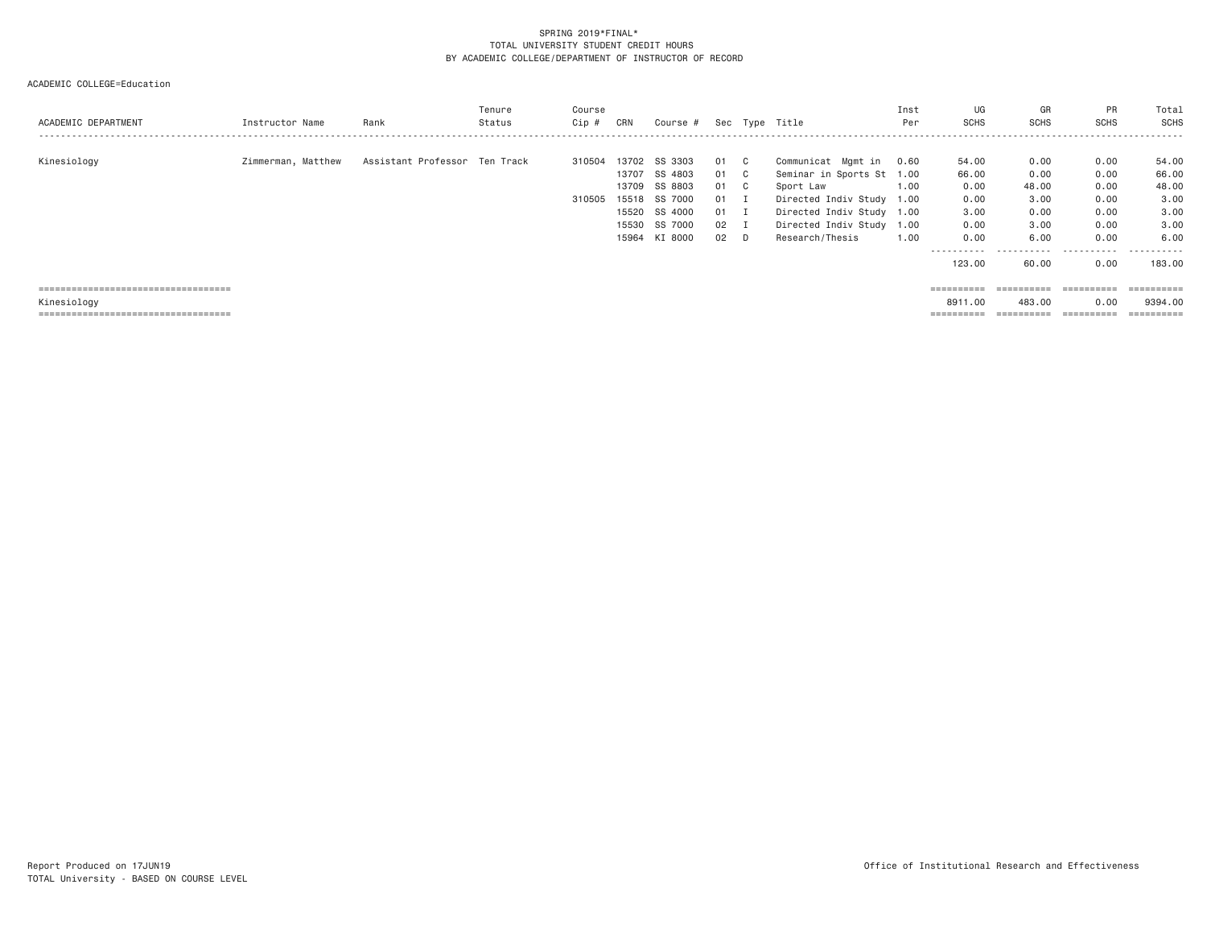## ACADEMIC COLLEGE=Education

| ACADEMIC DEPARTMENT                   | Instructor Name    | Rank                          | Tenure<br>Status | Course<br>Cip # | CRN   | Course #      |        |              | Sec Type Title            | Inst<br>Per | UG<br><b>SCHS</b> | GR<br><b>SCHS</b>     | PR<br><b>SCHS</b> | Total<br>SCHS |
|---------------------------------------|--------------------|-------------------------------|------------------|-----------------|-------|---------------|--------|--------------|---------------------------|-------------|-------------------|-----------------------|-------------------|---------------|
| Kinesiology                           | Zimmerman, Matthew | Assistant Professor Ten Track |                  | 310504          | 13702 | SS 3303       | 01     | $\mathbf{C}$ | Communicat Mgmt in        | 0.60        | 54.00             | 0.00                  | 0.00              | 54.00         |
|                                       |                    |                               |                  |                 | 13707 | SS 4803       | 01 C   |              | Seminar in Sports St 1.00 |             | 66.00             | 0.00                  | 0.00              | 66.00         |
|                                       |                    |                               |                  |                 | 13709 | SS 8803       | 01 C   |              | Sport Law                 | 1.00        | 0.00              | 48.00                 | 0.00              | 48.00         |
|                                       |                    |                               |                  | 310505          |       | 15518 SS 7000 | 01 I   |              | Directed Indiv Study 1.00 |             | 0.00              | 3,00                  | 0.00              | 3.00          |
|                                       |                    |                               |                  |                 |       | 15520 SS 4000 | $01$ I |              | Directed Indiv Study 1.00 |             | 3.00              | 0.00                  | 0.00              | 3.00          |
|                                       |                    |                               |                  |                 |       | 15530 SS 7000 | 02 I   |              | Directed Indiv Study 1.00 |             | 0.00              | 3.00                  | 0.00              | 3.00          |
|                                       |                    |                               |                  |                 |       | 15964 KI 8000 | $02$ D |              | Research/Thesis           | 1,00        | 0.00              | 6.00                  | 0.00              | 6,00          |
|                                       |                    |                               |                  |                 |       |               |        |              |                           |             | ----------        | -----------           | .                 | .<br>$- - -$  |
|                                       |                    |                               |                  |                 |       |               |        |              |                           |             | 123,00            | 60.00                 | 0.00              | 183,00        |
|                                       |                    |                               |                  |                 |       |               |        |              |                           |             |                   |                       |                   |               |
| ===================================== |                    |                               |                  |                 |       |               |        |              |                           |             |                   |                       | ==========        | ==========    |
| Kinesiology                           |                    |                               |                  |                 |       |               |        |              |                           |             | 8911,00           | 483,00                | 0.00              | 9394.00       |
| ------------------------------------- |                    |                               |                  |                 |       |               |        |              |                           |             |                   | $=$ = = = = = = = = = | ==========        |               |
|                                       |                    |                               |                  |                 |       |               |        |              |                           |             |                   |                       |                   |               |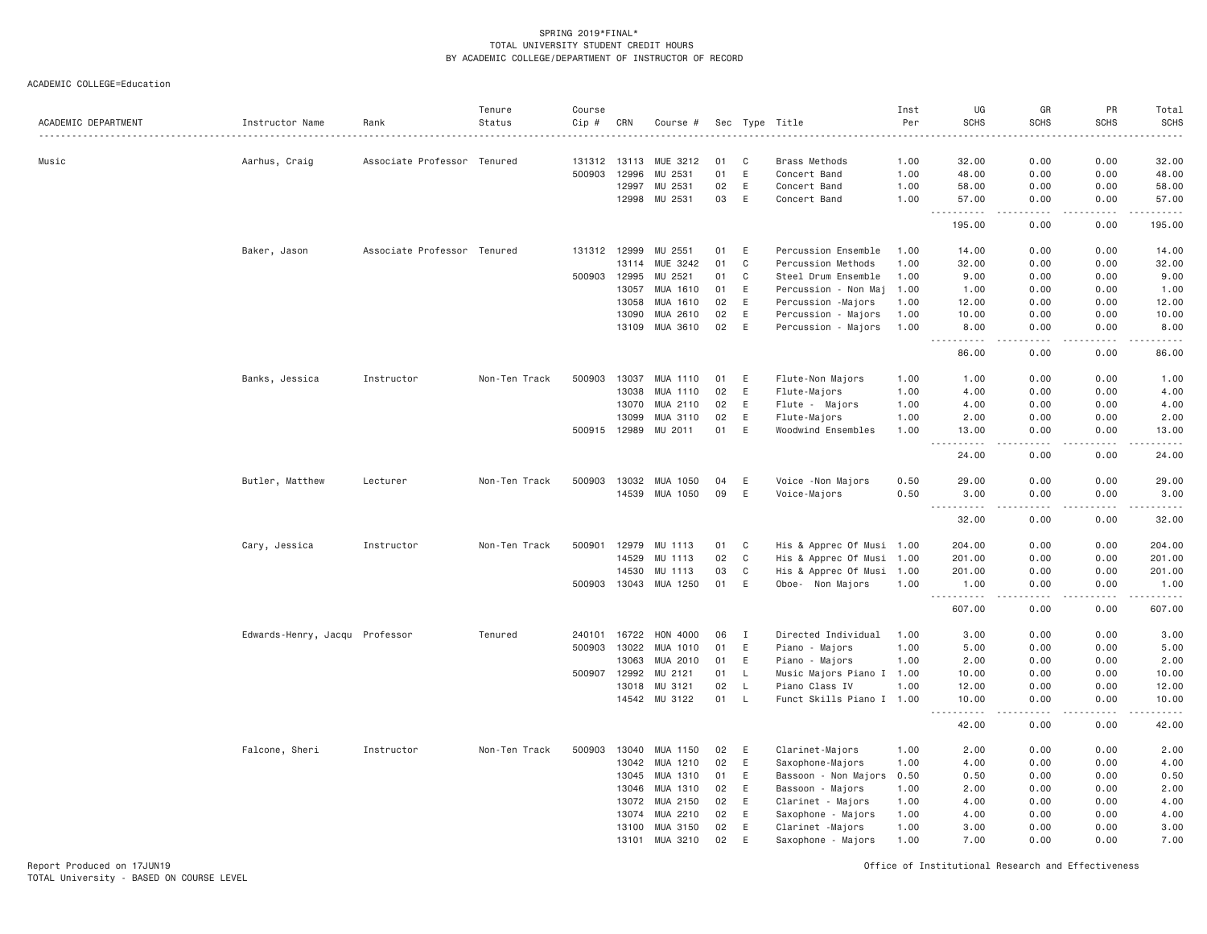ACADEMIC COLLEGE=Education

| ACADEMIC DEPARTMENT | Instructor Name                | Rank                        | Tenure<br>Status | Course<br>Cip # | CRN   | Course #              |    |              | Sec Type Title            | Inst<br>Per<br>. | UG<br><b>SCHS</b>                                                                                                                                            | GR<br><b>SCHS</b>                   | PR<br><b>SCHS</b> | Total<br><b>SCHS</b><br>.                                                                                                                    |
|---------------------|--------------------------------|-----------------------------|------------------|-----------------|-------|-----------------------|----|--------------|---------------------------|------------------|--------------------------------------------------------------------------------------------------------------------------------------------------------------|-------------------------------------|-------------------|----------------------------------------------------------------------------------------------------------------------------------------------|
| Music               | Aarhus, Craig                  | Associate Professor Tenured |                  | 131312 13113    |       | MUE 3212              | 01 | C            | <b>Brass Methods</b>      | 1.00             | 32.00                                                                                                                                                        | 0.00                                | 0.00              | 32.00                                                                                                                                        |
|                     |                                |                             |                  | 500903          | 12996 | MU 2531               | 01 | E            | Concert Band              | 1.00             | 48.00                                                                                                                                                        | 0.00                                | 0.00              | 48.00                                                                                                                                        |
|                     |                                |                             |                  |                 | 12997 | MU 2531               | 02 | E            | Concert Band              | 1.00             | 58.00                                                                                                                                                        | 0.00                                | 0.00              | 58.00                                                                                                                                        |
|                     |                                |                             |                  |                 | 12998 | MU 2531               | 03 | E            | Concert Band              | 1.00             | 57.00                                                                                                                                                        | 0.00                                | 0.00              | 57.00                                                                                                                                        |
|                     |                                |                             |                  |                 |       |                       |    |              |                           |                  | $\sim$ $\sim$ .<br>.<br>195.00                                                                                                                               | .<br>0.00                           | $   -$<br>0.00    | .<br>195.00                                                                                                                                  |
|                     | Baker, Jason                   | Associate Professor Tenured |                  | 131312 12999    |       | MU 2551               | 01 | E            | Percussion Ensemble       | 1.00             | 14.00                                                                                                                                                        | 0.00                                | 0.00              | 14.00                                                                                                                                        |
|                     |                                |                             |                  |                 | 13114 | MUE 3242              | 01 | $\mathbf C$  | Percussion Methods        | 1.00             | 32.00                                                                                                                                                        | 0.00                                | 0.00              | 32.00                                                                                                                                        |
|                     |                                |                             |                  | 500903 12995    |       | MU 2521               | 01 | $\mathbf C$  | Steel Drum Ensemble       | 1.00             | 9.00                                                                                                                                                         | 0.00                                | 0.00              | 9.00                                                                                                                                         |
|                     |                                |                             |                  |                 | 13057 | MUA 1610              | 01 | E            | Percussion - Non Maj      | 1.00             | 1.00                                                                                                                                                         | 0.00                                | 0.00              | 1.00                                                                                                                                         |
|                     |                                |                             |                  |                 | 13058 | MUA 1610              | 02 | E            | Percussion -Majors        | 1.00             | 12.00                                                                                                                                                        | 0.00                                | 0.00              | 12.00                                                                                                                                        |
|                     |                                |                             |                  |                 | 13090 | MUA 2610              | 02 | E            | Percussion - Majors       | 1.00             | 10.00                                                                                                                                                        | 0.00                                | 0.00              | 10.00                                                                                                                                        |
|                     |                                |                             |                  |                 | 13109 | MUA 3610              | 02 | E            | Percussion - Majors       | 1.00             | 8.00<br>.                                                                                                                                                    | 0.00<br>الدامات ب                   | 0.00<br>.         | 8.00<br>.                                                                                                                                    |
|                     |                                |                             |                  |                 |       |                       |    |              |                           |                  | 86.00                                                                                                                                                        | 0.00                                | 0.00              | 86.00                                                                                                                                        |
|                     | Banks, Jessica                 | Instructor                  | Non-Ten Track    | 500903          | 13037 | MUA 1110              | 01 | E            | Flute-Non Majors          | 1.00             | 1.00                                                                                                                                                         | 0.00                                | 0.00              | 1.00                                                                                                                                         |
|                     |                                |                             |                  |                 | 13038 | MUA 1110              | 02 | E            | Flute-Majors              | 1.00             | 4.00                                                                                                                                                         | 0.00                                | 0.00              | 4.00                                                                                                                                         |
|                     |                                |                             |                  |                 | 13070 | MUA 2110              | 02 | E            | Flute - Majors            | 1.00             | 4.00                                                                                                                                                         | 0.00                                | 0.00              | 4.00                                                                                                                                         |
|                     |                                |                             |                  |                 | 13099 | MUA 3110              | 02 | E            | Flute-Majors              | 1.00             | 2.00                                                                                                                                                         | 0.00                                | 0.00              | 2.00                                                                                                                                         |
|                     |                                |                             |                  |                 |       | 500915 12989 MU 2011  | 01 | E            | Woodwind Ensembles        | 1.00             | 13.00<br>$\sim$ $\sim$ $\sim$<br>.                                                                                                                           | 0.00<br>$- - - -$                   | 0.00<br>.         | 13.00<br>.                                                                                                                                   |
|                     |                                |                             |                  |                 |       |                       |    |              |                           |                  | 24.00                                                                                                                                                        | 0.00                                | 0.00              | 24.00                                                                                                                                        |
|                     | Butler, Matthew                | Lecturer                    | Non-Ten Track    | 500903 13032    |       | MUA 1050              | 04 | E            | Voice - Non Majors        | 0.50             | 29.00                                                                                                                                                        | 0.00                                | 0.00              | 29.00                                                                                                                                        |
|                     |                                |                             |                  |                 |       | 14539 MUA 1050        | 09 | E            | Voice-Majors              | 0.50             | 3,00<br>$\frac{1}{2} \left( \frac{1}{2} \right) \left( \frac{1}{2} \right) \left( \frac{1}{2} \right) \left( \frac{1}{2} \right) \left( \frac{1}{2} \right)$ | 0.00<br>$\sim$ $\sim$ $\sim$ $\sim$ | 0.00<br>.         | 3.00<br>.                                                                                                                                    |
|                     |                                |                             |                  |                 |       |                       |    |              |                           |                  | 32.00                                                                                                                                                        | 0.00                                | 0.00              | 32.00                                                                                                                                        |
|                     | Cary, Jessica                  | Instructor                  | Non-Ten Track    | 500901          | 12979 | MU 1113               | 01 | C            | His & Apprec Of Musi 1.00 |                  | 204.00                                                                                                                                                       | 0.00                                | 0.00              | 204.00                                                                                                                                       |
|                     |                                |                             |                  |                 | 14529 | MU 1113               | 02 | $\mathbf C$  | His & Apprec Of Musi 1.00 |                  | 201.00                                                                                                                                                       | 0.00                                | 0.00              | 201.00                                                                                                                                       |
|                     |                                |                             |                  |                 | 14530 | MU 1113               | 03 | C            | His & Apprec Of Musi 1.00 |                  | 201.00                                                                                                                                                       | 0.00                                | 0.00              | 201.00                                                                                                                                       |
|                     |                                |                             |                  |                 |       | 500903 13043 MUA 1250 | 01 | E            | Oboe- Non Majors          | 1.00             | 1.00<br>$\sim$ $\sim$ $\sim$                                                                                                                                 | 0.00<br>$\sim$ $\sim$ $\sim$        | 0.00<br>.         | 1.00<br>$\mathcal{L}^{\mathcal{L}}\left( \mathcal{L}^{\mathcal{L}}\right) =\mathcal{L}^{\mathcal{L}}\left( \mathcal{L}^{\mathcal{L}}\right)$ |
|                     |                                |                             |                  |                 |       |                       |    |              |                           |                  | 607.00                                                                                                                                                       | 0.00                                | 0.00              | 607.00                                                                                                                                       |
|                     | Edwards-Henry, Jacqu Professor |                             | Tenured          | 240101 16722    |       | HON 4000              | 06 | $\mathbf{I}$ | Directed Individual       | 1.00             | 3.00                                                                                                                                                         | 0.00                                | 0.00              | 3.00                                                                                                                                         |
|                     |                                |                             |                  | 500903          | 13022 | MUA 1010              | 01 | E            | Piano - Majors            | 1.00             | 5.00                                                                                                                                                         | 0.00                                | 0.00              | 5.00                                                                                                                                         |
|                     |                                |                             |                  |                 | 13063 | MUA 2010              | 01 | E            | Piano - Majors            | 1.00             | 2.00                                                                                                                                                         | 0.00                                | 0.00              | 2.00                                                                                                                                         |
|                     |                                |                             |                  | 500907          | 12992 | MU 2121               | 01 | L.           | Music Majors Piano I 1.00 |                  | 10.00                                                                                                                                                        | 0.00                                | 0.00              | 10.00                                                                                                                                        |
|                     |                                |                             |                  |                 | 13018 | MU 3121               | 02 | $\mathsf{L}$ | Piano Class IV            | 1.00             | 12.00                                                                                                                                                        | 0.00                                | 0.00              | 12.00                                                                                                                                        |
|                     |                                |                             |                  |                 |       | 14542 MU 3122         | 01 | L.           | Funct Skills Piano I 1.00 |                  | 10.00<br>-----                                                                                                                                               | 0.00<br>$\sim$ $\sim$ $\sim$ $\sim$ | 0.00              | 10.00<br>.                                                                                                                                   |
|                     |                                |                             |                  |                 |       |                       |    |              |                           |                  | 42.00                                                                                                                                                        | 0.00                                | 0.00              | 42.00                                                                                                                                        |
|                     | Falcone, Sheri                 | Instructor                  | Non-Ten Track    | 500903          | 13040 | MUA 1150              | 02 | E            | Clarinet-Majors           | 1.00             | 2.00                                                                                                                                                         | 0.00                                | 0.00              | 2.00                                                                                                                                         |
|                     |                                |                             |                  |                 | 13042 | MUA 1210              | 02 | E            | Saxophone-Majors          | 1.00             | 4.00                                                                                                                                                         | 0.00                                | 0.00              | 4.00                                                                                                                                         |
|                     |                                |                             |                  |                 | 13045 | MUA 1310              | 01 | E            | Bassoon - Non Majors      | 0.50             | 0.50                                                                                                                                                         | 0.00                                | 0.00              | 0.50                                                                                                                                         |
|                     |                                |                             |                  |                 | 13046 | MUA 1310              | 02 | E            | Bassoon - Majors          | 1.00             | 2.00                                                                                                                                                         | 0.00                                | 0.00              | 2.00                                                                                                                                         |
|                     |                                |                             |                  |                 | 13072 | MUA 2150              | 02 | E            | Clarinet - Majors         | 1.00             | 4.00                                                                                                                                                         | 0.00                                | 0.00              | 4.00                                                                                                                                         |
|                     |                                |                             |                  |                 | 13074 | MUA 2210              | 02 | E            | Saxophone - Majors        | 1.00             | 4.00                                                                                                                                                         | 0.00                                | 0.00              | 4.00                                                                                                                                         |
|                     |                                |                             |                  |                 | 13100 | MUA 3150              | 02 | E            | Clarinet -Majors          | 1.00             | 3.00                                                                                                                                                         | 0.00                                | 0.00              | 3.00                                                                                                                                         |
|                     |                                |                             |                  |                 | 13101 | MUA 3210              | 02 | $\mathsf E$  | Saxophone - Majors        | 1.00             | 7.00                                                                                                                                                         | 0.00                                | 0.00              | 7.00                                                                                                                                         |

Report Produced on 17JUN19 Office of Institutional Research and Effectiveness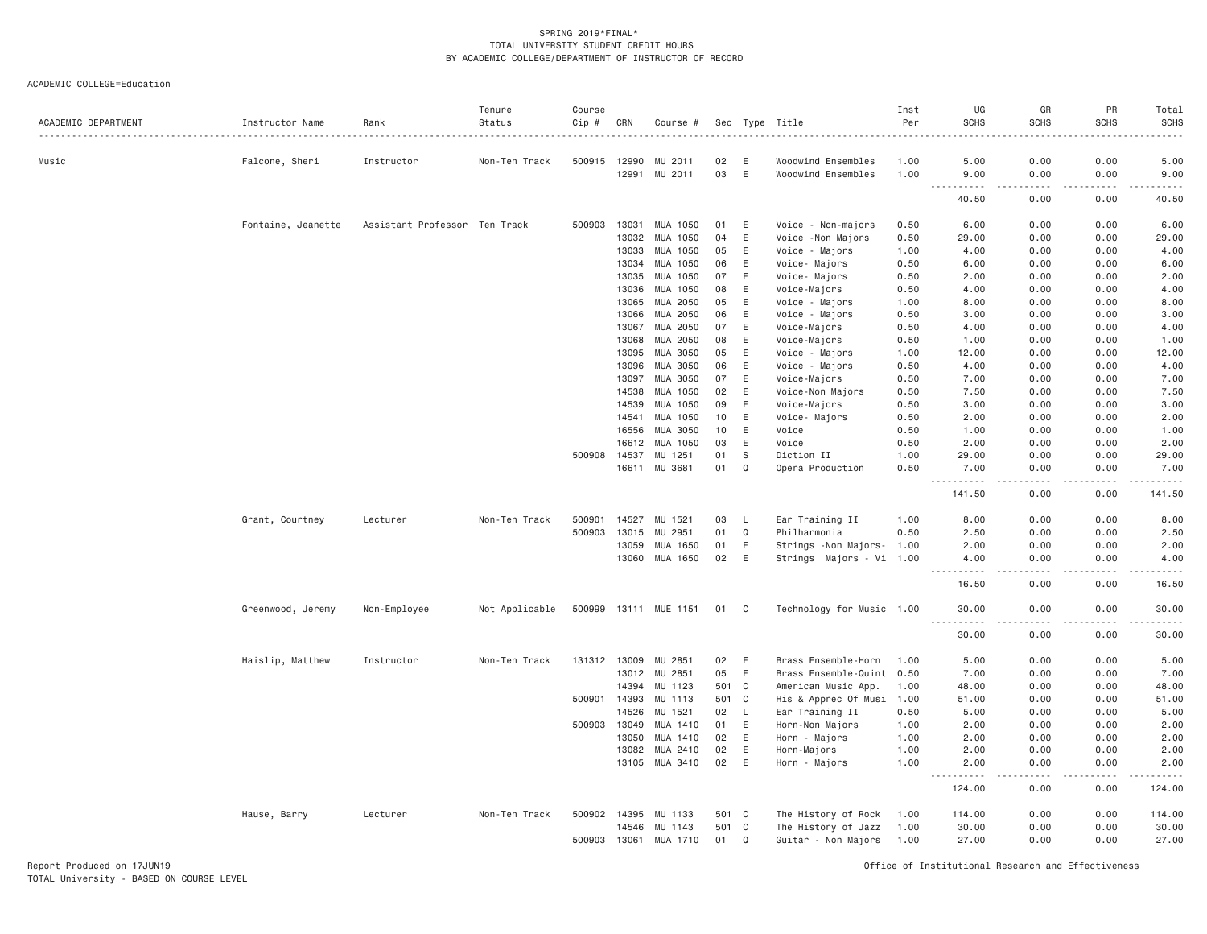ACADEMIC COLLEGE=Education

| ACADEMIC DEPARTMENT | Instructor Name    | Rank                          | Tenure<br>Status | Course<br>Cip # | CRN            | Course #              |          |              | Sec Type Title                           | Inst<br>Per  | UG<br><b>SCHS</b>                                                                                                                                                                                    | GR<br><b>SCHS</b>           | PR<br><b>SCHS</b> | Total<br><b>SCHS</b>                                                                                                      |
|---------------------|--------------------|-------------------------------|------------------|-----------------|----------------|-----------------------|----------|--------------|------------------------------------------|--------------|------------------------------------------------------------------------------------------------------------------------------------------------------------------------------------------------------|-----------------------------|-------------------|---------------------------------------------------------------------------------------------------------------------------|
|                     |                    |                               | .                |                 |                |                       |          |              |                                          |              |                                                                                                                                                                                                      | - - - - -                   |                   | $\frac{1}{2} \left( \frac{1}{2} \right) \left( \frac{1}{2} \right) \left( \frac{1}{2} \right) \left( \frac{1}{2} \right)$ |
| Music               | Falcone, Sheri     | Instructor                    | Non-Ten Track    | 500915 12990    | 12991          | MU 2011<br>MU 2011    | 02<br>03 | E<br>E       | Woodwind Ensembles<br>Woodwind Ensembles | 1.00<br>1.00 | 5.00<br>9.00                                                                                                                                                                                         | 0.00<br>0.00                | 0.00<br>0.00      | 5.00<br>9.00                                                                                                              |
|                     |                    |                               |                  |                 |                |                       |          |              |                                          |              |                                                                                                                                                                                                      |                             | د د د د           |                                                                                                                           |
|                     |                    |                               |                  |                 |                |                       |          |              |                                          |              | 40.50                                                                                                                                                                                                | 0.00                        | 0.00              | 40.50                                                                                                                     |
|                     | Fontaine, Jeanette | Assistant Professor Ten Track |                  | 500903          | 13031          | MUA 1050              | 01       | E            | Voice - Non-majors                       | 0.50         | 6.00                                                                                                                                                                                                 | 0.00                        | 0.00              | 6.00                                                                                                                      |
|                     |                    |                               |                  |                 | 13032          | MUA 1050              | 04       | E            | Voice - Non Majors                       | 0.50         | 29.00                                                                                                                                                                                                | 0.00                        | 0.00              | 29.00                                                                                                                     |
|                     |                    |                               |                  |                 | 13033          | MUA 1050              | 05       | E            | Voice - Majors                           | 1.00         | 4.00                                                                                                                                                                                                 | 0.00                        | 0.00              | 4.00                                                                                                                      |
|                     |                    |                               |                  |                 | 13034          | MUA 1050              | 06       | E            | Voice- Majors                            | 0.50         | 6.00                                                                                                                                                                                                 | 0.00                        | 0.00              | 6.00                                                                                                                      |
|                     |                    |                               |                  |                 | 13035          | MUA 1050              | 07       | E            | Voice- Majors                            | 0.50         | 2.00                                                                                                                                                                                                 | 0.00                        | 0.00              | 2.00                                                                                                                      |
|                     |                    |                               |                  |                 | 13036          | MUA 1050              | 08       | E            | Voice-Majors                             | 0.50         | 4.00                                                                                                                                                                                                 | 0.00                        | 0.00              | 4.00                                                                                                                      |
|                     |                    |                               |                  |                 | 13065          | MUA 2050              | 05       | E            | Voice - Majors                           | 1.00         | 8.00                                                                                                                                                                                                 | 0.00                        | 0.00              | 8.00                                                                                                                      |
|                     |                    |                               |                  |                 | 13066          | MUA 2050              | 06       | E            | Voice - Majors                           | 0.50         | 3.00                                                                                                                                                                                                 | 0.00                        | 0.00              | 3.00                                                                                                                      |
|                     |                    |                               |                  |                 | 13067          | MUA 2050              | 07       | E            | Voice-Majors                             | 0.50         | 4.00                                                                                                                                                                                                 | 0.00                        | 0.00              | 4.00                                                                                                                      |
|                     |                    |                               |                  |                 | 13068          | MUA 2050              | 08       | E            | Voice-Majors                             | 0.50         | 1.00                                                                                                                                                                                                 | 0.00                        | 0.00              | 1.00                                                                                                                      |
|                     |                    |                               |                  |                 | 13095          | MUA 3050              | 05       | E            | Voice - Majors                           | 1.00         | 12.00                                                                                                                                                                                                | 0.00                        | 0.00              | 12.00                                                                                                                     |
|                     |                    |                               |                  |                 | 13096          | MUA 3050              | 06       | E            | Voice - Majors                           | 0.50         | 4.00                                                                                                                                                                                                 | 0.00                        | 0.00              | 4.00                                                                                                                      |
|                     |                    |                               |                  |                 | 13097          | MUA 3050              | 07       | E            | Voice-Majors                             | 0.50         | 7.00                                                                                                                                                                                                 | 0.00                        | 0.00              | 7.00                                                                                                                      |
|                     |                    |                               |                  |                 | 14538          | MUA 1050              | 02       | E            | Voice-Non Majors                         | 0.50         | 7.50                                                                                                                                                                                                 | 0.00                        | 0.00              | 7.50                                                                                                                      |
|                     |                    |                               |                  |                 | 14539          | MUA 1050              | 09       | E            | Voice-Majors                             | 0.50         | 3.00                                                                                                                                                                                                 | 0.00                        | 0.00              | 3.00                                                                                                                      |
|                     |                    |                               |                  |                 | 14541          | MUA 1050              | 10       | E            | Voice- Majors                            | 0.50         | 2.00                                                                                                                                                                                                 | 0.00                        | 0.00              | 2.00                                                                                                                      |
|                     |                    |                               |                  |                 | 16556          | MUA 3050              | 10       | $\mathsf E$  | Voice                                    | 0.50         | 1.00                                                                                                                                                                                                 | 0.00                        | 0.00              | 1.00                                                                                                                      |
|                     |                    |                               |                  |                 | 16612          | MUA 1050              | 03       | E<br>S       | Voice                                    | 0.50         | 2.00                                                                                                                                                                                                 | 0.00<br>0.00                | 0.00              | 2.00                                                                                                                      |
|                     |                    |                               |                  | 500908          | 14537<br>16611 | MU 1251<br>MU 3681    | 01<br>01 | Q            | Diction II<br>Opera Production           | 1.00<br>0.50 | 29.00<br>7.00                                                                                                                                                                                        | 0.00                        | 0.00<br>0.00      | 29.00<br>7.00                                                                                                             |
|                     |                    |                               |                  |                 |                |                       |          |              |                                          |              | $\sim$ $\sim$ $\sim$<br>$\mathcal{L}^{\mathcal{L}}\left( \mathcal{L}^{\mathcal{L}}\left( \mathcal{L}^{\mathcal{L}}\right) \right) =\mathcal{L}^{\mathcal{L}}\left( \mathcal{L}^{\mathcal{L}}\right)$ | $\sim$ $\sim$ $\sim$ $\sim$ | .                 | .                                                                                                                         |
|                     |                    |                               |                  |                 |                |                       |          |              |                                          |              | 141.50                                                                                                                                                                                               | 0.00                        | 0.00              | 141.50                                                                                                                    |
|                     | Grant, Courtney    | Lecturer                      | Non-Ten Track    | 500901          | 14527          | MU 1521               | 03       | - L          | Ear Training II                          | 1.00         | 8.00                                                                                                                                                                                                 | 0.00                        | 0.00              | 8.00                                                                                                                      |
|                     |                    |                               |                  | 500903          | 13015          | MU 2951               | 01       | Q            | Philharmonia                             | 0.50         | 2.50                                                                                                                                                                                                 | 0.00                        | 0.00              | 2.50                                                                                                                      |
|                     |                    |                               |                  |                 | 13059          | MUA 1650              | 01       | E            | Strings - Non Majors- 1.00               |              | 2.00                                                                                                                                                                                                 | 0.00                        | 0.00              | 2.00                                                                                                                      |
|                     |                    |                               |                  |                 | 13060          | MUA 1650              | 02       | E            | Strings Majors - Vi 1.00                 |              | 4.00                                                                                                                                                                                                 | 0.00                        | 0.00              | 4.00                                                                                                                      |
|                     |                    |                               |                  |                 |                |                       |          |              |                                          |              | $\sim$ $\sim$ $\sim$<br>.<br>16.50                                                                                                                                                                   | .<br>0.00                   | .<br>0.00         | $\omega_{\rm{eff}}$ and $\omega_{\rm{eff}}$<br>16.50                                                                      |
|                     | Greenwood, Jeremy  | Non-Employee                  | Not Applicable   |                 |                | 500999 13111 MUE 1151 | 01 C     |              | Technology for Music 1.00                |              | 30.00                                                                                                                                                                                                | 0.00                        | 0.00              | 30.00                                                                                                                     |
|                     |                    |                               |                  |                 |                |                       |          |              |                                          |              | $ -$<br>.<br>30.00                                                                                                                                                                                   | .<br>0.00                   | .<br>0.00         | .<br>30.00                                                                                                                |
|                     | Haislip, Matthew   | Instructor                    | Non-Ten Track    | 131312 13009    |                | MU 2851               | 02       | E            | Brass Ensemble-Horn                      | 1.00         | 5.00                                                                                                                                                                                                 | 0.00                        | 0.00              | 5.00                                                                                                                      |
|                     |                    |                               |                  |                 | 13012          | MU 2851               | 05       | E            | Brass Ensemble-Quint 0.50                |              | 7.00                                                                                                                                                                                                 | 0.00                        | 0.00              | 7.00                                                                                                                      |
|                     |                    |                               |                  |                 | 14394          | MU 1123               | 501      | $\mathbf{C}$ | American Music App.                      | 1.00         | 48.00                                                                                                                                                                                                | 0.00                        | 0.00              | 48.00                                                                                                                     |
|                     |                    |                               |                  | 500901          | 14393          | MU 1113               | 501      | C            | His & Apprec Of Musi                     | 1.00         | 51.00                                                                                                                                                                                                | 0.00                        | 0.00              | 51.00                                                                                                                     |
|                     |                    |                               |                  |                 | 14526          | MU 1521               | 02       | L.           | Ear Training II                          | 0.50         | 5.00                                                                                                                                                                                                 | 0.00                        | 0.00              | 5.00                                                                                                                      |
|                     |                    |                               |                  | 500903 13049    |                | MUA 1410              | 01       | E            | Horn-Non Majors                          | 1.00         | 2.00                                                                                                                                                                                                 | 0.00                        | 0.00              | 2.00                                                                                                                      |
|                     |                    |                               |                  |                 | 13050          | MUA 1410              | 02       | E            | Horn - Majors                            | 1.00         | 2.00                                                                                                                                                                                                 | 0.00                        | 0.00              | 2.00                                                                                                                      |
|                     |                    |                               |                  |                 | 13082          | MUA 2410              | 02       | E            | Horn-Majors                              | 1.00         | 2.00                                                                                                                                                                                                 | 0.00                        | 0.00              | 2.00                                                                                                                      |
|                     |                    |                               |                  |                 |                | 13105 MUA 3410        | 02       | E            | Horn - Majors                            | 1.00         | 2.00                                                                                                                                                                                                 | 0.00                        | 0.00              | 2.00                                                                                                                      |
|                     |                    |                               |                  |                 |                |                       |          |              |                                          |              | $\omega_{\rm{eff}}$<br>.<br>124.00                                                                                                                                                                   | والمستناء<br>0.00           | .<br>0.00         | .<br>124.00                                                                                                               |
|                     | Hause, Barry       | Lecturer                      | Non-Ten Track    | 500902 14395    |                | MU 1133               | 501 C    |              | The History of Rock                      | 1.00         | 114.00                                                                                                                                                                                               | 0.00                        | 0.00              | 114.00                                                                                                                    |
|                     |                    |                               |                  |                 | 14546          | MU 1143               | 501      | C            | The History of Jazz                      | 1.00         | 30.00                                                                                                                                                                                                | 0.00                        | 0.00              | 30.00                                                                                                                     |
|                     |                    |                               |                  | 500903 13061    |                | MUA 1710              | 01       | Q            | Guitar - Non Majors                      | 1.00         | 27.00                                                                                                                                                                                                | 0.00                        | 0.00              | 27.00                                                                                                                     |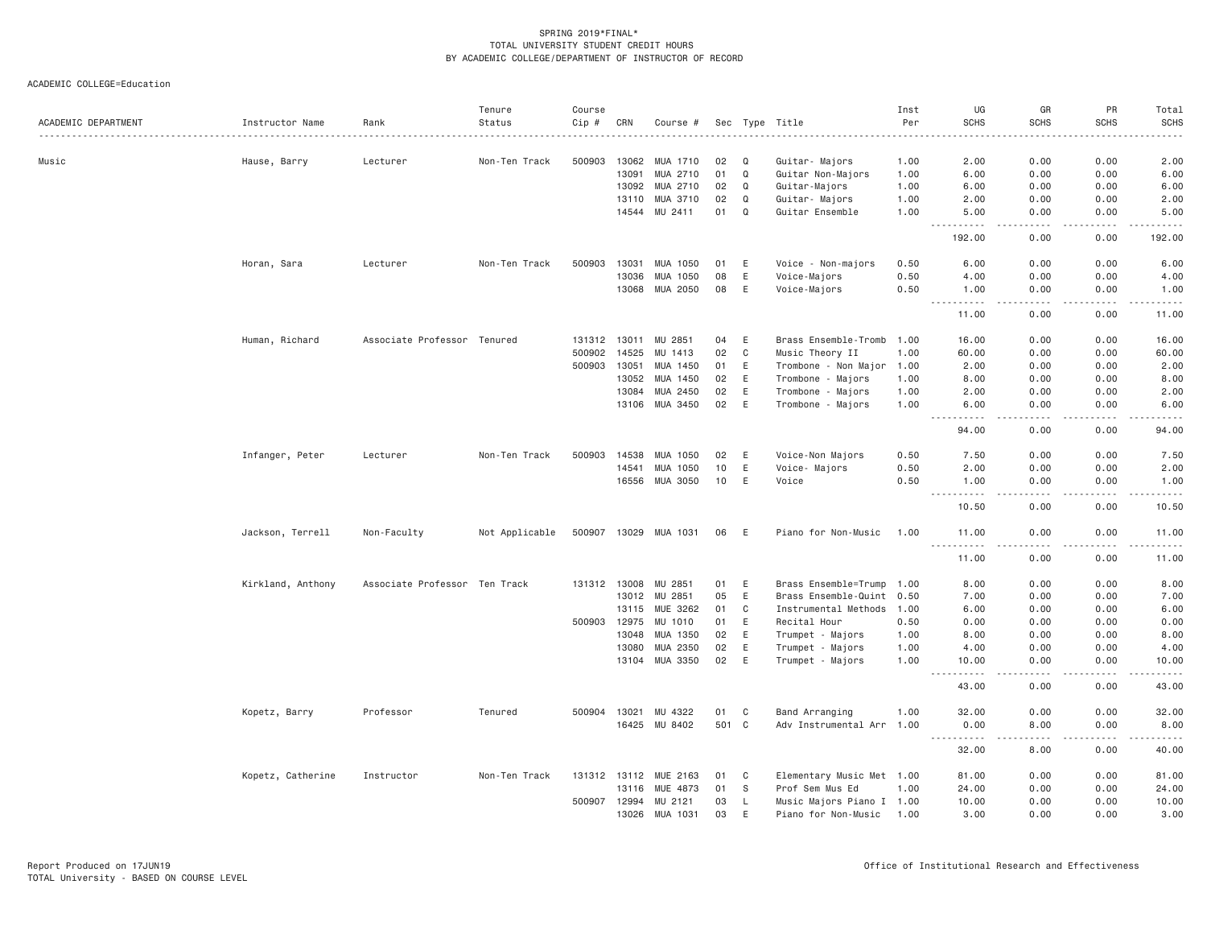ACADEMIC COLLEGE=Education

| ACADEMIC DEPARTMENT | Instructor Name   | Rank                          | Tenure<br>Status | Course<br>$Cip$ # | CRN   | Course #              |       |          | Sec Type Title            | Inst<br>Per | UG<br><b>SCHS</b>                                                                                                                                                      | GR<br><b>SCHS</b>    | PR<br><b>SCHS</b> | Total<br><b>SCHS</b> |
|---------------------|-------------------|-------------------------------|------------------|-------------------|-------|-----------------------|-------|----------|---------------------------|-------------|------------------------------------------------------------------------------------------------------------------------------------------------------------------------|----------------------|-------------------|----------------------|
| Music               |                   | Lecturer                      | Non-Ten Track    | 500903            | 13062 | MUA 1710              | 02    | Q        | Guitar- Majors            | 1.00        | 2.00                                                                                                                                                                   | 0.00                 | 0.00              | 2.00                 |
|                     | Hause, Barry      |                               |                  |                   | 13091 | MUA 2710              | 01    | Q        | Guitar Non-Majors         | 1.00        | 6.00                                                                                                                                                                   | 0.00                 | 0.00              | 6.00                 |
|                     |                   |                               |                  |                   | 13092 | MUA 2710              | 02    | Q        | Guitar-Majors             | 1.00        | 6.00                                                                                                                                                                   | 0.00                 | 0.00              | 6.00                 |
|                     |                   |                               |                  |                   | 13110 | MUA 3710              | 02    | Q        | Guitar- Majors            | 1.00        | 2.00                                                                                                                                                                   | 0.00                 | 0.00              | 2.00                 |
|                     |                   |                               |                  |                   | 14544 | MU 2411               | 01    | $\Omega$ | Guitar Ensemble           | 1.00        | 5.00                                                                                                                                                                   | 0.00                 | 0.00              | 5.00                 |
|                     |                   |                               |                  |                   |       |                       |       |          |                           |             | $\frac{1}{2} \left( \frac{1}{2} \right) \left( \frac{1}{2} \right) \left( \frac{1}{2} \right) \left( \frac{1}{2} \right) \left( \frac{1}{2} \right)$                   | $\sim$ $\sim$ $\sim$ | .                 | .                    |
|                     |                   |                               |                  |                   |       |                       |       |          |                           |             | 192.00                                                                                                                                                                 | 0.00                 | 0.00              | 192.00               |
|                     | Horan, Sara       | Lecturer                      | Non-Ten Track    | 500903            | 13031 | MUA 1050              | 01    | E        | Voice - Non-majors        | 0.50        | 6.00                                                                                                                                                                   | 0.00                 | 0.00              | 6.00                 |
|                     |                   |                               |                  |                   | 13036 | MUA 1050              | 08    | E        | Voice-Majors              | 0.50        | 4.00                                                                                                                                                                   | 0.00                 | 0.00              | 4.00                 |
|                     |                   |                               |                  |                   | 13068 | MUA 2050              | 08    | E        | Voice-Majors              | 0.50        | 1.00<br>$\begin{array}{cccccccccc} \bullet & \bullet & \bullet & \bullet & \bullet & \bullet & \bullet & \bullet & \bullet \end{array}$<br>$\sim$ $\sim$ $\sim$ $\sim$ | 0.00<br>.            | 0.00<br>.         | 1.00<br>.            |
|                     |                   |                               |                  |                   |       |                       |       |          |                           |             | 11.00                                                                                                                                                                  | 0.00                 | 0.00              | 11.00                |
|                     | Human, Richard    | Associate Professor Tenured   |                  | 131312            | 13011 | MU 2851               | 04    | E        | Brass Ensemble-Tromb      | 1.00        | 16.00                                                                                                                                                                  | 0.00                 | 0.00              | 16.00                |
|                     |                   |                               |                  | 500902            | 14525 | MU 1413               | 02    | C        | Music Theory II           | 1,00        | 60.00                                                                                                                                                                  | 0.00                 | 0.00              | 60.00                |
|                     |                   |                               |                  | 500903            | 13051 | MUA 1450              | 01    | E        | Trombone - Non Major      | 1.00        | 2.00                                                                                                                                                                   | 0.00                 | 0.00              | 2.00                 |
|                     |                   |                               |                  |                   | 13052 | MUA 1450              | 02    | E        | Trombone - Majors         | 1.00        | 8.00                                                                                                                                                                   | 0.00                 | 0.00              | 8.00                 |
|                     |                   |                               |                  |                   | 13084 | MUA 2450              | 02    | E        | Trombone - Majors         | 1.00        | 2.00                                                                                                                                                                   | 0.00                 | 0.00              | 2.00                 |
|                     |                   |                               |                  |                   |       | 13106 MUA 3450        | 02    | E        | Trombone - Majors         | 1.00        | 6.00<br>.                                                                                                                                                              | 0.00<br>$- - - -$    | 0.00<br>.         | 6.00<br>.            |
|                     |                   |                               |                  |                   |       |                       |       |          |                           |             | 94.00                                                                                                                                                                  | 0.00                 | 0.00              | 94.00                |
|                     | Infanger, Peter   | Lecturer                      | Non-Ten Track    | 500903            | 14538 | MUA 1050              | 02    | Ε        | Voice-Non Majors          | 0.50        | 7.50                                                                                                                                                                   | 0.00                 | 0.00              | 7.50                 |
|                     |                   |                               |                  |                   | 14541 | MUA 1050              | 10    | E        | Voice- Majors             | 0.50        | 2.00                                                                                                                                                                   | 0.00                 | 0.00              | 2.00                 |
|                     |                   |                               |                  |                   |       | 16556 MUA 3050        | 10    | E        | Voice                     | 0.50        | 1.00<br>. <u>.</u>                                                                                                                                                     | 0.00<br>$- - - -$    | 0.00<br>.         | 1.00<br>.            |
|                     |                   |                               |                  |                   |       |                       |       |          |                           |             | 10.50                                                                                                                                                                  | 0.00                 | 0.00              | 10.50                |
|                     | Jackson, Terrell  | Non-Faculty                   | Not Applicable   |                   |       | 500907 13029 MUA 1031 | 06    | E        | Piano for Non-Music       | 1.00        | 11.00<br>.                                                                                                                                                             | 0.00<br>.            | 0.00<br>.         | 11.00<br>.           |
|                     |                   |                               |                  |                   |       |                       |       |          |                           |             | 11.00                                                                                                                                                                  | 0.00                 | 0.00              | 11.00                |
|                     | Kirkland, Anthony | Associate Professor Ten Track |                  | 131312 13008      |       | MU 2851               | 01    | E        | Brass Ensemble=Trump      | 1.00        | 8.00                                                                                                                                                                   | 0.00                 | 0.00              | 8.00                 |
|                     |                   |                               |                  |                   |       | 13012 MU 2851         | 05    | E        | Brass Ensemble-Quint 0.50 |             | 7.00                                                                                                                                                                   | 0.00                 | 0.00              | 7.00                 |
|                     |                   |                               |                  |                   | 13115 | MUE 3262              | 01    | C        | Instrumental Methods      | 1.00        | 6.00                                                                                                                                                                   | 0.00                 | 0.00              | 6.00                 |
|                     |                   |                               |                  | 500903            | 12975 | MU 1010               | 01    | E        | Recital Hour              | 0.50        | 0.00                                                                                                                                                                   | 0.00                 | 0.00              | 0.00                 |
|                     |                   |                               |                  |                   | 13048 | MUA 1350              | 02    | E        | Trumpet - Majors          | 1.00        | 8.00                                                                                                                                                                   | 0.00                 | 0.00              | 8.00                 |
|                     |                   |                               |                  |                   | 13080 | MUA 2350              | 02    | E        | Trumpet - Majors          | 1.00        | 4.00                                                                                                                                                                   | 0.00                 | 0.00              | 4.00                 |
|                     |                   |                               |                  |                   | 13104 | MUA 3350              | 02    | E        | Trumpet - Majors          | 1.00        | 10.00<br>.<br>$\frac{1}{2}$                                                                                                                                            | 0.00<br>.            | 0.00<br>-----     | 10.00<br>.           |
|                     |                   |                               |                  |                   |       |                       |       |          |                           |             | 43.00                                                                                                                                                                  | 0.00                 | 0.00              | 43.00                |
|                     | Kopetz, Barry     | Professor                     | Tenured          | 500904            | 13021 | MU 4322               | 01    | C        | Band Arranging            | 1.00        | 32.00                                                                                                                                                                  | 0.00                 | 0.00              | 32.00                |
|                     |                   |                               |                  |                   |       | 16425 MU 8402         | 501 C |          | Adv Instrumental Arr 1.00 |             | 0.00                                                                                                                                                                   | 8.00                 | 0.00              | 8.00                 |
|                     |                   |                               |                  |                   |       |                       |       |          |                           |             | $\sim$ $\sim$ $\sim$ $\sim$<br>32.00                                                                                                                                   | .<br>8.00            | .<br>0.00         | .<br>40.00           |
|                     | Kopetz, Catherine | Instructor                    | Non-Ten Track    | 131312 13112      |       | MUE 2163              | 01    | C        | Elementary Music Met 1.00 |             | 81.00                                                                                                                                                                  | 0.00                 | 0.00              | 81.00                |
|                     |                   |                               |                  |                   | 13116 | MUE 4873              | 01    | S        | Prof Sem Mus Ed           | 1.00        | 24.00                                                                                                                                                                  | 0.00                 | 0.00              | 24.00                |
|                     |                   |                               |                  | 500907 12994      |       | MU 2121               | 03    | L        | Music Majors Piano I 1.00 |             | 10.00                                                                                                                                                                  | 0.00                 | 0.00              | 10.00                |
|                     |                   |                               |                  |                   | 13026 | MUA 1031              | 03    | E        | Piano for Non-Music       | 1.00        | 3.00                                                                                                                                                                   | 0.00                 | 0.00              | 3.00                 |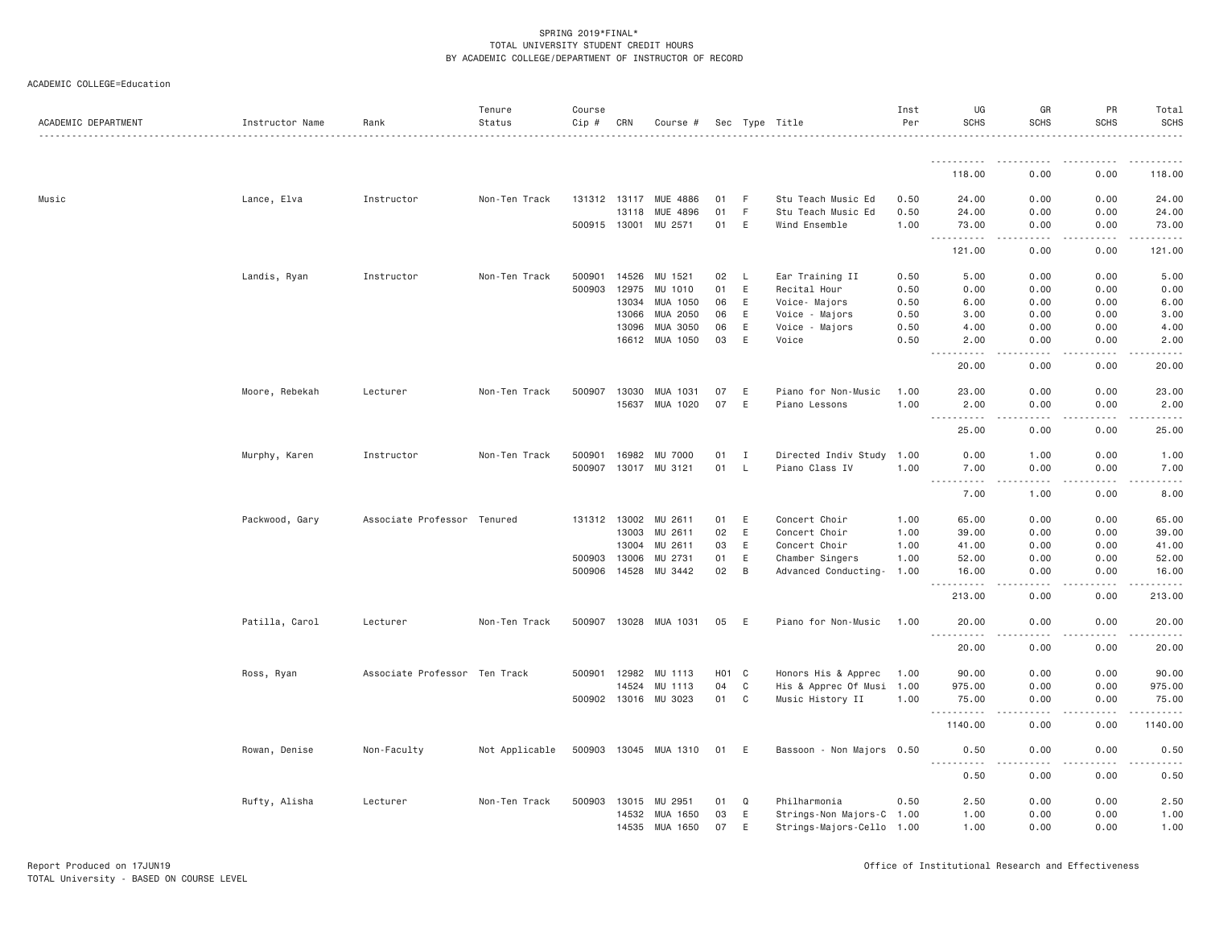|--|

| ACADEMIC DEPARTMENT | Instructor Name | Rank                          | Tenure<br>Status | Course<br>Cip # | CRN   | Course #              |                   |             | Sec Type Title            | Inst<br>Per | UG<br><b>SCHS</b>                          | GR<br><b>SCHS</b> | PR<br><b>SCHS</b> | Total<br><b>SCHS</b>                |
|---------------------|-----------------|-------------------------------|------------------|-----------------|-------|-----------------------|-------------------|-------------|---------------------------|-------------|--------------------------------------------|-------------------|-------------------|-------------------------------------|
|                     |                 |                               | .                |                 |       |                       |                   |             |                           |             | <b></b>                                    |                   |                   |                                     |
|                     |                 |                               |                  |                 |       |                       |                   |             |                           |             | 118.00                                     | .<br>0.00         | -----<br>0.00     | 118.00                              |
| Music               | Lance, Elva     | Instructor                    | Non-Ten Track    | 131312 13117    |       | MUE 4886              | 01                | F           | Stu Teach Music Ed        | 0.50        | 24.00                                      | 0.00              | 0.00              | 24.00                               |
|                     |                 |                               |                  |                 | 13118 | MUE 4896              | 01                | F           | Stu Teach Music Ed        | 0.50        | 24.00                                      | 0.00              | 0.00              | 24.00                               |
|                     |                 |                               |                  | 500915 13001    |       | MU 2571               | 01                | E           | Wind Ensemble             | 1.00        | 73.00                                      | 0.00              | 0.00              | 73.00                               |
|                     |                 |                               |                  |                 |       |                       |                   |             |                           |             | <u>.</u><br>$\frac{1}{2}$<br>121.00        | $- - - -$<br>0.00 | .<br>0.00         | .<br>121.00                         |
|                     | Landis, Ryan    | Instructor                    | Non-Ten Track    | 500901          | 14526 | MU 1521               | 02                | L           | Ear Training II           | 0.50        | 5.00                                       | 0.00              | 0.00              | 5.00                                |
|                     |                 |                               |                  | 500903          | 12975 | MU 1010               | 01                | E           | Recital Hour              | 0.50        | 0.00                                       | 0.00              | 0.00              | 0.00                                |
|                     |                 |                               |                  |                 | 13034 | MUA 1050              | 06                | E           | Voice- Majors             | 0.50        | 6.00                                       | 0.00              | 0.00              | 6.00                                |
|                     |                 |                               |                  |                 | 13066 | MUA 2050              | 06                | E           | Voice - Majors            | 0.50        | 3.00                                       | 0.00              | 0.00              | 3.00                                |
|                     |                 |                               |                  |                 | 13096 | MUA 3050              | 06                | E           | Voice - Majors            | 0.50        | 4.00                                       | 0.00              | 0.00              | 4.00                                |
|                     |                 |                               |                  |                 | 16612 | MUA 1050              | 03                | $\mathsf E$ | Voice                     | 0.50        | 2.00                                       | 0.00              | 0.00              | 2.00                                |
|                     |                 |                               |                  |                 |       |                       |                   |             |                           |             | -----<br>$- - -$<br>20.00                  | $- - - -$<br>0.00 | .<br>0.00         | $   -$<br>20.00                     |
|                     | Moore, Rebekah  | Lecturer                      | Non-Ten Track    | 500907          | 13030 | MUA 1031              | 07                | E           | Piano for Non-Music       | 1.00        | 23,00                                      | 0.00              | 0.00              | 23.00                               |
|                     |                 |                               |                  |                 | 15637 | MUA 1020              | 07                | E           | Piano Lessons             | 1.00        | 2.00                                       | 0.00              | 0.00              | 2.00                                |
|                     |                 |                               |                  |                 |       |                       |                   |             |                           |             | .<br>$- - -$                               | .                 | .                 | .                                   |
|                     |                 |                               |                  |                 |       |                       |                   |             |                           |             | 25.00                                      | 0.00              | 0.00              | 25.00                               |
|                     | Murphy, Karen   | Instructor                    | Non-Ten Track    | 500901          | 16982 | <b>MU 7000</b>        | 01                | I           | Directed Indiv Study 1.00 |             | 0.00                                       | 1.00              | 0.00              | 1.00                                |
|                     |                 |                               |                  | 500907          | 13017 | MU 3121               | 01                | <b>L</b>    | Piano Class IV            | 1.00        | 7.00<br>.                                  | 0.00<br>.         | 0.00<br>.         | 7.00<br>$\sim$ $\sim$ $\sim$ $\sim$ |
|                     |                 |                               |                  |                 |       |                       |                   |             |                           |             | 7.00                                       | 1.00              | 0.00              | 8.00                                |
|                     | Packwood, Gary  | Associate Professor Tenured   |                  | 131312 13002    |       | MU 2611               | 01                | E           | Concert Choir             | 1.00        | 65.00                                      | 0.00              | 0.00              | 65.00                               |
|                     |                 |                               |                  |                 | 13003 | MU 2611               | 02                | E           | Concert Choir             | 1.00        | 39.00                                      | 0.00              | 0.00              | 39.00                               |
|                     |                 |                               |                  |                 | 13004 | MU 2611               | 03                | E           | Concert Choir             | 1.00        | 41.00                                      | 0.00              | 0.00              | 41.00                               |
|                     |                 |                               |                  | 500903          | 13006 | 2731<br>MU            | 01                | E           | Chamber Singers           | 1.00        | 52.00                                      | 0.00              | 0.00              | 52.00                               |
|                     |                 |                               |                  | 500906          | 14528 | MU 3442               | 02                | B           | Advanced Conducting-      | 1.00        | 16.00                                      | 0.00              | 0.00              | 16.00                               |
|                     |                 |                               |                  |                 |       |                       |                   |             |                           |             | .<br>213.00                                | د د د د<br>0.00   | .<br>0.00         | .<br>213.00                         |
|                     | Patilla, Carol  | Lecturer                      | Non-Ten Track    | 500907          | 13028 | MUA 1031              | 05                | E           | Piano for Non-Music       | 1.00        | 20.00                                      | 0.00              | 0.00              | 20.00                               |
|                     |                 |                               |                  |                 |       |                       |                   |             |                           |             | 20.00                                      | 0.00              | 0.00              | $- - - - -$<br>20.00                |
|                     | Ross, Ryan      | Associate Professor Ten Track |                  | 500901          | 12982 | MU 1113               | H <sub>01</sub> C |             | Honors His & Apprec       | 1.00        | 90.00                                      | 0.00              | 0.00              | 90.00                               |
|                     |                 |                               |                  |                 | 14524 | MU<br>1113            | 04                | $\mathbb C$ | His & Apprec Of Musi 1.00 |             | 975.00                                     | 0.00              | 0.00              | 975.00                              |
|                     |                 |                               |                  |                 |       | 500902 13016 MU 3023  | 01                | C           | Music History II          | 1.00        | 75.00                                      | 0.00              | 0.00              | 75.00                               |
|                     |                 |                               |                  |                 |       |                       |                   |             |                           |             | <u> - - - - - - - - - -</u>                | .                 | .                 | .                                   |
|                     |                 |                               |                  |                 |       |                       |                   |             |                           |             | 1140.00                                    | 0.00              | 0.00              | 1140.00                             |
|                     | Rowan, Denise   | Non-Faculty                   | Not Applicable   |                 |       | 500903 13045 MUA 1310 | 01 E              |             | Bassoon - Non Majors 0.50 |             | 0.50<br>$\sim$ $\sim$ $\sim$ $\sim$ $\sim$ | 0.00              | 0.00              | 0.50                                |
|                     |                 |                               |                  |                 |       |                       |                   |             |                           |             | 0.50                                       | 0.00              | 0.00              | 0.50                                |
|                     | Rufty, Alisha   | Lecturer                      | Non-Ten Track    | 500903          | 13015 | MU 2951               | 01                | Q           | Philharmonia              | 0.50        | 2.50                                       | 0.00              | 0.00              | 2.50                                |
|                     |                 |                               |                  |                 | 14532 | MUA 1650              | 03                | E           | Strings-Non Majors-C 1.00 |             | 1.00                                       | 0.00              | 0.00              | 1.00                                |
|                     |                 |                               |                  |                 | 14535 | MUA 1650              | 07                | E           | Strings-Majors-Cello 1.00 |             | 1.00                                       | 0.00              | 0.00              | 1.00                                |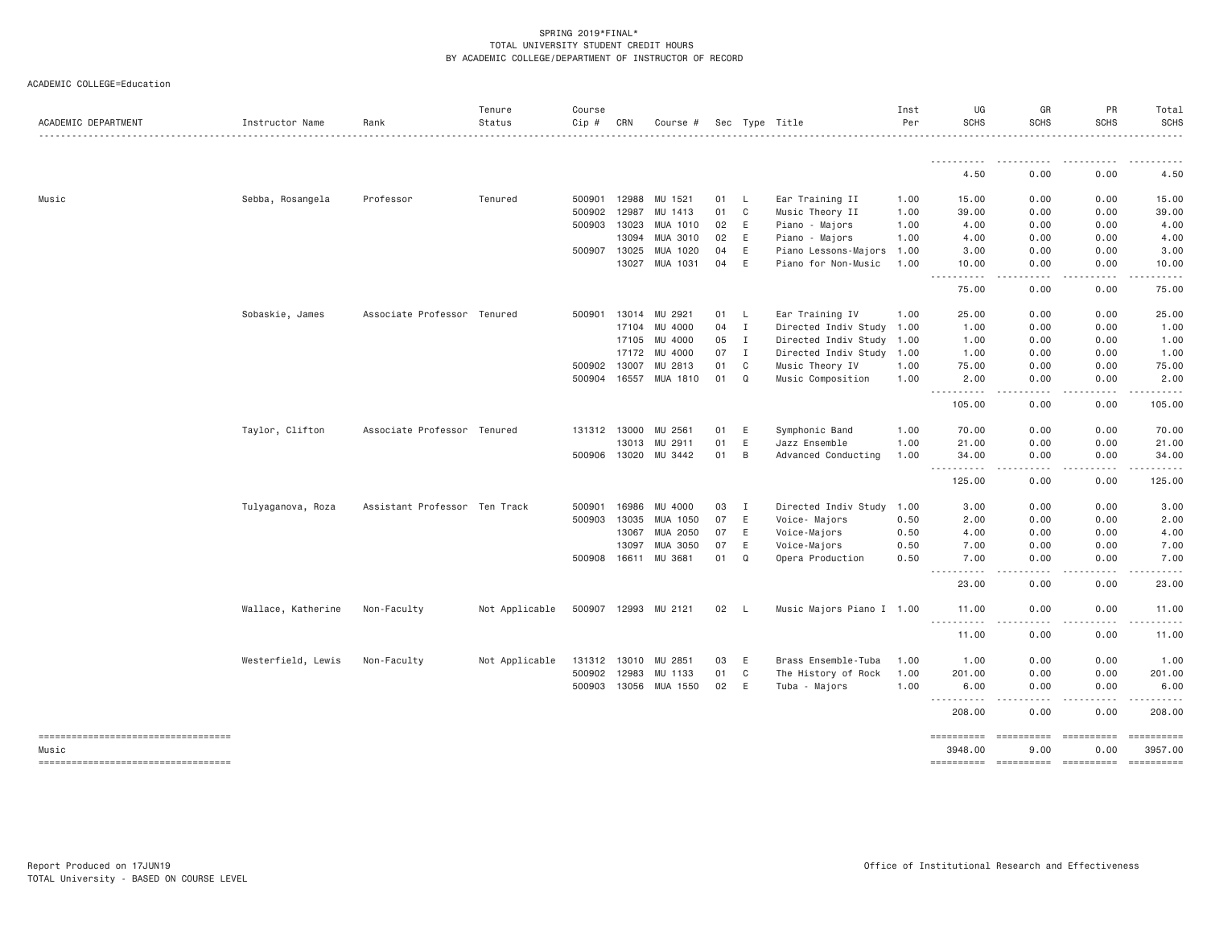ACADEMIC COLLEGE=Education

| ACADEMIC DEPARTMENT                    | Instructor Name    | Rank                          | Tenure<br>Status | Course<br>Cip # | CRN   | Course #   |    |              | Sec Type Title            | Inst<br>Per | UG<br><b>SCHS</b>                  | GR<br><b>SCHS</b>                   | <b>PR</b><br><b>SCHS</b>                                                                                                          | Total<br><b>SCHS</b>  |
|----------------------------------------|--------------------|-------------------------------|------------------|-----------------|-------|------------|----|--------------|---------------------------|-------------|------------------------------------|-------------------------------------|-----------------------------------------------------------------------------------------------------------------------------------|-----------------------|
|                                        |                    |                               |                  |                 |       |            |    |              |                           |             | .                                  | . <i>.</i> .                        | .                                                                                                                                 | .                     |
|                                        |                    |                               |                  |                 |       |            |    |              |                           |             | 4.50                               | 0.00                                | 0.00                                                                                                                              | 4.50                  |
| Music                                  | Sebba, Rosangela   | Professor                     | Tenured          | 500901          | 12988 | MU 1521    | 01 | <b>L</b>     | Ear Training II           | 1.00        | 15.00                              | 0.00                                | 0.00                                                                                                                              | 15.00                 |
|                                        |                    |                               |                  | 500902          | 12987 | 1413<br>MU | 01 | C            | Music Theory II           | 1.00        | 39.00                              | 0.00                                | 0.00                                                                                                                              | 39.00                 |
|                                        |                    |                               |                  | 500903          | 13023 | MUA 1010   | 02 | E            | Piano - Majors            | 1.00        | 4.00                               | 0.00                                | 0.00                                                                                                                              | 4.00                  |
|                                        |                    |                               |                  |                 | 13094 | MUA 3010   | 02 | $\mathsf E$  | Piano - Majors            | 1.00        | 4.00                               | 0.00                                | 0.00                                                                                                                              | 4.00                  |
|                                        |                    |                               |                  | 500907          | 13025 | MUA 1020   | 04 | E            | Piano Lessons-Majors      | 1.00        | 3.00                               | 0.00                                | 0.00                                                                                                                              | 3.00                  |
|                                        |                    |                               |                  |                 | 13027 | MUA 1031   | 04 | E            | Piano for Non-Music       | 1.00        | 10.00<br>.<br>$\sim$ $\sim$ $\sim$ | 0.00<br>$\sim$ $\sim$ $\sim$ $\sim$ | 0.00<br>$\sim$ $\sim$ $\sim$ $\sim$                                                                                               | 10.00<br>د د د د د    |
|                                        |                    |                               |                  |                 |       |            |    |              |                           |             | 75.00                              | 0.00                                | 0.00                                                                                                                              | 75.00                 |
|                                        | Sobaskie, James    | Associate Professor Tenured   |                  | 500901          | 13014 | MU 2921    | 01 | L.           | Ear Training IV           | 1.00        | 25.00                              | 0.00                                | 0.00                                                                                                                              | 25.00                 |
|                                        |                    |                               |                  |                 | 17104 | MU 4000    | 04 | $\mathbf I$  | Directed Indiv Study 1.00 |             | 1.00                               | 0.00                                | 0.00                                                                                                                              | 1.00                  |
|                                        |                    |                               |                  |                 | 17105 | MU 4000    | 05 | $\mathbf I$  | Directed Indiv Study 1.00 |             | 1.00                               | 0.00                                | 0.00                                                                                                                              | 1.00                  |
|                                        |                    |                               |                  |                 | 17172 | MU 4000    | 07 | $\mathbf I$  | Directed Indiv Study 1.00 |             | 1.00                               | 0.00                                | 0.00                                                                                                                              | 1.00                  |
|                                        |                    |                               |                  | 500902          | 13007 | MU 2813    | 01 | $\mathsf{C}$ | Music Theory IV           | 1.00        | 75.00                              | 0.00                                | 0.00                                                                                                                              | 75.00                 |
|                                        |                    |                               |                  | 500904          | 16557 | MUA 1810   | 01 | Q            | Music Composition         | 1.00        | 2.00<br>.                          | 0.00<br>$- - - -$                   | 0.00<br>.                                                                                                                         | 2.00<br>.             |
|                                        |                    |                               |                  |                 |       |            |    |              |                           |             | 105.00                             | 0.00                                | 0.00                                                                                                                              | 105.00                |
|                                        | Taylor, Clifton    | Associate Professor Tenured   |                  | 131312 13000    |       | MU 2561    | 01 | E            | Symphonic Band            | 1.00        | 70.00                              | 0.00                                | 0.00                                                                                                                              | 70.00                 |
|                                        |                    |                               |                  |                 | 13013 | MU 2911    | 01 | E            | Jazz Ensemble             | 1.00        | 21.00                              | 0.00                                | 0.00                                                                                                                              | 21.00                 |
|                                        |                    |                               |                  | 500906          | 13020 | MU 3442    | 01 | B            | Advanced Conducting       | 1,00        | 34.00<br>$  -$                     | 0.00                                | 0.00                                                                                                                              | 34,00<br>.            |
|                                        |                    |                               |                  |                 |       |            |    |              |                           |             | 125.00                             | 0.00                                | 0.00                                                                                                                              | 125.00                |
|                                        | Tulyaganova, Roza  | Assistant Professor Ten Track |                  | 500901          | 16986 | MU 4000    | 03 | I            | Directed Indiv Study      | 1.00        | 3.00                               | 0.00                                | 0.00                                                                                                                              | 3.00                  |
|                                        |                    |                               |                  | 500903          | 13035 | MUA 1050   | 07 | $\mathsf E$  | Voice- Majors             | 0.50        | 2.00                               | 0.00                                | 0.00                                                                                                                              | 2.00                  |
|                                        |                    |                               |                  |                 | 13067 | MUA 2050   | 07 | E            | Voice-Majors              | 0.50        | 4.00                               | 0.00                                | 0.00                                                                                                                              | 4.00                  |
|                                        |                    |                               |                  |                 | 13097 | MUA 3050   | 07 | E            | Voice-Majors              | 0.50        | 7.00                               | 0.00                                | 0.00                                                                                                                              | 7.00                  |
|                                        |                    |                               |                  | 500908          | 16611 | MU 3681    | 01 | $\mathsf Q$  | Opera Production          | 0.50        | 7.00                               | 0.00<br>.                           | 0.00<br>$\frac{1}{2} \left( \frac{1}{2} \right) \left( \frac{1}{2} \right) \left( \frac{1}{2} \right) \left( \frac{1}{2} \right)$ | 7.00                  |
|                                        |                    |                               |                  |                 |       |            |    |              |                           |             | 23.00                              | 0.00                                | 0.00                                                                                                                              | 23.00                 |
|                                        | Wallace, Katherine | Non-Faculty                   | Not Applicable   | 500907 12993    |       | MU 2121    | 02 | - L          | Music Majors Piano I 1.00 |             | 11.00                              | 0.00                                | 0.00                                                                                                                              | 11.00                 |
|                                        |                    |                               |                  |                 |       |            |    |              |                           |             | .<br>11.00                         | 0.00                                | 0.00                                                                                                                              | .<br>11.00            |
|                                        | Westerfield, Lewis | Non-Faculty                   | Not Applicable   | 131312          | 13010 | MU 2851    | 03 | Ε            | Brass Ensemble-Tuba       | 1.00        | 1.00                               | 0.00                                | 0.00                                                                                                                              | 1.00                  |
|                                        |                    |                               |                  | 500902          | 12983 | 1133<br>MU | 01 | C            | The History of Rock       | 1.00        | 201.00                             | 0.00                                | 0.00                                                                                                                              | 201.00                |
|                                        |                    |                               |                  | 500903          | 13056 | MUA 1550   | 02 | E            | Tuba - Majors             | 1.00        | 6.00                               | 0.00                                | 0.00                                                                                                                              | 6.00                  |
|                                        |                    |                               |                  |                 |       |            |    |              |                           |             | .<br>208.00                        | $\sim$ $\sim$ $\sim$ $\sim$<br>0.00 | $- - - -$<br>0.00                                                                                                                 | .<br>208,00           |
| ----------------------------------     |                    |                               |                  |                 |       |            |    |              |                           |             | ==========                         | <b>ESSESSESS</b>                    | ==========                                                                                                                        | $=$ = = = = = = = = = |
| Music                                  |                    |                               |                  |                 |       |            |    |              |                           |             | 3948.00                            | 9,00                                | 0.00                                                                                                                              | 3957.00               |
| ====================================== |                    |                               |                  |                 |       |            |    |              |                           |             | ==========                         | ==========                          |                                                                                                                                   |                       |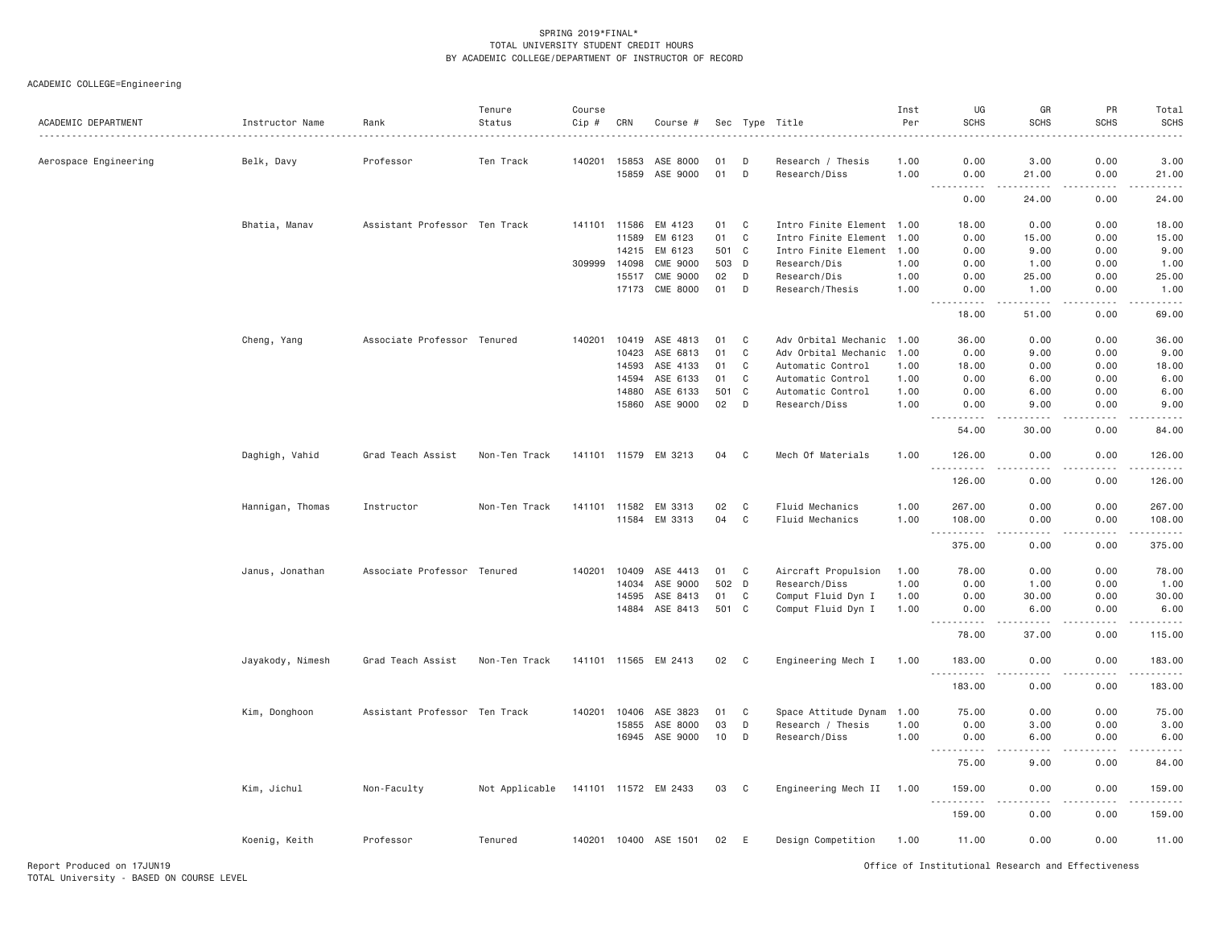| Aerospace Engineering<br>Belk, Davy<br>Professor<br>Ten Track<br>140201 15853<br>ASE 8000<br>D<br>Research / Thesis<br>1.00<br>0.00<br>3.00<br>0.00<br>01<br>15859<br>ASE 9000<br>01<br>D<br>Research/Diss<br>0.00<br>21.00<br>1.00<br>0.00<br>21.00<br>.<br>.<br>.<br>.<br>0.00<br>24.00<br>0.00<br>Assistant Professor Ten Track<br>Bhatia, Manav<br>141101 11586<br>EM 4123<br>01<br>C<br>Intro Finite Element 1.00<br>18.00<br>0.00<br>0.00<br>11589<br>EM 6123<br>01<br>$\mathbf C$<br>Intro Finite Element<br>0.00<br>0.00<br>1.00<br>15.00<br>EM 6123<br>14215<br>501 C<br>Intro Finite Element<br>1.00<br>0.00<br>9.00<br>0.00<br><b>CME 9000</b><br>309999<br>14098<br>503<br>D<br>Research/Dis<br>1.00<br>0.00<br>1.00<br>0.00<br><b>CME 9000</b><br>02<br>15517<br>D<br>Research/Dis<br>1.00<br>0.00<br>25.00<br>0.00<br>17173 CME 8000<br>01<br>D<br>Research/Thesis<br>1.00<br>0.00<br>1.00<br>0.00<br>.<br>.<br>$- - - - -$<br>18.00<br>51.00<br>0.00<br>Cheng, Yang<br>Associate Professor Tenured<br>140201<br>10419 ASE 4813<br>01<br>C<br>Adv Orbital Mechanic<br>36.00<br>0.00<br>0.00<br>1.00<br>10423<br>ASE 6813<br>01<br>C<br>Adv Orbital Mechanic<br>1.00<br>0.00<br>9.00<br>0.00<br>14593<br>ASE 4133<br>01<br>C<br>Automatic Control<br>1.00<br>18.00<br>0.00<br>0.00<br>14594<br>ASE 6133<br>C<br>01<br>Automatic Control<br>1.00<br>0.00<br>6.00<br>0.00<br>14880<br>ASE 6133<br>501 C<br>Automatic Control<br>0.00<br>6.00<br>0.00<br>1.00<br>15860 ASE 9000<br>02<br>D<br>Research/Diss<br>0.00<br>9.00<br>0.00<br>1.00<br>0.00<br>54.00<br>30.00<br>Grad Teach Assist<br>141101 11579 EM 3213<br>Mech Of Materials<br>0.00<br>Daghigh, Vahid<br>Non-Ten Track<br>04<br>C<br>1.00<br>126.00<br>0.00<br>$\sim$ $\sim$ $\sim$<br>.<br>0.00<br>126.00<br>0.00<br>Hannigan, Thomas<br>Instructor<br>Non-Ten Track<br>141101 11582<br>EM 3313<br>02<br>C<br>Fluid Mechanics<br>1.00<br>267.00<br>0.00<br>0.00<br>11584 EM 3313<br>04<br>C<br>Fluid Mechanics<br>0.00<br>0.00<br>1.00<br>108.00<br>.<br>.<br>.<br>375.00<br>0.00<br>0.00<br>Associate Professor Tenured<br>Janus, Jonathan<br>140201 10409<br>ASE 4413<br>01<br>$\mathbf{C}$<br>Aircraft Propulsion<br>1.00<br>78.00<br>0.00<br>0.00<br>ASE 9000<br>502 D<br>Research/Diss<br>0.00<br>14034<br>1.00<br>1.00<br>0.00<br>ASE 8413<br>01<br>Comput Fluid Dyn I<br>0.00<br>30.00<br>0.00<br>14595<br>C<br>1.00<br>ASE 8413<br>501 C<br>Comput Fluid Dyn I<br>14884<br>1.00<br>0.00<br>6.00<br>0.00<br>.<br>$\frac{1}{2}$<br>.<br>78.00<br>37.00<br>0.00<br>141101 11565 EM 2413<br>Engineering Mech I<br>Jayakody, Nimesh<br>Grad Teach Assist<br>Non-Ten Track<br>02<br>C<br>1.00<br>183.00<br>0.00<br>0.00<br>.<br>.<br>.<br>183.00<br>0.00<br>0.00<br>Assistant Professor Ten Track<br>ASE 3823<br>0.00<br>0.00<br>Kim, Donghoon<br>140201 10406<br>01<br>C<br>Space Attitude Dynam<br>1.00<br>75.00<br>ASE 8000<br>03<br>D<br>Research / Thesis<br>0.00<br>3.00<br>0.00<br>15855<br>1.00<br>16945 ASE 9000<br>10<br>D<br>Research/Diss<br>1,00<br>0.00<br>6.00<br>0.00<br>$\frac{1}{2} \left( \frac{1}{2} \right) \left( \frac{1}{2} \right) \left( \frac{1}{2} \right) \left( \frac{1}{2} \right) \left( \frac{1}{2} \right)$<br>.<br>.<br>9.00<br>0.00<br>75.00<br>Kim, Jichul<br>Non-Faculty<br>Not Applicable<br>141101 11572 EM 2433<br>Engineering Mech II<br>0.00<br>0.00<br>03<br>$\mathbf{C}$<br>1.00<br>159.00<br>$\frac{1}{2} \left( \frac{1}{2} \right) \left( \frac{1}{2} \right) \left( \frac{1}{2} \right)$<br>0.00<br>159.00<br>0.00<br>Koenig, Keith<br>Professor<br>Tenured<br>140201  10400  ASE  1501<br>02<br>E<br>Design Competition<br>1.00<br>11.00<br>0.00<br>0.00 | ACADEMIC DEPARTMENT | Instructor Name | Rank | Tenure<br>Status | Course<br>Cip # | CRN | Course # | Sec | Type Title | Inst<br>Per | UG<br><b>SCHS</b> | GR<br><b>SCHS</b> | PR<br><b>SCHS</b> | Total<br><b>SCHS</b> |
|-------------------------------------------------------------------------------------------------------------------------------------------------------------------------------------------------------------------------------------------------------------------------------------------------------------------------------------------------------------------------------------------------------------------------------------------------------------------------------------------------------------------------------------------------------------------------------------------------------------------------------------------------------------------------------------------------------------------------------------------------------------------------------------------------------------------------------------------------------------------------------------------------------------------------------------------------------------------------------------------------------------------------------------------------------------------------------------------------------------------------------------------------------------------------------------------------------------------------------------------------------------------------------------------------------------------------------------------------------------------------------------------------------------------------------------------------------------------------------------------------------------------------------------------------------------------------------------------------------------------------------------------------------------------------------------------------------------------------------------------------------------------------------------------------------------------------------------------------------------------------------------------------------------------------------------------------------------------------------------------------------------------------------------------------------------------------------------------------------------------------------------------------------------------------------------------------------------------------------------------------------------------------------------------------------------------------------------------------------------------------------------------------------------------------------------------------------------------------------------------------------------------------------------------------------------------------------------------------------------------------------------------------------------------------------------------------------------------------------------------------------------------------------------------------------------------------------------------------------------------------------------------------------------------------------------------------------------------------------------------------------------------------------------------------------------------------------------------------------------------------------------------------------------------------------------------------------------------------------------------------------------------------------------------------------------------------------------------------------------------------------------------------------------------------------------------------------------------------------------------------------------------------------------------------------------------------------------------------------------------------------------------------------------------------------------|---------------------|-----------------|------|------------------|-----------------|-----|----------|-----|------------|-------------|-------------------|-------------------|-------------------|----------------------|
|                                                                                                                                                                                                                                                                                                                                                                                                                                                                                                                                                                                                                                                                                                                                                                                                                                                                                                                                                                                                                                                                                                                                                                                                                                                                                                                                                                                                                                                                                                                                                                                                                                                                                                                                                                                                                                                                                                                                                                                                                                                                                                                                                                                                                                                                                                                                                                                                                                                                                                                                                                                                                                                                                                                                                                                                                                                                                                                                                                                                                                                                                                                                                                                                                                                                                                                                                                                                                                                                                                                                                                                                                                                                                     |                     |                 |      |                  |                 |     |          |     |            |             |                   |                   |                   | 3.00                 |
|                                                                                                                                                                                                                                                                                                                                                                                                                                                                                                                                                                                                                                                                                                                                                                                                                                                                                                                                                                                                                                                                                                                                                                                                                                                                                                                                                                                                                                                                                                                                                                                                                                                                                                                                                                                                                                                                                                                                                                                                                                                                                                                                                                                                                                                                                                                                                                                                                                                                                                                                                                                                                                                                                                                                                                                                                                                                                                                                                                                                                                                                                                                                                                                                                                                                                                                                                                                                                                                                                                                                                                                                                                                                                     |                     |                 |      |                  |                 |     |          |     |            |             |                   |                   |                   |                      |
|                                                                                                                                                                                                                                                                                                                                                                                                                                                                                                                                                                                                                                                                                                                                                                                                                                                                                                                                                                                                                                                                                                                                                                                                                                                                                                                                                                                                                                                                                                                                                                                                                                                                                                                                                                                                                                                                                                                                                                                                                                                                                                                                                                                                                                                                                                                                                                                                                                                                                                                                                                                                                                                                                                                                                                                                                                                                                                                                                                                                                                                                                                                                                                                                                                                                                                                                                                                                                                                                                                                                                                                                                                                                                     |                     |                 |      |                  |                 |     |          |     |            |             |                   |                   |                   | 24.00                |
|                                                                                                                                                                                                                                                                                                                                                                                                                                                                                                                                                                                                                                                                                                                                                                                                                                                                                                                                                                                                                                                                                                                                                                                                                                                                                                                                                                                                                                                                                                                                                                                                                                                                                                                                                                                                                                                                                                                                                                                                                                                                                                                                                                                                                                                                                                                                                                                                                                                                                                                                                                                                                                                                                                                                                                                                                                                                                                                                                                                                                                                                                                                                                                                                                                                                                                                                                                                                                                                                                                                                                                                                                                                                                     |                     |                 |      |                  |                 |     |          |     |            |             |                   |                   |                   | 18.00                |
|                                                                                                                                                                                                                                                                                                                                                                                                                                                                                                                                                                                                                                                                                                                                                                                                                                                                                                                                                                                                                                                                                                                                                                                                                                                                                                                                                                                                                                                                                                                                                                                                                                                                                                                                                                                                                                                                                                                                                                                                                                                                                                                                                                                                                                                                                                                                                                                                                                                                                                                                                                                                                                                                                                                                                                                                                                                                                                                                                                                                                                                                                                                                                                                                                                                                                                                                                                                                                                                                                                                                                                                                                                                                                     |                     |                 |      |                  |                 |     |          |     |            |             |                   |                   |                   | 15.00                |
|                                                                                                                                                                                                                                                                                                                                                                                                                                                                                                                                                                                                                                                                                                                                                                                                                                                                                                                                                                                                                                                                                                                                                                                                                                                                                                                                                                                                                                                                                                                                                                                                                                                                                                                                                                                                                                                                                                                                                                                                                                                                                                                                                                                                                                                                                                                                                                                                                                                                                                                                                                                                                                                                                                                                                                                                                                                                                                                                                                                                                                                                                                                                                                                                                                                                                                                                                                                                                                                                                                                                                                                                                                                                                     |                     |                 |      |                  |                 |     |          |     |            |             |                   |                   |                   | 9.00                 |
|                                                                                                                                                                                                                                                                                                                                                                                                                                                                                                                                                                                                                                                                                                                                                                                                                                                                                                                                                                                                                                                                                                                                                                                                                                                                                                                                                                                                                                                                                                                                                                                                                                                                                                                                                                                                                                                                                                                                                                                                                                                                                                                                                                                                                                                                                                                                                                                                                                                                                                                                                                                                                                                                                                                                                                                                                                                                                                                                                                                                                                                                                                                                                                                                                                                                                                                                                                                                                                                                                                                                                                                                                                                                                     |                     |                 |      |                  |                 |     |          |     |            |             |                   |                   |                   | 1.00                 |
|                                                                                                                                                                                                                                                                                                                                                                                                                                                                                                                                                                                                                                                                                                                                                                                                                                                                                                                                                                                                                                                                                                                                                                                                                                                                                                                                                                                                                                                                                                                                                                                                                                                                                                                                                                                                                                                                                                                                                                                                                                                                                                                                                                                                                                                                                                                                                                                                                                                                                                                                                                                                                                                                                                                                                                                                                                                                                                                                                                                                                                                                                                                                                                                                                                                                                                                                                                                                                                                                                                                                                                                                                                                                                     |                     |                 |      |                  |                 |     |          |     |            |             |                   |                   |                   | 25.00                |
|                                                                                                                                                                                                                                                                                                                                                                                                                                                                                                                                                                                                                                                                                                                                                                                                                                                                                                                                                                                                                                                                                                                                                                                                                                                                                                                                                                                                                                                                                                                                                                                                                                                                                                                                                                                                                                                                                                                                                                                                                                                                                                                                                                                                                                                                                                                                                                                                                                                                                                                                                                                                                                                                                                                                                                                                                                                                                                                                                                                                                                                                                                                                                                                                                                                                                                                                                                                                                                                                                                                                                                                                                                                                                     |                     |                 |      |                  |                 |     |          |     |            |             |                   |                   |                   | 1.00<br>.            |
|                                                                                                                                                                                                                                                                                                                                                                                                                                                                                                                                                                                                                                                                                                                                                                                                                                                                                                                                                                                                                                                                                                                                                                                                                                                                                                                                                                                                                                                                                                                                                                                                                                                                                                                                                                                                                                                                                                                                                                                                                                                                                                                                                                                                                                                                                                                                                                                                                                                                                                                                                                                                                                                                                                                                                                                                                                                                                                                                                                                                                                                                                                                                                                                                                                                                                                                                                                                                                                                                                                                                                                                                                                                                                     |                     |                 |      |                  |                 |     |          |     |            |             |                   |                   |                   | 69.00                |
|                                                                                                                                                                                                                                                                                                                                                                                                                                                                                                                                                                                                                                                                                                                                                                                                                                                                                                                                                                                                                                                                                                                                                                                                                                                                                                                                                                                                                                                                                                                                                                                                                                                                                                                                                                                                                                                                                                                                                                                                                                                                                                                                                                                                                                                                                                                                                                                                                                                                                                                                                                                                                                                                                                                                                                                                                                                                                                                                                                                                                                                                                                                                                                                                                                                                                                                                                                                                                                                                                                                                                                                                                                                                                     |                     |                 |      |                  |                 |     |          |     |            |             |                   |                   |                   | 36.00                |
|                                                                                                                                                                                                                                                                                                                                                                                                                                                                                                                                                                                                                                                                                                                                                                                                                                                                                                                                                                                                                                                                                                                                                                                                                                                                                                                                                                                                                                                                                                                                                                                                                                                                                                                                                                                                                                                                                                                                                                                                                                                                                                                                                                                                                                                                                                                                                                                                                                                                                                                                                                                                                                                                                                                                                                                                                                                                                                                                                                                                                                                                                                                                                                                                                                                                                                                                                                                                                                                                                                                                                                                                                                                                                     |                     |                 |      |                  |                 |     |          |     |            |             |                   |                   |                   | 9.00                 |
|                                                                                                                                                                                                                                                                                                                                                                                                                                                                                                                                                                                                                                                                                                                                                                                                                                                                                                                                                                                                                                                                                                                                                                                                                                                                                                                                                                                                                                                                                                                                                                                                                                                                                                                                                                                                                                                                                                                                                                                                                                                                                                                                                                                                                                                                                                                                                                                                                                                                                                                                                                                                                                                                                                                                                                                                                                                                                                                                                                                                                                                                                                                                                                                                                                                                                                                                                                                                                                                                                                                                                                                                                                                                                     |                     |                 |      |                  |                 |     |          |     |            |             |                   |                   |                   | 18.00                |
|                                                                                                                                                                                                                                                                                                                                                                                                                                                                                                                                                                                                                                                                                                                                                                                                                                                                                                                                                                                                                                                                                                                                                                                                                                                                                                                                                                                                                                                                                                                                                                                                                                                                                                                                                                                                                                                                                                                                                                                                                                                                                                                                                                                                                                                                                                                                                                                                                                                                                                                                                                                                                                                                                                                                                                                                                                                                                                                                                                                                                                                                                                                                                                                                                                                                                                                                                                                                                                                                                                                                                                                                                                                                                     |                     |                 |      |                  |                 |     |          |     |            |             |                   |                   |                   | 6.00                 |
|                                                                                                                                                                                                                                                                                                                                                                                                                                                                                                                                                                                                                                                                                                                                                                                                                                                                                                                                                                                                                                                                                                                                                                                                                                                                                                                                                                                                                                                                                                                                                                                                                                                                                                                                                                                                                                                                                                                                                                                                                                                                                                                                                                                                                                                                                                                                                                                                                                                                                                                                                                                                                                                                                                                                                                                                                                                                                                                                                                                                                                                                                                                                                                                                                                                                                                                                                                                                                                                                                                                                                                                                                                                                                     |                     |                 |      |                  |                 |     |          |     |            |             |                   |                   |                   | 6.00                 |
|                                                                                                                                                                                                                                                                                                                                                                                                                                                                                                                                                                                                                                                                                                                                                                                                                                                                                                                                                                                                                                                                                                                                                                                                                                                                                                                                                                                                                                                                                                                                                                                                                                                                                                                                                                                                                                                                                                                                                                                                                                                                                                                                                                                                                                                                                                                                                                                                                                                                                                                                                                                                                                                                                                                                                                                                                                                                                                                                                                                                                                                                                                                                                                                                                                                                                                                                                                                                                                                                                                                                                                                                                                                                                     |                     |                 |      |                  |                 |     |          |     |            |             |                   |                   |                   | 9.00                 |
|                                                                                                                                                                                                                                                                                                                                                                                                                                                                                                                                                                                                                                                                                                                                                                                                                                                                                                                                                                                                                                                                                                                                                                                                                                                                                                                                                                                                                                                                                                                                                                                                                                                                                                                                                                                                                                                                                                                                                                                                                                                                                                                                                                                                                                                                                                                                                                                                                                                                                                                                                                                                                                                                                                                                                                                                                                                                                                                                                                                                                                                                                                                                                                                                                                                                                                                                                                                                                                                                                                                                                                                                                                                                                     |                     |                 |      |                  |                 |     |          |     |            |             |                   |                   |                   | 84.00                |
|                                                                                                                                                                                                                                                                                                                                                                                                                                                                                                                                                                                                                                                                                                                                                                                                                                                                                                                                                                                                                                                                                                                                                                                                                                                                                                                                                                                                                                                                                                                                                                                                                                                                                                                                                                                                                                                                                                                                                                                                                                                                                                                                                                                                                                                                                                                                                                                                                                                                                                                                                                                                                                                                                                                                                                                                                                                                                                                                                                                                                                                                                                                                                                                                                                                                                                                                                                                                                                                                                                                                                                                                                                                                                     |                     |                 |      |                  |                 |     |          |     |            |             |                   |                   |                   | 126.00               |
|                                                                                                                                                                                                                                                                                                                                                                                                                                                                                                                                                                                                                                                                                                                                                                                                                                                                                                                                                                                                                                                                                                                                                                                                                                                                                                                                                                                                                                                                                                                                                                                                                                                                                                                                                                                                                                                                                                                                                                                                                                                                                                                                                                                                                                                                                                                                                                                                                                                                                                                                                                                                                                                                                                                                                                                                                                                                                                                                                                                                                                                                                                                                                                                                                                                                                                                                                                                                                                                                                                                                                                                                                                                                                     |                     |                 |      |                  |                 |     |          |     |            |             |                   |                   |                   | 126.00               |
|                                                                                                                                                                                                                                                                                                                                                                                                                                                                                                                                                                                                                                                                                                                                                                                                                                                                                                                                                                                                                                                                                                                                                                                                                                                                                                                                                                                                                                                                                                                                                                                                                                                                                                                                                                                                                                                                                                                                                                                                                                                                                                                                                                                                                                                                                                                                                                                                                                                                                                                                                                                                                                                                                                                                                                                                                                                                                                                                                                                                                                                                                                                                                                                                                                                                                                                                                                                                                                                                                                                                                                                                                                                                                     |                     |                 |      |                  |                 |     |          |     |            |             |                   |                   |                   | 267.00               |
|                                                                                                                                                                                                                                                                                                                                                                                                                                                                                                                                                                                                                                                                                                                                                                                                                                                                                                                                                                                                                                                                                                                                                                                                                                                                                                                                                                                                                                                                                                                                                                                                                                                                                                                                                                                                                                                                                                                                                                                                                                                                                                                                                                                                                                                                                                                                                                                                                                                                                                                                                                                                                                                                                                                                                                                                                                                                                                                                                                                                                                                                                                                                                                                                                                                                                                                                                                                                                                                                                                                                                                                                                                                                                     |                     |                 |      |                  |                 |     |          |     |            |             |                   |                   |                   | 108.00               |
|                                                                                                                                                                                                                                                                                                                                                                                                                                                                                                                                                                                                                                                                                                                                                                                                                                                                                                                                                                                                                                                                                                                                                                                                                                                                                                                                                                                                                                                                                                                                                                                                                                                                                                                                                                                                                                                                                                                                                                                                                                                                                                                                                                                                                                                                                                                                                                                                                                                                                                                                                                                                                                                                                                                                                                                                                                                                                                                                                                                                                                                                                                                                                                                                                                                                                                                                                                                                                                                                                                                                                                                                                                                                                     |                     |                 |      |                  |                 |     |          |     |            |             |                   |                   |                   | 375.00               |
|                                                                                                                                                                                                                                                                                                                                                                                                                                                                                                                                                                                                                                                                                                                                                                                                                                                                                                                                                                                                                                                                                                                                                                                                                                                                                                                                                                                                                                                                                                                                                                                                                                                                                                                                                                                                                                                                                                                                                                                                                                                                                                                                                                                                                                                                                                                                                                                                                                                                                                                                                                                                                                                                                                                                                                                                                                                                                                                                                                                                                                                                                                                                                                                                                                                                                                                                                                                                                                                                                                                                                                                                                                                                                     |                     |                 |      |                  |                 |     |          |     |            |             |                   |                   |                   | 78.00                |
|                                                                                                                                                                                                                                                                                                                                                                                                                                                                                                                                                                                                                                                                                                                                                                                                                                                                                                                                                                                                                                                                                                                                                                                                                                                                                                                                                                                                                                                                                                                                                                                                                                                                                                                                                                                                                                                                                                                                                                                                                                                                                                                                                                                                                                                                                                                                                                                                                                                                                                                                                                                                                                                                                                                                                                                                                                                                                                                                                                                                                                                                                                                                                                                                                                                                                                                                                                                                                                                                                                                                                                                                                                                                                     |                     |                 |      |                  |                 |     |          |     |            |             |                   |                   |                   | 1.00                 |
|                                                                                                                                                                                                                                                                                                                                                                                                                                                                                                                                                                                                                                                                                                                                                                                                                                                                                                                                                                                                                                                                                                                                                                                                                                                                                                                                                                                                                                                                                                                                                                                                                                                                                                                                                                                                                                                                                                                                                                                                                                                                                                                                                                                                                                                                                                                                                                                                                                                                                                                                                                                                                                                                                                                                                                                                                                                                                                                                                                                                                                                                                                                                                                                                                                                                                                                                                                                                                                                                                                                                                                                                                                                                                     |                     |                 |      |                  |                 |     |          |     |            |             |                   |                   |                   | 30.00                |
|                                                                                                                                                                                                                                                                                                                                                                                                                                                                                                                                                                                                                                                                                                                                                                                                                                                                                                                                                                                                                                                                                                                                                                                                                                                                                                                                                                                                                                                                                                                                                                                                                                                                                                                                                                                                                                                                                                                                                                                                                                                                                                                                                                                                                                                                                                                                                                                                                                                                                                                                                                                                                                                                                                                                                                                                                                                                                                                                                                                                                                                                                                                                                                                                                                                                                                                                                                                                                                                                                                                                                                                                                                                                                     |                     |                 |      |                  |                 |     |          |     |            |             |                   |                   |                   | 6.00                 |
|                                                                                                                                                                                                                                                                                                                                                                                                                                                                                                                                                                                                                                                                                                                                                                                                                                                                                                                                                                                                                                                                                                                                                                                                                                                                                                                                                                                                                                                                                                                                                                                                                                                                                                                                                                                                                                                                                                                                                                                                                                                                                                                                                                                                                                                                                                                                                                                                                                                                                                                                                                                                                                                                                                                                                                                                                                                                                                                                                                                                                                                                                                                                                                                                                                                                                                                                                                                                                                                                                                                                                                                                                                                                                     |                     |                 |      |                  |                 |     |          |     |            |             |                   |                   |                   | 115.00               |
|                                                                                                                                                                                                                                                                                                                                                                                                                                                                                                                                                                                                                                                                                                                                                                                                                                                                                                                                                                                                                                                                                                                                                                                                                                                                                                                                                                                                                                                                                                                                                                                                                                                                                                                                                                                                                                                                                                                                                                                                                                                                                                                                                                                                                                                                                                                                                                                                                                                                                                                                                                                                                                                                                                                                                                                                                                                                                                                                                                                                                                                                                                                                                                                                                                                                                                                                                                                                                                                                                                                                                                                                                                                                                     |                     |                 |      |                  |                 |     |          |     |            |             |                   |                   |                   | 183.00               |
|                                                                                                                                                                                                                                                                                                                                                                                                                                                                                                                                                                                                                                                                                                                                                                                                                                                                                                                                                                                                                                                                                                                                                                                                                                                                                                                                                                                                                                                                                                                                                                                                                                                                                                                                                                                                                                                                                                                                                                                                                                                                                                                                                                                                                                                                                                                                                                                                                                                                                                                                                                                                                                                                                                                                                                                                                                                                                                                                                                                                                                                                                                                                                                                                                                                                                                                                                                                                                                                                                                                                                                                                                                                                                     |                     |                 |      |                  |                 |     |          |     |            |             |                   |                   |                   | 183.00               |
|                                                                                                                                                                                                                                                                                                                                                                                                                                                                                                                                                                                                                                                                                                                                                                                                                                                                                                                                                                                                                                                                                                                                                                                                                                                                                                                                                                                                                                                                                                                                                                                                                                                                                                                                                                                                                                                                                                                                                                                                                                                                                                                                                                                                                                                                                                                                                                                                                                                                                                                                                                                                                                                                                                                                                                                                                                                                                                                                                                                                                                                                                                                                                                                                                                                                                                                                                                                                                                                                                                                                                                                                                                                                                     |                     |                 |      |                  |                 |     |          |     |            |             |                   |                   |                   | 75.00                |
|                                                                                                                                                                                                                                                                                                                                                                                                                                                                                                                                                                                                                                                                                                                                                                                                                                                                                                                                                                                                                                                                                                                                                                                                                                                                                                                                                                                                                                                                                                                                                                                                                                                                                                                                                                                                                                                                                                                                                                                                                                                                                                                                                                                                                                                                                                                                                                                                                                                                                                                                                                                                                                                                                                                                                                                                                                                                                                                                                                                                                                                                                                                                                                                                                                                                                                                                                                                                                                                                                                                                                                                                                                                                                     |                     |                 |      |                  |                 |     |          |     |            |             |                   |                   |                   | 3.00                 |
|                                                                                                                                                                                                                                                                                                                                                                                                                                                                                                                                                                                                                                                                                                                                                                                                                                                                                                                                                                                                                                                                                                                                                                                                                                                                                                                                                                                                                                                                                                                                                                                                                                                                                                                                                                                                                                                                                                                                                                                                                                                                                                                                                                                                                                                                                                                                                                                                                                                                                                                                                                                                                                                                                                                                                                                                                                                                                                                                                                                                                                                                                                                                                                                                                                                                                                                                                                                                                                                                                                                                                                                                                                                                                     |                     |                 |      |                  |                 |     |          |     |            |             |                   |                   |                   | 6.00                 |
|                                                                                                                                                                                                                                                                                                                                                                                                                                                                                                                                                                                                                                                                                                                                                                                                                                                                                                                                                                                                                                                                                                                                                                                                                                                                                                                                                                                                                                                                                                                                                                                                                                                                                                                                                                                                                                                                                                                                                                                                                                                                                                                                                                                                                                                                                                                                                                                                                                                                                                                                                                                                                                                                                                                                                                                                                                                                                                                                                                                                                                                                                                                                                                                                                                                                                                                                                                                                                                                                                                                                                                                                                                                                                     |                     |                 |      |                  |                 |     |          |     |            |             |                   |                   |                   | 84.00                |
|                                                                                                                                                                                                                                                                                                                                                                                                                                                                                                                                                                                                                                                                                                                                                                                                                                                                                                                                                                                                                                                                                                                                                                                                                                                                                                                                                                                                                                                                                                                                                                                                                                                                                                                                                                                                                                                                                                                                                                                                                                                                                                                                                                                                                                                                                                                                                                                                                                                                                                                                                                                                                                                                                                                                                                                                                                                                                                                                                                                                                                                                                                                                                                                                                                                                                                                                                                                                                                                                                                                                                                                                                                                                                     |                     |                 |      |                  |                 |     |          |     |            |             |                   |                   |                   | 159.00               |
|                                                                                                                                                                                                                                                                                                                                                                                                                                                                                                                                                                                                                                                                                                                                                                                                                                                                                                                                                                                                                                                                                                                                                                                                                                                                                                                                                                                                                                                                                                                                                                                                                                                                                                                                                                                                                                                                                                                                                                                                                                                                                                                                                                                                                                                                                                                                                                                                                                                                                                                                                                                                                                                                                                                                                                                                                                                                                                                                                                                                                                                                                                                                                                                                                                                                                                                                                                                                                                                                                                                                                                                                                                                                                     |                     |                 |      |                  |                 |     |          |     |            |             |                   |                   |                   | 159.00               |
|                                                                                                                                                                                                                                                                                                                                                                                                                                                                                                                                                                                                                                                                                                                                                                                                                                                                                                                                                                                                                                                                                                                                                                                                                                                                                                                                                                                                                                                                                                                                                                                                                                                                                                                                                                                                                                                                                                                                                                                                                                                                                                                                                                                                                                                                                                                                                                                                                                                                                                                                                                                                                                                                                                                                                                                                                                                                                                                                                                                                                                                                                                                                                                                                                                                                                                                                                                                                                                                                                                                                                                                                                                                                                     |                     |                 |      |                  |                 |     |          |     |            |             |                   |                   |                   | 11.00                |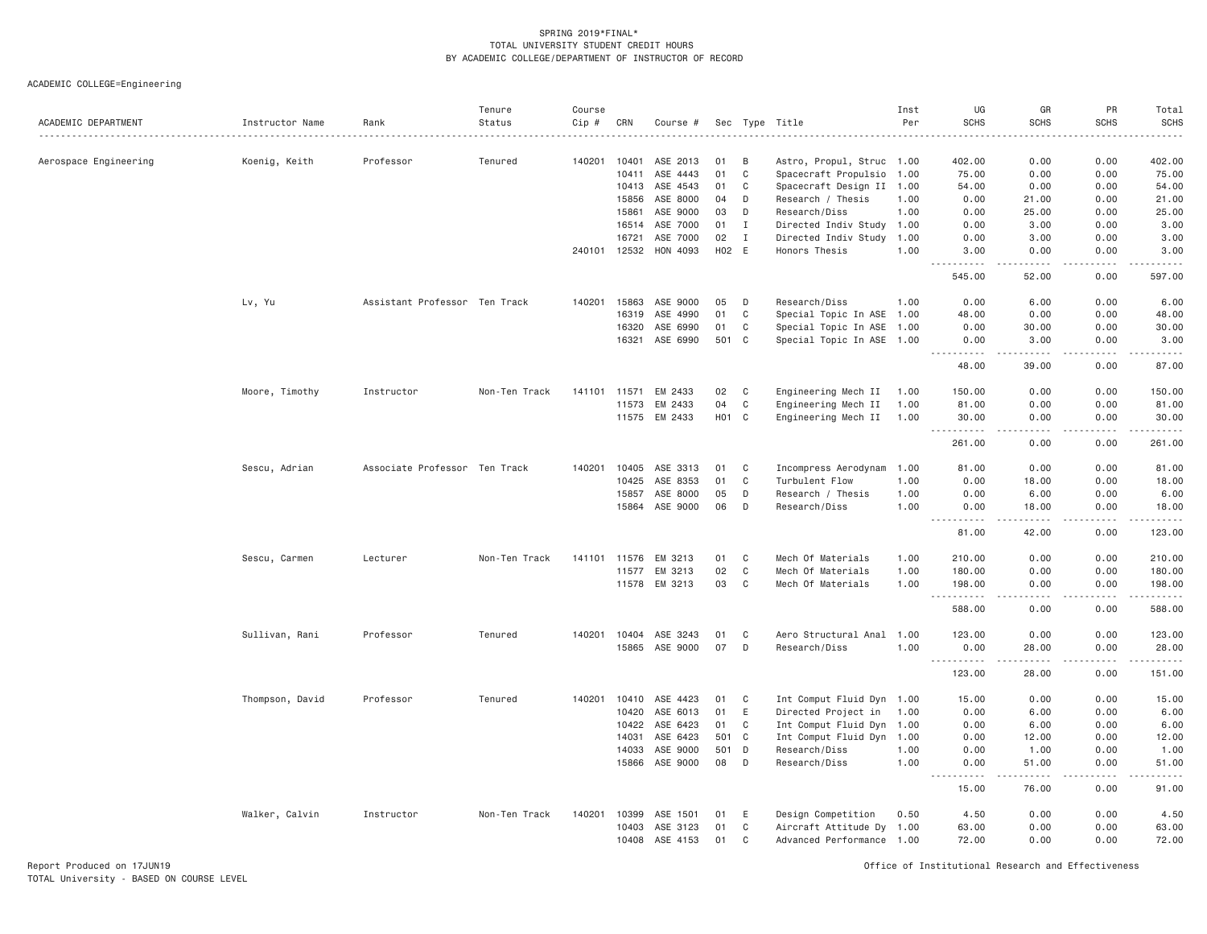|                       |                 |                               | Tenure        | Course       |       |          |       |              |                           | Inst | UG                                    | GR                                                                                                                                                            | PR          | Total            |
|-----------------------|-----------------|-------------------------------|---------------|--------------|-------|----------|-------|--------------|---------------------------|------|---------------------------------------|---------------------------------------------------------------------------------------------------------------------------------------------------------------|-------------|------------------|
| ACADEMIC DEPARTMENT   | Instructor Name | Rank                          | Status        | Cip #        | CRN   | Course # |       |              | Sec Type Title            | Per  | <b>SCHS</b>                           | <b>SCHS</b>                                                                                                                                                   | <b>SCHS</b> | <b>SCHS</b><br>. |
|                       |                 |                               |               |              |       |          |       |              |                           |      |                                       |                                                                                                                                                               |             |                  |
| Aerospace Engineering | Koenig, Keith   | Professor                     | Tenured       | 140201       | 10401 | ASE 2013 | 01    | B            | Astro, Propul, Struc 1.00 |      | 402.00                                | 0.00                                                                                                                                                          | 0.00        | 402.00           |
|                       |                 |                               |               |              | 10411 | ASE 4443 | 01    | $\mathbb C$  | Spacecraft Propulsio 1.00 |      | 75.00                                 | 0.00                                                                                                                                                          | 0.00        | 75.00            |
|                       |                 |                               |               |              | 10413 | ASE 4543 | 01    | C            | Spacecraft Design II 1.00 |      | 54.00                                 | 0.00                                                                                                                                                          | 0.00        | 54.00            |
|                       |                 |                               |               |              | 15856 | ASE 8000 | 04    | D            | Research / Thesis         | 1.00 | 0.00                                  | 21.00                                                                                                                                                         | 0.00        | 21.00            |
|                       |                 |                               |               |              | 15861 | ASE 9000 | 03    | D            | Research/Diss             | 1.00 | 0.00                                  | 25.00                                                                                                                                                         | 0.00        | 25.00            |
|                       |                 |                               |               |              | 16514 | ASE 7000 | 01    | $\mathbf{I}$ | Directed Indiv Study 1.00 |      | 0.00                                  | 3.00                                                                                                                                                          | 0.00        | 3.00             |
|                       |                 |                               |               |              | 16721 | ASE 7000 | 02    | $\mathbf{I}$ | Directed Indiv Study 1.00 |      | 0.00                                  | 3.00                                                                                                                                                          | 0.00        | 3.00             |
|                       |                 |                               |               | 240101       | 12532 | HON 4093 | H02 E |              | Honors Thesis             | 1.00 | 3.00                                  | 0.00                                                                                                                                                          | 0.00        | 3.00             |
|                       |                 |                               |               |              |       |          |       |              |                           |      | .<br>545.00                           | .<br>52.00                                                                                                                                                    | .<br>0.00   | .<br>597.00      |
|                       | Lv, Yu          | Assistant Professor Ten Track |               | 140201       | 15863 | ASE 9000 | 05    | D            | Research/Diss             | 1.00 | 0.00                                  | 6.00                                                                                                                                                          | 0.00        | 6.00             |
|                       |                 |                               |               |              | 16319 | ASE 4990 | 01    | $\mathbb C$  | Special Topic In ASE 1.00 |      | 48.00                                 | 0.00                                                                                                                                                          | 0.00        | 48.00            |
|                       |                 |                               |               |              | 16320 | ASE 6990 | 01    | C            | Special Topic In ASE 1.00 |      | 0.00                                  | 30.00                                                                                                                                                         | 0.00        | 30.00            |
|                       |                 |                               |               |              | 16321 | ASE 6990 | 501   | C            | Special Topic In ASE 1.00 |      | 0.00                                  | 3.00                                                                                                                                                          | 0.00        | 3.00             |
|                       |                 |                               |               |              |       |          |       |              |                           |      | .<br>48.00                            | $\frac{1}{2} \left( \frac{1}{2} \right) \left( \frac{1}{2} \right) \left( \frac{1}{2} \right) \left( \frac{1}{2} \right) \left( \frac{1}{2} \right)$<br>39.00 | .<br>0.00   | .<br>87.00       |
|                       | Moore, Timothy  | Instructor                    | Non-Ten Track | 141101       | 11571 | EM 2433  | 02    | C            | Engineering Mech II       | 1.00 | 150.00                                | 0.00                                                                                                                                                          | 0.00        | 150.00           |
|                       |                 |                               |               |              | 11573 | EM 2433  | 04    | $\mathbb C$  | Engineering Mech II       | 1.00 | 81,00                                 | 0.00                                                                                                                                                          | 0.00        | 81.00            |
|                       |                 |                               |               |              | 11575 | EM 2433  | H01 C |              | Engineering Mech II 1.00  |      | 30.00                                 | 0.00                                                                                                                                                          | 0.00        | 30.00            |
|                       |                 |                               |               |              |       |          |       |              |                           |      | .                                     | $- - - -$                                                                                                                                                     | .           | .                |
|                       |                 |                               |               |              |       |          |       |              |                           |      | 261.00                                | 0.00                                                                                                                                                          | 0.00        | 261.00           |
|                       | Sescu, Adrian   | Associate Professor Ten Track |               | 140201       | 10405 | ASE 3313 | 01    | C            | Incompress Aerodynam      | 1.00 | 81.00                                 | 0.00                                                                                                                                                          | 0.00        | 81.00            |
|                       |                 |                               |               |              | 10425 | ASE 8353 | 01    | $\mathbb C$  | Turbulent Flow            | 1.00 | 0.00                                  | 18.00                                                                                                                                                         | 0.00        | 18.00            |
|                       |                 |                               |               |              | 15857 | ASE 8000 | 05    | D            | Research / Thesis         | 1.00 | 0.00                                  | 6.00                                                                                                                                                          | 0.00        | 6.00             |
|                       |                 |                               |               |              | 15864 | ASE 9000 | 06    | D            | Research/Diss             | 1.00 | 0.00                                  | 18,00                                                                                                                                                         | 0.00        | 18,00            |
|                       |                 |                               |               |              |       |          |       |              |                           |      | $\frac{1}{2}$<br>.<br>81.00           | $- - - - -$<br>42.00                                                                                                                                          | .<br>0.00   | .<br>123.00      |
|                       | Sescu, Carmen   | Lecturer                      | Non-Ten Track | 141101 11576 |       | EM 3213  | 01    | C            | Mech Of Materials         | 1.00 | 210.00                                | 0.00                                                                                                                                                          | 0.00        | 210.00           |
|                       |                 |                               |               |              | 11577 | EM 3213  | 02    | $\mathbb C$  | Mech Of Materials         | 1.00 | 180.00                                | 0.00                                                                                                                                                          | 0.00        | 180.00           |
|                       |                 |                               |               |              | 11578 | EM 3213  | 03    | C            | Mech Of Materials         | 1.00 | 198.00                                | 0.00                                                                                                                                                          | 0.00        | 198.00           |
|                       |                 |                               |               |              |       |          |       |              |                           |      | <u> - - - - - - - - - -</u><br>588.00 | د د د د<br>0.00                                                                                                                                               | .<br>0.00   | دددد د<br>588.00 |
|                       | Sullivan, Rani  | Professor                     | Tenured       | 140201       | 10404 | ASE 3243 | 01    | C            | Aero Structural Anal 1.00 |      | 123.00                                | 0.00                                                                                                                                                          | 0.00        | 123.00           |
|                       |                 |                               |               |              | 15865 | ASE 9000 | 07    | D            | Research/Diss             | 1.00 | 0.00                                  | 28.00                                                                                                                                                         | 0.00        | 28.00            |
|                       |                 |                               |               |              |       |          |       |              |                           |      | <u> - - - - - - - - - -</u>           | .                                                                                                                                                             | .           | <u>.</u>         |
|                       |                 |                               |               |              |       |          |       |              |                           |      | 123.00                                | 28.00                                                                                                                                                         | 0.00        | 151.00           |
|                       | Thompson, David | Professor                     | Tenured       | 140201       | 10410 | ASE 4423 | 01    | C            | Int Comput Fluid Dyn 1.00 |      | 15.00                                 | 0.00                                                                                                                                                          | 0.00        | 15.00            |
|                       |                 |                               |               |              | 10420 | ASE 6013 | 01    | E            | Directed Project in 1.00  |      | 0.00                                  | 6.00                                                                                                                                                          | 0.00        | 6.00             |
|                       |                 |                               |               |              | 10422 | ASE 6423 | 01    | $\mathbb C$  | Int Comput Fluid Dyn 1.00 |      | 0.00                                  | 6.00                                                                                                                                                          | 0.00        | 6.00             |
|                       |                 |                               |               |              | 14031 | ASE 6423 | 501 C |              | Int Comput Fluid Dyn 1.00 |      | 0.00                                  | 12.00                                                                                                                                                         | 0.00        | 12.00            |
|                       |                 |                               |               |              | 14033 | ASE 9000 | 501   | D            | Research/Diss             | 1.00 | 0.00                                  | 1.00                                                                                                                                                          | 0.00        | 1.00             |
|                       |                 |                               |               |              | 15866 | ASE 9000 | 08    | D            | Research/Diss             | 1.00 | 0.00                                  | 51.00                                                                                                                                                         | 0.00        | 51.00            |
|                       |                 |                               |               |              |       |          |       |              |                           |      | .<br>15.00                            | .<br>76.00                                                                                                                                                    | .<br>0.00   | .<br>91.00       |
|                       | Walker, Calvin  | Instructor                    | Non-Ten Track | 140201       | 10399 | ASE 1501 | 01    | Ε            | Design Competition        | 0.50 | 4.50                                  | 0.00                                                                                                                                                          | 0.00        | 4.50             |
|                       |                 |                               |               |              | 10403 | ASE 3123 | 01    | C            | Aircraft Attitude Dy 1.00 |      | 63.00                                 | 0.00                                                                                                                                                          | 0.00        | 63,00            |
|                       |                 |                               |               |              | 10408 | ASE 4153 | 01    | C            | Advanced Performance 1.00 |      | 72.00                                 | 0.00                                                                                                                                                          | 0.00        | 72.00            |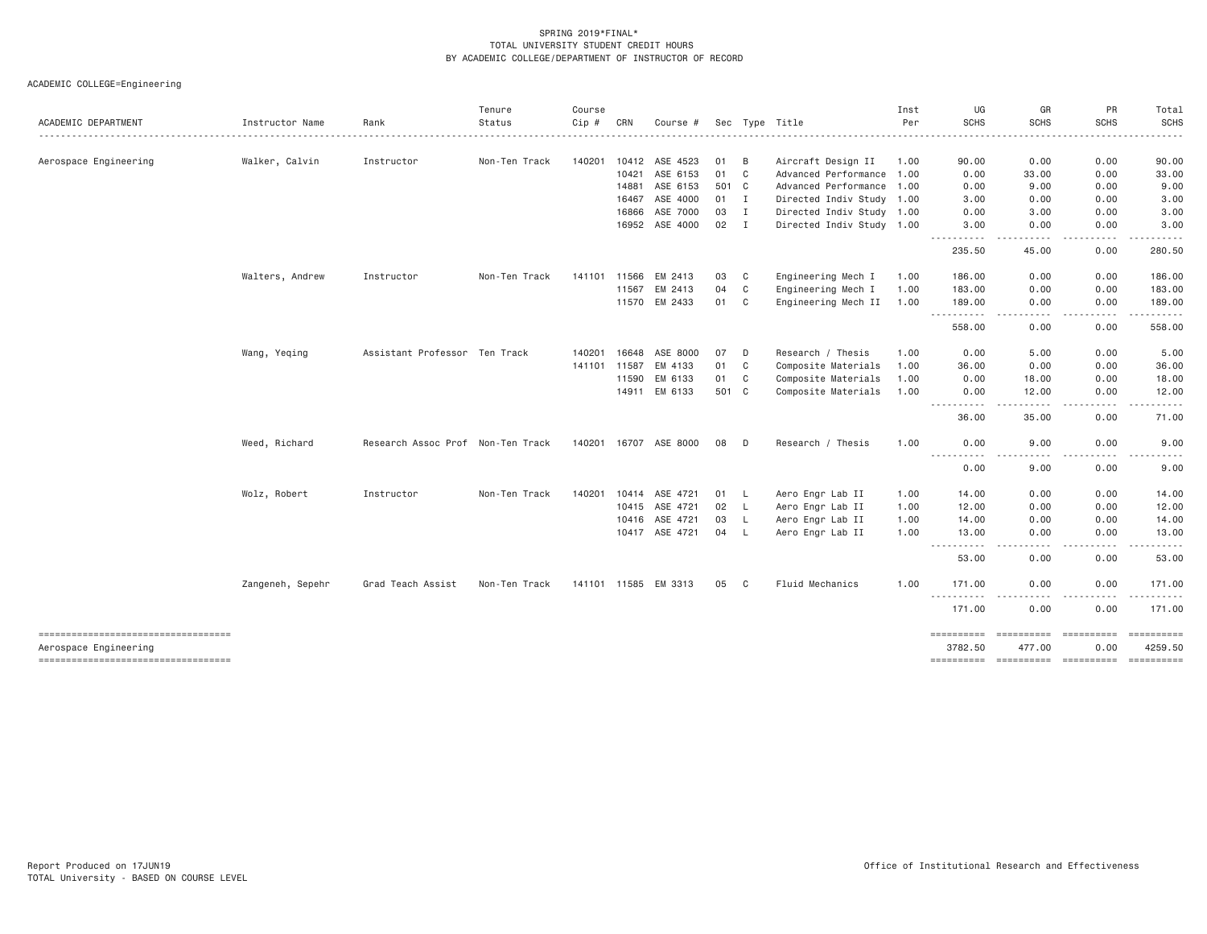|                                                             |                  |                                   | Tenure        | Course       |       |                       |        |              |                           | Inst | UG                                                                                                                                                                 | GR                    | PR                 | Total       |
|-------------------------------------------------------------|------------------|-----------------------------------|---------------|--------------|-------|-----------------------|--------|--------------|---------------------------|------|--------------------------------------------------------------------------------------------------------------------------------------------------------------------|-----------------------|--------------------|-------------|
| ACADEMIC DEPARTMENT                                         | Instructor Name  | Rank                              | Status        | Cip #        | CRN   | Course #              |        |              | Sec Type Title            | Per  | <b>SCHS</b>                                                                                                                                                        | <b>SCHS</b>           | <b>SCHS</b>        | <b>SCHS</b> |
|                                                             |                  |                                   |               |              |       |                       |        |              |                           |      |                                                                                                                                                                    |                       |                    |             |
| Aerospace Engineering                                       | Walker, Calvin   | Instructor                        | Non-Ten Track | 140201       | 10412 | ASE 4523              | 01     | B            | Aircraft Design II        | 1.00 | 90.00                                                                                                                                                              | 0.00                  | 0.00               | 90.00       |
|                                                             |                  |                                   |               |              | 10421 | ASE 6153              | 01     | C            | Advanced Performance 1.00 |      | 0.00                                                                                                                                                               | 33.00                 | 0.00               | 33.00       |
|                                                             |                  |                                   |               |              | 14881 | ASE 6153              | 501 C  |              | Advanced Performance 1.00 |      | 0.00                                                                                                                                                               | 9.00                  | 0.00               | 9.00        |
|                                                             |                  |                                   |               |              | 16467 | ASE 4000              | $01$ I |              | Directed Indiv Study 1.00 |      | 3.00                                                                                                                                                               | 0.00                  | 0.00               | 3.00        |
|                                                             |                  |                                   |               |              | 16866 | ASE 7000              | 03     | $\mathbf{I}$ | Directed Indiv Study 1.00 |      | 0.00                                                                                                                                                               | 3.00                  | 0.00               | 3.00        |
|                                                             |                  |                                   |               |              | 16952 | ASE 4000              | 02     | $\mathbf{I}$ | Directed Indiv Study 1.00 |      | 3.00<br>.                                                                                                                                                          | 0.00<br>$\cdots$      | 0.00<br>. <b>.</b> | 3.00        |
|                                                             |                  |                                   |               |              |       |                       |        |              |                           |      | 235.50                                                                                                                                                             | 45.00                 | 0.00               | 280.50      |
|                                                             | Walters, Andrew  | Instructor                        | Non-Ten Track | 141101       | 11566 | EM 2413               | 03     | C            | Engineering Mech I        | 1.00 | 186.00                                                                                                                                                             | 0.00                  | 0.00               | 186.00      |
|                                                             |                  |                                   |               |              | 11567 | EM 2413               | 04     | C            | Engineering Mech I        | 1.00 | 183.00                                                                                                                                                             | 0.00                  | 0.00               | 183.00      |
|                                                             |                  |                                   |               |              | 11570 | EM 2433               | 01     | C            | Engineering Mech II       | 1.00 | 189.00<br>$\frac{1}{2}$<br>$- - - - - -$                                                                                                                           | 0.00<br>.             | 0.00<br>.          | 189.00<br>. |
|                                                             |                  |                                   |               |              |       |                       |        |              |                           |      | 558.00                                                                                                                                                             | 0.00                  | 0.00               | 558.00      |
|                                                             | Wang, Yeqing     | Assistant Professor Ten Track     |               | 140201       | 16648 | ASE 8000              | 07     | D            | Research / Thesis         | 1.00 | 0.00                                                                                                                                                               | 5.00                  | 0.00               | 5.00        |
|                                                             |                  |                                   |               | 141101       | 11587 | EM 4133               | 01     | C            | Composite Materials       | 1.00 | 36.00                                                                                                                                                              | 0.00                  | 0.00               | 36.00       |
|                                                             |                  |                                   |               |              | 11590 | EM 6133               | 01     | C            | Composite Materials       | 1.00 | 0.00                                                                                                                                                               | 18.00                 | 0.00               | 18.00       |
|                                                             |                  |                                   |               |              | 14911 | EM 6133               | 501 C  |              | Composite Materials       | 1.00 | 0.00<br>$\frac{1}{2} \left( \frac{1}{2} \right) \left( \frac{1}{2} \right) \left( \frac{1}{2} \right) \left( \frac{1}{2} \right)$                                  | 12.00                 | 0.00               | 12.00       |
|                                                             |                  |                                   |               |              |       |                       |        |              |                           |      | 36.00                                                                                                                                                              | 35.00                 | 0.00               | 71.00       |
|                                                             | Weed, Richard    | Research Assoc Prof Non-Ten Track |               |              |       | 140201 16707 ASE 8000 | 08     | D            | Research / Thesis         | 1.00 | 0.00                                                                                                                                                               | 9.00                  | 0.00               | 9.00        |
|                                                             |                  |                                   |               |              |       |                       |        |              |                           |      | -----------<br>0.00                                                                                                                                                | $\frac{1}{2}$<br>9.00 | .<br>0.00          | 9.00        |
|                                                             | Wolz, Robert     | Instructor                        | Non-Ten Track | 140201       |       | 10414 ASE 4721        | 01     | <b>L</b>     | Aero Engr Lab II          | 1.00 | 14.00                                                                                                                                                              | 0.00                  | 0.00               | 14.00       |
|                                                             |                  |                                   |               |              | 10415 | ASE 4721              | 02     | $\mathsf{L}$ | Aero Engr Lab II          | 1.00 | 12.00                                                                                                                                                              | 0.00                  | 0.00               | 12.00       |
|                                                             |                  |                                   |               |              | 10416 | ASE 4721              | 03     | L.           | Aero Engr Lab II          | 1.00 | 14.00                                                                                                                                                              | 0.00                  | 0.00               | 14.00       |
|                                                             |                  |                                   |               |              | 10417 | ASE 4721              | 04     | L.           | Aero Engr Lab II          | 1.00 | 13.00<br>$\frac{1}{2} \left( \frac{1}{2} \right) \left( \frac{1}{2} \right) \left( \frac{1}{2} \right) \left( \frac{1}{2} \right) \left( \frac{1}{2} \right)$<br>. | 0.00<br>.             | 0.00<br>.          | 13.00<br>.  |
|                                                             |                  |                                   |               |              |       |                       |        |              |                           |      | 53.00                                                                                                                                                              | 0.00                  | 0.00               | 53.00       |
|                                                             | Zangeneh, Sepehr | Grad Teach Assist                 | Non-Ten Track | 141101 11585 |       | EM 3313               | 05     | - C          | <b>Fluid Mechanics</b>    | 1.00 | 171.00                                                                                                                                                             | 0.00                  | 0.00               | 171.00      |
|                                                             |                  |                                   |               |              |       |                       |        |              |                           |      | . <b>.</b><br>171.00                                                                                                                                               | 0.00                  | 0.00               | 171.00      |
| ----------------------------------                          |                  |                                   |               |              |       |                       |        |              |                           |      | ==========                                                                                                                                                         | ==========            | ==========         |             |
| Aerospace Engineering<br>---------------------------------- |                  |                                   |               |              |       |                       |        |              |                           |      | 3782.50                                                                                                                                                            | 477.00                | 0.00               | 4259.50     |
|                                                             |                  |                                   |               |              |       |                       |        |              |                           |      |                                                                                                                                                                    |                       |                    |             |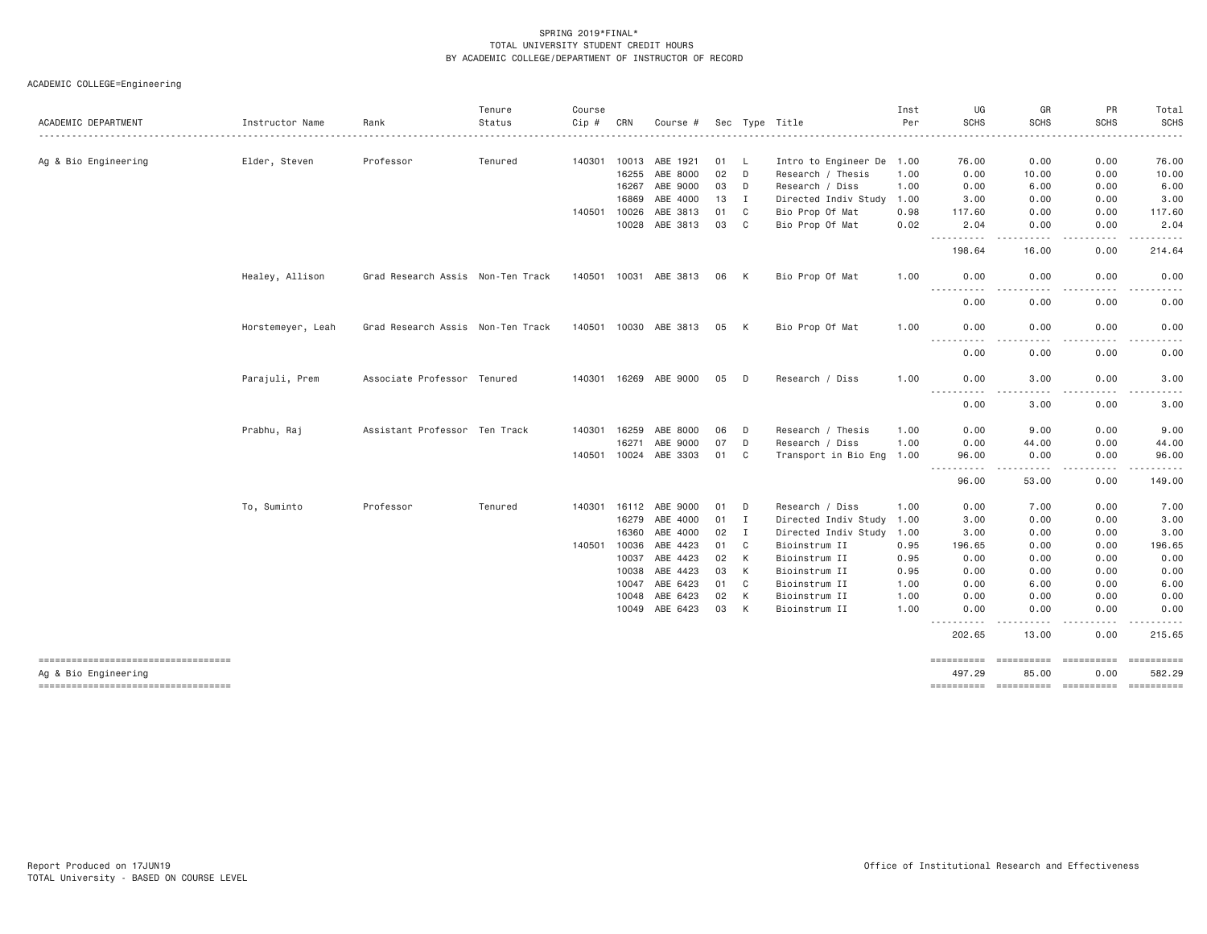| ACADEMIC DEPARTMENT                                        |                   |                                   | Tenure  | Course       |       |                       |      |              |                      | Inst | UG<br><b>SCHS</b>                            | GR<br><b>SCHS</b>                                                                                                                 | PR<br><b>SCHS</b>      | Total<br><b>SCHS</b>           |
|------------------------------------------------------------|-------------------|-----------------------------------|---------|--------------|-------|-----------------------|------|--------------|----------------------|------|----------------------------------------------|-----------------------------------------------------------------------------------------------------------------------------------|------------------------|--------------------------------|
|                                                            | Instructor Name   | Rank                              | Status  | Cip #        | CRN   | Course #              |      |              | Sec Type Title       | Per  |                                              |                                                                                                                                   | $- - - - - -$          | .                              |
| Ag & Bio Engineering                                       | Elder, Steven     | Professor                         | Tenured | 140301       | 10013 | ABE 1921              | 01 L |              | Intro to Engineer De | 1.00 | 76.00                                        | 0.00                                                                                                                              | 0.00                   | 76.00                          |
|                                                            |                   |                                   |         |              | 16255 | ABE 8000              | 02   | D            | Research / Thesis    | 1.00 | 0.00                                         | 10.00                                                                                                                             | 0.00                   | 10.00                          |
|                                                            |                   |                                   |         |              | 16267 | ABE 9000              | 03   | D            | Research / Diss      | 1.00 | 0.00                                         | 6.00                                                                                                                              | 0.00                   | 6.00                           |
|                                                            |                   |                                   |         |              | 16869 | ABE 4000              | 13   | I            | Directed Indiv Study | 1.00 | 3,00                                         | 0.00                                                                                                                              | 0.00                   | 3.00                           |
|                                                            |                   |                                   |         | 140501       | 10026 | ABE 3813              | 01   | C            | Bio Prop Of Mat      | 0.98 | 117.60                                       | 0.00                                                                                                                              | 0.00                   | 117.60                         |
|                                                            |                   |                                   |         |              | 10028 | ABE 3813              | 03   | C            | Bio Prop Of Mat      | 0.02 | 2.04                                         | 0.00                                                                                                                              | 0.00                   | 2.04                           |
|                                                            |                   |                                   |         |              |       |                       |      |              |                      |      | .<br>198.64                                  | 16.00                                                                                                                             | $\frac{1}{2}$<br>0.00  | .<br>214.64                    |
|                                                            | Healey, Allison   | Grad Research Assis Non-Ten Track |         | 140501 10031 |       | ABE 3813              | 06   | K            | Bio Prop Of Mat      | 1.00 | 0.00                                         | 0.00                                                                                                                              | 0.00                   | 0.00                           |
|                                                            |                   |                                   |         |              |       |                       |      |              |                      |      | ----------<br>0.00                           | 0.00                                                                                                                              | . <u>. .</u><br>0.00   | <u>.</u><br>0.00               |
|                                                            | Horstemeyer, Leah | Grad Research Assis Non-Ten Track |         |              |       | 140501 10030 ABE 3813 | 05   | K            | Bio Prop Of Mat      | 1.00 | 0.00<br>$\sim$ $\sim$ $\sim$ $\sim$<br>----- | 0.00                                                                                                                              | 0.00                   | 0.00<br>.                      |
|                                                            |                   |                                   |         |              |       |                       |      |              |                      |      | 0.00                                         | 0.00                                                                                                                              | 0.00                   | 0.00                           |
|                                                            | Parajuli, Prem    | Associate Professor Tenured       |         |              |       | 140301 16269 ABE 9000 | 05 D |              | Research / Diss      | 1.00 | 0.00<br><b></b>                              | 3,00<br>$\frac{1}{2} \left( \frac{1}{2} \right) \left( \frac{1}{2} \right) \left( \frac{1}{2} \right) \left( \frac{1}{2} \right)$ | 0.00<br>.              | 3.00<br>$- - -$<br>$- - - - -$ |
|                                                            |                   |                                   |         |              |       |                       |      |              |                      |      | 0.00                                         | 3.00                                                                                                                              | 0.00                   | 3.00                           |
|                                                            | Prabhu, Raj       | Assistant Professor Ten Track     |         | 140301       | 16259 | ABE 8000              | 06   | D            | Research / Thesis    | 1,00 | 0.00                                         | 9,00                                                                                                                              | 0.00                   | 9.00                           |
|                                                            |                   |                                   |         |              | 16271 | ABE 9000              | 07   | D            | Research / Diss      | 1.00 | 0.00                                         | 44.00                                                                                                                             | 0.00                   | 44.00                          |
|                                                            |                   |                                   |         | 140501       | 10024 | ABE 3303              | 01   | C            | Transport in Bio Eng | 1.00 | 96.00<br>$\sim$ $\sim$ $\sim$ $\sim$<br>.    | 0.00                                                                                                                              | 0.00<br>$- - -$        | 96.00<br>د د د د د             |
|                                                            |                   |                                   |         |              |       |                       |      |              |                      |      | 96.00                                        | 53.00                                                                                                                             | 0.00                   | 149.00                         |
|                                                            | To, Suminto       | Professor                         | Tenured | 140301       |       | 16112 ABE 9000        | 01   | D            | Research / Diss      | 1.00 | 0.00                                         | 7.00                                                                                                                              | 0.00                   | 7.00                           |
|                                                            |                   |                                   |         |              | 16279 | ABE 4000              | 01   | $\mathbf{I}$ | Directed Indiv Study | 1.00 | 3.00                                         | 0.00                                                                                                                              | 0.00                   | 3.00                           |
|                                                            |                   |                                   |         |              | 16360 | ABE 4000              | 02   | $\mathbf{I}$ | Directed Indiv Study | 1.00 | 3.00                                         | 0.00                                                                                                                              | 0.00                   | 3.00                           |
|                                                            |                   |                                   |         | 140501       | 10036 | ABE 4423              | 01   | C            | Bioinstrum II        | 0.95 | 196.65                                       | 0.00                                                                                                                              | 0.00                   | 196.65                         |
|                                                            |                   |                                   |         |              | 10037 | ABE 4423              | 02   | К            | Bioinstrum II        | 0.95 | 0.00                                         | 0.00                                                                                                                              | 0.00                   | 0.00                           |
|                                                            |                   |                                   |         |              | 10038 | ABE 4423              | 03   | K            | Bioinstrum II        | 0.95 | 0.00                                         | 0.00                                                                                                                              | 0.00                   | 0.00                           |
|                                                            |                   |                                   |         |              | 10047 | ABE 6423              | 01   | C            | Bioinstrum II        | 1.00 | 0.00                                         | 6.00                                                                                                                              | 0.00                   | 6.00                           |
|                                                            |                   |                                   |         |              | 10048 | ABE 6423              | 02   | К            | Bioinstrum II        | 1.00 | 0.00                                         | 0.00                                                                                                                              | 0.00                   | 0.00                           |
|                                                            |                   |                                   |         |              |       | 10049 ABE 6423        | 03   | K            | Bioinstrum II        | 1.00 | 0.00<br>.                                    | 0.00                                                                                                                              | 0.00<br>$\frac{1}{2}$  | 0.00<br>.                      |
|                                                            |                   |                                   |         |              |       |                       |      |              |                      |      | 202.65                                       | 13.00                                                                                                                             | 0.00                   | 215.65                         |
| ----------------------------------<br>Ag & Bio Engineering |                   |                                   |         |              |       |                       |      |              |                      |      | ==========<br>497.29                         | <b>ESSESSESSE</b><br>85.00                                                                                                        | $=$ ==========<br>0.00 | 582.29                         |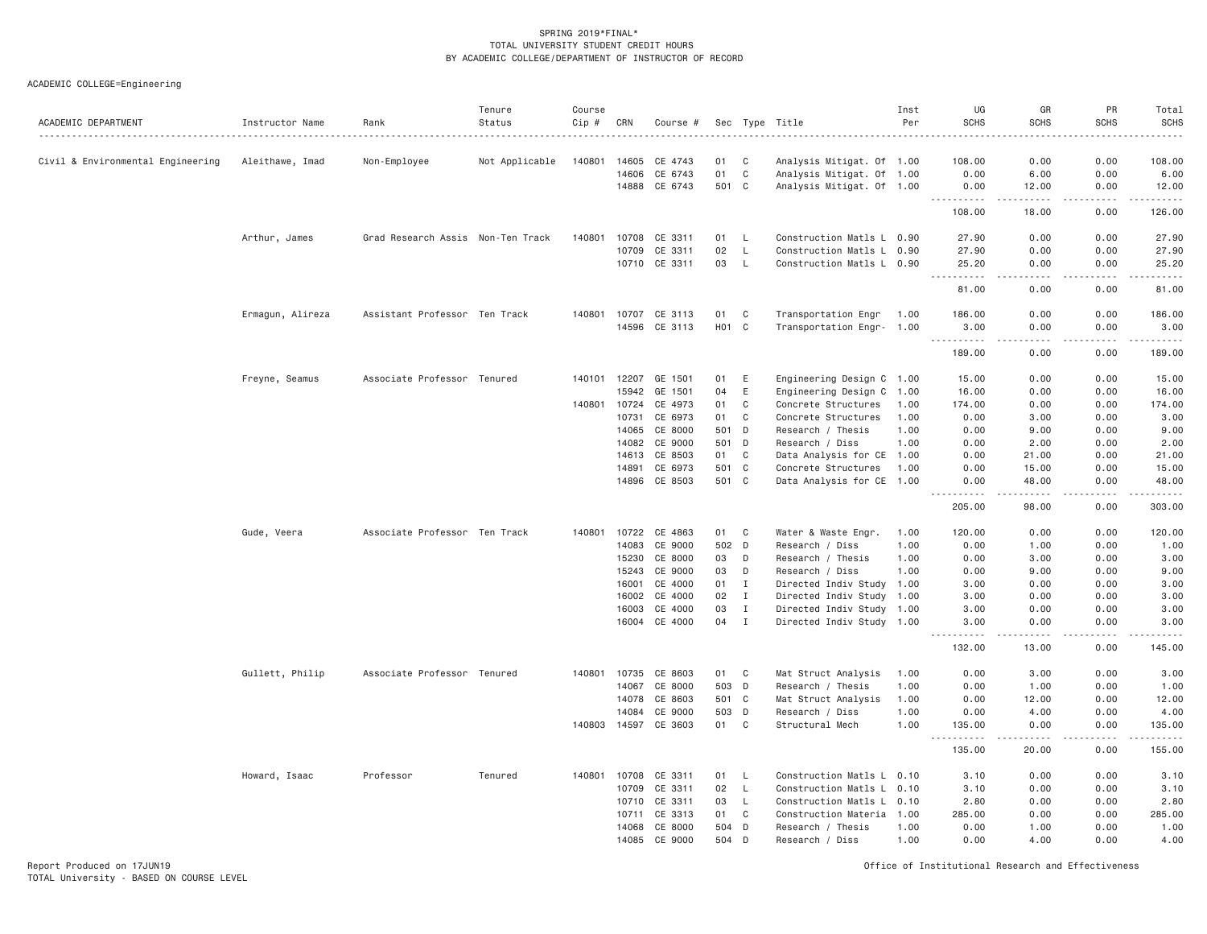ACADEMIC COLLEGE=Engineering

| ACADEMIC DEPARTMENT               | Instructor Name  | Rank                              | Tenure<br>Status | Course<br>Cip # | CRN   | Course #             |                   |                | Sec Type Title            | Inst<br>Per | UG<br><b>SCHS</b> | GR<br><b>SCHS</b>            | PR<br><b>SCHS</b> | Total<br><b>SCHS</b> |
|-----------------------------------|------------------|-----------------------------------|------------------|-----------------|-------|----------------------|-------------------|----------------|---------------------------|-------------|-------------------|------------------------------|-------------------|----------------------|
|                                   |                  |                                   |                  |                 |       |                      |                   |                |                           |             |                   |                              |                   |                      |
| Civil & Environmental Engineering | Aleithawe, Imad  | Non-Employee                      | Not Applicable   | 140801          | 14605 | CE 4743              | 01                | C              | Analysis Mitigat. Of 1.00 |             | 108.00            | 0.00                         | 0.00              | 108.00               |
|                                   |                  |                                   |                  |                 | 14606 | CE 6743              | 01                | $\mathbf C$    | Analysis Mitigat. Of 1.00 |             | 0.00              | 6.00                         | 0.00              | 6.00                 |
|                                   |                  |                                   |                  |                 |       | 14888 CE 6743        | 501 C             |                | Analysis Mitigat. Of 1.00 |             | 0.00<br><u>.</u>  | 12.00<br>$- - - - -$         | 0.00<br>.         | 12.00<br>.           |
|                                   |                  |                                   |                  |                 |       |                      |                   |                |                           |             | 108.00            | 18.00                        | 0.00              | 126.00               |
|                                   | Arthur, James    | Grad Research Assis Non-Ten Track |                  | 140801          | 10708 | CE 3311              | 01                | L              | Construction Matls L 0.90 |             | 27.90             | 0.00                         | 0.00              | 27.90                |
|                                   |                  |                                   |                  |                 | 10709 | CE 3311              | 02                | L              | Construction Matls L 0.90 |             | 27.90             | 0.00                         | 0.00              | 27.90                |
|                                   |                  |                                   |                  |                 |       | 10710 CE 3311        | 03                | $\mathsf{L}$   | Construction Matls L 0.90 |             | 25.20             | 0.00                         | 0.00              | 25.20                |
|                                   |                  |                                   |                  |                 |       |                      |                   |                |                           |             | .<br>81.00        | .<br>0.00                    | .<br>0.00         | .<br>81.00           |
|                                   | Ermagun, Alireza | Assistant Professor Ten Track     |                  | 140801          | 10707 | CE 3113              | 01                | C              | Transportation Engr 1.00  |             | 186.00            | 0.00                         | 0.00              | 186.00               |
|                                   |                  |                                   |                  |                 |       | 14596 CE 3113        | H <sub>01</sub> C |                | Transportation Engr- 1.00 |             | 3.00              | 0.00                         | 0.00              | 3.00                 |
|                                   |                  |                                   |                  |                 |       |                      |                   |                |                           |             | .<br>189.00       | $\sim$ $\sim$ $\sim$<br>0.00 | .<br>0.00         | .<br>189,00          |
|                                   | Freyne, Seamus   | Associate Professor Tenured       |                  | 140101          | 12207 | GE 1501              | 01                | E              | Engineering Design C 1.00 |             | 15.00             | 0.00                         | 0.00              | 15.00                |
|                                   |                  |                                   |                  |                 | 15942 | GE 1501              | 04                | E              | Engineering Design C 1.00 |             | 16.00             | 0.00                         | 0.00              | 16.00                |
|                                   |                  |                                   |                  | 140801          | 10724 | CE 4973              | 01                | C              | Concrete Structures       | 1.00        | 174.00            | 0.00                         | 0.00              | 174.00               |
|                                   |                  |                                   |                  |                 | 10731 | CE 6973              | 01                | C              | Concrete Structures       | 1.00        | 0.00              | 3.00                         | 0.00              | 3.00                 |
|                                   |                  |                                   |                  |                 | 14065 | CE 8000              | 501               | D              | Research / Thesis         | 1.00        | 0.00              | 9.00                         | 0.00              | 9.00                 |
|                                   |                  |                                   |                  |                 | 14082 | CE 9000              | 501               | D              | Research / Diss           | 1,00        | 0.00              | 2.00                         | 0.00              | 2.00                 |
|                                   |                  |                                   |                  |                 | 14613 | CE 8503              | 01                | C              | Data Analysis for CE 1.00 |             | 0.00              | 21.00                        | 0.00              | 21.00                |
|                                   |                  |                                   |                  |                 | 14891 | CE 6973              | 501               | C              | Concrete Structures       | 1.00        | 0.00              | 15.00                        | 0.00              | 15.00                |
|                                   |                  |                                   |                  |                 | 14896 | CE 8503              | 501 C             |                | Data Analysis for CE 1.00 |             | 0.00              | 48.00                        | 0.00              | 48.00                |
|                                   |                  |                                   |                  |                 |       |                      |                   |                |                           |             | 205.00            | 98.00                        | 0.00              | .<br>303.00          |
|                                   | Gude, Veera      | Associate Professor Ten Track     |                  | 140801          | 10722 | CE 4863              | 01                | C              | Water & Waste Engr.       | 1.00        | 120.00            | 0.00                         | 0.00              | 120.00               |
|                                   |                  |                                   |                  |                 | 14083 | CE 9000              | 502 D             |                | Research / Diss           | 1.00        | 0.00              | 1.00                         | 0.00              | 1.00                 |
|                                   |                  |                                   |                  |                 | 15230 | CE 8000              | 03                | D              | Research / Thesis         | 1.00        | 0.00              | 3.00                         | 0.00              | 3.00                 |
|                                   |                  |                                   |                  |                 | 15243 | CE 9000              | 03                | D              | Research / Diss           | 1.00        | 0.00              | 9.00                         | 0.00              | 9.00                 |
|                                   |                  |                                   |                  |                 | 16001 | CE 4000              | 01                | I              | Directed Indiv Study 1.00 |             | 3.00              | 0.00                         | 0.00              | 3.00                 |
|                                   |                  |                                   |                  |                 | 16002 | CE 4000              | 02                | $\mathbf{I}$   | Directed Indiv Study 1.00 |             | 3.00              | 0.00                         | 0.00              | 3.00                 |
|                                   |                  |                                   |                  |                 | 16003 | CE 4000              | 03                | $\mathbf{I}$   | Directed Indiv Study 1.00 |             | 3.00              | 0.00                         | 0.00              | 3.00                 |
|                                   |                  |                                   |                  |                 |       | 16004 CE 4000        | 04                | $\mathbf I$    | Directed Indiv Study 1.00 |             | 3,00<br>د د د د   | 0.00                         | 0.00              | 3.00<br>والمناصبات   |
|                                   |                  |                                   |                  |                 |       |                      |                   |                |                           |             | 132.00            | 13.00                        | 0.00              | 145.00               |
|                                   | Gullett, Philip  | Associate Professor Tenured       |                  | 140801          |       | 10735 CE 8603        | 01 C              |                | Mat Struct Analysis       | 1.00        | 0.00              | 3.00                         | 0.00              | 3.00                 |
|                                   |                  |                                   |                  |                 | 14067 | CE 8000              | 503 D             |                | Research / Thesis         | 1.00        | 0.00              | 1.00                         | 0.00              | 1.00                 |
|                                   |                  |                                   |                  |                 | 14078 | CE 8603              | 501               | $\mathbf{C}$   | Mat Struct Analysis       | 1.00        | 0.00              | 12.00                        | 0.00              | 12.00                |
|                                   |                  |                                   |                  |                 | 14084 | CE 9000              | 503 D             |                | Research / Diss           | 1,00        | 0.00              | 4.00                         | 0.00              | 4.00                 |
|                                   |                  |                                   |                  |                 |       | 140803 14597 CE 3603 | 01                | C <sub>1</sub> | Structural Mech           | 1,00        | 135.00            | 0.00                         | 0.00              | 135.00               |
|                                   |                  |                                   |                  |                 |       |                      |                   |                |                           |             | .<br>135.00       | -----<br>20.00               | .<br>0.00         | .<br>155.00          |
|                                   | Howard, Isaac    | Professor                         | Tenured          | 140801          |       | 10708 CE 3311        | 01                | $\mathsf{L}$   | Construction Matls L 0.10 |             | 3.10              | 0.00                         | 0.00              | 3.10                 |
|                                   |                  |                                   |                  |                 | 10709 | CE 3311              | 02                | $\mathsf{L}$   | Construction Matls L      | 0.10        | 3.10              | 0.00                         | 0.00              | 3.10                 |
|                                   |                  |                                   |                  |                 | 10710 | CE 3311              | 03                | $\mathsf{L}$   | Construction Matls L 0.10 |             | 2.80              | 0.00                         | 0.00              | 2.80                 |
|                                   |                  |                                   |                  |                 | 10711 | CE 3313              | 01                | C              | Construction Materia 1.00 |             | 285.00            | 0.00                         | 0.00              | 285.00               |
|                                   |                  |                                   |                  |                 | 14068 | CE 8000              | 504               | D              | Research / Thesis         | 1.00        | 0.00              | 1.00                         | 0.00              | 1.00                 |
|                                   |                  |                                   |                  |                 | 14085 | CE 9000              | 504               | D              | Research / Diss           | 1.00        | 0.00              | 4.00                         | 0.00              | 4.00                 |

Report Produced on 17JUN19 Office of Institutional Research and Effectiveness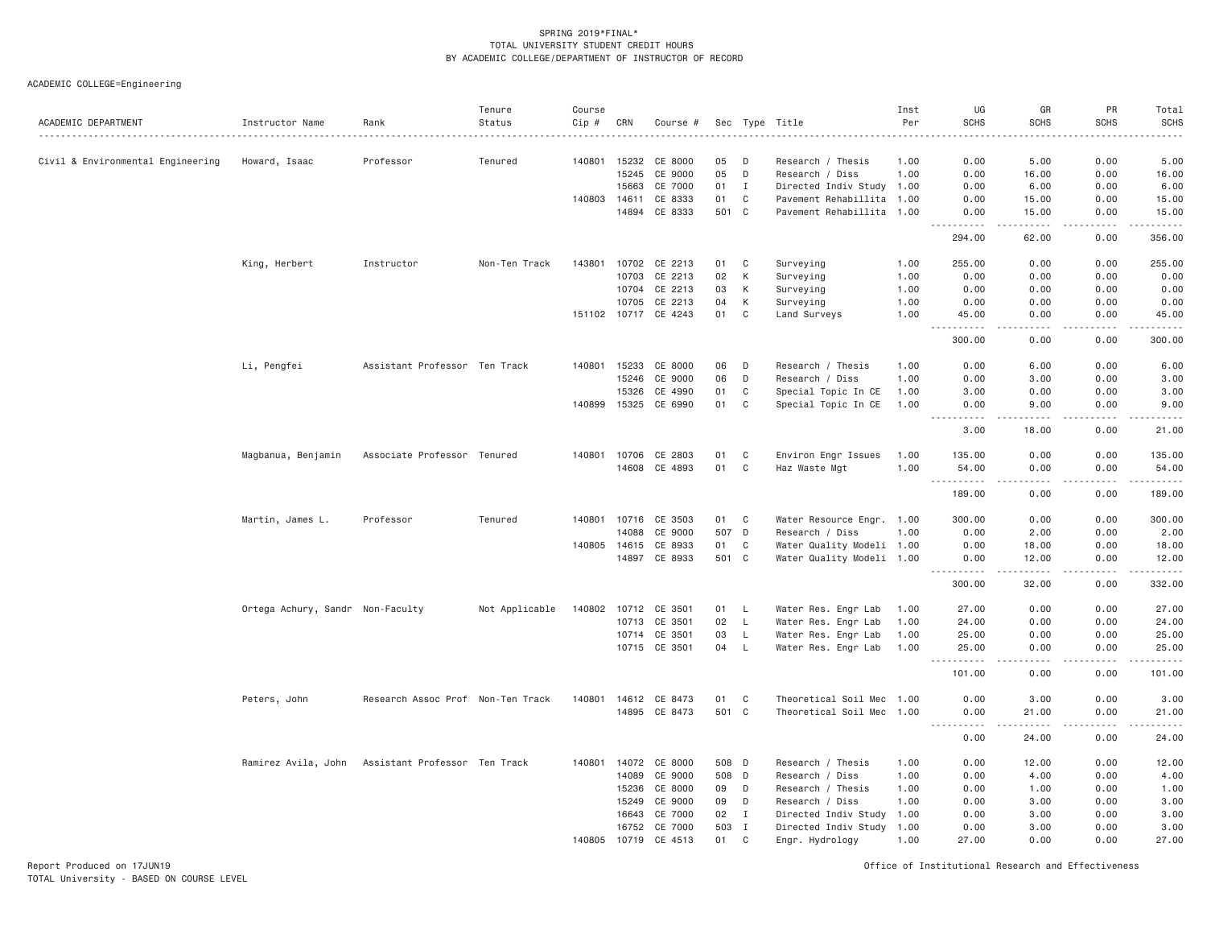ACADEMIC COLLEGE=Engineering

| ACADEMIC DEPARTMENT               | Instructor Name                  | Rank                              | Tenure<br>Status | Course<br>Cip # | CRN   | Course #             |     |              | Sec Type Title            | Inst<br>Per | UG<br><b>SCHS</b>       | GR<br><b>SCHS</b>                                                                                                                                             | PR<br><b>SCHS</b>  | Total<br><b>SCHS</b>                                                                                                                |
|-----------------------------------|----------------------------------|-----------------------------------|------------------|-----------------|-------|----------------------|-----|--------------|---------------------------|-------------|-------------------------|---------------------------------------------------------------------------------------------------------------------------------------------------------------|--------------------|-------------------------------------------------------------------------------------------------------------------------------------|
|                                   |                                  |                                   |                  |                 |       |                      |     |              |                           |             |                         |                                                                                                                                                               |                    |                                                                                                                                     |
| Civil & Environmental Engineering | Howard, Isaac                    | Professor                         | Tenured          | 140801          | 15232 | CE 8000              | 05  | D            | Research / Thesis         | 1.00        | 0.00                    | 5.00                                                                                                                                                          | 0.00               | 5.00                                                                                                                                |
|                                   |                                  |                                   |                  |                 | 15245 | CE 9000              | 05  | $\mathsf D$  | Research / Diss           | 1.00        | 0.00                    | 16.00                                                                                                                                                         | 0.00               | 16.00                                                                                                                               |
|                                   |                                  |                                   |                  |                 | 15663 | CE 7000              | 01  | $\mathbf{I}$ | Directed Indiv Study 1.00 |             | 0.00                    | 6.00                                                                                                                                                          | 0.00               | 6.00                                                                                                                                |
|                                   |                                  |                                   |                  | 140803 14611    |       | CE 8333              | 01  | $\mathsf{C}$ | Pavement Rehabillita 1.00 |             | 0.00                    | 15.00                                                                                                                                                         | 0.00               | 15.00                                                                                                                               |
|                                   |                                  |                                   |                  |                 | 14894 | CE 8333              |     | 501 C        | Pavement Rehabillita 1.00 |             | 0.00                    | 15.00                                                                                                                                                         | 0.00               | 15.00                                                                                                                               |
|                                   |                                  |                                   |                  |                 |       |                      |     |              |                           |             | .<br>294.00             | .<br>62.00                                                                                                                                                    | 0.00               | .<br>356.00                                                                                                                         |
|                                   | King, Herbert                    | Instructor                        | Non-Ten Track    | 143801          |       | 10702 CE 2213        | 01  | C            | Surveying                 | 1.00        | 255.00                  | 0.00                                                                                                                                                          | 0.00               | 255.00                                                                                                                              |
|                                   |                                  |                                   |                  |                 |       | 10703 CE 2213        | 02  | К            | Surveying                 | 1.00        | 0.00                    | 0.00                                                                                                                                                          | 0.00               | 0.00                                                                                                                                |
|                                   |                                  |                                   |                  |                 | 10704 | CE 2213              | 03  | К            | Surveying                 | 1.00        | 0.00                    | 0.00                                                                                                                                                          | 0.00               | 0.00                                                                                                                                |
|                                   |                                  |                                   |                  |                 | 10705 | CE 2213              | 04  | К            | Surveying                 | 1.00        | 0.00                    | 0.00                                                                                                                                                          | 0.00               | 0.00                                                                                                                                |
|                                   |                                  |                                   |                  |                 |       | 151102 10717 CE 4243 | 01  | C            | Land Surveys              | 1.00        | 45.00                   | 0.00                                                                                                                                                          | 0.00               | 45.00                                                                                                                               |
|                                   |                                  |                                   |                  |                 |       |                      |     |              |                           |             | 300.00                  | 0.00                                                                                                                                                          | 0.00               | 300.00                                                                                                                              |
|                                   | Li, Pengfei                      | Assistant Professor Ten Track     |                  | 140801 15233    |       | CE 8000              | 06  | D            | Research / Thesis         | 1.00        | 0.00                    | 6.00                                                                                                                                                          | 0.00               | 6.00                                                                                                                                |
|                                   |                                  |                                   |                  |                 | 15246 | CE 9000              | 06  | D            | Research / Diss           | 1.00        | 0.00                    | 3.00                                                                                                                                                          | 0.00               | 3.00                                                                                                                                |
|                                   |                                  |                                   |                  |                 | 15326 | CE 4990              | 01  | C            | Special Topic In CE       | 1.00        | 3.00                    | 0.00                                                                                                                                                          | 0.00               | 3.00                                                                                                                                |
|                                   |                                  |                                   |                  | 140899 15325    |       | CE 6990              | 01  | C            | Special Topic In CE       | 1.00        | 0.00                    | 9.00                                                                                                                                                          | 0.00               | 9.00                                                                                                                                |
|                                   |                                  |                                   |                  |                 |       |                      |     |              |                           |             | .<br>$- - -$<br>3.00    | .<br>18.00                                                                                                                                                    | $   -$<br>0.00     | $- - - - -$<br>21.00                                                                                                                |
|                                   | Magbanua, Benjamin               | Associate Professor Tenured       |                  |                 |       | 140801 10706 CE 2803 | 01  | C            | Environ Engr Issues       | 1.00        | 135.00                  | 0.00                                                                                                                                                          | 0.00               | 135.00                                                                                                                              |
|                                   |                                  |                                   |                  |                 | 14608 | CE 4893              | 01  | C            | Haz Waste Mgt             | 1.00        | 54.00                   | 0.00                                                                                                                                                          | 0.00               | 54.00                                                                                                                               |
|                                   |                                  |                                   |                  |                 |       |                      |     |              |                           |             | .<br>$\cdots$<br>189.00 | .<br>0.00                                                                                                                                                     | -----<br>0.00      | $\begin{array}{cccccccccccccc} \bullet & \bullet & \bullet & \bullet & \bullet & \bullet & \bullet & \bullet \end{array}$<br>189.00 |
|                                   |                                  |                                   |                  |                 |       |                      |     |              |                           |             |                         |                                                                                                                                                               |                    |                                                                                                                                     |
|                                   | Martin, James L.                 | Professor                         | Tenured          | 140801          | 10716 | CE 3503              | 01  | C            | Water Resource Engr. 1.00 |             | 300.00                  | 0.00                                                                                                                                                          | 0.00               | 300.00                                                                                                                              |
|                                   |                                  |                                   |                  |                 | 14088 | CE 9000              |     | 507 D        | Research / Diss           | 1.00        | 0.00                    | 2.00                                                                                                                                                          | 0.00               | 2.00                                                                                                                                |
|                                   |                                  |                                   |                  | 140805 14615    |       | CE 8933              | 01  | C            | Water Quality Modeli 1.00 |             | 0.00                    | 18.00                                                                                                                                                         | 0.00               | 18.00                                                                                                                               |
|                                   |                                  |                                   |                  |                 | 14897 | CE 8933              |     | 501 C        | Water Quality Modeli 1.00 |             | 0.00<br><u>.</u>        | 12.00<br>المتمامين                                                                                                                                            | 0.00<br>.          | 12.00<br><u>.</u>                                                                                                                   |
|                                   |                                  |                                   |                  |                 |       |                      |     |              |                           |             | 300.00                  | 32.00                                                                                                                                                         | 0.00               | 332.00                                                                                                                              |
|                                   | Ortega Achury, Sandr Non-Faculty |                                   | Not Applicable   | 140802          | 10712 | CE 3501              | 01  | L.           | Water Res. Engr Lab       | 1.00        | 27.00                   | 0.00                                                                                                                                                          | 0.00               | 27.00                                                                                                                               |
|                                   |                                  |                                   |                  |                 | 10713 | CE 3501              | 02  | $\mathsf{L}$ | Water Res. Engr Lab       | 1,00        | 24,00                   | 0.00                                                                                                                                                          | 0.00               | 24.00                                                                                                                               |
|                                   |                                  |                                   |                  |                 |       | 10714 CE 3501        | 03  | L.           | Water Res. Engr Lab       | 1.00        | 25.00                   | 0.00                                                                                                                                                          | 0.00               | 25.00                                                                                                                               |
|                                   |                                  |                                   |                  |                 |       | 10715 CE 3501        | 04  | $\mathsf{L}$ | Water Res. Engr Lab       | 1.00        | 25.00                   | 0.00                                                                                                                                                          | 0.00               | 25.00                                                                                                                               |
|                                   |                                  |                                   |                  |                 |       |                      |     |              |                           |             | .<br>101.00             | .<br>0.00                                                                                                                                                     | . <b>.</b><br>0.00 | .<br>101.00                                                                                                                         |
|                                   | Peters, John                     | Research Assoc Prof Non-Ten Track |                  | 140801          | 14612 | CE 8473              | 01  | C            | Theoretical Soil Mec 1.00 |             | 0.00                    | 3.00                                                                                                                                                          | 0.00               | 3.00                                                                                                                                |
|                                   |                                  |                                   |                  |                 |       | 14895 CE 8473        |     | 501 C        | Theoretical Soil Mec 1.00 |             | 0.00<br>.               | 21,00<br>$\frac{1}{2} \left( \frac{1}{2} \right) \left( \frac{1}{2} \right) \left( \frac{1}{2} \right) \left( \frac{1}{2} \right) \left( \frac{1}{2} \right)$ | 0.00<br>.          | 21,00<br>.                                                                                                                          |
|                                   |                                  |                                   |                  |                 |       |                      |     |              |                           |             | 0.00                    | 24.00                                                                                                                                                         | 0.00               | 24.00                                                                                                                               |
|                                   | Ramirez Avila, John              | Assistant Professor Ten Track     |                  | 140801          | 14072 | CE 8000              |     | 508 D        | Research / Thesis         | 1.00        | 0.00                    | 12.00                                                                                                                                                         | 0.00               | 12.00                                                                                                                               |
|                                   |                                  |                                   |                  |                 | 14089 | CE 9000              |     | 508 D        | Research / Diss           | 1.00        | 0.00                    | 4.00                                                                                                                                                          | 0.00               | 4.00                                                                                                                                |
|                                   |                                  |                                   |                  |                 | 15236 | CE 8000              | 09  | D            | Research / Thesis         | 1.00        | 0.00                    | 1.00                                                                                                                                                          | 0.00               | 1.00                                                                                                                                |
|                                   |                                  |                                   |                  |                 | 15249 | CE 9000              | 09  | D            | Research / Diss           | 1.00        | 0.00                    | 3.00                                                                                                                                                          | 0.00               | 3.00                                                                                                                                |
|                                   |                                  |                                   |                  |                 | 16643 | CE 7000              | 02  | $\mathbf{I}$ | Directed Indiv Study      | 1.00        | 0.00                    | 3.00                                                                                                                                                          | 0.00               | 3.00                                                                                                                                |
|                                   |                                  |                                   |                  |                 | 16752 | CE 7000              | 503 | I            | Directed Indiv Study 1.00 |             | 0.00                    | 3.00                                                                                                                                                          | 0.00               | 3.00                                                                                                                                |
|                                   |                                  |                                   |                  | 140805 10719    |       | CE 4513              | 01  | C            | Engr. Hydrology           | 1.00        | 27.00                   | 0.00                                                                                                                                                          | 0.00               | 27.00                                                                                                                               |

Report Produced on 17JUN19 Office of Institutional Research and Effectiveness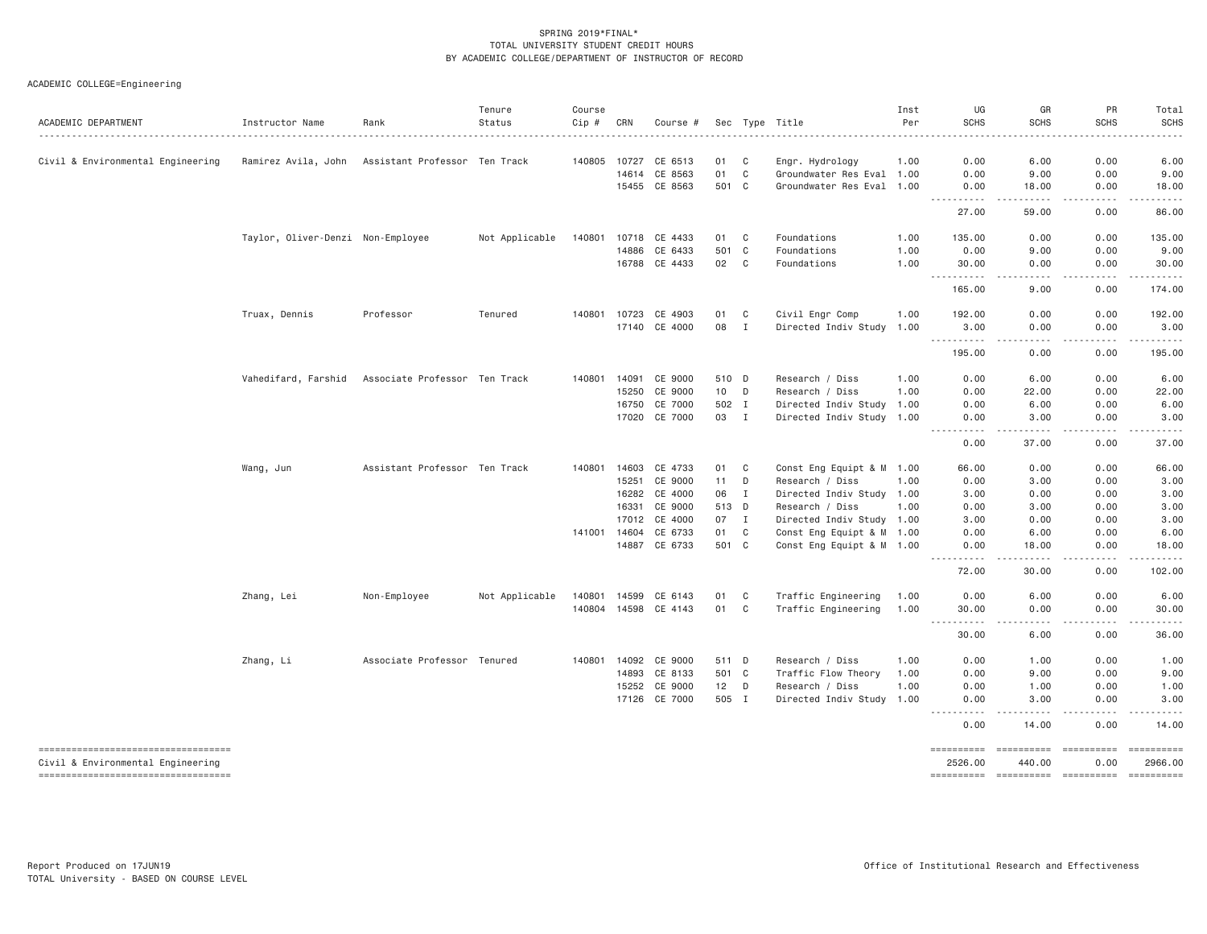| ACADEMIC DEPARTMENT                                                      | Instructor Name                   | Rank                          | Tenure<br>Status | Course<br>Cip # | CRN   | Course #      |       |              | Sec Type Title            | Inst<br>Per | UG<br><b>SCHS</b>                                                                                                                                                                                                                                                                         | GR<br><b>SCHS</b>                                                                                                                                             | PR<br><b>SCHS</b>                                                                                                                                            | Total<br>SCHS                                                                                                                                                                                                                                                                                                                                                                                                                                                                          |
|--------------------------------------------------------------------------|-----------------------------------|-------------------------------|------------------|-----------------|-------|---------------|-------|--------------|---------------------------|-------------|-------------------------------------------------------------------------------------------------------------------------------------------------------------------------------------------------------------------------------------------------------------------------------------------|---------------------------------------------------------------------------------------------------------------------------------------------------------------|--------------------------------------------------------------------------------------------------------------------------------------------------------------|----------------------------------------------------------------------------------------------------------------------------------------------------------------------------------------------------------------------------------------------------------------------------------------------------------------------------------------------------------------------------------------------------------------------------------------------------------------------------------------|
| Civil & Environmental Engineering                                        | Ramirez Avila, John               | Assistant Professor Ten Track |                  | 140805          | 10727 | CE 6513       | 01    | C            | Engr. Hydrology           | 1.00        | 0.00                                                                                                                                                                                                                                                                                      | 6.00                                                                                                                                                          | 0.00                                                                                                                                                         | 6.00                                                                                                                                                                                                                                                                                                                                                                                                                                                                                   |
|                                                                          |                                   |                               |                  |                 | 14614 | CE 8563       | 01    | $\mathsf{C}$ | Groundwater Res Eval 1.00 |             | 0.00                                                                                                                                                                                                                                                                                      | 9.00                                                                                                                                                          | 0.00                                                                                                                                                         | 9.00                                                                                                                                                                                                                                                                                                                                                                                                                                                                                   |
|                                                                          |                                   |                               |                  |                 |       | 15455 CE 8563 | 501 C |              | Groundwater Res Eval 1.00 |             | 0.00                                                                                                                                                                                                                                                                                      | 18.00                                                                                                                                                         | 0.00                                                                                                                                                         | 18.00                                                                                                                                                                                                                                                                                                                                                                                                                                                                                  |
|                                                                          |                                   |                               |                  |                 |       |               |       |              |                           |             | <u>.</u><br>27.00                                                                                                                                                                                                                                                                         | $\frac{1}{2} \left( \frac{1}{2} \right) \left( \frac{1}{2} \right) \left( \frac{1}{2} \right) \left( \frac{1}{2} \right) \left( \frac{1}{2} \right)$<br>59.00 | $\frac{1}{2} \left( \frac{1}{2} \right) \left( \frac{1}{2} \right) \left( \frac{1}{2} \right) \left( \frac{1}{2} \right) \left( \frac{1}{2} \right)$<br>0.00 | .<br>86.00                                                                                                                                                                                                                                                                                                                                                                                                                                                                             |
|                                                                          | Taylor, Oliver-Denzi Non-Employee |                               | Not Applicable   | 140801          |       | 10718 CE 4433 | 01    | C            | Foundations               | 1.00        | 135.00                                                                                                                                                                                                                                                                                    | 0.00                                                                                                                                                          | 0.00                                                                                                                                                         | 135.00                                                                                                                                                                                                                                                                                                                                                                                                                                                                                 |
|                                                                          |                                   |                               |                  |                 | 14886 | CE 6433       | 501   | $\mathbf{C}$ | Foundations               | 1.00        | 0.00                                                                                                                                                                                                                                                                                      | 9.00                                                                                                                                                          | 0.00                                                                                                                                                         | 9.00                                                                                                                                                                                                                                                                                                                                                                                                                                                                                   |
|                                                                          |                                   |                               |                  |                 | 16788 | CE 4433       | 02    | C            | Foundations               | 1.00        | 30.00<br>.                                                                                                                                                                                                                                                                                | 0.00<br>.                                                                                                                                                     | 0.00<br>$\sim$ $\sim$ $\sim$ $\sim$ $\sim$                                                                                                                   | 30.00<br>.                                                                                                                                                                                                                                                                                                                                                                                                                                                                             |
|                                                                          |                                   |                               |                  |                 |       |               |       |              |                           |             | 165.00                                                                                                                                                                                                                                                                                    | 9.00                                                                                                                                                          | 0.00                                                                                                                                                         | 174.00                                                                                                                                                                                                                                                                                                                                                                                                                                                                                 |
|                                                                          | Truax, Dennis                     | Professor                     | Tenured          | 140801          | 10723 | CE 4903       | 01    | C            | Civil Engr Comp           | 1.00        | 192.00                                                                                                                                                                                                                                                                                    | 0.00                                                                                                                                                          | 0.00                                                                                                                                                         | 192.00                                                                                                                                                                                                                                                                                                                                                                                                                                                                                 |
|                                                                          |                                   |                               |                  |                 | 17140 | CE 4000       | 08    | $\mathbf{I}$ | Directed Indiv Study 1.00 |             | 3.00<br><u>.</u>                                                                                                                                                                                                                                                                          | 0.00<br>.                                                                                                                                                     | 0.00<br>-----                                                                                                                                                | 3.00<br>.                                                                                                                                                                                                                                                                                                                                                                                                                                                                              |
|                                                                          |                                   |                               |                  |                 |       |               |       |              |                           |             | 195.00                                                                                                                                                                                                                                                                                    | 0.00                                                                                                                                                          | 0.00                                                                                                                                                         | 195.00                                                                                                                                                                                                                                                                                                                                                                                                                                                                                 |
|                                                                          | Vahedifard, Farshid               | Associate Professor Ten Track |                  | 140801          | 14091 | CE 9000       | 510 D |              | Research / Diss           | 1.00        | 0.00                                                                                                                                                                                                                                                                                      | 6.00                                                                                                                                                          | 0.00                                                                                                                                                         | 6.00                                                                                                                                                                                                                                                                                                                                                                                                                                                                                   |
|                                                                          |                                   |                               |                  |                 | 15250 | CE 9000       | 10    | D            | Research / Diss           | 1.00        | 0.00                                                                                                                                                                                                                                                                                      | 22.00                                                                                                                                                         | 0.00                                                                                                                                                         | 22.00                                                                                                                                                                                                                                                                                                                                                                                                                                                                                  |
|                                                                          |                                   |                               |                  |                 | 16750 | CE 7000       | 502 I |              | Directed Indiv Study 1.00 |             | 0.00                                                                                                                                                                                                                                                                                      | 6.00                                                                                                                                                          | 0.00                                                                                                                                                         | 6.00                                                                                                                                                                                                                                                                                                                                                                                                                                                                                   |
|                                                                          |                                   |                               |                  |                 | 17020 | CE 7000       | 03 I  |              | Directed Indiv Study 1.00 |             | 0.00<br>$\frac{1}{2} \left( \frac{1}{2} \right) \left( \frac{1}{2} \right) \left( \frac{1}{2} \right) \left( \frac{1}{2} \right) \left( \frac{1}{2} \right)$<br>$\frac{1}{2} \left( \frac{1}{2} \right) \left( \frac{1}{2} \right) \left( \frac{1}{2} \right) \left( \frac{1}{2} \right)$ | 3,00<br>$\frac{1}{2} \left( \frac{1}{2} \right) \left( \frac{1}{2} \right) \left( \frac{1}{2} \right) \left( \frac{1}{2} \right) \left( \frac{1}{2} \right)$  | 0.00<br>.                                                                                                                                                    | 3.00<br>.                                                                                                                                                                                                                                                                                                                                                                                                                                                                              |
|                                                                          |                                   |                               |                  |                 |       |               |       |              |                           |             | 0.00                                                                                                                                                                                                                                                                                      | 37.00                                                                                                                                                         | 0.00                                                                                                                                                         | 37.00                                                                                                                                                                                                                                                                                                                                                                                                                                                                                  |
|                                                                          | Wang, Jun                         | Assistant Professor Ten Track |                  | 140801          | 14603 | CE 4733       | 01    | C            | Const Eng Equipt & M 1.00 |             | 66.00                                                                                                                                                                                                                                                                                     | 0.00                                                                                                                                                          | 0.00                                                                                                                                                         | 66.00                                                                                                                                                                                                                                                                                                                                                                                                                                                                                  |
|                                                                          |                                   |                               |                  |                 | 15251 | CE 9000       | 11    | D            | Research / Diss           | 1.00        | 0.00                                                                                                                                                                                                                                                                                      | 3.00                                                                                                                                                          | 0.00                                                                                                                                                         | 3.00                                                                                                                                                                                                                                                                                                                                                                                                                                                                                   |
|                                                                          |                                   |                               |                  |                 | 16282 | CE 4000       | 06    | $\mathbf{I}$ | Directed Indiv Study 1.00 |             | 3,00                                                                                                                                                                                                                                                                                      | 0.00                                                                                                                                                          | 0.00                                                                                                                                                         | 3.00                                                                                                                                                                                                                                                                                                                                                                                                                                                                                   |
|                                                                          |                                   |                               |                  |                 | 16331 | CE 9000       | 513 D |              | Research / Diss           | 1.00        | 0.00                                                                                                                                                                                                                                                                                      | 3.00                                                                                                                                                          | 0.00                                                                                                                                                         | 3.00                                                                                                                                                                                                                                                                                                                                                                                                                                                                                   |
|                                                                          |                                   |                               |                  |                 | 17012 | CE 4000       | 07    | $\mathbf{I}$ | Directed Indiv Study 1.00 |             | 3.00                                                                                                                                                                                                                                                                                      | 0.00                                                                                                                                                          | 0.00                                                                                                                                                         | 3.00                                                                                                                                                                                                                                                                                                                                                                                                                                                                                   |
|                                                                          |                                   |                               |                  | 141001          | 14604 | CE 6733       | 01    | C            | Const Eng Equipt & M 1.00 |             | 0.00                                                                                                                                                                                                                                                                                      | 6,00                                                                                                                                                          | 0.00                                                                                                                                                         | 6.00                                                                                                                                                                                                                                                                                                                                                                                                                                                                                   |
|                                                                          |                                   |                               |                  |                 | 14887 | CE 6733       | 501 C |              | Const Eng Equipt & M 1.00 |             | 0.00<br>.                                                                                                                                                                                                                                                                                 | 18.00<br>$- - - - -$                                                                                                                                          | 0.00<br>.                                                                                                                                                    | 18.00<br>.                                                                                                                                                                                                                                                                                                                                                                                                                                                                             |
|                                                                          |                                   |                               |                  |                 |       |               |       |              |                           |             | 72.00                                                                                                                                                                                                                                                                                     | 30.00                                                                                                                                                         | 0.00                                                                                                                                                         | 102.00                                                                                                                                                                                                                                                                                                                                                                                                                                                                                 |
|                                                                          | Zhang, Lei                        | Non-Employee                  | Not Applicable   | 140801          | 14599 | CE 6143       | 01    | C            | Traffic Engineering       | 1.00        | 0.00                                                                                                                                                                                                                                                                                      | 6.00                                                                                                                                                          | 0.00                                                                                                                                                         | 6.00                                                                                                                                                                                                                                                                                                                                                                                                                                                                                   |
|                                                                          |                                   |                               |                  | 140804          | 14598 | CE 4143       | 01    | C            | Traffic Engineering       | 1.00        | 30.00<br>.                                                                                                                                                                                                                                                                                | 0.00<br>$- - - -$                                                                                                                                             | 0.00<br>.                                                                                                                                                    | 30.00<br>.                                                                                                                                                                                                                                                                                                                                                                                                                                                                             |
|                                                                          |                                   |                               |                  |                 |       |               |       |              |                           |             | 30.00                                                                                                                                                                                                                                                                                     | 6.00                                                                                                                                                          | 0.00                                                                                                                                                         | 36.00                                                                                                                                                                                                                                                                                                                                                                                                                                                                                  |
|                                                                          | Zhang, Li                         | Associate Professor Tenured   |                  | 140801          | 14092 | CE 9000       | 511 D |              | Research / Diss           | 1.00        | 0.00                                                                                                                                                                                                                                                                                      | 1.00                                                                                                                                                          | 0.00                                                                                                                                                         | 1.00                                                                                                                                                                                                                                                                                                                                                                                                                                                                                   |
|                                                                          |                                   |                               |                  |                 | 14893 | CE 8133       | 501 C |              | Traffic Flow Theory       | 1.00        | 0.00                                                                                                                                                                                                                                                                                      | 9.00                                                                                                                                                          | 0.00                                                                                                                                                         | 9.00                                                                                                                                                                                                                                                                                                                                                                                                                                                                                   |
|                                                                          |                                   |                               |                  |                 | 15252 | CE 9000       | 12    | D            | Research / Diss           | 1.00        | 0.00                                                                                                                                                                                                                                                                                      | 1.00                                                                                                                                                          | 0.00                                                                                                                                                         | 1.00                                                                                                                                                                                                                                                                                                                                                                                                                                                                                   |
|                                                                          |                                   |                               |                  |                 | 17126 | CE 7000       | 505 I |              | Directed Indiv Study 1.00 |             | 0.00                                                                                                                                                                                                                                                                                      | 3.00                                                                                                                                                          | 0.00                                                                                                                                                         | 3.00                                                                                                                                                                                                                                                                                                                                                                                                                                                                                   |
|                                                                          |                                   |                               |                  |                 |       |               |       |              |                           |             | 0.00                                                                                                                                                                                                                                                                                      | 14.00                                                                                                                                                         | 0.00                                                                                                                                                         | 14.00                                                                                                                                                                                                                                                                                                                                                                                                                                                                                  |
| -----------------------------------<br>Civil & Environmental Engineering |                                   |                               |                  |                 |       |               |       |              |                           |             | ==========<br>2526.00                                                                                                                                                                                                                                                                     | ==========<br>440.00                                                                                                                                          | 0.00                                                                                                                                                         | ==========<br>2966.00                                                                                                                                                                                                                                                                                                                                                                                                                                                                  |
| ----------------------------------                                       |                                   |                               |                  |                 |       |               |       |              |                           |             | ==========                                                                                                                                                                                                                                                                                | 122222222222                                                                                                                                                  | ==========                                                                                                                                                   | $\begin{array}{cccccccccc} \multicolumn{2}{c}{} & \multicolumn{2}{c}{} & \multicolumn{2}{c}{} & \multicolumn{2}{c}{} & \multicolumn{2}{c}{} & \multicolumn{2}{c}{} & \multicolumn{2}{c}{} & \multicolumn{2}{c}{} & \multicolumn{2}{c}{} & \multicolumn{2}{c}{} & \multicolumn{2}{c}{} & \multicolumn{2}{c}{} & \multicolumn{2}{c}{} & \multicolumn{2}{c}{} & \multicolumn{2}{c}{} & \multicolumn{2}{c}{} & \multicolumn{2}{c}{} & \multicolumn{2}{c}{} & \multicolumn{2}{c}{} & \mult$ |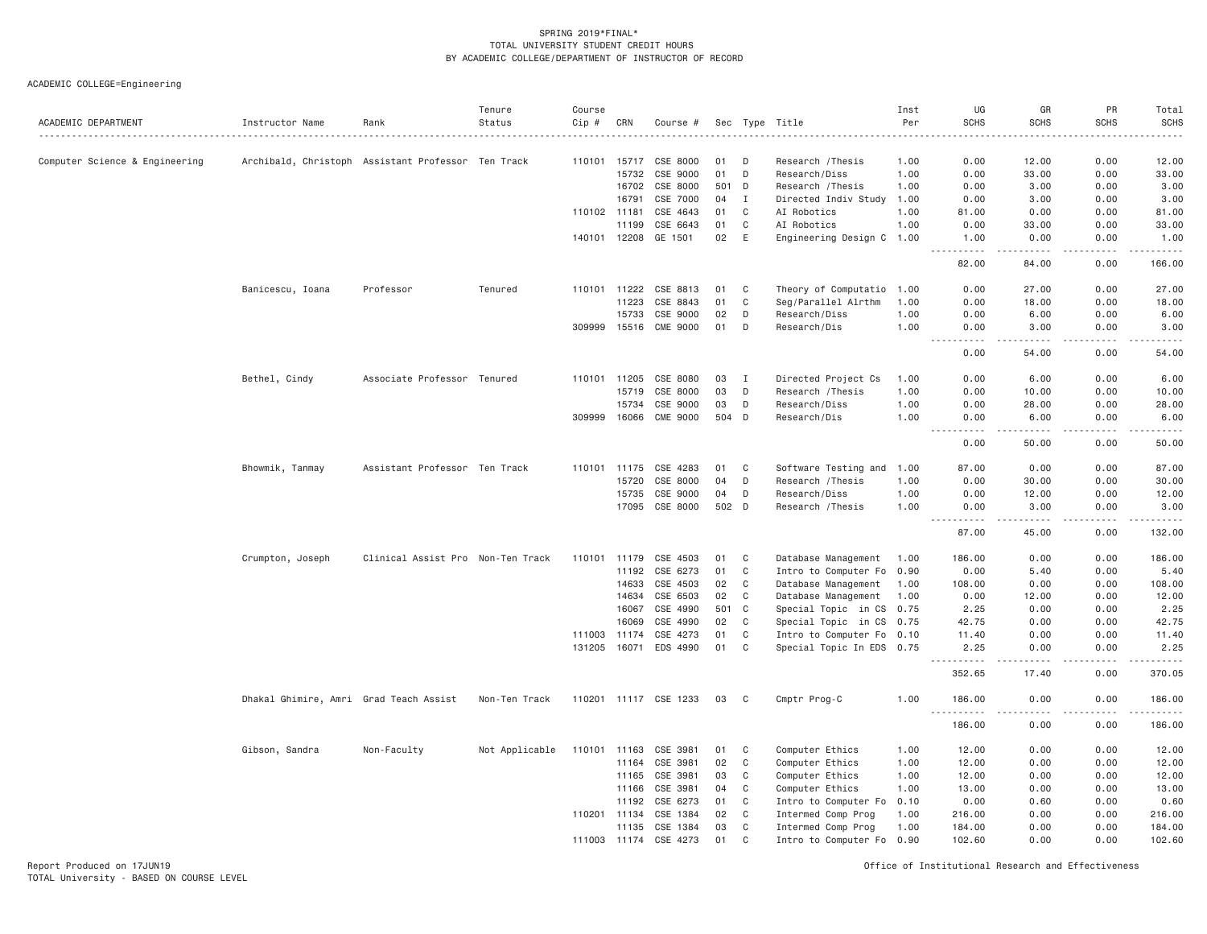ACADEMIC COLLEGE=Engineering

| ACADEMIC DEPARTMENT            | Instructor Name                        | Rank                                               | Tenure<br>Status | Course<br>$Cip$ # | CRN   | Course #              |       |              | Sec Type Title            | Inst<br>Per<br>. | UG<br><b>SCHS</b>                          | GR<br><b>SCHS</b>     | PR<br><b>SCHS</b> | Total<br>SCHS<br>.  |
|--------------------------------|----------------------------------------|----------------------------------------------------|------------------|-------------------|-------|-----------------------|-------|--------------|---------------------------|------------------|--------------------------------------------|-----------------------|-------------------|---------------------|
| Computer Science & Engineering |                                        | Archibald, Christoph Assistant Professor Ten Track |                  | 110101 15717      |       | CSE 8000              | 01    | D            | Research / Thesis         | 1.00             | 0.00                                       | 12.00                 | 0.00              | 12.00               |
|                                |                                        |                                                    |                  |                   | 15732 | CSE 9000              | 01    | D            | Research/Diss             | 1.00             | 0.00                                       | 33.00                 | 0.00              | 33.00               |
|                                |                                        |                                                    |                  |                   | 16702 | CSE 8000              | 501 D |              | Research / Thesis         | 1.00             | 0.00                                       | 3.00                  | 0.00              | 3.00                |
|                                |                                        |                                                    |                  |                   | 16791 | CSE 7000              | 04    | I            | Directed Indiv Study      | 1.00             | 0.00                                       | 3.00                  | 0.00              | 3.00                |
|                                |                                        |                                                    |                  | 110102            | 11181 | CSE 4643              | 01    | C            | AI Robotics               | 1.00             | 81.00                                      | 0.00                  | 0.00              | 81.00               |
|                                |                                        |                                                    |                  |                   | 11199 | CSE 6643              | 01    | C            | AI Robotics               | 1.00             | 0.00                                       | 33.00                 | 0.00              | 33.00               |
|                                |                                        |                                                    |                  | 140101 12208      |       | GE 1501               | 02    | E            | Engineering Design C 1.00 |                  | 1.00<br>$- - - - -$                        | 0.00<br>$- - - - -$   | 0.00<br>.         | 1.00<br>.           |
|                                |                                        |                                                    |                  |                   |       |                       |       |              |                           |                  | 82.00                                      | 84.00                 | 0.00              | 166.00              |
|                                | Banicescu, Ioana                       | Professor                                          | Tenured          | 110101            | 11222 | CSE 8813              | 01    | C            | Theory of Computatio      | 1.00             | 0.00                                       | 27.00                 | 0.00              | 27.00               |
|                                |                                        |                                                    |                  |                   | 11223 | CSE 8843              | 01    | C            | Seg/Parallel Alrthm       | 1.00             | 0.00                                       | 18.00                 | 0.00              | 18.00               |
|                                |                                        |                                                    |                  |                   | 15733 | CSE 9000              | 02    | D            | Research/Diss             | 1.00             | 0.00                                       | 6.00                  | 0.00              | 6.00                |
|                                |                                        |                                                    |                  | 309999 15516      |       | <b>CME 9000</b>       | 01    | D            | Research/Dis              | 1.00             | 0.00<br><u>.</u><br>$\frac{1}{2}$          | 3.00<br>.             | 0.00<br>.         | 3.00<br>.           |
|                                |                                        |                                                    |                  |                   |       |                       |       |              |                           |                  | 0.00                                       | 54.00                 | 0.00              | 54.00               |
|                                | Bethel, Cindy                          | Associate Professor Tenured                        |                  | 110101            | 11205 | CSE 8080              | 03    | <b>I</b>     | Directed Project Cs       | 1.00             | 0.00                                       | 6.00                  | 0.00              | 6.00                |
|                                |                                        |                                                    |                  |                   | 15719 | CSE 8000              | 03    | D            | Research / Thesis         | 1.00             | 0.00                                       | 10.00                 | 0.00              | 10.00               |
|                                |                                        |                                                    |                  |                   | 15734 | CSE 9000              | 03    | D            | Research/Diss             | 1.00             | 0.00                                       | 28.00                 | 0.00              | 28.00               |
|                                |                                        |                                                    |                  | 309999            | 16066 | <b>CME 9000</b>       | 504 D |              | Research/Dis              | 1.00             | 0.00<br>.                                  | 6,00<br>.             | 0.00<br>.         | 6.00<br>.           |
|                                |                                        |                                                    |                  |                   |       |                       |       |              |                           |                  | 0.00                                       | 50.00                 | 0.00              | 50.00               |
|                                | Bhowmik, Tanmay                        | Assistant Professor Ten Track                      |                  | 110101            | 11175 | CSE 4283              | 01    | C            | Software Testing and      | 1.00             | 87.00                                      | 0.00                  | 0.00              | 87.00               |
|                                |                                        |                                                    |                  |                   | 15720 | CSE 8000              | 04    | D            | Research / Thesis         | 1.00             | 0.00                                       | 30.00                 | 0.00              | 30.00               |
|                                |                                        |                                                    |                  |                   | 15735 | CSE 9000              | 04    | D            | Research/Diss             | 1.00             | 0.00                                       | 12.00                 | 0.00              | 12.00               |
|                                |                                        |                                                    |                  |                   | 17095 | CSE 8000              | 502 D |              | Research / Thesis         | 1.00             | 0.00<br>$\sim$ $\sim$ $\sim$<br>. <b>.</b> | 3.00<br>$- - - - - -$ | 0.00<br>.         | 3.00                |
|                                |                                        |                                                    |                  |                   |       |                       |       |              |                           |                  | 87.00                                      | 45.00                 | 0.00              | 132.00              |
|                                | Crumpton, Joseph                       | Clinical Assist Pro Non-Ten Track                  |                  | 110101            | 11179 | CSE 4503              | 01    | C            | Database Management       | 1.00             | 186.00                                     | 0.00                  | 0.00              | 186.00              |
|                                |                                        |                                                    |                  |                   | 11192 | CSE 6273              | 01    | $\mathsf{C}$ | Intro to Computer Fo 0.90 |                  | 0.00                                       | 5.40                  | 0.00              | 5.40                |
|                                |                                        |                                                    |                  |                   | 14633 | CSE 4503              | 02    | C            | Database Management       | 1.00             | 108.00                                     | 0.00                  | 0.00              | 108.00              |
|                                |                                        |                                                    |                  |                   | 14634 | CSE 6503              | 02    | C            | Database Management       | 1.00             | 0.00                                       | 12.00                 | 0.00              | 12.00               |
|                                |                                        |                                                    |                  |                   | 16067 | CSE 4990              | 501   | C            | Special Topic in CS 0.75  |                  | 2.25                                       | 0.00                  | 0.00              | 2.25                |
|                                |                                        |                                                    |                  |                   | 16069 | CSE 4990              | 02    | C            | Special Topic in CS 0.75  |                  | 42.75                                      | 0.00                  | 0.00              | 42.75               |
|                                |                                        |                                                    |                  | 111003            | 11174 | CSE 4273              | 01    | $\mathsf{C}$ | Intro to Computer Fo 0.10 |                  | 11.40                                      | 0.00                  | 0.00              | 11.40               |
|                                |                                        |                                                    |                  | 131205            | 16071 | EDS 4990              | 01    | $\mathsf{C}$ | Special Topic In EDS 0.75 |                  | 2.25<br>.                                  | 0.00<br>----          | 0.00<br>$  -$     | 2.25<br>$- - - - -$ |
|                                |                                        |                                                    |                  |                   |       |                       |       |              |                           |                  | 352.65                                     | 17.40                 | 0.00              | 370.05              |
|                                | Dhakal Ghimire, Amri Grad Teach Assist |                                                    | Non-Ten Track    |                   |       | 110201 11117 CSE 1233 | 03    | C            | Cmptr Prog-C              | 1.00             | 186.00<br><u>.</u>                         | 0.00                  | 0.00              | 186.00<br>.         |
|                                |                                        |                                                    |                  |                   |       |                       |       |              |                           |                  | 186.00                                     | 0.00                  | 0.00              | 186.00              |
|                                | Gibson, Sandra                         | Non-Faculty                                        | Not Applicable   | 110101 11163      |       | CSE 3981              | 01    | C            | Computer Ethics           | 1.00             | 12.00                                      | 0.00                  | 0.00              | 12.00               |
|                                |                                        |                                                    |                  |                   | 11164 | CSE 3981              | 02    | C            | Computer Ethics           | 1.00             | 12.00                                      | 0.00                  | 0.00              | 12.00               |
|                                |                                        |                                                    |                  |                   | 11165 | CSE 3981              | 03    | C            | Computer Ethics           | 1.00             | 12.00                                      | 0.00                  | 0.00              | 12.00               |
|                                |                                        |                                                    |                  |                   | 11166 | CSE 3981              | 04    | C            | Computer Ethics           | 1.00             | 13.00                                      | 0.00                  | 0.00              | 13.00               |
|                                |                                        |                                                    |                  |                   | 11192 | CSE 6273              | 01    | C            | Intro to Computer Fo      | 0.10             | 0.00                                       | 0.60                  | 0.00              | 0.60                |
|                                |                                        |                                                    |                  | 110201 11134      |       | CSE 1384              | 02    | $\mathsf{C}$ | Intermed Comp Prog        | 1.00             | 216.00                                     | 0.00                  | 0.00              | 216.00              |
|                                |                                        |                                                    |                  |                   | 11135 | CSE 1384              | 03    | C            | Intermed Comp Prog        | 1.00             | 184.00                                     | 0.00                  | 0.00              | 184.00              |
|                                |                                        |                                                    |                  | 111003 11174      |       | CSE 4273              | 01    | $\mathsf{C}$ | Intro to Computer Fo      | 0.90             | 102.60                                     | 0.00                  | 0.00              | 102.60              |

Report Produced on 17JUN19 Office of Institutional Research and Effectiveness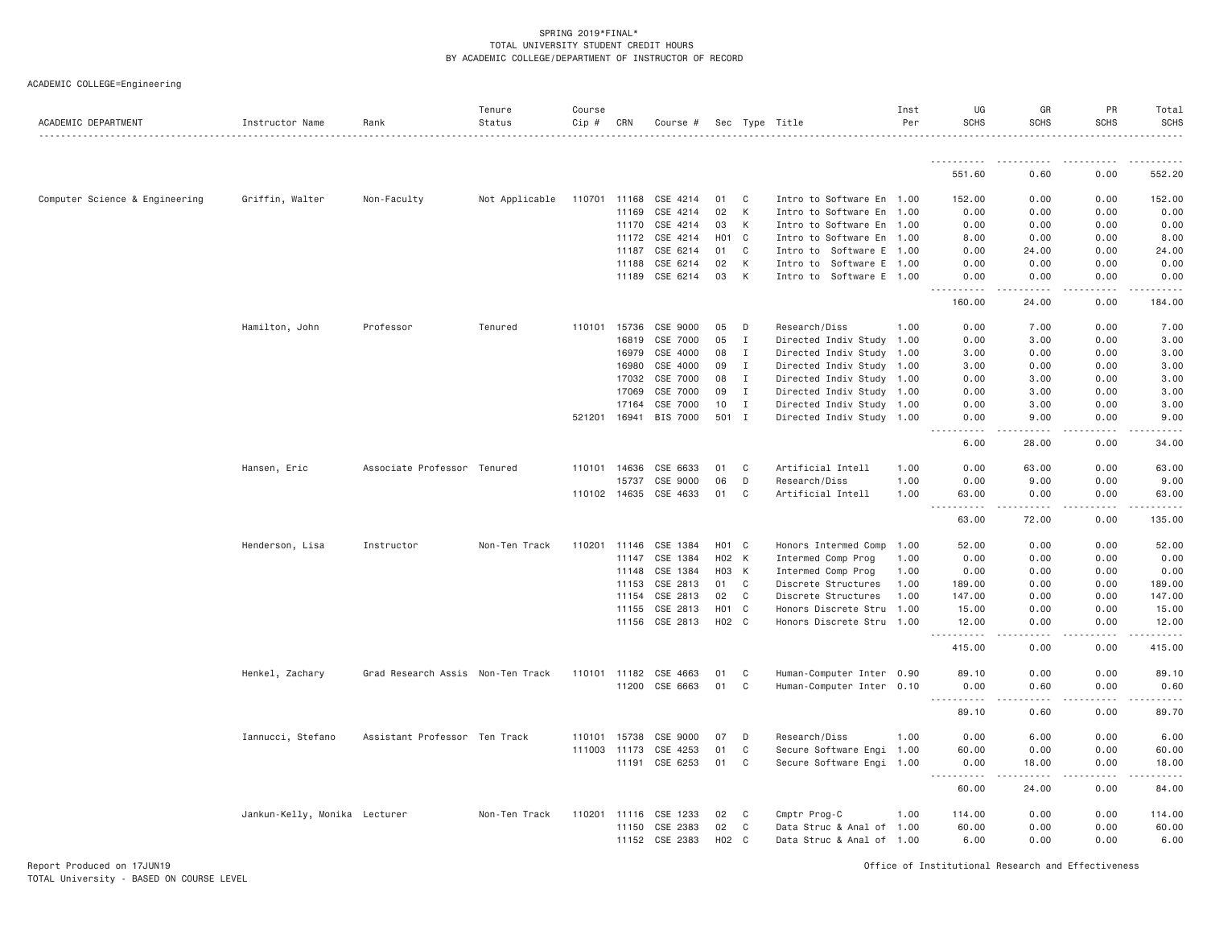| ACADEMIC COLLEGE=Engineering |
|------------------------------|
|------------------------------|

| ACADEMIC DEPARTMENT            | Instructor Name               | Rank                              | Tenure<br>Status | Course<br>Cip # | CRN          | Course #              |                  |              | Sec Type Title            | Inst<br>Per | UG<br><b>SCHS</b>                    | GR<br><b>SCHS</b> | PR<br><b>SCHS</b>   | Total<br><b>SCHS</b> |
|--------------------------------|-------------------------------|-----------------------------------|------------------|-----------------|--------------|-----------------------|------------------|--------------|---------------------------|-------------|--------------------------------------|-------------------|---------------------|----------------------|
|                                |                               |                                   |                  |                 |              |                       |                  |              |                           |             | <u>.</u>                             |                   |                     |                      |
|                                |                               |                                   |                  |                 |              |                       |                  |              |                           |             | 551.60                               | 0.60              | 0.00                | 552.20               |
| Computer Science & Engineering | Griffin, Walter               | Non-Faculty                       | Not Applicable   | 110701 11168    |              | CSE 4214              | 01               | C            | Intro to Software En 1.00 |             | 152.00                               | 0.00              | 0.00                | 152.00               |
|                                |                               |                                   |                  |                 | 11169        | CSE 4214              | 02               | К            | Intro to Software En 1.00 |             | 0.00                                 | 0.00              | 0.00                | 0.00                 |
|                                |                               |                                   |                  |                 |              | 11170 CSE 4214        | 03               | K            | Intro to Software En 1.00 |             | 0.00                                 | 0.00              | 0.00                | 0.00                 |
|                                |                               |                                   |                  |                 | 11172        | CSE 4214              | H <sub>0</sub> 1 | C            | Intro to Software En 1.00 |             | 8.00                                 | 0.00              | 0.00                | 8.00                 |
|                                |                               |                                   |                  |                 | 11187        | CSE 6214              | 01               | C            | Intro to Software E       | 1.00        | 0.00                                 | 24.00             | 0.00                | 24.00                |
|                                |                               |                                   |                  |                 | 11188        | CSE 6214              | 02               | К            | Intro to Software E 1.00  |             | 0.00                                 | 0.00              | 0.00                | 0.00                 |
|                                |                               |                                   |                  |                 |              | 11189 CSE 6214        | 03               | К            | Intro to Software E 1.00  |             | 0.00<br>.                            | 0.00<br>.         | 0.00<br>-----       | 0.00                 |
|                                |                               |                                   |                  |                 |              |                       |                  |              |                           |             | 160.00                               | 24.00             | 0.00                | 184.00               |
|                                | Hamilton, John                | Professor                         | Tenured          | 110101          | 15736        | CSE 9000              | 05               | D            | Research/Diss             | 1,00        | 0.00                                 | 7.00              | 0.00                | 7.00                 |
|                                |                               |                                   |                  |                 | 16819        | CSE 7000              | 05               | Ι.           | Directed Indiv Study 1.00 |             | 0.00                                 | 3.00              | 0.00                | 3.00                 |
|                                |                               |                                   |                  |                 | 16979        | CSE 4000              | 08               | I            | Directed Indiv Study 1.00 |             | 3.00                                 | 0.00              | 0.00                | 3.00                 |
|                                |                               |                                   |                  |                 | 16980        | CSE 4000              | 09               | $\mathbf{I}$ | Directed Indiv Study 1.00 |             | 3.00                                 | 0.00              | 0.00                | 3.00                 |
|                                |                               |                                   |                  |                 | 17032        | CSE 7000              | 08               | $\mathbf{I}$ | Directed Indiv Study 1.00 |             | 0.00                                 | 3.00              | 0.00                | 3.00                 |
|                                |                               |                                   |                  |                 | 17069        | CSE 7000              | 09               | Ι.           | Directed Indiv Study 1.00 |             | 0.00                                 | 3.00              | 0.00                | 3.00                 |
|                                |                               |                                   |                  |                 | 17164        | CSE 7000              | 10               | Ι.           | Directed Indiv Study 1.00 |             | 0.00                                 | 3.00              | 0.00                | 3.00                 |
|                                |                               |                                   |                  | 521201          | 16941        | <b>BIS 7000</b>       | 501 I            |              | Directed Indiv Study 1.00 |             | 0.00<br>.                            | 9.00<br>.         | 0.00<br>.           | 9.00<br>.            |
|                                |                               |                                   |                  |                 |              |                       |                  |              |                           |             | 6.00                                 | 28.00             | 0.00                | 34.00                |
|                                | Hansen, Eric                  | Associate Professor Tenured       |                  | 110101          | 14636        | CSE 6633              | 01               | C            | Artificial Intell         | 1.00        | 0.00                                 | 63.00             | 0.00                | 63.00                |
|                                |                               |                                   |                  |                 | 15737        | CSE 9000              | 06               | D            | Research/Diss             | 1.00        | 0.00                                 | 9.00              | 0.00                | 9.00                 |
|                                |                               |                                   |                  |                 |              | 110102 14635 CSE 4633 | 01               | $\mathbf{C}$ | Artificial Intell         | 1.00        | 63.00<br>$\sim$ $\sim$ $\sim$<br>.   | 0.00<br>.         | 0.00<br>.           | 63.00<br>.           |
|                                |                               |                                   |                  |                 |              |                       |                  |              |                           |             | 63,00                                | 72.00             | 0.00                | 135.00               |
|                                | Henderson, Lisa               | Instructor                        | Non-Ten Track    |                 | 110201 11146 | CSE 1384              | H01 C            |              | Honors Intermed Comp      | 1.00        | 52.00                                | 0.00              | 0.00                | 52.00                |
|                                |                               |                                   |                  |                 | 11147        | CSE 1384              | H02 K            |              | Intermed Comp Prog        | 1.00        | 0.00                                 | 0.00              | 0.00                | 0.00                 |
|                                |                               |                                   |                  |                 | 11148        | CSE 1384              | H03 K            |              | Intermed Comp Prog        | 1.00        | 0.00                                 | 0.00              | 0.00                | 0.00                 |
|                                |                               |                                   |                  |                 | 11153        | CSE 2813              | 01               | C            | Discrete Structures       | 1.00        | 189.00                               | 0.00              | 0.00                | 189.00               |
|                                |                               |                                   |                  |                 | 11154        | CSE 2813              | 02               | C            | Discrete Structures       | 1.00        | 147.00                               | 0.00              | 0.00                | 147.00               |
|                                |                               |                                   |                  |                 | 11155        | CSE 2813              | H <sub>0</sub> 1 | C            | Honors Discrete Stru      | 1.00        | 15.00                                | 0.00              | 0.00                | 15.00                |
|                                |                               |                                   |                  |                 |              | 11156 CSE 2813        | H02 C            |              | Honors Discrete Stru 1.00 |             | 12.00<br><u>.</u>                    | 0.00              | 0.00                | 12.00<br>.           |
|                                |                               |                                   |                  |                 |              |                       |                  |              |                           |             | 415.00                               | 0.00              | 0.00                | 415.00               |
|                                | Henkel, Zachary               | Grad Research Assis Non-Ten Track |                  |                 |              | 110101 11182 CSE 4663 | 01               | C            | Human-Computer Inter 0.90 |             | 89.10                                | 0.00              | 0.00                | 89.10                |
|                                |                               |                                   |                  |                 |              | 11200 CSE 6663        | 01               | C            | Human-Computer Inter 0.10 |             | 0.00                                 | 0.60              | 0.00                | 0.60                 |
|                                |                               |                                   |                  |                 |              |                       |                  |              |                           |             | <u> - - - - - - - - - -</u><br>89.10 | .<br>0.60         | $- - - - -$<br>0.00 | .<br>89.70           |
|                                | Iannucci, Stefano             | Assistant Professor Ten Track     |                  | 110101          | 15738        | CSE 9000              | 07               | D            | Research/Diss             | 1.00        | 0.00                                 | 6.00              | 0.00                | 6.00                 |
|                                |                               |                                   |                  |                 | 111003 11173 | CSE 4253              | 01               | $\mathbf{C}$ | Secure Software Engi 1.00 |             | 60.00                                | 0.00              | 0.00                | 60.00                |
|                                |                               |                                   |                  |                 | 11191        | CSE 6253              | 01               | C            | Secure Software Engi 1.00 |             | 0.00                                 | 18.00             | 0.00                | 18.00                |
|                                |                               |                                   |                  |                 |              |                       |                  |              |                           |             | <u> - - - - - - - - - -</u><br>60.00 | .<br>24.00        | -----<br>0.00       | .<br>84.00           |
|                                | Jankun-Kelly, Monika Lecturer |                                   | Non-Ten Track    |                 | 110201 11116 | CSE 1233              | 02               | C            | Cmptr Prog-C              | 1.00        | 114.00                               | 0.00              | 0.00                | 114.00               |
|                                |                               |                                   |                  |                 | 11150        | CSE 2383              | 02               | C            | Data Struc & Anal of 1.00 |             | 60.00                                | 0.00              | 0.00                | 60.00                |
|                                |                               |                                   |                  |                 |              | 11152 CSE 2383        | H02              | $\mathbf{C}$ | Data Struc & Anal of 1.00 |             | 6.00                                 | 0.00              | 0.00                | 6.00                 |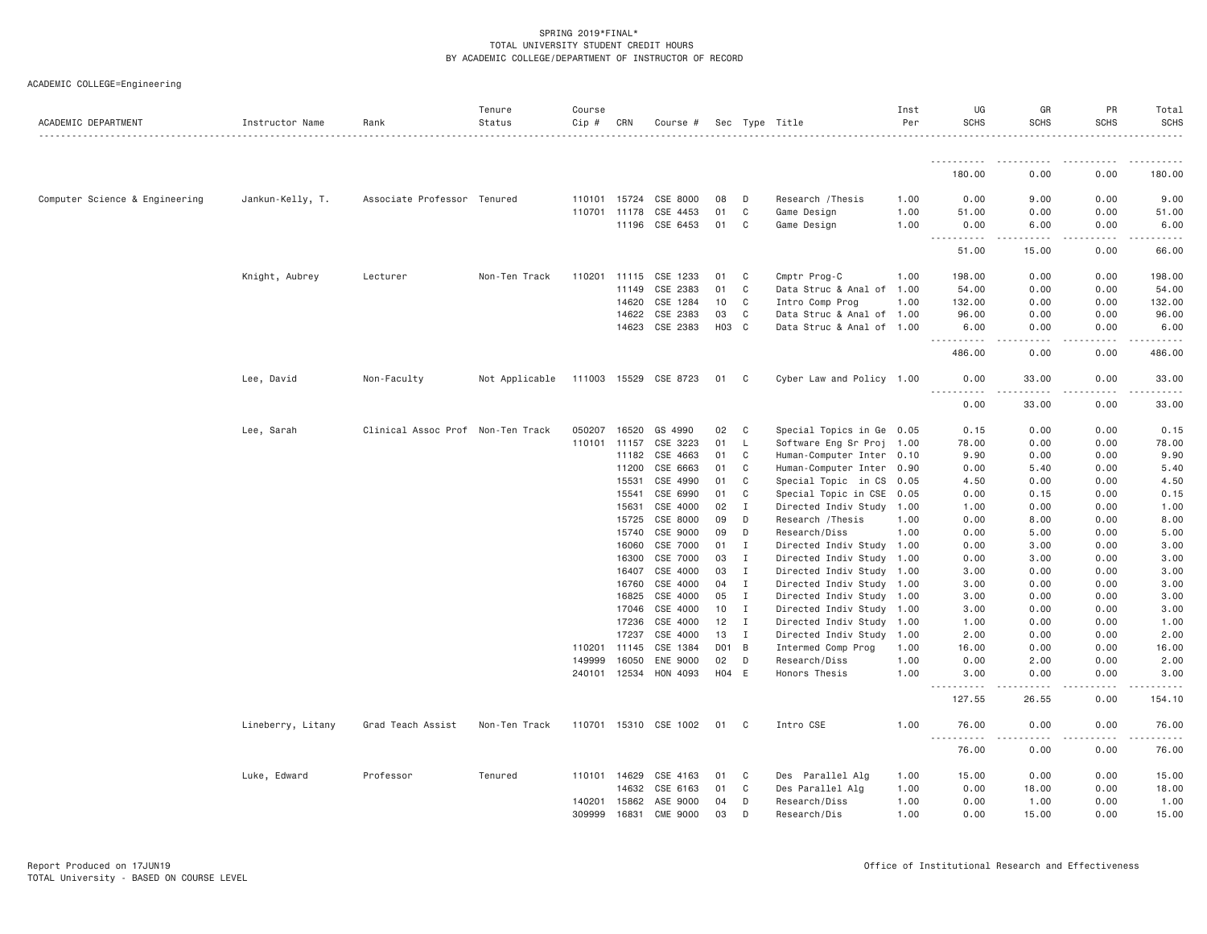| ACADEMIC DEPARTMENT            | Instructor Name   | Rank                              | Tenure<br>Status | Course<br>Cip # | CRN   | Course #              |       |                | Sec Type Title            | Inst<br>Per | UG<br><b>SCHS</b>    | GR<br><b>SCHS</b>    | PR<br><b>SCHS</b>                                                                                                                                            | Total<br><b>SCHS</b>                                                                                                               |
|--------------------------------|-------------------|-----------------------------------|------------------|-----------------|-------|-----------------------|-------|----------------|---------------------------|-------------|----------------------|----------------------|--------------------------------------------------------------------------------------------------------------------------------------------------------------|------------------------------------------------------------------------------------------------------------------------------------|
|                                |                   |                                   |                  |                 |       |                       |       |                |                           |             |                      | .                    |                                                                                                                                                              | .                                                                                                                                  |
|                                |                   |                                   |                  |                 |       |                       |       |                |                           |             | ----------<br>180.00 | . <u>.</u> .<br>0.00 | -----<br>0.00                                                                                                                                                | .<br>180.00                                                                                                                        |
| Computer Science & Engineering | Jankun-Kelly, T.  | Associate Professor Tenured       |                  | 110101 15724    |       | CSE 8000              | 08    | D              | Research / Thesis         | 1.00        | 0.00                 | 9.00                 | 0.00                                                                                                                                                         | 9.00                                                                                                                               |
|                                |                   |                                   |                  | 110701 11178    |       | CSE 4453              | 01    | C              | Game Design               | 1.00        | 51.00                | 0.00                 | 0.00                                                                                                                                                         | 51.00                                                                                                                              |
|                                |                   |                                   |                  |                 | 11196 | CSE 6453              | 01    | C              | Game Design               | 1.00        | 0.00                 | 6.00                 | 0.00                                                                                                                                                         | 6.00                                                                                                                               |
|                                |                   |                                   |                  |                 |       |                       |       |                |                           |             | <b></b><br>51.00     | .<br>15.00           | $\frac{1}{2} \left( \frac{1}{2} \right) \left( \frac{1}{2} \right) \left( \frac{1}{2} \right) \left( \frac{1}{2} \right) \left( \frac{1}{2} \right)$<br>0.00 | $\begin{array}{cccccccccccccc} \bullet & \bullet & \bullet & \bullet & \bullet & \bullet & \bullet & \bullet \end{array}$<br>66.00 |
|                                | Knight, Aubrey    | Lecturer                          | Non-Ten Track    | 110201 11115    |       | CSE 1233              | 01    | C              | Cmptr Prog-C              | 1.00        | 198.00               | 0.00                 | 0.00                                                                                                                                                         | 198.00                                                                                                                             |
|                                |                   |                                   |                  |                 | 11149 | CSE 2383              | 01    | C              | Data Struc & Anal of      | 1.00        | 54.00                | 0.00                 | 0.00                                                                                                                                                         | 54.00                                                                                                                              |
|                                |                   |                                   |                  |                 | 14620 | CSE 1284              | 10    | C              | Intro Comp Prog           | 1.00        | 132.00               | 0.00                 | 0.00                                                                                                                                                         | 132.00                                                                                                                             |
|                                |                   |                                   |                  |                 | 14622 | CSE 2383              | 03    | C              | Data Struc & Anal of 1.00 |             | 96.00                | 0.00                 | 0.00                                                                                                                                                         | 96.00                                                                                                                              |
|                                |                   |                                   |                  |                 | 14623 | CSE 2383              | HO3   | C <sub>c</sub> | Data Struc & Anal of 1.00 |             | 6.00                 | 0.00<br>.            | 0.00                                                                                                                                                         | 6.00                                                                                                                               |
|                                |                   |                                   |                  |                 |       |                       |       |                |                           |             | .<br>486.00          | 0.00                 | .<br>0.00                                                                                                                                                    | .<br>486.00                                                                                                                        |
|                                | Lee, David        | Non-Faculty                       | Not Applicable   |                 |       | 111003 15529 CSE 8723 | 01    | C.             | Cyber Law and Policy 1.00 |             | 0.00                 | 33.00                | 0.00                                                                                                                                                         | 33.00                                                                                                                              |
|                                |                   |                                   |                  |                 |       |                       |       |                |                           |             | .<br>0.00            | 33.00                | 0.00                                                                                                                                                         | 33.00                                                                                                                              |
|                                | Lee, Sarah        | Clinical Assoc Prof Non-Ten Track |                  | 050207          | 16520 | GS 4990               | 02    | C              | Special Topics in Ge 0.05 |             | 0.15                 | 0.00                 | 0.00                                                                                                                                                         | 0.15                                                                                                                               |
|                                |                   |                                   |                  | 110101 11157    |       | CSE 3223              | 01    | L              | Software Eng Sr Proj 1.00 |             | 78.00                | 0.00                 | 0.00                                                                                                                                                         | 78.00                                                                                                                              |
|                                |                   |                                   |                  |                 | 11182 | CSE 4663              | 01    | C              | Human-Computer Inter      | 0.10        | 9.90                 | 0.00                 | 0.00                                                                                                                                                         | 9.90                                                                                                                               |
|                                |                   |                                   |                  |                 | 11200 | CSE 6663              | 01    | C              | Human-Computer Inter      | 0.90        | 0.00                 | 5.40                 | 0.00                                                                                                                                                         | 5.40                                                                                                                               |
|                                |                   |                                   |                  |                 | 15531 | CSE 4990              | 01    | C              | Special Topic in CS       | 0.05        | 4.50                 | 0.00                 | 0.00                                                                                                                                                         | 4.50                                                                                                                               |
|                                |                   |                                   |                  |                 | 15541 | CSE 6990              | 01    | C              | Special Topic in CSE      | 0.05        | 0.00                 | 0.15                 | 0.00                                                                                                                                                         | 0.15                                                                                                                               |
|                                |                   |                                   |                  |                 | 15631 | CSE 4000              | 02    | Ι              | Directed Indiv Study      | 1.00        | 1.00                 | 0.00                 | 0.00                                                                                                                                                         | 1.00                                                                                                                               |
|                                |                   |                                   |                  |                 | 15725 | CSE 8000              | 09    | D              | Research / Thesis         | 1.00        | 0.00                 | 8.00                 | 0.00                                                                                                                                                         | 8.00                                                                                                                               |
|                                |                   |                                   |                  |                 | 15740 | CSE 9000              | 09    | D              | Research/Diss             | 1.00        | 0.00                 | 5.00                 | 0.00                                                                                                                                                         | 5.00                                                                                                                               |
|                                |                   |                                   |                  |                 | 16060 | CSE 7000              | 01    | Ι.             | Directed Indiv Study 1.00 |             | 0.00                 | 3.00                 | 0.00                                                                                                                                                         | 3.00                                                                                                                               |
|                                |                   |                                   |                  |                 | 16300 | CSE 7000              | 03    | Ι.             | Directed Indiv Study 1.00 |             | 0.00                 | 3.00                 | 0.00                                                                                                                                                         | 3.00                                                                                                                               |
|                                |                   |                                   |                  |                 | 16407 | CSE 4000              | 03    | $\mathbf I$    | Directed Indiv Study 1.00 |             | 3.00                 | 0.00                 | 0.00                                                                                                                                                         | 3.00                                                                                                                               |
|                                |                   |                                   |                  |                 | 16760 | CSE 4000              | 04    | Ι.             | Directed Indiv Study 1.00 |             | 3.00                 | 0.00                 | 0.00                                                                                                                                                         | 3.00                                                                                                                               |
|                                |                   |                                   |                  |                 | 16825 | CSE 4000              | 05    | Ι.             | Directed Indiv Study 1.00 |             | 3.00                 | 0.00                 | 0.00                                                                                                                                                         | 3.00                                                                                                                               |
|                                |                   |                                   |                  |                 | 17046 | CSE 4000              | 10    | I              | Directed Indiv Study 1.00 |             | 3.00                 | 0.00                 | 0.00                                                                                                                                                         | 3.00                                                                                                                               |
|                                |                   |                                   |                  |                 | 17236 | CSE 4000              | 12    | $\mathbf{I}$   | Directed Indiv Study      | 1.00        | 1.00                 | 0.00                 | 0.00                                                                                                                                                         | 1.00                                                                                                                               |
|                                |                   |                                   |                  |                 | 17237 | CSE 4000              | 13    | Ι.             | Directed Indiv Study      | 1.00        | 2.00                 | 0.00                 | 0.00                                                                                                                                                         | 2.00                                                                                                                               |
|                                |                   |                                   |                  | 110201          | 11145 | CSE 1384              | D01 B |                | Intermed Comp Prog        | 1.00        | 16.00                | 0.00                 | 0.00                                                                                                                                                         | 16.00                                                                                                                              |
|                                |                   |                                   |                  | 149999          | 16050 | <b>ENE 9000</b>       | 02    | D              | Research/Diss             | 1.00        | 0.00                 | 2.00                 | 0.00                                                                                                                                                         | 2.00                                                                                                                               |
|                                |                   |                                   |                  | 240101 12534    |       | HON 4093              | H04 E |                | Honors Thesis             | 1.00        | 3.00                 | 0.00                 | 0.00                                                                                                                                                         | 3.00                                                                                                                               |
|                                |                   |                                   |                  |                 |       |                       |       |                |                           |             | 127.55               | 26.55                | 0.00                                                                                                                                                         | 154.10                                                                                                                             |
|                                | Lineberry, Litany | Grad Teach Assist                 | Non-Ten Track    |                 |       | 110701 15310 CSE 1002 | 01    | C              | Intro CSE                 | 1.00        | 76.00                | 0.00                 | 0.00                                                                                                                                                         | 76.00                                                                                                                              |
|                                |                   |                                   |                  |                 |       |                       |       |                |                           |             | .<br>76.00           | .<br>0.00            | -----<br>0.00                                                                                                                                                | .<br>76.00                                                                                                                         |
|                                | Luke, Edward      | Professor                         | Tenured          | 110101 14629    |       | CSE 4163              | 01    | C              | Des Parallel Alg          | 1.00        | 15.00                | 0.00                 | 0.00                                                                                                                                                         | 15.00                                                                                                                              |
|                                |                   |                                   |                  |                 | 14632 | CSE 6163              | 01    | C              | Des Parallel Alg          | 1.00        | 0.00                 | 18.00                | 0.00                                                                                                                                                         | 18.00                                                                                                                              |
|                                |                   |                                   |                  | 140201 15862    |       | ASE 9000              | 04    | D              | Research/Diss             | 1.00        | 0.00                 | 1.00                 | 0.00                                                                                                                                                         | 1.00                                                                                                                               |
|                                |                   |                                   |                  | 309999          | 16831 | <b>CME 9000</b>       | 03    | D              | Research/Dis              | 1.00        | 0.00                 | 15.00                | 0.00                                                                                                                                                         | 15.00                                                                                                                              |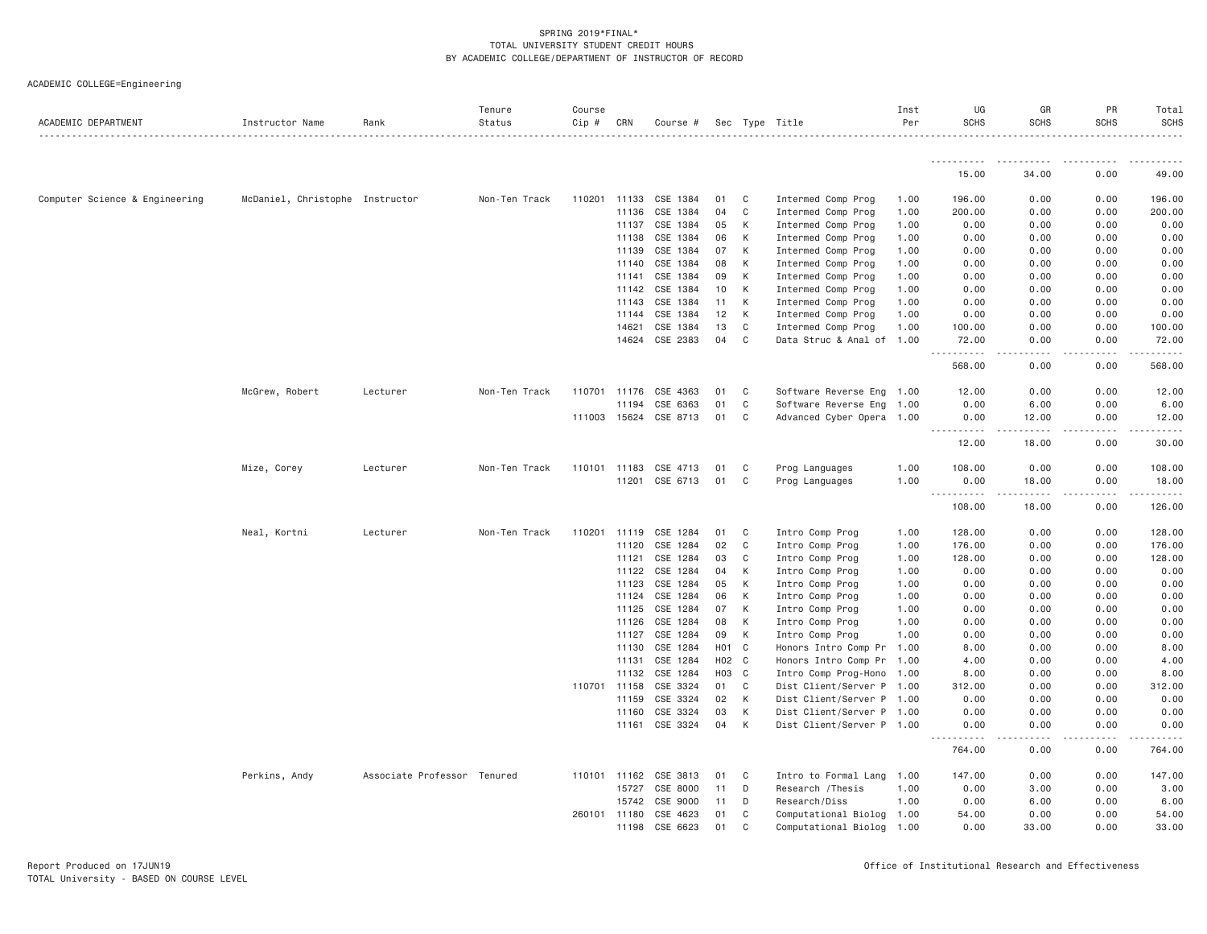| ACADEMIC DEPARTMENT            | Instructor Name                 | Rank                        | Tenure<br>Status | Course<br>Cip # | CRN   | Course # |                  |                | Sec Type Title                   | Inst<br>Per | UG<br><b>SCHS</b>                                                           | GR<br><b>SCHS</b>     | PR<br><b>SCHS</b> | Total<br><b>SCHS</b> |
|--------------------------------|---------------------------------|-----------------------------|------------------|-----------------|-------|----------|------------------|----------------|----------------------------------|-------------|-----------------------------------------------------------------------------|-----------------------|-------------------|----------------------|
|                                |                                 |                             |                  |                 |       |          |                  |                |                                  |             | -----------                                                                 |                       |                   |                      |
|                                |                                 |                             |                  |                 |       |          |                  |                |                                  |             | 15.00                                                                       | 34.00                 | 0.00              | 49.00                |
| Computer Science & Engineering | McDaniel, Christophe Instructor |                             | Non-Ten Track    | 110201 11133    |       | CSE 1384 | 01               | C              | Intermed Comp Prog               | 1.00        | 196.00                                                                      | 0.00                  | 0.00              | 196.00               |
|                                |                                 |                             |                  |                 | 11136 | CSE 1384 | 04               | C              | Intermed Comp Prog               | 1.00        | 200.00                                                                      | 0.00                  | 0.00              | 200.00               |
|                                |                                 |                             |                  |                 | 11137 | CSE 1384 | 05               | К              | Intermed Comp Prog               | 1.00        | 0.00                                                                        | 0.00                  | 0.00              | 0.00                 |
|                                |                                 |                             |                  |                 | 11138 | CSE 1384 | 06               | К              | Intermed Comp Prog               | 1.00        | 0.00                                                                        | 0.00                  | 0.00              | 0.00                 |
|                                |                                 |                             |                  |                 | 11139 | CSE 1384 | 07               | К              | Intermed Comp Prog               | 1.00        | 0.00                                                                        | 0.00                  | 0.00              | 0.00                 |
|                                |                                 |                             |                  |                 | 11140 | CSE 1384 | 08               | К              | Intermed Comp Prog               | 1.00        | 0.00                                                                        | 0.00                  | 0.00              | 0.00                 |
|                                |                                 |                             |                  |                 | 11141 | CSE 1384 | 09               | K              | Intermed Comp Prog               | 1.00        | 0.00                                                                        | 0.00                  | 0.00              | 0.00                 |
|                                |                                 |                             |                  |                 | 11142 | CSE 1384 | 10               | К              | Intermed Comp Prog               | 1.00        | 0.00                                                                        | 0.00                  | 0.00              | 0.00                 |
|                                |                                 |                             |                  |                 | 11143 | CSE 1384 | 11               | К              | Intermed Comp Prog               | 1.00        | 0.00                                                                        | 0.00                  | 0.00              | 0.00                 |
|                                |                                 |                             |                  |                 | 11144 | CSE 1384 | 12               | К              | Intermed Comp Prog               | 1.00        | 0.00                                                                        | 0.00                  | 0.00              | 0.00                 |
|                                |                                 |                             |                  |                 | 14621 | CSE 1384 | 13               | $\mathsf{C}$   | Intermed Comp Prog               | 1.00        | 100.00                                                                      | 0.00                  | 0.00              | 100.00               |
|                                |                                 |                             |                  |                 | 14624 | CSE 2383 | 04               | $\mathsf{C}$   | Data Struc & Anal of 1.00        |             | 72.00<br>. <u>.</u>                                                         | 0.00<br>$\frac{1}{2}$ | 0.00<br>.         | 72.00<br>.           |
|                                |                                 |                             |                  |                 |       |          |                  |                |                                  |             | 568.00                                                                      | 0.00                  | 0.00              | 568.00               |
|                                | McGrew, Robert                  | Lecturer                    | Non-Ten Track    | 110701          | 11176 | CSE 4363 | 01               | C              | Software Reverse Eng 1.00        |             | 12.00                                                                       | 0.00                  | 0.00              | 12.00                |
|                                |                                 |                             |                  |                 | 11194 | CSE 6363 | 01               | C              | Software Reverse Eng 1.00        |             | 0.00                                                                        | 6.00                  | 0.00              | 6.00                 |
|                                |                                 |                             |                  | 111003 15624    |       | CSE 8713 | 01               | C              | Advanced Cyber Opera 1.00        |             | 0.00                                                                        | 12.00                 | 0.00              | 12.00                |
|                                |                                 |                             |                  |                 |       |          |                  |                |                                  |             | $\frac{1}{2} \frac{1}{2} \frac{1}{2} \frac{1}{2} \frac{1}{2}$<br>.<br>12.00 | <u>.</u><br>18.00     | .<br>0.00         | .<br>30.00           |
|                                |                                 | Lecturer                    | Non-Ten Track    | 110101 11183    |       | CSE 4713 | 01               | C              |                                  | 1.00        | 108.00                                                                      | 0.00                  | 0.00              | 108.00               |
|                                | Mize, Corey                     |                             |                  |                 | 11201 | CSE 6713 | 01               | C              | Prog Languages<br>Prog Languages | 1.00        | 0.00                                                                        | 18.00                 | 0.00              | 18.00                |
|                                |                                 |                             |                  |                 |       |          |                  |                |                                  |             | ----------                                                                  | -----                 | .                 |                      |
|                                |                                 |                             |                  |                 |       |          |                  |                |                                  |             | 108.00                                                                      | 18.00                 | 0.00              | 126.00               |
|                                | Neal, Kortni                    | Lecturer                    | Non-Ten Track    | 110201          | 11119 | CSE 1284 | 01               | C              | Intro Comp Prog                  | 1.00        | 128.00                                                                      | 0.00                  | 0.00              | 128.00               |
|                                |                                 |                             |                  |                 | 11120 | CSE 1284 | 02               | C              | Intro Comp Prog                  | 1.00        | 176.00                                                                      | 0.00                  | 0.00              | 176.00               |
|                                |                                 |                             |                  |                 | 11121 | CSE 1284 | 03               | C              | Intro Comp Prog                  | 1.00        | 128.00                                                                      | 0.00                  | 0.00              | 128.00               |
|                                |                                 |                             |                  |                 | 11122 | CSE 1284 | 04               | K              | Intro Comp Prog                  | 1.00        | 0.00                                                                        | 0.00                  | 0.00              | 0.00                 |
|                                |                                 |                             |                  |                 | 11123 | CSE 1284 | 05               | К              | Intro Comp Prog                  | 1.00        | 0.00                                                                        | 0.00                  | 0.00              | 0.00                 |
|                                |                                 |                             |                  |                 | 11124 | CSE 1284 | 06               | K              | Intro Comp Prog                  | 1.00        | 0.00                                                                        | 0.00                  | 0.00              | 0.00                 |
|                                |                                 |                             |                  |                 | 11125 | CSE 1284 | 07               | К              | Intro Comp Prog                  | 1.00        | 0.00                                                                        | 0.00                  | 0.00              | 0.00                 |
|                                |                                 |                             |                  |                 | 11126 | CSE 1284 | 08               | К              | Intro Comp Prog                  | 1.00        | 0.00                                                                        | 0.00                  | 0.00              | 0.00                 |
|                                |                                 |                             |                  |                 | 11127 | CSE 1284 | 09               | K              | Intro Comp Prog                  | 1.00        | 0.00                                                                        | 0.00                  | 0.00              | 0.00                 |
|                                |                                 |                             |                  |                 | 11130 | CSE 1284 | H <sub>0</sub> 1 | C              | Honors Intro Comp Pr             | 1.00        | 8.00                                                                        | 0.00                  | 0.00              | 8.00                 |
|                                |                                 |                             |                  |                 | 11131 | CSE 1284 | H <sub>02</sub>  | C <sub>1</sub> | Honors Intro Comp Pr 1.00        |             | 4.00                                                                        | 0.00                  | 0.00              | 4.00                 |
|                                |                                 |                             |                  |                 | 11132 | CSE 1284 | HO <sub>3</sub>  | $\mathbf{C}$   | Intro Comp Prog-Hono 1.00        |             | 8.00                                                                        | 0.00                  | 0.00              | 8.00                 |
|                                |                                 |                             |                  | 110701          | 11158 | CSE 3324 | 01               | $\mathsf{C}$   | Dist Client/Server P 1.00        |             | 312.00                                                                      | 0.00                  | 0.00              | 312.00               |
|                                |                                 |                             |                  |                 | 11159 | CSE 3324 | 02               | К              | Dist Client/Server P 1.00        |             | 0.00                                                                        | 0.00                  | 0.00              | 0.00                 |
|                                |                                 |                             |                  |                 | 11160 | CSE 3324 | 03               | K              | Dist Client/Server P 1.00        |             | 0.00                                                                        | 0.00                  | 0.00              | 0.00                 |
|                                |                                 |                             |                  |                 | 11161 | CSE 3324 | 04               | К              | Dist Client/Server P 1.00        |             | 0.00<br>.                                                                   | 0.00<br>.             | 0.00<br>.         | 0.00<br>.            |
|                                |                                 |                             |                  |                 |       |          |                  |                |                                  |             | 764.00                                                                      | 0.00                  | 0.00              | 764.00               |
|                                | Perkins, Andy                   | Associate Professor Tenured |                  | 110101          | 11162 | CSE 3813 | 01               | C              | Intro to Formal Lang             | 1.00        | 147.00                                                                      | 0.00                  | 0.00              | 147.00               |
|                                |                                 |                             |                  |                 | 15727 | CSE 8000 | 11               | D              | Research / Thesis                | 1.00        | 0.00                                                                        | 3.00                  | 0.00              | 3.00                 |
|                                |                                 |                             |                  |                 | 15742 | CSE 9000 | 11               | D              | Research/Diss                    | 1.00        | 0.00                                                                        | 6.00                  | 0.00              | 6.00                 |
|                                |                                 |                             |                  | 260101          | 11180 | CSE 4623 | 01               | C              | Computational Biolog             | 1.00        | 54.00                                                                       | 0.00                  | 0.00              | 54.00                |
|                                |                                 |                             |                  |                 | 11198 | CSE 6623 | 01               | C              | Computational Biolog             | 1.00        | 0.00                                                                        | 33,00                 | 0.00              | 33.00                |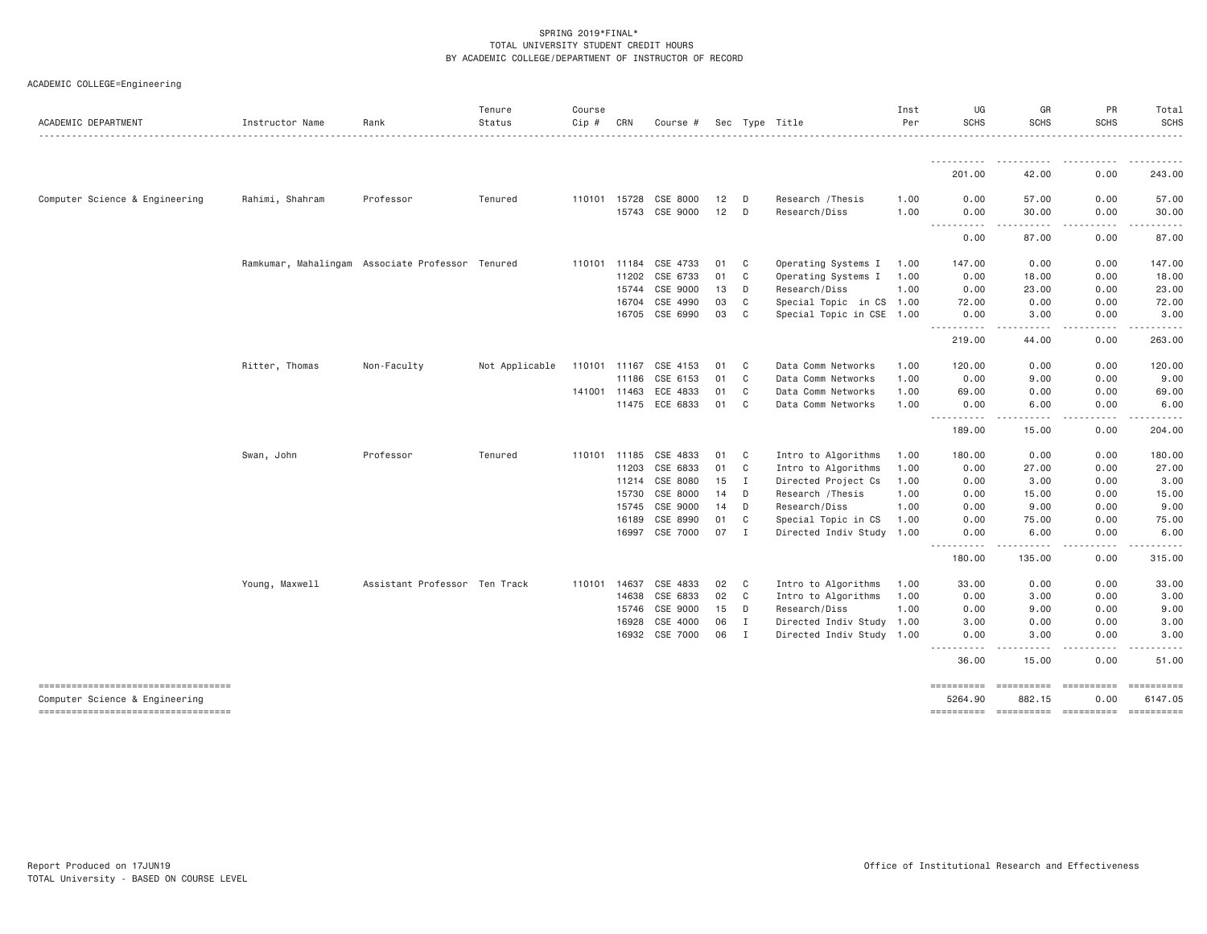| ACADEMIC DEPARTMENT                                                   | Instructor Name | Rank                                             | Tenure<br>Status | Course<br>Cip # | CRN          | Course #              |    |                | Sec Type Title            | Inst<br>Per | UG<br><b>SCHS</b>                                                                                                                                                                                                                                                                         | GR<br><b>SCHS</b> | PR<br><b>SCHS</b>      | Total<br><b>SCHS</b> |
|-----------------------------------------------------------------------|-----------------|--------------------------------------------------|------------------|-----------------|--------------|-----------------------|----|----------------|---------------------------|-------------|-------------------------------------------------------------------------------------------------------------------------------------------------------------------------------------------------------------------------------------------------------------------------------------------|-------------------|------------------------|----------------------|
|                                                                       |                 |                                                  |                  |                 |              |                       |    |                |                           |             |                                                                                                                                                                                                                                                                                           |                   |                        |                      |
|                                                                       |                 |                                                  |                  |                 |              |                       |    |                |                           |             | 201.00                                                                                                                                                                                                                                                                                    | 42.00             | 0.00                   | 243.00               |
| Computer Science & Engineering                                        | Rahimi, Shahram | Professor                                        | Tenured          |                 |              | 110101 15728 CSE 8000 | 12 | D              | Research / Thesis         | 1.00        | 0.00                                                                                                                                                                                                                                                                                      | 57.00             | 0.00                   | 57.00                |
|                                                                       |                 |                                                  |                  |                 | 15743        | CSE 9000              | 12 | D              | Research/Diss             | 1.00        | 0.00<br>$\frac{1}{2} \left( \frac{1}{2} \right) \left( \frac{1}{2} \right) \left( \frac{1}{2} \right) \left( \frac{1}{2} \right) \left( \frac{1}{2} \right)$<br>$\frac{1}{2} \left( \frac{1}{2} \right) \left( \frac{1}{2} \right) \left( \frac{1}{2} \right) \left( \frac{1}{2} \right)$ | 30.00<br>.        | 0.00<br>.              | 30.00<br>.           |
|                                                                       |                 |                                                  |                  |                 |              |                       |    |                |                           |             | 0.00                                                                                                                                                                                                                                                                                      | 87.00             | 0.00                   | 87.00                |
|                                                                       |                 | Ramkumar, Mahalingam Associate Professor Tenured |                  | 110101 11184    |              | CSE 4733              | 01 | C.             | Operating Systems I       | 1.00        | 147.00                                                                                                                                                                                                                                                                                    | 0.00              | 0.00                   | 147.00               |
|                                                                       |                 |                                                  |                  |                 | 11202        | CSE 6733              | 01 | C              | Operating Systems I       | 1.00        | 0.00                                                                                                                                                                                                                                                                                      | 18.00             | 0.00                   | 18.00                |
|                                                                       |                 |                                                  |                  |                 | 15744        | CSE 9000              | 13 | D              | Research/Diss             | 1.00        | 0.00                                                                                                                                                                                                                                                                                      | 23.00             | 0.00                   | 23.00                |
|                                                                       |                 |                                                  |                  |                 | 16704        | CSE 4990              | 03 | C              | Special Topic in CS 1.00  |             | 72.00                                                                                                                                                                                                                                                                                     | 0.00              | 0.00                   | 72.00                |
|                                                                       |                 |                                                  |                  |                 | 16705        | CSE 6990              | 03 | C              | Special Topic in CSE 1.00 |             | 0.00                                                                                                                                                                                                                                                                                      | 3,00              | 0.00                   | 3.00                 |
|                                                                       |                 |                                                  |                  |                 |              |                       |    |                |                           |             | -----------<br>219.00                                                                                                                                                                                                                                                                     | .<br>44.00        | .<br>0.00              | .<br>263.00          |
|                                                                       | Ritter, Thomas  | Non-Faculty                                      | Not Applicable   | 110101 11167    |              | CSE 4153              | 01 | C              | Data Comm Networks        | 1.00        | 120.00                                                                                                                                                                                                                                                                                    | 0.00              | 0.00                   | 120.00               |
|                                                                       |                 |                                                  |                  |                 | 11186        | CSE 6153              | 01 | $\mathbf C$    | Data Comm Networks        | 1.00        | 0.00                                                                                                                                                                                                                                                                                      | 9.00              | 0.00                   | 9.00                 |
|                                                                       |                 |                                                  |                  |                 | 141001 11463 | ECE 4833              | 01 | C <sub>1</sub> | Data Comm Networks        | 1.00        | 69.00                                                                                                                                                                                                                                                                                     | 0.00              | 0.00                   | 69.00                |
|                                                                       |                 |                                                  |                  |                 | 11475        | ECE 6833              | 01 | $\mathbf C$    | Data Comm Networks        | 1.00        | 0.00                                                                                                                                                                                                                                                                                      | 6.00              | 0.00                   | 6.00                 |
|                                                                       |                 |                                                  |                  |                 |              |                       |    |                |                           |             | -----------<br>189.00                                                                                                                                                                                                                                                                     | .<br>15.00        | .<br>0.00              | .<br>204.00          |
|                                                                       | Swan, John      | Professor                                        | Tenured          | 110101 11185    |              | CSE 4833              | 01 | C              | Intro to Algorithms       | 1.00        | 180.00                                                                                                                                                                                                                                                                                    | 0.00              | 0.00                   | 180.00               |
|                                                                       |                 |                                                  |                  |                 | 11203        | CSE 6833              | 01 | C              | Intro to Algorithms       | 1.00        | 0.00                                                                                                                                                                                                                                                                                      | 27.00             | 0.00                   | 27.00                |
|                                                                       |                 |                                                  |                  |                 | 11214        | CSE 8080              | 15 | I              | Directed Project Cs       | 1.00        | 0.00                                                                                                                                                                                                                                                                                      | 3.00              | 0.00                   | 3.00                 |
|                                                                       |                 |                                                  |                  |                 | 15730        | CSE 8000              | 14 | D              | Research / Thesis         | 1.00        | 0.00                                                                                                                                                                                                                                                                                      | 15.00             | 0.00                   | 15.00                |
|                                                                       |                 |                                                  |                  |                 | 15745        | CSE 9000              | 14 | D              | Research/Diss             | 1.00        | 0.00                                                                                                                                                                                                                                                                                      | 9.00              | 0.00                   | 9.00                 |
|                                                                       |                 |                                                  |                  |                 | 16189        | CSE 8990              | 01 | $\mathbf C$    | Special Topic in CS       | 1.00        | 0.00                                                                                                                                                                                                                                                                                      | 75.00             | 0.00                   | 75.00                |
|                                                                       |                 |                                                  |                  |                 |              | 16997 CSE 7000        | 07 | I              | Directed Indiv Study 1.00 |             | 0.00                                                                                                                                                                                                                                                                                      | 6.00              | 0.00                   | 6.00                 |
|                                                                       |                 |                                                  |                  |                 |              |                       |    |                |                           |             | .<br>180.00                                                                                                                                                                                                                                                                               | .<br>135.00       | .<br>0.00              | <u>.</u><br>315.00   |
|                                                                       | Young, Maxwell  | Assistant Professor Ten Track                    |                  | 110101          | 14637        | CSE 4833              | 02 | C              | Intro to Algorithms       | 1.00        | 33.00                                                                                                                                                                                                                                                                                     | 0.00              | 0.00                   | 33.00                |
|                                                                       |                 |                                                  |                  |                 | 14638        | CSE 6833              | 02 | C              | Intro to Algorithms       | 1.00        | 0.00                                                                                                                                                                                                                                                                                      | 3,00              | 0.00                   | 3.00                 |
|                                                                       |                 |                                                  |                  |                 | 15746        | CSE 9000              | 15 | D              | Research/Diss             | 1.00        | 0.00                                                                                                                                                                                                                                                                                      | 9.00              | 0.00                   | 9.00                 |
|                                                                       |                 |                                                  |                  |                 | 16928        | CSE 4000              | 06 | $\;$ I         | Directed Indiv Study 1.00 |             | 3.00                                                                                                                                                                                                                                                                                      | 0.00              | 0.00                   | 3.00                 |
|                                                                       |                 |                                                  |                  |                 |              | 16932 CSE 7000        | 06 | $\mathbf{I}$   | Directed Indiv Study 1.00 |             | 0.00                                                                                                                                                                                                                                                                                      | 3.00              | 0.00                   | 3.00                 |
|                                                                       |                 |                                                  |                  |                 |              |                       |    |                |                           |             | ----------<br>36.00                                                                                                                                                                                                                                                                       | .<br>15.00        | .<br>0.00              | .<br>51.00           |
| -----------------------------------<br>Computer Science & Engineering |                 |                                                  |                  |                 |              |                       |    |                |                           |             | ==========<br>5264.90                                                                                                                                                                                                                                                                     | 882.15            | $=$ ==========<br>0.00 | 6147.05              |
| -----------------------------------                                   |                 |                                                  |                  |                 |              |                       |    |                |                           |             |                                                                                                                                                                                                                                                                                           |                   |                        | ==========           |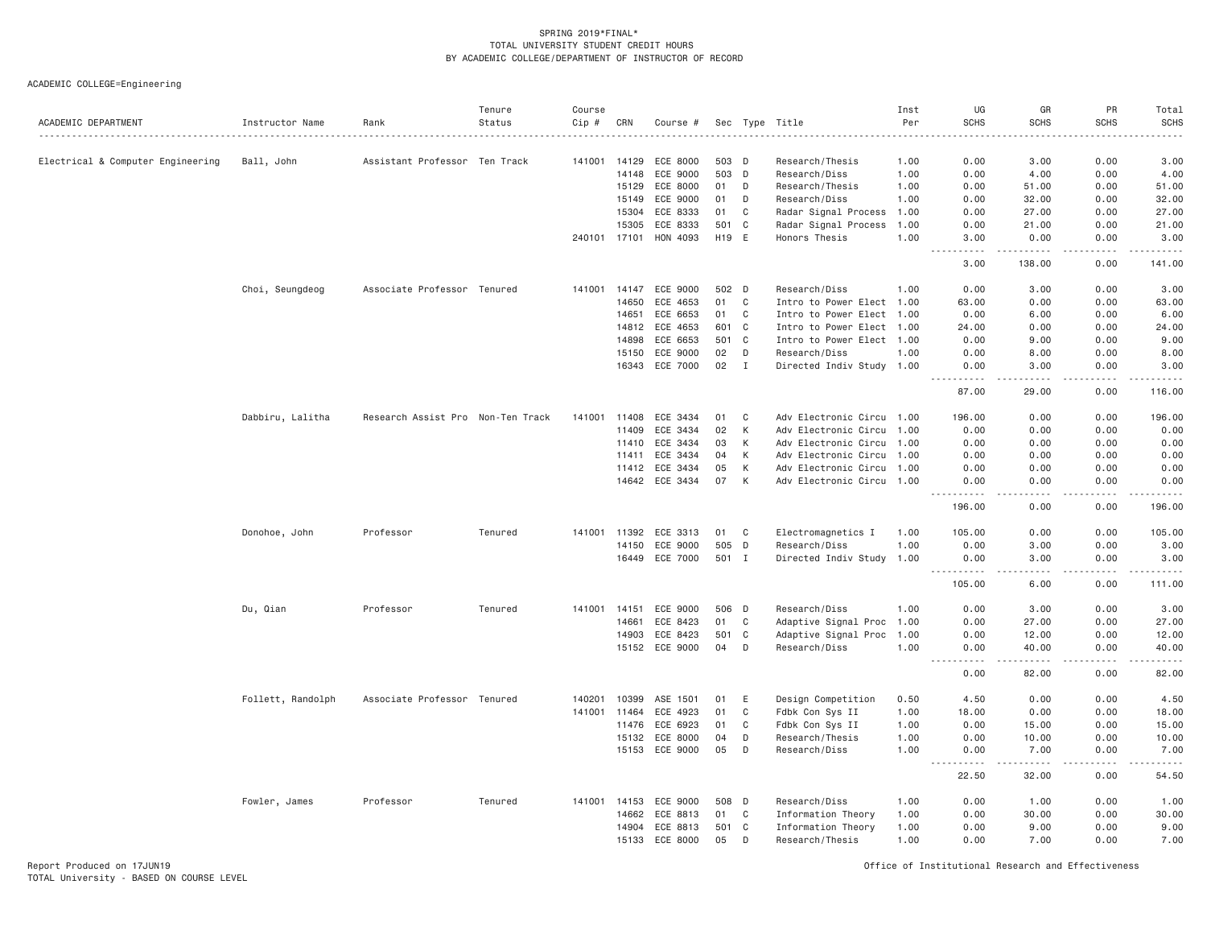ACADEMIC COLLEGE=Engineering

| ACADEMIC DEPARTMENT               | Instructor Name   | Rank                              | Tenure<br>Status | Course<br>Cip # | CRN   | Course # |       |              | Sec Type Title            | Inst<br>Per | UG<br><b>SCHS</b>                                                                                                                                                                        | GR<br><b>SCHS</b>                   | PR<br><b>SCHS</b> | Total<br><b>SCHS</b><br>. |
|-----------------------------------|-------------------|-----------------------------------|------------------|-----------------|-------|----------|-------|--------------|---------------------------|-------------|------------------------------------------------------------------------------------------------------------------------------------------------------------------------------------------|-------------------------------------|-------------------|---------------------------|
| Electrical & Computer Engineering | Ball, John        | Assistant Professor Ten Track     |                  | 141001          | 14129 | ECE 8000 |       | 503 D        | Research/Thesis           | 1.00        | 0.00                                                                                                                                                                                     | 3.00                                | 0.00              | 3.00                      |
|                                   |                   |                                   |                  |                 | 14148 | ECE 9000 |       | 503 D        | Research/Diss             | 1.00        | 0.00                                                                                                                                                                                     | 4.00                                | 0.00              | 4.00                      |
|                                   |                   |                                   |                  |                 | 15129 | ECE 8000 | 01    | D            | Research/Thesis           | 1.00        | 0.00                                                                                                                                                                                     | 51.00                               | 0.00              | 51.00                     |
|                                   |                   |                                   |                  |                 | 15149 | ECE 9000 | 01    | D            | Research/Diss             | 1.00        | 0.00                                                                                                                                                                                     | 32.00                               | 0.00              | 32.00                     |
|                                   |                   |                                   |                  |                 | 15304 | ECE 8333 | 01    | $\mathbb C$  | Radar Signal Process      | 1.00        | 0.00                                                                                                                                                                                     | 27.00                               | 0.00              | 27.00                     |
|                                   |                   |                                   |                  |                 | 15305 | ECE 8333 | 501 C |              | Radar Signal Process      | 1.00        | 0.00                                                                                                                                                                                     | 21.00                               | 0.00              | 21.00                     |
|                                   |                   |                                   |                  | 240101 17101    |       | HON 4093 | H19 E |              | Honors Thesis             | 1.00        | 3.00                                                                                                                                                                                     | 0.00                                | 0.00<br>.         | 3.00<br>.                 |
|                                   |                   |                                   |                  |                 |       |          |       |              |                           |             | $\mathcal{L}^{\mathcal{L}}\mathcal{L}^{\mathcal{L}}\mathcal{L}^{\mathcal{L}}\mathcal{L}^{\mathcal{L}}\mathcal{L}^{\mathcal{L}}\mathcal{L}^{\mathcal{L}}$<br>$\sim$ $\sim$ $\sim$<br>3.00 | .<br>138.00                         | 0.00              | 141.00                    |
|                                   | Choi, Seungdeog   | Associate Professor Tenured       |                  | 141001          | 14147 | ECE 9000 | 502 D |              | Research/Diss             | 1.00        | 0.00                                                                                                                                                                                     | 3.00                                | 0.00              | 3.00                      |
|                                   |                   |                                   |                  |                 | 14650 | ECE 4653 | 01    | C            | Intro to Power Elect 1.00 |             | 63.00                                                                                                                                                                                    | 0.00                                | 0.00              | 63.00                     |
|                                   |                   |                                   |                  |                 | 14651 | ECE 6653 | 01    | C            | Intro to Power Elect 1.00 |             | 0.00                                                                                                                                                                                     | 6.00                                | 0.00              | 6.00                      |
|                                   |                   |                                   |                  |                 | 14812 | ECE 4653 | 601   | $\mathbf{C}$ | Intro to Power Elect 1.00 |             | 24.00                                                                                                                                                                                    | 0.00                                | 0.00              | 24.00                     |
|                                   |                   |                                   |                  |                 | 14898 | ECE 6653 | 501   | $\mathbf{C}$ | Intro to Power Elect 1.00 |             | 0.00                                                                                                                                                                                     | 9.00                                | 0.00              | 9.00                      |
|                                   |                   |                                   |                  |                 | 15150 | ECE 9000 | 02    | D            | Research/Diss             | 1.00        | 0.00                                                                                                                                                                                     | 8.00                                | 0.00              | 8.00                      |
|                                   |                   |                                   |                  |                 | 16343 | ECE 7000 | 02    | $\mathbf{I}$ | Directed Indiv Study 1.00 |             | 0.00<br>.                                                                                                                                                                                | 3.00<br>$- - - - -$                 | 0.00<br>.         | 3.00<br>.                 |
|                                   |                   |                                   |                  |                 |       |          |       |              |                           |             | 87.00                                                                                                                                                                                    | 29.00                               | 0.00              | 116.00                    |
|                                   | Dabbiru, Lalitha  | Research Assist Pro Non-Ten Track |                  | 141001          | 11408 | ECE 3434 | 01    | C            | Adv Electronic Circu 1.00 |             | 196.00                                                                                                                                                                                   | 0.00                                | 0.00              | 196.00                    |
|                                   |                   |                                   |                  |                 | 11409 | ECE 3434 | 02    | К            | Adv Electronic Circu 1.00 |             | 0.00                                                                                                                                                                                     | 0.00                                | 0.00              | 0.00                      |
|                                   |                   |                                   |                  |                 | 11410 | ECE 3434 | 03    | К            | Adv Electronic Circu 1.00 |             | 0.00                                                                                                                                                                                     | 0.00                                | 0.00              | 0.00                      |
|                                   |                   |                                   |                  |                 | 11411 | ECE 3434 | 04    | К            | Adv Electronic Circu 1.00 |             | 0.00                                                                                                                                                                                     | 0.00                                | 0.00              | 0.00                      |
|                                   |                   |                                   |                  |                 | 11412 | ECE 3434 | 05    | К            | Adv Electronic Circu 1.00 |             | 0.00                                                                                                                                                                                     | 0.00                                | 0.00              | 0.00                      |
|                                   |                   |                                   |                  |                 | 14642 | ECE 3434 | 07    | К            | Adv Electronic Circu 1.00 |             | 0.00                                                                                                                                                                                     | 0.00                                | 0.00              | 0.00                      |
|                                   |                   |                                   |                  |                 |       |          |       |              |                           |             | .<br>196.00                                                                                                                                                                              | $\sim$ $\sim$ $\sim$ $\sim$<br>0.00 | .<br>0.00         | ------<br>196.00          |
|                                   | Donohoe, John     | Professor                         | Tenured          | 141001          | 11392 | ECE 3313 | 01    | $\mathbb C$  | Electromagnetics I        | 1.00        | 105.00                                                                                                                                                                                   | 0.00                                | 0.00              | 105.00                    |
|                                   |                   |                                   |                  |                 | 14150 | ECE 9000 | 505 D |              | Research/Diss             | 1.00        | 0.00                                                                                                                                                                                     | 3,00                                | 0.00              | 3.00                      |
|                                   |                   |                                   |                  |                 | 16449 | ECE 7000 | 501 I |              | Directed Indiv Study 1.00 |             | 0.00<br><u>.</u>                                                                                                                                                                         | 3.00<br>$   -$                      | 0.00<br>.         | 3.00<br>.                 |
|                                   |                   |                                   |                  |                 |       |          |       |              |                           |             | 105.00                                                                                                                                                                                   | 6.00                                | 0.00              | 111.00                    |
|                                   | Du, Qian          | Professor                         | Tenured          | 141001          | 14151 | ECE 9000 | 506 D |              | Research/Diss             | 1.00        | 0.00                                                                                                                                                                                     | 3.00                                | 0.00              | 3.00                      |
|                                   |                   |                                   |                  |                 | 14661 | ECE 8423 | 01    | C            | Adaptive Signal Proc      | 1.00        | 0.00                                                                                                                                                                                     | 27.00                               | 0.00              | 27.00                     |
|                                   |                   |                                   |                  |                 | 14903 | ECE 8423 | 501 C |              | Adaptive Signal Proc      | 1.00        | 0.00                                                                                                                                                                                     | 12.00                               | 0.00              | 12.00                     |
|                                   |                   |                                   |                  |                 | 15152 | ECE 9000 | 04    | D            | Research/Diss             | 1.00        | 0.00<br>.                                                                                                                                                                                | 40.00<br>$- - - - -$                | 0.00<br>.         | 40.00<br>.                |
|                                   |                   |                                   |                  |                 |       |          |       |              |                           |             | 0.00                                                                                                                                                                                     | 82.00                               | 0.00              | 82.00                     |
|                                   | Follett, Randolph | Associate Professor Tenured       |                  | 140201          | 10399 | ASE 1501 | 01    | Ε            | Design Competition        | 0.50        | 4.50                                                                                                                                                                                     | 0.00                                | 0.00              | 4.50                      |
|                                   |                   |                                   |                  | 141001          | 11464 | ECE 4923 | 01    | $\mathbb C$  | Fdbk Con Sys II           | 1.00        | 18.00                                                                                                                                                                                    | 0.00                                | 0.00              | 18.00                     |
|                                   |                   |                                   |                  |                 | 11476 | ECE 6923 | 01    | C            | Fdbk Con Sys II           | 1.00        | 0.00                                                                                                                                                                                     | 15.00                               | 0.00              | 15.00                     |
|                                   |                   |                                   |                  |                 | 15132 | ECE 8000 | 04    | D            | Research/Thesis           | 1.00        | 0.00                                                                                                                                                                                     | 10.00                               | 0.00              | 10.00                     |
|                                   |                   |                                   |                  |                 | 15153 | ECE 9000 | 05    | D            | Research/Diss             | 1.00        | 0.00<br>$- - -$<br>-----                                                                                                                                                                 | 7.00<br>$- - - - -$                 | 0.00<br>.         | 7.00<br>.                 |
|                                   |                   |                                   |                  |                 |       |          |       |              |                           |             | 22.50                                                                                                                                                                                    | 32.00                               | 0.00              | 54.50                     |
|                                   | Fowler, James     | Professor                         | Tenured          | 141001          | 14153 | ECE 9000 | 508 D |              | Research/Diss             | 1.00        | 0.00                                                                                                                                                                                     | 1.00                                | 0.00              | 1.00                      |
|                                   |                   |                                   |                  |                 | 14662 | ECE 8813 | 01    | C            | Information Theory        | 1.00        | 0.00                                                                                                                                                                                     | 30.00                               | 0.00              | 30.00                     |
|                                   |                   |                                   |                  |                 | 14904 | ECE 8813 | 501   | C            | Information Theory        | 1.00        | 0.00                                                                                                                                                                                     | 9.00                                | 0.00              | 9.00                      |
|                                   |                   |                                   |                  |                 | 15133 | ECE 8000 | 05    | D            | Research/Thesis           | 1.00        | 0.00                                                                                                                                                                                     | 7.00                                | 0.00              | 7.00                      |

Report Produced on 17JUN19 Office of Institutional Research and Effectiveness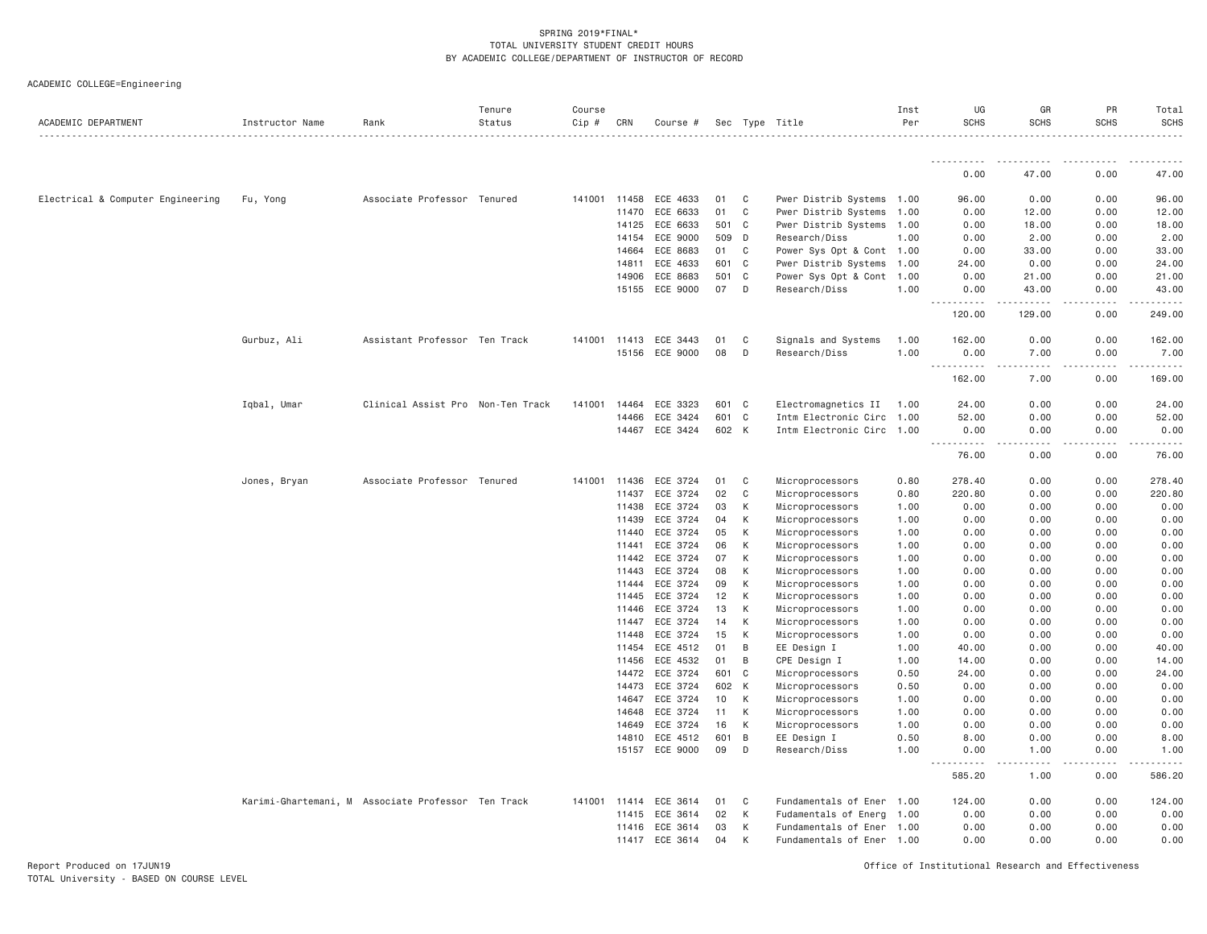| ACADEMIC DEPARTMENT               | Instructor Name | Rank                                               | Tenure<br>Status | Course<br>Cip # | CRN            | Course #                   |           |                  | Sec Type Title                     | Inst<br>Per  | UG<br><b>SCHS</b>                                                                                                                                            | GR<br><b>SCHS</b> | PR<br><b>SCHS</b>                   | Total<br><b>SCHS</b>                       |
|-----------------------------------|-----------------|----------------------------------------------------|------------------|-----------------|----------------|----------------------------|-----------|------------------|------------------------------------|--------------|--------------------------------------------------------------------------------------------------------------------------------------------------------------|-------------------|-------------------------------------|--------------------------------------------|
|                                   |                 |                                                    |                  |                 |                |                            |           |                  |                                    |              |                                                                                                                                                              |                   |                                     |                                            |
|                                   |                 |                                                    |                  |                 |                |                            |           |                  |                                    |              | 0.00                                                                                                                                                         | 47.00             | 0.00                                | 47.00                                      |
| Electrical & Computer Engineering | Fu, Yong        | Associate Professor Tenured                        |                  | 141001          | 11458          | ECE 4633                   | 01        | C                | Pwer Distrib Systems 1.00          |              | 96.00                                                                                                                                                        | 0.00              | 0.00                                | 96.00                                      |
|                                   |                 |                                                    |                  |                 | 11470          | ECE 6633                   | 01        | C                | Pwer Distrib Systems 1.00          |              | 0.00                                                                                                                                                         | 12.00             | 0.00                                | 12.00                                      |
|                                   |                 |                                                    |                  |                 | 14125          | ECE 6633                   | 501 C     |                  | Pwer Distrib Systems 1.00          |              | 0.00                                                                                                                                                         | 18.00             | 0.00                                | 18.00                                      |
|                                   |                 |                                                    |                  |                 | 14154          | ECE 9000                   | 509       | D                | Research/Diss                      | 1.00         | 0.00                                                                                                                                                         | 2.00              | 0.00                                | 2.00                                       |
|                                   |                 |                                                    |                  |                 | 14664          | ECE 8683                   | 01        | $\mathsf{C}$     | Power Sys Opt & Cont 1.00          |              | 0.00                                                                                                                                                         | 33.00             | 0.00                                | 33.00                                      |
|                                   |                 |                                                    |                  |                 | 14811          | ECE 4633                   | 601       | $\mathbf C$      | Pwer Distrib Systems               | 1.00         | 24.00                                                                                                                                                        | 0.00              | 0.00                                | 24.00                                      |
|                                   |                 |                                                    |                  |                 | 14906          | ECE 8683                   | 501       | $\mathbf C$      | Power Sys Opt & Cont               | 1.00         | 0.00                                                                                                                                                         | 21.00             | 0.00                                | 21.00                                      |
|                                   |                 |                                                    |                  |                 | 15155          | ECE 9000                   | 07        | D                | Research/Diss                      | 1.00         | 0.00<br>$\omega \sim \omega$<br><b>.</b>                                                                                                                     | 43.00             | 0.00<br>$\sim$ $\sim$ $\sim$        | 43.00<br>.                                 |
|                                   |                 |                                                    |                  |                 |                |                            |           |                  |                                    |              | 120.00                                                                                                                                                       | 129.00            | 0.00                                | 249.00                                     |
|                                   | Gurbuz, Ali     | Assistant Professor Ten Track                      |                  | 141001          | 11413          | ECE 3443                   | 01        | C                | Signals and Systems                | 1.00         | 162.00                                                                                                                                                       | 0.00              | 0.00                                | 162.00                                     |
|                                   |                 |                                                    |                  |                 |                | 15156 ECE 9000             | 08        | D                | Research/Diss                      | 1.00         | 0.00<br><u>.</u>                                                                                                                                             | 7.00<br>.         | 0.00<br>.                           | 7.00<br>.                                  |
|                                   |                 |                                                    |                  |                 |                |                            |           |                  |                                    |              | 162.00                                                                                                                                                       | 7.00              | 0.00                                | 169.00                                     |
|                                   | Iqbal, Umar     | Clinical Assist Pro Non-Ten Track                  |                  | 141001          | 14464          | ECE 3323                   | 601       | C                | Electromagnetics II                | 1.00         | 24.00                                                                                                                                                        | 0.00              | 0.00                                | 24.00                                      |
|                                   |                 |                                                    |                  |                 | 14466          | ECE 3424                   | 601       | C                | Intm Electronic Circ 1.00          |              | 52.00                                                                                                                                                        | 0.00              | 0.00                                | 52.00                                      |
|                                   |                 |                                                    |                  |                 |                | 14467 ECE 3424             | 602 K     |                  | Intm Electronic Circ 1.00          |              | 0.00<br>$\frac{1}{2} \left( \frac{1}{2} \right) \left( \frac{1}{2} \right) \left( \frac{1}{2} \right) \left( \frac{1}{2} \right) \left( \frac{1}{2} \right)$ | 0.00<br>.         | 0.00<br>$\sim$ $\sim$ $\sim$ $\sim$ | 0.00<br>$\sim$ $\sim$ $\sim$ $\sim$ $\sim$ |
|                                   |                 |                                                    |                  |                 |                |                            |           |                  |                                    |              | 76.00                                                                                                                                                        | 0.00              | 0.00                                | 76.00                                      |
|                                   | Jones, Bryan    | Associate Professor Tenured                        |                  | 141001          | 11436          | ECE 3724                   | 01        | C                | Microprocessors                    | 0.80         | 278.40                                                                                                                                                       | 0.00              | 0.00                                | 278.40                                     |
|                                   |                 |                                                    |                  |                 | 11437          | ECE 3724                   | 02        | $\mathbf C$      | Microprocessors                    | 0.80         | 220.80                                                                                                                                                       | 0.00              | 0.00                                | 220.80                                     |
|                                   |                 |                                                    |                  |                 | 11438          | ECE 3724                   | 03        | К                | Microprocessors                    | 1.00         | 0.00                                                                                                                                                         | 0.00              | 0.00                                | 0.00                                       |
|                                   |                 |                                                    |                  |                 | 11439          | ECE 3724                   | 04        | К                | Microprocessors                    | 1.00         | 0.00                                                                                                                                                         | 0.00              | 0.00                                | 0.00                                       |
|                                   |                 |                                                    |                  |                 | 11440          | ECE 3724                   | 05        | К                | Microprocessors                    | 1.00         | 0.00                                                                                                                                                         | 0.00              | 0.00                                | 0.00                                       |
|                                   |                 |                                                    |                  |                 | 11441          | ECE 3724                   | 06        | К                | Microprocessors                    | 1.00         | 0.00                                                                                                                                                         | 0.00              | 0.00                                | 0.00                                       |
|                                   |                 |                                                    |                  |                 | 11442          | ECE 3724                   | 07        | K                | Microprocessors                    | 1.00         | 0.00                                                                                                                                                         | 0.00              | 0.00                                | 0.00                                       |
|                                   |                 |                                                    |                  |                 | 11443          | ECE 3724                   | 08        | К                | Microprocessors                    | 1.00         | 0.00                                                                                                                                                         | 0.00              | 0.00                                | 0.00                                       |
|                                   |                 |                                                    |                  |                 | 11444          | ECE 3724                   | 09        | K                | Microprocessors                    | 1.00         | 0.00                                                                                                                                                         | 0.00              | 0.00                                | 0.00                                       |
|                                   |                 |                                                    |                  |                 | 11445          | ECE 3724                   | 12        | К                | Microprocessors                    | 1.00         | 0.00                                                                                                                                                         | 0.00              | 0.00                                | 0.00                                       |
|                                   |                 |                                                    |                  |                 | 11446          | ECE 3724                   | 13        | К                | Microprocessors                    | 1.00         | 0.00                                                                                                                                                         | 0.00              | 0.00                                | 0.00                                       |
|                                   |                 |                                                    |                  |                 | 11447          | ECE 3724                   | 14        | К                | Microprocessors                    | 1.00         | 0.00                                                                                                                                                         | 0.00              | 0.00                                | 0.00                                       |
|                                   |                 |                                                    |                  |                 | 11448          | ECE 3724                   | 15        | К                | Microprocessors                    | 1.00         | 0.00                                                                                                                                                         | 0.00              | 0.00                                | 0.00                                       |
|                                   |                 |                                                    |                  |                 | 11454          | ECE 4512                   | 01        | $\,$ B           | EE Design I                        | 1.00         | 40.00                                                                                                                                                        | 0.00              | 0.00                                | 40.00                                      |
|                                   |                 |                                                    |                  |                 | 11456          | ECE 4532                   | 01        | $\,$ B           | CPE Design I                       | 1.00         | 14.00                                                                                                                                                        | 0.00              | 0.00                                | 14.00                                      |
|                                   |                 |                                                    |                  |                 | 14472          | ECE 3724                   | 601       | $\mathbf C$<br>K | Microprocessors                    | 0.50         | 24.00                                                                                                                                                        | 0.00              | 0.00                                | 24.00                                      |
|                                   |                 |                                                    |                  |                 | 14473<br>14647 | ECE 3724<br>ECE 3724       | 602<br>10 | К                | Microprocessors<br>Microprocessors | 0.50         | 0.00<br>0.00                                                                                                                                                 | 0.00<br>0.00      | 0.00<br>0.00                        | 0.00<br>0.00                               |
|                                   |                 |                                                    |                  |                 |                |                            |           |                  |                                    | 1.00         |                                                                                                                                                              |                   |                                     |                                            |
|                                   |                 |                                                    |                  |                 | 14648          | ECE 3724                   | 11        | К<br>K           | Microprocessors                    | 1.00         | 0.00                                                                                                                                                         | 0.00              | 0.00                                | 0.00                                       |
|                                   |                 |                                                    |                  |                 | 14649          | ECE 3724                   | 16<br>601 | B                | Microprocessors                    | 1.00<br>0.50 | 0.00<br>8.00                                                                                                                                                 | 0.00<br>0.00      | 0.00<br>0.00                        | 0.00<br>8.00                               |
|                                   |                 |                                                    |                  |                 | 14810          | ECE 4512<br>15157 ECE 9000 | 09        | D                | EE Design I<br>Research/Diss       | 1.00         | 0.00                                                                                                                                                         | 1.00              | 0.00                                | 1.00                                       |
|                                   |                 |                                                    |                  |                 |                |                            |           |                  |                                    |              | $\frac{1}{2} \left( \frac{1}{2} \right) \left( \frac{1}{2} \right) \left( \frac{1}{2} \right) \left( \frac{1}{2} \right)$<br>$  -$                           | د د د د           | .                                   | .                                          |
|                                   |                 |                                                    |                  |                 |                |                            |           |                  |                                    |              | 585.20                                                                                                                                                       | 1.00              | 0.00                                | 586.20                                     |
|                                   |                 | Karimi-Ghartemani, M Associate Professor Ten Track |                  | 141001          | 11414          | ECE 3614                   | 01        | C                | Fundamentals of Ener 1.00          |              | 124.00                                                                                                                                                       | 0.00              | 0.00                                | 124.00                                     |
|                                   |                 |                                                    |                  |                 | 11415          | ECE 3614                   | 02        | К                | Fudamentals of Energ 1.00          |              | 0.00                                                                                                                                                         | 0.00              | 0.00                                | 0.00                                       |
|                                   |                 |                                                    |                  |                 | 11416          | ECE 3614                   | 03        | К                | Fundamentals of Ener 1.00          |              | 0.00                                                                                                                                                         | 0.00              | 0.00                                | 0.00                                       |
|                                   |                 |                                                    |                  |                 |                | 11417 ECE 3614             | 04        | К                | Fundamentals of Ener 1.00          |              | 0.00                                                                                                                                                         | 0.00              | 0.00                                | 0.00                                       |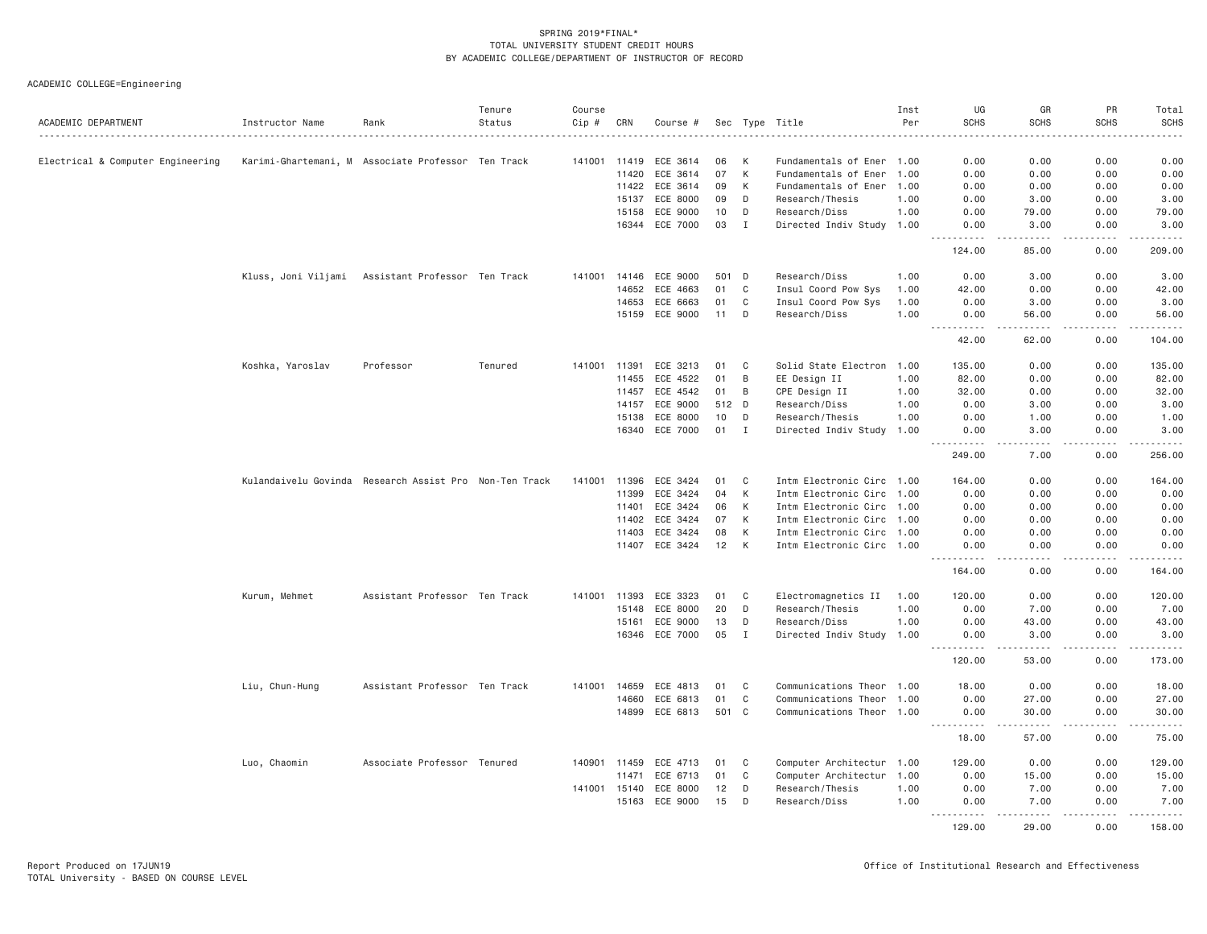| ACADEMIC DEPARTMENT               | Instructor Name  | Rank                                                   | Tenure<br>Status | Course<br>Cip # | CRN   | Course # |       |             | Sec Type Title            | Inst<br>Per | UG<br><b>SCHS</b>                           | GR<br><b>SCHS</b>                                                                                                                 | PR<br><b>SCHS</b>            | Total<br><b>SCHS</b>  |
|-----------------------------------|------------------|--------------------------------------------------------|------------------|-----------------|-------|----------|-------|-------------|---------------------------|-------------|---------------------------------------------|-----------------------------------------------------------------------------------------------------------------------------------|------------------------------|-----------------------|
|                                   |                  |                                                        |                  |                 |       |          |       |             |                           |             |                                             |                                                                                                                                   |                              | .                     |
| Electrical & Computer Engineering |                  | Karimi-Ghartemani, M Associate Professor Ten Track     |                  | 141001 11419    |       | ECE 3614 | 06    | K           | Fundamentals of Ener 1.00 |             | 0.00                                        | 0.00                                                                                                                              | 0.00                         | 0.00                  |
|                                   |                  |                                                        |                  |                 | 11420 | ECE 3614 | 07    | К           | Fundamentals of Ener 1.00 |             | 0.00                                        | 0.00                                                                                                                              | 0.00                         | 0.00                  |
|                                   |                  |                                                        |                  |                 | 11422 | ECE 3614 | 09    | К           | Fundamentals of Ener 1.00 |             | 0.00                                        | 0.00                                                                                                                              | 0.00                         | 0.00                  |
|                                   |                  |                                                        |                  |                 | 15137 | ECE 8000 | 09    | D           | Research/Thesis           | 1.00        | 0.00                                        | 3.00                                                                                                                              | 0.00                         | 3.00                  |
|                                   |                  |                                                        |                  |                 | 15158 | ECE 9000 | 10    | D           | Research/Diss             | 1.00        | 0.00                                        | 79.00                                                                                                                             | 0.00                         | 79.00                 |
|                                   |                  |                                                        |                  |                 | 16344 | ECE 7000 | 03    | I           | Directed Indiv Study 1.00 |             | 0.00                                        | 3.00                                                                                                                              | 0.00                         | 3.00                  |
|                                   |                  |                                                        |                  |                 |       |          |       |             |                           |             | 124.00                                      | د د د د<br>85.00                                                                                                                  | $\sim$ $\sim$ $\sim$<br>0.00 | $- - - - -$<br>209.00 |
|                                   |                  | Kluss, Joni Viljami Assistant Professor Ten Track      |                  | 141001          | 14146 | ECE 9000 | 501 D |             | Research/Diss             | 1.00        | 0.00                                        | 3.00                                                                                                                              | 0.00                         | 3.00                  |
|                                   |                  |                                                        |                  |                 | 14652 | ECE 4663 | 01    | C           | Insul Coord Pow Sys       | 1.00        | 42.00                                       | 0.00                                                                                                                              | 0.00                         | 42.00                 |
|                                   |                  |                                                        |                  |                 | 14653 | ECE 6663 | 01    | $\mathbb C$ | Insul Coord Pow Sys       | 1.00        | 0.00                                        | 3.00                                                                                                                              | 0.00                         | 3.00                  |
|                                   |                  |                                                        |                  |                 | 15159 |          | 11    | D           | Research/Diss             | 1.00        |                                             |                                                                                                                                   | 0.00                         | 56.00                 |
|                                   |                  |                                                        |                  |                 |       | ECE 9000 |       |             |                           |             | 0.00<br><u>.</u>                            | 56.00<br>.                                                                                                                        | .                            | .                     |
|                                   |                  |                                                        |                  |                 |       |          |       |             |                           |             | 42.00                                       | 62.00                                                                                                                             | 0.00                         | 104.00                |
|                                   | Koshka, Yaroslav | Professor                                              | Tenured          | 141001 11391    |       | ECE 3213 | 01    | C           | Solid State Electron 1.00 |             | 135.00                                      | 0.00                                                                                                                              | 0.00                         | 135.00                |
|                                   |                  |                                                        |                  |                 | 11455 | ECE 4522 | 01    | B           | EE Design II              | 1.00        | 82.00                                       | 0.00                                                                                                                              | 0.00                         | 82.00                 |
|                                   |                  |                                                        |                  |                 | 11457 | ECE 4542 | 01    | B           | CPE Design II             | 1.00        | 32.00                                       | 0.00                                                                                                                              | 0.00                         | 32.00                 |
|                                   |                  |                                                        |                  |                 | 14157 | ECE 9000 | 512 D |             | Research/Diss             | 1.00        | 0.00                                        | 3.00                                                                                                                              | 0.00                         | 3.00                  |
|                                   |                  |                                                        |                  |                 | 15138 | ECE 8000 | 10    | D           | Research/Thesis           | 1.00        | 0.00                                        | 1.00                                                                                                                              | 0.00                         | 1.00                  |
|                                   |                  |                                                        |                  |                 | 16340 | ECE 7000 | 01    | Ι.          | Directed Indiv Study 1.00 |             | 0.00                                        | 3.00                                                                                                                              | 0.00                         | 3.00                  |
|                                   |                  |                                                        |                  |                 |       |          |       |             |                           |             | .                                           | $   -$                                                                                                                            | .                            | .                     |
|                                   |                  |                                                        |                  |                 |       |          |       |             |                           |             | 249.00                                      | 7.00                                                                                                                              | 0.00                         | 256.00                |
|                                   |                  | Kulandaivelu Govinda Research Assist Pro Non-Ten Track |                  | 141001          | 11396 | ECE 3424 | 01    | C           | Intm Electronic Circ 1.00 |             | 164.00                                      | 0.00                                                                                                                              | 0.00                         | 164.00                |
|                                   |                  |                                                        |                  |                 | 11399 | ECE 3424 | 04    | К           | Intm Electronic Circ 1.00 |             | 0.00                                        | 0.00                                                                                                                              | 0.00                         | 0.00                  |
|                                   |                  |                                                        |                  |                 | 11401 | ECE 3424 | 06    | K           | Intm Electronic Circ 1.00 |             | 0.00                                        | 0.00                                                                                                                              | 0.00                         | 0.00                  |
|                                   |                  |                                                        |                  |                 | 11402 | ECE 3424 | 07    | K           | Intm Electronic Circ 1.00 |             | 0.00                                        | 0.00                                                                                                                              | 0.00                         | 0.00                  |
|                                   |                  |                                                        |                  |                 | 11403 | ECE 3424 | 08    | К           | Intm Electronic Circ 1.00 |             | 0.00                                        | 0.00                                                                                                                              | 0.00                         | 0.00                  |
|                                   |                  |                                                        |                  |                 | 11407 | ECE 3424 | 12    | К           | Intm Electronic Circ 1.00 |             | 0.00                                        | 0.00                                                                                                                              | 0.00                         | 0.00                  |
|                                   |                  |                                                        |                  |                 |       |          |       |             |                           |             | .<br>164.00                                 | $\frac{1}{2} \left( \frac{1}{2} \right) \left( \frac{1}{2} \right) \left( \frac{1}{2} \right) \left( \frac{1}{2} \right)$<br>0.00 | .<br>0.00                    | .<br>164.00           |
|                                   | Kurum, Mehmet    | Assistant Professor Ten Track                          |                  | 141001          | 11393 | ECE 3323 | 01    | C           | Electromagnetics II       | 1.00        | 120.00                                      | 0.00                                                                                                                              | 0.00                         | 120.00                |
|                                   |                  |                                                        |                  |                 | 15148 | ECE 8000 | 20    | D           | Research/Thesis           | 1.00        | 0.00                                        | 7.00                                                                                                                              | 0.00                         | 7.00                  |
|                                   |                  |                                                        |                  |                 | 15161 | ECE 9000 | 13    | D           | Research/Diss             | 1.00        | 0.00                                        | 43.00                                                                                                                             | 0.00                         | 43.00                 |
|                                   |                  |                                                        |                  |                 | 16346 | ECE 7000 | 05    | $\mathbf I$ | Directed Indiv Study 1.00 |             | 0.00                                        | 3.00                                                                                                                              | 0.00                         | 3.00                  |
|                                   |                  |                                                        |                  |                 |       |          |       |             |                           |             | $- - - - - - -$<br>120.00                   | .<br>53.00                                                                                                                        | .<br>0.00                    | .<br>173.00           |
|                                   |                  |                                                        |                  |                 |       |          |       |             |                           |             |                                             |                                                                                                                                   |                              |                       |
|                                   | Liu, Chun-Hung   | Assistant Professor Ten Track                          |                  | 141001          | 14659 | ECE 4813 | 01    | C           | Communications Theor 1.00 |             | 18.00                                       | 0.00                                                                                                                              | 0.00                         | 18.00                 |
|                                   |                  |                                                        |                  |                 | 14660 | ECE 6813 | 01    | $\mathbb C$ | Communications Theor 1.00 |             | 0.00                                        | 27.00                                                                                                                             | 0.00                         | 27.00                 |
|                                   |                  |                                                        |                  |                 | 14899 | ECE 6813 | 501 C |             | Communications Theor 1.00 |             | 0.00<br>2.2.2.2.2.2<br>$\sim$ $\sim$ $\sim$ | 30.00<br>.                                                                                                                        | 0.00<br>.                    | 30.00<br>.            |
|                                   |                  |                                                        |                  |                 |       |          |       |             |                           |             | 18.00                                       | 57.00                                                                                                                             | 0.00                         | 75.00                 |
|                                   | Luo, Chaomin     | Associate Professor Tenured                            |                  | 140901          | 11459 | ECE 4713 | 01    | C           | Computer Architectur 1.00 |             | 129.00                                      | 0.00                                                                                                                              | 0.00                         | 129.00                |
|                                   |                  |                                                        |                  |                 | 11471 | ECE 6713 | 01    | C           | Computer Architectur 1.00 |             | 0.00                                        | 15.00                                                                                                                             | 0.00                         | 15.00                 |
|                                   |                  |                                                        |                  | 141001 15140    |       | ECE 8000 | 12    | D           | Research/Thesis           | 1.00        | 0.00                                        | 7.00                                                                                                                              | 0.00                         | 7.00                  |
|                                   |                  |                                                        |                  |                 | 15163 | ECE 9000 | 15    | D           | Research/Diss             | 1.00        | 0.00<br><u>.</u>                            | 7.00<br>.                                                                                                                         | 0.00<br>د د د د              | 7.00<br>$    -$       |
|                                   |                  |                                                        |                  |                 |       |          |       |             |                           |             | 129,00                                      | 29,00                                                                                                                             | 0.00                         | 158.00                |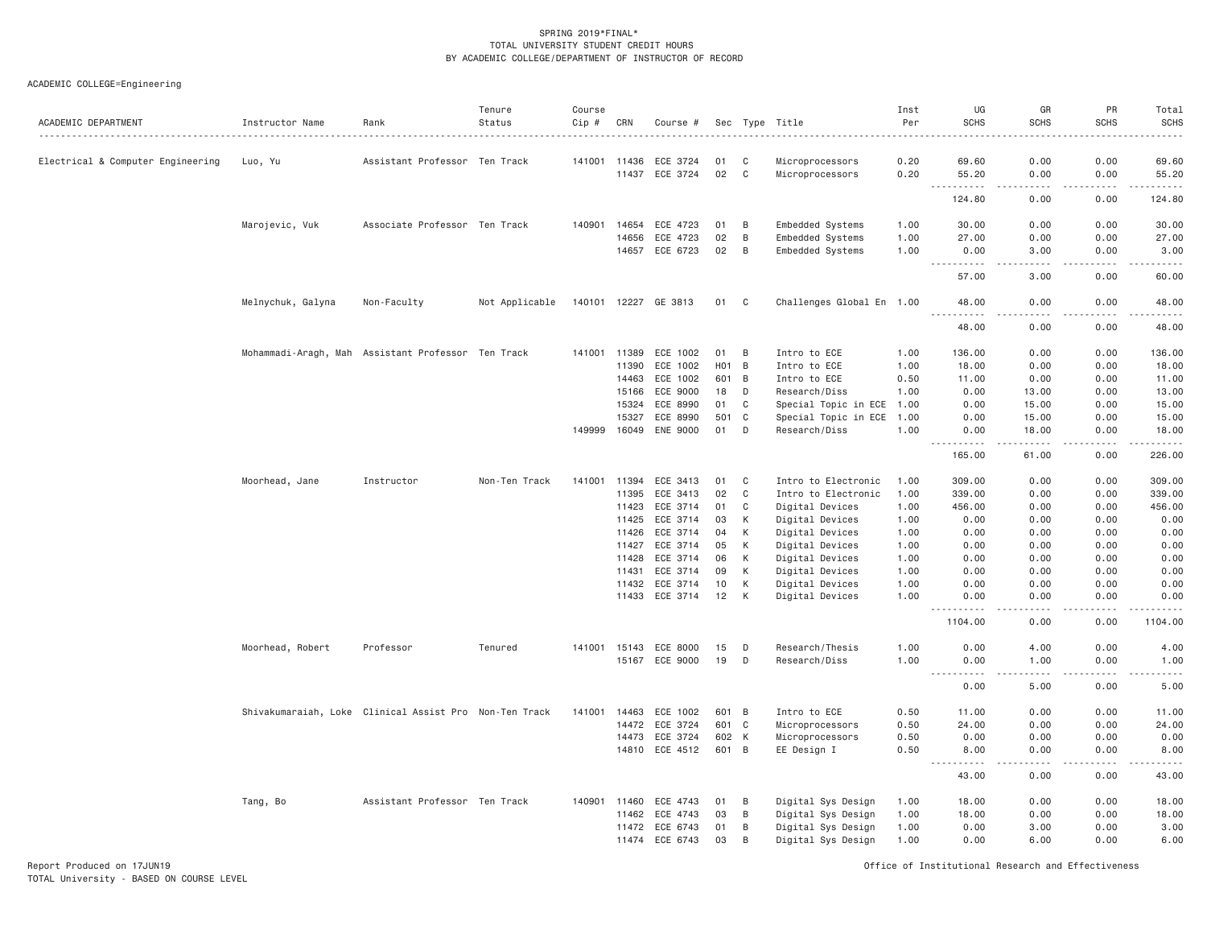| ACADEMIC DEPARTMENT               | Instructor Name   | Rank                                                   | Tenure<br>Status | Course<br>Cip # | CRN            | Course #             |                 |             | Sec Type Title                         | Inst<br>Per  | UG<br><b>SCHS</b>                                                                                                                                                                                    | GR<br><b>SCHS</b>                                                                                                                                             | PR<br><b>SCHS</b> | Total<br><b>SCHS</b><br>$\frac{1}{2}$                                                                                                                          |
|-----------------------------------|-------------------|--------------------------------------------------------|------------------|-----------------|----------------|----------------------|-----------------|-------------|----------------------------------------|--------------|------------------------------------------------------------------------------------------------------------------------------------------------------------------------------------------------------|---------------------------------------------------------------------------------------------------------------------------------------------------------------|-------------------|----------------------------------------------------------------------------------------------------------------------------------------------------------------|
| Electrical & Computer Engineering | Luo, Yu           | Assistant Professor Ten Track                          |                  |                 | 141001 11436   | ECE 3724             | 01              | C           | Microprocessors                        | 0.20         | 69.60                                                                                                                                                                                                | 0.00                                                                                                                                                          | 0.00              | 69.60                                                                                                                                                          |
|                                   |                   |                                                        |                  |                 | 11437          | ECE 3724             | 02              | $\mathbf C$ | Microprocessors                        | 0.20         | 55.20                                                                                                                                                                                                | 0.00                                                                                                                                                          | 0.00              | 55.20                                                                                                                                                          |
|                                   |                   |                                                        |                  |                 |                |                      |                 |             |                                        |              | $\sim$ $\sim$ .<br>.<br>124.80                                                                                                                                                                       | $\sim$ $\sim$ $\sim$ $\sim$<br>0.00                                                                                                                           | بالمحام<br>0.00   | .<br>124.80                                                                                                                                                    |
|                                   | Marojevic, Vuk    | Associate Professor Ten Track                          |                  | 140901          | 14654          | ECE 4723             | 01              | B           | Embedded Systems                       | 1.00         | 30,00                                                                                                                                                                                                | 0.00                                                                                                                                                          | 0.00              | 30.00                                                                                                                                                          |
|                                   |                   |                                                        |                  |                 | 14656          | ECE 4723             | 02              | B           | Embedded Systems                       | 1.00         | 27.00                                                                                                                                                                                                | 0.00                                                                                                                                                          | 0.00              | 27.00                                                                                                                                                          |
|                                   |                   |                                                        |                  |                 |                | 14657 ECE 6723       | 02              | B           | Embedded Systems                       | 1.00         | 0.00                                                                                                                                                                                                 | 3.00                                                                                                                                                          | 0.00              | 3.00                                                                                                                                                           |
|                                   |                   |                                                        |                  |                 |                |                      |                 |             |                                        |              | .<br>$\sim$ $\sim$ $\sim$<br>57.00                                                                                                                                                                   | .<br>3.00                                                                                                                                                     | .<br>0.00         | .<br>60.00                                                                                                                                                     |
|                                   | Melnychuk, Galyna | Non-Faculty                                            | Not Applicable   |                 |                | 140101 12227 GE 3813 | 01              | C           | Challenges Global En 1.00              |              | 48.00                                                                                                                                                                                                | 0.00                                                                                                                                                          | 0.00              | 48.00                                                                                                                                                          |
|                                   |                   |                                                        |                  |                 |                |                      |                 |             |                                        |              | 48.00                                                                                                                                                                                                | 0.00                                                                                                                                                          | 0.00              | 48.00                                                                                                                                                          |
|                                   |                   | Mohammadi-Aragh, Mah Assistant Professor Ten Track     |                  |                 | 141001 11389   | ECE 1002             | 01              | B           | Intro to ECE                           | 1.00         | 136.00                                                                                                                                                                                               | 0.00                                                                                                                                                          | 0.00              | 136.00                                                                                                                                                         |
|                                   |                   |                                                        |                  |                 | 11390          | ECE 1002             | HO <sub>1</sub> | B           | Intro to ECE                           | 1.00         | 18.00                                                                                                                                                                                                | 0.00                                                                                                                                                          | 0.00              | 18.00                                                                                                                                                          |
|                                   |                   |                                                        |                  |                 | 14463          | ECE 1002             | 601             | B           | Intro to ECE                           | 0.50         | 11.00                                                                                                                                                                                                | 0.00                                                                                                                                                          | 0.00              | 11.00                                                                                                                                                          |
|                                   |                   |                                                        |                  |                 | 15166          | ECE 9000             | 18              | D           | Research/Diss                          | 1.00         | 0.00                                                                                                                                                                                                 | 13.00                                                                                                                                                         | 0.00              | 13.00                                                                                                                                                          |
|                                   |                   |                                                        |                  |                 | 15324          | ECE 8990             | 01              | C           | Special Topic in ECE                   | 1.00         | 0.00                                                                                                                                                                                                 | 15.00                                                                                                                                                         | 0.00              | 15.00                                                                                                                                                          |
|                                   |                   |                                                        |                  |                 | 15327          | ECE 8990             | 501             | C           | Special Topic in ECE                   | 1.00         | 0.00                                                                                                                                                                                                 | 15.00                                                                                                                                                         | 0.00              | 15.00                                                                                                                                                          |
|                                   |                   |                                                        |                  | 149999          |                | 16049 ENE 9000       | 01              | D           | Research/Diss                          | 1.00         | 0.00                                                                                                                                                                                                 | 18.00                                                                                                                                                         | 0.00              | 18.00                                                                                                                                                          |
|                                   |                   |                                                        |                  |                 |                |                      |                 |             |                                        |              | $- - -$<br>$\frac{1}{2} \left( \frac{1}{2} \right) \left( \frac{1}{2} \right) \left( \frac{1}{2} \right) \left( \frac{1}{2} \right) \left( \frac{1}{2} \right) \left( \frac{1}{2} \right)$<br>165.00 | $\frac{1}{2} \left( \frac{1}{2} \right) \left( \frac{1}{2} \right) \left( \frac{1}{2} \right) \left( \frac{1}{2} \right) \left( \frac{1}{2} \right)$<br>61.00 | <u>.</u><br>0.00  | $\frac{1}{2} \left( \frac{1}{2} \right) \left( \frac{1}{2} \right) \left( \frac{1}{2} \right) \left( \frac{1}{2} \right) \left( \frac{1}{2} \right)$<br>226.00 |
|                                   |                   |                                                        |                  |                 | 11394          | ECE 3413             |                 | C           | Intro to Electronic                    |              | 309.00                                                                                                                                                                                               |                                                                                                                                                               | 0.00              | 309.00                                                                                                                                                         |
|                                   | Moorhead, Jane    | Instructor                                             | Non-Ten Track    | 141001          |                |                      | 01<br>02        | C           |                                        | 1.00         |                                                                                                                                                                                                      | 0.00                                                                                                                                                          | 0.00              | 339.00                                                                                                                                                         |
|                                   |                   |                                                        |                  |                 | 11395<br>11423 | ECE 3413<br>ECE 3714 | 01              | C           | Intro to Electronic<br>Digital Devices | 1.00<br>1.00 | 339.00<br>456.00                                                                                                                                                                                     | 0.00<br>0.00                                                                                                                                                  | 0.00              | 456.00                                                                                                                                                         |
|                                   |                   |                                                        |                  |                 | 11425          | ECE 3714             | 03              | K           | Digital Devices                        | 1.00         | 0.00                                                                                                                                                                                                 | 0.00                                                                                                                                                          | 0.00              | 0.00                                                                                                                                                           |
|                                   |                   |                                                        |                  |                 | 11426          | ECE 3714             | 04              | K           | Digital Devices                        | 1.00         | 0.00                                                                                                                                                                                                 | 0.00                                                                                                                                                          | 0.00              | 0.00                                                                                                                                                           |
|                                   |                   |                                                        |                  |                 | 11427          | ECE 3714             | 05              | K           | Digital Devices                        | 1.00         | 0.00                                                                                                                                                                                                 | 0.00                                                                                                                                                          | 0.00              | 0.00                                                                                                                                                           |
|                                   |                   |                                                        |                  |                 | 11428          | ECE 3714             | 06              | К           | Digital Devices                        | 1.00         | 0.00                                                                                                                                                                                                 | 0.00                                                                                                                                                          | 0.00              | 0.00                                                                                                                                                           |
|                                   |                   |                                                        |                  |                 | 11431          | ECE 3714             | 09              | К           | Digital Devices                        | 1.00         | 0.00                                                                                                                                                                                                 | 0.00                                                                                                                                                          | 0.00              | 0.00                                                                                                                                                           |
|                                   |                   |                                                        |                  |                 | 11432          | ECE 3714             | 10              | К           | Digital Devices                        | 1.00         | 0.00                                                                                                                                                                                                 | 0.00                                                                                                                                                          | 0.00              | 0.00                                                                                                                                                           |
|                                   |                   |                                                        |                  |                 | 11433          | ECE 3714             | 12              | К           | Digital Devices                        | 1.00         | 0.00                                                                                                                                                                                                 | 0.00                                                                                                                                                          | 0.00              | 0.00                                                                                                                                                           |
|                                   |                   |                                                        |                  |                 |                |                      |                 |             |                                        |              | .<br>1104.00                                                                                                                                                                                         | $\sim$ $\sim$ $\sim$ $\sim$<br>0.00                                                                                                                           | .<br>0.00         | .<br>1104.00                                                                                                                                                   |
|                                   | Moorhead, Robert  | Professor                                              | Tenured          | 141001          | 15143          | ECE 8000             | 15              | D           | Research/Thesis                        | 1.00         | 0.00                                                                                                                                                                                                 | 4.00                                                                                                                                                          | 0.00              | 4.00                                                                                                                                                           |
|                                   |                   |                                                        |                  |                 | 15167          | ECE 9000             | 19              | D           | Research/Diss                          | 1.00         | 0.00                                                                                                                                                                                                 | 1.00                                                                                                                                                          | 0.00              | 1.00                                                                                                                                                           |
|                                   |                   |                                                        |                  |                 |                |                      |                 |             |                                        |              | .<br>0.00                                                                                                                                                                                            | $- - -$<br>5.00                                                                                                                                               | 0.00              | $\frac{1}{2}$<br>5.00                                                                                                                                          |
|                                   |                   |                                                        |                  |                 |                |                      |                 |             |                                        |              |                                                                                                                                                                                                      |                                                                                                                                                               |                   |                                                                                                                                                                |
|                                   |                   | Shivakumaraiah, Loke Clinical Assist Pro Non-Ten Track |                  | 141001          | 14463          | ECE 1002             | 601 B           |             | Intro to ECE                           | 0.50         | 11.00                                                                                                                                                                                                | 0.00                                                                                                                                                          | 0.00              | 11.00                                                                                                                                                          |
|                                   |                   |                                                        |                  |                 | 14472          | ECE 3724             | 601 C           |             | Microprocessors                        | 0.50         | 24.00                                                                                                                                                                                                | 0.00                                                                                                                                                          | 0.00              | 24.00                                                                                                                                                          |
|                                   |                   |                                                        |                  |                 | 14473          | ECE 3724             | 602 K           |             | Microprocessors                        | 0.50         | 0.00                                                                                                                                                                                                 | 0.00                                                                                                                                                          | 0.00              | 0.00                                                                                                                                                           |
|                                   |                   |                                                        |                  |                 |                | 14810 ECE 4512       | 601 B           |             | EE Design I                            | 0.50         | 8.00<br>$- - -$<br>.                                                                                                                                                                                 | 0.00                                                                                                                                                          | 0.00              | 8.00<br>.                                                                                                                                                      |
|                                   |                   |                                                        |                  |                 |                |                      |                 |             |                                        |              | 43.00                                                                                                                                                                                                | 0.00                                                                                                                                                          | 0.00              | 43.00                                                                                                                                                          |
|                                   | Tang, Bo          | Assistant Professor Ten Track                          |                  | 140901          | 11460          | ECE 4743             | 01              | B           | Digital Sys Design                     | 1.00         | 18.00                                                                                                                                                                                                | 0.00                                                                                                                                                          | 0.00              | 18.00                                                                                                                                                          |
|                                   |                   |                                                        |                  |                 | 11462          | ECE 4743             | 03              | B           | Digital Sys Design                     | 1.00         | 18.00                                                                                                                                                                                                | 0.00                                                                                                                                                          | 0.00              | 18.00                                                                                                                                                          |
|                                   |                   |                                                        |                  |                 | 11472          | ECE 6743             | 01              | B           | Digital Sys Design                     | 1.00         | 0.00                                                                                                                                                                                                 | 3.00                                                                                                                                                          | 0.00              | 3.00                                                                                                                                                           |
|                                   |                   |                                                        |                  |                 | 11474          | ECE 6743             | 03              | B           | Digital Sys Design                     | 1.00         | 0.00                                                                                                                                                                                                 | 6.00                                                                                                                                                          | 0.00              | 6.00                                                                                                                                                           |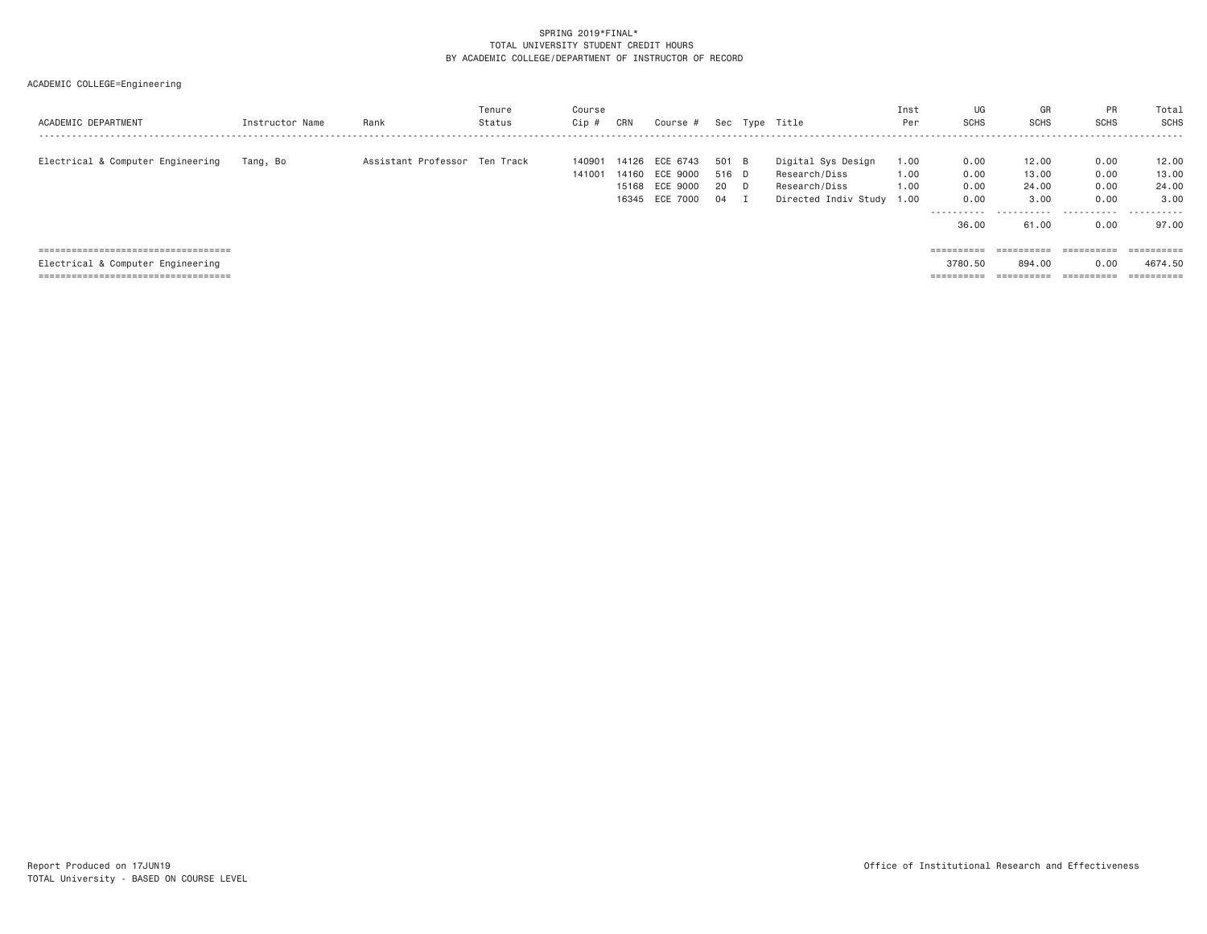| ACADEMIC DEPARTMENT                                                                                                  | Instructor Name | Rank                          | Tenure<br>Status | Course<br>Cip #  | CRN                     | Course #                         |                       |    | Sec Type Title                                       | Inst<br>Per          | UG<br><b>SCHS</b>     | GR<br><b>SCHS</b>       | PR<br><b>SCHS</b>                           | Total<br>SCHS                       |
|----------------------------------------------------------------------------------------------------------------------|-----------------|-------------------------------|------------------|------------------|-------------------------|----------------------------------|-----------------------|----|------------------------------------------------------|----------------------|-----------------------|-------------------------|---------------------------------------------|-------------------------------------|
| Electrical & Computer Engineering                                                                                    | Tang, Bo        | Assistant Professor Ten Track |                  | 140901<br>141001 | 14126<br>14160<br>15168 | ECE 6743<br>ECE 9000<br>ECE 9000 | 501 B<br>516 D<br>-20 | D. | Digital Sys Design<br>Research/Diss<br>Research/Diss | 1.00<br>1,00<br>1.00 | 0.00<br>0.00<br>0.00  | 12.00<br>13.00<br>24.00 | 0.00<br>0.00<br>0.00                        | 12.00<br>13.00<br>24.00             |
|                                                                                                                      |                 |                               |                  |                  |                         | 16345 ECE 7000                   | 04                    |    | Directed Indiv Study 1.00                            |                      | 0.00<br>.<br>36,00    | 3,00<br>61.00           | 0.00<br>0.00                                | 3.00<br>.<br>97.00                  |
| ======================================<br>Electrical & Computer Engineering<br>===================================== |                 |                               |                  |                  |                         |                                  |                       |    |                                                      |                      | ==========<br>3780.50 | 894.00<br>==========    | ==========<br>0.00<br>$=$ = = = = = = = = = | ==========<br>4674.50<br>========== |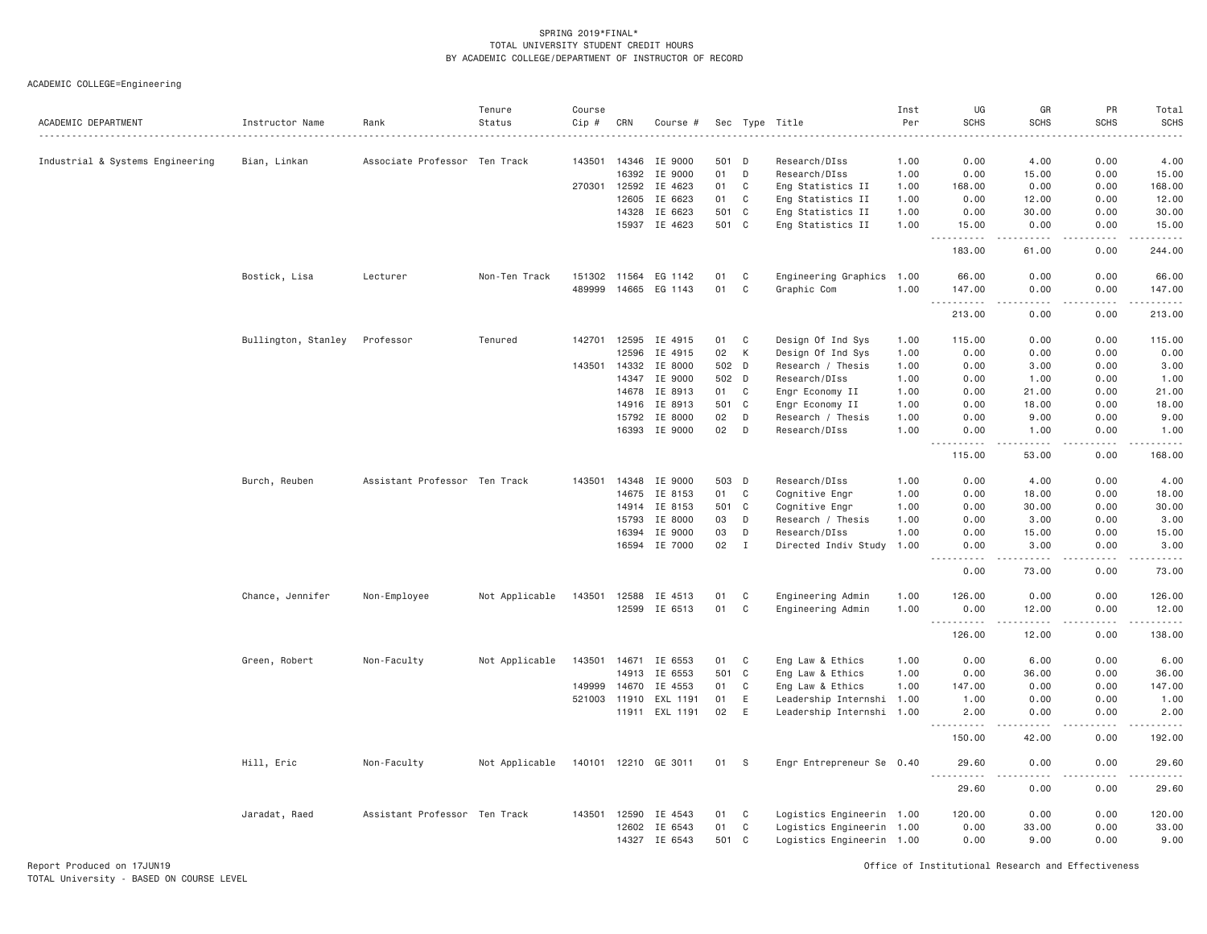| ACADEMIC DEPARTMENT              | Instructor Name<br>. | Rank                          | Tenure<br>Status | Course<br>Cip # | CRN            | Course #             |           |             | Sec Type Title                       | Inst<br>Per  | UG<br><b>SCHS</b>                      | GR<br><b>SCHS</b>     | PR<br><b>SCHS</b>                   | Total<br><b>SCHS</b><br>.                                                                                                                                      |
|----------------------------------|----------------------|-------------------------------|------------------|-----------------|----------------|----------------------|-----------|-------------|--------------------------------------|--------------|----------------------------------------|-----------------------|-------------------------------------|----------------------------------------------------------------------------------------------------------------------------------------------------------------|
| Industrial & Systems Engineering | Bian, Linkan         | Associate Professor Ten Track |                  | 143501          | 14346          | IE 9000              | 501 D     |             | Research/DIss                        | 1.00         | 0.00                                   | 4.00                  | 0.00                                | 4.00                                                                                                                                                           |
|                                  |                      |                               |                  |                 | 16392          | IE 9000              | 01        | D           | Research/DIss                        | 1.00         | 0.00                                   | 15.00                 | 0.00                                | 15.00                                                                                                                                                          |
|                                  |                      |                               |                  | 270301          | 12592          | IE 4623              | 01        | C           | Eng Statistics II                    | 1.00         | 168.00                                 | 0.00                  | 0.00                                | 168.00                                                                                                                                                         |
|                                  |                      |                               |                  |                 | 12605          | IE 6623              | 01        | C           | Eng Statistics II                    | 1.00         | 0.00                                   | 12.00                 | 0.00                                | 12.00                                                                                                                                                          |
|                                  |                      |                               |                  |                 | 14328          | IE 6623              | 501       | C           | Eng Statistics II                    | 1.00         | 0.00                                   | 30.00                 | 0.00                                | 30.00                                                                                                                                                          |
|                                  |                      |                               |                  |                 |                | 15937 IE 4623        | 501 C     |             | Eng Statistics II                    | 1.00         | 15.00<br>$\sim$ $\sim$ $\sim$<br>----- | 0.00<br>$- - - - -$   | 0.00<br>.                           | 15.00<br>.                                                                                                                                                     |
|                                  |                      |                               |                  |                 |                |                      |           |             |                                      |              | 183.00                                 | 61.00                 | 0.00                                | 244.00                                                                                                                                                         |
|                                  | Bostick, Lisa        | Lecturer                      | Non-Ten Track    | 151302 11564    |                | EG 1142              | 01        | C           | Engineering Graphics 1.00            |              | 66.00                                  | 0.00                  | 0.00                                | 66.00                                                                                                                                                          |
|                                  |                      |                               |                  | 489999          | 14665          | EG 1143              | 01        | $\mathbb C$ | Graphic Com                          | 1.00         | 147.00<br>.<br>$\sim$ $\sim$ $\sim$    | 0.00<br>.             | 0.00<br>د د د د                     | 147.00<br>.                                                                                                                                                    |
|                                  |                      |                               |                  |                 |                |                      |           |             |                                      |              | 213.00                                 | 0.00                  | 0.00                                | 213.00                                                                                                                                                         |
|                                  | Bullington, Stanley  | Professor                     | Tenured          | 142701          | 12595          | IE 4915              | 01        | C           | Design Of Ind Sys                    | 1.00         | 115.00                                 | 0.00                  | 0.00                                | 115.00                                                                                                                                                         |
|                                  |                      |                               |                  |                 | 12596          | IE 4915              | 02        | К           | Design Of Ind Sys                    | 1.00         | 0.00                                   | 0.00                  | 0.00                                | 0.00                                                                                                                                                           |
|                                  |                      |                               |                  | 143501          | 14332          | IE 8000              | 502 D     |             | Research / Thesis                    | 1.00         | 0.00                                   | 3.00                  | 0.00                                | 3.00                                                                                                                                                           |
|                                  |                      |                               |                  |                 | 14347          | IE 9000              | 502       | D           | Research/DIss                        | 1.00         | 0.00                                   | 1.00                  | 0.00                                | 1.00                                                                                                                                                           |
|                                  |                      |                               |                  |                 | 14678          | IE 8913              | 01        | $\mathbb C$ | Engr Economy II                      | 1.00         | 0.00                                   | 21.00                 | 0.00                                | 21.00                                                                                                                                                          |
|                                  |                      |                               |                  |                 | 14916<br>15792 | IE 8913<br>IE 8000   | 501<br>02 | C<br>D      | Engr Economy II<br>Research / Thesis | 1.00<br>1.00 | 0.00<br>0.00                           | 18.00<br>9.00         | 0.00<br>0.00                        | 18.00<br>9.00                                                                                                                                                  |
|                                  |                      |                               |                  |                 | 16393          | IE 9000              | 02        | D           | Research/DIss                        | 1.00         | 0.00                                   | 1.00                  | 0.00                                | 1,00                                                                                                                                                           |
|                                  |                      |                               |                  |                 |                |                      |           |             |                                      |              | 115.00                                 | 53.00                 | $\sim$ $\sim$ $\sim$ $\sim$<br>0.00 | $\frac{1}{2} \left( \frac{1}{2} \right) \left( \frac{1}{2} \right) \left( \frac{1}{2} \right) \left( \frac{1}{2} \right) \left( \frac{1}{2} \right)$<br>168.00 |
|                                  | Burch, Reuben        | Assistant Professor Ten Track |                  | 143501          | 14348          | IE 9000              | 503 D     |             | Research/DIss                        | 1.00         | 0.00                                   | 4.00                  | 0.00                                | 4.00                                                                                                                                                           |
|                                  |                      |                               |                  |                 | 14675          | IE 8153              | 01        | C           | Cognitive Engr                       | 1.00         | 0.00                                   | 18.00                 | 0.00                                | 18.00                                                                                                                                                          |
|                                  |                      |                               |                  |                 | 14914          | IE 8153              | 501       | C           | Cognitive Engr                       | 1.00         | 0.00                                   | 30.00                 | 0.00                                | 30.00                                                                                                                                                          |
|                                  |                      |                               |                  |                 | 15793          | IE 8000              | 03        | D           | Research / Thesis                    | 1.00         | 0.00                                   | 3.00                  | 0.00                                | 3.00                                                                                                                                                           |
|                                  |                      |                               |                  |                 | 16394          | IE 9000              | 03        | D           | Research/DIss                        | 1.00         | 0.00                                   | 15.00                 | 0.00                                | 15.00                                                                                                                                                          |
|                                  |                      |                               |                  |                 |                | 16594 IE 7000        | 02        | $\mathbf I$ | Directed Indiv Study                 | 1.00         | 0.00                                   | 3.00                  | 0.00<br>.                           | 3.00<br>.                                                                                                                                                      |
|                                  |                      |                               |                  |                 |                |                      |           |             |                                      |              | . <b>.</b><br>0.00                     | 73.00                 | 0.00                                | 73.00                                                                                                                                                          |
|                                  | Chance, Jennifer     | Non-Employee                  | Not Applicable   | 143501          |                | 12588 IE 4513        | 01        | C           | Engineering Admin                    | 1.00         | 126.00                                 | 0.00                  | 0.00                                | 126.00                                                                                                                                                         |
|                                  |                      |                               |                  |                 | 12599          | IE 6513              | 01        | C           | Engineering Admin                    | 1.00         | 0.00<br>د د د د                        | 12.00                 | 0.00<br>$\sim$ $\sim$ $\sim$        | 12.00<br>.                                                                                                                                                     |
|                                  |                      |                               |                  |                 |                |                      |           |             |                                      |              | 126.00                                 | 12.00                 | 0.00                                | 138.00                                                                                                                                                         |
|                                  | Green, Robert        | Non-Faculty                   | Not Applicable   | 143501          | 14671          | IE 6553              | 01        | C           | Eng Law & Ethics                     | 1.00         | 0.00                                   | 6.00                  | 0.00                                | 6.00                                                                                                                                                           |
|                                  |                      |                               |                  |                 | 14913          | IE 6553              | 501 C     |             | Eng Law & Ethics                     | 1.00         | 0.00                                   | 36.00                 | 0.00                                | 36.00                                                                                                                                                          |
|                                  |                      |                               |                  | 149999          | 14670          | IE 4553              | 01        | $\mathbb C$ | Eng Law & Ethics                     | 1.00         | 147.00                                 | 0.00                  | 0.00                                | 147.00                                                                                                                                                         |
|                                  |                      |                               |                  | 521003          | 11910          | EXL 1191             | 01        | $\mathsf E$ | Leadership Internshi                 | 1.00         | 1.00                                   | 0.00                  | 0.00                                | 1.00                                                                                                                                                           |
|                                  |                      |                               |                  |                 |                | 11911 EXL 1191       | 02        | E           | Leadership Internshi 1.00            |              | 2.00<br><u>.</u>                       | 0.00<br>$   -$        | 0.00<br>.                           | 2.00<br>.                                                                                                                                                      |
|                                  |                      |                               |                  |                 |                |                      |           |             |                                      |              | 150.00                                 | 42.00                 | 0.00                                | 192.00                                                                                                                                                         |
|                                  | Hill, Eric           | Non-Faculty                   | Not Applicable   |                 |                | 140101 12210 GE 3011 | 01        | -S          | Engr Entrepreneur Se 0.40            |              | 29.60<br><u>.</u>                      | 0.00<br>$\frac{1}{2}$ | 0.00<br>.                           | 29.60<br>.                                                                                                                                                     |
|                                  |                      |                               |                  |                 |                |                      |           |             |                                      |              | 29.60                                  | 0.00                  | 0.00                                | 29.60                                                                                                                                                          |
|                                  | Jaradat, Raed        | Assistant Professor Ten Track |                  | 143501          | 12590          | IE 4543              | 01        | C           | Logistics Engineerin 1.00            |              | 120.00                                 | 0.00                  | 0.00                                | 120.00                                                                                                                                                         |
|                                  |                      |                               |                  |                 | 12602          | IE 6543              | 01        | $\mathbb C$ | Logistics Engineerin 1.00            |              | 0.00                                   | 33.00                 | 0.00                                | 33.00                                                                                                                                                          |
|                                  |                      |                               |                  |                 | 14327          | IE 6543              | 501       | C           | Logistics Engineerin 1.00            |              | 0.00                                   | 9.00                  | 0.00                                | 9.00                                                                                                                                                           |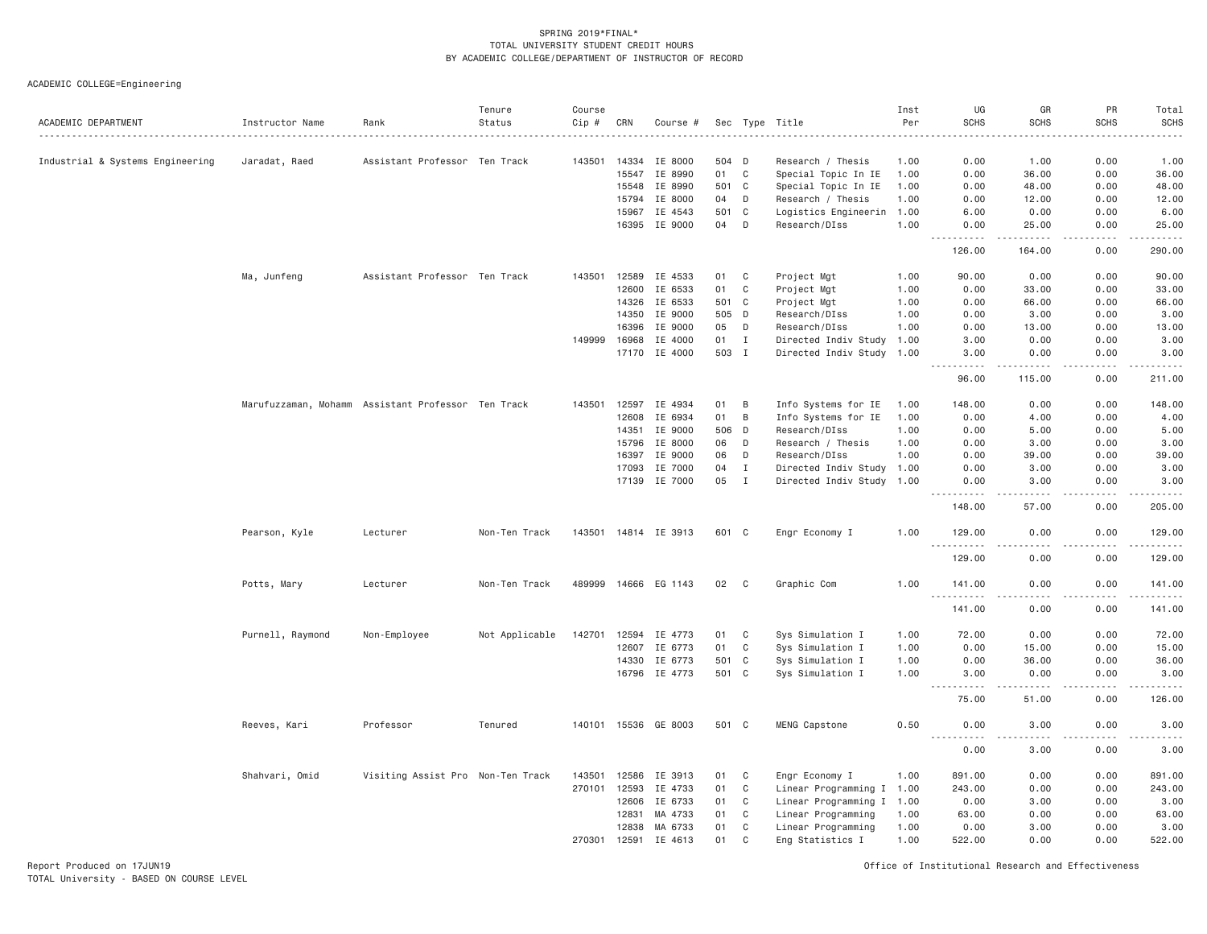ACADEMIC COLLEGE=Engineering

| ACADEMIC DEPARTMENT              | Instructor Name  | Rank                                               | Tenure<br>Status | Course<br>Cip # | CRN   | Course #             |     |              | Sec Type Title            | Inst<br>Per | UG<br><b>SCHS</b>                   | GR<br><b>SCHS</b>                                                                                                                 | PR<br><b>SCHS</b> | Total<br>SCHS<br>$\frac{1}{2}$ |
|----------------------------------|------------------|----------------------------------------------------|------------------|-----------------|-------|----------------------|-----|--------------|---------------------------|-------------|-------------------------------------|-----------------------------------------------------------------------------------------------------------------------------------|-------------------|--------------------------------|
| Industrial & Systems Engineering | Jaradat, Raed    | Assistant Professor Ten Track                      |                  | 143501          | 14334 | IE 8000              |     | 504 D        | Research / Thesis         | 1.00        | 0.00                                | 1.00                                                                                                                              | 0.00              | 1.00                           |
|                                  |                  |                                                    |                  |                 | 15547 | IE 8990              | 01  | C            | Special Topic In IE       | 1.00        | 0.00                                | 36.00                                                                                                                             | 0.00              | 36.00                          |
|                                  |                  |                                                    |                  |                 | 15548 | IE 8990              | 501 | $\mathbf{C}$ | Special Topic In IE       | 1.00        | 0.00                                | 48.00                                                                                                                             | 0.00              | 48.00                          |
|                                  |                  |                                                    |                  |                 | 15794 | IE 8000              | 04  | D            | Research / Thesis         | 1.00        | 0.00                                | 12.00                                                                                                                             | 0.00              | 12.00                          |
|                                  |                  |                                                    |                  |                 | 15967 | IE 4543              |     | 501 C        | Logistics Engineerin 1.00 |             | 6.00                                | 0.00                                                                                                                              | 0.00              | 6.00                           |
|                                  |                  |                                                    |                  |                 |       | 16395 IE 9000        | 04  | D            | Research/DIss             | 1.00        | 0.00                                | 25.00                                                                                                                             | 0.00<br>.         | 25.00<br>.                     |
|                                  |                  |                                                    |                  |                 |       |                      |     |              |                           |             | .<br>126.00                         | .<br>164.00                                                                                                                       | 0.00              | 290.00                         |
|                                  | Ma, Junfeng      | Assistant Professor Ten Track                      |                  | 143501          | 12589 | IE 4533              | 01  | C            | Project Mgt               | 1.00        | 90.00                               | 0.00                                                                                                                              | 0.00              | 90.00                          |
|                                  |                  |                                                    |                  |                 | 12600 | IE 6533              | 01  | C            | Project Mgt               | 1.00        | 0.00                                | 33.00                                                                                                                             | 0.00              | 33.00                          |
|                                  |                  |                                                    |                  |                 | 14326 | IE 6533              |     | 501 C        | Project Mgt               | 1.00        | 0.00                                | 66.00                                                                                                                             | 0.00              | 66.00                          |
|                                  |                  |                                                    |                  |                 | 14350 | IE 9000              |     | 505 D        | Research/DIss             | 1.00        | 0.00                                | 3.00                                                                                                                              | 0.00              | 3.00                           |
|                                  |                  |                                                    |                  |                 | 16396 | IE 9000              | 05  | D            | Research/DIss             | 1.00        | 0.00                                | 13.00                                                                                                                             | 0.00              | 13.00                          |
|                                  |                  |                                                    |                  | 149999          | 16968 | IE 4000              | 01  | $\mathbf{I}$ | Directed Indiv Study      | 1.00        | 3.00                                | 0.00                                                                                                                              | 0.00              | 3.00                           |
|                                  |                  |                                                    |                  |                 | 17170 | IE 4000              |     | 503 I        | Directed Indiv Study 1.00 |             | 3.00                                | 0.00                                                                                                                              | 0.00              | 3.00                           |
|                                  |                  |                                                    |                  |                 |       |                      |     |              |                           |             | 96.00                               | 115.00                                                                                                                            | 0.00              | 211.00                         |
|                                  |                  | Marufuzzaman, Mohamm Assistant Professor Ten Track |                  | 143501          | 12597 | IE 4934              | 01  | B            | Info Systems for IE       | 1.00        | 148.00                              | 0.00                                                                                                                              | 0.00              | 148.00                         |
|                                  |                  |                                                    |                  |                 | 12608 | IE 6934              | 01  | B            | Info Systems for IE       | 1.00        | 0.00                                | 4.00                                                                                                                              | 0.00              | 4.00                           |
|                                  |                  |                                                    |                  |                 | 14351 | IE 9000              | 506 | D            | Research/DIss             | 1.00        | 0.00                                | 5.00                                                                                                                              | 0.00              | 5.00                           |
|                                  |                  |                                                    |                  |                 | 15796 | IE 8000              | 06  | D            | Research / Thesis         | 1.00        | 0.00                                | 3.00                                                                                                                              | 0.00              | 3.00                           |
|                                  |                  |                                                    |                  |                 | 16397 | IE 9000              | 06  | D            | Research/DIss             | 1.00        | 0.00                                | 39.00                                                                                                                             | 0.00              | 39.00                          |
|                                  |                  |                                                    |                  |                 | 17093 | IE 7000              | 04  | Ι.           | Directed Indiv Study      | 1.00        | 0.00                                | 3.00                                                                                                                              | 0.00              | 3.00                           |
|                                  |                  |                                                    |                  |                 | 17139 | IE 7000              | 05  | $\mathbf I$  | Directed Indiv Study 1.00 |             | 0.00                                | 3.00                                                                                                                              | 0.00              | 3.00<br>.                      |
|                                  |                  |                                                    |                  |                 |       |                      |     |              |                           |             | 148.00                              | 57.00                                                                                                                             | 0.00              | 205.00                         |
|                                  | Pearson, Kyle    | Lecturer                                           | Non-Ten Track    |                 |       | 143501 14814 IE 3913 |     | 601 C        | Engr Economy I            | 1.00        | 129.00<br>$\sim$ $\sim$ $\sim$<br>. | 0.00<br>- - - -                                                                                                                   | 0.00<br>$- - - -$ | 129.00<br>$- - - - - - -$      |
|                                  |                  |                                                    |                  |                 |       |                      |     |              |                           |             | 129.00                              | 0.00                                                                                                                              | 0.00              | 129.00                         |
|                                  | Potts, Mary      | Lecturer                                           | Non-Ten Track    |                 |       | 489999 14666 EG 1143 | 02  | C            | Graphic Com               | 1.00        | 141.00                              | 0.00                                                                                                                              | 0.00              | 141.00                         |
|                                  |                  |                                                    |                  |                 |       |                      |     |              |                           |             | .<br>141.00                         | $\frac{1}{2} \left( \frac{1}{2} \right) \left( \frac{1}{2} \right) \left( \frac{1}{2} \right) \left( \frac{1}{2} \right)$<br>0.00 | .<br>0.00         | .<br>141.00                    |
|                                  | Purnell, Raymond | Non-Employee                                       | Not Applicable   | 142701          | 12594 | IE 4773              | 01  | C            | Sys Simulation I          | 1.00        | 72.00                               | 0.00                                                                                                                              | 0.00              | 72.00                          |
|                                  |                  |                                                    |                  |                 | 12607 | IE 6773              | 01  | $\mathbf C$  | Sys Simulation I          | 1.00        | 0.00                                | 15.00                                                                                                                             | 0.00              | 15.00                          |
|                                  |                  |                                                    |                  |                 | 14330 | IE 6773              |     | 501 C        | Sys Simulation I          | 1.00        | 0.00                                | 36.00                                                                                                                             | 0.00              | 36.00                          |
|                                  |                  |                                                    |                  |                 |       | 16796 IE 4773        |     | 501 C        | Sys Simulation I          | 1.00        | 3.00                                | 0.00                                                                                                                              | 0.00              | 3.00                           |
|                                  |                  |                                                    |                  |                 |       |                      |     |              |                           |             | $\sim$ $\sim$ .<br>.<br>75.00       | $- - - - -$<br>51.00                                                                                                              | .<br>0.00         | .<br>126.00                    |
|                                  | Reeves, Kari     | Professor                                          | Tenured          |                 |       | 140101 15536 GE 8003 |     | 501 C        | MENG Capstone             | 0.50        | 0.00                                | 3.00                                                                                                                              | 0.00              | 3.00                           |
|                                  |                  |                                                    |                  |                 |       |                      |     |              |                           |             | .<br>0.00                           | $\frac{1}{2}$<br>3.00                                                                                                             | .<br>0.00         | $\frac{1}{2}$<br>3.00          |
|                                  | Shahvari, Omid   | Visiting Assist Pro Non-Ten Track                  |                  | 143501          | 12586 | IE 3913              | 01  | C            | Engr Economy I            | 1.00        | 891.00                              | 0.00                                                                                                                              | 0.00              | 891.00                         |
|                                  |                  |                                                    |                  | 270101          | 12593 | IE 4733              | 01  | $\mathbb C$  | Linear Programming I 1.00 |             | 243.00                              | 0.00                                                                                                                              | 0.00              | 243.00                         |
|                                  |                  |                                                    |                  |                 | 12606 | IE 6733              | 01  | C            | Linear Programming I      | 1.00        | 0.00                                | 3.00                                                                                                                              | 0.00              | 3.00                           |
|                                  |                  |                                                    |                  |                 | 12831 | MA 4733              | 01  | $\mathbf C$  | Linear Programming        | 1.00        | 63.00                               | 0.00                                                                                                                              | 0.00              | 63.00                          |
|                                  |                  |                                                    |                  |                 | 12838 | MA 6733              | 01  | C            | Linear Programming        | 1.00        | 0.00                                | 3.00                                                                                                                              | 0.00              | 3.00                           |
|                                  |                  |                                                    |                  | 270301          | 12591 | IE 4613              | 01  | $\mathbf{C}$ | Eng Statistics I          | 1.00        | 522.00                              | 0.00                                                                                                                              | 0.00              | 522.00                         |

Report Produced on 17JUN19 Office of Institutional Research and Effectiveness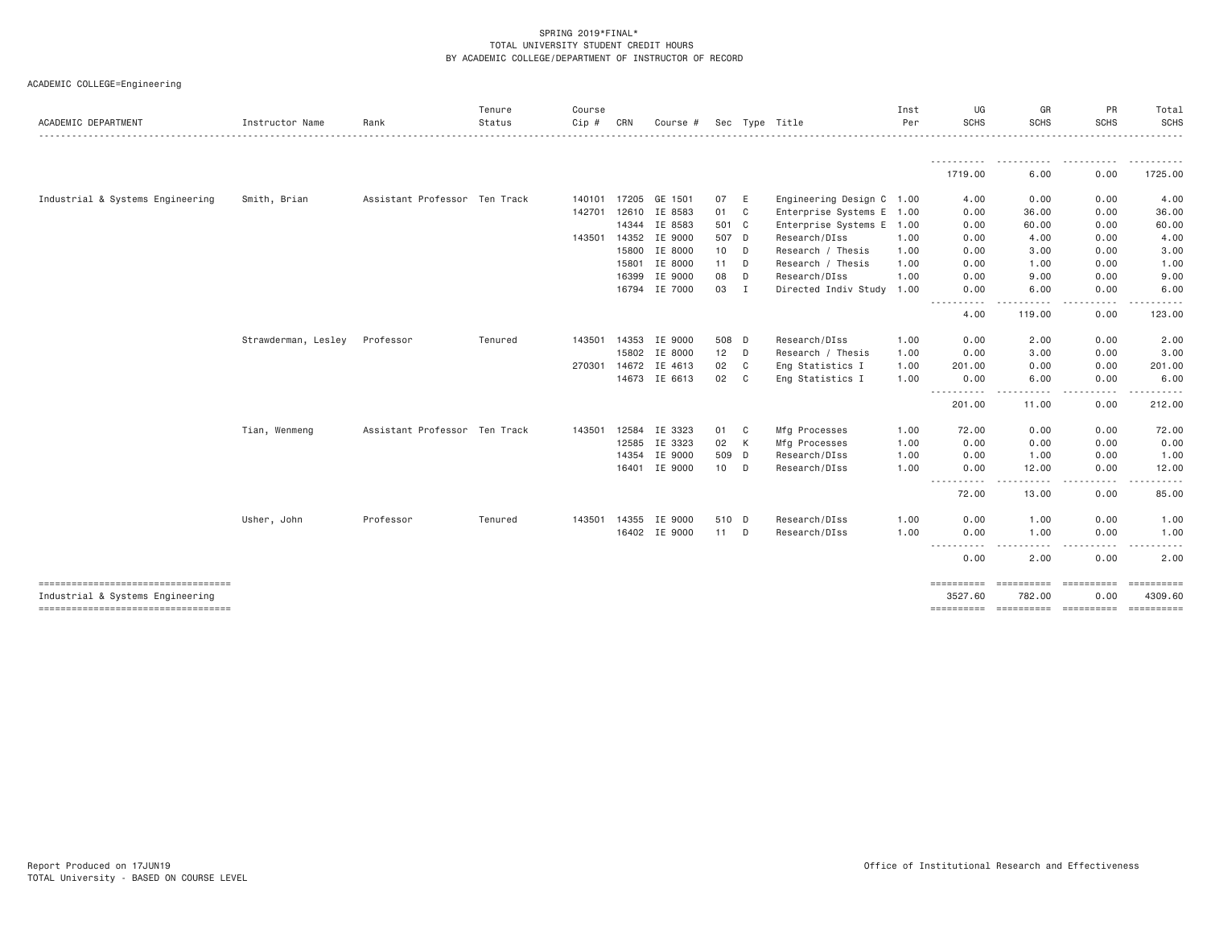| ACADEMIC DEPARTMENT                                                    | Instructor Name     | Rank                          | Tenure<br>Status | Course<br>Cip # | CRN          | Course #             |        |              | Sec Type Title            | Inst<br>Per | UG<br><b>SCHS</b>                                                                                                                   | GR<br>SCHS                     | PR<br><b>SCHS</b>  | Total<br>SCHS<br>.                 |
|------------------------------------------------------------------------|---------------------|-------------------------------|------------------|-----------------|--------------|----------------------|--------|--------------|---------------------------|-------------|-------------------------------------------------------------------------------------------------------------------------------------|--------------------------------|--------------------|------------------------------------|
|                                                                        |                     |                               |                  |                 |              |                      |        |              |                           |             | -----------                                                                                                                         | <b>.</b> .                     | .                  | .                                  |
|                                                                        |                     |                               |                  |                 |              |                      |        |              |                           |             | 1719.00                                                                                                                             | 6.00                           | 0.00               | 1725.00                            |
| Industrial & Systems Engineering                                       | Smith, Brian        | Assistant Professor Ten Track |                  |                 |              | 140101 17205 GE 1501 | 07     | E            | Engineering Design C 1.00 |             | 4.00                                                                                                                                | 0.00                           | 0.00               | 4.00                               |
|                                                                        |                     |                               |                  |                 |              | 142701 12610 IE 8583 | 01 C   |              | Enterprise Systems E 1.00 |             | 0.00                                                                                                                                | 36.00                          | 0.00               | 36.00                              |
|                                                                        |                     |                               |                  |                 |              | 14344 IE 8583        | 501 C  |              | Enterprise Systems E 1.00 |             | 0.00                                                                                                                                | 60.00                          | 0.00               | 60.00                              |
|                                                                        |                     |                               |                  | 143501 14352    |              | IE 9000              | 507 D  |              | Research/DIss             | 1.00        | 0.00                                                                                                                                | 4.00                           | 0.00               | 4.00                               |
|                                                                        |                     |                               |                  |                 | 15800        | IE 8000              | 10 D   |              | Research / Thesis         | 1.00        | 0.00                                                                                                                                | 3.00                           | 0.00               | 3.00                               |
|                                                                        |                     |                               |                  |                 | 15801        | IE 8000              | 11 D   |              | Research / Thesis         | 1.00        | 0.00                                                                                                                                | 1.00                           | 0.00               | 1.00                               |
|                                                                        |                     |                               |                  |                 | 16399        | IE 9000              | 08     | D            | Research/DIss             | 1.00        | 0.00                                                                                                                                | 9.00                           | 0.00               | 9.00                               |
|                                                                        |                     |                               |                  |                 |              | 16794 IE 7000        | 03     | $\mathbf{I}$ | Directed Indiv Study 1.00 |             | 0.00                                                                                                                                | 6.00                           | 0.00               | 6.00                               |
|                                                                        |                     |                               |                  |                 |              |                      |        |              |                           |             | $- - -$<br>$   -$<br>4.00                                                                                                           | 119.00                         | 0.00               | 123.00                             |
|                                                                        | Strawderman, Lesley | Professor                     | Tenured          | 143501          | 14353        | IE 9000              | 508 D  |              | Research/DIss             | 1.00        | 0.00                                                                                                                                | 2.00                           | 0.00               | 2.00                               |
|                                                                        |                     |                               |                  |                 |              | 15802 IE 8000        | $12$ D |              | Research / Thesis         | 1.00        | 0.00                                                                                                                                | 3.00                           | 0.00               | 3.00                               |
|                                                                        |                     |                               |                  | 270301          | 14672        | IE 4613              | 02 C   |              | Eng Statistics I          | 1.00        | 201.00                                                                                                                              | 0.00                           | 0.00               | 201.00                             |
|                                                                        |                     |                               |                  |                 |              | 14673 IE 6613        | 02 C   |              | Eng Statistics I          | 1.00        | 0.00                                                                                                                                | 6.00                           | 0.00               | 6.00                               |
|                                                                        |                     |                               |                  |                 |              |                      |        |              |                           |             | $\frac{1}{2} \left( \frac{1}{2} \right) \left( \frac{1}{2} \right) \left( \frac{1}{2} \right) \left( \frac{1}{2} \right)$<br>201.00 | 11.00                          | .<br>0.00          | 212.00                             |
|                                                                        | Tian, Wenmeng       | Assistant Professor Ten Track |                  |                 | 143501 12584 | IE 3323              | 01 C   |              | Mfg Processes             | 1.00        | 72.00                                                                                                                               | 0.00                           | 0.00               | 72.00                              |
|                                                                        |                     |                               |                  |                 | 12585        | IE 3323              | 02 K   |              | Mfg Processes             | 1.00        | 0.00                                                                                                                                | 0.00                           | 0.00               | 0.00                               |
|                                                                        |                     |                               |                  |                 | 14354        | IE 9000              | 509 D  |              | Research/DIss             | 1.00        | 0.00                                                                                                                                | 1.00                           | 0.00               | 1.00                               |
|                                                                        |                     |                               |                  |                 |              | 16401 IE 9000        | 10 D   |              | Research/DIss             | 1.00        | 0.00                                                                                                                                | 12.00                          | 0.00               | 12.00                              |
|                                                                        |                     |                               |                  |                 |              |                      |        |              |                           |             | ----------<br>72.00                                                                                                                 | $- - -$<br>. <b>.</b><br>13.00 | 0.00               | .<br>85.00                         |
|                                                                        | Usher, John         | Professor                     | Tenured          |                 | 143501 14355 | IE 9000              | 510 D  |              | Research/DIss             | 1.00        | 0.00                                                                                                                                | 1.00                           | 0.00               | 1.00                               |
|                                                                        |                     |                               |                  |                 |              | 16402 IE 9000        | 11 D   |              | Research/DIss             | 1.00        | 0.00                                                                                                                                | 1.00                           | 0.00               | 1.00                               |
|                                                                        |                     |                               |                  |                 |              |                      |        |              |                           |             | ----                                                                                                                                |                                |                    |                                    |
|                                                                        |                     |                               |                  |                 |              |                      |        |              |                           |             | 0.00                                                                                                                                | 2.00                           | 0.00               | 2.00                               |
| ----------------------------------<br>Industrial & Systems Engineering |                     |                               |                  |                 |              |                      |        |              |                           |             | ==========<br>3527.60                                                                                                               | ==========<br>782.00           | ==========<br>0.00 | $=$ = = = = = = = = = =<br>4309.60 |
| ----------------------------------                                     |                     |                               |                  |                 |              |                      |        |              |                           |             | ---------- ---------- ---------                                                                                                     |                                |                    | ==========                         |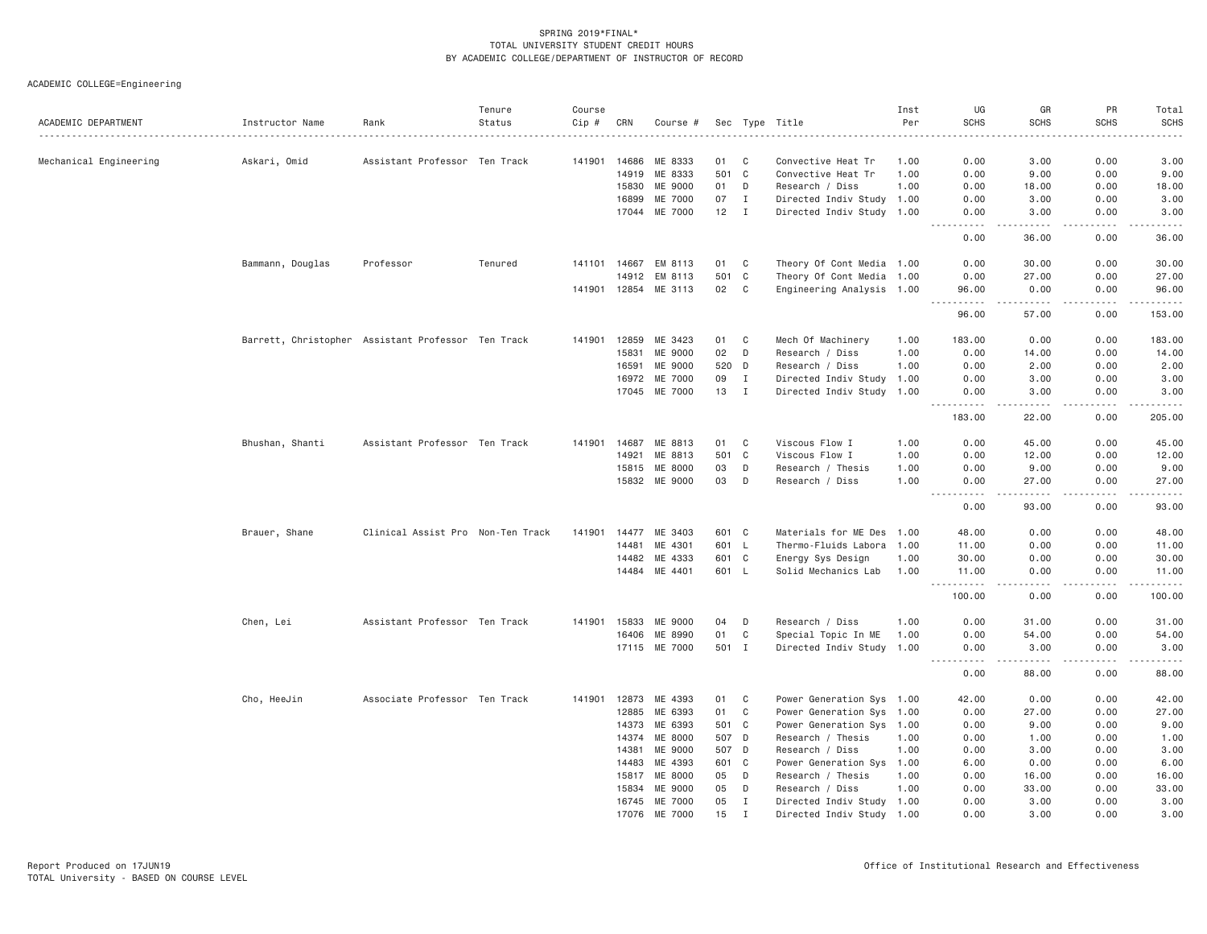| ACADEMIC DEPARTMENT    | Instructor Name  | Rank                                               | Tenure<br>Status | Course<br>Cip # | CRN   | Course #      |       |                | Sec Type Title            | Inst<br>Per | UG<br><b>SCHS</b>                                                                                                                                            | GR<br><b>SCHS</b> | PR<br><b>SCHS</b>            | Total<br><b>SCHS</b>                                                                                                                                          |
|------------------------|------------------|----------------------------------------------------|------------------|-----------------|-------|---------------|-------|----------------|---------------------------|-------------|--------------------------------------------------------------------------------------------------------------------------------------------------------------|-------------------|------------------------------|---------------------------------------------------------------------------------------------------------------------------------------------------------------|
|                        |                  |                                                    |                  |                 |       |               |       |                |                           |             |                                                                                                                                                              |                   |                              | .                                                                                                                                                             |
| Mechanical Engineering | Askari, Omid     | Assistant Professor Ten Track                      |                  | 141901          | 14686 | ME 8333       | 01 C  |                | Convective Heat Tr        | 1.00        | 0.00                                                                                                                                                         | 3.00              | 0.00                         | 3.00                                                                                                                                                          |
|                        |                  |                                                    |                  |                 | 14919 | ME 8333       | 501 C |                | Convective Heat Tr        | 1.00        | 0.00                                                                                                                                                         | 9.00              | 0.00                         | 9.00                                                                                                                                                          |
|                        |                  |                                                    |                  |                 | 15830 | ME 9000       | 01    | D              | Research / Diss           | 1.00        | 0.00                                                                                                                                                         | 18.00             | 0.00                         | 18.00                                                                                                                                                         |
|                        |                  |                                                    |                  |                 | 16899 | ME 7000       | 07    | $\mathbf{I}$   | Directed Indiv Study      | 1.00        | 0.00                                                                                                                                                         | 3.00              | 0.00                         | 3.00                                                                                                                                                          |
|                        |                  |                                                    |                  |                 | 17044 | ME 7000       | 12    | $\mathbf{I}$   | Directed Indiv Study 1.00 |             | 0.00<br>$\frac{1}{2} \left( \frac{1}{2} \right) \left( \frac{1}{2} \right) \left( \frac{1}{2} \right) \left( \frac{1}{2} \right) \left( \frac{1}{2} \right)$ | 3.00<br>-----     | 0.00<br>.                    | 3.00<br>$\sim$ $\sim$ $\sim$ $\sim$ $\sim$                                                                                                                    |
|                        |                  |                                                    |                  |                 |       |               |       |                |                           |             | 0.00                                                                                                                                                         | 36.00             | 0.00                         | 36.00                                                                                                                                                         |
|                        | Bammann, Douglas | Professor                                          | Tenured          | 141101          | 14667 | EM 8113       | 01    | C              | Theory Of Cont Media 1.00 |             | 0.00                                                                                                                                                         | 30.00             | 0.00                         | 30.00                                                                                                                                                         |
|                        |                  |                                                    |                  |                 | 14912 | EM 8113       | 501 C |                | Theory Of Cont Media 1.00 |             | 0.00                                                                                                                                                         | 27.00             | 0.00                         | 27.00                                                                                                                                                         |
|                        |                  |                                                    |                  | 141901 12854    |       | ME 3113       | 02    | $\mathbf{C}$   | Engineering Analysis 1.00 |             | 96.00<br>.                                                                                                                                                   | 0.00<br>.         | 0.00<br>.                    | 96.00                                                                                                                                                         |
|                        |                  |                                                    |                  |                 |       |               |       |                |                           |             | 96.00                                                                                                                                                        | 57.00             | 0.00                         | 153.00                                                                                                                                                        |
|                        |                  | Barrett, Christopher Assistant Professor Ten Track |                  | 141901          | 12859 | ME 3423       | 01    | $\mathbf{C}$   | Mech Of Machinery         | 1.00        | 183.00                                                                                                                                                       | 0.00              | 0.00                         | 183.00                                                                                                                                                        |
|                        |                  |                                                    |                  |                 | 15831 | ME 9000       | 02    | $\mathsf{D}$   | Research / Diss           | 1.00        | 0.00                                                                                                                                                         | 14.00             | 0.00                         | 14.00                                                                                                                                                         |
|                        |                  |                                                    |                  |                 | 16591 | ME 9000       | 520 D |                | Research / Diss           | 1.00        | 0.00                                                                                                                                                         | 2.00              | 0.00                         | 2.00                                                                                                                                                          |
|                        |                  |                                                    |                  |                 |       | 16972 ME 7000 | 09    | Ι.             | Directed Indiv Study      | 1.00        | 0.00                                                                                                                                                         | 3.00              | 0.00                         | 3.00                                                                                                                                                          |
|                        |                  |                                                    |                  |                 |       | 17045 ME 7000 | 13    | $\blacksquare$ | Directed Indiv Study 1.00 |             | 0.00<br>$\frac{1}{2} \left( \frac{1}{2} \right) \left( \frac{1}{2} \right) \left( \frac{1}{2} \right) \left( \frac{1}{2} \right) \left( \frac{1}{2} \right)$ | 3.00<br>.         | 0.00<br>$\sim$ $\sim$ $\sim$ | 3.00<br>.                                                                                                                                                     |
|                        |                  |                                                    |                  |                 |       |               |       |                |                           |             | 183.00                                                                                                                                                       | 22.00             | 0.00                         | 205.00                                                                                                                                                        |
|                        | Bhushan, Shanti  | Assistant Professor Ten Track                      |                  | 141901          |       | 14687 ME 8813 | 01    | $\mathbf{C}$   | Viscous Flow I            | 1.00        | 0.00                                                                                                                                                         | 45.00             | 0.00                         | 45.00                                                                                                                                                         |
|                        |                  |                                                    |                  |                 | 14921 | ME 8813       | 501 C |                | Viscous Flow I            | 1.00        | 0.00                                                                                                                                                         | 12.00             | 0.00                         | 12.00                                                                                                                                                         |
|                        |                  |                                                    |                  |                 | 15815 | ME 8000       | 03    | D              | Research / Thesis         | 1.00        | 0.00                                                                                                                                                         | 9.00              | 0.00                         | 9.00                                                                                                                                                          |
|                        |                  |                                                    |                  |                 |       | 15832 ME 9000 | 03    | D              | Research / Diss           | 1.00        | 0.00                                                                                                                                                         | 27.00             | 0.00                         | 27.00                                                                                                                                                         |
|                        |                  |                                                    |                  |                 |       |               |       |                |                           |             | 0.00                                                                                                                                                         | .<br>93.00        | .<br>0.00                    | .<br>93.00                                                                                                                                                    |
|                        | Brauer, Shane    | Clinical Assist Pro Non-Ten Track                  |                  | 141901          | 14477 | ME 3403       | 601 C |                | Materials for ME Des 1.00 |             | 48.00                                                                                                                                                        | 0.00              | 0.00                         | 48.00                                                                                                                                                         |
|                        |                  |                                                    |                  |                 | 14481 | ME 4301       | 601 L |                | Thermo-Fluids Labora 1.00 |             | 11.00                                                                                                                                                        | 0.00              | 0.00                         | 11.00                                                                                                                                                         |
|                        |                  |                                                    |                  |                 | 14482 | ME 4333       | 601 C |                | Energy Sys Design         | 1.00        | 30.00                                                                                                                                                        | 0.00              | 0.00                         | 30.00                                                                                                                                                         |
|                        |                  |                                                    |                  |                 |       | 14484 ME 4401 | 601 L |                | Solid Mechanics Lab       | 1.00        | 11.00                                                                                                                                                        | 0.00              | 0.00                         | 11.00                                                                                                                                                         |
|                        |                  |                                                    |                  |                 |       |               |       |                |                           |             | .<br>100.00                                                                                                                                                  | $   -$<br>0.00    | .<br>0.00                    | .<br>100.00                                                                                                                                                   |
|                        | Chen, Lei        | Assistant Professor Ten Track                      |                  | 141901          | 15833 | ME 9000       | 04    | D              | Research / Diss           | 1.00        | 0.00                                                                                                                                                         | 31.00             | 0.00                         | 31.00                                                                                                                                                         |
|                        |                  |                                                    |                  |                 | 16406 | ME 8990       | 01    | C              | Special Topic In ME       | 1.00        | 0.00                                                                                                                                                         | 54.00             | 0.00                         | 54.00                                                                                                                                                         |
|                        |                  |                                                    |                  |                 |       | 17115 ME 7000 | 501 I |                | Directed Indiv Study 1.00 |             | 0.00                                                                                                                                                         | 3.00              | 0.00                         | 3.00                                                                                                                                                          |
|                        |                  |                                                    |                  |                 |       |               |       |                |                           |             | .<br>0.00                                                                                                                                                    | .<br>88.00        | .<br>0.00                    | $\frac{1}{2} \left( \frac{1}{2} \right) \left( \frac{1}{2} \right) \left( \frac{1}{2} \right) \left( \frac{1}{2} \right) \left( \frac{1}{2} \right)$<br>88.00 |
|                        | Cho, HeeJin      | Associate Professor Ten Track                      |                  | 141901          |       | 12873 ME 4393 | 01    | C              | Power Generation Sys 1.00 |             | 42.00                                                                                                                                                        | 0.00              | 0.00                         | 42.00                                                                                                                                                         |
|                        |                  |                                                    |                  |                 | 12885 | ME 6393       | 01    | $\mathbf{C}$   | Power Generation Sys 1.00 |             | 0.00                                                                                                                                                         | 27.00             | 0.00                         | 27.00                                                                                                                                                         |
|                        |                  |                                                    |                  |                 | 14373 | ME 6393       | 501 C |                | Power Generation Sys 1.00 |             | 0.00                                                                                                                                                         | 9.00              | 0.00                         | 9.00                                                                                                                                                          |
|                        |                  |                                                    |                  |                 | 14374 | ME 8000       | 507 D |                | Research / Thesis         | 1.00        | 0.00                                                                                                                                                         | 1.00              | 0.00                         | 1.00                                                                                                                                                          |
|                        |                  |                                                    |                  |                 | 14381 | ME 9000       | 507 D |                | Research / Diss           | 1.00        | 0.00                                                                                                                                                         | 3.00              | 0.00                         | 3.00                                                                                                                                                          |
|                        |                  |                                                    |                  |                 | 14483 | ME 4393       | 601 C |                | Power Generation Sys      | 1.00        | 6.00                                                                                                                                                         | 0.00              | 0.00                         | 6.00                                                                                                                                                          |
|                        |                  |                                                    |                  |                 | 15817 | ME 8000       | 05    | D              | Research / Thesis         | 1.00        | 0.00                                                                                                                                                         | 16.00             | 0.00                         | 16.00                                                                                                                                                         |
|                        |                  |                                                    |                  |                 | 15834 | ME 9000       | 05    | D              | Research / Diss           | 1.00        | 0.00                                                                                                                                                         | 33.00             | 0.00                         | 33.00                                                                                                                                                         |
|                        |                  |                                                    |                  |                 | 16745 | ME 7000       | 05    | Ι.             | Directed Indiv Study 1.00 |             | 0.00                                                                                                                                                         | 3.00              | 0.00                         | 3.00                                                                                                                                                          |
|                        |                  |                                                    |                  |                 | 17076 | ME 7000       | 15    | Ι.             | Directed Indiv Study 1.00 |             | 0.00                                                                                                                                                         | 3,00              | 0.00                         | 3,00                                                                                                                                                          |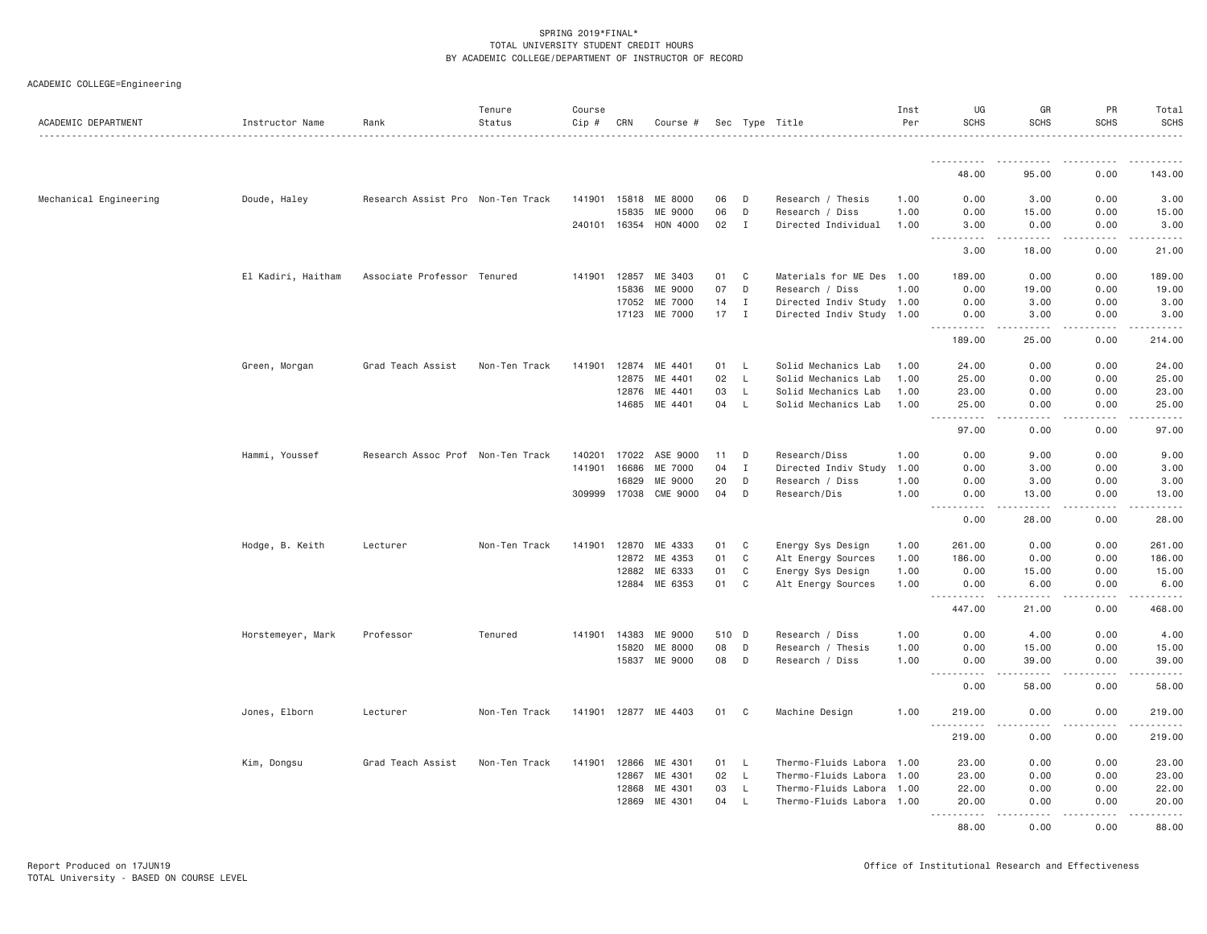| ACADEMIC DEPARTMENT    | Instructor Name    | Rank                              | Tenure<br>Status | Course<br>Cip # | CRN          | Course #              |       |              | Sec Type Title            | Inst<br>Per | UG<br><b>SCHS</b>                            | GR<br><b>SCHS</b> | PR<br><b>SCHS</b>   | Total<br><b>SCHS</b>                        |
|------------------------|--------------------|-----------------------------------|------------------|-----------------|--------------|-----------------------|-------|--------------|---------------------------|-------------|----------------------------------------------|-------------------|---------------------|---------------------------------------------|
|                        |                    |                                   |                  |                 |              |                       |       |              |                           |             |                                              | .                 |                     | . <u>.</u> .                                |
|                        |                    |                                   |                  |                 |              |                       |       |              |                           |             | 48.00                                        | 95.00             | 0.00                | 143.00                                      |
| Mechanical Engineering | Doude, Haley       | Research Assist Pro Non-Ten Track |                  |                 | 141901 15818 | ME 8000               | 06    | D            | Research / Thesis         | 1.00        | 0.00                                         | 3.00              | 0.00                | 3.00                                        |
|                        |                    |                                   |                  |                 | 15835        | ME 9000               | 06    | D            | Research / Diss           | 1.00        | 0.00                                         | 15.00             | 0.00                | 15.00                                       |
|                        |                    |                                   |                  |                 |              | 240101 16354 HON 4000 | 02    | I            | Directed Individual       | 1.00        | 3,00<br>$- - - - -$<br>.                     | 0.00<br>.         | 0.00<br>$- - - - -$ | 3,00<br>$- - - - - - -$                     |
|                        |                    |                                   |                  |                 |              |                       |       |              |                           |             | 3.00                                         | 18.00             | 0.00                | 21.00                                       |
|                        | El Kadiri, Haitham | Associate Professor Tenured       |                  |                 | 141901 12857 | ME 3403               | 01    | C            | Materials for ME Des 1.00 |             | 189.00                                       | 0.00              | 0.00                | 189.00                                      |
|                        |                    |                                   |                  |                 | 15836        | ME 9000               | 07    | D            | Research / Diss           | 1.00        | 0.00                                         | 19.00             | 0.00                | 19.00                                       |
|                        |                    |                                   |                  |                 | 17052        | ME 7000               | 14    | Ι.           | Directed Indiv Study 1.00 |             | 0.00                                         | 3.00              | 0.00                | 3.00                                        |
|                        |                    |                                   |                  |                 | 17123        | ME 7000               | 17    | $\mathbf{I}$ | Directed Indiv Study 1.00 |             | 0.00<br>.                                    | 3.00<br>.         | 0.00<br>.           | 3.00                                        |
|                        |                    |                                   |                  |                 |              |                       |       |              |                           |             | 189.00                                       | 25.00             | 0.00                | 214.00                                      |
|                        | Green, Morgan      | Grad Teach Assist                 | Non-Ten Track    | 141901          | 12874        | ME 4401               | 01    | L.           | Solid Mechanics Lab       | 1.00        | 24.00                                        | 0.00              | 0.00                | 24.00                                       |
|                        |                    |                                   |                  |                 | 12875        | ME 4401               | 02    | L            | Solid Mechanics Lab       | 1.00        | 25.00                                        | 0.00              | 0.00                | 25.00                                       |
|                        |                    |                                   |                  |                 | 12876        | ME 4401               | 03    | L.           | Solid Mechanics Lab       | 1.00        | 23.00                                        | 0.00              | 0.00                | 23.00                                       |
|                        |                    |                                   |                  |                 |              | 14685 ME 4401         | 04    | L.           | Solid Mechanics Lab       | 1.00        | 25.00<br>.<br>$- - - -$                      | 0.00<br>.         | 0.00<br>.           | 25.00<br>.                                  |
|                        |                    |                                   |                  |                 |              |                       |       |              |                           |             | 97.00                                        | 0.00              | 0.00                | 97.00                                       |
|                        | Hammi, Youssef     | Research Assoc Prof Non-Ten Track |                  | 140201          | 17022        | ASE 9000              | 11    | D            | Research/Diss             | 1.00        | 0.00                                         | 9.00              | 0.00                | 9.00                                        |
|                        |                    |                                   |                  | 141901          | 16686        | ME 7000               | 04    | Ι.           | Directed Indiv Study      | 1.00        | 0.00                                         | 3.00              | 0.00                | 3.00                                        |
|                        |                    |                                   |                  |                 | 16829        | ME 9000               | 20    | D            | Research / Diss           | 1.00        | 0.00                                         | 3.00              | 0.00                | 3.00                                        |
|                        |                    |                                   |                  |                 |              | 309999 17038 CME 9000 | 04    | D            | Research/Dis              | 1.00        | 0.00<br><u> - - - - - - - - - -</u>          | 13.00<br>-----    | 0.00<br>.           | 13.00<br>.                                  |
|                        |                    |                                   |                  |                 |              |                       |       |              |                           |             | 0.00                                         | 28.00             | 0.00                | 28.00                                       |
|                        | Hodge, B. Keith    | Lecturer                          | Non-Ten Track    | 141901          |              | 12870 ME 4333         | 01    | C            | Energy Sys Design         | 1.00        | 261.00                                       | 0.00              | 0.00                | 261.00                                      |
|                        |                    |                                   |                  |                 | 12872        | ME 4353               | 01    | C            | Alt Energy Sources        | 1.00        | 186.00                                       | 0.00              | 0.00                | 186.00                                      |
|                        |                    |                                   |                  |                 | 12882        | ME 6333               | 01    | C            | Energy Sys Design         | 1.00        | 0.00                                         | 15.00             | 0.00                | 15.00                                       |
|                        |                    |                                   |                  |                 | 12884        | ME 6353               | 01    | C            | Alt Energy Sources        | 1.00        | 0.00<br>. <b>.</b>                           | 6.00<br>.         | 0.00<br>.           | 6.00<br>$\omega$ is $\omega$ in $\omega$ in |
|                        |                    |                                   |                  |                 |              |                       |       |              |                           |             | 447.00                                       | 21.00             | 0.00                | 468.00                                      |
|                        | Horstemeyer, Mark  | Professor                         | Tenured          | 141901          | 14383        | ME 9000               | 510 D |              | Research / Diss           | 1.00        | 0.00                                         | 4.00              | 0.00                | 4.00                                        |
|                        |                    |                                   |                  |                 | 15820        | ME 8000               | 08    | D            | Research / Thesis         | 1.00        | 0.00                                         | 15.00             | 0.00                | 15.00                                       |
|                        |                    |                                   |                  |                 | 15837        | ME 9000               | 08    | D            | Research / Diss           | 1.00        | 0.00<br>-----<br>$\cdots$                    | 39.00<br>-----    | 0.00<br>-----       | 39.00<br>.                                  |
|                        |                    |                                   |                  |                 |              |                       |       |              |                           |             | 0.00                                         | 58.00             | 0.00                | 58.00                                       |
|                        | Jones, Elborn      | Lecturer                          | Non-Ten Track    |                 |              | 141901 12877 ME 4403  | 01 C  |              | Machine Design            | 1,00        | 219.00                                       | 0.00              | 0.00                | 219.00                                      |
|                        |                    |                                   |                  |                 |              |                       |       |              |                           |             | $- - - - - - -$<br>$\sim$ $\sim$ .<br>219.00 | .<br>0.00         | .<br>0.00           | .<br>219.00                                 |
|                        | Kim, Dongsu        | Grad Teach Assist                 | Non-Ten Track    | 141901          | 12866        | ME 4301               | 01    | L            | Thermo-Fluids Labora 1.00 |             | 23.00                                        | 0.00              | 0.00                | 23.00                                       |
|                        |                    |                                   |                  |                 | 12867        | ME 4301               | 02    | L            | Thermo-Fluids Labora 1.00 |             | 23.00                                        | 0.00              | 0.00                | 23.00                                       |
|                        |                    |                                   |                  |                 | 12868        | ME 4301               | 03    | $\mathsf{L}$ | Thermo-Fluids Labora 1.00 |             | 22.00                                        | 0.00              | 0.00                | 22.00                                       |
|                        |                    |                                   |                  |                 | 12869        | ME 4301               | 04    | L.           | Thermo-Fluids Labora 1.00 |             | 20.00<br>. <b>.</b>                          | 0.00<br>$   -$    | 0.00                | 20.00                                       |
|                        |                    |                                   |                  |                 |              |                       |       |              |                           |             | 88,00                                        | 0.00              | 0.00                | 88,00                                       |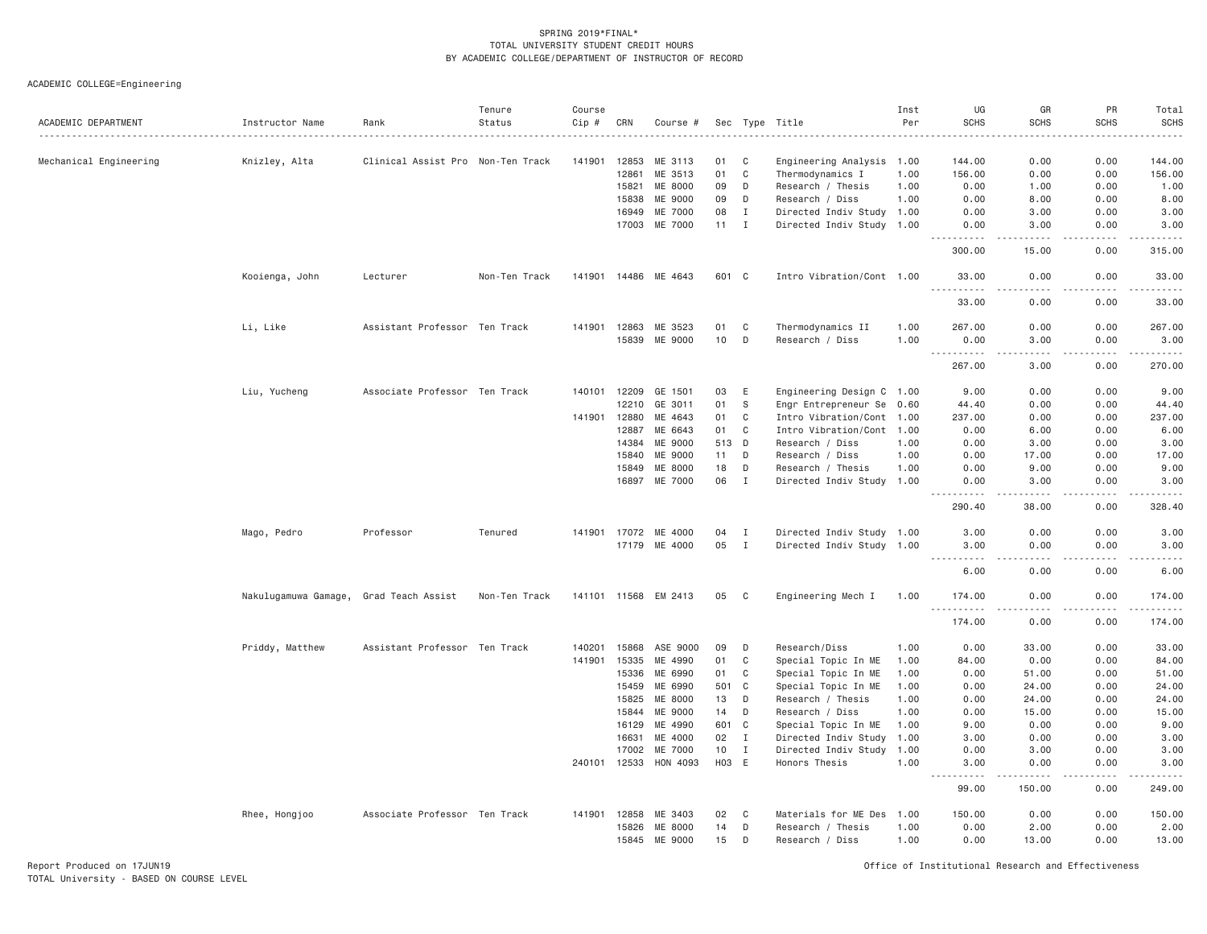ACADEMIC COLLEGE=Engineering

| ACADEMIC DEPARTMENT    | Instructor Name      | Rank                              | Tenure<br>Status | Course<br>Cip # | CRN            | Course #             |          |                            | Sec Type Title                               | Inst<br>Per  | UG<br><b>SCHS</b>    | GR<br><b>SCHS</b>     | PR<br><b>SCHS</b>            | Total<br><b>SCHS</b> |
|------------------------|----------------------|-----------------------------------|------------------|-----------------|----------------|----------------------|----------|----------------------------|----------------------------------------------|--------------|----------------------|-----------------------|------------------------------|----------------------|
| Mechanical Engineering | Knizley, Alta        | Clinical Assist Pro Non-Ten Track |                  | 141901          | 12853          | ME 3113              | 01       | C                          | Engineering Analysis 1.00                    |              | 144.00               | 0.00                  | 0.00                         | 144.00               |
|                        |                      |                                   |                  |                 | 12861          | ME 3513              | 01       | $\mathbb C$                | Thermodynamics I                             | 1.00         | 156.00               | 0.00                  | 0.00                         | 156.00               |
|                        |                      |                                   |                  |                 | 15821          | ME 8000              | 09       | D                          | Research / Thesis                            | 1.00         | 0.00                 | 1.00                  | 0.00                         | 1.00                 |
|                        |                      |                                   |                  |                 | 15838          | ME 9000              | 09       | D                          | Research / Diss                              | 1.00         | 0.00                 | 8.00                  | 0.00                         | 8.00                 |
|                        |                      |                                   |                  |                 | 16949          | ME 7000              | 08       | $\mathbf I$                | Directed Indiv Study 1.00                    |              | 0.00                 | 3.00                  | 0.00                         | 3.00                 |
|                        |                      |                                   |                  |                 | 17003          | ME 7000              | 11       | $\mathbf I$                | Directed Indiv Study 1.00                    |              | 0.00                 | 3.00<br>.             | 0.00<br>$\sim$ $\sim$ $\sim$ | 3.00                 |
|                        |                      |                                   |                  |                 |                |                      |          |                            |                                              |              | 300.00               | 15.00                 | 0.00                         | 315.00               |
|                        | Kooienga, John       | Lecturer                          | Non-Ten Track    |                 |                | 141901 14486 ME 4643 | 601 C    |                            | Intro Vibration/Cont 1.00                    |              | 33,00<br>$- - - - -$ | 0.00<br>$\frac{1}{2}$ | 0.00<br>.                    | 33.00<br>.           |
|                        |                      |                                   |                  |                 |                |                      |          |                            |                                              |              | 33.00                | 0.00                  | 0.00                         | 33.00                |
|                        | Li, Like             | Assistant Professor Ten Track     |                  | 141901          | 12863          | ME 3523              | 01       | C                          | Thermodynamics II                            | 1.00         | 267.00               | 0.00                  | 0.00                         | 267.00               |
|                        |                      |                                   |                  |                 | 15839          | ME 9000              | 10       | D                          | Research / Diss                              | 1.00         | 0.00                 | 3.00                  | 0.00                         | 3.00<br>.            |
|                        |                      |                                   |                  |                 |                |                      |          |                            |                                              |              | 267.00               | 3,00                  | 0.00                         | 270.00               |
|                        | Liu, Yucheng         | Associate Professor Ten Track     |                  | 140101          | 12209          | GE 1501              | 03       | E                          | Engineering Design C 1.00                    |              | 9.00                 | 0.00                  | 0.00                         | 9.00                 |
|                        |                      |                                   |                  |                 | 12210          | GE 3011              | 01       | S                          | Engr Entrepreneur Se 0.60                    |              | 44.40                | 0.00                  | 0.00                         | 44.40                |
|                        |                      |                                   |                  | 141901          | 12880          | ME 4643              | 01       | C                          | Intro Vibration/Cont 1.00                    |              | 237.00               | 0.00                  | 0.00                         | 237.00               |
|                        |                      |                                   |                  |                 | 12887          | ME 6643              | 01       | C                          | Intro Vibration/Cont 1.00                    |              | 0.00                 | 6.00                  | 0.00                         | 6.00                 |
|                        |                      |                                   |                  |                 | 14384          | ME 9000              | 513 D    |                            | Research / Diss                              | 1.00         | 0.00                 | 3,00                  | 0.00                         | 3.00                 |
|                        |                      |                                   |                  |                 | 15840          | ME 9000              | 11       | D                          | Research / Diss                              | 1.00         | 0.00                 | 17.00                 | 0.00                         | 17.00                |
|                        |                      |                                   |                  |                 | 15849          | ME 8000              | 18       | D                          | Research / Thesis                            | 1.00         | 0.00                 | 9.00                  | 0.00                         | 9.00                 |
|                        |                      |                                   |                  |                 | 16897          | ME 7000              | 06       | $\mathbf I$                | Directed Indiv Study 1.00                    |              | 0.00                 | 3.00                  | 0.00                         | 3.00                 |
|                        |                      |                                   |                  |                 |                |                      |          |                            |                                              |              | 290.40               | 38.00                 | 0.00                         | 328.40               |
|                        | Mago, Pedro          | Professor                         | Tenured          | 141901 17072    |                | ME 4000              | 04       | $\mathbf I$                | Directed Indiv Study 1.00                    |              | 3,00                 | 0.00                  | 0.00                         | 3.00                 |
|                        |                      |                                   |                  |                 |                | 17179 ME 4000        | 05       | $\mathbf I$                | Directed Indiv Study 1.00                    |              | 3,00<br>-----        | 0.00<br>$   -$        | 0.00<br>.                    | 3.00<br>$- - - - -$  |
|                        |                      |                                   |                  |                 |                |                      |          |                            |                                              |              | 6.00                 | 0.00                  | 0.00                         | 6.00                 |
|                        | Nakulugamuwa Gamage, | Grad Teach Assist                 | Non-Ten Track    | 141101 11568    |                | EM 2413              | 05       | C                          | Engineering Mech I                           | 1.00         | 174.00<br>.          | 0.00<br>.             | 0.00<br>.                    | 174.00<br>.          |
|                        |                      |                                   |                  |                 |                |                      |          |                            |                                              |              | 174.00               | 0.00                  | 0.00                         | 174.00               |
|                        | Priddy, Matthew      | Assistant Professor Ten Track     |                  | 140201          | 15868          | ASE 9000             | 09       | D                          | Research/Diss                                | 1.00         | 0.00                 | 33.00                 | 0.00                         | 33.00                |
|                        |                      |                                   |                  | 141901          | 15335          | ME 4990              | 01       | C                          | Special Topic In ME                          | 1.00         | 84.00                | 0.00                  | 0.00                         | 84.00                |
|                        |                      |                                   |                  |                 | 15336          | ME 6990              | 01       | $\mathbb C$                | Special Topic In ME                          | 1.00         | 0.00                 | 51.00                 | 0.00                         | 51.00                |
|                        |                      |                                   |                  |                 | 15459          | ME 6990              | 501      | $\mathbf{C}$               | Special Topic In ME                          | 1.00         | 0.00                 | 24.00                 | 0.00                         | 24.00                |
|                        |                      |                                   |                  |                 | 15825          | <b>ME 8000</b>       | 13       | D                          | Research / Thesis                            | 1.00         | 0.00                 | 24.00                 | 0.00                         | 24.00                |
|                        |                      |                                   |                  |                 | 15844          | <b>ME 9000</b>       | 14       | D                          | Research / Diss                              | 1.00         | 0.00                 | 15.00                 | 0.00                         | 15.00                |
|                        |                      |                                   |                  |                 | 16129          | ME 4990              | 601      | C <sub>1</sub>             | Special Topic In ME                          | 1.00         | 9,00                 | 0.00<br>0.00          | 0.00                         | 9.00                 |
|                        |                      |                                   |                  |                 | 16631<br>17002 | ME 4000<br>ME 7000   | 02<br>10 | $\mathbf I$<br>$\mathbf I$ | Directed Indiv Study<br>Directed Indiv Study | 1.00<br>1.00 | 3,00<br>0.00         | 3.00                  | 0.00<br>0.00                 | 3.00<br>3.00         |
|                        |                      |                                   |                  | 240101 12533    |                | HON 4093             | H03 E    |                            | Honors Thesis                                | 1.00         | 3.00                 | 0.00                  | 0.00                         | 3.00                 |
|                        |                      |                                   |                  |                 |                |                      |          |                            |                                              |              | 99.00                | 150.00                | 0.00                         | 249.00               |
|                        | Rhee, Hongjoo        | Associate Professor Ten Track     |                  | 141901          | 12858          | ME 3403              | 02       | C                          | Materials for ME Des                         | 1.00         | 150.00               | 0.00                  | 0.00                         | 150.00               |
|                        |                      |                                   |                  |                 | 15826          | ME 8000              | 14       | D                          | Research / Thesis                            | 1.00         | 0.00                 | 2.00                  | 0.00                         | 2.00                 |
|                        |                      |                                   |                  |                 | 15845          | ME 9000              | 15       | D                          | Research / Diss                              | 1.00         | 0.00                 | 13.00                 | 0.00                         | 13.00                |

Report Produced on 17JUN19 Office of Institutional Research and Effectiveness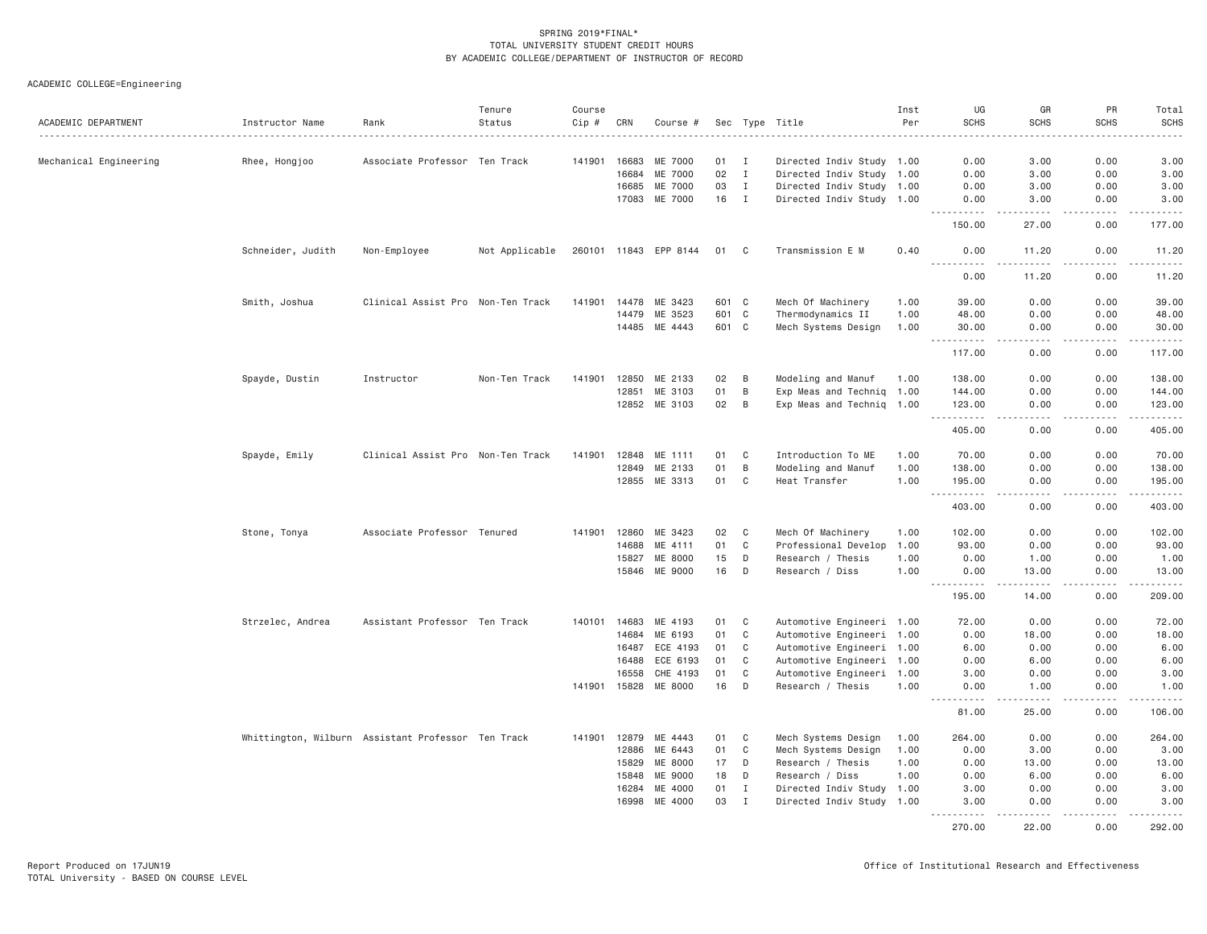| ACADEMIC DEPARTMENT    | Instructor Name                                    | Rank                              | Tenure<br>Status | Course<br>Cip # | CRN   | Course #              |       |                | Sec Type Title            | Inst<br>Per | UG<br><b>SCHS</b>                   | GR<br><b>SCHS</b>     | PR<br><b>SCHS</b>              | Total<br><b>SCHS</b> |
|------------------------|----------------------------------------------------|-----------------------------------|------------------|-----------------|-------|-----------------------|-------|----------------|---------------------------|-------------|-------------------------------------|-----------------------|--------------------------------|----------------------|
|                        |                                                    |                                   |                  |                 |       |                       |       |                |                           |             |                                     |                       |                                |                      |
| Mechanical Engineering | Rhee, Hongjoo                                      | Associate Professor Ten Track     |                  | 141901          | 16683 | ME 7000               | 01    | $\blacksquare$ | Directed Indiv Study 1.00 |             | 0.00                                | 3.00                  | 0.00                           | 3.00                 |
|                        |                                                    |                                   |                  |                 | 16684 | ME 7000               | 02    | $\mathbf{I}$   | Directed Indiv Study 1.00 |             | 0.00                                | 3.00                  | 0.00                           | 3.00                 |
|                        |                                                    |                                   |                  |                 | 16685 | ME 7000               | 03    | $\mathbf I$    | Directed Indiv Study 1.00 |             | 0.00                                | 3.00                  | 0.00                           | 3.00                 |
|                        |                                                    |                                   |                  |                 | 17083 | ME 7000               | 16    | $\mathbf{I}$   | Directed Indiv Study 1.00 |             | 0.00                                | 3.00<br>.             | 0.00                           | 3.00<br>. <u>.</u> . |
|                        |                                                    |                                   |                  |                 |       |                       |       |                |                           |             | 150.00                              | 27.00                 | 0.00                           | 177.00               |
|                        | Schneider, Judith                                  | Non-Employee                      | Not Applicable   |                 |       | 260101 11843 EPP 8144 | 01 C  |                | Transmission E M          | 0.40        | 0.00<br>$\frac{1}{2}$               | 11.20<br>.            | 0.00<br>$\frac{1}{2}$          | 11.20<br>.           |
|                        |                                                    |                                   |                  |                 |       |                       |       |                |                           |             | 0.00                                | 11.20                 | 0.00                           | 11.20                |
|                        | Smith, Joshua                                      | Clinical Assist Pro Non-Ten Track |                  | 141901          | 14478 | ME 3423               | 601 C |                | Mech Of Machinery         | 1.00        | 39.00                               | 0.00                  | 0.00                           | 39.00                |
|                        |                                                    |                                   |                  |                 | 14479 | ME 3523               | 601   | $\mathbf C$    | Thermodynamics II         | 1.00        | 48.00                               | 0.00                  | 0.00                           | 48.00                |
|                        |                                                    |                                   |                  |                 |       | 14485 ME 4443         | 601 C |                | Mech Systems Design       | 1.00        | 30,00                               | 0.00<br>.             | 0.00<br>.                      | 30.00<br>.           |
|                        |                                                    |                                   |                  |                 |       |                       |       |                |                           |             | 117.00                              | 0.00                  | 0.00                           | 117.00               |
|                        | Spayde, Dustin                                     | Instructor                        | Non-Ten Track    | 141901          | 12850 | ME 2133               | 02    | B              | Modeling and Manuf        | 1.00        | 138.00                              | 0.00                  | 0.00                           | 138.00               |
|                        |                                                    |                                   |                  |                 | 12851 | ME 3103               | 01    | $\,$ B         | Exp Meas and Techniq 1.00 |             | 144.00                              | 0.00                  | 0.00                           | 144.00               |
|                        |                                                    |                                   |                  |                 |       | 12852 ME 3103         | 02    | B              | Exp Meas and Techniq 1.00 |             | 123.00                              | 0.00<br>$\frac{1}{2}$ | 0.00<br>.                      | 123.00               |
|                        |                                                    |                                   |                  |                 |       |                       |       |                |                           |             | د د د د<br>405.00                   | 0.00                  | 0.00                           | ------<br>405.00     |
|                        | Spayde, Emily                                      | Clinical Assist Pro Non-Ten Track |                  | 141901          | 12848 | ME 1111               | 01    | C              | Introduction To ME        | 1.00        | 70.00                               | 0.00                  | 0.00                           | 70.00                |
|                        |                                                    |                                   |                  |                 | 12849 | ME 2133               | 01    | $\,$ B         | Modeling and Manuf        | 1.00        | 138.00                              | 0.00                  | 0.00                           | 138.00               |
|                        |                                                    |                                   |                  |                 |       | 12855 ME 3313         | 01    | C              | Heat Transfer             | 1,00        | 195.00                              | 0.00                  | 0.00                           | 195.00               |
|                        |                                                    |                                   |                  |                 |       |                       |       |                |                           |             | $\sim$ $\sim$ $\sim$<br>.<br>403.00 | $- - - -$<br>0.00     | .<br>0.00                      | .<br>403.00          |
|                        | Stone, Tonya                                       | Associate Professor Tenured       |                  | 141901          | 12860 | ME 3423               | 02    | C              | Mech Of Machinery         | 1.00        | 102.00                              | 0.00                  | 0.00                           | 102.00               |
|                        |                                                    |                                   |                  |                 | 14688 | ME 4111               | 01    | $\mathbb C$    | Professional Develop      | 1.00        | 93.00                               | 0.00                  | 0.00                           | 93.00                |
|                        |                                                    |                                   |                  |                 | 15827 | ME 8000               | 15    | D              | Research / Thesis         | 1.00        | 0.00                                | 1.00                  | 0.00                           | 1.00                 |
|                        |                                                    |                                   |                  |                 | 15846 | ME 9000               | 16    | D              | Research / Diss           | 1.00        | 0.00                                | 13.00                 | 0.00                           | 13.00                |
|                        |                                                    |                                   |                  |                 |       |                       |       |                |                           |             | <u>.</u><br>195.00                  | $   -$<br>14.00       | .<br>0.00                      | .<br>209.00          |
|                        | Strzelec, Andrea                                   | Assistant Professor Ten Track     |                  | 140101          | 14683 | ME 4193               | 01    | C              | Automotive Engineeri 1.00 |             | 72.00                               | 0.00                  | 0.00                           | 72.00                |
|                        |                                                    |                                   |                  |                 | 14684 | ME 6193               | 01    | C              | Automotive Engineeri 1.00 |             | 0.00                                | 18.00                 | 0.00                           | 18.00                |
|                        |                                                    |                                   |                  |                 | 16487 | ECE 4193              | 01    | $\mathbb C$    | Automotive Engineeri 1.00 |             | 6.00                                | 0.00                  | 0.00                           | 6.00                 |
|                        |                                                    |                                   |                  |                 | 16488 | ECE 6193              | 01    | $\mathbb C$    | Automotive Engineeri 1.00 |             | 0.00                                | 6.00                  | 0.00                           | 6.00                 |
|                        |                                                    |                                   |                  |                 | 16558 | CHE 4193              | 01    | C              | Automotive Engineeri 1.00 |             | 3.00                                | 0.00                  | 0.00                           | 3.00                 |
|                        |                                                    |                                   |                  | 141901          | 15828 | ME 8000               | 16    | D              | Research / Thesis         | 1.00        | 0.00                                | 1.00                  | 0.00                           | 1.00                 |
|                        |                                                    |                                   |                  |                 |       |                       |       |                |                           |             | .<br>$- - -$<br>81.00               | $   -$<br>25,00       | 0.00                           | .<br>106.00          |
|                        | Whittington, Wilburn Assistant Professor Ten Track |                                   |                  | 141901          |       | 12879 ME 4443         | 01    | C              | Mech Systems Design       | 1.00        | 264.00                              | 0.00                  | 0.00                           | 264.00               |
|                        |                                                    |                                   |                  |                 | 12886 | ME 6443               | 01    | C              | Mech Systems Design       | 1.00        | 0.00                                | 3,00                  | 0.00                           | 3.00                 |
|                        |                                                    |                                   |                  |                 | 15829 | ME 8000               | 17    | D              | Research / Thesis         | 1.00        | 0.00                                | 13.00                 | 0.00                           | 13.00                |
|                        |                                                    |                                   |                  |                 | 15848 | ME 9000               | 18    | D              | Research / Diss           | 1.00        | 0.00                                | 6.00                  | 0.00                           | 6.00                 |
|                        |                                                    |                                   |                  |                 | 16284 | ME 4000               | 01    | $\mathbf I$    | Directed Indiv Study 1.00 |             | 3.00                                | 0.00                  | 0.00                           | 3.00                 |
|                        |                                                    |                                   |                  |                 | 16998 | ME 4000               | 03    | $\mathbf{I}$   | Directed Indiv Study 1.00 |             | 3.00                                | 0.00                  | 0.00<br>$\omega$ is $\omega$ . | 3.00                 |
|                        |                                                    |                                   |                  |                 |       |                       |       |                |                           |             | 270.00                              | 22.00                 | 0.00                           | 292.00               |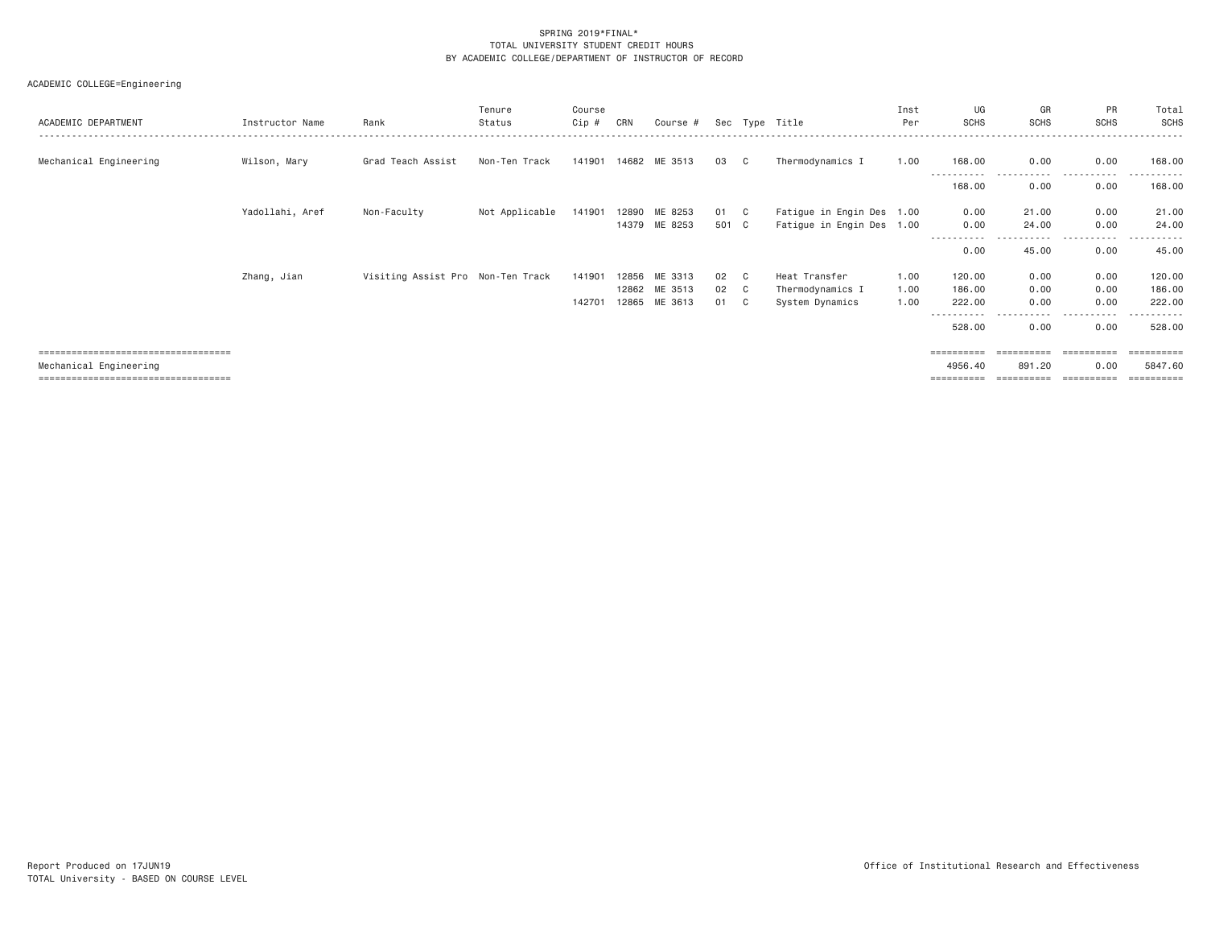| ACADEMIC DEPARTMENT                   | Instructor Name | Rank                              | Tenure<br>Status | Course<br>Cip # | CRN   | Course # |       |              | Sec Type Title            | Inst<br>Per | UG<br><b>SCHS</b>     | GR<br><b>SCHS</b> | PR<br><b>SCHS</b> | Total<br>SCHS     |
|---------------------------------------|-----------------|-----------------------------------|------------------|-----------------|-------|----------|-------|--------------|---------------------------|-------------|-----------------------|-------------------|-------------------|-------------------|
| Mechanical Engineering                | Wilson, Mary    | Grad Teach Assist                 | Non-Ten Track    | 141901 14682    |       | ME 3513  | 03    | C            | Thermodynamics I          | 1.00        | 168.00<br>----------- | 0.00<br>.         | 0.00<br>.         | 168.00<br>------- |
|                                       |                 |                                   |                  |                 |       |          |       |              |                           |             | 168.00                | 0.00              | 0.00              | 168.00            |
|                                       | Yadollahi, Aref | Non-Faculty                       | Not Applicable   | 141901          | 12890 | ME 8253  | 01    | $\mathbf{C}$ | Fatigue in Engin Des 1.00 |             | 0.00                  | 21.00             | 0.00              | 21.00             |
|                                       |                 |                                   |                  |                 | 14379 | ME 8253  | 501 C |              | Fatigue in Engin Des 1.00 |             | 0.00                  | 24.00             | 0.00              | 24.00             |
|                                       |                 |                                   |                  |                 |       |          |       |              |                           |             | 0.00                  | 45.00             | $- - - -$<br>0.00 | 45.00             |
|                                       |                 |                                   |                  |                 |       |          |       |              |                           |             |                       |                   |                   |                   |
|                                       | Zhang, Jian     | Visiting Assist Pro Non-Ten Track |                  | 141901          | 12856 | ME 3313  | 02    | C            | Heat Transfer             | 1.00        | 120.00                | 0.00              | 0.00              | 120.00            |
|                                       |                 |                                   |                  |                 | 12862 | ME 3513  | 02    | C            | Thermodynamics I          | 1.00        | 186.00                | 0.00              | 0.00              | 186.00            |
|                                       |                 |                                   |                  | 142701          | 12865 | ME 3613  | 01    | C            | System Dynamics           | 1.00        | 222.00                | 0.00              | 0.00              | 222.00            |
|                                       |                 |                                   |                  |                 |       |          |       |              |                           |             | 528.00                | 0.00              | 0.00              | 528.00            |
| ===================================== |                 |                                   |                  |                 |       |          |       |              |                           |             | ==========            | ==========        | ==========        | -----------       |
| Mechanical Engineering                |                 |                                   |                  |                 |       |          |       |              |                           |             | 4956.40               | 891.20            | 0.00              | 5847.60           |
| ------------------------------------- |                 |                                   |                  |                 |       |          |       |              |                           |             | ==========            | ==========        | -----------       |                   |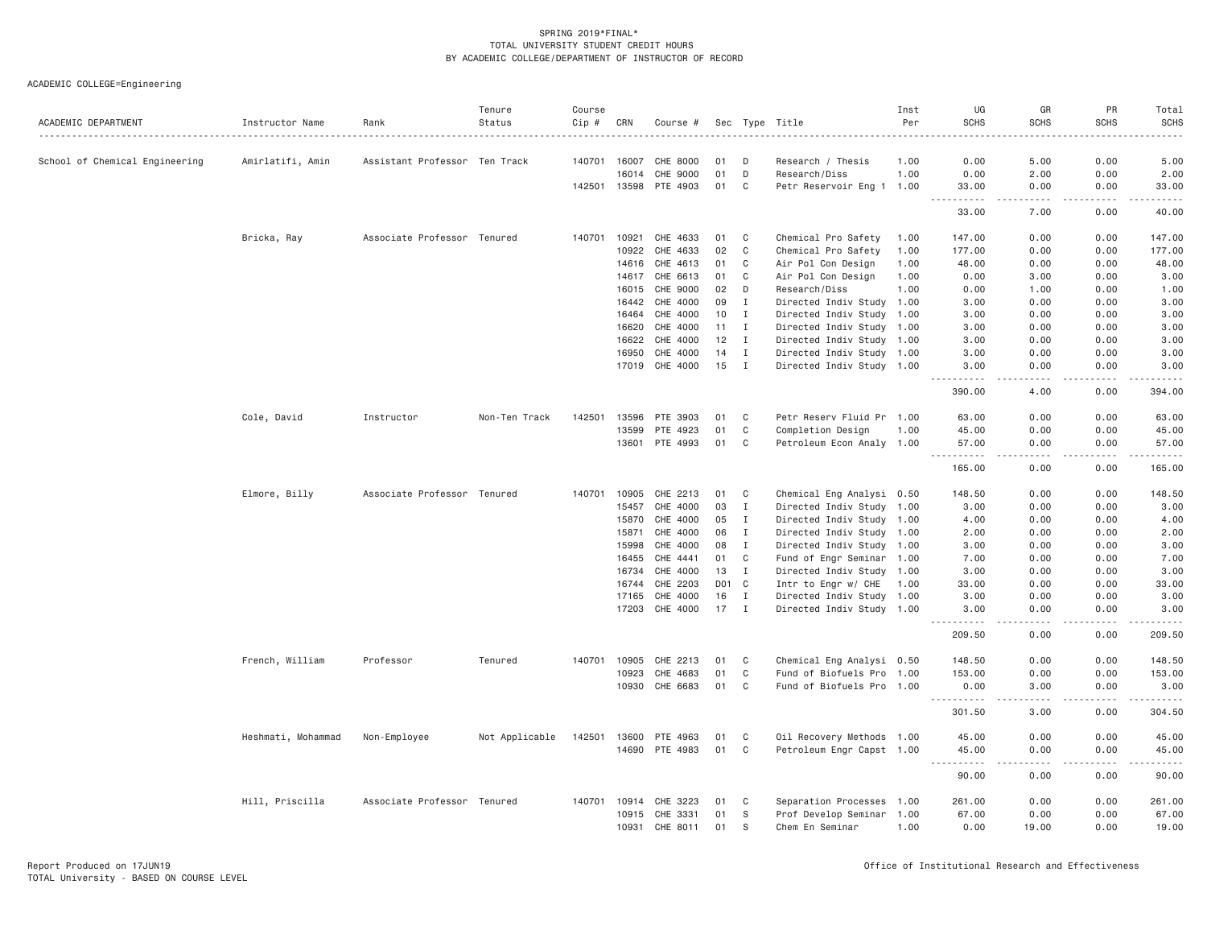| ACADEMIC DEPARTMENT            | Instructor Name<br>. <b>.</b> . | Rank                          | Tenure<br>Status | Course<br>Cip # | CRN          | Course #              |     |              | Sec Type Title            | Inst<br>Per | UG<br><b>SCHS</b>                  | GR<br><b>SCHS</b>                   | PR<br><b>SCHS</b> | Total<br><b>SCHS</b> |
|--------------------------------|---------------------------------|-------------------------------|------------------|-----------------|--------------|-----------------------|-----|--------------|---------------------------|-------------|------------------------------------|-------------------------------------|-------------------|----------------------|
| School of Chemical Engineering | Amirlatifi, Amin                | Assistant Professor Ten Track |                  |                 | 140701 16007 | CHE 8000              | 01  | D            | Research / Thesis         | 1.00        | 0.00                               | 5.00                                | 0.00              | 5.00                 |
|                                |                                 |                               |                  |                 | 16014        | CHE 9000              | 01  | D            | Research/Diss             | 1.00        | 0.00                               | 2.00                                | 0.00              | 2.00                 |
|                                |                                 |                               |                  |                 |              | 142501 13598 PTE 4903 | 01  | C            | Petr Reservoir Eng 1 1.00 |             | 33.00                              | 0.00                                | 0.00              | 33.00                |
|                                |                                 |                               |                  |                 |              |                       |     |              |                           |             | .<br>$\sim$ $\sim$ $\sim$<br>33.00 | .<br>7.00                           | .<br>0.00         | .<br>40.00           |
|                                | Bricka, Ray                     | Associate Professor Tenured   |                  | 140701          | 10921        | CHE 4633              | 01  | C            | Chemical Pro Safety       | 1.00        | 147.00                             | 0.00                                | 0.00              | 147.00               |
|                                |                                 |                               |                  |                 | 10922        | CHE 4633              | 02  | C            | Chemical Pro Safety       | 1.00        | 177.00                             | 0.00                                | 0.00              | 177.00               |
|                                |                                 |                               |                  |                 | 14616        | CHE 4613              | 01  | C            | Air Pol Con Design        | 1.00        | 48.00                              | 0.00                                | 0.00              | 48.00                |
|                                |                                 |                               |                  |                 | 14617        | CHE 6613              | 01  | C            | Air Pol Con Design        | 1.00        | 0.00                               | 3.00                                | 0.00              | 3.00                 |
|                                |                                 |                               |                  |                 | 16015        | CHE 9000              | 02  | D            | Research/Diss             | 1.00        | 0.00                               | 1.00                                | 0.00              | 1.00                 |
|                                |                                 |                               |                  |                 | 16442        | CHE 4000              | 09  | Ι.           | Directed Indiv Study 1.00 |             | 3.00                               | 0.00                                | 0.00              | 3.00                 |
|                                |                                 |                               |                  |                 | 16464        | CHE 4000              | 10  | $\mathbf{I}$ | Directed Indiv Study 1.00 |             | 3.00                               | 0.00                                | 0.00              | 3.00                 |
|                                |                                 |                               |                  |                 | 16620        | CHE 4000              | 11  | Ι.           | Directed Indiv Study 1.00 |             | 3.00                               | 0.00                                | 0.00              | 3.00                 |
|                                |                                 |                               |                  |                 | 16622        | CHE 4000              | 12  | $\mathbf{I}$ | Directed Indiv Study 1.00 |             | 3.00                               | 0.00                                | 0.00              | 3.00                 |
|                                |                                 |                               |                  |                 | 16950        | CHE 4000              | 14  | Ι.           | Directed Indiv Study 1.00 |             | 3.00                               | 0.00                                | 0.00              | 3.00                 |
|                                |                                 |                               |                  |                 |              | 17019 CHE 4000        | 15  | $\mathbf{I}$ | Directed Indiv Study 1.00 |             | 3.00                               | 0.00                                | 0.00              | 3.00                 |
|                                |                                 |                               |                  |                 |              |                       |     |              |                           |             | 390.00                             | 4.00                                | 0.00              | . <u>.</u><br>394.00 |
|                                | Cole, David                     | Instructor                    | Non-Ten Track    | 142501          | 13596        | PTE 3903              | 01  | C            | Petr Reserv Fluid Pr 1.00 |             | 63.00                              | 0.00                                | 0.00              | 63.00                |
|                                |                                 |                               |                  |                 | 13599        | PTE 4923              | 01  | $\mathsf{C}$ | Completion Design         | 1.00        | 45.00                              | 0.00                                | 0.00              | 45.00                |
|                                |                                 |                               |                  |                 |              | 13601 PTE 4993        | 01  | C            | Petroleum Econ Analy 1.00 |             | 57.00                              | 0.00                                | 0.00              | 57.00                |
|                                |                                 |                               |                  |                 |              |                       |     |              |                           |             | <u>.</u><br>165.00                 | $- - - -$<br>0.00                   | .<br>0.00         | .<br>165.00          |
|                                | Elmore, Billy                   | Associate Professor Tenured   |                  | 140701          | 10905        | CHE 2213              | 01  | C            | Chemical Eng Analysi 0.50 |             | 148.50                             | 0.00                                | 0.00              | 148.50               |
|                                |                                 |                               |                  |                 | 15457        | CHE 4000              | 03  | I            | Directed Indiv Study 1.00 |             | 3.00                               | 0.00                                | 0.00              | 3.00                 |
|                                |                                 |                               |                  |                 | 15870        | CHE 4000              | 05  | $\mathbf{I}$ | Directed Indiv Study 1.00 |             | 4.00                               | 0.00                                | 0.00              | 4.00                 |
|                                |                                 |                               |                  |                 | 15871        | CHE 4000              | 06  | $\mathbf{I}$ | Directed Indiv Study 1.00 |             | 2.00                               | 0.00                                | 0.00              | 2.00                 |
|                                |                                 |                               |                  |                 | 15998        | CHE 4000              | 08  | $\mathbf{I}$ | Directed Indiv Study 1.00 |             | 3.00                               | 0.00                                | 0.00              | 3.00                 |
|                                |                                 |                               |                  |                 | 16455        | CHE 4441              | 01  | $\mathbf C$  | Fund of Engr Seminar 1.00 |             | 7.00                               | 0.00                                | 0.00              | 7.00                 |
|                                |                                 |                               |                  |                 | 16734        | CHE 4000              | 13  | I            | Directed Indiv Study 1.00 |             | 3.00                               | 0.00                                | 0.00              | 3.00                 |
|                                |                                 |                               |                  |                 | 16744        | CHE 2203              | D01 | C            | Intr to Engr w/ CHE       | 1.00        | 33,00                              | 0.00                                | 0.00              | 33.00                |
|                                |                                 |                               |                  |                 | 17165        | CHE 4000              | 16  | $\mathbf{I}$ | Directed Indiv Study 1.00 |             | 3.00                               | 0.00                                | 0.00              | 3.00                 |
|                                |                                 |                               |                  |                 | 17203        | CHE 4000              | 17  | $\mathbf{I}$ | Directed Indiv Study 1.00 |             | 3.00                               | 0.00                                | 0.00              | 3.00                 |
|                                |                                 |                               |                  |                 |              |                       |     |              |                           |             | .<br>209.50                        | $- - -$<br>0.00                     | .<br>0.00         | .<br>209.50          |
|                                | French, William                 | Professor                     | Tenured          | 140701          | 10905        | CHE 2213              | 01  | C            | Chemical Eng Analysi 0.50 |             | 148.50                             | 0.00                                | 0.00              | 148.50               |
|                                |                                 |                               |                  |                 | 10923        | CHE 4683              | 01  | C            | Fund of Biofuels Pro 1.00 |             | 153.00                             | 0.00                                | 0.00              | 153.00               |
|                                |                                 |                               |                  |                 | 10930        | CHE 6683              | 01  | C            | Fund of Biofuels Pro 1.00 |             | 0.00                               | 3.00                                | 0.00              | 3.00                 |
|                                |                                 |                               |                  |                 |              |                       |     |              |                           |             | .<br>301.50                        | $\sim$ $\sim$ $\sim$ $\sim$<br>3.00 | .<br>0.00         | .<br>304.50          |
|                                | Heshmati, Mohammad              | Non-Employee                  | Not Applicable   | 142501          | 13600        | PTE 4963              | 01  | C            | Oil Recovery Methods 1.00 |             | 45.00                              | 0.00                                | 0.00              | 45.00                |
|                                |                                 |                               |                  |                 |              | 14690 PTE 4983        | 01  | C            | Petroleum Engr Capst 1.00 |             | 45.00                              | 0.00                                | 0.00              | 45.00                |
|                                |                                 |                               |                  |                 |              |                       |     |              |                           |             | $\sim$ $\sim$ $\sim$<br>.<br>90.00 | 0.00                                | 0.00              | .<br>90.00           |
|                                | Hill, Priscilla                 | Associate Professor Tenured   |                  |                 | 140701 10914 | CHE 3223              | 01  | C            | Separation Processes 1.00 |             | 261.00                             | 0.00                                | 0.00              | 261.00               |
|                                |                                 |                               |                  |                 | 10915        | CHE 3331              | 01  | <sub>S</sub> | Prof Develop Seminar 1.00 |             | 67.00                              | 0.00                                | 0.00              | 67.00                |
|                                |                                 |                               |                  |                 | 10931        | CHE 8011              | 01  | S            | Chem En Seminar           | 1.00        | 0.00                               | 19.00                               | 0.00              | 19.00                |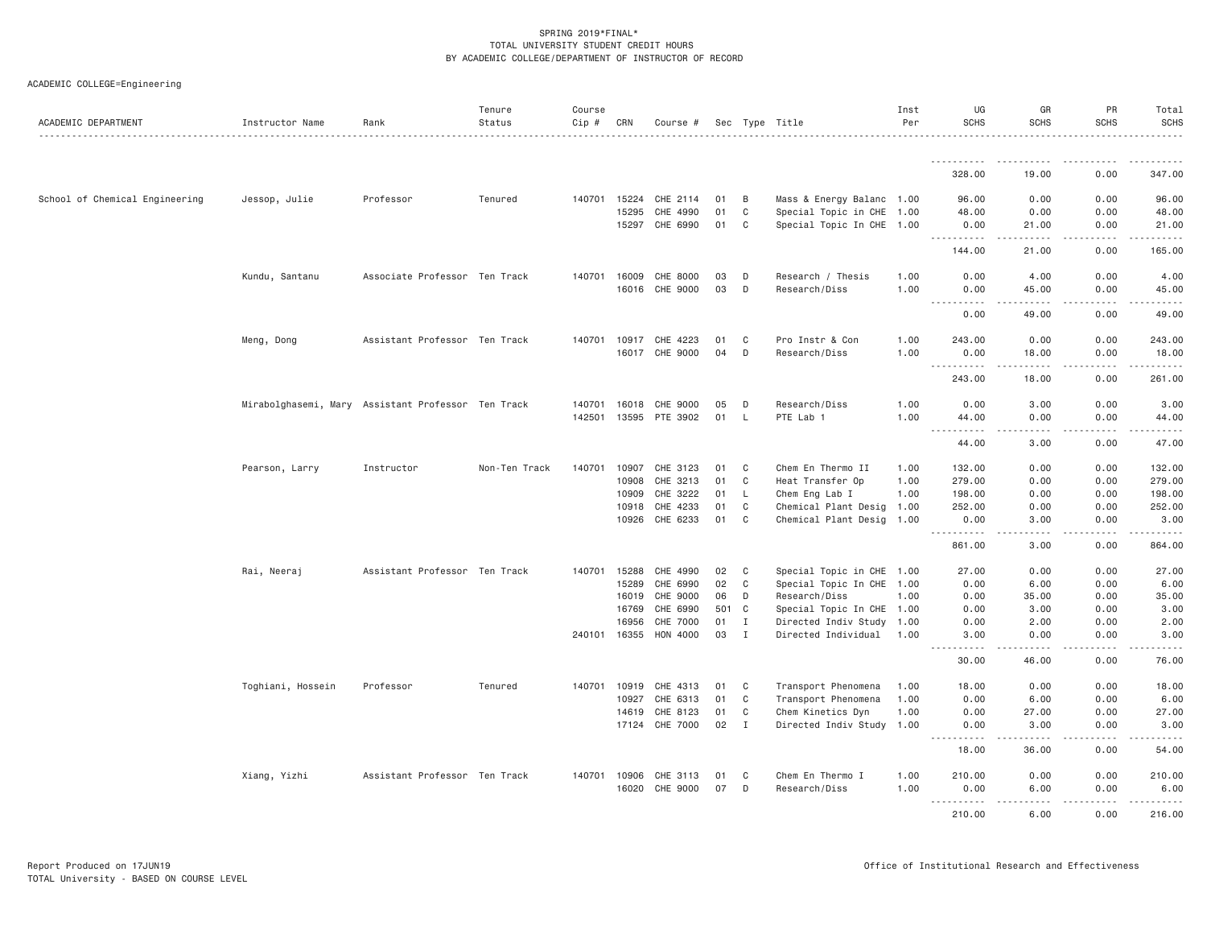| ACADEMIC DEPARTMENT            | Instructor Name   | Rank                                               | Tenure<br>Status | Course<br>Cip # | CRN            | Course #              |          |                              | Sec Type Title                                        | Inst<br>Per  | UG<br><b>SCHS</b>                         | GR<br><b>SCHS</b>                                                                                                                                             | PR<br><b>SCHS</b> | Total<br><b>SCHS</b>     |
|--------------------------------|-------------------|----------------------------------------------------|------------------|-----------------|----------------|-----------------------|----------|------------------------------|-------------------------------------------------------|--------------|-------------------------------------------|---------------------------------------------------------------------------------------------------------------------------------------------------------------|-------------------|--------------------------|
|                                |                   |                                                    |                  |                 |                |                       |          |                              |                                                       |              |                                           |                                                                                                                                                               |                   |                          |
|                                |                   |                                                    |                  |                 |                |                       |          |                              |                                                       |              | 328.00                                    | 19.00                                                                                                                                                         | 0.00              | 347.00                   |
| School of Chemical Engineering | Jessop, Julie     | Professor                                          | Tenured          | 140701          | 15224          | CHE 2114              | 01       | B                            | Mass & Energy Balanc 1.00                             |              | 96.00                                     | 0.00                                                                                                                                                          | 0.00              | 96.00                    |
|                                |                   |                                                    |                  |                 | 15295          | CHE 4990              | 01       | C                            | Special Topic in CHE 1.00                             |              | 48.00                                     | 0.00                                                                                                                                                          | 0.00              | 48.00                    |
|                                |                   |                                                    |                  |                 |                | 15297 CHE 6990        | 01       | C                            | Special Topic In CHE 1.00                             |              | 0.00<br>.                                 | 21.00<br>.                                                                                                                                                    | 0.00<br>.         | 21.00<br>.               |
|                                |                   |                                                    |                  |                 |                |                       |          |                              |                                                       |              | 144.00                                    | 21.00                                                                                                                                                         | 0.00              | 165.00                   |
|                                | Kundu, Santanu    | Associate Professor Ten Track                      |                  |                 | 140701 16009   | CHE 8000              | 03       | D                            | Research / Thesis                                     | 1.00         | 0.00                                      | 4.00                                                                                                                                                          | 0.00              | 4.00                     |
|                                |                   |                                                    |                  |                 |                | 16016 CHE 9000        | 03       | D                            | Research/Diss                                         | 1.00         | 0.00<br><u>.</u>                          | 45.00<br>$\frac{1}{2} \left( \frac{1}{2} \right) \left( \frac{1}{2} \right) \left( \frac{1}{2} \right) \left( \frac{1}{2} \right) \left( \frac{1}{2} \right)$ | 0.00<br>.         | 45.00<br>.               |
|                                |                   |                                                    |                  |                 |                |                       |          |                              |                                                       |              | 0.00                                      | 49.00                                                                                                                                                         | 0.00              | 49.00                    |
|                                | Meng, Dong        | Assistant Professor Ten Track                      |                  | 140701          | 10917          | CHE 4223              | 01       | C                            | Pro Instr & Con                                       | 1.00         | 243.00                                    | 0.00                                                                                                                                                          | 0.00              | 243.00                   |
|                                |                   |                                                    |                  |                 |                | 16017 CHE 9000        | 04       | D                            | Research/Diss                                         | 1.00         | 0.00<br><b></b>                           | 18.00<br>-----                                                                                                                                                | 0.00<br>.         | 18.00<br>$- - - - - - -$ |
|                                |                   |                                                    |                  |                 |                |                       |          |                              |                                                       |              | 243.00                                    | 18.00                                                                                                                                                         | 0.00              | 261.00                   |
|                                |                   | Mirabolghasemi, Mary Assistant Professor Ten Track |                  |                 |                | 140701 16018 CHE 9000 | 05       | D                            | Research/Diss                                         | 1.00         | 0.00                                      | 3.00                                                                                                                                                          | 0.00              | 3.00                     |
|                                |                   |                                                    |                  | 142501          | 13595          | PTE 3902              | 01       | L                            | PTE Lab 1                                             | 1.00         | 44.00                                     | 0.00                                                                                                                                                          | 0.00              | 44.00                    |
|                                |                   |                                                    |                  |                 |                |                       |          |                              |                                                       |              | $\sim$ $\sim$ $\sim$ $\sim$<br>.<br>44.00 | .<br>3.00                                                                                                                                                     | -----<br>0.00     | .<br>47.00               |
|                                | Pearson, Larry    | Instructor                                         | Non-Ten Track    | 140701          | 10907          | CHE 3123              | 01       | C                            | Chem En Thermo II                                     | 1.00         | 132.00                                    | 0.00                                                                                                                                                          | 0.00              | 132.00                   |
|                                |                   |                                                    |                  |                 | 10908          | CHE 3213              | 01       | $\mathbf{C}$                 | Heat Transfer Op                                      | 1.00         | 279.00                                    | 0.00                                                                                                                                                          | 0.00              | 279.00                   |
|                                |                   |                                                    |                  |                 | 10909          | CHE 3222              | 01       | L,                           | Chem Eng Lab I                                        | 1.00         | 198.00                                    | 0.00                                                                                                                                                          | 0.00              | 198.00                   |
|                                |                   |                                                    |                  |                 | 10918          | CHE 4233              | 01       | C                            | Chemical Plant Desig 1.00                             |              | 252.00                                    | 0.00                                                                                                                                                          | 0.00              | 252.00                   |
|                                |                   |                                                    |                  |                 |                | 10926 CHE 6233        | 01       | C                            | Chemical Plant Desig 1.00                             |              | 0.00<br><u>.</u>                          | 3.00<br>.                                                                                                                                                     | 0.00<br>-----     | 3.00<br>.                |
|                                |                   |                                                    |                  |                 |                |                       |          |                              |                                                       |              | 861.00                                    | 3.00                                                                                                                                                          | 0.00              | 864.00                   |
|                                | Rai, Neeraj       | Assistant Professor Ten Track                      |                  | 140701          | 15288          | CHE 4990              | 02       | $\mathbf{C}$                 | Special Topic in CHE 1.00                             |              | 27.00                                     | 0.00                                                                                                                                                          | 0.00              | 27.00                    |
|                                |                   |                                                    |                  |                 | 15289          | CHE 6990              | 02       | $\mathbf C$                  | Special Topic In CHE 1.00                             |              | 0.00                                      | 6.00                                                                                                                                                          | 0.00              | 6.00                     |
|                                |                   |                                                    |                  |                 | 16019          | CHE 9000              | 06       | D                            | Research/Diss                                         | 1.00         | 0.00                                      | 35.00                                                                                                                                                         | 0.00              | 35.00                    |
|                                |                   |                                                    |                  |                 | 16769          | CHE 6990              | 501      | $\mathbf{C}$                 | Special Topic In CHE 1.00                             |              | 0.00                                      | 3.00                                                                                                                                                          | 0.00              | 3.00                     |
|                                |                   |                                                    |                  | 240101          | 16956<br>16355 | CHE 7000<br>HON 4000  | 01<br>03 | $\mathbf{I}$<br>$\mathbf{I}$ | Directed Indiv Study 1.00<br>Directed Individual 1.00 |              | 0.00<br>3.00                              | 2.00<br>0.00                                                                                                                                                  | 0.00<br>0.00      | 2.00<br>3.00             |
|                                |                   |                                                    |                  |                 |                |                       |          |                              |                                                       |              | -----<br>30.00                            | .<br>46.00                                                                                                                                                    | .<br>0.00         | 76.00                    |
|                                |                   |                                                    |                  |                 |                |                       |          |                              |                                                       |              |                                           |                                                                                                                                                               |                   |                          |
|                                | Toghiani, Hossein | Professor                                          | Tenured          | 140701          | 10919<br>10927 | CHE 4313<br>CHE 6313  | 01<br>01 | C<br>$\mathbf C$             | Transport Phenomena<br>Transport Phenomena            | 1.00<br>1.00 | 18.00<br>0.00                             | 0.00<br>6.00                                                                                                                                                  | 0.00<br>0.00      | 18.00<br>6.00            |
|                                |                   |                                                    |                  |                 | 14619          | CHE 8123              | 01       | $\mathbf C$                  | Chem Kinetics Dyn                                     | 1.00         | 0.00                                      | 27.00                                                                                                                                                         | 0.00              | 27.00                    |
|                                |                   |                                                    |                  |                 |                | 17124 CHE 7000        | 02       | $\mathbf{I}$                 | Directed Indiv Study 1.00                             |              | 0.00                                      | 3.00                                                                                                                                                          | 0.00              | 3.00                     |
|                                |                   |                                                    |                  |                 |                |                       |          |                              |                                                       |              | .<br>18.00                                | .<br>36.00                                                                                                                                                    | .<br>0.00         | .<br>54.00               |
|                                | Xiang, Yizhi      | Assistant Professor Ten Track                      |                  |                 | 140701 10906   | CHE 3113              | 01       | C.                           | Chem En Thermo I                                      | 1.00         | 210.00                                    | 0.00                                                                                                                                                          | 0.00              | 210.00                   |
|                                |                   |                                                    |                  |                 | 16020          | CHE 9000              | 07       | D                            | Research/Diss                                         | 1.00         | 0.00                                      | 6.00                                                                                                                                                          | 0.00              | 6.00                     |
|                                |                   |                                                    |                  |                 |                |                       |          |                              |                                                       |              | <u>.</u><br>210.00                        | .<br>6.00                                                                                                                                                     | .<br>0.00         | .<br>216.00              |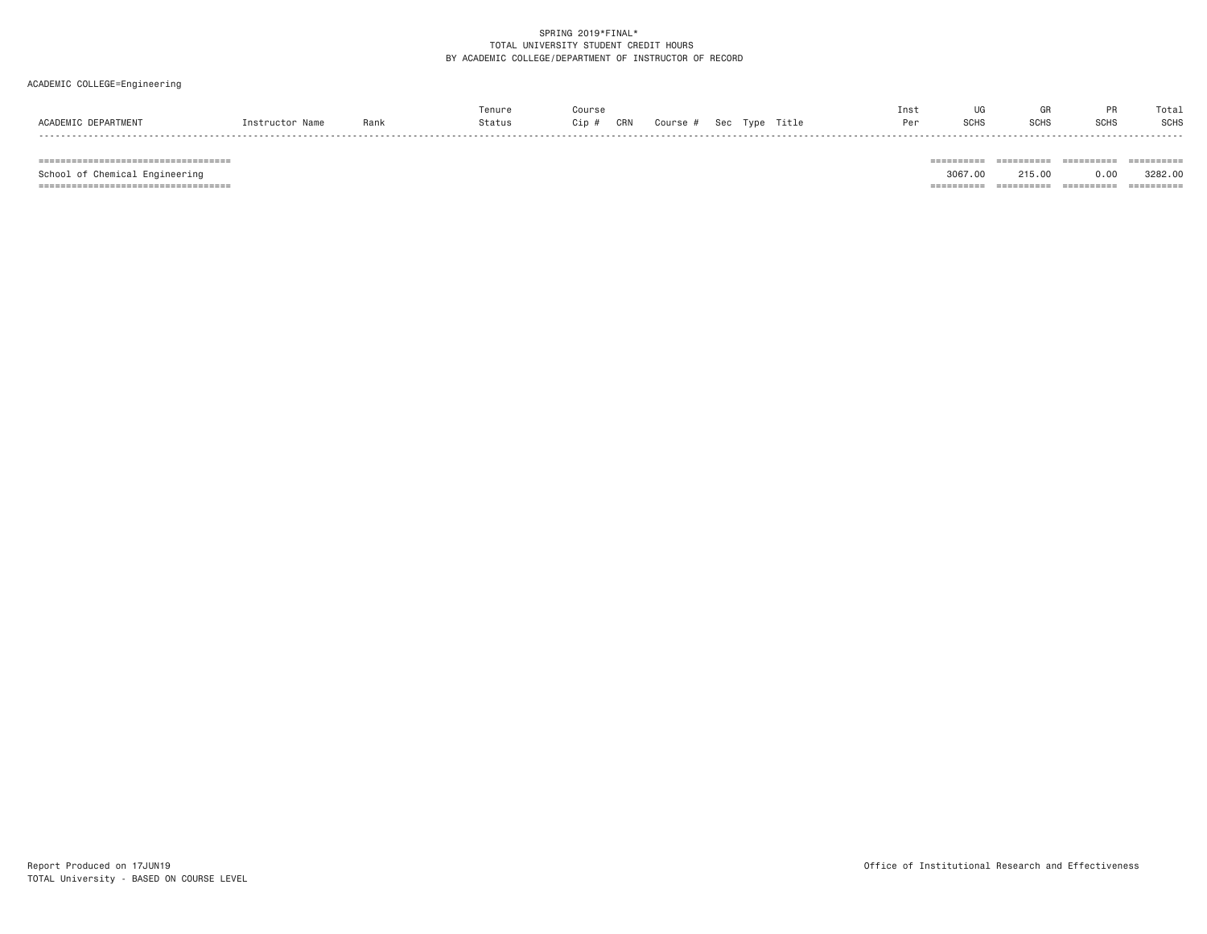# ACADEMIC COLLEGE=Engineering

|                        |                 |      | enure  | Course       |          |                | Ins <sup>.</sup> | ПG          |     |             | Tota:       |
|------------------------|-----------------|------|--------|--------------|----------|----------------|------------------|-------------|-----|-------------|-------------|
| ACADEMIC<br>DEPARTMENT | nstructor Name. | Rank | Status | CRN<br>Cip # | Course # | Sec Type Title | Per              | <b>SCHS</b> | ⊪יט | <b>SCHS</b> | <b>SCHS</b> |
|                        |                 |      |        |              |          |                |                  |             |     |             |             |

=================================== ========== ========== ========== ==========

=================================== ========== ========== ========== ==========

School of Chemical Engineering 3067.00 215.00 0.00 3282.00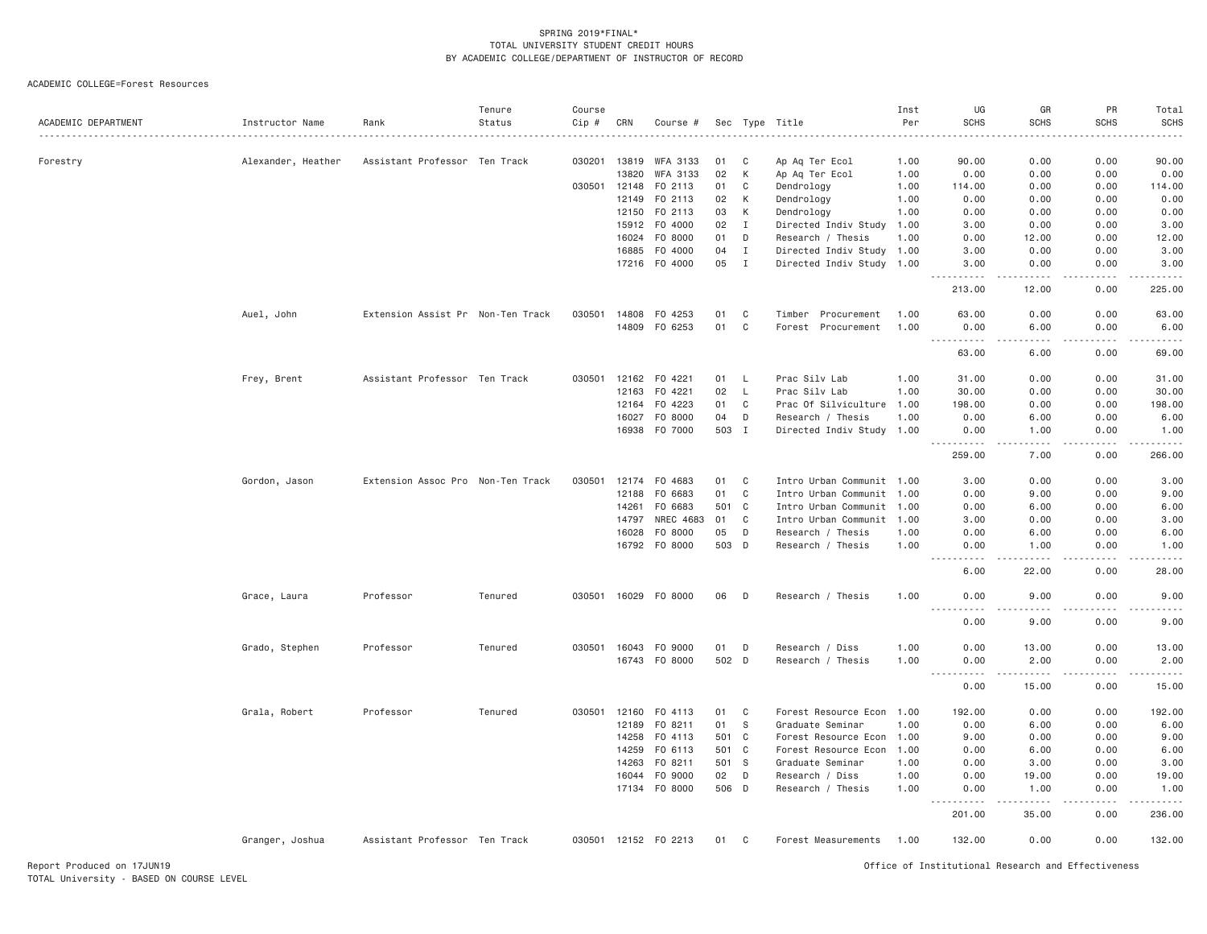ACADEMIC COLLEGE=Forest Resources

| ACADEMIC DEPARTMENT | Instructor Name    | Rank                              | Tenure<br>Status | Course<br>Cip # | CRN   | Course #             |       |              | Sec Type Title            | Inst<br>Per | UG<br><b>SCHS</b>         | GR<br><b>SCHS</b>    | PR<br><b>SCHS</b> | Total<br><b>SCHS</b> |
|---------------------|--------------------|-----------------------------------|------------------|-----------------|-------|----------------------|-------|--------------|---------------------------|-------------|---------------------------|----------------------|-------------------|----------------------|
| Forestry            | Alexander, Heather | Assistant Professor Ten Track     |                  | 030201          | 13819 | WFA 3133             | 01    | C            | Ap Aq Ter Ecol            | 1.00        | 90.00                     | 0.00                 | 0.00              | 90.00                |
|                     |                    |                                   |                  |                 | 13820 | WFA 3133             | 02    | К            | Ap Aq Ter Ecol            | 1.00        | 0.00                      | 0.00                 | 0.00              | 0.00                 |
|                     |                    |                                   |                  | 030501 12148    |       | F0 2113              | 01    | C            | Dendrology                | 1.00        | 114.00                    | 0.00                 | 0.00              | 114.00               |
|                     |                    |                                   |                  |                 | 12149 | F0 2113              | 02    | К            | Dendrology                | 1.00        | 0.00                      | 0.00                 | 0.00              | 0.00                 |
|                     |                    |                                   |                  |                 | 12150 | F0 2113              | 03    | К            | Dendrology                | 1.00        | 0.00                      | 0.00                 | 0.00              | 0.00                 |
|                     |                    |                                   |                  |                 | 15912 | F0 4000              | 02    | $\mathbf{I}$ | Directed Indiv Study      | 1.00        | 3.00                      | 0.00                 | 0.00              | 3.00                 |
|                     |                    |                                   |                  |                 | 16024 | F0 8000              | 01    | D            | Research / Thesis         | 1.00        | 0.00                      | 12.00                | 0.00              | 12.00                |
|                     |                    |                                   |                  |                 | 16885 | F0 4000              | 04    | $\mathbf I$  | Directed Indiv Study      | 1.00        | 3.00                      | 0.00                 | 0.00              | 3.00                 |
|                     |                    |                                   |                  |                 |       | 17216 F0 4000        | 05    | $\mathbf{I}$ | Directed Indiv Study 1.00 |             | 3.00                      | 0.00                 | 0.00              | 3.00                 |
|                     |                    |                                   |                  |                 |       |                      |       |              |                           |             | .<br>213.00               | -----<br>12.00       | 0.00              | .<br>225.00          |
|                     | Auel, John         | Extension Assist Pr Non-Ten Track |                  | 030501          |       | 14808 F0 4253        | 01    | C            | Timber Procurement        | 1.00        | 63.00                     | 0.00                 | 0.00              | 63.00                |
|                     |                    |                                   |                  |                 |       | 14809 F0 6253        | 01    | C            | Forest Procurement        | 1.00        | 0.00<br>$- - -$<br>------ | 6.00<br>.            | 0.00<br>-----     | 6.00<br>.            |
|                     |                    |                                   |                  |                 |       |                      |       |              |                           |             | 63.00                     | 6.00                 | 0.00              | 69.00                |
|                     | Frey, Brent        | Assistant Professor Ten Track     |                  | 030501          |       | 12162 F0 4221        | 01    | $\mathsf{L}$ | Prac Silv Lab             | 1.00        | 31.00                     | 0.00                 | 0.00              | 31.00                |
|                     |                    |                                   |                  |                 | 12163 | F0 4221              | 02    | $\mathsf{L}$ | Prac Silv Lab             | 1.00        | 30.00                     | 0.00                 | 0.00              | 30.00                |
|                     |                    |                                   |                  |                 | 12164 | F0 4223              | 01    | C            | Prac Of Silviculture      | 1.00        | 198.00                    | 0.00                 | 0.00              | 198.00               |
|                     |                    |                                   |                  |                 | 16027 | F0 8000              | 04    | D            | Research / Thesis         | 1.00        | 0.00                      | 6.00                 | 0.00              | 6.00                 |
|                     |                    |                                   |                  |                 |       | 16938 F0 7000        | 503 I |              | Directed Indiv Study 1.00 |             | 0.00                      | 1.00                 | 0.00              | 1.00                 |
|                     |                    |                                   |                  |                 |       |                      |       |              |                           |             | ------<br>259.00          | والمحامر<br>7.00     | -----<br>0.00     | .<br>266.00          |
|                     | Gordon, Jason      | Extension Assoc Pro Non-Ten Track |                  | 030501          |       | 12174 FO 4683        | 01    | C            | Intro Urban Communit 1.00 |             | 3.00                      | 0.00                 | 0.00              | 3.00                 |
|                     |                    |                                   |                  |                 | 12188 | FO 6683              | 01    | C            | Intro Urban Communit 1.00 |             | 0.00                      | 9.00                 | 0.00              | 9.00                 |
|                     |                    |                                   |                  |                 | 14261 | F0 6683              | 501 C |              | Intro Urban Communit      | 1.00        | 0.00                      | 6.00                 | 0.00              | 6.00                 |
|                     |                    |                                   |                  |                 | 14797 | NREC 4683            | 01    | $\mathbf C$  | Intro Urban Communit      | 1.00        | 3.00                      | 0.00                 | 0.00              | 3.00                 |
|                     |                    |                                   |                  |                 | 16028 | F0 8000              | 05    | D            | Research / Thesis         | 1.00        | 0.00                      | 6.00                 | 0.00              | 6.00                 |
|                     |                    |                                   |                  |                 |       | 16792 F0 8000        | 503   | D            | Research / Thesis         | 1.00        | 0.00                      | 1.00                 | 0.00              | 1.00                 |
|                     |                    |                                   |                  |                 |       |                      |       |              |                           |             | 6.00                      | 22.00                | 0.00              | 28.00                |
|                     | Grace, Laura       | Professor                         | Tenured          |                 |       | 030501 16029 F0 8000 | 06    | D            | Research / Thesis         | 1.00        | 0.00                      | 9.00                 | 0.00              | 9.00                 |
|                     |                    |                                   |                  |                 |       |                      |       |              |                           |             | 0.00                      | 9.00                 | 0.00              | 9.00                 |
|                     | Grado, Stephen     | Professor                         | Tenured          | 030501 16043    |       | F0 9000              | 01    | D            | Research / Diss           | 1.00        | 0.00                      | 13.00                | 0.00              | 13.00                |
|                     |                    |                                   |                  |                 |       | 16743 FO 8000        | 502 D |              | Research / Thesis         | 1.00        | 0.00                      | 2.00                 | 0.00              | 2.00                 |
|                     |                    |                                   |                  |                 |       |                      |       |              |                           |             | $  -$<br><u>.</u><br>0.00 | $- - - - -$<br>15.00 | -----<br>0.00     | .<br>15.00           |
|                     | Grala, Robert      | Professor                         | Tenured          | 030501 12160    |       | F0 4113              | 01    | C            | Forest Resource Econ 1.00 |             | 192.00                    | 0.00                 | 0.00              | 192.00               |
|                     |                    |                                   |                  |                 | 12189 | FO 8211              | 01    | <sub>S</sub> | Graduate Seminar          | 1.00        | 0.00                      | 6.00                 | 0.00              | 6.00                 |
|                     |                    |                                   |                  |                 | 14258 | FO 4113              | 501   | C            | Forest Resource Econ 1.00 |             | 9.00                      | 0.00                 | 0.00              | 9.00                 |
|                     |                    |                                   |                  |                 | 14259 | F0 6113              | 501 C |              | Forest Resource Econ      | 1.00        | 0.00                      | 6.00                 | 0.00              | 6.00                 |
|                     |                    |                                   |                  |                 | 14263 | F0 8211              | 501   | <b>S</b>     | Graduate Seminar          | 1.00        | 0.00                      | 3.00                 | 0.00              | 3.00                 |
|                     |                    |                                   |                  |                 | 16044 | F0 9000              | 02    | D            | Research / Diss           | 1.00        | 0.00                      | 19.00                | 0.00              | 19.00                |
|                     |                    |                                   |                  |                 |       | 17134 FO 8000        | 506 D |              | Research / Thesis         | 1.00        | 0.00                      | 1,00                 | 0.00              | 1.00                 |
|                     |                    |                                   |                  |                 |       |                      |       |              |                           |             | 201.00                    | 35.00                | 0.00              | .<br>236.00          |
|                     | Granger, Joshua    | Assistant Professor Ten Track     |                  |                 |       | 030501 12152 FO 2213 | 01    | C            | Forest Measurements       | 1.00        | 132.00                    | 0.00                 | 0.00              | 132.00               |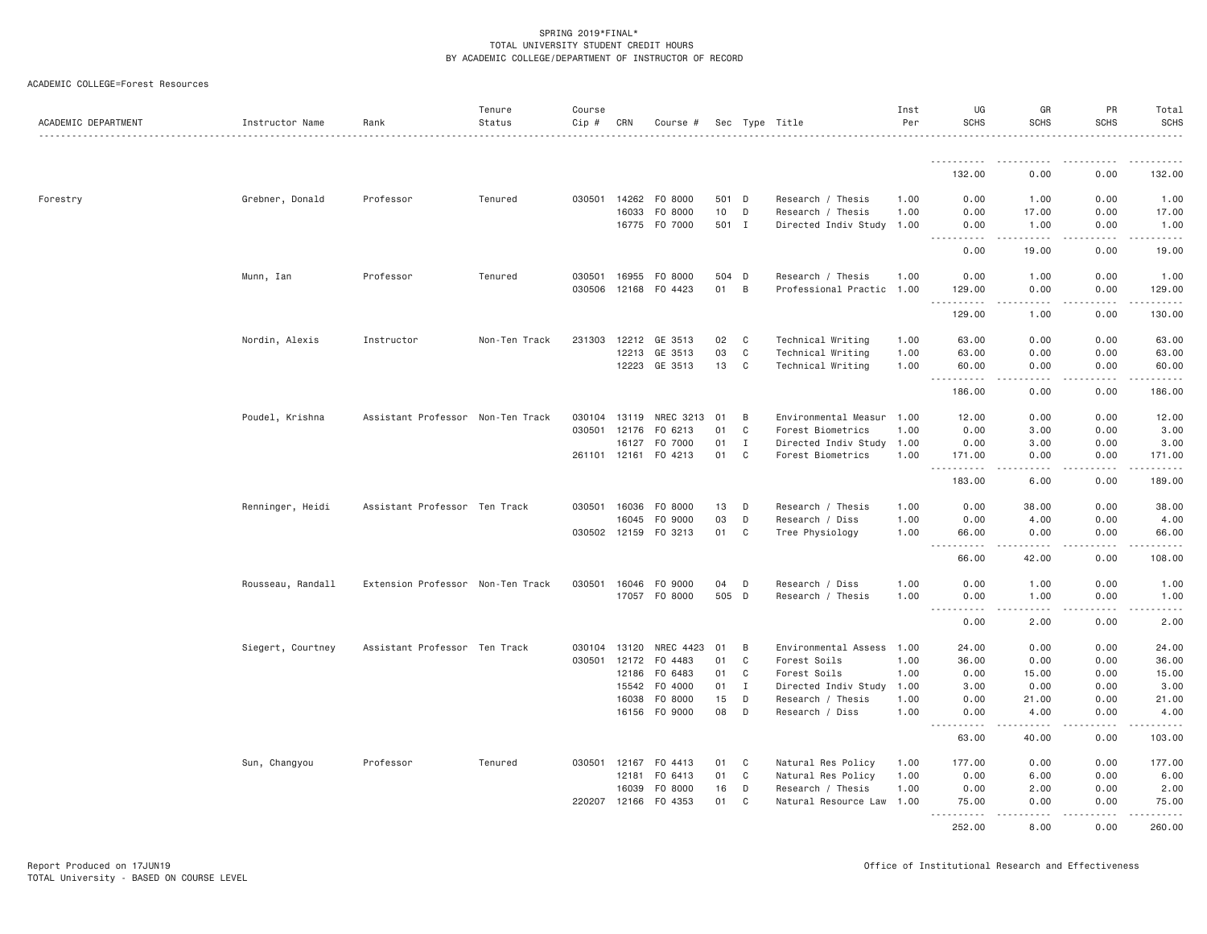| ACADEMIC COLLEGE=Forest Resources |  |
|-----------------------------------|--|
|                                   |  |

| ACADEMIC DEPARTMENT | Instructor Name   | Rank                              | Tenure<br>Status | Course<br>Cip # | CRN   | Course #      |       |              | Sec Type Title            | Inst<br>Per | UG<br><b>SCHS</b>                  | GR<br><b>SCHS</b> | PR<br><b>SCHS</b>                                                                                                                                            | Total<br>SCHS                           |
|---------------------|-------------------|-----------------------------------|------------------|-----------------|-------|---------------|-------|--------------|---------------------------|-------------|------------------------------------|-------------------|--------------------------------------------------------------------------------------------------------------------------------------------------------------|-----------------------------------------|
|                     |                   |                                   |                  |                 |       |               |       |              |                           |             |                                    |                   |                                                                                                                                                              |                                         |
|                     |                   |                                   |                  |                 |       |               |       |              |                           |             | 132.00                             | 0.00              | 0.00                                                                                                                                                         | 132.00                                  |
| Forestry            | Grebner, Donald   | Professor                         | Tenured          | 030501          | 14262 | F0 8000       | 501 D |              | Research / Thesis         | 1.00        | 0.00                               | 1.00              | 0.00                                                                                                                                                         | 1.00                                    |
|                     |                   |                                   |                  |                 | 16033 | F0 8000       | 10    | D            | Research / Thesis         | 1.00        | 0.00                               | 17.00             | 0.00                                                                                                                                                         | 17.00                                   |
|                     |                   |                                   |                  |                 |       | 16775 F0 7000 | 501 I |              | Directed Indiv Study      | 1.00        | 0.00                               | 1.00<br>-----     | 0.00                                                                                                                                                         | 1.00<br>.                               |
|                     |                   |                                   |                  |                 |       |               |       |              |                           |             | .<br>0.00                          | 19.00             | 0.00                                                                                                                                                         | 19.00                                   |
|                     | Munn, Ian         | Professor                         | Tenured          | 030501          | 16955 | F0 8000       | 504 D |              | Research / Thesis         | 1.00        | 0.00                               | 1.00              | 0.00                                                                                                                                                         | 1.00                                    |
|                     |                   |                                   |                  | 030506          | 12168 | F0 4423       | 01    | B            | Professional Practic 1.00 |             | 129.00                             | 0.00              | 0.00                                                                                                                                                         | 129.00                                  |
|                     |                   |                                   |                  |                 |       |               |       |              |                           |             | $\cdots$<br>.<br>129.00            | .<br>1.00         | $\frac{1}{2} \left( \frac{1}{2} \right) \left( \frac{1}{2} \right) \left( \frac{1}{2} \right) \left( \frac{1}{2} \right) \left( \frac{1}{2} \right)$<br>0.00 | $\alpha$ is a set of $\alpha$<br>130.00 |
|                     | Nordin, Alexis    | Instructor                        | Non-Ten Track    | 231303          | 12212 | GE 3513       | 02    | C            | Technical Writing         | 1.00        | 63.00                              | 0.00              | 0.00                                                                                                                                                         | 63.00                                   |
|                     |                   |                                   |                  |                 | 12213 | GE 3513       | 03    | C            | Technical Writing         | 1.00        | 63.00                              | 0.00              | 0.00                                                                                                                                                         | 63.00                                   |
|                     |                   |                                   |                  |                 | 12223 | GE 3513       | 13    | $\mathbf{C}$ | Technical Writing         | 1.00        | 60.00<br>.                         | 0.00<br>.         | 0.00<br>.                                                                                                                                                    | 60.00<br>$- - - - - - -$                |
|                     |                   |                                   |                  |                 |       |               |       |              |                           |             | 186.00                             | 0.00              | 0.00                                                                                                                                                         | 186.00                                  |
|                     | Poudel, Krishna   | Assistant Professor Non-Ten Track |                  | 030104          | 13119 | NREC 3213     | 01    | B            | Environmental Measur      | 1.00        | 12.00                              | 0.00              | 0.00                                                                                                                                                         | 12.00                                   |
|                     |                   |                                   |                  | 030501          | 12176 | F0 6213       | 01    | C            | Forest Biometrics         | 1.00        | 0.00                               | 3.00              | 0.00                                                                                                                                                         | 3.00                                    |
|                     |                   |                                   |                  |                 | 16127 | F0 7000       | 01    | $\mathbf{I}$ | Directed Indiv Study      | 1.00        | 0.00                               | 3.00              | 0.00                                                                                                                                                         | 3.00                                    |
|                     |                   |                                   |                  | 261101 12161    |       | F0 4213       | 01    | C            | Forest Biometrics         | 1.00        | 171.00                             | 0.00              | 0.00                                                                                                                                                         | 171.00                                  |
|                     |                   |                                   |                  |                 |       |               |       |              |                           |             | $\sim$ $\sim$ .<br>.<br>183.00     | 6.00              | .<br>0.00                                                                                                                                                    | .<br>189.00                             |
|                     | Renninger, Heidi  | Assistant Professor Ten Track     |                  | 030501 16036    |       | F0 8000       | 13    | D            | Research / Thesis         | 1.00        | 0.00                               | 38.00             | 0.00                                                                                                                                                         | 38.00                                   |
|                     |                   |                                   |                  |                 | 16045 | F0 9000       | 03    | D            | Research / Diss           | 1.00        | 0.00                               | 4.00              | 0.00                                                                                                                                                         | 4.00                                    |
|                     |                   |                                   |                  | 030502 12159    |       | F0 3213       | 01    | C            | Tree Physiology           | 1.00        | 66.00                              | 0.00              | 0.00                                                                                                                                                         | 66.00                                   |
|                     |                   |                                   |                  |                 |       |               |       |              |                           |             | .<br>$\sim$ $\sim$<br>66.00        | 42.00             | 0.00                                                                                                                                                         | .<br>108.00                             |
|                     | Rousseau, Randall | Extension Professor Non-Ten Track |                  | 030501          | 16046 | F0 9000       | 04    | D            | Research / Diss           | 1.00        | 0.00                               | 1.00              | 0.00                                                                                                                                                         | 1.00                                    |
|                     |                   |                                   |                  |                 | 17057 | F0 8000       | 505 D |              | Research / Thesis         | 1.00        | 0.00                               | 1.00              | 0.00                                                                                                                                                         | 1.00                                    |
|                     |                   |                                   |                  |                 |       |               |       |              |                           |             | .<br>$\sim$ $\sim$ $\sim$<br>0.00  | د د د د<br>2.00   | .<br>0.00                                                                                                                                                    | .<br>2.00                               |
|                     | Siegert, Courtney | Assistant Professor Ten Track     |                  | 030104          | 13120 | NREC 4423     | 01    | B            | Environmental Assess      | 1.00        | 24.00                              | 0.00              | 0.00                                                                                                                                                         | 24.00                                   |
|                     |                   |                                   |                  | 030501          | 12172 | F0 4483       | 01    | C            | Forest Soils              | 1.00        | 36.00                              | 0.00              | 0.00                                                                                                                                                         | 36.00                                   |
|                     |                   |                                   |                  |                 | 12186 | F0 6483       | 01    | C            | Forest Soils              | 1.00        | 0.00                               | 15.00             | 0.00                                                                                                                                                         | 15.00                                   |
|                     |                   |                                   |                  |                 | 15542 | F0 4000       | 01    | $\mathbf{I}$ | Directed Indiv Study      | 1.00        | 3.00                               | 0.00              | 0.00                                                                                                                                                         | 3.00                                    |
|                     |                   |                                   |                  |                 | 16038 | F0 8000       | 15    | D            | Research / Thesis         | 1.00        | 0.00                               | 21.00             | 0.00                                                                                                                                                         | 21.00                                   |
|                     |                   |                                   |                  |                 |       | 16156 FO 9000 | 08    | D            | Research / Diss           | 1.00        | 0.00                               | 4.00              | 0.00                                                                                                                                                         | 4.00                                    |
|                     |                   |                                   |                  |                 |       |               |       |              |                           |             | $\sim$ $\sim$ $\sim$<br>.<br>63.00 | .<br>40.00        | -----<br>0.00                                                                                                                                                | -----<br>103.00                         |
|                     | Sun, Changyou     | Professor                         | Tenured          | 030501          | 12167 | F0 4413       | 01    | C            | Natural Res Policy        | 1.00        | 177.00                             | 0.00              | 0.00                                                                                                                                                         | 177.00                                  |
|                     |                   |                                   |                  |                 | 12181 | F0 6413       | 01    | C            | Natural Res Policy        | 1.00        | 0.00                               | 6.00              | 0.00                                                                                                                                                         | 6.00                                    |
|                     |                   |                                   |                  |                 | 16039 | F0 8000       | 16    | D            | Research / Thesis         | 1.00        | 0.00                               | 2.00              | 0.00                                                                                                                                                         | 2.00                                    |
|                     |                   |                                   |                  | 220207 12166    |       | F0 4353       | 01    | C            | Natural Resource Law 1.00 |             | 75.00                              | 0.00              | 0.00                                                                                                                                                         | 75.00                                   |
|                     |                   |                                   |                  |                 |       |               |       |              |                           |             | <u>.</u><br>252.00                 | .<br>8.00         | $- - - - -$<br>0.00                                                                                                                                          | .<br>260.00                             |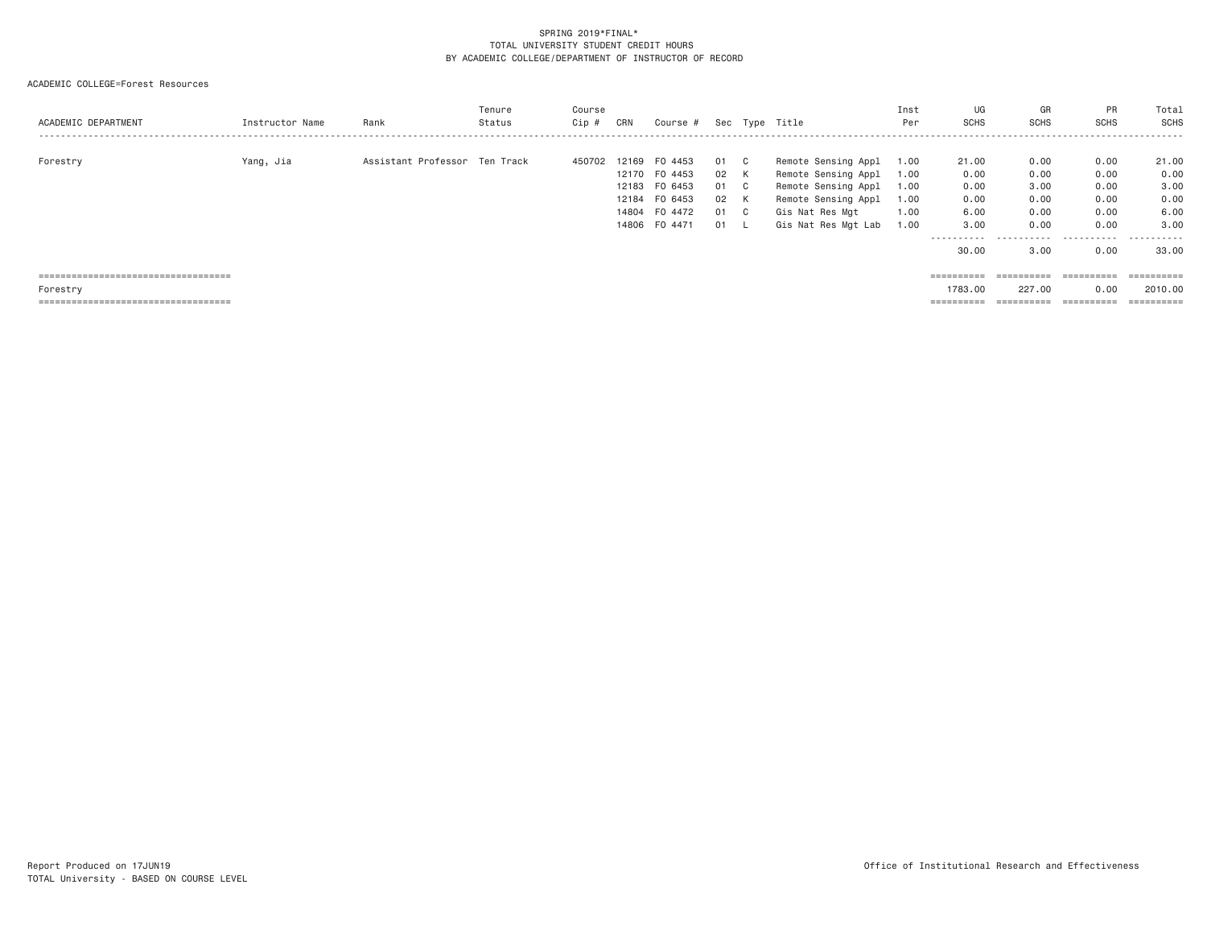| ACADEMIC DEPARTMENT                   | Instructor Name | Rank                          | Tenure<br>Status | Course<br>Cip# | CRN            | Course #           |          |         | Sec Type Title                             | Inst<br>Per  | UG<br><b>SCHS</b>     | GR<br><b>SCHS</b> | PR<br><b>SCHS</b><br> | Total<br><b>SCHS</b> |
|---------------------------------------|-----------------|-------------------------------|------------------|----------------|----------------|--------------------|----------|---------|--------------------------------------------|--------------|-----------------------|-------------------|-----------------------|----------------------|
| Forestry                              | Yang, Jia       | Assistant Professor Ten Track |                  | 450702         | 12169<br>12170 | FO 4453<br>F0 4453 | 01<br>02 | C.<br>K | Remote Sensing Appl<br>Remote Sensing Appl | 1.00<br>1.00 | 21,00<br>0.00         | 0.00<br>0.00      | 0.00<br>0.00          | 21.00<br>0.00        |
|                                       |                 |                               |                  |                | 12183          | FO 6453            | 01       | C.      | Remote Sensing Appl                        | 1.00         | 0.00                  | 3,00              | 0.00                  | 3.00                 |
|                                       |                 |                               |                  |                | 12184<br>14804 | FO 6453<br>F0 4472 | 02<br>01 | ĸ<br>C. | Remote Sensing Appl<br>Gis Nat Res Mgt     | 1.00<br>1.00 | 0.00<br>6.00          | 0.00<br>0.00      | 0.00<br>0.00          | 0.00<br>6.00         |
|                                       |                 |                               |                  |                | 14806          | F0 4471            | 01       |         | Gis Nat Res Mgt Lab                        | 1.00         | 3.00                  | 0.00              | 0.00                  | 3.00                 |
|                                       |                 |                               |                  |                |                |                    |          |         |                                            |              | .<br>30.00            | .<br>3,00         | .<br>0.00             | .<br>33.00           |
| ===================================== |                 |                               |                  |                |                |                    |          |         |                                            |              | $=$ = = = = = = = = = | ==========        | ==========            |                      |
| Forestry                              |                 |                               |                  |                |                |                    |          |         |                                            |              | 1783.00               | 227,00            | 0.00                  | 2010.00              |
| ===================================== |                 |                               |                  |                |                |                    |          |         |                                            |              | ==========            | ==========        | ==========            |                      |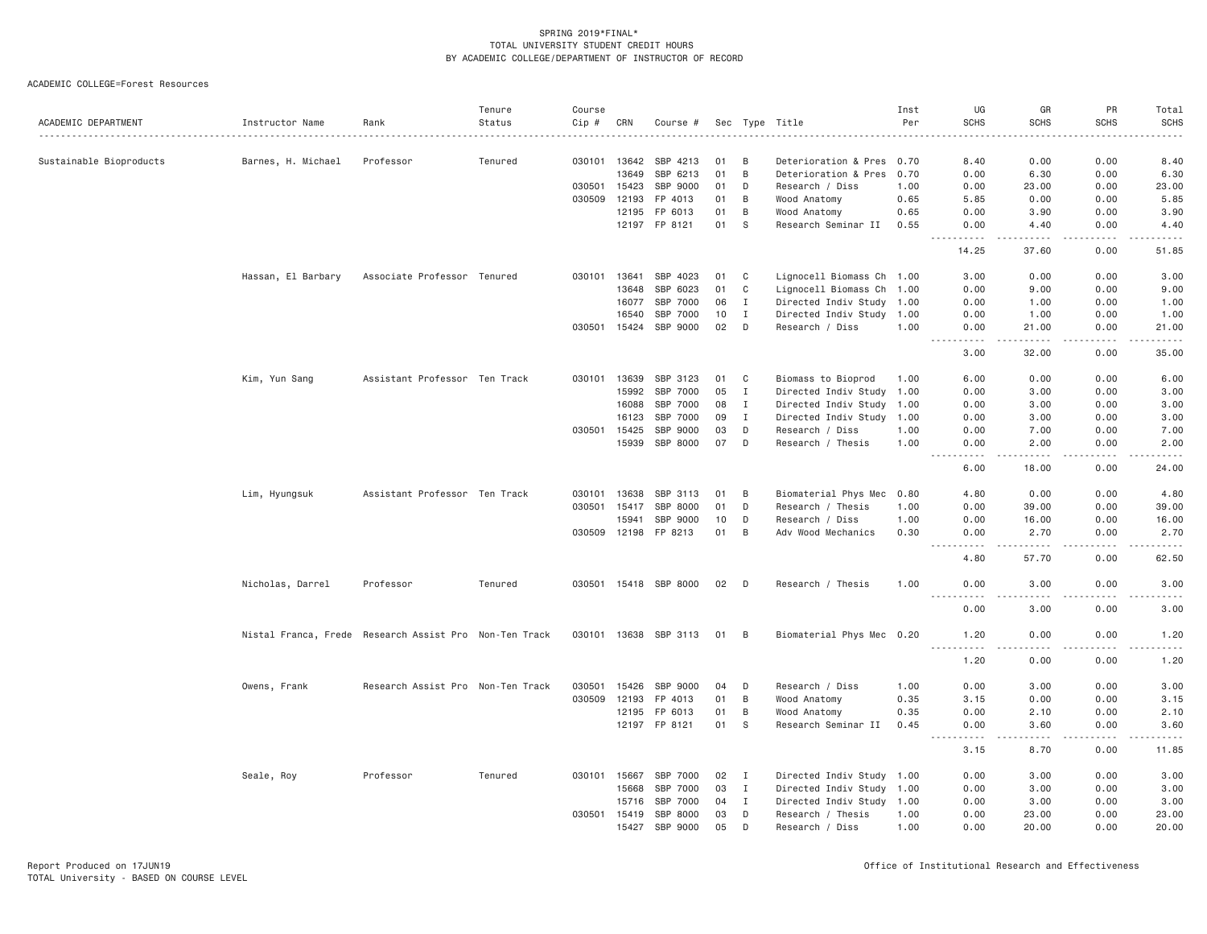| ACADEMIC DEPARTMENT     | Instructor Name                                        | Rank                              | Tenure<br>Status | Course<br>Cip # | CRN   | Course #              |    |             | Sec Type Title            | Inst<br>Per | UG<br><b>SCHS</b>                    | GR<br><b>SCHS</b>                                                                                                                                    | PR<br><b>SCHS</b>                   | Total<br><b>SCHS</b> |
|-------------------------|--------------------------------------------------------|-----------------------------------|------------------|-----------------|-------|-----------------------|----|-------------|---------------------------|-------------|--------------------------------------|------------------------------------------------------------------------------------------------------------------------------------------------------|-------------------------------------|----------------------|
| Sustainable Bioproducts | Barnes, H. Michael                                     | Professor                         | Tenured          | 030101 13642    |       | SBP 4213              | 01 | B           | Deterioration & Pres 0.70 |             | 8.40                                 | 0.00                                                                                                                                                 | 0.00                                | 8.40                 |
|                         |                                                        |                                   |                  |                 | 13649 | SBP 6213              | 01 | B           | Deterioration & Pres      | 0.70        | 0.00                                 | 6.30                                                                                                                                                 | 0.00                                | 6.30                 |
|                         |                                                        |                                   |                  | 030501          | 15423 | SBP 9000              | 01 | D           | Research / Diss           | 1.00        | 0.00                                 | 23.00                                                                                                                                                | 0.00                                | 23.00                |
|                         |                                                        |                                   |                  | 030509          | 12193 | FP 4013               | 01 | B           | Wood Anatomy              | 0.65        | 5.85                                 | 0.00                                                                                                                                                 | 0.00                                | 5.85                 |
|                         |                                                        |                                   |                  |                 | 12195 | FP 6013               | 01 | B           | Wood Anatomy              | 0.65        | 0.00                                 | 3.90                                                                                                                                                 | 0.00                                | 3,90                 |
|                         |                                                        |                                   |                  |                 |       | 12197 FP 8121         | 01 | S           | Research Seminar II       | 0.55        | 0.00                                 | 4.40                                                                                                                                                 | 0.00                                | 4.40                 |
|                         |                                                        |                                   |                  |                 |       |                       |    |             |                           |             | . <b>.</b><br>14.25                  | .<br>37.60                                                                                                                                           | .<br>0.00                           | .<br>51.85           |
|                         | Hassan, El Barbary                                     | Associate Professor Tenured       |                  | 030101          | 13641 | SBP 4023              | 01 | C           | Lignocell Biomass Ch 1.00 |             | 3.00                                 | 0.00                                                                                                                                                 | 0.00                                | 3.00                 |
|                         |                                                        |                                   |                  |                 | 13648 | SBP 6023              | 01 | C           | Lignocell Biomass Ch      | 1.00        | 0.00                                 | 9.00                                                                                                                                                 | 0.00                                | 9.00                 |
|                         |                                                        |                                   |                  |                 | 16077 | SBP 7000              | 06 | I           | Directed Indiv Study 1.00 |             | 0.00                                 | 1.00                                                                                                                                                 | 0.00                                | 1.00                 |
|                         |                                                        |                                   |                  |                 | 16540 | SBP 7000              | 10 | I           | Directed Indiv Study      | 1.00        | 0.00                                 | 1.00                                                                                                                                                 | 0.00                                | 1.00                 |
|                         |                                                        |                                   |                  | 030501          | 15424 | SBP 9000              | 02 | D           | Research / Diss           | 1.00        | 0.00<br>.                            | 21.00<br>د د د د د                                                                                                                                   | 0.00<br>.                           | 21.00<br>.           |
|                         |                                                        |                                   |                  |                 |       |                       |    |             |                           |             | 3.00                                 | 32.00                                                                                                                                                | 0.00                                | 35.00                |
|                         | Kim, Yun Sang                                          | Assistant Professor Ten Track     |                  | 030101          | 13639 | SBP 3123              | 01 | C           | Biomass to Bioprod        | 1.00        | 6.00                                 | 0.00                                                                                                                                                 | 0.00                                | 6.00                 |
|                         |                                                        |                                   |                  |                 | 15992 | SBP 7000              | 05 | $\mathbf I$ | Directed Indiv Study 1.00 |             | 0.00                                 | 3.00                                                                                                                                                 | 0.00                                | 3.00                 |
|                         |                                                        |                                   |                  |                 | 16088 | SBP 7000              | 08 | $\mathbf I$ | Directed Indiv Study 1.00 |             | 0.00                                 | 3.00                                                                                                                                                 | 0.00                                | 3.00                 |
|                         |                                                        |                                   |                  |                 | 16123 | SBP 7000              | 09 | I           | Directed Indiv Study 1.00 |             | 0.00                                 | 3.00                                                                                                                                                 | 0.00                                | 3.00                 |
|                         |                                                        |                                   |                  | 030501          | 15425 | SBP 9000              | 03 | D           | Research / Diss           | 1.00        | 0.00                                 | 7.00                                                                                                                                                 | 0.00                                | 7.00                 |
|                         |                                                        |                                   |                  |                 | 15939 | SBP 8000              | 07 | D           | Research / Thesis         | 1.00        | 0.00                                 | 2,00                                                                                                                                                 | 0.00                                | 2,00                 |
|                         |                                                        |                                   |                  |                 |       |                       |    |             |                           |             | $\sim$ $\sim$ $\sim$ $\sim$<br>6.00  | .<br>18.00                                                                                                                                           | .<br>0.00                           | .<br>24.00           |
|                         | Lim, Hyungsuk                                          | Assistant Professor Ten Track     |                  | 030101          | 13638 | SBP 3113              | 01 | B           | Biomaterial Phys Mec      | 0.80        | 4.80                                 | 0.00                                                                                                                                                 | 0.00                                | 4.80                 |
|                         |                                                        |                                   |                  | 030501          | 15417 | SBP 8000              | 01 | D           | Research / Thesis         | 1.00        | 0.00                                 | 39.00                                                                                                                                                | 0.00                                | 39.00                |
|                         |                                                        |                                   |                  |                 | 15941 | SBP 9000              | 10 | D           | Research / Diss           | 1.00        | 0.00                                 | 16.00                                                                                                                                                | 0.00                                | 16.00                |
|                         |                                                        |                                   |                  | 030509          | 12198 | FP 8213               | 01 | B           | Adv Wood Mechanics        | 0.30        | 0.00                                 | 2.70                                                                                                                                                 | 0.00                                | 2.70                 |
|                         |                                                        |                                   |                  |                 |       |                       |    |             |                           |             | $\sim$ $\sim$ $\sim$<br>.            | $\frac{1}{2} \left( \frac{1}{2} \right) \left( \frac{1}{2} \right) \left( \frac{1}{2} \right) \left( \frac{1}{2} \right) \left( \frac{1}{2} \right)$ | .                                   | .                    |
|                         |                                                        |                                   |                  |                 |       |                       |    |             |                           |             | 4.80                                 | 57.70                                                                                                                                                | 0.00                                | 62.50                |
|                         | Nicholas, Darrel                                       | Professor                         | Tenured          |                 |       | 030501 15418 SBP 8000 | 02 | D           | Research / Thesis         | 1.00        | 0.00<br>$\frac{1}{2}$<br>$- - - - -$ | 3,00<br>. <i>. .</i>                                                                                                                                 | 0.00<br>.                           | 3.00<br>والمستحدث    |
|                         |                                                        |                                   |                  |                 |       |                       |    |             |                           |             | 0.00                                 | 3.00                                                                                                                                                 | 0.00                                | 3.00                 |
|                         | Nistal Franca, Frede Research Assist Pro Non-Ten Track |                                   |                  |                 |       | 030101 13638 SBP 3113 | 01 | B           | Biomaterial Phys Mec 0.20 |             | 1.20<br>.                            | 0.00<br>.                                                                                                                                            | 0.00<br>.                           | 1.20<br>.            |
|                         |                                                        |                                   |                  |                 |       |                       |    |             |                           |             | 1.20                                 | 0.00                                                                                                                                                 | 0.00                                | 1.20                 |
|                         | Owens, Frank                                           | Research Assist Pro Non-Ten Track |                  | 030501          | 15426 | SBP 9000              | 04 | D           | Research / Diss           | 1.00        | 0.00                                 | 3.00                                                                                                                                                 | 0.00                                | 3.00                 |
|                         |                                                        |                                   |                  | 030509          | 12193 | FP 4013               | 01 | B           | Wood Anatomy              | 0.35        | 3.15                                 | 0.00                                                                                                                                                 | 0.00                                | 3.15                 |
|                         |                                                        |                                   |                  |                 | 12195 | FP 6013               | 01 | B           | Wood Anatomy              | 0.35        | 0.00                                 | 2.10                                                                                                                                                 | 0.00                                | 2.10                 |
|                         |                                                        |                                   |                  |                 | 12197 | FP 8121               | 01 | S           | Research Seminar II       | 0.45        | 0.00<br>$\sim$ $\sim$ $\sim$<br>.    | 3.60<br>$\sim$ $\sim$ $\sim$ $\sim$                                                                                                                  | 0.00<br>$\sim$ $\sim$ $\sim$ $\sim$ | 3.60<br>$   -$       |
|                         |                                                        |                                   |                  |                 |       |                       |    |             |                           |             | 3.15                                 | 8.70                                                                                                                                                 | 0.00                                | 11.85                |
|                         | Seale, Roy                                             | Professor                         | Tenured          | 030101          | 15667 | SBP 7000              | 02 | I           | Directed Indiv Study 1.00 |             | 0.00                                 | 3.00                                                                                                                                                 | 0.00                                | 3.00                 |
|                         |                                                        |                                   |                  |                 | 15668 | SBP 7000              | 03 | I           | Directed Indiv Study      | 1.00        | 0.00                                 | 3.00                                                                                                                                                 | 0.00                                | 3.00                 |
|                         |                                                        |                                   |                  |                 | 15716 | SBP 7000              | 04 | I           | Directed Indiv Study 1.00 |             | 0.00                                 | 3.00                                                                                                                                                 | 0.00                                | 3.00                 |
|                         |                                                        |                                   |                  | 030501          | 15419 | SBP 8000              | 03 | D           | Research / Thesis         | 1.00        | 0.00                                 | 23.00                                                                                                                                                | 0.00                                | 23.00                |
|                         |                                                        |                                   |                  |                 | 15427 | SBP 9000              | 05 | D           | Research / Diss           | 1.00        | 0.00                                 | 20.00                                                                                                                                                | 0.00                                | 20.00                |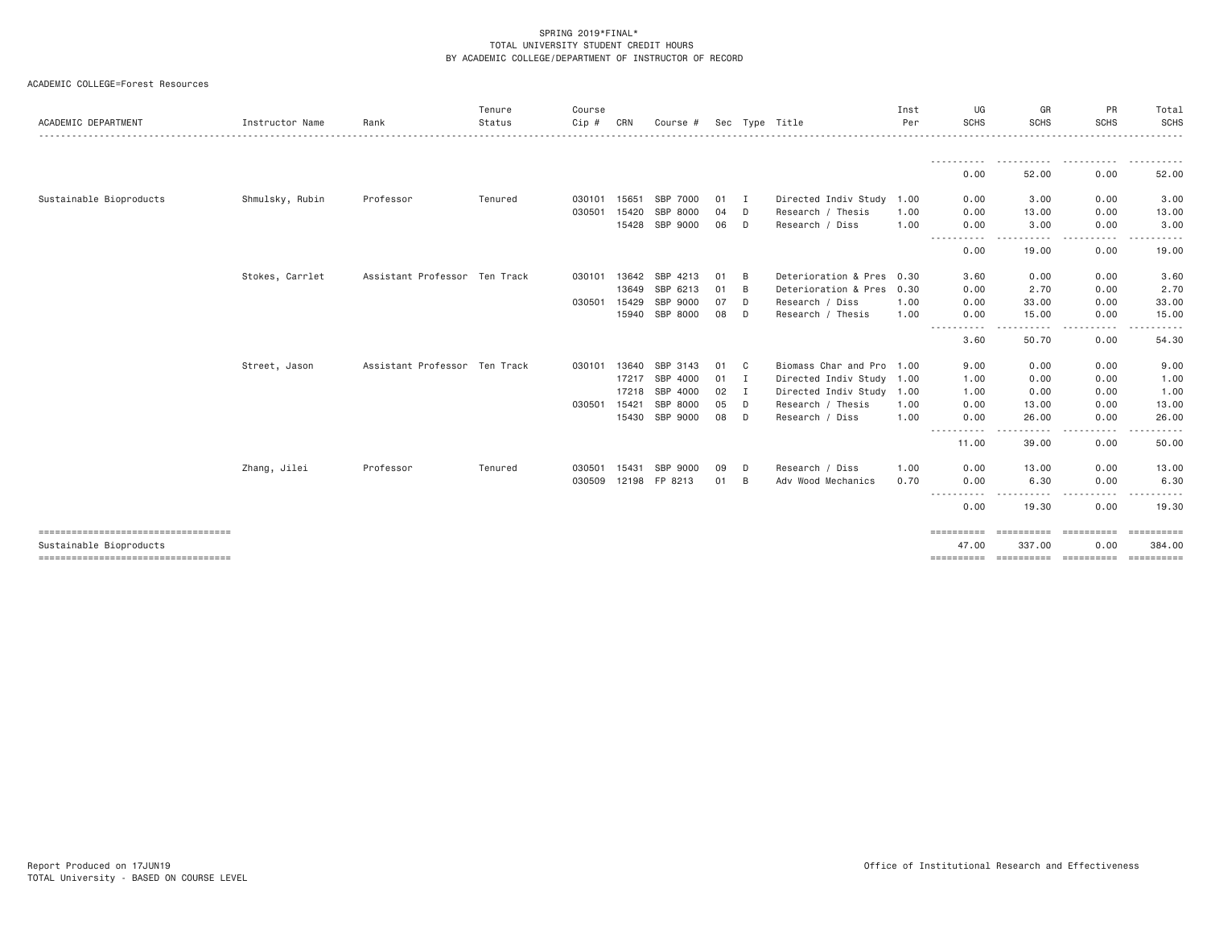| ACADEMIC DEPARTMENT                                             | Instructor Name | Rank                          | Tenure<br>Status | Course<br>Cip # | CRN   | Course #       |    |              | Sec Type Title            | Inst<br>Per | UG<br><b>SCHS</b>                                                                                                                                                                                | GR<br><b>SCHS</b>  | PR<br><b>SCHS</b>                                                                                                                                                                                                                                                                         | Total<br>SCHS                                                                                                                                                                            |
|-----------------------------------------------------------------|-----------------|-------------------------------|------------------|-----------------|-------|----------------|----|--------------|---------------------------|-------------|--------------------------------------------------------------------------------------------------------------------------------------------------------------------------------------------------|--------------------|-------------------------------------------------------------------------------------------------------------------------------------------------------------------------------------------------------------------------------------------------------------------------------------------|------------------------------------------------------------------------------------------------------------------------------------------------------------------------------------------|
|                                                                 |                 |                               |                  |                 |       |                |    |              |                           |             | - - - - - - - - - - -                                                                                                                                                                            | .                  | .                                                                                                                                                                                                                                                                                         | <u>.</u>                                                                                                                                                                                 |
|                                                                 |                 |                               |                  |                 |       |                |    |              |                           |             | 0.00                                                                                                                                                                                             | 52.00              | 0.00                                                                                                                                                                                                                                                                                      | 52.00                                                                                                                                                                                    |
| Sustainable Bioproducts                                         | Shmulsky, Rubin | Professor                     | Tenured          | 030101          | 15651 | SBP 7000       | 01 | I            | Directed Indiv Study 1.00 |             | 0.00                                                                                                                                                                                             | 3.00               | 0.00                                                                                                                                                                                                                                                                                      | 3.00                                                                                                                                                                                     |
|                                                                 |                 |                               |                  | 030501          | 15420 | SBP 8000       | 04 | D            | Research / Thesis         | 1.00        | 0.00                                                                                                                                                                                             | 13.00              | 0.00                                                                                                                                                                                                                                                                                      | 13.00                                                                                                                                                                                    |
|                                                                 |                 |                               |                  |                 | 15428 | SBP 9000       | 06 | D            | Research / Diss           | 1.00        | 0.00<br>----<br>----                                                                                                                                                                             | 3.00<br>-----      | 0.00<br>$\frac{1}{2} \left( \frac{1}{2} \right) \left( \frac{1}{2} \right) \left( \frac{1}{2} \right) \left( \frac{1}{2} \right) \left( \frac{1}{2} \right)$<br>$\cdots$                                                                                                                  | 3.00<br><u>.</u>                                                                                                                                                                         |
|                                                                 |                 |                               |                  |                 |       |                |    |              |                           |             | 0.00                                                                                                                                                                                             | 19.00              | 0.00                                                                                                                                                                                                                                                                                      | 19.00                                                                                                                                                                                    |
|                                                                 | Stokes, Carrlet | Assistant Professor Ten Track |                  | 030101          | 13642 | SBP 4213       | 01 | B            | Deterioration & Pres      | 0.30        | 3,60                                                                                                                                                                                             | 0.00               | 0.00                                                                                                                                                                                                                                                                                      | 3.60                                                                                                                                                                                     |
|                                                                 |                 |                               |                  |                 | 13649 | SBP 6213       | 01 | B            | Deterioration & Pres 0.30 |             | 0.00                                                                                                                                                                                             | 2.70               | 0.00                                                                                                                                                                                                                                                                                      | 2.70                                                                                                                                                                                     |
|                                                                 |                 |                               |                  | 030501          | 15429 | SBP 9000       | 07 | D            | Research / Diss           | 1,00        | 0.00                                                                                                                                                                                             | 33.00              | 0.00                                                                                                                                                                                                                                                                                      | 33.00                                                                                                                                                                                    |
|                                                                 |                 |                               |                  |                 |       | 15940 SBP 8000 | 08 | D            | Research / Thesis         | 1.00        | 0.00<br>- - - -                                                                                                                                                                                  | 15.00<br>- - - - - | 0.00<br>- - - - -                                                                                                                                                                                                                                                                         | 15.00<br>.                                                                                                                                                                               |
|                                                                 |                 |                               |                  |                 |       |                |    |              |                           |             | 3.60                                                                                                                                                                                             | 50.70              | 0.00                                                                                                                                                                                                                                                                                      | 54.30                                                                                                                                                                                    |
|                                                                 | Street, Jason   | Assistant Professor Ten Track |                  | 030101          | 13640 | SBP 3143       | 01 | C            | Biomass Char and Pro 1.00 |             | 9.00                                                                                                                                                                                             | 0.00               | 0.00                                                                                                                                                                                                                                                                                      | 9.00                                                                                                                                                                                     |
|                                                                 |                 |                               |                  |                 | 17217 | SBP 4000       | 01 | $\mathbf{I}$ | Directed Indiv Study 1.00 |             | 1.00                                                                                                                                                                                             | 0.00               | 0.00                                                                                                                                                                                                                                                                                      | 1.00                                                                                                                                                                                     |
|                                                                 |                 |                               |                  |                 | 17218 | SBP 4000       | 02 | I            | Directed Indiv Study 1.00 |             | 1.00                                                                                                                                                                                             | 0.00               | 0.00                                                                                                                                                                                                                                                                                      | 1.00                                                                                                                                                                                     |
|                                                                 |                 |                               |                  | 030501          | 15421 | SBP 8000       | 05 | D            | Research / Thesis         | 1.00        | 0.00                                                                                                                                                                                             | 13.00              | 0.00                                                                                                                                                                                                                                                                                      | 13.00                                                                                                                                                                                    |
|                                                                 |                 |                               |                  |                 | 15430 | SBP 9000       | 08 | D            | Research / Diss           | 1.00        | 0.00<br>$\frac{1}{2} \left( \frac{1}{2} \right) \left( \frac{1}{2} \right) \left( \frac{1}{2} \right) \left( \frac{1}{2} \right) \left( \frac{1}{2} \right) \left( \frac{1}{2} \right)$<br>----- | 26.00<br>.         | 0.00<br>.                                                                                                                                                                                                                                                                                 | 26.00                                                                                                                                                                                    |
|                                                                 |                 |                               |                  |                 |       |                |    |              |                           |             | 11,00                                                                                                                                                                                            | 39.00              | 0.00                                                                                                                                                                                                                                                                                      | 50.00                                                                                                                                                                                    |
|                                                                 | Zhang, Jilei    | Professor                     | Tenured          | 030501          | 15431 | SBP 9000       | 09 | D            | Research / Diss           | 1.00        | 0.00                                                                                                                                                                                             | 13.00              | 0.00                                                                                                                                                                                                                                                                                      | 13.00                                                                                                                                                                                    |
|                                                                 |                 |                               |                  | 030509          | 12198 | FP 8213        | 01 | B            | Adv Wood Mechanics        | 0.70        | 0.00                                                                                                                                                                                             | 6.30<br>$- - - -$  | 0.00                                                                                                                                                                                                                                                                                      | 6.30<br>$- - -$                                                                                                                                                                          |
|                                                                 |                 |                               |                  |                 |       |                |    |              |                           |             | -----------<br>0.00                                                                                                                                                                              | .<br>19.30         | $\frac{1}{2} \left( \frac{1}{2} \right) \left( \frac{1}{2} \right) \left( \frac{1}{2} \right)$<br>$\frac{1}{2} \left( \frac{1}{2} \right) \left( \frac{1}{2} \right) \left( \frac{1}{2} \right) \left( \frac{1}{2} \right) \left( \frac{1}{2} \right) \left( \frac{1}{2} \right)$<br>0.00 | $\frac{1}{2} \left( \frac{1}{2} \right) \left( \frac{1}{2} \right) \left( \frac{1}{2} \right) \left( \frac{1}{2} \right) \left( \frac{1}{2} \right) \left( \frac{1}{2} \right)$<br>19.30 |
| ------------------------------------<br>Sustainable Bioproducts |                 |                               |                  |                 |       |                |    |              |                           |             | ==========<br>47.00                                                                                                                                                                              | 337,00             | 0.00                                                                                                                                                                                                                                                                                      | ==========<br>384,00                                                                                                                                                                     |
| ====================================                            |                 |                               |                  |                 |       |                |    |              |                           |             | ==========                                                                                                                                                                                       |                    |                                                                                                                                                                                                                                                                                           |                                                                                                                                                                                          |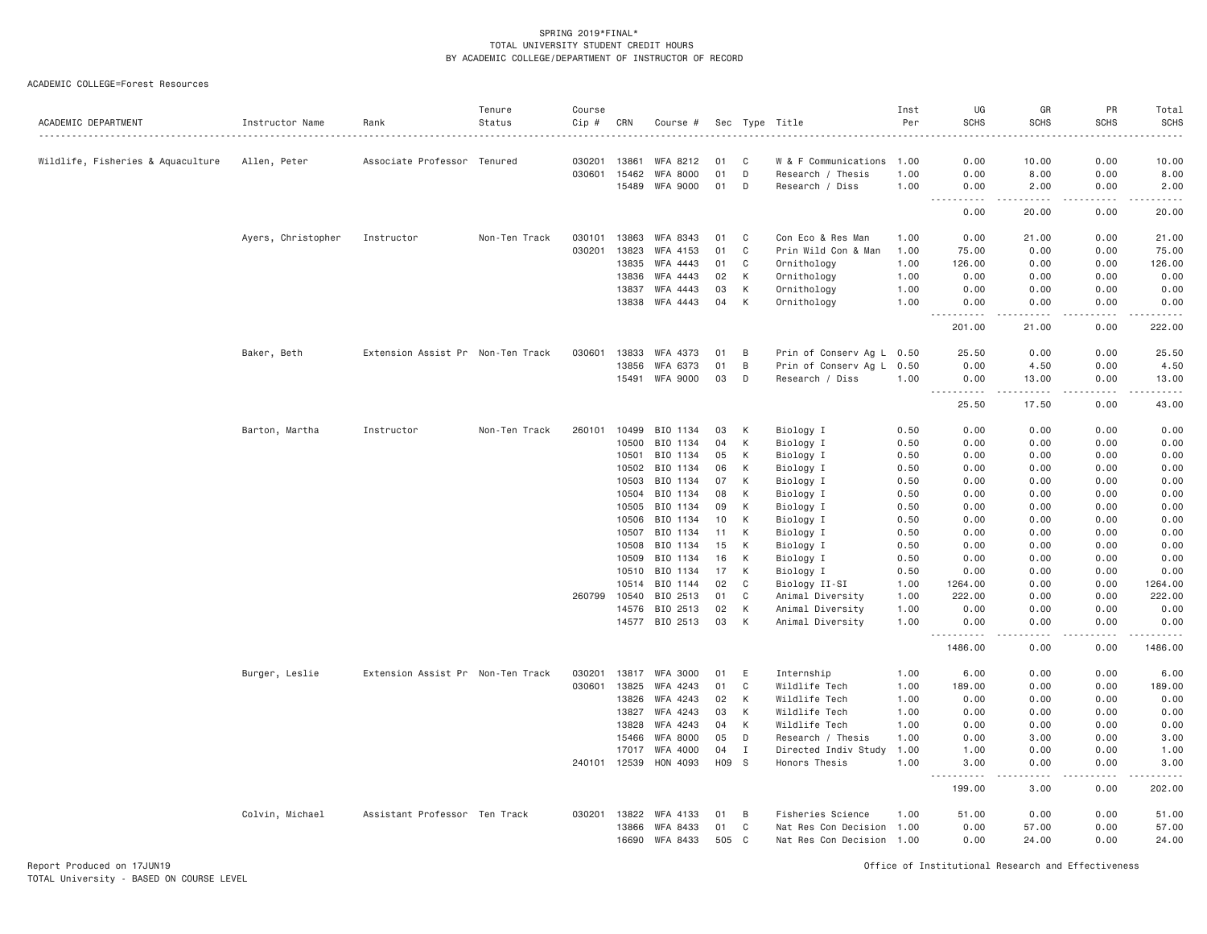ACADEMIC COLLEGE=Forest Resources

| ACADEMIC DEPARTMENT               | Instructor Name    | Rank                              | Tenure<br>Status | Course<br>Cip #  | CRN            | Course #                   |          |              | Sec Type Title                       | Inst<br>Per  | UG<br><b>SCHS</b>                                           | GR<br><b>SCHS</b>                    | PR<br><b>SCHS</b> | Total<br><b>SCHS</b><br>$\frac{1}{2} \left( \frac{1}{2} \right) \left( \frac{1}{2} \right) \left( \frac{1}{2} \right) \left( \frac{1}{2} \right)$                                          |
|-----------------------------------|--------------------|-----------------------------------|------------------|------------------|----------------|----------------------------|----------|--------------|--------------------------------------|--------------|-------------------------------------------------------------|--------------------------------------|-------------------|--------------------------------------------------------------------------------------------------------------------------------------------------------------------------------------------|
| Wildlife, Fisheries & Aquaculture | Allen, Peter       | Associate Professor Tenured       |                  | 030201           | 13861          | WFA 8212                   | 01       | C            | W & F Communications                 | 1.00         | 0.00                                                        | 10.00                                | 0.00              | 10.00                                                                                                                                                                                      |
|                                   |                    |                                   |                  | 030601           | 15462          | <b>WFA 8000</b>            | 01       | D            | Research / Thesis                    | 1.00         | 0.00                                                        | 8.00                                 | 0.00              | 8.00                                                                                                                                                                                       |
|                                   |                    |                                   |                  |                  | 15489          | WFA 9000                   | 01       | D            | Research / Diss                      | 1.00         | 0.00                                                        | 2.00                                 | 0.00              | 2.00                                                                                                                                                                                       |
|                                   |                    |                                   |                  |                  |                |                            |          |              |                                      |              | $\sim$ $\sim$ $\sim$<br>لأعاجب<br>0.00                      | -----<br>20.00                       | .<br>0.00         | المستما<br>20.00                                                                                                                                                                           |
|                                   | Ayers, Christopher | Instructor                        | Non-Ten Track    | 030101           | 13863          | WFA 8343                   | 01       | C            | Con Eco & Res Man                    | 1.00         | 0.00                                                        | 21.00                                | 0.00              | 21.00                                                                                                                                                                                      |
|                                   |                    |                                   |                  | 030201           | 13823          | WFA 4153                   | 01       | C            | Prin Wild Con & Man                  | 1.00         | 75.00                                                       | 0.00                                 | 0.00              | 75.00                                                                                                                                                                                      |
|                                   |                    |                                   |                  |                  | 13835          | WFA 4443                   | 01       | C            | Ornithology                          | 1.00         | 126.00                                                      | 0.00                                 | 0.00              | 126.00                                                                                                                                                                                     |
|                                   |                    |                                   |                  |                  | 13836          | WFA 4443                   | 02       | К            | Ornithology                          | 1.00         | 0.00                                                        | 0.00                                 | 0.00              | 0.00                                                                                                                                                                                       |
|                                   |                    |                                   |                  |                  | 13837          | WFA 4443                   | 03       | $\,$ K       | Ornithology                          | 1.00         | 0.00                                                        | 0.00                                 | 0.00              | 0.00                                                                                                                                                                                       |
|                                   |                    |                                   |                  |                  | 13838          | WFA 4443                   | 04       | К            | Ornithology                          | 1.00         | 0.00                                                        | 0.00                                 | 0.00              | 0.00                                                                                                                                                                                       |
|                                   |                    |                                   |                  |                  |                |                            |          |              |                                      |              | 201.00                                                      | 21.00                                | 0.00              | 222.00                                                                                                                                                                                     |
|                                   | Baker, Beth        | Extension Assist Pr Non-Ten Track |                  | 030601           | 13833          | WFA 4373                   | 01       | B            | Prin of Conserv Ag L 0.50            |              | 25.50                                                       | 0.00                                 | 0.00              | 25.50                                                                                                                                                                                      |
|                                   |                    |                                   |                  |                  | 13856          | WFA 6373                   | 01       | B            | Prin of Conserv Ag L 0.50            |              | 0.00                                                        | 4.50                                 | 0.00              | 4.50                                                                                                                                                                                       |
|                                   |                    |                                   |                  |                  | 15491          | WFA 9000                   | 03       | D            | Research / Diss                      | 1.00         | 0.00<br>$\sim$ $\sim$ $\sim$<br>$\sim$ $\sim$ $\sim$ $\sim$ | 13.00<br>$\sim$ $\sim$ $\sim$ $\sim$ | 0.00              | 13.00                                                                                                                                                                                      |
|                                   |                    |                                   |                  |                  |                |                            |          |              |                                      |              | 25.50                                                       | 17.50                                | 0.00              | 43.00                                                                                                                                                                                      |
|                                   | Barton, Martha     | Instructor                        | Non-Ten Track    | 260101           | 10499          | BIO 1134                   | 03       | К            | Biology I                            | 0.50         | 0.00                                                        | 0.00                                 | 0.00              | 0.00                                                                                                                                                                                       |
|                                   |                    |                                   |                  |                  | 10500          | BIO 1134                   | 04       | К            | Biology I                            | 0.50         | 0.00                                                        | 0.00                                 | 0.00              | 0.00                                                                                                                                                                                       |
|                                   |                    |                                   |                  |                  | 10501          | BIO 1134                   | 05       | К            | Biology I                            | 0.50         | 0.00                                                        | 0.00                                 | 0.00              | 0.00                                                                                                                                                                                       |
|                                   |                    |                                   |                  |                  | 10502          | BIO 1134                   | 06       | К            | Biology I                            | 0.50         | 0.00                                                        | 0.00                                 | 0.00              | 0.00                                                                                                                                                                                       |
|                                   |                    |                                   |                  |                  | 10503          | BIO 1134                   | 07       | K            | Biology I                            | 0.50         | 0.00                                                        | 0.00                                 | 0.00              | 0.00                                                                                                                                                                                       |
|                                   |                    |                                   |                  |                  | 10504<br>10505 | BIO 1134<br>BIO 1134       | 08<br>09 | К<br>К       | Biology I<br>Biology I               | 0.50<br>0.50 | 0.00<br>0.00                                                | 0.00<br>0.00                         | 0.00<br>0.00      | 0.00<br>0.00                                                                                                                                                                               |
|                                   |                    |                                   |                  |                  | 10506          | BIO 1134                   | 10       | К            | Biology I                            | 0.50         | 0.00                                                        | 0.00                                 | 0.00              | 0.00                                                                                                                                                                                       |
|                                   |                    |                                   |                  |                  | 10507          | BIO 1134                   | 11       | К            | Biology I                            | 0.50         | 0.00                                                        | 0.00                                 | 0.00              | 0.00                                                                                                                                                                                       |
|                                   |                    |                                   |                  |                  | 10508          | BIO 1134                   | 15       | К            | Biology I                            | 0.50         | 0.00                                                        | 0.00                                 | 0.00              | 0.00                                                                                                                                                                                       |
|                                   |                    |                                   |                  |                  | 10509          | BIO 1134                   | 16       | К            | Biology I                            | 0.50         | 0.00                                                        | 0.00                                 | 0.00              | 0.00                                                                                                                                                                                       |
|                                   |                    |                                   |                  |                  | 10510          | BIO 1134                   | 17       | K            | Biology I                            | 0.50         | 0.00                                                        | 0.00                                 | 0.00              | 0.00                                                                                                                                                                                       |
|                                   |                    |                                   |                  |                  | 10514          | BIO 1144                   | 02       | C            | Biology II-SI                        | 1.00         | 1264.00                                                     | 0.00                                 | 0.00              | 1264.00                                                                                                                                                                                    |
|                                   |                    |                                   |                  | 260799           | 10540          | BIO 2513                   | 01       | C            | Animal Diversity                     | 1.00         | 222.00                                                      | 0.00                                 | 0.00              | 222.00                                                                                                                                                                                     |
|                                   |                    |                                   |                  |                  | 14576          | BIO 2513<br>14577 BIO 2513 | 02<br>03 | К<br>K       | Animal Diversity<br>Animal Diversity | 1.00<br>1.00 | 0.00<br>0.00                                                | 0.00<br>0.00                         | 0.00<br>0.00      | 0.00<br>0.00                                                                                                                                                                               |
|                                   |                    |                                   |                  |                  |                |                            |          |              |                                      |              | $\frac{1}{2}$<br>1486.00                                    | 0.00                                 | 0.00              | $\frac{1}{2} \left( \frac{1}{2} \right) \left( \frac{1}{2} \right) \left( \frac{1}{2} \right) \left( \frac{1}{2} \right) \left( \frac{1}{2} \right) \left( \frac{1}{2} \right)$<br>1486.00 |
|                                   |                    |                                   |                  |                  | 13817          |                            |          |              |                                      |              |                                                             |                                      | 0.00              |                                                                                                                                                                                            |
|                                   | Burger, Leslie     | Extension Assist Pr Non-Ten Track |                  | 030201<br>030601 | 13825          | WFA 3000<br>WFA 4243       | 01<br>01 | E<br>C       | Internship<br>Wildlife Tech          | 1.00<br>1.00 | 6.00<br>189.00                                              | 0.00<br>0.00                         | 0.00              | 6.00<br>189.00                                                                                                                                                                             |
|                                   |                    |                                   |                  |                  | 13826          | WFA 4243                   | 02       | К            | Wildlife Tech                        | 1.00         | 0.00                                                        | 0.00                                 | 0.00              | 0.00                                                                                                                                                                                       |
|                                   |                    |                                   |                  |                  | 13827          | WFA 4243                   | 03       | К            | Wildlife Tech                        | 1.00         | 0.00                                                        | 0.00                                 | 0.00              | 0.00                                                                                                                                                                                       |
|                                   |                    |                                   |                  |                  | 13828          | WFA 4243                   | 04       | K            | Wildlife Tech                        | 1.00         | 0.00                                                        | 0.00                                 | 0.00              | 0.00                                                                                                                                                                                       |
|                                   |                    |                                   |                  |                  | 15466          | WFA 8000                   | 05       | D            | Research / Thesis                    | 1.00         | 0.00                                                        | 3.00                                 | 0.00              | 3.00                                                                                                                                                                                       |
|                                   |                    |                                   |                  |                  | 17017          | WFA 4000                   | 04       | $\mathbf{I}$ | Directed Indiv Study                 | 1.00         | 1.00                                                        | 0.00                                 | 0.00              | 1.00                                                                                                                                                                                       |
|                                   |                    |                                   |                  | 240101           | 12539          | HON 4093                   | H09      | <b>S</b>     | Honors Thesis                        | 1.00         | 3.00                                                        | 0.00                                 | 0.00              | 3.00                                                                                                                                                                                       |
|                                   |                    |                                   |                  |                  |                |                            |          |              |                                      |              | 199.00                                                      | 3.00                                 | 0.00              | 202.00                                                                                                                                                                                     |
|                                   | Colvin, Michael    | Assistant Professor Ten Track     |                  | 030201           | 13822          | WFA 4133                   | 01       | B            | Fisheries Science                    | 1.00         | 51.00                                                       | 0.00                                 | 0.00              | 51.00                                                                                                                                                                                      |
|                                   |                    |                                   |                  |                  | 13866          | WFA 8433                   | 01       | C            | Nat Res Con Decision 1.00            |              | 0.00                                                        | 57.00                                | 0.00              | 57.00                                                                                                                                                                                      |
|                                   |                    |                                   |                  |                  | 16690          | WFA 8433                   | 505      | C            | Nat Res Con Decision 1.00            |              | 0.00                                                        | 24.00                                | 0.00              | 24.00                                                                                                                                                                                      |

Report Produced on 17JUN19 Office of Institutional Research and Effectiveness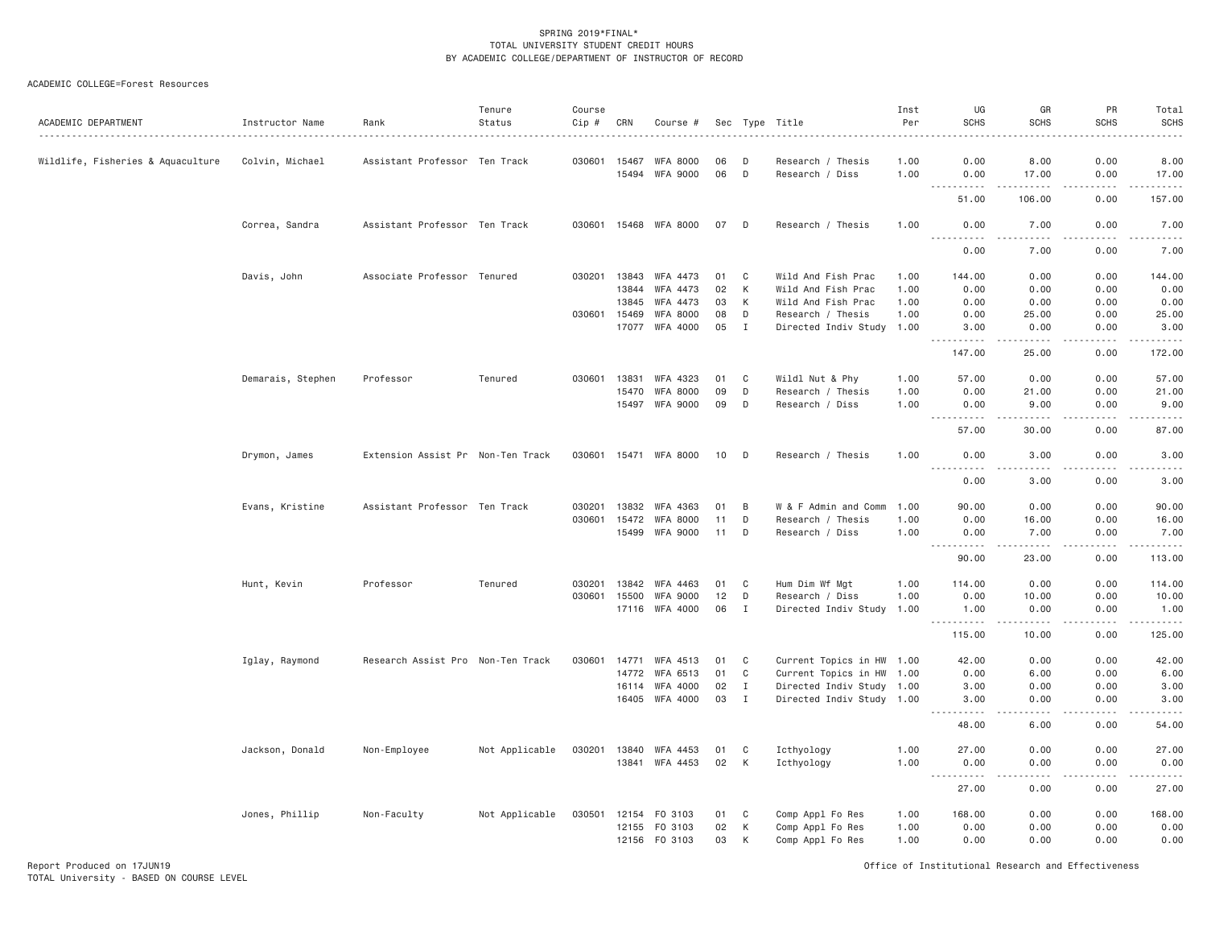| ACADEMIC DEPARTMENT               | Instructor Name   | Rank                              | Tenure<br>Status | Course<br>Cip #<br>$- - - - - -$ | CRN   | Course #              |      |              | Sec Type Title            | Inst<br>Per<br>. | UG<br><b>SCHS</b>                                                                                                                                                                    | GR<br><b>SCHS</b>                                                                                                                                            | PR<br><b>SCHS</b><br><u>.</u> | Total<br><b>SCHS</b><br>. |
|-----------------------------------|-------------------|-----------------------------------|------------------|----------------------------------|-------|-----------------------|------|--------------|---------------------------|------------------|--------------------------------------------------------------------------------------------------------------------------------------------------------------------------------------|--------------------------------------------------------------------------------------------------------------------------------------------------------------|-------------------------------|---------------------------|
| Wildlife, Fisheries & Aquaculture | Colvin, Michael   | Assistant Professor Ten Track     |                  | 030601                           | 15467 | <b>WFA 8000</b>       | 06   | D            | Research / Thesis         | 1.00             | 0.00                                                                                                                                                                                 | 8.00                                                                                                                                                         | 0.00                          | 8.00                      |
|                                   |                   |                                   |                  |                                  | 15494 | WFA 9000              | 06   | D            | Research / Diss           | 1.00             | 0.00                                                                                                                                                                                 | 17.00                                                                                                                                                        | 0.00                          | 17.00<br>والمستحدث        |
|                                   |                   |                                   |                  |                                  |       |                       |      |              |                           |                  | 51.00                                                                                                                                                                                | 106.00                                                                                                                                                       | 0.00                          | 157.00                    |
|                                   | Correa, Sandra    | Assistant Professor Ten Track     |                  |                                  |       | 030601 15468 WFA 8000 | 07 D |              | Research / Thesis         | 1.00             | 0.00<br><u>.</u>                                                                                                                                                                     | 7.00<br>$- - - - -$                                                                                                                                          | 0.00<br>.                     | 7.00<br>.                 |
|                                   |                   |                                   |                  |                                  |       |                       |      |              |                           |                  | 0.00                                                                                                                                                                                 | 7.00                                                                                                                                                         | 0.00                          | 7.00                      |
|                                   | Davis, John       | Associate Professor Tenured       |                  | 030201                           | 13843 | WFA 4473              | 01   | C            | Wild And Fish Prac        | 1.00             | 144.00                                                                                                                                                                               | 0.00                                                                                                                                                         | 0.00                          | 144.00                    |
|                                   |                   |                                   |                  |                                  | 13844 | WFA 4473              | 02   | К            | Wild And Fish Prac        | 1.00             | 0.00                                                                                                                                                                                 | 0.00                                                                                                                                                         | 0.00                          | 0.00                      |
|                                   |                   |                                   |                  |                                  | 13845 | WFA 4473              | 03   | K            | Wild And Fish Prac        | 1.00             | 0.00                                                                                                                                                                                 | 0.00                                                                                                                                                         | 0.00                          | 0.00                      |
|                                   |                   |                                   |                  | 030601                           | 15469 | WFA 8000              | 08   | D            | Research / Thesis         | 1.00             | 0.00                                                                                                                                                                                 | 25.00                                                                                                                                                        | 0.00                          | 25.00                     |
|                                   |                   |                                   |                  |                                  | 17077 | WFA 4000              | 05   | $\mathbf{I}$ | Directed Indiv Study 1.00 |                  | 3.00<br>.                                                                                                                                                                            | 0.00<br>$\frac{1}{2} \left( \frac{1}{2} \right) \left( \frac{1}{2} \right) \left( \frac{1}{2} \right) \left( \frac{1}{2} \right) \left( \frac{1}{2} \right)$ | 0.00<br>.                     | 3.00<br><u>.</u>          |
|                                   |                   |                                   |                  |                                  |       |                       |      |              |                           |                  | 147.00                                                                                                                                                                               | 25.00                                                                                                                                                        | 0.00                          | 172.00                    |
|                                   | Demarais, Stephen | Professor                         | Tenured          | 030601                           | 13831 | WFA 4323              | 01   | C            | Wildl Nut & Phy           | 1.00             | 57.00                                                                                                                                                                                | 0.00                                                                                                                                                         | 0.00                          | 57.00                     |
|                                   |                   |                                   |                  |                                  | 15470 | <b>WFA 8000</b>       | 09   | D            | Research / Thesis         | 1.00             | 0.00                                                                                                                                                                                 | 21.00                                                                                                                                                        | 0.00                          | 21.00                     |
|                                   |                   |                                   |                  |                                  | 15497 | WFA 9000              | 09   | D            | Research / Diss           | 1.00             | 0.00<br>$\sim$ $\sim$ $\sim$<br>.                                                                                                                                                    | 9.00<br>$- - - - -$                                                                                                                                          | 0.00<br>.                     | 9.00<br>.                 |
|                                   |                   |                                   |                  |                                  |       |                       |      |              |                           |                  | 57.00                                                                                                                                                                                | 30.00                                                                                                                                                        | 0.00                          | 87.00                     |
|                                   | Drymon, James     | Extension Assist Pr Non-Ten Track |                  | 030601                           | 15471 | WFA 8000              | 10   | D            | Research / Thesis         | 1.00             | 0.00<br><u>.</u>                                                                                                                                                                     | 3.00<br>.                                                                                                                                                    | 0.00<br>.                     | 3.00<br>.                 |
|                                   |                   |                                   |                  |                                  |       |                       |      |              |                           |                  | 0.00                                                                                                                                                                                 | 3.00                                                                                                                                                         | 0.00                          | 3.00                      |
|                                   | Evans, Kristine   | Assistant Professor Ten Track     |                  | 030201                           | 13832 | WFA 4363              | 01   | B            | W & F Admin and Comm      | 1.00             | 90.00                                                                                                                                                                                | 0.00                                                                                                                                                         | 0.00                          | 90.00                     |
|                                   |                   |                                   |                  | 030601                           | 15472 | <b>WFA 8000</b>       | 11   | D            | Research / Thesis         | 1.00             | 0.00                                                                                                                                                                                 | 16.00                                                                                                                                                        | 0.00                          | 16.00                     |
|                                   |                   |                                   |                  |                                  | 15499 | WFA 9000              | 11   | D            | Research / Diss           | 1.00             | 0.00<br>.                                                                                                                                                                            | 7.00<br>$- - - - -$                                                                                                                                          | 0.00<br>.                     | 7.00<br>.                 |
|                                   |                   |                                   |                  |                                  |       |                       |      |              |                           |                  | 90.00                                                                                                                                                                                | 23.00                                                                                                                                                        | 0.00                          | 113.00                    |
|                                   | Hunt, Kevin       | Professor                         | Tenured          | 030201                           | 13842 | WFA 4463              | 01   | C            | Hum Dim Wf Mgt            | 1.00             | 114.00                                                                                                                                                                               | 0.00                                                                                                                                                         | 0.00                          | 114.00                    |
|                                   |                   |                                   |                  | 030601                           | 15500 | <b>WFA 9000</b>       | 12   | D            | Research / Diss           | 1.00             | 0.00                                                                                                                                                                                 | 10.00                                                                                                                                                        | 0.00                          | 10.00                     |
|                                   |                   |                                   |                  |                                  |       | 17116 WFA 4000        | 06   | I            | Directed Indiv Study      | 1.00             | 1.00<br>$- - - - -$                                                                                                                                                                  | 0.00<br>$- - - - -$                                                                                                                                          | 0.00<br>.                     | 1.00<br>.                 |
|                                   |                   |                                   |                  |                                  |       |                       |      |              |                           |                  | 115.00                                                                                                                                                                               | 10.00                                                                                                                                                        | 0.00                          | 125.00                    |
|                                   | Iglay, Raymond    | Research Assist Pro Non-Ten Track |                  | 030601                           | 14771 | WFA 4513              | 01   | C            | Current Topics in HW 1.00 |                  | 42.00                                                                                                                                                                                | 0.00                                                                                                                                                         | 0.00                          | 42.00                     |
|                                   |                   |                                   |                  |                                  | 14772 | WFA 6513              | 01   | C            | Current Topics in HW 1.00 |                  | 0.00                                                                                                                                                                                 | 6.00                                                                                                                                                         | 0.00                          | 6.00                      |
|                                   |                   |                                   |                  |                                  | 16114 | WFA 4000              | 02   | $\mathbf I$  | Directed Indiv Study 1.00 |                  | 3.00                                                                                                                                                                                 | 0.00                                                                                                                                                         | 0.00                          | 3.00                      |
|                                   |                   |                                   |                  |                                  | 16405 | WFA 4000              | 03   | $\mathbf I$  | Directed Indiv Study 1.00 |                  | 3.00<br><u>.</u>                                                                                                                                                                     | 0.00<br>$- - - -$                                                                                                                                            | 0.00<br>.                     | 3.00<br>-----             |
|                                   |                   |                                   |                  |                                  |       |                       |      |              |                           |                  | 48.00                                                                                                                                                                                | 6.00                                                                                                                                                         | 0.00                          | 54.00                     |
|                                   | Jackson, Donald   | Non-Employee                      | Not Applicable   | 030201                           | 13840 | WFA 4453              | 01   | C            | Icthyology                | 1.00             | 27.00                                                                                                                                                                                | 0.00                                                                                                                                                         | 0.00                          | 27.00                     |
|                                   |                   |                                   |                  |                                  | 13841 | WFA 4453              | 02   | K            | Icthyology                | 1.00             | 0.00<br>$\sim$ $\sim$ $\sim$<br>$\frac{1}{2} \left( \frac{1}{2} \right) \left( \frac{1}{2} \right) \left( \frac{1}{2} \right) \left( \frac{1}{2} \right) \left( \frac{1}{2} \right)$ | 0.00<br>$\frac{1}{2} \left( \frac{1}{2} \right) \left( \frac{1}{2} \right) \left( \frac{1}{2} \right) \left( \frac{1}{2} \right)$                            | 0.00<br>.                     | 0.00<br>.                 |
|                                   |                   |                                   |                  |                                  |       |                       |      |              |                           |                  | 27.00                                                                                                                                                                                | 0.00                                                                                                                                                         | 0.00                          | 27.00                     |
|                                   | Jones, Phillip    | Non-Faculty                       | Not Applicable   | 030501                           |       | 12154 FO 3103         | 01   | C            | Comp Appl Fo Res          | 1.00             | 168.00                                                                                                                                                                               | 0.00                                                                                                                                                         | 0.00                          | 168.00                    |
|                                   |                   |                                   |                  |                                  | 12155 | FO 3103               | 02   | К            | Comp Appl Fo Res          | 1.00             | 0.00                                                                                                                                                                                 | 0.00                                                                                                                                                         | 0.00                          | 0.00                      |
|                                   |                   |                                   |                  |                                  |       | 12156 FO 3103         | 03   | К            | Comp Appl Fo Res          | 1.00             | 0.00                                                                                                                                                                                 | 0.00                                                                                                                                                         | 0.00                          | 0.00                      |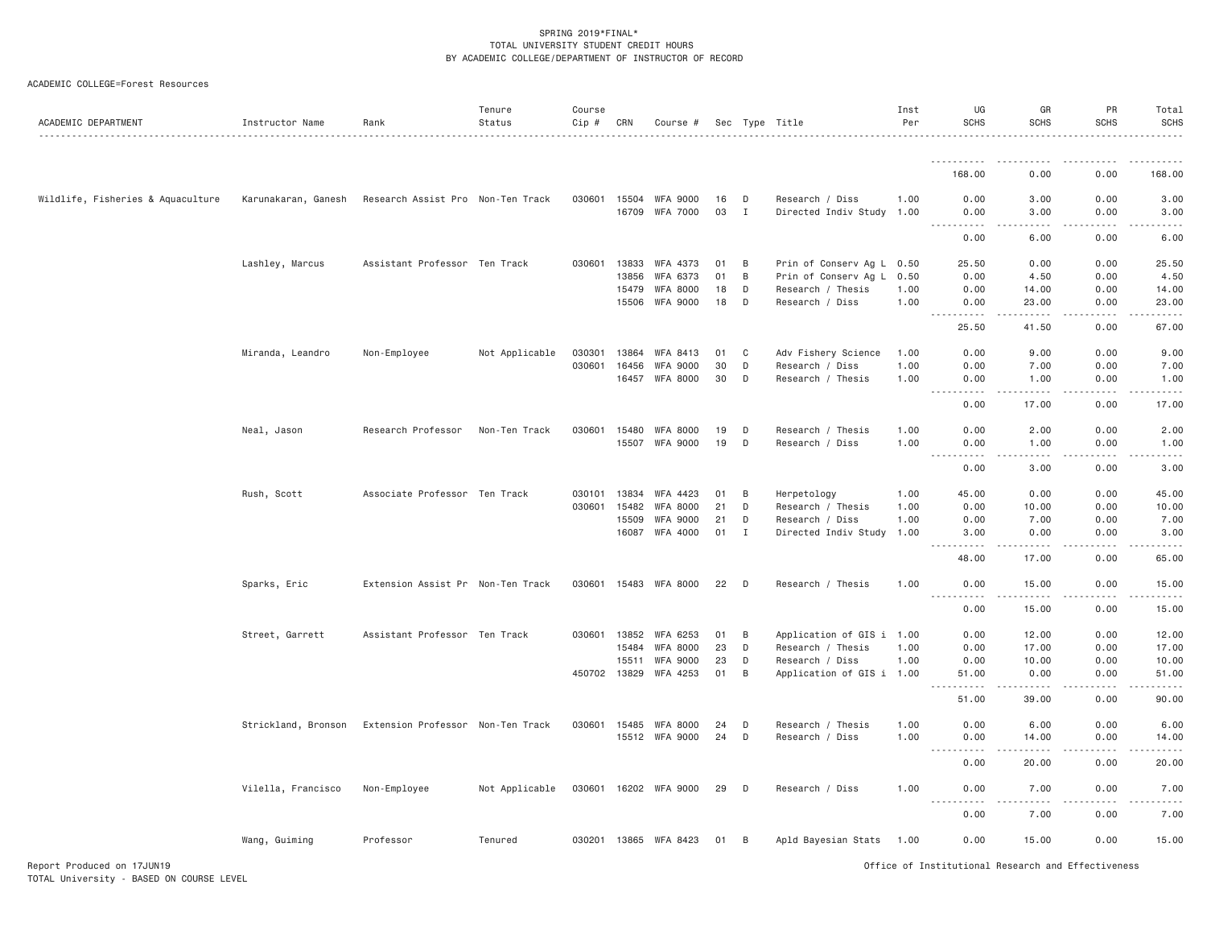| ACADEMIC COLLEGE=Forest Resources |  |
|-----------------------------------|--|
|                                   |  |

| ACADEMIC DEPARTMENT               | Instructor Name     | Rank                                                  | Tenure<br>Status | Course<br>Cip # | CRN                   | Course #                    |          |             | Sec Type Title                               | Inst<br>Per | UG<br><b>SCHS</b>                                                                                                                      | GR<br><b>SCHS</b>                                                                                                                                            | PR<br><b>SCHS</b>                                                                                                                                            | Total<br><b>SCHS</b> |
|-----------------------------------|---------------------|-------------------------------------------------------|------------------|-----------------|-----------------------|-----------------------------|----------|-------------|----------------------------------------------|-------------|----------------------------------------------------------------------------------------------------------------------------------------|--------------------------------------------------------------------------------------------------------------------------------------------------------------|--------------------------------------------------------------------------------------------------------------------------------------------------------------|----------------------|
|                                   |                     |                                                       |                  |                 |                       |                             |          |             |                                              |             | .                                                                                                                                      |                                                                                                                                                              |                                                                                                                                                              |                      |
|                                   |                     |                                                       |                  |                 |                       |                             |          |             |                                              |             | 168.00                                                                                                                                 | 0.00                                                                                                                                                         | 0.00                                                                                                                                                         | 168.00               |
| Wildlife, Fisheries & Aquaculture |                     | Karunakaran, Ganesh Research Assist Pro Non-Ten Track |                  | 030601 15504    |                       | WFA 9000                    | 16       | D           | Research / Diss                              | 1.00        | 0.00                                                                                                                                   | 3.00                                                                                                                                                         | 0.00                                                                                                                                                         | 3.00                 |
|                                   |                     |                                                       |                  |                 | 16709                 | <b>WFA 7000</b>             | 03       | $\mathbf I$ | Directed Indiv Study 1.00                    |             | 0.00<br>.                                                                                                                              | 3.00<br>.                                                                                                                                                    | 0.00<br>.                                                                                                                                                    | 3.00<br>.            |
|                                   |                     |                                                       |                  |                 |                       |                             |          |             |                                              |             | 0.00                                                                                                                                   | 6.00                                                                                                                                                         | 0.00                                                                                                                                                         | 6.00                 |
|                                   | Lashley, Marcus     | Assistant Professor Ten Track                         |                  | 030601          | 13833                 | WFA 4373                    | 01       | B           | Prin of Conserv Ag L                         | 0.50        | 25.50                                                                                                                                  | 0.00                                                                                                                                                         | 0.00                                                                                                                                                         | 25.50                |
|                                   |                     |                                                       |                  |                 | 13856                 | WFA 6373                    | 01       | B           | Prin of Conserv Ag L                         | 0.50        | 0.00                                                                                                                                   | 4.50                                                                                                                                                         | 0.00                                                                                                                                                         | 4.50                 |
|                                   |                     |                                                       |                  |                 | 15479                 | <b>WFA 8000</b>             | 18       | D           | Research / Thesis                            | 1.00        | 0.00                                                                                                                                   | 14.00                                                                                                                                                        | 0.00                                                                                                                                                         | 14.00                |
|                                   |                     |                                                       |                  |                 | 15506                 | WFA 9000                    | 18       | D           | Research / Diss                              | 1.00        | 0.00<br>.                                                                                                                              | 23.00<br>.                                                                                                                                                   | 0.00<br>.                                                                                                                                                    | 23.00<br>.           |
|                                   |                     |                                                       |                  |                 |                       |                             |          |             |                                              |             | 25.50                                                                                                                                  | 41.50                                                                                                                                                        | 0.00                                                                                                                                                         | 67.00                |
|                                   | Miranda, Leandro    | Non-Employee                                          | Not Applicable   | 030301          | 13864                 | WFA 8413                    | 01       | C           | Adv Fishery Science                          | 1.00        | 0.00                                                                                                                                   | 9.00                                                                                                                                                         | 0.00                                                                                                                                                         | 9.00                 |
|                                   |                     |                                                       |                  | 030601 16456    |                       | <b>WFA 9000</b>             | 30       | D           | Research / Diss                              | 1.00        | 0.00                                                                                                                                   | 7.00                                                                                                                                                         | 0.00                                                                                                                                                         | 7.00                 |
|                                   |                     |                                                       |                  |                 | 16457                 | <b>WFA 8000</b>             | 30       | D           | Research / Thesis                            | 1.00        | 0.00<br>$\mathbf{1} \cdot \mathbf{1} \cdot \mathbf{1} \cdot \mathbf{1} \cdot \mathbf{1}$<br>$\sim$ $\sim$ $\sim$ $\sim$ $\sim$         | 1.00<br>$\frac{1}{2} \left( \frac{1}{2} \right) \left( \frac{1}{2} \right) \left( \frac{1}{2} \right) \left( \frac{1}{2} \right) \left( \frac{1}{2} \right)$ | 0.00<br>$\frac{1}{2} \left( \frac{1}{2} \right) \left( \frac{1}{2} \right) \left( \frac{1}{2} \right) \left( \frac{1}{2} \right) \left( \frac{1}{2} \right)$ | 1.00<br>.            |
|                                   |                     |                                                       |                  |                 |                       |                             |          |             |                                              |             | 0.00                                                                                                                                   | 17.00                                                                                                                                                        | 0.00                                                                                                                                                         | 17.00                |
|                                   | Neal, Jason         | Research Professor                                    | Non-Ten Track    | 030601          | 15480                 | <b>WFA 8000</b>             | 19       | D           | Research / Thesis                            | 1.00        | 0.00                                                                                                                                   | 2.00                                                                                                                                                         | 0.00                                                                                                                                                         | 2.00                 |
|                                   |                     |                                                       |                  |                 | 15507                 | WFA 9000                    | 19       | D           | Research / Diss                              | 1.00        | 0.00                                                                                                                                   | 1.00                                                                                                                                                         | 0.00                                                                                                                                                         | 1.00                 |
|                                   |                     |                                                       |                  |                 |                       |                             |          |             |                                              |             | <b>.</b><br>$\frac{1}{2}$<br>0.00                                                                                                      | .<br>3.00                                                                                                                                                    | 0.00                                                                                                                                                         | 3.00                 |
|                                   | Rush, Scott         | Associate Professor Ten Track                         |                  | 030101 13834    |                       | WFA 4423                    | 01       | B           | Herpetology                                  | 1.00        | 45.00                                                                                                                                  | 0.00                                                                                                                                                         | 0.00                                                                                                                                                         | 45.00                |
|                                   |                     |                                                       |                  | 030601          | 15482                 | <b>WFA 8000</b>             | 21       | D           | Research / Thesis                            | 1.00        | 0.00                                                                                                                                   | 10.00                                                                                                                                                        | 0.00                                                                                                                                                         | 10.00                |
|                                   |                     |                                                       |                  |                 | 15509                 | <b>WFA 9000</b>             | 21       | D           | Research / Diss                              | 1.00        | 0.00                                                                                                                                   | 7.00                                                                                                                                                         | 0.00                                                                                                                                                         | 7.00                 |
|                                   |                     |                                                       |                  |                 |                       | 16087 WFA 4000              | 01       | Ι.          | Directed Indiv Study                         | 1.00        | 3.00<br>$\frac{1}{2}$                                                                                                                  | 0.00<br>$\sim$ $\sim$ $\sim$ $\sim$                                                                                                                          | 0.00                                                                                                                                                         | 3.00                 |
|                                   |                     |                                                       |                  |                 |                       |                             |          |             |                                              |             | 48.00                                                                                                                                  | 17.00                                                                                                                                                        | 0.00                                                                                                                                                         | 65.00                |
|                                   | Sparks, Eric        | Extension Assist Pr Non-Ten Track                     |                  |                 |                       | 030601 15483 WFA 8000       | 22       | D           | Research / Thesis                            | 1.00        | 0.00<br>.                                                                                                                              | 15.00                                                                                                                                                        | 0.00                                                                                                                                                         | 15.00                |
|                                   |                     |                                                       |                  |                 |                       |                             |          |             |                                              |             | 0.00                                                                                                                                   | 15.00                                                                                                                                                        | 0.00                                                                                                                                                         | 15.00                |
|                                   | Street, Garrett     | Assistant Professor Ten Track                         |                  |                 | 030601 13852          | WFA 6253                    | 01       | B           | Application of GIS i 1.00                    |             | 0.00                                                                                                                                   | 12.00                                                                                                                                                        | 0.00                                                                                                                                                         | 12.00                |
|                                   |                     |                                                       |                  |                 | 15484                 | <b>WFA 8000</b>             | 23       | D           | Research / Thesis                            | 1.00        | 0.00                                                                                                                                   | 17.00                                                                                                                                                        | 0.00                                                                                                                                                         | 17.00                |
|                                   |                     |                                                       |                  |                 | 15511<br>450702 13829 | <b>WFA 9000</b><br>WFA 4253 | 23<br>01 | D<br>B      | Research / Diss<br>Application of GIS i 1.00 | 1.00        | 0.00<br>51.00                                                                                                                          | 10.00<br>0.00                                                                                                                                                | 0.00<br>0.00                                                                                                                                                 | 10.00<br>51.00       |
|                                   |                     |                                                       |                  |                 |                       |                             |          |             |                                              |             | .                                                                                                                                      | .                                                                                                                                                            | .                                                                                                                                                            | .                    |
|                                   |                     |                                                       |                  |                 |                       |                             |          |             |                                              |             | 51.00                                                                                                                                  | 39.00                                                                                                                                                        | 0.00                                                                                                                                                         | 90.00                |
|                                   | Strickland, Bronson | Extension Professor Non-Ten Track                     |                  | 030601 15485    |                       | <b>WFA 8000</b>             | 24       | D           | Research / Thesis                            | 1.00        | 0.00                                                                                                                                   | 6.00                                                                                                                                                         | 0.00                                                                                                                                                         | 6.00                 |
|                                   |                     |                                                       |                  |                 |                       | 15512 WFA 9000              | 24       | D           | Research / Diss                              | 1.00        | 0.00<br>.                                                                                                                              | 14.00                                                                                                                                                        | 0.00                                                                                                                                                         | 14.00                |
|                                   |                     |                                                       |                  |                 |                       |                             |          |             |                                              |             | 0.00                                                                                                                                   | 20.00                                                                                                                                                        | 0.00                                                                                                                                                         | 20.00                |
|                                   | Vilella, Francisco  | Non-Employee                                          | Not Applicable   |                 |                       | 030601 16202 WFA 9000       | 29       | D           | Research / Diss                              | 1.00        | 0.00<br>$\frac{1}{2} \left( \frac{1}{2} \right) \left( \frac{1}{2} \right) \left( \frac{1}{2} \right) \left( \frac{1}{2} \right)$<br>. | 7.00                                                                                                                                                         | 0.00                                                                                                                                                         | 7.00                 |
|                                   |                     |                                                       |                  |                 |                       |                             |          |             |                                              |             | 0.00                                                                                                                                   | 7.00                                                                                                                                                         | 0.00                                                                                                                                                         | 7.00                 |
|                                   | Wang, Guiming       | Professor                                             | Tenured          |                 |                       | 030201 13865 WFA 8423       | 01       | B           | Apld Bayesian Stats                          | 1.00        | 0.00                                                                                                                                   | 15.00                                                                                                                                                        | 0.00                                                                                                                                                         | 15.00                |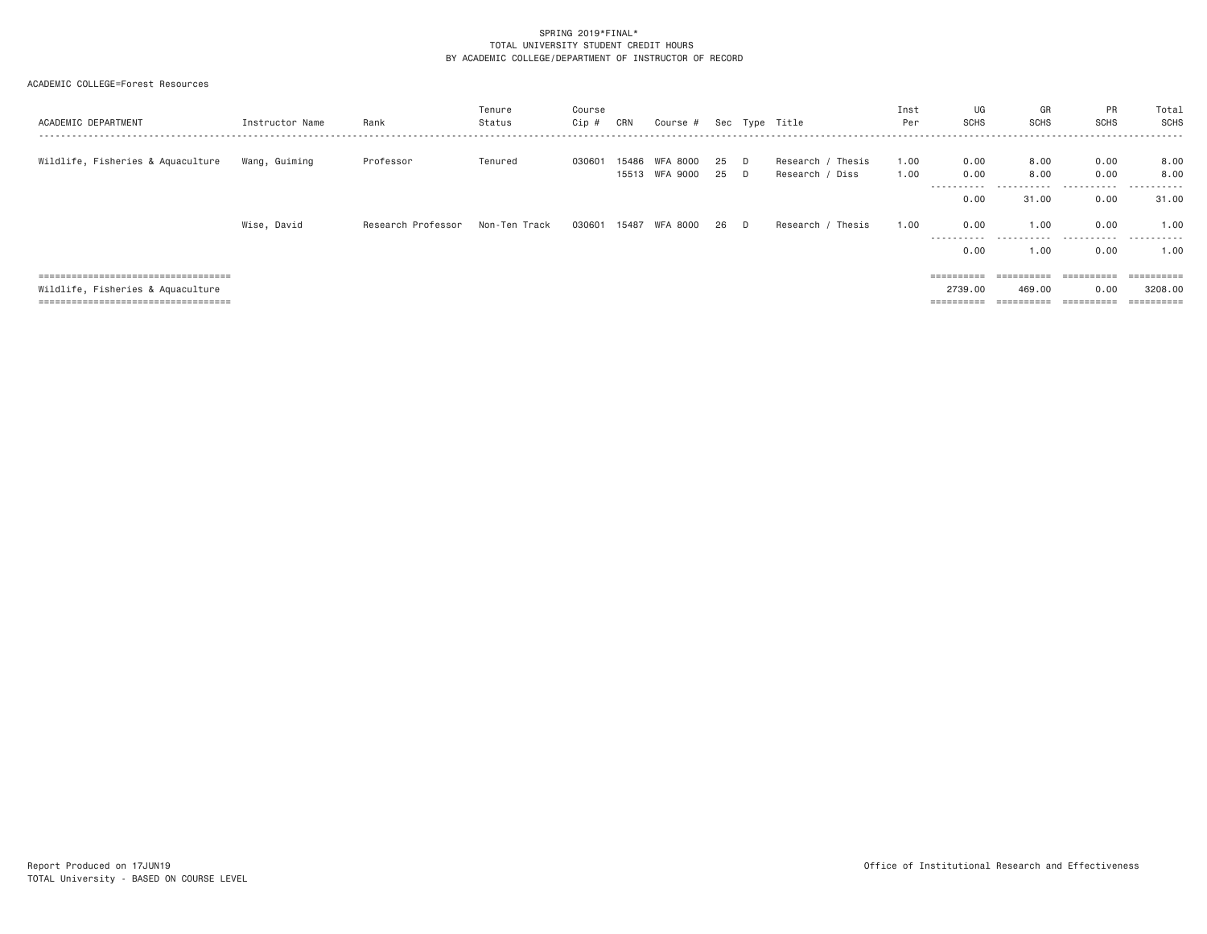| ACADEMIC DEPARTMENT                  | Instructor Name | Rank               | Tenure<br>Status | Course<br>Cip # | CRN   | Course #                   |          |        | Sec Type Title                       | Inst<br>Per  | UG<br><b>SCHS</b>       | GR<br><b>SCHS</b> | PR<br><b>SCHS</b>     | Total<br><b>SCHS</b><br>. <u>.</u> .                                                                                                                                                                                                                                                                                                                                                                                                                                                   |
|--------------------------------------|-----------------|--------------------|------------------|-----------------|-------|----------------------------|----------|--------|--------------------------------------|--------------|-------------------------|-------------------|-----------------------|----------------------------------------------------------------------------------------------------------------------------------------------------------------------------------------------------------------------------------------------------------------------------------------------------------------------------------------------------------------------------------------------------------------------------------------------------------------------------------------|
| Wildlife, Fisheries & Aquaculture    | Wang, Guiming   | Professor          | Tenured          | 030601          | 15486 | WFA 8000<br>15513 WFA 9000 | 25<br>25 | D<br>D | Research / Thesis<br>Research / Diss | 1,00<br>1,00 | 0.00<br>0.00            | 8,00<br>8,00      | 0.00<br>0.00          | 8.00<br>8,00                                                                                                                                                                                                                                                                                                                                                                                                                                                                           |
|                                      |                 |                    |                  |                 |       |                            |          |        |                                      |              | -----------<br>0.00     | .<br>31.00        | .<br>0.00             | .<br>31.00                                                                                                                                                                                                                                                                                                                                                                                                                                                                             |
|                                      | Wise, David     | Research Professor | Non-Ten Track    | 030601          | 15487 | WFA 8000                   | 26       | D      | Research / Thesis                    | 1,00         | 0.00                    | 1.00              | 0.00                  | 1,00                                                                                                                                                                                                                                                                                                                                                                                                                                                                                   |
|                                      |                 |                    |                  |                 |       |                            |          |        |                                      |              | -----------<br>0.00     | 1.00              | <br>0.00              | 1.00                                                                                                                                                                                                                                                                                                                                                                                                                                                                                   |
| ==================================== |                 |                    |                  |                 |       |                            |          |        |                                      |              | $=$ = = = = = = = = =   | ==========        | $=$ = = = = = = = = = | $\begin{array}{cccccccccc} \multicolumn{2}{c}{} & \multicolumn{2}{c}{} & \multicolumn{2}{c}{} & \multicolumn{2}{c}{} & \multicolumn{2}{c}{} & \multicolumn{2}{c}{} & \multicolumn{2}{c}{} & \multicolumn{2}{c}{} & \multicolumn{2}{c}{} & \multicolumn{2}{c}{} & \multicolumn{2}{c}{} & \multicolumn{2}{c}{} & \multicolumn{2}{c}{} & \multicolumn{2}{c}{} & \multicolumn{2}{c}{} & \multicolumn{2}{c}{} & \multicolumn{2}{c}{} & \multicolumn{2}{c}{} & \multicolumn{2}{c}{} & \mult$ |
| Wildlife, Fisheries & Aquaculture    |                 |                    |                  |                 |       |                            |          |        |                                      |              | 2739.00                 | 469,00            | 0.00                  | 3208,00                                                                                                                                                                                                                                                                                                                                                                                                                                                                                |
| ==================================== |                 |                    |                  |                 |       |                            |          |        |                                      |              | $=$ = = = = = = = = $=$ |                   | ----------            | ==========                                                                                                                                                                                                                                                                                                                                                                                                                                                                             |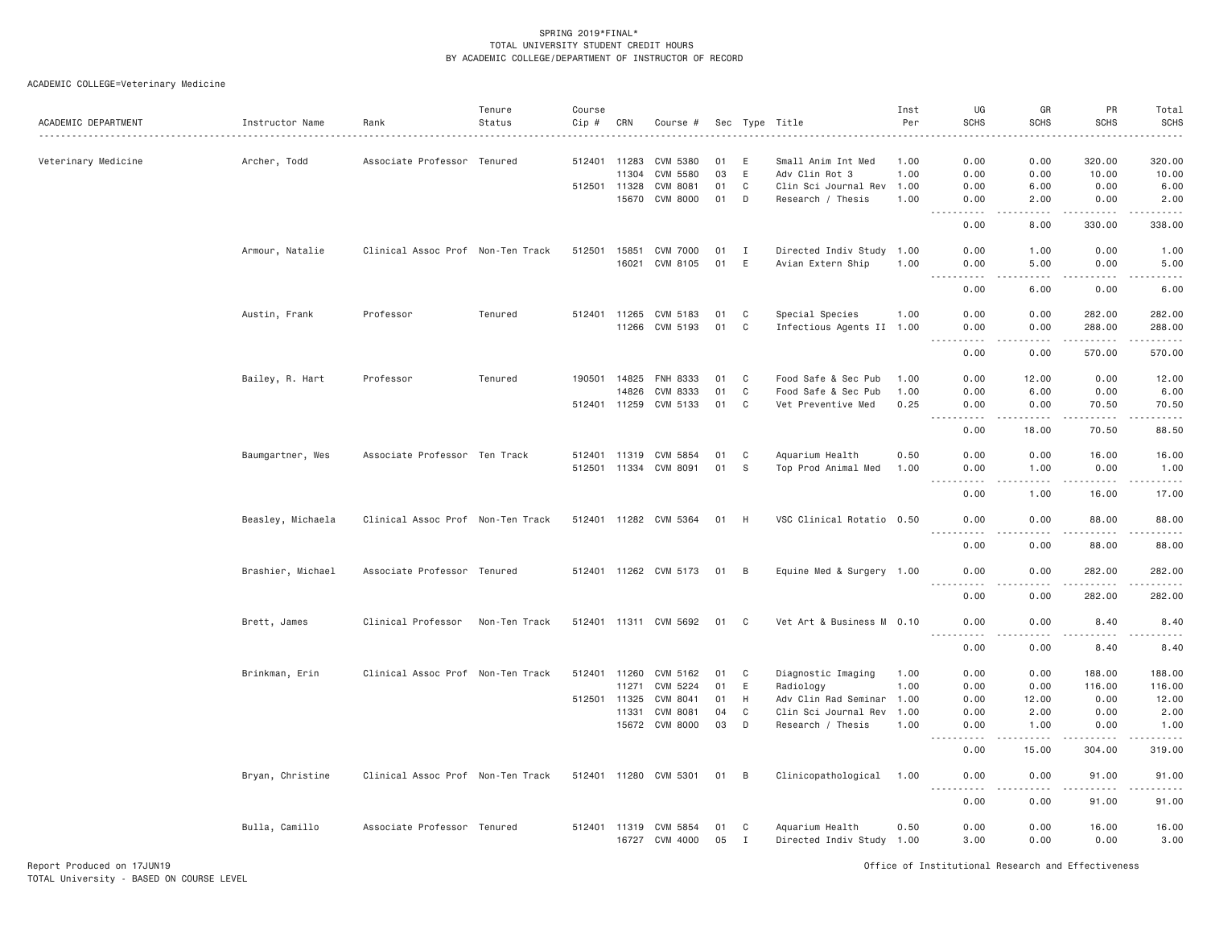| ACADEMIC DEPARTMENT | Instructor Name   | Rank                              | Tenure<br>Status | Course<br>Cip # | CRN          | Course #              |      |             | Sec Type Title            | Inst<br>Per | UG<br><b>SCHS</b>                                                                                                                                                          | GR<br><b>SCHS</b>       | PR<br><b>SCHS</b>                                                                                                                                            | Total<br><b>SCHS</b> |
|---------------------|-------------------|-----------------------------------|------------------|-----------------|--------------|-----------------------|------|-------------|---------------------------|-------------|----------------------------------------------------------------------------------------------------------------------------------------------------------------------------|-------------------------|--------------------------------------------------------------------------------------------------------------------------------------------------------------|----------------------|
| Veterinary Medicine | Archer, Todd      | Associate Professor               | Tenured          | 512401          | 11283        | CVM 5380              | 01   | E           | Small Anim Int Med        | 1.00        | 0.00                                                                                                                                                                       | 0.00                    | 320.00                                                                                                                                                       | 320.00               |
|                     |                   |                                   |                  |                 | 11304        | CVM 5580              | 03   | E           | Adv Clin Rot 3            | 1.00        | 0.00                                                                                                                                                                       | 0.00                    | 10.00                                                                                                                                                        | 10.00                |
|                     |                   |                                   |                  | 512501 11328    |              | <b>CVM 8081</b>       | 01   | C           | Clin Sci Journal Rev      | 1.00        | 0.00                                                                                                                                                                       | 6.00                    | 0.00                                                                                                                                                         | 6.00                 |
|                     |                   |                                   |                  |                 | 15670        | CVM 8000              | 01   | D           | Research / Thesis         | 1.00        | 0.00<br>.                                                                                                                                                                  | 2.00<br>.               | 0.00<br>.                                                                                                                                                    | 2.00<br>.            |
|                     |                   |                                   |                  |                 |              |                       |      |             |                           |             | 0.00                                                                                                                                                                       | 8.00                    | 330.00                                                                                                                                                       | 338.00               |
|                     | Armour, Natalie   | Clinical Assoc Prof Non-Ten Track |                  | 512501          | 15851        | <b>CVM 7000</b>       | 01   | I           | Directed Indiv Study 1.00 |             | 0.00                                                                                                                                                                       | 1.00                    | 0.00                                                                                                                                                         | 1.00                 |
|                     |                   |                                   |                  |                 | 16021        | CVM 8105              | 01   | E           | Avian Extern Ship         | 1.00        | 0.00<br>$- - - - -$                                                                                                                                                        | 5.00<br>.               | 0.00<br>$\frac{1}{2} \left( \frac{1}{2} \right) \left( \frac{1}{2} \right) \left( \frac{1}{2} \right) \left( \frac{1}{2} \right) \left( \frac{1}{2} \right)$ | 5.00<br>$   -$       |
|                     |                   |                                   |                  |                 |              |                       |      |             |                           |             | 0.00                                                                                                                                                                       | 6.00                    | 0.00                                                                                                                                                         | 6.00                 |
|                     | Austin, Frank     | Professor                         | Tenured          |                 | 512401 11265 | CVM 5183              | 01   | C           | Special Species           | 1.00        | 0.00                                                                                                                                                                       | 0.00                    | 282.00                                                                                                                                                       | 282.00               |
|                     |                   |                                   |                  |                 | 11266        | CVM 5193              | 01   | C           | Infectious Agents II 1.00 |             | 0.00<br>$\sim$ $\sim$ $\sim$ .<br>.                                                                                                                                        | 0.00<br>.               | 288.00<br>.                                                                                                                                                  | 288.00<br>.          |
|                     |                   |                                   |                  |                 |              |                       |      |             |                           |             | 0.00                                                                                                                                                                       | 0.00                    | 570.00                                                                                                                                                       | 570.00               |
|                     | Bailey, R. Hart   | Professor                         | Tenured          | 190501          | 14825        | FNH 8333              | 01   | C           | Food Safe & Sec Pub       | 1.00        | 0.00                                                                                                                                                                       | 12.00                   | 0.00                                                                                                                                                         | 12.00                |
|                     |                   |                                   |                  |                 | 14826        | CVM 8333              | 01   | $\mathbb C$ | Food Safe & Sec Pub       | 1.00        | 0.00                                                                                                                                                                       | 6.00                    | 0.00                                                                                                                                                         | 6.00                 |
|                     |                   |                                   |                  |                 | 512401 11259 | CVM 5133              | 01   | C           | Vet Preventive Med        | 0.25        | 0.00<br>$\sim 100$<br>$\frac{1}{2} \left( \frac{1}{2} \right) \left( \frac{1}{2} \right) \left( \frac{1}{2} \right) \left( \frac{1}{2} \right) \left( \frac{1}{2} \right)$ | 0.00<br>$- - - - -$     | 70.50<br>.                                                                                                                                                   | 70.50<br>.           |
|                     |                   |                                   |                  |                 |              |                       |      |             |                           |             | 0.00                                                                                                                                                                       | 18.00                   | 70.50                                                                                                                                                        | 88.50                |
|                     | Baumgartner, Wes  | Associate Professor Ten Track     |                  | 512401 11319    |              | CVM 5854              | 01   | C           | Aquarium Health           | 0.50        | 0.00                                                                                                                                                                       | 0.00                    | 16.00                                                                                                                                                        | 16.00                |
|                     |                   |                                   |                  |                 | 512501 11334 | CVM 8091              | 01   | S           | Top Prod Animal Med       | 1.00        | 0.00                                                                                                                                                                       | 1.00                    | 0.00                                                                                                                                                         | 1.00                 |
|                     |                   |                                   |                  |                 |              |                       |      |             |                           |             | .<br>$\frac{1}{2} \left( \frac{1}{2} \right) \left( \frac{1}{2} \right) \left( \frac{1}{2} \right) \left( \frac{1}{2} \right)$<br>0.00                                     | $2 - 2 - 2 - 2$<br>1.00 | <u>.</u> .<br>16.00                                                                                                                                          | .<br>17.00           |
|                     | Beasley, Michaela | Clinical Assoc Prof Non-Ten Track |                  |                 |              | 512401 11282 CVM 5364 | 01   | - H         | VSC Clinical Rotatio 0.50 |             | 0.00                                                                                                                                                                       | 0.00                    | 88.00<br>.                                                                                                                                                   | 88.00<br>د د د د د   |
|                     |                   |                                   |                  |                 |              |                       |      |             |                           |             | 0.00                                                                                                                                                                       | 0.00                    | 88.00                                                                                                                                                        | 88.00                |
|                     | Brashier, Michael | Associate Professor Tenured       |                  |                 |              | 512401 11262 CVM 5173 | 01 B |             | Equine Med & Surgery 1.00 |             | 0.00<br>$   -$                                                                                                                                                             | 0.00<br>.               | 282.00<br>.                                                                                                                                                  | 282.00<br><u>.</u>   |
|                     |                   |                                   |                  |                 |              |                       |      |             |                           |             | 0.00                                                                                                                                                                       | 0.00                    | 282.00                                                                                                                                                       | 282.00               |
|                     | Brett, James      | Clinical Professor                | Non-Ten Track    |                 |              | 512401 11311 CVM 5692 | 01   | C           | Vet Art & Business M 0.10 |             | 0.00<br>$- - -$<br>.                                                                                                                                                       | 0.00<br>.               | 8.40                                                                                                                                                         | 8.40<br>.            |
|                     |                   |                                   |                  |                 |              |                       |      |             |                           |             | 0.00                                                                                                                                                                       | 0.00                    | 8.40                                                                                                                                                         | 8.40                 |
|                     | Brinkman, Erin    | Clinical Assoc Prof Non-Ten Track |                  | 512401 11260    |              | CVM 5162              | 01   | C           | Diagnostic Imaging        | 1.00        | 0.00                                                                                                                                                                       | 0.00                    | 188.00                                                                                                                                                       | 188.00               |
|                     |                   |                                   |                  |                 | 11271        | CVM 5224              | 01   | E           | Radiology                 | 1.00        | 0.00                                                                                                                                                                       | 0.00                    | 116.00                                                                                                                                                       | 116.00               |
|                     |                   |                                   |                  | 512501          | 11325        | CVM 8041              | 01   | H           | Adv Clin Rad Seminar      | 1.00        | 0.00                                                                                                                                                                       | 12.00                   | 0.00                                                                                                                                                         | 12.00                |
|                     |                   |                                   |                  |                 | 11331        | CVM 8081              | 04   | C           | Clin Sci Journal Rev      | 1,00        | 0.00                                                                                                                                                                       | 2.00                    | 0.00                                                                                                                                                         | 2.00                 |
|                     |                   |                                   |                  |                 |              | 15672 CVM 8000        | 03   | D           | Research / Thesis         | 1.00        | 0.00<br>----                                                                                                                                                               | 1.00                    | 0.00                                                                                                                                                         | 1.00<br>.            |
|                     |                   |                                   |                  |                 |              |                       |      |             |                           |             | 0.00                                                                                                                                                                       | 15.00                   | 304.00                                                                                                                                                       | 319.00               |
|                     | Bryan, Christine  | Clinical Assoc Prof Non-Ten Track |                  |                 |              | 512401 11280 CVM 5301 | 01   | B           | Clinicopathological 1.00  |             | 0.00                                                                                                                                                                       | 0.00<br>د د د د         | 91.00<br>.                                                                                                                                                   | 91.00<br>.           |
|                     |                   |                                   |                  |                 |              |                       |      |             |                           |             | 0.00                                                                                                                                                                       | 0.00                    | 91.00                                                                                                                                                        | 91.00                |
|                     | Bulla, Camillo    | Associate Professor Tenured       |                  |                 | 512401 11319 | CVM 5854              | 01   | C           | Aquarium Health           | 0.50        | 0.00                                                                                                                                                                       | 0.00                    | 16.00                                                                                                                                                        | 16.00                |
|                     |                   |                                   |                  |                 |              | 16727 CVM 4000        | 05   | I           | Directed Indiv Study 1.00 |             | 3.00                                                                                                                                                                       | 0.00                    | 0.00                                                                                                                                                         | 3.00                 |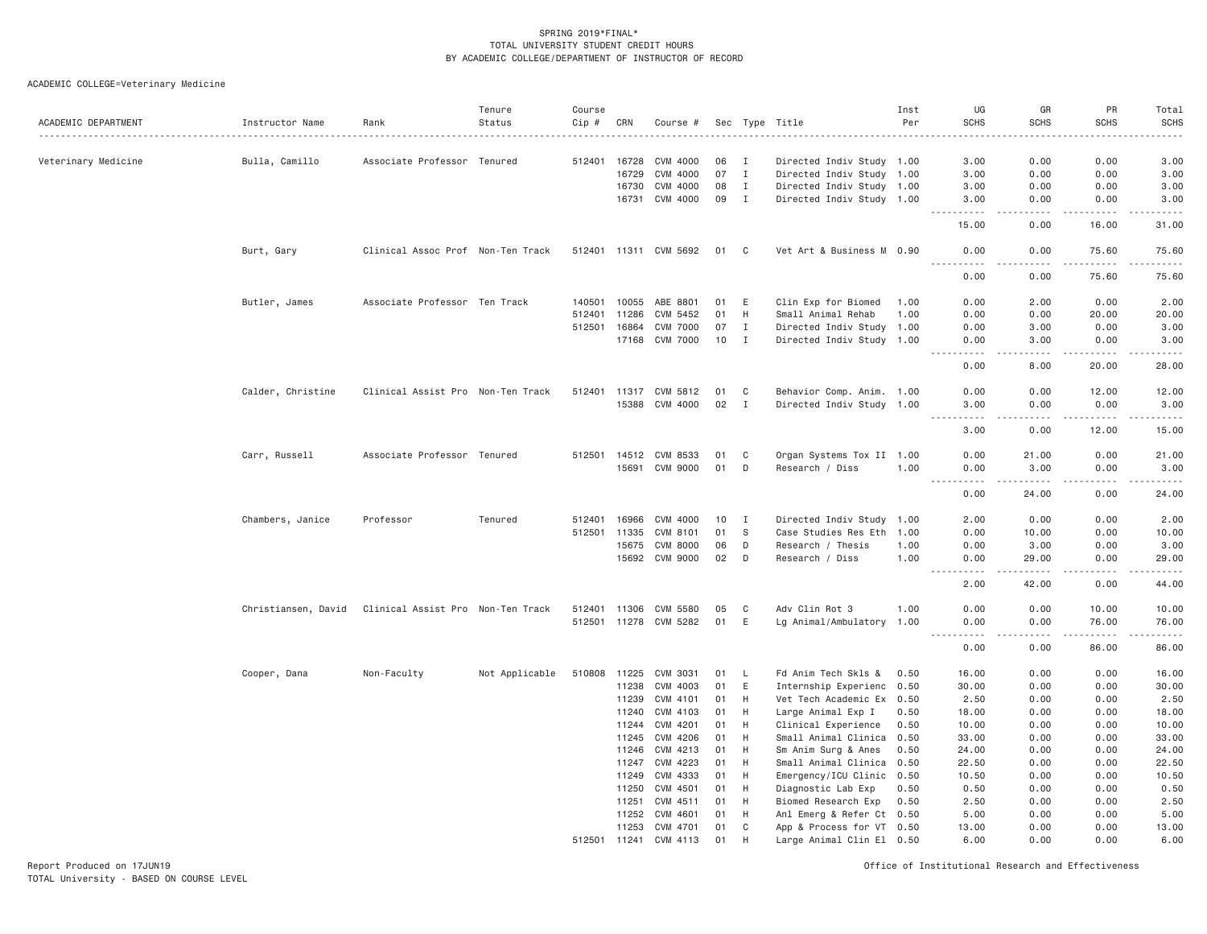ACADEMIC COLLEGE=Veterinary Medicine

| ACADEMIC DEPARTMENT | Instructor Name     | Rank                              | Tenure<br>Status | Course<br>Cip # | CRN   | Course #              |      |              | Sec Type Title            | Inst<br>Per | UG<br><b>SCHS</b>             | GR<br><b>SCHS</b>            | PR<br><b>SCHS</b>    | Total<br><b>SCHS</b> |
|---------------------|---------------------|-----------------------------------|------------------|-----------------|-------|-----------------------|------|--------------|---------------------------|-------------|-------------------------------|------------------------------|----------------------|----------------------|
|                     |                     |                                   |                  |                 |       |                       |      |              |                           |             |                               |                              |                      |                      |
| Veterinary Medicine | Bulla, Camillo      | Associate Professor Tenured       |                  | 512401          | 16728 | CVM 4000              | 06   | I            | Directed Indiv Study 1.00 |             | 3,00                          | 0.00                         | 0.00                 | 3.00                 |
|                     |                     |                                   |                  |                 | 16729 | CVM 4000              | 07   | $\mathbf I$  | Directed Indiv Study 1.00 |             | 3.00                          | 0.00                         | 0.00                 | 3.00                 |
|                     |                     |                                   |                  |                 | 16730 | CVM 4000              | 08   | $\mathbf I$  | Directed Indiv Study 1.00 |             | 3.00                          | 0.00                         | 0.00                 | 3.00                 |
|                     |                     |                                   |                  |                 | 16731 | CVM 4000              | 09   | I            | Directed Indiv Study 1.00 |             | 3.00                          | 0.00<br>- - - -              | 0.00<br>$  -$        | 3.00<br>-----        |
|                     |                     |                                   |                  |                 |       |                       |      |              |                           |             | 15.00                         | 0.00                         | 16.00                | 31.00                |
|                     | Burt, Gary          | Clinical Assoc Prof Non-Ten Track |                  |                 |       | 512401 11311 CVM 5692 | 01 C |              | Vet Art & Business M 0.90 |             | 0.00                          | 0.00                         | 75.60<br>.           | 75.60<br>.           |
|                     |                     |                                   |                  |                 |       |                       |      |              |                           |             | 0.00                          | 0.00                         | 75.60                | 75.60                |
|                     | Butler, James       | Associate Professor Ten Track     |                  | 140501          | 10055 | ABE 8801              | 01   | E            | Clin Exp for Biomed       | 1.00        | 0.00                          | 2.00                         | 0.00                 | 2.00                 |
|                     |                     |                                   |                  | 512401          | 11286 | CVM 5452              | 01   | H            | Small Animal Rehab        | 1.00        | 0.00                          | 0.00                         | 20.00                | 20.00                |
|                     |                     |                                   |                  | 512501          | 16864 | <b>CVM 7000</b>       | 07   | I            | Directed Indiv Study 1.00 |             | 0.00                          | 3.00                         | 0.00                 | 3.00                 |
|                     |                     |                                   |                  |                 | 17168 | <b>CVM 7000</b>       | 10   | $\mathbf I$  | Directed Indiv Study 1.00 |             | 0.00                          | 3,00                         | 0.00                 | 3.00<br>$    -$      |
|                     |                     |                                   |                  |                 |       |                       |      |              |                           |             | 0.00                          | 8.00                         | 20.00                | 28.00                |
|                     | Calder, Christine   | Clinical Assist Pro Non-Ten Track |                  |                 |       | 512401 11317 CVM 5812 | 01   | C            | Behavior Comp. Anim. 1.00 |             | 0.00                          | 0.00                         | 12.00                | 12.00                |
|                     |                     |                                   |                  |                 |       | 15388 CVM 4000        | 02   | $\mathbf{I}$ | Directed Indiv Study 1.00 |             | 3,00                          | 0.00                         | 0.00                 | 3.00                 |
|                     |                     |                                   |                  |                 |       |                       |      |              |                           |             | $\sim$ $\sim$ .<br>.<br>3.00  | $\sim$ $\sim$ $\sim$<br>0.00 | بالاناداد<br>12.00   | .<br>15.00           |
|                     | Carr, Russell       | Associate Professor Tenured       |                  |                 |       | 512501 14512 CVM 8533 | 01   | C            | Organ Systems Tox II 1.00 |             | 0.00                          | 21.00                        | 0.00                 | 21.00                |
|                     |                     |                                   |                  |                 | 15691 | CVM 9000              | 01   | D            | Research / Diss           | 1.00        | 0.00                          | 3.00                         | 0.00                 | 3.00                 |
|                     |                     |                                   |                  |                 |       |                       |      |              |                           |             |                               | .                            | لأعامل               | د د د د د            |
|                     |                     |                                   |                  |                 |       |                       |      |              |                           |             | 0.00                          | 24.00                        | 0.00                 | 24.00                |
|                     | Chambers, Janice    | Professor                         | Tenured          | 512401          | 16966 | CVM 4000              | 10   | I            | Directed Indiv Study 1.00 |             | 2.00                          | 0.00                         | 0.00                 | 2.00                 |
|                     |                     |                                   |                  | 512501 11335    |       | CVM 8101              | 01   | - S          | Case Studies Res Eth 1.00 |             | 0.00                          | 10.00                        | 0.00                 | 10.00                |
|                     |                     |                                   |                  |                 | 15675 | CVM 8000              | 06   | D            | Research / Thesis         | 1.00        | 0.00                          | 3.00                         | 0.00                 | 3.00                 |
|                     |                     |                                   |                  |                 | 15692 | CVM 9000              | 02   | D            | Research / Diss           | 1.00        | 0.00                          | 29.00                        | 0.00                 | 29.00                |
|                     |                     |                                   |                  |                 |       |                       |      |              |                           |             | 2.00                          | 42.00                        | 0.00                 | 44.00                |
|                     | Christiansen, David | Clinical Assist Pro Non-Ten Track |                  | 512401 11306    |       | CVM 5580              | 05   | C            | Adv Clin Rot 3            | 1.00        | 0.00                          | 0.00                         | 10.00                | 10.00                |
|                     |                     |                                   |                  |                 |       | 512501 11278 CVM 5282 | 01   | E            | Lg Animal/Ambulatory 1.00 |             | 0.00                          | 0.00                         | 76.00                | 76.00                |
|                     |                     |                                   |                  |                 |       |                       |      |              |                           |             | $  -$<br>. <u>.</u> .<br>0.00 | $\frac{1}{2}$<br>0.00        | $- - - - -$<br>86.00 | .<br>86.00           |
|                     | Cooper, Dana        | Non-Faculty                       | Not Applicable   | 510808 11225    |       | CVM 3031              | 01   | - L          | Fd Anim Tech Skls &       | 0.50        | 16.00                         | 0.00                         | 0.00                 | 16.00                |
|                     |                     |                                   |                  |                 | 11238 | CVM 4003              | 01   | E            | Internship Experienc 0.50 |             | 30.00                         | 0.00                         | 0.00                 | 30.00                |
|                     |                     |                                   |                  |                 | 11239 | CVM 4101              | 01   | H            | Vet Tech Academic Ex 0.50 |             | 2.50                          | 0.00                         | 0.00                 | 2.50                 |
|                     |                     |                                   |                  |                 | 11240 | CVM 4103              | 01   | H            | Large Animal Exp I        | 0.50        | 18.00                         | 0.00                         | 0.00                 | 18.00                |
|                     |                     |                                   |                  |                 | 11244 | CVM 4201              | 01   | H            | Clinical Experience       | 0.50        | 10.00                         | 0.00                         | 0.00                 | 10.00                |
|                     |                     |                                   |                  |                 | 11245 | CVM 4206              | 01   | H            | Small Animal Clinica      | 0.50        | 33.00                         | 0.00                         | 0.00                 | 33.00                |
|                     |                     |                                   |                  |                 | 11246 | CVM 4213              | 01   | H            | Sm Anim Surg & Anes       | 0.50        | 24.00                         | 0.00                         | 0.00                 | 24.00                |
|                     |                     |                                   |                  |                 | 11247 | CVM 4223              | 01   | H            | Small Animal Clinica 0.50 |             | 22.50                         | 0.00                         | 0.00                 | 22.50                |
|                     |                     |                                   |                  |                 | 11249 | CVM 4333              | 01   | H            | Emergency/ICU Clinic      | 0.50        | 10.50                         | 0.00                         | 0.00                 | 10.50                |
|                     |                     |                                   |                  |                 | 11250 | CVM 4501              | 01   | H            | Diagnostic Lab Exp        | 0.50        | 0.50                          | 0.00                         | 0.00                 | 0.50                 |
|                     |                     |                                   |                  |                 | 11251 | CVM 4511              | 01   | H            | Biomed Research Exp       | 0.50        | 2.50                          | 0.00                         | 0.00                 | 2.50                 |
|                     |                     |                                   |                  |                 | 11252 | CVM 4601              | 01   | H            | Anl Emerg & Refer Ct 0.50 |             | 5.00                          | 0.00                         | 0.00                 | 5.00                 |
|                     |                     |                                   |                  |                 | 11253 | CVM 4701              | 01   | C            | App & Process for VT 0.50 |             | 13,00                         | 0.00                         | 0.00                 | 13,00                |
|                     |                     |                                   |                  | 512501 11241    |       | CVM 4113              | 01   | H            | Large Animal Clin El 0.50 |             | 6.00                          | 0.00                         | 0.00                 | 6.00                 |

Report Produced on 17JUN19 Office of Institutional Research and Effectiveness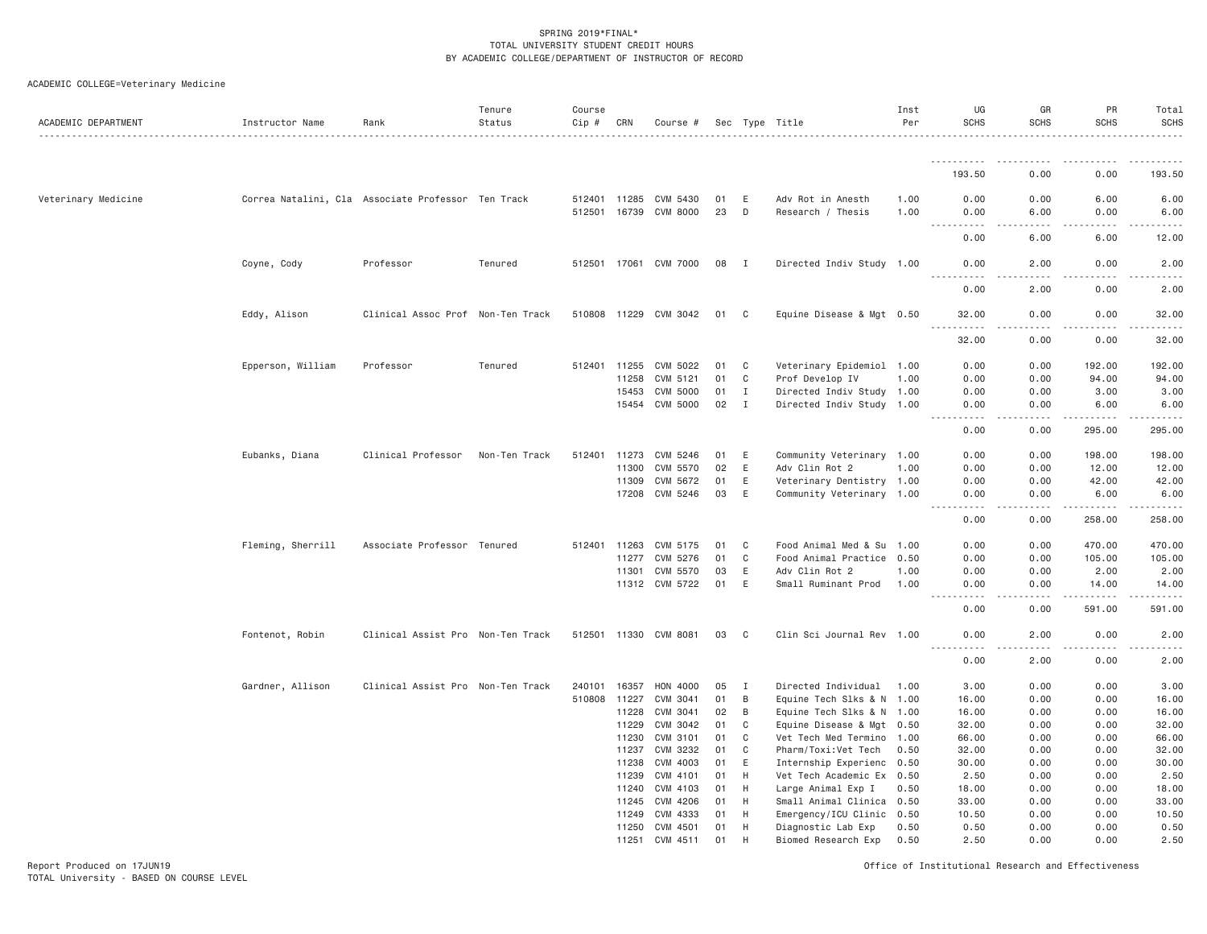| ACADEMIC DEPARTMENT | Instructor Name                                    | Rank                              | Tenure<br>Status | Course<br>Cip # | CRN          | Course #              |      |              | Sec Type Title            | Inst<br>Per | UG<br><b>SCHS</b>      | GR<br><b>SCHS</b> | PR<br><b>SCHS</b> | Total<br><b>SCHS</b><br>$\begin{array}{cccccccccccccc} \multicolumn{2}{c}{} & \multicolumn{2}{c}{} & \multicolumn{2}{c}{} & \multicolumn{2}{c}{} & \multicolumn{2}{c}{} & \multicolumn{2}{c}{} & \multicolumn{2}{c}{} & \multicolumn{2}{c}{} & \multicolumn{2}{c}{} & \multicolumn{2}{c}{} & \multicolumn{2}{c}{} & \multicolumn{2}{c}{} & \multicolumn{2}{c}{} & \multicolumn{2}{c}{} & \multicolumn{2}{c}{} & \multicolumn{2}{c}{} & \multicolumn{2}{c}{} & \multicolumn{2}{c}{} & \multicolumn{2}{c}{} & \$ |
|---------------------|----------------------------------------------------|-----------------------------------|------------------|-----------------|--------------|-----------------------|------|--------------|---------------------------|-------------|------------------------|-------------------|-------------------|----------------------------------------------------------------------------------------------------------------------------------------------------------------------------------------------------------------------------------------------------------------------------------------------------------------------------------------------------------------------------------------------------------------------------------------------------------------------------------------------------------------|
|                     |                                                    |                                   |                  |                 |              |                       |      |              |                           |             | .                      | ----              | .                 |                                                                                                                                                                                                                                                                                                                                                                                                                                                                                                                |
|                     |                                                    |                                   |                  |                 |              |                       |      |              |                           |             | 193.50                 | 0.00              | 0.00              | 193.50                                                                                                                                                                                                                                                                                                                                                                                                                                                                                                         |
| Veterinary Medicine | Correa Natalini, Cla Associate Professor Ten Track |                                   |                  | 512401 11285    |              | CVM 5430              | 01   | Ε            | Adv Rot in Anesth         | 1.00        | 0.00                   | 0.00              | 6.00              | 6.00                                                                                                                                                                                                                                                                                                                                                                                                                                                                                                           |
|                     |                                                    |                                   |                  |                 | 512501 16739 | CVM 8000              | 23   | D            | Research / Thesis         | 1.00        | 0.00<br>.              | 6.00<br>.         | 0.00<br>.         | 6.00<br>.                                                                                                                                                                                                                                                                                                                                                                                                                                                                                                      |
|                     |                                                    |                                   |                  |                 |              |                       |      |              |                           |             | 0.00                   | 6.00              | 6.00              | 12.00                                                                                                                                                                                                                                                                                                                                                                                                                                                                                                          |
|                     | Coyne, Cody                                        | Professor                         | Tenured          | 512501 17061    |              | CVM 7000              | 08 I |              | Directed Indiv Study 1.00 |             | 0.00                   | 2.00              | 0.00              | 2.00                                                                                                                                                                                                                                                                                                                                                                                                                                                                                                           |
|                     |                                                    |                                   |                  |                 |              |                       |      |              |                           |             | 0.00                   | 2.00              | 0.00              | 2.00                                                                                                                                                                                                                                                                                                                                                                                                                                                                                                           |
|                     | Eddy, Alison                                       | Clinical Assoc Prof Non-Ten Track |                  |                 |              | 510808 11229 CVM 3042 | 01   | C            | Equine Disease & Mgt 0.50 |             | 32.00<br>$\frac{1}{2}$ | 0.00<br>$- - - -$ | 0.00<br>.         | 32.00<br>.                                                                                                                                                                                                                                                                                                                                                                                                                                                                                                     |
|                     |                                                    |                                   |                  |                 |              |                       |      |              |                           |             | 32.00                  | 0.00              | 0.00              | 32.00                                                                                                                                                                                                                                                                                                                                                                                                                                                                                                          |
|                     | Epperson, William                                  | Professor                         | Tenured          | 512401          | 11255        | CVM 5022              | 01   | C            | Veterinary Epidemiol 1.00 |             | 0.00                   | 0.00              | 192.00            | 192.00                                                                                                                                                                                                                                                                                                                                                                                                                                                                                                         |
|                     |                                                    |                                   |                  |                 | 11258        | CVM 5121              | 01   | $\mathbb C$  | Prof Develop IV           | 1.00        | 0.00                   | 0.00              | 94.00             | 94.00                                                                                                                                                                                                                                                                                                                                                                                                                                                                                                          |
|                     |                                                    |                                   |                  |                 | 15453        | CVM 5000              | 01   | $\mathbf{I}$ | Directed Indiv Study 1.00 |             | 0.00                   | 0.00              | 3.00              | 3.00                                                                                                                                                                                                                                                                                                                                                                                                                                                                                                           |
|                     |                                                    |                                   |                  |                 |              | 15454 CVM 5000        | 02   | $\mathbf I$  | Directed Indiv Study 1.00 |             | 0.00<br>.              | 0.00<br>.         | 6.00<br>.         | 6.00<br>.                                                                                                                                                                                                                                                                                                                                                                                                                                                                                                      |
|                     |                                                    |                                   |                  |                 |              |                       |      |              |                           |             | 0.00                   | 0.00              | 295.00            | 295.00                                                                                                                                                                                                                                                                                                                                                                                                                                                                                                         |
|                     | Eubanks, Diana                                     | Clinical Professor                | Non-Ten Track    | 512401          | 11273        | CVM 5246              | 01   | Ε            | Community Veterinary 1.00 |             | 0.00                   | 0.00              | 198.00            | 198.00                                                                                                                                                                                                                                                                                                                                                                                                                                                                                                         |
|                     |                                                    |                                   |                  |                 | 11300        | CVM 5570              | 02   | $\mathsf E$  | Adv Clin Rot 2            | 1.00        | 0.00                   | 0.00              | 12.00             | 12.00                                                                                                                                                                                                                                                                                                                                                                                                                                                                                                          |
|                     |                                                    |                                   |                  |                 | 11309        | CVM 5672              | 01   | Ε            | Veterinary Dentistry 1.00 |             | 0.00                   | 0.00              | 42.00             | 42.00                                                                                                                                                                                                                                                                                                                                                                                                                                                                                                          |
|                     |                                                    |                                   |                  |                 |              | 17208 CVM 5246        | 03   | E            | Community Veterinary 1.00 |             | 0.00<br>.              | 0.00<br>.         | 6.00<br><u>.</u>  | 6.00<br>د د د د د د                                                                                                                                                                                                                                                                                                                                                                                                                                                                                            |
|                     |                                                    |                                   |                  |                 |              |                       |      |              |                           |             | 0.00                   | 0.00              | 258.00            | 258.00                                                                                                                                                                                                                                                                                                                                                                                                                                                                                                         |
|                     | Fleming, Sherrill                                  | Associate Professor Tenured       |                  | 512401          | 11263        | CVM 5175              | 01   | C            | Food Animal Med & Su 1.00 |             | 0.00                   | 0.00              | 470.00            | 470.00                                                                                                                                                                                                                                                                                                                                                                                                                                                                                                         |
|                     |                                                    |                                   |                  |                 | 11277        | CVM 5276              | 01   | $\mathbb C$  | Food Animal Practice 0.50 |             | 0.00                   | 0.00              | 105.00            | 105.00                                                                                                                                                                                                                                                                                                                                                                                                                                                                                                         |
|                     |                                                    |                                   |                  |                 | 11301        | CVM 5570              | 03   | E            | Adv Clin Rot 2            | 1.00        | 0.00                   | 0.00              | 2.00              | 2.00                                                                                                                                                                                                                                                                                                                                                                                                                                                                                                           |
|                     |                                                    |                                   |                  |                 |              | 11312 CVM 5722        | 01   | E            | Small Ruminant Prod       | 1.00        | 0.00                   | 0.00<br>$- - - -$ | 14.00<br>.        | 14.00<br>.                                                                                                                                                                                                                                                                                                                                                                                                                                                                                                     |
|                     |                                                    |                                   |                  |                 |              |                       |      |              |                           |             | 0.00                   | 0.00              | 591.00            | 591.00                                                                                                                                                                                                                                                                                                                                                                                                                                                                                                         |
|                     | Fontenot, Robin                                    | Clinical Assist Pro Non-Ten Track |                  | 512501          | 11330        | CVM 8081              | 03   | C            | Clin Sci Journal Rev 1.00 |             | 0.00<br>.              | 2.00<br>- - - -   | 0.00<br>$  -$     | 2.00<br>.                                                                                                                                                                                                                                                                                                                                                                                                                                                                                                      |
|                     |                                                    |                                   |                  |                 |              |                       |      |              |                           |             | 0.00                   | 2.00              | 0.00              | 2.00                                                                                                                                                                                                                                                                                                                                                                                                                                                                                                           |
|                     | Gardner, Allison                                   | Clinical Assist Pro Non-Ten Track |                  | 240101          | 16357        | HON 4000              | 05   | I            | Directed Individual 1.00  |             | 3.00                   | 0.00              | 0.00              | 3.00                                                                                                                                                                                                                                                                                                                                                                                                                                                                                                           |
|                     |                                                    |                                   |                  | 510808          | 11227        | CVM 3041              | 01   | B            | Equine Tech Slks & N 1.00 |             | 16.00                  | 0.00              | 0.00              | 16.00                                                                                                                                                                                                                                                                                                                                                                                                                                                                                                          |
|                     |                                                    |                                   |                  |                 | 11228        | CVM 3041              | 02   | B            | Equine Tech Slks & N 1.00 |             | 16.00                  | 0.00              | 0.00              | 16.00                                                                                                                                                                                                                                                                                                                                                                                                                                                                                                          |
|                     |                                                    |                                   |                  |                 | 11229        | CVM 3042              | 01   | C            | Equine Disease & Mgt 0.50 |             | 32.00                  | 0.00              | 0.00              | 32.00                                                                                                                                                                                                                                                                                                                                                                                                                                                                                                          |
|                     |                                                    |                                   |                  |                 | 11230        | CVM 3101              | 01   | $\mathbb C$  | Vet Tech Med Termino 1.00 |             | 66.00                  | 0.00              | 0.00              | 66.00                                                                                                                                                                                                                                                                                                                                                                                                                                                                                                          |
|                     |                                                    |                                   |                  |                 | 11237        | CVM 3232              | 01   | C            | Pharm/Toxi:Vet Tech       | 0.50        | 32.00                  | 0.00              | 0.00              | 32.00                                                                                                                                                                                                                                                                                                                                                                                                                                                                                                          |
|                     |                                                    |                                   |                  |                 | 11238        | CVM 4003              | 01   | Ε            | Internship Experienc 0.50 |             | 30.00                  | 0.00              | 0.00              | 30.00                                                                                                                                                                                                                                                                                                                                                                                                                                                                                                          |
|                     |                                                    |                                   |                  |                 | 11239        | CVM 4101              | 01   | H            | Vet Tech Academic Ex 0.50 |             | 2.50                   | 0.00              | 0.00              | 2.50                                                                                                                                                                                                                                                                                                                                                                                                                                                                                                           |
|                     |                                                    |                                   |                  |                 | 11240        | CVM 4103              | 01   | H            | Large Animal Exp I        | 0.50        | 18.00                  | 0.00              | 0.00              | 18.00                                                                                                                                                                                                                                                                                                                                                                                                                                                                                                          |
|                     |                                                    |                                   |                  |                 | 11245        | CVM 4206              | 01   | H            | Small Animal Clinica 0.50 |             | 33.00                  | 0.00              | 0.00              | 33.00                                                                                                                                                                                                                                                                                                                                                                                                                                                                                                          |
|                     |                                                    |                                   |                  |                 | 11249        | CVM 4333              | 01   | H            | Emergency/ICU Clinic      | 0.50        | 10.50                  | 0.00              | 0.00              | 10.50                                                                                                                                                                                                                                                                                                                                                                                                                                                                                                          |
|                     |                                                    |                                   |                  |                 | 11250        | CVM 4501              | 01   | H            | Diagnostic Lab Exp        | 0.50        | 0.50                   | 0.00              | 0.00              | 0.50                                                                                                                                                                                                                                                                                                                                                                                                                                                                                                           |
|                     |                                                    |                                   |                  |                 | 11251        | CVM 4511              | 01   | H            | Biomed Research Exp       | 0.50        | 2.50                   | 0.00              | 0.00              | 2.50                                                                                                                                                                                                                                                                                                                                                                                                                                                                                                           |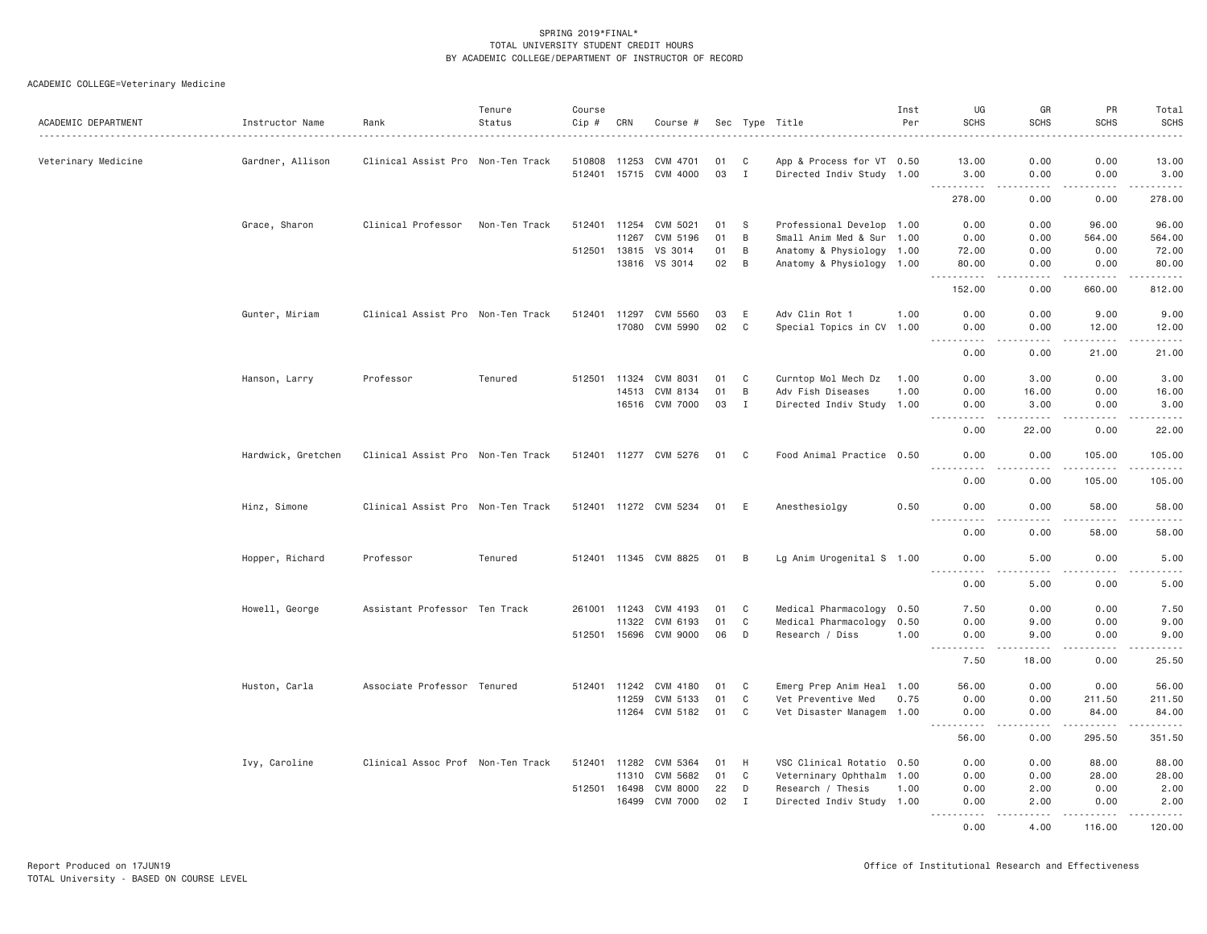| ACADEMIC DEPARTMENT | Instructor Name    | Rank                              | Tenure<br>Status | Course<br>Cip # | CRN   | Course #              |      |              | Sec Type Title            | Inst<br>Per | UG<br><b>SCHS</b>     | GR<br><b>SCHS</b>      | PR<br><b>SCHS</b>     | Total<br><b>SCHS</b>                           |
|---------------------|--------------------|-----------------------------------|------------------|-----------------|-------|-----------------------|------|--------------|---------------------------|-------------|-----------------------|------------------------|-----------------------|------------------------------------------------|
| Veterinary Medicine | Gardner, Allison   | Clinical Assist Pro Non-Ten Track |                  | 510808          | 11253 | CVM 4701              | 01   | C            | App & Process for VT 0.50 |             | 13.00                 | 0.00                   | 0.00                  | 13.00                                          |
|                     |                    |                                   |                  |                 |       | 512401 15715 CVM 4000 | 03   | $\mathbf{I}$ | Directed Indiv Study 1.00 |             | 3.00                  | 0.00                   | 0.00                  | 3.00                                           |
|                     |                    |                                   |                  |                 |       |                       |      |              |                           |             | .<br>278.00           | .<br>0.00              | -----<br>0.00         | 278.00                                         |
|                     | Grace, Sharon      | Clinical Professor                | Non-Ten Track    | 512401          |       | 11254 CVM 5021        | 01   | -S           | Professional Develop 1.00 |             | 0.00                  | 0.00                   | 96.00                 | 96.00                                          |
|                     |                    |                                   |                  |                 | 11267 | CVM 5196              | 01   | B            | Small Anim Med & Sur 1.00 |             | 0.00                  | 0.00                   | 564.00                | 564.00                                         |
|                     |                    |                                   |                  | 512501 13815    |       | VS 3014               | 01   | B            | Anatomy & Physiology 1.00 |             | 72.00                 | 0.00                   | 0.00                  | 72.00                                          |
|                     |                    |                                   |                  |                 |       | 13816 VS 3014         | 02   | B            | Anatomy & Physiology 1.00 |             | 80.00                 | 0.00                   | 0.00                  | 80.00                                          |
|                     |                    |                                   |                  |                 |       |                       |      |              |                           |             | .<br>152.00           | .<br>0.00              | 2.2.2.2.2.2<br>660.00 | $\omega$ is a second set of $\omega$<br>812.00 |
|                     |                    |                                   |                  |                 |       |                       |      |              |                           |             |                       |                        |                       |                                                |
|                     | Gunter, Miriam     | Clinical Assist Pro Non-Ten Track |                  | 512401          | 11297 | CVM 5560              | 03   | E            | Adv Clin Rot 1            | 1.00        | 0.00                  | 0.00                   | 9.00                  | 9.00                                           |
|                     |                    |                                   |                  |                 | 17080 | CVM 5990              | 02   | C            | Special Topics in CV 1.00 |             | 0.00<br>.             | 0.00<br>$   -$         | 12.00<br>.            | 12.00<br>.                                     |
|                     |                    |                                   |                  |                 |       |                       |      |              |                           |             | 0.00                  | 0.00                   | 21.00                 | 21.00                                          |
|                     | Hanson, Larry      | Professor                         | Tenured          | 512501 11324    |       | CVM 8031              | 01   | C            | Curntop Mol Mech Dz       | 1.00        | 0.00                  | 3.00                   | 0.00                  | 3.00                                           |
|                     |                    |                                   |                  |                 | 14513 | CVM 8134              | 01   | B            | Adv Fish Diseases         | 1.00        | 0.00                  | 16.00                  | 0.00                  | 16.00                                          |
|                     |                    |                                   |                  |                 |       | 16516 CVM 7000        | 03   | I            | Directed Indiv Study 1.00 |             | 0.00                  | 3.00                   | 0.00                  | 3.00                                           |
|                     |                    |                                   |                  |                 |       |                       |      |              |                           |             | .<br>0.00             | 22.00                  | .<br>0.00             | .<br>22.00                                     |
|                     | Hardwick, Gretchen | Clinical Assist Pro Non-Ten Track |                  |                 |       | 512401 11277 CVM 5276 | 01 C |              | Food Animal Practice 0.50 |             | 0.00                  | 0.00                   | 105,00                | 105,00                                         |
|                     |                    |                                   |                  |                 |       |                       |      |              |                           |             | -----<br>0.00         | د د د د<br>0.00        | .<br>105.00           | .<br>105.00                                    |
|                     | Hinz, Simone       | Clinical Assist Pro Non-Ten Track |                  |                 |       | 512401 11272 CVM 5234 | 01   | E            | Anesthesiolgy             | 0.50        | 0.00                  | 0.00                   | 58.00                 | 58.00                                          |
|                     |                    |                                   |                  |                 |       |                       |      |              |                           |             | .<br>0.00             | .<br>0.00              | .<br>58.00            | .<br>58.00                                     |
|                     | Hopper, Richard    | Professor                         | Tenured          |                 |       | 512401 11345 CVM 8825 | 01 B |              | Lg Anim Urogenital S 1.00 |             | 0.00                  | 5,00                   | 0.00                  | 5.00                                           |
|                     |                    |                                   |                  |                 |       |                       |      |              |                           |             | .<br>0.00             | 5.00                   | .<br>0.00             | $   -$<br>5.00                                 |
|                     | Howell, George     | Assistant Professor Ten Track     |                  | 261001 11243    |       | CVM 4193              | 01   | C            | Medical Pharmacology 0.50 |             | 7.50                  | 0.00                   | 0.00                  | 7.50                                           |
|                     |                    |                                   |                  |                 | 11322 | CVM 6193              | 01   | $\mathbb C$  | Medical Pharmacology 0.50 |             | 0.00                  | 9.00                   | 0.00                  | 9.00                                           |
|                     |                    |                                   |                  |                 |       | 512501 15696 CVM 9000 | 06   | D            | Research / Diss           | 1.00        | 0.00                  | 9.00                   | 0.00                  | 9.00                                           |
|                     |                    |                                   |                  |                 |       |                       |      |              |                           |             | $\frac{1}{2}$<br>7.50 | $\frac{1}{2}$<br>18,00 | د د د د<br>0.00       | 22222<br>25.50                                 |
|                     |                    |                                   |                  |                 |       |                       |      |              |                           |             |                       |                        |                       |                                                |
|                     | Huston, Carla      | Associate Professor Tenured       |                  | 512401          | 11242 | CVM 4180              | 01   | C            | Emerg Prep Anim Heal 1.00 |             | 56.00                 | 0.00                   | 0.00                  | 56.00                                          |
|                     |                    |                                   |                  |                 | 11259 | CVM 5133              | 01   | C            | Vet Preventive Med        | 0.75        | 0.00                  | 0.00                   | 211.50                | 211.50                                         |
|                     |                    |                                   |                  |                 |       | 11264 CVM 5182        | 01   | C            | Vet Disaster Managem 1.00 |             | 0.00<br>.             | 0.00<br>.              | 84.00<br><u>.</u>     | 84.00<br>$\omega$ is a second order            |
|                     |                    |                                   |                  |                 |       |                       |      |              |                           |             | 56.00                 | 0.00                   | 295.50                | 351.50                                         |
|                     | Ivy, Caroline      | Clinical Assoc Prof Non-Ten Track |                  | 512401          | 11282 | CVM 5364              | 01   | H            | VSC Clinical Rotatio 0.50 |             | 0.00                  | 0.00                   | 88.00                 | 88.00                                          |
|                     |                    |                                   |                  |                 | 11310 | CVM 5682              | 01   | $\mathbb C$  | Veterninary Ophthalm 1.00 |             | 0.00                  | 0.00                   | 28.00                 | 28.00                                          |
|                     |                    |                                   |                  | 512501 16498    |       | <b>CVM 8000</b>       | 22   | D            | Research / Thesis         | 1.00        | 0.00                  | 2.00                   | 0.00                  | 2.00                                           |
|                     |                    |                                   |                  |                 | 16499 | <b>CVM 7000</b>       | 02   | I            | Directed Indiv Study 1.00 |             | 0.00                  | 2.00                   | 0.00<br>.             | 2.00<br>.                                      |
|                     |                    |                                   |                  |                 |       |                       |      |              |                           |             | 0.00                  | 4,00                   | 116,00                | 120.00                                         |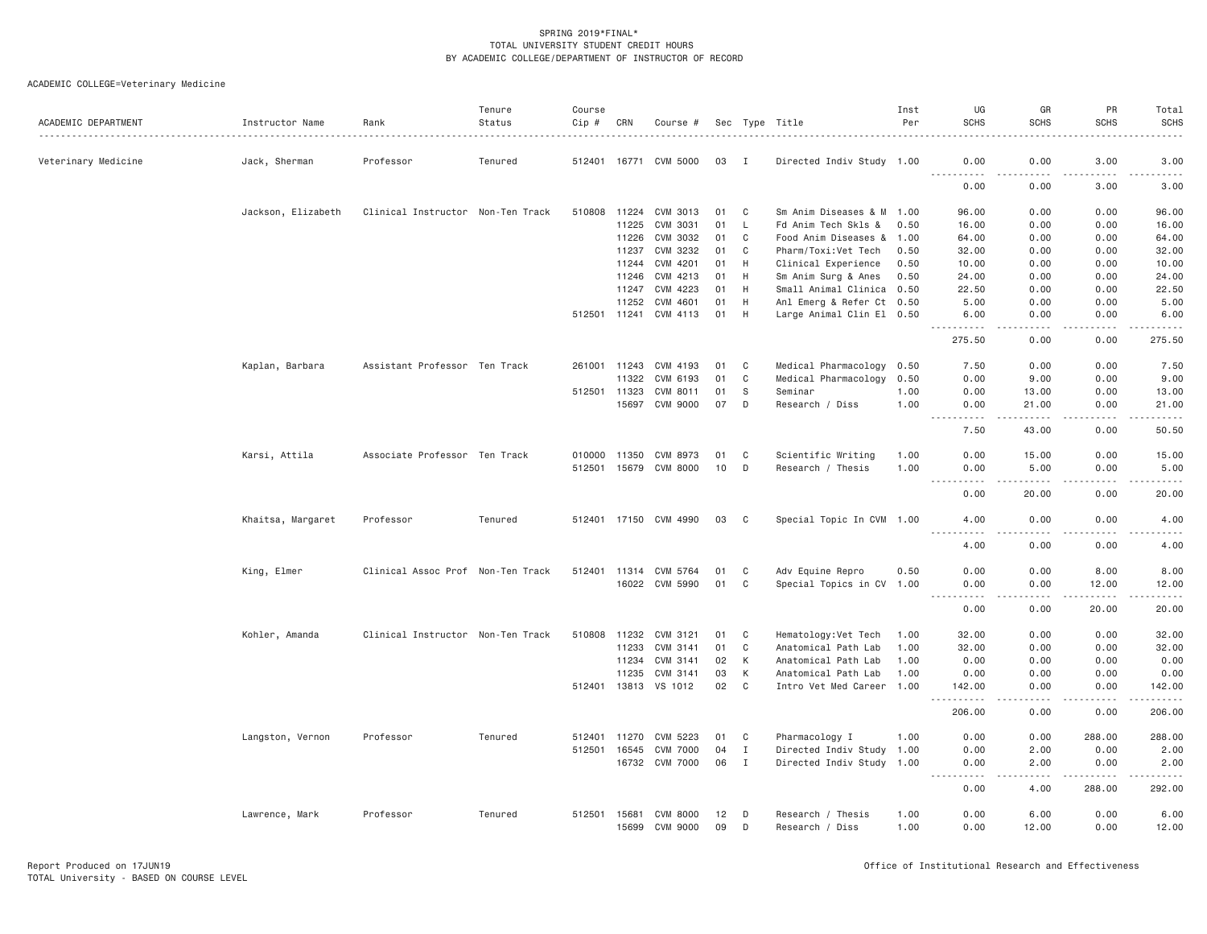| ACADEMIC DEPARTMENT | Instructor Name    | Rank                              | Tenure<br>Status | Course<br>$Cip$ # | CRN   | Course #              |    |              | Sec Type Title            | Inst<br>Per | UG<br><b>SCHS</b>                                                                                                                                                     | GR<br><b>SCHS</b>                                                                                                                                            | PR<br><b>SCHS</b>  | Total<br><b>SCHS</b>                                                                                                                                         |
|---------------------|--------------------|-----------------------------------|------------------|-------------------|-------|-----------------------|----|--------------|---------------------------|-------------|-----------------------------------------------------------------------------------------------------------------------------------------------------------------------|--------------------------------------------------------------------------------------------------------------------------------------------------------------|--------------------|--------------------------------------------------------------------------------------------------------------------------------------------------------------|
| Veterinary Medicine | Jack, Sherman      | Professor                         | Tenured          | 512401 16771      |       | CVM 5000              | 03 | - I          | Directed Indiv Study 1.00 |             | 0.00                                                                                                                                                                  | 0.00                                                                                                                                                         | 3.00<br>.          | 3.00<br>.                                                                                                                                                    |
|                     |                    |                                   |                  |                   |       |                       |    |              |                           |             | .<br>0.00                                                                                                                                                             | .<br>0.00                                                                                                                                                    | 3.00               | 3.00                                                                                                                                                         |
|                     | Jackson, Elizabeth | Clinical Instructor Non-Ten Track |                  | 510808            | 11224 | CVM 3013              | 01 | C            | Sm Anim Diseases & M 1.00 |             | 96.00                                                                                                                                                                 | 0.00                                                                                                                                                         | 0.00               | 96.00                                                                                                                                                        |
|                     |                    |                                   |                  |                   | 11225 | CVM 3031              | 01 | $\mathsf{L}$ | Fd Anim Tech Skls &       | 0.50        | 16.00                                                                                                                                                                 | 0.00                                                                                                                                                         | 0.00               | 16.00                                                                                                                                                        |
|                     |                    |                                   |                  |                   | 11226 | CVM 3032              | 01 | C            | Food Anim Diseases &      | 1.00        | 64.00                                                                                                                                                                 | 0.00                                                                                                                                                         | 0.00               | 64.00                                                                                                                                                        |
|                     |                    |                                   |                  |                   | 11237 | CVM 3232              | 01 | C            | Pharm/Toxi:Vet Tech       | 0.50        | 32.00                                                                                                                                                                 | 0.00                                                                                                                                                         | 0.00               | 32.00                                                                                                                                                        |
|                     |                    |                                   |                  |                   | 11244 | CVM 4201              | 01 | H            | Clinical Experience       | 0.50        | 10.00                                                                                                                                                                 | 0.00                                                                                                                                                         | 0.00               | 10.00                                                                                                                                                        |
|                     |                    |                                   |                  |                   | 11246 | CVM 4213              | 01 | H            | Sm Anim Surg & Anes       | 0.50        | 24.00                                                                                                                                                                 | 0.00                                                                                                                                                         | 0.00               | 24.00                                                                                                                                                        |
|                     |                    |                                   |                  |                   | 11247 | CVM 4223              | 01 | H            | Small Animal Clinica 0.50 |             | 22.50                                                                                                                                                                 | 0.00                                                                                                                                                         | 0.00               | 22.50                                                                                                                                                        |
|                     |                    |                                   |                  |                   | 11252 | CVM 4601              | 01 | H            | Anl Emerg & Refer Ct 0.50 |             | 5.00                                                                                                                                                                  | 0.00                                                                                                                                                         | 0.00               | 5.00                                                                                                                                                         |
|                     |                    |                                   |                  | 512501 11241      |       | CVM 4113              | 01 | H            | Large Animal Clin El 0.50 |             | 6.00<br>$- - - - - - -$                                                                                                                                               | 0.00<br>$\sim$ $\sim$ $\sim$ $\sim$                                                                                                                          | 0.00<br>.          | 6.00<br>.                                                                                                                                                    |
|                     |                    |                                   |                  |                   |       |                       |    |              |                           |             | 275.50                                                                                                                                                                | 0.00                                                                                                                                                         | 0.00               | 275.50                                                                                                                                                       |
|                     | Kaplan, Barbara    | Assistant Professor Ten Track     |                  | 261001 11243      |       | CVM 4193              | 01 | C            | Medical Pharmacology 0.50 |             | 7.50                                                                                                                                                                  | 0.00                                                                                                                                                         | 0.00               | 7.50                                                                                                                                                         |
|                     |                    |                                   |                  |                   | 11322 | CVM 6193              | 01 | $\mathbb C$  | Medical Pharmacology 0.50 |             | 0.00                                                                                                                                                                  | 9.00                                                                                                                                                         | 0.00               | 9.00                                                                                                                                                         |
|                     |                    |                                   |                  | 512501 11323      |       | CVM 8011              | 01 | S            | Seminar                   | 1.00        | 0.00                                                                                                                                                                  | 13.00                                                                                                                                                        | 0.00               | 13.00                                                                                                                                                        |
|                     |                    |                                   |                  |                   | 15697 | CVM 9000              | 07 | D            | Research / Diss           | 1.00        | 0.00                                                                                                                                                                  | 21.00<br>.                                                                                                                                                   | 0.00<br>.          | 21.00<br>$    -$                                                                                                                                             |
|                     |                    |                                   |                  |                   |       |                       |    |              |                           |             | .<br>7.50                                                                                                                                                             | 43.00                                                                                                                                                        | 0.00               | 50.50                                                                                                                                                        |
|                     | Karsi, Attila      | Associate Professor Ten Track     |                  | 010000            | 11350 | CVM 8973              | 01 | C            | Scientific Writing        | 1.00        | 0.00                                                                                                                                                                  | 15.00                                                                                                                                                        | 0.00               | 15.00                                                                                                                                                        |
|                     |                    |                                   |                  |                   |       | 512501 15679 CVM 8000 | 10 | D            | Research / Thesis         | 1.00        | 0.00<br>-----                                                                                                                                                         | 5.00<br>$\frac{1}{2} \left( \frac{1}{2} \right) \left( \frac{1}{2} \right) \left( \frac{1}{2} \right) \left( \frac{1}{2} \right) \left( \frac{1}{2} \right)$ | 0.00<br>.          | 5.00<br>-----                                                                                                                                                |
|                     |                    |                                   |                  |                   |       |                       |    |              |                           |             | 0.00                                                                                                                                                                  | 20.00                                                                                                                                                        | 0.00               | 20.00                                                                                                                                                        |
|                     | Khaitsa, Margaret  | Professor                         | Tenured          |                   |       | 512401 17150 CVM 4990 | 03 | C.           | Special Topic In CVM 1.00 |             | 4.00                                                                                                                                                                  | 0.00<br>د د د د                                                                                                                                              | 0.00               | 4.00<br>$\frac{1}{2} \left( \frac{1}{2} \right) \left( \frac{1}{2} \right) \left( \frac{1}{2} \right) \left( \frac{1}{2} \right) \left( \frac{1}{2} \right)$ |
|                     |                    |                                   |                  |                   |       |                       |    |              |                           |             | .<br>4.00                                                                                                                                                             | 0.00                                                                                                                                                         | .<br>0.00          | 4.00                                                                                                                                                         |
|                     | King, Elmer        | Clinical Assoc Prof Non-Ten Track |                  | 512401            | 11314 | CVM 5764              | 01 | C            | Adv Equine Repro          | 0.50        | 0.00                                                                                                                                                                  | 0.00                                                                                                                                                         | 8.00               | 8.00                                                                                                                                                         |
|                     |                    |                                   |                  |                   | 16022 | CVM 5990              | 01 | C            | Special Topics in CV 1.00 |             |                                                                                                                                                                       |                                                                                                                                                              |                    |                                                                                                                                                              |
|                     |                    |                                   |                  |                   |       |                       |    |              |                           |             | 0.00<br>$\frac{1}{2} \left( \frac{1}{2} \right) \left( \frac{1}{2} \right) \left( \frac{1}{2} \right) \left( \frac{1}{2} \right) \left( \frac{1}{2} \right)$<br>$  -$ | 0.00<br>.                                                                                                                                                    | 12.00<br>د د د د د | 12.00<br>.                                                                                                                                                   |
|                     |                    |                                   |                  |                   |       |                       |    |              |                           |             | 0.00                                                                                                                                                                  | 0.00                                                                                                                                                         | 20.00              | 20.00                                                                                                                                                        |
|                     | Kohler, Amanda     | Clinical Instructor Non-Ten Track |                  | 510808            |       | 11232 CVM 3121        | 01 | C            | Hematology: Vet Tech      | 1.00        | 32.00                                                                                                                                                                 | 0.00                                                                                                                                                         | 0.00               | 32.00                                                                                                                                                        |
|                     |                    |                                   |                  |                   | 11233 | CVM 3141              | 01 | C            | Anatomical Path Lab       | 1.00        | 32.00                                                                                                                                                                 | 0.00                                                                                                                                                         | 0.00               | 32.00                                                                                                                                                        |
|                     |                    |                                   |                  |                   | 11234 | CVM 3141              | 02 | К            | Anatomical Path Lab       | 1.00        | 0.00                                                                                                                                                                  | 0.00                                                                                                                                                         | 0.00               | 0.00                                                                                                                                                         |
|                     |                    |                                   |                  |                   | 11235 | CVM 3141              | 03 | K            | Anatomical Path Lab       | 1.00        | 0.00                                                                                                                                                                  | 0.00                                                                                                                                                         | 0.00               | 0.00                                                                                                                                                         |
|                     |                    |                                   |                  | 512401 13813      |       | VS 1012               | 02 | $\mathbf{C}$ | Intro Vet Med Career 1.00 |             | 142.00<br>. <b>.</b>                                                                                                                                                  | 0.00                                                                                                                                                         | 0.00<br>.          | 142.00<br>.                                                                                                                                                  |
|                     |                    |                                   |                  |                   |       |                       |    |              |                           |             | 206.00                                                                                                                                                                | .<br>0.00                                                                                                                                                    | 0.00               | 206.00                                                                                                                                                       |
|                     | Langston, Vernon   | Professor                         | Tenured          | 512401            | 11270 | CVM 5223              | 01 | C            | Pharmacology I            | 1.00        | 0.00                                                                                                                                                                  | 0.00                                                                                                                                                         | 288.00             | 288.00                                                                                                                                                       |
|                     |                    |                                   |                  | 512501            | 16545 | <b>CVM 7000</b>       | 04 | $\mathbf{I}$ | Directed Indiv Study 1.00 |             | 0.00                                                                                                                                                                  | 2.00                                                                                                                                                         | 0.00               | 2.00                                                                                                                                                         |
|                     |                    |                                   |                  |                   |       | 16732 CVM 7000        | 06 | $\mathbf{I}$ | Directed Indiv Study 1.00 |             | 0.00<br>.                                                                                                                                                             | 2.00<br>.                                                                                                                                                    | 0.00<br>.          | 2.00<br>.                                                                                                                                                    |
|                     |                    |                                   |                  |                   |       |                       |    |              |                           |             | 0.00                                                                                                                                                                  | 4.00                                                                                                                                                         | 288.00             | 292.00                                                                                                                                                       |
|                     | Lawrence, Mark     | Professor                         | Tenured          | 512501            | 15681 | <b>CVM 8000</b>       | 12 | D            | Research / Thesis         | 1.00        | 0.00                                                                                                                                                                  | 6.00                                                                                                                                                         | 0.00               | 6.00                                                                                                                                                         |
|                     |                    |                                   |                  |                   | 15699 | <b>CVM 9000</b>       | 09 | D            | Research / Diss           | 1.00        | 0.00                                                                                                                                                                  | 12.00                                                                                                                                                        | 0.00               | 12.00                                                                                                                                                        |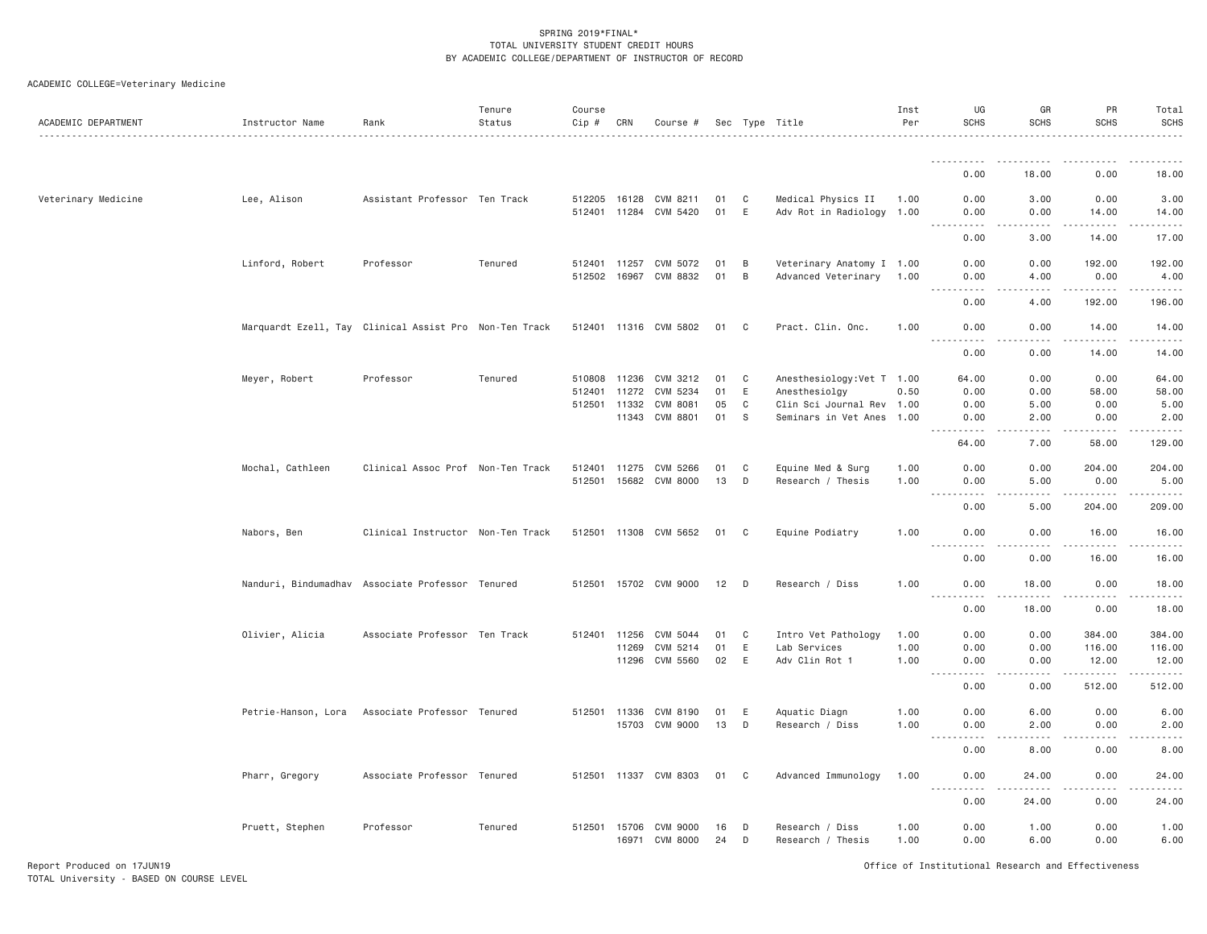| ACADEMIC DEPARTMENT | Instructor Name  | Rank                                                   | Tenure<br>Status | Course<br>Cip #              | CRN   | Course #                          |            |        | Sec Type Title                                        | Inst<br>Per | UG<br><b>SCHS</b>                                                                                                                                                                           | GR<br><b>SCHS</b>     | PR<br><b>SCHS</b>                                                                                                                        | Total<br><b>SCHS</b><br>.                    |
|---------------------|------------------|--------------------------------------------------------|------------------|------------------------------|-------|-----------------------------------|------------|--------|-------------------------------------------------------|-------------|---------------------------------------------------------------------------------------------------------------------------------------------------------------------------------------------|-----------------------|------------------------------------------------------------------------------------------------------------------------------------------|----------------------------------------------|
|                     |                  |                                                        |                  |                              |       |                                   |            |        |                                                       |             | .                                                                                                                                                                                           | . <i>.</i>            | .                                                                                                                                        | <u>.</u>                                     |
|                     |                  |                                                        |                  |                              |       |                                   |            |        |                                                       |             | 0.00                                                                                                                                                                                        | 18.00                 | 0.00                                                                                                                                     | 18.00                                        |
| Veterinary Medicine | Lee, Alison      | Assistant Professor Ten Track                          |                  | 512205 16128                 |       | CVM 8211<br>512401 11284 CVM 5420 | 01<br>01 E | C      | Medical Physics II<br>Adv Rot in Radiology 1.00       | 1.00        | 0.00<br>0.00                                                                                                                                                                                | 3.00<br>0.00          | 0.00<br>14.00                                                                                                                            | 3.00<br>14.00                                |
|                     |                  |                                                        |                  |                              |       |                                   |            |        |                                                       |             | $  -$<br>$- - - - - -$<br>0.00                                                                                                                                                              | 2.2.2.2.2<br>3.00     | $\begin{array}{cccccccccc} \bullet & \bullet & \bullet & \bullet & \bullet & \bullet & \bullet & \bullet & \bullet \end{array}$<br>14.00 | .<br>17.00                                   |
|                     | Linford, Robert  | Professor                                              | Tenured          | 512401 11257<br>512502 16967 |       | CVM 5072<br>CVM 8832              | 01<br>01   | B<br>B | Veterinary Anatomy I 1.00<br>Advanced Veterinary 1.00 |             | 0.00<br>0.00                                                                                                                                                                                | 0.00<br>4.00          | 192.00<br>0.00                                                                                                                           | 192.00<br>4.00                               |
|                     |                  |                                                        |                  |                              |       |                                   |            |        |                                                       |             | .<br>0.00                                                                                                                                                                                   | والمحامر<br>4.00      | المستبدية<br>192.00                                                                                                                      | .<br>196.00                                  |
|                     |                  | Marquardt Ezell, Tay Clinical Assist Pro Non-Ten Track |                  |                              |       | 512401 11316 CVM 5802             | 01 C       |        | Pract. Clin. Onc.                                     | 1.00        | 0.00                                                                                                                                                                                        | 0.00                  | 14.00                                                                                                                                    | 14.00                                        |
|                     |                  |                                                        |                  |                              |       |                                   |            |        |                                                       |             | .<br>0.00                                                                                                                                                                                   | .<br>0.00             | . <b>.</b><br>14.00                                                                                                                      | .<br>14.00                                   |
|                     | Meyer, Robert    | Professor                                              | Tenured          | 510808                       | 11236 | CVM 3212                          | 01         | C      | Anesthesiology: Vet T 1.00                            |             | 64.00                                                                                                                                                                                       | 0.00                  | 0.00                                                                                                                                     | 64.00                                        |
|                     |                  |                                                        |                  |                              |       |                                   |            |        |                                                       |             |                                                                                                                                                                                             |                       |                                                                                                                                          |                                              |
|                     |                  |                                                        |                  | 512401                       | 11272 | CVM 5234                          | 01         | E      | Anesthesiolgy                                         | 0.50        | 0.00                                                                                                                                                                                        | 0.00                  | 58.00                                                                                                                                    | 58.00                                        |
|                     |                  |                                                        |                  | 512501 11332                 |       | <b>CVM 8081</b>                   | 05         | C      | Clin Sci Journal Rev 1.00                             |             | 0.00                                                                                                                                                                                        | 5.00                  | 0.00                                                                                                                                     | 5.00                                         |
|                     |                  |                                                        |                  |                              | 11343 | CVM 8801                          | 01         | S      | Seminars in Vet Anes 1.00                             |             | 0.00<br>.                                                                                                                                                                                   | 2.00<br>. <b>.</b>    | 0.00<br>.                                                                                                                                | 2.00<br>.                                    |
|                     |                  |                                                        |                  |                              |       |                                   |            |        |                                                       |             | 64.00                                                                                                                                                                                       | 7.00                  | 58.00                                                                                                                                    | 129.00                                       |
|                     | Mochal, Cathleen | Clinical Assoc Prof Non-Ten Track                      |                  | 512401                       | 11275 | CVM 5266                          | 01         | C      | Equine Med & Surg                                     | 1.00        | 0.00                                                                                                                                                                                        | 0.00                  | 204.00                                                                                                                                   | 204.00                                       |
|                     |                  |                                                        |                  | 512501                       |       | 15682 CVM 8000                    | 13         | D      | Research / Thesis                                     | 1.00        | 0.00<br>.                                                                                                                                                                                   | 5.00<br>.             | 0.00<br>.                                                                                                                                | 5.00<br>.                                    |
|                     |                  |                                                        |                  |                              |       |                                   |            |        |                                                       |             | 0.00                                                                                                                                                                                        | 5.00                  | 204.00                                                                                                                                   | 209.00                                       |
|                     | Nabors, Ben      | Clinical Instructor Non-Ten Track                      |                  |                              |       | 512501 11308 CVM 5652             | 01 C       |        | Equine Podiatry                                       | 1.00        | 0.00<br>$\frac{1}{2}$                                                                                                                                                                       | 0.00<br>$\frac{1}{2}$ | 16.00<br>. <b>.</b>                                                                                                                      | 16.00<br>.                                   |
|                     |                  |                                                        |                  |                              |       |                                   |            |        |                                                       |             | 0.00                                                                                                                                                                                        | 0.00                  | 16.00                                                                                                                                    | 16.00                                        |
|                     |                  | Nanduri, Bindumadhav Associate Professor Tenured       |                  |                              |       | 512501 15702 CVM 9000             | 12         | D      | Research / Diss                                       | 1.00        | 0.00                                                                                                                                                                                        | 18,00                 | 0.00                                                                                                                                     | 18.00                                        |
|                     |                  |                                                        |                  |                              |       |                                   |            |        |                                                       |             | $\sim$ $\sim$ $\sim$<br>د د د د<br>0.00                                                                                                                                                     | -----<br>18.00        | -----<br>0.00                                                                                                                            | .<br>18.00                                   |
|                     | Olivier, Alicia  | Associate Professor Ten Track                          |                  | 512401 11256                 |       | CVM 5044                          | 01         | C      | Intro Vet Pathology                                   | 1.00        | 0.00                                                                                                                                                                                        | 0.00                  | 384.00                                                                                                                                   | 384.00                                       |
|                     |                  |                                                        |                  |                              | 11269 | CVM 5214                          | 01         | E      | Lab Services                                          | 1.00        | 0.00                                                                                                                                                                                        | 0.00                  | 116.00                                                                                                                                   | 116.00                                       |
|                     |                  |                                                        |                  |                              | 11296 | CVM 5560                          | 02         | E      | Adv Clin Rot 1                                        | 1.00        | 0.00<br>$\sim$ $\sim$ $\sim$ $\sim$<br>$\frac{1}{2} \left( \frac{1}{2} \right) \left( \frac{1}{2} \right) \left( \frac{1}{2} \right) \left( \frac{1}{2} \right) \left( \frac{1}{2} \right)$ | 0.00<br>.             | 12.00<br>1.1.1.1.1                                                                                                                       | 12.00<br>$\omega$ is $\omega$ in $\omega$ in |
|                     |                  |                                                        |                  |                              |       |                                   |            |        |                                                       |             | 0.00                                                                                                                                                                                        | 0.00                  | 512.00                                                                                                                                   | 512.00                                       |
|                     |                  | Petrie-Hanson, Lora Associate Professor Tenured        |                  |                              |       | 512501 11336 CVM 8190             | 01         | E      | Aquatic Diagn                                         | 1.00        | 0.00                                                                                                                                                                                        | 6.00                  | 0.00                                                                                                                                     | 6.00                                         |
|                     |                  |                                                        |                  |                              |       | 15703 CVM 9000                    | 13         | D      | Research / Diss                                       | 1.00        | 0.00                                                                                                                                                                                        | 2.00                  | 0.00                                                                                                                                     | 2.00                                         |
|                     |                  |                                                        |                  |                              |       |                                   |            |        |                                                       |             | $\frac{1}{2}$<br>-----                                                                                                                                                                      | .                     | -----                                                                                                                                    | $- - - - -$                                  |
|                     |                  |                                                        |                  |                              |       |                                   |            |        |                                                       |             | 0.00                                                                                                                                                                                        | 8.00                  | 0.00                                                                                                                                     | 8.00                                         |
|                     | Pharr, Gregory   | Associate Professor Tenured                            |                  |                              |       | 512501 11337 CVM 8303             | 01         | C.     | Advanced Immunology                                   | 1.00        | 0.00<br>.<br>$\sim$ $\sim$ $\sim$                                                                                                                                                           | 24,00<br>.            | 0.00<br>.                                                                                                                                | 24,00<br>.                                   |
|                     |                  |                                                        |                  |                              |       |                                   |            |        |                                                       |             | 0.00                                                                                                                                                                                        | 24.00                 | 0.00                                                                                                                                     | 24.00                                        |
|                     | Pruett, Stephen  | Professor                                              | Tenured          | 512501 15706                 |       | CVM 9000                          | 16         | D      | Research / Diss                                       | 1.00        | 0.00                                                                                                                                                                                        | 1.00                  | 0.00                                                                                                                                     | 1.00                                         |
|                     |                  |                                                        |                  |                              | 16971 | CVM 8000                          | 24         | D      | Research / Thesis                                     | 1.00        | 0.00                                                                                                                                                                                        | 6.00                  | 0.00                                                                                                                                     | 6.00                                         |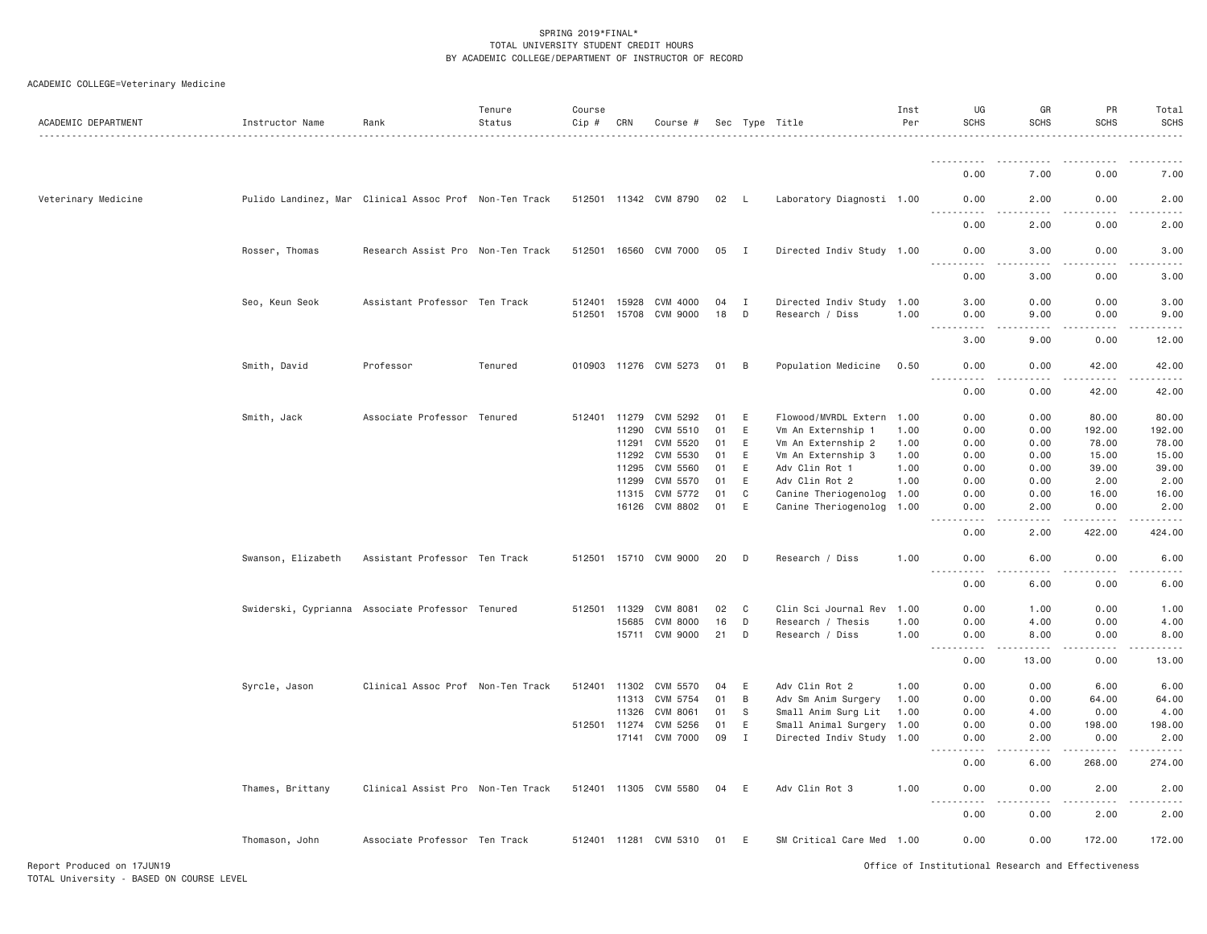| ACADEMIC DEPARTMENT | Instructor Name                                        | Rank                              | Tenure<br>Status | Course<br>Cip # | CRN   | Course #              |      |              | Sec Type Title            | Inst<br>Per | UG<br><b>SCHS</b>                   | GR<br><b>SCHS</b> | PR<br><b>SCHS</b>    | Total<br><b>SCHS</b> |
|---------------------|--------------------------------------------------------|-----------------------------------|------------------|-----------------|-------|-----------------------|------|--------------|---------------------------|-------------|-------------------------------------|-------------------|----------------------|----------------------|
|                     |                                                        |                                   |                  |                 |       |                       |      |              |                           |             |                                     |                   |                      |                      |
|                     |                                                        |                                   |                  |                 |       |                       |      |              |                           |             | 0.00                                | 7.00              | 0.00                 | 7.00                 |
| Veterinary Medicine | Pulido Landinez, Mar Clinical Assoc Prof Non-Ten Track |                                   |                  |                 |       | 512501 11342 CVM 8790 | 02 L |              | Laboratory Diagnosti 1.00 |             | 0.00<br>.                           | 2.00<br>$   -$    | 0.00<br>.            | 2.00<br>.            |
|                     |                                                        |                                   |                  |                 |       |                       |      |              |                           |             | 0.00                                | 2.00              | 0.00                 | 2.00                 |
|                     | Rosser, Thomas                                         | Research Assist Pro Non-Ten Track |                  |                 |       | 512501 16560 CVM 7000 | 05   | I            | Directed Indiv Study 1.00 |             | 0.00                                | 3.00              | 0.00                 | 3.00                 |
|                     |                                                        |                                   |                  |                 |       |                       |      |              |                           |             | 0.00                                | 3.00              | 0.00                 | 3.00                 |
|                     | Seo, Keun Seok                                         | Assistant Professor Ten Track     |                  | 512401 15928    |       | CVM 4000              | 04   | $\mathbf{I}$ | Directed Indiv Study 1.00 |             | 3.00                                | 0.00              | 0.00                 | 3.00                 |
|                     |                                                        |                                   |                  | 512501 15708    |       | CVM 9000              | 18   | D            | Research / Diss           | 1.00        | 0.00<br>.<br>$\frac{1}{2}$          | 9.00<br>د د د د   | 0.00<br>.            | 9.00<br>. <b>.</b> . |
|                     |                                                        |                                   |                  |                 |       |                       |      |              |                           |             | 3.00                                | 9.00              | 0.00                 | 12.00                |
|                     | Smith, David                                           | Professor                         | Tenured          |                 |       | 010903 11276 CVM 5273 | 01   | B            | Population Medicine       | 0.50        | 0.00<br>.                           | 0.00<br>$   -$    | 42.00<br>$- - - - -$ | 42.00<br>.           |
|                     |                                                        |                                   |                  |                 |       |                       |      |              |                           |             | 0.00                                | 0.00              | 42.00                | 42.00                |
|                     | Smith, Jack                                            | Associate Professor Tenured       |                  | 512401 11279    |       | CVM 5292              | 01   | Ε            | Flowood/MVRDL Extern 1.00 |             | 0.00                                | 0.00              | 80.00                | 80.00                |
|                     |                                                        |                                   |                  |                 | 11290 | CVM 5510              | 01   | E            | Vm An Externship 1        | 1.00        | 0.00                                | 0.00              | 192.00               | 192.00               |
|                     |                                                        |                                   |                  |                 | 11291 | CVM 5520              | 01   | E            | Vm An Externship 2        | 1.00        | 0.00                                | 0.00              | 78.00                | 78.00                |
|                     |                                                        |                                   |                  |                 | 11292 | CVM 5530              | 01   | E            | Vm An Externship 3        | 1.00        | 0.00                                | 0.00              | 15.00                | 15.00                |
|                     |                                                        |                                   |                  |                 | 11295 | CVM 5560              | 01   | E            | Adv Clin Rot 1            | 1.00        | 0.00                                | 0.00              | 39.00                | 39.00                |
|                     |                                                        |                                   |                  |                 | 11299 | CVM 5570              | 01   | E            | Adv Clin Rot 2            | 1.00        | 0.00                                | 0.00              | 2.00                 | 2.00                 |
|                     |                                                        |                                   |                  |                 |       | 11315 CVM 5772        | 01   | C            | Canine Theriogenolog 1.00 |             | 0.00                                | 0.00              | 16.00                | 16.00                |
|                     |                                                        |                                   |                  |                 |       | 16126 CVM 8802        | 01   | E            | Canine Theriogenolog 1.00 |             | 0.00<br>.                           | 2.00<br>$- - - -$ | 0.00<br>.            | 2.00<br>.            |
|                     |                                                        |                                   |                  |                 |       |                       |      |              |                           |             | 0.00                                | 2.00              | 422.00               | 424.00               |
|                     | Swanson, Elizabeth                                     | Assistant Professor Ten Track     |                  |                 |       | 512501 15710 CVM 9000 | 20   | D            | Research / Diss           | 1.00        | 0.00                                | 6.00              | 0.00                 | 6.00                 |
|                     |                                                        |                                   |                  |                 |       |                       |      |              |                           |             | 0.00                                | 6.00              | 0.00                 | 6.00                 |
|                     | Swiderski, Cyprianna Associate Professor Tenured       |                                   |                  | 512501 11329    |       | CVM 8081              | 02   | C            | Clin Sci Journal Rev      | 1.00        | 0.00                                | 1.00              | 0.00                 | 1.00                 |
|                     |                                                        |                                   |                  |                 | 15685 | <b>CVM 8000</b>       | 16   | D            | Research / Thesis         | 1.00        | 0.00                                | 4.00              | 0.00                 | 4.00                 |
|                     |                                                        |                                   |                  |                 |       | 15711 CVM 9000        | 21   | D            | Research / Diss           | 1.00        | 0.00<br>$\frac{1}{2}$               | 8,00              | 0.00                 | 8.00                 |
|                     |                                                        |                                   |                  |                 |       |                       |      |              |                           |             | 0.00                                | 13.00             | 0.00                 | 13.00                |
|                     | Syrcle, Jason                                          | Clinical Assoc Prof Non-Ten Track |                  | 512401 11302    |       | CVM 5570              | 04   | E            | Adv Clin Rot 2            | 1.00        | 0.00                                | 0.00              | 6.00                 | 6.00                 |
|                     |                                                        |                                   |                  |                 | 11313 | CVM 5754              | 01   | B            | Adv Sm Anim Surgery       | 1.00        | 0.00                                | 0.00              | 64.00                | 64.00                |
|                     |                                                        |                                   |                  |                 | 11326 | CVM 8061              | 01   | S.           | Small Anim Surg Lit       | 1.00        | 0.00                                | 4.00              | 0.00                 | 4.00                 |
|                     |                                                        |                                   |                  | 512501 11274    |       | CVM 5256              | 01   | E            | Small Animal Surgery      | 1.00        | 0.00                                | 0.00              | 198.00               | 198.00               |
|                     |                                                        |                                   |                  |                 |       | 17141 CVM 7000        | 09   | I            | Directed Indiv Study 1.00 |             | 0.00<br>د د د د                     | 2.00              | 0.00                 | 2.00<br>.            |
|                     |                                                        |                                   |                  |                 |       |                       |      |              |                           |             | 0.00                                | 6.00              | 268.00               | 274.00               |
|                     | Thames, Brittany                                       | Clinical Assist Pro Non-Ten Track |                  |                 |       | 512401 11305 CVM 5580 | 04   | E            | Adv Clin Rot 3            | 1.00        | 0.00<br><u> - - - - - - - - - -</u> | 0.00<br>.         | 2.00<br>.            | 2.00<br><u>.</u>     |
|                     |                                                        |                                   |                  |                 |       |                       |      |              |                           |             | 0.00                                | 0.00              | 2.00                 | 2.00                 |
|                     | Thomason, John                                         | Associate Professor Ten Track     |                  |                 |       | 512401 11281 CVM 5310 | 01   | E            | SM Critical Care Med 1.00 |             | 0.00                                | 0.00              | 172.00               | 172.00               |